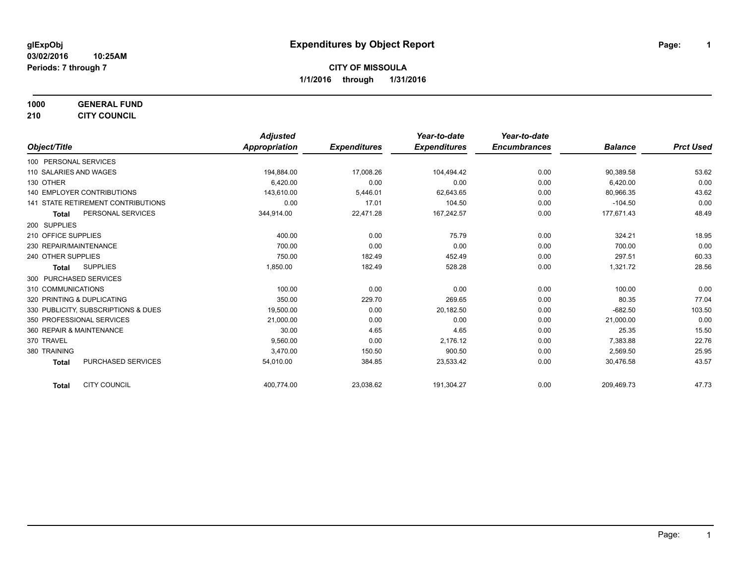**1000 GENERAL FUND**

**210 CITY COUNCIL**

|                                           | <b>Adjusted</b> |                     | Year-to-date        | Year-to-date        |                |                  |
|-------------------------------------------|-----------------|---------------------|---------------------|---------------------|----------------|------------------|
| Object/Title                              | Appropriation   | <b>Expenditures</b> | <b>Expenditures</b> | <b>Encumbrances</b> | <b>Balance</b> | <b>Prct Used</b> |
| 100 PERSONAL SERVICES                     |                 |                     |                     |                     |                |                  |
| 110 SALARIES AND WAGES                    | 194,884.00      | 17,008.26           | 104,494.42          | 0.00                | 90,389.58      | 53.62            |
| 130 OTHER                                 | 6,420.00        | 0.00                | 0.00                | 0.00                | 6,420.00       | 0.00             |
| 140 EMPLOYER CONTRIBUTIONS                | 143,610.00      | 5,446.01            | 62,643.65           | 0.00                | 80,966.35      | 43.62            |
| <b>141 STATE RETIREMENT CONTRIBUTIONS</b> | 0.00            | 17.01               | 104.50              | 0.00                | $-104.50$      | 0.00             |
| PERSONAL SERVICES<br><b>Total</b>         | 344,914.00      | 22,471.28           | 167,242.57          | 0.00                | 177,671.43     | 48.49            |
| 200 SUPPLIES                              |                 |                     |                     |                     |                |                  |
| 210 OFFICE SUPPLIES                       | 400.00          | 0.00                | 75.79               | 0.00                | 324.21         | 18.95            |
| 230 REPAIR/MAINTENANCE                    | 700.00          | 0.00                | 0.00                | 0.00                | 700.00         | 0.00             |
| 240 OTHER SUPPLIES                        | 750.00          | 182.49              | 452.49              | 0.00                | 297.51         | 60.33            |
| <b>SUPPLIES</b><br>Total                  | 1,850.00        | 182.49              | 528.28              | 0.00                | 1,321.72       | 28.56            |
| 300 PURCHASED SERVICES                    |                 |                     |                     |                     |                |                  |
| 310 COMMUNICATIONS                        | 100.00          | 0.00                | 0.00                | 0.00                | 100.00         | 0.00             |
| 320 PRINTING & DUPLICATING                | 350.00          | 229.70              | 269.65              | 0.00                | 80.35          | 77.04            |
| 330 PUBLICITY, SUBSCRIPTIONS & DUES       | 19,500.00       | 0.00                | 20,182.50           | 0.00                | $-682.50$      | 103.50           |
| 350 PROFESSIONAL SERVICES                 | 21.000.00       | 0.00                | 0.00                | 0.00                | 21,000.00      | 0.00             |
| 360 REPAIR & MAINTENANCE                  | 30.00           | 4.65                | 4.65                | 0.00                | 25.35          | 15.50            |
| 370 TRAVEL                                | 9.560.00        | 0.00                | 2.176.12            | 0.00                | 7,383.88       | 22.76            |
| 380 TRAINING                              | 3,470.00        | 150.50              | 900.50              | 0.00                | 2,569.50       | 25.95            |
| <b>PURCHASED SERVICES</b><br><b>Total</b> | 54,010.00       | 384.85              | 23,533.42           | 0.00                | 30,476.58      | 43.57            |
| <b>CITY COUNCIL</b><br><b>Total</b>       | 400,774.00      | 23,038.62           | 191,304.27          | 0.00                | 209,469.73     | 47.73            |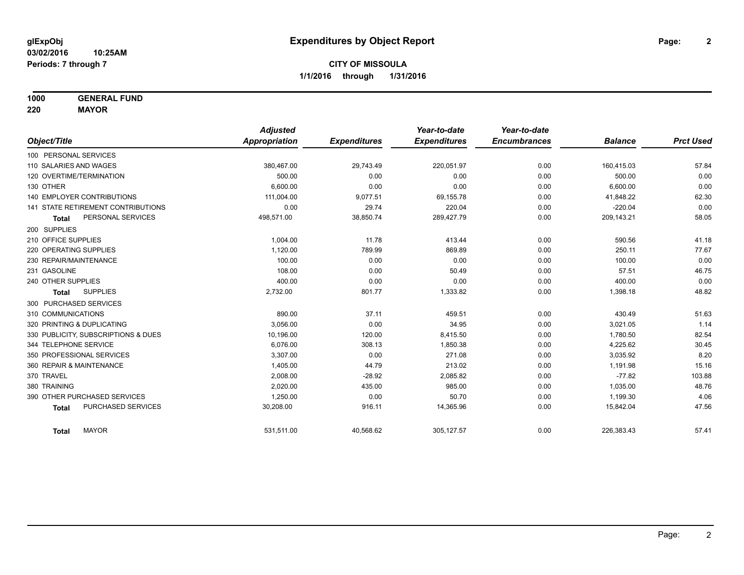**1000 GENERAL FUND**

**220 MAYOR**

|                                           | <b>Adjusted</b>      |                     | Year-to-date        | Year-to-date        |                |                  |
|-------------------------------------------|----------------------|---------------------|---------------------|---------------------|----------------|------------------|
| Object/Title                              | <b>Appropriation</b> | <b>Expenditures</b> | <b>Expenditures</b> | <b>Encumbrances</b> | <b>Balance</b> | <b>Prct Used</b> |
| 100 PERSONAL SERVICES                     |                      |                     |                     |                     |                |                  |
| 110 SALARIES AND WAGES                    | 380,467.00           | 29,743.49           | 220,051.97          | 0.00                | 160,415.03     | 57.84            |
| 120 OVERTIME/TERMINATION                  | 500.00               | 0.00                | 0.00                | 0.00                | 500.00         | 0.00             |
| 130 OTHER                                 | 6.600.00             | 0.00                | 0.00                | 0.00                | 6,600.00       | 0.00             |
| <b>140 EMPLOYER CONTRIBUTIONS</b>         | 111,004.00           | 9,077.51            | 69,155.78           | 0.00                | 41,848.22      | 62.30            |
| <b>141 STATE RETIREMENT CONTRIBUTIONS</b> | 0.00                 | 29.74               | 220.04              | 0.00                | $-220.04$      | 0.00             |
| PERSONAL SERVICES<br><b>Total</b>         | 498,571.00           | 38,850.74           | 289,427.79          | 0.00                | 209,143.21     | 58.05            |
| 200 SUPPLIES                              |                      |                     |                     |                     |                |                  |
| 210 OFFICE SUPPLIES                       | 1,004.00             | 11.78               | 413.44              | 0.00                | 590.56         | 41.18            |
| 220 OPERATING SUPPLIES                    | 1,120.00             | 789.99              | 869.89              | 0.00                | 250.11         | 77.67            |
| 230 REPAIR/MAINTENANCE                    | 100.00               | 0.00                | 0.00                | 0.00                | 100.00         | 0.00             |
| 231 GASOLINE                              | 108.00               | 0.00                | 50.49               | 0.00                | 57.51          | 46.75            |
| 240 OTHER SUPPLIES                        | 400.00               | 0.00                | 0.00                | 0.00                | 400.00         | 0.00             |
| <b>SUPPLIES</b><br>Total                  | 2,732.00             | 801.77              | 1,333.82            | 0.00                | 1,398.18       | 48.82            |
| 300 PURCHASED SERVICES                    |                      |                     |                     |                     |                |                  |
| 310 COMMUNICATIONS                        | 890.00               | 37.11               | 459.51              | 0.00                | 430.49         | 51.63            |
| 320 PRINTING & DUPLICATING                | 3,056.00             | 0.00                | 34.95               | 0.00                | 3,021.05       | 1.14             |
| 330 PUBLICITY, SUBSCRIPTIONS & DUES       | 10,196.00            | 120.00              | 8,415.50            | 0.00                | 1,780.50       | 82.54            |
| 344 TELEPHONE SERVICE                     | 6.076.00             | 308.13              | 1,850.38            | 0.00                | 4,225.62       | 30.45            |
| 350 PROFESSIONAL SERVICES                 | 3,307.00             | 0.00                | 271.08              | 0.00                | 3,035.92       | 8.20             |
| 360 REPAIR & MAINTENANCE                  | 1,405.00             | 44.79               | 213.02              | 0.00                | 1,191.98       | 15.16            |
| 370 TRAVEL                                | 2,008.00             | $-28.92$            | 2,085.82            | 0.00                | $-77.82$       | 103.88           |
| 380 TRAINING                              | 2,020.00             | 435.00              | 985.00              | 0.00                | 1,035.00       | 48.76            |
| 390 OTHER PURCHASED SERVICES              | 1,250.00             | 0.00                | 50.70               | 0.00                | 1,199.30       | 4.06             |
| PURCHASED SERVICES<br><b>Total</b>        | 30,208.00            | 916.11              | 14,365.96           | 0.00                | 15,842.04      | 47.56            |
| <b>MAYOR</b><br><b>Total</b>              | 531,511.00           | 40,568.62           | 305, 127.57         | 0.00                | 226,383.43     | 57.41            |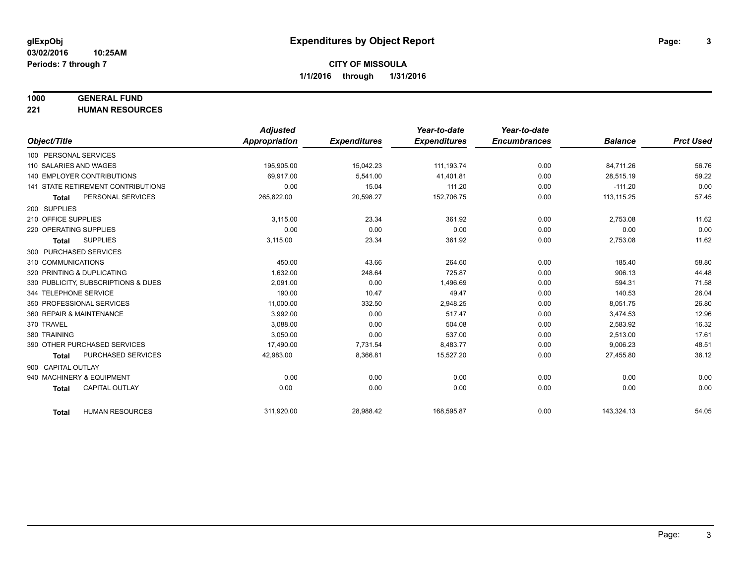#### **1000 GENERAL FUND**

**221 HUMAN RESOURCES**

|                                           | <b>Adjusted</b>      |                     | Year-to-date        | Year-to-date        |                |                  |
|-------------------------------------------|----------------------|---------------------|---------------------|---------------------|----------------|------------------|
| Object/Title                              | <b>Appropriation</b> | <b>Expenditures</b> | <b>Expenditures</b> | <b>Encumbrances</b> | <b>Balance</b> | <b>Prct Used</b> |
| 100 PERSONAL SERVICES                     |                      |                     |                     |                     |                |                  |
| 110 SALARIES AND WAGES                    | 195,905.00           | 15,042.23           | 111,193.74          | 0.00                | 84,711.26      | 56.76            |
| <b>140 EMPLOYER CONTRIBUTIONS</b>         | 69.917.00            | 5,541.00            | 41,401.81           | 0.00                | 28,515.19      | 59.22            |
| 141 STATE RETIREMENT CONTRIBUTIONS        | 0.00                 | 15.04               | 111.20              | 0.00                | $-111.20$      | 0.00             |
| PERSONAL SERVICES<br><b>Total</b>         | 265,822.00           | 20,598.27           | 152,706.75          | 0.00                | 113, 115.25    | 57.45            |
| 200 SUPPLIES                              |                      |                     |                     |                     |                |                  |
| 210 OFFICE SUPPLIES                       | 3,115.00             | 23.34               | 361.92              | 0.00                | 2,753.08       | 11.62            |
| 220 OPERATING SUPPLIES                    | 0.00                 | 0.00                | 0.00                | 0.00                | 0.00           | 0.00             |
| <b>SUPPLIES</b><br><b>Total</b>           | 3,115.00             | 23.34               | 361.92              | 0.00                | 2,753.08       | 11.62            |
| 300 PURCHASED SERVICES                    |                      |                     |                     |                     |                |                  |
| 310 COMMUNICATIONS                        | 450.00               | 43.66               | 264.60              | 0.00                | 185.40         | 58.80            |
| 320 PRINTING & DUPLICATING                | 1,632.00             | 248.64              | 725.87              | 0.00                | 906.13         | 44.48            |
| 330 PUBLICITY, SUBSCRIPTIONS & DUES       | 2.091.00             | 0.00                | 1,496.69            | 0.00                | 594.31         | 71.58            |
| 344 TELEPHONE SERVICE                     | 190.00               | 10.47               | 49.47               | 0.00                | 140.53         | 26.04            |
| 350 PROFESSIONAL SERVICES                 | 11,000.00            | 332.50              | 2,948.25            | 0.00                | 8,051.75       | 26.80            |
| 360 REPAIR & MAINTENANCE                  | 3.992.00             | 0.00                | 517.47              | 0.00                | 3,474.53       | 12.96            |
| 370 TRAVEL                                | 3,088.00             | 0.00                | 504.08              | 0.00                | 2,583.92       | 16.32            |
| 380 TRAINING                              | 3,050.00             | 0.00                | 537.00              | 0.00                | 2,513.00       | 17.61            |
| 390 OTHER PURCHASED SERVICES              | 17,490.00            | 7,731.54            | 8,483.77            | 0.00                | 9,006.23       | 48.51            |
| <b>PURCHASED SERVICES</b><br><b>Total</b> | 42,983.00            | 8,366.81            | 15,527.20           | 0.00                | 27,455.80      | 36.12            |
| 900 CAPITAL OUTLAY                        |                      |                     |                     |                     |                |                  |
| 940 MACHINERY & EQUIPMENT                 | 0.00                 | 0.00                | 0.00                | 0.00                | 0.00           | 0.00             |
| <b>CAPITAL OUTLAY</b><br><b>Total</b>     | 0.00                 | 0.00                | 0.00                | 0.00                | 0.00           | 0.00             |
|                                           |                      |                     |                     |                     |                |                  |
| <b>HUMAN RESOURCES</b><br><b>Total</b>    | 311,920.00           | 28,988.42           | 168,595.87          | 0.00                | 143,324.13     | 54.05            |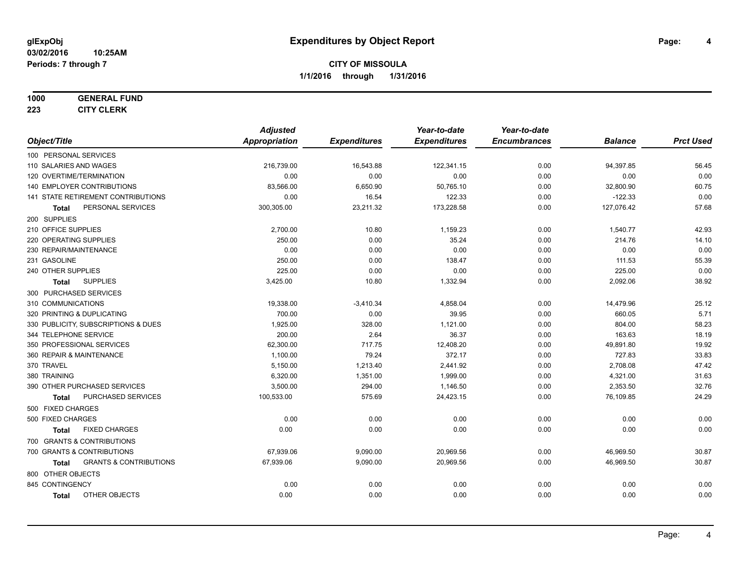#### **1000 GENERAL FUND**

**223 CITY CLERK**

|                                                   | <b>Adjusted</b> |                     | Year-to-date        | Year-to-date        |                |                  |
|---------------------------------------------------|-----------------|---------------------|---------------------|---------------------|----------------|------------------|
| Object/Title                                      | Appropriation   | <b>Expenditures</b> | <b>Expenditures</b> | <b>Encumbrances</b> | <b>Balance</b> | <b>Prct Used</b> |
| 100 PERSONAL SERVICES                             |                 |                     |                     |                     |                |                  |
| 110 SALARIES AND WAGES                            | 216,739.00      | 16,543.88           | 122,341.15          | 0.00                | 94,397.85      | 56.45            |
| 120 OVERTIME/TERMINATION                          | 0.00            | 0.00                | 0.00                | 0.00                | 0.00           | 0.00             |
| 140 EMPLOYER CONTRIBUTIONS                        | 83,566.00       | 6,650.90            | 50,765.10           | 0.00                | 32,800.90      | 60.75            |
| 141 STATE RETIREMENT CONTRIBUTIONS                | 0.00            | 16.54               | 122.33              | 0.00                | $-122.33$      | 0.00             |
| PERSONAL SERVICES<br>Total                        | 300,305.00      | 23,211.32           | 173,228.58          | 0.00                | 127,076.42     | 57.68            |
| 200 SUPPLIES                                      |                 |                     |                     |                     |                |                  |
| 210 OFFICE SUPPLIES                               | 2,700.00        | 10.80               | 1,159.23            | 0.00                | 1,540.77       | 42.93            |
| 220 OPERATING SUPPLIES                            | 250.00          | 0.00                | 35.24               | 0.00                | 214.76         | 14.10            |
| 230 REPAIR/MAINTENANCE                            | 0.00            | 0.00                | 0.00                | 0.00                | 0.00           | 0.00             |
| 231 GASOLINE                                      | 250.00          | 0.00                | 138.47              | 0.00                | 111.53         | 55.39            |
| 240 OTHER SUPPLIES                                | 225.00          | 0.00                | 0.00                | 0.00                | 225.00         | 0.00             |
| <b>SUPPLIES</b><br>Total                          | 3,425.00        | 10.80               | 1,332.94            | 0.00                | 2,092.06       | 38.92            |
| 300 PURCHASED SERVICES                            |                 |                     |                     |                     |                |                  |
| 310 COMMUNICATIONS                                | 19,338.00       | $-3,410.34$         | 4,858.04            | 0.00                | 14,479.96      | 25.12            |
| 320 PRINTING & DUPLICATING                        | 700.00          | 0.00                | 39.95               | 0.00                | 660.05         | 5.71             |
| 330 PUBLICITY, SUBSCRIPTIONS & DUES               | 1,925.00        | 328.00              | 1,121.00            | 0.00                | 804.00         | 58.23            |
| 344 TELEPHONE SERVICE                             | 200.00          | 2.64                | 36.37               | 0.00                | 163.63         | 18.19            |
| 350 PROFESSIONAL SERVICES                         | 62,300.00       | 717.75              | 12,408.20           | 0.00                | 49,891.80      | 19.92            |
| 360 REPAIR & MAINTENANCE                          | 1,100.00        | 79.24               | 372.17              | 0.00                | 727.83         | 33.83            |
| 370 TRAVEL                                        | 5,150.00        | 1,213.40            | 2,441.92            | 0.00                | 2,708.08       | 47.42            |
| 380 TRAINING                                      | 6,320.00        | 1,351.00            | 1,999.00            | 0.00                | 4,321.00       | 31.63            |
| 390 OTHER PURCHASED SERVICES                      | 3,500.00        | 294.00              | 1,146.50            | 0.00                | 2,353.50       | 32.76            |
| PURCHASED SERVICES<br><b>Total</b>                | 100,533.00      | 575.69              | 24,423.15           | 0.00                | 76,109.85      | 24.29            |
| 500 FIXED CHARGES                                 |                 |                     |                     |                     |                |                  |
| 500 FIXED CHARGES                                 | 0.00            | 0.00                | 0.00                | 0.00                | 0.00           | 0.00             |
| <b>FIXED CHARGES</b><br>Total                     | 0.00            | 0.00                | 0.00                | 0.00                | 0.00           | 0.00             |
| 700 GRANTS & CONTRIBUTIONS                        |                 |                     |                     |                     |                |                  |
| 700 GRANTS & CONTRIBUTIONS                        | 67,939.06       | 9,090.00            | 20,969.56           | 0.00                | 46,969.50      | 30.87            |
| <b>GRANTS &amp; CONTRIBUTIONS</b><br><b>Total</b> | 67,939.06       | 9,090.00            | 20,969.56           | 0.00                | 46,969.50      | 30.87            |
| 800 OTHER OBJECTS                                 |                 |                     |                     |                     |                |                  |
| 845 CONTINGENCY                                   | 0.00            | 0.00                | 0.00                | 0.00                | 0.00           | 0.00             |
| OTHER OBJECTS<br><b>Total</b>                     | 0.00            | 0.00                | 0.00                | 0.00                | 0.00           | 0.00             |
|                                                   |                 |                     |                     |                     |                |                  |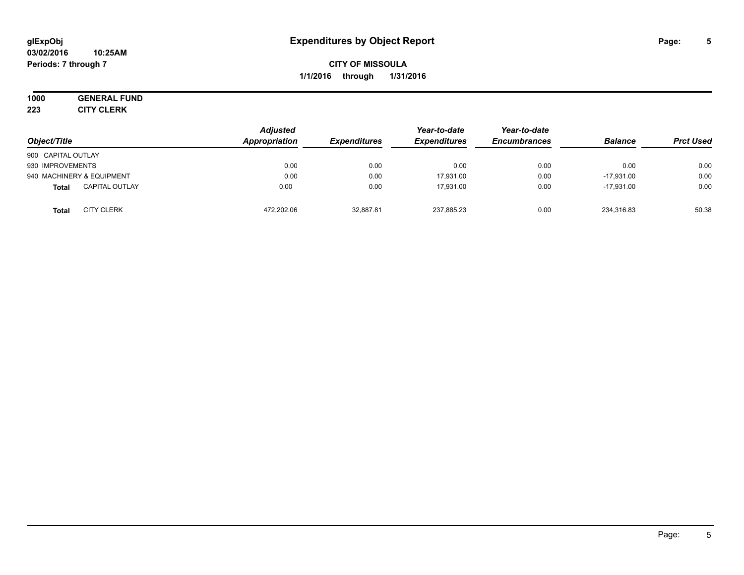## **1000 GENERAL FUND**

**223 CITY CLERK**

| Object/Title                          | <b>Adjusted</b><br>Appropriation | <b>Expenditures</b> | Year-to-date<br><b>Expenditures</b> | Year-to-date<br><b>Encumbrances</b> | <b>Balance</b> | <b>Prct Used</b> |
|---------------------------------------|----------------------------------|---------------------|-------------------------------------|-------------------------------------|----------------|------------------|
| 900 CAPITAL OUTLAY                    |                                  |                     |                                     |                                     |                |                  |
| 930 IMPROVEMENTS                      | 0.00                             | 0.00                | 0.00                                | 0.00                                | 0.00           | 0.00             |
| 940 MACHINERY & EQUIPMENT             | 0.00                             | 0.00                | 17.931.00                           | 0.00                                | $-17.931.00$   | 0.00             |
| <b>CAPITAL OUTLAY</b><br><b>Total</b> | 0.00                             | 0.00                | 17.931.00                           | 0.00                                | $-17.931.00$   | 0.00             |
| <b>CITY CLERK</b><br><b>Total</b>     | 472.202.06                       | 32,887.81           | 237,885.23                          | 0.00                                | 234,316.83     | 50.38            |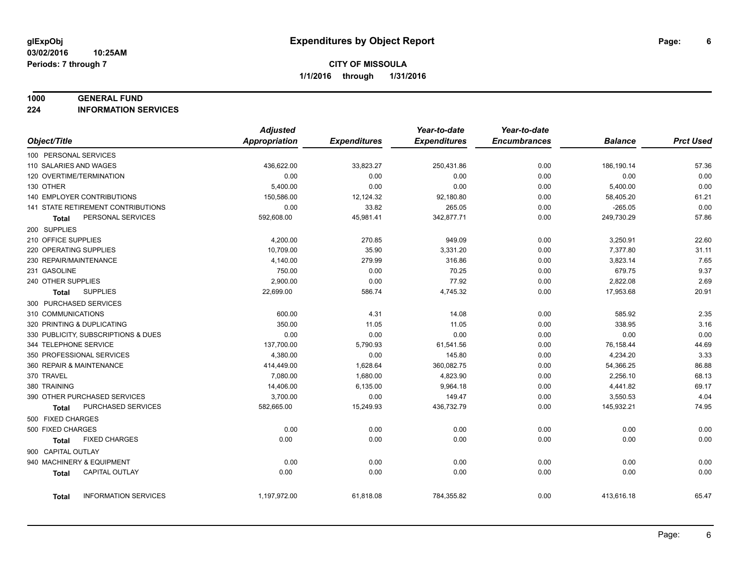#### **1000 GENERAL FUND**

**224 INFORMATION SERVICES**

|                                             | <b>Adjusted</b>      |                     | Year-to-date        | Year-to-date        |                |                  |
|---------------------------------------------|----------------------|---------------------|---------------------|---------------------|----------------|------------------|
| Object/Title                                | <b>Appropriation</b> | <b>Expenditures</b> | <b>Expenditures</b> | <b>Encumbrances</b> | <b>Balance</b> | <b>Prct Used</b> |
| 100 PERSONAL SERVICES                       |                      |                     |                     |                     |                |                  |
| 110 SALARIES AND WAGES                      | 436,622.00           | 33,823.27           | 250,431.86          | 0.00                | 186,190.14     | 57.36            |
| 120 OVERTIME/TERMINATION                    | 0.00                 | 0.00                | 0.00                | 0.00                | 0.00           | 0.00             |
| 130 OTHER                                   | 5,400.00             | 0.00                | 0.00                | 0.00                | 5,400.00       | 0.00             |
| <b>140 EMPLOYER CONTRIBUTIONS</b>           | 150,586.00           | 12,124.32           | 92,180.80           | 0.00                | 58,405.20      | 61.21            |
| 141 STATE RETIREMENT CONTRIBUTIONS          | 0.00                 | 33.82               | 265.05              | 0.00                | $-265.05$      | 0.00             |
| PERSONAL SERVICES<br>Total                  | 592,608.00           | 45,981.41           | 342,877.71          | 0.00                | 249,730.29     | 57.86            |
| 200 SUPPLIES                                |                      |                     |                     |                     |                |                  |
| 210 OFFICE SUPPLIES                         | 4,200.00             | 270.85              | 949.09              | 0.00                | 3,250.91       | 22.60            |
| 220 OPERATING SUPPLIES                      | 10,709.00            | 35.90               | 3,331.20            | 0.00                | 7,377.80       | 31.11            |
| 230 REPAIR/MAINTENANCE                      | 4,140.00             | 279.99              | 316.86              | 0.00                | 3,823.14       | 7.65             |
| 231 GASOLINE                                | 750.00               | 0.00                | 70.25               | 0.00                | 679.75         | 9.37             |
| 240 OTHER SUPPLIES                          | 2,900.00             | 0.00                | 77.92               | 0.00                | 2,822.08       | 2.69             |
| <b>SUPPLIES</b><br>Total                    | 22,699.00            | 586.74              | 4,745.32            | 0.00                | 17,953.68      | 20.91            |
| 300 PURCHASED SERVICES                      |                      |                     |                     |                     |                |                  |
| 310 COMMUNICATIONS                          | 600.00               | 4.31                | 14.08               | 0.00                | 585.92         | 2.35             |
| 320 PRINTING & DUPLICATING                  | 350.00               | 11.05               | 11.05               | 0.00                | 338.95         | 3.16             |
| 330 PUBLICITY, SUBSCRIPTIONS & DUES         | 0.00                 | 0.00                | 0.00                | 0.00                | 0.00           | 0.00             |
| 344 TELEPHONE SERVICE                       | 137,700.00           | 5,790.93            | 61,541.56           | 0.00                | 76,158.44      | 44.69            |
| 350 PROFESSIONAL SERVICES                   | 4,380.00             | 0.00                | 145.80              | 0.00                | 4,234.20       | 3.33             |
| 360 REPAIR & MAINTENANCE                    | 414,449.00           | 1,628.64            | 360,082.75          | 0.00                | 54,366.25      | 86.88            |
| 370 TRAVEL                                  | 7,080.00             | 1,680.00            | 4,823.90            | 0.00                | 2,256.10       | 68.13            |
| 380 TRAINING                                | 14,406.00            | 6,135.00            | 9,964.18            | 0.00                | 4,441.82       | 69.17            |
| 390 OTHER PURCHASED SERVICES                | 3,700.00             | 0.00                | 149.47              | 0.00                | 3,550.53       | 4.04             |
| PURCHASED SERVICES<br><b>Total</b>          | 582,665.00           | 15,249.93           | 436,732.79          | 0.00                | 145,932.21     | 74.95            |
| 500 FIXED CHARGES                           |                      |                     |                     |                     |                |                  |
| 500 FIXED CHARGES                           | 0.00                 | 0.00                | 0.00                | 0.00                | 0.00           | 0.00             |
| <b>FIXED CHARGES</b><br><b>Total</b>        | 0.00                 | 0.00                | 0.00                | 0.00                | 0.00           | 0.00             |
| 900 CAPITAL OUTLAY                          |                      |                     |                     |                     |                |                  |
| 940 MACHINERY & EQUIPMENT                   | 0.00                 | 0.00                | 0.00                | 0.00                | 0.00           | 0.00             |
| CAPITAL OUTLAY<br><b>Total</b>              | 0.00                 | 0.00                | 0.00                | 0.00                | 0.00           | 0.00             |
|                                             |                      |                     |                     |                     |                |                  |
| <b>INFORMATION SERVICES</b><br><b>Total</b> | 1,197,972.00         | 61,818.08           | 784,355.82          | 0.00                | 413,616.18     | 65.47            |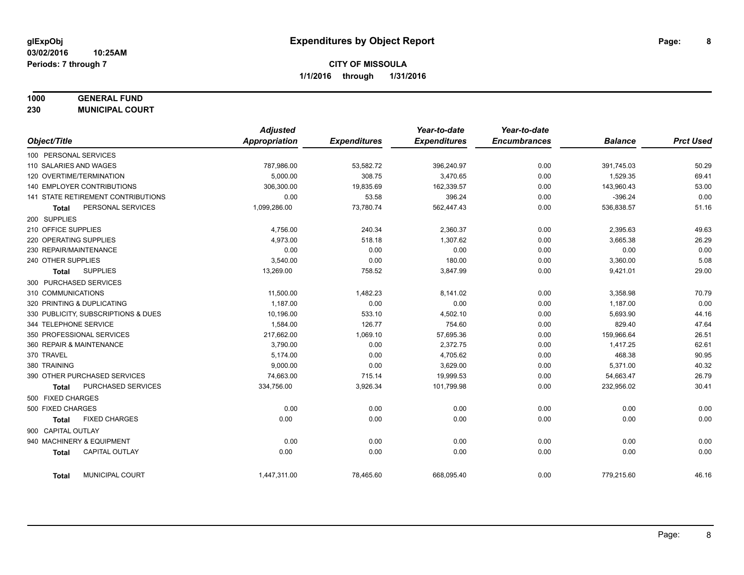## **1000 GENERAL FUND**

**230 MUNICIPAL COURT**

|                                        | <b>Adjusted</b>      |                     | Year-to-date        | Year-to-date        |                |                  |
|----------------------------------------|----------------------|---------------------|---------------------|---------------------|----------------|------------------|
| Object/Title                           | <b>Appropriation</b> | <b>Expenditures</b> | <b>Expenditures</b> | <b>Encumbrances</b> | <b>Balance</b> | <b>Prct Used</b> |
| 100 PERSONAL SERVICES                  |                      |                     |                     |                     |                |                  |
| 110 SALARIES AND WAGES                 | 787,986.00           | 53,582.72           | 396,240.97          | 0.00                | 391,745.03     | 50.29            |
| 120 OVERTIME/TERMINATION               | 5.000.00             | 308.75              | 3,470.65            | 0.00                | 1,529.35       | 69.41            |
| 140 EMPLOYER CONTRIBUTIONS             | 306,300.00           | 19,835.69           | 162,339.57          | 0.00                | 143,960.43     | 53.00            |
| 141 STATE RETIREMENT CONTRIBUTIONS     | 0.00                 | 53.58               | 396.24              | 0.00                | $-396.24$      | 0.00             |
| PERSONAL SERVICES<br><b>Total</b>      | 1,099,286.00         | 73,780.74           | 562,447.43          | 0.00                | 536,838.57     | 51.16            |
| 200 SUPPLIES                           |                      |                     |                     |                     |                |                  |
| 210 OFFICE SUPPLIES                    | 4,756.00             | 240.34              | 2,360.37            | 0.00                | 2,395.63       | 49.63            |
| 220 OPERATING SUPPLIES                 | 4,973.00             | 518.18              | 1,307.62            | 0.00                | 3,665.38       | 26.29            |
| 230 REPAIR/MAINTENANCE                 | 0.00                 | 0.00                | 0.00                | 0.00                | 0.00           | 0.00             |
| 240 OTHER SUPPLIES                     | 3,540.00             | 0.00                | 180.00              | 0.00                | 3,360.00       | 5.08             |
| <b>SUPPLIES</b><br>Total               | 13,269.00            | 758.52              | 3,847.99            | 0.00                | 9,421.01       | 29.00            |
| 300 PURCHASED SERVICES                 |                      |                     |                     |                     |                |                  |
| 310 COMMUNICATIONS                     | 11,500.00            | 1,482.23            | 8,141.02            | 0.00                | 3,358.98       | 70.79            |
| 320 PRINTING & DUPLICATING             | 1,187.00             | 0.00                | 0.00                | 0.00                | 1,187.00       | 0.00             |
| 330 PUBLICITY, SUBSCRIPTIONS & DUES    | 10.196.00            | 533.10              | 4,502.10            | 0.00                | 5,693.90       | 44.16            |
| 344 TELEPHONE SERVICE                  | 1,584.00             | 126.77              | 754.60              | 0.00                | 829.40         | 47.64            |
| 350 PROFESSIONAL SERVICES              | 217,662.00           | 1,069.10            | 57,695.36           | 0.00                | 159,966.64     | 26.51            |
| 360 REPAIR & MAINTENANCE               | 3,790.00             | 0.00                | 2,372.75            | 0.00                | 1,417.25       | 62.61            |
| 370 TRAVEL                             | 5,174.00             | 0.00                | 4,705.62            | 0.00                | 468.38         | 90.95            |
| 380 TRAINING                           | 9,000.00             | 0.00                | 3,629.00            | 0.00                | 5,371.00       | 40.32            |
| 390 OTHER PURCHASED SERVICES           | 74,663.00            | 715.14              | 19,999.53           | 0.00                | 54,663.47      | 26.79            |
| PURCHASED SERVICES<br><b>Total</b>     | 334,756.00           | 3,926.34            | 101,799.98          | 0.00                | 232,956.02     | 30.41            |
| 500 FIXED CHARGES                      |                      |                     |                     |                     |                |                  |
| 500 FIXED CHARGES                      | 0.00                 | 0.00                | 0.00                | 0.00                | 0.00           | 0.00             |
| <b>FIXED CHARGES</b><br>Total          | 0.00                 | 0.00                | 0.00                | 0.00                | 0.00           | 0.00             |
| 900 CAPITAL OUTLAY                     |                      |                     |                     |                     |                |                  |
| 940 MACHINERY & EQUIPMENT              | 0.00                 | 0.00                | 0.00                | 0.00                | 0.00           | 0.00             |
| <b>CAPITAL OUTLAY</b><br><b>Total</b>  | 0.00                 | 0.00                | 0.00                | 0.00                | 0.00           | 0.00             |
| <b>MUNICIPAL COURT</b><br><b>Total</b> | 1,447,311.00         | 78,465.60           | 668,095.40          | 0.00                | 779,215.60     | 46.16            |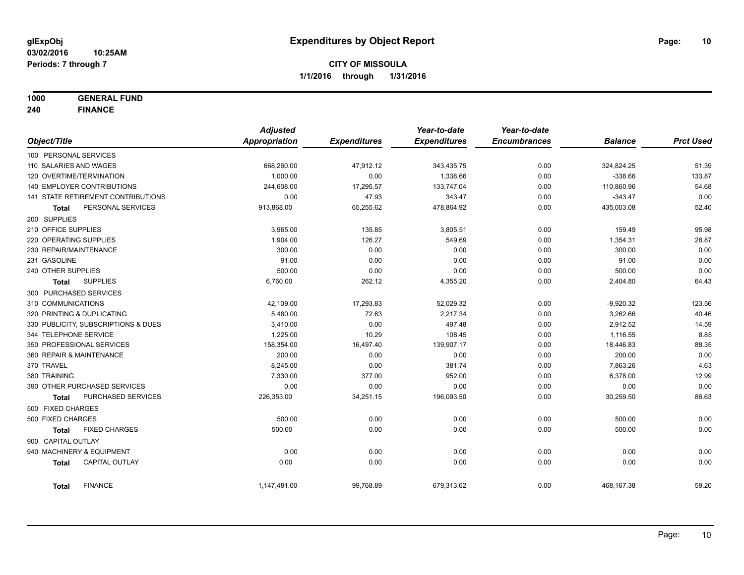**1000 GENERAL FUND**

**240 FINANCE**

|                            |                                     | <b>Adjusted</b> |                     | Year-to-date        | Year-to-date        |                |                  |
|----------------------------|-------------------------------------|-----------------|---------------------|---------------------|---------------------|----------------|------------------|
| Object/Title               |                                     | Appropriation   | <b>Expenditures</b> | <b>Expenditures</b> | <b>Encumbrances</b> | <b>Balance</b> | <b>Prct Used</b> |
| 100 PERSONAL SERVICES      |                                     |                 |                     |                     |                     |                |                  |
| 110 SALARIES AND WAGES     |                                     | 668,260.00      | 47,912.12           | 343,435.75          | 0.00                | 324,824.25     | 51.39            |
| 120 OVERTIME/TERMINATION   |                                     | 1,000.00        | 0.00                | 1,338.66            | 0.00                | $-338.66$      | 133.87           |
|                            | <b>140 EMPLOYER CONTRIBUTIONS</b>   | 244,608.00      | 17,295.57           | 133,747.04          | 0.00                | 110,860.96     | 54.68            |
|                            | 141 STATE RETIREMENT CONTRIBUTIONS  | 0.00            | 47.93               | 343.47              | 0.00                | $-343.47$      | 0.00             |
| Total                      | PERSONAL SERVICES                   | 913,868.00      | 65,255.62           | 478,864.92          | 0.00                | 435,003.08     | 52.40            |
| 200 SUPPLIES               |                                     |                 |                     |                     |                     |                |                  |
| 210 OFFICE SUPPLIES        |                                     | 3,965.00        | 135.85              | 3,805.51            | 0.00                | 159.49         | 95.98            |
| 220 OPERATING SUPPLIES     |                                     | 1,904.00        | 126.27              | 549.69              | 0.00                | 1,354.31       | 28.87            |
| 230 REPAIR/MAINTENANCE     |                                     | 300.00          | 0.00                | 0.00                | 0.00                | 300.00         | 0.00             |
| 231 GASOLINE               |                                     | 91.00           | 0.00                | 0.00                | 0.00                | 91.00          | 0.00             |
| 240 OTHER SUPPLIES         |                                     | 500.00          | 0.00                | 0.00                | 0.00                | 500.00         | 0.00             |
| Total                      | <b>SUPPLIES</b>                     | 6,760.00        | 262.12              | 4,355.20            | 0.00                | 2,404.80       | 64.43            |
| 300 PURCHASED SERVICES     |                                     |                 |                     |                     |                     |                |                  |
| 310 COMMUNICATIONS         |                                     | 42,109.00       | 17,293.83           | 52,029.32           | 0.00                | $-9,920.32$    | 123.56           |
| 320 PRINTING & DUPLICATING |                                     | 5,480.00        | 72.63               | 2,217.34            | 0.00                | 3,262.66       | 40.46            |
|                            | 330 PUBLICITY, SUBSCRIPTIONS & DUES | 3,410.00        | 0.00                | 497.48              | 0.00                | 2,912.52       | 14.59            |
| 344 TELEPHONE SERVICE      |                                     | 1,225.00        | 10.29               | 108.45              | 0.00                | 1,116.55       | 8.85             |
| 350 PROFESSIONAL SERVICES  |                                     | 158,354.00      | 16,497.40           | 139,907.17          | 0.00                | 18,446.83      | 88.35            |
| 360 REPAIR & MAINTENANCE   |                                     | 200.00          | 0.00                | 0.00                | 0.00                | 200.00         | 0.00             |
| 370 TRAVEL                 |                                     | 8,245.00        | 0.00                | 381.74              | 0.00                | 7,863.26       | 4.63             |
| 380 TRAINING               |                                     | 7,330.00        | 377.00              | 952.00              | 0.00                | 6,378.00       | 12.99            |
|                            | 390 OTHER PURCHASED SERVICES        | 0.00            | 0.00                | 0.00                | 0.00                | 0.00           | 0.00             |
| <b>Total</b>               | PURCHASED SERVICES                  | 226,353.00      | 34,251.15           | 196,093.50          | 0.00                | 30,259.50      | 86.63            |
| 500 FIXED CHARGES          |                                     |                 |                     |                     |                     |                |                  |
| 500 FIXED CHARGES          |                                     | 500.00          | 0.00                | 0.00                | 0.00                | 500.00         | 0.00             |
| <b>Total</b>               | <b>FIXED CHARGES</b>                | 500.00          | 0.00                | 0.00                | 0.00                | 500.00         | 0.00             |
| 900 CAPITAL OUTLAY         |                                     |                 |                     |                     |                     |                |                  |
| 940 MACHINERY & EQUIPMENT  |                                     | 0.00            | 0.00                | 0.00                | 0.00                | 0.00           | 0.00             |
| <b>Total</b>               | <b>CAPITAL OUTLAY</b>               | 0.00            | 0.00                | 0.00                | 0.00                | 0.00           | 0.00             |
|                            |                                     |                 |                     |                     |                     |                |                  |
| <b>Total</b>               | <b>FINANCE</b>                      | 1,147,481.00    | 99,768.89           | 679,313.62          | 0.00                | 468, 167.38    | 59.20            |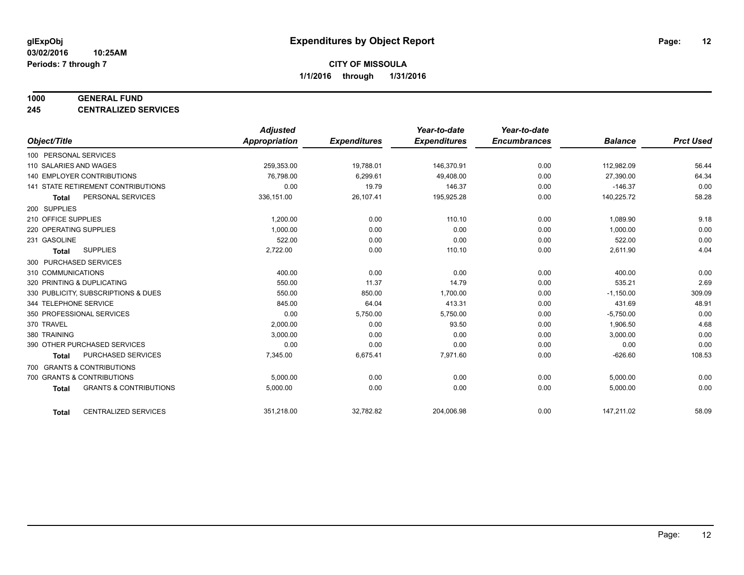#### **1000 GENERAL FUND**

**245 CENTRALIZED SERVICES**

|                                                   | <b>Adjusted</b>      |                     | Year-to-date        | Year-to-date        |                |                  |
|---------------------------------------------------|----------------------|---------------------|---------------------|---------------------|----------------|------------------|
| Object/Title                                      | <b>Appropriation</b> | <b>Expenditures</b> | <b>Expenditures</b> | <b>Encumbrances</b> | <b>Balance</b> | <b>Prct Used</b> |
| 100 PERSONAL SERVICES                             |                      |                     |                     |                     |                |                  |
| 110 SALARIES AND WAGES                            | 259,353.00           | 19,788.01           | 146,370.91          | 0.00                | 112,982.09     | 56.44            |
| 140 EMPLOYER CONTRIBUTIONS                        | 76,798.00            | 6,299.61            | 49,408.00           | 0.00                | 27,390.00      | 64.34            |
| 141 STATE RETIREMENT CONTRIBUTIONS                | 0.00                 | 19.79               | 146.37              | 0.00                | $-146.37$      | 0.00             |
| PERSONAL SERVICES<br><b>Total</b>                 | 336,151.00           | 26,107.41           | 195,925.28          | 0.00                | 140,225.72     | 58.28            |
| 200 SUPPLIES                                      |                      |                     |                     |                     |                |                  |
| 210 OFFICE SUPPLIES                               | 1,200.00             | 0.00                | 110.10              | 0.00                | 1,089.90       | 9.18             |
| 220 OPERATING SUPPLIES                            | 1.000.00             | 0.00                | 0.00                | 0.00                | 1,000.00       | 0.00             |
| 231 GASOLINE                                      | 522.00               | 0.00                | 0.00                | 0.00                | 522.00         | 0.00             |
| <b>SUPPLIES</b><br><b>Total</b>                   | 2,722.00             | 0.00                | 110.10              | 0.00                | 2,611.90       | 4.04             |
| 300 PURCHASED SERVICES                            |                      |                     |                     |                     |                |                  |
| 310 COMMUNICATIONS                                | 400.00               | 0.00                | 0.00                | 0.00                | 400.00         | 0.00             |
| 320 PRINTING & DUPLICATING                        | 550.00               | 11.37               | 14.79               | 0.00                | 535.21         | 2.69             |
| 330 PUBLICITY, SUBSCRIPTIONS & DUES               | 550.00               | 850.00              | 1,700.00            | 0.00                | $-1,150.00$    | 309.09           |
| 344 TELEPHONE SERVICE                             | 845.00               | 64.04               | 413.31              | 0.00                | 431.69         | 48.91            |
| 350 PROFESSIONAL SERVICES                         | 0.00                 | 5,750.00            | 5,750.00            | 0.00                | $-5,750.00$    | 0.00             |
| 370 TRAVEL                                        | 2,000.00             | 0.00                | 93.50               | 0.00                | 1,906.50       | 4.68             |
| 380 TRAINING                                      | 3,000.00             | 0.00                | 0.00                | 0.00                | 3,000.00       | 0.00             |
| 390 OTHER PURCHASED SERVICES                      | 0.00                 | 0.00                | 0.00                | 0.00                | 0.00           | 0.00             |
| <b>PURCHASED SERVICES</b><br><b>Total</b>         | 7,345.00             | 6,675.41            | 7,971.60            | 0.00                | $-626.60$      | 108.53           |
| 700 GRANTS & CONTRIBUTIONS                        |                      |                     |                     |                     |                |                  |
| 700 GRANTS & CONTRIBUTIONS                        | 5,000.00             | 0.00                | 0.00                | 0.00                | 5,000.00       | 0.00             |
| <b>GRANTS &amp; CONTRIBUTIONS</b><br><b>Total</b> | 5,000.00             | 0.00                | 0.00                | 0.00                | 5,000.00       | 0.00             |
| <b>CENTRALIZED SERVICES</b><br><b>Total</b>       | 351,218.00           | 32,782.82           | 204,006.98          | 0.00                | 147,211.02     | 58.09            |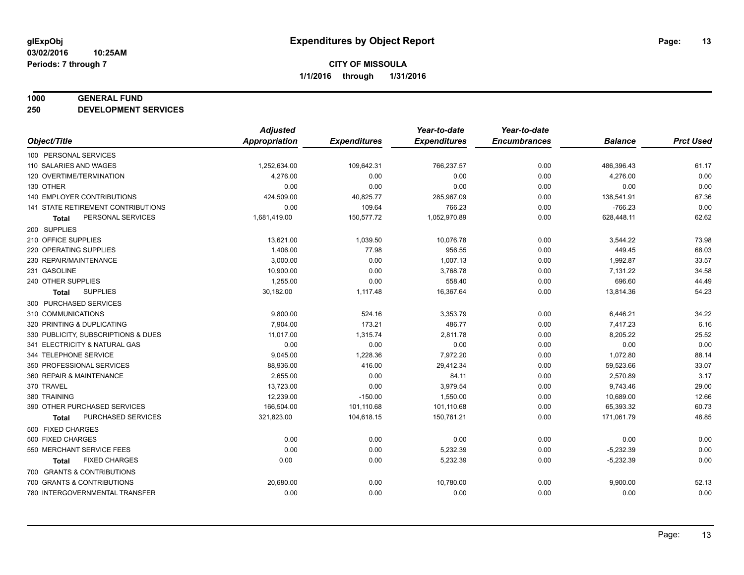#### **1000 GENERAL FUND**

**250 DEVELOPMENT SERVICES**

|                                      | <b>Adjusted</b>      |                     | Year-to-date        | Year-to-date        |                |                  |
|--------------------------------------|----------------------|---------------------|---------------------|---------------------|----------------|------------------|
| Object/Title                         | <b>Appropriation</b> | <b>Expenditures</b> | <b>Expenditures</b> | <b>Encumbrances</b> | <b>Balance</b> | <b>Prct Used</b> |
| 100 PERSONAL SERVICES                |                      |                     |                     |                     |                |                  |
| 110 SALARIES AND WAGES               | 1,252,634.00         | 109,642.31          | 766,237.57          | 0.00                | 486,396.43     | 61.17            |
| 120 OVERTIME/TERMINATION             | 4,276.00             | 0.00                | 0.00                | 0.00                | 4,276.00       | 0.00             |
| 130 OTHER                            | 0.00                 | 0.00                | 0.00                | 0.00                | 0.00           | 0.00             |
| <b>140 EMPLOYER CONTRIBUTIONS</b>    | 424,509.00           | 40,825.77           | 285,967.09          | 0.00                | 138,541.91     | 67.36            |
| 141 STATE RETIREMENT CONTRIBUTIONS   | 0.00                 | 109.64              | 766.23              | 0.00                | $-766.23$      | 0.00             |
| PERSONAL SERVICES<br><b>Total</b>    | 1,681,419.00         | 150,577.72          | 1,052,970.89        | 0.00                | 628,448.11     | 62.62            |
| 200 SUPPLIES                         |                      |                     |                     |                     |                |                  |
| 210 OFFICE SUPPLIES                  | 13,621.00            | 1,039.50            | 10,076.78           | 0.00                | 3,544.22       | 73.98            |
| 220 OPERATING SUPPLIES               | 1,406.00             | 77.98               | 956.55              | 0.00                | 449.45         | 68.03            |
| 230 REPAIR/MAINTENANCE               | 3,000.00             | 0.00                | 1,007.13            | 0.00                | 1,992.87       | 33.57            |
| 231 GASOLINE                         | 10,900.00            | 0.00                | 3,768.78            | 0.00                | 7,131.22       | 34.58            |
| 240 OTHER SUPPLIES                   | 1,255.00             | 0.00                | 558.40              | 0.00                | 696.60         | 44.49            |
| <b>SUPPLIES</b><br>Total             | 30,182.00            | 1,117.48            | 16,367.64           | 0.00                | 13,814.36      | 54.23            |
| 300 PURCHASED SERVICES               |                      |                     |                     |                     |                |                  |
| 310 COMMUNICATIONS                   | 9,800.00             | 524.16              | 3,353.79            | 0.00                | 6,446.21       | 34.22            |
| 320 PRINTING & DUPLICATING           | 7,904.00             | 173.21              | 486.77              | 0.00                | 7,417.23       | 6.16             |
| 330 PUBLICITY, SUBSCRIPTIONS & DUES  | 11,017.00            | 1,315.74            | 2,811.78            | 0.00                | 8,205.22       | 25.52            |
| 341 ELECTRICITY & NATURAL GAS        | 0.00                 | 0.00                | 0.00                | 0.00                | 0.00           | 0.00             |
| 344 TELEPHONE SERVICE                | 9,045.00             | 1,228.36            | 7,972.20            | 0.00                | 1,072.80       | 88.14            |
| 350 PROFESSIONAL SERVICES            | 88,936.00            | 416.00              | 29,412.34           | 0.00                | 59,523.66      | 33.07            |
| 360 REPAIR & MAINTENANCE             | 2,655.00             | 0.00                | 84.11               | 0.00                | 2,570.89       | 3.17             |
| 370 TRAVEL                           | 13,723.00            | 0.00                | 3,979.54            | 0.00                | 9,743.46       | 29.00            |
| 380 TRAINING                         | 12,239.00            | $-150.00$           | 1,550.00            | 0.00                | 10,689.00      | 12.66            |
| 390 OTHER PURCHASED SERVICES         | 166,504.00           | 101,110.68          | 101,110.68          | 0.00                | 65,393.32      | 60.73            |
| PURCHASED SERVICES<br>Total          | 321,823.00           | 104,618.15          | 150,761.21          | 0.00                | 171,061.79     | 46.85            |
| 500 FIXED CHARGES                    |                      |                     |                     |                     |                |                  |
| 500 FIXED CHARGES                    | 0.00                 | 0.00                | 0.00                | 0.00                | 0.00           | 0.00             |
| 550 MERCHANT SERVICE FEES            | 0.00                 | 0.00                | 5,232.39            | 0.00                | $-5,232.39$    | 0.00             |
| <b>FIXED CHARGES</b><br><b>Total</b> | 0.00                 | 0.00                | 5,232.39            | 0.00                | $-5,232.39$    | 0.00             |
| 700 GRANTS & CONTRIBUTIONS           |                      |                     |                     |                     |                |                  |
| 700 GRANTS & CONTRIBUTIONS           | 20,680.00            | 0.00                | 10,780.00           | 0.00                | 9,900.00       | 52.13            |
| 780 INTERGOVERNMENTAL TRANSFER       | 0.00                 | 0.00                | 0.00                | 0.00                | 0.00           | 0.00             |
|                                      |                      |                     |                     |                     |                |                  |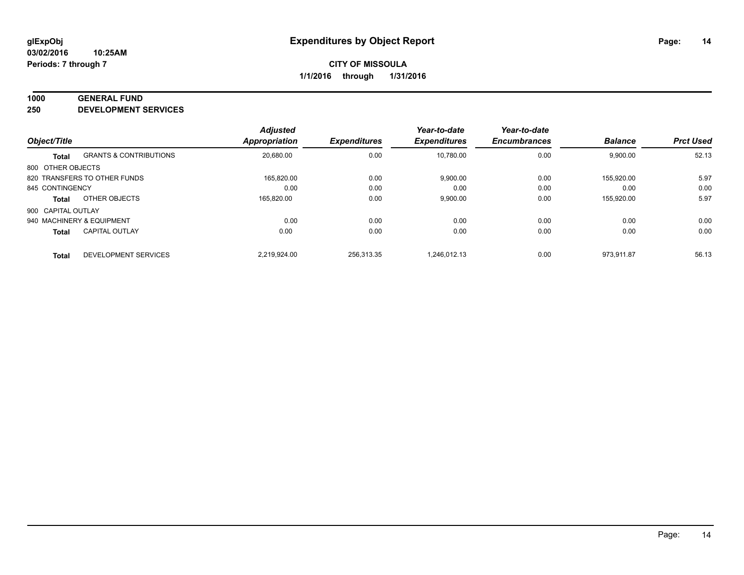#### **1000 GENERAL FUND**

**250 DEVELOPMENT SERVICES**

| Object/Title       |                                   | <b>Adjusted</b><br><b>Appropriation</b> | <b>Expenditures</b> | Year-to-date<br><b>Expenditures</b> | Year-to-date<br><b>Encumbrances</b> | <b>Balance</b> | <b>Prct Used</b> |
|--------------------|-----------------------------------|-----------------------------------------|---------------------|-------------------------------------|-------------------------------------|----------------|------------------|
|                    | <b>GRANTS &amp; CONTRIBUTIONS</b> | 20,680.00                               | 0.00                | 10,780.00                           | 0.00                                | 9,900.00       | 52.13            |
| <b>Total</b>       |                                   |                                         |                     |                                     |                                     |                |                  |
| 800 OTHER OBJECTS  |                                   |                                         |                     |                                     |                                     |                |                  |
|                    | 820 TRANSFERS TO OTHER FUNDS      | 165,820.00                              | 0.00                | 9,900.00                            | 0.00                                | 155.920.00     | 5.97             |
| 845 CONTINGENCY    |                                   | 0.00                                    | 0.00                | 0.00                                | 0.00                                | 0.00           | 0.00             |
| <b>Total</b>       | OTHER OBJECTS                     | 165.820.00                              | 0.00                | 9,900.00                            | 0.00                                | 155.920.00     | 5.97             |
| 900 CAPITAL OUTLAY |                                   |                                         |                     |                                     |                                     |                |                  |
|                    | 940 MACHINERY & EQUIPMENT         | 0.00                                    | 0.00                | 0.00                                | 0.00                                | 0.00           | 0.00             |
| <b>Total</b>       | <b>CAPITAL OUTLAY</b>             | 0.00                                    | 0.00                | 0.00                                | 0.00                                | 0.00           | 0.00             |
| <b>Total</b>       | DEVELOPMENT SERVICES              | 2,219,924.00                            | 256.313.35          | 1.246.012.13                        | 0.00                                | 973.911.87     | 56.13            |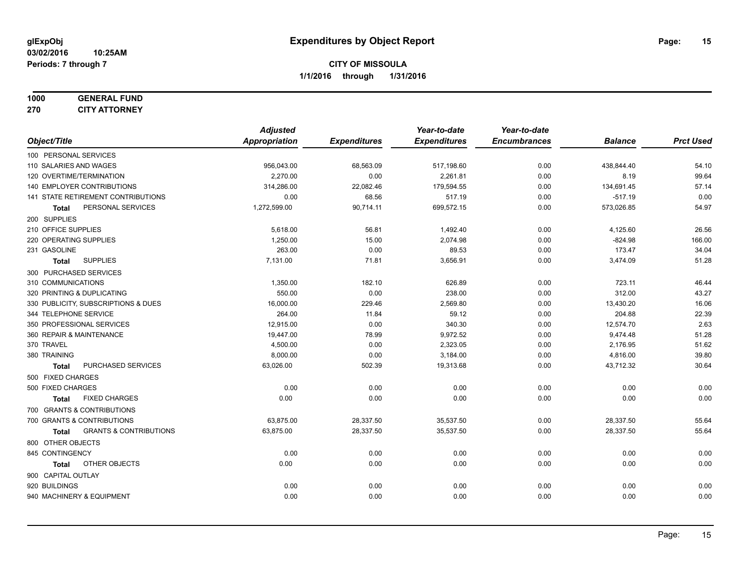# **1000 GENERAL FUND**

**270 CITY ATTORNEY**

|                                                   | <b>Adjusted</b> |                     | Year-to-date        | Year-to-date        |                |                  |
|---------------------------------------------------|-----------------|---------------------|---------------------|---------------------|----------------|------------------|
| Object/Title                                      | Appropriation   | <b>Expenditures</b> | <b>Expenditures</b> | <b>Encumbrances</b> | <b>Balance</b> | <b>Prct Used</b> |
| 100 PERSONAL SERVICES                             |                 |                     |                     |                     |                |                  |
| 110 SALARIES AND WAGES                            | 956,043.00      | 68,563.09           | 517,198.60          | 0.00                | 438,844.40     | 54.10            |
| 120 OVERTIME/TERMINATION                          | 2,270.00        | 0.00                | 2,261.81            | 0.00                | 8.19           | 99.64            |
| 140 EMPLOYER CONTRIBUTIONS                        | 314,286.00      | 22,082.46           | 179,594.55          | 0.00                | 134,691.45     | 57.14            |
| 141 STATE RETIREMENT CONTRIBUTIONS                | 0.00            | 68.56               | 517.19              | 0.00                | $-517.19$      | 0.00             |
| PERSONAL SERVICES<br>Total                        | 1,272,599.00    | 90,714.11           | 699,572.15          | 0.00                | 573,026.85     | 54.97            |
| 200 SUPPLIES                                      |                 |                     |                     |                     |                |                  |
| 210 OFFICE SUPPLIES                               | 5,618.00        | 56.81               | 1,492.40            | 0.00                | 4,125.60       | 26.56            |
| 220 OPERATING SUPPLIES                            | 1.250.00        | 15.00               | 2.074.98            | 0.00                | $-824.98$      | 166.00           |
| 231 GASOLINE                                      | 263.00          | 0.00                | 89.53               | 0.00                | 173.47         | 34.04            |
| <b>SUPPLIES</b><br><b>Total</b>                   | 7,131.00        | 71.81               | 3,656.91            | 0.00                | 3,474.09       | 51.28            |
| 300 PURCHASED SERVICES                            |                 |                     |                     |                     |                |                  |
| 310 COMMUNICATIONS                                | 1,350.00        | 182.10              | 626.89              | 0.00                | 723.11         | 46.44            |
| 320 PRINTING & DUPLICATING                        | 550.00          | 0.00                | 238.00              | 0.00                | 312.00         | 43.27            |
| 330 PUBLICITY, SUBSCRIPTIONS & DUES               | 16,000.00       | 229.46              | 2,569.80            | 0.00                | 13,430.20      | 16.06            |
| 344 TELEPHONE SERVICE                             | 264.00          | 11.84               | 59.12               | 0.00                | 204.88         | 22.39            |
| 350 PROFESSIONAL SERVICES                         | 12,915.00       | 0.00                | 340.30              | 0.00                | 12,574.70      | 2.63             |
| 360 REPAIR & MAINTENANCE                          | 19,447.00       | 78.99               | 9,972.52            | 0.00                | 9,474.48       | 51.28            |
| 370 TRAVEL                                        | 4,500.00        | 0.00                | 2,323.05            | 0.00                | 2,176.95       | 51.62            |
| 380 TRAINING                                      | 8,000.00        | 0.00                | 3,184.00            | 0.00                | 4,816.00       | 39.80            |
| PURCHASED SERVICES<br><b>Total</b>                | 63,026.00       | 502.39              | 19,313.68           | 0.00                | 43,712.32      | 30.64            |
| 500 FIXED CHARGES                                 |                 |                     |                     |                     |                |                  |
| 500 FIXED CHARGES                                 | 0.00            | 0.00                | 0.00                | 0.00                | 0.00           | 0.00             |
| <b>FIXED CHARGES</b><br><b>Total</b>              | 0.00            | 0.00                | 0.00                | 0.00                | 0.00           | 0.00             |
| 700 GRANTS & CONTRIBUTIONS                        |                 |                     |                     |                     |                |                  |
| 700 GRANTS & CONTRIBUTIONS                        | 63,875.00       | 28,337.50           | 35,537.50           | 0.00                | 28,337.50      | 55.64            |
| <b>GRANTS &amp; CONTRIBUTIONS</b><br><b>Total</b> | 63,875.00       | 28,337.50           | 35,537.50           | 0.00                | 28,337.50      | 55.64            |
| 800 OTHER OBJECTS                                 |                 |                     |                     |                     |                |                  |
| 845 CONTINGENCY                                   | 0.00            | 0.00                | 0.00                | 0.00                | 0.00           | 0.00             |
| OTHER OBJECTS<br><b>Total</b>                     | 0.00            | 0.00                | 0.00                | 0.00                | 0.00           | 0.00             |
| 900 CAPITAL OUTLAY                                |                 |                     |                     |                     |                |                  |
| 920 BUILDINGS                                     | 0.00            | 0.00                | 0.00                | 0.00                | 0.00           | 0.00             |
| 940 MACHINERY & EQUIPMENT                         | 0.00            | 0.00                | 0.00                | 0.00                | 0.00           | 0.00             |
|                                                   |                 |                     |                     |                     |                |                  |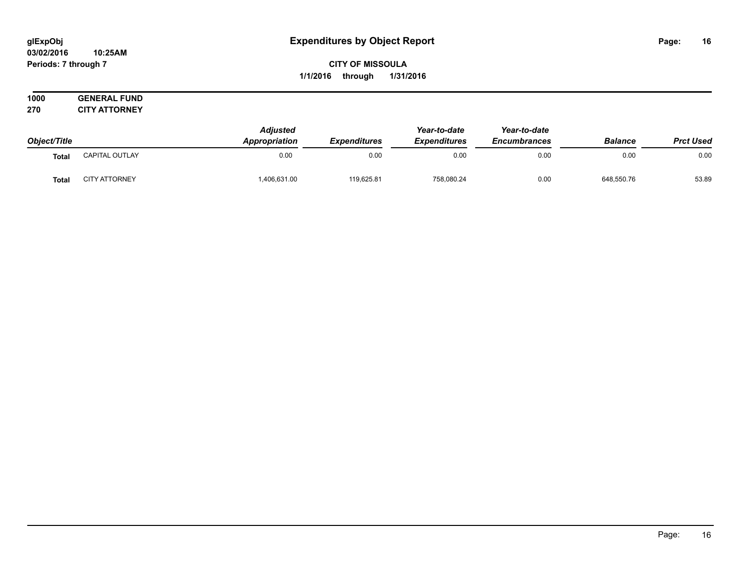#### **03/02/2016 10:25AM Periods: 7 through 7**

## **CITY OF MISSOULA 1/1/2016 through 1/31/2016**

| 1000   | <b>GENERAL F</b><br><b>FUND</b> |
|--------|---------------------------------|
| 270    | <b>CITY ATTORNEY</b>            |
| $\sim$ |                                 |

|              |                       | <b>Adjusted</b>      |                     | Year-to-date        | Year-to-date        |                |                  |
|--------------|-----------------------|----------------------|---------------------|---------------------|---------------------|----------------|------------------|
| Object/Title |                       | <b>Appropriation</b> | <b>Expenditures</b> | <b>Expenditures</b> | <b>Encumbrances</b> | <b>Balance</b> | <b>Prct Used</b> |
| <b>Tota</b>  | <b>CAPITAL OUTLAY</b> | 0.00                 | 0.00                | 0.00                | 0.00                | 0.00           | 0.00             |
| Tota         | <b>CITY ATTORNEY</b>  | ,406,631.00          | 119,625.81          | 758,080.24          | 0.00                | 648,550.76     | 53.89            |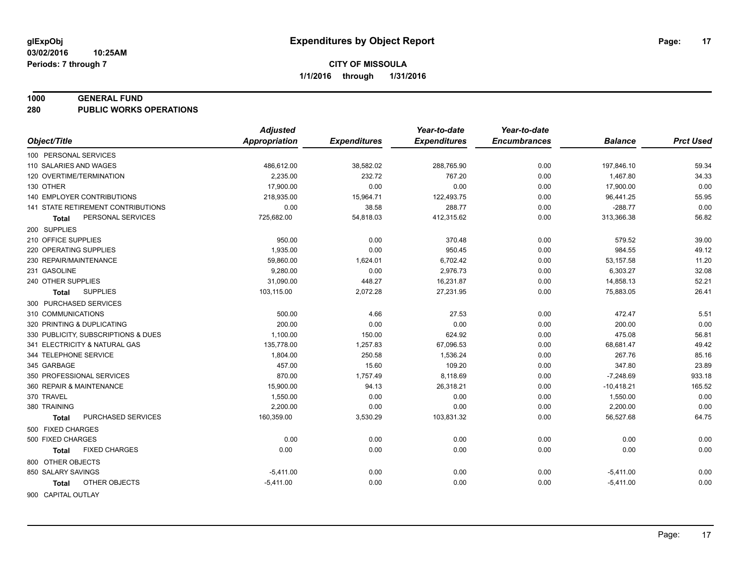#### **1000 GENERAL FUND**

**280 PUBLIC WORKS OPERATIONS**

| Object/Title<br><b>Appropriation</b><br><b>Expenditures</b><br><b>Expenditures</b><br><b>Encumbrances</b><br><b>Prct Used</b><br><b>Balance</b><br>100 PERSONAL SERVICES<br>0.00<br>59.34<br>110 SALARIES AND WAGES<br>486,612.00<br>38,582.02<br>288,765.90<br>197,846.10<br>120 OVERTIME/TERMINATION<br>2.235.00<br>232.72<br>767.20<br>0.00<br>1,467.80<br>34.33<br>17,900.00<br>0.00<br>0.00<br>130 OTHER<br>0.00<br>0.00<br>17,900.00<br>55.95<br><b>140 EMPLOYER CONTRIBUTIONS</b><br>218,935.00<br>15,964.71<br>122,493.75<br>0.00<br>96,441.25<br>0.00<br><b>141 STATE RETIREMENT CONTRIBUTIONS</b><br>0.00<br>38.58<br>$-288.77$<br>288.77<br>0.00<br>56.82<br>PERSONAL SERVICES<br>725,682.00<br>54,818.03<br>412,315.62<br>0.00<br>313,366.38<br>Total<br>200 SUPPLIES<br>210 OFFICE SUPPLIES<br>950.00<br>0.00<br>370.48<br>0.00<br>579.52<br>39.00<br>1,935.00<br>0.00<br>950.45<br>984.55<br>49.12<br>220 OPERATING SUPPLIES<br>0.00<br>59,860.00<br>11.20<br>230 REPAIR/MAINTENANCE<br>1,624.01<br>6,702.42<br>0.00<br>53,157.58<br>231 GASOLINE<br>9,280.00<br>0.00<br>2,976.73<br>6,303.27<br>32.08<br>0.00<br>240 OTHER SUPPLIES<br>31,090.00<br>448.27<br>16,231.87<br>0.00<br>14,858.13<br>52.21<br>2,072.28<br>27,231.95<br>26.41<br><b>SUPPLIES</b><br>103,115.00<br>0.00<br>75,883.05<br><b>Total</b><br>300 PURCHASED SERVICES<br>5.51<br>310 COMMUNICATIONS<br>500.00<br>4.66<br>27.53<br>472.47<br>0.00<br>0.00<br>200.00<br>0.00<br>0.00<br>200.00<br>320 PRINTING & DUPLICATING<br>0.00<br>56.81<br>330 PUBLICITY, SUBSCRIPTIONS & DUES<br>1,100.00<br>150.00<br>624.92<br>0.00<br>475.08<br>49.42<br>1,257.83<br>67,096.53<br>341 ELECTRICITY & NATURAL GAS<br>135,778.00<br>0.00<br>68,681.47<br>344 TELEPHONE SERVICE<br>1,804.00<br>250.58<br>1,536.24<br>267.76<br>85.16<br>0.00<br>457.00<br>347.80<br>23.89<br>345 GARBAGE<br>15.60<br>109.20<br>0.00<br>870.00<br>8,118.69<br>933.18<br>350 PROFESSIONAL SERVICES<br>1,757.49<br>0.00<br>$-7,248.69$<br>360 REPAIR & MAINTENANCE<br>15,900.00<br>94.13<br>0.00<br>$-10,418.21$<br>165.52<br>26,318.21<br>370 TRAVEL<br>1,550.00<br>0.00<br>0.00<br>0.00<br>0.00<br>1,550.00<br>0.00<br>380 TRAINING<br>2,200.00<br>0.00<br>0.00<br>0.00<br>2,200.00<br>PURCHASED SERVICES<br>160,359.00<br>64.75<br>3,530.29<br>103,831.32<br>0.00<br>56,527.68<br>Total<br>500 FIXED CHARGES<br>0.00<br>0.00<br>500 FIXED CHARGES<br>0.00<br>0.00<br>0.00<br>0.00<br>0.00<br><b>FIXED CHARGES</b><br>0.00<br>0.00<br>0.00<br>0.00<br>0.00<br>Total<br>800 OTHER OBJECTS<br>850 SALARY SAVINGS<br>0.00<br>$-5,411.00$<br>0.00<br>0.00<br>0.00<br>$-5,411.00$<br>OTHER OBJECTS<br>$-5,411.00$<br>0.00<br>0.00<br>0.00<br>0.00<br>$-5,411.00$<br>Total | <b>Adjusted</b> | Year-to-date | Year-to-date |  |
|--------------------------------------------------------------------------------------------------------------------------------------------------------------------------------------------------------------------------------------------------------------------------------------------------------------------------------------------------------------------------------------------------------------------------------------------------------------------------------------------------------------------------------------------------------------------------------------------------------------------------------------------------------------------------------------------------------------------------------------------------------------------------------------------------------------------------------------------------------------------------------------------------------------------------------------------------------------------------------------------------------------------------------------------------------------------------------------------------------------------------------------------------------------------------------------------------------------------------------------------------------------------------------------------------------------------------------------------------------------------------------------------------------------------------------------------------------------------------------------------------------------------------------------------------------------------------------------------------------------------------------------------------------------------------------------------------------------------------------------------------------------------------------------------------------------------------------------------------------------------------------------------------------------------------------------------------------------------------------------------------------------------------------------------------------------------------------------------------------------------------------------------------------------------------------------------------------------------------------------------------------------------------------------------------------------------------------------------------------------------------------------------------------------------------------------------------------------------------------------------------------------------------------------------------------------------------------------------------------------------------------------------------------------------------------------------------------------------------|-----------------|--------------|--------------|--|
|                                                                                                                                                                                                                                                                                                                                                                                                                                                                                                                                                                                                                                                                                                                                                                                                                                                                                                                                                                                                                                                                                                                                                                                                                                                                                                                                                                                                                                                                                                                                                                                                                                                                                                                                                                                                                                                                                                                                                                                                                                                                                                                                                                                                                                                                                                                                                                                                                                                                                                                                                                                                                                                                                                                          |                 |              |              |  |
|                                                                                                                                                                                                                                                                                                                                                                                                                                                                                                                                                                                                                                                                                                                                                                                                                                                                                                                                                                                                                                                                                                                                                                                                                                                                                                                                                                                                                                                                                                                                                                                                                                                                                                                                                                                                                                                                                                                                                                                                                                                                                                                                                                                                                                                                                                                                                                                                                                                                                                                                                                                                                                                                                                                          |                 |              |              |  |
|                                                                                                                                                                                                                                                                                                                                                                                                                                                                                                                                                                                                                                                                                                                                                                                                                                                                                                                                                                                                                                                                                                                                                                                                                                                                                                                                                                                                                                                                                                                                                                                                                                                                                                                                                                                                                                                                                                                                                                                                                                                                                                                                                                                                                                                                                                                                                                                                                                                                                                                                                                                                                                                                                                                          |                 |              |              |  |
|                                                                                                                                                                                                                                                                                                                                                                                                                                                                                                                                                                                                                                                                                                                                                                                                                                                                                                                                                                                                                                                                                                                                                                                                                                                                                                                                                                                                                                                                                                                                                                                                                                                                                                                                                                                                                                                                                                                                                                                                                                                                                                                                                                                                                                                                                                                                                                                                                                                                                                                                                                                                                                                                                                                          |                 |              |              |  |
|                                                                                                                                                                                                                                                                                                                                                                                                                                                                                                                                                                                                                                                                                                                                                                                                                                                                                                                                                                                                                                                                                                                                                                                                                                                                                                                                                                                                                                                                                                                                                                                                                                                                                                                                                                                                                                                                                                                                                                                                                                                                                                                                                                                                                                                                                                                                                                                                                                                                                                                                                                                                                                                                                                                          |                 |              |              |  |
|                                                                                                                                                                                                                                                                                                                                                                                                                                                                                                                                                                                                                                                                                                                                                                                                                                                                                                                                                                                                                                                                                                                                                                                                                                                                                                                                                                                                                                                                                                                                                                                                                                                                                                                                                                                                                                                                                                                                                                                                                                                                                                                                                                                                                                                                                                                                                                                                                                                                                                                                                                                                                                                                                                                          |                 |              |              |  |
|                                                                                                                                                                                                                                                                                                                                                                                                                                                                                                                                                                                                                                                                                                                                                                                                                                                                                                                                                                                                                                                                                                                                                                                                                                                                                                                                                                                                                                                                                                                                                                                                                                                                                                                                                                                                                                                                                                                                                                                                                                                                                                                                                                                                                                                                                                                                                                                                                                                                                                                                                                                                                                                                                                                          |                 |              |              |  |
|                                                                                                                                                                                                                                                                                                                                                                                                                                                                                                                                                                                                                                                                                                                                                                                                                                                                                                                                                                                                                                                                                                                                                                                                                                                                                                                                                                                                                                                                                                                                                                                                                                                                                                                                                                                                                                                                                                                                                                                                                                                                                                                                                                                                                                                                                                                                                                                                                                                                                                                                                                                                                                                                                                                          |                 |              |              |  |
|                                                                                                                                                                                                                                                                                                                                                                                                                                                                                                                                                                                                                                                                                                                                                                                                                                                                                                                                                                                                                                                                                                                                                                                                                                                                                                                                                                                                                                                                                                                                                                                                                                                                                                                                                                                                                                                                                                                                                                                                                                                                                                                                                                                                                                                                                                                                                                                                                                                                                                                                                                                                                                                                                                                          |                 |              |              |  |
|                                                                                                                                                                                                                                                                                                                                                                                                                                                                                                                                                                                                                                                                                                                                                                                                                                                                                                                                                                                                                                                                                                                                                                                                                                                                                                                                                                                                                                                                                                                                                                                                                                                                                                                                                                                                                                                                                                                                                                                                                                                                                                                                                                                                                                                                                                                                                                                                                                                                                                                                                                                                                                                                                                                          |                 |              |              |  |
|                                                                                                                                                                                                                                                                                                                                                                                                                                                                                                                                                                                                                                                                                                                                                                                                                                                                                                                                                                                                                                                                                                                                                                                                                                                                                                                                                                                                                                                                                                                                                                                                                                                                                                                                                                                                                                                                                                                                                                                                                                                                                                                                                                                                                                                                                                                                                                                                                                                                                                                                                                                                                                                                                                                          |                 |              |              |  |
|                                                                                                                                                                                                                                                                                                                                                                                                                                                                                                                                                                                                                                                                                                                                                                                                                                                                                                                                                                                                                                                                                                                                                                                                                                                                                                                                                                                                                                                                                                                                                                                                                                                                                                                                                                                                                                                                                                                                                                                                                                                                                                                                                                                                                                                                                                                                                                                                                                                                                                                                                                                                                                                                                                                          |                 |              |              |  |
|                                                                                                                                                                                                                                                                                                                                                                                                                                                                                                                                                                                                                                                                                                                                                                                                                                                                                                                                                                                                                                                                                                                                                                                                                                                                                                                                                                                                                                                                                                                                                                                                                                                                                                                                                                                                                                                                                                                                                                                                                                                                                                                                                                                                                                                                                                                                                                                                                                                                                                                                                                                                                                                                                                                          |                 |              |              |  |
|                                                                                                                                                                                                                                                                                                                                                                                                                                                                                                                                                                                                                                                                                                                                                                                                                                                                                                                                                                                                                                                                                                                                                                                                                                                                                                                                                                                                                                                                                                                                                                                                                                                                                                                                                                                                                                                                                                                                                                                                                                                                                                                                                                                                                                                                                                                                                                                                                                                                                                                                                                                                                                                                                                                          |                 |              |              |  |
|                                                                                                                                                                                                                                                                                                                                                                                                                                                                                                                                                                                                                                                                                                                                                                                                                                                                                                                                                                                                                                                                                                                                                                                                                                                                                                                                                                                                                                                                                                                                                                                                                                                                                                                                                                                                                                                                                                                                                                                                                                                                                                                                                                                                                                                                                                                                                                                                                                                                                                                                                                                                                                                                                                                          |                 |              |              |  |
|                                                                                                                                                                                                                                                                                                                                                                                                                                                                                                                                                                                                                                                                                                                                                                                                                                                                                                                                                                                                                                                                                                                                                                                                                                                                                                                                                                                                                                                                                                                                                                                                                                                                                                                                                                                                                                                                                                                                                                                                                                                                                                                                                                                                                                                                                                                                                                                                                                                                                                                                                                                                                                                                                                                          |                 |              |              |  |
|                                                                                                                                                                                                                                                                                                                                                                                                                                                                                                                                                                                                                                                                                                                                                                                                                                                                                                                                                                                                                                                                                                                                                                                                                                                                                                                                                                                                                                                                                                                                                                                                                                                                                                                                                                                                                                                                                                                                                                                                                                                                                                                                                                                                                                                                                                                                                                                                                                                                                                                                                                                                                                                                                                                          |                 |              |              |  |
|                                                                                                                                                                                                                                                                                                                                                                                                                                                                                                                                                                                                                                                                                                                                                                                                                                                                                                                                                                                                                                                                                                                                                                                                                                                                                                                                                                                                                                                                                                                                                                                                                                                                                                                                                                                                                                                                                                                                                                                                                                                                                                                                                                                                                                                                                                                                                                                                                                                                                                                                                                                                                                                                                                                          |                 |              |              |  |
|                                                                                                                                                                                                                                                                                                                                                                                                                                                                                                                                                                                                                                                                                                                                                                                                                                                                                                                                                                                                                                                                                                                                                                                                                                                                                                                                                                                                                                                                                                                                                                                                                                                                                                                                                                                                                                                                                                                                                                                                                                                                                                                                                                                                                                                                                                                                                                                                                                                                                                                                                                                                                                                                                                                          |                 |              |              |  |
|                                                                                                                                                                                                                                                                                                                                                                                                                                                                                                                                                                                                                                                                                                                                                                                                                                                                                                                                                                                                                                                                                                                                                                                                                                                                                                                                                                                                                                                                                                                                                                                                                                                                                                                                                                                                                                                                                                                                                                                                                                                                                                                                                                                                                                                                                                                                                                                                                                                                                                                                                                                                                                                                                                                          |                 |              |              |  |
|                                                                                                                                                                                                                                                                                                                                                                                                                                                                                                                                                                                                                                                                                                                                                                                                                                                                                                                                                                                                                                                                                                                                                                                                                                                                                                                                                                                                                                                                                                                                                                                                                                                                                                                                                                                                                                                                                                                                                                                                                                                                                                                                                                                                                                                                                                                                                                                                                                                                                                                                                                                                                                                                                                                          |                 |              |              |  |
|                                                                                                                                                                                                                                                                                                                                                                                                                                                                                                                                                                                                                                                                                                                                                                                                                                                                                                                                                                                                                                                                                                                                                                                                                                                                                                                                                                                                                                                                                                                                                                                                                                                                                                                                                                                                                                                                                                                                                                                                                                                                                                                                                                                                                                                                                                                                                                                                                                                                                                                                                                                                                                                                                                                          |                 |              |              |  |
|                                                                                                                                                                                                                                                                                                                                                                                                                                                                                                                                                                                                                                                                                                                                                                                                                                                                                                                                                                                                                                                                                                                                                                                                                                                                                                                                                                                                                                                                                                                                                                                                                                                                                                                                                                                                                                                                                                                                                                                                                                                                                                                                                                                                                                                                                                                                                                                                                                                                                                                                                                                                                                                                                                                          |                 |              |              |  |
|                                                                                                                                                                                                                                                                                                                                                                                                                                                                                                                                                                                                                                                                                                                                                                                                                                                                                                                                                                                                                                                                                                                                                                                                                                                                                                                                                                                                                                                                                                                                                                                                                                                                                                                                                                                                                                                                                                                                                                                                                                                                                                                                                                                                                                                                                                                                                                                                                                                                                                                                                                                                                                                                                                                          |                 |              |              |  |
|                                                                                                                                                                                                                                                                                                                                                                                                                                                                                                                                                                                                                                                                                                                                                                                                                                                                                                                                                                                                                                                                                                                                                                                                                                                                                                                                                                                                                                                                                                                                                                                                                                                                                                                                                                                                                                                                                                                                                                                                                                                                                                                                                                                                                                                                                                                                                                                                                                                                                                                                                                                                                                                                                                                          |                 |              |              |  |
|                                                                                                                                                                                                                                                                                                                                                                                                                                                                                                                                                                                                                                                                                                                                                                                                                                                                                                                                                                                                                                                                                                                                                                                                                                                                                                                                                                                                                                                                                                                                                                                                                                                                                                                                                                                                                                                                                                                                                                                                                                                                                                                                                                                                                                                                                                                                                                                                                                                                                                                                                                                                                                                                                                                          |                 |              |              |  |
|                                                                                                                                                                                                                                                                                                                                                                                                                                                                                                                                                                                                                                                                                                                                                                                                                                                                                                                                                                                                                                                                                                                                                                                                                                                                                                                                                                                                                                                                                                                                                                                                                                                                                                                                                                                                                                                                                                                                                                                                                                                                                                                                                                                                                                                                                                                                                                                                                                                                                                                                                                                                                                                                                                                          |                 |              |              |  |
|                                                                                                                                                                                                                                                                                                                                                                                                                                                                                                                                                                                                                                                                                                                                                                                                                                                                                                                                                                                                                                                                                                                                                                                                                                                                                                                                                                                                                                                                                                                                                                                                                                                                                                                                                                                                                                                                                                                                                                                                                                                                                                                                                                                                                                                                                                                                                                                                                                                                                                                                                                                                                                                                                                                          |                 |              |              |  |
|                                                                                                                                                                                                                                                                                                                                                                                                                                                                                                                                                                                                                                                                                                                                                                                                                                                                                                                                                                                                                                                                                                                                                                                                                                                                                                                                                                                                                                                                                                                                                                                                                                                                                                                                                                                                                                                                                                                                                                                                                                                                                                                                                                                                                                                                                                                                                                                                                                                                                                                                                                                                                                                                                                                          |                 |              |              |  |
|                                                                                                                                                                                                                                                                                                                                                                                                                                                                                                                                                                                                                                                                                                                                                                                                                                                                                                                                                                                                                                                                                                                                                                                                                                                                                                                                                                                                                                                                                                                                                                                                                                                                                                                                                                                                                                                                                                                                                                                                                                                                                                                                                                                                                                                                                                                                                                                                                                                                                                                                                                                                                                                                                                                          |                 |              |              |  |
|                                                                                                                                                                                                                                                                                                                                                                                                                                                                                                                                                                                                                                                                                                                                                                                                                                                                                                                                                                                                                                                                                                                                                                                                                                                                                                                                                                                                                                                                                                                                                                                                                                                                                                                                                                                                                                                                                                                                                                                                                                                                                                                                                                                                                                                                                                                                                                                                                                                                                                                                                                                                                                                                                                                          |                 |              |              |  |
|                                                                                                                                                                                                                                                                                                                                                                                                                                                                                                                                                                                                                                                                                                                                                                                                                                                                                                                                                                                                                                                                                                                                                                                                                                                                                                                                                                                                                                                                                                                                                                                                                                                                                                                                                                                                                                                                                                                                                                                                                                                                                                                                                                                                                                                                                                                                                                                                                                                                                                                                                                                                                                                                                                                          |                 |              |              |  |
|                                                                                                                                                                                                                                                                                                                                                                                                                                                                                                                                                                                                                                                                                                                                                                                                                                                                                                                                                                                                                                                                                                                                                                                                                                                                                                                                                                                                                                                                                                                                                                                                                                                                                                                                                                                                                                                                                                                                                                                                                                                                                                                                                                                                                                                                                                                                                                                                                                                                                                                                                                                                                                                                                                                          |                 |              |              |  |
| 900 CAPITAL OUTLAY                                                                                                                                                                                                                                                                                                                                                                                                                                                                                                                                                                                                                                                                                                                                                                                                                                                                                                                                                                                                                                                                                                                                                                                                                                                                                                                                                                                                                                                                                                                                                                                                                                                                                                                                                                                                                                                                                                                                                                                                                                                                                                                                                                                                                                                                                                                                                                                                                                                                                                                                                                                                                                                                                                       |                 |              |              |  |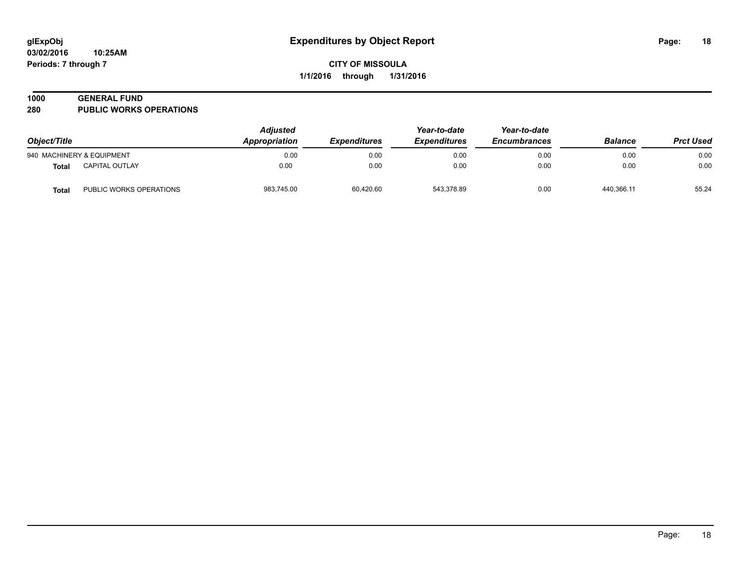#### **1000 GENERAL FUND**

**280 PUBLIC WORKS OPERATIONS**

| Object/Title |                           | <b>Adjusted</b><br>Year-to-date<br>Appropriation<br><b>Expenditures</b><br><i><b>Expenditures</b></i> |           | Year-to-date<br><b>Encumbrances</b> | <b>Balance</b> | <b>Prct Used</b> |       |
|--------------|---------------------------|-------------------------------------------------------------------------------------------------------|-----------|-------------------------------------|----------------|------------------|-------|
|              | 940 MACHINERY & EQUIPMENT | 0.00                                                                                                  | 0.00      | 0.00                                | 0.00           | 0.00             | 0.00  |
| Total        | CAPITAL OUTLAY            | 0.00                                                                                                  | 0.00      | 0.00                                | 0.00           | 0.00             | 0.00  |
| Total        | PUBLIC WORKS OPERATIONS   | 983,745.00                                                                                            | 60,420.60 | 543,378.89                          | 0.00           | 440,366.11       | 55.24 |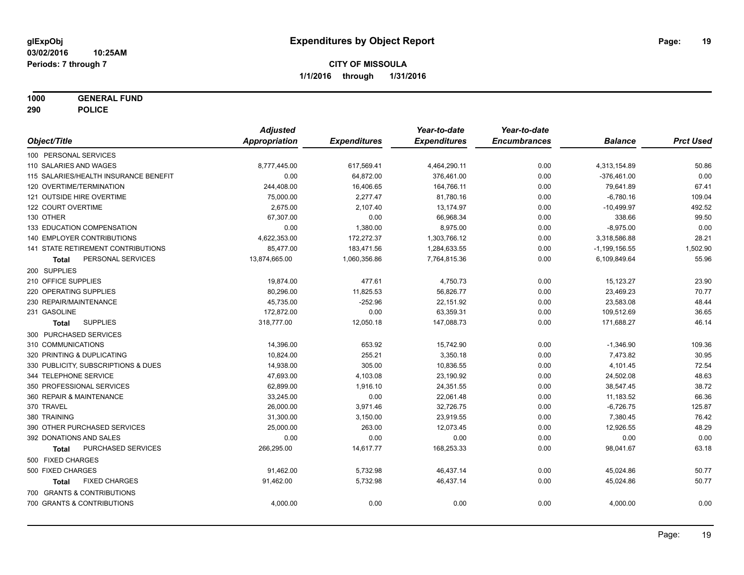**1000 GENERAL FUND**

**290 POLICE**

|                                           | <b>Adjusted</b> |                     | Year-to-date        | Year-to-date        |                   |                  |
|-------------------------------------------|-----------------|---------------------|---------------------|---------------------|-------------------|------------------|
| Object/Title                              | Appropriation   | <b>Expenditures</b> | <b>Expenditures</b> | <b>Encumbrances</b> | <b>Balance</b>    | <b>Prct Used</b> |
| 100 PERSONAL SERVICES                     |                 |                     |                     |                     |                   |                  |
| 110 SALARIES AND WAGES                    | 8,777,445.00    | 617,569.41          | 4,464,290.11        | 0.00                | 4,313,154.89      | 50.86            |
| 115 SALARIES/HEALTH INSURANCE BENEFIT     | 0.00            | 64,872.00           | 376,461.00          | 0.00                | $-376,461.00$     | 0.00             |
| 120 OVERTIME/TERMINATION                  | 244,408.00      | 16,406.65           | 164,766.11          | 0.00                | 79,641.89         | 67.41            |
| 121 OUTSIDE HIRE OVERTIME                 | 75,000.00       | 2,277.47            | 81,780.16           | 0.00                | $-6,780.16$       | 109.04           |
| 122 COURT OVERTIME                        | 2,675.00        | 2,107.40            | 13,174.97           | 0.00                | $-10,499.97$      | 492.52           |
| 130 OTHER                                 | 67,307.00       | 0.00                | 66,968.34           | 0.00                | 338.66            | 99.50            |
| 133 EDUCATION COMPENSATION                | 0.00            | 1,380.00            | 8,975.00            | 0.00                | $-8,975.00$       | 0.00             |
| <b>140 EMPLOYER CONTRIBUTIONS</b>         | 4,622,353.00    | 172.272.37          | 1,303,766.12        | 0.00                | 3,318,586.88      | 28.21            |
| <b>141 STATE RETIREMENT CONTRIBUTIONS</b> | 85,477.00       | 183,471.56          | 1,284,633.55        | 0.00                | $-1, 199, 156.55$ | 1,502.90         |
| PERSONAL SERVICES<br>Total                | 13,874,665.00   | 1,060,356.86        | 7,764,815.36        | 0.00                | 6,109,849.64      | 55.96            |
| 200 SUPPLIES                              |                 |                     |                     |                     |                   |                  |
| 210 OFFICE SUPPLIES                       | 19,874.00       | 477.61              | 4,750.73            | 0.00                | 15,123.27         | 23.90            |
| 220 OPERATING SUPPLIES                    | 80,296.00       | 11,825.53           | 56,826.77           | 0.00                | 23,469.23         | 70.77            |
| 230 REPAIR/MAINTENANCE                    | 45,735.00       | $-252.96$           | 22,151.92           | 0.00                | 23,583.08         | 48.44            |
| 231 GASOLINE                              | 172,872.00      | 0.00                | 63,359.31           | 0.00                | 109,512.69        | 36.65            |
| <b>SUPPLIES</b><br>Total                  | 318,777.00      | 12,050.18           | 147,088.73          | 0.00                | 171,688.27        | 46.14            |
| 300 PURCHASED SERVICES                    |                 |                     |                     |                     |                   |                  |
| 310 COMMUNICATIONS                        | 14,396.00       | 653.92              | 15,742.90           | 0.00                | $-1,346.90$       | 109.36           |
| 320 PRINTING & DUPLICATING                | 10,824.00       | 255.21              | 3,350.18            | 0.00                | 7,473.82          | 30.95            |
| 330 PUBLICITY, SUBSCRIPTIONS & DUES       | 14,938.00       | 305.00              | 10,836.55           | 0.00                | 4,101.45          | 72.54            |
| 344 TELEPHONE SERVICE                     | 47,693.00       | 4,103.08            | 23,190.92           | 0.00                | 24,502.08         | 48.63            |
| 350 PROFESSIONAL SERVICES                 | 62,899.00       | 1,916.10            | 24,351.55           | 0.00                | 38,547.45         | 38.72            |
| 360 REPAIR & MAINTENANCE                  | 33,245.00       | 0.00                | 22,061.48           | 0.00                | 11,183.52         | 66.36            |
| 370 TRAVEL                                | 26,000.00       | 3,971.46            | 32,726.75           | 0.00                | $-6,726.75$       | 125.87           |
| 380 TRAINING                              | 31,300.00       | 3,150.00            | 23,919.55           | 0.00                | 7,380.45          | 76.42            |
| 390 OTHER PURCHASED SERVICES              | 25,000.00       | 263.00              | 12,073.45           | 0.00                | 12,926.55         | 48.29            |
| 392 DONATIONS AND SALES                   | 0.00            | 0.00                | 0.00                | 0.00                | 0.00              | 0.00             |
| PURCHASED SERVICES<br><b>Total</b>        | 266,295.00      | 14,617.77           | 168,253.33          | 0.00                | 98,041.67         | 63.18            |
| 500 FIXED CHARGES                         |                 |                     |                     |                     |                   |                  |
| 500 FIXED CHARGES                         | 91,462.00       | 5,732.98            | 46,437.14           | 0.00                | 45,024.86         | 50.77            |
| <b>FIXED CHARGES</b><br>Total             | 91,462.00       | 5,732.98            | 46,437.14           | 0.00                | 45,024.86         | 50.77            |
| 700 GRANTS & CONTRIBUTIONS                |                 |                     |                     |                     |                   |                  |
| 700 GRANTS & CONTRIBUTIONS                | 4,000.00        | 0.00                | 0.00                | 0.00                | 4,000.00          | 0.00             |
|                                           |                 |                     |                     |                     |                   |                  |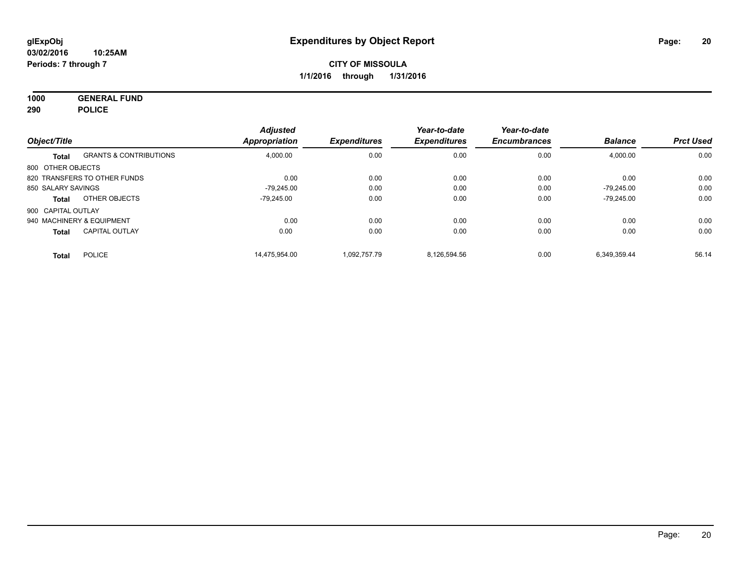**1000 GENERAL FUND 290 POLICE**

| Object/Title              |                                   | <b>Adjusted</b><br><b>Appropriation</b> | <b>Expenditures</b> | Year-to-date<br><b>Expenditures</b> | Year-to-date<br><b>Encumbrances</b> | <b>Balance</b> | <b>Prct Used</b> |
|---------------------------|-----------------------------------|-----------------------------------------|---------------------|-------------------------------------|-------------------------------------|----------------|------------------|
| Total                     | <b>GRANTS &amp; CONTRIBUTIONS</b> | 4,000.00                                | 0.00                | 0.00                                | 0.00                                | 4,000.00       | 0.00             |
| 800 OTHER OBJECTS         |                                   |                                         |                     |                                     |                                     |                |                  |
|                           | 820 TRANSFERS TO OTHER FUNDS      | 0.00                                    | 0.00                | 0.00                                | 0.00                                | 0.00           | 0.00             |
| 850 SALARY SAVINGS        |                                   | $-79.245.00$                            | 0.00                | 0.00                                | 0.00                                | $-79.245.00$   | 0.00             |
| Total                     | OTHER OBJECTS                     | $-79.245.00$                            | 0.00                | 0.00                                | 0.00                                | $-79.245.00$   | 0.00             |
| 900 CAPITAL OUTLAY        |                                   |                                         |                     |                                     |                                     |                |                  |
| 940 MACHINERY & EQUIPMENT |                                   | 0.00                                    | 0.00                | 0.00                                | 0.00                                | 0.00           | 0.00             |
| <b>Total</b>              | <b>CAPITAL OUTLAY</b>             | 0.00                                    | 0.00                | 0.00                                | 0.00                                | 0.00           | 0.00             |
| <b>Total</b>              | <b>POLICE</b>                     | 14.475.954.00                           | 1.092.757.79        | 8.126.594.56                        | 0.00                                | 6.349.359.44   | 56.14            |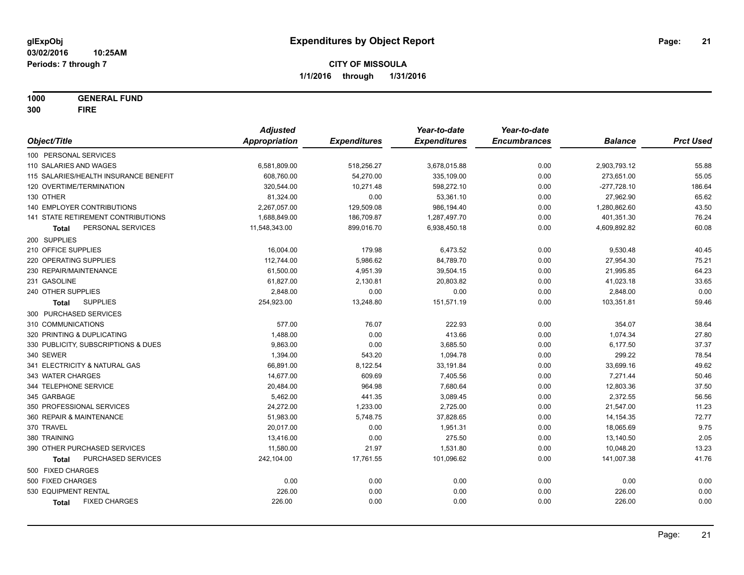**1000 GENERAL FUND**

**300 FIRE**

|                                       | <b>Adjusted</b>      |                     | Year-to-date        | Year-to-date        |                |                  |
|---------------------------------------|----------------------|---------------------|---------------------|---------------------|----------------|------------------|
| Object/Title                          | <b>Appropriation</b> | <b>Expenditures</b> | <b>Expenditures</b> | <b>Encumbrances</b> | <b>Balance</b> | <b>Prct Used</b> |
| 100 PERSONAL SERVICES                 |                      |                     |                     |                     |                |                  |
| 110 SALARIES AND WAGES                | 6,581,809.00         | 518,256.27          | 3,678,015.88        | 0.00                | 2,903,793.12   | 55.88            |
| 115 SALARIES/HEALTH INSURANCE BENEFIT | 608,760.00           | 54,270.00           | 335,109.00          | 0.00                | 273,651.00     | 55.05            |
| 120 OVERTIME/TERMINATION              | 320,544.00           | 10,271.48           | 598,272.10          | 0.00                | $-277,728.10$  | 186.64           |
| 130 OTHER                             | 81,324.00            | 0.00                | 53,361.10           | 0.00                | 27,962.90      | 65.62            |
| 140 EMPLOYER CONTRIBUTIONS            | 2,267,057.00         | 129,509.08          | 986,194.40          | 0.00                | 1,280,862.60   | 43.50            |
| 141 STATE RETIREMENT CONTRIBUTIONS    | 1,688,849.00         | 186,709.87          | 1,287,497.70        | 0.00                | 401,351.30     | 76.24            |
| PERSONAL SERVICES<br>Total            | 11,548,343.00        | 899,016.70          | 6,938,450.18        | 0.00                | 4,609,892.82   | 60.08            |
| 200 SUPPLIES                          |                      |                     |                     |                     |                |                  |
| 210 OFFICE SUPPLIES                   | 16,004.00            | 179.98              | 6,473.52            | 0.00                | 9,530.48       | 40.45            |
| 220 OPERATING SUPPLIES                | 112,744.00           | 5,986.62            | 84,789.70           | 0.00                | 27,954.30      | 75.21            |
| 230 REPAIR/MAINTENANCE                | 61,500.00            | 4,951.39            | 39,504.15           | 0.00                | 21,995.85      | 64.23            |
| 231 GASOLINE                          | 61,827.00            | 2,130.81            | 20,803.82           | 0.00                | 41,023.18      | 33.65            |
| 240 OTHER SUPPLIES                    | 2,848.00             | 0.00                | 0.00                | 0.00                | 2,848.00       | 0.00             |
| <b>SUPPLIES</b><br><b>Total</b>       | 254,923.00           | 13,248.80           | 151,571.19          | 0.00                | 103,351.81     | 59.46            |
| 300 PURCHASED SERVICES                |                      |                     |                     |                     |                |                  |
| 310 COMMUNICATIONS                    | 577.00               | 76.07               | 222.93              | 0.00                | 354.07         | 38.64            |
| 320 PRINTING & DUPLICATING            | 1,488.00             | 0.00                | 413.66              | 0.00                | 1,074.34       | 27.80            |
| 330 PUBLICITY, SUBSCRIPTIONS & DUES   | 9,863.00             | 0.00                | 3,685.50            | 0.00                | 6,177.50       | 37.37            |
| 340 SEWER                             | 1,394.00             | 543.20              | 1,094.78            | 0.00                | 299.22         | 78.54            |
| 341 ELECTRICITY & NATURAL GAS         | 66,891.00            | 8,122.54            | 33,191.84           | 0.00                | 33,699.16      | 49.62            |
| 343 WATER CHARGES                     | 14,677.00            | 609.69              | 7,405.56            | 0.00                | 7,271.44       | 50.46            |
| 344 TELEPHONE SERVICE                 | 20,484.00            | 964.98              | 7,680.64            | 0.00                | 12,803.36      | 37.50            |
| 345 GARBAGE                           | 5,462.00             | 441.35              | 3,089.45            | 0.00                | 2,372.55       | 56.56            |
| 350 PROFESSIONAL SERVICES             | 24,272.00            | 1,233.00            | 2,725.00            | 0.00                | 21,547.00      | 11.23            |
| 360 REPAIR & MAINTENANCE              | 51,983.00            | 5,748.75            | 37,828.65           | 0.00                | 14,154.35      | 72.77            |
| 370 TRAVEL                            | 20,017.00            | 0.00                | 1,951.31            | 0.00                | 18,065.69      | 9.75             |
| 380 TRAINING                          | 13,416.00            | 0.00                | 275.50              | 0.00                | 13,140.50      | 2.05             |
| 390 OTHER PURCHASED SERVICES          | 11,580.00            | 21.97               | 1,531.80            | 0.00                | 10,048.20      | 13.23            |
| PURCHASED SERVICES<br><b>Total</b>    | 242,104.00           | 17,761.55           | 101,096.62          | 0.00                | 141,007.38     | 41.76            |
| 500 FIXED CHARGES                     |                      |                     |                     |                     |                |                  |
| 500 FIXED CHARGES                     | 0.00                 | 0.00                | 0.00                | 0.00                | 0.00           | 0.00             |
| 530 EQUIPMENT RENTAL                  | 226.00               | 0.00                | 0.00                | 0.00                | 226.00         | 0.00             |
| <b>FIXED CHARGES</b><br><b>Total</b>  | 226.00               | 0.00                | 0.00                | 0.00                | 226.00         | 0.00             |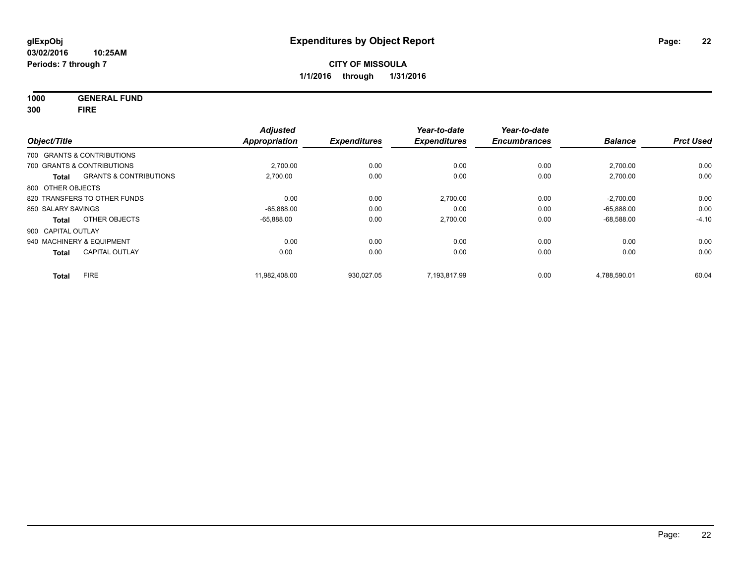**1000 GENERAL FUND**

**300 FIRE**

| Object/Title       |                                   | <b>Adjusted</b><br><b>Appropriation</b> | <b>Expenditures</b> | Year-to-date<br><b>Expenditures</b> | Year-to-date<br><b>Encumbrances</b> | <b>Balance</b> | <b>Prct Used</b> |
|--------------------|-----------------------------------|-----------------------------------------|---------------------|-------------------------------------|-------------------------------------|----------------|------------------|
|                    | 700 GRANTS & CONTRIBUTIONS        |                                         |                     |                                     |                                     |                |                  |
|                    |                                   |                                         |                     |                                     |                                     |                |                  |
|                    | 700 GRANTS & CONTRIBUTIONS        | 2,700.00                                | 0.00                | 0.00                                | 0.00                                | 2,700.00       | 0.00             |
| <b>Total</b>       | <b>GRANTS &amp; CONTRIBUTIONS</b> | 2,700.00                                | 0.00                | 0.00                                | 0.00                                | 2,700.00       | 0.00             |
| 800 OTHER OBJECTS  |                                   |                                         |                     |                                     |                                     |                |                  |
|                    | 820 TRANSFERS TO OTHER FUNDS      | 0.00                                    | 0.00                | 2,700.00                            | 0.00                                | $-2,700.00$    | 0.00             |
| 850 SALARY SAVINGS |                                   | $-65.888.00$                            | 0.00                | 0.00                                | 0.00                                | $-65.888.00$   | 0.00             |
| Total              | OTHER OBJECTS                     | $-65,888.00$                            | 0.00                | 2,700.00                            | 0.00                                | $-68,588.00$   | $-4.10$          |
| 900 CAPITAL OUTLAY |                                   |                                         |                     |                                     |                                     |                |                  |
|                    | 940 MACHINERY & EQUIPMENT         | 0.00                                    | 0.00                | 0.00                                | 0.00                                | 0.00           | 0.00             |
| <b>Total</b>       | <b>CAPITAL OUTLAY</b>             | 0.00                                    | 0.00                | 0.00                                | 0.00                                | 0.00           | 0.00             |
| Total              | <b>FIRE</b>                       | 11.982.408.00                           | 930.027.05          | 7,193,817.99                        | 0.00                                | 4,788,590.01   | 60.04            |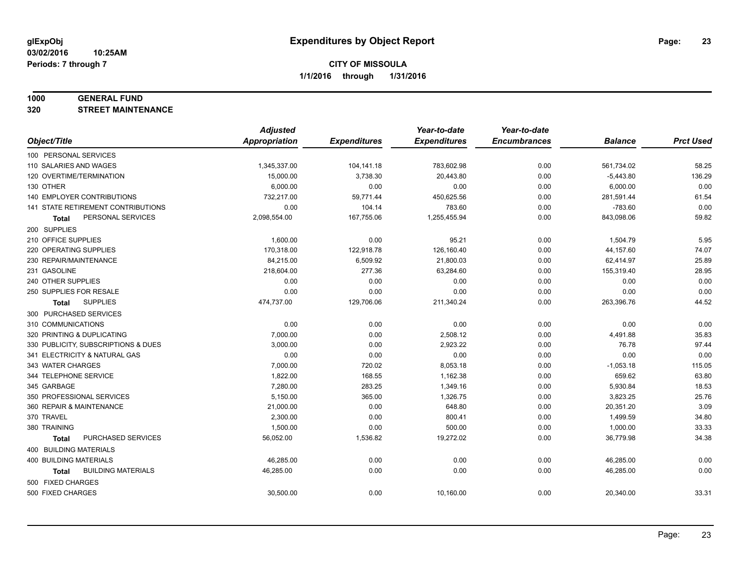#### **1000 GENERAL FUND**

**320 STREET MAINTENANCE**

|                                     | <b>Adjusted</b>      |                     | Year-to-date        | Year-to-date        |                |                  |
|-------------------------------------|----------------------|---------------------|---------------------|---------------------|----------------|------------------|
| Object/Title                        | <b>Appropriation</b> | <b>Expenditures</b> | <b>Expenditures</b> | <b>Encumbrances</b> | <b>Balance</b> | <b>Prct Used</b> |
| 100 PERSONAL SERVICES               |                      |                     |                     |                     |                |                  |
| 110 SALARIES AND WAGES              | 1,345,337.00         | 104,141.18          | 783,602.98          | 0.00                | 561,734.02     | 58.25            |
| 120 OVERTIME/TERMINATION            | 15,000.00            | 3,738.30            | 20,443.80           | 0.00                | $-5,443.80$    | 136.29           |
| 130 OTHER                           | 6,000.00             | 0.00                | 0.00                | 0.00                | 6,000.00       | 0.00             |
| <b>140 EMPLOYER CONTRIBUTIONS</b>   | 732,217.00           | 59,771.44           | 450,625.56          | 0.00                | 281,591.44     | 61.54            |
| 141 STATE RETIREMENT CONTRIBUTIONS  | 0.00                 | 104.14              | 783.60              | 0.00                | $-783.60$      | 0.00             |
| PERSONAL SERVICES<br>Total          | 2,098,554.00         | 167,755.06          | 1,255,455.94        | 0.00                | 843,098.06     | 59.82            |
| 200 SUPPLIES                        |                      |                     |                     |                     |                |                  |
| 210 OFFICE SUPPLIES                 | 1,600.00             | 0.00                | 95.21               | 0.00                | 1,504.79       | 5.95             |
| 220 OPERATING SUPPLIES              | 170,318.00           | 122,918.78          | 126,160.40          | 0.00                | 44,157.60      | 74.07            |
| 230 REPAIR/MAINTENANCE              | 84,215.00            | 6,509.92            | 21,800.03           | 0.00                | 62,414.97      | 25.89            |
| 231 GASOLINE                        | 218,604.00           | 277.36              | 63,284.60           | 0.00                | 155,319.40     | 28.95            |
| 240 OTHER SUPPLIES                  | 0.00                 | 0.00                | 0.00                | 0.00                | 0.00           | 0.00             |
| 250 SUPPLIES FOR RESALE             | 0.00                 | 0.00                | 0.00                | 0.00                | 0.00           | 0.00             |
| <b>SUPPLIES</b><br>Total            | 474,737.00           | 129,706.06          | 211,340.24          | 0.00                | 263,396.76     | 44.52            |
| 300 PURCHASED SERVICES              |                      |                     |                     |                     |                |                  |
| 310 COMMUNICATIONS                  | 0.00                 | 0.00                | 0.00                | 0.00                | 0.00           | 0.00             |
| 320 PRINTING & DUPLICATING          | 7,000.00             | 0.00                | 2,508.12            | 0.00                | 4,491.88       | 35.83            |
| 330 PUBLICITY, SUBSCRIPTIONS & DUES | 3,000.00             | 0.00                | 2,923.22            | 0.00                | 76.78          | 97.44            |
| 341 ELECTRICITY & NATURAL GAS       | 0.00                 | 0.00                | 0.00                | 0.00                | 0.00           | 0.00             |
| 343 WATER CHARGES                   | 7,000.00             | 720.02              | 8,053.18            | 0.00                | $-1,053.18$    | 115.05           |
| 344 TELEPHONE SERVICE               | 1,822.00             | 168.55              | 1,162.38            | 0.00                | 659.62         | 63.80            |
| 345 GARBAGE                         | 7,280.00             | 283.25              | 1,349.16            | 0.00                | 5,930.84       | 18.53            |
| 350 PROFESSIONAL SERVICES           | 5,150.00             | 365.00              | 1,326.75            | 0.00                | 3,823.25       | 25.76            |
| 360 REPAIR & MAINTENANCE            | 21,000.00            | 0.00                | 648.80              | 0.00                | 20,351.20      | 3.09             |
| 370 TRAVEL                          | 2,300.00             | 0.00                | 800.41              | 0.00                | 1,499.59       | 34.80            |
| 380 TRAINING                        | 1,500.00             | 0.00                | 500.00              | 0.00                | 1,000.00       | 33.33            |
| PURCHASED SERVICES<br>Total         | 56,052.00            | 1,536.82            | 19,272.02           | 0.00                | 36,779.98      | 34.38            |
| 400 BUILDING MATERIALS              |                      |                     |                     |                     |                |                  |
| <b>400 BUILDING MATERIALS</b>       | 46,285.00            | 0.00                | 0.00                | 0.00                | 46,285.00      | 0.00             |
| <b>BUILDING MATERIALS</b><br>Total  | 46,285.00            | 0.00                | 0.00                | 0.00                | 46,285.00      | 0.00             |
| 500 FIXED CHARGES                   |                      |                     |                     |                     |                |                  |
| 500 FIXED CHARGES                   | 30,500.00            | 0.00                | 10,160.00           | 0.00                | 20,340.00      | 33.31            |
|                                     |                      |                     |                     |                     |                |                  |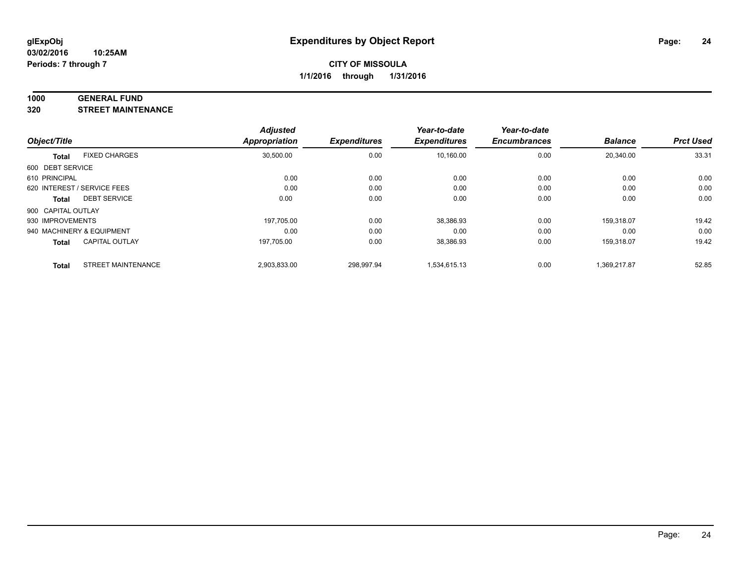#### **1000 GENERAL FUND**

**320 STREET MAINTENANCE**

|                    |                             | <b>Adjusted</b> |                     | Year-to-date        | Year-to-date        |                |                  |
|--------------------|-----------------------------|-----------------|---------------------|---------------------|---------------------|----------------|------------------|
| Object/Title       |                             | Appropriation   | <b>Expenditures</b> | <b>Expenditures</b> | <b>Encumbrances</b> | <b>Balance</b> | <b>Prct Used</b> |
| <b>Total</b>       | <b>FIXED CHARGES</b>        | 30,500.00       | 0.00                | 10,160.00           | 0.00                | 20,340.00      | 33.31            |
| 600 DEBT SERVICE   |                             |                 |                     |                     |                     |                |                  |
| 610 PRINCIPAL      |                             | 0.00            | 0.00                | 0.00                | 0.00                | 0.00           | 0.00             |
|                    | 620 INTEREST / SERVICE FEES | 0.00            | 0.00                | 0.00                | 0.00                | 0.00           | 0.00             |
| Total              | <b>DEBT SERVICE</b>         | 0.00            | 0.00                | 0.00                | 0.00                | 0.00           | 0.00             |
| 900 CAPITAL OUTLAY |                             |                 |                     |                     |                     |                |                  |
| 930 IMPROVEMENTS   |                             | 197,705.00      | 0.00                | 38,386.93           | 0.00                | 159,318.07     | 19.42            |
|                    | 940 MACHINERY & EQUIPMENT   | 0.00            | 0.00                | 0.00                | 0.00                | 0.00           | 0.00             |
| <b>Total</b>       | <b>CAPITAL OUTLAY</b>       | 197,705.00      | 0.00                | 38,386.93           | 0.00                | 159.318.07     | 19.42            |
| <b>Total</b>       | <b>STREET MAINTENANCE</b>   | 2,903,833.00    | 298.997.94          | 1.534.615.13        | 0.00                | 1.369.217.87   | 52.85            |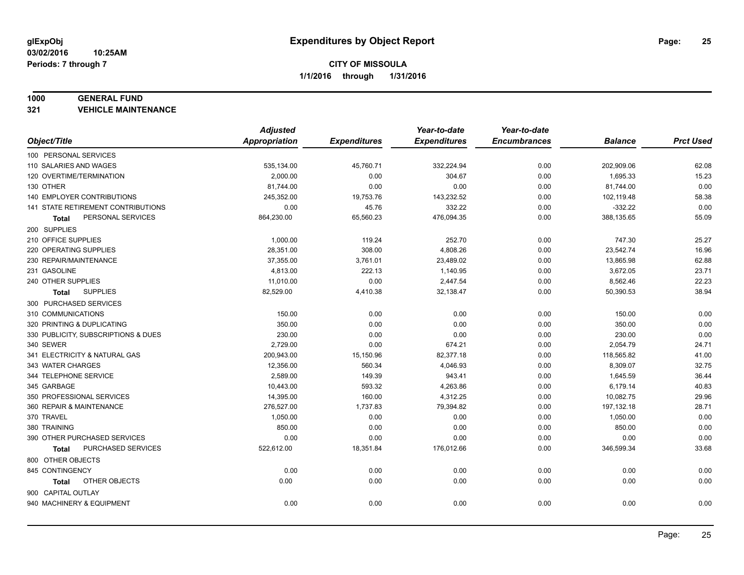#### **1000 GENERAL FUND**

**321 VEHICLE MAINTENANCE**

|                                     | <b>Adjusted</b>      |                     | Year-to-date        | Year-to-date        |                |                  |
|-------------------------------------|----------------------|---------------------|---------------------|---------------------|----------------|------------------|
| Object/Title                        | <b>Appropriation</b> | <b>Expenditures</b> | <b>Expenditures</b> | <b>Encumbrances</b> | <b>Balance</b> | <b>Prct Used</b> |
| 100 PERSONAL SERVICES               |                      |                     |                     |                     |                |                  |
| 110 SALARIES AND WAGES              | 535,134.00           | 45,760.71           | 332,224.94          | 0.00                | 202,909.06     | 62.08            |
| 120 OVERTIME/TERMINATION            | 2,000.00             | 0.00                | 304.67              | 0.00                | 1,695.33       | 15.23            |
| 130 OTHER                           | 81,744.00            | 0.00                | 0.00                | 0.00                | 81,744.00      | 0.00             |
| 140 EMPLOYER CONTRIBUTIONS          | 245,352.00           | 19,753.76           | 143,232.52          | 0.00                | 102,119.48     | 58.38            |
| 141 STATE RETIREMENT CONTRIBUTIONS  | 0.00                 | 45.76               | 332.22              | 0.00                | $-332.22$      | 0.00             |
| PERSONAL SERVICES<br>Total          | 864,230.00           | 65,560.23           | 476,094.35          | 0.00                | 388,135.65     | 55.09            |
| 200 SUPPLIES                        |                      |                     |                     |                     |                |                  |
| 210 OFFICE SUPPLIES                 | 1,000.00             | 119.24              | 252.70              | 0.00                | 747.30         | 25.27            |
| 220 OPERATING SUPPLIES              | 28,351.00            | 308.00              | 4,808.26            | 0.00                | 23,542.74      | 16.96            |
| 230 REPAIR/MAINTENANCE              | 37,355.00            | 3,761.01            | 23,489.02           | 0.00                | 13,865.98      | 62.88            |
| 231 GASOLINE                        | 4,813.00             | 222.13              | 1,140.95            | 0.00                | 3,672.05       | 23.71            |
| 240 OTHER SUPPLIES                  | 11,010.00            | 0.00                | 2,447.54            | 0.00                | 8,562.46       | 22.23            |
| <b>SUPPLIES</b><br>Total            | 82,529.00            | 4,410.38            | 32,138.47           | 0.00                | 50,390.53      | 38.94            |
| 300 PURCHASED SERVICES              |                      |                     |                     |                     |                |                  |
| 310 COMMUNICATIONS                  | 150.00               | 0.00                | 0.00                | 0.00                | 150.00         | 0.00             |
| 320 PRINTING & DUPLICATING          | 350.00               | 0.00                | 0.00                | 0.00                | 350.00         | 0.00             |
| 330 PUBLICITY, SUBSCRIPTIONS & DUES | 230.00               | 0.00                | 0.00                | 0.00                | 230.00         | 0.00             |
| 340 SEWER                           | 2,729.00             | 0.00                | 674.21              | 0.00                | 2,054.79       | 24.71            |
| 341 ELECTRICITY & NATURAL GAS       | 200,943.00           | 15,150.96           | 82,377.18           | 0.00                | 118,565.82     | 41.00            |
| 343 WATER CHARGES                   | 12,356.00            | 560.34              | 4,046.93            | 0.00                | 8,309.07       | 32.75            |
| 344 TELEPHONE SERVICE               | 2,589.00             | 149.39              | 943.41              | 0.00                | 1,645.59       | 36.44            |
| 345 GARBAGE                         | 10,443.00            | 593.32              | 4,263.86            | 0.00                | 6,179.14       | 40.83            |
| 350 PROFESSIONAL SERVICES           | 14,395.00            | 160.00              | 4,312.25            | 0.00                | 10,082.75      | 29.96            |
| 360 REPAIR & MAINTENANCE            | 276,527.00           | 1,737.83            | 79,394.82           | 0.00                | 197,132.18     | 28.71            |
| 370 TRAVEL                          | 1,050.00             | 0.00                | 0.00                | 0.00                | 1,050.00       | 0.00             |
| 380 TRAINING                        | 850.00               | 0.00                | 0.00                | 0.00                | 850.00         | 0.00             |
| 390 OTHER PURCHASED SERVICES        | 0.00                 | 0.00                | 0.00                | 0.00                | 0.00           | 0.00             |
| PURCHASED SERVICES<br><b>Total</b>  | 522,612.00           | 18,351.84           | 176,012.66          | 0.00                | 346,599.34     | 33.68            |
| 800 OTHER OBJECTS                   |                      |                     |                     |                     |                |                  |
| 845 CONTINGENCY                     | 0.00                 | 0.00                | 0.00                | 0.00                | 0.00           | 0.00             |
| OTHER OBJECTS<br><b>Total</b>       | 0.00                 | 0.00                | 0.00                | 0.00                | 0.00           | 0.00             |
| 900 CAPITAL OUTLAY                  |                      |                     |                     |                     |                |                  |
| 940 MACHINERY & EQUIPMENT           | 0.00                 | 0.00                | 0.00                | 0.00                | 0.00           | 0.00             |
|                                     |                      |                     |                     |                     |                |                  |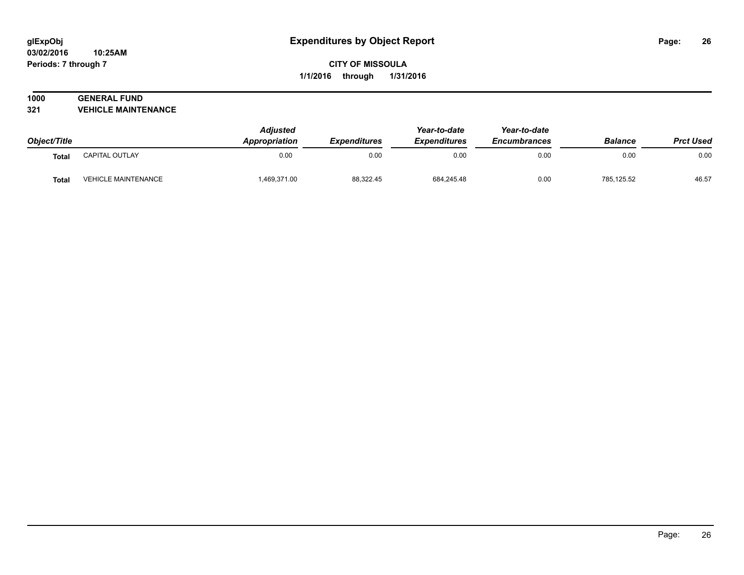## **1000 GENERAL FUND**

**321 VEHICLE MAINTENANCE**

| Object/Title |                            | <b>Adjusted</b><br>Appropriation | <b>Expenditures</b> | Year-to-date<br><b>Expenditures</b> | Year-to-date<br><b>Encumbrances</b> | <b>Balance</b> | <b>Prct Used</b> |
|--------------|----------------------------|----------------------------------|---------------------|-------------------------------------|-------------------------------------|----------------|------------------|
| <b>Total</b> | CAPITAL OUTLAY             | 0.00                             | 0.00                | 0.00                                | 0.00                                | 0.00           | 0.00             |
| <b>Total</b> | <b>VEHICLE MAINTENANCE</b> | 1,469,371.00                     | 88,322.45           | 684,245.48                          | 0.00                                | 785,125.52     | 46.57            |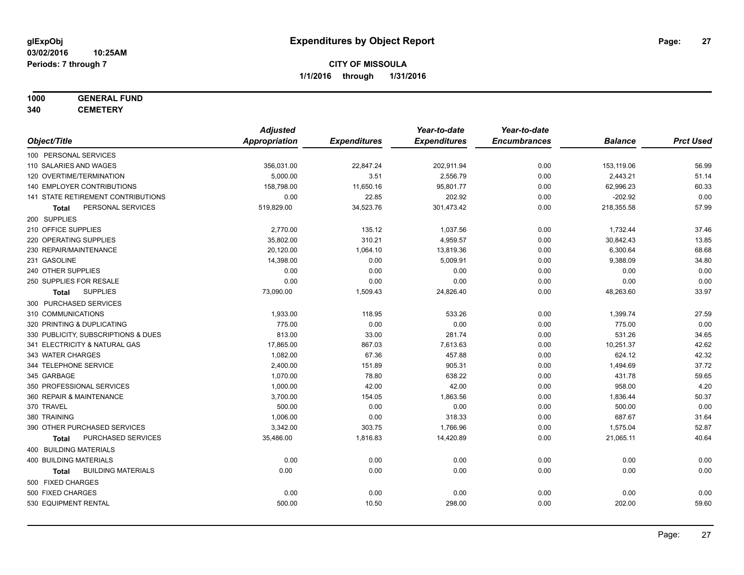## **1000 GENERAL FUND**

**340 CEMETERY**

|                                           | <b>Adjusted</b> |                     | Year-to-date        | Year-to-date        |                |                  |
|-------------------------------------------|-----------------|---------------------|---------------------|---------------------|----------------|------------------|
| Object/Title                              | Appropriation   | <b>Expenditures</b> | <b>Expenditures</b> | <b>Encumbrances</b> | <b>Balance</b> | <b>Prct Used</b> |
| 100 PERSONAL SERVICES                     |                 |                     |                     |                     |                |                  |
| 110 SALARIES AND WAGES                    | 356,031.00      | 22,847.24           | 202,911.94          | 0.00                | 153,119.06     | 56.99            |
| 120 OVERTIME/TERMINATION                  | 5,000.00        | 3.51                | 2,556.79            | 0.00                | 2,443.21       | 51.14            |
| 140 EMPLOYER CONTRIBUTIONS                | 158,798.00      | 11,650.16           | 95,801.77           | 0.00                | 62,996.23      | 60.33            |
| 141 STATE RETIREMENT CONTRIBUTIONS        | 0.00            | 22.85               | 202.92              | 0.00                | $-202.92$      | 0.00             |
| PERSONAL SERVICES<br>Total                | 519,829.00      | 34,523.76           | 301,473.42          | 0.00                | 218,355.58     | 57.99            |
| 200 SUPPLIES                              |                 |                     |                     |                     |                |                  |
| 210 OFFICE SUPPLIES                       | 2,770.00        | 135.12              | 1,037.56            | 0.00                | 1,732.44       | 37.46            |
| 220 OPERATING SUPPLIES                    | 35,802.00       | 310.21              | 4,959.57            | 0.00                | 30,842.43      | 13.85            |
| 230 REPAIR/MAINTENANCE                    | 20,120.00       | 1,064.10            | 13,819.36           | 0.00                | 6,300.64       | 68.68            |
| 231 GASOLINE                              | 14,398.00       | 0.00                | 5,009.91            | 0.00                | 9,388.09       | 34.80            |
| 240 OTHER SUPPLIES                        | 0.00            | 0.00                | 0.00                | 0.00                | 0.00           | 0.00             |
| 250 SUPPLIES FOR RESALE                   | 0.00            | 0.00                | 0.00                | 0.00                | 0.00           | 0.00             |
| <b>SUPPLIES</b><br>Total                  | 73,090.00       | 1,509.43            | 24,826.40           | 0.00                | 48,263.60      | 33.97            |
| 300 PURCHASED SERVICES                    |                 |                     |                     |                     |                |                  |
| 310 COMMUNICATIONS                        | 1,933.00        | 118.95              | 533.26              | 0.00                | 1,399.74       | 27.59            |
| 320 PRINTING & DUPLICATING                | 775.00          | 0.00                | 0.00                | 0.00                | 775.00         | 0.00             |
| 330 PUBLICITY, SUBSCRIPTIONS & DUES       | 813.00          | 33.00               | 281.74              | 0.00                | 531.26         | 34.65            |
| 341 ELECTRICITY & NATURAL GAS             | 17,865.00       | 867.03              | 7,613.63            | 0.00                | 10,251.37      | 42.62            |
| 343 WATER CHARGES                         | 1,082.00        | 67.36               | 457.88              | 0.00                | 624.12         | 42.32            |
| 344 TELEPHONE SERVICE                     | 2,400.00        | 151.89              | 905.31              | 0.00                | 1,494.69       | 37.72            |
| 345 GARBAGE                               | 1,070.00        | 78.80               | 638.22              | 0.00                | 431.78         | 59.65            |
| 350 PROFESSIONAL SERVICES                 | 1,000.00        | 42.00               | 42.00               | 0.00                | 958.00         | 4.20             |
| 360 REPAIR & MAINTENANCE                  | 3,700.00        | 154.05              | 1,863.56            | 0.00                | 1,836.44       | 50.37            |
| 370 TRAVEL                                | 500.00          | 0.00                | 0.00                | 0.00                | 500.00         | 0.00             |
| 380 TRAINING                              | 1,006.00        | 0.00                | 318.33              | 0.00                | 687.67         | 31.64            |
| 390 OTHER PURCHASED SERVICES              | 3,342.00        | 303.75              | 1,766.96            | 0.00                | 1,575.04       | 52.87            |
| PURCHASED SERVICES<br><b>Total</b>        | 35,486.00       | 1,816.83            | 14,420.89           | 0.00                | 21,065.11      | 40.64            |
| 400 BUILDING MATERIALS                    |                 |                     |                     |                     |                |                  |
| <b>400 BUILDING MATERIALS</b>             | 0.00            | 0.00                | 0.00                | 0.00                | 0.00           | 0.00             |
| <b>BUILDING MATERIALS</b><br><b>Total</b> | 0.00            | 0.00                | 0.00                | 0.00                | 0.00           | 0.00             |
| 500 FIXED CHARGES                         |                 |                     |                     |                     |                |                  |
| 500 FIXED CHARGES                         | 0.00            | 0.00                | 0.00                | 0.00                | 0.00           | 0.00             |
| 530 EQUIPMENT RENTAL                      | 500.00          | 10.50               | 298.00              | 0.00                | 202.00         | 59.60            |
|                                           |                 |                     |                     |                     |                |                  |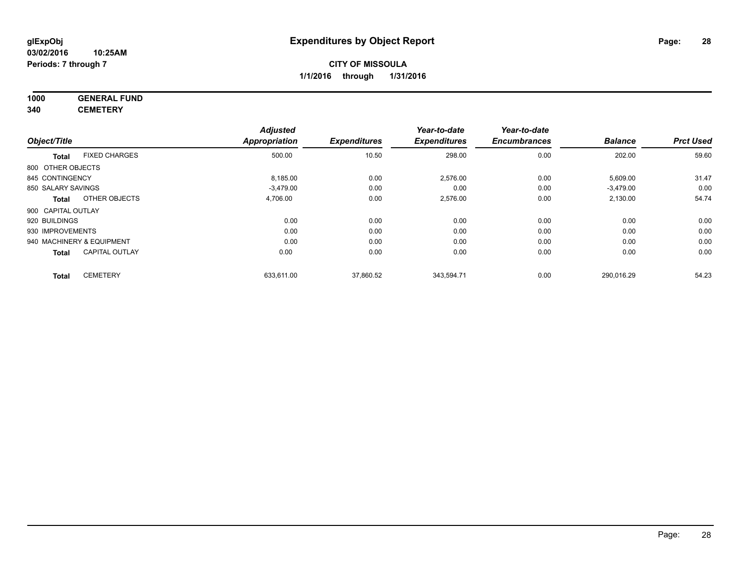#### **1000 GENERAL FUND 340 CEMETERY**

|                           |                       | <b>Adjusted</b>      |                     | Year-to-date        | Year-to-date        |                |                  |
|---------------------------|-----------------------|----------------------|---------------------|---------------------|---------------------|----------------|------------------|
| Object/Title              |                       | <b>Appropriation</b> | <b>Expenditures</b> | <b>Expenditures</b> | <b>Encumbrances</b> | <b>Balance</b> | <b>Prct Used</b> |
| <b>Total</b>              | <b>FIXED CHARGES</b>  | 500.00               | 10.50               | 298.00              | 0.00                | 202.00         | 59.60            |
| 800 OTHER OBJECTS         |                       |                      |                     |                     |                     |                |                  |
| 845 CONTINGENCY           |                       | 8,185.00             | 0.00                | 2,576.00            | 0.00                | 5,609.00       | 31.47            |
| 850 SALARY SAVINGS        |                       | $-3.479.00$          | 0.00                | 0.00                | 0.00                | $-3,479.00$    | 0.00             |
| <b>Total</b>              | OTHER OBJECTS         | 4,706.00             | 0.00                | 2,576.00            | 0.00                | 2,130.00       | 54.74            |
| 900 CAPITAL OUTLAY        |                       |                      |                     |                     |                     |                |                  |
| 920 BUILDINGS             |                       | 0.00                 | 0.00                | 0.00                | 0.00                | 0.00           | 0.00             |
| 930 IMPROVEMENTS          |                       | 0.00                 | 0.00                | 0.00                | 0.00                | 0.00           | 0.00             |
| 940 MACHINERY & EQUIPMENT |                       | 0.00                 | 0.00                | 0.00                | 0.00                | 0.00           | 0.00             |
| <b>Total</b>              | <b>CAPITAL OUTLAY</b> | 0.00                 | 0.00                | 0.00                | 0.00                | 0.00           | 0.00             |
| <b>Total</b>              | <b>CEMETERY</b>       | 633,611.00           | 37,860.52           | 343.594.71          | 0.00                | 290.016.29     | 54.23            |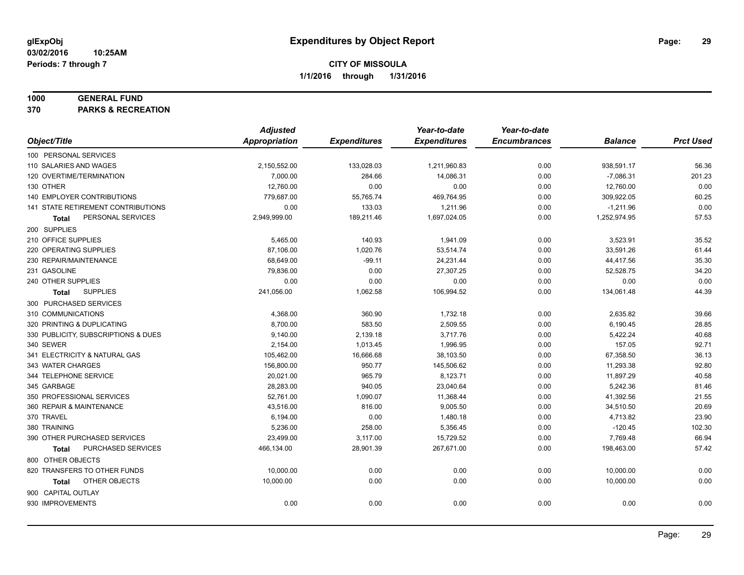#### **1000 GENERAL FUND**

**370 PARKS & RECREATION**

|                                     | <b>Adjusted</b>      |                     | Year-to-date        | Year-to-date        |                |                  |
|-------------------------------------|----------------------|---------------------|---------------------|---------------------|----------------|------------------|
| Object/Title                        | <b>Appropriation</b> | <b>Expenditures</b> | <b>Expenditures</b> | <b>Encumbrances</b> | <b>Balance</b> | <b>Prct Used</b> |
| 100 PERSONAL SERVICES               |                      |                     |                     |                     |                |                  |
| 110 SALARIES AND WAGES              | 2,150,552.00         | 133,028.03          | 1,211,960.83        | 0.00                | 938,591.17     | 56.36            |
| 120 OVERTIME/TERMINATION            | 7,000.00             | 284.66              | 14,086.31           | 0.00                | $-7,086.31$    | 201.23           |
| 130 OTHER                           | 12,760.00            | 0.00                | 0.00                | 0.00                | 12,760.00      | 0.00             |
| 140 EMPLOYER CONTRIBUTIONS          | 779,687.00           | 55,765.74           | 469,764.95          | 0.00                | 309,922.05     | 60.25            |
| 141 STATE RETIREMENT CONTRIBUTIONS  | 0.00                 | 133.03              | 1,211.96            | 0.00                | $-1,211.96$    | 0.00             |
| PERSONAL SERVICES<br>Total          | 2,949,999.00         | 189,211.46          | 1,697,024.05        | 0.00                | 1,252,974.95   | 57.53            |
| 200 SUPPLIES                        |                      |                     |                     |                     |                |                  |
| 210 OFFICE SUPPLIES                 | 5,465.00             | 140.93              | 1,941.09            | 0.00                | 3,523.91       | 35.52            |
| 220 OPERATING SUPPLIES              | 87,106.00            | 1,020.76            | 53,514.74           | 0.00                | 33,591.26      | 61.44            |
| 230 REPAIR/MAINTENANCE              | 68,649.00            | $-99.11$            | 24,231.44           | 0.00                | 44,417.56      | 35.30            |
| 231 GASOLINE                        | 79,836.00            | 0.00                | 27,307.25           | 0.00                | 52,528.75      | 34.20            |
| 240 OTHER SUPPLIES                  | 0.00                 | 0.00                | 0.00                | 0.00                | 0.00           | 0.00             |
| <b>SUPPLIES</b><br><b>Total</b>     | 241,056.00           | 1,062.58            | 106,994.52          | 0.00                | 134,061.48     | 44.39            |
| 300 PURCHASED SERVICES              |                      |                     |                     |                     |                |                  |
| 310 COMMUNICATIONS                  | 4,368.00             | 360.90              | 1,732.18            | 0.00                | 2,635.82       | 39.66            |
| 320 PRINTING & DUPLICATING          | 8.700.00             | 583.50              | 2,509.55            | 0.00                | 6,190.45       | 28.85            |
| 330 PUBLICITY, SUBSCRIPTIONS & DUES | 9,140.00             | 2,139.18            | 3,717.76            | 0.00                | 5,422.24       | 40.68            |
| 340 SEWER                           | 2,154.00             | 1,013.45            | 1,996.95            | 0.00                | 157.05         | 92.71            |
| 341 ELECTRICITY & NATURAL GAS       | 105,462.00           | 16,666.68           | 38,103.50           | 0.00                | 67,358.50      | 36.13            |
| 343 WATER CHARGES                   | 156,800.00           | 950.77              | 145,506.62          | 0.00                | 11,293.38      | 92.80            |
| 344 TELEPHONE SERVICE               | 20,021.00            | 965.79              | 8,123.71            | 0.00                | 11,897.29      | 40.58            |
| 345 GARBAGE                         | 28,283.00            | 940.05              | 23,040.64           | 0.00                | 5,242.36       | 81.46            |
| 350 PROFESSIONAL SERVICES           | 52,761.00            | 1,090.07            | 11,368.44           | 0.00                | 41,392.56      | 21.55            |
| 360 REPAIR & MAINTENANCE            | 43,516.00            | 816.00              | 9,005.50            | 0.00                | 34,510.50      | 20.69            |
| 370 TRAVEL                          | 6,194.00             | 0.00                | 1,480.18            | 0.00                | 4,713.82       | 23.90            |
| 380 TRAINING                        | 5,236.00             | 258.00              | 5,356.45            | 0.00                | $-120.45$      | 102.30           |
| 390 OTHER PURCHASED SERVICES        | 23,499.00            | 3,117.00            | 15,729.52           | 0.00                | 7,769.48       | 66.94            |
| PURCHASED SERVICES<br><b>Total</b>  | 466,134.00           | 28,901.39           | 267,671.00          | 0.00                | 198,463.00     | 57.42            |
| 800 OTHER OBJECTS                   |                      |                     |                     |                     |                |                  |
| 820 TRANSFERS TO OTHER FUNDS        | 10,000.00            | 0.00                | 0.00                | 0.00                | 10,000.00      | 0.00             |
| OTHER OBJECTS<br>Total              | 10,000.00            | 0.00                | 0.00                | 0.00                | 10,000.00      | 0.00             |
| 900 CAPITAL OUTLAY                  |                      |                     |                     |                     |                |                  |
| 930 IMPROVEMENTS                    | 0.00                 | 0.00                | 0.00                | 0.00                | 0.00           | 0.00             |
|                                     |                      |                     |                     |                     |                |                  |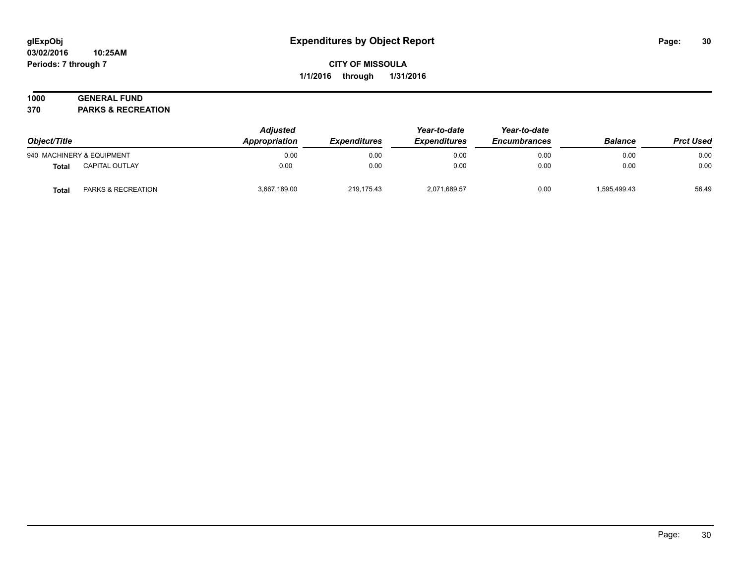## **1000 GENERAL FUND**

**370 PARKS & RECREATION**

| Object/Title |                           | <b>Adjusted</b><br>Appropriation | <i><b>Expenditures</b></i> | Year-to-date<br><b>Expenditures</b> | Year-to-date<br><b>Encumbrances</b> | <b>Balance</b> | <b>Prct Used</b> |
|--------------|---------------------------|----------------------------------|----------------------------|-------------------------------------|-------------------------------------|----------------|------------------|
|              | 940 MACHINERY & EQUIPMENT | 0.00                             | 0.00                       | 0.00                                | 0.00                                | 0.00           | 0.00             |
| <b>Total</b> | CAPITAL OUTLAY            | 0.00                             | 0.00                       | 0.00                                | 0.00                                | 0.00           | 0.00             |
| <b>Total</b> | PARKS & RECREATION        | 3,667,189.00                     | 219,175.43                 | 2,071,689.57                        | 0.00                                | 1,595,499.43   | 56.49            |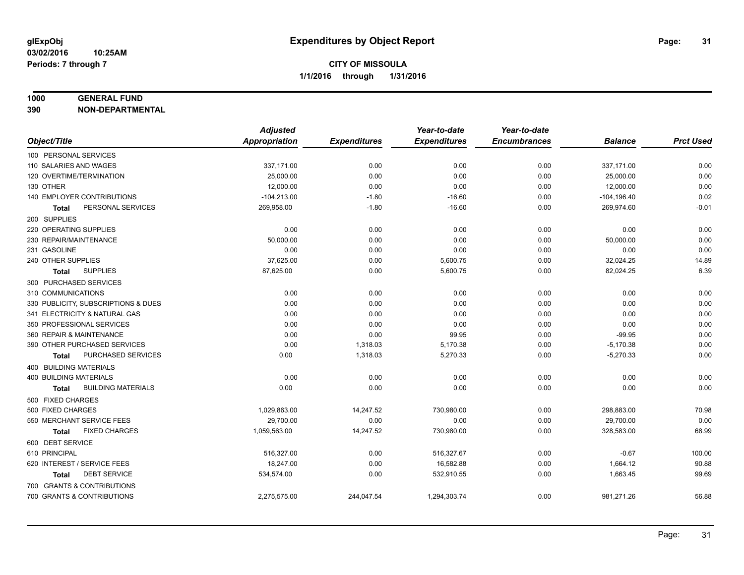#### **1000 GENERAL FUND**

**390 NON-DEPARTMENTAL**

|                                           | <b>Adjusted</b>      |                     | Year-to-date        | Year-to-date        |                |                  |
|-------------------------------------------|----------------------|---------------------|---------------------|---------------------|----------------|------------------|
| Object/Title                              | <b>Appropriation</b> | <b>Expenditures</b> | <b>Expenditures</b> | <b>Encumbrances</b> | <b>Balance</b> | <b>Prct Used</b> |
| 100 PERSONAL SERVICES                     |                      |                     |                     |                     |                |                  |
| 110 SALARIES AND WAGES                    | 337,171.00           | 0.00                | 0.00                | 0.00                | 337,171.00     | 0.00             |
| 120 OVERTIME/TERMINATION                  | 25,000.00            | 0.00                | 0.00                | 0.00                | 25,000.00      | 0.00             |
| 130 OTHER                                 | 12,000.00            | 0.00                | 0.00                | 0.00                | 12,000.00      | 0.00             |
| 140 EMPLOYER CONTRIBUTIONS                | $-104,213.00$        | $-1.80$             | $-16.60$            | 0.00                | $-104, 196.40$ | 0.02             |
| PERSONAL SERVICES<br>Total                | 269,958.00           | $-1.80$             | $-16.60$            | 0.00                | 269,974.60     | $-0.01$          |
| 200 SUPPLIES                              |                      |                     |                     |                     |                |                  |
| 220 OPERATING SUPPLIES                    | 0.00                 | 0.00                | 0.00                | 0.00                | 0.00           | 0.00             |
| 230 REPAIR/MAINTENANCE                    | 50,000.00            | 0.00                | 0.00                | 0.00                | 50,000.00      | 0.00             |
| 231 GASOLINE                              | 0.00                 | 0.00                | 0.00                | 0.00                | 0.00           | 0.00             |
| 240 OTHER SUPPLIES                        | 37,625.00            | 0.00                | 5,600.75            | 0.00                | 32,024.25      | 14.89            |
| <b>SUPPLIES</b><br>Total                  | 87,625.00            | 0.00                | 5,600.75            | 0.00                | 82,024.25      | 6.39             |
| 300 PURCHASED SERVICES                    |                      |                     |                     |                     |                |                  |
| 310 COMMUNICATIONS                        | 0.00                 | 0.00                | 0.00                | 0.00                | 0.00           | 0.00             |
| 330 PUBLICITY, SUBSCRIPTIONS & DUES       | 0.00                 | 0.00                | 0.00                | 0.00                | 0.00           | 0.00             |
| 341 ELECTRICITY & NATURAL GAS             | 0.00                 | 0.00                | 0.00                | 0.00                | 0.00           | 0.00             |
| 350 PROFESSIONAL SERVICES                 | 0.00                 | 0.00                | 0.00                | 0.00                | 0.00           | 0.00             |
| 360 REPAIR & MAINTENANCE                  | 0.00                 | 0.00                | 99.95               | 0.00                | $-99.95$       | 0.00             |
| 390 OTHER PURCHASED SERVICES              | 0.00                 | 1,318.03            | 5,170.38            | 0.00                | $-5,170.38$    | 0.00             |
| PURCHASED SERVICES<br><b>Total</b>        | 0.00                 | 1,318.03            | 5,270.33            | 0.00                | $-5,270.33$    | 0.00             |
| 400 BUILDING MATERIALS                    |                      |                     |                     |                     |                |                  |
| 400 BUILDING MATERIALS                    | 0.00                 | 0.00                | 0.00                | 0.00                | 0.00           | 0.00             |
| <b>BUILDING MATERIALS</b><br><b>Total</b> | 0.00                 | 0.00                | 0.00                | 0.00                | 0.00           | 0.00             |
| 500 FIXED CHARGES                         |                      |                     |                     |                     |                |                  |
| 500 FIXED CHARGES                         | 1,029,863.00         | 14,247.52           | 730,980.00          | 0.00                | 298,883.00     | 70.98            |
| 550 MERCHANT SERVICE FEES                 | 29,700.00            | 0.00                | 0.00                | 0.00                | 29,700.00      | 0.00             |
| <b>FIXED CHARGES</b><br><b>Total</b>      | 1,059,563.00         | 14,247.52           | 730,980.00          | 0.00                | 328,583.00     | 68.99            |
| 600 DEBT SERVICE                          |                      |                     |                     |                     |                |                  |
| 610 PRINCIPAL                             | 516,327.00           | 0.00                | 516,327.67          | 0.00                | $-0.67$        | 100.00           |
| 620 INTEREST / SERVICE FEES               | 18,247.00            | 0.00                | 16,582.88           | 0.00                | 1,664.12       | 90.88            |
| <b>DEBT SERVICE</b><br>Total              | 534,574.00           | 0.00                | 532,910.55          | 0.00                | 1,663.45       | 99.69            |
| 700 GRANTS & CONTRIBUTIONS                |                      |                     |                     |                     |                |                  |
| 700 GRANTS & CONTRIBUTIONS                | 2,275,575.00         | 244,047.54          | 1,294,303.74        | 0.00                | 981,271.26     | 56.88            |
|                                           |                      |                     |                     |                     |                |                  |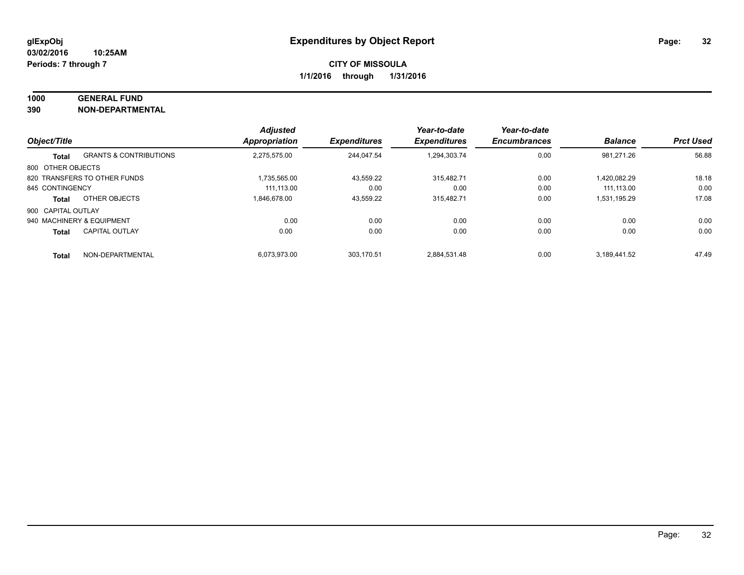#### **1000 GENERAL FUND**

**390 NON-DEPARTMENTAL**

|                    |                                   | <b>Adjusted</b>      |                     | Year-to-date        | Year-to-date        |                |                  |
|--------------------|-----------------------------------|----------------------|---------------------|---------------------|---------------------|----------------|------------------|
| Object/Title       |                                   | <b>Appropriation</b> | <b>Expenditures</b> | <b>Expenditures</b> | <b>Encumbrances</b> | <b>Balance</b> | <b>Prct Used</b> |
| <b>Total</b>       | <b>GRANTS &amp; CONTRIBUTIONS</b> | 2.275.575.00         | 244.047.54          | 1.294.303.74        | 0.00                | 981.271.26     | 56.88            |
| 800 OTHER OBJECTS  |                                   |                      |                     |                     |                     |                |                  |
|                    | 820 TRANSFERS TO OTHER FUNDS      | 1.735.565.00         | 43,559.22           | 315.482.71          | 0.00                | 1.420.082.29   | 18.18            |
| 845 CONTINGENCY    |                                   | 111.113.00           | 0.00                | 0.00                | 0.00                | 111.113.00     | 0.00             |
| <b>Total</b>       | OTHER OBJECTS                     | 1.846.678.00         | 43.559.22           | 315.482.71          | 0.00                | 1,531,195.29   | 17.08            |
| 900 CAPITAL OUTLAY |                                   |                      |                     |                     |                     |                |                  |
|                    | 940 MACHINERY & EQUIPMENT         | 0.00                 | 0.00                | 0.00                | 0.00                | 0.00           | 0.00             |
| <b>Total</b>       | <b>CAPITAL OUTLAY</b>             | 0.00                 | 0.00                | 0.00                | 0.00                | 0.00           | 0.00             |
| <b>Total</b>       | NON-DEPARTMENTAL                  | 6.073.973.00         | 303.170.51          | 2.884.531.48        | 0.00                | 3.189.441.52   | 47.49            |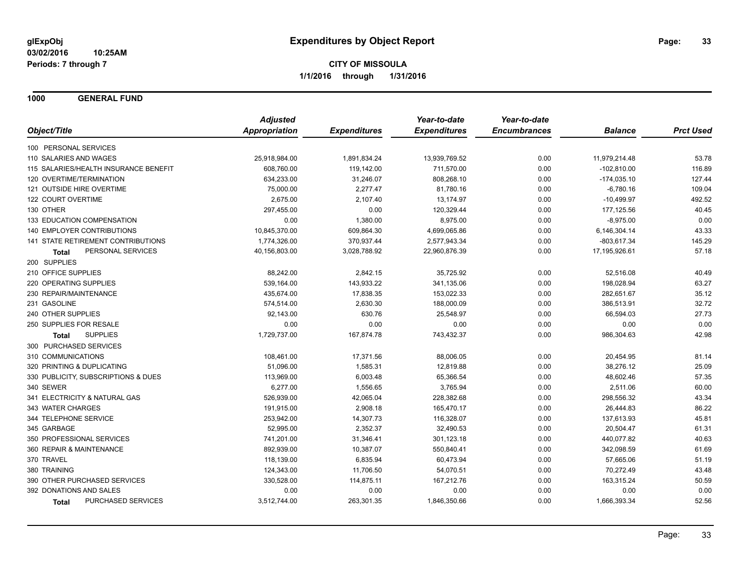**1000 GENERAL FUND**

|                                       | <b>Adjusted</b>      |                     | Year-to-date        | Year-to-date        |                |                  |
|---------------------------------------|----------------------|---------------------|---------------------|---------------------|----------------|------------------|
| Object/Title                          | <b>Appropriation</b> | <b>Expenditures</b> | <b>Expenditures</b> | <b>Encumbrances</b> | <b>Balance</b> | <b>Prct Used</b> |
| 100 PERSONAL SERVICES                 |                      |                     |                     |                     |                |                  |
| 110 SALARIES AND WAGES                | 25,918,984.00        | 1,891,834.24        | 13,939,769.52       | 0.00                | 11,979,214.48  | 53.78            |
| 115 SALARIES/HEALTH INSURANCE BENEFIT | 608,760.00           | 119,142.00          | 711,570.00          | 0.00                | $-102,810.00$  | 116.89           |
| 120 OVERTIME/TERMINATION              | 634,233.00           | 31,246.07           | 808,268.10          | 0.00                | $-174,035.10$  | 127.44           |
| 121 OUTSIDE HIRE OVERTIME             | 75,000.00            | 2,277.47            | 81,780.16           | 0.00                | $-6,780.16$    | 109.04           |
| 122 COURT OVERTIME                    | 2,675.00             | 2,107.40            | 13,174.97           | 0.00                | $-10,499.97$   | 492.52           |
| 130 OTHER                             | 297,455.00           | 0.00                | 120,329.44          | 0.00                | 177,125.56     | 40.45            |
| 133 EDUCATION COMPENSATION            | 0.00                 | 1,380.00            | 8,975.00            | 0.00                | $-8,975.00$    | 0.00             |
| <b>140 EMPLOYER CONTRIBUTIONS</b>     | 10,845,370.00        | 609,864.30          | 4,699,065.86        | 0.00                | 6,146,304.14   | 43.33            |
| 141 STATE RETIREMENT CONTRIBUTIONS    | 1,774,326.00         | 370,937.44          | 2,577,943.34        | 0.00                | $-803,617.34$  | 145.29           |
| PERSONAL SERVICES<br>Total            | 40,156,803.00        | 3,028,788.92        | 22,960,876.39       | 0.00                | 17,195,926.61  | 57.18            |
| 200 SUPPLIES                          |                      |                     |                     |                     |                |                  |
| 210 OFFICE SUPPLIES                   | 88,242.00            | 2,842.15            | 35,725.92           | 0.00                | 52,516.08      | 40.49            |
| 220 OPERATING SUPPLIES                | 539,164.00           | 143,933.22          | 341,135.06          | 0.00                | 198,028.94     | 63.27            |
| 230 REPAIR/MAINTENANCE                | 435,674.00           | 17,838.35           | 153,022.33          | 0.00                | 282,651.67     | 35.12            |
| 231 GASOLINE                          | 574,514.00           | 2,630.30            | 188,000.09          | 0.00                | 386,513.91     | 32.72            |
| 240 OTHER SUPPLIES                    | 92,143.00            | 630.76              | 25,548.97           | 0.00                | 66,594.03      | 27.73            |
| 250 SUPPLIES FOR RESALE               | 0.00                 | 0.00                | 0.00                | 0.00                | 0.00           | 0.00             |
| <b>SUPPLIES</b><br>Total              | 1,729,737.00         | 167,874.78          | 743,432.37          | 0.00                | 986,304.63     | 42.98            |
| 300 PURCHASED SERVICES                |                      |                     |                     |                     |                |                  |
| 310 COMMUNICATIONS                    | 108,461.00           | 17,371.56           | 88,006.05           | 0.00                | 20,454.95      | 81.14            |
| 320 PRINTING & DUPLICATING            | 51,096.00            | 1,585.31            | 12,819.88           | 0.00                | 38,276.12      | 25.09            |
| 330 PUBLICITY, SUBSCRIPTIONS & DUES   | 113,969.00           | 6,003.48            | 65,366.54           | 0.00                | 48,602.46      | 57.35            |
| 340 SEWER                             | 6,277.00             | 1,556.65            | 3,765.94            | 0.00                | 2,511.06       | 60.00            |
| 341 ELECTRICITY & NATURAL GAS         | 526,939.00           | 42,065.04           | 228,382.68          | 0.00                | 298,556.32     | 43.34            |
| 343 WATER CHARGES                     | 191,915.00           | 2,908.18            | 165,470.17          | 0.00                | 26,444.83      | 86.22            |
| 344 TELEPHONE SERVICE                 | 253,942.00           | 14,307.73           | 116,328.07          | 0.00                | 137,613.93     | 45.81            |
| 345 GARBAGE                           | 52,995.00            | 2,352.37            | 32,490.53           | 0.00                | 20,504.47      | 61.31            |
| 350 PROFESSIONAL SERVICES             | 741,201.00           | 31,346.41           | 301,123.18          | 0.00                | 440,077.82     | 40.63            |
| 360 REPAIR & MAINTENANCE              | 892,939.00           | 10,387.07           | 550,840.41          | 0.00                | 342,098.59     | 61.69            |
| 370 TRAVEL                            | 118,139.00           | 6,835.94            | 60,473.94           | 0.00                | 57,665.06      | 51.19            |
| 380 TRAINING                          | 124,343.00           | 11,706.50           | 54,070.51           | 0.00                | 70,272.49      | 43.48            |
| 390 OTHER PURCHASED SERVICES          | 330,528.00           | 114,875.11          | 167,212.76          | 0.00                | 163,315.24     | 50.59            |
| 392 DONATIONS AND SALES               | 0.00                 | 0.00                | 0.00                | 0.00                | 0.00           | 0.00             |
| PURCHASED SERVICES<br><b>Total</b>    | 3,512,744.00         | 263,301.35          | 1,846,350.66        | 0.00                | 1,666,393.34   | 52.56            |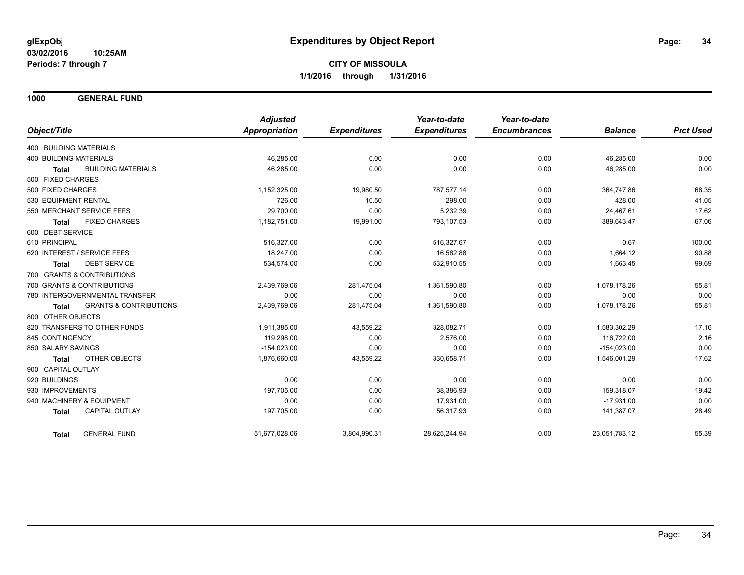**1000 GENERAL FUND**

|                                                   | <b>Adjusted</b> |                     | Year-to-date        | Year-to-date        |                |                  |
|---------------------------------------------------|-----------------|---------------------|---------------------|---------------------|----------------|------------------|
| Object/Title                                      | Appropriation   | <b>Expenditures</b> | <b>Expenditures</b> | <b>Encumbrances</b> | <b>Balance</b> | <b>Prct Used</b> |
| 400 BUILDING MATERIALS                            |                 |                     |                     |                     |                |                  |
| <b>400 BUILDING MATERIALS</b>                     | 46,285.00       | 0.00                | 0.00                | 0.00                | 46,285.00      | 0.00             |
| <b>BUILDING MATERIALS</b><br><b>Total</b>         | 46,285.00       | 0.00                | 0.00                | 0.00                | 46,285.00      | 0.00             |
| 500 FIXED CHARGES                                 |                 |                     |                     |                     |                |                  |
| 500 FIXED CHARGES                                 | 1,152,325.00    | 19,980.50           | 787,577.14          | 0.00                | 364,747.86     | 68.35            |
| 530 EQUIPMENT RENTAL                              | 726.00          | 10.50               | 298.00              | 0.00                | 428.00         | 41.05            |
| 550 MERCHANT SERVICE FEES                         | 29,700.00       | 0.00                | 5,232.39            | 0.00                | 24,467.61      | 17.62            |
| <b>FIXED CHARGES</b><br>Total                     | 1,182,751.00    | 19,991.00           | 793,107.53          | 0.00                | 389,643.47     | 67.06            |
| 600 DEBT SERVICE                                  |                 |                     |                     |                     |                |                  |
| 610 PRINCIPAL                                     | 516,327.00      | 0.00                | 516,327.67          | 0.00                | $-0.67$        | 100.00           |
| 620 INTEREST / SERVICE FEES                       | 18.247.00       | 0.00                | 16,582.88           | 0.00                | 1,664.12       | 90.88            |
| <b>DEBT SERVICE</b><br><b>Total</b>               | 534,574.00      | 0.00                | 532,910.55          | 0.00                | 1,663.45       | 99.69            |
| 700 GRANTS & CONTRIBUTIONS                        |                 |                     |                     |                     |                |                  |
| 700 GRANTS & CONTRIBUTIONS                        | 2,439,769.06    | 281,475.04          | 1,361,590.80        | 0.00                | 1,078,178.26   | 55.81            |
| 780 INTERGOVERNMENTAL TRANSFER                    | 0.00            | 0.00                | 0.00                | 0.00                | 0.00           | 0.00             |
| <b>GRANTS &amp; CONTRIBUTIONS</b><br><b>Total</b> | 2,439,769.06    | 281,475.04          | 1,361,590.80        | 0.00                | 1,078,178.26   | 55.81            |
| 800 OTHER OBJECTS                                 |                 |                     |                     |                     |                |                  |
| 820 TRANSFERS TO OTHER FUNDS                      | 1,911,385.00    | 43,559.22           | 328,082.71          | 0.00                | 1,583,302.29   | 17.16            |
| 845 CONTINGENCY                                   | 119,298.00      | 0.00                | 2,576.00            | 0.00                | 116,722.00     | 2.16             |
| 850 SALARY SAVINGS                                | $-154,023.00$   | 0.00                | 0.00                | 0.00                | $-154,023.00$  | 0.00             |
| OTHER OBJECTS<br><b>Total</b>                     | 1,876,660.00    | 43,559.22           | 330,658.71          | 0.00                | 1,546,001.29   | 17.62            |
| 900 CAPITAL OUTLAY                                |                 |                     |                     |                     |                |                  |
| 920 BUILDINGS                                     | 0.00            | 0.00                | 0.00                | 0.00                | 0.00           | 0.00             |
| 930 IMPROVEMENTS                                  | 197,705.00      | 0.00                | 38,386.93           | 0.00                | 159,318.07     | 19.42            |
| 940 MACHINERY & EQUIPMENT                         | 0.00            | 0.00                | 17,931.00           | 0.00                | $-17,931.00$   | 0.00             |
| <b>CAPITAL OUTLAY</b><br><b>Total</b>             | 197,705.00      | 0.00                | 56,317.93           | 0.00                | 141,387.07     | 28.49            |
| <b>GENERAL FUND</b><br>Total                      | 51,677,028.06   | 3,804,990.31        | 28,625,244.94       | 0.00                | 23,051,783.12  | 55.39            |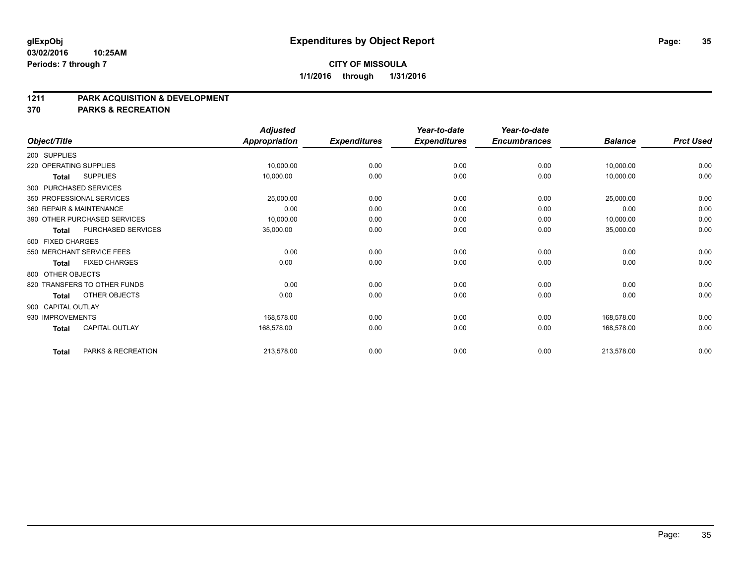#### **1211 PARK ACQUISITION & DEVELOPMENT**

**370 PARKS & RECREATION**

|                    |                              | <b>Adjusted</b> |                     | Year-to-date        | Year-to-date        |                |                  |
|--------------------|------------------------------|-----------------|---------------------|---------------------|---------------------|----------------|------------------|
| Object/Title       |                              | Appropriation   | <b>Expenditures</b> | <b>Expenditures</b> | <b>Encumbrances</b> | <b>Balance</b> | <b>Prct Used</b> |
| 200 SUPPLIES       |                              |                 |                     |                     |                     |                |                  |
|                    | 220 OPERATING SUPPLIES       | 10,000.00       | 0.00                | 0.00                | 0.00                | 10,000.00      | 0.00             |
| <b>Total</b>       | <b>SUPPLIES</b>              | 10,000.00       | 0.00                | 0.00                | 0.00                | 10,000.00      | 0.00             |
|                    | 300 PURCHASED SERVICES       |                 |                     |                     |                     |                |                  |
|                    | 350 PROFESSIONAL SERVICES    | 25,000.00       | 0.00                | 0.00                | 0.00                | 25,000.00      | 0.00             |
|                    | 360 REPAIR & MAINTENANCE     | 0.00            | 0.00                | 0.00                | 0.00                | 0.00           | 0.00             |
|                    | 390 OTHER PURCHASED SERVICES | 10,000.00       | 0.00                | 0.00                | 0.00                | 10,000.00      | 0.00             |
| <b>Total</b>       | PURCHASED SERVICES           | 35,000.00       | 0.00                | 0.00                | 0.00                | 35,000.00      | 0.00             |
| 500 FIXED CHARGES  |                              |                 |                     |                     |                     |                |                  |
|                    | 550 MERCHANT SERVICE FEES    | 0.00            | 0.00                | 0.00                | 0.00                | 0.00           | 0.00             |
| <b>Total</b>       | <b>FIXED CHARGES</b>         | 0.00            | 0.00                | 0.00                | 0.00                | 0.00           | 0.00             |
| 800 OTHER OBJECTS  |                              |                 |                     |                     |                     |                |                  |
|                    | 820 TRANSFERS TO OTHER FUNDS | 0.00            | 0.00                | 0.00                | 0.00                | 0.00           | 0.00             |
| Total              | OTHER OBJECTS                | 0.00            | 0.00                | 0.00                | 0.00                | 0.00           | 0.00             |
| 900 CAPITAL OUTLAY |                              |                 |                     |                     |                     |                |                  |
| 930 IMPROVEMENTS   |                              | 168,578.00      | 0.00                | 0.00                | 0.00                | 168,578.00     | 0.00             |
| <b>Total</b>       | <b>CAPITAL OUTLAY</b>        | 168,578.00      | 0.00                | 0.00                | 0.00                | 168,578.00     | 0.00             |
| <b>Total</b>       | PARKS & RECREATION           | 213,578.00      | 0.00                | 0.00                | 0.00                | 213,578.00     | 0.00             |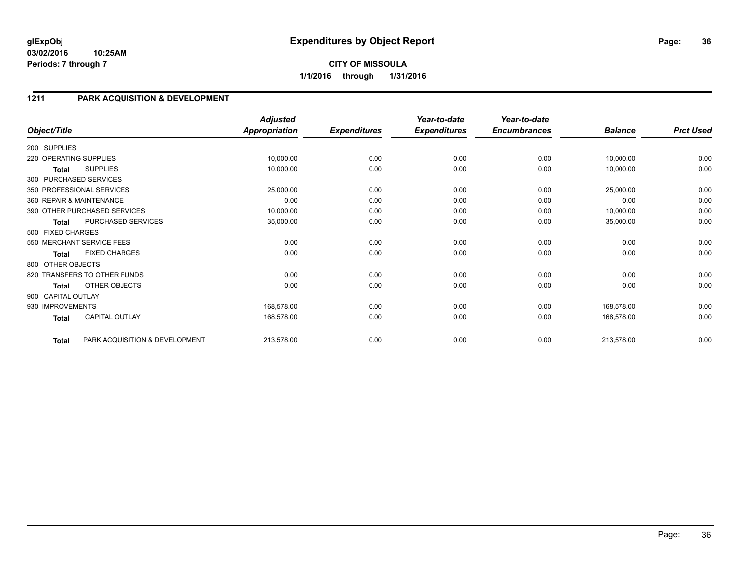#### **03/02/2016 10:25AM Periods: 7 through 7**

## **1211 PARK ACQUISITION & DEVELOPMENT**

| Object/Title           |                                | <b>Adjusted</b><br><b>Appropriation</b> | <b>Expenditures</b> | Year-to-date<br><b>Expenditures</b> | Year-to-date<br><b>Encumbrances</b> | <b>Balance</b> | <b>Prct Used</b> |
|------------------------|--------------------------------|-----------------------------------------|---------------------|-------------------------------------|-------------------------------------|----------------|------------------|
|                        |                                |                                         |                     |                                     |                                     |                |                  |
| 200 SUPPLIES           |                                |                                         |                     |                                     |                                     |                |                  |
| 220 OPERATING SUPPLIES |                                | 10,000.00                               | 0.00                | 0.00                                | 0.00                                | 10,000.00      | 0.00             |
| Total                  | <b>SUPPLIES</b>                | 10,000.00                               | 0.00                | 0.00                                | 0.00                                | 10,000.00      | 0.00             |
|                        | 300 PURCHASED SERVICES         |                                         |                     |                                     |                                     |                |                  |
|                        | 350 PROFESSIONAL SERVICES      | 25,000.00                               | 0.00                | 0.00                                | 0.00                                | 25,000.00      | 0.00             |
|                        | 360 REPAIR & MAINTENANCE       | 0.00                                    | 0.00                | 0.00                                | 0.00                                | 0.00           | 0.00             |
|                        | 390 OTHER PURCHASED SERVICES   | 10,000.00                               | 0.00                | 0.00                                | 0.00                                | 10,000.00      | 0.00             |
| <b>Total</b>           | PURCHASED SERVICES             | 35,000.00                               | 0.00                | 0.00                                | 0.00                                | 35,000.00      | 0.00             |
| 500 FIXED CHARGES      |                                |                                         |                     |                                     |                                     |                |                  |
|                        | 550 MERCHANT SERVICE FEES      | 0.00                                    | 0.00                | 0.00                                | 0.00                                | 0.00           | 0.00             |
| <b>Total</b>           | <b>FIXED CHARGES</b>           | 0.00                                    | 0.00                | 0.00                                | 0.00                                | 0.00           | 0.00             |
| 800 OTHER OBJECTS      |                                |                                         |                     |                                     |                                     |                |                  |
|                        | 820 TRANSFERS TO OTHER FUNDS   | 0.00                                    | 0.00                | 0.00                                | 0.00                                | 0.00           | 0.00             |
| <b>Total</b>           | OTHER OBJECTS                  | 0.00                                    | 0.00                | 0.00                                | 0.00                                | 0.00           | 0.00             |
| 900 CAPITAL OUTLAY     |                                |                                         |                     |                                     |                                     |                |                  |
| 930 IMPROVEMENTS       |                                | 168,578.00                              | 0.00                | 0.00                                | 0.00                                | 168,578.00     | 0.00             |
| <b>Total</b>           | <b>CAPITAL OUTLAY</b>          | 168,578.00                              | 0.00                | 0.00                                | 0.00                                | 168,578.00     | 0.00             |
| <b>Total</b>           | PARK ACQUISITION & DEVELOPMENT | 213,578.00                              | 0.00                | 0.00                                | 0.00                                | 213,578.00     | 0.00             |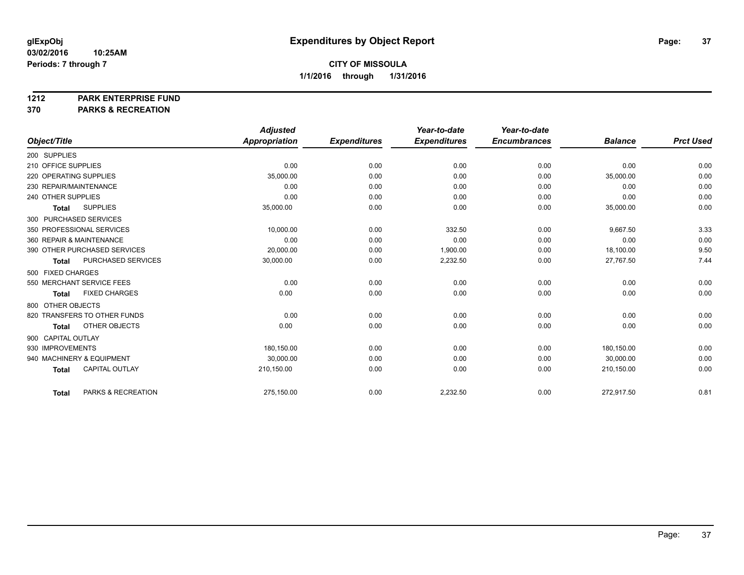#### **1212 PARK ENTERPRISE FUND**

**370 PARKS & RECREATION**

|                                       | <b>Adjusted</b>      |                     | Year-to-date        | Year-to-date        |                |                  |
|---------------------------------------|----------------------|---------------------|---------------------|---------------------|----------------|------------------|
| Object/Title                          | <b>Appropriation</b> | <b>Expenditures</b> | <b>Expenditures</b> | <b>Encumbrances</b> | <b>Balance</b> | <b>Prct Used</b> |
| 200 SUPPLIES                          |                      |                     |                     |                     |                |                  |
| 210 OFFICE SUPPLIES                   | 0.00                 | 0.00                | 0.00                | 0.00                | 0.00           | 0.00             |
| 220 OPERATING SUPPLIES                | 35,000.00            | 0.00                | 0.00                | 0.00                | 35,000.00      | 0.00             |
| 230 REPAIR/MAINTENANCE                | 0.00                 | 0.00                | 0.00                | 0.00                | 0.00           | 0.00             |
| 240 OTHER SUPPLIES                    | 0.00                 | 0.00                | 0.00                | 0.00                | 0.00           | 0.00             |
| <b>SUPPLIES</b><br><b>Total</b>       | 35,000.00            | 0.00                | 0.00                | 0.00                | 35,000.00      | 0.00             |
| 300 PURCHASED SERVICES                |                      |                     |                     |                     |                |                  |
| 350 PROFESSIONAL SERVICES             | 10,000.00            | 0.00                | 332.50              | 0.00                | 9,667.50       | 3.33             |
| 360 REPAIR & MAINTENANCE              | 0.00                 | 0.00                | 0.00                | 0.00                | 0.00           | 0.00             |
| 390 OTHER PURCHASED SERVICES          | 20,000.00            | 0.00                | 1,900.00            | 0.00                | 18,100.00      | 9.50             |
| PURCHASED SERVICES<br><b>Total</b>    | 30,000.00            | 0.00                | 2,232.50            | 0.00                | 27,767.50      | 7.44             |
| 500 FIXED CHARGES                     |                      |                     |                     |                     |                |                  |
| 550 MERCHANT SERVICE FEES             | 0.00                 | 0.00                | 0.00                | 0.00                | 0.00           | 0.00             |
| <b>FIXED CHARGES</b><br><b>Total</b>  | 0.00                 | 0.00                | 0.00                | 0.00                | 0.00           | 0.00             |
| 800 OTHER OBJECTS                     |                      |                     |                     |                     |                |                  |
| 820 TRANSFERS TO OTHER FUNDS          | 0.00                 | 0.00                | 0.00                | 0.00                | 0.00           | 0.00             |
| OTHER OBJECTS<br><b>Total</b>         | 0.00                 | 0.00                | 0.00                | 0.00                | 0.00           | 0.00             |
| 900 CAPITAL OUTLAY                    |                      |                     |                     |                     |                |                  |
| 930 IMPROVEMENTS                      | 180.150.00           | 0.00                | 0.00                | 0.00                | 180.150.00     | 0.00             |
| 940 MACHINERY & EQUIPMENT             | 30,000.00            | 0.00                | 0.00                | 0.00                | 30,000.00      | 0.00             |
| <b>CAPITAL OUTLAY</b><br><b>Total</b> | 210,150.00           | 0.00                | 0.00                | 0.00                | 210,150.00     | 0.00             |
|                                       |                      |                     |                     |                     |                |                  |
| PARKS & RECREATION<br><b>Total</b>    | 275,150.00           | 0.00                | 2,232.50            | 0.00                | 272,917.50     | 0.81             |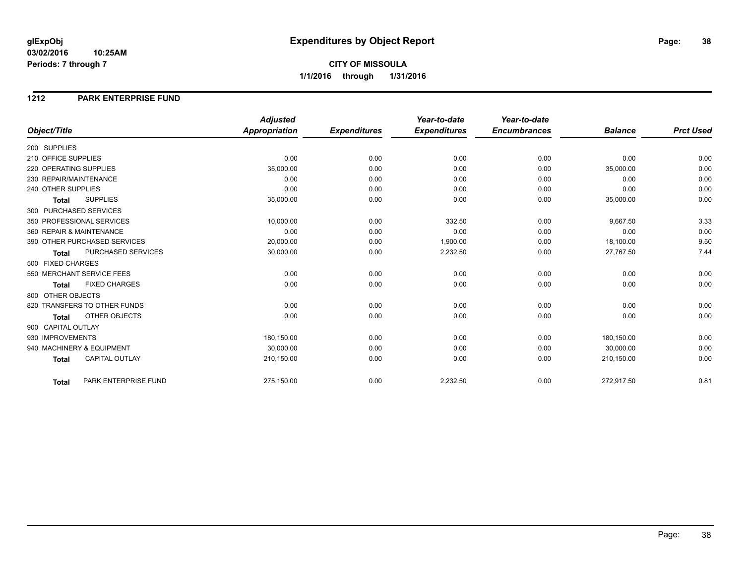#### **1212 PARK ENTERPRISE FUND**

|                                       | <b>Adjusted</b>      |                     | Year-to-date        | Year-to-date        |                |                  |
|---------------------------------------|----------------------|---------------------|---------------------|---------------------|----------------|------------------|
| Object/Title                          | <b>Appropriation</b> | <b>Expenditures</b> | <b>Expenditures</b> | <b>Encumbrances</b> | <b>Balance</b> | <b>Prct Used</b> |
| 200 SUPPLIES                          |                      |                     |                     |                     |                |                  |
| 210 OFFICE SUPPLIES                   | 0.00                 | 0.00                | 0.00                | 0.00                | 0.00           | 0.00             |
| 220 OPERATING SUPPLIES                | 35,000.00            | 0.00                | 0.00                | 0.00                | 35,000.00      | 0.00             |
| 230 REPAIR/MAINTENANCE                | 0.00                 | 0.00                | 0.00                | 0.00                | 0.00           | 0.00             |
| 240 OTHER SUPPLIES                    | 0.00                 | 0.00                | 0.00                | 0.00                | 0.00           | 0.00             |
| <b>SUPPLIES</b><br><b>Total</b>       | 35,000.00            | 0.00                | 0.00                | 0.00                | 35,000.00      | 0.00             |
| 300 PURCHASED SERVICES                |                      |                     |                     |                     |                |                  |
| 350 PROFESSIONAL SERVICES             | 10,000.00            | 0.00                | 332.50              | 0.00                | 9,667.50       | 3.33             |
| 360 REPAIR & MAINTENANCE              | 0.00                 | 0.00                | 0.00                | 0.00                | 0.00           | 0.00             |
| 390 OTHER PURCHASED SERVICES          | 20,000.00            | 0.00                | 1,900.00            | 0.00                | 18,100.00      | 9.50             |
| PURCHASED SERVICES<br><b>Total</b>    | 30,000.00            | 0.00                | 2,232.50            | 0.00                | 27,767.50      | 7.44             |
| 500 FIXED CHARGES                     |                      |                     |                     |                     |                |                  |
| 550 MERCHANT SERVICE FEES             | 0.00                 | 0.00                | 0.00                | 0.00                | 0.00           | 0.00             |
| <b>FIXED CHARGES</b><br>Total         | 0.00                 | 0.00                | 0.00                | 0.00                | 0.00           | 0.00             |
| 800 OTHER OBJECTS                     |                      |                     |                     |                     |                |                  |
| 820 TRANSFERS TO OTHER FUNDS          | 0.00                 | 0.00                | 0.00                | 0.00                | 0.00           | 0.00             |
| OTHER OBJECTS<br>Total                | 0.00                 | 0.00                | 0.00                | 0.00                | 0.00           | 0.00             |
| 900 CAPITAL OUTLAY                    |                      |                     |                     |                     |                |                  |
| 930 IMPROVEMENTS                      | 180,150.00           | 0.00                | 0.00                | 0.00                | 180,150.00     | 0.00             |
| 940 MACHINERY & EQUIPMENT             | 30.000.00            | 0.00                | 0.00                | 0.00                | 30.000.00      | 0.00             |
| <b>CAPITAL OUTLAY</b><br><b>Total</b> | 210,150.00           | 0.00                | 0.00                | 0.00                | 210,150.00     | 0.00             |
| PARK ENTERPRISE FUND<br>Total         | 275,150.00           | 0.00                | 2,232.50            | 0.00                | 272,917.50     | 0.81             |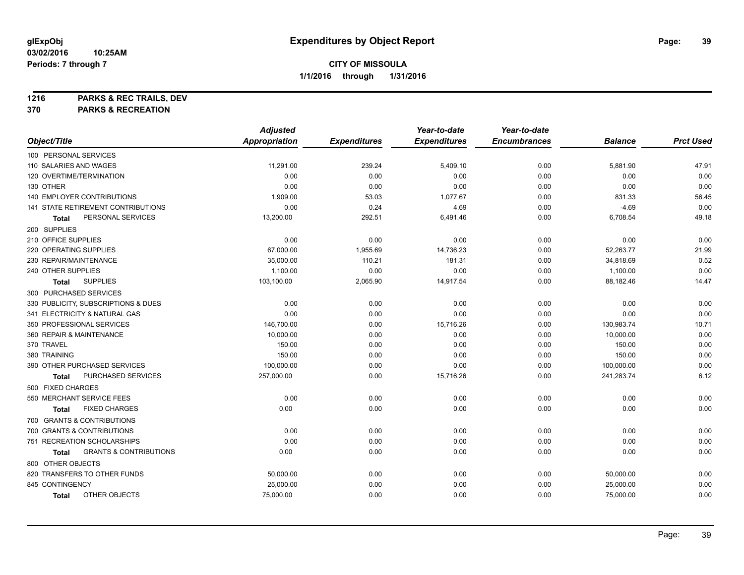**1216 PARKS & REC TRAILS, DEV**

**370 PARKS & RECREATION**

|                                            | <b>Adjusted</b>      |                     | Year-to-date        | Year-to-date        |                |                  |
|--------------------------------------------|----------------------|---------------------|---------------------|---------------------|----------------|------------------|
| Object/Title                               | <b>Appropriation</b> | <b>Expenditures</b> | <b>Expenditures</b> | <b>Encumbrances</b> | <b>Balance</b> | <b>Prct Used</b> |
| 100 PERSONAL SERVICES                      |                      |                     |                     |                     |                |                  |
| 110 SALARIES AND WAGES                     | 11,291.00            | 239.24              | 5,409.10            | 0.00                | 5,881.90       | 47.91            |
| 120 OVERTIME/TERMINATION                   | 0.00                 | 0.00                | 0.00                | 0.00                | 0.00           | 0.00             |
| 130 OTHER                                  | 0.00                 | 0.00                | 0.00                | 0.00                | 0.00           | 0.00             |
| 140 EMPLOYER CONTRIBUTIONS                 | 1,909.00             | 53.03               | 1,077.67            | 0.00                | 831.33         | 56.45            |
| <b>141 STATE RETIREMENT CONTRIBUTIONS</b>  | 0.00                 | 0.24                | 4.69                | 0.00                | $-4.69$        | 0.00             |
| PERSONAL SERVICES<br>Total                 | 13,200.00            | 292.51              | 6,491.46            | 0.00                | 6,708.54       | 49.18            |
| 200 SUPPLIES                               |                      |                     |                     |                     |                |                  |
| 210 OFFICE SUPPLIES                        | 0.00                 | 0.00                | 0.00                | 0.00                | 0.00           | 0.00             |
| 220 OPERATING SUPPLIES                     | 67,000.00            | 1,955.69            | 14,736.23           | 0.00                | 52,263.77      | 21.99            |
| 230 REPAIR/MAINTENANCE                     | 35,000.00            | 110.21              | 181.31              | 0.00                | 34,818.69      | 0.52             |
| 240 OTHER SUPPLIES                         | 1,100.00             | 0.00                | 0.00                | 0.00                | 1,100.00       | 0.00             |
| <b>SUPPLIES</b><br><b>Total</b>            | 103,100.00           | 2,065.90            | 14,917.54           | 0.00                | 88,182.46      | 14.47            |
| 300 PURCHASED SERVICES                     |                      |                     |                     |                     |                |                  |
| 330 PUBLICITY, SUBSCRIPTIONS & DUES        | 0.00                 | 0.00                | 0.00                | 0.00                | 0.00           | 0.00             |
| 341 ELECTRICITY & NATURAL GAS              | 0.00                 | 0.00                | 0.00                | 0.00                | 0.00           | 0.00             |
| 350 PROFESSIONAL SERVICES                  | 146,700.00           | 0.00                | 15,716.26           | 0.00                | 130,983.74     | 10.71            |
| 360 REPAIR & MAINTENANCE                   | 10,000.00            | 0.00                | 0.00                | 0.00                | 10,000.00      | 0.00             |
| 370 TRAVEL                                 | 150.00               | 0.00                | 0.00                | 0.00                | 150.00         | 0.00             |
| 380 TRAINING                               | 150.00               | 0.00                | 0.00                | 0.00                | 150.00         | 0.00             |
| 390 OTHER PURCHASED SERVICES               | 100,000.00           | 0.00                | 0.00                | 0.00                | 100,000.00     | 0.00             |
| PURCHASED SERVICES<br><b>Total</b>         | 257,000.00           | 0.00                | 15,716.26           | 0.00                | 241,283.74     | 6.12             |
| 500 FIXED CHARGES                          |                      |                     |                     |                     |                |                  |
| 550 MERCHANT SERVICE FEES                  | 0.00                 | 0.00                | 0.00                | 0.00                | 0.00           | 0.00             |
| <b>FIXED CHARGES</b><br><b>Total</b>       | 0.00                 | 0.00                | 0.00                | 0.00                | 0.00           | 0.00             |
| 700 GRANTS & CONTRIBUTIONS                 |                      |                     |                     |                     |                |                  |
| 700 GRANTS & CONTRIBUTIONS                 | 0.00                 | 0.00                | 0.00                | 0.00                | 0.00           | 0.00             |
| 751 RECREATION SCHOLARSHIPS                | 0.00                 | 0.00                | 0.00                | 0.00                | 0.00           | 0.00             |
| <b>GRANTS &amp; CONTRIBUTIONS</b><br>Total | 0.00                 | 0.00                | 0.00                | 0.00                | 0.00           | 0.00             |
| 800 OTHER OBJECTS                          |                      |                     |                     |                     |                |                  |
| 820 TRANSFERS TO OTHER FUNDS               | 50,000.00            | 0.00                | 0.00                | 0.00                | 50,000.00      | 0.00             |
| 845 CONTINGENCY                            | 25,000.00            | 0.00                | 0.00                | 0.00                | 25,000.00      | 0.00             |
| OTHER OBJECTS<br><b>Total</b>              | 75,000.00            | 0.00                | 0.00                | 0.00                | 75,000.00      | 0.00             |
|                                            |                      |                     |                     |                     |                |                  |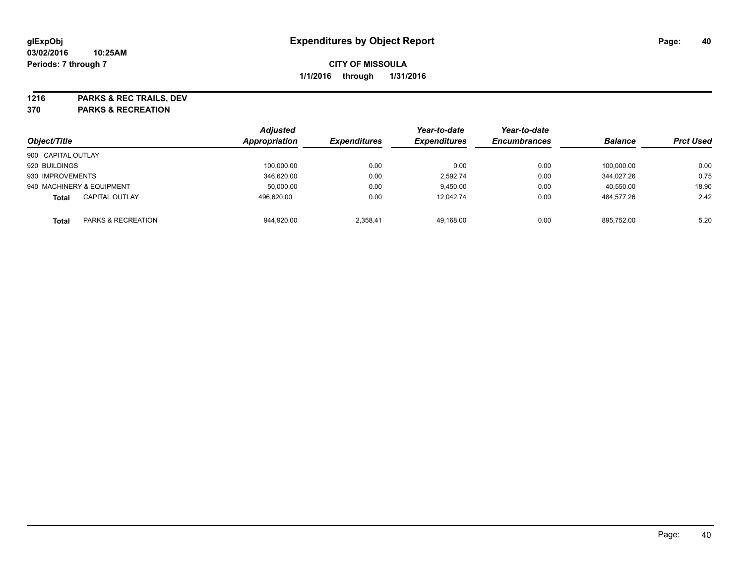**1216 PARKS & REC TRAILS, DEV**

**370 PARKS & RECREATION**

| Object/Title       |                           | <b>Adjusted</b><br>Appropriation | <b>Expenditures</b> | Year-to-date<br><b>Expenditures</b> | Year-to-date<br><b>Encumbrances</b> | <b>Balance</b> | <b>Prct Used</b> |
|--------------------|---------------------------|----------------------------------|---------------------|-------------------------------------|-------------------------------------|----------------|------------------|
| 900 CAPITAL OUTLAY |                           |                                  |                     |                                     |                                     |                |                  |
| 920 BUILDINGS      |                           | 100.000.00                       | 0.00                | 0.00                                | 0.00                                | 100.000.00     | 0.00             |
| 930 IMPROVEMENTS   |                           | 346.620.00                       | 0.00                | 2.592.74                            | 0.00                                | 344.027.26     | 0.75             |
|                    | 940 MACHINERY & EQUIPMENT | 50,000.00                        | 0.00                | 9.450.00                            | 0.00                                | 40,550.00      | 18.90            |
| <b>Total</b>       | <b>CAPITAL OUTLAY</b>     | 496.620.00                       | 0.00                | 12.042.74                           | 0.00                                | 484.577.26     | 2.42             |
| <b>Total</b>       | PARKS & RECREATION        | 944.920.00                       | 2.358.41            | 49.168.00                           | 0.00                                | 895.752.00     | 5.20             |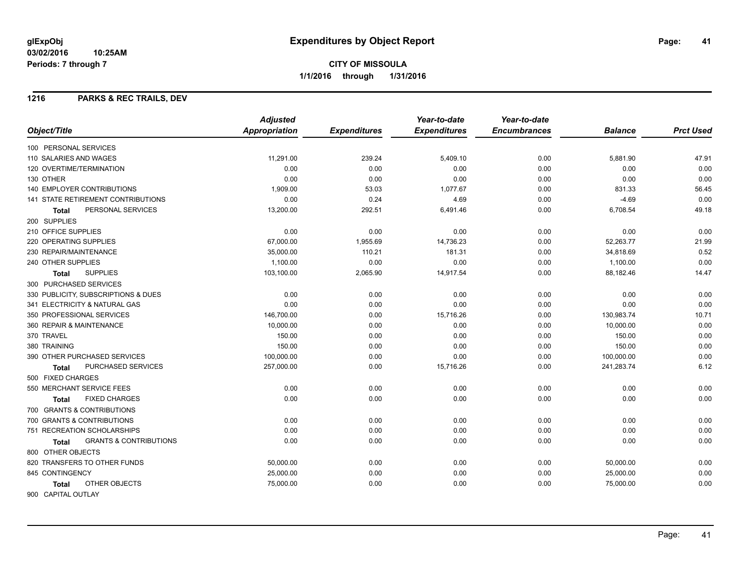### **1216 PARKS & REC TRAILS, DEV**

|                                            | <b>Adjusted</b>      |                     | Year-to-date        | Year-to-date        |                |                  |
|--------------------------------------------|----------------------|---------------------|---------------------|---------------------|----------------|------------------|
| Object/Title                               | <b>Appropriation</b> | <b>Expenditures</b> | <b>Expenditures</b> | <b>Encumbrances</b> | <b>Balance</b> | <b>Prct Used</b> |
| 100 PERSONAL SERVICES                      |                      |                     |                     |                     |                |                  |
| 110 SALARIES AND WAGES                     | 11,291.00            | 239.24              | 5,409.10            | 0.00                | 5,881.90       | 47.91            |
| 120 OVERTIME/TERMINATION                   | 0.00                 | 0.00                | 0.00                | 0.00                | 0.00           | 0.00             |
| 130 OTHER                                  | 0.00                 | 0.00                | 0.00                | 0.00                | 0.00           | 0.00             |
| 140 EMPLOYER CONTRIBUTIONS                 | 1,909.00             | 53.03               | 1,077.67            | 0.00                | 831.33         | 56.45            |
| 141 STATE RETIREMENT CONTRIBUTIONS         | 0.00                 | 0.24                | 4.69                | 0.00                | $-4.69$        | 0.00             |
| PERSONAL SERVICES<br><b>Total</b>          | 13,200.00            | 292.51              | 6,491.46            | 0.00                | 6,708.54       | 49.18            |
| 200 SUPPLIES                               |                      |                     |                     |                     |                |                  |
| 210 OFFICE SUPPLIES                        | 0.00                 | 0.00                | 0.00                | 0.00                | 0.00           | 0.00             |
| 220 OPERATING SUPPLIES                     | 67,000.00            | 1,955.69            | 14,736.23           | 0.00                | 52,263.77      | 21.99            |
| 230 REPAIR/MAINTENANCE                     | 35,000.00            | 110.21              | 181.31              | 0.00                | 34,818.69      | 0.52             |
| 240 OTHER SUPPLIES                         | 1,100.00             | 0.00                | 0.00                | 0.00                | 1,100.00       | 0.00             |
| <b>SUPPLIES</b><br><b>Total</b>            | 103,100.00           | 2,065.90            | 14,917.54           | 0.00                | 88,182.46      | 14.47            |
| 300 PURCHASED SERVICES                     |                      |                     |                     |                     |                |                  |
| 330 PUBLICITY, SUBSCRIPTIONS & DUES        | 0.00                 | 0.00                | 0.00                | 0.00                | 0.00           | 0.00             |
| 341 ELECTRICITY & NATURAL GAS              | 0.00                 | 0.00                | 0.00                | 0.00                | 0.00           | 0.00             |
| 350 PROFESSIONAL SERVICES                  | 146,700.00           | 0.00                | 15,716.26           | 0.00                | 130,983.74     | 10.71            |
| 360 REPAIR & MAINTENANCE                   | 10,000.00            | 0.00                | 0.00                | 0.00                | 10,000.00      | 0.00             |
| 370 TRAVEL                                 | 150.00               | 0.00                | 0.00                | 0.00                | 150.00         | 0.00             |
| 380 TRAINING                               | 150.00               | 0.00                | 0.00                | 0.00                | 150.00         | 0.00             |
| 390 OTHER PURCHASED SERVICES               | 100,000.00           | 0.00                | 0.00                | 0.00                | 100,000.00     | 0.00             |
| <b>PURCHASED SERVICES</b><br>Total         | 257,000.00           | 0.00                | 15,716.26           | 0.00                | 241,283.74     | 6.12             |
| 500 FIXED CHARGES                          |                      |                     |                     |                     |                |                  |
| 550 MERCHANT SERVICE FEES                  | 0.00                 | 0.00                | 0.00                | 0.00                | 0.00           | 0.00             |
| <b>FIXED CHARGES</b><br><b>Total</b>       | 0.00                 | 0.00                | 0.00                | 0.00                | 0.00           | 0.00             |
| 700 GRANTS & CONTRIBUTIONS                 |                      |                     |                     |                     |                |                  |
| 700 GRANTS & CONTRIBUTIONS                 | 0.00                 | 0.00                | 0.00                | 0.00                | 0.00           | 0.00             |
| 751 RECREATION SCHOLARSHIPS                | 0.00                 | 0.00                | 0.00                | 0.00                | 0.00           | 0.00             |
| <b>GRANTS &amp; CONTRIBUTIONS</b><br>Total | 0.00                 | 0.00                | 0.00                | 0.00                | 0.00           | 0.00             |
| 800 OTHER OBJECTS                          |                      |                     |                     |                     |                |                  |
| 820 TRANSFERS TO OTHER FUNDS               | 50,000.00            | 0.00                | 0.00                | 0.00                | 50,000.00      | 0.00             |
| 845 CONTINGENCY                            | 25,000.00            | 0.00                | 0.00                | 0.00                | 25,000.00      | 0.00             |
| OTHER OBJECTS<br><b>Total</b>              | 75,000.00            | 0.00                | 0.00                | 0.00                | 75,000.00      | 0.00             |
| 900 CAPITAL OUTLAY                         |                      |                     |                     |                     |                |                  |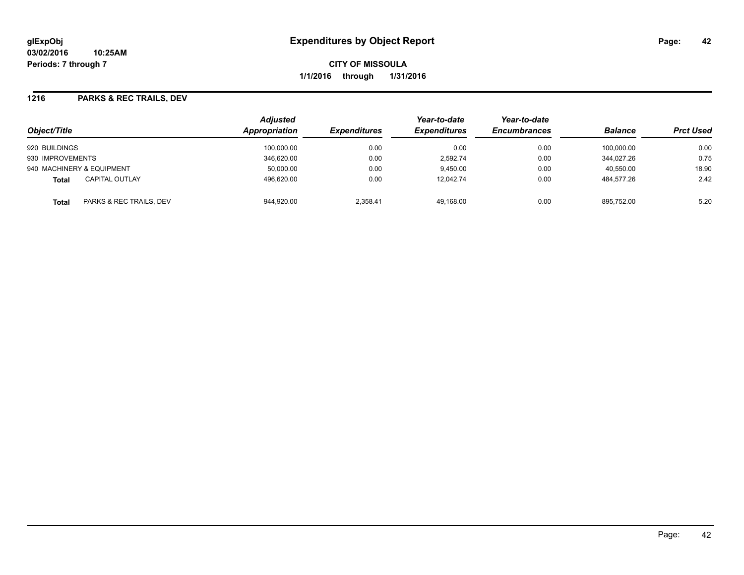#### **1216 PARKS & REC TRAILS, DEV**

| Object/Title                            | <b>Adjusted</b><br><b>Appropriation</b> | <b>Expenditures</b> | Year-to-date<br><b>Expenditures</b> | Year-to-date<br><b>Encumbrances</b> | <b>Balance</b> | <b>Prct Used</b> |
|-----------------------------------------|-----------------------------------------|---------------------|-------------------------------------|-------------------------------------|----------------|------------------|
| 920 BUILDINGS                           | 100,000.00                              | 0.00                | 0.00                                | 0.00                                | 100,000.00     | 0.00             |
| 930 IMPROVEMENTS                        | 346.620.00                              | 0.00                | 2.592.74                            | 0.00                                | 344.027.26     | 0.75             |
| 940 MACHINERY & EQUIPMENT               | 50,000.00                               | 0.00                | 9,450.00                            | 0.00                                | 40,550.00      | 18.90            |
| <b>CAPITAL OUTLAY</b><br>Total          | 496,620.00                              | 0.00                | 12,042.74                           | 0.00                                | 484.577.26     | 2.42             |
| PARKS & REC TRAILS, DEV<br><b>Total</b> | 944.920.00                              | 2.358.41            | 49.168.00                           | 0.00                                | 895.752.00     | 5.20             |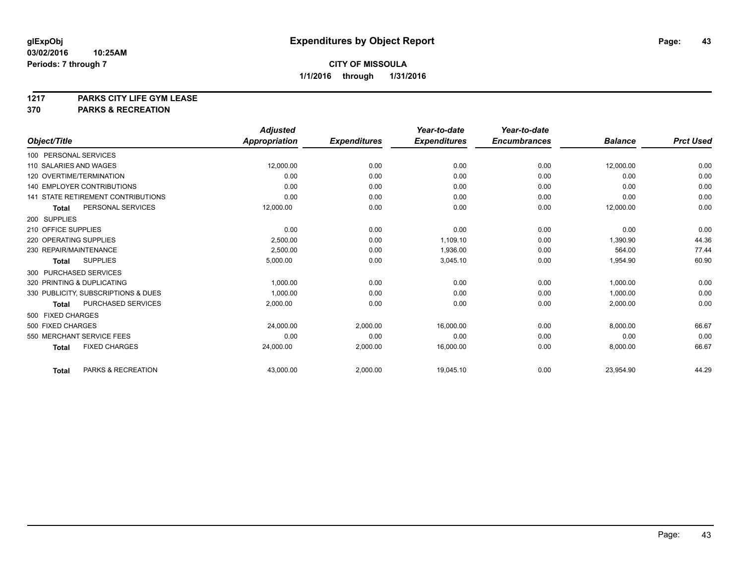# **1217 PARKS CITY LIFE GYM LEASE**

## **370 PARKS & RECREATION**

|                                           | <b>Adjusted</b>      |                     | Year-to-date        | Year-to-date        |                |                  |
|-------------------------------------------|----------------------|---------------------|---------------------|---------------------|----------------|------------------|
| Object/Title                              | <b>Appropriation</b> | <b>Expenditures</b> | <b>Expenditures</b> | <b>Encumbrances</b> | <b>Balance</b> | <b>Prct Used</b> |
| 100 PERSONAL SERVICES                     |                      |                     |                     |                     |                |                  |
| 110 SALARIES AND WAGES                    | 12,000.00            | 0.00                | 0.00                | 0.00                | 12,000.00      | 0.00             |
| 120 OVERTIME/TERMINATION                  | 0.00                 | 0.00                | 0.00                | 0.00                | 0.00           | 0.00             |
| <b>140 EMPLOYER CONTRIBUTIONS</b>         | 0.00                 | 0.00                | 0.00                | 0.00                | 0.00           | 0.00             |
| <b>141 STATE RETIREMENT CONTRIBUTIONS</b> | 0.00                 | 0.00                | 0.00                | 0.00                | 0.00           | 0.00             |
| PERSONAL SERVICES<br><b>Total</b>         | 12,000.00            | 0.00                | 0.00                | 0.00                | 12,000.00      | 0.00             |
| 200 SUPPLIES                              |                      |                     |                     |                     |                |                  |
| 210 OFFICE SUPPLIES                       | 0.00                 | 0.00                | 0.00                | 0.00                | 0.00           | 0.00             |
| 220 OPERATING SUPPLIES                    | 2,500.00             | 0.00                | 1,109.10            | 0.00                | 1,390.90       | 44.36            |
| 230 REPAIR/MAINTENANCE                    | 2,500.00             | 0.00                | 1,936.00            | 0.00                | 564.00         | 77.44            |
| <b>SUPPLIES</b><br><b>Total</b>           | 5,000.00             | 0.00                | 3,045.10            | 0.00                | 1,954.90       | 60.90            |
| 300 PURCHASED SERVICES                    |                      |                     |                     |                     |                |                  |
| 320 PRINTING & DUPLICATING                | 1,000.00             | 0.00                | 0.00                | 0.00                | 1,000.00       | 0.00             |
| 330 PUBLICITY, SUBSCRIPTIONS & DUES       | 1,000.00             | 0.00                | 0.00                | 0.00                | 1,000.00       | 0.00             |
| <b>PURCHASED SERVICES</b><br><b>Total</b> | 2,000.00             | 0.00                | 0.00                | 0.00                | 2,000.00       | 0.00             |
| 500 FIXED CHARGES                         |                      |                     |                     |                     |                |                  |
| 500 FIXED CHARGES                         | 24,000.00            | 2.000.00            | 16,000.00           | 0.00                | 8,000.00       | 66.67            |
| 550 MERCHANT SERVICE FEES                 | 0.00                 | 0.00                | 0.00                | 0.00                | 0.00           | 0.00             |
| <b>FIXED CHARGES</b><br><b>Total</b>      | 24,000.00            | 2,000.00            | 16,000.00           | 0.00                | 8,000.00       | 66.67            |
| PARKS & RECREATION<br><b>Total</b>        | 43,000.00            | 2,000.00            | 19,045.10           | 0.00                | 23,954.90      | 44.29            |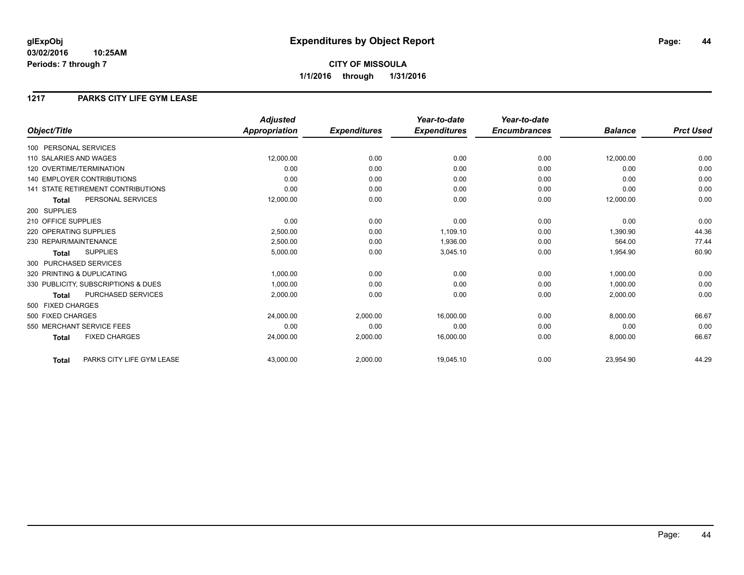## **CITY OF MISSOULA 1/1/2016 through 1/31/2016**

### **1217 PARKS CITY LIFE GYM LEASE**

|                                           | <b>Adjusted</b> |                     | Year-to-date        | Year-to-date        |                |                  |
|-------------------------------------------|-----------------|---------------------|---------------------|---------------------|----------------|------------------|
| Object/Title                              | Appropriation   | <b>Expenditures</b> | <b>Expenditures</b> | <b>Encumbrances</b> | <b>Balance</b> | <b>Prct Used</b> |
| 100 PERSONAL SERVICES                     |                 |                     |                     |                     |                |                  |
| 110 SALARIES AND WAGES                    | 12,000.00       | 0.00                | 0.00                | 0.00                | 12,000.00      | 0.00             |
| 120 OVERTIME/TERMINATION                  | 0.00            | 0.00                | 0.00                | 0.00                | 0.00           | 0.00             |
| <b>140 EMPLOYER CONTRIBUTIONS</b>         | 0.00            | 0.00                | 0.00                | 0.00                | 0.00           | 0.00             |
| <b>141 STATE RETIREMENT CONTRIBUTIONS</b> | 0.00            | 0.00                | 0.00                | 0.00                | 0.00           | 0.00             |
| PERSONAL SERVICES<br><b>Total</b>         | 12,000.00       | 0.00                | 0.00                | 0.00                | 12,000.00      | 0.00             |
| 200 SUPPLIES                              |                 |                     |                     |                     |                |                  |
| 210 OFFICE SUPPLIES                       | 0.00            | 0.00                | 0.00                | 0.00                | 0.00           | 0.00             |
| 220 OPERATING SUPPLIES                    | 2.500.00        | 0.00                | 1.109.10            | 0.00                | 1.390.90       | 44.36            |
| 230 REPAIR/MAINTENANCE                    | 2,500.00        | 0.00                | 1,936.00            | 0.00                | 564.00         | 77.44            |
| <b>SUPPLIES</b><br><b>Total</b>           | 5,000.00        | 0.00                | 3,045.10            | 0.00                | 1,954.90       | 60.90            |
| 300 PURCHASED SERVICES                    |                 |                     |                     |                     |                |                  |
| 320 PRINTING & DUPLICATING                | 1,000.00        | 0.00                | 0.00                | 0.00                | 1,000.00       | 0.00             |
| 330 PUBLICITY, SUBSCRIPTIONS & DUES       | 1,000.00        | 0.00                | 0.00                | 0.00                | 1,000.00       | 0.00             |
| PURCHASED SERVICES<br><b>Total</b>        | 2,000.00        | 0.00                | 0.00                | 0.00                | 2,000.00       | 0.00             |
| 500 FIXED CHARGES                         |                 |                     |                     |                     |                |                  |
| 500 FIXED CHARGES                         | 24,000.00       | 2,000.00            | 16.000.00           | 0.00                | 8,000.00       | 66.67            |
| 550 MERCHANT SERVICE FEES                 | 0.00            | 0.00                | 0.00                | 0.00                | 0.00           | 0.00             |
| <b>FIXED CHARGES</b><br><b>Total</b>      | 24,000.00       | 2,000.00            | 16,000.00           | 0.00                | 8,000.00       | 66.67            |
| PARKS CITY LIFE GYM LEASE<br><b>Total</b> | 43,000.00       | 2,000.00            | 19,045.10           | 0.00                | 23,954.90      | 44.29            |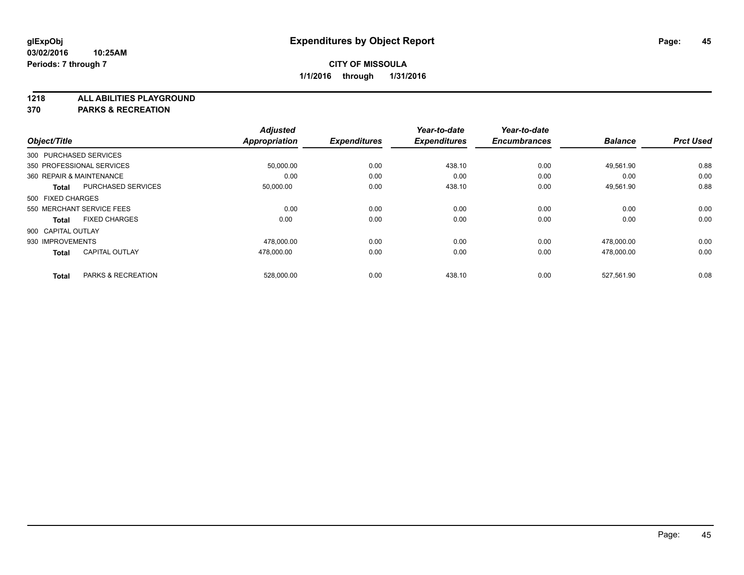**1218 ALL ABILITIES PLAYGROUND**

**370 PARKS & RECREATION**

|                          |                           | <b>Adjusted</b> |                     | Year-to-date        | Year-to-date        |                |                  |
|--------------------------|---------------------------|-----------------|---------------------|---------------------|---------------------|----------------|------------------|
| Object/Title             |                           | Appropriation   | <b>Expenditures</b> | <b>Expenditures</b> | <b>Encumbrances</b> | <b>Balance</b> | <b>Prct Used</b> |
| 300 PURCHASED SERVICES   |                           |                 |                     |                     |                     |                |                  |
|                          | 350 PROFESSIONAL SERVICES | 50,000.00       | 0.00                | 438.10              | 0.00                | 49,561.90      | 0.88             |
| 360 REPAIR & MAINTENANCE |                           | 0.00            | 0.00                | 0.00                | 0.00                | 0.00           | 0.00             |
| <b>Total</b>             | <b>PURCHASED SERVICES</b> | 50,000.00       | 0.00                | 438.10              | 0.00                | 49,561.90      | 0.88             |
| 500 FIXED CHARGES        |                           |                 |                     |                     |                     |                |                  |
|                          | 550 MERCHANT SERVICE FEES | 0.00            | 0.00                | 0.00                | 0.00                | 0.00           | 0.00             |
| <b>Total</b>             | <b>FIXED CHARGES</b>      | 0.00            | 0.00                | 0.00                | 0.00                | 0.00           | 0.00             |
| 900 CAPITAL OUTLAY       |                           |                 |                     |                     |                     |                |                  |
| 930 IMPROVEMENTS         |                           | 478,000.00      | 0.00                | 0.00                | 0.00                | 478,000.00     | 0.00             |
| <b>Total</b>             | <b>CAPITAL OUTLAY</b>     | 478,000.00      | 0.00                | 0.00                | 0.00                | 478.000.00     | 0.00             |
|                          |                           |                 |                     |                     |                     |                |                  |
| <b>Total</b>             | PARKS & RECREATION        | 528,000.00      | 0.00                | 438.10              | 0.00                | 527.561.90     | 0.08             |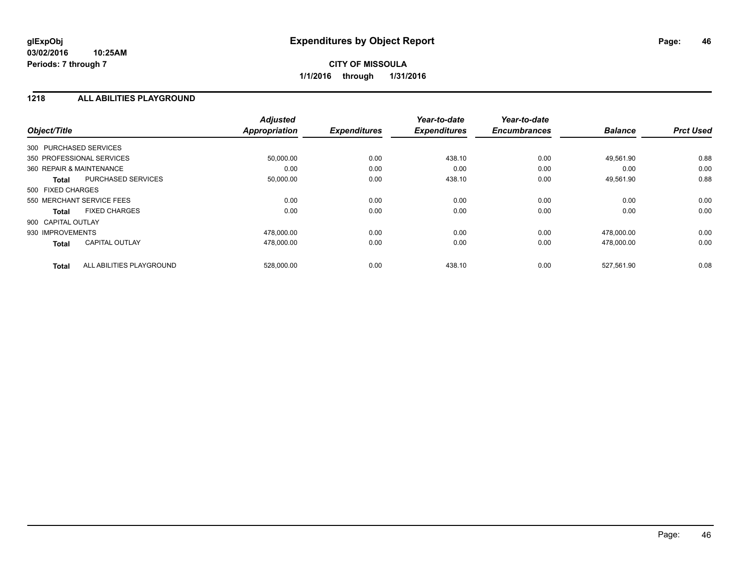#### **1218 ALL ABILITIES PLAYGROUND**

| Object/Title                              | <b>Adjusted</b><br><b>Appropriation</b> | <b>Expenditures</b> | Year-to-date<br><b>Expenditures</b> | Year-to-date<br><b>Encumbrances</b> | <b>Balance</b> | <b>Prct Used</b> |
|-------------------------------------------|-----------------------------------------|---------------------|-------------------------------------|-------------------------------------|----------------|------------------|
| 300 PURCHASED SERVICES                    |                                         |                     |                                     |                                     |                |                  |
| 350 PROFESSIONAL SERVICES                 | 50,000.00                               | 0.00                | 438.10                              | 0.00                                | 49,561.90      | 0.88             |
| 360 REPAIR & MAINTENANCE                  | 0.00                                    | 0.00                | 0.00                                | 0.00                                | 0.00           | 0.00             |
| <b>PURCHASED SERVICES</b><br><b>Total</b> | 50,000.00                               | 0.00                | 438.10                              | 0.00                                | 49,561.90      | 0.88             |
| 500 FIXED CHARGES                         |                                         |                     |                                     |                                     |                |                  |
| 550 MERCHANT SERVICE FEES                 | 0.00                                    | 0.00                | 0.00                                | 0.00                                | 0.00           | 0.00             |
| <b>FIXED CHARGES</b><br><b>Total</b>      | 0.00                                    | 0.00                | 0.00                                | 0.00                                | 0.00           | 0.00             |
| 900 CAPITAL OUTLAY                        |                                         |                     |                                     |                                     |                |                  |
| 930 IMPROVEMENTS                          | 478.000.00                              | 0.00                | 0.00                                | 0.00                                | 478.000.00     | 0.00             |
| <b>CAPITAL OUTLAY</b><br><b>Total</b>     | 478,000.00                              | 0.00                | 0.00                                | 0.00                                | 478,000.00     | 0.00             |
| ALL ABILITIES PLAYGROUND<br><b>Total</b>  | 528,000.00                              | 0.00                | 438.10                              | 0.00                                | 527,561.90     | 0.08             |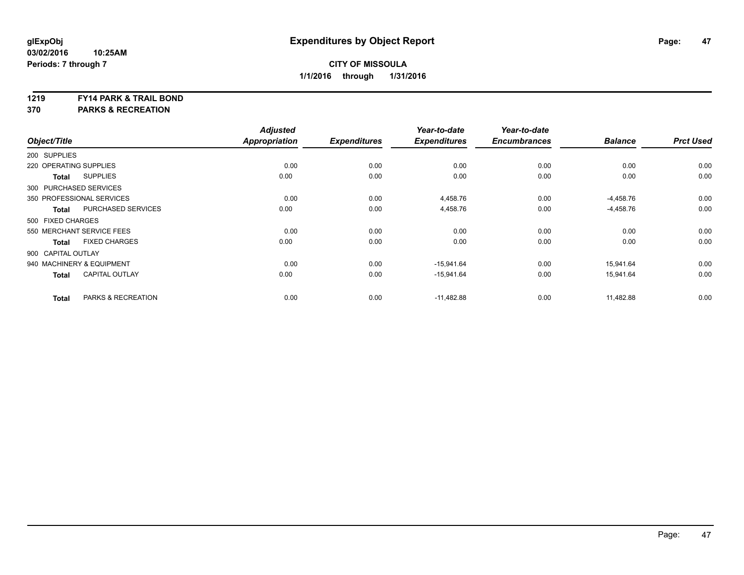#### **1219 FY14 PARK & TRAIL BOND**

**370 PARKS & RECREATION**

|                        |                           | <b>Adjusted</b>      |                     | Year-to-date        | Year-to-date        |                |                  |
|------------------------|---------------------------|----------------------|---------------------|---------------------|---------------------|----------------|------------------|
| Object/Title           |                           | <b>Appropriation</b> | <b>Expenditures</b> | <b>Expenditures</b> | <b>Encumbrances</b> | <b>Balance</b> | <b>Prct Used</b> |
| 200 SUPPLIES           |                           |                      |                     |                     |                     |                |                  |
| 220 OPERATING SUPPLIES |                           | 0.00                 | 0.00                | 0.00                | 0.00                | 0.00           | 0.00             |
| <b>Total</b>           | <b>SUPPLIES</b>           | 0.00                 | 0.00                | 0.00                | 0.00                | 0.00           | 0.00             |
| 300 PURCHASED SERVICES |                           |                      |                     |                     |                     |                |                  |
|                        | 350 PROFESSIONAL SERVICES | 0.00                 | 0.00                | 4,458.76            | 0.00                | $-4,458.76$    | 0.00             |
| <b>Total</b>           | <b>PURCHASED SERVICES</b> | 0.00                 | 0.00                | 4,458.76            | 0.00                | $-4,458.76$    | 0.00             |
| 500 FIXED CHARGES      |                           |                      |                     |                     |                     |                |                  |
|                        | 550 MERCHANT SERVICE FEES | 0.00                 | 0.00                | 0.00                | 0.00                | 0.00           | 0.00             |
| <b>Total</b>           | <b>FIXED CHARGES</b>      | 0.00                 | 0.00                | 0.00                | 0.00                | 0.00           | 0.00             |
| 900 CAPITAL OUTLAY     |                           |                      |                     |                     |                     |                |                  |
|                        | 940 MACHINERY & EQUIPMENT | 0.00                 | 0.00                | $-15,941.64$        | 0.00                | 15,941.64      | 0.00             |
| <b>Total</b>           | <b>CAPITAL OUTLAY</b>     | 0.00                 | 0.00                | $-15,941.64$        | 0.00                | 15,941.64      | 0.00             |
| <b>Total</b>           | PARKS & RECREATION        | 0.00                 | 0.00                | $-11,482.88$        | 0.00                | 11,482.88      | 0.00             |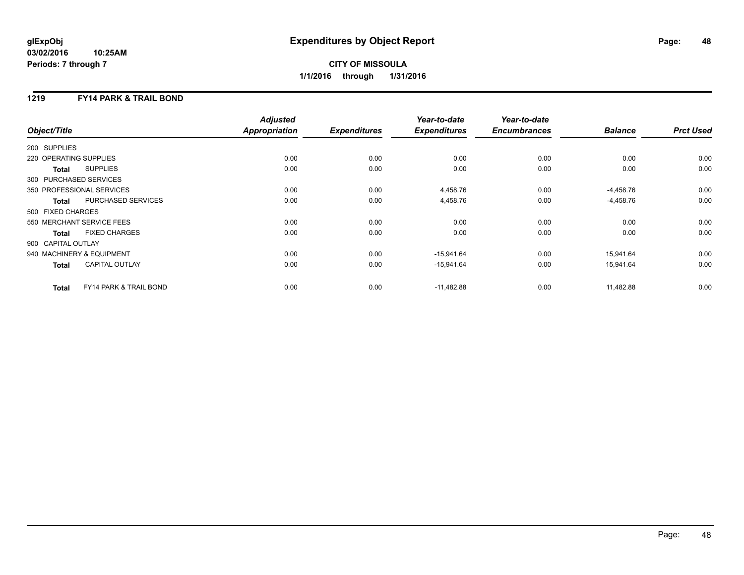## **CITY OF MISSOULA 1/1/2016 through 1/31/2016**

### **1219 FY14 PARK & TRAIL BOND**

| Object/Title              |                                   | <b>Adjusted</b><br><b>Appropriation</b> | <b>Expenditures</b> | Year-to-date<br><b>Expenditures</b> | Year-to-date<br><b>Encumbrances</b> | <b>Balance</b> | <b>Prct Used</b> |
|---------------------------|-----------------------------------|-----------------------------------------|---------------------|-------------------------------------|-------------------------------------|----------------|------------------|
| 200 SUPPLIES              |                                   |                                         |                     |                                     |                                     |                |                  |
| 220 OPERATING SUPPLIES    |                                   | 0.00                                    | 0.00                | 0.00                                | 0.00                                | 0.00           | 0.00             |
| Total                     | <b>SUPPLIES</b>                   | 0.00                                    | 0.00                | 0.00                                | 0.00                                | 0.00           | 0.00             |
| 300 PURCHASED SERVICES    |                                   |                                         |                     |                                     |                                     |                |                  |
| 350 PROFESSIONAL SERVICES |                                   | 0.00                                    | 0.00                | 4,458.76                            | 0.00                                | $-4,458.76$    | 0.00             |
| <b>Total</b>              | PURCHASED SERVICES                | 0.00                                    | 0.00                | 4,458.76                            | 0.00                                | $-4,458.76$    | 0.00             |
| 500 FIXED CHARGES         |                                   |                                         |                     |                                     |                                     |                |                  |
| 550 MERCHANT SERVICE FEES |                                   | 0.00                                    | 0.00                | 0.00                                | 0.00                                | 0.00           | 0.00             |
| Total                     | <b>FIXED CHARGES</b>              | 0.00                                    | 0.00                | 0.00                                | 0.00                                | 0.00           | 0.00             |
| 900 CAPITAL OUTLAY        |                                   |                                         |                     |                                     |                                     |                |                  |
| 940 MACHINERY & EQUIPMENT |                                   | 0.00                                    | 0.00                | $-15,941.64$                        | 0.00                                | 15,941.64      | 0.00             |
| <b>Total</b>              | <b>CAPITAL OUTLAY</b>             | 0.00                                    | 0.00                | $-15,941.64$                        | 0.00                                | 15,941.64      | 0.00             |
| <b>Total</b>              | <b>FY14 PARK &amp; TRAIL BOND</b> | 0.00                                    | 0.00                | $-11,482.88$                        | 0.00                                | 11,482.88      | 0.00             |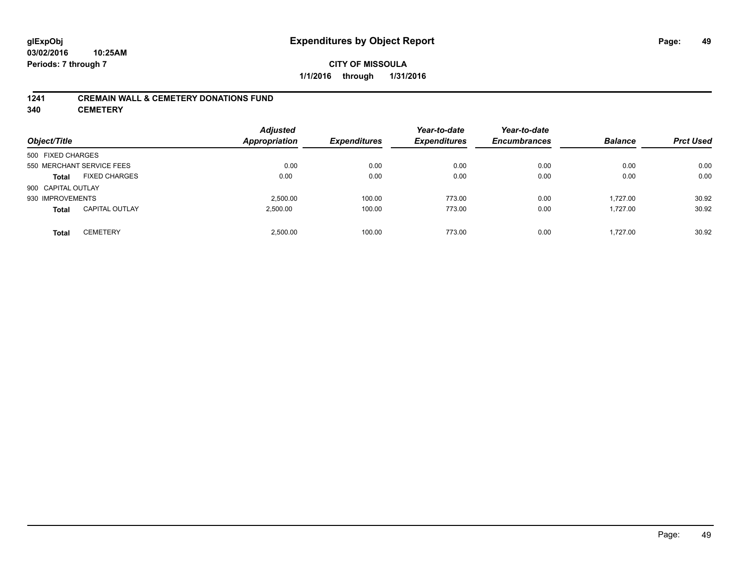### **CITY OF MISSOULA 1/1/2016 through 1/31/2016**

#### **1241 CREMAIN WALL & CEMETERY DONATIONS FUND**

**340 CEMETERY**

| Object/Title              |                       | <b>Adjusted</b><br><b>Appropriation</b> | <b>Expenditures</b> | Year-to-date<br><b>Expenditures</b> | Year-to-date<br><b>Encumbrances</b> | <b>Balance</b> | <b>Prct Used</b> |
|---------------------------|-----------------------|-----------------------------------------|---------------------|-------------------------------------|-------------------------------------|----------------|------------------|
| 500 FIXED CHARGES         |                       |                                         |                     |                                     |                                     |                |                  |
| 550 MERCHANT SERVICE FEES |                       | 0.00                                    | 0.00                | 0.00                                | 0.00                                | 0.00           | 0.00             |
| <b>Total</b>              | <b>FIXED CHARGES</b>  | 0.00                                    | 0.00                | 0.00                                | 0.00                                | 0.00           | 0.00             |
| 900 CAPITAL OUTLAY        |                       |                                         |                     |                                     |                                     |                |                  |
| 930 IMPROVEMENTS          |                       | 2.500.00                                | 100.00              | 773.00                              | 0.00                                | 1.727.00       | 30.92            |
| <b>Total</b>              | <b>CAPITAL OUTLAY</b> | 2,500.00                                | 100.00              | 773.00                              | 0.00                                | 1.727.00       | 30.92            |
| <b>Total</b>              | <b>CEMETERY</b>       | 2.500.00                                | 100.00              | 773.00                              | 0.00                                | 1.727.00       | 30.92            |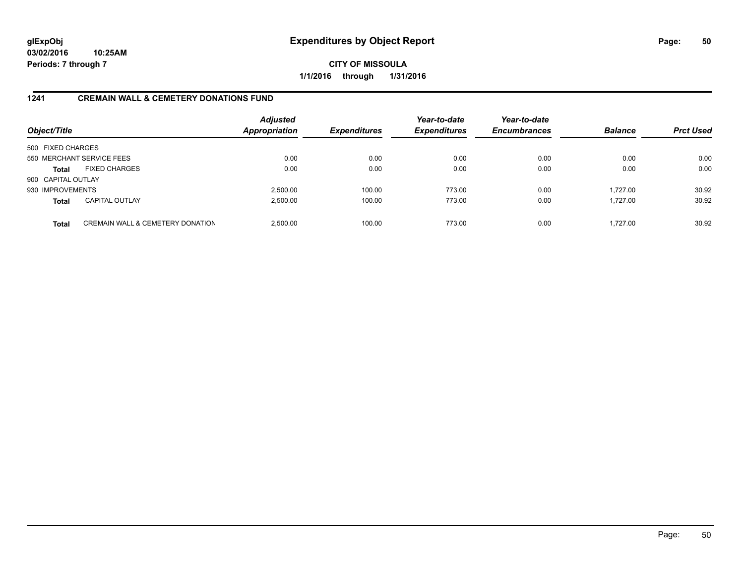**CITY OF MISSOULA 1/1/2016 through 1/31/2016**

### **1241 CREMAIN WALL & CEMETERY DONATIONS FUND**

| Object/Title       |                                             | <b>Adjusted</b><br><b>Appropriation</b> | <b>Expenditures</b> | Year-to-date<br><b>Expenditures</b> | Year-to-date<br><b>Encumbrances</b> | <b>Balance</b> | <b>Prct Used</b> |
|--------------------|---------------------------------------------|-----------------------------------------|---------------------|-------------------------------------|-------------------------------------|----------------|------------------|
| 500 FIXED CHARGES  |                                             |                                         |                     |                                     |                                     |                |                  |
|                    | 550 MERCHANT SERVICE FEES                   | 0.00                                    | 0.00                | 0.00                                | 0.00                                | 0.00           | 0.00             |
| <b>Total</b>       | <b>FIXED CHARGES</b>                        | 0.00                                    | 0.00                | 0.00                                | 0.00                                | 0.00           | 0.00             |
| 900 CAPITAL OUTLAY |                                             |                                         |                     |                                     |                                     |                |                  |
| 930 IMPROVEMENTS   |                                             | 2,500.00                                | 100.00              | 773.00                              | 0.00                                | 1.727.00       | 30.92            |
| <b>Total</b>       | <b>CAPITAL OUTLAY</b>                       | 2,500.00                                | 100.00              | 773.00                              | 0.00                                | 1.727.00       | 30.92            |
| <b>Total</b>       | <b>CREMAIN WALL &amp; CEMETERY DONATION</b> | 2.500.00                                | 100.00              | 773.00                              | 0.00                                | 1.727.00       | 30.92            |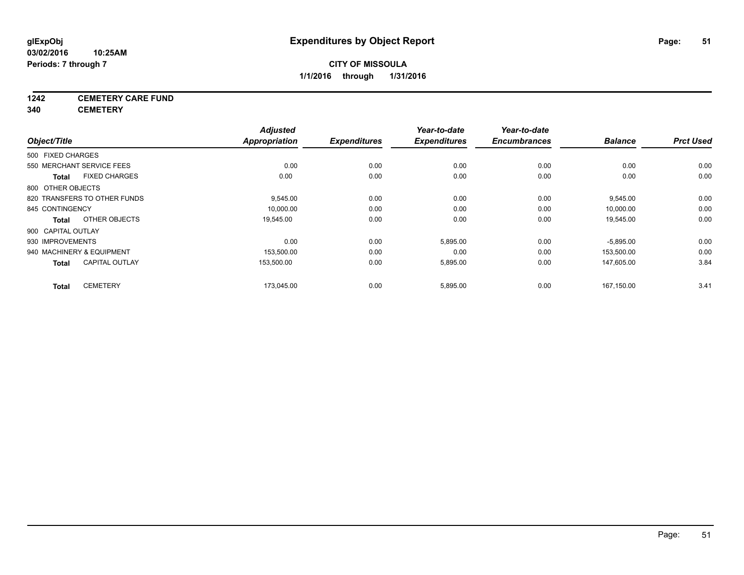## **1242 CEMETERY CARE FUND**

**340 CEMETERY**

| Object/Title       |                              | <b>Adjusted</b><br><b>Appropriation</b> | <b>Expenditures</b> | Year-to-date<br><b>Expenditures</b> | Year-to-date<br><b>Encumbrances</b> | <b>Balance</b> | <b>Prct Used</b> |
|--------------------|------------------------------|-----------------------------------------|---------------------|-------------------------------------|-------------------------------------|----------------|------------------|
| 500 FIXED CHARGES  |                              |                                         |                     |                                     |                                     |                |                  |
|                    | 550 MERCHANT SERVICE FEES    | 0.00                                    | 0.00                | 0.00                                | 0.00                                | 0.00           | 0.00             |
| Total              | <b>FIXED CHARGES</b>         | 0.00                                    | 0.00                | 0.00                                | 0.00                                | 0.00           | 0.00             |
| 800 OTHER OBJECTS  |                              |                                         |                     |                                     |                                     |                |                  |
|                    | 820 TRANSFERS TO OTHER FUNDS | 9,545.00                                | 0.00                | 0.00                                | 0.00                                | 9,545.00       | 0.00             |
| 845 CONTINGENCY    |                              | 10,000.00                               | 0.00                | 0.00                                | 0.00                                | 10,000.00      | 0.00             |
| <b>Total</b>       | OTHER OBJECTS                | 19,545.00                               | 0.00                | 0.00                                | 0.00                                | 19,545.00      | 0.00             |
| 900 CAPITAL OUTLAY |                              |                                         |                     |                                     |                                     |                |                  |
| 930 IMPROVEMENTS   |                              | 0.00                                    | 0.00                | 5,895.00                            | 0.00                                | $-5,895.00$    | 0.00             |
|                    | 940 MACHINERY & EQUIPMENT    | 153,500.00                              | 0.00                | 0.00                                | 0.00                                | 153,500.00     | 0.00             |
| <b>Total</b>       | <b>CAPITAL OUTLAY</b>        | 153,500.00                              | 0.00                | 5,895.00                            | 0.00                                | 147,605.00     | 3.84             |
| <b>Total</b>       | <b>CEMETERY</b>              | 173,045.00                              | 0.00                | 5,895.00                            | 0.00                                | 167,150.00     | 3.41             |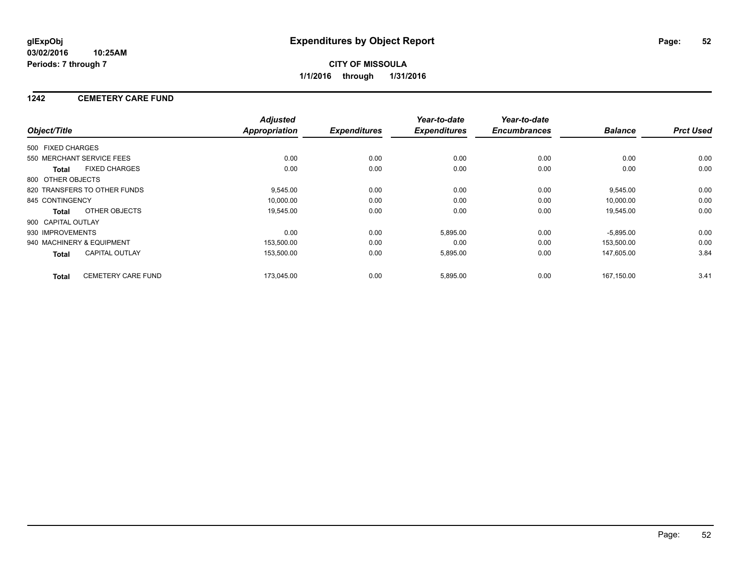### **1242 CEMETERY CARE FUND**

|                    |                              | <b>Adjusted</b> |                     | Year-to-date        | Year-to-date        |                |                  |
|--------------------|------------------------------|-----------------|---------------------|---------------------|---------------------|----------------|------------------|
| Object/Title       |                              | Appropriation   | <b>Expenditures</b> | <b>Expenditures</b> | <b>Encumbrances</b> | <b>Balance</b> | <b>Prct Used</b> |
| 500 FIXED CHARGES  |                              |                 |                     |                     |                     |                |                  |
|                    | 550 MERCHANT SERVICE FEES    | 0.00            | 0.00                | 0.00                | 0.00                | 0.00           | 0.00             |
| <b>Total</b>       | <b>FIXED CHARGES</b>         | 0.00            | 0.00                | 0.00                | 0.00                | 0.00           | 0.00             |
| 800 OTHER OBJECTS  |                              |                 |                     |                     |                     |                |                  |
|                    | 820 TRANSFERS TO OTHER FUNDS | 9,545.00        | 0.00                | 0.00                | 0.00                | 9,545.00       | 0.00             |
| 845 CONTINGENCY    |                              | 10,000.00       | 0.00                | 0.00                | 0.00                | 10,000.00      | 0.00             |
| Total              | OTHER OBJECTS                | 19,545.00       | 0.00                | 0.00                | 0.00                | 19,545.00      | 0.00             |
| 900 CAPITAL OUTLAY |                              |                 |                     |                     |                     |                |                  |
| 930 IMPROVEMENTS   |                              | 0.00            | 0.00                | 5,895.00            | 0.00                | $-5,895.00$    | 0.00             |
|                    | 940 MACHINERY & EQUIPMENT    | 153,500.00      | 0.00                | 0.00                | 0.00                | 153,500.00     | 0.00             |
| Total              | <b>CAPITAL OUTLAY</b>        | 153,500.00      | 0.00                | 5,895.00            | 0.00                | 147,605.00     | 3.84             |
| <b>Total</b>       | <b>CEMETERY CARE FUND</b>    | 173,045.00      | 0.00                | 5,895.00            | 0.00                | 167.150.00     | 3.41             |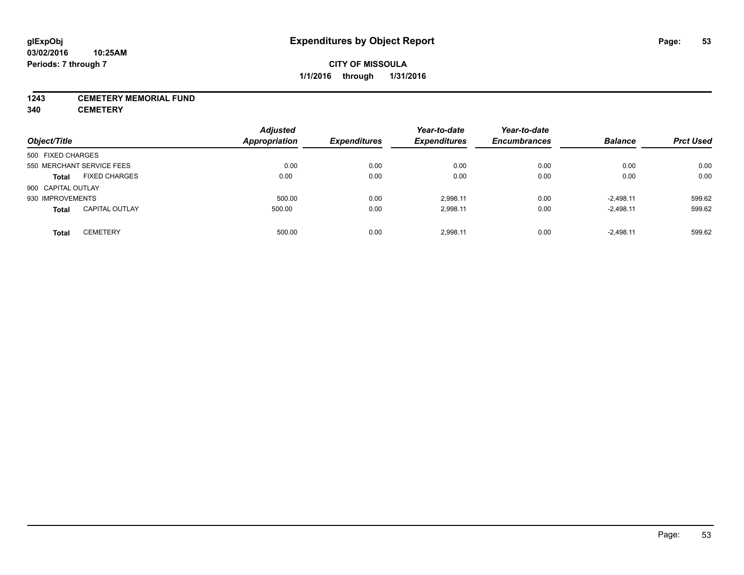#### **1243 CEMETERY MEMORIAL FUND**

**340 CEMETERY**

| Object/Title                          | <b>Adjusted</b><br><b>Appropriation</b> | <b>Expenditures</b> | Year-to-date<br><b>Expenditures</b> | Year-to-date<br><b>Encumbrances</b> | <b>Balance</b> | <b>Prct Used</b> |
|---------------------------------------|-----------------------------------------|---------------------|-------------------------------------|-------------------------------------|----------------|------------------|
| 500 FIXED CHARGES                     |                                         |                     |                                     |                                     |                |                  |
| 550 MERCHANT SERVICE FEES             | 0.00                                    | 0.00                | 0.00                                | 0.00                                | 0.00           | 0.00             |
|                                       |                                         |                     |                                     |                                     |                |                  |
| <b>FIXED CHARGES</b><br><b>Total</b>  | 0.00                                    | 0.00                | 0.00                                | 0.00                                | 0.00           | 0.00             |
| 900 CAPITAL OUTLAY                    |                                         |                     |                                     |                                     |                |                  |
| 930 IMPROVEMENTS                      | 500.00                                  | 0.00                | 2.998.11                            | 0.00                                | $-2.498.11$    | 599.62           |
| <b>CAPITAL OUTLAY</b><br><b>Total</b> | 500.00                                  | 0.00                | 2,998.11                            | 0.00                                | $-2,498.11$    | 599.62           |
| <b>CEMETERY</b><br><b>Total</b>       | 500.00                                  | 0.00                | 2.998.11                            | 0.00                                | $-2,498.11$    | 599.62           |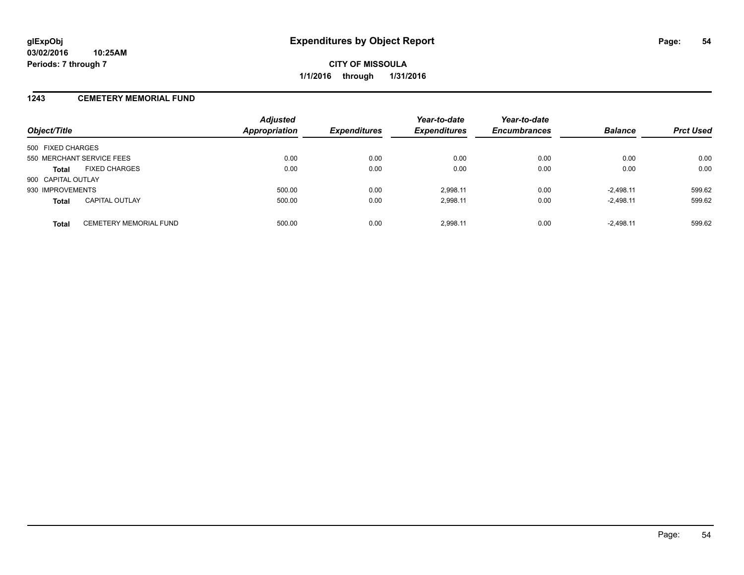#### **1243 CEMETERY MEMORIAL FUND**

| Object/Title                                  | <b>Adjusted</b><br><b>Appropriation</b> | <b>Expenditures</b> | Year-to-date<br><b>Expenditures</b> | Year-to-date<br><b>Encumbrances</b> | <b>Balance</b> | <b>Prct Used</b> |
|-----------------------------------------------|-----------------------------------------|---------------------|-------------------------------------|-------------------------------------|----------------|------------------|
| 500 FIXED CHARGES                             |                                         |                     |                                     |                                     |                |                  |
| 550 MERCHANT SERVICE FEES                     | 0.00                                    | 0.00                | 0.00                                | 0.00                                | 0.00           | 0.00             |
| <b>FIXED CHARGES</b><br><b>Total</b>          | 0.00                                    | 0.00                | 0.00                                | 0.00                                | 0.00           | 0.00             |
| 900 CAPITAL OUTLAY                            |                                         |                     |                                     |                                     |                |                  |
| 930 IMPROVEMENTS                              | 500.00                                  | 0.00                | 2.998.11                            | 0.00                                | $-2.498.11$    | 599.62           |
| <b>CAPITAL OUTLAY</b><br><b>Total</b>         | 500.00                                  | 0.00                | 2,998.11                            | 0.00                                | $-2,498.11$    | 599.62           |
| <b>CEMETERY MEMORIAL FUND</b><br><b>Total</b> | 500.00                                  | 0.00                | 2.998.11                            | 0.00                                | $-2.498.11$    | 599.62           |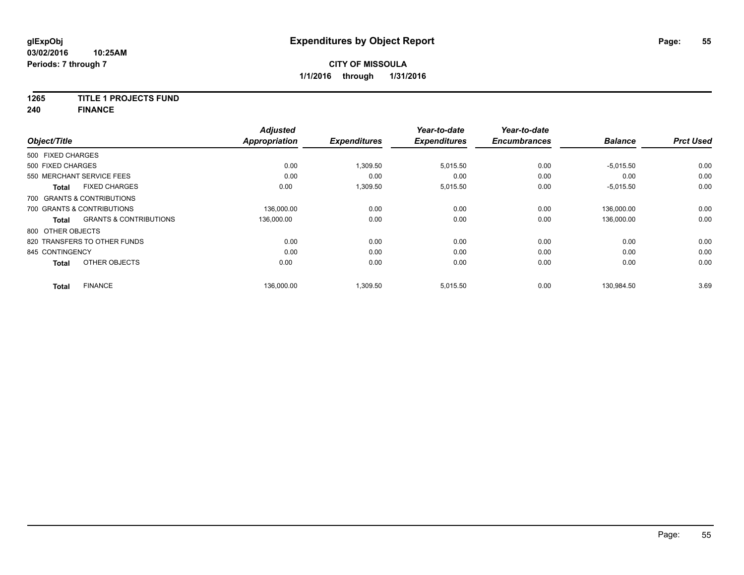### **1265 TITLE 1 PROJECTS FUND**

**240 FINANCE**

|                   |                                   | <b>Adjusted</b> |                     | Year-to-date        | Year-to-date        |                |                  |
|-------------------|-----------------------------------|-----------------|---------------------|---------------------|---------------------|----------------|------------------|
| Object/Title      |                                   | Appropriation   | <b>Expenditures</b> | <b>Expenditures</b> | <b>Encumbrances</b> | <b>Balance</b> | <b>Prct Used</b> |
| 500 FIXED CHARGES |                                   |                 |                     |                     |                     |                |                  |
| 500 FIXED CHARGES |                                   | 0.00            | 1,309.50            | 5,015.50            | 0.00                | $-5,015.50$    | 0.00             |
|                   | 550 MERCHANT SERVICE FEES         | 0.00            | 0.00                | 0.00                | 0.00                | 0.00           | 0.00             |
| <b>Total</b>      | <b>FIXED CHARGES</b>              | 0.00            | 1,309.50            | 5,015.50            | 0.00                | $-5,015.50$    | 0.00             |
|                   | 700 GRANTS & CONTRIBUTIONS        |                 |                     |                     |                     |                |                  |
|                   | 700 GRANTS & CONTRIBUTIONS        | 136,000.00      | 0.00                | 0.00                | 0.00                | 136.000.00     | 0.00             |
| Total             | <b>GRANTS &amp; CONTRIBUTIONS</b> | 136,000.00      | 0.00                | 0.00                | 0.00                | 136,000.00     | 0.00             |
| 800 OTHER OBJECTS |                                   |                 |                     |                     |                     |                |                  |
|                   | 820 TRANSFERS TO OTHER FUNDS      | 0.00            | 0.00                | 0.00                | 0.00                | 0.00           | 0.00             |
| 845 CONTINGENCY   |                                   | 0.00            | 0.00                | 0.00                | 0.00                | 0.00           | 0.00             |
| Total             | OTHER OBJECTS                     | 0.00            | 0.00                | 0.00                | 0.00                | 0.00           | 0.00             |
| <b>Total</b>      | <b>FINANCE</b>                    | 136,000.00      | 1,309.50            | 5,015.50            | 0.00                | 130,984.50     | 3.69             |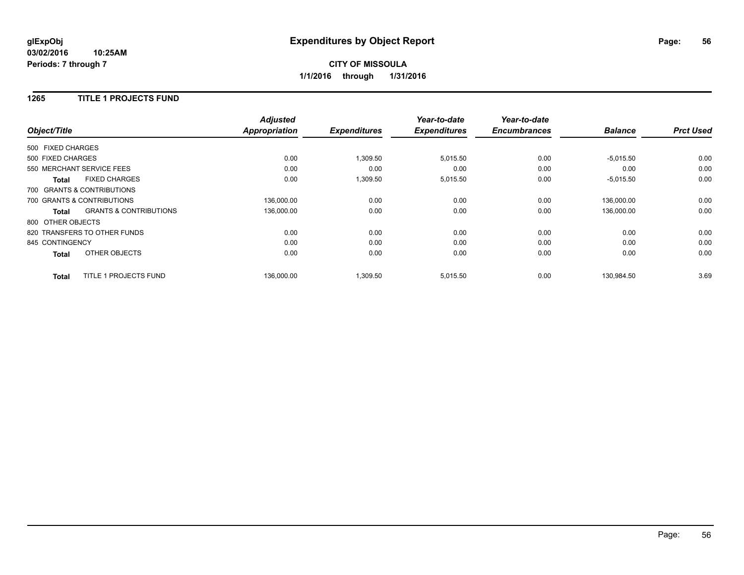#### **1265 TITLE 1 PROJECTS FUND**

|                   |                                   | <b>Adjusted</b>      |                     | Year-to-date        | Year-to-date        |                |                  |
|-------------------|-----------------------------------|----------------------|---------------------|---------------------|---------------------|----------------|------------------|
| Object/Title      |                                   | <b>Appropriation</b> | <b>Expenditures</b> | <b>Expenditures</b> | <b>Encumbrances</b> | <b>Balance</b> | <b>Prct Used</b> |
| 500 FIXED CHARGES |                                   |                      |                     |                     |                     |                |                  |
| 500 FIXED CHARGES |                                   | 0.00                 | 1,309.50            | 5,015.50            | 0.00                | $-5,015.50$    | 0.00             |
|                   | 550 MERCHANT SERVICE FEES         | 0.00                 | 0.00                | 0.00                | 0.00                | 0.00           | 0.00             |
| <b>Total</b>      | <b>FIXED CHARGES</b>              | 0.00                 | 1,309.50            | 5,015.50            | 0.00                | $-5,015.50$    | 0.00             |
|                   | 700 GRANTS & CONTRIBUTIONS        |                      |                     |                     |                     |                |                  |
|                   | 700 GRANTS & CONTRIBUTIONS        | 136,000.00           | 0.00                | 0.00                | 0.00                | 136,000.00     | 0.00             |
| Total             | <b>GRANTS &amp; CONTRIBUTIONS</b> | 136,000.00           | 0.00                | 0.00                | 0.00                | 136,000.00     | 0.00             |
| 800 OTHER OBJECTS |                                   |                      |                     |                     |                     |                |                  |
|                   | 820 TRANSFERS TO OTHER FUNDS      | 0.00                 | 0.00                | 0.00                | 0.00                | 0.00           | 0.00             |
| 845 CONTINGENCY   |                                   | 0.00                 | 0.00                | 0.00                | 0.00                | 0.00           | 0.00             |
| <b>Total</b>      | OTHER OBJECTS                     | 0.00                 | 0.00                | 0.00                | 0.00                | 0.00           | 0.00             |
| <b>Total</b>      | TITLE 1 PROJECTS FUND             | 136,000.00           | 1,309.50            | 5,015.50            | 0.00                | 130,984.50     | 3.69             |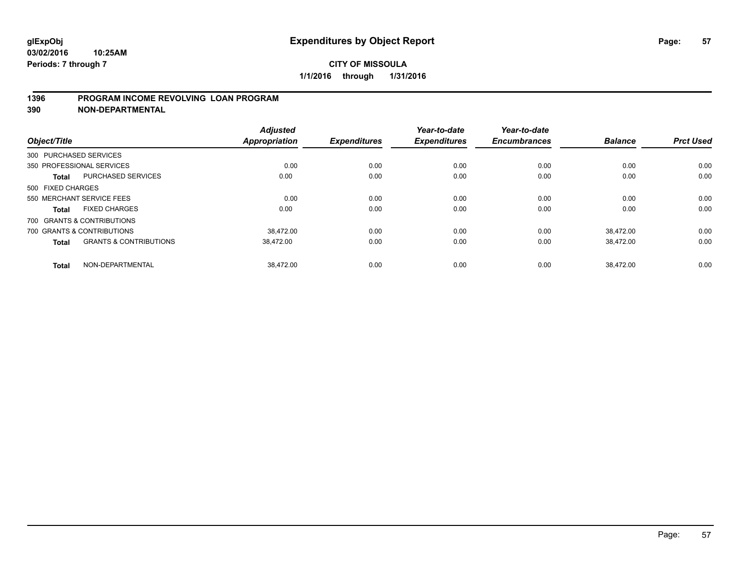### **1396 PROGRAM INCOME REVOLVING LOAN PROGRAM**

**390 NON-DEPARTMENTAL**

| Object/Title      |                                   | <b>Adjusted</b><br><b>Appropriation</b> | <b>Expenditures</b> | Year-to-date<br><b>Expenditures</b> | Year-to-date<br><b>Encumbrances</b> | <b>Balance</b> | <b>Prct Used</b> |
|-------------------|-----------------------------------|-----------------------------------------|---------------------|-------------------------------------|-------------------------------------|----------------|------------------|
|                   | 300 PURCHASED SERVICES            |                                         |                     |                                     |                                     |                |                  |
|                   | 350 PROFESSIONAL SERVICES         | 0.00                                    | 0.00                | 0.00                                | 0.00                                | 0.00           | 0.00             |
| <b>Total</b>      | PURCHASED SERVICES                | 0.00                                    | 0.00                | 0.00                                | 0.00                                | 0.00           | 0.00             |
| 500 FIXED CHARGES |                                   |                                         |                     |                                     |                                     |                |                  |
|                   | 550 MERCHANT SERVICE FEES         | 0.00                                    | 0.00                | 0.00                                | 0.00                                | 0.00           | 0.00             |
| Total             | <b>FIXED CHARGES</b>              | 0.00                                    | 0.00                | 0.00                                | 0.00                                | 0.00           | 0.00             |
|                   | 700 GRANTS & CONTRIBUTIONS        |                                         |                     |                                     |                                     |                |                  |
|                   | 700 GRANTS & CONTRIBUTIONS        | 38.472.00                               | 0.00                | 0.00                                | 0.00                                | 38.472.00      | 0.00             |
| <b>Total</b>      | <b>GRANTS &amp; CONTRIBUTIONS</b> | 38,472.00                               | 0.00                | 0.00                                | 0.00                                | 38,472.00      | 0.00             |
| <b>Total</b>      | NON-DEPARTMENTAL                  | 38.472.00                               | 0.00                | 0.00                                | 0.00                                | 38.472.00      | 0.00             |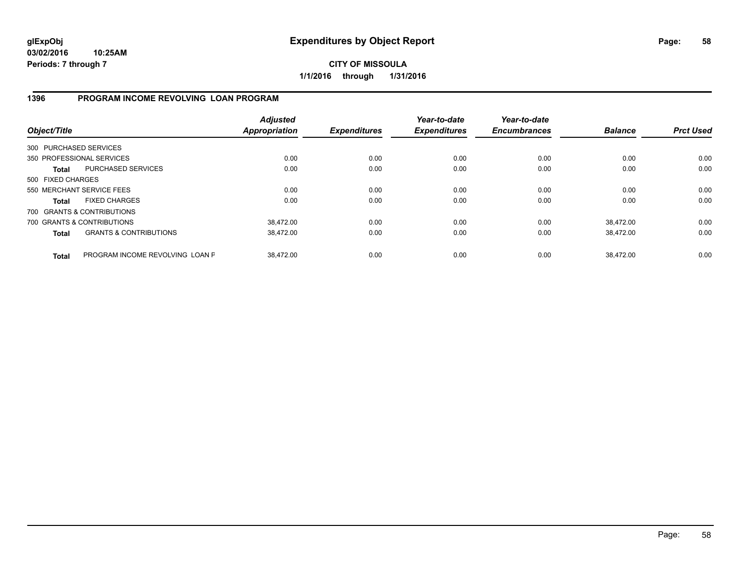**CITY OF MISSOULA 1/1/2016 through 1/31/2016**

### **1396 PROGRAM INCOME REVOLVING LOAN PROGRAM**

| Object/Title           |                                   | <b>Adjusted</b><br>Appropriation | <b>Expenditures</b> | Year-to-date<br><b>Expenditures</b> | Year-to-date<br><b>Encumbrances</b> | <b>Balance</b> | <b>Prct Used</b> |
|------------------------|-----------------------------------|----------------------------------|---------------------|-------------------------------------|-------------------------------------|----------------|------------------|
| 300 PURCHASED SERVICES |                                   |                                  |                     |                                     |                                     |                |                  |
|                        | 350 PROFESSIONAL SERVICES         | 0.00                             | 0.00                | 0.00                                | 0.00                                | 0.00           | 0.00             |
| Total                  | PURCHASED SERVICES                | 0.00                             | 0.00                | 0.00                                | 0.00                                | 0.00           | 0.00             |
| 500 FIXED CHARGES      |                                   |                                  |                     |                                     |                                     |                |                  |
|                        | 550 MERCHANT SERVICE FEES         | 0.00                             | 0.00                | 0.00                                | 0.00                                | 0.00           | 0.00             |
| <b>Total</b>           | <b>FIXED CHARGES</b>              | 0.00                             | 0.00                | 0.00                                | 0.00                                | 0.00           | 0.00             |
|                        | 700 GRANTS & CONTRIBUTIONS        |                                  |                     |                                     |                                     |                |                  |
|                        | 700 GRANTS & CONTRIBUTIONS        | 38.472.00                        | 0.00                | 0.00                                | 0.00                                | 38.472.00      | 0.00             |
| <b>Total</b>           | <b>GRANTS &amp; CONTRIBUTIONS</b> | 38,472.00                        | 0.00                | 0.00                                | 0.00                                | 38,472.00      | 0.00             |
| <b>Total</b>           | PROGRAM INCOME REVOLVING LOAN P   | 38.472.00                        | 0.00                | 0.00                                | 0.00                                | 38.472.00      | 0.00             |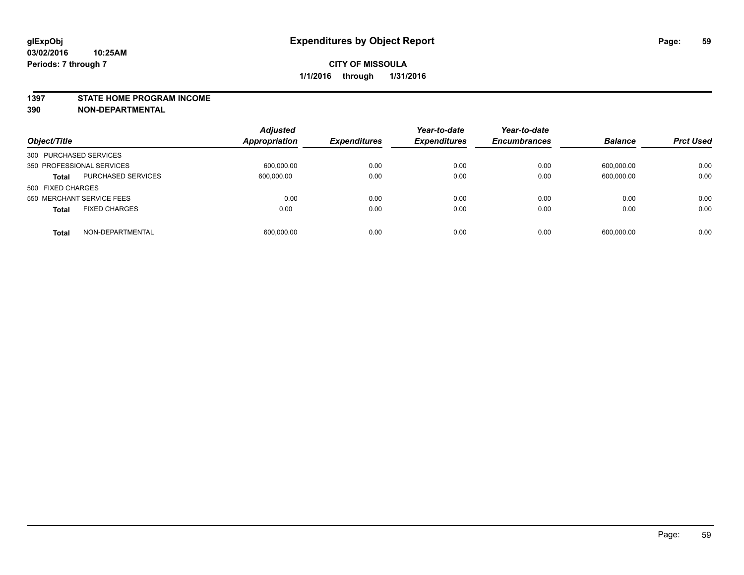#### **1397 STATE HOME PROGRAM INCOME**

**390 NON-DEPARTMENTAL**

| Object/Title                         | <b>Adjusted</b><br><b>Appropriation</b> | <b>Expenditures</b> | Year-to-date<br><b>Expenditures</b> | Year-to-date<br><b>Encumbrances</b> | <b>Balance</b> | <b>Prct Used</b> |
|--------------------------------------|-----------------------------------------|---------------------|-------------------------------------|-------------------------------------|----------------|------------------|
| 300 PURCHASED SERVICES               |                                         |                     |                                     |                                     |                |                  |
| 350 PROFESSIONAL SERVICES            | 600,000.00                              | 0.00                | 0.00                                | 0.00                                | 600,000.00     | 0.00             |
| PURCHASED SERVICES<br><b>Total</b>   | 600,000.00                              | 0.00                | 0.00                                | 0.00                                | 600,000.00     | 0.00             |
| 500 FIXED CHARGES                    |                                         |                     |                                     |                                     |                |                  |
| 550 MERCHANT SERVICE FEES            | 0.00                                    | 0.00                | 0.00                                | 0.00                                | 0.00           | 0.00             |
| <b>FIXED CHARGES</b><br><b>Total</b> | 0.00                                    | 0.00                | 0.00                                | 0.00                                | 0.00           | 0.00             |
| NON-DEPARTMENTAL<br><b>Total</b>     | 600.000.00                              | 0.00                | 0.00                                | 0.00                                | 600.000.00     | 0.00             |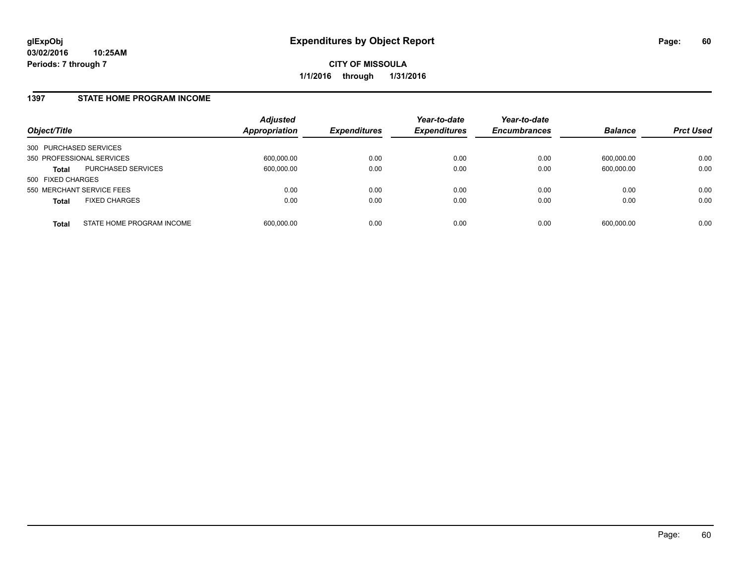### **1397 STATE HOME PROGRAM INCOME**

| Object/Title                              | <b>Adjusted</b><br>Appropriation | <i><b>Expenditures</b></i> | Year-to-date<br><b>Expenditures</b> | Year-to-date<br><b>Encumbrances</b> | <b>Balance</b> | <b>Prct Used</b> |
|-------------------------------------------|----------------------------------|----------------------------|-------------------------------------|-------------------------------------|----------------|------------------|
| 300 PURCHASED SERVICES                    |                                  |                            |                                     |                                     |                |                  |
| 350 PROFESSIONAL SERVICES                 | 600.000.00                       | 0.00                       | 0.00                                | 0.00                                | 600.000.00     | 0.00             |
| PURCHASED SERVICES<br><b>Total</b>        | 600,000.00                       | 0.00                       | 0.00                                | 0.00                                | 600,000.00     | 0.00             |
| 500 FIXED CHARGES                         |                                  |                            |                                     |                                     |                |                  |
| 550 MERCHANT SERVICE FEES                 | 0.00                             | 0.00                       | 0.00                                | 0.00                                | 0.00           | 0.00             |
| <b>FIXED CHARGES</b><br><b>Total</b>      | 0.00                             | 0.00                       | 0.00                                | 0.00                                | 0.00           | 0.00             |
| STATE HOME PROGRAM INCOME<br><b>Total</b> | 600,000.00                       | 0.00                       | 0.00                                | 0.00                                | 600.000.00     | 0.00             |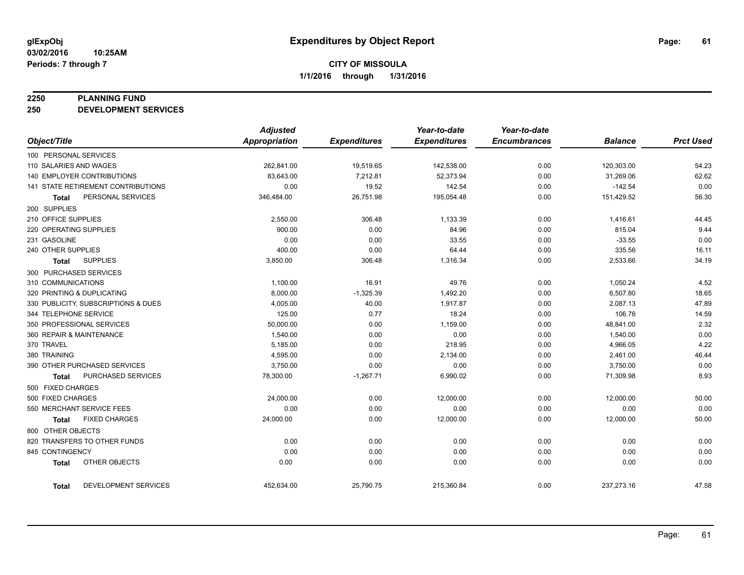#### **2250 PLANNING FUND**

**250 DEVELOPMENT SERVICES**

|                                           | <b>Adjusted</b>      |                     | Year-to-date        | Year-to-date        |                |                  |
|-------------------------------------------|----------------------|---------------------|---------------------|---------------------|----------------|------------------|
| Object/Title                              | <b>Appropriation</b> | <b>Expenditures</b> | <b>Expenditures</b> | <b>Encumbrances</b> | <b>Balance</b> | <b>Prct Used</b> |
| 100 PERSONAL SERVICES                     |                      |                     |                     |                     |                |                  |
| 110 SALARIES AND WAGES                    | 262,841.00           | 19,519.65           | 142,538.00          | 0.00                | 120,303.00     | 54.23            |
| <b>140 EMPLOYER CONTRIBUTIONS</b>         | 83,643.00            | 7,212.81            | 52,373.94           | 0.00                | 31,269.06      | 62.62            |
| <b>141 STATE RETIREMENT CONTRIBUTIONS</b> | 0.00                 | 19.52               | 142.54              | 0.00                | $-142.54$      | 0.00             |
| PERSONAL SERVICES<br><b>Total</b>         | 346,484.00           | 26,751.98           | 195,054.48          | 0.00                | 151,429.52     | 56.30            |
| 200 SUPPLIES                              |                      |                     |                     |                     |                |                  |
| 210 OFFICE SUPPLIES                       | 2,550.00             | 306.48              | 1,133.39            | 0.00                | 1,416.61       | 44.45            |
| 220 OPERATING SUPPLIES                    | 900.00               | 0.00                | 84.96               | 0.00                | 815.04         | 9.44             |
| 231 GASOLINE                              | 0.00                 | 0.00                | 33.55               | 0.00                | $-33.55$       | 0.00             |
| 240 OTHER SUPPLIES                        | 400.00               | 0.00                | 64.44               | 0.00                | 335.56         | 16.11            |
| <b>SUPPLIES</b><br>Total                  | 3,850.00             | 306.48              | 1,316.34            | 0.00                | 2,533.66       | 34.19            |
| 300 PURCHASED SERVICES                    |                      |                     |                     |                     |                |                  |
| 310 COMMUNICATIONS                        | 1,100.00             | 16.91               | 49.76               | 0.00                | 1,050.24       | 4.52             |
| 320 PRINTING & DUPLICATING                | 8,000.00             | $-1,325.39$         | 1,492.20            | 0.00                | 6,507.80       | 18.65            |
| 330 PUBLICITY, SUBSCRIPTIONS & DUES       | 4,005.00             | 40.00               | 1,917.87            | 0.00                | 2,087.13       | 47.89            |
| 344 TELEPHONE SERVICE                     | 125.00               | 0.77                | 18.24               | 0.00                | 106.76         | 14.59            |
| 350 PROFESSIONAL SERVICES                 | 50,000.00            | 0.00                | 1,159.00            | 0.00                | 48,841.00      | 2.32             |
| 360 REPAIR & MAINTENANCE                  | 1,540.00             | 0.00                | 0.00                | 0.00                | 1,540.00       | 0.00             |
| 370 TRAVEL                                | 5,185.00             | 0.00                | 218.95              | 0.00                | 4,966.05       | 4.22             |
| 380 TRAINING                              | 4,595.00             | 0.00                | 2,134.00            | 0.00                | 2,461.00       | 46.44            |
| 390 OTHER PURCHASED SERVICES              | 3,750.00             | 0.00                | 0.00                | 0.00                | 3,750.00       | 0.00             |
| <b>PURCHASED SERVICES</b><br><b>Total</b> | 78,300.00            | $-1,267.71$         | 6,990.02            | 0.00                | 71,309.98      | 8.93             |
| 500 FIXED CHARGES                         |                      |                     |                     |                     |                |                  |
| 500 FIXED CHARGES                         | 24,000.00            | 0.00                | 12,000.00           | 0.00                | 12,000.00      | 50.00            |
| 550 MERCHANT SERVICE FEES                 | 0.00                 | 0.00                | 0.00                | 0.00                | 0.00           | 0.00             |
| <b>FIXED CHARGES</b><br><b>Total</b>      | 24,000.00            | 0.00                | 12,000.00           | 0.00                | 12,000.00      | 50.00            |
| 800 OTHER OBJECTS                         |                      |                     |                     |                     |                |                  |
| 820 TRANSFERS TO OTHER FUNDS              | 0.00                 | 0.00                | 0.00                | 0.00                | 0.00           | 0.00             |
| 845 CONTINGENCY                           | 0.00                 | 0.00                | 0.00                | 0.00                | 0.00           | 0.00             |
| OTHER OBJECTS<br><b>Total</b>             | 0.00                 | 0.00                | 0.00                | 0.00                | 0.00           | 0.00             |
| DEVELOPMENT SERVICES<br><b>Total</b>      | 452,634.00           | 25,790.75           | 215,360.84          | 0.00                | 237,273.16     | 47.58            |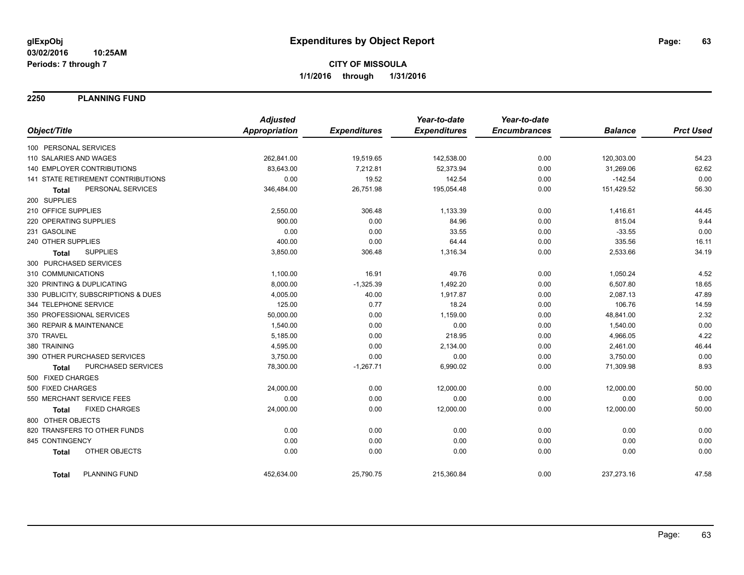**2250 PLANNING FUND**

|                                      | <b>Adjusted</b>      |                     | Year-to-date        | Year-to-date        |                |                  |
|--------------------------------------|----------------------|---------------------|---------------------|---------------------|----------------|------------------|
| Object/Title                         | <b>Appropriation</b> | <b>Expenditures</b> | <b>Expenditures</b> | <b>Encumbrances</b> | <b>Balance</b> | <b>Prct Used</b> |
| 100 PERSONAL SERVICES                |                      |                     |                     |                     |                |                  |
| 110 SALARIES AND WAGES               | 262,841.00           | 19,519.65           | 142,538.00          | 0.00                | 120,303.00     | 54.23            |
| 140 EMPLOYER CONTRIBUTIONS           | 83,643.00            | 7,212.81            | 52,373.94           | 0.00                | 31,269.06      | 62.62            |
| 141 STATE RETIREMENT CONTRIBUTIONS   | 0.00                 | 19.52               | 142.54              | 0.00                | $-142.54$      | 0.00             |
| PERSONAL SERVICES<br><b>Total</b>    | 346,484.00           | 26,751.98           | 195,054.48          | 0.00                | 151,429.52     | 56.30            |
| 200 SUPPLIES                         |                      |                     |                     |                     |                |                  |
| 210 OFFICE SUPPLIES                  | 2,550.00             | 306.48              | 1,133.39            | 0.00                | 1,416.61       | 44.45            |
| 220 OPERATING SUPPLIES               | 900.00               | 0.00                | 84.96               | 0.00                | 815.04         | 9.44             |
| 231 GASOLINE                         | 0.00                 | 0.00                | 33.55               | 0.00                | $-33.55$       | 0.00             |
| 240 OTHER SUPPLIES                   | 400.00               | 0.00                | 64.44               | 0.00                | 335.56         | 16.11            |
| <b>SUPPLIES</b><br><b>Total</b>      | 3,850.00             | 306.48              | 1,316.34            | 0.00                | 2,533.66       | 34.19            |
| 300 PURCHASED SERVICES               |                      |                     |                     |                     |                |                  |
| 310 COMMUNICATIONS                   | 1,100.00             | 16.91               | 49.76               | 0.00                | 1,050.24       | 4.52             |
| 320 PRINTING & DUPLICATING           | 8,000.00             | $-1,325.39$         | 1,492.20            | 0.00                | 6,507.80       | 18.65            |
| 330 PUBLICITY, SUBSCRIPTIONS & DUES  | 4,005.00             | 40.00               | 1,917.87            | 0.00                | 2,087.13       | 47.89            |
| 344 TELEPHONE SERVICE                | 125.00               | 0.77                | 18.24               | 0.00                | 106.76         | 14.59            |
| 350 PROFESSIONAL SERVICES            | 50,000.00            | 0.00                | 1,159.00            | 0.00                | 48,841.00      | 2.32             |
| 360 REPAIR & MAINTENANCE             | 1,540.00             | 0.00                | 0.00                | 0.00                | 1,540.00       | 0.00             |
| 370 TRAVEL                           | 5,185.00             | 0.00                | 218.95              | 0.00                | 4,966.05       | 4.22             |
| 380 TRAINING                         | 4,595.00             | 0.00                | 2,134.00            | 0.00                | 2,461.00       | 46.44            |
| 390 OTHER PURCHASED SERVICES         | 3,750.00             | 0.00                | 0.00                | 0.00                | 3,750.00       | 0.00             |
| PURCHASED SERVICES<br><b>Total</b>   | 78,300.00            | $-1,267.71$         | 6,990.02            | 0.00                | 71,309.98      | 8.93             |
| 500 FIXED CHARGES                    |                      |                     |                     |                     |                |                  |
| 500 FIXED CHARGES                    | 24,000.00            | 0.00                | 12,000.00           | 0.00                | 12,000.00      | 50.00            |
| 550 MERCHANT SERVICE FEES            | 0.00                 | 0.00                | 0.00                | 0.00                | 0.00           | 0.00             |
| <b>FIXED CHARGES</b><br><b>Total</b> | 24,000.00            | 0.00                | 12,000.00           | 0.00                | 12,000.00      | 50.00            |
| 800 OTHER OBJECTS                    |                      |                     |                     |                     |                |                  |
| 820 TRANSFERS TO OTHER FUNDS         | 0.00                 | 0.00                | 0.00                | 0.00                | 0.00           | 0.00             |
| 845 CONTINGENCY                      | 0.00                 | 0.00                | 0.00                | 0.00                | 0.00           | 0.00             |
| OTHER OBJECTS<br><b>Total</b>        | 0.00                 | 0.00                | 0.00                | 0.00                | 0.00           | 0.00             |
| PLANNING FUND<br><b>Total</b>        | 452,634.00           | 25,790.75           | 215,360.84          | 0.00                | 237,273.16     | 47.58            |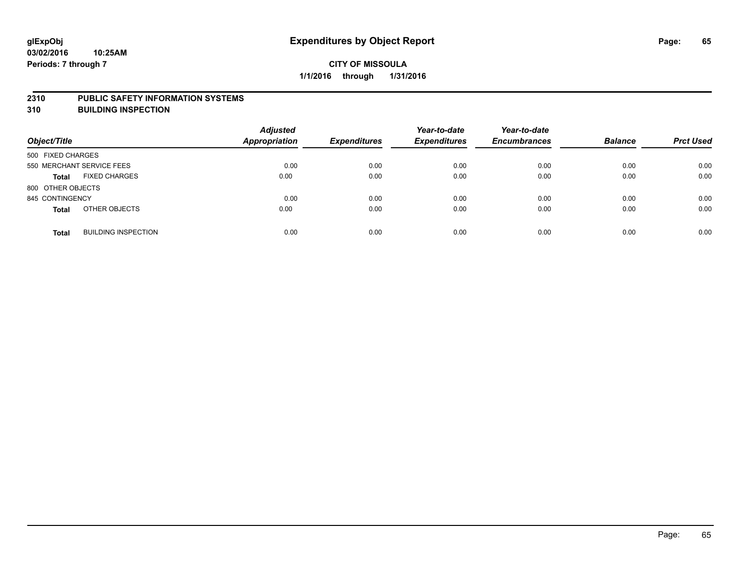#### **2310 PUBLIC SAFETY INFORMATION SYSTEMS**

**310 BUILDING INSPECTION**

| Object/Title                               | <b>Adjusted</b><br><b>Appropriation</b> | <b>Expenditures</b> | Year-to-date<br><b>Expenditures</b> | Year-to-date<br><b>Encumbrances</b> | <b>Balance</b> | <b>Prct Used</b> |
|--------------------------------------------|-----------------------------------------|---------------------|-------------------------------------|-------------------------------------|----------------|------------------|
| 500 FIXED CHARGES                          |                                         |                     |                                     |                                     |                |                  |
| 550 MERCHANT SERVICE FEES                  | 0.00                                    | 0.00                | 0.00                                | 0.00                                | 0.00           | 0.00             |
| <b>FIXED CHARGES</b><br><b>Total</b>       | 0.00                                    | 0.00                | 0.00                                | 0.00                                | 0.00           | 0.00             |
| 800 OTHER OBJECTS                          |                                         |                     |                                     |                                     |                |                  |
| 845 CONTINGENCY                            | 0.00                                    | 0.00                | 0.00                                | 0.00                                | 0.00           | 0.00             |
| OTHER OBJECTS<br><b>Total</b>              | 0.00                                    | 0.00                | 0.00                                | 0.00                                | 0.00           | 0.00             |
| <b>BUILDING INSPECTION</b><br><b>Total</b> | 0.00                                    | 0.00                | 0.00                                | 0.00                                | 0.00           | 0.00             |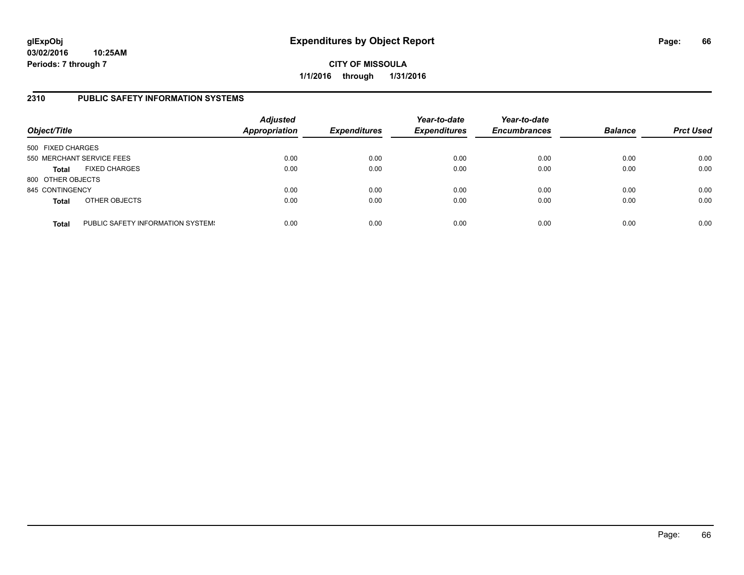**CITY OF MISSOULA 1/1/2016 through 1/31/2016**

### **2310 PUBLIC SAFETY INFORMATION SYSTEMS**

| Object/Title      |                                   | <b>Adjusted</b><br>Appropriation | <b>Expenditures</b> | Year-to-date<br><b>Expenditures</b> | Year-to-date<br><b>Encumbrances</b> | <b>Balance</b> | <b>Prct Used</b> |
|-------------------|-----------------------------------|----------------------------------|---------------------|-------------------------------------|-------------------------------------|----------------|------------------|
| 500 FIXED CHARGES |                                   |                                  |                     |                                     |                                     |                |                  |
|                   | 550 MERCHANT SERVICE FEES         | 0.00                             | 0.00                | 0.00                                | 0.00                                | 0.00           | 0.00             |
| <b>Total</b>      | <b>FIXED CHARGES</b>              | 0.00                             | 0.00                | 0.00                                | 0.00                                | 0.00           | 0.00             |
| 800 OTHER OBJECTS |                                   |                                  |                     |                                     |                                     |                |                  |
| 845 CONTINGENCY   |                                   | 0.00                             | 0.00                | 0.00                                | 0.00                                | 0.00           | 0.00             |
| <b>Total</b>      | OTHER OBJECTS                     | 0.00                             | 0.00                | 0.00                                | 0.00                                | 0.00           | 0.00             |
| <b>Total</b>      | PUBLIC SAFETY INFORMATION SYSTEM! | 0.00                             | 0.00                | 0.00                                | 0.00                                | 0.00           | 0.00             |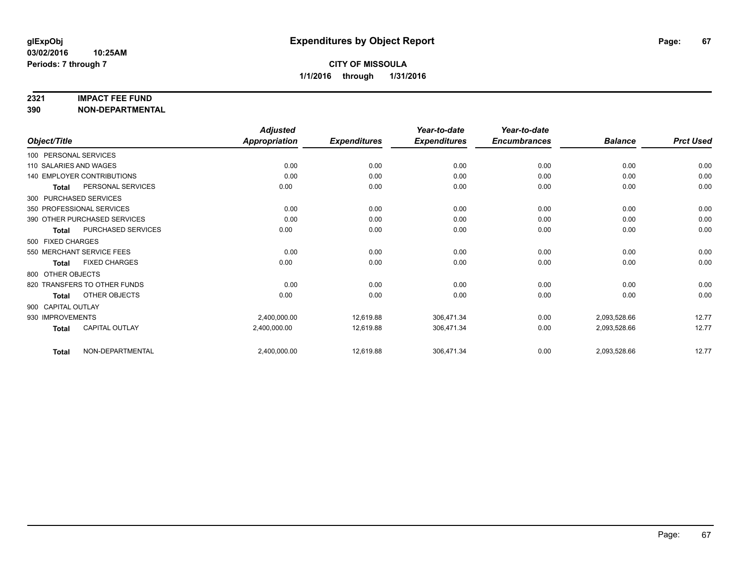#### **2321 IMPACT FEE FUND**

**390 NON-DEPARTMENTAL**

|                        |                                   | <b>Adjusted</b>      |                     | Year-to-date        | Year-to-date        |                |                  |
|------------------------|-----------------------------------|----------------------|---------------------|---------------------|---------------------|----------------|------------------|
| Object/Title           |                                   | <b>Appropriation</b> | <b>Expenditures</b> | <b>Expenditures</b> | <b>Encumbrances</b> | <b>Balance</b> | <b>Prct Used</b> |
| 100 PERSONAL SERVICES  |                                   |                      |                     |                     |                     |                |                  |
| 110 SALARIES AND WAGES |                                   | 0.00                 | 0.00                | 0.00                | 0.00                | 0.00           | 0.00             |
|                        | <b>140 EMPLOYER CONTRIBUTIONS</b> | 0.00                 | 0.00                | 0.00                | 0.00                | 0.00           | 0.00             |
| <b>Total</b>           | PERSONAL SERVICES                 | 0.00                 | 0.00                | 0.00                | 0.00                | 0.00           | 0.00             |
|                        | 300 PURCHASED SERVICES            |                      |                     |                     |                     |                |                  |
|                        | 350 PROFESSIONAL SERVICES         | 0.00                 | 0.00                | 0.00                | 0.00                | 0.00           | 0.00             |
|                        | 390 OTHER PURCHASED SERVICES      | 0.00                 | 0.00                | 0.00                | 0.00                | 0.00           | 0.00             |
| Total                  | PURCHASED SERVICES                | 0.00                 | 0.00                | 0.00                | 0.00                | 0.00           | 0.00             |
| 500 FIXED CHARGES      |                                   |                      |                     |                     |                     |                |                  |
|                        | 550 MERCHANT SERVICE FEES         | 0.00                 | 0.00                | 0.00                | 0.00                | 0.00           | 0.00             |
| <b>Total</b>           | <b>FIXED CHARGES</b>              | 0.00                 | 0.00                | 0.00                | 0.00                | 0.00           | 0.00             |
| 800 OTHER OBJECTS      |                                   |                      |                     |                     |                     |                |                  |
|                        | 820 TRANSFERS TO OTHER FUNDS      | 0.00                 | 0.00                | 0.00                | 0.00                | 0.00           | 0.00             |
| <b>Total</b>           | OTHER OBJECTS                     | 0.00                 | 0.00                | 0.00                | 0.00                | 0.00           | 0.00             |
| 900 CAPITAL OUTLAY     |                                   |                      |                     |                     |                     |                |                  |
| 930 IMPROVEMENTS       |                                   | 2,400,000.00         | 12,619.88           | 306,471.34          | 0.00                | 2,093,528.66   | 12.77            |
| <b>Total</b>           | <b>CAPITAL OUTLAY</b>             | 2,400,000.00         | 12,619.88           | 306,471.34          | 0.00                | 2,093,528.66   | 12.77            |
| <b>Total</b>           | NON-DEPARTMENTAL                  | 2,400,000.00         | 12,619.88           | 306,471.34          | 0.00                | 2,093,528.66   | 12.77            |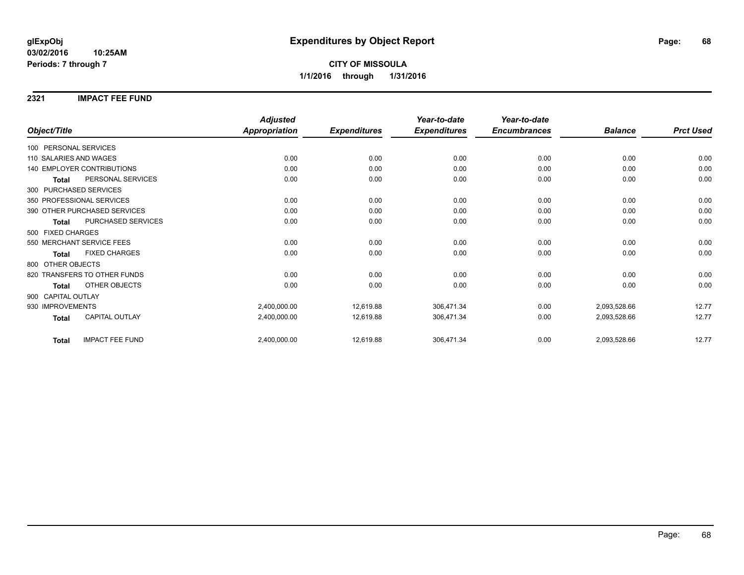### **2321 IMPACT FEE FUND**

|                                        | <b>Adjusted</b>      |                     | Year-to-date        | Year-to-date        |                |                  |
|----------------------------------------|----------------------|---------------------|---------------------|---------------------|----------------|------------------|
| Object/Title                           | <b>Appropriation</b> | <b>Expenditures</b> | <b>Expenditures</b> | <b>Encumbrances</b> | <b>Balance</b> | <b>Prct Used</b> |
| 100 PERSONAL SERVICES                  |                      |                     |                     |                     |                |                  |
| 110 SALARIES AND WAGES                 | 0.00                 | 0.00                | 0.00                | 0.00                | 0.00           | 0.00             |
| <b>140 EMPLOYER CONTRIBUTIONS</b>      | 0.00                 | 0.00                | 0.00                | 0.00                | 0.00           | 0.00             |
| PERSONAL SERVICES<br><b>Total</b>      | 0.00                 | 0.00                | 0.00                | 0.00                | 0.00           | 0.00             |
| 300 PURCHASED SERVICES                 |                      |                     |                     |                     |                |                  |
| 350 PROFESSIONAL SERVICES              | 0.00                 | 0.00                | 0.00                | 0.00                | 0.00           | 0.00             |
| 390 OTHER PURCHASED SERVICES           | 0.00                 | 0.00                | 0.00                | 0.00                | 0.00           | 0.00             |
| PURCHASED SERVICES<br><b>Total</b>     | 0.00                 | 0.00                | 0.00                | 0.00                | 0.00           | 0.00             |
| 500 FIXED CHARGES                      |                      |                     |                     |                     |                |                  |
| 550 MERCHANT SERVICE FEES              | 0.00                 | 0.00                | 0.00                | 0.00                | 0.00           | 0.00             |
| <b>FIXED CHARGES</b><br><b>Total</b>   | 0.00                 | 0.00                | 0.00                | 0.00                | 0.00           | 0.00             |
| 800 OTHER OBJECTS                      |                      |                     |                     |                     |                |                  |
| 820 TRANSFERS TO OTHER FUNDS           | 0.00                 | 0.00                | 0.00                | 0.00                | 0.00           | 0.00             |
| OTHER OBJECTS<br><b>Total</b>          | 0.00                 | 0.00                | 0.00                | 0.00                | 0.00           | 0.00             |
| 900 CAPITAL OUTLAY                     |                      |                     |                     |                     |                |                  |
| 930 IMPROVEMENTS                       | 2,400,000.00         | 12,619.88           | 306,471.34          | 0.00                | 2,093,528.66   | 12.77            |
| CAPITAL OUTLAY<br><b>Total</b>         | 2,400,000.00         | 12,619.88           | 306,471.34          | 0.00                | 2,093,528.66   | 12.77            |
| <b>IMPACT FEE FUND</b><br><b>Total</b> | 2,400,000.00         | 12,619.88           | 306,471.34          | 0.00                | 2,093,528.66   | 12.77            |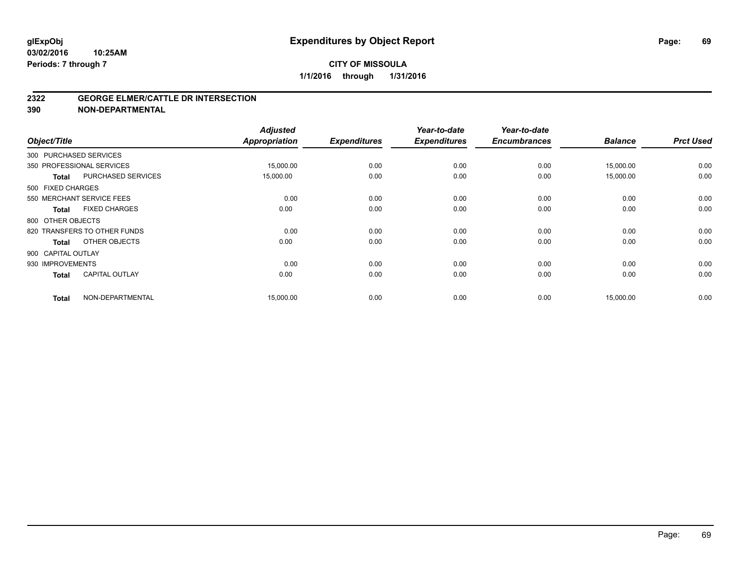#### **2322 GEORGE ELMER/CATTLE DR INTERSECTION**

**390 NON-DEPARTMENTAL**

| Object/Title       |                              | <b>Adjusted</b><br><b>Appropriation</b> | <b>Expenditures</b> | Year-to-date<br><b>Expenditures</b> | Year-to-date<br><b>Encumbrances</b> | <b>Balance</b> | <b>Prct Used</b> |
|--------------------|------------------------------|-----------------------------------------|---------------------|-------------------------------------|-------------------------------------|----------------|------------------|
|                    | 300 PURCHASED SERVICES       |                                         |                     |                                     |                                     |                |                  |
|                    | 350 PROFESSIONAL SERVICES    | 15,000.00                               | 0.00                | 0.00                                | 0.00                                | 15,000.00      | 0.00             |
| <b>Total</b>       | <b>PURCHASED SERVICES</b>    | 15,000.00                               | 0.00                | 0.00                                | 0.00                                | 15,000.00      | 0.00             |
| 500 FIXED CHARGES  |                              |                                         |                     |                                     |                                     |                |                  |
|                    | 550 MERCHANT SERVICE FEES    | 0.00                                    | 0.00                | 0.00                                | 0.00                                | 0.00           | 0.00             |
| Total              | <b>FIXED CHARGES</b>         | 0.00                                    | 0.00                | 0.00                                | 0.00                                | 0.00           | 0.00             |
| 800 OTHER OBJECTS  |                              |                                         |                     |                                     |                                     |                |                  |
|                    | 820 TRANSFERS TO OTHER FUNDS | 0.00                                    | 0.00                | 0.00                                | 0.00                                | 0.00           | 0.00             |
| <b>Total</b>       | OTHER OBJECTS                | 0.00                                    | 0.00                | 0.00                                | 0.00                                | 0.00           | 0.00             |
| 900 CAPITAL OUTLAY |                              |                                         |                     |                                     |                                     |                |                  |
| 930 IMPROVEMENTS   |                              | 0.00                                    | 0.00                | 0.00                                | 0.00                                | 0.00           | 0.00             |
| <b>Total</b>       | <b>CAPITAL OUTLAY</b>        | 0.00                                    | 0.00                | 0.00                                | 0.00                                | 0.00           | 0.00             |
| <b>Total</b>       | NON-DEPARTMENTAL             | 15,000.00                               | 0.00                | 0.00                                | 0.00                                | 15,000.00      | 0.00             |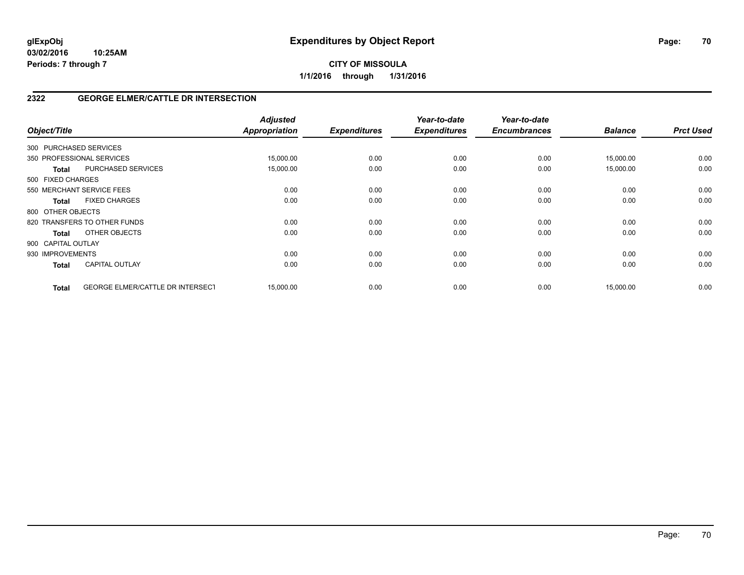## **2322 GEORGE ELMER/CATTLE DR INTERSECTION**

| Object/Title                                            | <b>Adjusted</b><br><b>Appropriation</b> | <b>Expenditures</b> | Year-to-date<br><b>Expenditures</b> | Year-to-date<br><b>Encumbrances</b> | <b>Balance</b> | <b>Prct Used</b> |
|---------------------------------------------------------|-----------------------------------------|---------------------|-------------------------------------|-------------------------------------|----------------|------------------|
| 300 PURCHASED SERVICES                                  |                                         |                     |                                     |                                     |                |                  |
| 350 PROFESSIONAL SERVICES                               | 15,000.00                               | 0.00                | 0.00                                | 0.00                                | 15,000.00      | 0.00             |
| PURCHASED SERVICES<br><b>Total</b>                      | 15,000.00                               | 0.00                | 0.00                                | 0.00                                | 15,000.00      | 0.00             |
| 500 FIXED CHARGES                                       |                                         |                     |                                     |                                     |                |                  |
| 550 MERCHANT SERVICE FEES                               | 0.00                                    | 0.00                | 0.00                                | 0.00                                | 0.00           | 0.00             |
| <b>FIXED CHARGES</b><br><b>Total</b>                    | 0.00                                    | 0.00                | 0.00                                | 0.00                                | 0.00           | 0.00             |
| 800 OTHER OBJECTS                                       |                                         |                     |                                     |                                     |                |                  |
| 820 TRANSFERS TO OTHER FUNDS                            | 0.00                                    | 0.00                | 0.00                                | 0.00                                | 0.00           | 0.00             |
| OTHER OBJECTS<br>Total                                  | 0.00                                    | 0.00                | 0.00                                | 0.00                                | 0.00           | 0.00             |
| 900 CAPITAL OUTLAY                                      |                                         |                     |                                     |                                     |                |                  |
| 930 IMPROVEMENTS                                        | 0.00                                    | 0.00                | 0.00                                | 0.00                                | 0.00           | 0.00             |
| <b>CAPITAL OUTLAY</b><br><b>Total</b>                   | 0.00                                    | 0.00                | 0.00                                | 0.00                                | 0.00           | 0.00             |
| <b>GEORGE ELMER/CATTLE DR INTERSECT</b><br><b>Total</b> | 15,000.00                               | 0.00                | 0.00                                | 0.00                                | 15,000.00      | 0.00             |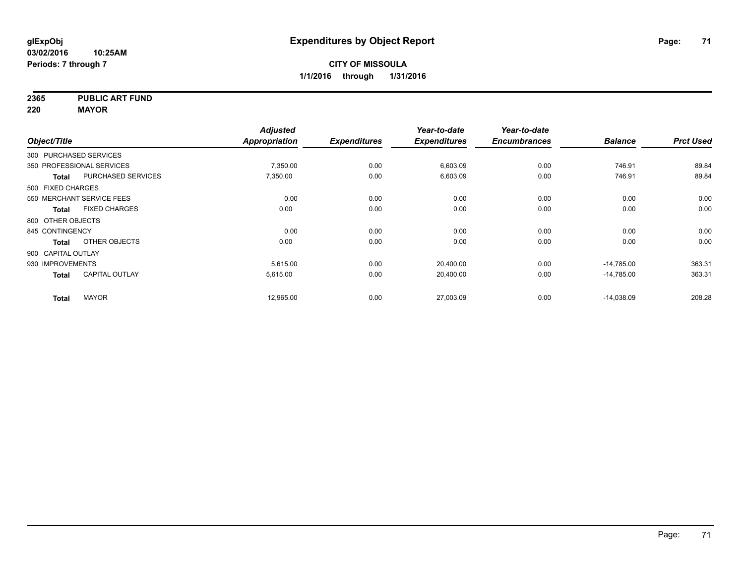**2365 PUBLIC ART FUND**

**220 MAYOR**

|                        |                           | <b>Adjusted</b> |                     | Year-to-date        | Year-to-date        |                |                  |
|------------------------|---------------------------|-----------------|---------------------|---------------------|---------------------|----------------|------------------|
| Object/Title           |                           | Appropriation   | <b>Expenditures</b> | <b>Expenditures</b> | <b>Encumbrances</b> | <b>Balance</b> | <b>Prct Used</b> |
| 300 PURCHASED SERVICES |                           |                 |                     |                     |                     |                |                  |
|                        | 350 PROFESSIONAL SERVICES | 7,350.00        | 0.00                | 6,603.09            | 0.00                | 746.91         | 89.84            |
| Total                  | <b>PURCHASED SERVICES</b> | 7,350.00        | 0.00                | 6,603.09            | 0.00                | 746.91         | 89.84            |
| 500 FIXED CHARGES      |                           |                 |                     |                     |                     |                |                  |
|                        | 550 MERCHANT SERVICE FEES | 0.00            | 0.00                | 0.00                | 0.00                | 0.00           | 0.00             |
| Total                  | <b>FIXED CHARGES</b>      | 0.00            | 0.00                | 0.00                | 0.00                | 0.00           | 0.00             |
| 800 OTHER OBJECTS      |                           |                 |                     |                     |                     |                |                  |
| 845 CONTINGENCY        |                           | 0.00            | 0.00                | 0.00                | 0.00                | 0.00           | 0.00             |
| <b>Total</b>           | OTHER OBJECTS             | 0.00            | 0.00                | 0.00                | 0.00                | 0.00           | 0.00             |
| 900 CAPITAL OUTLAY     |                           |                 |                     |                     |                     |                |                  |
| 930 IMPROVEMENTS       |                           | 5.615.00        | 0.00                | 20,400.00           | 0.00                | $-14,785.00$   | 363.31           |
| <b>Total</b>           | <b>CAPITAL OUTLAY</b>     | 5,615.00        | 0.00                | 20,400.00           | 0.00                | $-14,785.00$   | 363.31           |
| <b>Total</b>           | <b>MAYOR</b>              | 12,965.00       | 0.00                | 27,003.09           | 0.00                | $-14,038.09$   | 208.28           |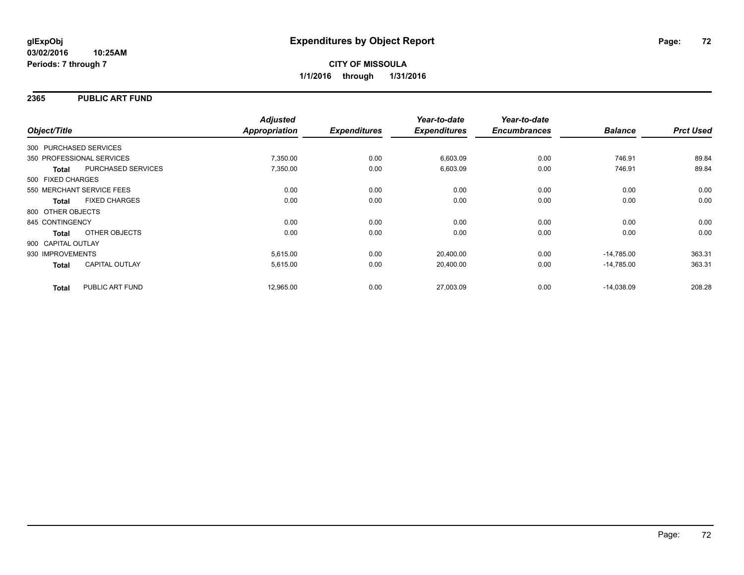### **2365 PUBLIC ART FUND**

| Object/Title              |                      | <b>Adjusted</b><br>Appropriation | <b>Expenditures</b> | Year-to-date<br><b>Expenditures</b> | Year-to-date<br><b>Encumbrances</b> | <b>Balance</b> | <b>Prct Used</b> |
|---------------------------|----------------------|----------------------------------|---------------------|-------------------------------------|-------------------------------------|----------------|------------------|
| 300 PURCHASED SERVICES    |                      |                                  |                     |                                     |                                     |                |                  |
|                           |                      |                                  |                     |                                     |                                     |                |                  |
| 350 PROFESSIONAL SERVICES |                      | 7,350.00                         | 0.00                | 6,603.09                            | 0.00                                | 746.91         | 89.84            |
| <b>Total</b>              | PURCHASED SERVICES   | 7,350.00                         | 0.00                | 6,603.09                            | 0.00                                | 746.91         | 89.84            |
| 500 FIXED CHARGES         |                      |                                  |                     |                                     |                                     |                |                  |
| 550 MERCHANT SERVICE FEES |                      | 0.00                             | 0.00                | 0.00                                | 0.00                                | 0.00           | 0.00             |
| <b>Total</b>              | <b>FIXED CHARGES</b> | 0.00                             | 0.00                | 0.00                                | 0.00                                | 0.00           | 0.00             |
| 800 OTHER OBJECTS         |                      |                                  |                     |                                     |                                     |                |                  |
| 845 CONTINGENCY           |                      | 0.00                             | 0.00                | 0.00                                | 0.00                                | 0.00           | 0.00             |
| Total                     | OTHER OBJECTS        | 0.00                             | 0.00                | 0.00                                | 0.00                                | 0.00           | 0.00             |
| 900 CAPITAL OUTLAY        |                      |                                  |                     |                                     |                                     |                |                  |
| 930 IMPROVEMENTS          |                      | 5,615.00                         | 0.00                | 20,400.00                           | 0.00                                | $-14,785.00$   | 363.31           |
| <b>Total</b>              | CAPITAL OUTLAY       | 5,615.00                         | 0.00                | 20,400.00                           | 0.00                                | $-14,785.00$   | 363.31           |
| <b>Total</b>              | PUBLIC ART FUND      | 12,965.00                        | 0.00                | 27,003.09                           | 0.00                                | $-14,038.09$   | 208.28           |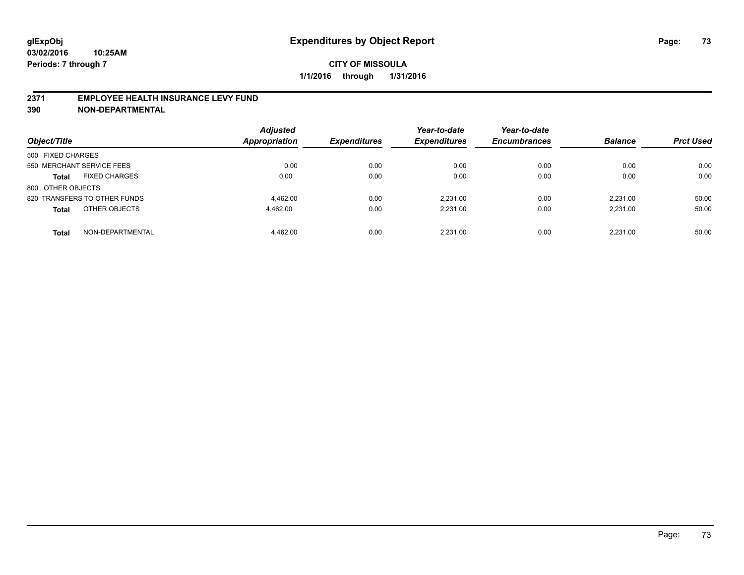### **2371 EMPLOYEE HEALTH INSURANCE LEVY FUND**

**390 NON-DEPARTMENTAL**

| Object/Title                         | <b>Adjusted</b><br><b>Appropriation</b> | <b>Expenditures</b> | Year-to-date<br><b>Expenditures</b> | Year-to-date<br><b>Encumbrances</b> | <b>Balance</b> | <b>Prct Used</b> |
|--------------------------------------|-----------------------------------------|---------------------|-------------------------------------|-------------------------------------|----------------|------------------|
| 500 FIXED CHARGES                    |                                         |                     |                                     |                                     |                |                  |
| 550 MERCHANT SERVICE FEES            | 0.00                                    | 0.00                | 0.00                                | 0.00                                | 0.00           | 0.00             |
| <b>FIXED CHARGES</b><br><b>Total</b> | 0.00                                    | 0.00                | 0.00                                | 0.00                                | 0.00           | 0.00             |
| 800 OTHER OBJECTS                    |                                         |                     |                                     |                                     |                |                  |
| 820 TRANSFERS TO OTHER FUNDS         | 4.462.00                                | 0.00                | 2.231.00                            | 0.00                                | 2.231.00       | 50.00            |
| OTHER OBJECTS<br><b>Total</b>        | 4.462.00                                | 0.00                | 2.231.00                            | 0.00                                | 2.231.00       | 50.00            |
| NON-DEPARTMENTAL<br><b>Total</b>     | 4.462.00                                | 0.00                | 2.231.00                            | 0.00                                | 2.231.00       | 50.00            |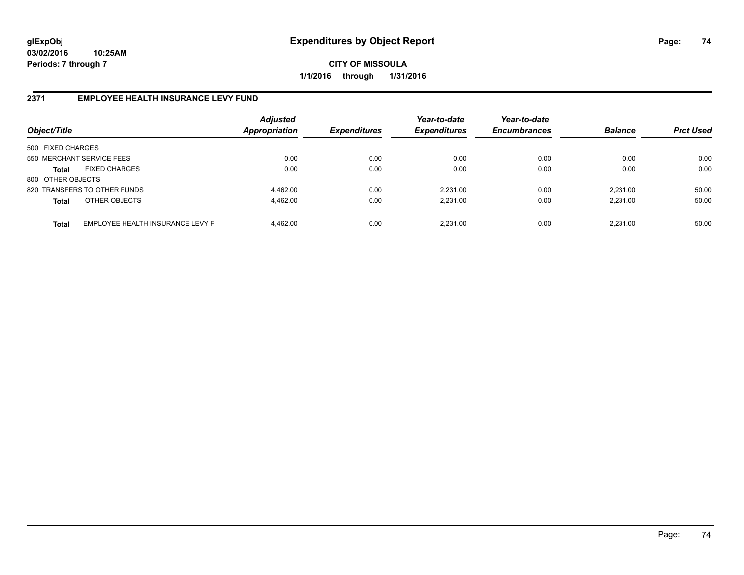**CITY OF MISSOULA 1/1/2016 through 1/31/2016**

### **2371 EMPLOYEE HEALTH INSURANCE LEVY FUND**

| Object/Title              |                                  | <b>Adjusted</b><br><b>Appropriation</b> | <b>Expenditures</b> | Year-to-date<br><b>Expenditures</b> | Year-to-date<br><b>Encumbrances</b> | <b>Balance</b> | <b>Prct Used</b> |
|---------------------------|----------------------------------|-----------------------------------------|---------------------|-------------------------------------|-------------------------------------|----------------|------------------|
| 500 FIXED CHARGES         |                                  |                                         |                     |                                     |                                     |                |                  |
| 550 MERCHANT SERVICE FEES |                                  | 0.00                                    | 0.00                | 0.00                                | 0.00                                | 0.00           | 0.00             |
| <b>Total</b>              | <b>FIXED CHARGES</b>             | 0.00                                    | 0.00                | 0.00                                | 0.00                                | 0.00           | 0.00             |
| 800 OTHER OBJECTS         |                                  |                                         |                     |                                     |                                     |                |                  |
|                           | 820 TRANSFERS TO OTHER FUNDS     | 4.462.00                                | 0.00                | 2.231.00                            | 0.00                                | 2.231.00       | 50.00            |
| <b>Total</b>              | OTHER OBJECTS                    | 4.462.00                                | 0.00                | 2,231.00                            | 0.00                                | 2.231.00       | 50.00            |
| <b>Total</b>              | EMPLOYEE HEALTH INSURANCE LEVY F | 4.462.00                                | 0.00                | 2.231.00                            | 0.00                                | 2.231.00       | 50.00            |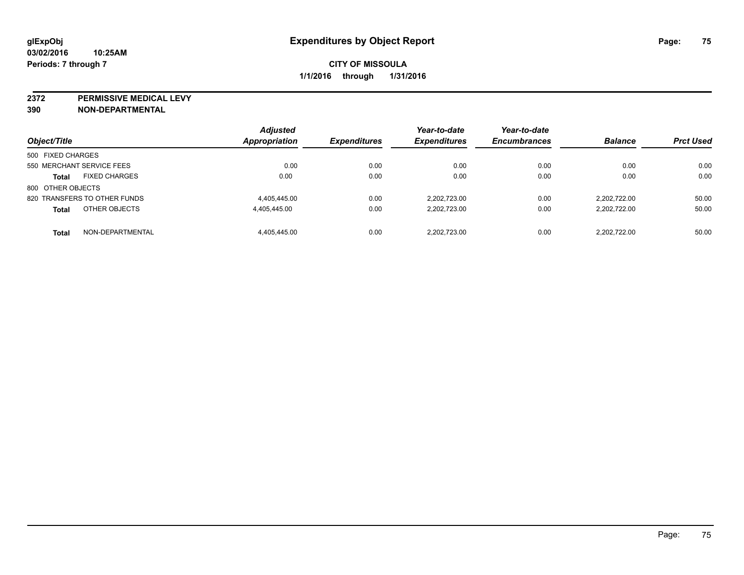**2372 PERMISSIVE MEDICAL LEVY**

**390 NON-DEPARTMENTAL**

| Object/Title                         | <b>Adjusted</b><br><b>Appropriation</b> | <b>Expenditures</b> | Year-to-date<br><b>Expenditures</b> | Year-to-date<br><b>Encumbrances</b> | <b>Balance</b> | <b>Prct Used</b> |
|--------------------------------------|-----------------------------------------|---------------------|-------------------------------------|-------------------------------------|----------------|------------------|
| 500 FIXED CHARGES                    |                                         |                     |                                     |                                     |                |                  |
| 550 MERCHANT SERVICE FEES            | 0.00                                    | 0.00                | 0.00                                | 0.00                                | 0.00           | 0.00             |
| <b>FIXED CHARGES</b><br><b>Total</b> | 0.00                                    | 0.00                | 0.00                                | 0.00                                | 0.00           | 0.00             |
| 800 OTHER OBJECTS                    |                                         |                     |                                     |                                     |                |                  |
| 820 TRANSFERS TO OTHER FUNDS         | 4,405,445.00                            | 0.00                | 2.202.723.00                        | 0.00                                | 2.202.722.00   | 50.00            |
| OTHER OBJECTS<br><b>Total</b>        | 4,405,445.00                            | 0.00                | 2.202.723.00                        | 0.00                                | 2,202,722.00   | 50.00            |
| NON-DEPARTMENTAL<br><b>Total</b>     | 4.405.445.00                            | 0.00                | 2.202.723.00                        | 0.00                                | 2.202.722.00   | 50.00            |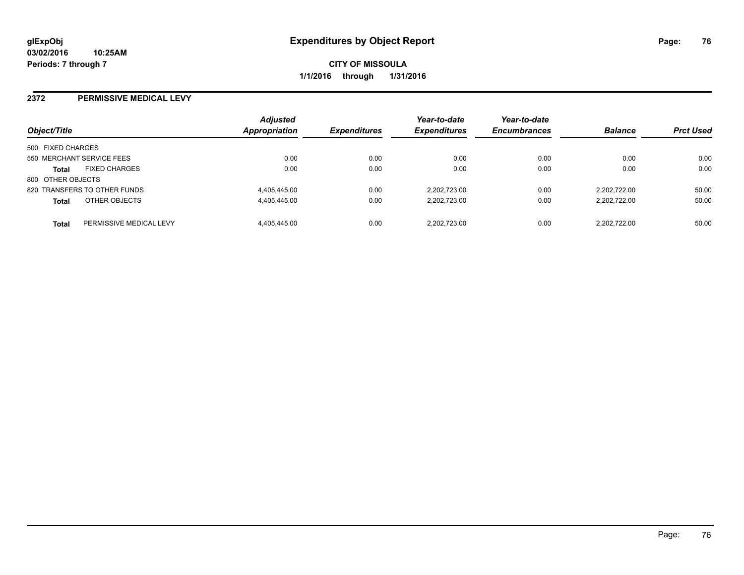#### **2372 PERMISSIVE MEDICAL LEVY**

| Object/Title              |                              | <b>Adjusted</b><br>Appropriation | <b>Expenditures</b> | Year-to-date<br><b>Expenditures</b> | Year-to-date<br><b>Encumbrances</b> | <b>Balance</b> | <b>Prct Used</b> |
|---------------------------|------------------------------|----------------------------------|---------------------|-------------------------------------|-------------------------------------|----------------|------------------|
| 500 FIXED CHARGES         |                              |                                  |                     |                                     |                                     |                |                  |
| 550 MERCHANT SERVICE FEES |                              | 0.00                             | 0.00                | 0.00                                | 0.00                                | 0.00           | 0.00             |
| <b>Total</b>              | <b>FIXED CHARGES</b>         | 0.00                             | 0.00                | 0.00                                | 0.00                                | 0.00           | 0.00             |
| 800 OTHER OBJECTS         |                              |                                  |                     |                                     |                                     |                |                  |
|                           | 820 TRANSFERS TO OTHER FUNDS | 4,405,445.00                     | 0.00                | 2.202.723.00                        | 0.00                                | 2.202.722.00   | 50.00            |
| <b>Total</b>              | OTHER OBJECTS                | 4,405,445.00                     | 0.00                | 2.202.723.00                        | 0.00                                | 2.202.722.00   | 50.00            |
| <b>Total</b>              | PERMISSIVE MEDICAL LEVY      | 4.405.445.00                     | 0.00                | 2.202.723.00                        | 0.00                                | 2.202.722.00   | 50.00            |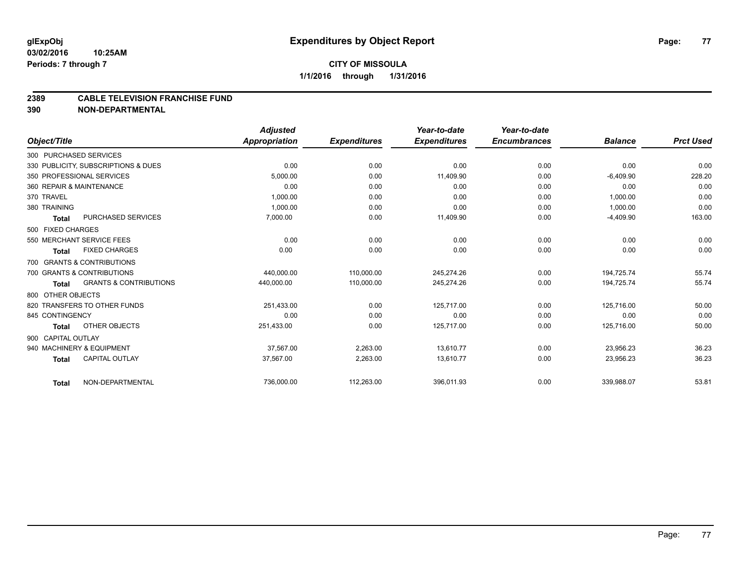### **CITY OF MISSOULA 1/1/2016 through 1/31/2016**

#### **2389 CABLE TELEVISION FRANCHISE FUND**

**390 NON-DEPARTMENTAL**

|                    |                                     | <b>Adjusted</b>      |                     | Year-to-date        | Year-to-date        |                |                  |
|--------------------|-------------------------------------|----------------------|---------------------|---------------------|---------------------|----------------|------------------|
| Object/Title       |                                     | <b>Appropriation</b> | <b>Expenditures</b> | <b>Expenditures</b> | <b>Encumbrances</b> | <b>Balance</b> | <b>Prct Used</b> |
|                    | 300 PURCHASED SERVICES              |                      |                     |                     |                     |                |                  |
|                    | 330 PUBLICITY, SUBSCRIPTIONS & DUES | 0.00                 | 0.00                | 0.00                | 0.00                | 0.00           | 0.00             |
|                    | 350 PROFESSIONAL SERVICES           | 5,000.00             | 0.00                | 11,409.90           | 0.00                | $-6,409.90$    | 228.20           |
|                    | 360 REPAIR & MAINTENANCE            | 0.00                 | 0.00                | 0.00                | 0.00                | 0.00           | 0.00             |
| 370 TRAVEL         |                                     | 1,000.00             | 0.00                | 0.00                | 0.00                | 1,000.00       | 0.00             |
| 380 TRAINING       |                                     | 1,000.00             | 0.00                | 0.00                | 0.00                | 1,000.00       | 0.00             |
| Total              | PURCHASED SERVICES                  | 7,000.00             | 0.00                | 11,409.90           | 0.00                | $-4,409.90$    | 163.00           |
| 500 FIXED CHARGES  |                                     |                      |                     |                     |                     |                |                  |
|                    | 550 MERCHANT SERVICE FEES           | 0.00                 | 0.00                | 0.00                | 0.00                | 0.00           | 0.00             |
| Total              | <b>FIXED CHARGES</b>                | 0.00                 | 0.00                | 0.00                | 0.00                | 0.00           | 0.00             |
|                    | 700 GRANTS & CONTRIBUTIONS          |                      |                     |                     |                     |                |                  |
|                    | 700 GRANTS & CONTRIBUTIONS          | 440.000.00           | 110.000.00          | 245.274.26          | 0.00                | 194.725.74     | 55.74            |
| <b>Total</b>       | <b>GRANTS &amp; CONTRIBUTIONS</b>   | 440,000.00           | 110,000.00          | 245,274.26          | 0.00                | 194,725.74     | 55.74            |
| 800 OTHER OBJECTS  |                                     |                      |                     |                     |                     |                |                  |
|                    | 820 TRANSFERS TO OTHER FUNDS        | 251,433.00           | 0.00                | 125.717.00          | 0.00                | 125,716.00     | 50.00            |
| 845 CONTINGENCY    |                                     | 0.00                 | 0.00                | 0.00                | 0.00                | 0.00           | 0.00             |
| Total              | OTHER OBJECTS                       | 251,433.00           | 0.00                | 125,717.00          | 0.00                | 125,716.00     | 50.00            |
| 900 CAPITAL OUTLAY |                                     |                      |                     |                     |                     |                |                  |
|                    | 940 MACHINERY & EQUIPMENT           | 37,567.00            | 2,263.00            | 13,610.77           | 0.00                | 23,956.23      | 36.23            |
| <b>Total</b>       | <b>CAPITAL OUTLAY</b>               | 37,567.00            | 2.263.00            | 13.610.77           | 0.00                | 23,956.23      | 36.23            |
| <b>Total</b>       | NON-DEPARTMENTAL                    | 736,000.00           | 112,263.00          | 396,011.93          | 0.00                | 339,988.07     | 53.81            |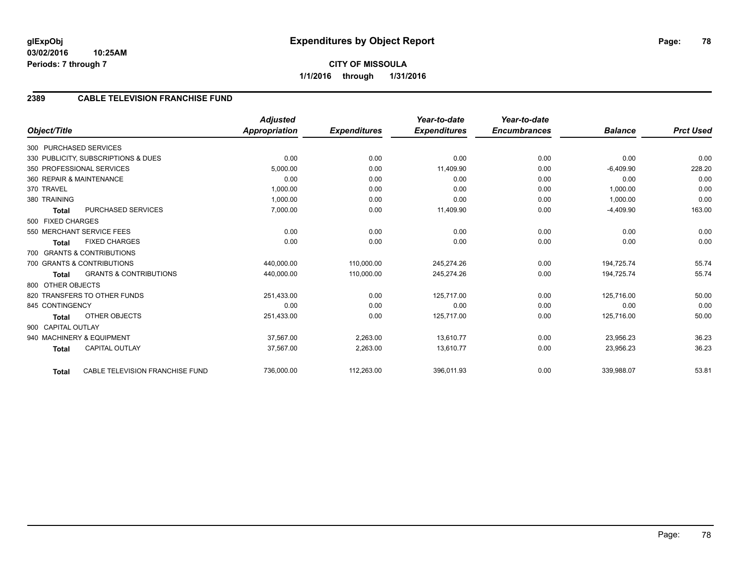# **CITY OF MISSOULA 1/1/2016 through 1/31/2016**

## **2389 CABLE TELEVISION FRANCHISE FUND**

| Object/Title                                           | <b>Adjusted</b><br><b>Appropriation</b> | <b>Expenditures</b> | Year-to-date<br><b>Expenditures</b> | Year-to-date<br><b>Encumbrances</b> | <b>Balance</b> | <b>Prct Used</b> |
|--------------------------------------------------------|-----------------------------------------|---------------------|-------------------------------------|-------------------------------------|----------------|------------------|
|                                                        |                                         |                     |                                     |                                     |                |                  |
| 300 PURCHASED SERVICES                                 |                                         |                     |                                     |                                     |                |                  |
| 330 PUBLICITY, SUBSCRIPTIONS & DUES                    | 0.00                                    | 0.00                | 0.00                                | 0.00                                | 0.00           | 0.00             |
| 350 PROFESSIONAL SERVICES                              | 5,000.00                                | 0.00                | 11,409.90                           | 0.00                                | $-6,409.90$    | 228.20           |
| 360 REPAIR & MAINTENANCE                               | 0.00                                    | 0.00                | 0.00                                | 0.00                                | 0.00           | 0.00             |
| 370 TRAVEL                                             | 1,000.00                                | 0.00                | 0.00                                | 0.00                                | 1,000.00       | 0.00             |
| 380 TRAINING                                           | 1.000.00                                | 0.00                | 0.00                                | 0.00                                | 1,000.00       | 0.00             |
| <b>PURCHASED SERVICES</b><br><b>Total</b>              | 7,000.00                                | 0.00                | 11,409.90                           | 0.00                                | $-4,409.90$    | 163.00           |
| 500 FIXED CHARGES                                      |                                         |                     |                                     |                                     |                |                  |
| 550 MERCHANT SERVICE FEES                              | 0.00                                    | 0.00                | 0.00                                | 0.00                                | 0.00           | 0.00             |
| <b>FIXED CHARGES</b><br><b>Total</b>                   | 0.00                                    | 0.00                | 0.00                                | 0.00                                | 0.00           | 0.00             |
| 700 GRANTS & CONTRIBUTIONS                             |                                         |                     |                                     |                                     |                |                  |
| 700 GRANTS & CONTRIBUTIONS                             | 440,000.00                              | 110,000.00          | 245,274.26                          | 0.00                                | 194.725.74     | 55.74            |
| <b>GRANTS &amp; CONTRIBUTIONS</b><br><b>Total</b>      | 440,000.00                              | 110,000.00          | 245,274.26                          | 0.00                                | 194,725.74     | 55.74            |
| 800 OTHER OBJECTS                                      |                                         |                     |                                     |                                     |                |                  |
| 820 TRANSFERS TO OTHER FUNDS                           | 251,433.00                              | 0.00                | 125,717.00                          | 0.00                                | 125,716.00     | 50.00            |
| 845 CONTINGENCY                                        | 0.00                                    | 0.00                | 0.00                                | 0.00                                | 0.00           | 0.00             |
| <b>OTHER OBJECTS</b><br><b>Total</b>                   | 251,433.00                              | 0.00                | 125,717.00                          | 0.00                                | 125,716.00     | 50.00            |
| 900 CAPITAL OUTLAY                                     |                                         |                     |                                     |                                     |                |                  |
| 940 MACHINERY & EQUIPMENT                              | 37.567.00                               | 2,263.00            | 13,610.77                           | 0.00                                | 23,956.23      | 36.23            |
| <b>CAPITAL OUTLAY</b><br><b>Total</b>                  | 37,567.00                               | 2,263.00            | 13,610.77                           | 0.00                                | 23,956.23      | 36.23            |
|                                                        |                                         |                     |                                     |                                     |                |                  |
| <b>CABLE TELEVISION FRANCHISE FUND</b><br><b>Total</b> | 736,000.00                              | 112,263.00          | 396,011.93                          | 0.00                                | 339,988.07     | 53.81            |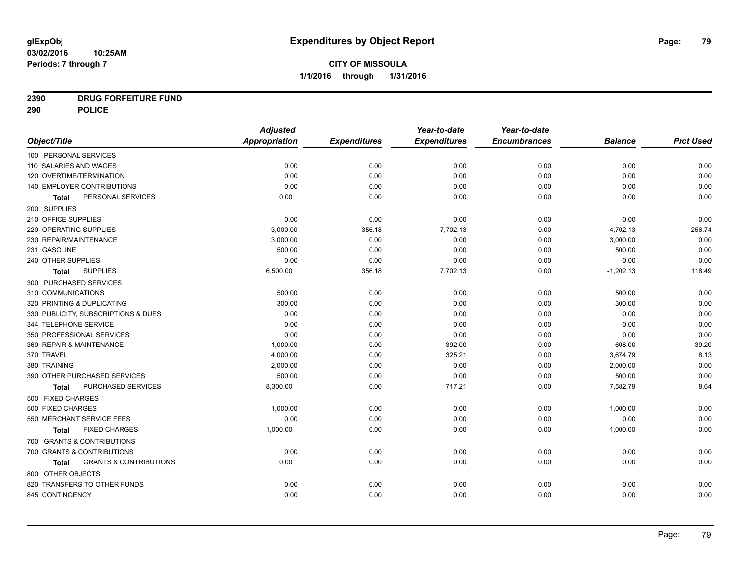# **2390 DRUG FORFEITURE FUND**

**290 POLICE**

|                                                   | <b>Adjusted</b>      |                     | Year-to-date        | Year-to-date        |                |                  |
|---------------------------------------------------|----------------------|---------------------|---------------------|---------------------|----------------|------------------|
| Object/Title                                      | <b>Appropriation</b> | <b>Expenditures</b> | <b>Expenditures</b> | <b>Encumbrances</b> | <b>Balance</b> | <b>Prct Used</b> |
| 100 PERSONAL SERVICES                             |                      |                     |                     |                     |                |                  |
| 110 SALARIES AND WAGES                            | 0.00                 | 0.00                | 0.00                | 0.00                | 0.00           | 0.00             |
| 120 OVERTIME/TERMINATION                          | 0.00                 | 0.00                | 0.00                | 0.00                | 0.00           | 0.00             |
| 140 EMPLOYER CONTRIBUTIONS                        | 0.00                 | 0.00                | 0.00                | 0.00                | 0.00           | 0.00             |
| PERSONAL SERVICES<br>Total                        | 0.00                 | 0.00                | 0.00                | 0.00                | 0.00           | 0.00             |
| 200 SUPPLIES                                      |                      |                     |                     |                     |                |                  |
| 210 OFFICE SUPPLIES                               | 0.00                 | 0.00                | 0.00                | 0.00                | 0.00           | 0.00             |
| 220 OPERATING SUPPLIES                            | 3,000.00             | 356.18              | 7,702.13            | 0.00                | $-4,702.13$    | 256.74           |
| 230 REPAIR/MAINTENANCE                            | 3,000.00             | 0.00                | 0.00                | 0.00                | 3,000.00       | 0.00             |
| 231 GASOLINE                                      | 500.00               | 0.00                | 0.00                | 0.00                | 500.00         | 0.00             |
| 240 OTHER SUPPLIES                                | 0.00                 | 0.00                | 0.00                | 0.00                | 0.00           | 0.00             |
| <b>SUPPLIES</b><br><b>Total</b>                   | 6,500.00             | 356.18              | 7,702.13            | 0.00                | $-1,202.13$    | 118.49           |
| 300 PURCHASED SERVICES                            |                      |                     |                     |                     |                |                  |
| 310 COMMUNICATIONS                                | 500.00               | 0.00                | 0.00                | 0.00                | 500.00         | 0.00             |
| 320 PRINTING & DUPLICATING                        | 300.00               | 0.00                | 0.00                | 0.00                | 300.00         | 0.00             |
| 330 PUBLICITY, SUBSCRIPTIONS & DUES               | 0.00                 | 0.00                | 0.00                | 0.00                | 0.00           | 0.00             |
| 344 TELEPHONE SERVICE                             | 0.00                 | 0.00                | 0.00                | 0.00                | 0.00           | 0.00             |
| 350 PROFESSIONAL SERVICES                         | 0.00                 | 0.00                | 0.00                | 0.00                | 0.00           | 0.00             |
| 360 REPAIR & MAINTENANCE                          | 1,000.00             | 0.00                | 392.00              | 0.00                | 608.00         | 39.20            |
| 370 TRAVEL                                        | 4,000.00             | 0.00                | 325.21              | 0.00                | 3,674.79       | 8.13             |
| 380 TRAINING                                      | 2,000.00             | 0.00                | 0.00                | 0.00                | 2,000.00       | 0.00             |
| 390 OTHER PURCHASED SERVICES                      | 500.00               | 0.00                | 0.00                | 0.00                | 500.00         | 0.00             |
| PURCHASED SERVICES<br>Total                       | 8,300.00             | 0.00                | 717.21              | 0.00                | 7,582.79       | 8.64             |
| 500 FIXED CHARGES                                 |                      |                     |                     |                     |                |                  |
| 500 FIXED CHARGES                                 | 1,000.00             | 0.00                | 0.00                | 0.00                | 1,000.00       | 0.00             |
| 550 MERCHANT SERVICE FEES                         | 0.00                 | 0.00                | 0.00                | 0.00                | 0.00           | 0.00             |
| <b>FIXED CHARGES</b><br><b>Total</b>              | 1,000.00             | 0.00                | 0.00                | 0.00                | 1,000.00       | 0.00             |
| 700 GRANTS & CONTRIBUTIONS                        |                      |                     |                     |                     |                |                  |
| 700 GRANTS & CONTRIBUTIONS                        | 0.00                 | 0.00                | 0.00                | 0.00                | 0.00           | 0.00             |
| <b>GRANTS &amp; CONTRIBUTIONS</b><br><b>Total</b> | 0.00                 | 0.00                | 0.00                | 0.00                | 0.00           | 0.00             |
| 800 OTHER OBJECTS                                 |                      |                     |                     |                     |                |                  |
| 820 TRANSFERS TO OTHER FUNDS                      | 0.00                 | 0.00                | 0.00                | 0.00                | 0.00           | 0.00             |
| 845 CONTINGENCY                                   | 0.00                 | 0.00                | 0.00                | 0.00                | 0.00           | 0.00             |
|                                                   |                      |                     |                     |                     |                |                  |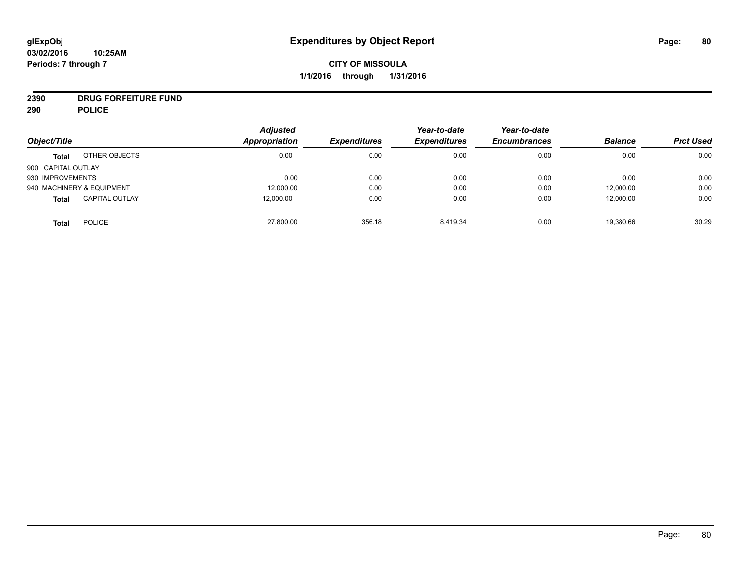# **2390 DRUG FORFEITURE FUND**

**290 POLICE**

| Object/Title       |                           | <b>Adjusted</b><br>Appropriation | <b>Expenditures</b> | Year-to-date<br><b>Expenditures</b> | Year-to-date<br><b>Encumbrances</b> | <b>Balance</b> | <b>Prct Used</b> |
|--------------------|---------------------------|----------------------------------|---------------------|-------------------------------------|-------------------------------------|----------------|------------------|
|                    |                           |                                  |                     |                                     |                                     |                |                  |
| <b>Total</b>       | OTHER OBJECTS             | 0.00                             | 0.00                | 0.00                                | 0.00                                | 0.00           | 0.00             |
| 900 CAPITAL OUTLAY |                           |                                  |                     |                                     |                                     |                |                  |
| 930 IMPROVEMENTS   |                           | 0.00                             | 0.00                | 0.00                                | 0.00                                | 0.00           | 0.00             |
|                    | 940 MACHINERY & EQUIPMENT | 12,000.00                        | 0.00                | 0.00                                | 0.00                                | 12,000.00      | 0.00             |
| <b>Total</b>       | <b>CAPITAL OUTLAY</b>     | 12,000.00                        | 0.00                | 0.00                                | 0.00                                | 12,000.00      | 0.00             |
| <b>Total</b>       | <b>POLICE</b>             | 27,800.00                        | 356.18              | 8.419.34                            | 0.00                                | 19,380.66      | 30.29            |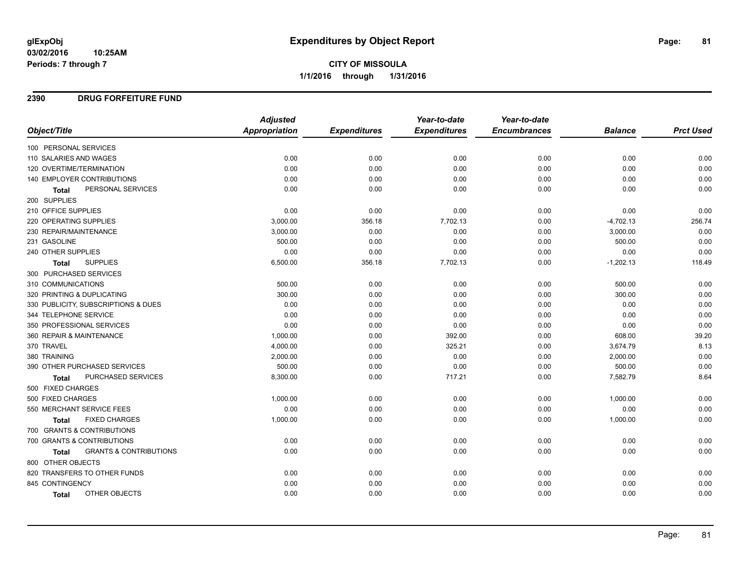**CITY OF MISSOULA 1/1/2016 through 1/31/2016**

### **2390 DRUG FORFEITURE FUND**

|                                            | <b>Adjusted</b>      |                     | Year-to-date        | Year-to-date        |                |                  |
|--------------------------------------------|----------------------|---------------------|---------------------|---------------------|----------------|------------------|
| Object/Title                               | <b>Appropriation</b> | <b>Expenditures</b> | <b>Expenditures</b> | <b>Encumbrances</b> | <b>Balance</b> | <b>Prct Used</b> |
| 100 PERSONAL SERVICES                      |                      |                     |                     |                     |                |                  |
| 110 SALARIES AND WAGES                     | 0.00                 | 0.00                | 0.00                | 0.00                | 0.00           | 0.00             |
| 120 OVERTIME/TERMINATION                   | 0.00                 | 0.00                | 0.00                | 0.00                | 0.00           | 0.00             |
| 140 EMPLOYER CONTRIBUTIONS                 | 0.00                 | 0.00                | 0.00                | 0.00                | 0.00           | 0.00             |
| PERSONAL SERVICES<br><b>Total</b>          | 0.00                 | 0.00                | 0.00                | 0.00                | 0.00           | 0.00             |
| 200 SUPPLIES                               |                      |                     |                     |                     |                |                  |
| 210 OFFICE SUPPLIES                        | 0.00                 | 0.00                | 0.00                | 0.00                | 0.00           | 0.00             |
| 220 OPERATING SUPPLIES                     | 3,000.00             | 356.18              | 7,702.13            | 0.00                | $-4,702.13$    | 256.74           |
| 230 REPAIR/MAINTENANCE                     | 3,000.00             | 0.00                | 0.00                | 0.00                | 3,000.00       | 0.00             |
| 231 GASOLINE                               | 500.00               | 0.00                | 0.00                | 0.00                | 500.00         | 0.00             |
| 240 OTHER SUPPLIES                         | 0.00                 | 0.00                | 0.00                | 0.00                | 0.00           | 0.00             |
| <b>SUPPLIES</b><br>Total                   | 6,500.00             | 356.18              | 7,702.13            | 0.00                | $-1,202.13$    | 118.49           |
| 300 PURCHASED SERVICES                     |                      |                     |                     |                     |                |                  |
| 310 COMMUNICATIONS                         | 500.00               | 0.00                | 0.00                | 0.00                | 500.00         | 0.00             |
| 320 PRINTING & DUPLICATING                 | 300.00               | 0.00                | 0.00                | 0.00                | 300.00         | 0.00             |
| 330 PUBLICITY, SUBSCRIPTIONS & DUES        | 0.00                 | 0.00                | 0.00                | 0.00                | 0.00           | 0.00             |
| 344 TELEPHONE SERVICE                      | 0.00                 | 0.00                | 0.00                | 0.00                | 0.00           | 0.00             |
| 350 PROFESSIONAL SERVICES                  | 0.00                 | 0.00                | 0.00                | 0.00                | 0.00           | 0.00             |
| 360 REPAIR & MAINTENANCE                   | 1,000.00             | 0.00                | 392.00              | 0.00                | 608.00         | 39.20            |
| 370 TRAVEL                                 | 4,000.00             | 0.00                | 325.21              | 0.00                | 3,674.79       | 8.13             |
| 380 TRAINING                               | 2,000.00             | 0.00                | 0.00                | 0.00                | 2,000.00       | 0.00             |
| 390 OTHER PURCHASED SERVICES               | 500.00               | 0.00                | 0.00                | 0.00                | 500.00         | 0.00             |
| PURCHASED SERVICES<br><b>Total</b>         | 8,300.00             | 0.00                | 717.21              | 0.00                | 7,582.79       | 8.64             |
| 500 FIXED CHARGES                          |                      |                     |                     |                     |                |                  |
| 500 FIXED CHARGES                          | 1,000.00             | 0.00                | 0.00                | 0.00                | 1,000.00       | 0.00             |
| 550 MERCHANT SERVICE FEES                  | 0.00                 | 0.00                | 0.00                | 0.00                | 0.00           | 0.00             |
| <b>FIXED CHARGES</b><br>Total              | 1,000.00             | 0.00                | 0.00                | 0.00                | 1,000.00       | 0.00             |
| 700 GRANTS & CONTRIBUTIONS                 |                      |                     |                     |                     |                |                  |
| 700 GRANTS & CONTRIBUTIONS                 | 0.00                 | 0.00                | 0.00                | 0.00                | 0.00           | 0.00             |
| <b>GRANTS &amp; CONTRIBUTIONS</b><br>Total | 0.00                 | 0.00                | 0.00                | 0.00                | 0.00           | 0.00             |
| 800 OTHER OBJECTS                          |                      |                     |                     |                     |                |                  |
| 820 TRANSFERS TO OTHER FUNDS               | 0.00                 | 0.00                | 0.00                | 0.00                | 0.00           | 0.00             |
| 845 CONTINGENCY                            | 0.00                 | 0.00                | 0.00                | 0.00                | 0.00           | 0.00             |
| OTHER OBJECTS<br>Total                     | 0.00                 | 0.00                | 0.00                | 0.00                | 0.00           | 0.00             |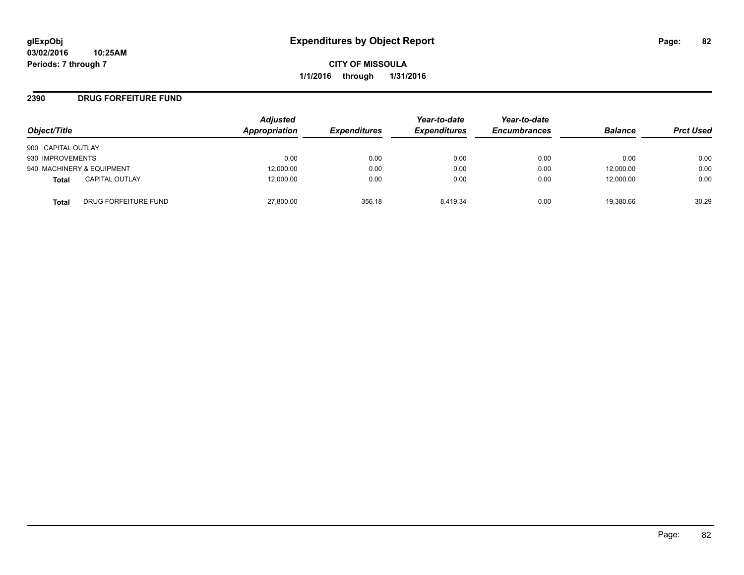### **2390 DRUG FORFEITURE FUND**

| Object/Title                          | <b>Adjusted</b><br>Appropriation | <b>Expenditures</b> | Year-to-date<br><b>Expenditures</b> | Year-to-date<br><b>Encumbrances</b> | <b>Balance</b> | <b>Prct Used</b> |
|---------------------------------------|----------------------------------|---------------------|-------------------------------------|-------------------------------------|----------------|------------------|
| 900 CAPITAL OUTLAY                    |                                  |                     |                                     |                                     |                |                  |
| 930 IMPROVEMENTS                      | 0.00                             | 0.00                | 0.00                                | 0.00                                | 0.00           | 0.00             |
| 940 MACHINERY & EQUIPMENT             | 12,000.00                        | 0.00                | 0.00                                | 0.00                                | 12,000.00      | 0.00             |
| <b>CAPITAL OUTLAY</b><br><b>Total</b> | 12,000.00                        | 0.00                | 0.00                                | 0.00                                | 12,000.00      | 0.00             |
| DRUG FORFEITURE FUND<br><b>Total</b>  | 27,800.00                        | 356.18              | 8.419.34                            | 0.00                                | 19,380.66      | 30.29            |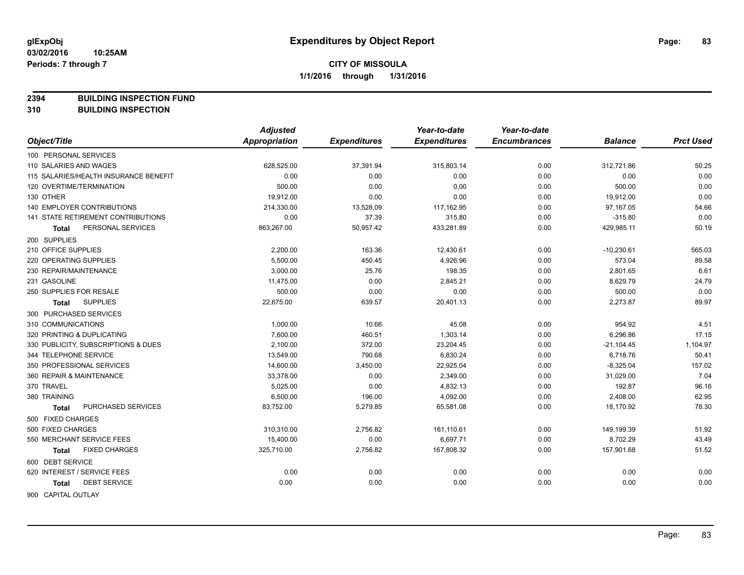**2394 BUILDING INSPECTION FUND**

**310 BUILDING INSPECTION**

|                                           | <b>Adjusted</b> |                     | Year-to-date        | Year-to-date        |                |                  |
|-------------------------------------------|-----------------|---------------------|---------------------|---------------------|----------------|------------------|
| Object/Title                              | Appropriation   | <b>Expenditures</b> | <b>Expenditures</b> | <b>Encumbrances</b> | <b>Balance</b> | <b>Prct Used</b> |
| 100 PERSONAL SERVICES                     |                 |                     |                     |                     |                |                  |
| 110 SALARIES AND WAGES                    | 628,525.00      | 37,391.94           | 315,803.14          | 0.00                | 312,721.86     | 50.25            |
| 115 SALARIES/HEALTH INSURANCE BENEFIT     | 0.00            | 0.00                | 0.00                | 0.00                | 0.00           | 0.00             |
| 120 OVERTIME/TERMINATION                  | 500.00          | 0.00                | 0.00                | 0.00                | 500.00         | 0.00             |
| 130 OTHER                                 | 19,912.00       | 0.00                | 0.00                | 0.00                | 19,912.00      | 0.00             |
| <b>140 EMPLOYER CONTRIBUTIONS</b>         | 214,330.00      | 13,528.09           | 117,162.95          | 0.00                | 97,167.05      | 54.66            |
| <b>141 STATE RETIREMENT CONTRIBUTIONS</b> | 0.00            | 37.39               | 315.80              | 0.00                | $-315.80$      | 0.00             |
| PERSONAL SERVICES<br>Total                | 863,267.00      | 50,957.42           | 433,281.89          | 0.00                | 429,985.11     | 50.19            |
| 200 SUPPLIES                              |                 |                     |                     |                     |                |                  |
| 210 OFFICE SUPPLIES                       | 2,200.00        | 163.36              | 12,430.61           | 0.00                | $-10,230.61$   | 565.03           |
| 220 OPERATING SUPPLIES                    | 5,500.00        | 450.45              | 4,926.96            | 0.00                | 573.04         | 89.58            |
| 230 REPAIR/MAINTENANCE                    | 3,000.00        | 25.76               | 198.35              | 0.00                | 2,801.65       | 6.61             |
| 231 GASOLINE                              | 11,475.00       | 0.00                | 2,845.21            | 0.00                | 8,629.79       | 24.79            |
| 250 SUPPLIES FOR RESALE                   | 500.00          | 0.00                | 0.00                | 0.00                | 500.00         | 0.00             |
| <b>SUPPLIES</b><br><b>Total</b>           | 22,675.00       | 639.57              | 20,401.13           | 0.00                | 2,273.87       | 89.97            |
| 300 PURCHASED SERVICES                    |                 |                     |                     |                     |                |                  |
| 310 COMMUNICATIONS                        | 1,000.00        | 10.66               | 45.08               | 0.00                | 954.92         | 4.51             |
| 320 PRINTING & DUPLICATING                | 7,600.00        | 460.51              | 1,303.14            | 0.00                | 6,296.86       | 17.15            |
| 330 PUBLICITY, SUBSCRIPTIONS & DUES       | 2,100.00        | 372.00              | 23,204.45           | 0.00                | $-21, 104.45$  | 1,104.97         |
| 344 TELEPHONE SERVICE                     | 13,549.00       | 790.68              | 6,830.24            | 0.00                | 6,718.76       | 50.41            |
| 350 PROFESSIONAL SERVICES                 | 14,600.00       | 3,450.00            | 22,925.04           | 0.00                | $-8,325.04$    | 157.02           |
| 360 REPAIR & MAINTENANCE                  | 33,378.00       | 0.00                | 2,349.00            | 0.00                | 31,029.00      | 7.04             |
| 370 TRAVEL                                | 5,025.00        | 0.00                | 4,832.13            | 0.00                | 192.87         | 96.16            |
| 380 TRAINING                              | 6,500.00        | 196.00              | 4,092.00            | 0.00                | 2,408.00       | 62.95            |
| PURCHASED SERVICES<br><b>Total</b>        | 83,752.00       | 5,279.85            | 65,581.08           | 0.00                | 18,170.92      | 78.30            |
| 500 FIXED CHARGES                         |                 |                     |                     |                     |                |                  |
| 500 FIXED CHARGES                         | 310,310.00      | 2,756.82            | 161,110.61          | 0.00                | 149,199.39     | 51.92            |
| 550 MERCHANT SERVICE FEES                 | 15,400.00       | 0.00                | 6,697.71            | 0.00                | 8,702.29       | 43.49            |
| <b>FIXED CHARGES</b><br>Total             | 325,710.00      | 2,756.82            | 167,808.32          | 0.00                | 157,901.68     | 51.52            |
| 600 DEBT SERVICE                          |                 |                     |                     |                     |                |                  |
| 620 INTEREST / SERVICE FEES               | 0.00            | 0.00                | 0.00                | 0.00                | 0.00           | 0.00             |
| <b>DEBT SERVICE</b><br><b>Total</b>       | 0.00            | 0.00                | 0.00                | 0.00                | 0.00           | 0.00             |
| 000 CADITAL OLITI AV                      |                 |                     |                     |                     |                |                  |

900 CAPITAL OUTLAY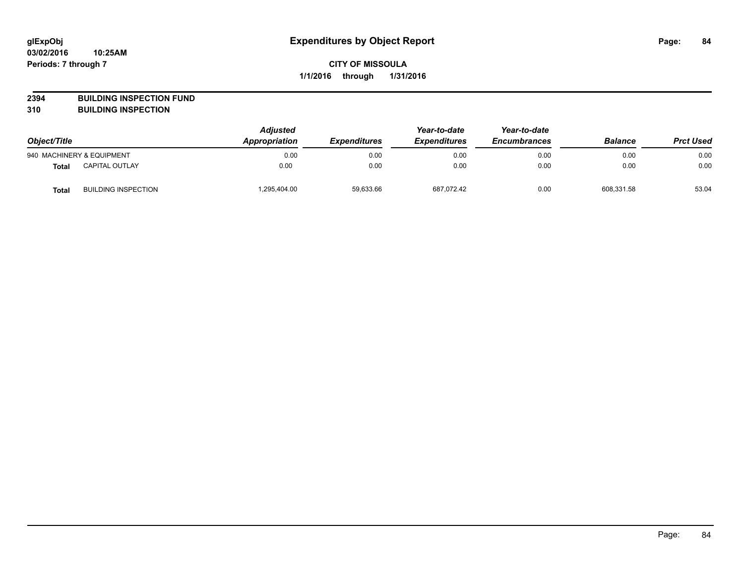**2394 BUILDING INSPECTION FUND**

**310 BUILDING INSPECTION**

| Object/Title |                            | <b>Adjusted</b><br>Appropriation | <b>Expenditures</b> | Year-to-date<br><b>Expenditures</b> | Year-to-date<br><b>Encumbrances</b> | <b>Balance</b> | <b>Prct Used</b> |
|--------------|----------------------------|----------------------------------|---------------------|-------------------------------------|-------------------------------------|----------------|------------------|
|              | 940 MACHINERY & EQUIPMENT  | 0.00                             | 0.00                | 0.00                                | 0.00                                | 0.00           | 0.00             |
| <b>Total</b> | <b>CAPITAL OUTLAY</b>      | 0.00                             | 0.00                | 0.00                                | 0.00                                | 0.00           | 0.00             |
| <b>Total</b> | <b>BUILDING INSPECTION</b> | 1,295,404.00                     | 59,633.66           | 687,072.42                          | 0.00                                | 608.331.58     | 53.04            |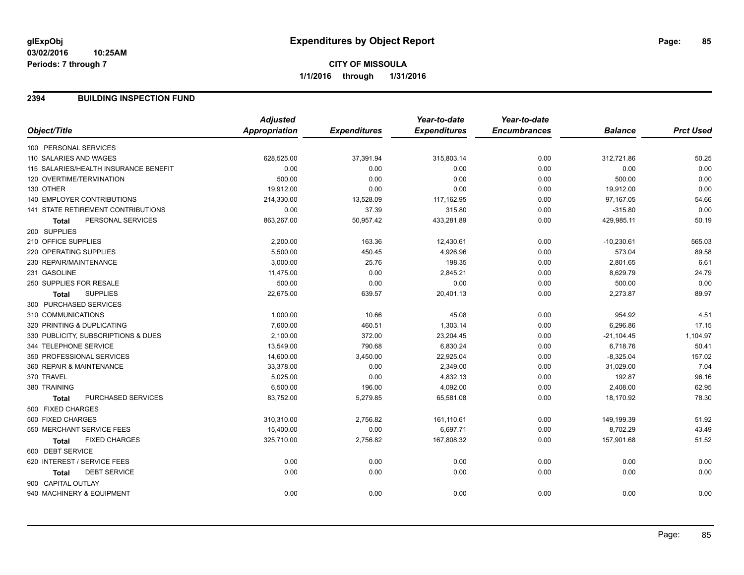### **2394 BUILDING INSPECTION FUND**

|                                           | <b>Adjusted</b>      |                     | Year-to-date        | Year-to-date        |                |                  |
|-------------------------------------------|----------------------|---------------------|---------------------|---------------------|----------------|------------------|
| Object/Title                              | <b>Appropriation</b> | <b>Expenditures</b> | <b>Expenditures</b> | <b>Encumbrances</b> | <b>Balance</b> | <b>Prct Used</b> |
| 100 PERSONAL SERVICES                     |                      |                     |                     |                     |                |                  |
| 110 SALARIES AND WAGES                    | 628,525.00           | 37,391.94           | 315,803.14          | 0.00                | 312,721.86     | 50.25            |
| 115 SALARIES/HEALTH INSURANCE BENEFIT     | 0.00                 | 0.00                | 0.00                | 0.00                | 0.00           | 0.00             |
| 120 OVERTIME/TERMINATION                  | 500.00               | 0.00                | 0.00                | 0.00                | 500.00         | 0.00             |
| 130 OTHER                                 | 19,912.00            | 0.00                | 0.00                | 0.00                | 19,912.00      | 0.00             |
| 140 EMPLOYER CONTRIBUTIONS                | 214,330.00           | 13,528.09           | 117,162.95          | 0.00                | 97,167.05      | 54.66            |
| <b>141 STATE RETIREMENT CONTRIBUTIONS</b> | 0.00                 | 37.39               | 315.80              | 0.00                | $-315.80$      | 0.00             |
| PERSONAL SERVICES<br><b>Total</b>         | 863,267.00           | 50,957.42           | 433,281.89          | 0.00                | 429,985.11     | 50.19            |
| 200 SUPPLIES                              |                      |                     |                     |                     |                |                  |
| 210 OFFICE SUPPLIES                       | 2,200.00             | 163.36              | 12,430.61           | 0.00                | $-10,230.61$   | 565.03           |
| 220 OPERATING SUPPLIES                    | 5,500.00             | 450.45              | 4,926.96            | 0.00                | 573.04         | 89.58            |
| 230 REPAIR/MAINTENANCE                    | 3,000.00             | 25.76               | 198.35              | 0.00                | 2,801.65       | 6.61             |
| 231 GASOLINE                              | 11,475.00            | 0.00                | 2,845.21            | 0.00                | 8,629.79       | 24.79            |
| 250 SUPPLIES FOR RESALE                   | 500.00               | 0.00                | 0.00                | 0.00                | 500.00         | 0.00             |
| <b>SUPPLIES</b><br><b>Total</b>           | 22,675.00            | 639.57              | 20,401.13           | 0.00                | 2,273.87       | 89.97            |
| 300 PURCHASED SERVICES                    |                      |                     |                     |                     |                |                  |
| 310 COMMUNICATIONS                        | 1,000.00             | 10.66               | 45.08               | 0.00                | 954.92         | 4.51             |
| 320 PRINTING & DUPLICATING                | 7,600.00             | 460.51              | 1,303.14            | 0.00                | 6,296.86       | 17.15            |
| 330 PUBLICITY, SUBSCRIPTIONS & DUES       | 2,100.00             | 372.00              | 23,204.45           | 0.00                | $-21,104.45$   | 1,104.97         |
| 344 TELEPHONE SERVICE                     | 13,549.00            | 790.68              | 6,830.24            | 0.00                | 6,718.76       | 50.41            |
| 350 PROFESSIONAL SERVICES                 | 14,600.00            | 3,450.00            | 22,925.04           | 0.00                | $-8,325.04$    | 157.02           |
| 360 REPAIR & MAINTENANCE                  | 33,378.00            | 0.00                | 2,349.00            | 0.00                | 31,029.00      | 7.04             |
| 370 TRAVEL                                | 5,025.00             | 0.00                | 4,832.13            | 0.00                | 192.87         | 96.16            |
| 380 TRAINING                              | 6,500.00             | 196.00              | 4,092.00            | 0.00                | 2,408.00       | 62.95            |
| PURCHASED SERVICES<br>Total               | 83,752.00            | 5,279.85            | 65,581.08           | 0.00                | 18,170.92      | 78.30            |
| 500 FIXED CHARGES                         |                      |                     |                     |                     |                |                  |
| 500 FIXED CHARGES                         | 310,310.00           | 2,756.82            | 161,110.61          | 0.00                | 149,199.39     | 51.92            |
| 550 MERCHANT SERVICE FEES                 | 15,400.00            | 0.00                | 6,697.71            | 0.00                | 8,702.29       | 43.49            |
| <b>FIXED CHARGES</b><br><b>Total</b>      | 325,710.00           | 2,756.82            | 167,808.32          | 0.00                | 157,901.68     | 51.52            |
| 600 DEBT SERVICE                          |                      |                     |                     |                     |                |                  |
| 620 INTEREST / SERVICE FEES               | 0.00                 | 0.00                | 0.00                | 0.00                | 0.00           | 0.00             |
| <b>DEBT SERVICE</b><br><b>Total</b>       | 0.00                 | 0.00                | 0.00                | 0.00                | 0.00           | 0.00             |
| 900 CAPITAL OUTLAY                        |                      |                     |                     |                     |                |                  |
| 940 MACHINERY & EQUIPMENT                 | 0.00                 | 0.00                | 0.00                | 0.00                | 0.00           | 0.00             |
|                                           |                      |                     |                     |                     |                |                  |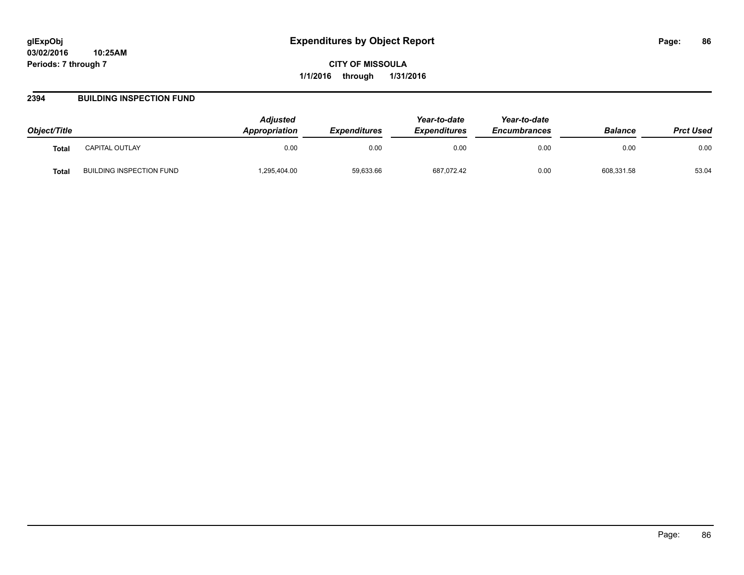### **2394 BUILDING INSPECTION FUND**

| Object/Title |                          | <b>Adiusted</b><br><b>Appropriation</b> | <b>Expenditures</b> | Year-to-date<br><b>Expenditures</b> | Year-to-date<br><b>Encumbrances</b> | <b>Balance</b> | <b>Prct Used</b> |
|--------------|--------------------------|-----------------------------------------|---------------------|-------------------------------------|-------------------------------------|----------------|------------------|
| <b>Total</b> | CAPITAL OUTLAY           | 0.00                                    | 0.00                | 0.00                                | 0.00                                | 0.00           | 0.00             |
| Total        | BUILDING INSPECTION FUND | .295,404.00                             | 59,633.66           | 687,072.42                          | 0.00                                | 608,331.58     | 53.04            |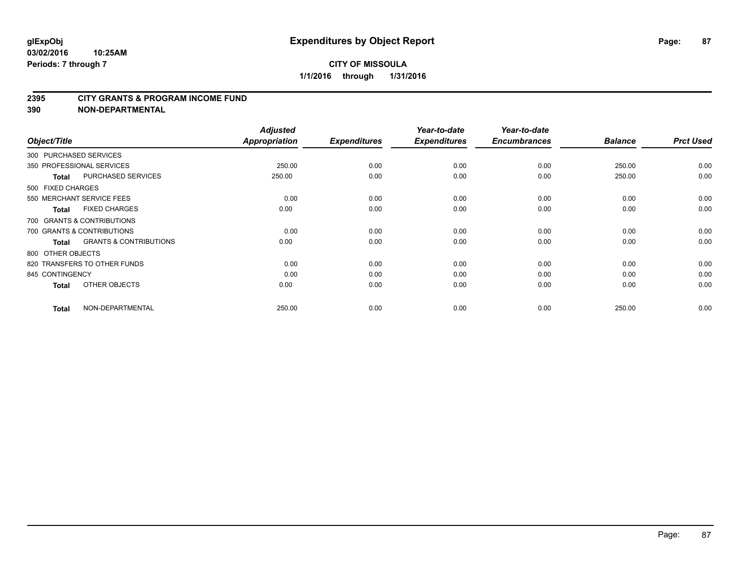#### **2395 CITY GRANTS & PROGRAM INCOME FUND**

**390 NON-DEPARTMENTAL**

| Object/Title              |                                   | <b>Adjusted</b><br>Appropriation | <b>Expenditures</b> | Year-to-date<br><b>Expenditures</b> | Year-to-date<br><b>Encumbrances</b> | <b>Balance</b> | <b>Prct Used</b> |
|---------------------------|-----------------------------------|----------------------------------|---------------------|-------------------------------------|-------------------------------------|----------------|------------------|
| 300 PURCHASED SERVICES    |                                   |                                  |                     |                                     |                                     |                |                  |
| 350 PROFESSIONAL SERVICES |                                   | 250.00                           | 0.00                | 0.00                                | 0.00                                | 250.00         | 0.00             |
| <b>Total</b>              | <b>PURCHASED SERVICES</b>         | 250.00                           | 0.00                | 0.00                                | 0.00                                | 250.00         | 0.00             |
| 500 FIXED CHARGES         |                                   |                                  |                     |                                     |                                     |                |                  |
| 550 MERCHANT SERVICE FEES |                                   | 0.00                             | 0.00                | 0.00                                | 0.00                                | 0.00           | 0.00             |
| <b>Total</b>              | <b>FIXED CHARGES</b>              | 0.00                             | 0.00                | 0.00                                | 0.00                                | 0.00           | 0.00             |
|                           | 700 GRANTS & CONTRIBUTIONS        |                                  |                     |                                     |                                     |                |                  |
|                           | 700 GRANTS & CONTRIBUTIONS        | 0.00                             | 0.00                | 0.00                                | 0.00                                | 0.00           | 0.00             |
| <b>Total</b>              | <b>GRANTS &amp; CONTRIBUTIONS</b> | 0.00                             | 0.00                | 0.00                                | 0.00                                | 0.00           | 0.00             |
| 800 OTHER OBJECTS         |                                   |                                  |                     |                                     |                                     |                |                  |
|                           | 820 TRANSFERS TO OTHER FUNDS      | 0.00                             | 0.00                | 0.00                                | 0.00                                | 0.00           | 0.00             |
| 845 CONTINGENCY           |                                   | 0.00                             | 0.00                | 0.00                                | 0.00                                | 0.00           | 0.00             |
| <b>Total</b>              | OTHER OBJECTS                     | 0.00                             | 0.00                | 0.00                                | 0.00                                | 0.00           | 0.00             |
| <b>Total</b>              | NON-DEPARTMENTAL                  | 250.00                           | 0.00                | 0.00                                | 0.00                                | 250.00         | 0.00             |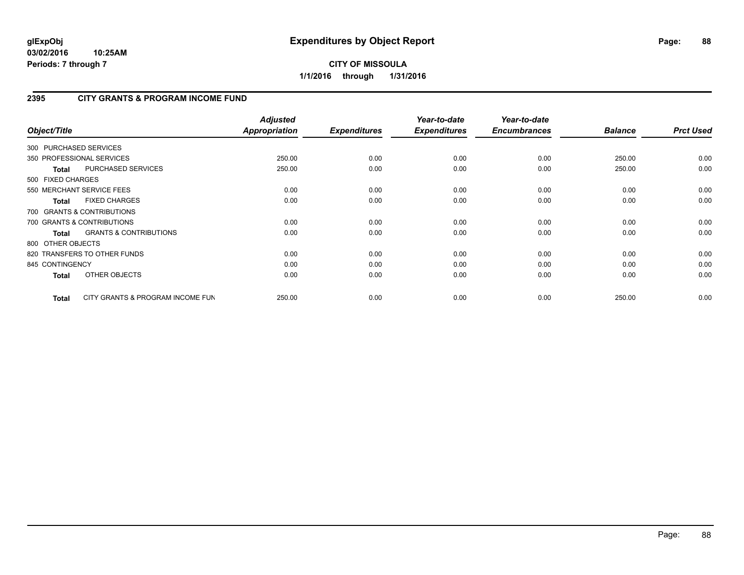## **2395 CITY GRANTS & PROGRAM INCOME FUND**

| Object/Title           |                                   | <b>Adjusted</b><br><b>Appropriation</b> | <b>Expenditures</b> | Year-to-date<br><b>Expenditures</b> | Year-to-date<br><b>Encumbrances</b> | <b>Balance</b> | <b>Prct Used</b> |
|------------------------|-----------------------------------|-----------------------------------------|---------------------|-------------------------------------|-------------------------------------|----------------|------------------|
| 300 PURCHASED SERVICES |                                   |                                         |                     |                                     |                                     |                |                  |
|                        | 350 PROFESSIONAL SERVICES         | 250.00                                  | 0.00                | 0.00                                | 0.00                                | 250.00         | 0.00             |
| Total                  | <b>PURCHASED SERVICES</b>         | 250.00                                  | 0.00                | 0.00                                | 0.00                                | 250.00         | 0.00             |
| 500 FIXED CHARGES      |                                   |                                         |                     |                                     |                                     |                |                  |
|                        | 550 MERCHANT SERVICE FEES         | 0.00                                    | 0.00                | 0.00                                | 0.00                                | 0.00           | 0.00             |
| <b>Total</b>           | <b>FIXED CHARGES</b>              | 0.00                                    | 0.00                | 0.00                                | 0.00                                | 0.00           | 0.00             |
|                        | 700 GRANTS & CONTRIBUTIONS        |                                         |                     |                                     |                                     |                |                  |
|                        | 700 GRANTS & CONTRIBUTIONS        | 0.00                                    | 0.00                | 0.00                                | 0.00                                | 0.00           | 0.00             |
| <b>Total</b>           | <b>GRANTS &amp; CONTRIBUTIONS</b> | 0.00                                    | 0.00                | 0.00                                | 0.00                                | 0.00           | 0.00             |
| 800 OTHER OBJECTS      |                                   |                                         |                     |                                     |                                     |                |                  |
|                        | 820 TRANSFERS TO OTHER FUNDS      | 0.00                                    | 0.00                | 0.00                                | 0.00                                | 0.00           | 0.00             |
| 845 CONTINGENCY        |                                   | 0.00                                    | 0.00                | 0.00                                | 0.00                                | 0.00           | 0.00             |
| <b>Total</b>           | <b>OTHER OBJECTS</b>              | 0.00                                    | 0.00                | 0.00                                | 0.00                                | 0.00           | 0.00             |
| Total                  | CITY GRANTS & PROGRAM INCOME FUN  | 250.00                                  | 0.00                | 0.00                                | 0.00                                | 250.00         | 0.00             |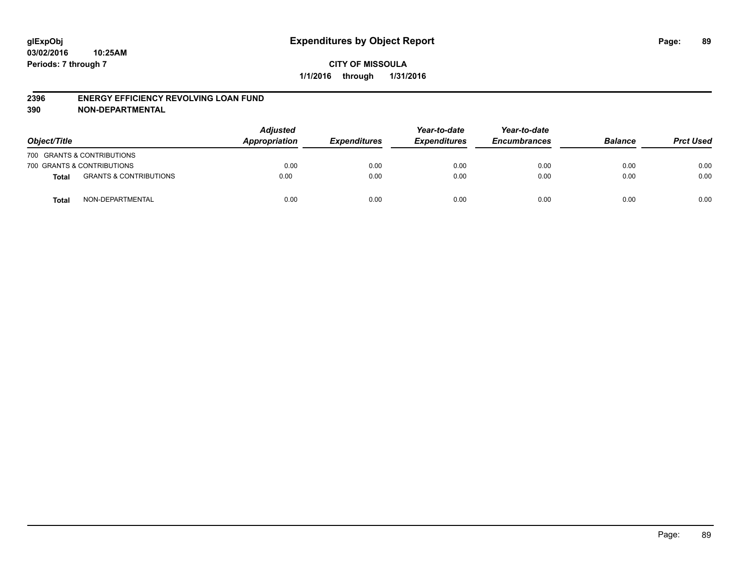#### **2396 ENERGY EFFICIENCY REVOLVING LOAN FUND**

**390 NON-DEPARTMENTAL**

| Object/Title |                                   | <b>Adjusted</b><br>Appropriation | <b>Expenditures</b> | Year-to-date<br><b>Expenditures</b> | Year-to-date<br><b>Encumbrances</b> | <b>Balance</b> | <b>Prct Used</b> |
|--------------|-----------------------------------|----------------------------------|---------------------|-------------------------------------|-------------------------------------|----------------|------------------|
|              | 700 GRANTS & CONTRIBUTIONS        |                                  |                     |                                     |                                     |                |                  |
|              | 700 GRANTS & CONTRIBUTIONS        | 0.00                             | 0.00                | 0.00                                | 0.00                                | 0.00           | 0.00             |
| <b>Total</b> | <b>GRANTS &amp; CONTRIBUTIONS</b> | 0.00                             | 0.00                | 0.00                                | 0.00                                | 0.00           | 0.00             |
| <b>Total</b> | NON-DEPARTMENTAL                  | 0.00                             | 0.00                | 0.00                                | 0.00                                | 0.00           | 0.00             |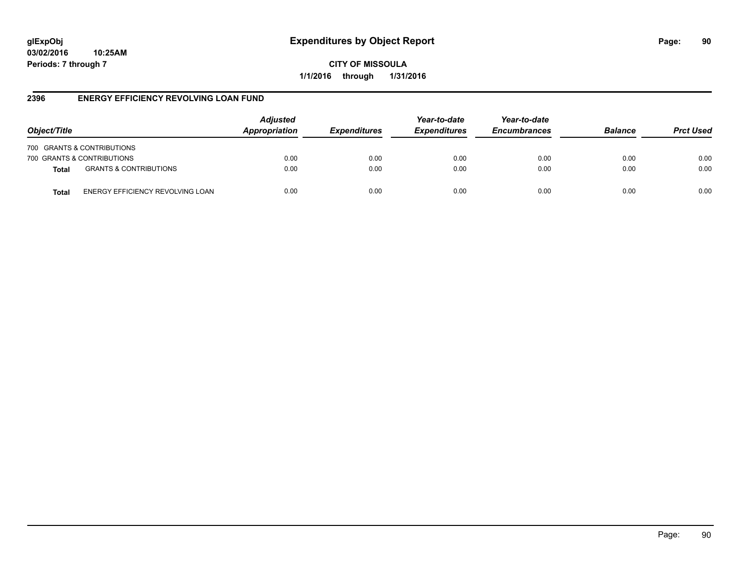**CITY OF MISSOULA 1/1/2016 through 1/31/2016**

### **2396 ENERGY EFFICIENCY REVOLVING LOAN FUND**

| Object/Title               |                                   | <b>Adjusted</b><br>Appropriation | <b>Expenditures</b> | Year-to-date<br><b>Expenditures</b> | Year-to-date<br><b>Encumbrances</b> | <b>Balance</b> | <b>Prct Used</b> |
|----------------------------|-----------------------------------|----------------------------------|---------------------|-------------------------------------|-------------------------------------|----------------|------------------|
| 700 GRANTS & CONTRIBUTIONS |                                   |                                  |                     |                                     |                                     |                |                  |
| 700 GRANTS & CONTRIBUTIONS |                                   | 0.00                             | 0.00                | 0.00                                | 0.00                                | 0.00           | 0.00             |
| <b>Total</b>               | <b>GRANTS &amp; CONTRIBUTIONS</b> | 0.00                             | 0.00                | 0.00                                | 0.00                                | 0.00           | 0.00             |
| Total                      | ENERGY EFFICIENCY REVOLVING LOAN  | 0.00                             | 0.00                | 0.00                                | 0.00                                | 0.00           | 0.00             |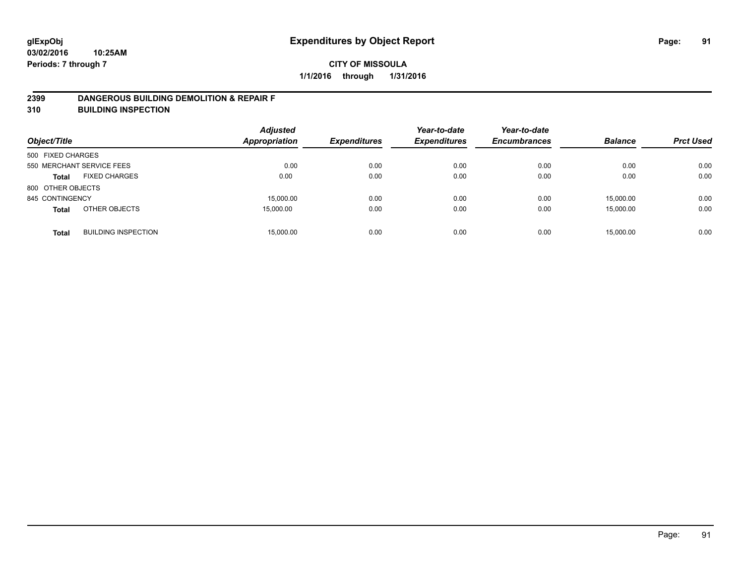### **2399 DANGEROUS BUILDING DEMOLITION & REPAIR F**

**310 BUILDING INSPECTION**

| Object/Title              |                            | <b>Adjusted</b><br><b>Appropriation</b> | <b>Expenditures</b> | Year-to-date<br><b>Expenditures</b> | Year-to-date<br><b>Encumbrances</b> | <b>Balance</b> | <b>Prct Used</b> |
|---------------------------|----------------------------|-----------------------------------------|---------------------|-------------------------------------|-------------------------------------|----------------|------------------|
| 500 FIXED CHARGES         |                            |                                         |                     |                                     |                                     |                |                  |
| 550 MERCHANT SERVICE FEES |                            | 0.00                                    | 0.00                | 0.00                                | 0.00                                | 0.00           | 0.00             |
| <b>Total</b>              | <b>FIXED CHARGES</b>       | 0.00                                    | 0.00                | 0.00                                | 0.00                                | 0.00           | 0.00             |
| 800 OTHER OBJECTS         |                            |                                         |                     |                                     |                                     |                |                  |
| 845 CONTINGENCY           |                            | 15.000.00                               | 0.00                | 0.00                                | 0.00                                | 15.000.00      | 0.00             |
| <b>Total</b>              | OTHER OBJECTS              | 15,000.00                               | 0.00                | 0.00                                | 0.00                                | 15,000.00      | 0.00             |
| <b>Total</b>              | <b>BUILDING INSPECTION</b> | 15.000.00                               | 0.00                | 0.00                                | 0.00                                | 15.000.00      | 0.00             |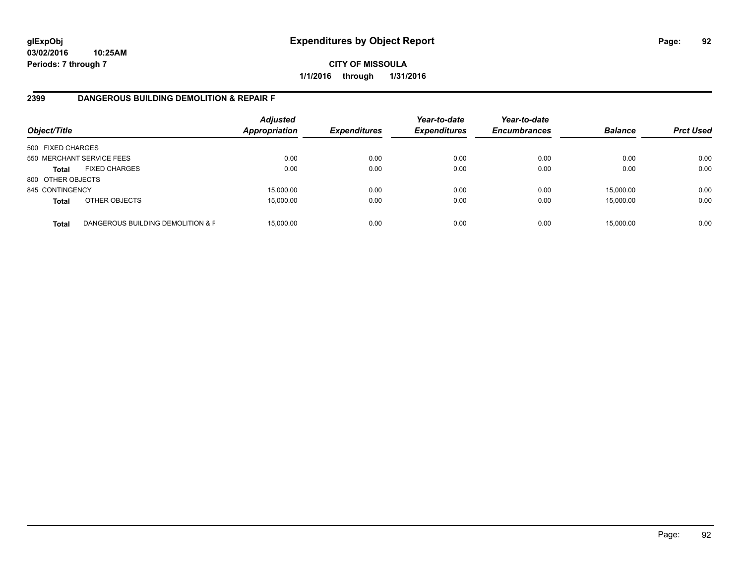## **CITY OF MISSOULA 1/1/2016 through 1/31/2016**

### **2399 DANGEROUS BUILDING DEMOLITION & REPAIR F**

| Object/Title      |                                   | <b>Adjusted</b><br><b>Appropriation</b> | <b>Expenditures</b> | Year-to-date<br><b>Expenditures</b> | Year-to-date<br><b>Encumbrances</b> | <b>Balance</b> | <b>Prct Used</b> |
|-------------------|-----------------------------------|-----------------------------------------|---------------------|-------------------------------------|-------------------------------------|----------------|------------------|
| 500 FIXED CHARGES |                                   |                                         |                     |                                     |                                     |                |                  |
|                   | 550 MERCHANT SERVICE FEES         | 0.00                                    | 0.00                | 0.00                                | 0.00                                | 0.00           | 0.00             |
| <b>Total</b>      | <b>FIXED CHARGES</b>              | 0.00                                    | 0.00                | 0.00                                | 0.00                                | 0.00           | 0.00             |
| 800 OTHER OBJECTS |                                   |                                         |                     |                                     |                                     |                |                  |
| 845 CONTINGENCY   |                                   | 15,000.00                               | 0.00                | 0.00                                | 0.00                                | 15,000.00      | 0.00             |
| <b>Total</b>      | OTHER OBJECTS                     | 15,000.00                               | 0.00                | 0.00                                | 0.00                                | 15,000.00      | 0.00             |
| <b>Total</b>      | DANGEROUS BUILDING DEMOLITION & F | 15.000.00                               | 0.00                | 0.00                                | 0.00                                | 15,000.00      | 0.00             |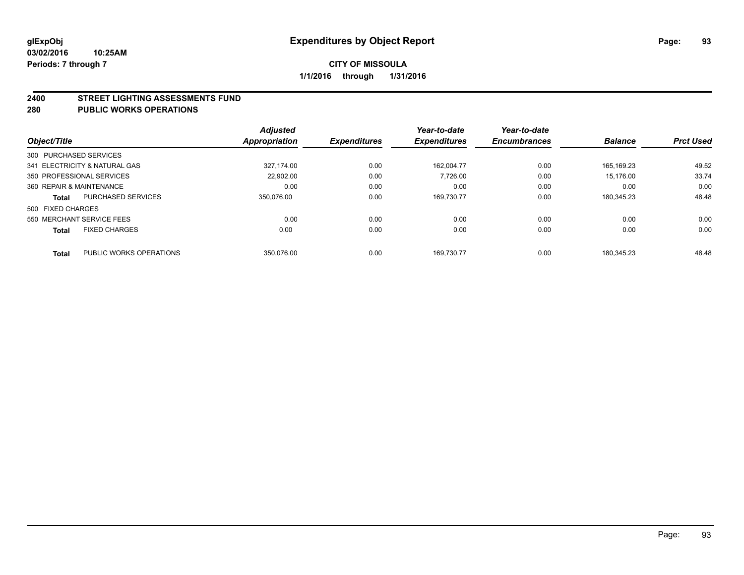#### **2400 STREET LIGHTING ASSESSMENTS FUND**

#### **280 PUBLIC WORKS OPERATIONS**

| Object/Title              |                               | Adjusted<br>Appropriation | <b>Expenditures</b> | Year-to-date<br><b>Expenditures</b> | Year-to-date<br><b>Encumbrances</b> | <b>Balance</b> | <b>Prct Used</b> |
|---------------------------|-------------------------------|---------------------------|---------------------|-------------------------------------|-------------------------------------|----------------|------------------|
| 300 PURCHASED SERVICES    |                               |                           |                     |                                     |                                     |                |                  |
|                           | 341 ELECTRICITY & NATURAL GAS | 327.174.00                | 0.00                | 162.004.77                          | 0.00                                | 165.169.23     | 49.52            |
| 350 PROFESSIONAL SERVICES |                               | 22.902.00                 | 0.00                | 7.726.00                            | 0.00                                | 15.176.00      | 33.74            |
| 360 REPAIR & MAINTENANCE  |                               | 0.00                      | 0.00                | 0.00                                | 0.00                                | 0.00           | 0.00             |
| <b>Total</b>              | PURCHASED SERVICES            | 350.076.00                | 0.00                | 169.730.77                          | 0.00                                | 180.345.23     | 48.48            |
| 500 FIXED CHARGES         |                               |                           |                     |                                     |                                     |                |                  |
| 550 MERCHANT SERVICE FEES |                               | 0.00                      | 0.00                | 0.00                                | 0.00                                | 0.00           | 0.00             |
| <b>Total</b>              | <b>FIXED CHARGES</b>          | 0.00                      | 0.00                | 0.00                                | 0.00                                | 0.00           | 0.00             |
|                           |                               |                           |                     |                                     |                                     |                |                  |
| <b>Total</b>              | PUBLIC WORKS OPERATIONS       | 350.076.00                | 0.00                | 169.730.77                          | 0.00                                | 180.345.23     | 48.48            |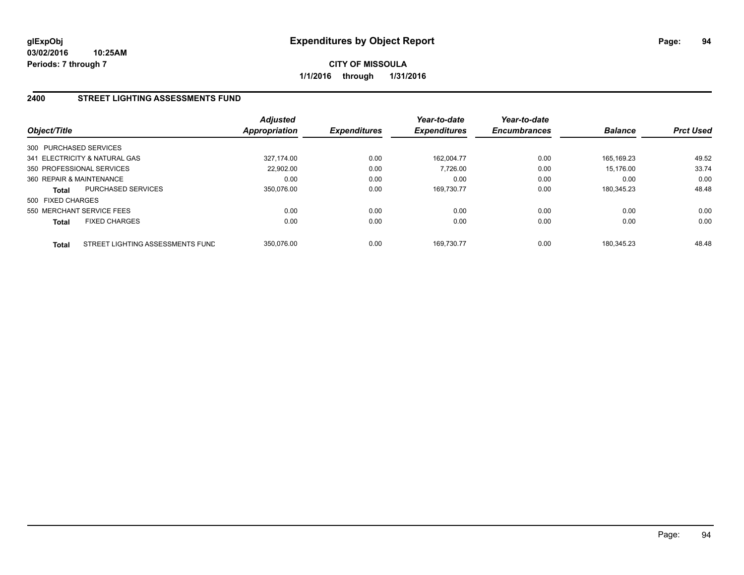## **2400 STREET LIGHTING ASSESSMENTS FUND**

| Object/Title             |                                  | <b>Adjusted</b><br><b>Appropriation</b> | <b>Expenditures</b> | Year-to-date<br><b>Expenditures</b> | Year-to-date<br><b>Encumbrances</b> | <b>Balance</b> | <b>Prct Used</b> |
|--------------------------|----------------------------------|-----------------------------------------|---------------------|-------------------------------------|-------------------------------------|----------------|------------------|
| 300 PURCHASED SERVICES   |                                  |                                         |                     |                                     |                                     |                |                  |
|                          | 341 ELECTRICITY & NATURAL GAS    | 327.174.00                              | 0.00                | 162.004.77                          | 0.00                                | 165.169.23     | 49.52            |
|                          | 350 PROFESSIONAL SERVICES        | 22.902.00                               | 0.00                | 7.726.00                            | 0.00                                | 15.176.00      | 33.74            |
| 360 REPAIR & MAINTENANCE |                                  | 0.00                                    | 0.00                | 0.00                                | 0.00                                | 0.00           | 0.00             |
| <b>Total</b>             | <b>PURCHASED SERVICES</b>        | 350.076.00                              | 0.00                | 169.730.77                          | 0.00                                | 180,345.23     | 48.48            |
| 500 FIXED CHARGES        |                                  |                                         |                     |                                     |                                     |                |                  |
|                          | 550 MERCHANT SERVICE FEES        | 0.00                                    | 0.00                | 0.00                                | 0.00                                | 0.00           | 0.00             |
| <b>Total</b>             | <b>FIXED CHARGES</b>             | 0.00                                    | 0.00                | 0.00                                | 0.00                                | 0.00           | 0.00             |
| <b>Total</b>             | STREET LIGHTING ASSESSMENTS FUND | 350.076.00                              | 0.00                | 169.730.77                          | 0.00                                | 180.345.23     | 48.48            |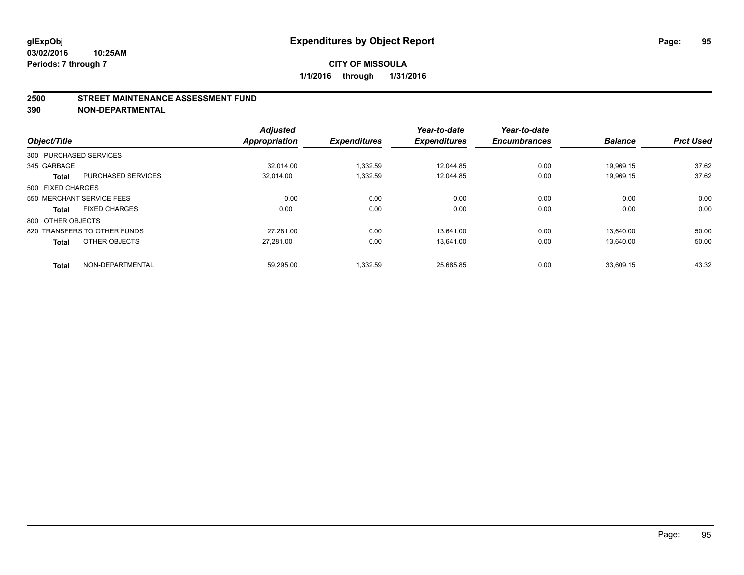#### **2500 STREET MAINTENANCE ASSESSMENT FUND**

**390 NON-DEPARTMENTAL**

| Object/Title           |                              | <b>Adjusted</b><br>Appropriation | <b>Expenditures</b> | Year-to-date<br><b>Expenditures</b> | Year-to-date<br><b>Encumbrances</b> | <b>Balance</b> | <b>Prct Used</b> |
|------------------------|------------------------------|----------------------------------|---------------------|-------------------------------------|-------------------------------------|----------------|------------------|
|                        |                              |                                  |                     |                                     |                                     |                |                  |
| 300 PURCHASED SERVICES |                              |                                  |                     |                                     |                                     |                |                  |
| 345 GARBAGE            |                              | 32.014.00                        | 1,332.59            | 12,044.85                           | 0.00                                | 19,969.15      | 37.62            |
| <b>Total</b>           | <b>PURCHASED SERVICES</b>    | 32.014.00                        | 1,332.59            | 12.044.85                           | 0.00                                | 19.969.15      | 37.62            |
| 500 FIXED CHARGES      |                              |                                  |                     |                                     |                                     |                |                  |
|                        | 550 MERCHANT SERVICE FEES    | 0.00                             | 0.00                | 0.00                                | 0.00                                | 0.00           | 0.00             |
| <b>Total</b>           | <b>FIXED CHARGES</b>         | 0.00                             | 0.00                | 0.00                                | 0.00                                | 0.00           | 0.00             |
| 800 OTHER OBJECTS      |                              |                                  |                     |                                     |                                     |                |                  |
|                        | 820 TRANSFERS TO OTHER FUNDS | 27.281.00                        | 0.00                | 13.641.00                           | 0.00                                | 13.640.00      | 50.00            |
| <b>Total</b>           | OTHER OBJECTS                | 27,281.00                        | 0.00                | 13.641.00                           | 0.00                                | 13,640.00      | 50.00            |
|                        |                              |                                  |                     |                                     |                                     |                |                  |
| <b>Total</b>           | NON-DEPARTMENTAL             | 59,295.00                        | 1,332.59            | 25,685.85                           | 0.00                                | 33,609.15      | 43.32            |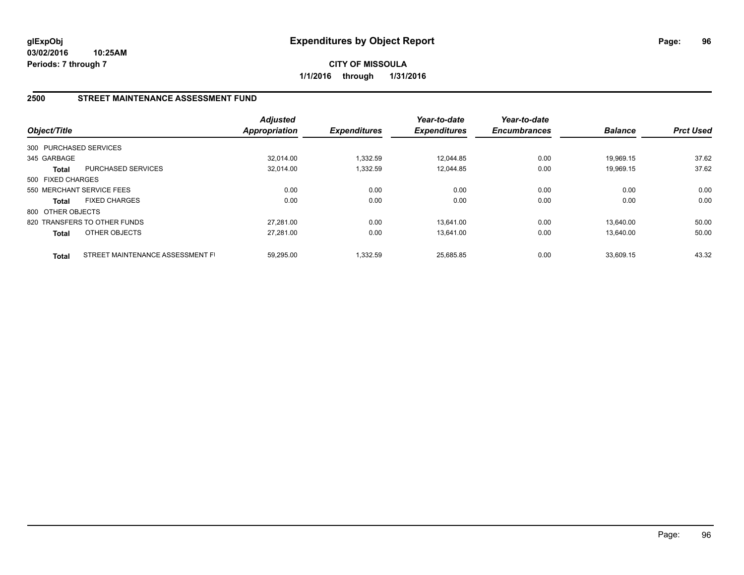**CITY OF MISSOULA 1/1/2016 through 1/31/2016**

## **2500 STREET MAINTENANCE ASSESSMENT FUND**

| Object/Title      |                                  | <b>Adjusted</b><br><b>Appropriation</b> | <b>Expenditures</b> | Year-to-date<br><b>Expenditures</b> | Year-to-date<br><b>Encumbrances</b> | <b>Balance</b> | <b>Prct Used</b> |
|-------------------|----------------------------------|-----------------------------------------|---------------------|-------------------------------------|-------------------------------------|----------------|------------------|
|                   | 300 PURCHASED SERVICES           |                                         |                     |                                     |                                     |                |                  |
| 345 GARBAGE       |                                  | 32.014.00                               | 1,332.59            | 12.044.85                           | 0.00                                | 19.969.15      | 37.62            |
| <b>Total</b>      | PURCHASED SERVICES               | 32,014.00                               | 1,332.59            | 12.044.85                           | 0.00                                | 19.969.15      | 37.62            |
| 500 FIXED CHARGES |                                  |                                         |                     |                                     |                                     |                |                  |
|                   | 550 MERCHANT SERVICE FEES        | 0.00                                    | 0.00                | 0.00                                | 0.00                                | 0.00           | 0.00             |
| <b>Total</b>      | <b>FIXED CHARGES</b>             | 0.00                                    | 0.00                | 0.00                                | 0.00                                | 0.00           | 0.00             |
| 800 OTHER OBJECTS |                                  |                                         |                     |                                     |                                     |                |                  |
|                   | 820 TRANSFERS TO OTHER FUNDS     | 27.281.00                               | 0.00                | 13.641.00                           | 0.00                                | 13.640.00      | 50.00            |
| <b>Total</b>      | OTHER OBJECTS                    | 27,281.00                               | 0.00                | 13,641.00                           | 0.00                                | 13.640.00      | 50.00            |
| <b>Total</b>      | STREET MAINTENANCE ASSESSMENT FI | 59.295.00                               | 1.332.59            | 25.685.85                           | 0.00                                | 33.609.15      | 43.32            |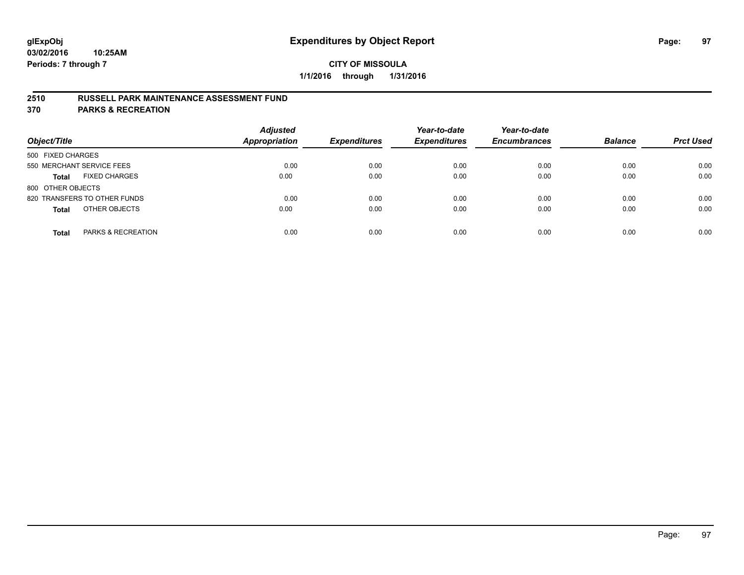### **2510 RUSSELL PARK MAINTENANCE ASSESSMENT FUND**

**370 PARKS & RECREATION**

| Object/Title                         | <b>Adjusted</b><br><b>Appropriation</b> | <b>Expenditures</b> | Year-to-date<br><b>Expenditures</b> | Year-to-date<br><b>Encumbrances</b> | <b>Balance</b> | <b>Prct Used</b> |
|--------------------------------------|-----------------------------------------|---------------------|-------------------------------------|-------------------------------------|----------------|------------------|
| 500 FIXED CHARGES                    |                                         |                     |                                     |                                     |                |                  |
| 550 MERCHANT SERVICE FEES            | 0.00                                    | 0.00                | 0.00                                | 0.00                                | 0.00           | 0.00             |
| <b>FIXED CHARGES</b><br><b>Total</b> | 0.00                                    | 0.00                | 0.00                                | 0.00                                | 0.00           | 0.00             |
| 800 OTHER OBJECTS                    |                                         |                     |                                     |                                     |                |                  |
| 820 TRANSFERS TO OTHER FUNDS         | 0.00                                    | 0.00                | 0.00                                | 0.00                                | 0.00           | 0.00             |
| OTHER OBJECTS<br><b>Total</b>        | 0.00                                    | 0.00                | 0.00                                | 0.00                                | 0.00           | 0.00             |
| PARKS & RECREATION<br><b>Total</b>   | 0.00                                    | 0.00                | 0.00                                | 0.00                                | 0.00           | 0.00             |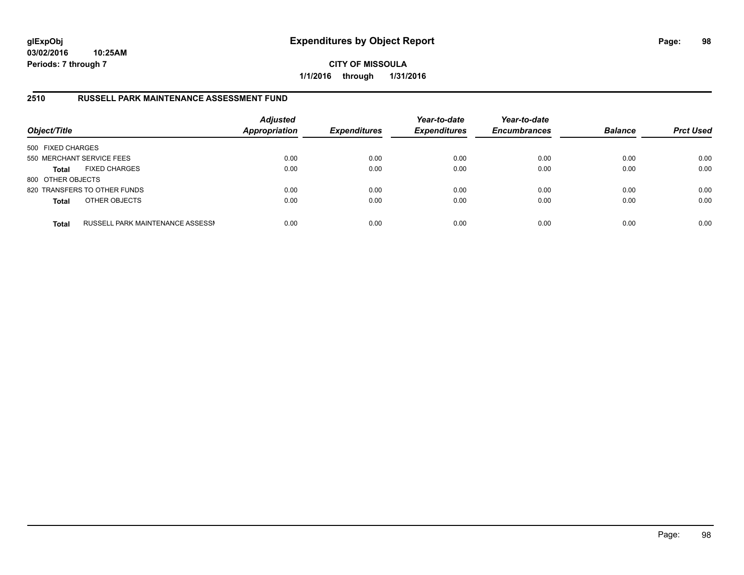**CITY OF MISSOULA 1/1/2016 through 1/31/2016**

### **2510 RUSSELL PARK MAINTENANCE ASSESSMENT FUND**

| Object/Title              |                                  | <b>Adjusted</b><br><b>Appropriation</b> | <b>Expenditures</b> | Year-to-date<br><b>Expenditures</b> | Year-to-date<br><b>Encumbrances</b> | <b>Balance</b> | <b>Prct Used</b> |
|---------------------------|----------------------------------|-----------------------------------------|---------------------|-------------------------------------|-------------------------------------|----------------|------------------|
| 500 FIXED CHARGES         |                                  |                                         |                     |                                     |                                     |                |                  |
| 550 MERCHANT SERVICE FEES |                                  | 0.00                                    | 0.00                | 0.00                                | 0.00                                | 0.00           | 0.00             |
| <b>Total</b>              | <b>FIXED CHARGES</b>             | 0.00                                    | 0.00                | 0.00                                | 0.00                                | 0.00           | 0.00             |
| 800 OTHER OBJECTS         |                                  |                                         |                     |                                     |                                     |                |                  |
|                           | 820 TRANSFERS TO OTHER FUNDS     | 0.00                                    | 0.00                | 0.00                                | 0.00                                | 0.00           | 0.00             |
| <b>Total</b>              | OTHER OBJECTS                    | 0.00                                    | 0.00                | 0.00                                | 0.00                                | 0.00           | 0.00             |
| <b>Total</b>              | RUSSELL PARK MAINTENANCE ASSESSN | 0.00                                    | 0.00                | 0.00                                | 0.00                                | 0.00           | 0.00             |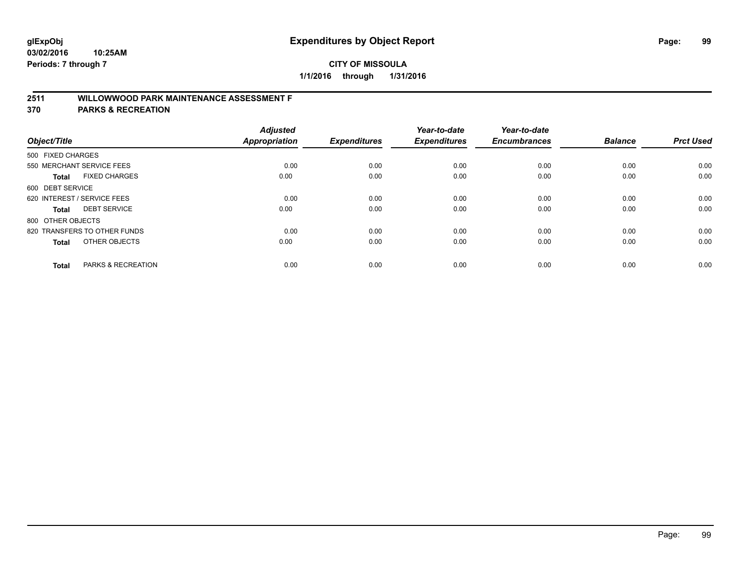## **2511 WILLOWWOOD PARK MAINTENANCE ASSESSMENT F**

**370 PARKS & RECREATION**

| Object/Title                |                               | <b>Adjusted</b><br><b>Appropriation</b> | <b>Expenditures</b> | Year-to-date<br><b>Expenditures</b> | Year-to-date<br><b>Encumbrances</b> | <b>Balance</b> | <b>Prct Used</b> |
|-----------------------------|-------------------------------|-----------------------------------------|---------------------|-------------------------------------|-------------------------------------|----------------|------------------|
| 500 FIXED CHARGES           |                               |                                         |                     |                                     |                                     |                |                  |
|                             | 550 MERCHANT SERVICE FEES     | 0.00                                    | 0.00                | 0.00                                | 0.00                                | 0.00           | 0.00             |
| <b>Total</b>                | <b>FIXED CHARGES</b>          | 0.00                                    | 0.00                | 0.00                                | 0.00                                | 0.00           | 0.00             |
| 600 DEBT SERVICE            |                               |                                         |                     |                                     |                                     |                |                  |
| 620 INTEREST / SERVICE FEES |                               | 0.00                                    | 0.00                | 0.00                                | 0.00                                | 0.00           | 0.00             |
| Total                       | <b>DEBT SERVICE</b>           | 0.00                                    | 0.00                | 0.00                                | 0.00                                | 0.00           | 0.00             |
| 800 OTHER OBJECTS           |                               |                                         |                     |                                     |                                     |                |                  |
|                             | 820 TRANSFERS TO OTHER FUNDS  | 0.00                                    | 0.00                | 0.00                                | 0.00                                | 0.00           | 0.00             |
| Total                       | OTHER OBJECTS                 | 0.00                                    | 0.00                | 0.00                                | 0.00                                | 0.00           | 0.00             |
|                             |                               |                                         |                     |                                     |                                     |                |                  |
| <b>Total</b>                | <b>PARKS &amp; RECREATION</b> | 0.00                                    | 0.00                | 0.00                                | 0.00                                | 0.00           | 0.00             |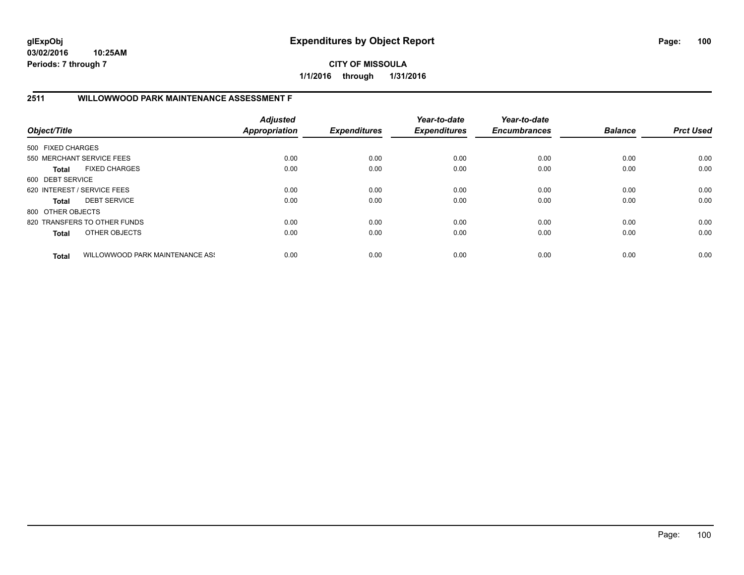### **CITY OF MISSOULA 1/1/2016 through 1/31/2016**

# **2511 WILLOWWOOD PARK MAINTENANCE ASSESSMENT F**

| Object/Title                |                                 | <b>Adjusted</b><br><b>Appropriation</b> | <b>Expenditures</b> | Year-to-date<br><b>Expenditures</b> | Year-to-date<br><b>Encumbrances</b> | <b>Balance</b> | <b>Prct Used</b> |
|-----------------------------|---------------------------------|-----------------------------------------|---------------------|-------------------------------------|-------------------------------------|----------------|------------------|
| 500 FIXED CHARGES           |                                 |                                         |                     |                                     |                                     |                |                  |
|                             | 550 MERCHANT SERVICE FEES       | 0.00                                    | 0.00                | 0.00                                | 0.00                                | 0.00           | 0.00             |
| Total                       | <b>FIXED CHARGES</b>            | 0.00                                    | 0.00                | 0.00                                | 0.00                                | 0.00           | 0.00             |
| 600 DEBT SERVICE            |                                 |                                         |                     |                                     |                                     |                |                  |
| 620 INTEREST / SERVICE FEES |                                 | 0.00                                    | 0.00                | 0.00                                | 0.00                                | 0.00           | 0.00             |
| Total                       | <b>DEBT SERVICE</b>             | 0.00                                    | 0.00                | 0.00                                | 0.00                                | 0.00           | 0.00             |
| 800 OTHER OBJECTS           |                                 |                                         |                     |                                     |                                     |                |                  |
|                             | 820 TRANSFERS TO OTHER FUNDS    | 0.00                                    | 0.00                | 0.00                                | 0.00                                | 0.00           | 0.00             |
| <b>Total</b>                | OTHER OBJECTS                   | 0.00                                    | 0.00                | 0.00                                | 0.00                                | 0.00           | 0.00             |
| <b>Total</b>                | WILLOWWOOD PARK MAINTENANCE ASS | 0.00                                    | 0.00                | 0.00                                | 0.00                                | 0.00           | 0.00             |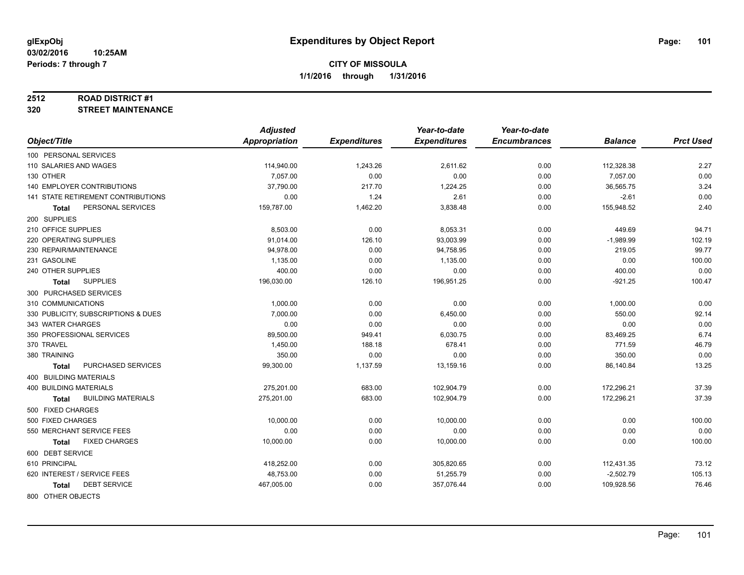#### **2512 ROAD DISTRICT #1**

**320 STREET MAINTENANCE**

|                                           | <b>Adjusted</b> |                     | Year-to-date        | Year-to-date        |                |                  |
|-------------------------------------------|-----------------|---------------------|---------------------|---------------------|----------------|------------------|
| Object/Title                              | Appropriation   | <b>Expenditures</b> | <b>Expenditures</b> | <b>Encumbrances</b> | <b>Balance</b> | <b>Prct Used</b> |
| 100 PERSONAL SERVICES                     |                 |                     |                     |                     |                |                  |
| 110 SALARIES AND WAGES                    | 114,940.00      | 1,243.26            | 2,611.62            | 0.00                | 112,328.38     | 2.27             |
| 130 OTHER                                 | 7.057.00        | 0.00                | 0.00                | 0.00                | 7,057.00       | 0.00             |
| 140 EMPLOYER CONTRIBUTIONS                | 37,790.00       | 217.70              | 1,224.25            | 0.00                | 36,565.75      | 3.24             |
| 141 STATE RETIREMENT CONTRIBUTIONS        | 0.00            | 1.24                | 2.61                | 0.00                | $-2.61$        | 0.00             |
| PERSONAL SERVICES<br>Total                | 159,787.00      | 1,462.20            | 3,838.48            | 0.00                | 155,948.52     | 2.40             |
| 200 SUPPLIES                              |                 |                     |                     |                     |                |                  |
| 210 OFFICE SUPPLIES                       | 8,503.00        | 0.00                | 8,053.31            | 0.00                | 449.69         | 94.71            |
| 220 OPERATING SUPPLIES                    | 91,014.00       | 126.10              | 93,003.99           | 0.00                | $-1,989.99$    | 102.19           |
| 230 REPAIR/MAINTENANCE                    | 94,978.00       | 0.00                | 94,758.95           | 0.00                | 219.05         | 99.77            |
| 231 GASOLINE                              | 1,135.00        | 0.00                | 1,135.00            | 0.00                | 0.00           | 100.00           |
| 240 OTHER SUPPLIES                        | 400.00          | 0.00                | 0.00                | 0.00                | 400.00         | 0.00             |
| <b>SUPPLIES</b><br>Total                  | 196,030.00      | 126.10              | 196,951.25          | 0.00                | $-921.25$      | 100.47           |
| 300 PURCHASED SERVICES                    |                 |                     |                     |                     |                |                  |
| 310 COMMUNICATIONS                        | 1,000.00        | 0.00                | 0.00                | 0.00                | 1,000.00       | 0.00             |
| 330 PUBLICITY, SUBSCRIPTIONS & DUES       | 7,000.00        | 0.00                | 6,450.00            | 0.00                | 550.00         | 92.14            |
| 343 WATER CHARGES                         | 0.00            | 0.00                | 0.00                | 0.00                | 0.00           | 0.00             |
| 350 PROFESSIONAL SERVICES                 | 89,500.00       | 949.41              | 6,030.75            | 0.00                | 83,469.25      | 6.74             |
| 370 TRAVEL                                | 1,450.00        | 188.18              | 678.41              | 0.00                | 771.59         | 46.79            |
| 380 TRAINING                              | 350.00          | 0.00                | 0.00                | 0.00                | 350.00         | 0.00             |
| PURCHASED SERVICES<br><b>Total</b>        | 99,300.00       | 1,137.59            | 13,159.16           | 0.00                | 86,140.84      | 13.25            |
| 400 BUILDING MATERIALS                    |                 |                     |                     |                     |                |                  |
| <b>400 BUILDING MATERIALS</b>             | 275,201.00      | 683.00              | 102,904.79          | 0.00                | 172,296.21     | 37.39            |
| <b>BUILDING MATERIALS</b><br><b>Total</b> | 275,201.00      | 683.00              | 102,904.79          | 0.00                | 172,296.21     | 37.39            |
| 500 FIXED CHARGES                         |                 |                     |                     |                     |                |                  |
| 500 FIXED CHARGES                         | 10,000.00       | 0.00                | 10,000.00           | 0.00                | 0.00           | 100.00           |
| 550 MERCHANT SERVICE FEES                 | 0.00            | 0.00                | 0.00                | 0.00                | 0.00           | 0.00             |
| <b>FIXED CHARGES</b><br><b>Total</b>      | 10,000.00       | 0.00                | 10,000.00           | 0.00                | 0.00           | 100.00           |
| 600 DEBT SERVICE                          |                 |                     |                     |                     |                |                  |
| 610 PRINCIPAL                             | 418,252.00      | 0.00                | 305,820.65          | 0.00                | 112,431.35     | 73.12            |
| 620 INTEREST / SERVICE FEES               | 48,753.00       | 0.00                | 51,255.79           | 0.00                | $-2,502.79$    | 105.13           |
| <b>DEBT SERVICE</b><br><b>Total</b>       | 467,005.00      | 0.00                | 357,076.44          | 0.00                | 109,928.56     | 76.46            |
| 800 OTHER OBJECTS                         |                 |                     |                     |                     |                |                  |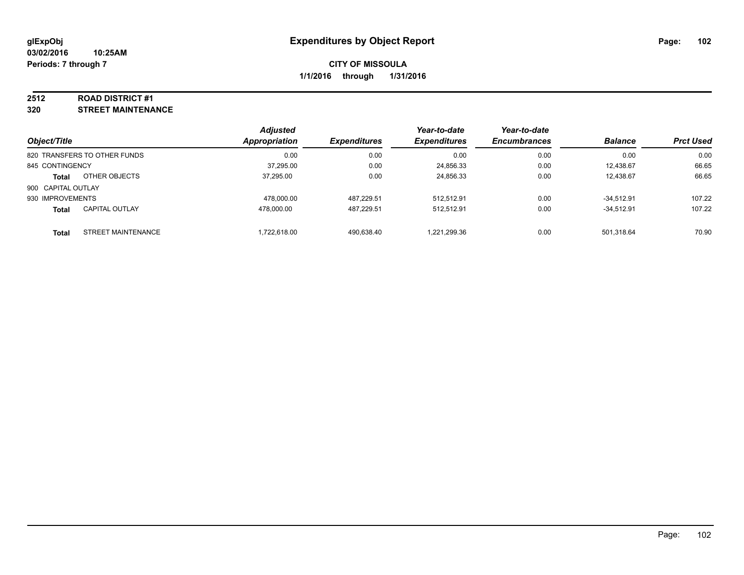#### **2512 ROAD DISTRICT #1**

**320 STREET MAINTENANCE**

| Object/Title                       | <b>Adjusted</b><br>Appropriation | <b>Expenditures</b> | Year-to-date<br><b>Expenditures</b> | Year-to-date<br><b>Encumbrances</b> | <b>Balance</b> | <b>Prct Used</b> |
|------------------------------------|----------------------------------|---------------------|-------------------------------------|-------------------------------------|----------------|------------------|
| 820 TRANSFERS TO OTHER FUNDS       | 0.00                             | 0.00                | 0.00                                | 0.00                                | 0.00           | 0.00             |
| 845 CONTINGENCY                    | 37,295.00                        | 0.00                | 24,856.33                           | 0.00                                | 12.438.67      | 66.65            |
| OTHER OBJECTS<br><b>Total</b>      | 37.295.00                        | 0.00                | 24,856.33                           | 0.00                                | 12.438.67      | 66.65            |
| 900 CAPITAL OUTLAY                 |                                  |                     |                                     |                                     |                |                  |
| 930 IMPROVEMENTS                   | 478.000.00                       | 487.229.51          | 512,512.91                          | 0.00                                | $-34.512.91$   | 107.22           |
| <b>CAPITAL OUTLAY</b><br>Total     | 478.000.00                       | 487.229.51          | 512,512.91                          | 0.00                                | $-34,512.91$   | 107.22           |
| STREET MAINTENANCE<br><b>Total</b> | 1,722,618.00                     | 490,638.40          | 1,221,299.36                        | 0.00                                | 501,318.64     | 70.90            |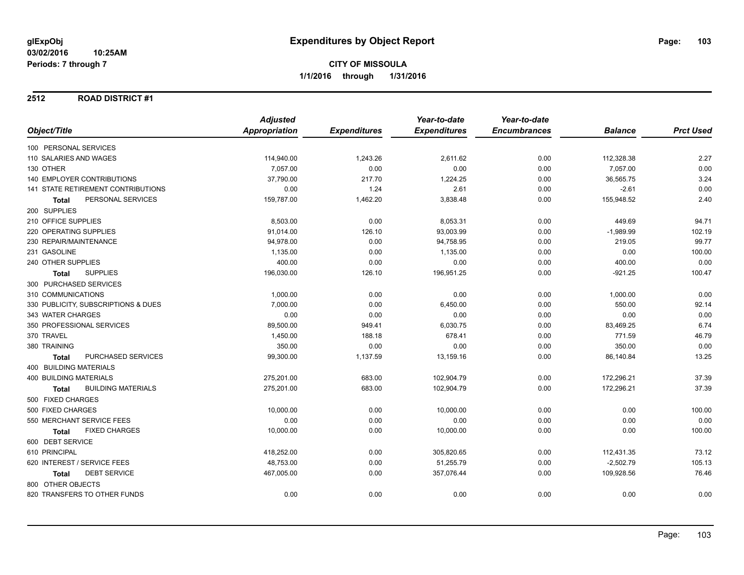### **2512 ROAD DISTRICT #1**

|                                           | <b>Adjusted</b> |                     | Year-to-date        | Year-to-date        |                |                  |
|-------------------------------------------|-----------------|---------------------|---------------------|---------------------|----------------|------------------|
| Object/Title                              | Appropriation   | <b>Expenditures</b> | <b>Expenditures</b> | <b>Encumbrances</b> | <b>Balance</b> | <b>Prct Used</b> |
| 100 PERSONAL SERVICES                     |                 |                     |                     |                     |                |                  |
| 110 SALARIES AND WAGES                    | 114,940.00      | 1,243.26            | 2,611.62            | 0.00                | 112,328.38     | 2.27             |
| 130 OTHER                                 | 7,057.00        | 0.00                | 0.00                | 0.00                | 7,057.00       | 0.00             |
| <b>140 EMPLOYER CONTRIBUTIONS</b>         | 37,790.00       | 217.70              | 1,224.25            | 0.00                | 36,565.75      | 3.24             |
| 141 STATE RETIREMENT CONTRIBUTIONS        | 0.00            | 1.24                | 2.61                | 0.00                | $-2.61$        | 0.00             |
| PERSONAL SERVICES<br><b>Total</b>         | 159,787.00      | 1,462.20            | 3,838.48            | 0.00                | 155,948.52     | 2.40             |
| 200 SUPPLIES                              |                 |                     |                     |                     |                |                  |
| 210 OFFICE SUPPLIES                       | 8,503.00        | 0.00                | 8,053.31            | 0.00                | 449.69         | 94.71            |
| 220 OPERATING SUPPLIES                    | 91,014.00       | 126.10              | 93,003.99           | 0.00                | $-1,989.99$    | 102.19           |
| 230 REPAIR/MAINTENANCE                    | 94,978.00       | 0.00                | 94,758.95           | 0.00                | 219.05         | 99.77            |
| 231 GASOLINE                              | 1,135.00        | 0.00                | 1,135.00            | 0.00                | 0.00           | 100.00           |
| 240 OTHER SUPPLIES                        | 400.00          | 0.00                | 0.00                | 0.00                | 400.00         | 0.00             |
| <b>SUPPLIES</b><br><b>Total</b>           | 196,030.00      | 126.10              | 196,951.25          | 0.00                | $-921.25$      | 100.47           |
| 300 PURCHASED SERVICES                    |                 |                     |                     |                     |                |                  |
| 310 COMMUNICATIONS                        | 1,000.00        | 0.00                | 0.00                | 0.00                | 1,000.00       | 0.00             |
| 330 PUBLICITY, SUBSCRIPTIONS & DUES       | 7,000.00        | 0.00                | 6,450.00            | 0.00                | 550.00         | 92.14            |
| 343 WATER CHARGES                         | 0.00            | 0.00                | 0.00                | 0.00                | 0.00           | 0.00             |
| 350 PROFESSIONAL SERVICES                 | 89,500.00       | 949.41              | 6,030.75            | 0.00                | 83,469.25      | 6.74             |
| 370 TRAVEL                                | 1,450.00        | 188.18              | 678.41              | 0.00                | 771.59         | 46.79            |
| 380 TRAINING                              | 350.00          | 0.00                | 0.00                | 0.00                | 350.00         | 0.00             |
| PURCHASED SERVICES<br><b>Total</b>        | 99,300.00       | 1,137.59            | 13,159.16           | 0.00                | 86,140.84      | 13.25            |
| 400 BUILDING MATERIALS                    |                 |                     |                     |                     |                |                  |
| <b>400 BUILDING MATERIALS</b>             | 275,201.00      | 683.00              | 102,904.79          | 0.00                | 172,296.21     | 37.39            |
| <b>BUILDING MATERIALS</b><br><b>Total</b> | 275,201.00      | 683.00              | 102,904.79          | 0.00                | 172,296.21     | 37.39            |
| 500 FIXED CHARGES                         |                 |                     |                     |                     |                |                  |
| 500 FIXED CHARGES                         | 10,000.00       | 0.00                | 10,000.00           | 0.00                | 0.00           | 100.00           |
| 550 MERCHANT SERVICE FEES                 | 0.00            | 0.00                | 0.00                | 0.00                | 0.00           | 0.00             |
| <b>FIXED CHARGES</b><br><b>Total</b>      | 10,000.00       | 0.00                | 10,000.00           | 0.00                | 0.00           | 100.00           |
| 600 DEBT SERVICE                          |                 |                     |                     |                     |                |                  |
| 610 PRINCIPAL                             | 418,252.00      | 0.00                | 305,820.65          | 0.00                | 112,431.35     | 73.12            |
| 620 INTEREST / SERVICE FEES               | 48,753.00       | 0.00                | 51,255.79           | 0.00                | $-2,502.79$    | 105.13           |
| <b>DEBT SERVICE</b><br><b>Total</b>       | 467,005.00      | 0.00                | 357,076.44          | 0.00                | 109,928.56     | 76.46            |
| 800 OTHER OBJECTS                         |                 |                     |                     |                     |                |                  |
| 820 TRANSFERS TO OTHER FUNDS              | 0.00            | 0.00                | 0.00                | 0.00                | 0.00           | 0.00             |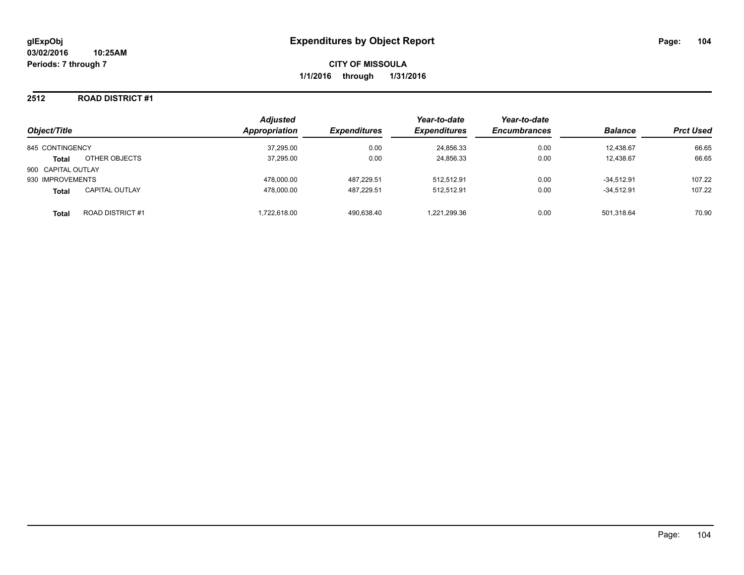# **2512 ROAD DISTRICT #1**

| Object/Title       |                       | <b>Adjusted</b><br><b>Appropriation</b><br><b>Expenditures</b> | Year-to-date<br><b>Expenditures</b> | Year-to-date<br><b>Encumbrances</b> | <b>Balance</b> | <b>Prct Used</b> |        |
|--------------------|-----------------------|----------------------------------------------------------------|-------------------------------------|-------------------------------------|----------------|------------------|--------|
| 845 CONTINGENCY    |                       | 37,295.00                                                      | 0.00                                | 24,856.33                           | 0.00           | 12.438.67        | 66.65  |
| <b>Total</b>       | OTHER OBJECTS         | 37,295.00                                                      | 0.00                                | 24,856.33                           | 0.00           | 12,438.67        | 66.65  |
| 900 CAPITAL OUTLAY |                       |                                                                |                                     |                                     |                |                  |        |
| 930 IMPROVEMENTS   |                       | 478.000.00                                                     | 487.229.51                          | 512.512.91                          | 0.00           | $-34.512.91$     | 107.22 |
| <b>Total</b>       | <b>CAPITAL OUTLAY</b> | 478.000.00                                                     | 487.229.51                          | 512.512.91                          | 0.00           | $-34.512.91$     | 107.22 |
| <b>Total</b>       | ROAD DISTRICT #1      | 1.722.618.00                                                   | 490.638.40                          | 1,221,299.36                        | 0.00           | 501.318.64       | 70.90  |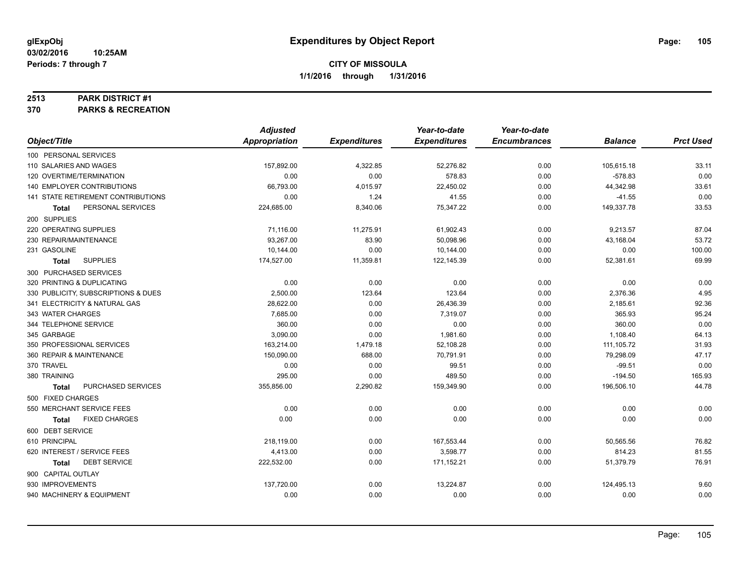#### **2513 PARK DISTRICT #1**

**370 PARKS & RECREATION**

|                                     | <b>Adjusted</b>      |                     | Year-to-date        | Year-to-date        |                |                  |
|-------------------------------------|----------------------|---------------------|---------------------|---------------------|----------------|------------------|
| Object/Title                        | <b>Appropriation</b> | <b>Expenditures</b> | <b>Expenditures</b> | <b>Encumbrances</b> | <b>Balance</b> | <b>Prct Used</b> |
| 100 PERSONAL SERVICES               |                      |                     |                     |                     |                |                  |
| 110 SALARIES AND WAGES              | 157,892.00           | 4,322.85            | 52,276.82           | 0.00                | 105,615.18     | 33.11            |
| 120 OVERTIME/TERMINATION            | 0.00                 | 0.00                | 578.83              | 0.00                | $-578.83$      | 0.00             |
| 140 EMPLOYER CONTRIBUTIONS          | 66,793.00            | 4,015.97            | 22,450.02           | 0.00                | 44,342.98      | 33.61            |
| 141 STATE RETIREMENT CONTRIBUTIONS  | 0.00                 | 1.24                | 41.55               | 0.00                | $-41.55$       | 0.00             |
| PERSONAL SERVICES<br>Total          | 224,685.00           | 8,340.06            | 75,347.22           | 0.00                | 149,337.78     | 33.53            |
| 200 SUPPLIES                        |                      |                     |                     |                     |                |                  |
| 220 OPERATING SUPPLIES              | 71,116.00            | 11,275.91           | 61,902.43           | 0.00                | 9,213.57       | 87.04            |
| 230 REPAIR/MAINTENANCE              | 93,267.00            | 83.90               | 50,098.96           | 0.00                | 43,168.04      | 53.72            |
| 231 GASOLINE                        | 10,144.00            | 0.00                | 10,144.00           | 0.00                | 0.00           | 100.00           |
| <b>SUPPLIES</b><br>Total            | 174,527.00           | 11,359.81           | 122,145.39          | 0.00                | 52,381.61      | 69.99            |
| 300 PURCHASED SERVICES              |                      |                     |                     |                     |                |                  |
| 320 PRINTING & DUPLICATING          | 0.00                 | 0.00                | 0.00                | 0.00                | 0.00           | 0.00             |
| 330 PUBLICITY, SUBSCRIPTIONS & DUES | 2,500.00             | 123.64              | 123.64              | 0.00                | 2,376.36       | 4.95             |
| 341 ELECTRICITY & NATURAL GAS       | 28,622.00            | 0.00                | 26,436.39           | 0.00                | 2,185.61       | 92.36            |
| 343 WATER CHARGES                   | 7,685.00             | 0.00                | 7,319.07            | 0.00                | 365.93         | 95.24            |
| 344 TELEPHONE SERVICE               | 360.00               | 0.00                | 0.00                | 0.00                | 360.00         | 0.00             |
| 345 GARBAGE                         | 3,090.00             | 0.00                | 1,981.60            | 0.00                | 1,108.40       | 64.13            |
| 350 PROFESSIONAL SERVICES           | 163,214.00           | 1,479.18            | 52,108.28           | 0.00                | 111, 105.72    | 31.93            |
| 360 REPAIR & MAINTENANCE            | 150,090.00           | 688.00              | 70,791.91           | 0.00                | 79,298.09      | 47.17            |
| 370 TRAVEL                          | 0.00                 | 0.00                | 99.51               | 0.00                | $-99.51$       | 0.00             |
| 380 TRAINING                        | 295.00               | 0.00                | 489.50              | 0.00                | $-194.50$      | 165.93           |
| PURCHASED SERVICES<br>Total         | 355,856.00           | 2,290.82            | 159,349.90          | 0.00                | 196,506.10     | 44.78            |
| 500 FIXED CHARGES                   |                      |                     |                     |                     |                |                  |
| 550 MERCHANT SERVICE FEES           | 0.00                 | 0.00                | 0.00                | 0.00                | 0.00           | 0.00             |
| <b>FIXED CHARGES</b><br>Total       | 0.00                 | 0.00                | 0.00                | 0.00                | 0.00           | 0.00             |
| 600 DEBT SERVICE                    |                      |                     |                     |                     |                |                  |
| 610 PRINCIPAL                       | 218,119.00           | 0.00                | 167,553.44          | 0.00                | 50,565.56      | 76.82            |
| 620 INTEREST / SERVICE FEES         | 4,413.00             | 0.00                | 3,598.77            | 0.00                | 814.23         | 81.55            |
| <b>DEBT SERVICE</b><br><b>Total</b> | 222,532.00           | 0.00                | 171,152.21          | 0.00                | 51,379.79      | 76.91            |
| 900 CAPITAL OUTLAY                  |                      |                     |                     |                     |                |                  |
| 930 IMPROVEMENTS                    | 137,720.00           | 0.00                | 13,224.87           | 0.00                | 124,495.13     | 9.60             |
| 940 MACHINERY & EQUIPMENT           | 0.00                 | 0.00                | 0.00                | 0.00                | 0.00           | 0.00             |
|                                     |                      |                     |                     |                     |                |                  |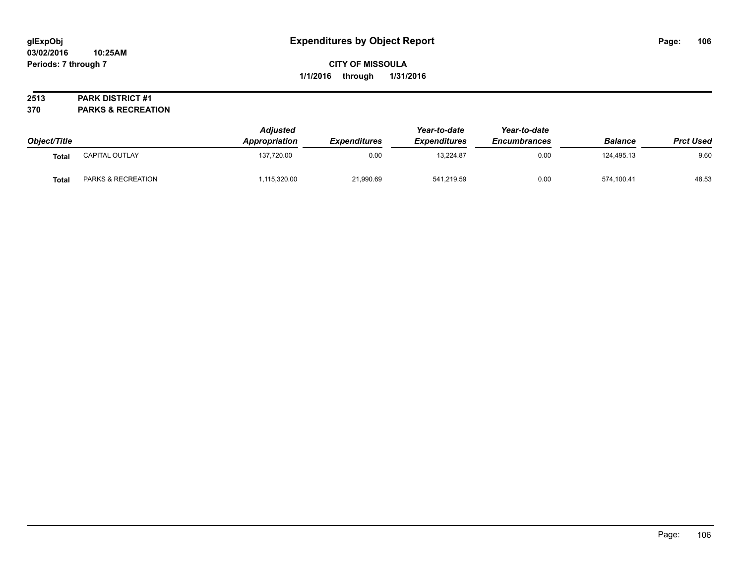### **2513 PARK DISTRICT #1**

**370 PARKS & RECREATION**

| Object/Title |                    | <b>Adjusted</b><br><b>Appropriation</b> | <i><b>Expenditures</b></i> | Year-to-date<br><b>Expenditures</b> | Year-to-date<br><b>Encumbrances</b> | <b>Balance</b> | <b>Prct Used</b> |
|--------------|--------------------|-----------------------------------------|----------------------------|-------------------------------------|-------------------------------------|----------------|------------------|
| <b>Total</b> | CAPITAL OUTLAY     | 137,720.00                              | 0.00                       | 13.224.87                           | 0.00                                | 124.495.13     | 9.60             |
| <b>Total</b> | PARKS & RECREATION | ,115,320.00                             | 21,990.69                  | 541,219.59                          | 0.00                                | 574,100.41     | 48.53            |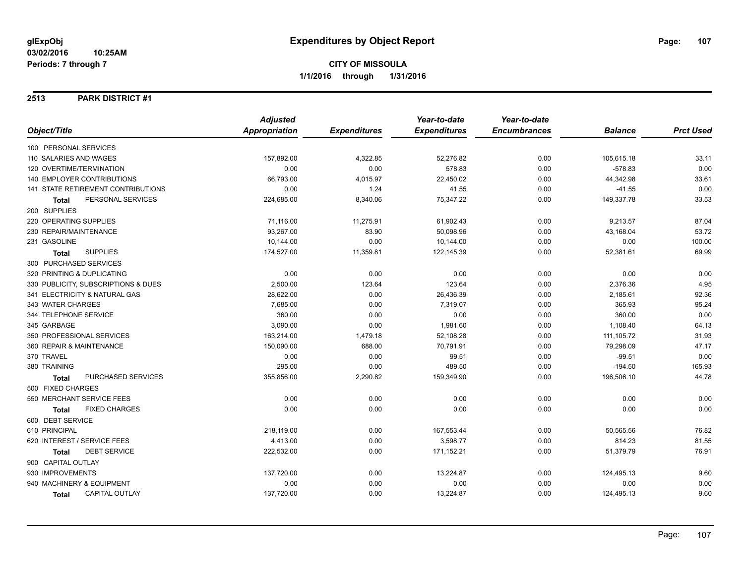### **2513 PARK DISTRICT #1**

|                                       | <b>Adjusted</b> |                     | Year-to-date        | Year-to-date        |                |                  |
|---------------------------------------|-----------------|---------------------|---------------------|---------------------|----------------|------------------|
| Object/Title                          | Appropriation   | <b>Expenditures</b> | <b>Expenditures</b> | <b>Encumbrances</b> | <b>Balance</b> | <b>Prct Used</b> |
| 100 PERSONAL SERVICES                 |                 |                     |                     |                     |                |                  |
| 110 SALARIES AND WAGES                | 157,892.00      | 4,322.85            | 52,276.82           | 0.00                | 105,615.18     | 33.11            |
| 120 OVERTIME/TERMINATION              | 0.00            | 0.00                | 578.83              | 0.00                | $-578.83$      | 0.00             |
| 140 EMPLOYER CONTRIBUTIONS            | 66,793.00       | 4,015.97            | 22,450.02           | 0.00                | 44,342.98      | 33.61            |
| 141 STATE RETIREMENT CONTRIBUTIONS    | 0.00            | 1.24                | 41.55               | 0.00                | $-41.55$       | 0.00             |
| PERSONAL SERVICES<br><b>Total</b>     | 224,685.00      | 8,340.06            | 75,347.22           | 0.00                | 149,337.78     | 33.53            |
| 200 SUPPLIES                          |                 |                     |                     |                     |                |                  |
| 220 OPERATING SUPPLIES                | 71,116.00       | 11,275.91           | 61,902.43           | 0.00                | 9,213.57       | 87.04            |
| 230 REPAIR/MAINTENANCE                | 93.267.00       | 83.90               | 50.098.96           | 0.00                | 43,168.04      | 53.72            |
| 231 GASOLINE                          | 10,144.00       | 0.00                | 10,144.00           | 0.00                | 0.00           | 100.00           |
| <b>SUPPLIES</b><br><b>Total</b>       | 174,527.00      | 11,359.81           | 122,145.39          | 0.00                | 52,381.61      | 69.99            |
| 300 PURCHASED SERVICES                |                 |                     |                     |                     |                |                  |
| 320 PRINTING & DUPLICATING            | 0.00            | 0.00                | 0.00                | 0.00                | 0.00           | 0.00             |
| 330 PUBLICITY, SUBSCRIPTIONS & DUES   | 2,500.00        | 123.64              | 123.64              | 0.00                | 2,376.36       | 4.95             |
| 341 ELECTRICITY & NATURAL GAS         | 28,622.00       | 0.00                | 26,436.39           | 0.00                | 2,185.61       | 92.36            |
| 343 WATER CHARGES                     | 7,685.00        | 0.00                | 7,319.07            | 0.00                | 365.93         | 95.24            |
| 344 TELEPHONE SERVICE                 | 360.00          | 0.00                | 0.00                | 0.00                | 360.00         | 0.00             |
| 345 GARBAGE                           | 3,090.00        | 0.00                | 1,981.60            | 0.00                | 1,108.40       | 64.13            |
| 350 PROFESSIONAL SERVICES             | 163,214.00      | 1,479.18            | 52,108.28           | 0.00                | 111,105.72     | 31.93            |
| 360 REPAIR & MAINTENANCE              | 150,090.00      | 688.00              | 70,791.91           | 0.00                | 79,298.09      | 47.17            |
| 370 TRAVEL                            | 0.00            | 0.00                | 99.51               | 0.00                | $-99.51$       | 0.00             |
| 380 TRAINING                          | 295.00          | 0.00                | 489.50              | 0.00                | $-194.50$      | 165.93           |
| PURCHASED SERVICES<br><b>Total</b>    | 355,856.00      | 2,290.82            | 159,349.90          | 0.00                | 196,506.10     | 44.78            |
| 500 FIXED CHARGES                     |                 |                     |                     |                     |                |                  |
| 550 MERCHANT SERVICE FEES             | 0.00            | 0.00                | 0.00                | 0.00                | 0.00           | 0.00             |
| <b>FIXED CHARGES</b><br><b>Total</b>  | 0.00            | 0.00                | 0.00                | 0.00                | 0.00           | 0.00             |
| 600 DEBT SERVICE                      |                 |                     |                     |                     |                |                  |
| 610 PRINCIPAL                         | 218,119.00      | 0.00                | 167,553.44          | 0.00                | 50,565.56      | 76.82            |
| 620 INTEREST / SERVICE FEES           | 4,413.00        | 0.00                | 3,598.77            | 0.00                | 814.23         | 81.55            |
| <b>DEBT SERVICE</b><br>Total          | 222,532.00      | 0.00                | 171,152.21          | 0.00                | 51,379.79      | 76.91            |
| 900 CAPITAL OUTLAY                    |                 |                     |                     |                     |                |                  |
| 930 IMPROVEMENTS                      | 137,720.00      | 0.00                | 13,224.87           | 0.00                | 124,495.13     | 9.60             |
| 940 MACHINERY & EQUIPMENT             | 0.00            | 0.00                | 0.00                | 0.00                | 0.00           | 0.00             |
| <b>CAPITAL OUTLAY</b><br><b>Total</b> | 137,720.00      | 0.00                | 13,224.87           | 0.00                | 124,495.13     | 9.60             |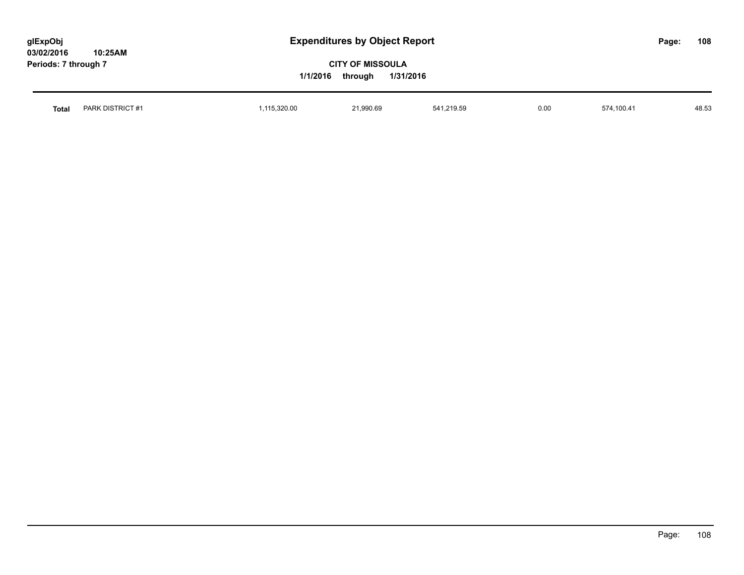| glExpObj<br>03/02/2016<br>10:25AM |              | <b>Expenditures by Object Report</b>                        |            |      |            | Page: | 108   |
|-----------------------------------|--------------|-------------------------------------------------------------|------------|------|------------|-------|-------|
| Periods: 7 through 7              |              | <b>CITY OF MISSOULA</b><br>1/1/2016<br>1/31/2016<br>through |            |      |            |       |       |
| PARK DISTRICT #1<br>Total         | 1,115,320.00 | 21,990.69                                                   | 541,219.59 | 0.00 | 574,100.41 |       | 48.53 |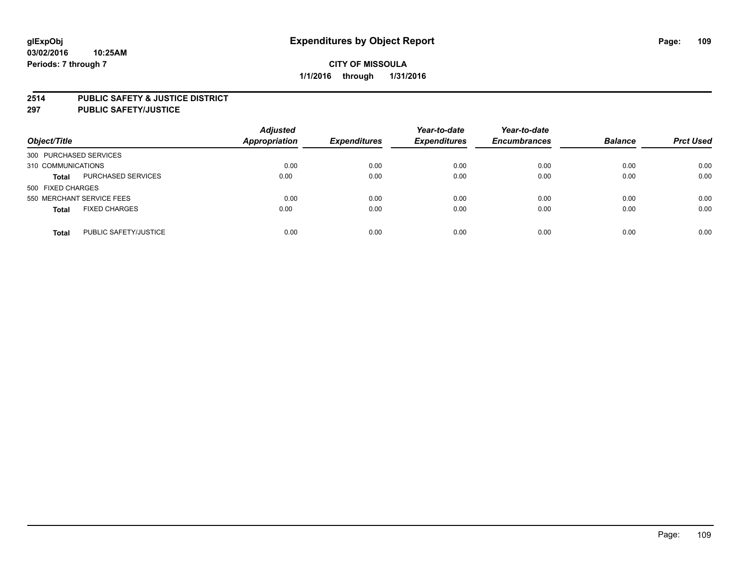#### **2514 PUBLIC SAFETY & JUSTICE DISTRICT**

**297 PUBLIC SAFETY/JUSTICE**

| Object/Title                          | <b>Adjusted</b><br><b>Appropriation</b> | <b>Expenditures</b> | Year-to-date<br><b>Expenditures</b> | Year-to-date<br><b>Encumbrances</b> | <b>Balance</b> | <b>Prct Used</b> |
|---------------------------------------|-----------------------------------------|---------------------|-------------------------------------|-------------------------------------|----------------|------------------|
| 300 PURCHASED SERVICES                |                                         |                     |                                     |                                     |                |                  |
| 310 COMMUNICATIONS                    | 0.00                                    | 0.00                | 0.00                                | 0.00                                | 0.00           | 0.00             |
| PURCHASED SERVICES<br><b>Total</b>    | 0.00                                    | 0.00                | 0.00                                | 0.00                                | 0.00           | 0.00             |
| 500 FIXED CHARGES                     |                                         |                     |                                     |                                     |                |                  |
| 550 MERCHANT SERVICE FEES             | 0.00                                    | 0.00                | 0.00                                | 0.00                                | 0.00           | 0.00             |
| <b>FIXED CHARGES</b><br><b>Total</b>  | 0.00                                    | 0.00                | 0.00                                | 0.00                                | 0.00           | 0.00             |
| PUBLIC SAFETY/JUSTICE<br><b>Total</b> | 0.00                                    | 0.00                | 0.00                                | 0.00                                | 0.00           | 0.00             |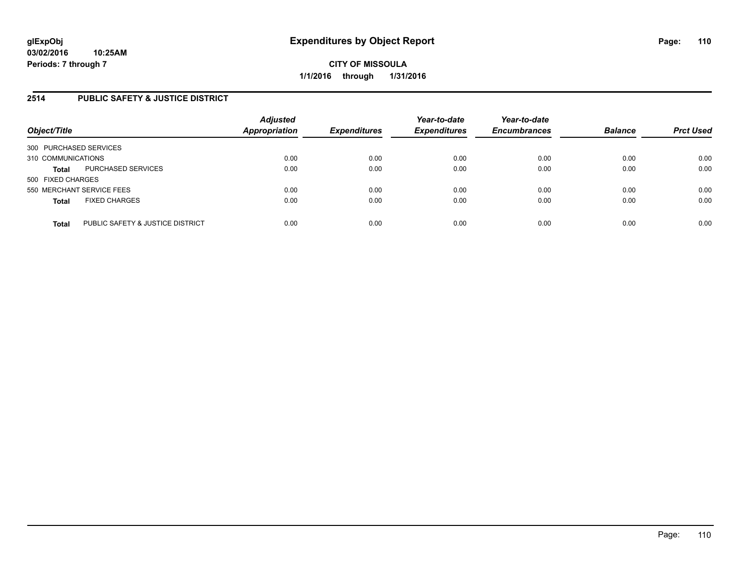# **2514 PUBLIC SAFETY & JUSTICE DISTRICT**

| Object/Title                                     | <b>Adjusted</b><br><b>Appropriation</b> | <b>Expenditures</b> | Year-to-date<br><b>Expenditures</b> | Year-to-date<br><b>Encumbrances</b> | <b>Balance</b> | <b>Prct Used</b> |
|--------------------------------------------------|-----------------------------------------|---------------------|-------------------------------------|-------------------------------------|----------------|------------------|
| 300 PURCHASED SERVICES                           |                                         |                     |                                     |                                     |                |                  |
| 310 COMMUNICATIONS                               | 0.00                                    | 0.00                | 0.00                                | 0.00                                | 0.00           | 0.00             |
| PURCHASED SERVICES<br><b>Total</b>               | 0.00                                    | 0.00                | 0.00                                | 0.00                                | 0.00           | 0.00             |
| 500 FIXED CHARGES                                |                                         |                     |                                     |                                     |                |                  |
| 550 MERCHANT SERVICE FEES                        | 0.00                                    | 0.00                | 0.00                                | 0.00                                | 0.00           | 0.00             |
| <b>FIXED CHARGES</b><br><b>Total</b>             | 0.00                                    | 0.00                | 0.00                                | 0.00                                | 0.00           | 0.00             |
| PUBLIC SAFETY & JUSTICE DISTRICT<br><b>Total</b> | 0.00                                    | 0.00                | 0.00                                | 0.00                                | 0.00           | 0.00             |
|                                                  |                                         |                     |                                     |                                     |                |                  |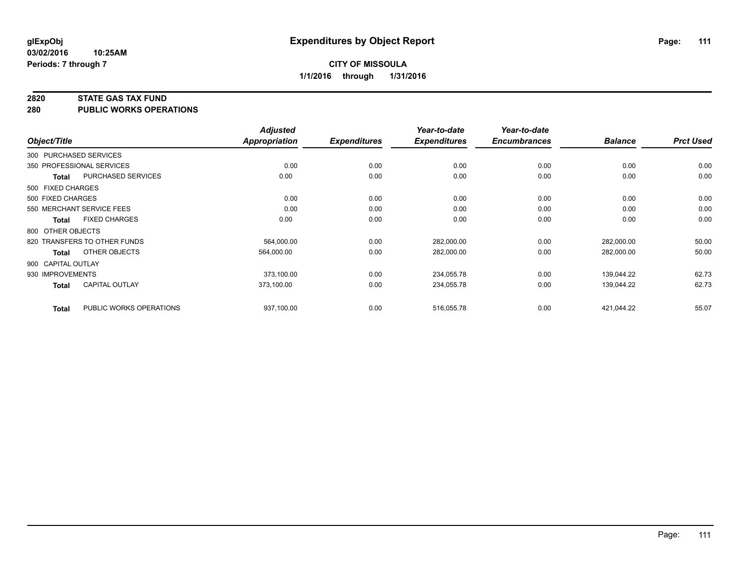#### **2820 STATE GAS TAX FUND**

**280 PUBLIC WORKS OPERATIONS**

|              |                                         | <b>Adjusted</b> |                     | Year-to-date        | Year-to-date        |                |                  |
|--------------|-----------------------------------------|-----------------|---------------------|---------------------|---------------------|----------------|------------------|
| Object/Title |                                         | Appropriation   | <b>Expenditures</b> | <b>Expenditures</b> | <b>Encumbrances</b> | <b>Balance</b> | <b>Prct Used</b> |
|              | 300 PURCHASED SERVICES                  |                 |                     |                     |                     |                |                  |
|              | 350 PROFESSIONAL SERVICES               | 0.00            | 0.00                | 0.00                | 0.00                | 0.00           | 0.00             |
|              | PURCHASED SERVICES<br><b>Total</b>      | 0.00            | 0.00                | 0.00                | 0.00                | 0.00           | 0.00             |
|              | 500 FIXED CHARGES                       |                 |                     |                     |                     |                |                  |
|              | 500 FIXED CHARGES                       | 0.00            | 0.00                | 0.00                | 0.00                | 0.00           | 0.00             |
|              | 550 MERCHANT SERVICE FEES               | 0.00            | 0.00                | 0.00                | 0.00                | 0.00           | 0.00             |
|              | <b>FIXED CHARGES</b><br><b>Total</b>    | 0.00            | 0.00                | 0.00                | 0.00                | 0.00           | 0.00             |
|              | 800 OTHER OBJECTS                       |                 |                     |                     |                     |                |                  |
|              | 820 TRANSFERS TO OTHER FUNDS            | 564,000.00      | 0.00                | 282,000.00          | 0.00                | 282,000.00     | 50.00            |
|              | OTHER OBJECTS<br><b>Total</b>           | 564,000.00      | 0.00                | 282,000.00          | 0.00                | 282,000.00     | 50.00            |
|              | 900 CAPITAL OUTLAY                      |                 |                     |                     |                     |                |                  |
|              | 930 IMPROVEMENTS                        | 373,100.00      | 0.00                | 234,055.78          | 0.00                | 139,044.22     | 62.73            |
|              | <b>CAPITAL OUTLAY</b><br><b>Total</b>   | 373.100.00      | 0.00                | 234,055.78          | 0.00                | 139.044.22     | 62.73            |
|              | PUBLIC WORKS OPERATIONS<br><b>Total</b> | 937,100.00      | 0.00                | 516,055.78          | 0.00                | 421,044.22     | 55.07            |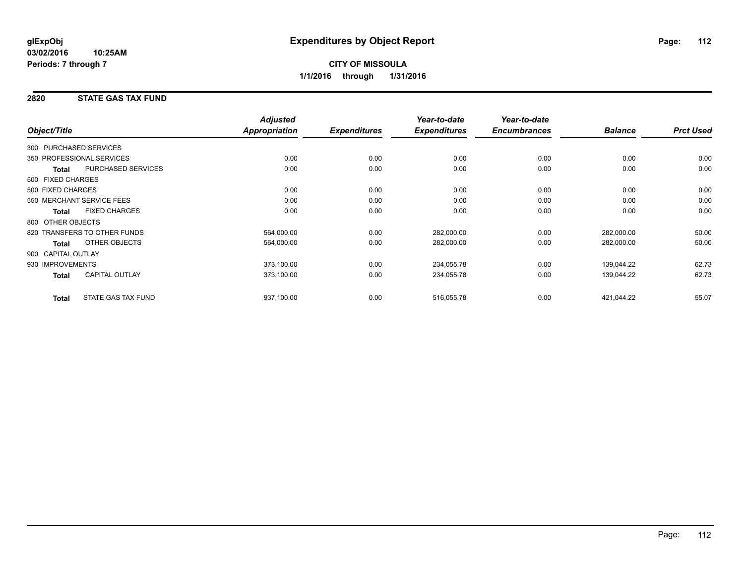## **2820 STATE GAS TAX FUND**

|                        |                              | <b>Adjusted</b>      |                     | Year-to-date        | Year-to-date        |                |                  |
|------------------------|------------------------------|----------------------|---------------------|---------------------|---------------------|----------------|------------------|
| Object/Title           |                              | <b>Appropriation</b> | <b>Expenditures</b> | <b>Expenditures</b> | <b>Encumbrances</b> | <b>Balance</b> | <b>Prct Used</b> |
| 300 PURCHASED SERVICES |                              |                      |                     |                     |                     |                |                  |
|                        | 350 PROFESSIONAL SERVICES    | 0.00                 | 0.00                | 0.00                | 0.00                | 0.00           | 0.00             |
| Total                  | <b>PURCHASED SERVICES</b>    | 0.00                 | 0.00                | 0.00                | 0.00                | 0.00           | 0.00             |
| 500 FIXED CHARGES      |                              |                      |                     |                     |                     |                |                  |
| 500 FIXED CHARGES      |                              | 0.00                 | 0.00                | 0.00                | 0.00                | 0.00           | 0.00             |
|                        | 550 MERCHANT SERVICE FEES    | 0.00                 | 0.00                | 0.00                | 0.00                | 0.00           | 0.00             |
| <b>Total</b>           | <b>FIXED CHARGES</b>         | 0.00                 | 0.00                | 0.00                | 0.00                | 0.00           | 0.00             |
| 800 OTHER OBJECTS      |                              |                      |                     |                     |                     |                |                  |
|                        | 820 TRANSFERS TO OTHER FUNDS | 564,000.00           | 0.00                | 282,000.00          | 0.00                | 282,000.00     | 50.00            |
| <b>Total</b>           | OTHER OBJECTS                | 564,000.00           | 0.00                | 282,000.00          | 0.00                | 282,000.00     | 50.00            |
| 900 CAPITAL OUTLAY     |                              |                      |                     |                     |                     |                |                  |
| 930 IMPROVEMENTS       |                              | 373,100.00           | 0.00                | 234,055.78          | 0.00                | 139,044.22     | 62.73            |
| <b>Total</b>           | <b>CAPITAL OUTLAY</b>        | 373,100.00           | 0.00                | 234,055.78          | 0.00                | 139,044.22     | 62.73            |
| <b>Total</b>           | <b>STATE GAS TAX FUND</b>    | 937,100.00           | 0.00                | 516,055.78          | 0.00                | 421,044.22     | 55.07            |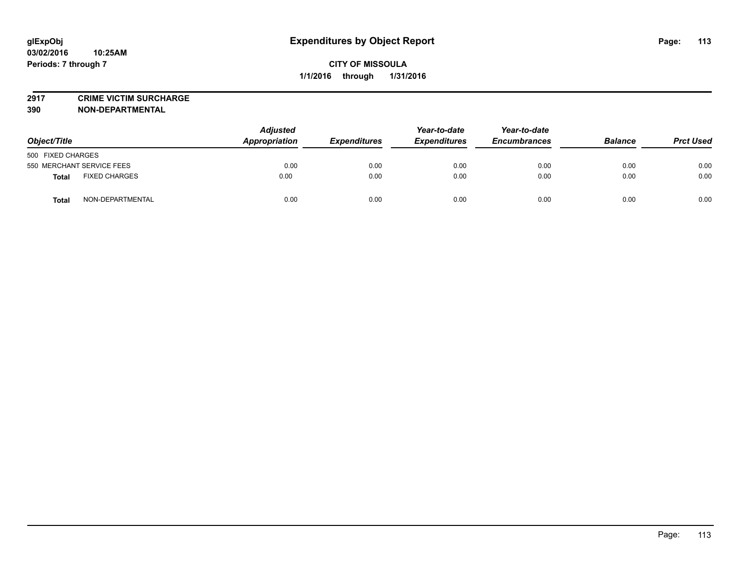**2917 CRIME VICTIM SURCHARGE**

**390 NON-DEPARTMENTAL**

| Object/Title                     | <b>Adjusted</b><br><b>Appropriation</b> | <b>Expenditures</b> | Year-to-date<br><b>Expenditures</b> | Year-to-date<br><b>Encumbrances</b> | <b>Balance</b> | <b>Prct Used</b> |
|----------------------------------|-----------------------------------------|---------------------|-------------------------------------|-------------------------------------|----------------|------------------|
| 500 FIXED CHARGES                |                                         |                     |                                     |                                     |                |                  |
| 550 MERCHANT SERVICE FEES        | 0.00                                    | 0.00                | 0.00                                | 0.00                                | 0.00           | 0.00             |
| <b>FIXED CHARGES</b><br>Total    | 0.00                                    | 0.00                | 0.00                                | 0.00                                | 0.00           | 0.00             |
| NON-DEPARTMENTAL<br><b>Total</b> | 0.00                                    | 0.00                | 0.00                                | 0.00                                | 0.00           | 0.00             |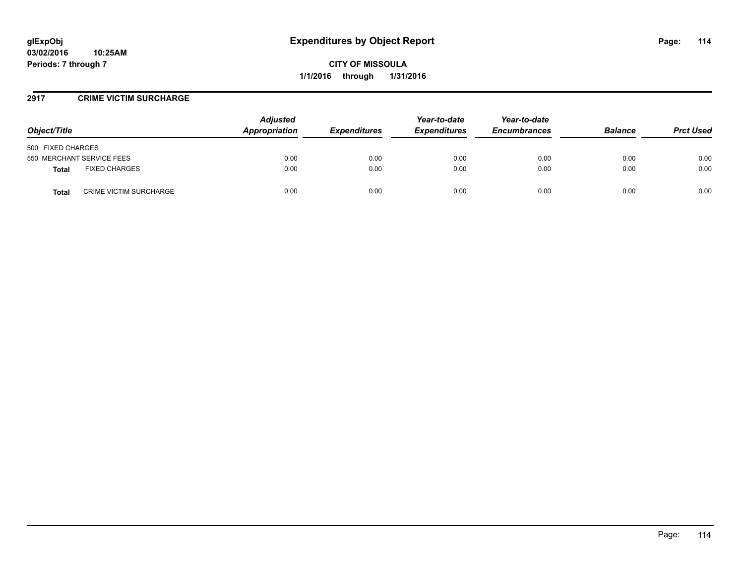### **2917 CRIME VICTIM SURCHARGE**

| Object/Title                           | <b>Adjusted</b><br>Appropriation | <b>Expenditures</b> | Year-to-date<br><b>Expenditures</b> | Year-to-date<br><b>Encumbrances</b> | <b>Balance</b> | <b>Prct Used</b> |
|----------------------------------------|----------------------------------|---------------------|-------------------------------------|-------------------------------------|----------------|------------------|
| 500 FIXED CHARGES                      |                                  |                     |                                     |                                     |                |                  |
| 550 MERCHANT SERVICE FEES              | 0.00                             | 0.00                | 0.00                                | 0.00                                | 0.00           | 0.00             |
| <b>FIXED CHARGES</b><br><b>Total</b>   | 0.00                             | 0.00                | 0.00                                | 0.00                                | 0.00           | 0.00             |
| <b>CRIME VICTIM SURCHARGE</b><br>Total | 0.00                             | 0.00                | 0.00                                | 0.00                                | 0.00           | 0.00             |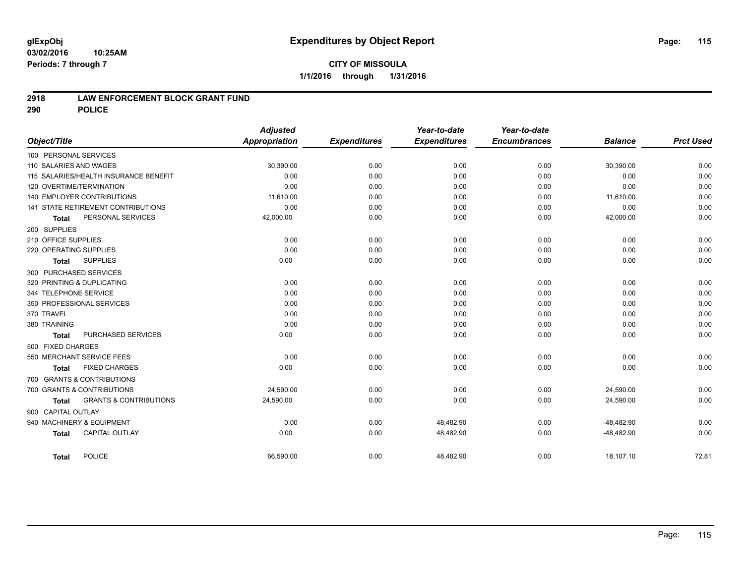#### **03/02/2016 10:25AM Periods: 7 through 7**

### **2918 LAW ENFORCEMENT BLOCK GRANT FUND**

**290 POLICE**

| <b>Adjusted</b> |                     | Year-to-date        | Year-to-date        |                |                           |
|-----------------|---------------------|---------------------|---------------------|----------------|---------------------------|
| Appropriation   | <b>Expenditures</b> | <b>Expenditures</b> | <b>Encumbrances</b> | <b>Balance</b> | <b>Prct Used</b>          |
|                 |                     |                     |                     |                |                           |
| 30,390.00       | 0.00                | 0.00                | 0.00                | 30,390.00      | 0.00                      |
| 0.00            | 0.00                | 0.00                | 0.00                | 0.00           | 0.00                      |
| 0.00            | 0.00                | 0.00                | 0.00                | 0.00           | 0.00                      |
| 11,610.00       | 0.00                | 0.00                | 0.00                | 11,610.00      | 0.00                      |
| 0.00            | 0.00                | 0.00                | 0.00                | 0.00           | 0.00                      |
| 42,000.00       | 0.00                | 0.00                | 0.00                | 42,000.00      | 0.00                      |
|                 |                     |                     |                     |                |                           |
| 0.00            | 0.00                | 0.00                | 0.00                | 0.00           | 0.00                      |
| 0.00            | 0.00                | 0.00                | 0.00                | 0.00           | 0.00                      |
| 0.00            | 0.00                | 0.00                | 0.00                | 0.00           | 0.00                      |
|                 |                     |                     |                     |                |                           |
| 0.00            | 0.00                | 0.00                | 0.00                | 0.00           | 0.00                      |
| 0.00            | 0.00                | 0.00                | 0.00                | 0.00           | 0.00                      |
| 0.00            | 0.00                | 0.00                | 0.00                | 0.00           | 0.00                      |
| 0.00            | 0.00                | 0.00                | 0.00                | 0.00           | 0.00                      |
| 0.00            | 0.00                | 0.00                | 0.00                | 0.00           | 0.00                      |
| 0.00            | 0.00                | 0.00                | 0.00                | 0.00           | 0.00                      |
|                 |                     |                     |                     |                |                           |
| 0.00            | 0.00                | 0.00                | 0.00                | 0.00           | 0.00                      |
| 0.00            | 0.00                | 0.00                | 0.00                | 0.00           | 0.00                      |
|                 |                     |                     |                     |                |                           |
| 24,590.00       | 0.00                | 0.00                | 0.00                | 24,590.00      | 0.00                      |
| 24,590.00       | 0.00                | 0.00                | 0.00                | 24,590.00      | 0.00                      |
|                 |                     |                     |                     |                |                           |
| 0.00            |                     | 48,482.90           | 0.00                |                | 0.00                      |
| 0.00            | 0.00                | 48,482.90           | 0.00                | $-48,482.90$   | 0.00                      |
|                 |                     |                     |                     |                | 72.81                     |
|                 | 66,590.00           | 0.00<br>0.00        | 48,482.90           | 0.00           | $-48,482.90$<br>18,107.10 |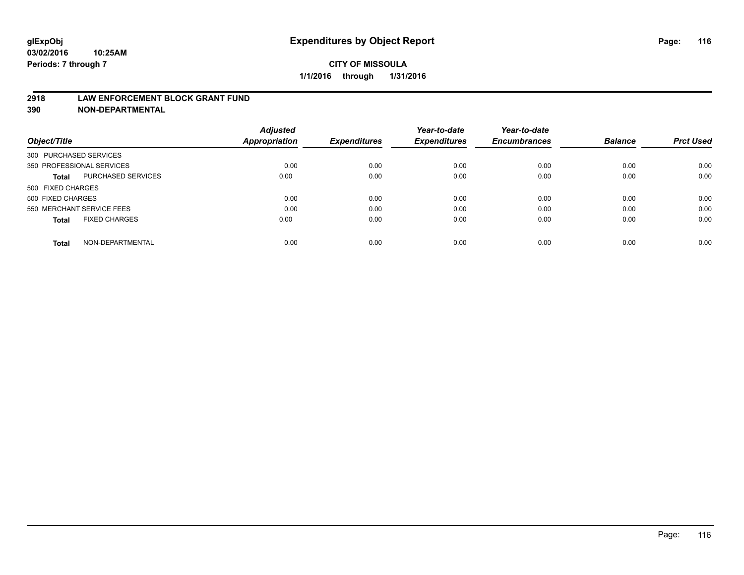#### **2918 LAW ENFORCEMENT BLOCK GRANT FUND**

**390 NON-DEPARTMENTAL**

|                                      | <b>Adjusted</b> |                     | Year-to-date        | Year-to-date        |                |                  |
|--------------------------------------|-----------------|---------------------|---------------------|---------------------|----------------|------------------|
| Object/Title                         | Appropriation   | <b>Expenditures</b> | <b>Expenditures</b> | <b>Encumbrances</b> | <b>Balance</b> | <b>Prct Used</b> |
| 300 PURCHASED SERVICES               |                 |                     |                     |                     |                |                  |
| 350 PROFESSIONAL SERVICES            | 0.00            | 0.00                | 0.00                | 0.00                | 0.00           | 0.00             |
| PURCHASED SERVICES<br><b>Total</b>   | 0.00            | 0.00                | 0.00                | 0.00                | 0.00           | 0.00             |
| 500 FIXED CHARGES                    |                 |                     |                     |                     |                |                  |
| 500 FIXED CHARGES                    | 0.00            | 0.00                | 0.00                | 0.00                | 0.00           | 0.00             |
| 550 MERCHANT SERVICE FEES            | 0.00            | 0.00                | 0.00                | 0.00                | 0.00           | 0.00             |
| <b>FIXED CHARGES</b><br><b>Total</b> | 0.00            | 0.00                | 0.00                | 0.00                | 0.00           | 0.00             |
| NON-DEPARTMENTAL<br><b>Total</b>     | 0.00            | 0.00                | 0.00                | 0.00                | 0.00           | 0.00             |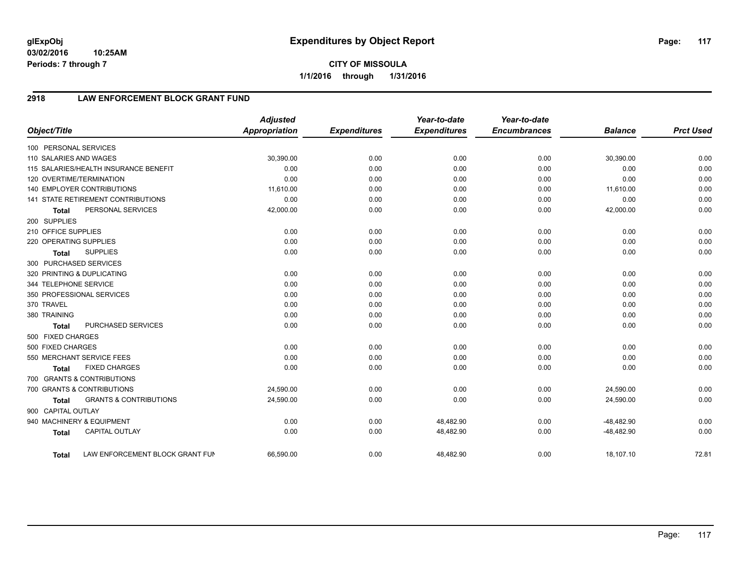**03/02/2016 10:25AM Periods: 7 through 7**

# **2918 LAW ENFORCEMENT BLOCK GRANT FUND**

| Object/Title           |                                           | <b>Adjusted</b><br><b>Appropriation</b> | <b>Expenditures</b> | Year-to-date<br><b>Expenditures</b> | Year-to-date<br><b>Encumbrances</b> | <b>Balance</b> | <b>Prct Used</b> |
|------------------------|-------------------------------------------|-----------------------------------------|---------------------|-------------------------------------|-------------------------------------|----------------|------------------|
| 100 PERSONAL SERVICES  |                                           |                                         |                     |                                     |                                     |                |                  |
| 110 SALARIES AND WAGES |                                           | 30,390.00                               | 0.00                | 0.00                                | 0.00                                | 30,390.00      | 0.00             |
|                        | 115 SALARIES/HEALTH INSURANCE BENEFIT     | 0.00                                    | 0.00                | 0.00                                | 0.00                                | 0.00           | 0.00             |
|                        | 120 OVERTIME/TERMINATION                  | 0.00                                    | 0.00                | 0.00                                | 0.00                                | 0.00           | 0.00             |
|                        | 140 EMPLOYER CONTRIBUTIONS                | 11,610.00                               | 0.00                | 0.00                                | 0.00                                | 11,610.00      | 0.00             |
|                        | <b>141 STATE RETIREMENT CONTRIBUTIONS</b> | 0.00                                    | 0.00                | 0.00                                | 0.00                                | 0.00           | 0.00             |
| <b>Total</b>           | PERSONAL SERVICES                         | 42,000.00                               | 0.00                | 0.00                                | 0.00                                | 42,000.00      | 0.00             |
| 200 SUPPLIES           |                                           |                                         |                     |                                     |                                     |                |                  |
| 210 OFFICE SUPPLIES    |                                           | 0.00                                    | 0.00                | 0.00                                | 0.00                                | 0.00           | 0.00             |
| 220 OPERATING SUPPLIES |                                           | 0.00                                    | 0.00                | 0.00                                | 0.00                                | 0.00           | 0.00             |
| <b>Total</b>           | <b>SUPPLIES</b>                           | 0.00                                    | 0.00                | 0.00                                | 0.00                                | 0.00           | 0.00             |
| 300 PURCHASED SERVICES |                                           |                                         |                     |                                     |                                     |                |                  |
|                        | 320 PRINTING & DUPLICATING                | 0.00                                    | 0.00                | 0.00                                | 0.00                                | 0.00           | 0.00             |
| 344 TELEPHONE SERVICE  |                                           | 0.00                                    | 0.00                | 0.00                                | 0.00                                | 0.00           | 0.00             |
|                        | 350 PROFESSIONAL SERVICES                 | 0.00                                    | 0.00                | 0.00                                | 0.00                                | 0.00           | 0.00             |
| 370 TRAVEL             |                                           | 0.00                                    | 0.00                | 0.00                                | 0.00                                | 0.00           | 0.00             |
| 380 TRAINING           |                                           | 0.00                                    | 0.00                | 0.00                                | 0.00                                | 0.00           | 0.00             |
| <b>Total</b>           | <b>PURCHASED SERVICES</b>                 | 0.00                                    | 0.00                | 0.00                                | 0.00                                | 0.00           | 0.00             |
| 500 FIXED CHARGES      |                                           |                                         |                     |                                     |                                     |                |                  |
| 500 FIXED CHARGES      |                                           | 0.00                                    | 0.00                | 0.00                                | 0.00                                | 0.00           | 0.00             |
|                        | 550 MERCHANT SERVICE FEES                 | 0.00                                    | 0.00                | 0.00                                | 0.00                                | 0.00           | 0.00             |
| <b>Total</b>           | <b>FIXED CHARGES</b>                      | 0.00                                    | 0.00                | 0.00                                | 0.00                                | 0.00           | 0.00             |
|                        | 700 GRANTS & CONTRIBUTIONS                |                                         |                     |                                     |                                     |                |                  |
|                        | 700 GRANTS & CONTRIBUTIONS                | 24,590.00                               | 0.00                | 0.00                                | 0.00                                | 24,590.00      | 0.00             |
| <b>Total</b>           | <b>GRANTS &amp; CONTRIBUTIONS</b>         | 24,590.00                               | 0.00                | 0.00                                | 0.00                                | 24,590.00      | 0.00             |
| 900 CAPITAL OUTLAY     |                                           |                                         |                     |                                     |                                     |                |                  |
|                        | 940 MACHINERY & EQUIPMENT                 | 0.00                                    | 0.00                | 48,482.90                           | 0.00                                | $-48,482.90$   | 0.00             |
| <b>Total</b>           | <b>CAPITAL OUTLAY</b>                     | 0.00                                    | 0.00                | 48,482.90                           | 0.00                                | $-48,482.90$   | 0.00             |
| <b>Total</b>           | LAW ENFORCEMENT BLOCK GRANT FUN           | 66,590.00                               | 0.00                | 48,482.90                           | 0.00                                | 18,107.10      | 72.81            |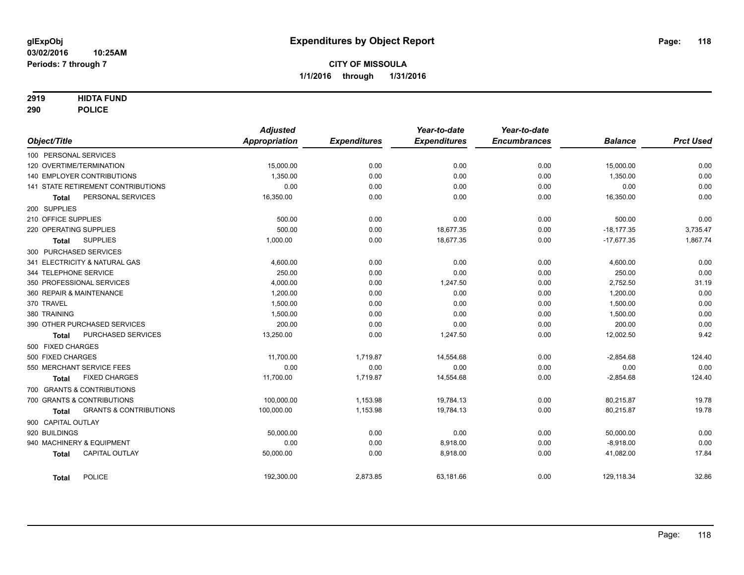### **2919 HIDTA FUND**

**290 POLICE**

|                                                   | <b>Adjusted</b> |                     | Year-to-date        | Year-to-date        |                |                  |
|---------------------------------------------------|-----------------|---------------------|---------------------|---------------------|----------------|------------------|
| Object/Title                                      | Appropriation   | <b>Expenditures</b> | <b>Expenditures</b> | <b>Encumbrances</b> | <b>Balance</b> | <b>Prct Used</b> |
| 100 PERSONAL SERVICES                             |                 |                     |                     |                     |                |                  |
| 120 OVERTIME/TERMINATION                          | 15,000.00       | 0.00                | 0.00                | 0.00                | 15,000.00      | 0.00             |
| 140 EMPLOYER CONTRIBUTIONS                        | 1,350.00        | 0.00                | 0.00                | 0.00                | 1,350.00       | 0.00             |
| 141 STATE RETIREMENT CONTRIBUTIONS                | 0.00            | 0.00                | 0.00                | 0.00                | 0.00           | 0.00             |
| PERSONAL SERVICES<br><b>Total</b>                 | 16,350.00       | 0.00                | 0.00                | 0.00                | 16,350.00      | 0.00             |
| 200 SUPPLIES                                      |                 |                     |                     |                     |                |                  |
| 210 OFFICE SUPPLIES                               | 500.00          | 0.00                | 0.00                | 0.00                | 500.00         | 0.00             |
| 220 OPERATING SUPPLIES                            | 500.00          | 0.00                | 18,677.35           | 0.00                | $-18,177.35$   | 3,735.47         |
| <b>SUPPLIES</b><br><b>Total</b>                   | 1,000.00        | 0.00                | 18,677.35           | 0.00                | $-17,677.35$   | 1,867.74         |
| 300 PURCHASED SERVICES                            |                 |                     |                     |                     |                |                  |
| 341 ELECTRICITY & NATURAL GAS                     | 4,600.00        | 0.00                | 0.00                | 0.00                | 4,600.00       | 0.00             |
| 344 TELEPHONE SERVICE                             | 250.00          | 0.00                | 0.00                | 0.00                | 250.00         | 0.00             |
| 350 PROFESSIONAL SERVICES                         | 4,000.00        | 0.00                | 1,247.50            | 0.00                | 2,752.50       | 31.19            |
| 360 REPAIR & MAINTENANCE                          | 1,200.00        | 0.00                | 0.00                | 0.00                | 1,200.00       | 0.00             |
| 370 TRAVEL                                        | 1.500.00        | 0.00                | 0.00                | 0.00                | 1,500.00       | 0.00             |
| 380 TRAINING                                      | 1,500.00        | 0.00                | 0.00                | 0.00                | 1,500.00       | 0.00             |
| 390 OTHER PURCHASED SERVICES                      | 200.00          | 0.00                | 0.00                | 0.00                | 200.00         | 0.00             |
| <b>PURCHASED SERVICES</b><br><b>Total</b>         | 13,250.00       | 0.00                | 1,247.50            | 0.00                | 12,002.50      | 9.42             |
| 500 FIXED CHARGES                                 |                 |                     |                     |                     |                |                  |
| 500 FIXED CHARGES                                 | 11,700.00       | 1,719.87            | 14,554.68           | 0.00                | $-2,854.68$    | 124.40           |
| 550 MERCHANT SERVICE FEES                         | 0.00            | 0.00                | 0.00                | 0.00                | 0.00           | 0.00             |
| <b>FIXED CHARGES</b><br>Total                     | 11,700.00       | 1,719.87            | 14,554.68           | 0.00                | $-2,854.68$    | 124.40           |
| 700 GRANTS & CONTRIBUTIONS                        |                 |                     |                     |                     |                |                  |
| 700 GRANTS & CONTRIBUTIONS                        | 100,000.00      | 1,153.98            | 19,784.13           | 0.00                | 80,215.87      | 19.78            |
| <b>GRANTS &amp; CONTRIBUTIONS</b><br><b>Total</b> | 100,000.00      | 1,153.98            | 19,784.13           | 0.00                | 80,215.87      | 19.78            |
| 900 CAPITAL OUTLAY                                |                 |                     |                     |                     |                |                  |
| 920 BUILDINGS                                     | 50,000.00       | 0.00                | 0.00                | 0.00                | 50,000.00      | 0.00             |
| 940 MACHINERY & EQUIPMENT                         | 0.00            | 0.00                | 8,918.00            | 0.00                | $-8,918.00$    | 0.00             |
| <b>CAPITAL OUTLAY</b><br><b>Total</b>             | 50,000.00       | 0.00                | 8,918.00            | 0.00                | 41,082.00      | 17.84            |
| <b>POLICE</b><br><b>Total</b>                     | 192,300.00      | 2,873.85            | 63,181.66           | 0.00                | 129,118.34     | 32.86            |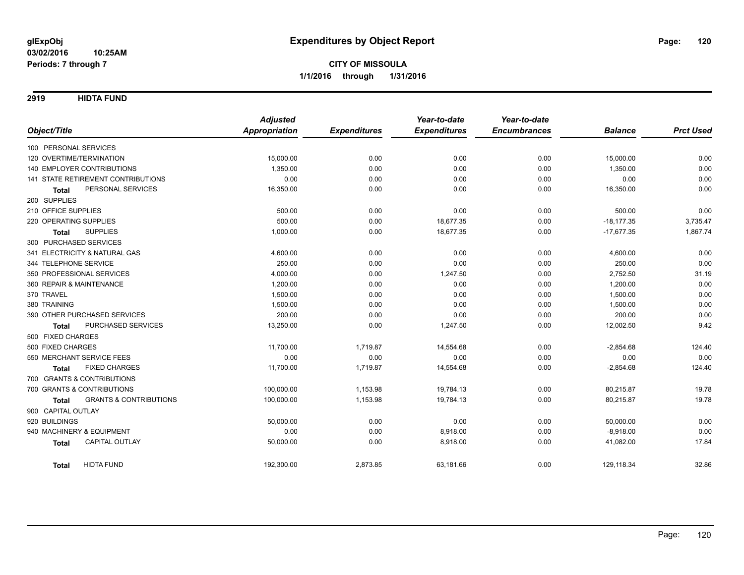**2919 HIDTA FUND**

|                                                   | <b>Adjusted</b>      |                     | Year-to-date        | Year-to-date        |                |                  |
|---------------------------------------------------|----------------------|---------------------|---------------------|---------------------|----------------|------------------|
| Object/Title                                      | <b>Appropriation</b> | <b>Expenditures</b> | <b>Expenditures</b> | <b>Encumbrances</b> | <b>Balance</b> | <b>Prct Used</b> |
| 100 PERSONAL SERVICES                             |                      |                     |                     |                     |                |                  |
| 120 OVERTIME/TERMINATION                          | 15,000.00            | 0.00                | 0.00                | 0.00                | 15,000.00      | 0.00             |
| <b>140 EMPLOYER CONTRIBUTIONS</b>                 | 1.350.00             | 0.00                | 0.00                | 0.00                | 1,350.00       | 0.00             |
| 141 STATE RETIREMENT CONTRIBUTIONS                | 0.00                 | 0.00                | 0.00                | 0.00                | 0.00           | 0.00             |
| PERSONAL SERVICES<br><b>Total</b>                 | 16,350.00            | 0.00                | 0.00                | 0.00                | 16,350.00      | 0.00             |
| 200 SUPPLIES                                      |                      |                     |                     |                     |                |                  |
| 210 OFFICE SUPPLIES                               | 500.00               | 0.00                | 0.00                | 0.00                | 500.00         | 0.00             |
| 220 OPERATING SUPPLIES                            | 500.00               | 0.00                | 18,677.35           | 0.00                | $-18,177.35$   | 3,735.47         |
| <b>SUPPLIES</b><br><b>Total</b>                   | 1,000.00             | 0.00                | 18,677.35           | 0.00                | $-17,677.35$   | 1,867.74         |
| 300 PURCHASED SERVICES                            |                      |                     |                     |                     |                |                  |
| 341 ELECTRICITY & NATURAL GAS                     | 4,600.00             | 0.00                | 0.00                | 0.00                | 4,600.00       | 0.00             |
| 344 TELEPHONE SERVICE                             | 250.00               | 0.00                | 0.00                | 0.00                | 250.00         | 0.00             |
| 350 PROFESSIONAL SERVICES                         | 4,000.00             | 0.00                | 1,247.50            | 0.00                | 2,752.50       | 31.19            |
| 360 REPAIR & MAINTENANCE                          | 1,200.00             | 0.00                | 0.00                | 0.00                | 1,200.00       | 0.00             |
| 370 TRAVEL                                        | 1,500.00             | 0.00                | 0.00                | 0.00                | 1,500.00       | 0.00             |
| 380 TRAINING                                      | 1,500.00             | 0.00                | 0.00                | 0.00                | 1,500.00       | 0.00             |
| 390 OTHER PURCHASED SERVICES                      | 200.00               | 0.00                | 0.00                | 0.00                | 200.00         | 0.00             |
| PURCHASED SERVICES<br><b>Total</b>                | 13,250.00            | 0.00                | 1,247.50            | 0.00                | 12,002.50      | 9.42             |
| 500 FIXED CHARGES                                 |                      |                     |                     |                     |                |                  |
| 500 FIXED CHARGES                                 | 11,700.00            | 1,719.87            | 14,554.68           | 0.00                | $-2,854.68$    | 124.40           |
| 550 MERCHANT SERVICE FEES                         | 0.00                 | 0.00                | 0.00                | 0.00                | 0.00           | 0.00             |
| <b>FIXED CHARGES</b><br><b>Total</b>              | 11,700.00            | 1,719.87            | 14,554.68           | 0.00                | $-2,854.68$    | 124.40           |
| 700 GRANTS & CONTRIBUTIONS                        |                      |                     |                     |                     |                |                  |
| 700 GRANTS & CONTRIBUTIONS                        | 100,000.00           | 1,153.98            | 19,784.13           | 0.00                | 80,215.87      | 19.78            |
| <b>GRANTS &amp; CONTRIBUTIONS</b><br><b>Total</b> | 100,000.00           | 1,153.98            | 19,784.13           | 0.00                | 80,215.87      | 19.78            |
| 900 CAPITAL OUTLAY                                |                      |                     |                     |                     |                |                  |
| 920 BUILDINGS                                     | 50,000.00            | 0.00                | 0.00                | 0.00                | 50,000.00      | 0.00             |
| 940 MACHINERY & EQUIPMENT                         | 0.00                 | 0.00                | 8,918.00            | 0.00                | $-8,918.00$    | 0.00             |
| CAPITAL OUTLAY<br><b>Total</b>                    | 50,000.00            | 0.00                | 8,918.00            | 0.00                | 41,082.00      | 17.84            |
| <b>HIDTA FUND</b><br>Total                        | 192,300.00           | 2,873.85            | 63,181.66           | 0.00                | 129,118.34     | 32.86            |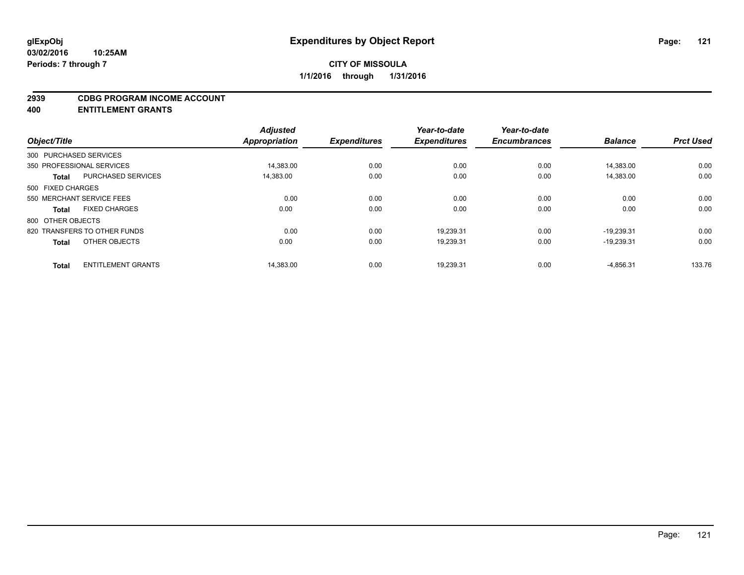#### **2939 CDBG PROGRAM INCOME ACCOUNT**

**400 ENTITLEMENT GRANTS**

| Object/Title           |                              | <b>Adjusted</b><br>Appropriation | <b>Expenditures</b> | Year-to-date<br><b>Expenditures</b> | Year-to-date<br><b>Encumbrances</b> | <b>Balance</b> | <b>Prct Used</b> |
|------------------------|------------------------------|----------------------------------|---------------------|-------------------------------------|-------------------------------------|----------------|------------------|
|                        |                              |                                  |                     |                                     |                                     |                |                  |
| 300 PURCHASED SERVICES |                              |                                  |                     |                                     |                                     |                |                  |
|                        | 350 PROFESSIONAL SERVICES    | 14,383.00                        | 0.00                | 0.00                                | 0.00                                | 14,383.00      | 0.00             |
| <b>Total</b>           | <b>PURCHASED SERVICES</b>    | 14.383.00                        | 0.00                | 0.00                                | 0.00                                | 14,383.00      | 0.00             |
| 500 FIXED CHARGES      |                              |                                  |                     |                                     |                                     |                |                  |
|                        | 550 MERCHANT SERVICE FEES    | 0.00                             | 0.00                | 0.00                                | 0.00                                | 0.00           | 0.00             |
| <b>Total</b>           | <b>FIXED CHARGES</b>         | 0.00                             | 0.00                | 0.00                                | 0.00                                | 0.00           | 0.00             |
| 800 OTHER OBJECTS      |                              |                                  |                     |                                     |                                     |                |                  |
|                        | 820 TRANSFERS TO OTHER FUNDS | 0.00                             | 0.00                | 19.239.31                           | 0.00                                | $-19.239.31$   | 0.00             |
| <b>Total</b>           | OTHER OBJECTS                | 0.00                             | 0.00                | 19,239.31                           | 0.00                                | $-19,239.31$   | 0.00             |
|                        | <b>ENTITLEMENT GRANTS</b>    | 14,383.00                        | 0.00                | 19,239.31                           | 0.00                                | $-4,856.31$    | 133.76           |
| <b>Total</b>           |                              |                                  |                     |                                     |                                     |                |                  |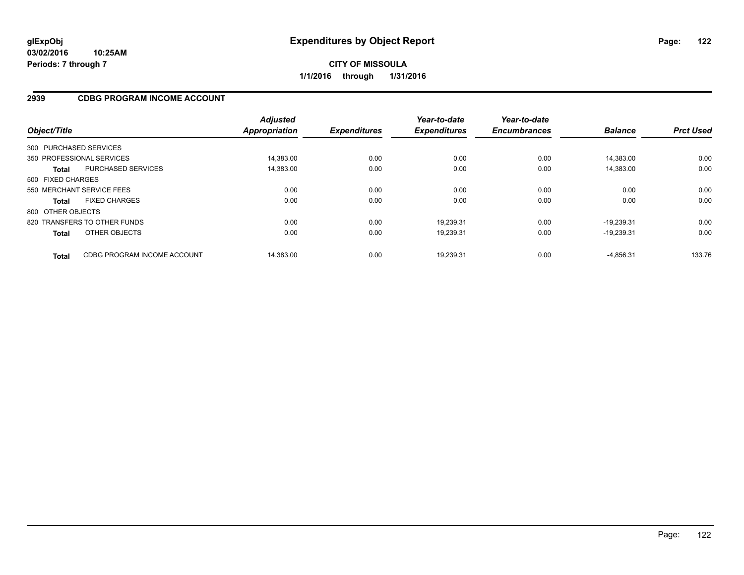## **2939 CDBG PROGRAM INCOME ACCOUNT**

| Object/Title           |                              | <b>Adjusted</b><br>Appropriation | <b>Expenditures</b> | Year-to-date<br><b>Expenditures</b> | Year-to-date<br><b>Encumbrances</b> | <b>Balance</b> | <b>Prct Used</b> |
|------------------------|------------------------------|----------------------------------|---------------------|-------------------------------------|-------------------------------------|----------------|------------------|
| 300 PURCHASED SERVICES |                              |                                  |                     |                                     |                                     |                |                  |
|                        | 350 PROFESSIONAL SERVICES    | 14.383.00                        | 0.00                | 0.00                                | 0.00                                | 14.383.00      | 0.00             |
| <b>Total</b>           | <b>PURCHASED SERVICES</b>    | 14,383.00                        | 0.00                | 0.00                                | 0.00                                | 14,383.00      | 0.00             |
| 500 FIXED CHARGES      |                              |                                  |                     |                                     |                                     |                |                  |
|                        | 550 MERCHANT SERVICE FEES    | 0.00                             | 0.00                | 0.00                                | 0.00                                | 0.00           | 0.00             |
| <b>Total</b>           | <b>FIXED CHARGES</b>         | 0.00                             | 0.00                | 0.00                                | 0.00                                | 0.00           | 0.00             |
| 800 OTHER OBJECTS      |                              |                                  |                     |                                     |                                     |                |                  |
|                        | 820 TRANSFERS TO OTHER FUNDS | 0.00                             | 0.00                | 19,239.31                           | 0.00                                | $-19.239.31$   | 0.00             |
| <b>Total</b>           | OTHER OBJECTS                | 0.00                             | 0.00                | 19,239.31                           | 0.00                                | $-19.239.31$   | 0.00             |
| <b>Total</b>           | CDBG PROGRAM INCOME ACCOUNT  | 14.383.00                        | 0.00                | 19.239.31                           | 0.00                                | $-4.856.31$    | 133.76           |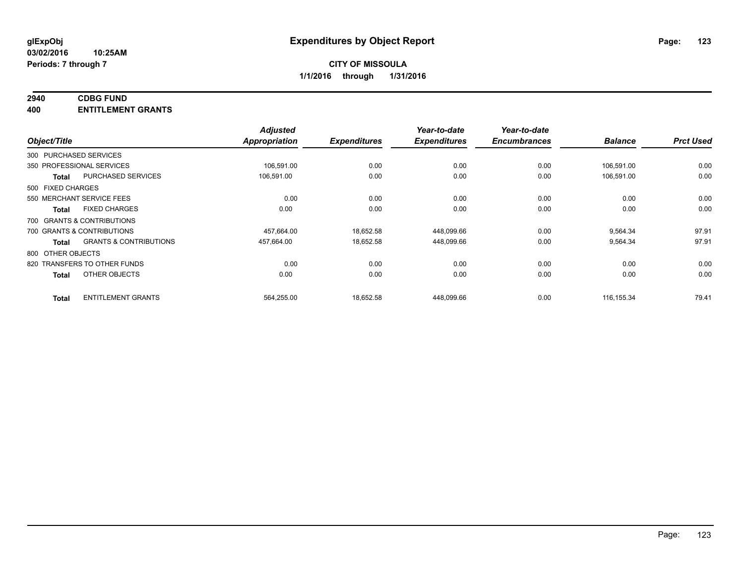## **2940 CDBG FUND**

**400 ENTITLEMENT GRANTS**

| Object/Title                 |                                   | <b>Adjusted</b><br>Appropriation | <b>Expenditures</b> | Year-to-date<br><b>Expenditures</b> | Year-to-date<br><b>Encumbrances</b> | <b>Balance</b> | <b>Prct Used</b> |
|------------------------------|-----------------------------------|----------------------------------|---------------------|-------------------------------------|-------------------------------------|----------------|------------------|
| 300 PURCHASED SERVICES       |                                   |                                  |                     |                                     |                                     |                |                  |
| 350 PROFESSIONAL SERVICES    |                                   | 106,591.00                       | 0.00                | 0.00                                | 0.00                                | 106,591.00     | 0.00             |
| <b>Total</b>                 | PURCHASED SERVICES                | 106,591.00                       | 0.00                | 0.00                                | 0.00                                | 106,591.00     | 0.00             |
| 500 FIXED CHARGES            |                                   |                                  |                     |                                     |                                     |                |                  |
| 550 MERCHANT SERVICE FEES    |                                   | 0.00                             | 0.00                | 0.00                                | 0.00                                | 0.00           | 0.00             |
| <b>Total</b>                 | <b>FIXED CHARGES</b>              | 0.00                             | 0.00                | 0.00                                | 0.00                                | 0.00           | 0.00             |
| 700 GRANTS & CONTRIBUTIONS   |                                   |                                  |                     |                                     |                                     |                |                  |
| 700 GRANTS & CONTRIBUTIONS   |                                   | 457,664.00                       | 18,652.58           | 448,099.66                          | 0.00                                | 9,564.34       | 97.91            |
| <b>Total</b>                 | <b>GRANTS &amp; CONTRIBUTIONS</b> | 457,664.00                       | 18,652.58           | 448,099.66                          | 0.00                                | 9,564.34       | 97.91            |
| 800 OTHER OBJECTS            |                                   |                                  |                     |                                     |                                     |                |                  |
| 820 TRANSFERS TO OTHER FUNDS |                                   | 0.00                             | 0.00                | 0.00                                | 0.00                                | 0.00           | 0.00             |
| <b>Total</b>                 | OTHER OBJECTS                     | 0.00                             | 0.00                | 0.00                                | 0.00                                | 0.00           | 0.00             |
| <b>Total</b>                 | <b>ENTITLEMENT GRANTS</b>         | 564,255.00                       | 18,652.58           | 448,099.66                          | 0.00                                | 116, 155.34    | 79.41            |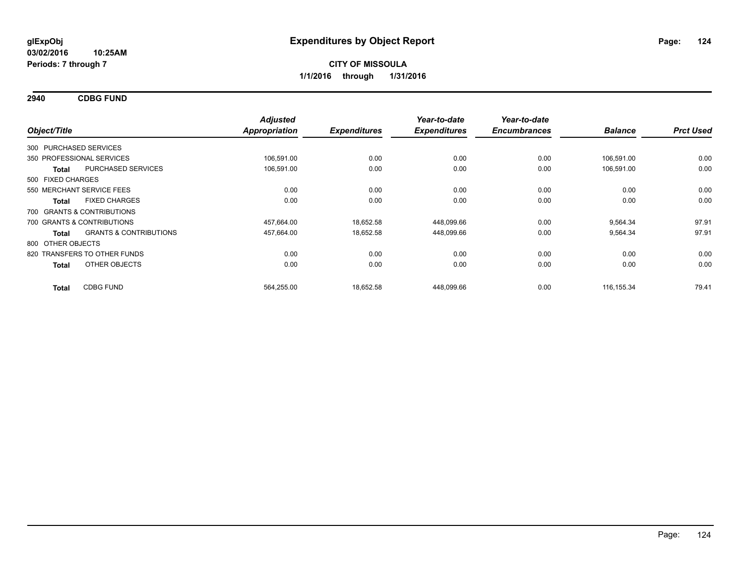**2940 CDBG FUND**

| Object/Title                 |                                   | <b>Adjusted</b><br><b>Appropriation</b> | <b>Expenditures</b> | Year-to-date<br><b>Expenditures</b> | Year-to-date<br><b>Encumbrances</b> | <b>Balance</b> | <b>Prct Used</b> |
|------------------------------|-----------------------------------|-----------------------------------------|---------------------|-------------------------------------|-------------------------------------|----------------|------------------|
| 300 PURCHASED SERVICES       |                                   |                                         |                     |                                     |                                     |                |                  |
| 350 PROFESSIONAL SERVICES    |                                   | 106.591.00                              | 0.00                | 0.00                                | 0.00                                | 106.591.00     | 0.00             |
| <b>Total</b>                 | PURCHASED SERVICES                | 106,591.00                              | 0.00                | 0.00                                | 0.00                                | 106,591.00     | 0.00             |
| 500 FIXED CHARGES            |                                   |                                         |                     |                                     |                                     |                |                  |
| 550 MERCHANT SERVICE FEES    |                                   | 0.00                                    | 0.00                | 0.00                                | 0.00                                | 0.00           | 0.00             |
| <b>Total</b>                 | <b>FIXED CHARGES</b>              | 0.00                                    | 0.00                | 0.00                                | 0.00                                | 0.00           | 0.00             |
| 700 GRANTS & CONTRIBUTIONS   |                                   |                                         |                     |                                     |                                     |                |                  |
| 700 GRANTS & CONTRIBUTIONS   |                                   | 457,664.00                              | 18,652.58           | 448,099.66                          | 0.00                                | 9,564.34       | 97.91            |
| <b>Total</b>                 | <b>GRANTS &amp; CONTRIBUTIONS</b> | 457,664.00                              | 18,652.58           | 448,099.66                          | 0.00                                | 9,564.34       | 97.91            |
| 800 OTHER OBJECTS            |                                   |                                         |                     |                                     |                                     |                |                  |
| 820 TRANSFERS TO OTHER FUNDS |                                   | 0.00                                    | 0.00                | 0.00                                | 0.00                                | 0.00           | 0.00             |
| <b>Total</b>                 | OTHER OBJECTS                     | 0.00                                    | 0.00                | 0.00                                | 0.00                                | 0.00           | 0.00             |
| <b>Total</b>                 | <b>CDBG FUND</b>                  | 564,255.00                              | 18,652.58           | 448,099.66                          | 0.00                                | 116, 155.34    | 79.41            |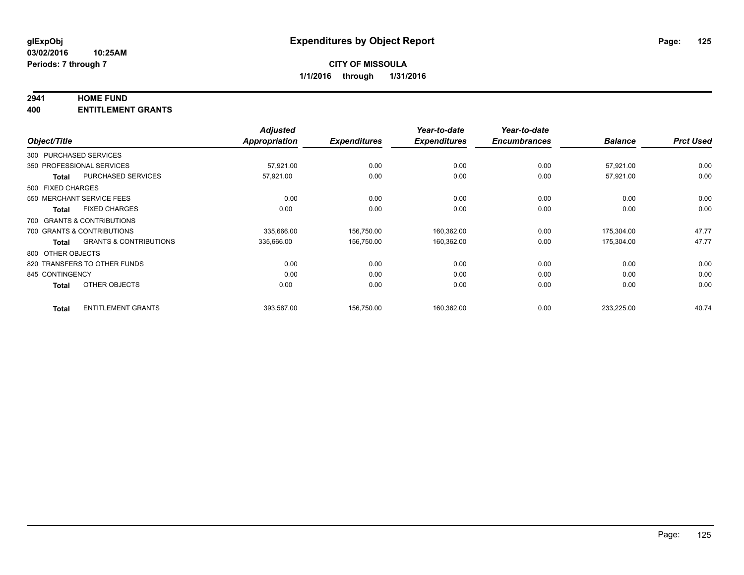### **2941 HOME FUND**

**400 ENTITLEMENT GRANTS**

| Object/Title      |                                   | <b>Adjusted</b><br><b>Appropriation</b> | <b>Expenditures</b> | Year-to-date<br><b>Expenditures</b> | Year-to-date<br><b>Encumbrances</b> | <b>Balance</b> | <b>Prct Used</b> |
|-------------------|-----------------------------------|-----------------------------------------|---------------------|-------------------------------------|-------------------------------------|----------------|------------------|
|                   | 300 PURCHASED SERVICES            |                                         |                     |                                     |                                     |                |                  |
|                   | 350 PROFESSIONAL SERVICES         | 57,921.00                               | 0.00                | 0.00                                | 0.00                                | 57,921.00      | 0.00             |
| <b>Total</b>      | <b>PURCHASED SERVICES</b>         | 57,921.00                               | 0.00                | 0.00                                | 0.00                                | 57,921.00      | 0.00             |
| 500 FIXED CHARGES |                                   |                                         |                     |                                     |                                     |                |                  |
|                   | 550 MERCHANT SERVICE FEES         | 0.00                                    | 0.00                | 0.00                                | 0.00                                | 0.00           | 0.00             |
| <b>Total</b>      | <b>FIXED CHARGES</b>              | 0.00                                    | 0.00                | 0.00                                | 0.00                                | 0.00           | 0.00             |
|                   | 700 GRANTS & CONTRIBUTIONS        |                                         |                     |                                     |                                     |                |                  |
|                   | 700 GRANTS & CONTRIBUTIONS        | 335,666.00                              | 156,750.00          | 160,362.00                          | 0.00                                | 175,304.00     | 47.77            |
| <b>Total</b>      | <b>GRANTS &amp; CONTRIBUTIONS</b> | 335,666.00                              | 156,750.00          | 160,362.00                          | 0.00                                | 175,304.00     | 47.77            |
| 800 OTHER OBJECTS |                                   |                                         |                     |                                     |                                     |                |                  |
|                   | 820 TRANSFERS TO OTHER FUNDS      | 0.00                                    | 0.00                | 0.00                                | 0.00                                | 0.00           | 0.00             |
| 845 CONTINGENCY   |                                   | 0.00                                    | 0.00                | 0.00                                | 0.00                                | 0.00           | 0.00             |
| <b>Total</b>      | OTHER OBJECTS                     | 0.00                                    | 0.00                | 0.00                                | 0.00                                | 0.00           | 0.00             |
| <b>Total</b>      | <b>ENTITLEMENT GRANTS</b>         | 393,587.00                              | 156,750.00          | 160,362.00                          | 0.00                                | 233,225.00     | 40.74            |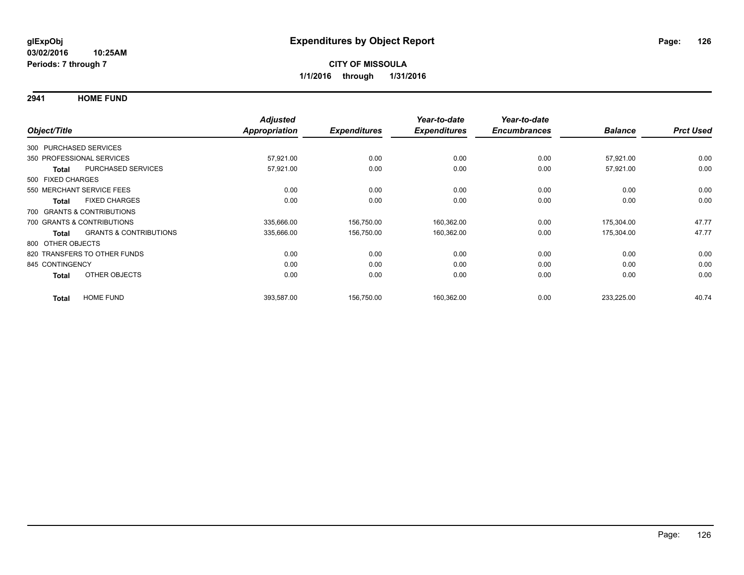**2941 HOME FUND**

|                        |                                   | <b>Adjusted</b>      |                     | Year-to-date        | Year-to-date        |                |                  |
|------------------------|-----------------------------------|----------------------|---------------------|---------------------|---------------------|----------------|------------------|
| Object/Title           |                                   | <b>Appropriation</b> | <b>Expenditures</b> | <b>Expenditures</b> | <b>Encumbrances</b> | <b>Balance</b> | <b>Prct Used</b> |
| 300 PURCHASED SERVICES |                                   |                      |                     |                     |                     |                |                  |
|                        | 350 PROFESSIONAL SERVICES         | 57,921.00            | 0.00                | 0.00                | 0.00                | 57,921.00      | 0.00             |
| Total                  | PURCHASED SERVICES                | 57,921.00            | 0.00                | 0.00                | 0.00                | 57,921.00      | 0.00             |
| 500 FIXED CHARGES      |                                   |                      |                     |                     |                     |                |                  |
|                        | 550 MERCHANT SERVICE FEES         | 0.00                 | 0.00                | 0.00                | 0.00                | 0.00           | 0.00             |
| <b>Total</b>           | <b>FIXED CHARGES</b>              | 0.00                 | 0.00                | 0.00                | 0.00                | 0.00           | 0.00             |
|                        | 700 GRANTS & CONTRIBUTIONS        |                      |                     |                     |                     |                |                  |
|                        | 700 GRANTS & CONTRIBUTIONS        | 335,666.00           | 156,750.00          | 160,362.00          | 0.00                | 175,304.00     | 47.77            |
| <b>Total</b>           | <b>GRANTS &amp; CONTRIBUTIONS</b> | 335,666.00           | 156,750.00          | 160,362.00          | 0.00                | 175,304.00     | 47.77            |
| 800 OTHER OBJECTS      |                                   |                      |                     |                     |                     |                |                  |
|                        | 820 TRANSFERS TO OTHER FUNDS      | 0.00                 | 0.00                | 0.00                | 0.00                | 0.00           | 0.00             |
| 845 CONTINGENCY        |                                   | 0.00                 | 0.00                | 0.00                | 0.00                | 0.00           | 0.00             |
| <b>Total</b>           | OTHER OBJECTS                     | 0.00                 | 0.00                | 0.00                | 0.00                | 0.00           | 0.00             |
| <b>Total</b>           | <b>HOME FUND</b>                  | 393,587.00           | 156,750.00          | 160,362.00          | 0.00                | 233,225.00     | 40.74            |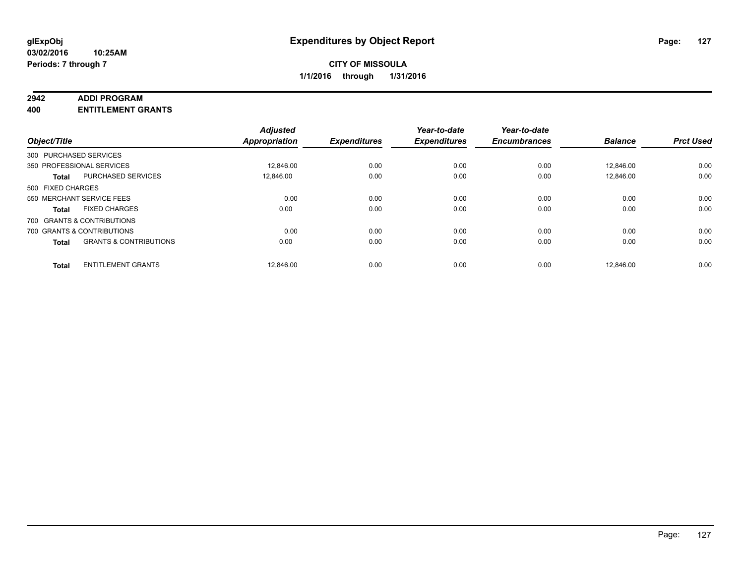#### **2942 ADDI PROGRAM**

**400 ENTITLEMENT GRANTS**

| Object/Title      |                                   | <b>Adjusted</b><br><b>Appropriation</b> | <b>Expenditures</b> | Year-to-date<br><b>Expenditures</b> | Year-to-date<br><b>Encumbrances</b> | <b>Balance</b> | <b>Prct Used</b> |
|-------------------|-----------------------------------|-----------------------------------------|---------------------|-------------------------------------|-------------------------------------|----------------|------------------|
|                   | 300 PURCHASED SERVICES            |                                         |                     |                                     |                                     |                |                  |
|                   | 350 PROFESSIONAL SERVICES         | 12,846.00                               | 0.00                | 0.00                                | 0.00                                | 12,846.00      | 0.00             |
| <b>Total</b>      | <b>PURCHASED SERVICES</b>         | 12.846.00                               | 0.00                | 0.00                                | 0.00                                | 12.846.00      | 0.00             |
| 500 FIXED CHARGES |                                   |                                         |                     |                                     |                                     |                |                  |
|                   | 550 MERCHANT SERVICE FEES         | 0.00                                    | 0.00                | 0.00                                | 0.00                                | 0.00           | 0.00             |
| <b>Total</b>      | <b>FIXED CHARGES</b>              | 0.00                                    | 0.00                | 0.00                                | 0.00                                | 0.00           | 0.00             |
|                   | 700 GRANTS & CONTRIBUTIONS        |                                         |                     |                                     |                                     |                |                  |
|                   | 700 GRANTS & CONTRIBUTIONS        | 0.00                                    | 0.00                | 0.00                                | 0.00                                | 0.00           | 0.00             |
| <b>Total</b>      | <b>GRANTS &amp; CONTRIBUTIONS</b> | 0.00                                    | 0.00                | 0.00                                | 0.00                                | 0.00           | 0.00             |
| <b>Total</b>      | <b>ENTITLEMENT GRANTS</b>         | 12,846.00                               | 0.00                | 0.00                                | 0.00                                | 12.846.00      | 0.00             |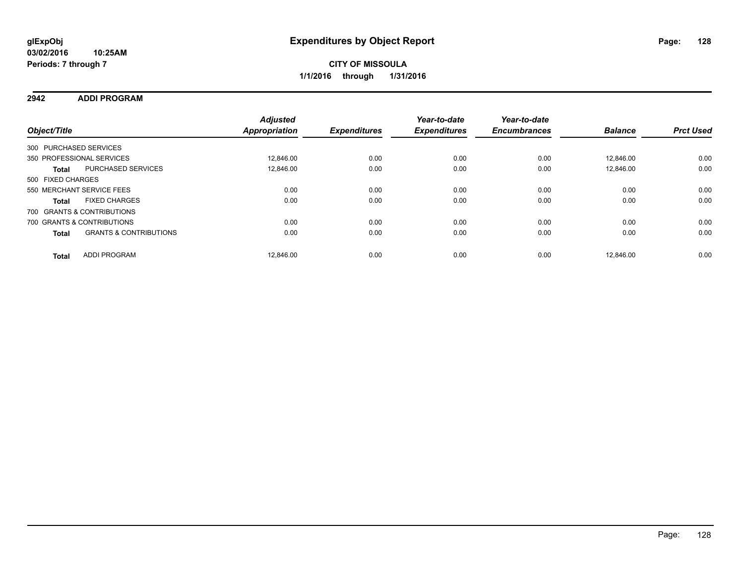### **2942 ADDI PROGRAM**

| Object/Title      |                                   | <b>Adjusted</b><br><b>Appropriation</b> | <b>Expenditures</b> | Year-to-date<br><b>Expenditures</b> | Year-to-date<br><b>Encumbrances</b> | <b>Balance</b> | <b>Prct Used</b> |
|-------------------|-----------------------------------|-----------------------------------------|---------------------|-------------------------------------|-------------------------------------|----------------|------------------|
|                   | 300 PURCHASED SERVICES            |                                         |                     |                                     |                                     |                |                  |
|                   | 350 PROFESSIONAL SERVICES         | 12.846.00                               | 0.00                | 0.00                                | 0.00                                | 12.846.00      | 0.00             |
| <b>Total</b>      | PURCHASED SERVICES                | 12.846.00                               | 0.00                | 0.00                                | 0.00                                | 12.846.00      | 0.00             |
| 500 FIXED CHARGES |                                   |                                         |                     |                                     |                                     |                |                  |
|                   | 550 MERCHANT SERVICE FEES         | 0.00                                    | 0.00                | 0.00                                | 0.00                                | 0.00           | 0.00             |
| <b>Total</b>      | <b>FIXED CHARGES</b>              | 0.00                                    | 0.00                | 0.00                                | 0.00                                | 0.00           | 0.00             |
|                   | 700 GRANTS & CONTRIBUTIONS        |                                         |                     |                                     |                                     |                |                  |
|                   | 700 GRANTS & CONTRIBUTIONS        | 0.00                                    | 0.00                | 0.00                                | 0.00                                | 0.00           | 0.00             |
| <b>Total</b>      | <b>GRANTS &amp; CONTRIBUTIONS</b> | 0.00                                    | 0.00                | 0.00                                | 0.00                                | 0.00           | 0.00             |
| <b>Total</b>      | <b>ADDI PROGRAM</b>               | 12.846.00                               | 0.00                | 0.00                                | 0.00                                | 12.846.00      | 0.00             |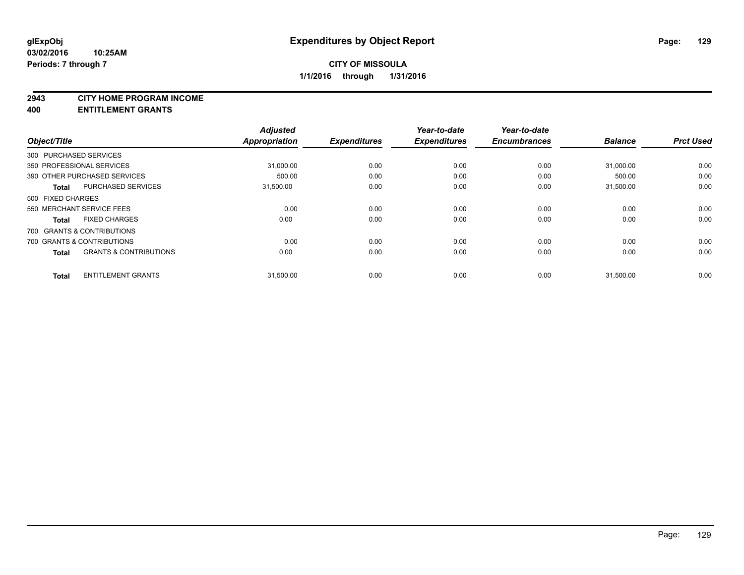#### **2943 CITY HOME PROGRAM INCOME**

**400 ENTITLEMENT GRANTS**

| Object/Title      |                                   | <b>Adjusted</b><br>Appropriation | <b>Expenditures</b> | Year-to-date<br><b>Expenditures</b> | Year-to-date<br><b>Encumbrances</b> | <b>Balance</b> | <b>Prct Used</b> |
|-------------------|-----------------------------------|----------------------------------|---------------------|-------------------------------------|-------------------------------------|----------------|------------------|
|                   | 300 PURCHASED SERVICES            |                                  |                     |                                     |                                     |                |                  |
|                   | 350 PROFESSIONAL SERVICES         | 31,000.00                        | 0.00                | 0.00                                | 0.00                                | 31,000.00      | 0.00             |
|                   | 390 OTHER PURCHASED SERVICES      | 500.00                           | 0.00                | 0.00                                | 0.00                                | 500.00         | 0.00             |
| <b>Total</b>      | PURCHASED SERVICES                | 31,500.00                        | 0.00                | 0.00                                | 0.00                                | 31.500.00      | 0.00             |
| 500 FIXED CHARGES |                                   |                                  |                     |                                     |                                     |                |                  |
|                   | 550 MERCHANT SERVICE FEES         | 0.00                             | 0.00                | 0.00                                | 0.00                                | 0.00           | 0.00             |
| <b>Total</b>      | <b>FIXED CHARGES</b>              | 0.00                             | 0.00                | 0.00                                | 0.00                                | 0.00           | 0.00             |
|                   | 700 GRANTS & CONTRIBUTIONS        |                                  |                     |                                     |                                     |                |                  |
|                   | 700 GRANTS & CONTRIBUTIONS        | 0.00                             | 0.00                | 0.00                                | 0.00                                | 0.00           | 0.00             |
| <b>Total</b>      | <b>GRANTS &amp; CONTRIBUTIONS</b> | 0.00                             | 0.00                | 0.00                                | 0.00                                | 0.00           | 0.00             |
| <b>Total</b>      | <b>ENTITLEMENT GRANTS</b>         | 31,500.00                        | 0.00                | 0.00                                | 0.00                                | 31,500.00      | 0.00             |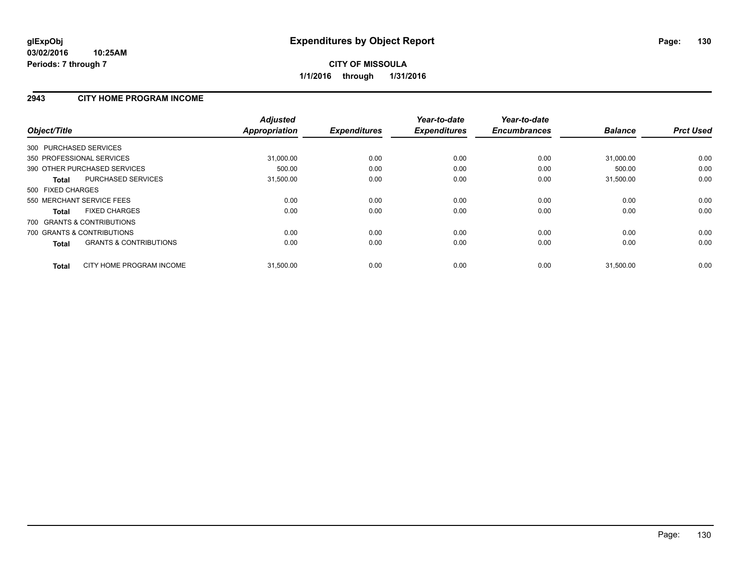### **2943 CITY HOME PROGRAM INCOME**

| Object/Title                                      | <b>Adjusted</b><br><b>Appropriation</b> | <b>Expenditures</b> | Year-to-date<br><b>Expenditures</b> | Year-to-date<br><b>Encumbrances</b> | <b>Balance</b> | <b>Prct Used</b> |
|---------------------------------------------------|-----------------------------------------|---------------------|-------------------------------------|-------------------------------------|----------------|------------------|
| 300 PURCHASED SERVICES                            |                                         |                     |                                     |                                     |                |                  |
| 350 PROFESSIONAL SERVICES                         | 31,000.00                               | 0.00                | 0.00                                | 0.00                                | 31,000.00      | 0.00             |
| 390 OTHER PURCHASED SERVICES                      | 500.00                                  | 0.00                | 0.00                                | 0.00                                | 500.00         | 0.00             |
| PURCHASED SERVICES<br>Total                       | 31,500.00                               | 0.00                | 0.00                                | 0.00                                | 31,500.00      | 0.00             |
| 500 FIXED CHARGES                                 |                                         |                     |                                     |                                     |                |                  |
| 550 MERCHANT SERVICE FEES                         | 0.00                                    | 0.00                | 0.00                                | 0.00                                | 0.00           | 0.00             |
| <b>FIXED CHARGES</b><br>Total                     | 0.00                                    | 0.00                | 0.00                                | 0.00                                | 0.00           | 0.00             |
| 700 GRANTS & CONTRIBUTIONS                        |                                         |                     |                                     |                                     |                |                  |
| 700 GRANTS & CONTRIBUTIONS                        | 0.00                                    | 0.00                | 0.00                                | 0.00                                | 0.00           | 0.00             |
| <b>GRANTS &amp; CONTRIBUTIONS</b><br><b>Total</b> | 0.00                                    | 0.00                | 0.00                                | 0.00                                | 0.00           | 0.00             |
| CITY HOME PROGRAM INCOME<br><b>Total</b>          | 31,500.00                               | 0.00                | 0.00                                | 0.00                                | 31,500.00      | 0.00             |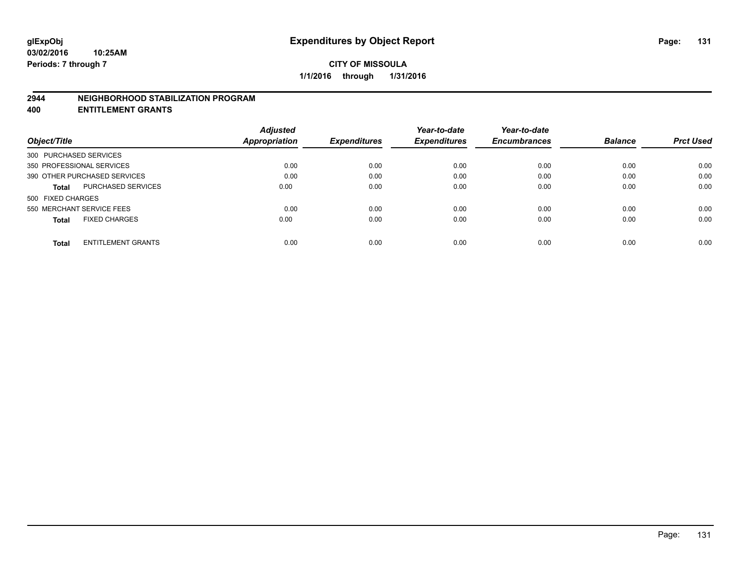#### **2944 NEIGHBORHOOD STABILIZATION PROGRAM**

**400 ENTITLEMENT GRANTS**

|                                           | <b>Adjusted</b> |                     | Year-to-date        | Year-to-date        |                |                  |
|-------------------------------------------|-----------------|---------------------|---------------------|---------------------|----------------|------------------|
| Object/Title                              | Appropriation   | <b>Expenditures</b> | <b>Expenditures</b> | <b>Encumbrances</b> | <b>Balance</b> | <b>Prct Used</b> |
| 300 PURCHASED SERVICES                    |                 |                     |                     |                     |                |                  |
| 350 PROFESSIONAL SERVICES                 | 0.00            | 0.00                | 0.00                | 0.00                | 0.00           | 0.00             |
| 390 OTHER PURCHASED SERVICES              | 0.00            | 0.00                | 0.00                | 0.00                | 0.00           | 0.00             |
| <b>PURCHASED SERVICES</b><br><b>Total</b> | 0.00            | 0.00                | 0.00                | 0.00                | 0.00           | 0.00             |
| 500 FIXED CHARGES                         |                 |                     |                     |                     |                |                  |
| 550 MERCHANT SERVICE FEES                 | 0.00            | 0.00                | 0.00                | 0.00                | 0.00           | 0.00             |
| <b>FIXED CHARGES</b><br><b>Total</b>      | 0.00            | 0.00                | 0.00                | 0.00                | 0.00           | 0.00             |
| <b>ENTITLEMENT GRANTS</b><br><b>Total</b> | 0.00            | 0.00                | 0.00                | 0.00                | 0.00           | 0.00             |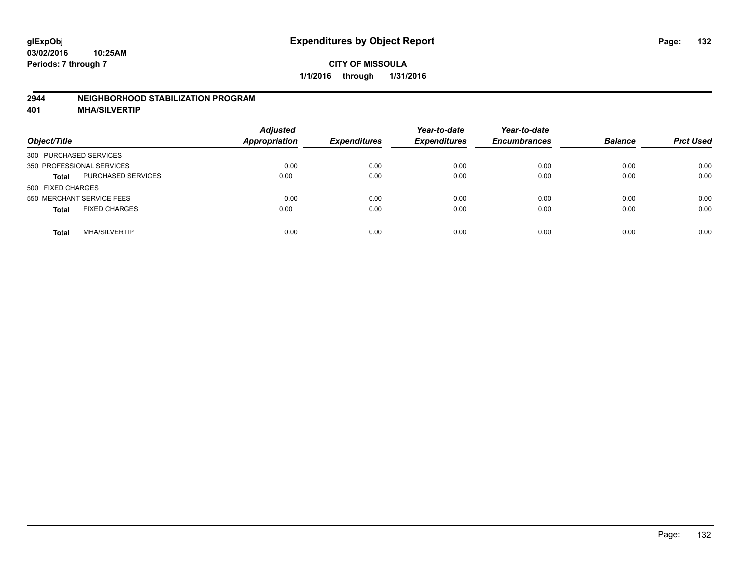#### **2944 NEIGHBORHOOD STABILIZATION PROGRAM**

**401 MHA/SILVERTIP**

| Object/Title              |                      | <b>Adjusted</b><br><b>Appropriation</b> | <b>Expenditures</b> | Year-to-date<br><b>Expenditures</b> | Year-to-date<br><b>Encumbrances</b> | <b>Balance</b> | <b>Prct Used</b> |
|---------------------------|----------------------|-----------------------------------------|---------------------|-------------------------------------|-------------------------------------|----------------|------------------|
| 300 PURCHASED SERVICES    |                      |                                         |                     |                                     |                                     |                |                  |
| 350 PROFESSIONAL SERVICES |                      | 0.00                                    | 0.00                | 0.00                                | 0.00                                | 0.00           | 0.00             |
| <b>Total</b>              | PURCHASED SERVICES   | 0.00                                    | 0.00                | 0.00                                | 0.00                                | 0.00           | 0.00             |
| 500 FIXED CHARGES         |                      |                                         |                     |                                     |                                     |                |                  |
| 550 MERCHANT SERVICE FEES |                      | 0.00                                    | 0.00                | 0.00                                | 0.00                                | 0.00           | 0.00             |
| <b>Total</b>              | <b>FIXED CHARGES</b> | 0.00                                    | 0.00                | 0.00                                | 0.00                                | 0.00           | 0.00             |
| Total                     | <b>MHA/SILVERTIP</b> | 0.00                                    | 0.00                | 0.00                                | 0.00                                | 0.00           | 0.00             |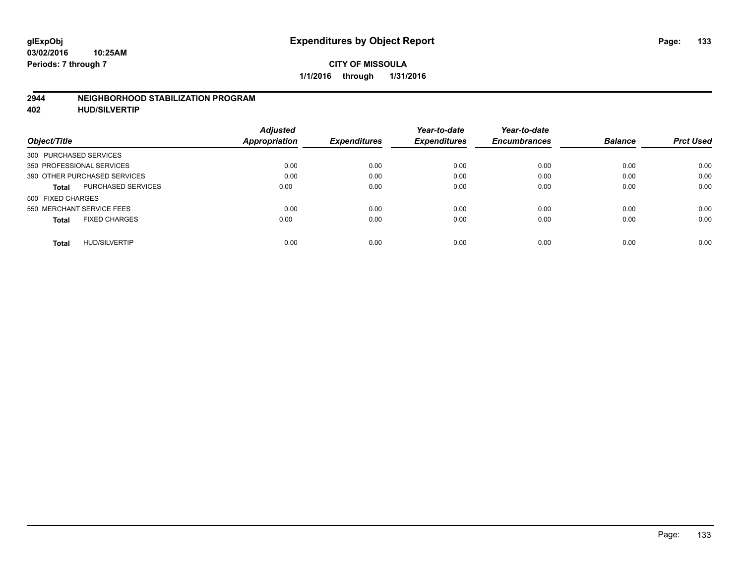#### **2944 NEIGHBORHOOD STABILIZATION PROGRAM**

**402 HUD/SILVERTIP**

| Object/Title                              | <b>Adjusted</b><br>Appropriation | <b>Expenditures</b> | Year-to-date<br><b>Expenditures</b> | Year-to-date<br><b>Encumbrances</b> | <b>Balance</b> | <b>Prct Used</b> |
|-------------------------------------------|----------------------------------|---------------------|-------------------------------------|-------------------------------------|----------------|------------------|
| 300 PURCHASED SERVICES                    |                                  |                     |                                     |                                     |                |                  |
| 350 PROFESSIONAL SERVICES                 | 0.00                             | 0.00                | 0.00                                | 0.00                                | 0.00           | 0.00             |
| 390 OTHER PURCHASED SERVICES              | 0.00                             | 0.00                | 0.00                                | 0.00                                | 0.00           | 0.00             |
| <b>PURCHASED SERVICES</b><br><b>Total</b> | 0.00                             | 0.00                | 0.00                                | 0.00                                | 0.00           | 0.00             |
| 500 FIXED CHARGES                         |                                  |                     |                                     |                                     |                |                  |
| 550 MERCHANT SERVICE FEES                 | 0.00                             | 0.00                | 0.00                                | 0.00                                | 0.00           | 0.00             |
| <b>FIXED CHARGES</b><br><b>Total</b>      | 0.00                             | 0.00                | 0.00                                | 0.00                                | 0.00           | 0.00             |
| <b>HUD/SILVERTIP</b><br><b>Total</b>      | 0.00                             | 0.00                | 0.00                                | 0.00                                | 0.00           | 0.00             |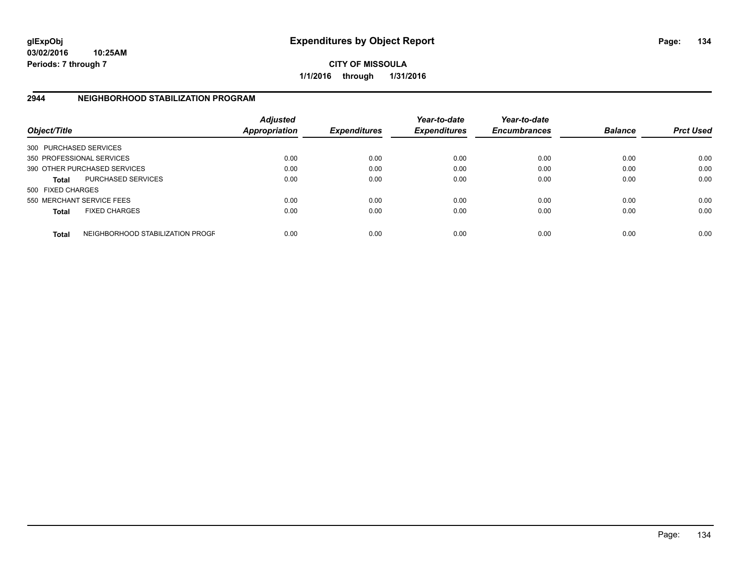**03/02/2016 10:25AM Periods: 7 through 7**

**CITY OF MISSOULA 1/1/2016 through 1/31/2016**

## **2944 NEIGHBORHOOD STABILIZATION PROGRAM**

| Object/Title           |                                  | <b>Adjusted</b><br><b>Appropriation</b> | <b>Expenditures</b> | Year-to-date<br><b>Expenditures</b> | Year-to-date<br><b>Encumbrances</b> | <b>Balance</b> | <b>Prct Used</b> |
|------------------------|----------------------------------|-----------------------------------------|---------------------|-------------------------------------|-------------------------------------|----------------|------------------|
| 300 PURCHASED SERVICES |                                  |                                         |                     |                                     |                                     |                |                  |
|                        | 350 PROFESSIONAL SERVICES        | 0.00                                    | 0.00                | 0.00                                | 0.00                                | 0.00           | 0.00             |
|                        | 390 OTHER PURCHASED SERVICES     | 0.00                                    | 0.00                | 0.00                                | 0.00                                | 0.00           | 0.00             |
| <b>Total</b>           | <b>PURCHASED SERVICES</b>        | 0.00                                    | 0.00                | 0.00                                | 0.00                                | 0.00           | 0.00             |
| 500 FIXED CHARGES      |                                  |                                         |                     |                                     |                                     |                |                  |
|                        | 550 MERCHANT SERVICE FEES        | 0.00                                    | 0.00                | 0.00                                | 0.00                                | 0.00           | 0.00             |
| <b>Total</b>           | <b>FIXED CHARGES</b>             | 0.00                                    | 0.00                | 0.00                                | 0.00                                | 0.00           | 0.00             |
| <b>Total</b>           | NEIGHBORHOOD STABILIZATION PROGF | 0.00                                    | 0.00                | 0.00                                | 0.00                                | 0.00           | 0.00             |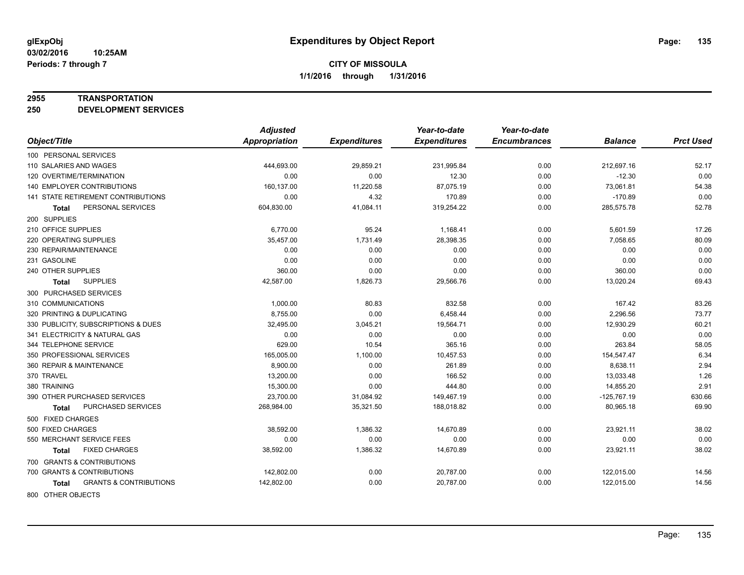#### **2955 TRANSPORTATION**

**250 DEVELOPMENT SERVICES**

|                                            | <b>Adjusted</b> |                     | Year-to-date        | Year-to-date        |                |                  |
|--------------------------------------------|-----------------|---------------------|---------------------|---------------------|----------------|------------------|
| Object/Title                               | Appropriation   | <b>Expenditures</b> | <b>Expenditures</b> | <b>Encumbrances</b> | <b>Balance</b> | <b>Prct Used</b> |
| 100 PERSONAL SERVICES                      |                 |                     |                     |                     |                |                  |
| 110 SALARIES AND WAGES                     | 444,693.00      | 29,859.21           | 231,995.84          | 0.00                | 212,697.16     | 52.17            |
| 120 OVERTIME/TERMINATION                   | 0.00            | 0.00                | 12.30               | 0.00                | $-12.30$       | 0.00             |
| <b>140 EMPLOYER CONTRIBUTIONS</b>          | 160,137.00      | 11,220.58           | 87,075.19           | 0.00                | 73,061.81      | 54.38            |
| 141 STATE RETIREMENT CONTRIBUTIONS         | 0.00            | 4.32                | 170.89              | 0.00                | $-170.89$      | 0.00             |
| PERSONAL SERVICES<br><b>Total</b>          | 604,830.00      | 41,084.11           | 319,254.22          | 0.00                | 285,575.78     | 52.78            |
| 200 SUPPLIES                               |                 |                     |                     |                     |                |                  |
| 210 OFFICE SUPPLIES                        | 6,770.00        | 95.24               | 1,168.41            | 0.00                | 5,601.59       | 17.26            |
| 220 OPERATING SUPPLIES                     | 35,457.00       | 1,731.49            | 28,398.35           | 0.00                | 7,058.65       | 80.09            |
| 230 REPAIR/MAINTENANCE                     | 0.00            | 0.00                | 0.00                | 0.00                | 0.00           | 0.00             |
| 231 GASOLINE                               | 0.00            | 0.00                | 0.00                | 0.00                | 0.00           | 0.00             |
| 240 OTHER SUPPLIES                         | 360.00          | 0.00                | 0.00                | 0.00                | 360.00         | 0.00             |
| <b>SUPPLIES</b><br><b>Total</b>            | 42,587.00       | 1,826.73            | 29,566.76           | 0.00                | 13,020.24      | 69.43            |
| 300 PURCHASED SERVICES                     |                 |                     |                     |                     |                |                  |
| 310 COMMUNICATIONS                         | 1,000.00        | 80.83               | 832.58              | 0.00                | 167.42         | 83.26            |
| 320 PRINTING & DUPLICATING                 | 8.755.00        | 0.00                | 6,458.44            | 0.00                | 2,296.56       | 73.77            |
| 330 PUBLICITY, SUBSCRIPTIONS & DUES        | 32,495.00       | 3,045.21            | 19,564.71           | 0.00                | 12,930.29      | 60.21            |
| 341 ELECTRICITY & NATURAL GAS              | 0.00            | 0.00                | 0.00                | 0.00                | 0.00           | 0.00             |
| 344 TELEPHONE SERVICE                      | 629.00          | 10.54               | 365.16              | 0.00                | 263.84         | 58.05            |
| 350 PROFESSIONAL SERVICES                  | 165,005.00      | 1,100.00            | 10,457.53           | 0.00                | 154,547.47     | 6.34             |
| 360 REPAIR & MAINTENANCE                   | 8,900.00        | 0.00                | 261.89              | 0.00                | 8,638.11       | 2.94             |
| 370 TRAVEL                                 | 13,200.00       | 0.00                | 166.52              | 0.00                | 13,033.48      | 1.26             |
| 380 TRAINING                               | 15,300.00       | 0.00                | 444.80              | 0.00                | 14,855.20      | 2.91             |
| 390 OTHER PURCHASED SERVICES               | 23,700.00       | 31,084.92           | 149,467.19          | 0.00                | $-125,767.19$  | 630.66           |
| PURCHASED SERVICES<br><b>Total</b>         | 268,984.00      | 35,321.50           | 188,018.82          | 0.00                | 80,965.18      | 69.90            |
| 500 FIXED CHARGES                          |                 |                     |                     |                     |                |                  |
| 500 FIXED CHARGES                          | 38,592.00       | 1,386.32            | 14,670.89           | 0.00                | 23,921.11      | 38.02            |
| 550 MERCHANT SERVICE FEES                  | 0.00            | 0.00                | 0.00                | 0.00                | 0.00           | 0.00             |
| <b>FIXED CHARGES</b><br>Total              | 38,592.00       | 1,386.32            | 14,670.89           | 0.00                | 23,921.11      | 38.02            |
| 700 GRANTS & CONTRIBUTIONS                 |                 |                     |                     |                     |                |                  |
| 700 GRANTS & CONTRIBUTIONS                 | 142,802.00      | 0.00                | 20,787.00           | 0.00                | 122,015.00     | 14.56            |
| <b>GRANTS &amp; CONTRIBUTIONS</b><br>Total | 142,802.00      | 0.00                | 20,787.00           | 0.00                | 122,015.00     | 14.56            |
|                                            |                 |                     |                     |                     |                |                  |

800 OTHER OBJECTS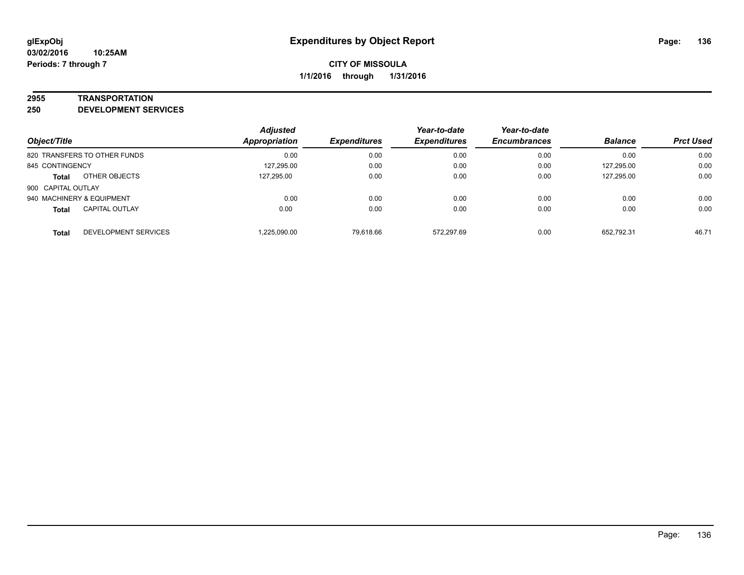#### **2955 TRANSPORTATION**

**250 DEVELOPMENT SERVICES**

| Object/Title                          | <b>Adjusted</b><br><b>Appropriation</b> | <b>Expenditures</b> | Year-to-date<br><b>Expenditures</b> | Year-to-date<br><b>Encumbrances</b> | <b>Balance</b> | <b>Prct Used</b> |
|---------------------------------------|-----------------------------------------|---------------------|-------------------------------------|-------------------------------------|----------------|------------------|
| 820 TRANSFERS TO OTHER FUNDS          | 0.00                                    | 0.00                | 0.00                                | 0.00                                | 0.00           | 0.00             |
| 845 CONTINGENCY                       | 127,295.00                              | 0.00                | 0.00                                | 0.00                                | 127,295.00     | 0.00             |
| OTHER OBJECTS<br><b>Total</b>         | 127.295.00                              | 0.00                | 0.00                                | 0.00                                | 127,295.00     | 0.00             |
| 900 CAPITAL OUTLAY                    |                                         |                     |                                     |                                     |                |                  |
| 940 MACHINERY & EQUIPMENT             | 0.00                                    | 0.00                | 0.00                                | 0.00                                | 0.00           | 0.00             |
| <b>CAPITAL OUTLAY</b><br><b>Total</b> | 0.00                                    | 0.00                | 0.00                                | 0.00                                | 0.00           | 0.00             |
| DEVELOPMENT SERVICES<br><b>Total</b>  | 1.225.090.00                            | 79.618.66           | 572.297.69                          | 0.00                                | 652.792.31     | 46.71            |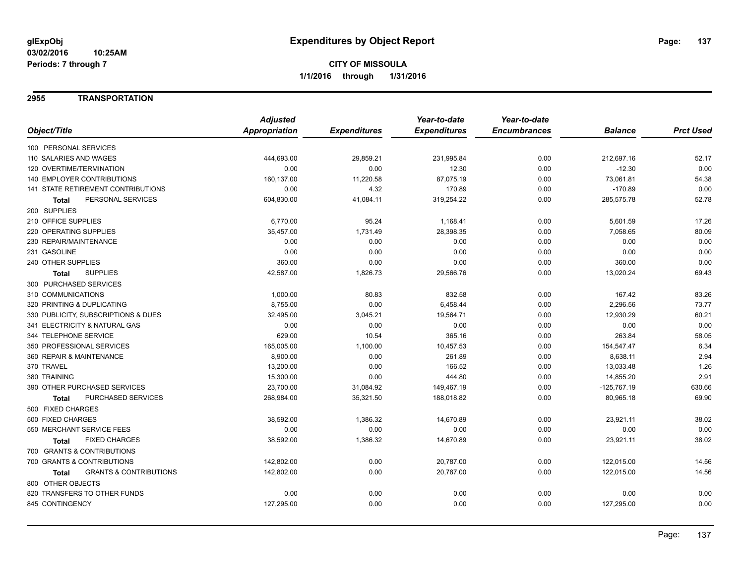### **2955 TRANSPORTATION**

|                                            | <b>Adjusted</b>      |                     | Year-to-date        | Year-to-date        |                |                  |
|--------------------------------------------|----------------------|---------------------|---------------------|---------------------|----------------|------------------|
| Object/Title                               | <b>Appropriation</b> | <b>Expenditures</b> | <b>Expenditures</b> | <b>Encumbrances</b> | <b>Balance</b> | <b>Prct Used</b> |
| 100 PERSONAL SERVICES                      |                      |                     |                     |                     |                |                  |
| 110 SALARIES AND WAGES                     | 444,693.00           | 29,859.21           | 231,995.84          | 0.00                | 212,697.16     | 52.17            |
| 120 OVERTIME/TERMINATION                   | 0.00                 | 0.00                | 12.30               | 0.00                | $-12.30$       | 0.00             |
| <b>140 EMPLOYER CONTRIBUTIONS</b>          | 160,137.00           | 11,220.58           | 87,075.19           | 0.00                | 73,061.81      | 54.38            |
| 141 STATE RETIREMENT CONTRIBUTIONS         | 0.00                 | 4.32                | 170.89              | 0.00                | $-170.89$      | 0.00             |
| PERSONAL SERVICES<br>Total                 | 604,830.00           | 41,084.11           | 319,254.22          | 0.00                | 285,575.78     | 52.78            |
| 200 SUPPLIES                               |                      |                     |                     |                     |                |                  |
| 210 OFFICE SUPPLIES                        | 6,770.00             | 95.24               | 1,168.41            | 0.00                | 5,601.59       | 17.26            |
| 220 OPERATING SUPPLIES                     | 35,457.00            | 1,731.49            | 28,398.35           | 0.00                | 7,058.65       | 80.09            |
| 230 REPAIR/MAINTENANCE                     | 0.00                 | 0.00                | 0.00                | 0.00                | 0.00           | 0.00             |
| 231 GASOLINE                               | 0.00                 | 0.00                | 0.00                | 0.00                | 0.00           | 0.00             |
| 240 OTHER SUPPLIES                         | 360.00               | 0.00                | 0.00                | 0.00                | 360.00         | 0.00             |
| <b>SUPPLIES</b><br>Total                   | 42,587.00            | 1,826.73            | 29,566.76           | 0.00                | 13,020.24      | 69.43            |
| 300 PURCHASED SERVICES                     |                      |                     |                     |                     |                |                  |
| 310 COMMUNICATIONS                         | 1,000.00             | 80.83               | 832.58              | 0.00                | 167.42         | 83.26            |
| 320 PRINTING & DUPLICATING                 | 8,755.00             | 0.00                | 6,458.44            | 0.00                | 2,296.56       | 73.77            |
| 330 PUBLICITY, SUBSCRIPTIONS & DUES        | 32,495.00            | 3,045.21            | 19,564.71           | 0.00                | 12,930.29      | 60.21            |
| 341 ELECTRICITY & NATURAL GAS              | 0.00                 | 0.00                | 0.00                | 0.00                | 0.00           | 0.00             |
| 344 TELEPHONE SERVICE                      | 629.00               | 10.54               | 365.16              | 0.00                | 263.84         | 58.05            |
| 350 PROFESSIONAL SERVICES                  | 165,005.00           | 1,100.00            | 10,457.53           | 0.00                | 154,547.47     | 6.34             |
| 360 REPAIR & MAINTENANCE                   | 8,900.00             | 0.00                | 261.89              | 0.00                | 8,638.11       | 2.94             |
| 370 TRAVEL                                 | 13,200.00            | 0.00                | 166.52              | 0.00                | 13,033.48      | 1.26             |
| 380 TRAINING                               | 15,300.00            | 0.00                | 444.80              | 0.00                | 14,855.20      | 2.91             |
| 390 OTHER PURCHASED SERVICES               | 23,700.00            | 31,084.92           | 149,467.19          | 0.00                | $-125,767.19$  | 630.66           |
| PURCHASED SERVICES<br><b>Total</b>         | 268,984.00           | 35,321.50           | 188,018.82          | 0.00                | 80,965.18      | 69.90            |
| 500 FIXED CHARGES                          |                      |                     |                     |                     |                |                  |
| 500 FIXED CHARGES                          | 38,592.00            | 1,386.32            | 14,670.89           | 0.00                | 23,921.11      | 38.02            |
| 550 MERCHANT SERVICE FEES                  | 0.00                 | 0.00                | 0.00                | 0.00                | 0.00           | 0.00             |
| <b>FIXED CHARGES</b><br><b>Total</b>       | 38,592.00            | 1,386.32            | 14,670.89           | 0.00                | 23,921.11      | 38.02            |
| 700 GRANTS & CONTRIBUTIONS                 |                      |                     |                     |                     |                |                  |
| 700 GRANTS & CONTRIBUTIONS                 | 142,802.00           | 0.00                | 20,787.00           | 0.00                | 122,015.00     | 14.56            |
| <b>GRANTS &amp; CONTRIBUTIONS</b><br>Total | 142,802.00           | 0.00                | 20,787.00           | 0.00                | 122,015.00     | 14.56            |
| 800 OTHER OBJECTS                          |                      |                     |                     |                     |                |                  |
| 820 TRANSFERS TO OTHER FUNDS               | 0.00                 | 0.00                | 0.00                | 0.00                | 0.00           | 0.00             |
| 845 CONTINGENCY                            | 127,295.00           | 0.00                | 0.00                | 0.00                | 127,295.00     | 0.00             |
|                                            |                      |                     |                     |                     |                |                  |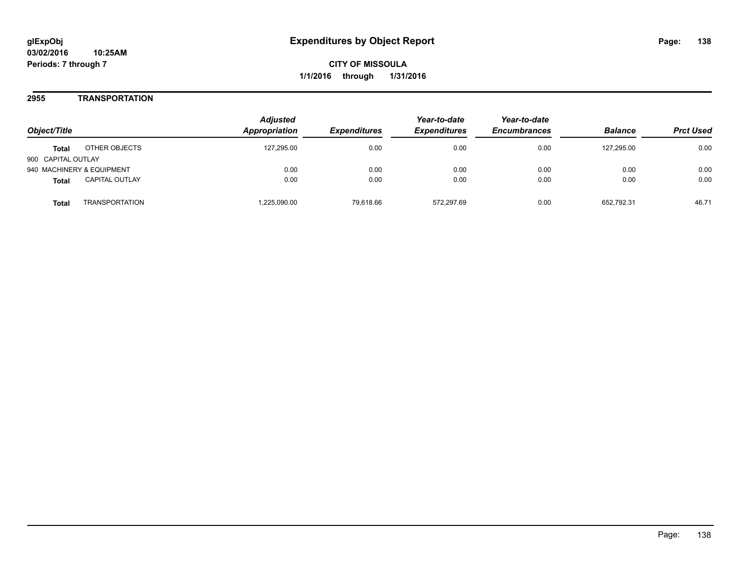### **2955 TRANSPORTATION**

| Object/Title                          | <b>Adjusted</b><br>Appropriation | <b>Expenditures</b> | Year-to-date<br><b>Expenditures</b> | Year-to-date<br><b>Encumbrances</b> | <b>Balance</b> | <b>Prct Used</b> |
|---------------------------------------|----------------------------------|---------------------|-------------------------------------|-------------------------------------|----------------|------------------|
| OTHER OBJECTS<br><b>Total</b>         | 127.295.00                       | 0.00                | 0.00                                | 0.00                                | 127.295.00     | 0.00             |
| 900 CAPITAL OUTLAY                    |                                  |                     |                                     |                                     |                |                  |
| 940 MACHINERY & EQUIPMENT             | 0.00                             | 0.00                | 0.00                                | 0.00                                | 0.00           | 0.00             |
| <b>CAPITAL OUTLAY</b><br><b>Total</b> | 0.00                             | 0.00                | 0.00                                | 0.00                                | 0.00           | 0.00             |
| <b>TRANSPORTATION</b><br>Total        | ,225,090.00                      | 79.618.66           | 572.297.69                          | 0.00                                | 652.792.31     | 46.71            |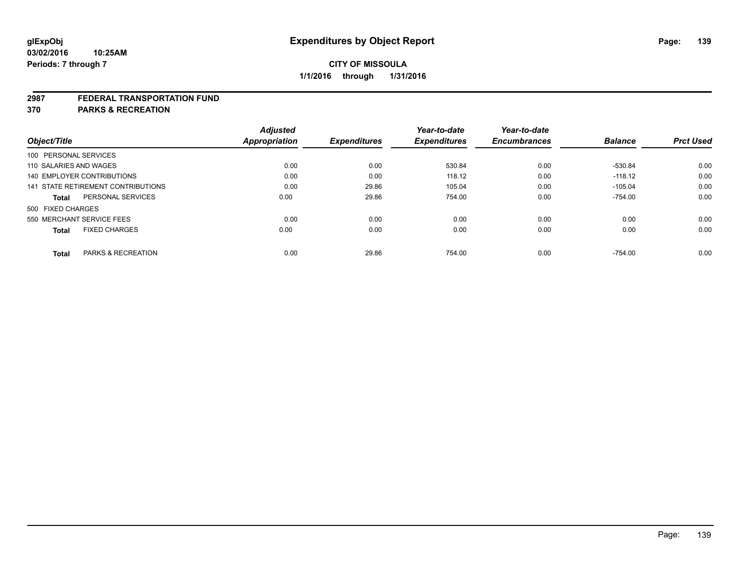#### **2987 FEDERAL TRANSPORTATION FUND**

**370 PARKS & RECREATION**

| Object/Title                         | <b>Adjusted</b><br><b>Appropriation</b> | <b>Expenditures</b> | Year-to-date<br><b>Expenditures</b> | Year-to-date<br><b>Encumbrances</b> | <b>Balance</b> | <b>Prct Used</b> |
|--------------------------------------|-----------------------------------------|---------------------|-------------------------------------|-------------------------------------|----------------|------------------|
| 100 PERSONAL SERVICES                |                                         |                     |                                     |                                     |                |                  |
| 110 SALARIES AND WAGES               | 0.00                                    | 0.00                | 530.84                              | 0.00                                | -530.84        | 0.00             |
| 140 EMPLOYER CONTRIBUTIONS           | 0.00                                    | 0.00                | 118.12                              | 0.00                                | $-118.12$      | 0.00             |
| 141 STATE RETIREMENT CONTRIBUTIONS   | 0.00                                    | 29.86               | 105.04                              | 0.00                                | $-105.04$      | 0.00             |
| PERSONAL SERVICES<br><b>Total</b>    | 0.00                                    | 29.86               | 754.00                              | 0.00                                | $-754.00$      | 0.00             |
| 500 FIXED CHARGES                    |                                         |                     |                                     |                                     |                |                  |
| 550 MERCHANT SERVICE FEES            | 0.00                                    | 0.00                | 0.00                                | 0.00                                | 0.00           | 0.00             |
| <b>FIXED CHARGES</b><br><b>Total</b> | 0.00                                    | 0.00                | 0.00                                | 0.00                                | 0.00           | 0.00             |
|                                      |                                         |                     |                                     |                                     |                |                  |
| PARKS & RECREATION<br><b>Total</b>   | 0.00                                    | 29.86               | 754.00                              | 0.00                                | $-754.00$      | 0.00             |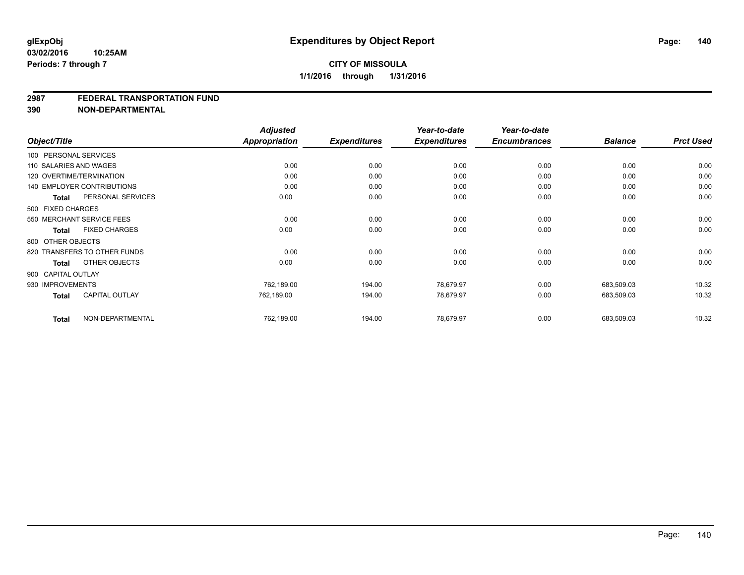#### **2987 FEDERAL TRANSPORTATION FUND**

**390 NON-DEPARTMENTAL**

|                    |                                   | <b>Adjusted</b>      |                     | Year-to-date        | Year-to-date        |                |                  |
|--------------------|-----------------------------------|----------------------|---------------------|---------------------|---------------------|----------------|------------------|
| Object/Title       |                                   | <b>Appropriation</b> | <b>Expenditures</b> | <b>Expenditures</b> | <b>Encumbrances</b> | <b>Balance</b> | <b>Prct Used</b> |
|                    | 100 PERSONAL SERVICES             |                      |                     |                     |                     |                |                  |
|                    | 110 SALARIES AND WAGES            | 0.00                 | 0.00                | 0.00                | 0.00                | 0.00           | 0.00             |
|                    | 120 OVERTIME/TERMINATION          | 0.00                 | 0.00                | 0.00                | 0.00                | 0.00           | 0.00             |
|                    | <b>140 EMPLOYER CONTRIBUTIONS</b> | 0.00                 | 0.00                | 0.00                | 0.00                | 0.00           | 0.00             |
| <b>Total</b>       | PERSONAL SERVICES                 | 0.00                 | 0.00                | 0.00                | 0.00                | 0.00           | 0.00             |
| 500 FIXED CHARGES  |                                   |                      |                     |                     |                     |                |                  |
|                    | 550 MERCHANT SERVICE FEES         | 0.00                 | 0.00                | 0.00                | 0.00                | 0.00           | 0.00             |
| <b>Total</b>       | <b>FIXED CHARGES</b>              | 0.00                 | 0.00                | 0.00                | 0.00                | 0.00           | 0.00             |
| 800 OTHER OBJECTS  |                                   |                      |                     |                     |                     |                |                  |
|                    | 820 TRANSFERS TO OTHER FUNDS      | 0.00                 | 0.00                | 0.00                | 0.00                | 0.00           | 0.00             |
| Total              | OTHER OBJECTS                     | 0.00                 | 0.00                | 0.00                | 0.00                | 0.00           | 0.00             |
| 900 CAPITAL OUTLAY |                                   |                      |                     |                     |                     |                |                  |
| 930 IMPROVEMENTS   |                                   | 762,189.00           | 194.00              | 78,679.97           | 0.00                | 683,509.03     | 10.32            |
| <b>Total</b>       | <b>CAPITAL OUTLAY</b>             | 762,189.00           | 194.00              | 78,679.97           | 0.00                | 683,509.03     | 10.32            |
| <b>Total</b>       | NON-DEPARTMENTAL                  | 762,189.00           | 194.00              | 78,679.97           | 0.00                | 683,509.03     | 10.32            |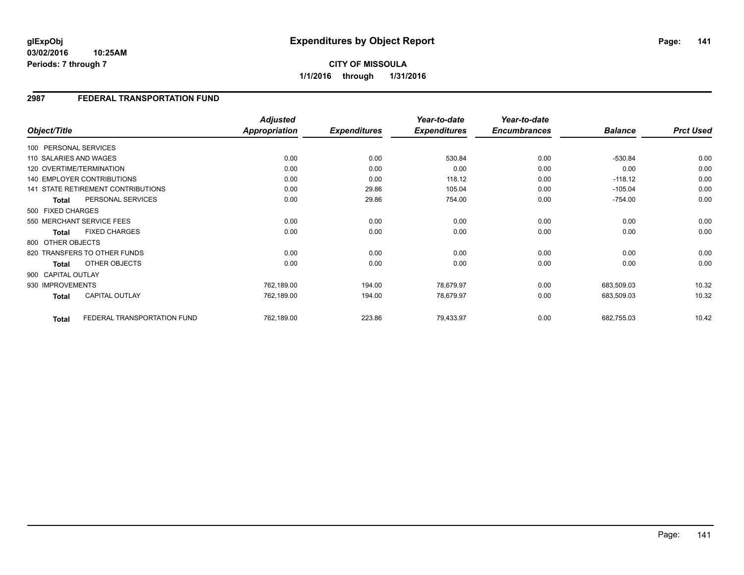#### **03/02/2016 10:25AM Periods: 7 through 7**

# **CITY OF MISSOULA 1/1/2016 through 1/31/2016**

## **2987 FEDERAL TRANSPORTATION FUND**

|                        |                                    | <b>Adjusted</b> |                     | Year-to-date        | Year-to-date        |                |                  |
|------------------------|------------------------------------|-----------------|---------------------|---------------------|---------------------|----------------|------------------|
| Object/Title           |                                    | Appropriation   | <b>Expenditures</b> | <b>Expenditures</b> | <b>Encumbrances</b> | <b>Balance</b> | <b>Prct Used</b> |
| 100 PERSONAL SERVICES  |                                    |                 |                     |                     |                     |                |                  |
| 110 SALARIES AND WAGES |                                    | 0.00            | 0.00                | 530.84              | 0.00                | $-530.84$      | 0.00             |
|                        | 120 OVERTIME/TERMINATION           | 0.00            | 0.00                | 0.00                | 0.00                | 0.00           | 0.00             |
|                        | <b>140 EMPLOYER CONTRIBUTIONS</b>  | 0.00            | 0.00                | 118.12              | 0.00                | $-118.12$      | 0.00             |
|                        | 141 STATE RETIREMENT CONTRIBUTIONS | 0.00            | 29.86               | 105.04              | 0.00                | $-105.04$      | 0.00             |
| <b>Total</b>           | PERSONAL SERVICES                  | 0.00            | 29.86               | 754.00              | 0.00                | $-754.00$      | 0.00             |
| 500 FIXED CHARGES      |                                    |                 |                     |                     |                     |                |                  |
|                        | 550 MERCHANT SERVICE FEES          | 0.00            | 0.00                | 0.00                | 0.00                | 0.00           | 0.00             |
| Total                  | <b>FIXED CHARGES</b>               | 0.00            | 0.00                | 0.00                | 0.00                | 0.00           | 0.00             |
| 800 OTHER OBJECTS      |                                    |                 |                     |                     |                     |                |                  |
|                        | 820 TRANSFERS TO OTHER FUNDS       | 0.00            | 0.00                | 0.00                | 0.00                | 0.00           | 0.00             |
| <b>Total</b>           | OTHER OBJECTS                      | 0.00            | 0.00                | 0.00                | 0.00                | 0.00           | 0.00             |
| 900 CAPITAL OUTLAY     |                                    |                 |                     |                     |                     |                |                  |
| 930 IMPROVEMENTS       |                                    | 762,189.00      | 194.00              | 78,679.97           | 0.00                | 683,509.03     | 10.32            |
| Total                  | <b>CAPITAL OUTLAY</b>              | 762,189.00      | 194.00              | 78,679.97           | 0.00                | 683,509.03     | 10.32            |
| <b>Total</b>           | FEDERAL TRANSPORTATION FUND        | 762,189.00      | 223.86              | 79,433.97           | 0.00                | 682,755.03     | 10.42            |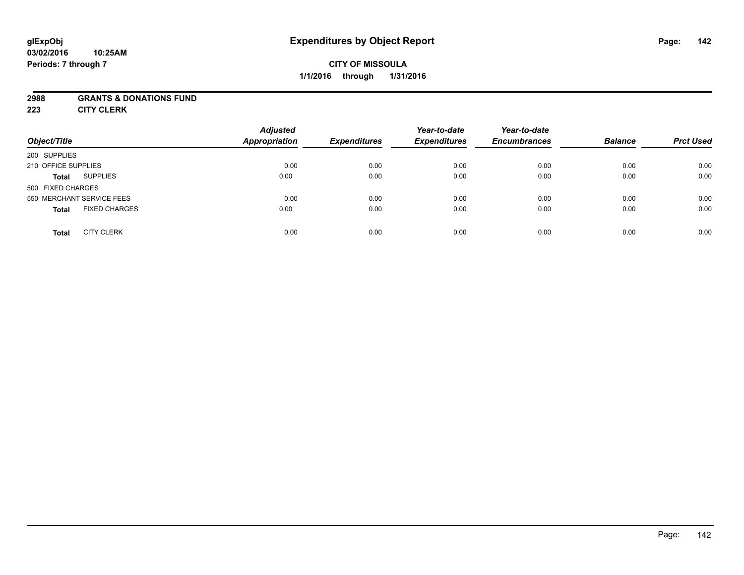### **2988 GRANTS & DONATIONS FUND**

**223 CITY CLERK**

| Object/Title                         | <b>Adjusted</b><br><b>Appropriation</b> | <b>Expenditures</b> | Year-to-date<br><b>Expenditures</b> | Year-to-date<br><b>Encumbrances</b> | <b>Balance</b> | <b>Prct Used</b> |
|--------------------------------------|-----------------------------------------|---------------------|-------------------------------------|-------------------------------------|----------------|------------------|
| 200 SUPPLIES                         |                                         |                     |                                     |                                     |                |                  |
| 210 OFFICE SUPPLIES                  | 0.00                                    | 0.00                | 0.00                                | 0.00                                | 0.00           | 0.00             |
| <b>SUPPLIES</b><br><b>Total</b>      | 0.00                                    | 0.00                | 0.00                                | 0.00                                | 0.00           | 0.00             |
| 500 FIXED CHARGES                    |                                         |                     |                                     |                                     |                |                  |
| 550 MERCHANT SERVICE FEES            | 0.00                                    | 0.00                | 0.00                                | 0.00                                | 0.00           | 0.00             |
| <b>FIXED CHARGES</b><br><b>Total</b> | 0.00                                    | 0.00                | 0.00                                | 0.00                                | 0.00           | 0.00             |
| <b>CITY CLERK</b><br><b>Total</b>    | 0.00                                    | 0.00                | 0.00                                | 0.00                                | 0.00           | 0.00             |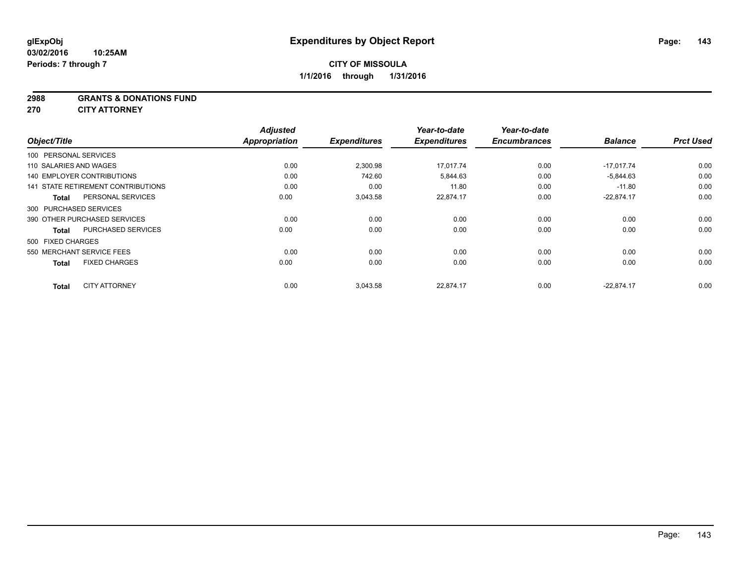#### **2988 GRANTS & DONATIONS FUND**

**270 CITY ATTORNEY**

|                                           | <b>Adjusted</b>      |                     | Year-to-date        | Year-to-date<br><b>Encumbrances</b> | <b>Balance</b> | <b>Prct Used</b> |
|-------------------------------------------|----------------------|---------------------|---------------------|-------------------------------------|----------------|------------------|
| Object/Title                              | <b>Appropriation</b> | <b>Expenditures</b> | <b>Expenditures</b> |                                     |                |                  |
| 100 PERSONAL SERVICES                     |                      |                     |                     |                                     |                |                  |
| 110 SALARIES AND WAGES                    | 0.00                 | 2,300.98            | 17.017.74           | 0.00                                | $-17.017.74$   | 0.00             |
| <b>140 EMPLOYER CONTRIBUTIONS</b>         | 0.00                 | 742.60              | 5,844.63            | 0.00                                | $-5,844.63$    | 0.00             |
| 141 STATE RETIREMENT CONTRIBUTIONS        | 0.00                 | 0.00                | 11.80               | 0.00                                | $-11.80$       | 0.00             |
| PERSONAL SERVICES<br><b>Total</b>         | 0.00                 | 3,043.58            | 22,874.17           | 0.00                                | $-22,874.17$   | 0.00             |
| 300 PURCHASED SERVICES                    |                      |                     |                     |                                     |                |                  |
| 390 OTHER PURCHASED SERVICES              | 0.00                 | 0.00                | 0.00                | 0.00                                | 0.00           | 0.00             |
| <b>PURCHASED SERVICES</b><br><b>Total</b> | 0.00                 | 0.00                | 0.00                | 0.00                                | 0.00           | 0.00             |
| 500 FIXED CHARGES                         |                      |                     |                     |                                     |                |                  |
| 550 MERCHANT SERVICE FEES                 | 0.00                 | 0.00                | 0.00                | 0.00                                | 0.00           | 0.00             |
| <b>FIXED CHARGES</b><br><b>Total</b>      | 0.00                 | 0.00                | 0.00                | 0.00                                | 0.00           | 0.00             |
| <b>CITY ATTORNEY</b><br><b>Total</b>      | 0.00                 | 3,043.58            | 22.874.17           | 0.00                                | $-22.874.17$   | 0.00             |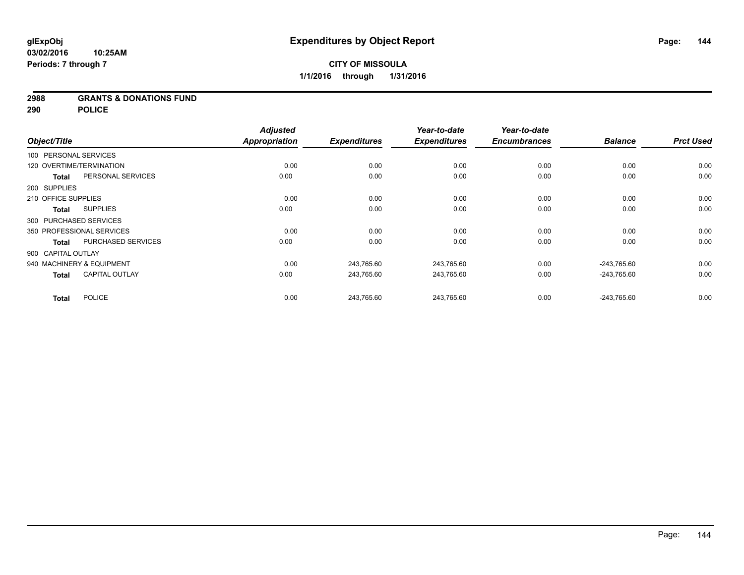### **2988 GRANTS & DONATIONS FUND**

**290 POLICE**

|              |                                           | <b>Adjusted</b>      |                     | Year-to-date        | Year-to-date        |                |                  |
|--------------|-------------------------------------------|----------------------|---------------------|---------------------|---------------------|----------------|------------------|
| Object/Title |                                           | <b>Appropriation</b> | <b>Expenditures</b> | <b>Expenditures</b> | <b>Encumbrances</b> | <b>Balance</b> | <b>Prct Used</b> |
|              | 100 PERSONAL SERVICES                     |                      |                     |                     |                     |                |                  |
|              | 120 OVERTIME/TERMINATION                  | 0.00                 | 0.00                | 0.00                | 0.00                | 0.00           | 0.00             |
|              | PERSONAL SERVICES<br><b>Total</b>         | 0.00                 | 0.00                | 0.00                | 0.00                | 0.00           | 0.00             |
| 200 SUPPLIES |                                           |                      |                     |                     |                     |                |                  |
|              | 210 OFFICE SUPPLIES                       | 0.00                 | 0.00                | 0.00                | 0.00                | 0.00           | 0.00             |
|              | <b>SUPPLIES</b><br><b>Total</b>           | 0.00                 | 0.00                | 0.00                | 0.00                | 0.00           | 0.00             |
|              | 300 PURCHASED SERVICES                    |                      |                     |                     |                     |                |                  |
|              | 350 PROFESSIONAL SERVICES                 | 0.00                 | 0.00                | 0.00                | 0.00                | 0.00           | 0.00             |
|              | <b>PURCHASED SERVICES</b><br><b>Total</b> | 0.00                 | 0.00                | 0.00                | 0.00                | 0.00           | 0.00             |
|              | 900 CAPITAL OUTLAY                        |                      |                     |                     |                     |                |                  |
|              | 940 MACHINERY & EQUIPMENT                 | 0.00                 | 243,765.60          | 243,765.60          | 0.00                | $-243,765.60$  | 0.00             |
|              | <b>CAPITAL OUTLAY</b><br><b>Total</b>     | 0.00                 | 243,765.60          | 243,765.60          | 0.00                | $-243,765.60$  | 0.00             |
| <b>Total</b> | <b>POLICE</b>                             | 0.00                 | 243,765.60          | 243,765.60          | 0.00                | $-243,765.60$  | 0.00             |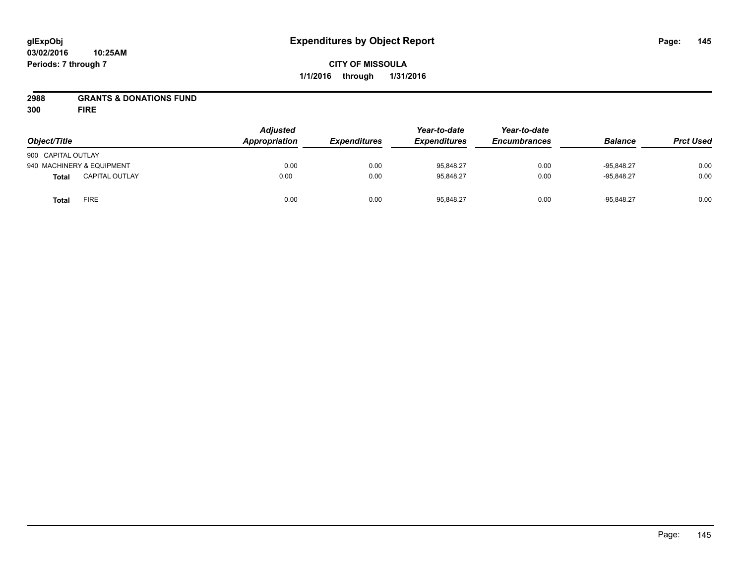## **CITY OF MISSOULA 1/1/2016 through 1/31/2016**

## **2988 GRANTS & DONATIONS FUND**

**300 FIRE**

| Object/Title              |                       | Adjusted<br>Appropriation | <b>Expenditures</b> | Year-to-date<br><b>Expenditures</b> | Year-to-date<br><b>Encumbrances</b> | <b>Balance</b> | <b>Prct Used</b> |
|---------------------------|-----------------------|---------------------------|---------------------|-------------------------------------|-------------------------------------|----------------|------------------|
| 900 CAPITAL OUTLAY        |                       |                           |                     |                                     |                                     |                |                  |
| 940 MACHINERY & EQUIPMENT |                       | 0.00                      | 0.00                | 95,848.27                           | 0.00                                | $-95.848.27$   | 0.00             |
| <b>Total</b>              | <b>CAPITAL OUTLAY</b> | 0.00                      | 0.00                | 95.848.27                           | 0.00                                | $-95.848.27$   | 0.00             |
| <b>Total</b>              | FIRE                  | 0.00                      | 0.00                | 95,848.27                           | 0.00                                | $-95.848.27$   | 0.00             |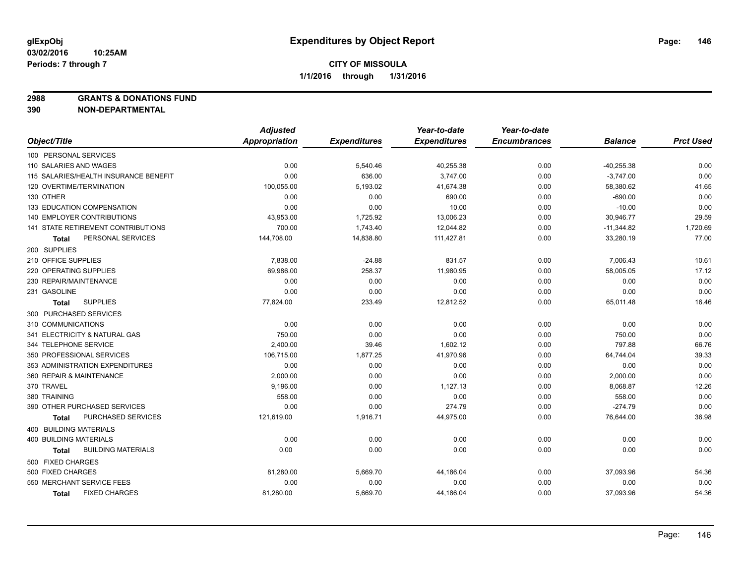**2988 GRANTS & DONATIONS FUND**

|                                       | <b>Adjusted</b> |                     | Year-to-date        | Year-to-date        |                |                  |
|---------------------------------------|-----------------|---------------------|---------------------|---------------------|----------------|------------------|
| Object/Title                          | Appropriation   | <b>Expenditures</b> | <b>Expenditures</b> | <b>Encumbrances</b> | <b>Balance</b> | <b>Prct Used</b> |
| 100 PERSONAL SERVICES                 |                 |                     |                     |                     |                |                  |
| 110 SALARIES AND WAGES                | 0.00            | 5,540.46            | 40,255.38           | 0.00                | $-40,255.38$   | 0.00             |
| 115 SALARIES/HEALTH INSURANCE BENEFIT | 0.00            | 636.00              | 3,747.00            | 0.00                | $-3,747.00$    | 0.00             |
| 120 OVERTIME/TERMINATION              | 100,055.00      | 5,193.02            | 41,674.38           | 0.00                | 58,380.62      | 41.65            |
| 130 OTHER                             | 0.00            | 0.00                | 690.00              | 0.00                | $-690.00$      | 0.00             |
| 133 EDUCATION COMPENSATION            | 0.00            | 0.00                | 10.00               | 0.00                | $-10.00$       | 0.00             |
| <b>140 EMPLOYER CONTRIBUTIONS</b>     | 43,953.00       | 1,725.92            | 13,006.23           | 0.00                | 30,946.77      | 29.59            |
| 141 STATE RETIREMENT CONTRIBUTIONS    | 700.00          | 1,743.40            | 12,044.82           | 0.00                | $-11,344.82$   | 1,720.69         |
| PERSONAL SERVICES<br>Total            | 144,708.00      | 14,838.80           | 111,427.81          | 0.00                | 33,280.19      | 77.00            |
| 200 SUPPLIES                          |                 |                     |                     |                     |                |                  |
| 210 OFFICE SUPPLIES                   | 7,838.00        | $-24.88$            | 831.57              | 0.00                | 7,006.43       | 10.61            |
| 220 OPERATING SUPPLIES                | 69,986.00       | 258.37              | 11,980.95           | 0.00                | 58,005.05      | 17.12            |
| 230 REPAIR/MAINTENANCE                | 0.00            | 0.00                | 0.00                | 0.00                | 0.00           | 0.00             |
| 231 GASOLINE                          | 0.00            | 0.00                | 0.00                | 0.00                | 0.00           | 0.00             |
| <b>SUPPLIES</b><br><b>Total</b>       | 77,824.00       | 233.49              | 12,812.52           | 0.00                | 65,011.48      | 16.46            |
| 300 PURCHASED SERVICES                |                 |                     |                     |                     |                |                  |
| 310 COMMUNICATIONS                    | 0.00            | 0.00                | 0.00                | 0.00                | 0.00           | 0.00             |
| 341 ELECTRICITY & NATURAL GAS         | 750.00          | 0.00                | 0.00                | 0.00                | 750.00         | 0.00             |
| 344 TELEPHONE SERVICE                 | 2,400.00        | 39.46               | 1,602.12            | 0.00                | 797.88         | 66.76            |
| 350 PROFESSIONAL SERVICES             | 106,715.00      | 1,877.25            | 41,970.96           | 0.00                | 64,744.04      | 39.33            |
| 353 ADMINISTRATION EXPENDITURES       | 0.00            | 0.00                | 0.00                | 0.00                | 0.00           | 0.00             |
| 360 REPAIR & MAINTENANCE              | 2,000.00        | 0.00                | 0.00                | 0.00                | 2,000.00       | 0.00             |
| 370 TRAVEL                            | 9,196.00        | 0.00                | 1,127.13            | 0.00                | 8,068.87       | 12.26            |
| 380 TRAINING                          | 558.00          | 0.00                | 0.00                | 0.00                | 558.00         | 0.00             |
| 390 OTHER PURCHASED SERVICES          | 0.00            | 0.00                | 274.79              | 0.00                | $-274.79$      | 0.00             |
| PURCHASED SERVICES<br><b>Total</b>    | 121,619.00      | 1,916.71            | 44,975.00           | 0.00                | 76,644.00      | 36.98            |
| 400 BUILDING MATERIALS                |                 |                     |                     |                     |                |                  |
| <b>400 BUILDING MATERIALS</b>         | 0.00            | 0.00                | 0.00                | 0.00                | 0.00           | 0.00             |
| <b>BUILDING MATERIALS</b><br>Total    | 0.00            | 0.00                | 0.00                | 0.00                | 0.00           | 0.00             |
| 500 FIXED CHARGES                     |                 |                     |                     |                     |                |                  |
| 500 FIXED CHARGES                     | 81,280.00       | 5,669.70            | 44,186.04           | 0.00                | 37,093.96      | 54.36            |
| 550 MERCHANT SERVICE FEES             | 0.00            | 0.00                | 0.00                | 0.00                | 0.00           | 0.00             |
| <b>FIXED CHARGES</b><br><b>Total</b>  | 81,280.00       | 5,669.70            | 44,186.04           | 0.00                | 37,093.96      | 54.36            |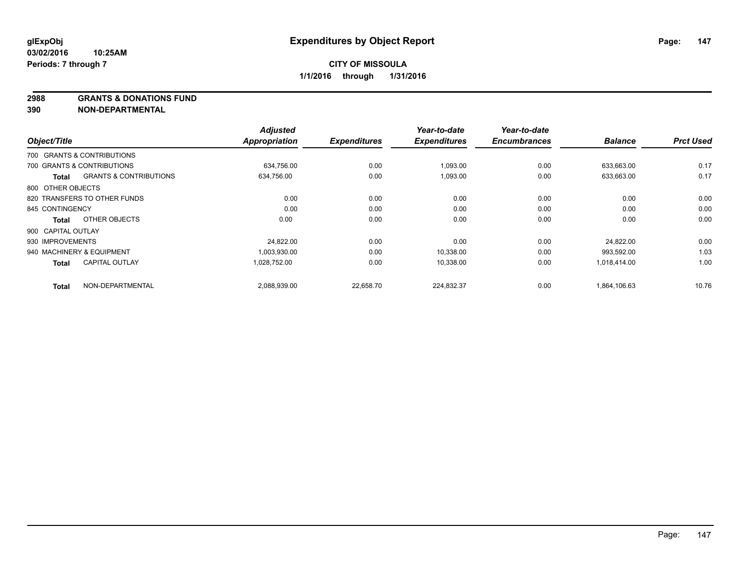**2988 GRANTS & DONATIONS FUND**

| Object/Title       |                                   | <b>Adjusted</b><br><b>Appropriation</b> | <b>Expenditures</b> | Year-to-date<br><b>Expenditures</b> | Year-to-date<br><b>Encumbrances</b> | <b>Balance</b> | <b>Prct Used</b> |
|--------------------|-----------------------------------|-----------------------------------------|---------------------|-------------------------------------|-------------------------------------|----------------|------------------|
|                    |                                   |                                         |                     |                                     |                                     |                |                  |
|                    | 700 GRANTS & CONTRIBUTIONS        |                                         |                     |                                     |                                     |                |                  |
|                    | 700 GRANTS & CONTRIBUTIONS        | 634,756.00                              | 0.00                | 1,093.00                            | 0.00                                | 633,663.00     | 0.17             |
| Total              | <b>GRANTS &amp; CONTRIBUTIONS</b> | 634,756.00                              | 0.00                | 1,093.00                            | 0.00                                | 633,663.00     | 0.17             |
| 800 OTHER OBJECTS  |                                   |                                         |                     |                                     |                                     |                |                  |
|                    | 820 TRANSFERS TO OTHER FUNDS      | 0.00                                    | 0.00                | 0.00                                | 0.00                                | 0.00           | 0.00             |
| 845 CONTINGENCY    |                                   | 0.00                                    | 0.00                | 0.00                                | 0.00                                | 0.00           | 0.00             |
| Total              | OTHER OBJECTS                     | 0.00                                    | 0.00                | 0.00                                | 0.00                                | 0.00           | 0.00             |
| 900 CAPITAL OUTLAY |                                   |                                         |                     |                                     |                                     |                |                  |
| 930 IMPROVEMENTS   |                                   | 24.822.00                               | 0.00                | 0.00                                | 0.00                                | 24.822.00      | 0.00             |
|                    | 940 MACHINERY & EQUIPMENT         | 1,003,930.00                            | 0.00                | 10,338.00                           | 0.00                                | 993,592.00     | 1.03             |
| <b>Total</b>       | <b>CAPITAL OUTLAY</b>             | 1.028.752.00                            | 0.00                | 10,338.00                           | 0.00                                | 1.018.414.00   | 1.00             |
| <b>Total</b>       | NON-DEPARTMENTAL                  | 2,088,939.00                            | 22,658.70           | 224,832.37                          | 0.00                                | 1,864,106.63   | 10.76            |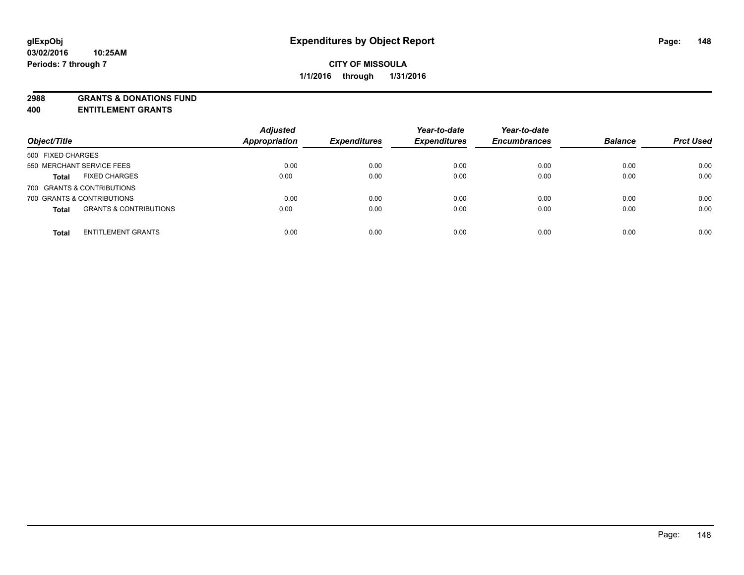**2988 GRANTS & DONATIONS FUND**

**400 ENTITLEMENT GRANTS**

| Object/Title                                      | <b>Adjusted</b><br>Appropriation | <b>Expenditures</b> | Year-to-date<br><b>Expenditures</b> | Year-to-date<br><b>Encumbrances</b> | <b>Balance</b> | <b>Prct Used</b> |
|---------------------------------------------------|----------------------------------|---------------------|-------------------------------------|-------------------------------------|----------------|------------------|
| 500 FIXED CHARGES                                 |                                  |                     |                                     |                                     |                |                  |
| 550 MERCHANT SERVICE FEES                         | 0.00                             | 0.00                | 0.00                                | 0.00                                | 0.00           | 0.00             |
| <b>FIXED CHARGES</b><br><b>Total</b>              | 0.00                             | 0.00                | 0.00                                | 0.00                                | 0.00           | 0.00             |
| 700 GRANTS & CONTRIBUTIONS                        |                                  |                     |                                     |                                     |                |                  |
| 700 GRANTS & CONTRIBUTIONS                        | 0.00                             | 0.00                | 0.00                                | 0.00                                | 0.00           | 0.00             |
| <b>GRANTS &amp; CONTRIBUTIONS</b><br><b>Total</b> | 0.00                             | 0.00                | 0.00                                | 0.00                                | 0.00           | 0.00             |
| <b>ENTITLEMENT GRANTS</b><br><b>Total</b>         | 0.00                             | 0.00                | 0.00                                | 0.00                                | 0.00           | 0.00             |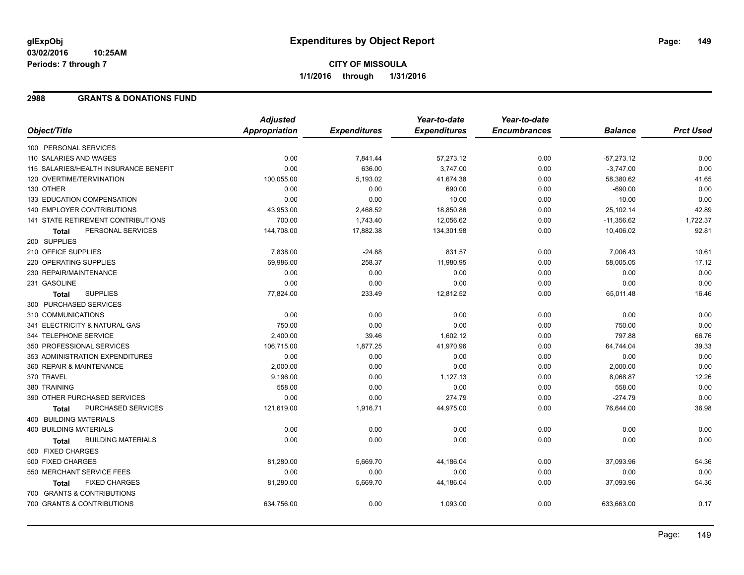### **2988 GRANTS & DONATIONS FUND**

|                                           | <b>Adjusted</b>      |                     | Year-to-date        | Year-to-date        |                |                  |
|-------------------------------------------|----------------------|---------------------|---------------------|---------------------|----------------|------------------|
| Object/Title                              | <b>Appropriation</b> | <b>Expenditures</b> | <b>Expenditures</b> | <b>Encumbrances</b> | <b>Balance</b> | <b>Prct Used</b> |
| 100 PERSONAL SERVICES                     |                      |                     |                     |                     |                |                  |
| 110 SALARIES AND WAGES                    | 0.00                 | 7,841.44            | 57,273.12           | 0.00                | $-57,273.12$   | 0.00             |
| 115 SALARIES/HEALTH INSURANCE BENEFIT     | 0.00                 | 636.00              | 3,747.00            | 0.00                | $-3,747.00$    | 0.00             |
| 120 OVERTIME/TERMINATION                  | 100,055.00           | 5,193.02            | 41,674.38           | 0.00                | 58,380.62      | 41.65            |
| 130 OTHER                                 | 0.00                 | 0.00                | 690.00              | 0.00                | $-690.00$      | 0.00             |
| 133 EDUCATION COMPENSATION                | 0.00                 | 0.00                | 10.00               | 0.00                | $-10.00$       | 0.00             |
| 140 EMPLOYER CONTRIBUTIONS                | 43,953.00            | 2,468.52            | 18,850.86           | 0.00                | 25,102.14      | 42.89            |
| <b>141 STATE RETIREMENT CONTRIBUTIONS</b> | 700.00               | 1,743.40            | 12,056.62           | 0.00                | $-11,356.62$   | 1,722.37         |
| PERSONAL SERVICES<br>Total                | 144,708.00           | 17,882.38           | 134,301.98          | 0.00                | 10,406.02      | 92.81            |
| 200 SUPPLIES                              |                      |                     |                     |                     |                |                  |
| 210 OFFICE SUPPLIES                       | 7,838.00             | $-24.88$            | 831.57              | 0.00                | 7,006.43       | 10.61            |
| 220 OPERATING SUPPLIES                    | 69,986.00            | 258.37              | 11,980.95           | 0.00                | 58,005.05      | 17.12            |
| 230 REPAIR/MAINTENANCE                    | 0.00                 | 0.00                | 0.00                | 0.00                | 0.00           | 0.00             |
| 231 GASOLINE                              | 0.00                 | 0.00                | 0.00                | 0.00                | 0.00           | 0.00             |
| <b>SUPPLIES</b><br><b>Total</b>           | 77,824.00            | 233.49              | 12,812.52           | 0.00                | 65,011.48      | 16.46            |
| 300 PURCHASED SERVICES                    |                      |                     |                     |                     |                |                  |
| 310 COMMUNICATIONS                        | 0.00                 | 0.00                | 0.00                | 0.00                | 0.00           | 0.00             |
| 341 ELECTRICITY & NATURAL GAS             | 750.00               | 0.00                | 0.00                | 0.00                | 750.00         | 0.00             |
| 344 TELEPHONE SERVICE                     | 2,400.00             | 39.46               | 1,602.12            | 0.00                | 797.88         | 66.76            |
| 350 PROFESSIONAL SERVICES                 | 106,715.00           | 1,877.25            | 41,970.96           | 0.00                | 64,744.04      | 39.33            |
| 353 ADMINISTRATION EXPENDITURES           | 0.00                 | 0.00                | 0.00                | 0.00                | 0.00           | 0.00             |
| 360 REPAIR & MAINTENANCE                  | 2,000.00             | 0.00                | 0.00                | 0.00                | 2,000.00       | 0.00             |
| 370 TRAVEL                                | 9,196.00             | 0.00                | 1,127.13            | 0.00                | 8,068.87       | 12.26            |
| 380 TRAINING                              | 558.00               | 0.00                | 0.00                | 0.00                | 558.00         | 0.00             |
| 390 OTHER PURCHASED SERVICES              | 0.00                 | 0.00                | 274.79              | 0.00                | $-274.79$      | 0.00             |
| PURCHASED SERVICES<br><b>Total</b>        | 121,619.00           | 1,916.71            | 44,975.00           | 0.00                | 76,644.00      | 36.98            |
| 400 BUILDING MATERIALS                    |                      |                     |                     |                     |                |                  |
| <b>400 BUILDING MATERIALS</b>             | 0.00                 | 0.00                | 0.00                | 0.00                | 0.00           | 0.00             |
| <b>BUILDING MATERIALS</b><br><b>Total</b> | 0.00                 | 0.00                | 0.00                | 0.00                | 0.00           | 0.00             |
| 500 FIXED CHARGES                         |                      |                     |                     |                     |                |                  |
| 500 FIXED CHARGES                         | 81,280.00            | 5,669.70            | 44,186.04           | 0.00                | 37,093.96      | 54.36            |
| 550 MERCHANT SERVICE FEES                 | 0.00                 | 0.00                | 0.00                | 0.00                | 0.00           | 0.00             |
| <b>FIXED CHARGES</b><br><b>Total</b>      | 81,280.00            | 5,669.70            | 44,186.04           | 0.00                | 37,093.96      | 54.36            |
| 700 GRANTS & CONTRIBUTIONS                |                      |                     |                     |                     |                |                  |
| 700 GRANTS & CONTRIBUTIONS                | 634,756.00           | 0.00                | 1,093.00            | 0.00                | 633,663.00     | 0.17             |
|                                           |                      |                     |                     |                     |                |                  |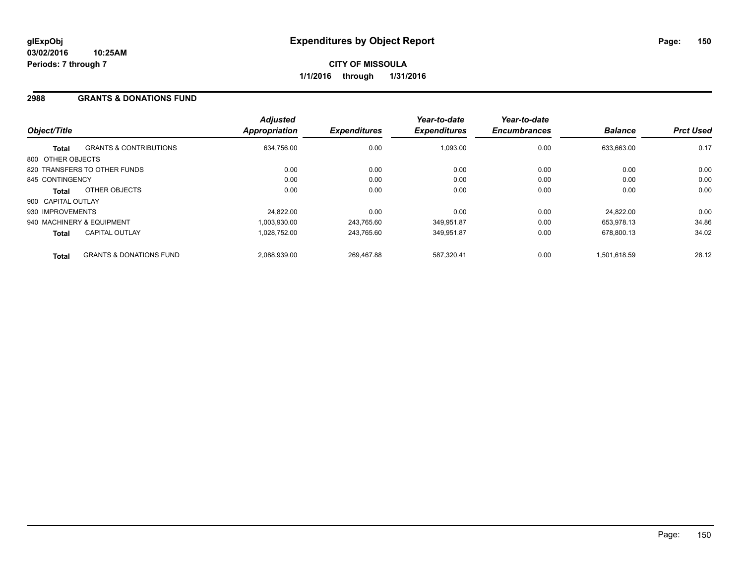#### **2988 GRANTS & DONATIONS FUND**

| Object/Title       |                                    | <b>Adjusted</b><br><b>Appropriation</b> | <b>Expenditures</b> | Year-to-date<br><b>Expenditures</b> | Year-to-date<br><b>Encumbrances</b> | <b>Balance</b> | <b>Prct Used</b> |
|--------------------|------------------------------------|-----------------------------------------|---------------------|-------------------------------------|-------------------------------------|----------------|------------------|
| <b>Total</b>       | <b>GRANTS &amp; CONTRIBUTIONS</b>  | 634,756.00                              | 0.00                | 1,093.00                            | 0.00                                | 633,663.00     | 0.17             |
| 800 OTHER OBJECTS  |                                    |                                         |                     |                                     |                                     |                |                  |
|                    | 820 TRANSFERS TO OTHER FUNDS       | 0.00                                    | 0.00                | 0.00                                | 0.00                                | 0.00           | 0.00             |
| 845 CONTINGENCY    |                                    | 0.00                                    | 0.00                | 0.00                                | 0.00                                | 0.00           | 0.00             |
| <b>Total</b>       | OTHER OBJECTS                      | 0.00                                    | 0.00                | 0.00                                | 0.00                                | 0.00           | 0.00             |
| 900 CAPITAL OUTLAY |                                    |                                         |                     |                                     |                                     |                |                  |
| 930 IMPROVEMENTS   |                                    | 24.822.00                               | 0.00                | 0.00                                | 0.00                                | 24.822.00      | 0.00             |
|                    | 940 MACHINERY & EQUIPMENT          | 1.003.930.00                            | 243.765.60          | 349,951.87                          | 0.00                                | 653.978.13     | 34.86            |
| <b>Total</b>       | <b>CAPITAL OUTLAY</b>              | 1.028.752.00                            | 243.765.60          | 349,951.87                          | 0.00                                | 678.800.13     | 34.02            |
| <b>Total</b>       | <b>GRANTS &amp; DONATIONS FUND</b> | 2,088,939.00                            | 269.467.88          | 587.320.41                          | 0.00                                | 1.501.618.59   | 28.12            |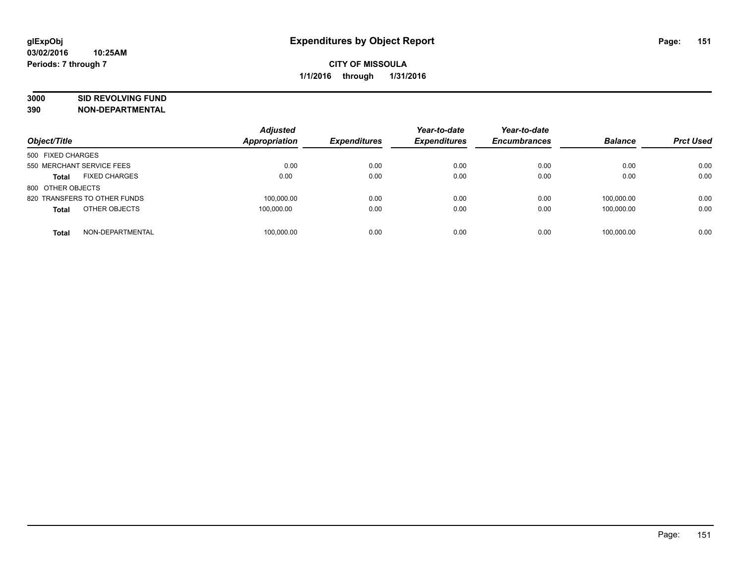# **3000 SID REVOLVING FUND**

| Object/Title                         | <b>Adjusted</b><br><b>Appropriation</b> | <b>Expenditures</b> | Year-to-date<br><b>Expenditures</b> | Year-to-date<br><b>Encumbrances</b> | <b>Balance</b> | <b>Prct Used</b> |
|--------------------------------------|-----------------------------------------|---------------------|-------------------------------------|-------------------------------------|----------------|------------------|
| 500 FIXED CHARGES                    |                                         |                     |                                     |                                     |                |                  |
| 550 MERCHANT SERVICE FEES            | 0.00                                    | 0.00                | 0.00                                | 0.00                                | 0.00           | 0.00             |
| <b>FIXED CHARGES</b><br><b>Total</b> | 0.00                                    | 0.00                | 0.00                                | 0.00                                | 0.00           | 0.00             |
| 800 OTHER OBJECTS                    |                                         |                     |                                     |                                     |                |                  |
| 820 TRANSFERS TO OTHER FUNDS         | 100,000.00                              | 0.00                | 0.00                                | 0.00                                | 100.000.00     | 0.00             |
| OTHER OBJECTS<br><b>Total</b>        | 100.000.00                              | 0.00                | 0.00                                | 0.00                                | 100.000.00     | 0.00             |
| NON-DEPARTMENTAL<br><b>Total</b>     | 100.000.00                              | 0.00                | 0.00                                | 0.00                                | 100.000.00     | 0.00             |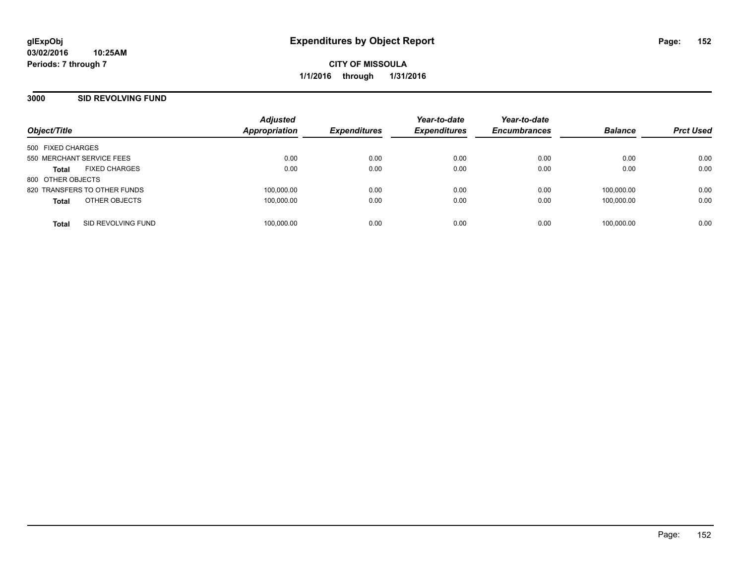### **3000 SID REVOLVING FUND**

| Object/Title                         | <b>Adjusted</b><br><b>Appropriation</b> | <b>Expenditures</b> | Year-to-date<br><b>Expenditures</b> | Year-to-date<br><b>Encumbrances</b> | <b>Balance</b> | <b>Prct Used</b> |
|--------------------------------------|-----------------------------------------|---------------------|-------------------------------------|-------------------------------------|----------------|------------------|
| 500 FIXED CHARGES                    |                                         |                     |                                     |                                     |                |                  |
| 550 MERCHANT SERVICE FEES            | 0.00                                    | 0.00                | 0.00                                | 0.00                                | 0.00           | 0.00             |
| <b>FIXED CHARGES</b><br><b>Total</b> | 0.00                                    | 0.00                | 0.00                                | 0.00                                | 0.00           | 0.00             |
| 800 OTHER OBJECTS                    |                                         |                     |                                     |                                     |                |                  |
| 820 TRANSFERS TO OTHER FUNDS         | 100,000.00                              | 0.00                | 0.00                                | 0.00                                | 100.000.00     | 0.00             |
| OTHER OBJECTS<br><b>Total</b>        | 100,000.00                              | 0.00                | 0.00                                | 0.00                                | 100,000.00     | 0.00             |
| SID REVOLVING FUND<br><b>Total</b>   | 100,000.00                              | 0.00                | 0.00                                | 0.00                                | 100.000.00     | 0.00             |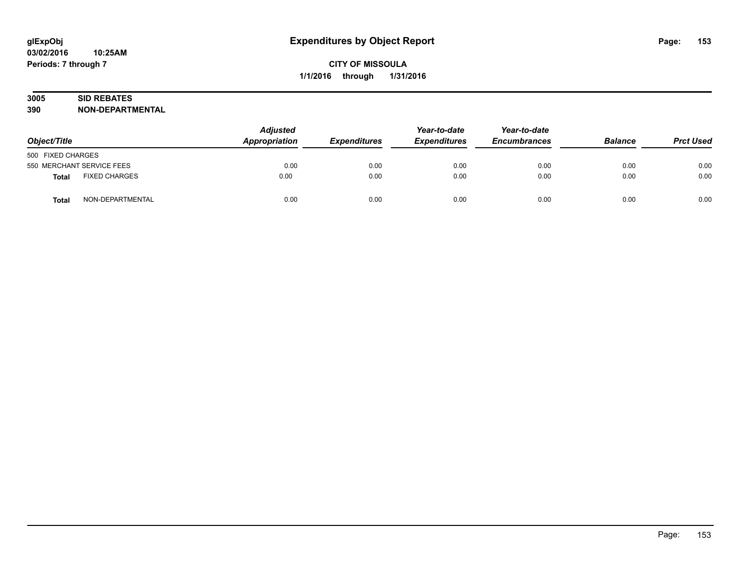# **3005 SID REBATES**

| Object/Title              |                      | <b>Adjusted</b><br>Appropriation | <b>Expenditures</b> | Year-to-date<br><b>Expenditures</b> | Year-to-date<br><b>Encumbrances</b> | <b>Balance</b> | <b>Prct Used</b> |
|---------------------------|----------------------|----------------------------------|---------------------|-------------------------------------|-------------------------------------|----------------|------------------|
| 500 FIXED CHARGES         |                      |                                  |                     |                                     |                                     |                |                  |
| 550 MERCHANT SERVICE FEES |                      | 0.00                             | 0.00                | 0.00                                | 0.00                                | 0.00           | 0.00             |
| Total                     | <b>FIXED CHARGES</b> | 0.00                             | 0.00                | 0.00                                | 0.00                                | 0.00           | 0.00             |
| <b>Total</b>              | NON-DEPARTMENTAL     | 0.00                             | 0.00                | 0.00                                | 0.00                                | 0.00           | 0.00             |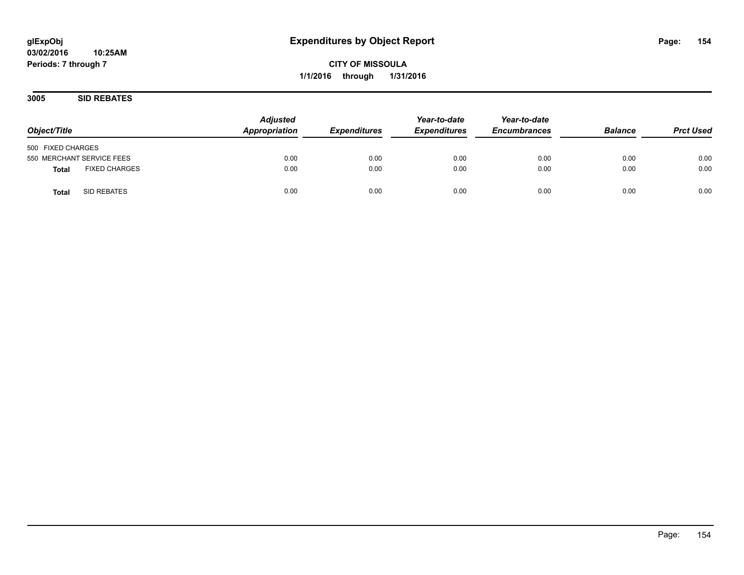**3005 SID REBATES**

| Object/Title                  | <b>Adjusted</b><br>Appropriation | <b>Expenditures</b> | Year-to-date<br><b>Expenditures</b> | Year-to-date<br><b>Encumbrances</b> | <b>Balance</b> | <b>Prct Used</b> |
|-------------------------------|----------------------------------|---------------------|-------------------------------------|-------------------------------------|----------------|------------------|
| 500 FIXED CHARGES             |                                  |                     |                                     |                                     |                |                  |
| 550 MERCHANT SERVICE FEES     | 0.00                             | 0.00                | 0.00                                | 0.00                                | 0.00           | 0.00             |
| <b>FIXED CHARGES</b><br>Total | 0.00                             | 0.00                | 0.00                                | 0.00                                | 0.00           | 0.00             |
| SID REBATES<br><b>Total</b>   | 0.00                             | 0.00                | 0.00                                | 0.00                                | 0.00           | 0.00             |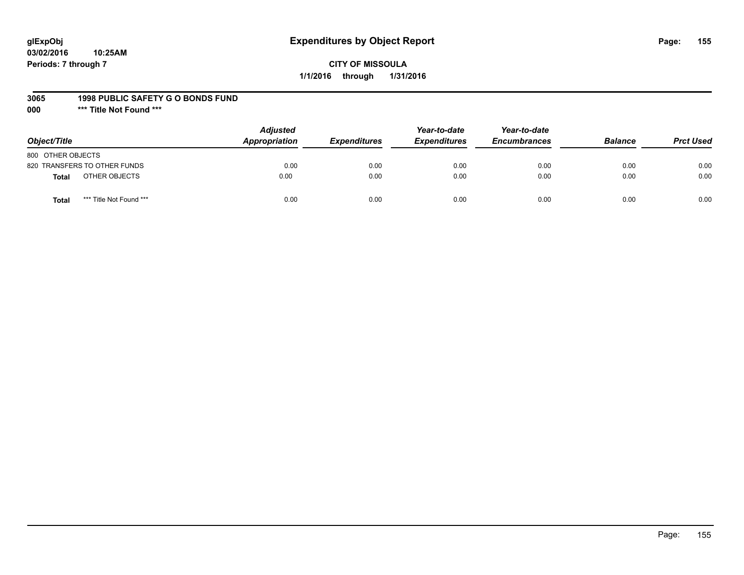## **glExpObj Expenditures by Object Report Page: 155**

### **CITY OF MISSOULA 1/1/2016 through 1/31/2016**

#### **3065 1998 PUBLIC SAFETY G O BONDS FUND**

**000 \*\*\* Title Not Found \*\*\***

| Object/Title                            | <b>Adjusted</b><br>Appropriation | <b>Expenditures</b> | Year-to-date<br><b>Expenditures</b> | Year-to-date<br><b>Encumbrances</b> | <b>Balance</b> | <b>Prct Used</b> |
|-----------------------------------------|----------------------------------|---------------------|-------------------------------------|-------------------------------------|----------------|------------------|
| 800 OTHER OBJECTS                       |                                  |                     |                                     |                                     |                |                  |
| 820 TRANSFERS TO OTHER FUNDS            | 0.00                             | 0.00                | 0.00                                | 0.00                                | 0.00           | 0.00             |
| OTHER OBJECTS<br><b>Total</b>           | 0.00                             | 0.00                | 0.00                                | 0.00                                | 0.00           | 0.00             |
| *** Title Not Found ***<br><b>Total</b> | 0.00                             | 0.00                | 0.00                                | 0.00                                | 0.00           | 0.00             |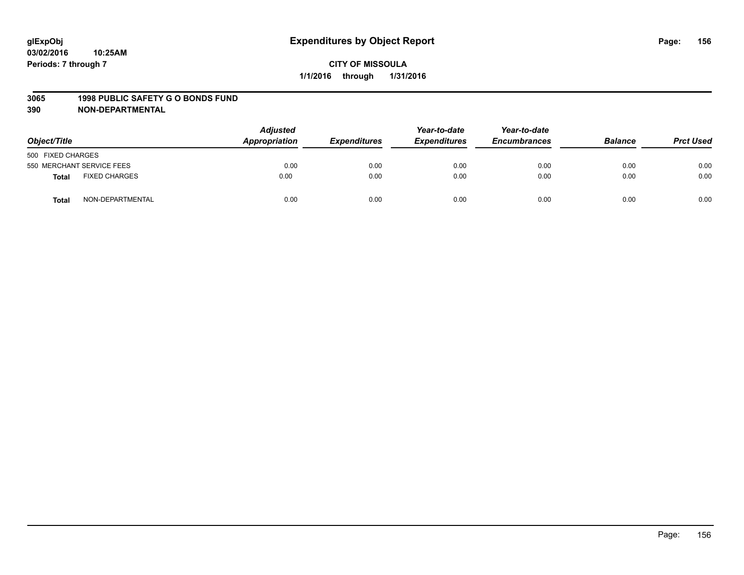#### **3065 1998 PUBLIC SAFETY G O BONDS FUND**

| Object/Title                  | <b>Adjusted</b><br>Appropriation | <b>Expenditures</b> | Year-to-date<br><b>Expenditures</b> | Year-to-date<br><b>Encumbrances</b> | <b>Balance</b> | <b>Prct Used</b> |
|-------------------------------|----------------------------------|---------------------|-------------------------------------|-------------------------------------|----------------|------------------|
| 500 FIXED CHARGES             |                                  |                     |                                     |                                     |                |                  |
| 550 MERCHANT SERVICE FEES     | 0.00                             | 0.00                | 0.00                                | 0.00                                | 0.00           | 0.00             |
| <b>FIXED CHARGES</b><br>Total | 0.00                             | 0.00                | 0.00                                | 0.00                                | 0.00           | 0.00             |
| NON-DEPARTMENTAL<br>Total     | 0.00                             | 0.00                | 0.00                                | 0.00                                | 0.00           | 0.00             |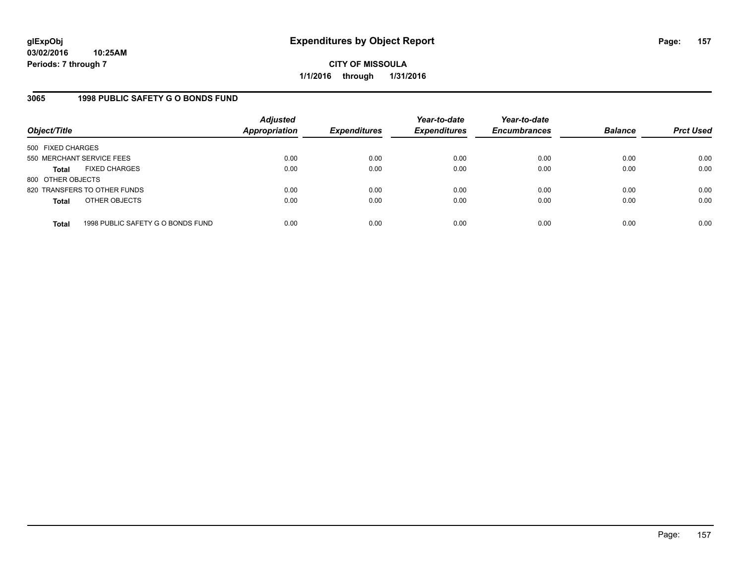### **3065 1998 PUBLIC SAFETY G O BONDS FUND**

| Object/Title              |                                   | <b>Adjusted</b><br><b>Appropriation</b> | <b>Expenditures</b> | Year-to-date<br><b>Expenditures</b> | Year-to-date<br><b>Encumbrances</b> | <b>Balance</b> | <b>Prct Used</b> |
|---------------------------|-----------------------------------|-----------------------------------------|---------------------|-------------------------------------|-------------------------------------|----------------|------------------|
| 500 FIXED CHARGES         |                                   |                                         |                     |                                     |                                     |                |                  |
| 550 MERCHANT SERVICE FEES |                                   | 0.00                                    | 0.00                | 0.00                                | 0.00                                | 0.00           | 0.00             |
| Total                     | <b>FIXED CHARGES</b>              | 0.00                                    | 0.00                | 0.00                                | 0.00                                | 0.00           | 0.00             |
| 800 OTHER OBJECTS         |                                   |                                         |                     |                                     |                                     |                |                  |
|                           | 820 TRANSFERS TO OTHER FUNDS      | 0.00                                    | 0.00                | 0.00                                | 0.00                                | 0.00           | 0.00             |
| <b>Total</b>              | OTHER OBJECTS                     | 0.00                                    | 0.00                | 0.00                                | 0.00                                | 0.00           | 0.00             |
| <b>Total</b>              | 1998 PUBLIC SAFETY G O BONDS FUND | 0.00                                    | 0.00                | 0.00                                | 0.00                                | 0.00           | 0.00             |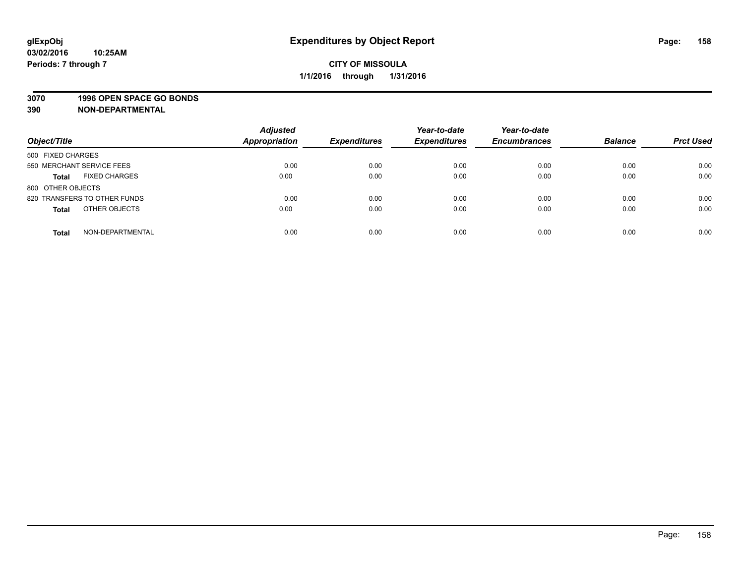### **3070 1996 OPEN SPACE GO BONDS**

| Object/Title                         | <b>Adjusted</b><br><b>Appropriation</b> | <b>Expenditures</b> | Year-to-date<br><b>Expenditures</b> | Year-to-date<br><b>Encumbrances</b> | <b>Balance</b> | <b>Prct Used</b> |
|--------------------------------------|-----------------------------------------|---------------------|-------------------------------------|-------------------------------------|----------------|------------------|
|                                      |                                         |                     |                                     |                                     |                |                  |
| 500 FIXED CHARGES                    |                                         |                     |                                     |                                     |                |                  |
| 550 MERCHANT SERVICE FEES            | 0.00                                    | 0.00                | 0.00                                | 0.00                                | 0.00           | 0.00             |
| <b>FIXED CHARGES</b><br><b>Total</b> | 0.00                                    | 0.00                | 0.00                                | 0.00                                | 0.00           | 0.00             |
| 800 OTHER OBJECTS                    |                                         |                     |                                     |                                     |                |                  |
| 820 TRANSFERS TO OTHER FUNDS         | 0.00                                    | 0.00                | 0.00                                | 0.00                                | 0.00           | 0.00             |
| OTHER OBJECTS<br><b>Total</b>        | 0.00                                    | 0.00                | 0.00                                | 0.00                                | 0.00           | 0.00             |
|                                      |                                         |                     |                                     |                                     |                |                  |
| NON-DEPARTMENTAL<br><b>Total</b>     | 0.00                                    | 0.00                | 0.00                                | 0.00                                | 0.00           | 0.00             |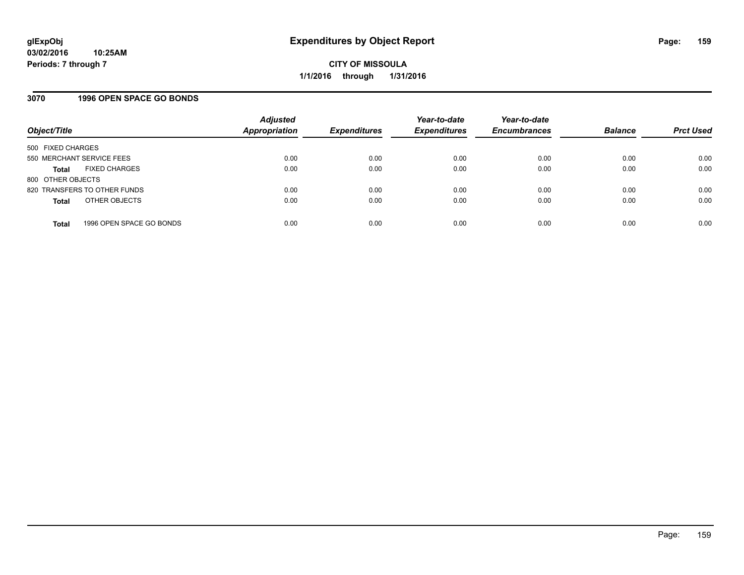### **3070 1996 OPEN SPACE GO BONDS**

| Object/Title                             | <b>Adjusted</b><br><b>Appropriation</b> | <b>Expenditures</b> | Year-to-date<br><b>Expenditures</b> | Year-to-date<br><b>Encumbrances</b> | <b>Balance</b> | <b>Prct Used</b> |
|------------------------------------------|-----------------------------------------|---------------------|-------------------------------------|-------------------------------------|----------------|------------------|
| 500 FIXED CHARGES                        |                                         |                     |                                     |                                     |                |                  |
| 550 MERCHANT SERVICE FEES                | 0.00                                    | 0.00                | 0.00                                | 0.00                                | 0.00           | 0.00             |
| <b>FIXED CHARGES</b><br><b>Total</b>     | 0.00                                    | 0.00                | 0.00                                | 0.00                                | 0.00           | 0.00             |
| 800 OTHER OBJECTS                        |                                         |                     |                                     |                                     |                |                  |
| 820 TRANSFERS TO OTHER FUNDS             | 0.00                                    | 0.00                | 0.00                                | 0.00                                | 0.00           | 0.00             |
| OTHER OBJECTS<br><b>Total</b>            | 0.00                                    | 0.00                | 0.00                                | 0.00                                | 0.00           | 0.00             |
| 1996 OPEN SPACE GO BONDS<br><b>Total</b> | 0.00                                    | 0.00                | 0.00                                | 0.00                                | 0.00           | 0.00             |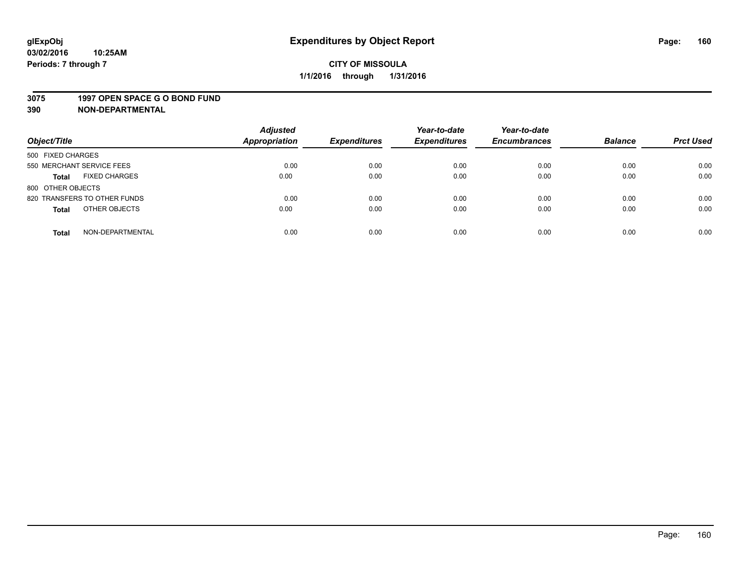#### **3075 1997 OPEN SPACE G O BOND FUND**

| Object/Title                         | <b>Adjusted</b><br><b>Appropriation</b> | <b>Expenditures</b> | Year-to-date<br><b>Expenditures</b> | Year-to-date<br><b>Encumbrances</b> | <b>Balance</b> | <b>Prct Used</b> |
|--------------------------------------|-----------------------------------------|---------------------|-------------------------------------|-------------------------------------|----------------|------------------|
|                                      |                                         |                     |                                     |                                     |                |                  |
| 500 FIXED CHARGES                    |                                         |                     |                                     |                                     |                |                  |
| 550 MERCHANT SERVICE FEES            | 0.00                                    | 0.00                | 0.00                                | 0.00                                | 0.00           | 0.00             |
| <b>FIXED CHARGES</b><br><b>Total</b> | 0.00                                    | 0.00                | 0.00                                | 0.00                                | 0.00           | 0.00             |
| 800 OTHER OBJECTS                    |                                         |                     |                                     |                                     |                |                  |
| 820 TRANSFERS TO OTHER FUNDS         | 0.00                                    | 0.00                | 0.00                                | 0.00                                | 0.00           | 0.00             |
| OTHER OBJECTS<br><b>Total</b>        | 0.00                                    | 0.00                | 0.00                                | 0.00                                | 0.00           | 0.00             |
|                                      |                                         |                     |                                     |                                     |                |                  |
| NON-DEPARTMENTAL<br><b>Total</b>     | 0.00                                    | 0.00                | 0.00                                | 0.00                                | 0.00           | 0.00             |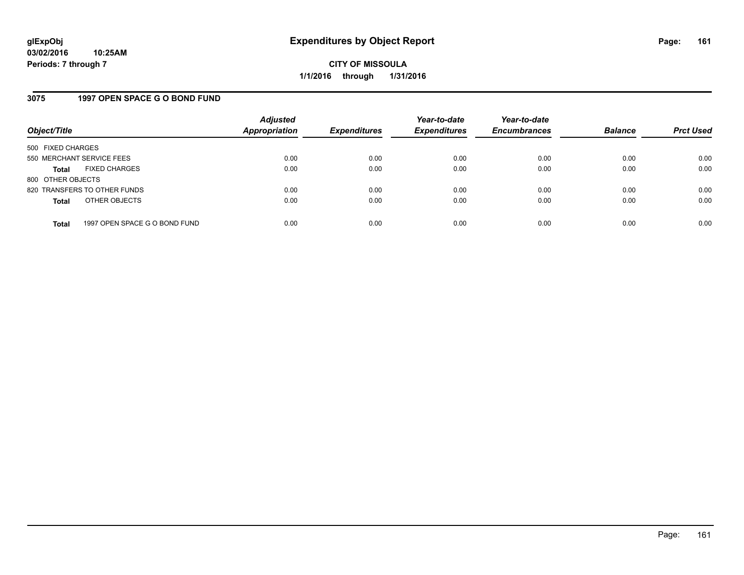### **3075 1997 OPEN SPACE G O BOND FUND**

| Object/Title              |                               | <b>Adjusted</b><br><b>Appropriation</b> | <b>Expenditures</b> | Year-to-date<br><b>Expenditures</b> | Year-to-date<br><b>Encumbrances</b> | <b>Balance</b> | <b>Prct Used</b> |
|---------------------------|-------------------------------|-----------------------------------------|---------------------|-------------------------------------|-------------------------------------|----------------|------------------|
| 500 FIXED CHARGES         |                               |                                         |                     |                                     |                                     |                |                  |
| 550 MERCHANT SERVICE FEES |                               | 0.00                                    | 0.00                | 0.00                                | 0.00                                | 0.00           | 0.00             |
| <b>Total</b>              | <b>FIXED CHARGES</b>          | 0.00                                    | 0.00                | 0.00                                | 0.00                                | 0.00           | 0.00             |
| 800 OTHER OBJECTS         |                               |                                         |                     |                                     |                                     |                |                  |
|                           | 820 TRANSFERS TO OTHER FUNDS  | 0.00                                    | 0.00                | 0.00                                | 0.00                                | 0.00           | 0.00             |
| <b>Total</b>              | OTHER OBJECTS                 | 0.00                                    | 0.00                | 0.00                                | 0.00                                | 0.00           | 0.00             |
| <b>Total</b>              | 1997 OPEN SPACE G O BOND FUND | 0.00                                    | 0.00                | 0.00                                | 0.00                                | 0.00           | 0.00             |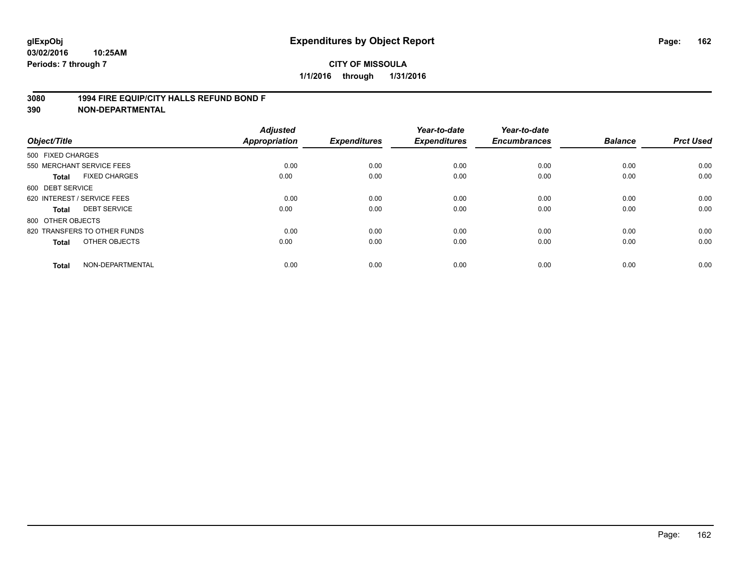### **3080 1994 FIRE EQUIP/CITY HALLS REFUND BOND F**

| Object/Title                 |                      | <b>Adjusted</b><br><b>Appropriation</b> | <b>Expenditures</b> | Year-to-date<br><b>Expenditures</b> | Year-to-date<br><b>Encumbrances</b> | <b>Balance</b> | <b>Prct Used</b> |
|------------------------------|----------------------|-----------------------------------------|---------------------|-------------------------------------|-------------------------------------|----------------|------------------|
| 500 FIXED CHARGES            |                      |                                         |                     |                                     |                                     |                |                  |
| 550 MERCHANT SERVICE FEES    |                      | 0.00                                    | 0.00                | 0.00                                | 0.00                                | 0.00           | 0.00             |
| <b>Total</b>                 | <b>FIXED CHARGES</b> | 0.00                                    | 0.00                | 0.00                                | 0.00                                | 0.00           | 0.00             |
| 600 DEBT SERVICE             |                      |                                         |                     |                                     |                                     |                |                  |
| 620 INTEREST / SERVICE FEES  |                      | 0.00                                    | 0.00                | 0.00                                | 0.00                                | 0.00           | 0.00             |
| <b>DEBT SERVICE</b><br>Total |                      | 0.00                                    | 0.00                | 0.00                                | 0.00                                | 0.00           | 0.00             |
| 800 OTHER OBJECTS            |                      |                                         |                     |                                     |                                     |                |                  |
| 820 TRANSFERS TO OTHER FUNDS |                      | 0.00                                    | 0.00                | 0.00                                | 0.00                                | 0.00           | 0.00             |
| Total                        | OTHER OBJECTS        | 0.00                                    | 0.00                | 0.00                                | 0.00                                | 0.00           | 0.00             |
|                              |                      |                                         |                     |                                     |                                     |                |                  |
| <b>Total</b>                 | NON-DEPARTMENTAL     | 0.00                                    | 0.00                | 0.00                                | 0.00                                | 0.00           | 0.00             |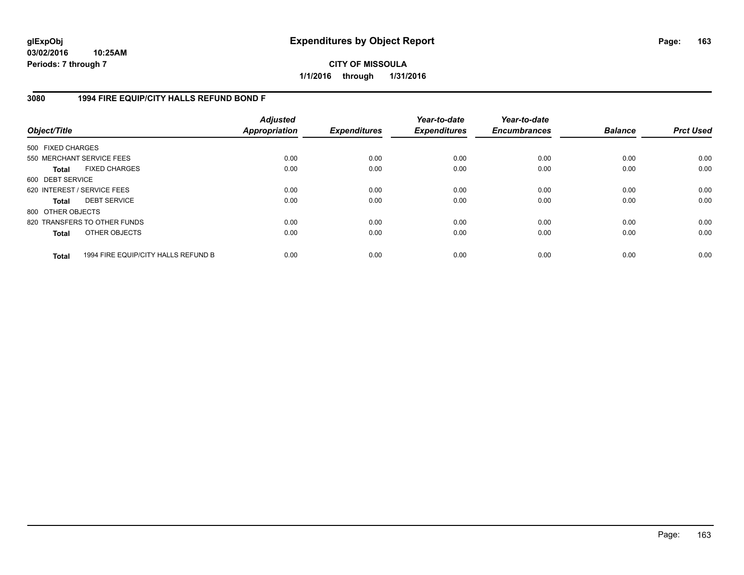**CITY OF MISSOULA 1/1/2016 through 1/31/2016**

### **3080 1994 FIRE EQUIP/CITY HALLS REFUND BOND F**

| Object/Title                |                                     | <b>Adjusted</b><br>Appropriation | <b>Expenditures</b> | Year-to-date<br><b>Expenditures</b> | Year-to-date<br><b>Encumbrances</b> | <b>Balance</b> | <b>Prct Used</b> |
|-----------------------------|-------------------------------------|----------------------------------|---------------------|-------------------------------------|-------------------------------------|----------------|------------------|
| 500 FIXED CHARGES           |                                     |                                  |                     |                                     |                                     |                |                  |
| 550 MERCHANT SERVICE FEES   |                                     | 0.00                             | 0.00                | 0.00                                | 0.00                                | 0.00           | 0.00             |
| Total                       | <b>FIXED CHARGES</b>                | 0.00                             | 0.00                | 0.00                                | 0.00                                | 0.00           | 0.00             |
| 600 DEBT SERVICE            |                                     |                                  |                     |                                     |                                     |                |                  |
| 620 INTEREST / SERVICE FEES |                                     | 0.00                             | 0.00                | 0.00                                | 0.00                                | 0.00           | 0.00             |
| Total                       | <b>DEBT SERVICE</b>                 | 0.00                             | 0.00                | 0.00                                | 0.00                                | 0.00           | 0.00             |
| 800 OTHER OBJECTS           |                                     |                                  |                     |                                     |                                     |                |                  |
|                             | 820 TRANSFERS TO OTHER FUNDS        | 0.00                             | 0.00                | 0.00                                | 0.00                                | 0.00           | 0.00             |
| <b>Total</b>                | OTHER OBJECTS                       | 0.00                             | 0.00                | 0.00                                | 0.00                                | 0.00           | 0.00             |
| <b>Total</b>                | 1994 FIRE EQUIP/CITY HALLS REFUND B | 0.00                             | 0.00                | 0.00                                | 0.00                                | 0.00           | 0.00             |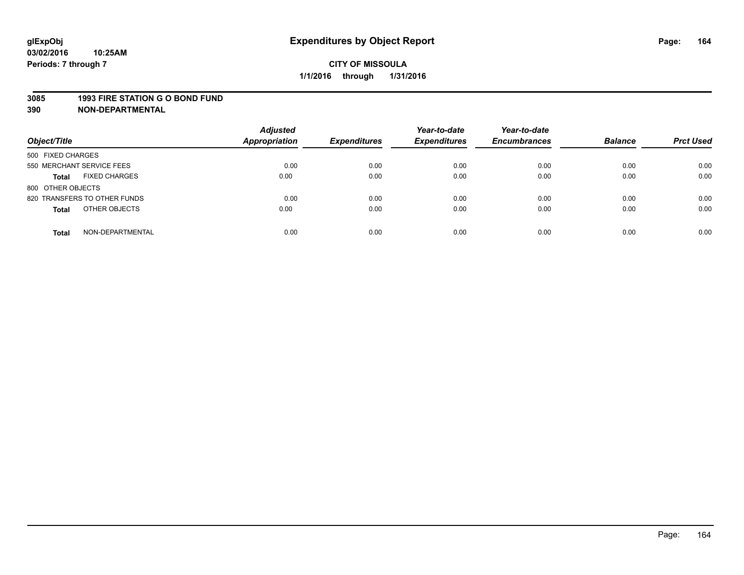## **CITY OF MISSOULA 1/1/2016 through 1/31/2016**

#### **3085 1993 FIRE STATION G O BOND FUND**

| Object/Title                         | <b>Adjusted</b><br><b>Appropriation</b> | <b>Expenditures</b> | Year-to-date<br><b>Expenditures</b> | Year-to-date<br><b>Encumbrances</b> | <b>Balance</b> | <b>Prct Used</b> |
|--------------------------------------|-----------------------------------------|---------------------|-------------------------------------|-------------------------------------|----------------|------------------|
| 500 FIXED CHARGES                    |                                         |                     |                                     |                                     |                |                  |
| 550 MERCHANT SERVICE FEES            | 0.00                                    | 0.00                | 0.00                                | 0.00                                | 0.00           | 0.00             |
| <b>FIXED CHARGES</b><br><b>Total</b> | 0.00                                    | 0.00                | 0.00                                | 0.00                                | 0.00           | 0.00             |
| 800 OTHER OBJECTS                    |                                         |                     |                                     |                                     |                |                  |
| 820 TRANSFERS TO OTHER FUNDS         | 0.00                                    | 0.00                | 0.00                                | 0.00                                | 0.00           | 0.00             |
| OTHER OBJECTS<br><b>Total</b>        | 0.00                                    | 0.00                | 0.00                                | 0.00                                | 0.00           | 0.00             |
| NON-DEPARTMENTAL<br><b>Total</b>     | 0.00                                    | 0.00                | 0.00                                | 0.00                                | 0.00           | 0.00             |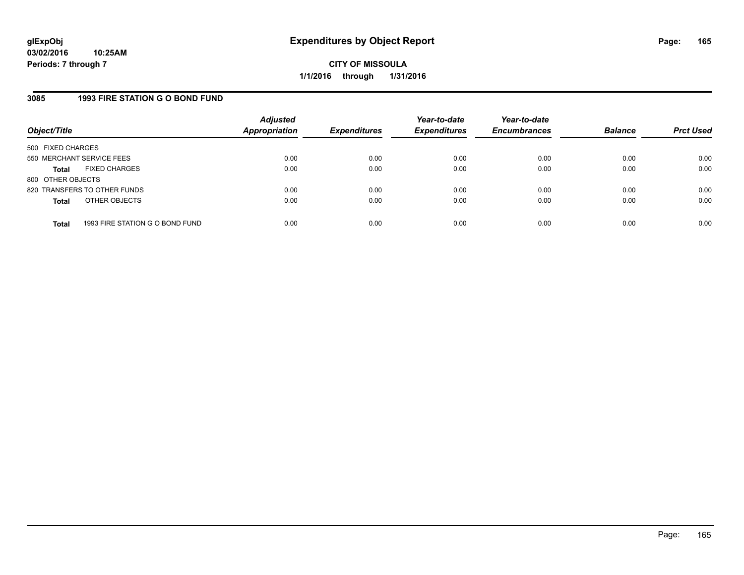### **3085 1993 FIRE STATION G O BOND FUND**

| Object/Title              |                                 | <b>Adjusted</b><br><b>Appropriation</b> | <b>Expenditures</b> | Year-to-date<br><b>Expenditures</b> | Year-to-date<br><b>Encumbrances</b> | <b>Balance</b> | <b>Prct Used</b> |
|---------------------------|---------------------------------|-----------------------------------------|---------------------|-------------------------------------|-------------------------------------|----------------|------------------|
| 500 FIXED CHARGES         |                                 |                                         |                     |                                     |                                     |                |                  |
| 550 MERCHANT SERVICE FEES |                                 | 0.00                                    | 0.00                | 0.00                                | 0.00                                | 0.00           | 0.00             |
| <b>Total</b>              | <b>FIXED CHARGES</b>            | 0.00                                    | 0.00                | 0.00                                | 0.00                                | 0.00           | 0.00             |
| 800 OTHER OBJECTS         |                                 |                                         |                     |                                     |                                     |                |                  |
|                           | 820 TRANSFERS TO OTHER FUNDS    | 0.00                                    | 0.00                | 0.00                                | 0.00                                | 0.00           | 0.00             |
| <b>Total</b>              | OTHER OBJECTS                   | 0.00                                    | 0.00                | 0.00                                | 0.00                                | 0.00           | 0.00             |
| <b>Total</b>              | 1993 FIRE STATION G O BOND FUND | 0.00                                    | 0.00                | 0.00                                | 0.00                                | 0.00           | 0.00             |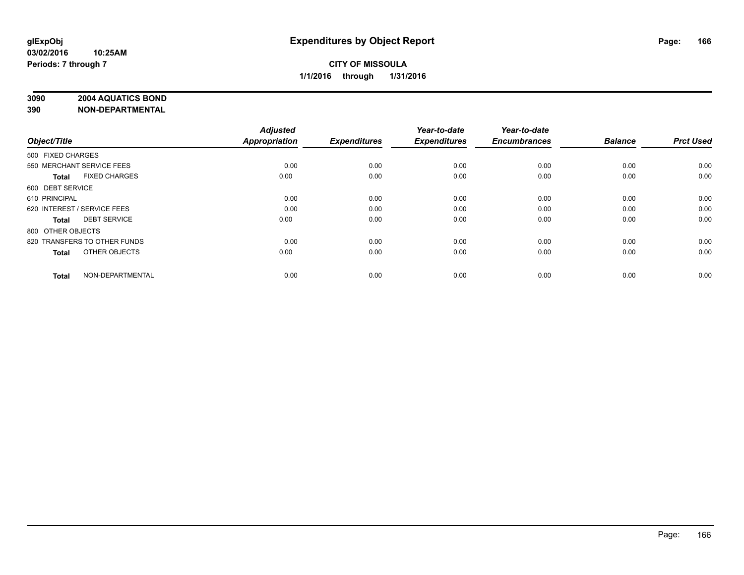### **3090 2004 AQUATICS BOND**

|                   |                              | <b>Adjusted</b>      |                     | Year-to-date        | Year-to-date        |                |                  |
|-------------------|------------------------------|----------------------|---------------------|---------------------|---------------------|----------------|------------------|
| Object/Title      |                              | <b>Appropriation</b> | <b>Expenditures</b> | <b>Expenditures</b> | <b>Encumbrances</b> | <b>Balance</b> | <b>Prct Used</b> |
| 500 FIXED CHARGES |                              |                      |                     |                     |                     |                |                  |
|                   | 550 MERCHANT SERVICE FEES    | 0.00                 | 0.00                | 0.00                | 0.00                | 0.00           | 0.00             |
| Total             | <b>FIXED CHARGES</b>         | 0.00                 | 0.00                | 0.00                | 0.00                | 0.00           | 0.00             |
| 600 DEBT SERVICE  |                              |                      |                     |                     |                     |                |                  |
| 610 PRINCIPAL     |                              | 0.00                 | 0.00                | 0.00                | 0.00                | 0.00           | 0.00             |
|                   | 620 INTEREST / SERVICE FEES  | 0.00                 | 0.00                | 0.00                | 0.00                | 0.00           | 0.00             |
| Total             | <b>DEBT SERVICE</b>          | 0.00                 | 0.00                | 0.00                | 0.00                | 0.00           | 0.00             |
| 800 OTHER OBJECTS |                              |                      |                     |                     |                     |                |                  |
|                   | 820 TRANSFERS TO OTHER FUNDS | 0.00                 | 0.00                | 0.00                | 0.00                | 0.00           | 0.00             |
| <b>Total</b>      | OTHER OBJECTS                | 0.00                 | 0.00                | 0.00                | 0.00                | 0.00           | 0.00             |
| <b>Total</b>      | NON-DEPARTMENTAL             | 0.00                 | 0.00                | 0.00                | 0.00                | 0.00           | 0.00             |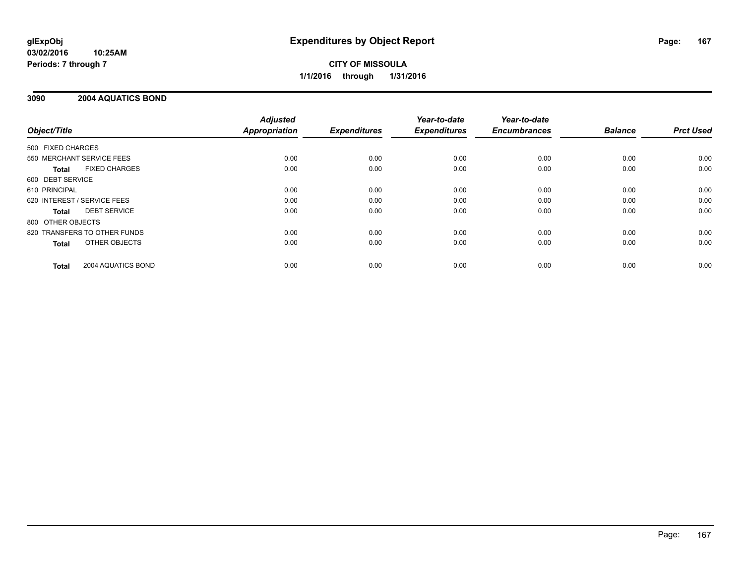## **CITY OF MISSOULA 1/1/2016 through 1/31/2016**

### **3090 2004 AQUATICS BOND**

|                              |                      | <b>Adjusted</b>      |                     | Year-to-date        | Year-to-date<br><b>Encumbrances</b> | <b>Balance</b> | <b>Prct Used</b> |
|------------------------------|----------------------|----------------------|---------------------|---------------------|-------------------------------------|----------------|------------------|
| Object/Title                 |                      | <b>Appropriation</b> | <b>Expenditures</b> | <b>Expenditures</b> |                                     |                |                  |
| 500 FIXED CHARGES            |                      |                      |                     |                     |                                     |                |                  |
| 550 MERCHANT SERVICE FEES    |                      | 0.00                 | 0.00                | 0.00                | 0.00                                | 0.00           | 0.00             |
| Total                        | <b>FIXED CHARGES</b> | 0.00                 | 0.00                | 0.00                | 0.00                                | 0.00           | 0.00             |
| 600 DEBT SERVICE             |                      |                      |                     |                     |                                     |                |                  |
| 610 PRINCIPAL                |                      | 0.00                 | 0.00                | 0.00                | 0.00                                | 0.00           | 0.00             |
| 620 INTEREST / SERVICE FEES  |                      | 0.00                 | 0.00                | 0.00                | 0.00                                | 0.00           | 0.00             |
| Total                        | <b>DEBT SERVICE</b>  | 0.00                 | 0.00                | 0.00                | 0.00                                | 0.00           | 0.00             |
| 800 OTHER OBJECTS            |                      |                      |                     |                     |                                     |                |                  |
| 820 TRANSFERS TO OTHER FUNDS |                      | 0.00                 | 0.00                | 0.00                | 0.00                                | 0.00           | 0.00             |
| <b>Total</b>                 | OTHER OBJECTS        | 0.00                 | 0.00                | 0.00                | 0.00                                | 0.00           | 0.00             |
| <b>Total</b>                 | 2004 AQUATICS BOND   | 0.00                 | 0.00                | 0.00                | 0.00                                | 0.00           | 0.00             |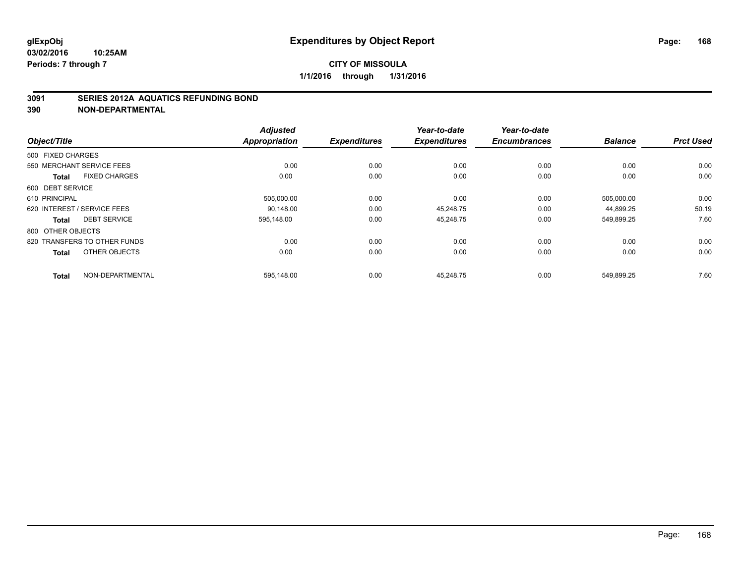### **3091 SERIES 2012A AQUATICS REFUNDING BOND**

|                                      | <b>Adjusted</b> |                     | Year-to-date        | Year-to-date        |                |                  |
|--------------------------------------|-----------------|---------------------|---------------------|---------------------|----------------|------------------|
| Object/Title                         | Appropriation   | <b>Expenditures</b> | <b>Expenditures</b> | <b>Encumbrances</b> | <b>Balance</b> | <b>Prct Used</b> |
| 500 FIXED CHARGES                    |                 |                     |                     |                     |                |                  |
| 550 MERCHANT SERVICE FEES            | 0.00            | 0.00                | 0.00                | 0.00                | 0.00           | 0.00             |
| <b>FIXED CHARGES</b><br><b>Total</b> | 0.00            | 0.00                | 0.00                | 0.00                | 0.00           | 0.00             |
| 600 DEBT SERVICE                     |                 |                     |                     |                     |                |                  |
| 610 PRINCIPAL                        | 505,000.00      | 0.00                | 0.00                | 0.00                | 505,000.00     | 0.00             |
| 620 INTEREST / SERVICE FEES          | 90.148.00       | 0.00                | 45.248.75           | 0.00                | 44,899.25      | 50.19            |
| <b>DEBT SERVICE</b><br><b>Total</b>  | 595.148.00      | 0.00                | 45,248.75           | 0.00                | 549,899.25     | 7.60             |
| 800 OTHER OBJECTS                    |                 |                     |                     |                     |                |                  |
| 820 TRANSFERS TO OTHER FUNDS         | 0.00            | 0.00                | 0.00                | 0.00                | 0.00           | 0.00             |
| OTHER OBJECTS<br><b>Total</b>        | 0.00            | 0.00                | 0.00                | 0.00                | 0.00           | 0.00             |
| NON-DEPARTMENTAL<br><b>Total</b>     | 595,148.00      | 0.00                | 45,248.75           | 0.00                | 549,899.25     | 7.60             |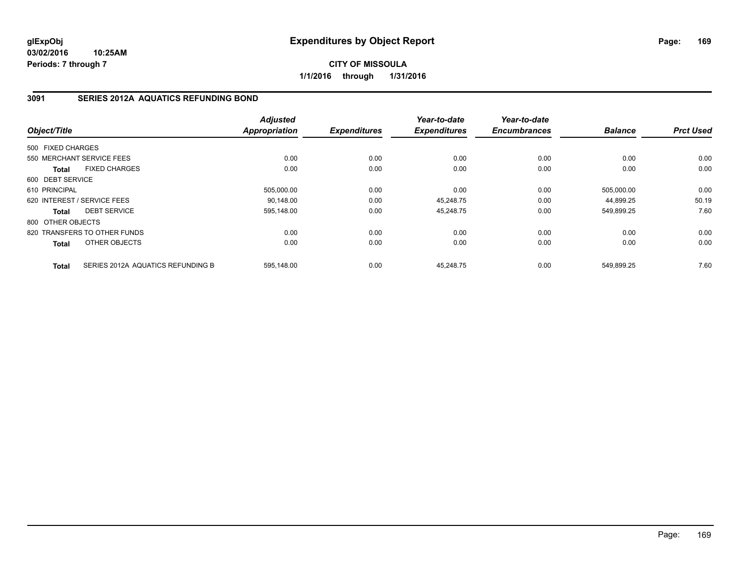**CITY OF MISSOULA 1/1/2016 through 1/31/2016**

### **3091 SERIES 2012A AQUATICS REFUNDING BOND**

| Object/Title      |                                   | <b>Adjusted</b><br>Appropriation | <b>Expenditures</b> | Year-to-date<br><b>Expenditures</b> | Year-to-date<br><b>Encumbrances</b> | <b>Balance</b> | <b>Prct Used</b> |
|-------------------|-----------------------------------|----------------------------------|---------------------|-------------------------------------|-------------------------------------|----------------|------------------|
| 500 FIXED CHARGES |                                   |                                  |                     |                                     |                                     |                |                  |
|                   |                                   |                                  |                     |                                     |                                     |                |                  |
|                   | 550 MERCHANT SERVICE FEES         | 0.00                             | 0.00                | 0.00                                | 0.00                                | 0.00           | 0.00             |
| <b>Total</b>      | <b>FIXED CHARGES</b>              | 0.00                             | 0.00                | 0.00                                | 0.00                                | 0.00           | 0.00             |
| 600 DEBT SERVICE  |                                   |                                  |                     |                                     |                                     |                |                  |
| 610 PRINCIPAL     |                                   | 505.000.00                       | 0.00                | 0.00                                | 0.00                                | 505.000.00     | 0.00             |
|                   | 620 INTEREST / SERVICE FEES       | 90,148.00                        | 0.00                | 45,248.75                           | 0.00                                | 44,899.25      | 50.19            |
| <b>Total</b>      | <b>DEBT SERVICE</b>               | 595,148.00                       | 0.00                | 45,248.75                           | 0.00                                | 549,899.25     | 7.60             |
| 800 OTHER OBJECTS |                                   |                                  |                     |                                     |                                     |                |                  |
|                   | 820 TRANSFERS TO OTHER FUNDS      | 0.00                             | 0.00                | 0.00                                | 0.00                                | 0.00           | 0.00             |
| Total             | OTHER OBJECTS                     | 0.00                             | 0.00                | 0.00                                | 0.00                                | 0.00           | 0.00             |
| <b>Total</b>      | SERIES 2012A AQUATICS REFUNDING B | 595.148.00                       | 0.00                | 45.248.75                           | 0.00                                | 549.899.25     | 7.60             |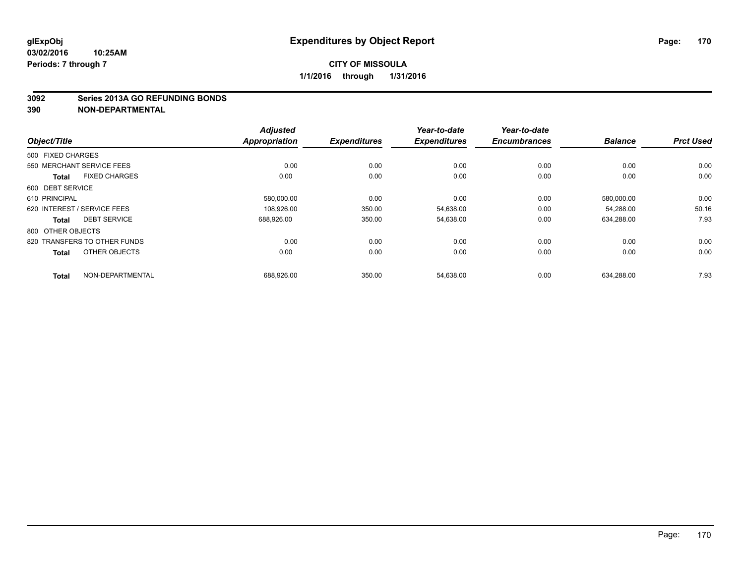#### **3092 Series 2013A GO REFUNDING BONDS**

| Object/Title                 |                      | <b>Adjusted</b><br><b>Appropriation</b> | <b>Expenditures</b> | Year-to-date<br><b>Expenditures</b> | Year-to-date<br><b>Encumbrances</b> | <b>Balance</b> | <b>Prct Used</b> |
|------------------------------|----------------------|-----------------------------------------|---------------------|-------------------------------------|-------------------------------------|----------------|------------------|
|                              |                      |                                         |                     |                                     |                                     |                |                  |
| 500 FIXED CHARGES            |                      |                                         |                     |                                     |                                     |                |                  |
| 550 MERCHANT SERVICE FEES    |                      | 0.00                                    | 0.00                | 0.00                                | 0.00                                | 0.00           | 0.00             |
| <b>Total</b>                 | <b>FIXED CHARGES</b> | 0.00                                    | 0.00                | 0.00                                | 0.00                                | 0.00           | 0.00             |
| 600 DEBT SERVICE             |                      |                                         |                     |                                     |                                     |                |                  |
| 610 PRINCIPAL                |                      | 580,000.00                              | 0.00                | 0.00                                | 0.00                                | 580,000.00     | 0.00             |
| 620 INTEREST / SERVICE FEES  |                      | 108,926.00                              | 350.00              | 54,638.00                           | 0.00                                | 54,288.00      | 50.16            |
| <b>Total</b>                 | <b>DEBT SERVICE</b>  | 688,926.00                              | 350.00              | 54,638.00                           | 0.00                                | 634,288.00     | 7.93             |
| 800 OTHER OBJECTS            |                      |                                         |                     |                                     |                                     |                |                  |
| 820 TRANSFERS TO OTHER FUNDS |                      | 0.00                                    | 0.00                | 0.00                                | 0.00                                | 0.00           | 0.00             |
| <b>Total</b>                 | OTHER OBJECTS        | 0.00                                    | 0.00                | 0.00                                | 0.00                                | 0.00           | 0.00             |
| <b>Total</b>                 | NON-DEPARTMENTAL     | 688,926.00                              | 350.00              | 54,638.00                           | 0.00                                | 634,288.00     | 7.93             |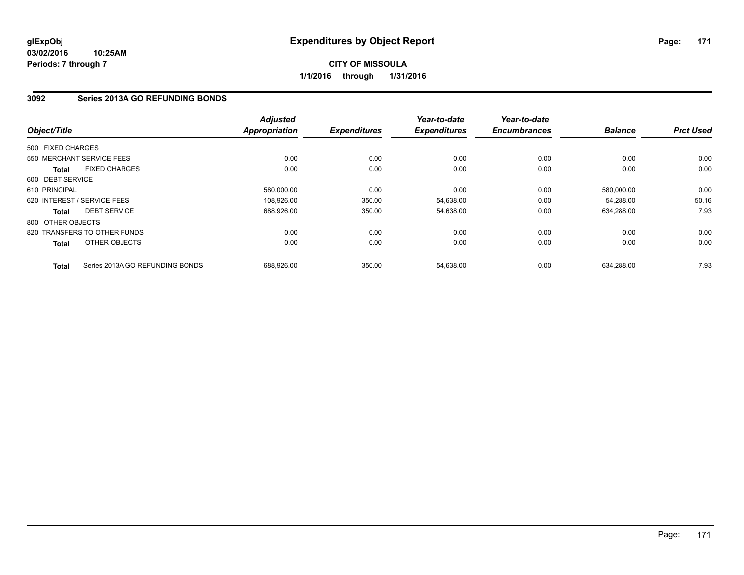## **3092 Series 2013A GO REFUNDING BONDS**

| Object/Title      |                                 | <b>Adjusted</b><br>Appropriation | <b>Expenditures</b> | Year-to-date<br><b>Expenditures</b> | Year-to-date<br><b>Encumbrances</b> | <b>Balance</b> | <b>Prct Used</b> |
|-------------------|---------------------------------|----------------------------------|---------------------|-------------------------------------|-------------------------------------|----------------|------------------|
|                   |                                 |                                  |                     |                                     |                                     |                |                  |
| 500 FIXED CHARGES |                                 |                                  |                     |                                     |                                     |                |                  |
|                   | 550 MERCHANT SERVICE FEES       | 0.00                             | 0.00                | 0.00                                | 0.00                                | 0.00           | 0.00             |
| <b>Total</b>      | <b>FIXED CHARGES</b>            | 0.00                             | 0.00                | 0.00                                | 0.00                                | 0.00           | 0.00             |
| 600 DEBT SERVICE  |                                 |                                  |                     |                                     |                                     |                |                  |
| 610 PRINCIPAL     |                                 | 580.000.00                       | 0.00                | 0.00                                | 0.00                                | 580,000.00     | 0.00             |
|                   | 620 INTEREST / SERVICE FEES     | 108.926.00                       | 350.00              | 54,638.00                           | 0.00                                | 54.288.00      | 50.16            |
| <b>Total</b>      | <b>DEBT SERVICE</b>             | 688,926.00                       | 350.00              | 54,638.00                           | 0.00                                | 634,288.00     | 7.93             |
| 800 OTHER OBJECTS |                                 |                                  |                     |                                     |                                     |                |                  |
|                   | 820 TRANSFERS TO OTHER FUNDS    | 0.00                             | 0.00                | 0.00                                | 0.00                                | 0.00           | 0.00             |
| Total             | OTHER OBJECTS                   | 0.00                             | 0.00                | 0.00                                | 0.00                                | 0.00           | 0.00             |
| <b>Total</b>      | Series 2013A GO REFUNDING BONDS | 688.926.00                       | 350.00              | 54,638.00                           | 0.00                                | 634.288.00     | 7.93             |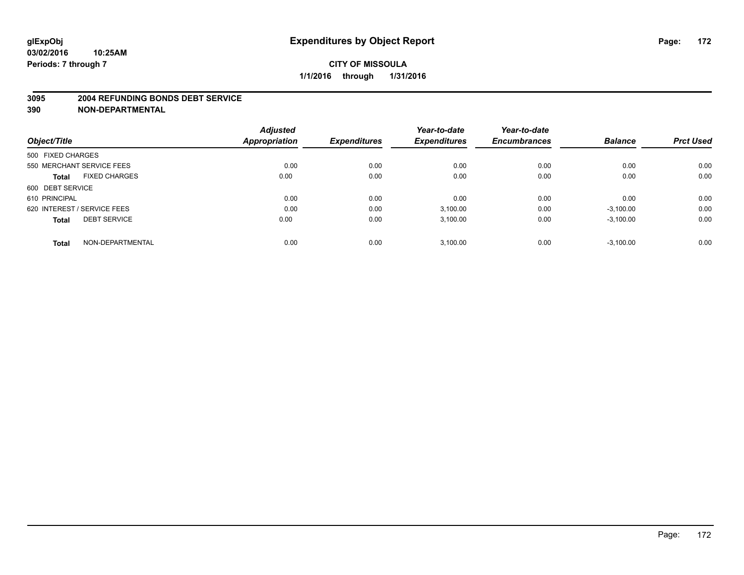#### **3095 2004 REFUNDING BONDS DEBT SERVICE**

|                                      | <b>Adjusted</b> |                     | Year-to-date        | Year-to-date<br><b>Encumbrances</b> | <b>Balance</b> | <b>Prct Used</b> |
|--------------------------------------|-----------------|---------------------|---------------------|-------------------------------------|----------------|------------------|
| Object/Title                         | Appropriation   | <b>Expenditures</b> | <b>Expenditures</b> |                                     |                |                  |
| 500 FIXED CHARGES                    |                 |                     |                     |                                     |                |                  |
| 550 MERCHANT SERVICE FEES            | 0.00            | 0.00                | 0.00                | 0.00                                | 0.00           | 0.00             |
| <b>FIXED CHARGES</b><br><b>Total</b> | 0.00            | 0.00                | 0.00                | 0.00                                | 0.00           | 0.00             |
| 600 DEBT SERVICE                     |                 |                     |                     |                                     |                |                  |
| 610 PRINCIPAL                        | 0.00            | 0.00                | 0.00                | 0.00                                | 0.00           | 0.00             |
| 620 INTEREST / SERVICE FEES          | 0.00            | 0.00                | 3,100.00            | 0.00                                | $-3,100.00$    | 0.00             |
| <b>DEBT SERVICE</b><br><b>Total</b>  | 0.00            | 0.00                | 3,100.00            | 0.00                                | $-3,100.00$    | 0.00             |
| NON-DEPARTMENTAL<br><b>Total</b>     | 0.00            | 0.00                | 3,100.00            | 0.00                                | $-3,100.00$    | 0.00             |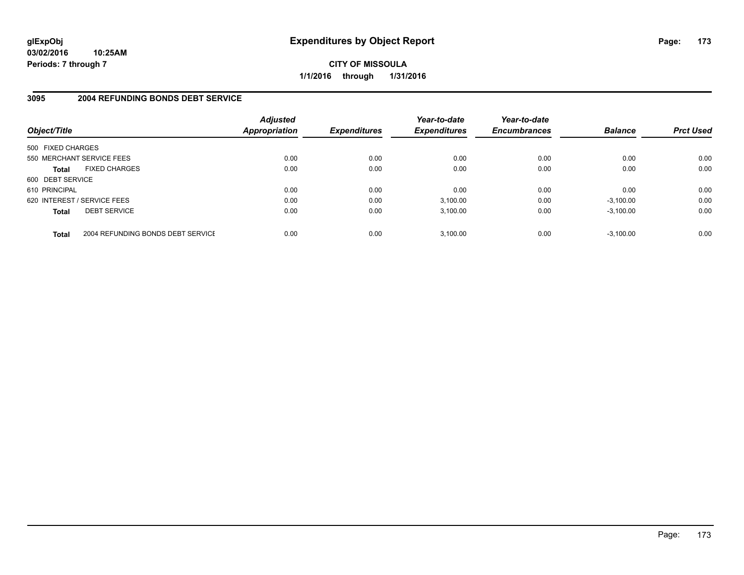**CITY OF MISSOULA 1/1/2016 through 1/31/2016**

### **3095 2004 REFUNDING BONDS DEBT SERVICE**

| Object/Title                |                                   | <b>Adjusted</b><br>Appropriation | <b>Expenditures</b> | Year-to-date<br><b>Expenditures</b> | Year-to-date<br><b>Encumbrances</b> | <b>Balance</b> | <b>Prct Used</b> |
|-----------------------------|-----------------------------------|----------------------------------|---------------------|-------------------------------------|-------------------------------------|----------------|------------------|
| 500 FIXED CHARGES           |                                   |                                  |                     |                                     |                                     |                |                  |
| 550 MERCHANT SERVICE FEES   |                                   | 0.00                             | 0.00                | 0.00                                | 0.00                                | 0.00           | 0.00             |
| <b>Total</b>                | <b>FIXED CHARGES</b>              | 0.00                             | 0.00                | 0.00                                | 0.00                                | 0.00           | 0.00             |
| 600 DEBT SERVICE            |                                   |                                  |                     |                                     |                                     |                |                  |
| 610 PRINCIPAL               |                                   | 0.00                             | 0.00                | 0.00                                | 0.00                                | 0.00           | 0.00             |
| 620 INTEREST / SERVICE FEES |                                   | 0.00                             | 0.00                | 3,100.00                            | 0.00                                | $-3,100.00$    | 0.00             |
| <b>Total</b>                | <b>DEBT SERVICE</b>               | 0.00                             | 0.00                | 3.100.00                            | 0.00                                | $-3.100.00$    | 0.00             |
| <b>Total</b>                | 2004 REFUNDING BONDS DEBT SERVICE | 0.00                             | 0.00                | 3.100.00                            | 0.00                                | $-3.100.00$    | 0.00             |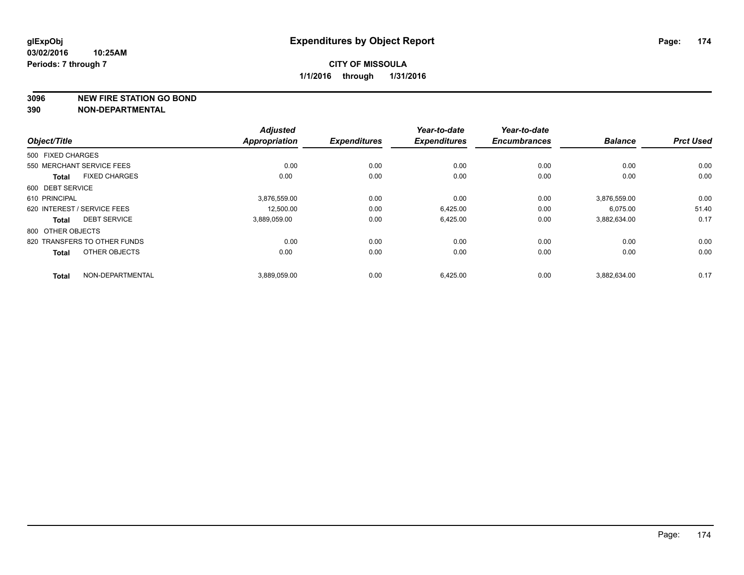**3096 NEW FIRE STATION GO BOND**

|                              |                      | <b>Adjusted</b>      |                     | Year-to-date        | Year-to-date        |                |                  |
|------------------------------|----------------------|----------------------|---------------------|---------------------|---------------------|----------------|------------------|
| Object/Title                 |                      | <b>Appropriation</b> | <b>Expenditures</b> | <b>Expenditures</b> | <b>Encumbrances</b> | <b>Balance</b> | <b>Prct Used</b> |
| 500 FIXED CHARGES            |                      |                      |                     |                     |                     |                |                  |
| 550 MERCHANT SERVICE FEES    |                      | 0.00                 | 0.00                | 0.00                | 0.00                | 0.00           | 0.00             |
| <b>Total</b>                 | <b>FIXED CHARGES</b> | 0.00                 | 0.00                | 0.00                | 0.00                | 0.00           | 0.00             |
| 600 DEBT SERVICE             |                      |                      |                     |                     |                     |                |                  |
| 610 PRINCIPAL                |                      | 3,876,559.00         | 0.00                | 0.00                | 0.00                | 3,876,559.00   | 0.00             |
| 620 INTEREST / SERVICE FEES  |                      | 12,500.00            | 0.00                | 6,425.00            | 0.00                | 6.075.00       | 51.40            |
| <b>Total</b>                 | <b>DEBT SERVICE</b>  | 3,889,059.00         | 0.00                | 6,425.00            | 0.00                | 3,882,634.00   | 0.17             |
| 800 OTHER OBJECTS            |                      |                      |                     |                     |                     |                |                  |
| 820 TRANSFERS TO OTHER FUNDS |                      | 0.00                 | 0.00                | 0.00                | 0.00                | 0.00           | 0.00             |
| <b>Total</b>                 | OTHER OBJECTS        | 0.00                 | 0.00                | 0.00                | 0.00                | 0.00           | 0.00             |
| <b>Total</b>                 | NON-DEPARTMENTAL     | 3,889,059.00         | 0.00                | 6,425.00            | 0.00                | 3,882,634.00   | 0.17             |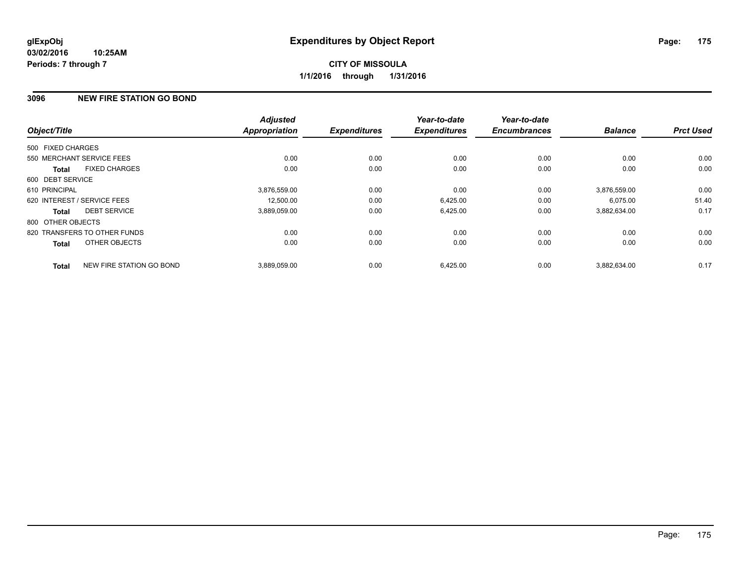### **3096 NEW FIRE STATION GO BOND**

|                   |                              | <b>Adjusted</b>      |                     | Year-to-date        | Year-to-date        |                |                  |
|-------------------|------------------------------|----------------------|---------------------|---------------------|---------------------|----------------|------------------|
| Object/Title      |                              | <b>Appropriation</b> | <b>Expenditures</b> | <b>Expenditures</b> | <b>Encumbrances</b> | <b>Balance</b> | <b>Prct Used</b> |
| 500 FIXED CHARGES |                              |                      |                     |                     |                     |                |                  |
|                   | 550 MERCHANT SERVICE FEES    | 0.00                 | 0.00                | 0.00                | 0.00                | 0.00           | 0.00             |
| Total             | <b>FIXED CHARGES</b>         | 0.00                 | 0.00                | 0.00                | 0.00                | 0.00           | 0.00             |
| 600 DEBT SERVICE  |                              |                      |                     |                     |                     |                |                  |
| 610 PRINCIPAL     |                              | 3,876,559.00         | 0.00                | 0.00                | 0.00                | 3,876,559.00   | 0.00             |
|                   | 620 INTEREST / SERVICE FEES  | 12,500.00            | 0.00                | 6,425.00            | 0.00                | 6,075.00       | 51.40            |
| Total             | <b>DEBT SERVICE</b>          | 3,889,059.00         | 0.00                | 6,425.00            | 0.00                | 3,882,634.00   | 0.17             |
| 800 OTHER OBJECTS |                              |                      |                     |                     |                     |                |                  |
|                   | 820 TRANSFERS TO OTHER FUNDS | 0.00                 | 0.00                | 0.00                | 0.00                | 0.00           | 0.00             |
| Total             | OTHER OBJECTS                | 0.00                 | 0.00                | 0.00                | 0.00                | 0.00           | 0.00             |
| <b>Total</b>      | NEW FIRE STATION GO BOND     | 3.889.059.00         | 0.00                | 6,425.00            | 0.00                | 3.882.634.00   | 0.17             |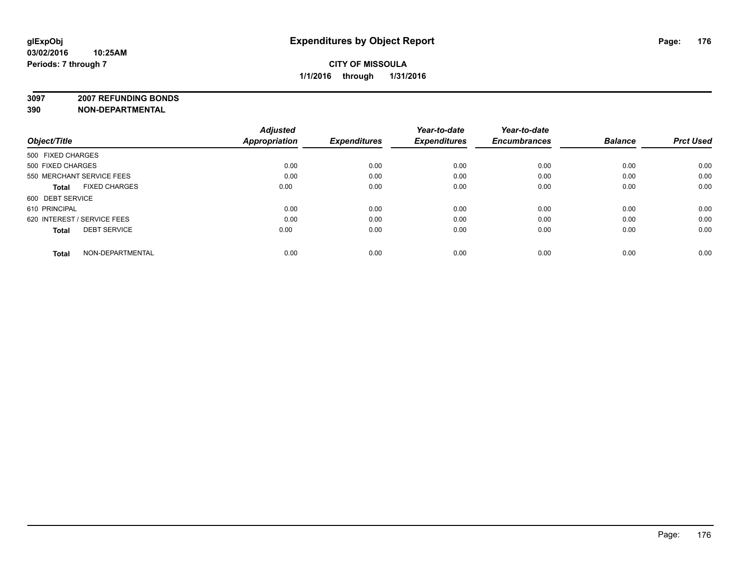**3097 2007 REFUNDING BONDS**

| Object/Title                         | <b>Adjusted</b><br><b>Appropriation</b> | <b>Expenditures</b> | Year-to-date<br><b>Expenditures</b> | Year-to-date<br><b>Encumbrances</b> | <b>Balance</b> | <b>Prct Used</b> |
|--------------------------------------|-----------------------------------------|---------------------|-------------------------------------|-------------------------------------|----------------|------------------|
| 500 FIXED CHARGES                    |                                         |                     |                                     |                                     |                |                  |
| 500 FIXED CHARGES                    | 0.00                                    | 0.00                | 0.00                                | 0.00                                | 0.00           | 0.00             |
| 550 MERCHANT SERVICE FEES            | 0.00                                    | 0.00                | 0.00                                | 0.00                                | 0.00           | 0.00             |
| <b>FIXED CHARGES</b><br><b>Total</b> | 0.00                                    | 0.00                | 0.00                                | 0.00                                | 0.00           | 0.00             |
| 600 DEBT SERVICE                     |                                         |                     |                                     |                                     |                |                  |
| 610 PRINCIPAL                        | 0.00                                    | 0.00                | 0.00                                | 0.00                                | 0.00           | 0.00             |
| 620 INTEREST / SERVICE FEES          | 0.00                                    | 0.00                | 0.00                                | 0.00                                | 0.00           | 0.00             |
| <b>DEBT SERVICE</b><br><b>Total</b>  | 0.00                                    | 0.00                | 0.00                                | 0.00                                | 0.00           | 0.00             |
| NON-DEPARTMENTAL<br><b>Total</b>     | 0.00                                    | 0.00                | 0.00                                | 0.00                                | 0.00           | 0.00             |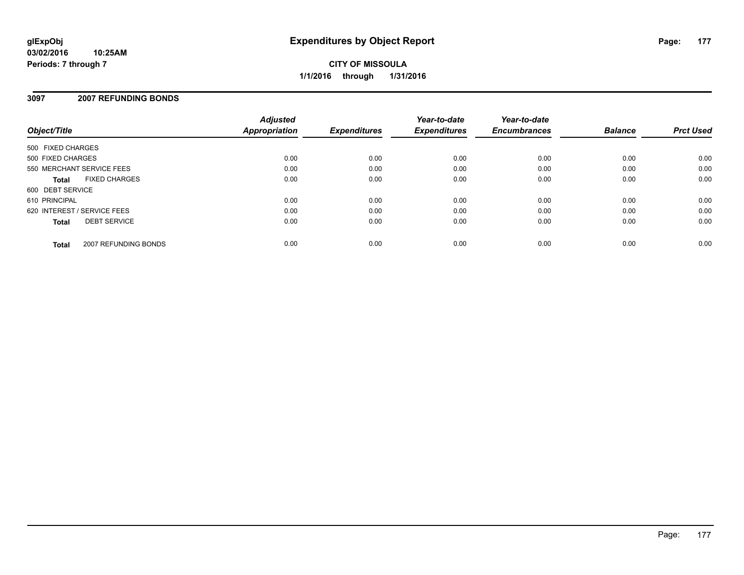## **CITY OF MISSOULA 1/1/2016 through 1/31/2016**

### **3097 2007 REFUNDING BONDS**

| Object/Title                |                      | <b>Adjusted</b><br><b>Appropriation</b> | <b>Expenditures</b> | Year-to-date<br><b>Expenditures</b> | Year-to-date<br><b>Encumbrances</b> | <b>Balance</b> | <b>Prct Used</b> |
|-----------------------------|----------------------|-----------------------------------------|---------------------|-------------------------------------|-------------------------------------|----------------|------------------|
| 500 FIXED CHARGES           |                      |                                         |                     |                                     |                                     |                |                  |
| 500 FIXED CHARGES           |                      | 0.00                                    | 0.00                | 0.00                                | 0.00                                | 0.00           | 0.00             |
| 550 MERCHANT SERVICE FEES   |                      | 0.00                                    | 0.00                | 0.00                                | 0.00                                | 0.00           | 0.00             |
| <b>Total</b>                | <b>FIXED CHARGES</b> | 0.00                                    | 0.00                | 0.00                                | 0.00                                | 0.00           | 0.00             |
| 600 DEBT SERVICE            |                      |                                         |                     |                                     |                                     |                |                  |
| 610 PRINCIPAL               |                      | 0.00                                    | 0.00                | 0.00                                | 0.00                                | 0.00           | 0.00             |
| 620 INTEREST / SERVICE FEES |                      | 0.00                                    | 0.00                | 0.00                                | 0.00                                | 0.00           | 0.00             |
| <b>Total</b>                | <b>DEBT SERVICE</b>  | 0.00                                    | 0.00                | 0.00                                | 0.00                                | 0.00           | 0.00             |
| <b>Total</b>                | 2007 REFUNDING BONDS | 0.00                                    | 0.00                | 0.00                                | 0.00                                | 0.00           | 0.00             |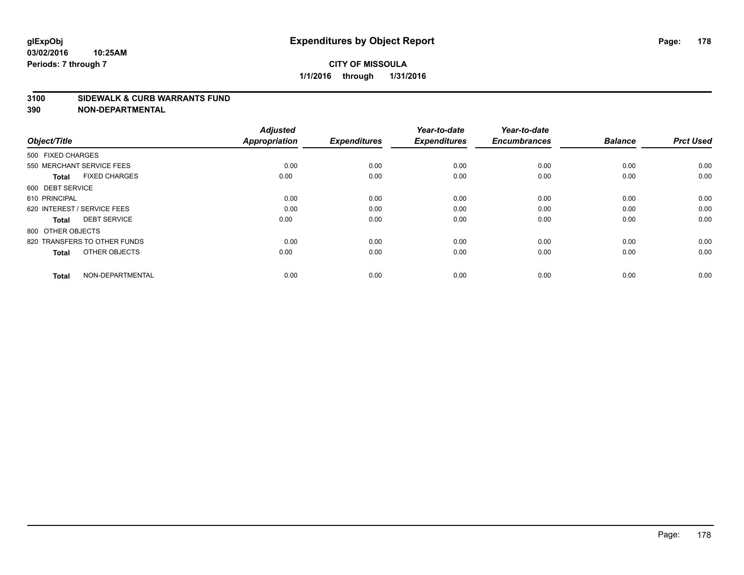### **CITY OF MISSOULA 1/1/2016 through 1/31/2016**

#### **3100 SIDEWALK & CURB WARRANTS FUND**

| Object/Title                         | <b>Adjusted</b><br><b>Appropriation</b> | <b>Expenditures</b> | Year-to-date<br><b>Expenditures</b> | Year-to-date<br><b>Encumbrances</b> | <b>Balance</b> | <b>Prct Used</b> |
|--------------------------------------|-----------------------------------------|---------------------|-------------------------------------|-------------------------------------|----------------|------------------|
| 500 FIXED CHARGES                    |                                         |                     |                                     |                                     |                |                  |
| 550 MERCHANT SERVICE FEES            | 0.00                                    | 0.00                | 0.00                                | 0.00                                | 0.00           | 0.00             |
| <b>FIXED CHARGES</b><br><b>Total</b> | 0.00                                    | 0.00                | 0.00                                | 0.00                                | 0.00           | 0.00             |
| 600 DEBT SERVICE                     |                                         |                     |                                     |                                     |                |                  |
| 610 PRINCIPAL                        | 0.00                                    | 0.00                | 0.00                                | 0.00                                | 0.00           | 0.00             |
| 620 INTEREST / SERVICE FEES          | 0.00                                    | 0.00                | 0.00                                | 0.00                                | 0.00           | 0.00             |
| <b>DEBT SERVICE</b><br><b>Total</b>  | 0.00                                    | 0.00                | 0.00                                | 0.00                                | 0.00           | 0.00             |
| 800 OTHER OBJECTS                    |                                         |                     |                                     |                                     |                |                  |
| 820 TRANSFERS TO OTHER FUNDS         | 0.00                                    | 0.00                | 0.00                                | 0.00                                | 0.00           | 0.00             |
| OTHER OBJECTS<br><b>Total</b>        | 0.00                                    | 0.00                | 0.00                                | 0.00                                | 0.00           | 0.00             |
|                                      |                                         |                     |                                     |                                     |                |                  |
| NON-DEPARTMENTAL<br><b>Total</b>     | 0.00                                    | 0.00                | 0.00                                | 0.00                                | 0.00           | 0.00             |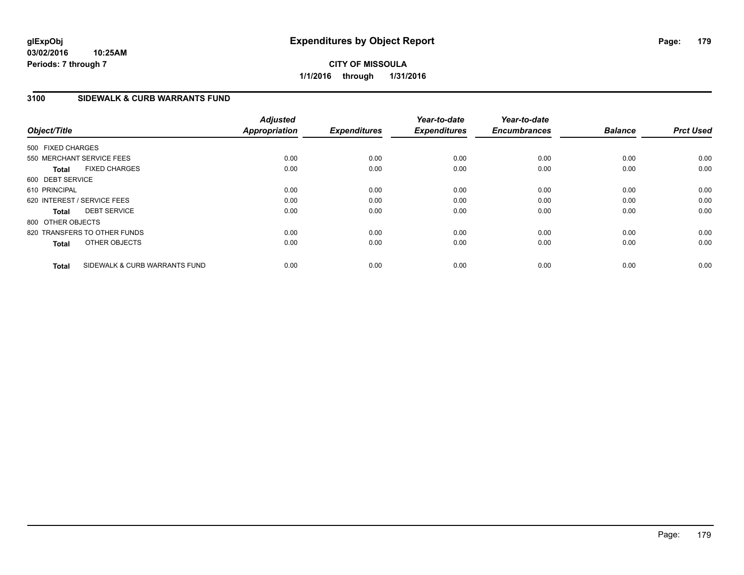### **3100 SIDEWALK & CURB WARRANTS FUND**

| Object/Title      |                               | <b>Adjusted</b><br><b>Appropriation</b> | <b>Expenditures</b> | Year-to-date<br><b>Expenditures</b> | Year-to-date<br><b>Encumbrances</b> | <b>Balance</b> | <b>Prct Used</b> |
|-------------------|-------------------------------|-----------------------------------------|---------------------|-------------------------------------|-------------------------------------|----------------|------------------|
| 500 FIXED CHARGES |                               |                                         |                     |                                     |                                     |                |                  |
|                   | 550 MERCHANT SERVICE FEES     | 0.00                                    | 0.00                | 0.00                                | 0.00                                | 0.00           | 0.00             |
| <b>Total</b>      | <b>FIXED CHARGES</b>          | 0.00                                    | 0.00                | 0.00                                | 0.00                                | 0.00           | 0.00             |
| 600 DEBT SERVICE  |                               |                                         |                     |                                     |                                     |                |                  |
| 610 PRINCIPAL     |                               | 0.00                                    | 0.00                | 0.00                                | 0.00                                | 0.00           | 0.00             |
|                   | 620 INTEREST / SERVICE FEES   | 0.00                                    | 0.00                | 0.00                                | 0.00                                | 0.00           | 0.00             |
| <b>Total</b>      | <b>DEBT SERVICE</b>           | 0.00                                    | 0.00                | 0.00                                | 0.00                                | 0.00           | 0.00             |
| 800 OTHER OBJECTS |                               |                                         |                     |                                     |                                     |                |                  |
|                   | 820 TRANSFERS TO OTHER FUNDS  | 0.00                                    | 0.00                | 0.00                                | 0.00                                | 0.00           | 0.00             |
| <b>Total</b>      | OTHER OBJECTS                 | 0.00                                    | 0.00                | 0.00                                | 0.00                                | 0.00           | 0.00             |
| <b>Total</b>      | SIDEWALK & CURB WARRANTS FUND | 0.00                                    | 0.00                | 0.00                                | 0.00                                | 0.00           | 0.00             |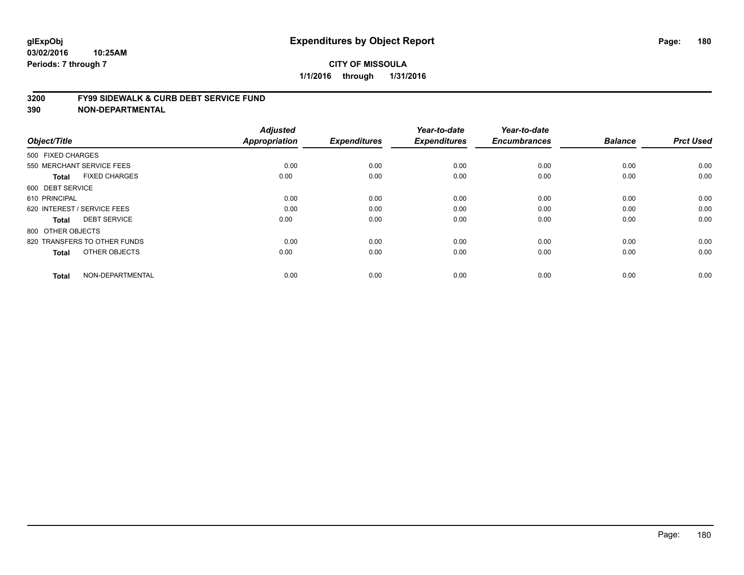#### **3200 FY99 SIDEWALK & CURB DEBT SERVICE FUND**

| Object/Title                         | <b>Adjusted</b><br>Appropriation | <b>Expenditures</b> | Year-to-date<br><b>Expenditures</b> | Year-to-date<br><b>Encumbrances</b> | <b>Balance</b> | <b>Prct Used</b> |
|--------------------------------------|----------------------------------|---------------------|-------------------------------------|-------------------------------------|----------------|------------------|
|                                      |                                  |                     |                                     |                                     |                |                  |
| 500 FIXED CHARGES                    |                                  |                     |                                     |                                     |                |                  |
| 550 MERCHANT SERVICE FEES            | 0.00                             | 0.00                | 0.00                                | 0.00                                | 0.00           | 0.00             |
| <b>FIXED CHARGES</b><br><b>Total</b> | 0.00                             | 0.00                | 0.00                                | 0.00                                | 0.00           | 0.00             |
| 600 DEBT SERVICE                     |                                  |                     |                                     |                                     |                |                  |
| 610 PRINCIPAL                        | 0.00                             | 0.00                | 0.00                                | 0.00                                | 0.00           | 0.00             |
| 620 INTEREST / SERVICE FEES          | 0.00                             | 0.00                | 0.00                                | 0.00                                | 0.00           | 0.00             |
| <b>DEBT SERVICE</b><br><b>Total</b>  | 0.00                             | 0.00                | 0.00                                | 0.00                                | 0.00           | 0.00             |
| 800 OTHER OBJECTS                    |                                  |                     |                                     |                                     |                |                  |
| 820 TRANSFERS TO OTHER FUNDS         | 0.00                             | 0.00                | 0.00                                | 0.00                                | 0.00           | 0.00             |
| OTHER OBJECTS<br><b>Total</b>        | 0.00                             | 0.00                | 0.00                                | 0.00                                | 0.00           | 0.00             |
|                                      |                                  |                     |                                     |                                     |                |                  |
| NON-DEPARTMENTAL<br><b>Total</b>     | 0.00                             | 0.00                | 0.00                                | 0.00                                | 0.00           | 0.00             |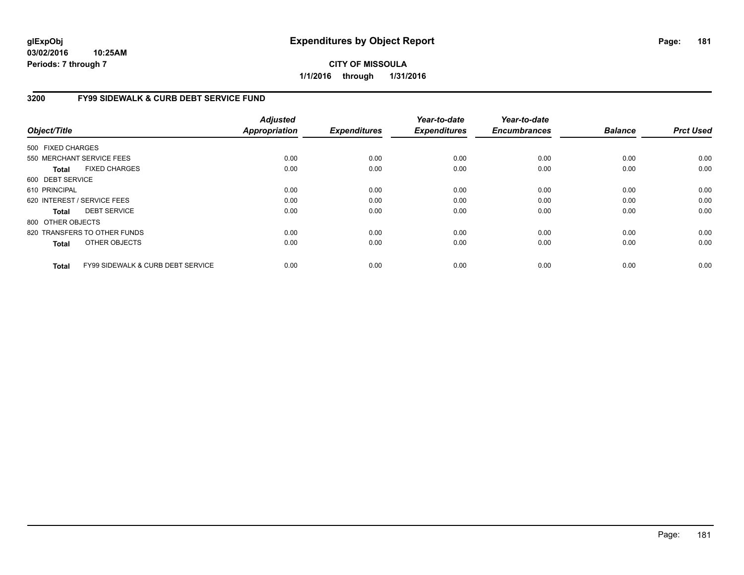**03/02/2016 10:25AM Periods: 7 through 7**

## **CITY OF MISSOULA 1/1/2016 through 1/31/2016**

## **3200 FY99 SIDEWALK & CURB DEBT SERVICE FUND**

| Object/Title      |                                              | <b>Adjusted</b><br><b>Appropriation</b> | <b>Expenditures</b> | Year-to-date<br><b>Expenditures</b> | Year-to-date<br><b>Encumbrances</b> | <b>Balance</b> | <b>Prct Used</b> |
|-------------------|----------------------------------------------|-----------------------------------------|---------------------|-------------------------------------|-------------------------------------|----------------|------------------|
| 500 FIXED CHARGES |                                              |                                         |                     |                                     |                                     |                |                  |
|                   | 550 MERCHANT SERVICE FEES                    | 0.00                                    | 0.00                | 0.00                                | 0.00                                | 0.00           | 0.00             |
| Total             | <b>FIXED CHARGES</b>                         | 0.00                                    | 0.00                | 0.00                                | 0.00                                | 0.00           | 0.00             |
| 600 DEBT SERVICE  |                                              |                                         |                     |                                     |                                     |                |                  |
| 610 PRINCIPAL     |                                              | 0.00                                    | 0.00                | 0.00                                | 0.00                                | 0.00           | 0.00             |
|                   | 620 INTEREST / SERVICE FEES                  | 0.00                                    | 0.00                | 0.00                                | 0.00                                | 0.00           | 0.00             |
| Total             | <b>DEBT SERVICE</b>                          | 0.00                                    | 0.00                | 0.00                                | 0.00                                | 0.00           | 0.00             |
| 800 OTHER OBJECTS |                                              |                                         |                     |                                     |                                     |                |                  |
|                   | 820 TRANSFERS TO OTHER FUNDS                 | 0.00                                    | 0.00                | 0.00                                | 0.00                                | 0.00           | 0.00             |
| <b>Total</b>      | <b>OTHER OBJECTS</b>                         | 0.00                                    | 0.00                | 0.00                                | 0.00                                | 0.00           | 0.00             |
| <b>Total</b>      | <b>FY99 SIDEWALK &amp; CURB DEBT SERVICE</b> | 0.00                                    | 0.00                | 0.00                                | 0.00                                | 0.00           | 0.00             |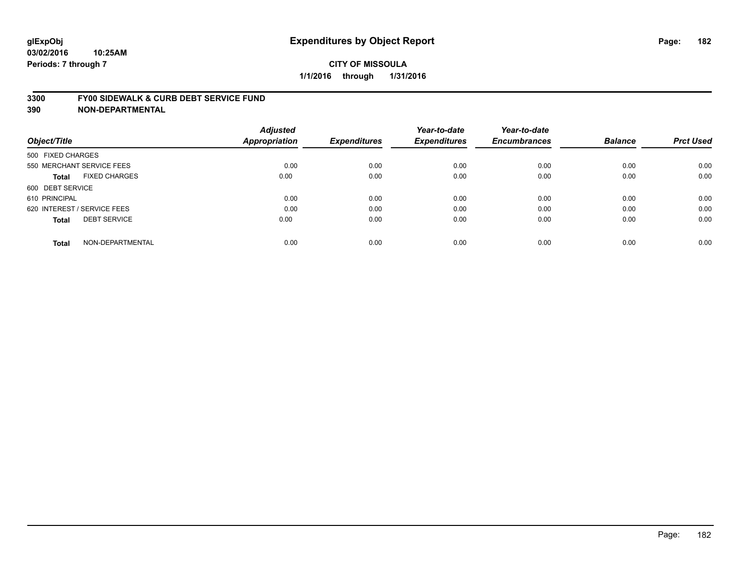#### **3300 FY00 SIDEWALK & CURB DEBT SERVICE FUND**

|                                      | <b>Adjusted</b>      |                     | Year-to-date        | Year-to-date        |                |                  |
|--------------------------------------|----------------------|---------------------|---------------------|---------------------|----------------|------------------|
| Object/Title                         | <b>Appropriation</b> | <b>Expenditures</b> | <b>Expenditures</b> | <b>Encumbrances</b> | <b>Balance</b> | <b>Prct Used</b> |
| 500 FIXED CHARGES                    |                      |                     |                     |                     |                |                  |
| 550 MERCHANT SERVICE FEES            | 0.00                 | 0.00                | 0.00                | 0.00                | 0.00           | 0.00             |
| <b>FIXED CHARGES</b><br><b>Total</b> | 0.00                 | 0.00                | 0.00                | 0.00                | 0.00           | 0.00             |
| 600 DEBT SERVICE                     |                      |                     |                     |                     |                |                  |
| 610 PRINCIPAL                        | 0.00                 | 0.00                | 0.00                | 0.00                | 0.00           | 0.00             |
| 620 INTEREST / SERVICE FEES          | 0.00                 | 0.00                | 0.00                | 0.00                | 0.00           | 0.00             |
| <b>DEBT SERVICE</b><br><b>Total</b>  | 0.00                 | 0.00                | 0.00                | 0.00                | 0.00           | 0.00             |
| NON-DEPARTMENTAL<br><b>Total</b>     | 0.00                 | 0.00                | 0.00                | 0.00                | 0.00           | 0.00             |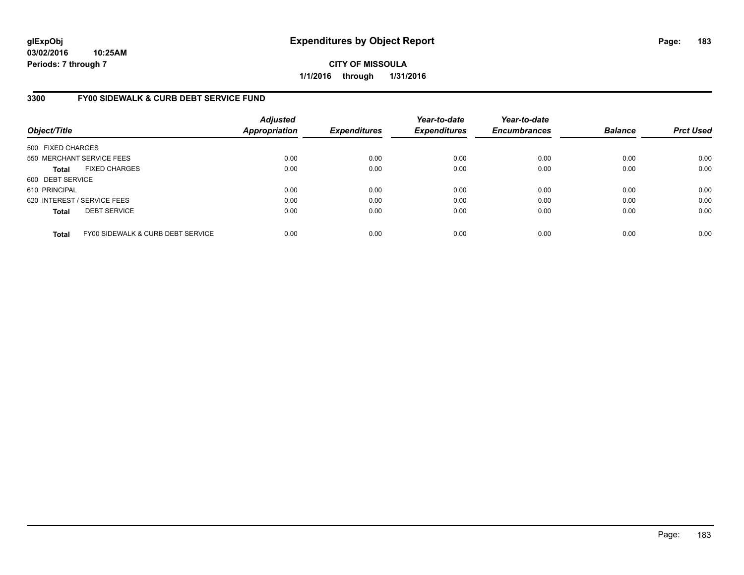**03/02/2016 10:25AM Periods: 7 through 7**

**CITY OF MISSOULA 1/1/2016 through 1/31/2016**

### **3300 FY00 SIDEWALK & CURB DEBT SERVICE FUND**

| Object/Title                |                                   | <b>Adjusted</b><br><b>Appropriation</b> | <b>Expenditures</b> | Year-to-date<br><b>Expenditures</b> | Year-to-date<br><b>Encumbrances</b> | <b>Balance</b> | <b>Prct Used</b> |
|-----------------------------|-----------------------------------|-----------------------------------------|---------------------|-------------------------------------|-------------------------------------|----------------|------------------|
| 500 FIXED CHARGES           |                                   |                                         |                     |                                     |                                     |                |                  |
|                             | 550 MERCHANT SERVICE FEES         | 0.00                                    | 0.00                | 0.00                                | 0.00                                | 0.00           | 0.00             |
| <b>Total</b>                | <b>FIXED CHARGES</b>              | 0.00                                    | 0.00                | 0.00                                | 0.00                                | 0.00           | 0.00             |
| 600 DEBT SERVICE            |                                   |                                         |                     |                                     |                                     |                |                  |
| 610 PRINCIPAL               |                                   | 0.00                                    | 0.00                | 0.00                                | 0.00                                | 0.00           | 0.00             |
| 620 INTEREST / SERVICE FEES |                                   | 0.00                                    | 0.00                | 0.00                                | 0.00                                | 0.00           | 0.00             |
| <b>Total</b>                | <b>DEBT SERVICE</b>               | 0.00                                    | 0.00                | 0.00                                | 0.00                                | 0.00           | 0.00             |
| <b>Total</b>                | FY00 SIDEWALK & CURB DEBT SERVICE | 0.00                                    | 0.00                | 0.00                                | 0.00                                | 0.00           | 0.00             |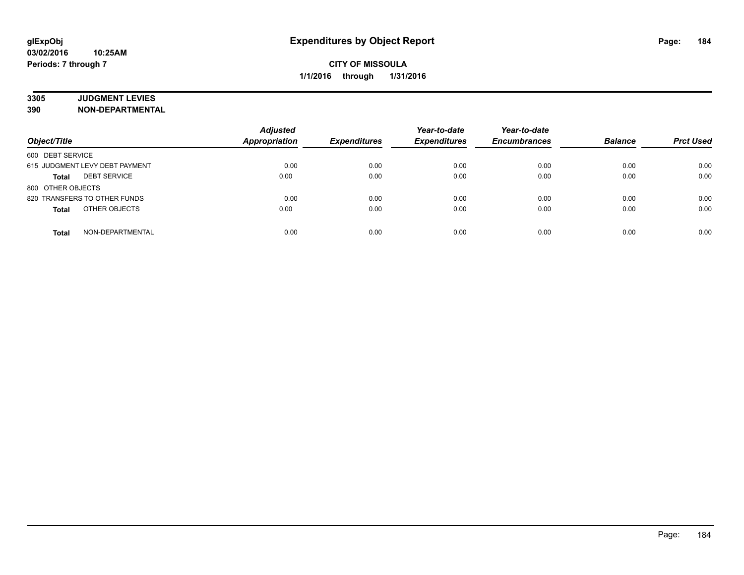# **3305 JUDGMENT LEVIES**

| Object/Title                        | <b>Adjusted</b><br><b>Appropriation</b> | <b>Expenditures</b> | Year-to-date<br><b>Expenditures</b> | Year-to-date<br><b>Encumbrances</b> | <b>Balance</b> | <b>Prct Used</b> |
|-------------------------------------|-----------------------------------------|---------------------|-------------------------------------|-------------------------------------|----------------|------------------|
| 600 DEBT SERVICE                    |                                         |                     |                                     |                                     |                |                  |
| 615 JUDGMENT LEVY DEBT PAYMENT      | 0.00                                    | 0.00                | 0.00                                | 0.00                                | 0.00           | 0.00             |
| <b>DEBT SERVICE</b><br><b>Total</b> | 0.00                                    | 0.00                | 0.00                                | 0.00                                | 0.00           | 0.00             |
| 800 OTHER OBJECTS                   |                                         |                     |                                     |                                     |                |                  |
| 820 TRANSFERS TO OTHER FUNDS        | 0.00                                    | 0.00                | 0.00                                | 0.00                                | 0.00           | 0.00             |
| OTHER OBJECTS<br><b>Total</b>       | 0.00                                    | 0.00                | 0.00                                | 0.00                                | 0.00           | 0.00             |
| NON-DEPARTMENTAL<br><b>Total</b>    | 0.00                                    | 0.00                | 0.00                                | 0.00                                | 0.00           | 0.00             |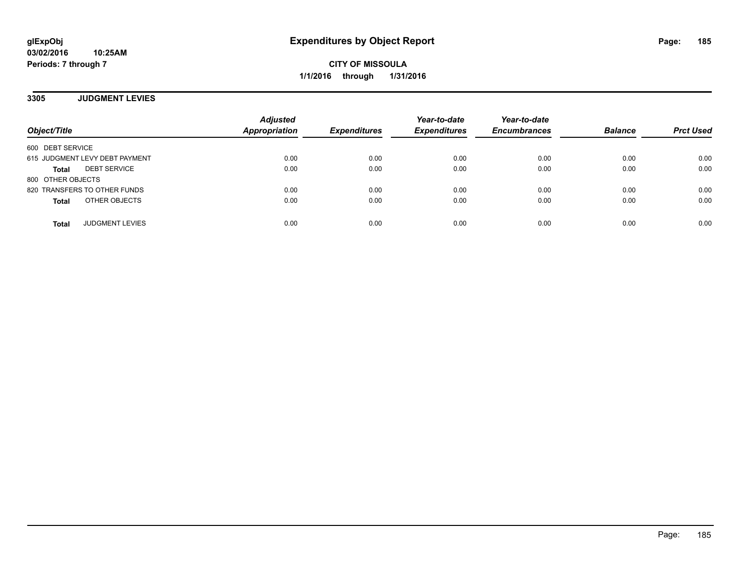**3305 JUDGMENT LEVIES**

| Object/Title                           | <b>Adjusted</b><br><b>Appropriation</b> | <b>Expenditures</b> | Year-to-date<br><b>Expenditures</b> | Year-to-date<br><b>Encumbrances</b> | <b>Balance</b> | <b>Prct Used</b> |
|----------------------------------------|-----------------------------------------|---------------------|-------------------------------------|-------------------------------------|----------------|------------------|
| 600 DEBT SERVICE                       |                                         |                     |                                     |                                     |                |                  |
| 615 JUDGMENT LEVY DEBT PAYMENT         | 0.00                                    | 0.00                | 0.00                                | 0.00                                | 0.00           | 0.00             |
| <b>DEBT SERVICE</b><br><b>Total</b>    | 0.00                                    | 0.00                | 0.00                                | 0.00                                | 0.00           | 0.00             |
| 800 OTHER OBJECTS                      |                                         |                     |                                     |                                     |                |                  |
| 820 TRANSFERS TO OTHER FUNDS           | 0.00                                    | 0.00                | 0.00                                | 0.00                                | 0.00           | 0.00             |
| OTHER OBJECTS<br><b>Total</b>          | 0.00                                    | 0.00                | 0.00                                | 0.00                                | 0.00           | 0.00             |
| <b>JUDGMENT LEVIES</b><br><b>Total</b> | 0.00                                    | 0.00                | 0.00                                | 0.00                                | 0.00           | 0.00             |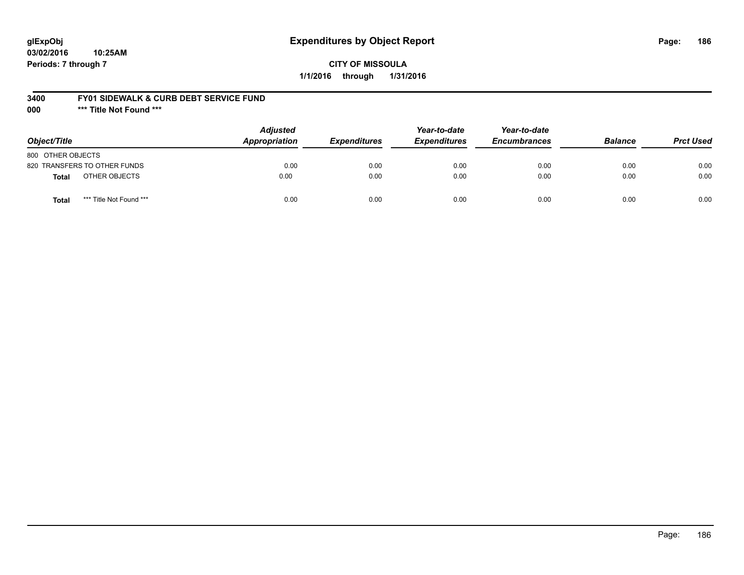## **glExpObj Expenditures by Object Report Page: 186**

### **CITY OF MISSOULA 1/1/2016 through 1/31/2016**

### **3400 FY01 SIDEWALK & CURB DEBT SERVICE FUND**

**000 \*\*\* Title Not Found \*\*\***

| Object/Title                            | <b>Adjusted</b><br><b>Appropriation</b> | <b>Expenditures</b> | Year-to-date<br><b>Expenditures</b> | Year-to-date<br><b>Encumbrances</b> | <b>Balance</b> | <b>Prct Used</b> |
|-----------------------------------------|-----------------------------------------|---------------------|-------------------------------------|-------------------------------------|----------------|------------------|
| 800 OTHER OBJECTS                       |                                         |                     |                                     |                                     |                |                  |
| 820 TRANSFERS TO OTHER FUNDS            | 0.00                                    | 0.00                | 0.00                                | 0.00                                | 0.00           | 0.00             |
| OTHER OBJECTS<br><b>Total</b>           | 0.00                                    | 0.00                | 0.00                                | 0.00                                | 0.00           | 0.00             |
| *** Title Not Found ***<br><b>Total</b> | 0.00                                    | 0.00                | 0.00                                | 0.00                                | 0.00           | 0.00             |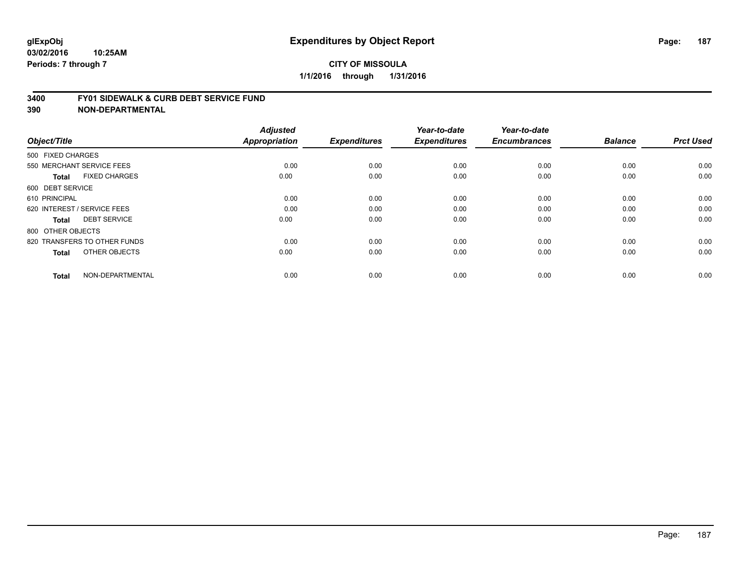#### **3400 FY01 SIDEWALK & CURB DEBT SERVICE FUND**

| Object/Title                         | <b>Adjusted</b><br><b>Appropriation</b> | <b>Expenditures</b> | Year-to-date<br><b>Expenditures</b> | Year-to-date<br><b>Encumbrances</b> | <b>Balance</b> | <b>Prct Used</b> |
|--------------------------------------|-----------------------------------------|---------------------|-------------------------------------|-------------------------------------|----------------|------------------|
| 500 FIXED CHARGES                    |                                         |                     |                                     |                                     |                |                  |
| 550 MERCHANT SERVICE FEES            | 0.00                                    | 0.00                | 0.00                                | 0.00                                | 0.00           | 0.00             |
| <b>FIXED CHARGES</b><br><b>Total</b> | 0.00                                    | 0.00                | 0.00                                | 0.00                                | 0.00           | 0.00             |
| 600 DEBT SERVICE                     |                                         |                     |                                     |                                     |                |                  |
| 610 PRINCIPAL                        | 0.00                                    | 0.00                | 0.00                                | 0.00                                | 0.00           | 0.00             |
| 620 INTEREST / SERVICE FEES          | 0.00                                    | 0.00                | 0.00                                | 0.00                                | 0.00           | 0.00             |
| <b>DEBT SERVICE</b><br><b>Total</b>  | 0.00                                    | 0.00                | 0.00                                | 0.00                                | 0.00           | 0.00             |
| 800 OTHER OBJECTS                    |                                         |                     |                                     |                                     |                |                  |
| 820 TRANSFERS TO OTHER FUNDS         | 0.00                                    | 0.00                | 0.00                                | 0.00                                | 0.00           | 0.00             |
| OTHER OBJECTS<br><b>Total</b>        | 0.00                                    | 0.00                | 0.00                                | 0.00                                | 0.00           | 0.00             |
|                                      |                                         |                     |                                     |                                     |                |                  |
| NON-DEPARTMENTAL<br><b>Total</b>     | 0.00                                    | 0.00                | 0.00                                | 0.00                                | 0.00           | 0.00             |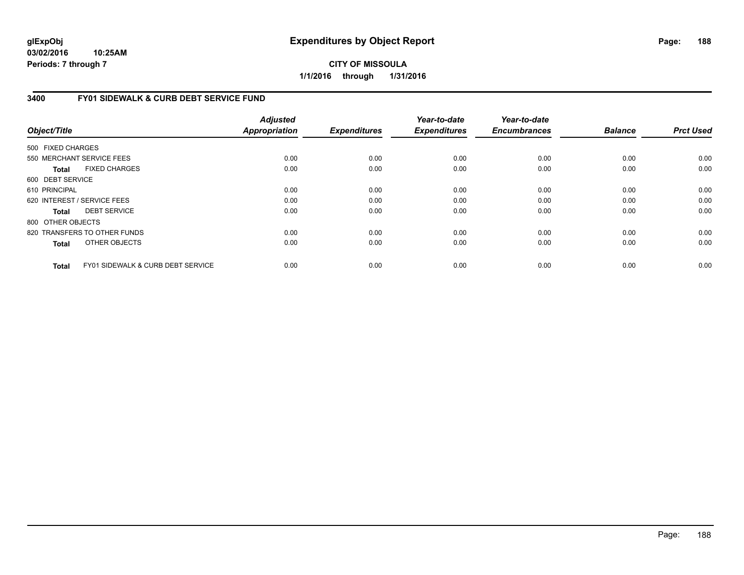**03/02/2016 10:25AM Periods: 7 through 7**

**CITY OF MISSOULA 1/1/2016 through 1/31/2016**

### **3400 FY01 SIDEWALK & CURB DEBT SERVICE FUND**

| Object/Title      |                                   | <b>Adjusted</b><br><b>Appropriation</b> | <b>Expenditures</b> | Year-to-date<br><b>Expenditures</b> | Year-to-date<br><b>Encumbrances</b> | <b>Balance</b> | <b>Prct Used</b> |
|-------------------|-----------------------------------|-----------------------------------------|---------------------|-------------------------------------|-------------------------------------|----------------|------------------|
| 500 FIXED CHARGES |                                   |                                         |                     |                                     |                                     |                |                  |
|                   | 550 MERCHANT SERVICE FEES         | 0.00                                    | 0.00                | 0.00                                | 0.00                                | 0.00           | 0.00             |
| Total             | <b>FIXED CHARGES</b>              | 0.00                                    | 0.00                | 0.00                                | 0.00                                | 0.00           | 0.00             |
| 600 DEBT SERVICE  |                                   |                                         |                     |                                     |                                     |                |                  |
| 610 PRINCIPAL     |                                   | 0.00                                    | 0.00                | 0.00                                | 0.00                                | 0.00           | 0.00             |
|                   | 620 INTEREST / SERVICE FEES       | 0.00                                    | 0.00                | 0.00                                | 0.00                                | 0.00           | 0.00             |
| Total             | <b>DEBT SERVICE</b>               | 0.00                                    | 0.00                | 0.00                                | 0.00                                | 0.00           | 0.00             |
| 800 OTHER OBJECTS |                                   |                                         |                     |                                     |                                     |                |                  |
|                   | 820 TRANSFERS TO OTHER FUNDS      | 0.00                                    | 0.00                | 0.00                                | 0.00                                | 0.00           | 0.00             |
| <b>Total</b>      | OTHER OBJECTS                     | 0.00                                    | 0.00                | 0.00                                | 0.00                                | 0.00           | 0.00             |
| <b>Total</b>      | FY01 SIDEWALK & CURB DEBT SERVICE | 0.00                                    | 0.00                | 0.00                                | 0.00                                | 0.00           | 0.00             |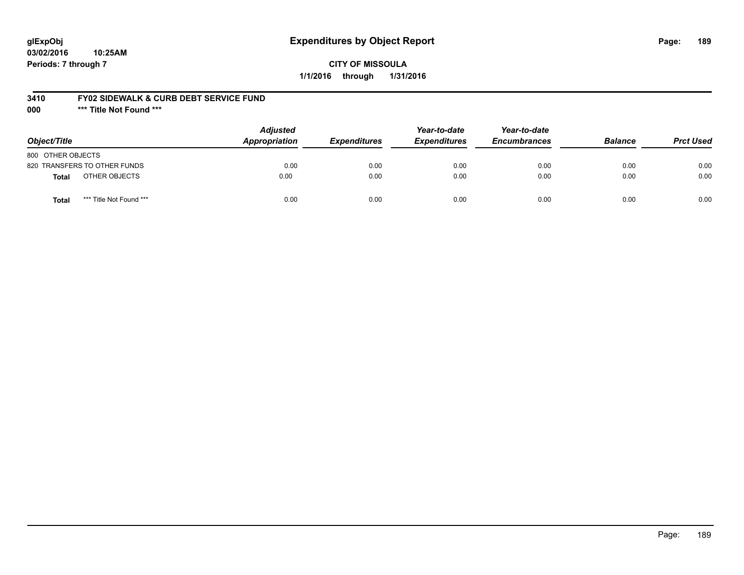## **glExpObj Expenditures by Object Report Page: 189**

### **CITY OF MISSOULA 1/1/2016 through 1/31/2016**

### **3410 FY02 SIDEWALK & CURB DEBT SERVICE FUND**

**000 \*\*\* Title Not Found \*\*\***

| Object/Title                     | <b>Adjusted</b><br><b>Appropriation</b> | <b>Expenditures</b> | Year-to-date<br><b>Expenditures</b> | Year-to-date<br><b>Encumbrances</b> | <b>Balance</b> | <b>Prct Used</b> |
|----------------------------------|-----------------------------------------|---------------------|-------------------------------------|-------------------------------------|----------------|------------------|
| 800 OTHER OBJECTS                |                                         |                     |                                     |                                     |                |                  |
| 820 TRANSFERS TO OTHER FUNDS     | 0.00                                    | 0.00                | 0.00                                | 0.00                                | 0.00           | 0.00             |
| OTHER OBJECTS<br><b>Total</b>    | 0.00                                    | 0.00                | 0.00                                | 0.00                                | 0.00           | 0.00             |
| *** Title Not Found ***<br>Total | 0.00                                    | 0.00                | 0.00                                | 0.00                                | 0.00           | 0.00             |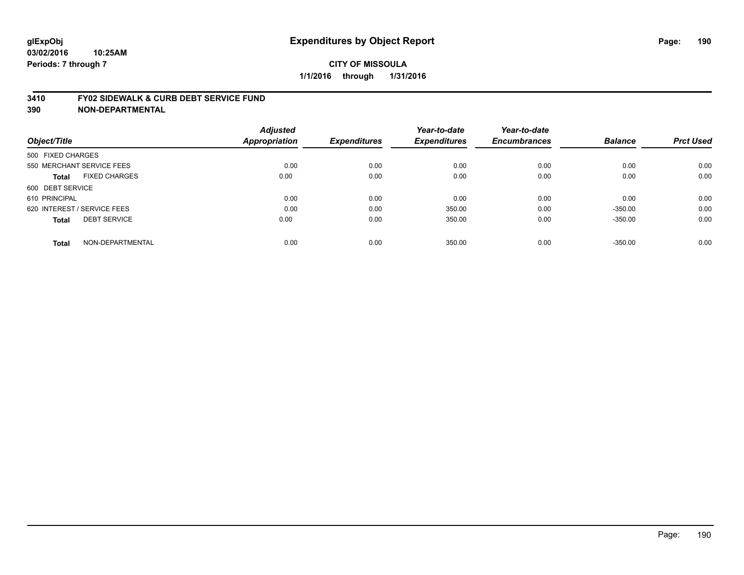#### **3410 FY02 SIDEWALK & CURB DEBT SERVICE FUND**

| Object/Title                         | <b>Adjusted</b><br><b>Appropriation</b> | <b>Expenditures</b> | Year-to-date<br><b>Expenditures</b> | Year-to-date<br><b>Encumbrances</b> | <b>Balance</b> | <b>Prct Used</b> |
|--------------------------------------|-----------------------------------------|---------------------|-------------------------------------|-------------------------------------|----------------|------------------|
| 500 FIXED CHARGES                    |                                         |                     |                                     |                                     |                |                  |
| 550 MERCHANT SERVICE FEES            | 0.00                                    | 0.00                | 0.00                                | 0.00                                | 0.00           | 0.00             |
| <b>FIXED CHARGES</b><br><b>Total</b> | 0.00                                    | 0.00                | 0.00                                | 0.00                                | 0.00           | 0.00             |
| 600 DEBT SERVICE                     |                                         |                     |                                     |                                     |                |                  |
| 610 PRINCIPAL                        | 0.00                                    | 0.00                | 0.00                                | 0.00                                | 0.00           | 0.00             |
| 620 INTEREST / SERVICE FEES          | 0.00                                    | 0.00                | 350.00                              | 0.00                                | $-350.00$      | 0.00             |
| <b>DEBT SERVICE</b><br><b>Total</b>  | 0.00                                    | 0.00                | 350.00                              | 0.00                                | $-350.00$      | 0.00             |
| NON-DEPARTMENTAL<br><b>Total</b>     | 0.00                                    | 0.00                | 350.00                              | 0.00                                | $-350.00$      | 0.00             |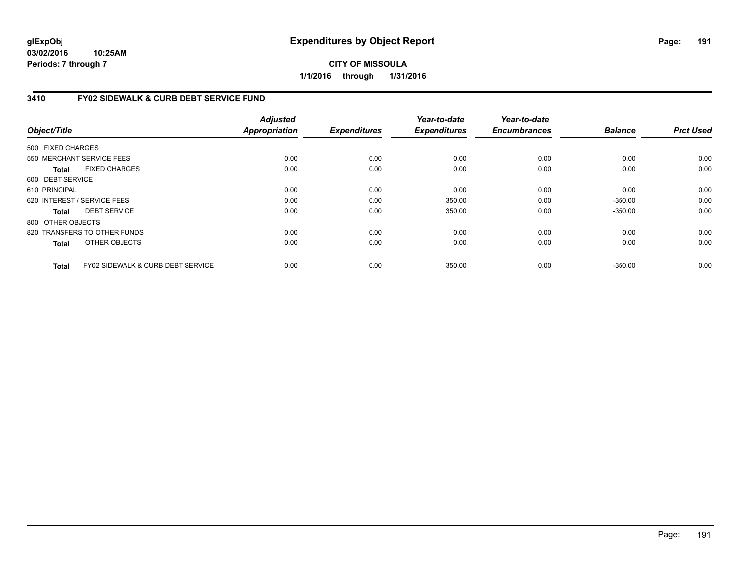**03/02/2016 10:25AM Periods: 7 through 7**

**CITY OF MISSOULA 1/1/2016 through 1/31/2016**

### **3410 FY02 SIDEWALK & CURB DEBT SERVICE FUND**

|                   |                                              | <b>Adjusted</b>      |                     | Year-to-date        | Year-to-date        |                |                  |
|-------------------|----------------------------------------------|----------------------|---------------------|---------------------|---------------------|----------------|------------------|
| Object/Title      |                                              | <b>Appropriation</b> | <b>Expenditures</b> | <b>Expenditures</b> | <b>Encumbrances</b> | <b>Balance</b> | <b>Prct Used</b> |
| 500 FIXED CHARGES |                                              |                      |                     |                     |                     |                |                  |
|                   | 550 MERCHANT SERVICE FEES                    | 0.00                 | 0.00                | 0.00                | 0.00                | 0.00           | 0.00             |
| Total             | <b>FIXED CHARGES</b>                         | 0.00                 | 0.00                | 0.00                | 0.00                | 0.00           | 0.00             |
| 600 DEBT SERVICE  |                                              |                      |                     |                     |                     |                |                  |
| 610 PRINCIPAL     |                                              | 0.00                 | 0.00                | 0.00                | 0.00                | 0.00           | 0.00             |
|                   | 620 INTEREST / SERVICE FEES                  | 0.00                 | 0.00                | 350.00              | 0.00                | $-350.00$      | 0.00             |
| Total             | <b>DEBT SERVICE</b>                          | 0.00                 | 0.00                | 350.00              | 0.00                | $-350.00$      | 0.00             |
| 800 OTHER OBJECTS |                                              |                      |                     |                     |                     |                |                  |
|                   | 820 TRANSFERS TO OTHER FUNDS                 | 0.00                 | 0.00                | 0.00                | 0.00                | 0.00           | 0.00             |
| <b>Total</b>      | OTHER OBJECTS                                | 0.00                 | 0.00                | 0.00                | 0.00                | 0.00           | 0.00             |
| Total             | <b>FY02 SIDEWALK &amp; CURB DEBT SERVICE</b> | 0.00                 | 0.00                | 350.00              | 0.00                | $-350.00$      | 0.00             |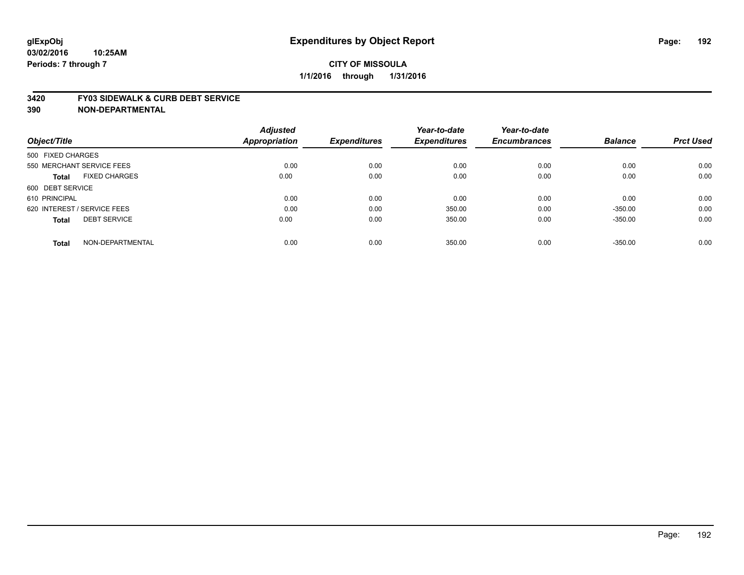#### **3420 FY03 SIDEWALK & CURB DEBT SERVICE**

|                                      | <b>Adjusted</b> |                     | Year-to-date        | Year-to-date        |                |                  |
|--------------------------------------|-----------------|---------------------|---------------------|---------------------|----------------|------------------|
| Object/Title                         | Appropriation   | <b>Expenditures</b> | <b>Expenditures</b> | <b>Encumbrances</b> | <b>Balance</b> | <b>Prct Used</b> |
| 500 FIXED CHARGES                    |                 |                     |                     |                     |                |                  |
| 550 MERCHANT SERVICE FEES            | 0.00            | 0.00                | 0.00                | 0.00                | 0.00           | 0.00             |
| <b>FIXED CHARGES</b><br><b>Total</b> | 0.00            | 0.00                | 0.00                | 0.00                | 0.00           | 0.00             |
| 600 DEBT SERVICE                     |                 |                     |                     |                     |                |                  |
| 610 PRINCIPAL                        | 0.00            | 0.00                | 0.00                | 0.00                | 0.00           | 0.00             |
| 620 INTEREST / SERVICE FEES          | 0.00            | 0.00                | 350.00              | 0.00                | $-350.00$      | 0.00             |
| <b>DEBT SERVICE</b><br><b>Total</b>  | 0.00            | 0.00                | 350.00              | 0.00                | $-350.00$      | 0.00             |
| NON-DEPARTMENTAL<br><b>Total</b>     | 0.00            | 0.00                | 350.00              | 0.00                | $-350.00$      | 0.00             |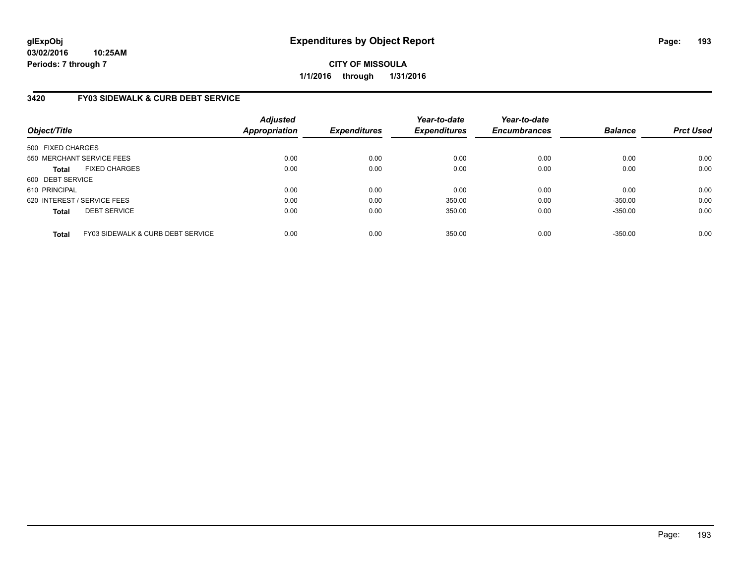## **3420 FY03 SIDEWALK & CURB DEBT SERVICE**

| Object/Title                |                                   | <b>Adjusted</b><br><b>Appropriation</b> | <b>Expenditures</b> | Year-to-date<br><b>Expenditures</b> | Year-to-date<br><b>Encumbrances</b> | <b>Balance</b> | <b>Prct Used</b> |
|-----------------------------|-----------------------------------|-----------------------------------------|---------------------|-------------------------------------|-------------------------------------|----------------|------------------|
| 500 FIXED CHARGES           |                                   |                                         |                     |                                     |                                     |                |                  |
| 550 MERCHANT SERVICE FEES   |                                   | 0.00                                    | 0.00                | 0.00                                | 0.00                                | 0.00           | 0.00             |
| <b>Total</b>                | <b>FIXED CHARGES</b>              | 0.00                                    | 0.00                | 0.00                                | 0.00                                | 0.00           | 0.00             |
| 600 DEBT SERVICE            |                                   |                                         |                     |                                     |                                     |                |                  |
| 610 PRINCIPAL               |                                   | 0.00                                    | 0.00                | 0.00                                | 0.00                                | 0.00           | 0.00             |
| 620 INTEREST / SERVICE FEES |                                   | 0.00                                    | 0.00                | 350.00                              | 0.00                                | $-350.00$      | 0.00             |
| <b>Total</b>                | <b>DEBT SERVICE</b>               | 0.00                                    | 0.00                | 350.00                              | 0.00                                | $-350.00$      | 0.00             |
| <b>Total</b>                | FY03 SIDEWALK & CURB DEBT SERVICE | 0.00                                    | 0.00                | 350.00                              | 0.00                                | $-350.00$      | 0.00             |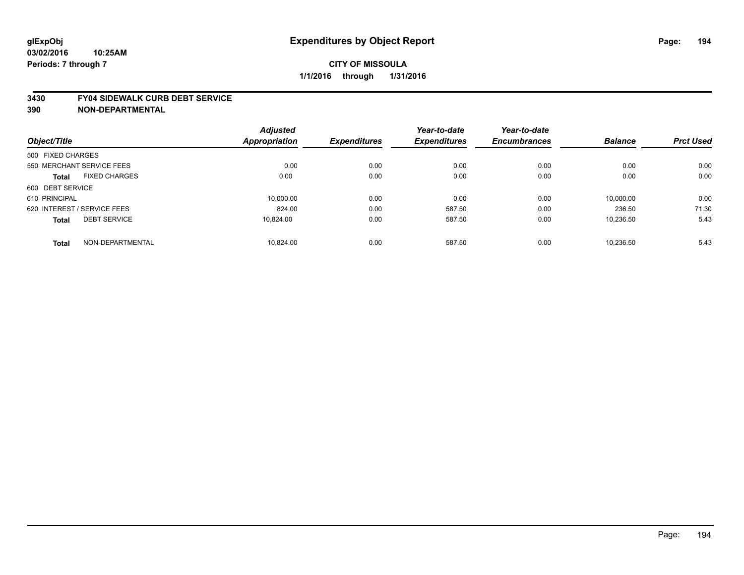#### **03/02/2016 10:25AM Periods: 7 through 7**

### **CITY OF MISSOULA 1/1/2016 through 1/31/2016**

#### **3430 FY04 SIDEWALK CURB DEBT SERVICE**

| Object/Title                |                           | <b>Adjusted</b> |                     | Year-to-date        | Year-to-date        |                |                  |
|-----------------------------|---------------------------|-----------------|---------------------|---------------------|---------------------|----------------|------------------|
|                             |                           | Appropriation   | <b>Expenditures</b> | <b>Expenditures</b> | <b>Encumbrances</b> | <b>Balance</b> | <b>Prct Used</b> |
| 500 FIXED CHARGES           |                           |                 |                     |                     |                     |                |                  |
|                             | 550 MERCHANT SERVICE FEES | 0.00            | 0.00                | 0.00                | 0.00                | 0.00           | 0.00             |
| <b>Total</b>                | <b>FIXED CHARGES</b>      | 0.00            | 0.00                | 0.00                | 0.00                | 0.00           | 0.00             |
| 600 DEBT SERVICE            |                           |                 |                     |                     |                     |                |                  |
| 610 PRINCIPAL               |                           | 10.000.00       | 0.00                | 0.00                | 0.00                | 10.000.00      | 0.00             |
| 620 INTEREST / SERVICE FEES |                           | 824.00          | 0.00                | 587.50              | 0.00                | 236.50         | 71.30            |
| <b>Total</b>                | <b>DEBT SERVICE</b>       | 10.824.00       | 0.00                | 587.50              | 0.00                | 10.236.50      | 5.43             |
| <b>Total</b>                | NON-DEPARTMENTAL          | 10.824.00       | 0.00                | 587.50              | 0.00                | 10.236.50      | 5.43             |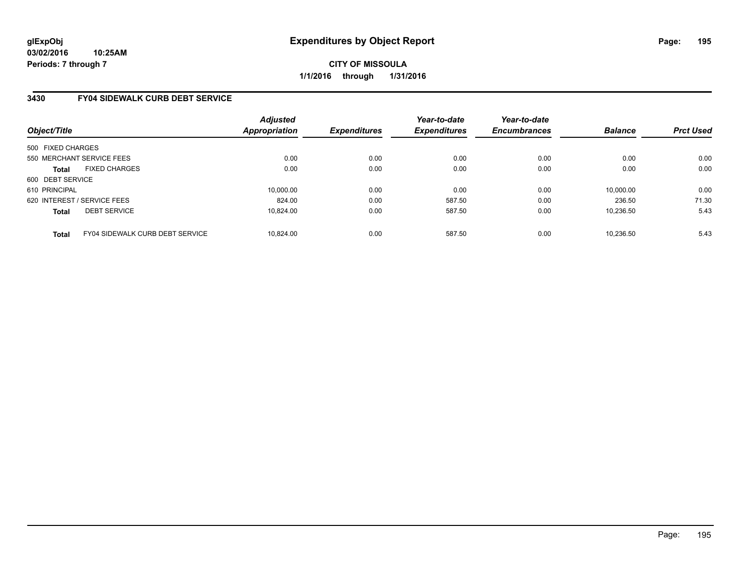### **3430 FY04 SIDEWALK CURB DEBT SERVICE**

| Object/Title                |                                 | Adjusted<br><b>Appropriation</b> | <b>Expenditures</b> | Year-to-date<br><b>Expenditures</b> | Year-to-date<br><b>Encumbrances</b> | <b>Balance</b> | <b>Prct Used</b> |
|-----------------------------|---------------------------------|----------------------------------|---------------------|-------------------------------------|-------------------------------------|----------------|------------------|
| 500 FIXED CHARGES           |                                 |                                  |                     |                                     |                                     |                |                  |
|                             | 550 MERCHANT SERVICE FEES       | 0.00                             | 0.00                | 0.00                                | 0.00                                | 0.00           | 0.00             |
| <b>Total</b>                | <b>FIXED CHARGES</b>            | 0.00                             | 0.00                | 0.00                                | 0.00                                | 0.00           | 0.00             |
| 600 DEBT SERVICE            |                                 |                                  |                     |                                     |                                     |                |                  |
| 610 PRINCIPAL               |                                 | 10.000.00                        | 0.00                | 0.00                                | 0.00                                | 10,000.00      | 0.00             |
| 620 INTEREST / SERVICE FEES |                                 | 824.00                           | 0.00                | 587.50                              | 0.00                                | 236.50         | 71.30            |
| <b>Total</b>                | <b>DEBT SERVICE</b>             | 10.824.00                        | 0.00                | 587.50                              | 0.00                                | 10.236.50      | 5.43             |
| <b>Total</b>                | FY04 SIDEWALK CURB DEBT SERVICE | 10.824.00                        | 0.00                | 587.50                              | 0.00                                | 10.236.50      | 5.43             |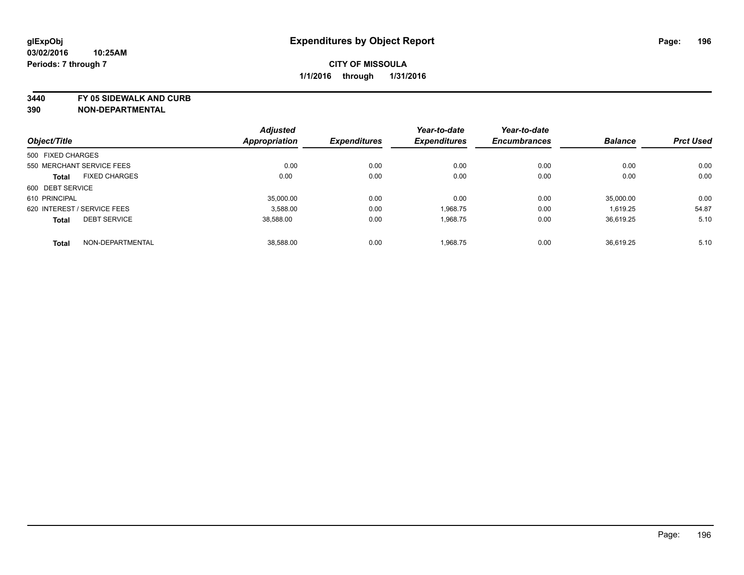**3440 FY 05 SIDEWALK AND CURB**

| Object/Title      |                             | <b>Adjusted</b> | <b>Expenditures</b> | Year-to-date<br><b>Expenditures</b> | Year-to-date<br><b>Encumbrances</b> | <b>Balance</b> | <b>Prct Used</b> |
|-------------------|-----------------------------|-----------------|---------------------|-------------------------------------|-------------------------------------|----------------|------------------|
|                   |                             | Appropriation   |                     |                                     |                                     |                |                  |
| 500 FIXED CHARGES |                             |                 |                     |                                     |                                     |                |                  |
|                   | 550 MERCHANT SERVICE FEES   | 0.00            | 0.00                | 0.00                                | 0.00                                | 0.00           | 0.00             |
| <b>Total</b>      | <b>FIXED CHARGES</b>        | 0.00            | 0.00                | 0.00                                | 0.00                                | 0.00           | 0.00             |
| 600 DEBT SERVICE  |                             |                 |                     |                                     |                                     |                |                  |
| 610 PRINCIPAL     |                             | 35,000.00       | 0.00                | 0.00                                | 0.00                                | 35.000.00      | 0.00             |
|                   | 620 INTEREST / SERVICE FEES | 3.588.00        | 0.00                | 1.968.75                            | 0.00                                | 1.619.25       | 54.87            |
| <b>Total</b>      | <b>DEBT SERVICE</b>         | 38,588.00       | 0.00                | 1.968.75                            | 0.00                                | 36,619.25      | 5.10             |
| <b>Total</b>      | NON-DEPARTMENTAL            | 38.588.00       | 0.00                | 1,968.75                            | 0.00                                | 36.619.25      | 5.10             |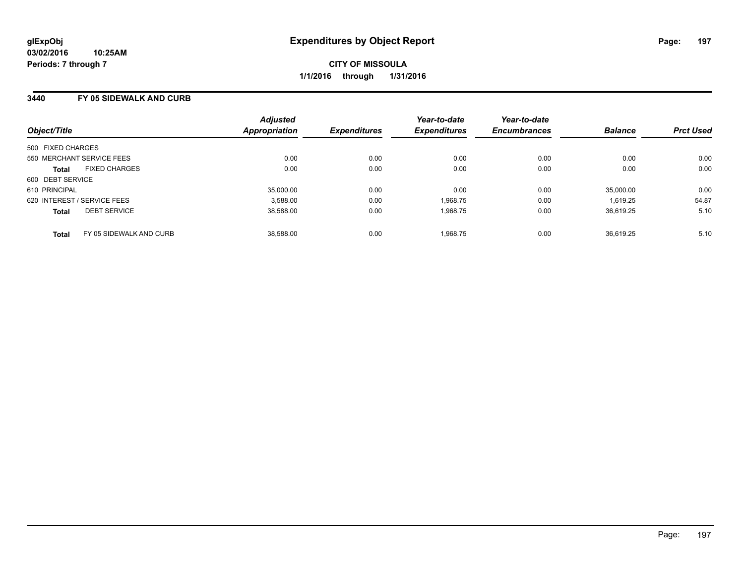### **3440 FY 05 SIDEWALK AND CURB**

| Object/Title                            | <b>Adjusted</b><br>Appropriation | <b>Expenditures</b> | Year-to-date<br><b>Expenditures</b> | Year-to-date<br><b>Encumbrances</b> | <b>Balance</b> | <b>Prct Used</b> |
|-----------------------------------------|----------------------------------|---------------------|-------------------------------------|-------------------------------------|----------------|------------------|
| 500 FIXED CHARGES                       |                                  |                     |                                     |                                     |                |                  |
| 550 MERCHANT SERVICE FEES               | 0.00                             | 0.00                | 0.00                                | 0.00                                | 0.00           | 0.00             |
| <b>FIXED CHARGES</b><br><b>Total</b>    | 0.00                             | 0.00                | 0.00                                | 0.00                                | 0.00           | 0.00             |
| 600 DEBT SERVICE                        |                                  |                     |                                     |                                     |                |                  |
| 610 PRINCIPAL                           | 35.000.00                        | 0.00                | 0.00                                | 0.00                                | 35,000.00      | 0.00             |
| 620 INTEREST / SERVICE FEES             | 3.588.00                         | 0.00                | 1.968.75                            | 0.00                                | 1.619.25       | 54.87            |
| <b>DEBT SERVICE</b><br><b>Total</b>     | 38,588.00                        | 0.00                | 1,968.75                            | 0.00                                | 36.619.25      | 5.10             |
| FY 05 SIDEWALK AND CURB<br><b>Total</b> | 38.588.00                        | 0.00                | 1,968.75                            | 0.00                                | 36.619.25      | 5.10             |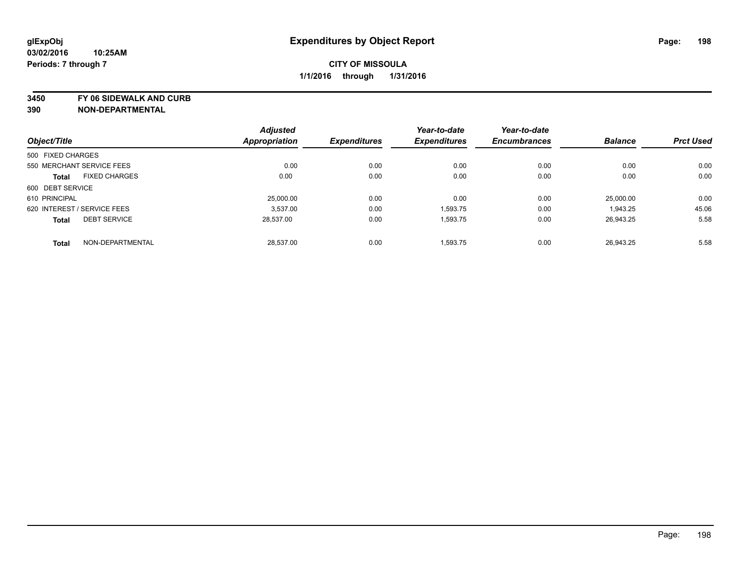**3450 FY 06 SIDEWALK AND CURB**

| Object/Title      |                             | <b>Adjusted</b> | <b>Expenditures</b> | Year-to-date<br><b>Expenditures</b> | Year-to-date<br><b>Encumbrances</b> | <b>Balance</b> | <b>Prct Used</b> |
|-------------------|-----------------------------|-----------------|---------------------|-------------------------------------|-------------------------------------|----------------|------------------|
|                   |                             | Appropriation   |                     |                                     |                                     |                |                  |
| 500 FIXED CHARGES |                             |                 |                     |                                     |                                     |                |                  |
|                   | 550 MERCHANT SERVICE FEES   | 0.00            | 0.00                | 0.00                                | 0.00                                | 0.00           | 0.00             |
| <b>Total</b>      | <b>FIXED CHARGES</b>        | 0.00            | 0.00                | 0.00                                | 0.00                                | 0.00           | 0.00             |
| 600 DEBT SERVICE  |                             |                 |                     |                                     |                                     |                |                  |
| 610 PRINCIPAL     |                             | 25,000.00       | 0.00                | 0.00                                | 0.00                                | 25.000.00      | 0.00             |
|                   | 620 INTEREST / SERVICE FEES | 3.537.00        | 0.00                | 1.593.75                            | 0.00                                | 1,943.25       | 45.06            |
| <b>Total</b>      | <b>DEBT SERVICE</b>         | 28,537.00       | 0.00                | 1.593.75                            | 0.00                                | 26,943.25      | 5.58             |
| <b>Total</b>      | NON-DEPARTMENTAL            | 28.537.00       | 0.00                | 1,593.75                            | 0.00                                | 26.943.25      | 5.58             |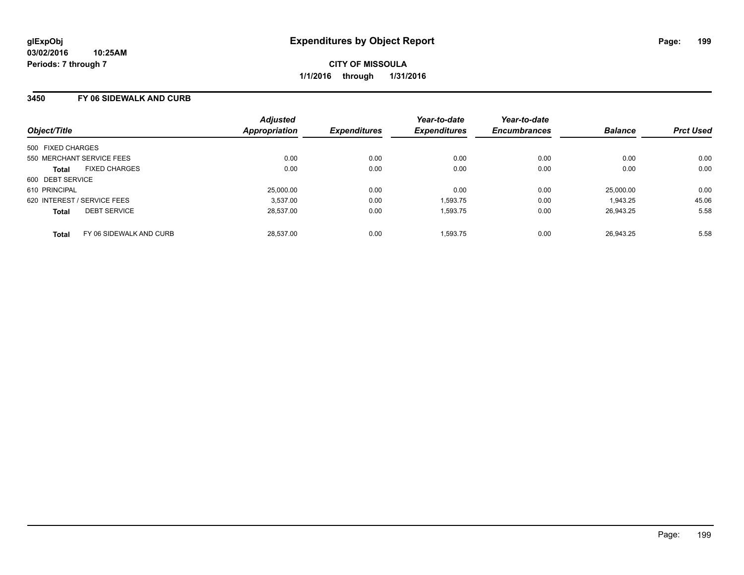### **3450 FY 06 SIDEWALK AND CURB**

| Object/Title                |                         | <b>Adjusted</b><br>Appropriation | <b>Expenditures</b> | Year-to-date<br><b>Expenditures</b> | Year-to-date<br><b>Encumbrances</b> | <b>Balance</b> | <b>Prct Used</b> |
|-----------------------------|-------------------------|----------------------------------|---------------------|-------------------------------------|-------------------------------------|----------------|------------------|
| 500 FIXED CHARGES           |                         |                                  |                     |                                     |                                     |                |                  |
| 550 MERCHANT SERVICE FEES   |                         | 0.00                             | 0.00                | 0.00                                | 0.00                                | 0.00           | 0.00             |
| <b>Total</b>                | <b>FIXED CHARGES</b>    | 0.00                             | 0.00                | 0.00                                | 0.00                                | 0.00           | 0.00             |
| 600 DEBT SERVICE            |                         |                                  |                     |                                     |                                     |                |                  |
| 610 PRINCIPAL               |                         | 25,000.00                        | 0.00                | 0.00                                | 0.00                                | 25.000.00      | 0.00             |
| 620 INTEREST / SERVICE FEES |                         | 3.537.00                         | 0.00                | 1,593.75                            | 0.00                                | 1,943.25       | 45.06            |
| <b>Total</b>                | <b>DEBT SERVICE</b>     | 28.537.00                        | 0.00                | 1,593.75                            | 0.00                                | 26.943.25      | 5.58             |
| <b>Total</b>                | FY 06 SIDEWALK AND CURB | 28.537.00                        | 0.00                | 1.593.75                            | 0.00                                | 26.943.25      | 5.58             |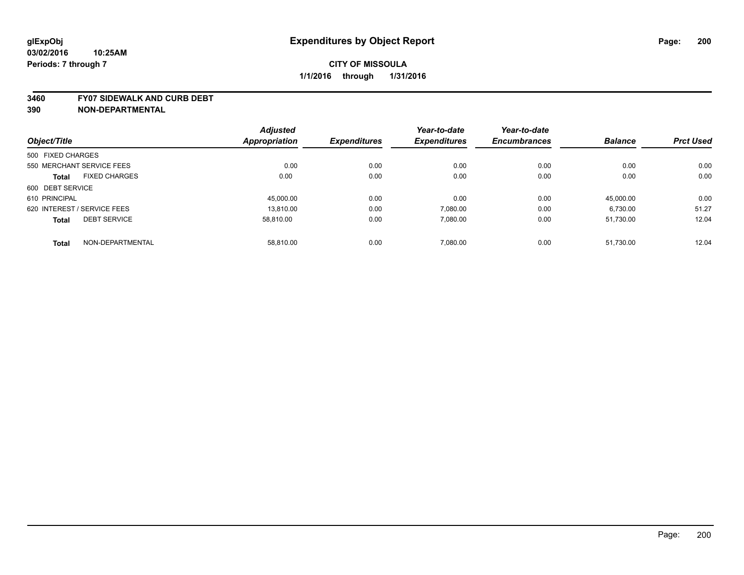#### **3460 FY07 SIDEWALK AND CURB DEBT**

|                                      | <b>Adjusted</b>      |                     | Year-to-date        | Year-to-date        |                |                  |
|--------------------------------------|----------------------|---------------------|---------------------|---------------------|----------------|------------------|
| Object/Title                         | <b>Appropriation</b> | <b>Expenditures</b> | <b>Expenditures</b> | <b>Encumbrances</b> | <b>Balance</b> | <b>Prct Used</b> |
| 500 FIXED CHARGES                    |                      |                     |                     |                     |                |                  |
| 550 MERCHANT SERVICE FEES            | 0.00                 | 0.00                | 0.00                | 0.00                | 0.00           | 0.00             |
| <b>FIXED CHARGES</b><br><b>Total</b> | 0.00                 | 0.00                | 0.00                | 0.00                | 0.00           | 0.00             |
| 600 DEBT SERVICE                     |                      |                     |                     |                     |                |                  |
| 610 PRINCIPAL                        | 45.000.00            | 0.00                | 0.00                | 0.00                | 45.000.00      | 0.00             |
| 620 INTEREST / SERVICE FEES          | 13.810.00            | 0.00                | 7,080.00            | 0.00                | 6,730.00       | 51.27            |
| <b>DEBT SERVICE</b><br><b>Total</b>  | 58.810.00            | 0.00                | 7,080.00            | 0.00                | 51.730.00      | 12.04            |
| NON-DEPARTMENTAL<br><b>Total</b>     | 58.810.00            | 0.00                | 7,080.00            | 0.00                | 51,730.00      | 12.04            |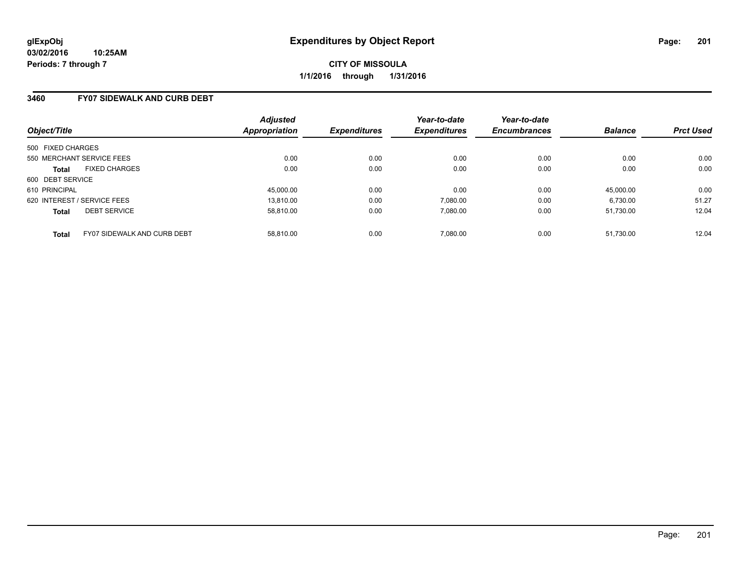### **3460 FY07 SIDEWALK AND CURB DEBT**

| Object/Title                                | <b>Adjusted</b><br>Appropriation | <b>Expenditures</b> | Year-to-date<br><b>Expenditures</b> | Year-to-date<br><b>Encumbrances</b> | <b>Balance</b> | <b>Prct Used</b> |
|---------------------------------------------|----------------------------------|---------------------|-------------------------------------|-------------------------------------|----------------|------------------|
| 500 FIXED CHARGES                           |                                  |                     |                                     |                                     |                |                  |
| 550 MERCHANT SERVICE FEES                   | 0.00                             | 0.00                | 0.00                                | 0.00                                | 0.00           | 0.00             |
| <b>FIXED CHARGES</b><br><b>Total</b>        | 0.00                             | 0.00                | 0.00                                | 0.00                                | 0.00           | 0.00             |
| 600 DEBT SERVICE                            |                                  |                     |                                     |                                     |                |                  |
| 610 PRINCIPAL                               | 45,000.00                        | 0.00                | 0.00                                | 0.00                                | 45.000.00      | 0.00             |
| 620 INTEREST / SERVICE FEES                 | 13.810.00                        | 0.00                | 7,080.00                            | 0.00                                | 6,730.00       | 51.27            |
| <b>DEBT SERVICE</b><br><b>Total</b>         | 58.810.00                        | 0.00                | 7.080.00                            | 0.00                                | 51.730.00      | 12.04            |
| FY07 SIDEWALK AND CURB DEBT<br><b>Total</b> | 58.810.00                        | 0.00                | 7.080.00                            | 0.00                                | 51.730.00      | 12.04            |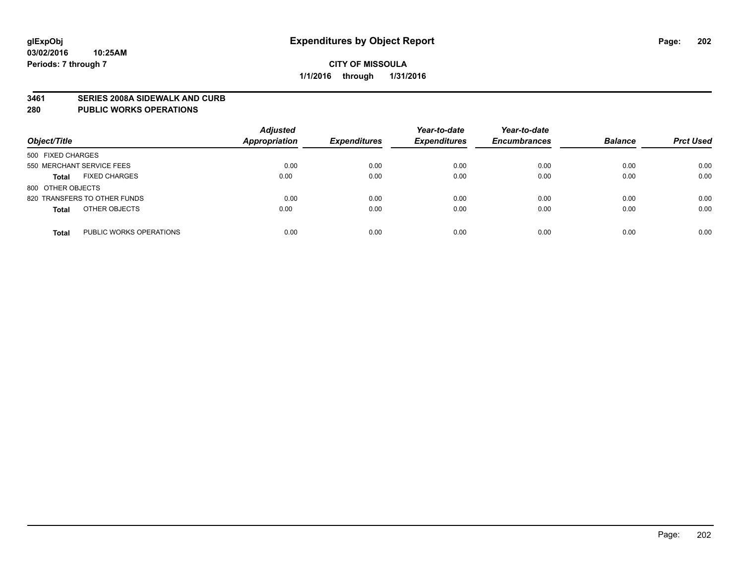#### **3461 SERIES 2008A SIDEWALK AND CURB**

#### **280 PUBLIC WORKS OPERATIONS**

| Object/Title                            | <b>Adjusted</b><br><b>Appropriation</b> | <b>Expenditures</b> | Year-to-date<br><b>Expenditures</b> | Year-to-date<br><b>Encumbrances</b> | <b>Balance</b> | <b>Prct Used</b> |
|-----------------------------------------|-----------------------------------------|---------------------|-------------------------------------|-------------------------------------|----------------|------------------|
| 500 FIXED CHARGES                       |                                         |                     |                                     |                                     |                |                  |
| 550 MERCHANT SERVICE FEES               | 0.00                                    | 0.00                | 0.00                                | 0.00                                | 0.00           | 0.00             |
| <b>FIXED CHARGES</b><br><b>Total</b>    | 0.00                                    | 0.00                | 0.00                                | 0.00                                | 0.00           | 0.00             |
| 800 OTHER OBJECTS                       |                                         |                     |                                     |                                     |                |                  |
| 820 TRANSFERS TO OTHER FUNDS            | 0.00                                    | 0.00                | 0.00                                | 0.00                                | 0.00           | 0.00             |
| OTHER OBJECTS<br><b>Total</b>           | 0.00                                    | 0.00                | 0.00                                | 0.00                                | 0.00           | 0.00             |
| PUBLIC WORKS OPERATIONS<br><b>Total</b> | 0.00                                    | 0.00                | 0.00                                | 0.00                                | 0.00           | 0.00             |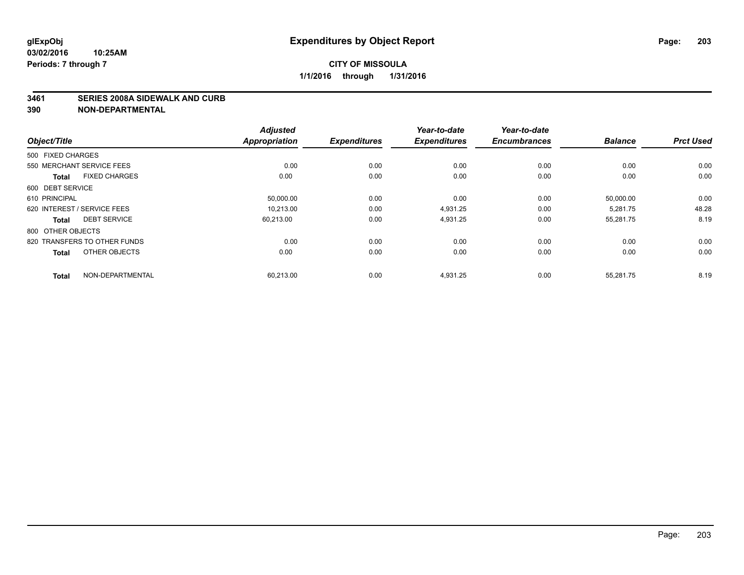#### **3461 SERIES 2008A SIDEWALK AND CURB**

|                                      | <b>Adjusted</b>      |                     | Year-to-date        | Year-to-date        |                |                  |
|--------------------------------------|----------------------|---------------------|---------------------|---------------------|----------------|------------------|
| Object/Title                         | <b>Appropriation</b> | <b>Expenditures</b> | <b>Expenditures</b> | <b>Encumbrances</b> | <b>Balance</b> | <b>Prct Used</b> |
| 500 FIXED CHARGES                    |                      |                     |                     |                     |                |                  |
| 550 MERCHANT SERVICE FEES            | 0.00                 | 0.00                | 0.00                | 0.00                | 0.00           | 0.00             |
| <b>FIXED CHARGES</b><br><b>Total</b> | 0.00                 | 0.00                | 0.00                | 0.00                | 0.00           | 0.00             |
| 600 DEBT SERVICE                     |                      |                     |                     |                     |                |                  |
| 610 PRINCIPAL                        | 50,000.00            | 0.00                | 0.00                | 0.00                | 50,000.00      | 0.00             |
| 620 INTEREST / SERVICE FEES          | 10.213.00            | 0.00                | 4.931.25            | 0.00                | 5.281.75       | 48.28            |
| <b>DEBT SERVICE</b><br><b>Total</b>  | 60,213.00            | 0.00                | 4,931.25            | 0.00                | 55,281.75      | 8.19             |
| 800 OTHER OBJECTS                    |                      |                     |                     |                     |                |                  |
| 820 TRANSFERS TO OTHER FUNDS         | 0.00                 | 0.00                | 0.00                | 0.00                | 0.00           | 0.00             |
| OTHER OBJECTS<br><b>Total</b>        | 0.00                 | 0.00                | 0.00                | 0.00                | 0.00           | 0.00             |
|                                      |                      |                     |                     |                     |                |                  |
| NON-DEPARTMENTAL<br><b>Total</b>     | 60,213.00            | 0.00                | 4,931.25            | 0.00                | 55,281.75      | 8.19             |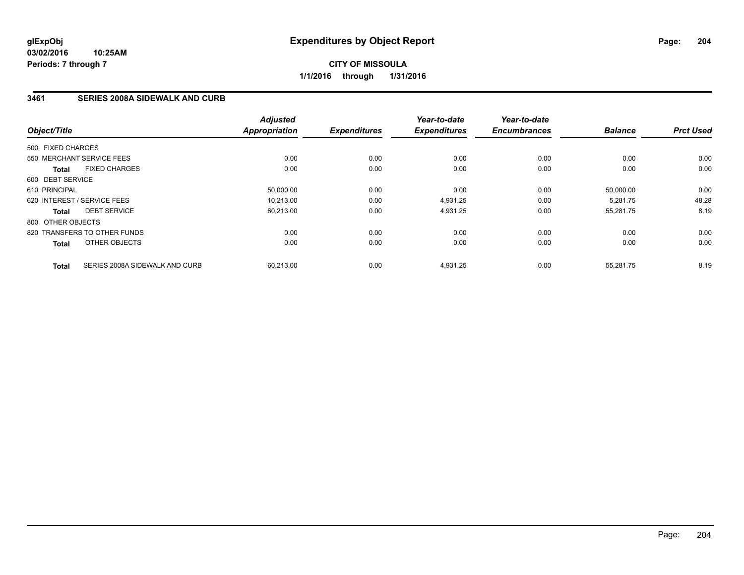### **3461 SERIES 2008A SIDEWALK AND CURB**

| Object/Title                 |                                | <b>Adjusted</b><br>Appropriation | <b>Expenditures</b> | Year-to-date<br><b>Expenditures</b> | Year-to-date<br><b>Encumbrances</b> | <b>Balance</b> | <b>Prct Used</b> |
|------------------------------|--------------------------------|----------------------------------|---------------------|-------------------------------------|-------------------------------------|----------------|------------------|
| 500 FIXED CHARGES            |                                |                                  |                     |                                     |                                     |                |                  |
| 550 MERCHANT SERVICE FEES    |                                | 0.00                             | 0.00                | 0.00                                | 0.00                                | 0.00           | 0.00             |
| <b>Total</b>                 | <b>FIXED CHARGES</b>           | 0.00                             | 0.00                | 0.00                                | 0.00                                | 0.00           | 0.00             |
| 600 DEBT SERVICE             |                                |                                  |                     |                                     |                                     |                |                  |
| 610 PRINCIPAL                |                                | 50,000.00                        | 0.00                | 0.00                                | 0.00                                | 50.000.00      | 0.00             |
| 620 INTEREST / SERVICE FEES  |                                | 10,213.00                        | 0.00                | 4,931.25                            | 0.00                                | 5,281.75       | 48.28            |
| <b>Total</b>                 | <b>DEBT SERVICE</b>            | 60,213.00                        | 0.00                | 4,931.25                            | 0.00                                | 55,281.75      | 8.19             |
| 800 OTHER OBJECTS            |                                |                                  |                     |                                     |                                     |                |                  |
| 820 TRANSFERS TO OTHER FUNDS |                                | 0.00                             | 0.00                | 0.00                                | 0.00                                | 0.00           | 0.00             |
| <b>Total</b>                 | OTHER OBJECTS                  | 0.00                             | 0.00                | 0.00                                | 0.00                                | 0.00           | 0.00             |
| <b>Total</b>                 | SERIES 2008A SIDEWALK AND CURB | 60,213.00                        | 0.00                | 4,931.25                            | 0.00                                | 55,281.75      | 8.19             |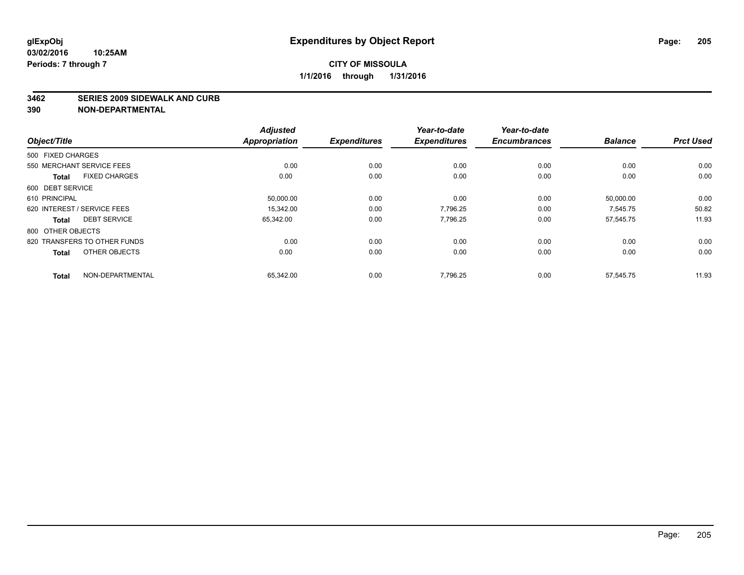#### **3462 SERIES 2009 SIDEWALK AND CURB**

|                                      | <b>Adjusted</b>      |                     | Year-to-date        | Year-to-date        |                |                  |
|--------------------------------------|----------------------|---------------------|---------------------|---------------------|----------------|------------------|
| Object/Title                         | <b>Appropriation</b> | <b>Expenditures</b> | <b>Expenditures</b> | <b>Encumbrances</b> | <b>Balance</b> | <b>Prct Used</b> |
| 500 FIXED CHARGES                    |                      |                     |                     |                     |                |                  |
| 550 MERCHANT SERVICE FEES            | 0.00                 | 0.00                | 0.00                | 0.00                | 0.00           | 0.00             |
| <b>FIXED CHARGES</b><br><b>Total</b> | 0.00                 | 0.00                | 0.00                | 0.00                | 0.00           | 0.00             |
| 600 DEBT SERVICE                     |                      |                     |                     |                     |                |                  |
| 610 PRINCIPAL                        | 50,000.00            | 0.00                | 0.00                | 0.00                | 50,000.00      | 0.00             |
| 620 INTEREST / SERVICE FEES          | 15.342.00            | 0.00                | 7.796.25            | 0.00                | 7.545.75       | 50.82            |
| <b>DEBT SERVICE</b><br><b>Total</b>  | 65,342.00            | 0.00                | 7,796.25            | 0.00                | 57,545.75      | 11.93            |
| 800 OTHER OBJECTS                    |                      |                     |                     |                     |                |                  |
| 820 TRANSFERS TO OTHER FUNDS         | 0.00                 | 0.00                | 0.00                | 0.00                | 0.00           | 0.00             |
| OTHER OBJECTS<br><b>Total</b>        | 0.00                 | 0.00                | 0.00                | 0.00                | 0.00           | 0.00             |
|                                      |                      |                     |                     |                     |                |                  |
| NON-DEPARTMENTAL<br><b>Total</b>     | 65,342.00            | 0.00                | 7,796.25            | 0.00                | 57,545.75      | 11.93            |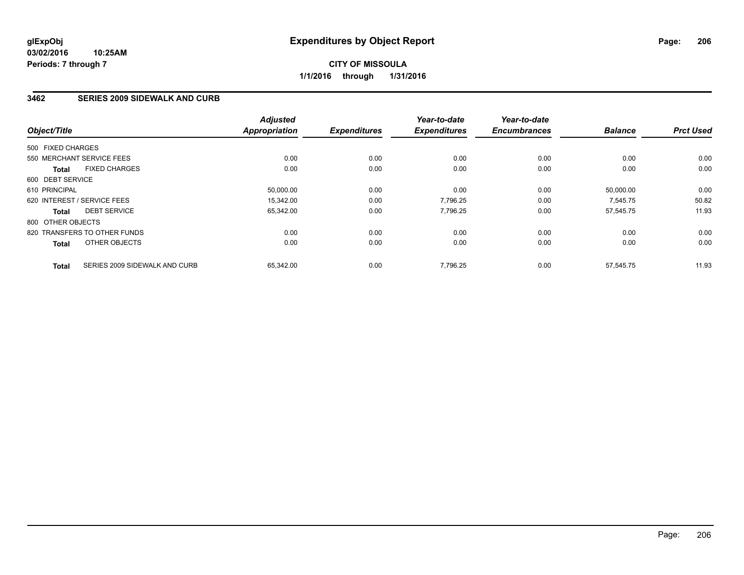#### **03/02/2016 10:25AM Periods: 7 through 7**

## **CITY OF MISSOULA 1/1/2016 through 1/31/2016**

### **3462 SERIES 2009 SIDEWALK AND CURB**

| Object/Title                                  | <b>Adjusted</b><br><b>Appropriation</b> | <b>Expenditures</b> | Year-to-date<br><b>Expenditures</b> | Year-to-date<br><b>Encumbrances</b> | <b>Balance</b> | <b>Prct Used</b> |
|-----------------------------------------------|-----------------------------------------|---------------------|-------------------------------------|-------------------------------------|----------------|------------------|
| 500 FIXED CHARGES                             |                                         |                     |                                     |                                     |                |                  |
| 550 MERCHANT SERVICE FEES                     | 0.00                                    | 0.00                | 0.00                                | 0.00                                | 0.00           | 0.00             |
| <b>FIXED CHARGES</b><br><b>Total</b>          | 0.00                                    | 0.00                | 0.00                                | 0.00                                | 0.00           | 0.00             |
| 600 DEBT SERVICE                              |                                         |                     |                                     |                                     |                |                  |
| 610 PRINCIPAL                                 | 50,000.00                               | 0.00                | 0.00                                | 0.00                                | 50.000.00      | 0.00             |
| 620 INTEREST / SERVICE FEES                   | 15,342.00                               | 0.00                | 7,796.25                            | 0.00                                | 7,545.75       | 50.82            |
| <b>DEBT SERVICE</b><br><b>Total</b>           | 65,342.00                               | 0.00                | 7,796.25                            | 0.00                                | 57,545.75      | 11.93            |
| 800 OTHER OBJECTS                             |                                         |                     |                                     |                                     |                |                  |
| 820 TRANSFERS TO OTHER FUNDS                  | 0.00                                    | 0.00                | 0.00                                | 0.00                                | 0.00           | 0.00             |
| OTHER OBJECTS<br><b>Total</b>                 | 0.00                                    | 0.00                | 0.00                                | 0.00                                | 0.00           | 0.00             |
| SERIES 2009 SIDEWALK AND CURB<br><b>Total</b> | 65.342.00                               | 0.00                | 7.796.25                            | 0.00                                | 57.545.75      | 11.93            |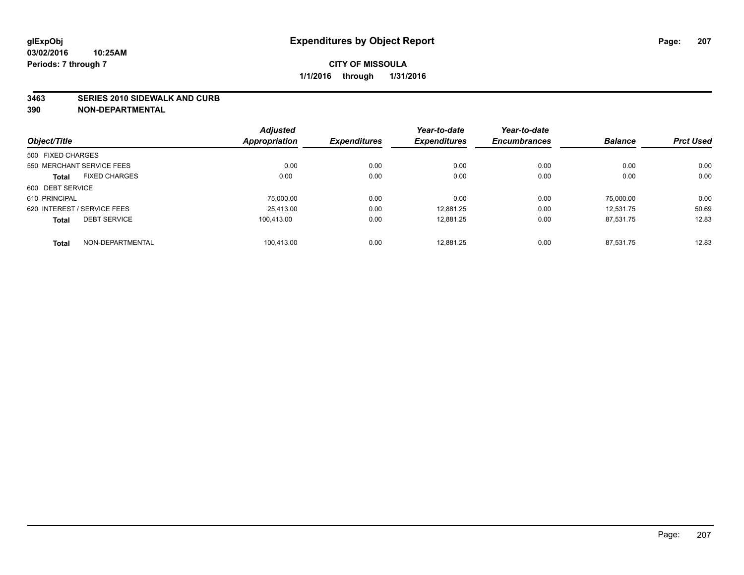#### **3463 SERIES 2010 SIDEWALK AND CURB**

|                                      | <b>Adjusted</b>      |                     | Year-to-date        | Year-to-date        |                |                  |
|--------------------------------------|----------------------|---------------------|---------------------|---------------------|----------------|------------------|
| Object/Title                         | <b>Appropriation</b> | <b>Expenditures</b> | <b>Expenditures</b> | <b>Encumbrances</b> | <b>Balance</b> | <b>Prct Used</b> |
| 500 FIXED CHARGES                    |                      |                     |                     |                     |                |                  |
| 550 MERCHANT SERVICE FEES            | 0.00                 | 0.00                | 0.00                | 0.00                | 0.00           | 0.00             |
| <b>FIXED CHARGES</b><br><b>Total</b> | 0.00                 | 0.00                | 0.00                | 0.00                | 0.00           | 0.00             |
| 600 DEBT SERVICE                     |                      |                     |                     |                     |                |                  |
| 610 PRINCIPAL                        | 75.000.00            | 0.00                | 0.00                | 0.00                | 75.000.00      | 0.00             |
| 620 INTEREST / SERVICE FEES          | 25.413.00            | 0.00                | 12,881.25           | 0.00                | 12.531.75      | 50.69            |
| <b>DEBT SERVICE</b><br><b>Total</b>  | 100.413.00           | 0.00                | 12,881.25           | 0.00                | 87.531.75      | 12.83            |
| NON-DEPARTMENTAL<br><b>Total</b>     | 100,413.00           | 0.00                | 12.881.25           | 0.00                | 87.531.75      | 12.83            |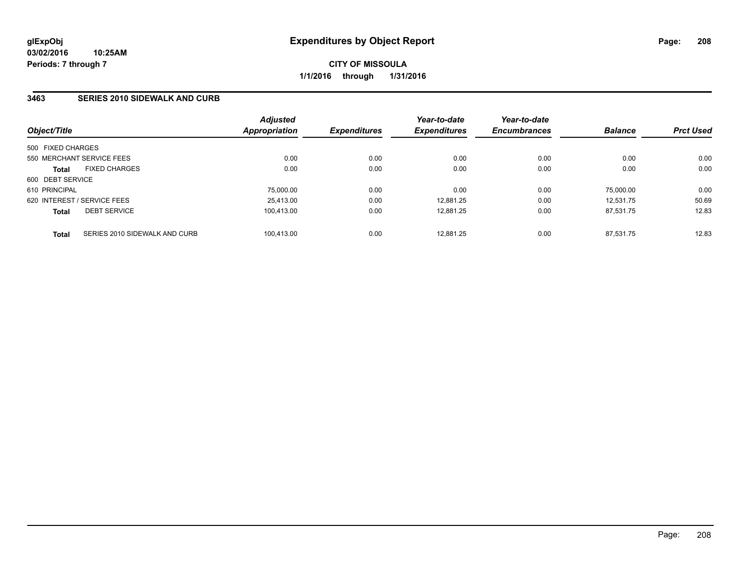### **3463 SERIES 2010 SIDEWALK AND CURB**

| Object/Title      |                               | <b>Adjusted</b><br>Appropriation | <i><b>Expenditures</b></i> | Year-to-date<br><b>Expenditures</b> | Year-to-date<br><b>Encumbrances</b> | <b>Balance</b> | <b>Prct Used</b> |
|-------------------|-------------------------------|----------------------------------|----------------------------|-------------------------------------|-------------------------------------|----------------|------------------|
|                   |                               |                                  |                            |                                     |                                     |                |                  |
| 500 FIXED CHARGES |                               |                                  |                            |                                     |                                     |                |                  |
|                   | 550 MERCHANT SERVICE FEES     | 0.00                             | 0.00                       | 0.00                                | 0.00                                | 0.00           | 0.00             |
| <b>Total</b>      | <b>FIXED CHARGES</b>          | 0.00                             | 0.00                       | 0.00                                | 0.00                                | 0.00           | 0.00             |
| 600 DEBT SERVICE  |                               |                                  |                            |                                     |                                     |                |                  |
| 610 PRINCIPAL     |                               | 75,000.00                        | 0.00                       | 0.00                                | 0.00                                | 75,000.00      | 0.00             |
|                   | 620 INTEREST / SERVICE FEES   | 25,413.00                        | 0.00                       | 12.881.25                           | 0.00                                | 12.531.75      | 50.69            |
| <b>Total</b>      | <b>DEBT SERVICE</b>           | 100.413.00                       | 0.00                       | 12.881.25                           | 0.00                                | 87.531.75      | 12.83            |
| <b>Total</b>      | SERIES 2010 SIDEWALK AND CURB | 100.413.00                       | 0.00                       | 12.881.25                           | 0.00                                | 87.531.75      | 12.83            |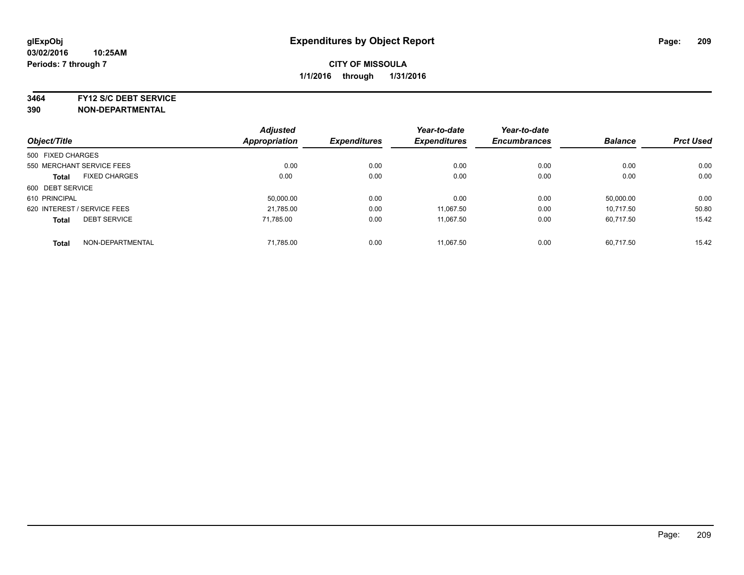**3464 FY12 S/C DEBT SERVICE**

|                                     |                      | <b>Adjusted</b> |                     | Year-to-date        | Year-to-date        |                |                  |
|-------------------------------------|----------------------|-----------------|---------------------|---------------------|---------------------|----------------|------------------|
| Object/Title                        |                      | Appropriation   | <b>Expenditures</b> | <b>Expenditures</b> | <b>Encumbrances</b> | <b>Balance</b> | <b>Prct Used</b> |
| 500 FIXED CHARGES                   |                      |                 |                     |                     |                     |                |                  |
| 550 MERCHANT SERVICE FEES           |                      | 0.00            | 0.00                | 0.00                | 0.00                | 0.00           | 0.00             |
| <b>Total</b>                        | <b>FIXED CHARGES</b> | 0.00            | 0.00                | 0.00                | 0.00                | 0.00           | 0.00             |
| 600 DEBT SERVICE                    |                      |                 |                     |                     |                     |                |                  |
| 610 PRINCIPAL                       |                      | 50,000.00       | 0.00                | 0.00                | 0.00                | 50,000.00      | 0.00             |
| 620 INTEREST / SERVICE FEES         |                      | 21,785.00       | 0.00                | 11.067.50           | 0.00                | 10.717.50      | 50.80            |
| <b>DEBT SERVICE</b><br><b>Total</b> |                      | 71.785.00       | 0.00                | 11.067.50           | 0.00                | 60.717.50      | 15.42            |
| <b>Total</b>                        | NON-DEPARTMENTAL     | 71.785.00       | 0.00                | 11.067.50           | 0.00                | 60,717.50      | 15.42            |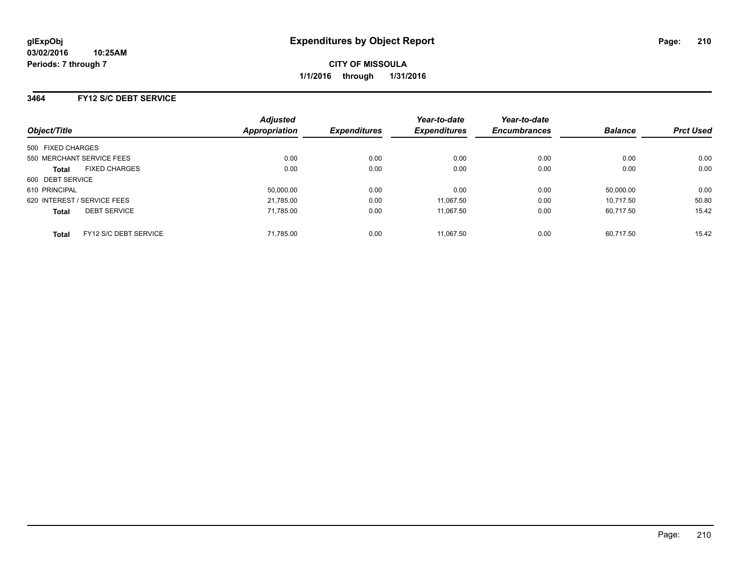### **3464 FY12 S/C DEBT SERVICE**

| Object/Title                          | <b>Adjusted</b><br>Appropriation | <b>Expenditures</b> | Year-to-date<br><b>Expenditures</b> | Year-to-date<br><b>Encumbrances</b> | <b>Balance</b> | <b>Prct Used</b> |
|---------------------------------------|----------------------------------|---------------------|-------------------------------------|-------------------------------------|----------------|------------------|
|                                       |                                  |                     |                                     |                                     |                |                  |
| 500 FIXED CHARGES                     |                                  |                     |                                     |                                     |                |                  |
| 550 MERCHANT SERVICE FEES             | 0.00                             | 0.00                | 0.00                                | 0.00                                | 0.00           | 0.00             |
| <b>FIXED CHARGES</b><br><b>Total</b>  | 0.00                             | 0.00                | 0.00                                | 0.00                                | 0.00           | 0.00             |
| 600 DEBT SERVICE                      |                                  |                     |                                     |                                     |                |                  |
| 610 PRINCIPAL                         | 50.000.00                        | 0.00                | 0.00                                | 0.00                                | 50.000.00      | 0.00             |
| 620 INTEREST / SERVICE FEES           | 21,785.00                        | 0.00                | 11.067.50                           | 0.00                                | 10.717.50      | 50.80            |
| <b>DEBT SERVICE</b><br><b>Total</b>   | 71.785.00                        | 0.00                | 11.067.50                           | 0.00                                | 60.717.50      | 15.42            |
| FY12 S/C DEBT SERVICE<br><b>Total</b> | 71.785.00                        | 0.00                | 11.067.50                           | 0.00                                | 60.717.50      | 15.42            |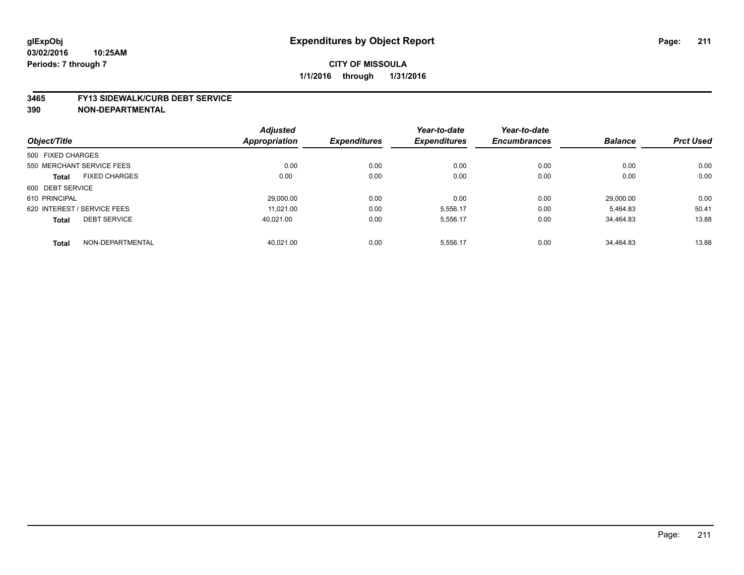#### **3465 FY13 SIDEWALK/CURB DEBT SERVICE**

|                   |                             | <b>Adjusted</b>      |                     | Year-to-date        | Year-to-date        |                |                  |
|-------------------|-----------------------------|----------------------|---------------------|---------------------|---------------------|----------------|------------------|
| Object/Title      |                             | <b>Appropriation</b> | <b>Expenditures</b> | <b>Expenditures</b> | <b>Encumbrances</b> | <b>Balance</b> | <b>Prct Used</b> |
| 500 FIXED CHARGES |                             |                      |                     |                     |                     |                |                  |
|                   | 550 MERCHANT SERVICE FEES   | 0.00                 | 0.00                | 0.00                | 0.00                | 0.00           | 0.00             |
| <b>Total</b>      | <b>FIXED CHARGES</b>        | 0.00                 | 0.00                | 0.00                | 0.00                | 0.00           | 0.00             |
| 600 DEBT SERVICE  |                             |                      |                     |                     |                     |                |                  |
| 610 PRINCIPAL     |                             | 29.000.00            | 0.00                | 0.00                | 0.00                | 29.000.00      | 0.00             |
|                   | 620 INTEREST / SERVICE FEES | 11,021.00            | 0.00                | 5,556.17            | 0.00                | 5,464.83       | 50.41            |
| <b>Total</b>      | <b>DEBT SERVICE</b>         | 40.021.00            | 0.00                | 5,556.17            | 0.00                | 34.464.83      | 13.88            |
| <b>Total</b>      | NON-DEPARTMENTAL            | 40.021.00            | 0.00                | 5,556.17            | 0.00                | 34.464.83      | 13.88            |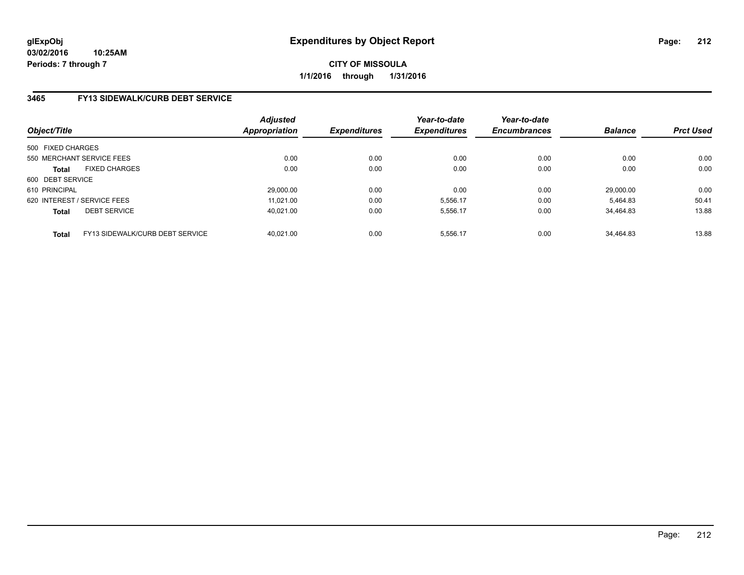### **3465 FY13 SIDEWALK/CURB DEBT SERVICE**

| Object/Title                                    | <b>Adjusted</b><br><b>Appropriation</b> | <b>Expenditures</b> | Year-to-date<br><b>Expenditures</b> | Year-to-date<br><b>Encumbrances</b> | <b>Balance</b> | <b>Prct Used</b> |
|-------------------------------------------------|-----------------------------------------|---------------------|-------------------------------------|-------------------------------------|----------------|------------------|
| 500 FIXED CHARGES                               |                                         |                     |                                     |                                     |                |                  |
| 550 MERCHANT SERVICE FEES                       | 0.00                                    | 0.00                | 0.00                                | 0.00                                | 0.00           | 0.00             |
| <b>FIXED CHARGES</b><br><b>Total</b>            | 0.00                                    | 0.00                | 0.00                                | 0.00                                | 0.00           | 0.00             |
| 600 DEBT SERVICE                                |                                         |                     |                                     |                                     |                |                  |
| 610 PRINCIPAL                                   | 29,000.00                               | 0.00                | 0.00                                | 0.00                                | 29.000.00      | 0.00             |
| 620 INTEREST / SERVICE FEES                     | 11.021.00                               | 0.00                | 5,556.17                            | 0.00                                | 5.464.83       | 50.41            |
| <b>DEBT SERVICE</b><br><b>Total</b>             | 40.021.00                               | 0.00                | 5.556.17                            | 0.00                                | 34.464.83      | 13.88            |
| FY13 SIDEWALK/CURB DEBT SERVICE<br><b>Total</b> | 40.021.00                               | 0.00                | 5.556.17                            | 0.00                                | 34.464.83      | 13.88            |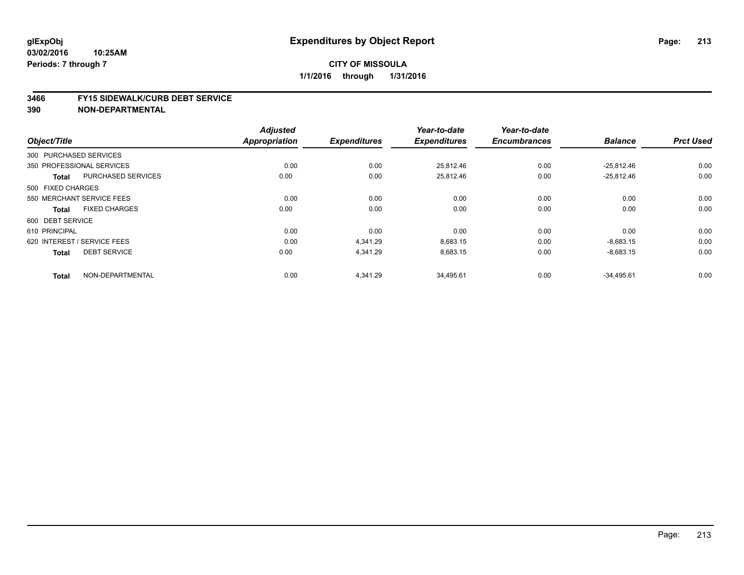#### **03/02/2016 10:25AM Periods: 7 through 7**

### **CITY OF MISSOULA 1/1/2016 through 1/31/2016**

#### **3466 FY15 SIDEWALK/CURB DEBT SERVICE**

|                                           | <b>Adjusted</b>      |                     | Year-to-date        | Year-to-date        |                |                  |
|-------------------------------------------|----------------------|---------------------|---------------------|---------------------|----------------|------------------|
| Object/Title                              | <b>Appropriation</b> | <b>Expenditures</b> | <b>Expenditures</b> | <b>Encumbrances</b> | <b>Balance</b> | <b>Prct Used</b> |
| 300 PURCHASED SERVICES                    |                      |                     |                     |                     |                |                  |
| 350 PROFESSIONAL SERVICES                 | 0.00                 | 0.00                | 25,812.46           | 0.00                | $-25,812.46$   | 0.00             |
| <b>PURCHASED SERVICES</b><br><b>Total</b> | 0.00                 | 0.00                | 25,812.46           | 0.00                | $-25,812.46$   | 0.00             |
| 500 FIXED CHARGES                         |                      |                     |                     |                     |                |                  |
| 550 MERCHANT SERVICE FEES                 | 0.00                 | 0.00                | 0.00                | 0.00                | 0.00           | 0.00             |
| <b>FIXED CHARGES</b><br><b>Total</b>      | 0.00                 | 0.00                | 0.00                | 0.00                | 0.00           | 0.00             |
| 600 DEBT SERVICE                          |                      |                     |                     |                     |                |                  |
| 610 PRINCIPAL                             | 0.00                 | 0.00                | 0.00                | 0.00                | 0.00           | 0.00             |
| 620 INTEREST / SERVICE FEES               | 0.00                 | 4,341.29            | 8,683.15            | 0.00                | $-8,683.15$    | 0.00             |
| <b>DEBT SERVICE</b><br><b>Total</b>       | 0.00                 | 4,341.29            | 8,683.15            | 0.00                | $-8,683.15$    | 0.00             |
| NON-DEPARTMENTAL<br><b>Total</b>          | 0.00                 | 4,341.29            | 34,495.61           | 0.00                | $-34,495.61$   | 0.00             |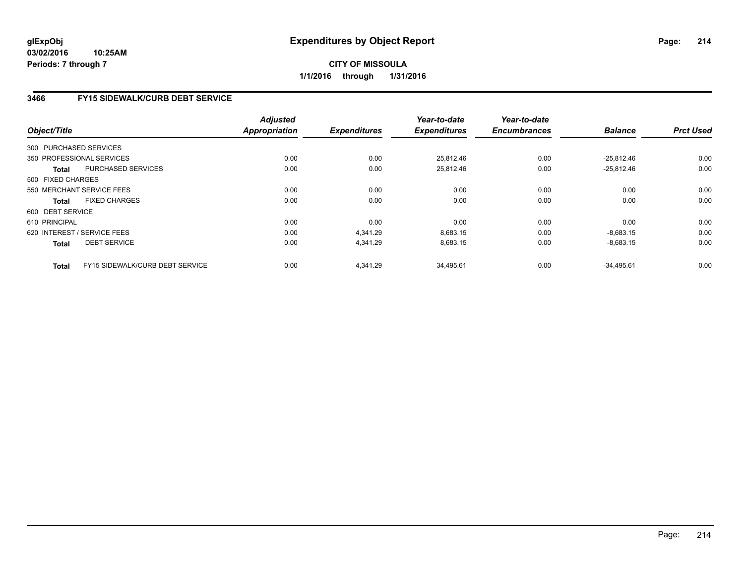## **3466 FY15 SIDEWALK/CURB DEBT SERVICE**

| Object/Title      |                                        | <b>Adjusted</b><br><b>Appropriation</b> | <b>Expenditures</b> | Year-to-date<br><b>Expenditures</b> | Year-to-date<br><b>Encumbrances</b> | <b>Balance</b> | <b>Prct Used</b> |
|-------------------|----------------------------------------|-----------------------------------------|---------------------|-------------------------------------|-------------------------------------|----------------|------------------|
|                   | 300 PURCHASED SERVICES                 |                                         |                     |                                     |                                     |                |                  |
|                   | 350 PROFESSIONAL SERVICES              | 0.00                                    | 0.00                | 25,812.46                           | 0.00                                | $-25,812.46$   | 0.00             |
| <b>Total</b>      | <b>PURCHASED SERVICES</b>              | 0.00                                    | 0.00                | 25,812.46                           | 0.00                                | $-25,812.46$   | 0.00             |
| 500 FIXED CHARGES |                                        |                                         |                     |                                     |                                     |                |                  |
|                   | 550 MERCHANT SERVICE FEES              | 0.00                                    | 0.00                | 0.00                                | 0.00                                | 0.00           | 0.00             |
| Total             | <b>FIXED CHARGES</b>                   | 0.00                                    | 0.00                | 0.00                                | 0.00                                | 0.00           | 0.00             |
| 600 DEBT SERVICE  |                                        |                                         |                     |                                     |                                     |                |                  |
| 610 PRINCIPAL     |                                        | 0.00                                    | 0.00                | 0.00                                | 0.00                                | 0.00           | 0.00             |
|                   | 620 INTEREST / SERVICE FEES            | 0.00                                    | 4.341.29            | 8.683.15                            | 0.00                                | $-8.683.15$    | 0.00             |
| <b>Total</b>      | <b>DEBT SERVICE</b>                    | 0.00                                    | 4,341.29            | 8,683.15                            | 0.00                                | $-8,683.15$    | 0.00             |
| Total             | <b>FY15 SIDEWALK/CURB DEBT SERVICE</b> | 0.00                                    | 4.341.29            | 34.495.61                           | 0.00                                | $-34.495.61$   | 0.00             |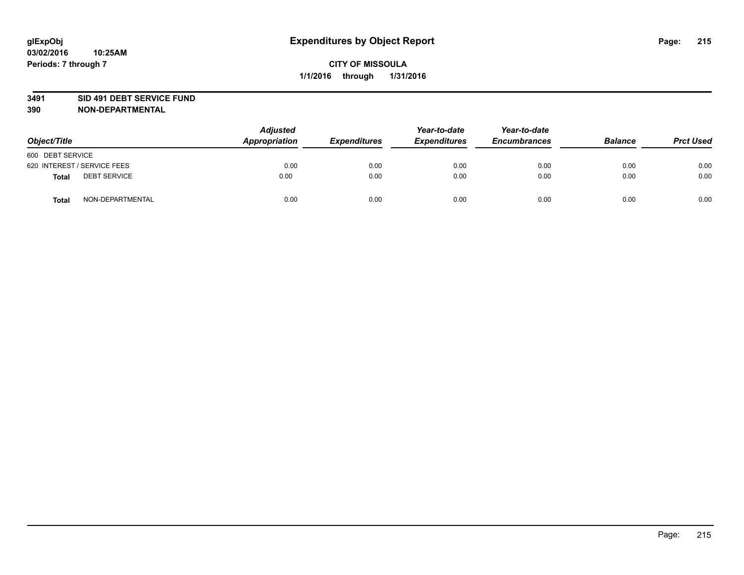#### **3491 SID 491 DEBT SERVICE FUND**

| Object/Title                        | <b>Adjusted</b><br>Appropriation | <b>Expenditures</b> | Year-to-date<br><b>Expenditures</b> | Year-to-date<br><b>Encumbrances</b> | <b>Balance</b> | <b>Prct Used</b> |
|-------------------------------------|----------------------------------|---------------------|-------------------------------------|-------------------------------------|----------------|------------------|
| 600 DEBT SERVICE                    |                                  |                     |                                     |                                     |                |                  |
|                                     |                                  |                     |                                     |                                     |                |                  |
| 620 INTEREST / SERVICE FEES         | 0.00                             | 0.00                | 0.00                                | 0.00                                | 0.00           | 0.00             |
| <b>DEBT SERVICE</b><br><b>Total</b> | 0.00                             | 0.00                | 0.00                                | 0.00                                | 0.00           | 0.00             |
| NON-DEPARTMENTAL<br>Total           | 0.00                             | 0.00                | 0.00                                | 0.00                                | 0.00           | 0.00             |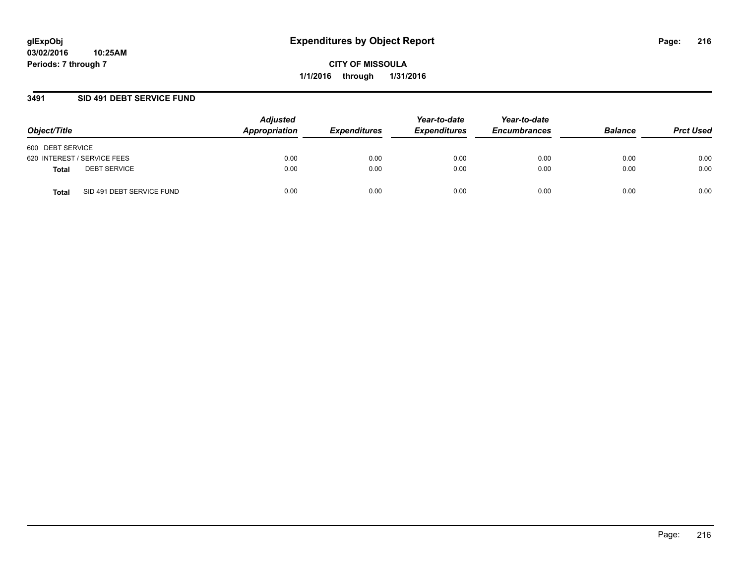### **3491 SID 491 DEBT SERVICE FUND**

| Object/Title                       | <b>Adjusted</b><br>Appropriation | <b>Expenditures</b> | Year-to-date<br><b>Expenditures</b> | Year-to-date<br><b>Encumbrances</b> | <b>Balance</b> | <b>Prct Used</b> |
|------------------------------------|----------------------------------|---------------------|-------------------------------------|-------------------------------------|----------------|------------------|
| 600 DEBT SERVICE                   |                                  |                     |                                     |                                     |                |                  |
| 620 INTEREST / SERVICE FEES        | 0.00                             | 0.00                | 0.00                                | 0.00                                | 0.00           | 0.00             |
| <b>DEBT SERVICE</b><br>Total       | 0.00                             | 0.00                | 0.00                                | 0.00                                | 0.00           | 0.00             |
| SID 491 DEBT SERVICE FUND<br>Total | 0.00                             | 0.00                | 0.00                                | 0.00                                | 0.00           | 0.00             |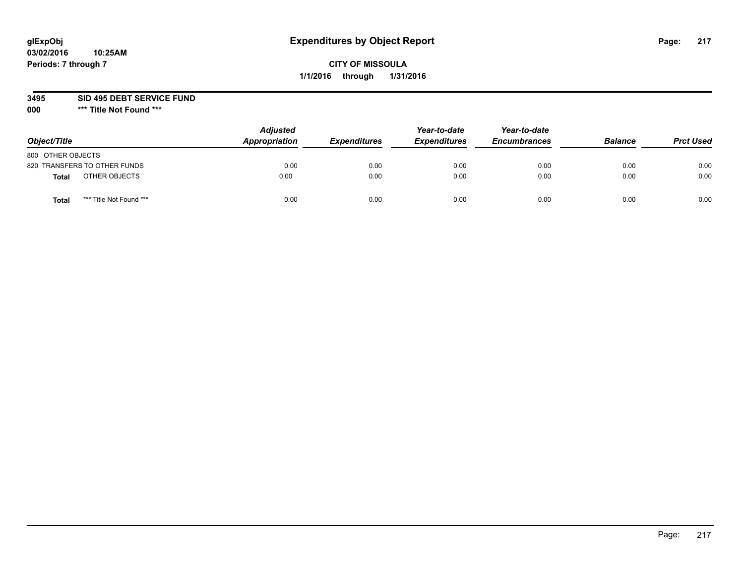### **3495 SID 495 DEBT SERVICE FUND**

| Object/Title                     | <b>Adjusted</b><br>Appropriation | <b>Expenditures</b> | Year-to-date<br><b>Expenditures</b> | Year-to-date<br><b>Encumbrances</b> | <b>Balance</b> | <b>Prct Used</b> |
|----------------------------------|----------------------------------|---------------------|-------------------------------------|-------------------------------------|----------------|------------------|
| 800 OTHER OBJECTS                |                                  |                     |                                     |                                     |                |                  |
| 820 TRANSFERS TO OTHER FUNDS     | 0.00                             | 0.00                | 0.00                                | 0.00                                | 0.00           | 0.00             |
| OTHER OBJECTS<br><b>Total</b>    | 0.00                             | 0.00                | 0.00                                | 0.00                                | 0.00           | 0.00             |
| *** Title Not Found ***<br>Total | 0.00                             | 0.00                | 0.00                                | 0.00                                | 0.00           | 0.00             |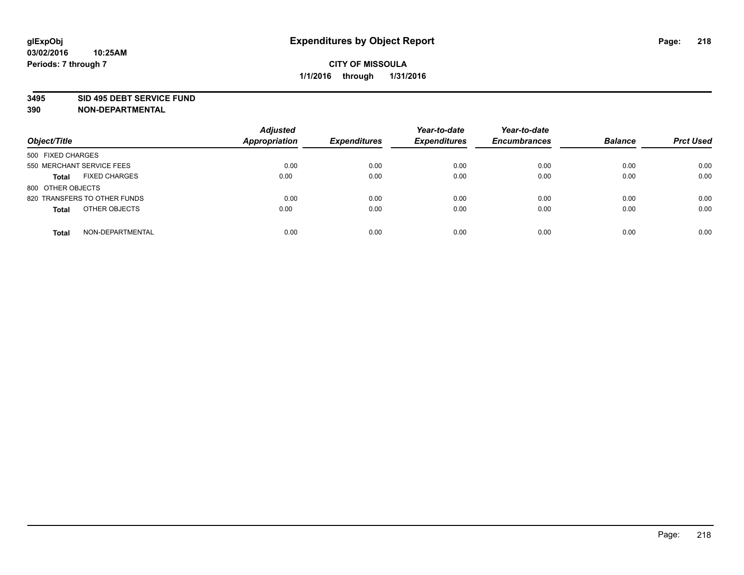#### **3495 SID 495 DEBT SERVICE FUND**

| Object/Title                         | <b>Adjusted</b><br>Appropriation | <b>Expenditures</b> | Year-to-date<br><b>Expenditures</b> | Year-to-date<br><b>Encumbrances</b> | <b>Balance</b> | <b>Prct Used</b> |
|--------------------------------------|----------------------------------|---------------------|-------------------------------------|-------------------------------------|----------------|------------------|
| 500 FIXED CHARGES                    |                                  |                     |                                     |                                     |                |                  |
| 550 MERCHANT SERVICE FEES            | 0.00                             | 0.00                | 0.00                                | 0.00                                | 0.00           | 0.00             |
| <b>FIXED CHARGES</b><br><b>Total</b> | 0.00                             | 0.00                | 0.00                                | 0.00                                | 0.00           | 0.00             |
| 800 OTHER OBJECTS                    |                                  |                     |                                     |                                     |                |                  |
| 820 TRANSFERS TO OTHER FUNDS         | 0.00                             | 0.00                | 0.00                                | 0.00                                | 0.00           | 0.00             |
| OTHER OBJECTS<br><b>Total</b>        | 0.00                             | 0.00                | 0.00                                | 0.00                                | 0.00           | 0.00             |
| NON-DEPARTMENTAL<br><b>Total</b>     | 0.00                             | 0.00                | 0.00                                | 0.00                                | 0.00           | 0.00             |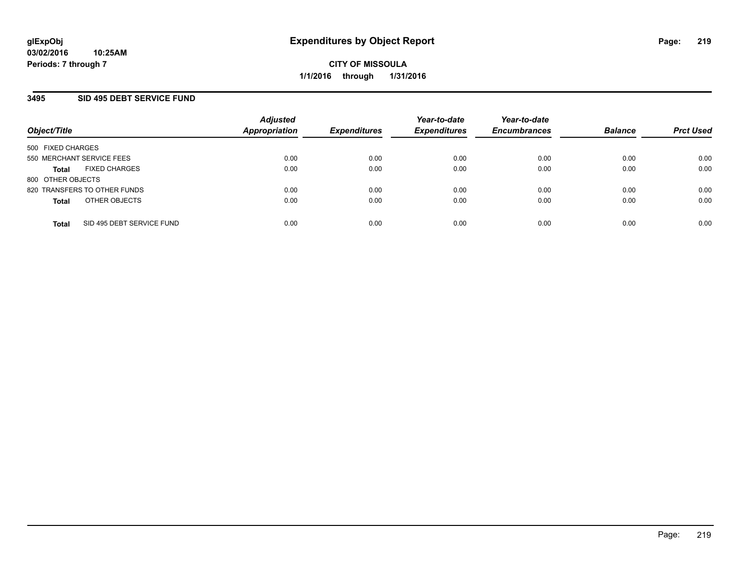## **3495 SID 495 DEBT SERVICE FUND**

| Object/Title                              | <b>Adjusted</b><br><b>Appropriation</b> | <b>Expenditures</b> | Year-to-date<br><b>Expenditures</b> | Year-to-date<br><b>Encumbrances</b> | <b>Balance</b> | <b>Prct Used</b> |
|-------------------------------------------|-----------------------------------------|---------------------|-------------------------------------|-------------------------------------|----------------|------------------|
| 500 FIXED CHARGES                         |                                         |                     |                                     |                                     |                |                  |
| 550 MERCHANT SERVICE FEES                 | 0.00                                    | 0.00                | 0.00                                | 0.00                                | 0.00           | 0.00             |
| <b>FIXED CHARGES</b><br><b>Total</b>      | 0.00                                    | 0.00                | 0.00                                | 0.00                                | 0.00           | 0.00             |
| 800 OTHER OBJECTS                         |                                         |                     |                                     |                                     |                |                  |
| 820 TRANSFERS TO OTHER FUNDS              | 0.00                                    | 0.00                | 0.00                                | 0.00                                | 0.00           | 0.00             |
| OTHER OBJECTS<br><b>Total</b>             | 0.00                                    | 0.00                | 0.00                                | 0.00                                | 0.00           | 0.00             |
| SID 495 DEBT SERVICE FUND<br><b>Total</b> | 0.00                                    | 0.00                | 0.00                                | 0.00                                | 0.00           | 0.00             |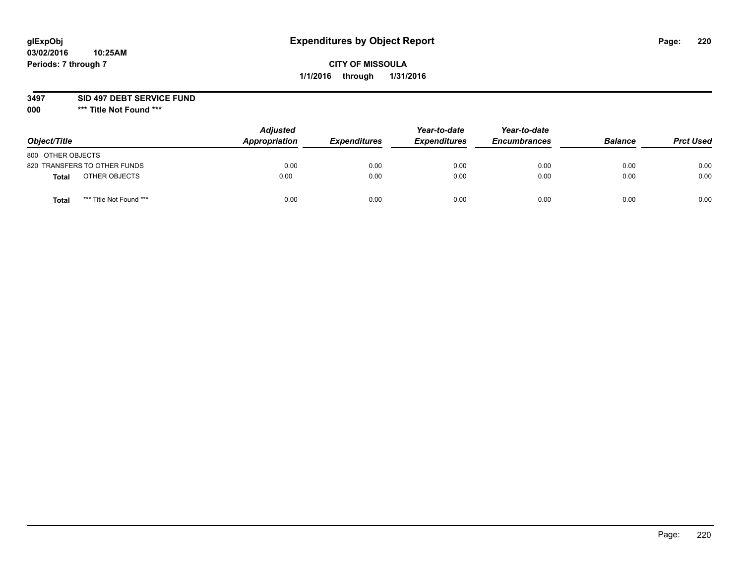### **3497 SID 497 DEBT SERVICE FUND**

| Object/Title                            | <b>Adjusted</b><br>Appropriation | <b>Expenditures</b> | Year-to-date<br><b>Expenditures</b> | Year-to-date<br><b>Encumbrances</b> | <b>Balance</b> | <b>Prct Used</b> |
|-----------------------------------------|----------------------------------|---------------------|-------------------------------------|-------------------------------------|----------------|------------------|
| 800 OTHER OBJECTS                       |                                  |                     |                                     |                                     |                |                  |
| 820 TRANSFERS TO OTHER FUNDS            | 0.00                             | 0.00                | 0.00                                | 0.00                                | 0.00           | 0.00             |
| OTHER OBJECTS<br><b>Total</b>           | 0.00                             | 0.00                | 0.00                                | 0.00                                | 0.00           | 0.00             |
| *** Title Not Found ***<br><b>Total</b> | 0.00                             | 0.00                | 0.00                                | 0.00                                | 0.00           | 0.00             |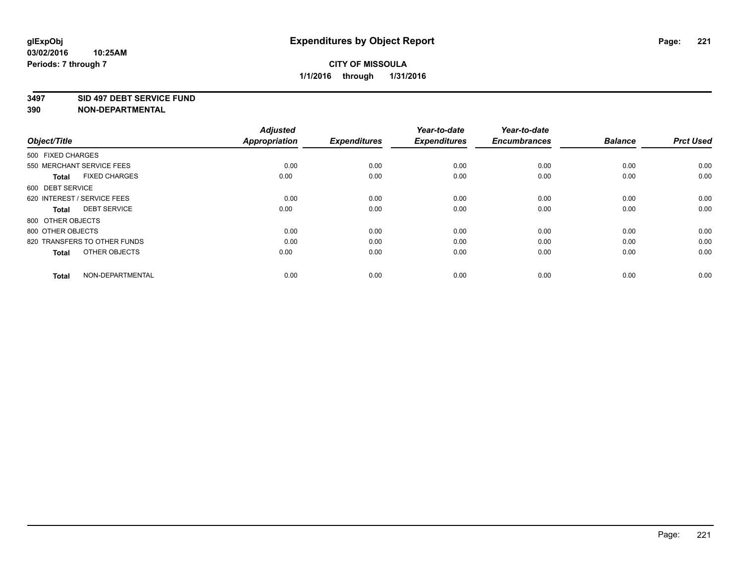#### **3497 SID 497 DEBT SERVICE FUND**

| Object/Title                         | <b>Adjusted</b><br><b>Appropriation</b> | <b>Expenditures</b> | Year-to-date<br><b>Expenditures</b> | Year-to-date<br><b>Encumbrances</b> | <b>Balance</b> | <b>Prct Used</b> |
|--------------------------------------|-----------------------------------------|---------------------|-------------------------------------|-------------------------------------|----------------|------------------|
| 500 FIXED CHARGES                    |                                         |                     |                                     |                                     |                |                  |
| 550 MERCHANT SERVICE FEES            | 0.00                                    | 0.00                | 0.00                                | 0.00                                | 0.00           | 0.00             |
| <b>FIXED CHARGES</b><br><b>Total</b> | 0.00                                    | 0.00                | 0.00                                | 0.00                                | 0.00           | 0.00             |
| 600 DEBT SERVICE                     |                                         |                     |                                     |                                     |                |                  |
| 620 INTEREST / SERVICE FEES          | 0.00                                    | 0.00                | 0.00                                | 0.00                                | 0.00           | 0.00             |
| <b>DEBT SERVICE</b><br><b>Total</b>  | 0.00                                    | 0.00                | 0.00                                | 0.00                                | 0.00           | 0.00             |
| 800 OTHER OBJECTS                    |                                         |                     |                                     |                                     |                |                  |
| 800 OTHER OBJECTS                    | 0.00                                    | 0.00                | 0.00                                | 0.00                                | 0.00           | 0.00             |
| 820 TRANSFERS TO OTHER FUNDS         | 0.00                                    | 0.00                | 0.00                                | 0.00                                | 0.00           | 0.00             |
| OTHER OBJECTS<br><b>Total</b>        | 0.00                                    | 0.00                | 0.00                                | 0.00                                | 0.00           | 0.00             |
|                                      |                                         |                     |                                     |                                     |                |                  |
| NON-DEPARTMENTAL<br><b>Total</b>     | 0.00                                    | 0.00                | 0.00                                | 0.00                                | 0.00           | 0.00             |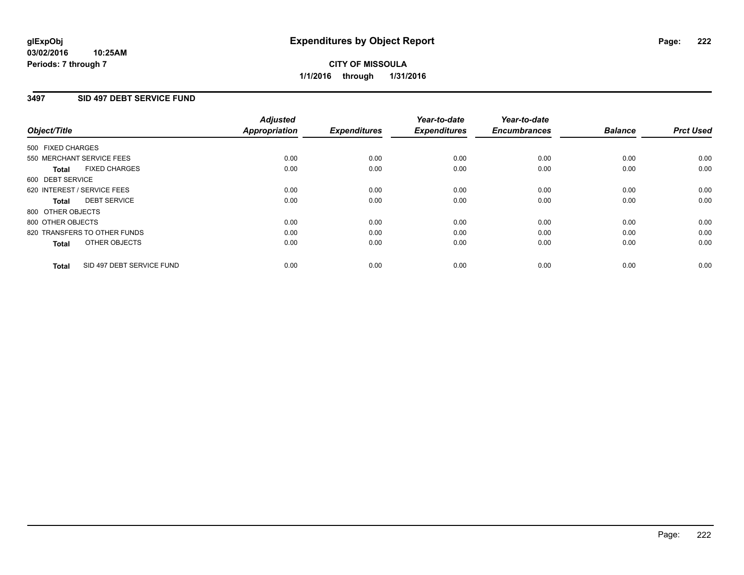# **CITY OF MISSOULA 1/1/2016 through 1/31/2016**

## **3497 SID 497 DEBT SERVICE FUND**

|                   |                              | <b>Adjusted</b>      |                     | Year-to-date        | Year-to-date        |                |                  |
|-------------------|------------------------------|----------------------|---------------------|---------------------|---------------------|----------------|------------------|
| Object/Title      |                              | <b>Appropriation</b> | <b>Expenditures</b> | <b>Expenditures</b> | <b>Encumbrances</b> | <b>Balance</b> | <b>Prct Used</b> |
| 500 FIXED CHARGES |                              |                      |                     |                     |                     |                |                  |
|                   | 550 MERCHANT SERVICE FEES    | 0.00                 | 0.00                | 0.00                | 0.00                | 0.00           | 0.00             |
| <b>Total</b>      | <b>FIXED CHARGES</b>         | 0.00                 | 0.00                | 0.00                | 0.00                | 0.00           | 0.00             |
| 600 DEBT SERVICE  |                              |                      |                     |                     |                     |                |                  |
|                   | 620 INTEREST / SERVICE FEES  | 0.00                 | 0.00                | 0.00                | 0.00                | 0.00           | 0.00             |
| Total             | <b>DEBT SERVICE</b>          | 0.00                 | 0.00                | 0.00                | 0.00                | 0.00           | 0.00             |
| 800 OTHER OBJECTS |                              |                      |                     |                     |                     |                |                  |
| 800 OTHER OBJECTS |                              | 0.00                 | 0.00                | 0.00                | 0.00                | 0.00           | 0.00             |
|                   | 820 TRANSFERS TO OTHER FUNDS | 0.00                 | 0.00                | 0.00                | 0.00                | 0.00           | 0.00             |
| <b>Total</b>      | OTHER OBJECTS                | 0.00                 | 0.00                | 0.00                | 0.00                | 0.00           | 0.00             |
| <b>Total</b>      | SID 497 DEBT SERVICE FUND    | 0.00                 | 0.00                | 0.00                | 0.00                | 0.00           | 0.00             |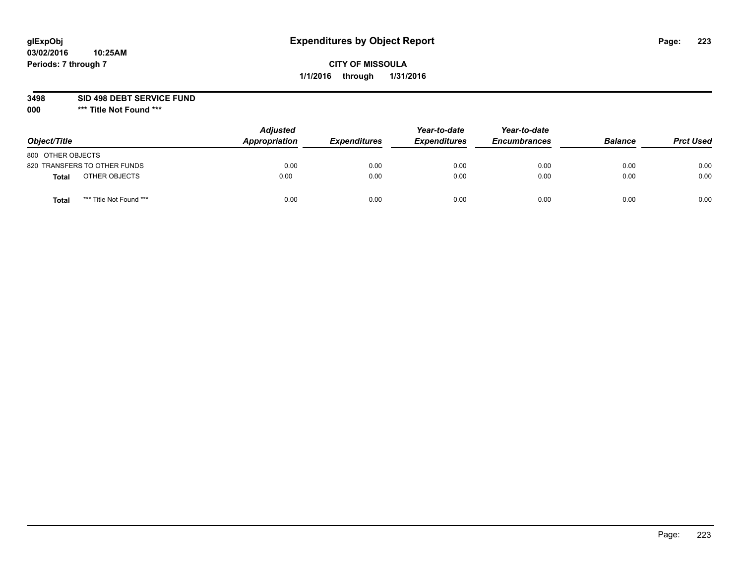### **3498 SID 498 DEBT SERVICE FUND**

| Object/Title                            | <b>Adjusted</b><br>Appropriation | <b>Expenditures</b> | Year-to-date<br><b>Expenditures</b> | Year-to-date<br><b>Encumbrances</b> | <b>Balance</b> | <b>Prct Used</b> |
|-----------------------------------------|----------------------------------|---------------------|-------------------------------------|-------------------------------------|----------------|------------------|
| 800 OTHER OBJECTS                       |                                  |                     |                                     |                                     |                |                  |
| 820 TRANSFERS TO OTHER FUNDS            | 0.00                             | 0.00                | 0.00                                | 0.00                                | 0.00           | 0.00             |
| OTHER OBJECTS<br>Total                  | 0.00                             | 0.00                | 0.00                                | 0.00                                | 0.00           | 0.00             |
| *** Title Not Found ***<br><b>Total</b> | 0.00                             | 0.00                | 0.00                                | 0.00                                | 0.00           | 0.00             |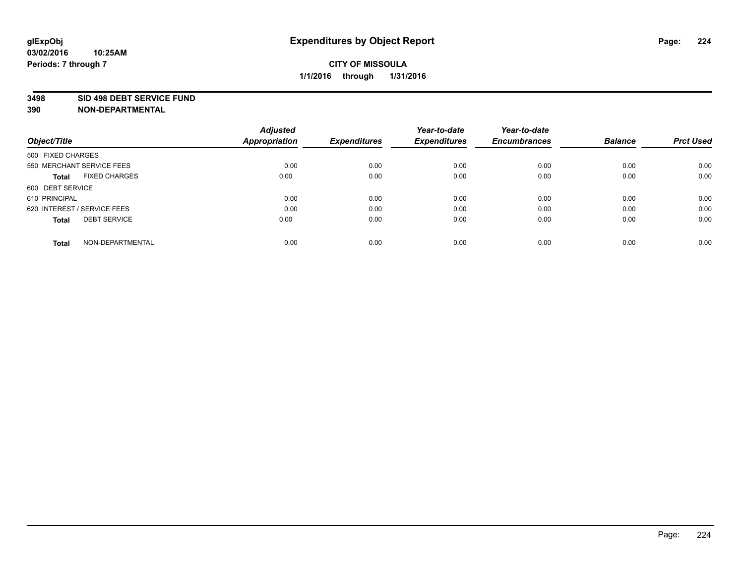#### **3498 SID 498 DEBT SERVICE FUND**

| Object/Title                         | <b>Adjusted</b><br><b>Appropriation</b> | <b>Expenditures</b> | Year-to-date<br><b>Expenditures</b> | Year-to-date<br><b>Encumbrances</b> | <b>Balance</b> | <b>Prct Used</b> |
|--------------------------------------|-----------------------------------------|---------------------|-------------------------------------|-------------------------------------|----------------|------------------|
|                                      |                                         |                     |                                     |                                     |                |                  |
| 500 FIXED CHARGES                    |                                         |                     |                                     |                                     |                |                  |
| 550 MERCHANT SERVICE FEES            | 0.00                                    | 0.00                | 0.00                                | 0.00                                | 0.00           | 0.00             |
| <b>FIXED CHARGES</b><br><b>Total</b> | 0.00                                    | 0.00                | 0.00                                | 0.00                                | 0.00           | 0.00             |
| 600 DEBT SERVICE                     |                                         |                     |                                     |                                     |                |                  |
| 610 PRINCIPAL                        | 0.00                                    | 0.00                | 0.00                                | 0.00                                | 0.00           | 0.00             |
| 620 INTEREST / SERVICE FEES          | 0.00                                    | 0.00                | 0.00                                | 0.00                                | 0.00           | 0.00             |
| <b>DEBT SERVICE</b><br><b>Total</b>  | 0.00                                    | 0.00                | 0.00                                | 0.00                                | 0.00           | 0.00             |
|                                      |                                         |                     |                                     |                                     |                |                  |
| NON-DEPARTMENTAL<br><b>Total</b>     | 0.00                                    | 0.00                | 0.00                                | 0.00                                | 0.00           | 0.00             |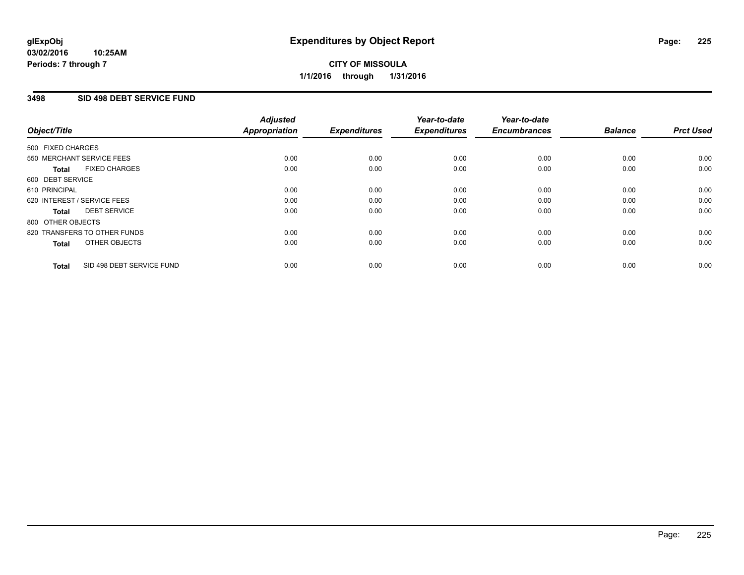# **CITY OF MISSOULA 1/1/2016 through 1/31/2016**

## **3498 SID 498 DEBT SERVICE FUND**

| Object/Title      |                              | <b>Adjusted</b><br>Appropriation | <b>Expenditures</b> | Year-to-date<br><b>Expenditures</b> | Year-to-date<br><b>Encumbrances</b> | <b>Balance</b> | <b>Prct Used</b> |
|-------------------|------------------------------|----------------------------------|---------------------|-------------------------------------|-------------------------------------|----------------|------------------|
| 500 FIXED CHARGES |                              |                                  |                     |                                     |                                     |                |                  |
|                   | 550 MERCHANT SERVICE FEES    | 0.00                             | 0.00                | 0.00                                | 0.00                                | 0.00           | 0.00             |
| <b>Total</b>      | <b>FIXED CHARGES</b>         | 0.00                             | 0.00                | 0.00                                | 0.00                                | 0.00           | 0.00             |
| 600 DEBT SERVICE  |                              |                                  |                     |                                     |                                     |                |                  |
| 610 PRINCIPAL     |                              | 0.00                             | 0.00                | 0.00                                | 0.00                                | 0.00           | 0.00             |
|                   | 620 INTEREST / SERVICE FEES  | 0.00                             | 0.00                | 0.00                                | 0.00                                | 0.00           | 0.00             |
| <b>Total</b>      | <b>DEBT SERVICE</b>          | 0.00                             | 0.00                | 0.00                                | 0.00                                | 0.00           | 0.00             |
| 800 OTHER OBJECTS |                              |                                  |                     |                                     |                                     |                |                  |
|                   | 820 TRANSFERS TO OTHER FUNDS | 0.00                             | 0.00                | 0.00                                | 0.00                                | 0.00           | 0.00             |
| <b>Total</b>      | OTHER OBJECTS                | 0.00                             | 0.00                | 0.00                                | 0.00                                | 0.00           | 0.00             |
| <b>Total</b>      | SID 498 DEBT SERVICE FUND    | 0.00                             | 0.00                | 0.00                                | 0.00                                | 0.00           | 0.00             |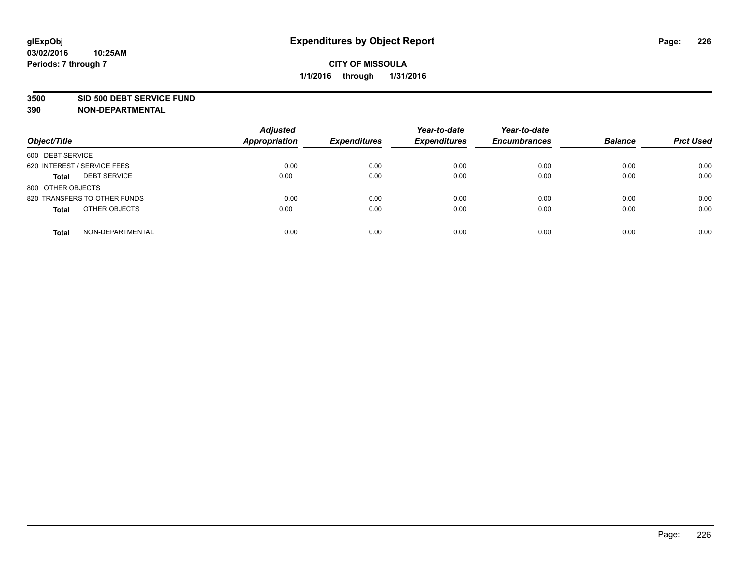#### **3500 SID 500 DEBT SERVICE FUND**

| Object/Title                        | <b>Adjusted</b><br><b>Appropriation</b> | <b>Expenditures</b> | Year-to-date<br><b>Expenditures</b> | Year-to-date<br><b>Encumbrances</b> | <b>Balance</b> | <b>Prct Used</b> |
|-------------------------------------|-----------------------------------------|---------------------|-------------------------------------|-------------------------------------|----------------|------------------|
| 600 DEBT SERVICE                    |                                         |                     |                                     |                                     |                |                  |
| 620 INTEREST / SERVICE FEES         | 0.00                                    | 0.00                | 0.00                                | 0.00                                | 0.00           | 0.00             |
| <b>DEBT SERVICE</b><br><b>Total</b> | 0.00                                    | 0.00                | 0.00                                | 0.00                                | 0.00           | 0.00             |
| 800 OTHER OBJECTS                   |                                         |                     |                                     |                                     |                |                  |
| 820 TRANSFERS TO OTHER FUNDS        | 0.00                                    | 0.00                | 0.00                                | 0.00                                | 0.00           | 0.00             |
| OTHER OBJECTS<br><b>Total</b>       | 0.00                                    | 0.00                | 0.00                                | 0.00                                | 0.00           | 0.00             |
| NON-DEPARTMENTAL<br><b>Total</b>    | 0.00                                    | 0.00                | 0.00                                | 0.00                                | 0.00           | 0.00             |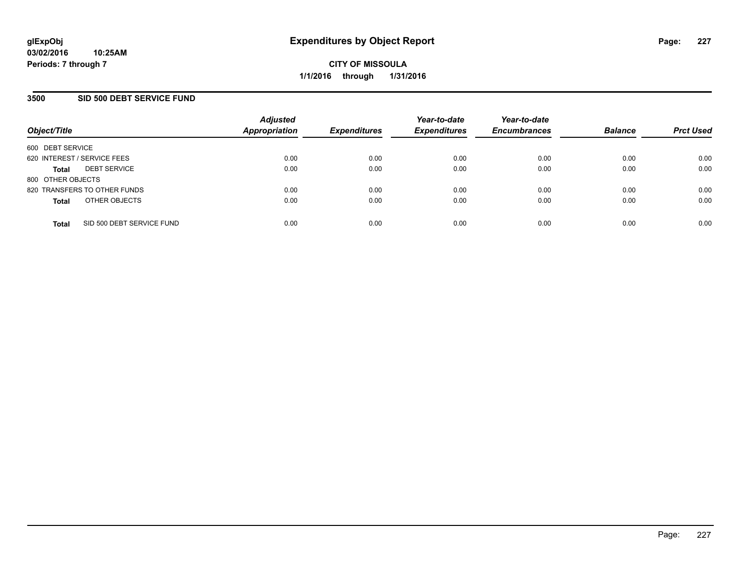## **3500 SID 500 DEBT SERVICE FUND**

| Object/Title                |                              | <b>Adjusted</b><br><b>Appropriation</b> | <b>Expenditures</b> | Year-to-date<br><b>Expenditures</b> | Year-to-date<br><b>Encumbrances</b> | <b>Balance</b> | <b>Prct Used</b> |
|-----------------------------|------------------------------|-----------------------------------------|---------------------|-------------------------------------|-------------------------------------|----------------|------------------|
| 600 DEBT SERVICE            |                              |                                         |                     |                                     |                                     |                |                  |
| 620 INTEREST / SERVICE FEES |                              | 0.00                                    | 0.00                | 0.00                                | 0.00                                | 0.00           | 0.00             |
| <b>Total</b>                | <b>DEBT SERVICE</b>          | 0.00                                    | 0.00                | 0.00                                | 0.00                                | 0.00           | 0.00             |
| 800 OTHER OBJECTS           |                              |                                         |                     |                                     |                                     |                |                  |
|                             | 820 TRANSFERS TO OTHER FUNDS | 0.00                                    | 0.00                | 0.00                                | 0.00                                | 0.00           | 0.00             |
| <b>Total</b>                | OTHER OBJECTS                | 0.00                                    | 0.00                | 0.00                                | 0.00                                | 0.00           | 0.00             |
| <b>Total</b>                | SID 500 DEBT SERVICE FUND    | 0.00                                    | 0.00                | 0.00                                | 0.00                                | 0.00           | 0.00             |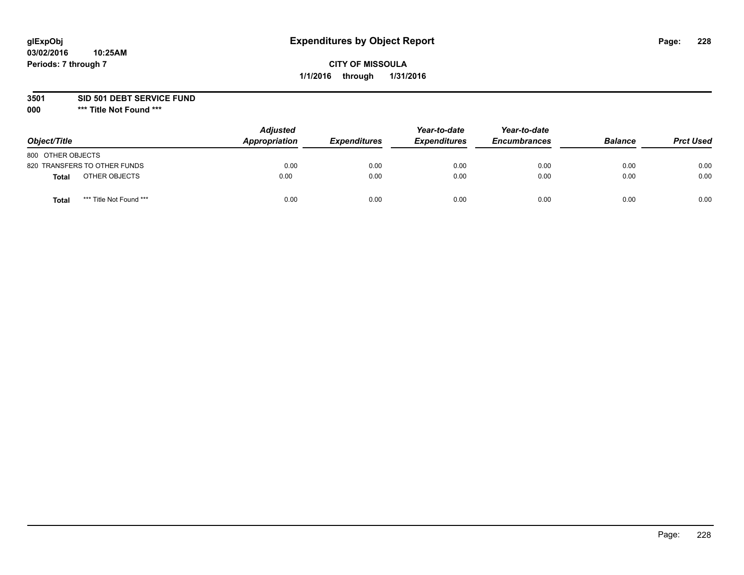### **3501 SID 501 DEBT SERVICE FUND**

| Object/Title                            | <b>Adjusted</b><br>Appropriation | <b>Expenditures</b> | Year-to-date<br><b>Expenditures</b> | Year-to-date<br><b>Encumbrances</b> | <b>Balance</b> | <b>Prct Used</b> |
|-----------------------------------------|----------------------------------|---------------------|-------------------------------------|-------------------------------------|----------------|------------------|
| 800 OTHER OBJECTS                       |                                  |                     |                                     |                                     |                |                  |
| 820 TRANSFERS TO OTHER FUNDS            | 0.00                             | 0.00                | 0.00                                | 0.00                                | 0.00           | 0.00             |
| OTHER OBJECTS<br>Total                  | 0.00                             | 0.00                | 0.00                                | 0.00                                | 0.00           | 0.00             |
| *** Title Not Found ***<br><b>Total</b> | 0.00                             | 0.00                | 0.00                                | 0.00                                | 0.00           | 0.00             |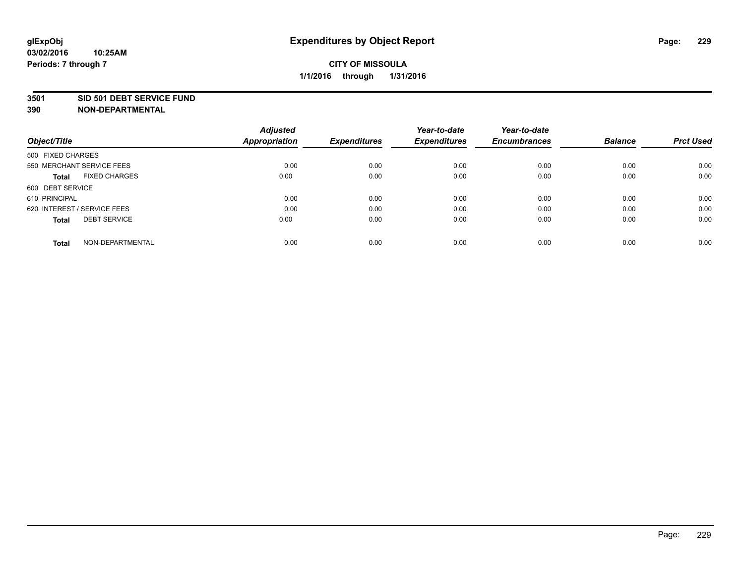#### **3501 SID 501 DEBT SERVICE FUND**

| Object/Title                         | <b>Adjusted</b><br><b>Appropriation</b> | <b>Expenditures</b> | Year-to-date<br><b>Expenditures</b> | Year-to-date<br><b>Encumbrances</b> | <b>Balance</b> | <b>Prct Used</b> |
|--------------------------------------|-----------------------------------------|---------------------|-------------------------------------|-------------------------------------|----------------|------------------|
|                                      |                                         |                     |                                     |                                     |                |                  |
| 500 FIXED CHARGES                    |                                         |                     |                                     |                                     |                |                  |
| 550 MERCHANT SERVICE FEES            | 0.00                                    | 0.00                | 0.00                                | 0.00                                | 0.00           | 0.00             |
| <b>FIXED CHARGES</b><br><b>Total</b> | 0.00                                    | 0.00                | 0.00                                | 0.00                                | 0.00           | 0.00             |
| 600 DEBT SERVICE                     |                                         |                     |                                     |                                     |                |                  |
| 610 PRINCIPAL                        | 0.00                                    | 0.00                | 0.00                                | 0.00                                | 0.00           | 0.00             |
| 620 INTEREST / SERVICE FEES          | 0.00                                    | 0.00                | 0.00                                | 0.00                                | 0.00           | 0.00             |
| <b>DEBT SERVICE</b><br><b>Total</b>  | 0.00                                    | 0.00                | 0.00                                | 0.00                                | 0.00           | 0.00             |
|                                      |                                         |                     |                                     |                                     |                |                  |
| NON-DEPARTMENTAL<br><b>Total</b>     | 0.00                                    | 0.00                | 0.00                                | 0.00                                | 0.00           | 0.00             |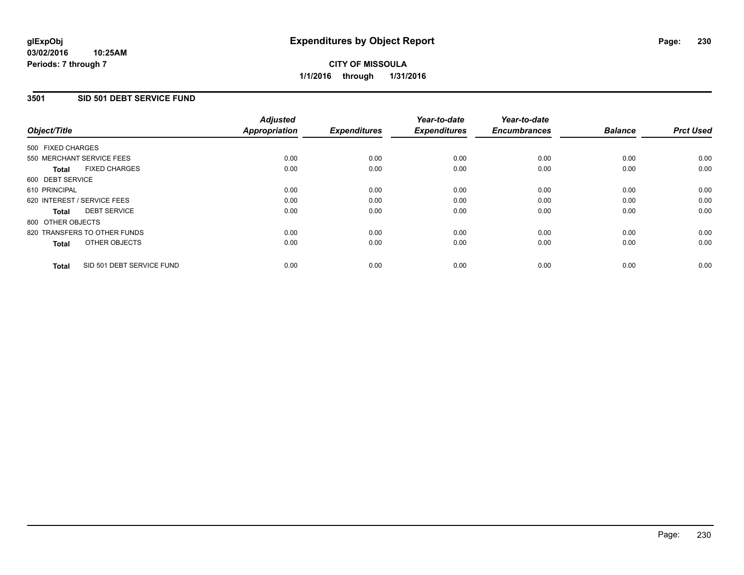# **CITY OF MISSOULA 1/1/2016 through 1/31/2016**

## **3501 SID 501 DEBT SERVICE FUND**

| Object/Title                              | <b>Adjusted</b><br><b>Appropriation</b> | <b>Expenditures</b> | Year-to-date<br><b>Expenditures</b> | Year-to-date<br><b>Encumbrances</b> | <b>Balance</b> | <b>Prct Used</b> |
|-------------------------------------------|-----------------------------------------|---------------------|-------------------------------------|-------------------------------------|----------------|------------------|
|                                           |                                         |                     |                                     |                                     |                |                  |
| 500 FIXED CHARGES                         |                                         |                     |                                     |                                     |                |                  |
| 550 MERCHANT SERVICE FEES                 | 0.00                                    | 0.00                | 0.00                                | 0.00                                | 0.00           | 0.00             |
| <b>FIXED CHARGES</b><br><b>Total</b>      | 0.00                                    | 0.00                | 0.00                                | 0.00                                | 0.00           | 0.00             |
| 600 DEBT SERVICE                          |                                         |                     |                                     |                                     |                |                  |
| 610 PRINCIPAL                             | 0.00                                    | 0.00                | 0.00                                | 0.00                                | 0.00           | 0.00             |
| 620 INTEREST / SERVICE FEES               | 0.00                                    | 0.00                | 0.00                                | 0.00                                | 0.00           | 0.00             |
| <b>DEBT SERVICE</b><br><b>Total</b>       | 0.00                                    | 0.00                | 0.00                                | 0.00                                | 0.00           | 0.00             |
| 800 OTHER OBJECTS                         |                                         |                     |                                     |                                     |                |                  |
| 820 TRANSFERS TO OTHER FUNDS              | 0.00                                    | 0.00                | 0.00                                | 0.00                                | 0.00           | 0.00             |
| OTHER OBJECTS<br><b>Total</b>             | 0.00                                    | 0.00                | 0.00                                | 0.00                                | 0.00           | 0.00             |
|                                           |                                         |                     |                                     |                                     |                |                  |
| SID 501 DEBT SERVICE FUND<br><b>Total</b> | 0.00                                    | 0.00                | 0.00                                | 0.00                                | 0.00           | 0.00             |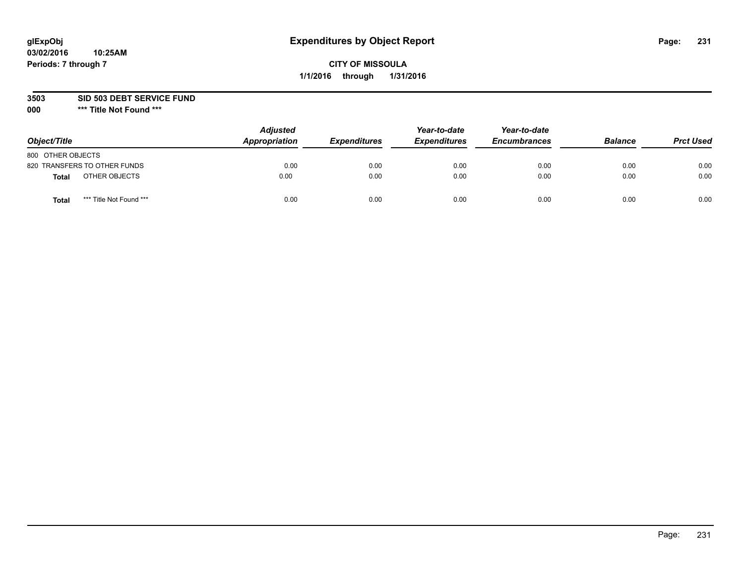### **3503 SID 503 DEBT SERVICE FUND**

| Object/Title                     | <b>Adjusted</b><br>Appropriation | <b>Expenditures</b> | Year-to-date<br><b>Expenditures</b> | Year-to-date<br><b>Encumbrances</b> | <b>Balance</b> | <b>Prct Used</b> |
|----------------------------------|----------------------------------|---------------------|-------------------------------------|-------------------------------------|----------------|------------------|
| 800 OTHER OBJECTS                |                                  |                     |                                     |                                     |                |                  |
| 820 TRANSFERS TO OTHER FUNDS     | 0.00                             | 0.00                | 0.00                                | 0.00                                | 0.00           | 0.00             |
| OTHER OBJECTS<br><b>Total</b>    | 0.00                             | 0.00                | 0.00                                | 0.00                                | 0.00           | 0.00             |
| *** Title Not Found ***<br>Total | 0.00                             | 0.00                | 0.00                                | 0.00                                | 0.00           | 0.00             |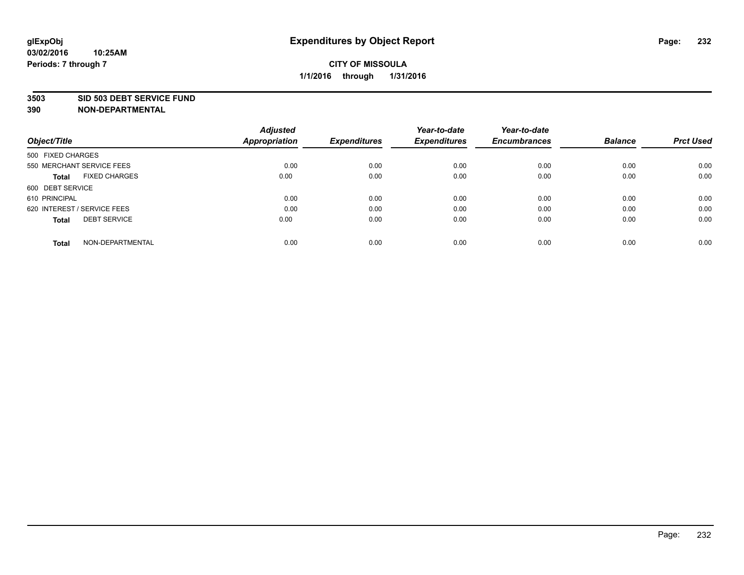#### **3503 SID 503 DEBT SERVICE FUND**

| Object/Title                         | <b>Adjusted</b><br><b>Appropriation</b> | <b>Expenditures</b> | Year-to-date<br><b>Expenditures</b> | Year-to-date<br><b>Encumbrances</b> | <b>Balance</b> | <b>Prct Used</b> |
|--------------------------------------|-----------------------------------------|---------------------|-------------------------------------|-------------------------------------|----------------|------------------|
|                                      |                                         |                     |                                     |                                     |                |                  |
| 500 FIXED CHARGES                    |                                         |                     |                                     |                                     |                |                  |
| 550 MERCHANT SERVICE FEES            | 0.00                                    | 0.00                | 0.00                                | 0.00                                | 0.00           | 0.00             |
| <b>FIXED CHARGES</b><br><b>Total</b> | 0.00                                    | 0.00                | 0.00                                | 0.00                                | 0.00           | 0.00             |
| 600 DEBT SERVICE                     |                                         |                     |                                     |                                     |                |                  |
| 610 PRINCIPAL                        | 0.00                                    | 0.00                | 0.00                                | 0.00                                | 0.00           | 0.00             |
| 620 INTEREST / SERVICE FEES          | 0.00                                    | 0.00                | 0.00                                | 0.00                                | 0.00           | 0.00             |
| <b>DEBT SERVICE</b><br><b>Total</b>  | 0.00                                    | 0.00                | 0.00                                | 0.00                                | 0.00           | 0.00             |
|                                      |                                         |                     |                                     |                                     |                |                  |
| NON-DEPARTMENTAL<br><b>Total</b>     | 0.00                                    | 0.00                | 0.00                                | 0.00                                | 0.00           | 0.00             |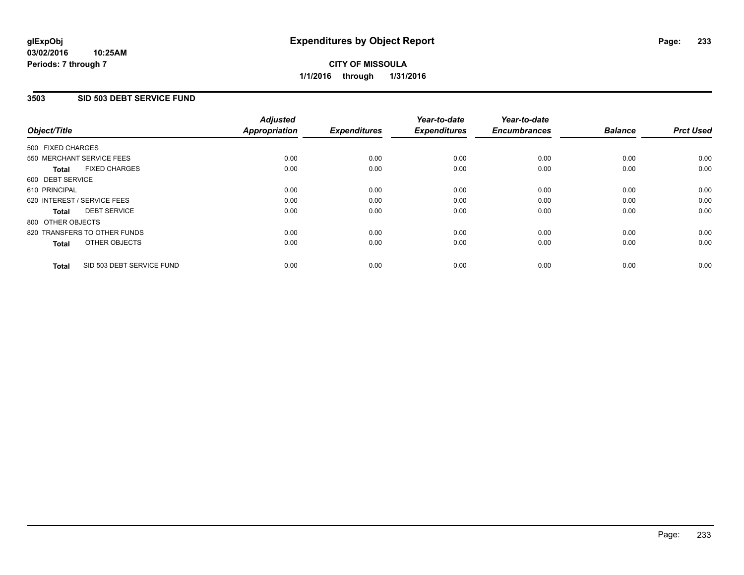# **CITY OF MISSOULA 1/1/2016 through 1/31/2016**

## **3503 SID 503 DEBT SERVICE FUND**

| Object/Title                              | <b>Adjusted</b><br><b>Appropriation</b> | <b>Expenditures</b> | Year-to-date<br><b>Expenditures</b> | Year-to-date<br><b>Encumbrances</b> | <b>Balance</b> | <b>Prct Used</b> |
|-------------------------------------------|-----------------------------------------|---------------------|-------------------------------------|-------------------------------------|----------------|------------------|
|                                           |                                         |                     |                                     |                                     |                |                  |
| 500 FIXED CHARGES                         |                                         |                     |                                     |                                     |                |                  |
| 550 MERCHANT SERVICE FEES                 | 0.00                                    | 0.00                | 0.00                                | 0.00                                | 0.00           | 0.00             |
| <b>FIXED CHARGES</b><br><b>Total</b>      | 0.00                                    | 0.00                | 0.00                                | 0.00                                | 0.00           | 0.00             |
| 600 DEBT SERVICE                          |                                         |                     |                                     |                                     |                |                  |
| 610 PRINCIPAL                             | 0.00                                    | 0.00                | 0.00                                | 0.00                                | 0.00           | 0.00             |
| 620 INTEREST / SERVICE FEES               | 0.00                                    | 0.00                | 0.00                                | 0.00                                | 0.00           | 0.00             |
| <b>DEBT SERVICE</b><br><b>Total</b>       | 0.00                                    | 0.00                | 0.00                                | 0.00                                | 0.00           | 0.00             |
| 800 OTHER OBJECTS                         |                                         |                     |                                     |                                     |                |                  |
| 820 TRANSFERS TO OTHER FUNDS              | 0.00                                    | 0.00                | 0.00                                | 0.00                                | 0.00           | 0.00             |
| OTHER OBJECTS<br><b>Total</b>             | 0.00                                    | 0.00                | 0.00                                | 0.00                                | 0.00           | 0.00             |
|                                           |                                         |                     |                                     |                                     |                |                  |
| SID 503 DEBT SERVICE FUND<br><b>Total</b> | 0.00                                    | 0.00                | 0.00                                | 0.00                                | 0.00           | 0.00             |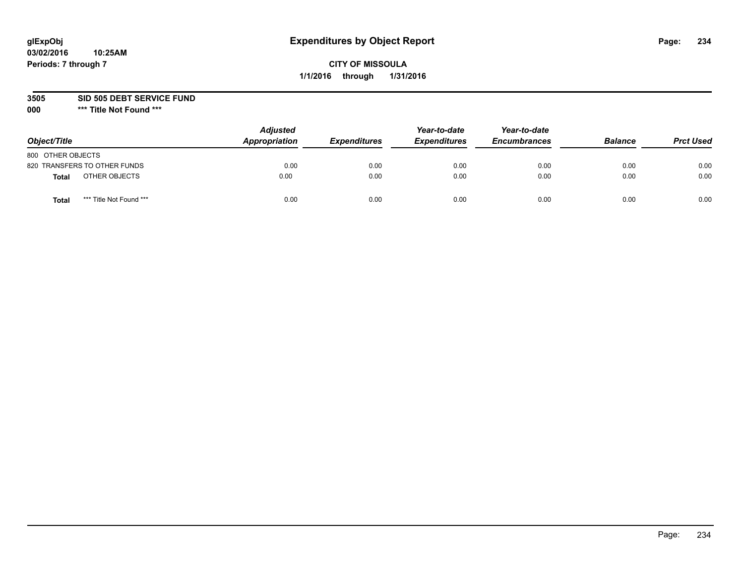# **glExpObj Expenditures by Object Report Page: 234**

# **CITY OF MISSOULA 1/1/2016 through 1/31/2016**

**3505 SID 505 DEBT SERVICE FUND**

| Object/Title      |                              | <b>Adjusted</b><br>Appropriation | <b>Expenditures</b> | Year-to-date<br><b>Expenditures</b> | Year-to-date<br><b>Encumbrances</b> | <b>Balance</b> | <b>Prct Used</b> |
|-------------------|------------------------------|----------------------------------|---------------------|-------------------------------------|-------------------------------------|----------------|------------------|
| 800 OTHER OBJECTS |                              |                                  |                     |                                     |                                     |                |                  |
|                   | 820 TRANSFERS TO OTHER FUNDS | 0.00                             | 0.00                | 0.00                                | 0.00                                | 0.00           | 0.00             |
| Total             | OTHER OBJECTS                | 0.00                             | 0.00                | 0.00                                | 0.00                                | 0.00           | 0.00             |
| Tota              | *** Title Not Found ***      | 0.00                             | 0.00                | 0.00                                | 0.00                                | 0.00           | 0.00             |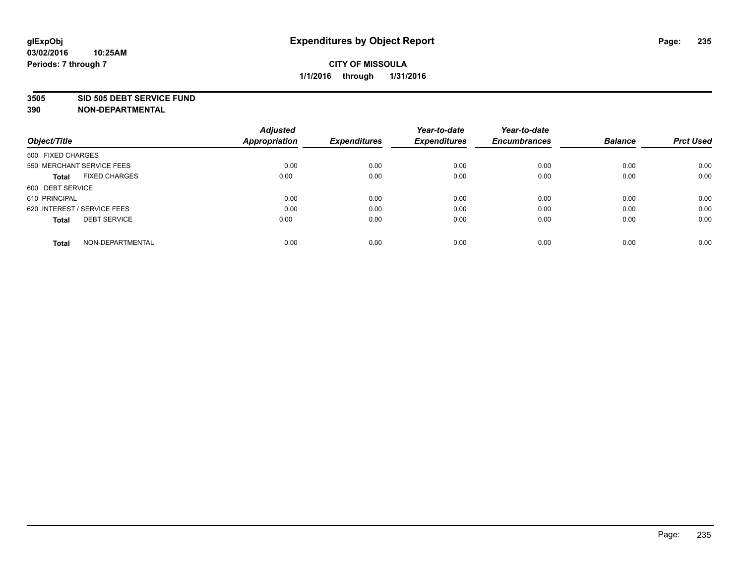#### **3505 SID 505 DEBT SERVICE FUND**

| Object/Title                         | <b>Adjusted</b><br><b>Appropriation</b> | <b>Expenditures</b> | Year-to-date<br><b>Expenditures</b> | Year-to-date<br><b>Encumbrances</b> | <b>Balance</b> | <b>Prct Used</b> |
|--------------------------------------|-----------------------------------------|---------------------|-------------------------------------|-------------------------------------|----------------|------------------|
|                                      |                                         |                     |                                     |                                     |                |                  |
| 500 FIXED CHARGES                    |                                         |                     |                                     |                                     |                |                  |
| 550 MERCHANT SERVICE FEES            | 0.00                                    | 0.00                | 0.00                                | 0.00                                | 0.00           | 0.00             |
| <b>FIXED CHARGES</b><br><b>Total</b> | 0.00                                    | 0.00                | 0.00                                | 0.00                                | 0.00           | 0.00             |
| 600 DEBT SERVICE                     |                                         |                     |                                     |                                     |                |                  |
| 610 PRINCIPAL                        | 0.00                                    | 0.00                | 0.00                                | 0.00                                | 0.00           | 0.00             |
| 620 INTEREST / SERVICE FEES          | 0.00                                    | 0.00                | 0.00                                | 0.00                                | 0.00           | 0.00             |
| <b>DEBT SERVICE</b><br><b>Total</b>  | 0.00                                    | 0.00                | 0.00                                | 0.00                                | 0.00           | 0.00             |
|                                      |                                         |                     |                                     |                                     |                |                  |
| NON-DEPARTMENTAL<br><b>Total</b>     | 0.00                                    | 0.00                | 0.00                                | 0.00                                | 0.00           | 0.00             |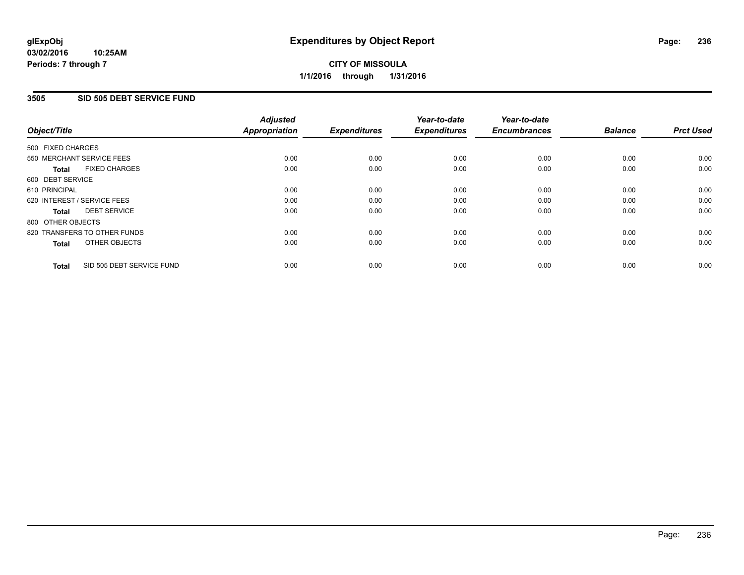# **CITY OF MISSOULA 1/1/2016 through 1/31/2016**

## **3505 SID 505 DEBT SERVICE FUND**

| Object/Title                              | <b>Adjusted</b><br><b>Appropriation</b> | <b>Expenditures</b> | Year-to-date<br><b>Expenditures</b> | Year-to-date<br><b>Encumbrances</b> | <b>Balance</b> | <b>Prct Used</b> |
|-------------------------------------------|-----------------------------------------|---------------------|-------------------------------------|-------------------------------------|----------------|------------------|
|                                           |                                         |                     |                                     |                                     |                |                  |
| 500 FIXED CHARGES                         |                                         |                     |                                     |                                     |                |                  |
| 550 MERCHANT SERVICE FEES                 | 0.00                                    | 0.00                | 0.00                                | 0.00                                | 0.00           | 0.00             |
| <b>FIXED CHARGES</b><br>Total             | 0.00                                    | 0.00                | 0.00                                | 0.00                                | 0.00           | 0.00             |
| 600 DEBT SERVICE                          |                                         |                     |                                     |                                     |                |                  |
| 610 PRINCIPAL                             | 0.00                                    | 0.00                | 0.00                                | 0.00                                | 0.00           | 0.00             |
| 620 INTEREST / SERVICE FEES               | 0.00                                    | 0.00                | 0.00                                | 0.00                                | 0.00           | 0.00             |
| <b>DEBT SERVICE</b><br><b>Total</b>       | 0.00                                    | 0.00                | 0.00                                | 0.00                                | 0.00           | 0.00             |
| 800 OTHER OBJECTS                         |                                         |                     |                                     |                                     |                |                  |
| 820 TRANSFERS TO OTHER FUNDS              | 0.00                                    | 0.00                | 0.00                                | 0.00                                | 0.00           | 0.00             |
| OTHER OBJECTS<br><b>Total</b>             | 0.00                                    | 0.00                | 0.00                                | 0.00                                | 0.00           | 0.00             |
|                                           |                                         |                     |                                     |                                     |                |                  |
| SID 505 DEBT SERVICE FUND<br><b>Total</b> | 0.00                                    | 0.00                | 0.00                                | 0.00                                | 0.00           | 0.00             |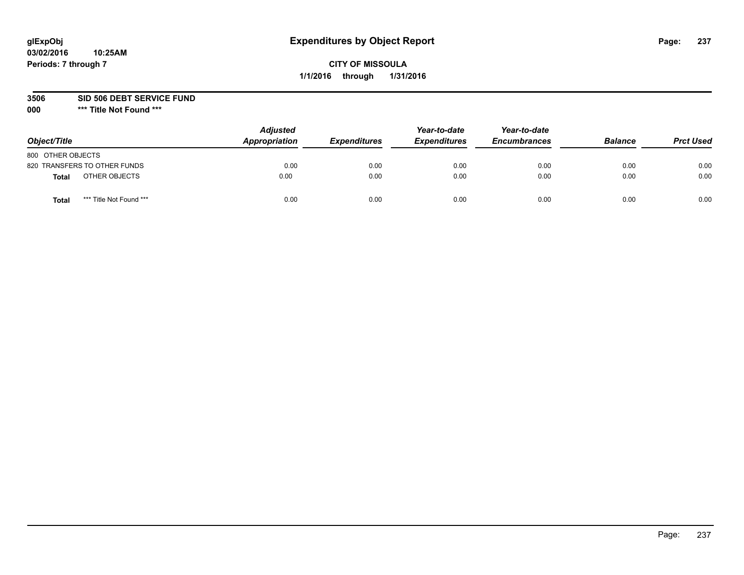# **glExpObj Expenditures by Object Report Page: 237**

# **CITY OF MISSOULA 1/1/2016 through 1/31/2016**

**3506 SID 506 DEBT SERVICE FUND**

| Object/Title                            | <b>Adjusted</b><br>Appropriation | <b>Expenditures</b> | Year-to-date<br><b>Expenditures</b> | Year-to-date<br><b>Encumbrances</b> | <b>Balance</b> | <b>Prct Used</b> |
|-----------------------------------------|----------------------------------|---------------------|-------------------------------------|-------------------------------------|----------------|------------------|
| 800 OTHER OBJECTS                       |                                  |                     |                                     |                                     |                |                  |
| 820 TRANSFERS TO OTHER FUNDS            | 0.00                             | 0.00                | 0.00                                | 0.00                                | 0.00           | 0.00             |
| OTHER OBJECTS<br><b>Total</b>           | 0.00                             | 0.00                | 0.00                                | 0.00                                | 0.00           | 0.00             |
| *** Title Not Found ***<br><b>Total</b> | 0.00                             | 0.00                | 0.00                                | 0.00                                | 0.00           | 0.00             |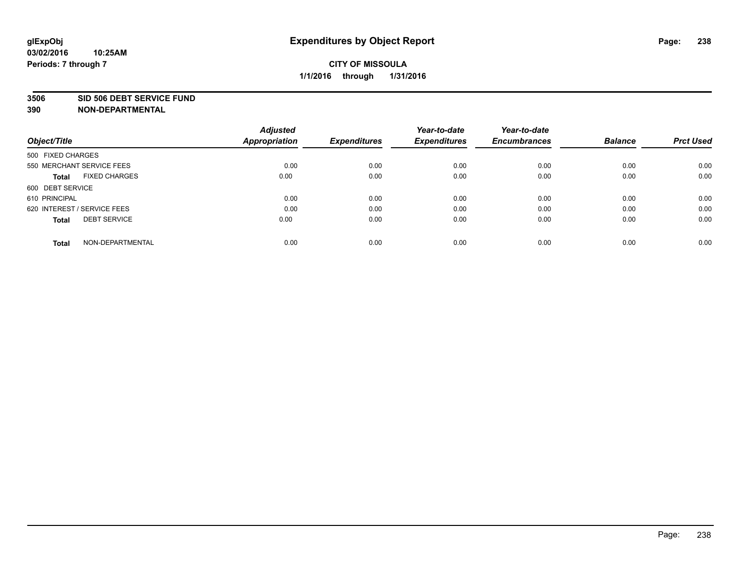#### **3506 SID 506 DEBT SERVICE FUND**

| Object/Title                         | <b>Adjusted</b><br><b>Appropriation</b> | <b>Expenditures</b> | Year-to-date<br><b>Expenditures</b> | Year-to-date<br><b>Encumbrances</b> | <b>Balance</b> | <b>Prct Used</b> |
|--------------------------------------|-----------------------------------------|---------------------|-------------------------------------|-------------------------------------|----------------|------------------|
|                                      |                                         |                     |                                     |                                     |                |                  |
| 500 FIXED CHARGES                    |                                         |                     |                                     |                                     |                |                  |
| 550 MERCHANT SERVICE FEES            | 0.00                                    | 0.00                | 0.00                                | 0.00                                | 0.00           | 0.00             |
| <b>FIXED CHARGES</b><br><b>Total</b> | 0.00                                    | 0.00                | 0.00                                | 0.00                                | 0.00           | 0.00             |
| 600 DEBT SERVICE                     |                                         |                     |                                     |                                     |                |                  |
| 610 PRINCIPAL                        | 0.00                                    | 0.00                | 0.00                                | 0.00                                | 0.00           | 0.00             |
| 620 INTEREST / SERVICE FEES          | 0.00                                    | 0.00                | 0.00                                | 0.00                                | 0.00           | 0.00             |
| <b>DEBT SERVICE</b><br><b>Total</b>  | 0.00                                    | 0.00                | 0.00                                | 0.00                                | 0.00           | 0.00             |
|                                      |                                         |                     |                                     |                                     |                |                  |
| NON-DEPARTMENTAL<br><b>Total</b>     | 0.00                                    | 0.00                | 0.00                                | 0.00                                | 0.00           | 0.00             |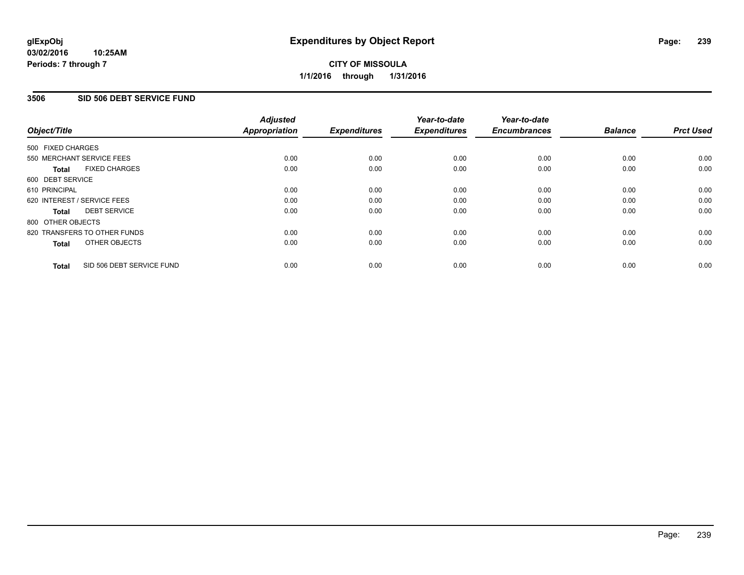# **CITY OF MISSOULA 1/1/2016 through 1/31/2016**

#### **3506 SID 506 DEBT SERVICE FUND**

|                               | <b>Adjusted</b>      |                     | Year-to-date        | Year-to-date        |                |                  |
|-------------------------------|----------------------|---------------------|---------------------|---------------------|----------------|------------------|
| Object/Title                  | <b>Appropriation</b> | <b>Expenditures</b> | <b>Expenditures</b> | <b>Encumbrances</b> | <b>Balance</b> | <b>Prct Used</b> |
| 500 FIXED CHARGES             |                      |                     |                     |                     |                |                  |
| 550 MERCHANT SERVICE FEES     | 0.00                 | 0.00                | 0.00                | 0.00                | 0.00           | 0.00             |
| <b>FIXED CHARGES</b><br>Total | 0.00                 | 0.00                | 0.00                | 0.00                | 0.00           | 0.00             |
| 600 DEBT SERVICE              |                      |                     |                     |                     |                |                  |
| 610 PRINCIPAL                 | 0.00                 | 0.00                | 0.00                | 0.00                | 0.00           | 0.00             |
| 620 INTEREST / SERVICE FEES   | 0.00                 | 0.00                | 0.00                | 0.00                | 0.00           | 0.00             |
| <b>DEBT SERVICE</b><br>Total  | 0.00                 | 0.00                | 0.00                | 0.00                | 0.00           | 0.00             |
| 800 OTHER OBJECTS             |                      |                     |                     |                     |                |                  |
| 820 TRANSFERS TO OTHER FUNDS  | 0.00                 | 0.00                | 0.00                | 0.00                | 0.00           | 0.00             |
| OTHER OBJECTS<br><b>Total</b> | 0.00                 | 0.00                | 0.00                | 0.00                | 0.00           | 0.00             |
| SID 506 DEBT SERVICE FUND     | 0.00                 | 0.00                | 0.00                | 0.00                | 0.00           | 0.00             |
| <b>Total</b>                  |                      |                     |                     |                     |                |                  |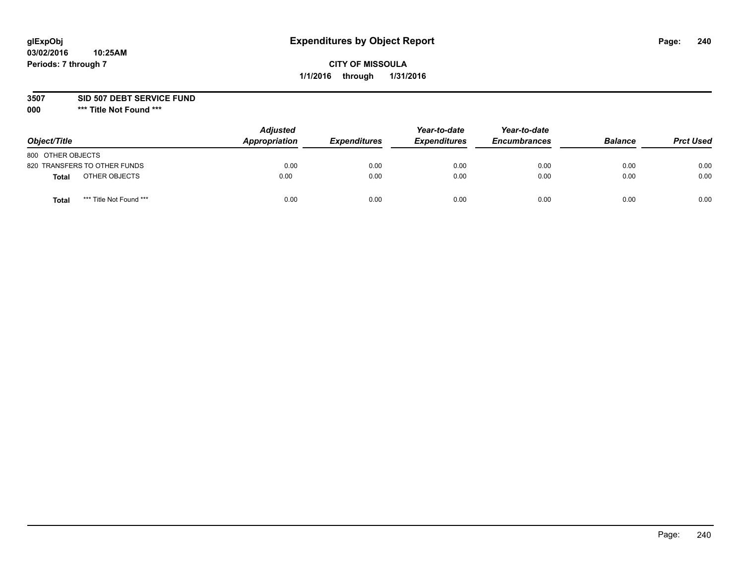# **glExpObj Expenditures by Object Report Page: 240**

# **CITY OF MISSOULA 1/1/2016 through 1/31/2016**

### **3507 SID 507 DEBT SERVICE FUND**

| Object/Title                     | <b>Adjusted</b><br>Appropriation | <b>Expenditures</b> | Year-to-date<br><b>Expenditures</b> | Year-to-date<br><b>Encumbrances</b> | <b>Balance</b> | <b>Prct Used</b> |
|----------------------------------|----------------------------------|---------------------|-------------------------------------|-------------------------------------|----------------|------------------|
| 800 OTHER OBJECTS                |                                  |                     |                                     |                                     |                |                  |
| 820 TRANSFERS TO OTHER FUNDS     | 0.00                             | 0.00                | 0.00                                | 0.00                                | 0.00           | 0.00             |
| OTHER OBJECTS<br><b>Total</b>    | 0.00                             | 0.00                | 0.00                                | 0.00                                | 0.00           | 0.00             |
| *** Title Not Found ***<br>Total | 0.00                             | 0.00                | 0.00                                | 0.00                                | 0.00           | 0.00             |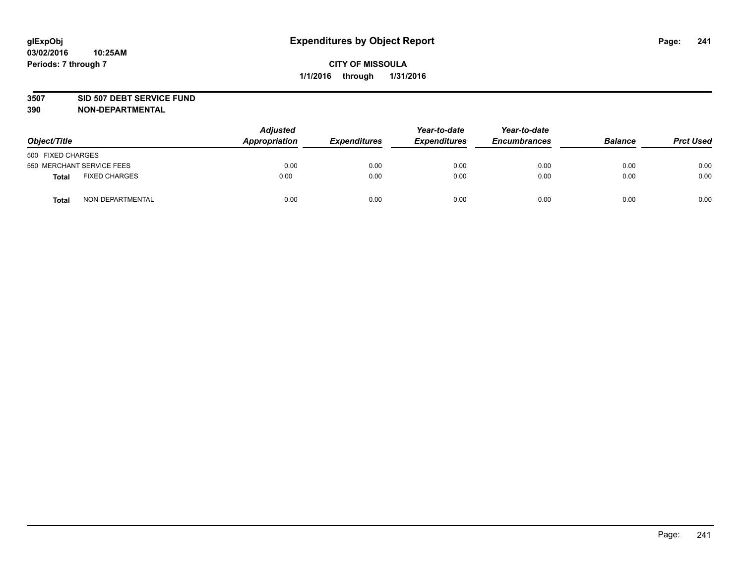#### **3507 SID 507 DEBT SERVICE FUND**

| Object/Title      |                           | <b>Adjusted</b><br>Appropriation | <b>Expenditures</b> | Year-to-date<br><b>Expenditures</b> | Year-to-date<br><b>Encumbrances</b> | <b>Balance</b> | <b>Prct Used</b> |
|-------------------|---------------------------|----------------------------------|---------------------|-------------------------------------|-------------------------------------|----------------|------------------|
| 500 FIXED CHARGES |                           |                                  |                     |                                     |                                     |                |                  |
|                   | 550 MERCHANT SERVICE FEES | 0.00                             | 0.00                | 0.00                                | 0.00                                | 0.00           | 0.00             |
| <b>Total</b>      | <b>FIXED CHARGES</b>      | 0.00                             | 0.00                | 0.00                                | 0.00                                | 0.00           | 0.00             |
| <b>Total</b>      | NON-DEPARTMENTAL          | 0.00                             | 0.00                | 0.00                                | 0.00                                | 0.00           | 0.00             |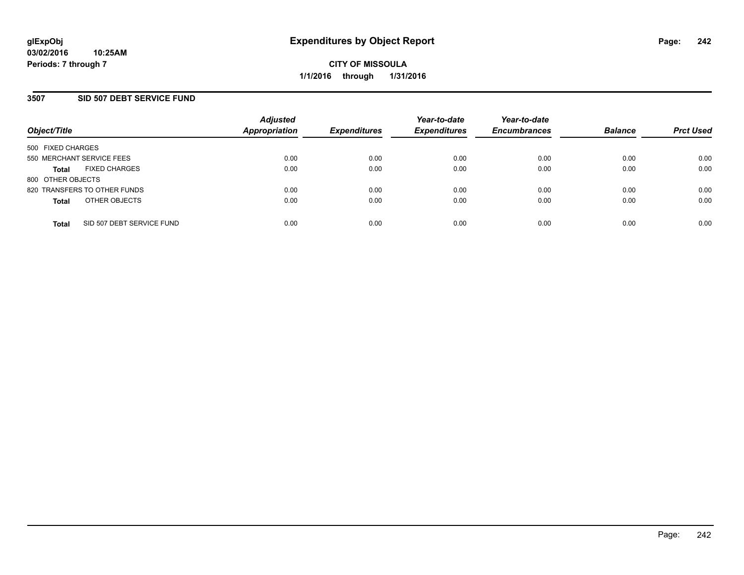### **3507 SID 507 DEBT SERVICE FUND**

| Object/Title              |                              | <b>Adjusted</b><br><b>Appropriation</b> | <b>Expenditures</b> | Year-to-date<br><b>Expenditures</b> | Year-to-date<br><b>Encumbrances</b> | <b>Balance</b> | <b>Prct Used</b> |
|---------------------------|------------------------------|-----------------------------------------|---------------------|-------------------------------------|-------------------------------------|----------------|------------------|
| 500 FIXED CHARGES         |                              |                                         |                     |                                     |                                     |                |                  |
| 550 MERCHANT SERVICE FEES |                              | 0.00                                    | 0.00                | 0.00                                | 0.00                                | 0.00           | 0.00             |
| <b>Total</b>              | <b>FIXED CHARGES</b>         | 0.00                                    | 0.00                | 0.00                                | 0.00                                | 0.00           | 0.00             |
| 800 OTHER OBJECTS         |                              |                                         |                     |                                     |                                     |                |                  |
|                           | 820 TRANSFERS TO OTHER FUNDS | 0.00                                    | 0.00                | 0.00                                | 0.00                                | 0.00           | 0.00             |
| <b>Total</b>              | OTHER OBJECTS                | 0.00                                    | 0.00                | 0.00                                | 0.00                                | 0.00           | 0.00             |
| <b>Total</b>              | SID 507 DEBT SERVICE FUND    | 0.00                                    | 0.00                | 0.00                                | 0.00                                | 0.00           | 0.00             |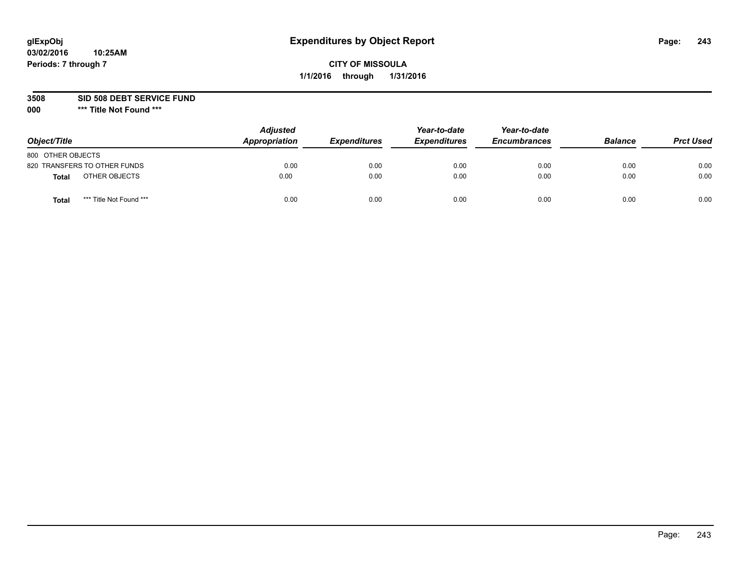# **glExpObj Expenditures by Object Report Page: 243**

# **CITY OF MISSOULA 1/1/2016 through 1/31/2016**

### **3508 SID 508 DEBT SERVICE FUND**

| Object/Title                     | <b>Adjusted</b><br>Appropriation | <b>Expenditures</b> | Year-to-date<br><b>Expenditures</b> | Year-to-date<br><b>Encumbrances</b> | <b>Balance</b> | <b>Prct Used</b> |
|----------------------------------|----------------------------------|---------------------|-------------------------------------|-------------------------------------|----------------|------------------|
| 800 OTHER OBJECTS                |                                  |                     |                                     |                                     |                |                  |
| 820 TRANSFERS TO OTHER FUNDS     | 0.00                             | 0.00                | 0.00                                | 0.00                                | 0.00           | 0.00             |
| OTHER OBJECTS<br><b>Total</b>    | 0.00                             | 0.00                | 0.00                                | 0.00                                | 0.00           | 0.00             |
| *** Title Not Found ***<br>Total | 0.00                             | 0.00                | 0.00                                | 0.00                                | 0.00           | 0.00             |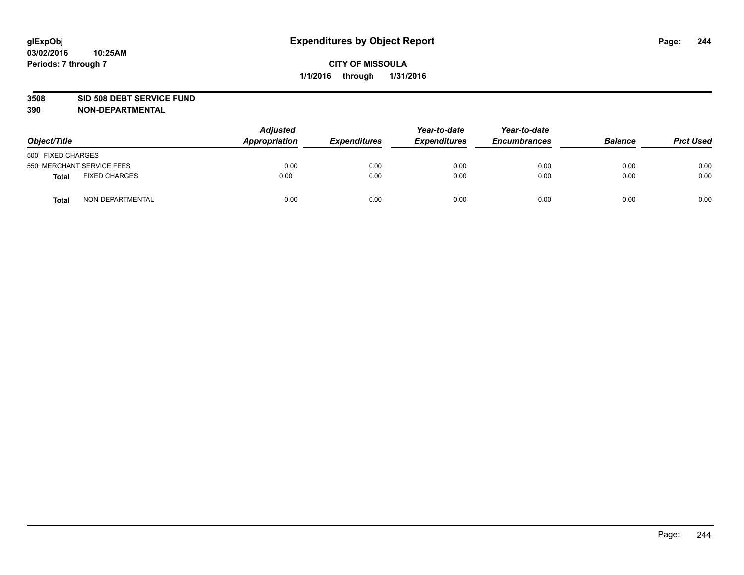#### **3508 SID 508 DEBT SERVICE FUND**

| Object/Title      |                           | <b>Adjusted</b><br>Appropriation | <b>Expenditures</b> | Year-to-date<br><b>Expenditures</b> | Year-to-date<br><b>Encumbrances</b> | <b>Balance</b> | <b>Prct Used</b> |
|-------------------|---------------------------|----------------------------------|---------------------|-------------------------------------|-------------------------------------|----------------|------------------|
| 500 FIXED CHARGES |                           |                                  |                     |                                     |                                     |                |                  |
|                   | 550 MERCHANT SERVICE FEES | 0.00                             | 0.00                | 0.00                                | 0.00                                | 0.00           | 0.00             |
| <b>Total</b>      | <b>FIXED CHARGES</b>      | 0.00                             | 0.00                | 0.00                                | 0.00                                | 0.00           | 0.00             |
| <b>Total</b>      | NON-DEPARTMENTAL          | 0.00                             | 0.00                | 0.00                                | 0.00                                | 0.00           | 0.00             |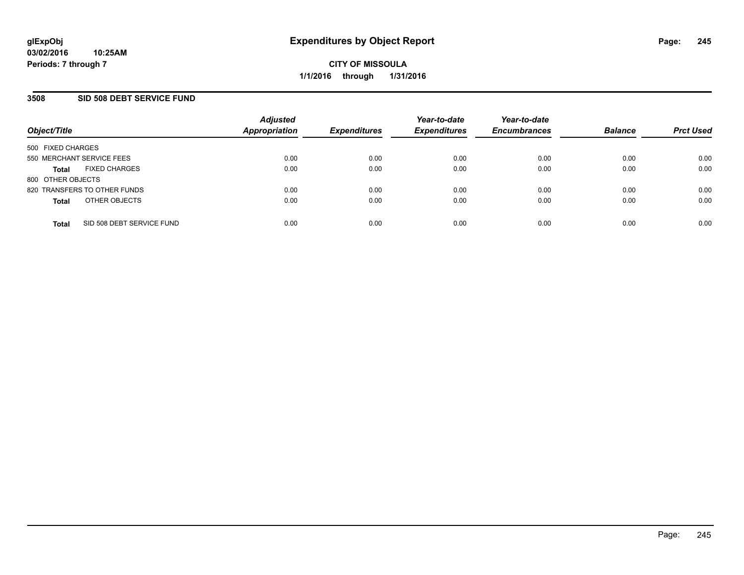#### **3508 SID 508 DEBT SERVICE FUND**

| Object/Title              |                              | <b>Adjusted</b><br><b>Appropriation</b> | <b>Expenditures</b> | Year-to-date<br><b>Expenditures</b> | Year-to-date<br><b>Encumbrances</b> | <b>Balance</b> | <b>Prct Used</b> |
|---------------------------|------------------------------|-----------------------------------------|---------------------|-------------------------------------|-------------------------------------|----------------|------------------|
| 500 FIXED CHARGES         |                              |                                         |                     |                                     |                                     |                |                  |
| 550 MERCHANT SERVICE FEES |                              | 0.00                                    | 0.00                | 0.00                                | 0.00                                | 0.00           | 0.00             |
| <b>Total</b>              | <b>FIXED CHARGES</b>         | 0.00                                    | 0.00                | 0.00                                | 0.00                                | 0.00           | 0.00             |
| 800 OTHER OBJECTS         |                              |                                         |                     |                                     |                                     |                |                  |
|                           | 820 TRANSFERS TO OTHER FUNDS | 0.00                                    | 0.00                | 0.00                                | 0.00                                | 0.00           | 0.00             |
| <b>Total</b>              | OTHER OBJECTS                | 0.00                                    | 0.00                | 0.00                                | 0.00                                | 0.00           | 0.00             |
| <b>Total</b>              | SID 508 DEBT SERVICE FUND    | 0.00                                    | 0.00                | 0.00                                | 0.00                                | 0.00           | 0.00             |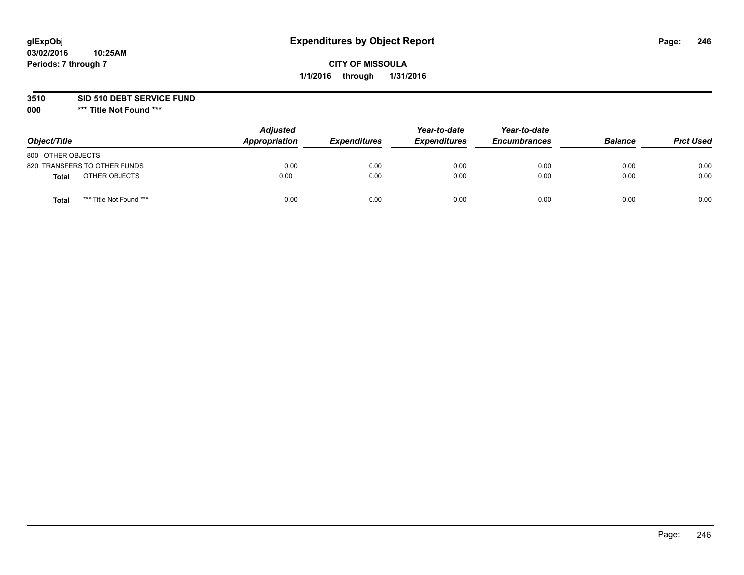### **3510 SID 510 DEBT SERVICE FUND**

| Object/Title                            | <b>Adjusted</b><br>Appropriation | <b>Expenditures</b> | Year-to-date<br><b>Expenditures</b> | Year-to-date<br><b>Encumbrances</b> | <b>Balance</b> | <b>Prct Used</b> |
|-----------------------------------------|----------------------------------|---------------------|-------------------------------------|-------------------------------------|----------------|------------------|
| 800 OTHER OBJECTS                       |                                  |                     |                                     |                                     |                |                  |
| 820 TRANSFERS TO OTHER FUNDS            | 0.00                             | 0.00                | 0.00                                | 0.00                                | 0.00           | 0.00             |
| OTHER OBJECTS<br>Total                  | 0.00                             | 0.00                | 0.00                                | 0.00                                | 0.00           | 0.00             |
| *** Title Not Found ***<br><b>Total</b> | 0.00                             | 0.00                | 0.00                                | 0.00                                | 0.00           | 0.00             |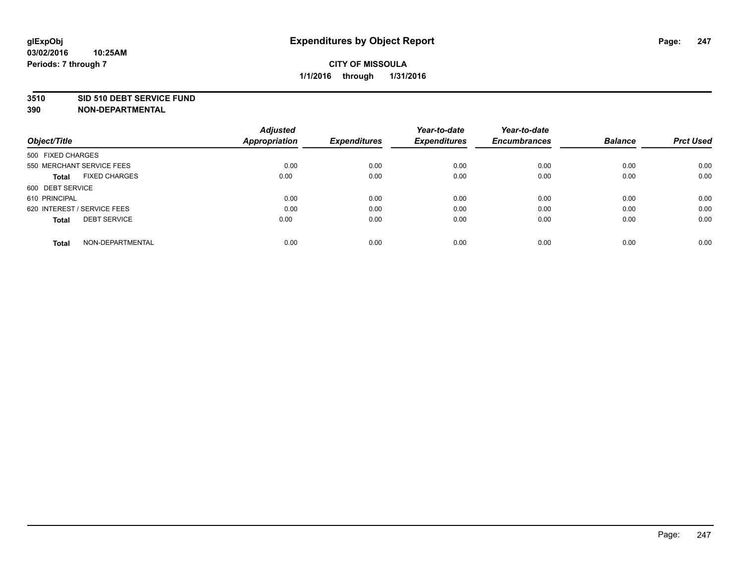#### **3510 SID 510 DEBT SERVICE FUND**

| Object/Title                         | <b>Adjusted</b><br><b>Appropriation</b> | <b>Expenditures</b> | Year-to-date<br><b>Expenditures</b> | Year-to-date<br><b>Encumbrances</b> | <b>Balance</b> | <b>Prct Used</b> |
|--------------------------------------|-----------------------------------------|---------------------|-------------------------------------|-------------------------------------|----------------|------------------|
|                                      |                                         |                     |                                     |                                     |                |                  |
| 500 FIXED CHARGES                    |                                         |                     |                                     |                                     |                |                  |
| 550 MERCHANT SERVICE FEES            | 0.00                                    | 0.00                | 0.00                                | 0.00                                | 0.00           | 0.00             |
| <b>FIXED CHARGES</b><br><b>Total</b> | 0.00                                    | 0.00                | 0.00                                | 0.00                                | 0.00           | 0.00             |
| 600 DEBT SERVICE                     |                                         |                     |                                     |                                     |                |                  |
| 610 PRINCIPAL                        | 0.00                                    | 0.00                | 0.00                                | 0.00                                | 0.00           | 0.00             |
| 620 INTEREST / SERVICE FEES          | 0.00                                    | 0.00                | 0.00                                | 0.00                                | 0.00           | 0.00             |
| <b>DEBT SERVICE</b><br><b>Total</b>  | 0.00                                    | 0.00                | 0.00                                | 0.00                                | 0.00           | 0.00             |
|                                      |                                         |                     |                                     |                                     |                |                  |
| NON-DEPARTMENTAL<br><b>Total</b>     | 0.00                                    | 0.00                | 0.00                                | 0.00                                | 0.00           | 0.00             |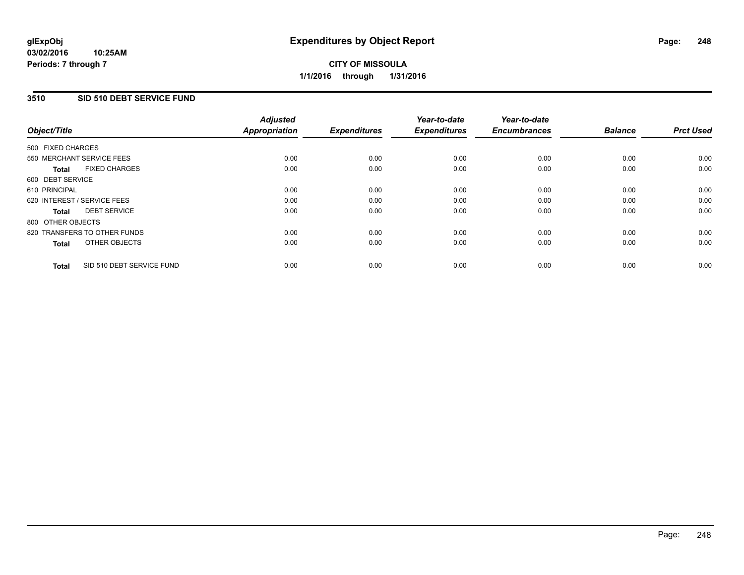# **CITY OF MISSOULA 1/1/2016 through 1/31/2016**

## **3510 SID 510 DEBT SERVICE FUND**

| Object/Title      |                              | <b>Adjusted</b><br>Appropriation | <b>Expenditures</b> | Year-to-date<br><b>Expenditures</b> | Year-to-date<br><b>Encumbrances</b> | <b>Balance</b> | <b>Prct Used</b> |
|-------------------|------------------------------|----------------------------------|---------------------|-------------------------------------|-------------------------------------|----------------|------------------|
| 500 FIXED CHARGES |                              |                                  |                     |                                     |                                     |                |                  |
|                   | 550 MERCHANT SERVICE FEES    | 0.00                             | 0.00                | 0.00                                | 0.00                                | 0.00           | 0.00             |
| <b>Total</b>      | <b>FIXED CHARGES</b>         | 0.00                             | 0.00                | 0.00                                | 0.00                                | 0.00           | 0.00             |
| 600 DEBT SERVICE  |                              |                                  |                     |                                     |                                     |                |                  |
| 610 PRINCIPAL     |                              | 0.00                             | 0.00                | 0.00                                | 0.00                                | 0.00           | 0.00             |
|                   | 620 INTEREST / SERVICE FEES  | 0.00                             | 0.00                | 0.00                                | 0.00                                | 0.00           | 0.00             |
| Total             | <b>DEBT SERVICE</b>          | 0.00                             | 0.00                | 0.00                                | 0.00                                | 0.00           | 0.00             |
| 800 OTHER OBJECTS |                              |                                  |                     |                                     |                                     |                |                  |
|                   | 820 TRANSFERS TO OTHER FUNDS | 0.00                             | 0.00                | 0.00                                | 0.00                                | 0.00           | 0.00             |
| <b>Total</b>      | OTHER OBJECTS                | 0.00                             | 0.00                | 0.00                                | 0.00                                | 0.00           | 0.00             |
| <b>Total</b>      | SID 510 DEBT SERVICE FUND    | 0.00                             | 0.00                | 0.00                                | 0.00                                | 0.00           | 0.00             |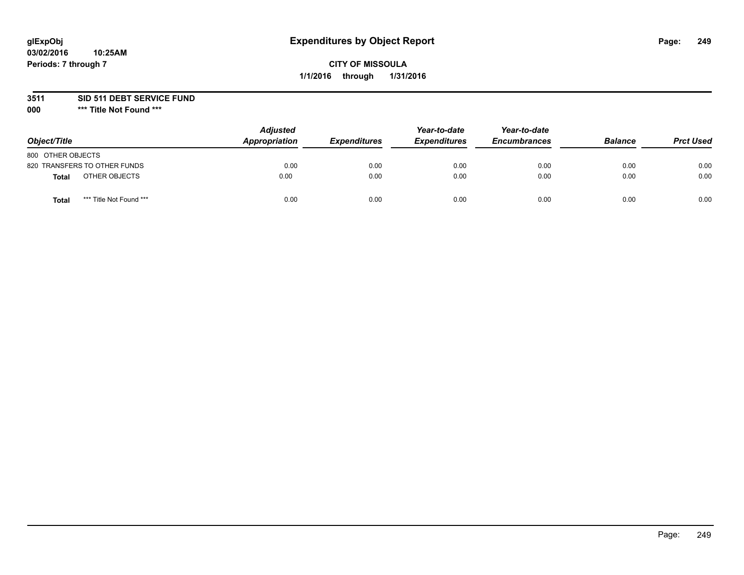## **3511 SID 511 DEBT SERVICE FUND**

| Object/Title                            | <b>Adjusted</b><br>Appropriation | <b>Expenditures</b> | Year-to-date<br><b>Expenditures</b> | Year-to-date<br><b>Encumbrances</b> | <b>Balance</b> | <b>Prct Used</b> |
|-----------------------------------------|----------------------------------|---------------------|-------------------------------------|-------------------------------------|----------------|------------------|
| 800 OTHER OBJECTS                       |                                  |                     |                                     |                                     |                |                  |
| 820 TRANSFERS TO OTHER FUNDS            | 0.00                             | 0.00                | 0.00                                | 0.00                                | 0.00           | 0.00             |
| OTHER OBJECTS<br>Total                  | 0.00                             | 0.00                | 0.00                                | 0.00                                | 0.00           | 0.00             |
| *** Title Not Found ***<br><b>Total</b> | 0.00                             | 0.00                | 0.00                                | 0.00                                | 0.00           | 0.00             |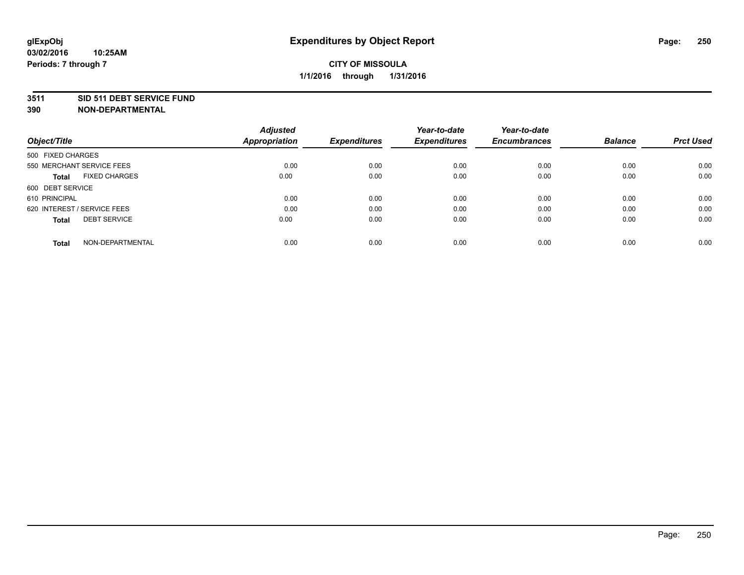#### **3511 SID 511 DEBT SERVICE FUND**

|                                      | <b>Adjusted</b>      |                     | Year-to-date        | Year-to-date        |                |                  |
|--------------------------------------|----------------------|---------------------|---------------------|---------------------|----------------|------------------|
| Object/Title                         | <b>Appropriation</b> | <b>Expenditures</b> | <b>Expenditures</b> | <b>Encumbrances</b> | <b>Balance</b> | <b>Prct Used</b> |
| 500 FIXED CHARGES                    |                      |                     |                     |                     |                |                  |
| 550 MERCHANT SERVICE FEES            | 0.00                 | 0.00                | 0.00                | 0.00                | 0.00           | 0.00             |
| <b>FIXED CHARGES</b><br><b>Total</b> | 0.00                 | 0.00                | 0.00                | 0.00                | 0.00           | 0.00             |
| 600 DEBT SERVICE                     |                      |                     |                     |                     |                |                  |
| 610 PRINCIPAL                        | 0.00                 | 0.00                | 0.00                | 0.00                | 0.00           | 0.00             |
| 620 INTEREST / SERVICE FEES          | 0.00                 | 0.00                | 0.00                | 0.00                | 0.00           | 0.00             |
| <b>DEBT SERVICE</b><br><b>Total</b>  | 0.00                 | 0.00                | 0.00                | 0.00                | 0.00           | 0.00             |
| NON-DEPARTMENTAL<br>Total            | 0.00                 | 0.00                | 0.00                | 0.00                | 0.00           | 0.00             |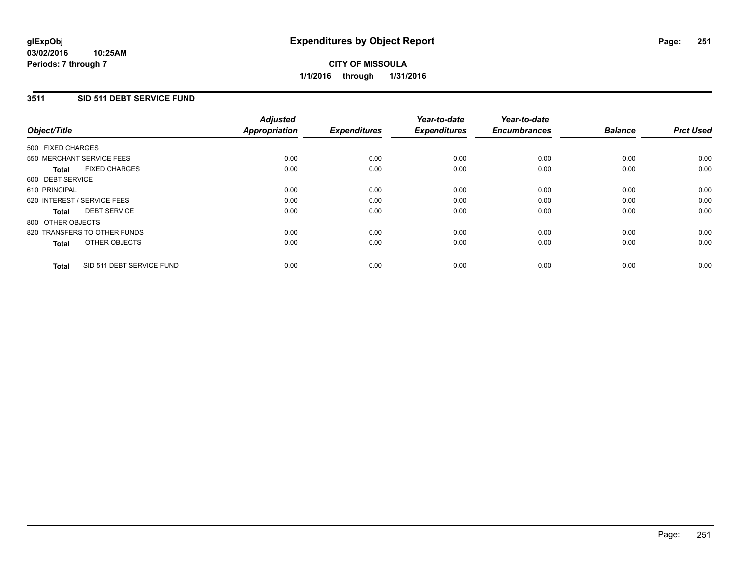# **CITY OF MISSOULA 1/1/2016 through 1/31/2016**

## **3511 SID 511 DEBT SERVICE FUND**

|                   |                              | <b>Adjusted</b>      |                     | Year-to-date        | Year-to-date        |                |                  |
|-------------------|------------------------------|----------------------|---------------------|---------------------|---------------------|----------------|------------------|
| Object/Title      |                              | <b>Appropriation</b> | <b>Expenditures</b> | <b>Expenditures</b> | <b>Encumbrances</b> | <b>Balance</b> | <b>Prct Used</b> |
| 500 FIXED CHARGES |                              |                      |                     |                     |                     |                |                  |
|                   | 550 MERCHANT SERVICE FEES    | 0.00                 | 0.00                | 0.00                | 0.00                | 0.00           | 0.00             |
| <b>Total</b>      | <b>FIXED CHARGES</b>         | 0.00                 | 0.00                | 0.00                | 0.00                | 0.00           | 0.00             |
| 600 DEBT SERVICE  |                              |                      |                     |                     |                     |                |                  |
| 610 PRINCIPAL     |                              | 0.00                 | 0.00                | 0.00                | 0.00                | 0.00           | 0.00             |
|                   | 620 INTEREST / SERVICE FEES  | 0.00                 | 0.00                | 0.00                | 0.00                | 0.00           | 0.00             |
| <b>Total</b>      | <b>DEBT SERVICE</b>          | 0.00                 | 0.00                | 0.00                | 0.00                | 0.00           | 0.00             |
| 800 OTHER OBJECTS |                              |                      |                     |                     |                     |                |                  |
|                   | 820 TRANSFERS TO OTHER FUNDS | 0.00                 | 0.00                | 0.00                | 0.00                | 0.00           | 0.00             |
| <b>Total</b>      | OTHER OBJECTS                | 0.00                 | 0.00                | 0.00                | 0.00                | 0.00           | 0.00             |
| <b>Total</b>      | SID 511 DEBT SERVICE FUND    | 0.00                 | 0.00                | 0.00                | 0.00                | 0.00           | 0.00             |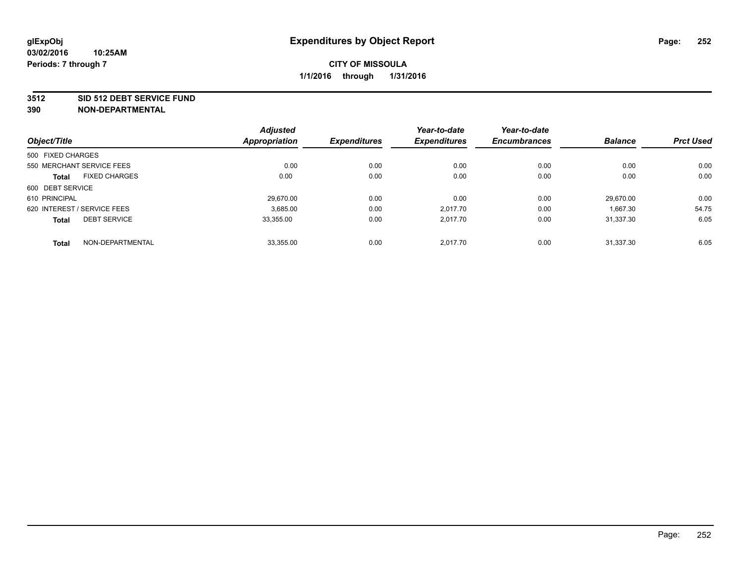#### **3512 SID 512 DEBT SERVICE FUND**

|                                      | <b>Adjusted</b>      |                     | Year-to-date        | Year-to-date        |                |                  |
|--------------------------------------|----------------------|---------------------|---------------------|---------------------|----------------|------------------|
| Object/Title                         | <b>Appropriation</b> | <b>Expenditures</b> | <b>Expenditures</b> | <b>Encumbrances</b> | <b>Balance</b> | <b>Prct Used</b> |
| 500 FIXED CHARGES                    |                      |                     |                     |                     |                |                  |
| 550 MERCHANT SERVICE FEES            | 0.00                 | 0.00                | 0.00                | 0.00                | 0.00           | 0.00             |
| <b>FIXED CHARGES</b><br><b>Total</b> | 0.00                 | 0.00                | 0.00                | 0.00                | 0.00           | 0.00             |
| 600 DEBT SERVICE                     |                      |                     |                     |                     |                |                  |
| 610 PRINCIPAL                        | 29.670.00            | 0.00                | 0.00                | 0.00                | 29.670.00      | 0.00             |
| 620 INTEREST / SERVICE FEES          | 3,685.00             | 0.00                | 2.017.70            | 0.00                | 1,667.30       | 54.75            |
| <b>DEBT SERVICE</b><br><b>Total</b>  | 33.355.00            | 0.00                | 2.017.70            | 0.00                | 31.337.30      | 6.05             |
| NON-DEPARTMENTAL<br><b>Total</b>     | 33,355.00            | 0.00                | 2.017.70            | 0.00                | 31.337.30      | 6.05             |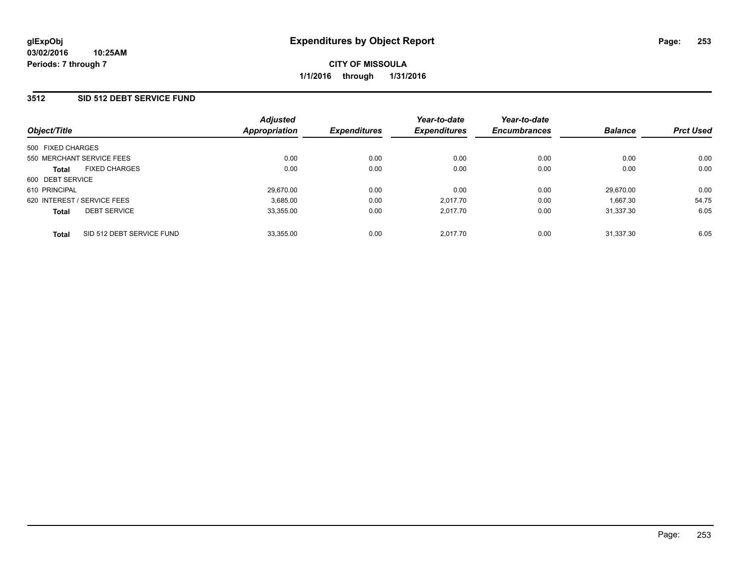### **3512 SID 512 DEBT SERVICE FUND**

| Object/Title                |                           | <b>Adjusted</b><br>Appropriation | <b>Expenditures</b> | Year-to-date<br><b>Expenditures</b> | Year-to-date<br><b>Encumbrances</b> | <b>Balance</b> | <b>Prct Used</b> |
|-----------------------------|---------------------------|----------------------------------|---------------------|-------------------------------------|-------------------------------------|----------------|------------------|
| 500 FIXED CHARGES           |                           |                                  |                     |                                     |                                     |                |                  |
| 550 MERCHANT SERVICE FEES   |                           | 0.00                             | 0.00                | 0.00                                | 0.00                                | 0.00           | 0.00             |
| <b>Total</b>                | <b>FIXED CHARGES</b>      | 0.00                             | 0.00                | 0.00                                | 0.00                                | 0.00           | 0.00             |
| 600 DEBT SERVICE            |                           |                                  |                     |                                     |                                     |                |                  |
| 610 PRINCIPAL               |                           | 29.670.00                        | 0.00                | 0.00                                | 0.00                                | 29.670.00      | 0.00             |
| 620 INTEREST / SERVICE FEES |                           | 3,685.00                         | 0.00                | 2.017.70                            | 0.00                                | 1.667.30       | 54.75            |
| <b>Total</b>                | <b>DEBT SERVICE</b>       | 33,355.00                        | 0.00                | 2.017.70                            | 0.00                                | 31.337.30      | 6.05             |
| <b>Total</b>                | SID 512 DEBT SERVICE FUND | 33,355.00                        | 0.00                | 2.017.70                            | 0.00                                | 31.337.30      | 6.05             |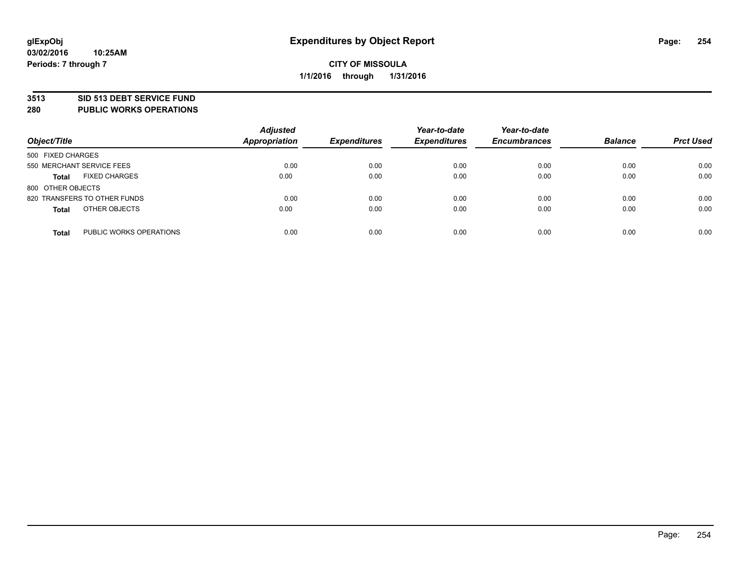### **3513 SID 513 DEBT SERVICE FUND**

**280 PUBLIC WORKS OPERATIONS**

| Object/Title                            | <b>Adjusted</b><br><b>Appropriation</b> | <b>Expenditures</b> | Year-to-date<br><b>Expenditures</b> | Year-to-date<br><b>Encumbrances</b> | <b>Balance</b> | <b>Prct Used</b> |
|-----------------------------------------|-----------------------------------------|---------------------|-------------------------------------|-------------------------------------|----------------|------------------|
| 500 FIXED CHARGES                       |                                         |                     |                                     |                                     |                |                  |
| 550 MERCHANT SERVICE FEES               | 0.00                                    | 0.00                | 0.00                                | 0.00                                | 0.00           | 0.00             |
| <b>FIXED CHARGES</b><br><b>Total</b>    | 0.00                                    | 0.00                | 0.00                                | 0.00                                | 0.00           | 0.00             |
| 800 OTHER OBJECTS                       |                                         |                     |                                     |                                     |                |                  |
| 820 TRANSFERS TO OTHER FUNDS            | 0.00                                    | 0.00                | 0.00                                | 0.00                                | 0.00           | 0.00             |
| OTHER OBJECTS<br><b>Total</b>           | 0.00                                    | 0.00                | 0.00                                | 0.00                                | 0.00           | 0.00             |
| PUBLIC WORKS OPERATIONS<br><b>Total</b> | 0.00                                    | 0.00                | 0.00                                | 0.00                                | 0.00           | 0.00             |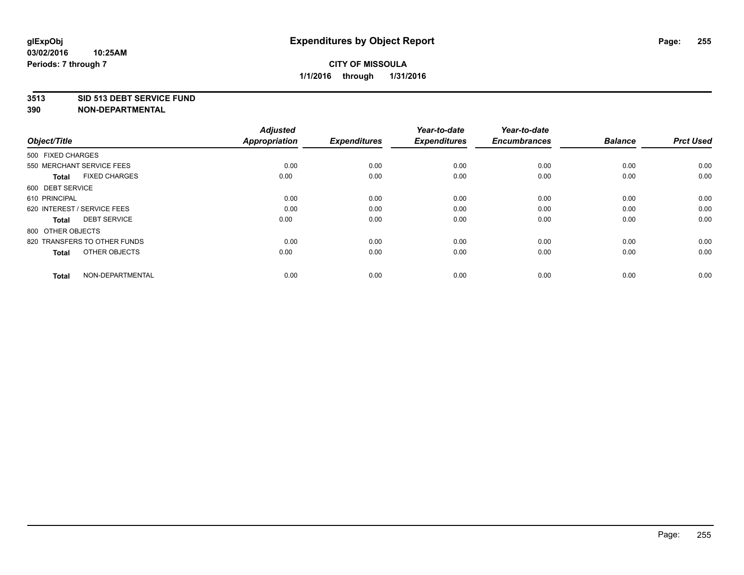#### **3513 SID 513 DEBT SERVICE FUND**

| Object/Title                         | <b>Adjusted</b><br><b>Appropriation</b> | <b>Expenditures</b> | Year-to-date<br><b>Expenditures</b> | Year-to-date<br><b>Encumbrances</b> | <b>Balance</b> | <b>Prct Used</b> |
|--------------------------------------|-----------------------------------------|---------------------|-------------------------------------|-------------------------------------|----------------|------------------|
| 500 FIXED CHARGES                    |                                         |                     |                                     |                                     |                |                  |
| 550 MERCHANT SERVICE FEES            | 0.00                                    | 0.00                | 0.00                                | 0.00                                | 0.00           | 0.00             |
| <b>FIXED CHARGES</b><br><b>Total</b> | 0.00                                    | 0.00                | 0.00                                | 0.00                                | 0.00           | 0.00             |
| 600 DEBT SERVICE                     |                                         |                     |                                     |                                     |                |                  |
| 610 PRINCIPAL                        | 0.00                                    | 0.00                | 0.00                                | 0.00                                | 0.00           | 0.00             |
| 620 INTEREST / SERVICE FEES          | 0.00                                    | 0.00                | 0.00                                | 0.00                                | 0.00           | 0.00             |
| <b>DEBT SERVICE</b><br><b>Total</b>  | 0.00                                    | 0.00                | 0.00                                | 0.00                                | 0.00           | 0.00             |
| 800 OTHER OBJECTS                    |                                         |                     |                                     |                                     |                |                  |
| 820 TRANSFERS TO OTHER FUNDS         | 0.00                                    | 0.00                | 0.00                                | 0.00                                | 0.00           | 0.00             |
| OTHER OBJECTS<br><b>Total</b>        | 0.00                                    | 0.00                | 0.00                                | 0.00                                | 0.00           | 0.00             |
|                                      |                                         |                     |                                     |                                     |                |                  |
| NON-DEPARTMENTAL<br><b>Total</b>     | 0.00                                    | 0.00                | 0.00                                | 0.00                                | 0.00           | 0.00             |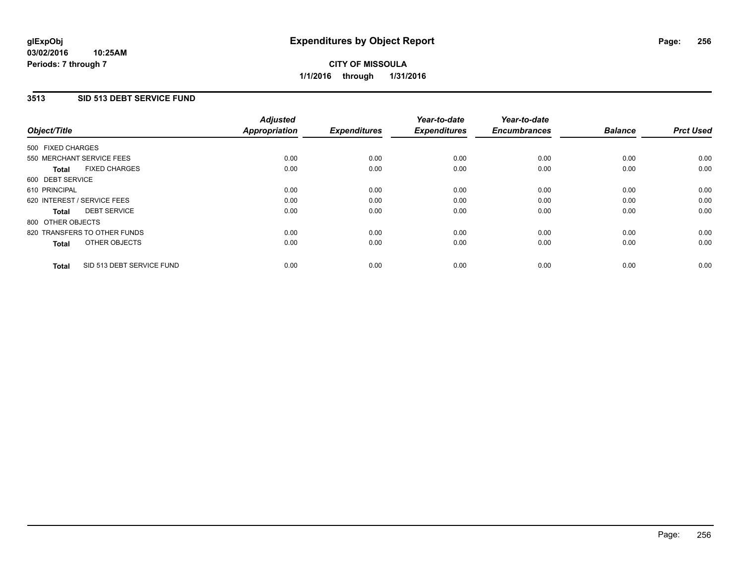# **3513 SID 513 DEBT SERVICE FUND**

| Object/Title                              | <b>Adjusted</b><br><b>Appropriation</b> | <b>Expenditures</b> | Year-to-date<br><b>Expenditures</b> | Year-to-date<br><b>Encumbrances</b> | <b>Balance</b> | <b>Prct Used</b> |
|-------------------------------------------|-----------------------------------------|---------------------|-------------------------------------|-------------------------------------|----------------|------------------|
| 500 FIXED CHARGES                         |                                         |                     |                                     |                                     |                |                  |
| 550 MERCHANT SERVICE FEES                 | 0.00                                    | 0.00                | 0.00                                | 0.00                                | 0.00           | 0.00             |
| <b>FIXED CHARGES</b><br><b>Total</b>      | 0.00                                    | 0.00                | 0.00                                | 0.00                                | 0.00           | 0.00             |
| 600 DEBT SERVICE                          |                                         |                     |                                     |                                     |                |                  |
| 610 PRINCIPAL                             | 0.00                                    | 0.00                | 0.00                                | 0.00                                | 0.00           | 0.00             |
| 620 INTEREST / SERVICE FEES               | 0.00                                    | 0.00                | 0.00                                | 0.00                                | 0.00           | 0.00             |
| <b>DEBT SERVICE</b><br><b>Total</b>       | 0.00                                    | 0.00                | 0.00                                | 0.00                                | 0.00           | 0.00             |
| 800 OTHER OBJECTS                         |                                         |                     |                                     |                                     |                |                  |
| 820 TRANSFERS TO OTHER FUNDS              | 0.00                                    | 0.00                | 0.00                                | 0.00                                | 0.00           | 0.00             |
| OTHER OBJECTS<br><b>Total</b>             | 0.00                                    | 0.00                | 0.00                                | 0.00                                | 0.00           | 0.00             |
| SID 513 DEBT SERVICE FUND<br><b>Total</b> | 0.00                                    | 0.00                | 0.00                                | 0.00                                | 0.00           | 0.00             |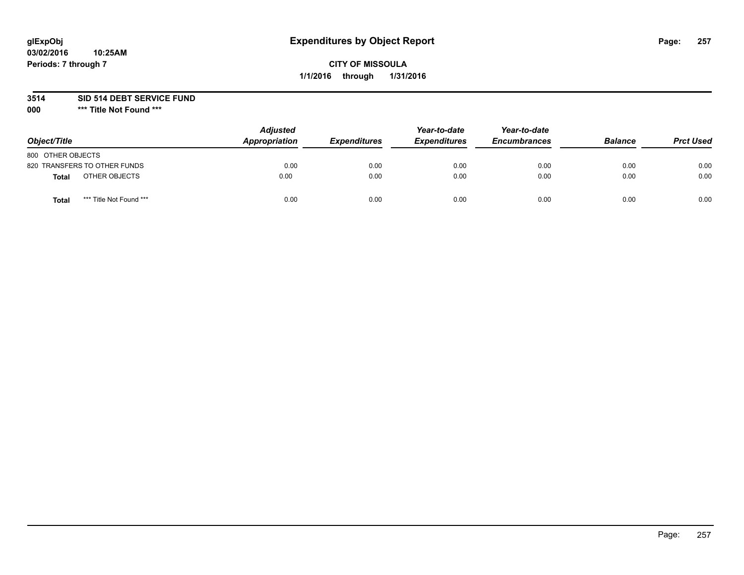### **3514 SID 514 DEBT SERVICE FUND**

**000 \*\*\* Title Not Found \*\*\***

| Object/Title                            | <b>Adjusted</b><br>Appropriation | <b>Expenditures</b> | Year-to-date<br><b>Expenditures</b> | Year-to-date<br><b>Encumbrances</b> | <b>Balance</b> | <b>Prct Used</b> |
|-----------------------------------------|----------------------------------|---------------------|-------------------------------------|-------------------------------------|----------------|------------------|
| 800 OTHER OBJECTS                       |                                  |                     |                                     |                                     |                |                  |
| 820 TRANSFERS TO OTHER FUNDS            | 0.00                             | 0.00                | 0.00                                | 0.00                                | 0.00           | 0.00             |
| OTHER OBJECTS<br>Total                  | 0.00                             | 0.00                | 0.00                                | 0.00                                | 0.00           | 0.00             |
| *** Title Not Found ***<br><b>Total</b> | 0.00                             | 0.00                | 0.00                                | 0.00                                | 0.00           | 0.00             |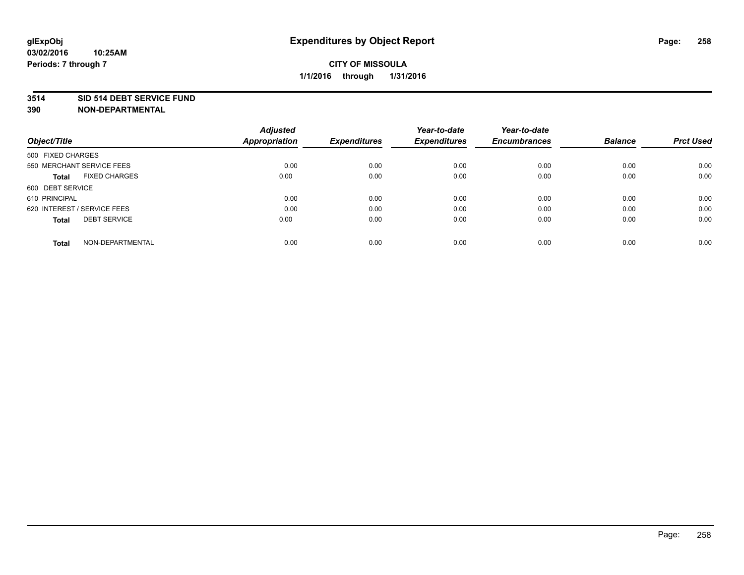#### **3514 SID 514 DEBT SERVICE FUND**

|                                      | <b>Adjusted</b>      |                     | Year-to-date        | Year-to-date        |                |                  |
|--------------------------------------|----------------------|---------------------|---------------------|---------------------|----------------|------------------|
| Object/Title                         | <b>Appropriation</b> | <b>Expenditures</b> | <b>Expenditures</b> | <b>Encumbrances</b> | <b>Balance</b> | <b>Prct Used</b> |
| 500 FIXED CHARGES                    |                      |                     |                     |                     |                |                  |
| 550 MERCHANT SERVICE FEES            | 0.00                 | 0.00                | 0.00                | 0.00                | 0.00           | 0.00             |
| <b>FIXED CHARGES</b><br><b>Total</b> | 0.00                 | 0.00                | 0.00                | 0.00                | 0.00           | 0.00             |
| 600 DEBT SERVICE                     |                      |                     |                     |                     |                |                  |
| 610 PRINCIPAL                        | 0.00                 | 0.00                | 0.00                | 0.00                | 0.00           | 0.00             |
| 620 INTEREST / SERVICE FEES          | 0.00                 | 0.00                | 0.00                | 0.00                | 0.00           | 0.00             |
| <b>DEBT SERVICE</b><br><b>Total</b>  | 0.00                 | 0.00                | 0.00                | 0.00                | 0.00           | 0.00             |
| NON-DEPARTMENTAL<br><b>Total</b>     | 0.00                 | 0.00                | 0.00                | 0.00                | 0.00           | 0.00             |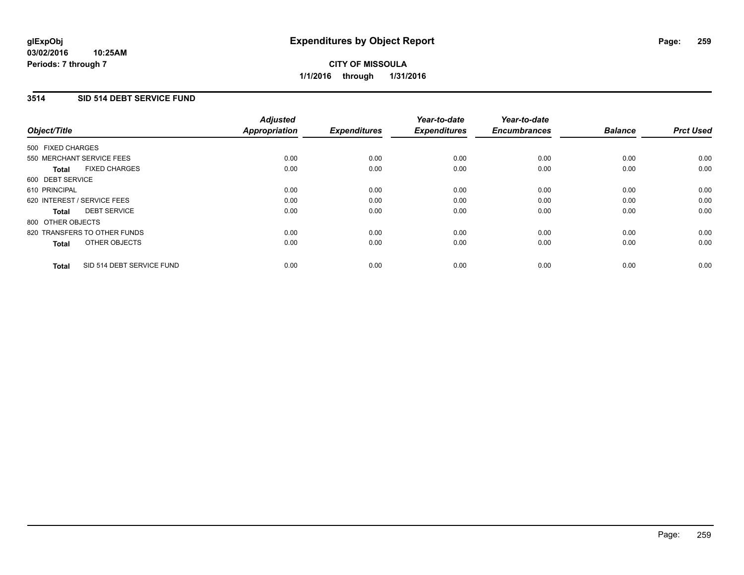#### **03/02/2016 10:25AM Periods: 7 through 7**

# **CITY OF MISSOULA 1/1/2016 through 1/31/2016**

## **3514 SID 514 DEBT SERVICE FUND**

| Object/Title                              | <b>Adjusted</b><br><b>Appropriation</b> | <b>Expenditures</b> | Year-to-date<br><b>Expenditures</b> | Year-to-date<br><b>Encumbrances</b> | <b>Balance</b> | <b>Prct Used</b> |
|-------------------------------------------|-----------------------------------------|---------------------|-------------------------------------|-------------------------------------|----------------|------------------|
|                                           |                                         |                     |                                     |                                     |                |                  |
| 500 FIXED CHARGES                         |                                         |                     |                                     |                                     |                |                  |
| 550 MERCHANT SERVICE FEES                 | 0.00                                    | 0.00                | 0.00                                | 0.00                                | 0.00           | 0.00             |
| <b>FIXED CHARGES</b><br><b>Total</b>      | 0.00                                    | 0.00                | 0.00                                | 0.00                                | 0.00           | 0.00             |
| 600 DEBT SERVICE                          |                                         |                     |                                     |                                     |                |                  |
| 610 PRINCIPAL                             | 0.00                                    | 0.00                | 0.00                                | 0.00                                | 0.00           | 0.00             |
| 620 INTEREST / SERVICE FEES               | 0.00                                    | 0.00                | 0.00                                | 0.00                                | 0.00           | 0.00             |
| <b>DEBT SERVICE</b><br><b>Total</b>       | 0.00                                    | 0.00                | 0.00                                | 0.00                                | 0.00           | 0.00             |
| 800 OTHER OBJECTS                         |                                         |                     |                                     |                                     |                |                  |
| 820 TRANSFERS TO OTHER FUNDS              | 0.00                                    | 0.00                | 0.00                                | 0.00                                | 0.00           | 0.00             |
| OTHER OBJECTS<br><b>Total</b>             | 0.00                                    | 0.00                | 0.00                                | 0.00                                | 0.00           | 0.00             |
|                                           |                                         |                     |                                     |                                     |                |                  |
| SID 514 DEBT SERVICE FUND<br><b>Total</b> | 0.00                                    | 0.00                | 0.00                                | 0.00                                | 0.00           | 0.00             |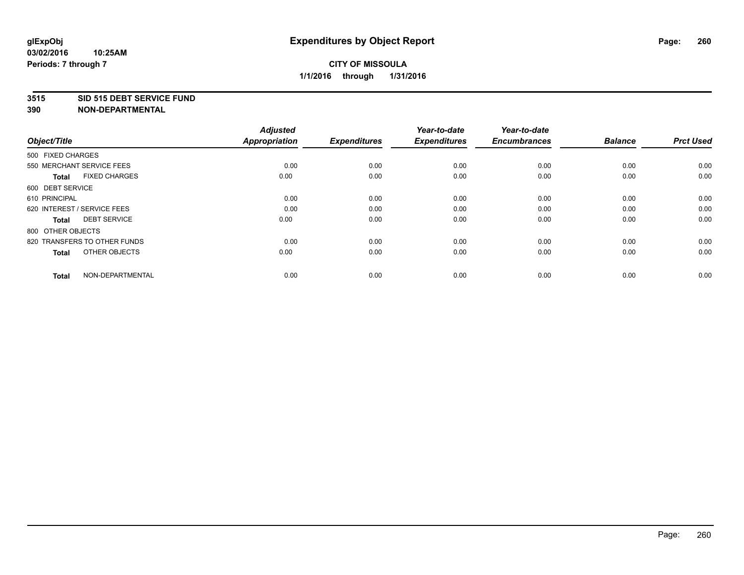#### **3515 SID 515 DEBT SERVICE FUND**

| Object/Title                         | <b>Adjusted</b><br>Appropriation | <b>Expenditures</b> | Year-to-date<br><b>Expenditures</b> | Year-to-date<br><b>Encumbrances</b> | <b>Balance</b> | <b>Prct Used</b> |
|--------------------------------------|----------------------------------|---------------------|-------------------------------------|-------------------------------------|----------------|------------------|
| 500 FIXED CHARGES                    |                                  |                     |                                     |                                     |                |                  |
| 550 MERCHANT SERVICE FEES            | 0.00                             | 0.00                | 0.00                                | 0.00                                | 0.00           | 0.00             |
| <b>FIXED CHARGES</b><br><b>Total</b> | 0.00                             | 0.00                | 0.00                                | 0.00                                | 0.00           | 0.00             |
| 600 DEBT SERVICE                     |                                  |                     |                                     |                                     |                |                  |
| 610 PRINCIPAL                        | 0.00                             | 0.00                | 0.00                                | 0.00                                | 0.00           | 0.00             |
| 620 INTEREST / SERVICE FEES          | 0.00                             | 0.00                | 0.00                                | 0.00                                | 0.00           | 0.00             |
| <b>DEBT SERVICE</b><br><b>Total</b>  | 0.00                             | 0.00                | 0.00                                | 0.00                                | 0.00           | 0.00             |
| 800 OTHER OBJECTS                    |                                  |                     |                                     |                                     |                |                  |
| 820 TRANSFERS TO OTHER FUNDS         | 0.00                             | 0.00                | 0.00                                | 0.00                                | 0.00           | 0.00             |
| OTHER OBJECTS<br><b>Total</b>        | 0.00                             | 0.00                | 0.00                                | 0.00                                | 0.00           | 0.00             |
| NON-DEPARTMENTAL<br><b>Total</b>     | 0.00                             | 0.00                | 0.00                                | 0.00                                | 0.00           | 0.00             |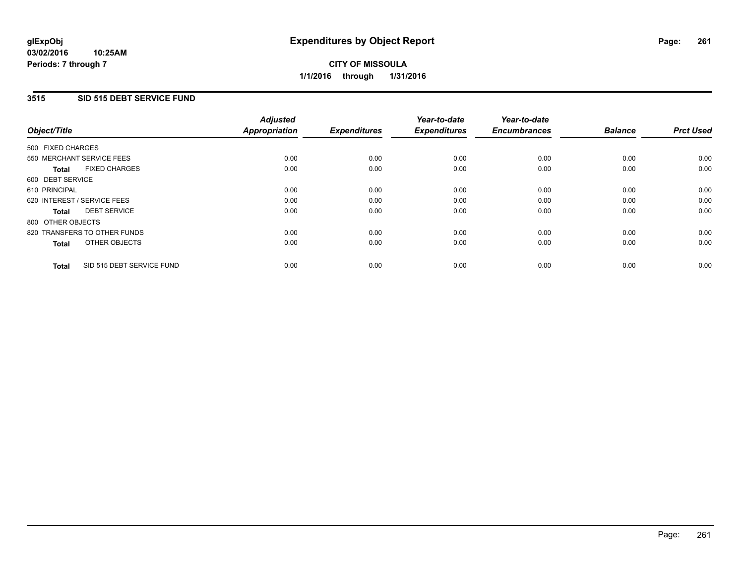## **3515 SID 515 DEBT SERVICE FUND**

| Object/Title                              | <b>Adjusted</b><br><b>Appropriation</b> | <b>Expenditures</b> | Year-to-date<br><b>Expenditures</b> | Year-to-date<br><b>Encumbrances</b> | <b>Balance</b> | <b>Prct Used</b> |
|-------------------------------------------|-----------------------------------------|---------------------|-------------------------------------|-------------------------------------|----------------|------------------|
|                                           |                                         |                     |                                     |                                     |                |                  |
| 500 FIXED CHARGES                         |                                         |                     |                                     |                                     |                |                  |
| 550 MERCHANT SERVICE FEES                 | 0.00                                    | 0.00                | 0.00                                | 0.00                                | 0.00           | 0.00             |
| <b>FIXED CHARGES</b><br><b>Total</b>      | 0.00                                    | 0.00                | 0.00                                | 0.00                                | 0.00           | 0.00             |
| 600 DEBT SERVICE                          |                                         |                     |                                     |                                     |                |                  |
| 610 PRINCIPAL                             | 0.00                                    | 0.00                | 0.00                                | 0.00                                | 0.00           | 0.00             |
| 620 INTEREST / SERVICE FEES               | 0.00                                    | 0.00                | 0.00                                | 0.00                                | 0.00           | 0.00             |
| <b>DEBT SERVICE</b><br><b>Total</b>       | 0.00                                    | 0.00                | 0.00                                | 0.00                                | 0.00           | 0.00             |
| 800 OTHER OBJECTS                         |                                         |                     |                                     |                                     |                |                  |
| 820 TRANSFERS TO OTHER FUNDS              | 0.00                                    | 0.00                | 0.00                                | 0.00                                | 0.00           | 0.00             |
| OTHER OBJECTS<br><b>Total</b>             | 0.00                                    | 0.00                | 0.00                                | 0.00                                | 0.00           | 0.00             |
|                                           |                                         |                     |                                     |                                     |                |                  |
| SID 515 DEBT SERVICE FUND<br><b>Total</b> | 0.00                                    | 0.00                | 0.00                                | 0.00                                | 0.00           | 0.00             |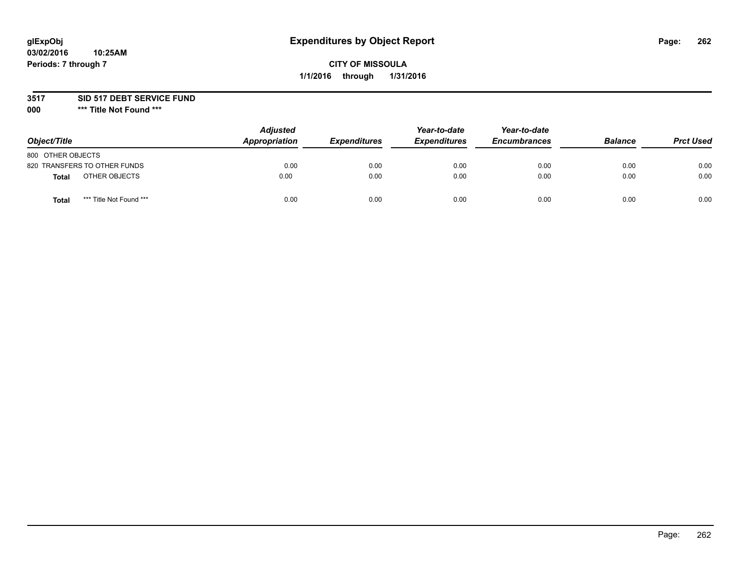### **3517 SID 517 DEBT SERVICE FUND**

**000 \*\*\* Title Not Found \*\*\***

| Object/Title                            | <b>Adjusted</b><br>Appropriation | <b>Expenditures</b> | Year-to-date<br><b>Expenditures</b> | Year-to-date<br><b>Encumbrances</b> | <b>Balance</b> | <b>Prct Used</b> |
|-----------------------------------------|----------------------------------|---------------------|-------------------------------------|-------------------------------------|----------------|------------------|
| 800 OTHER OBJECTS                       |                                  |                     |                                     |                                     |                |                  |
| 820 TRANSFERS TO OTHER FUNDS            | 0.00                             | 0.00                | 0.00                                | 0.00                                | 0.00           | 0.00             |
| OTHER OBJECTS<br><b>Total</b>           | 0.00                             | 0.00                | 0.00                                | 0.00                                | 0.00           | 0.00             |
| *** Title Not Found ***<br><b>Total</b> | 0.00                             | 0.00                | 0.00                                | 0.00                                | 0.00           | 0.00             |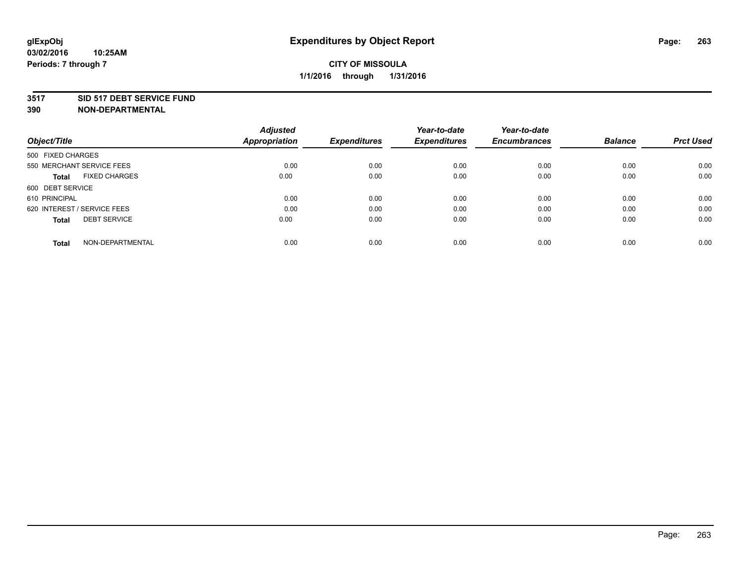#### **3517 SID 517 DEBT SERVICE FUND**

|                                      | <b>Adjusted</b>      |                     | Year-to-date        | Year-to-date        |                |                  |
|--------------------------------------|----------------------|---------------------|---------------------|---------------------|----------------|------------------|
| Object/Title                         | <b>Appropriation</b> | <b>Expenditures</b> | <b>Expenditures</b> | <b>Encumbrances</b> | <b>Balance</b> | <b>Prct Used</b> |
| 500 FIXED CHARGES                    |                      |                     |                     |                     |                |                  |
| 550 MERCHANT SERVICE FEES            | 0.00                 | 0.00                | 0.00                | 0.00                | 0.00           | 0.00             |
| <b>FIXED CHARGES</b><br><b>Total</b> | 0.00                 | 0.00                | 0.00                | 0.00                | 0.00           | 0.00             |
| 600 DEBT SERVICE                     |                      |                     |                     |                     |                |                  |
| 610 PRINCIPAL                        | 0.00                 | 0.00                | 0.00                | 0.00                | 0.00           | 0.00             |
| 620 INTEREST / SERVICE FEES          | 0.00                 | 0.00                | 0.00                | 0.00                | 0.00           | 0.00             |
| <b>DEBT SERVICE</b><br><b>Total</b>  | 0.00                 | 0.00                | 0.00                | 0.00                | 0.00           | 0.00             |
| NON-DEPARTMENTAL<br>Total            | 0.00                 | 0.00                | 0.00                | 0.00                | 0.00           | 0.00             |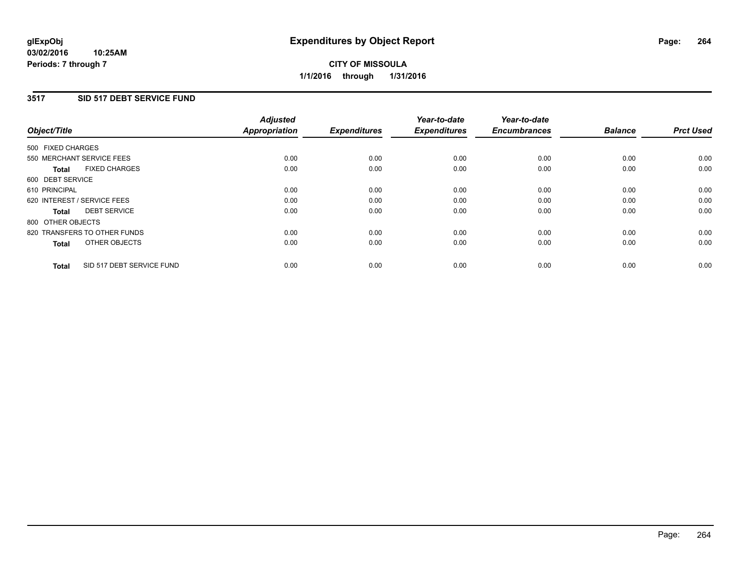#### **03/02/2016 10:25AM Periods: 7 through 7**

# **CITY OF MISSOULA 1/1/2016 through 1/31/2016**

# **3517 SID 517 DEBT SERVICE FUND**

| Object/Title                              | <b>Adjusted</b><br><b>Appropriation</b> | <b>Expenditures</b> | Year-to-date<br><b>Expenditures</b> | Year-to-date<br><b>Encumbrances</b> | <b>Balance</b> | <b>Prct Used</b> |
|-------------------------------------------|-----------------------------------------|---------------------|-------------------------------------|-------------------------------------|----------------|------------------|
|                                           |                                         |                     |                                     |                                     |                |                  |
| 500 FIXED CHARGES                         |                                         |                     |                                     |                                     |                |                  |
| 550 MERCHANT SERVICE FEES                 | 0.00                                    | 0.00                | 0.00                                | 0.00                                | 0.00           | 0.00             |
| <b>FIXED CHARGES</b><br><b>Total</b>      | 0.00                                    | 0.00                | 0.00                                | 0.00                                | 0.00           | 0.00             |
| 600 DEBT SERVICE                          |                                         |                     |                                     |                                     |                |                  |
| 610 PRINCIPAL                             | 0.00                                    | 0.00                | 0.00                                | 0.00                                | 0.00           | 0.00             |
| 620 INTEREST / SERVICE FEES               | 0.00                                    | 0.00                | 0.00                                | 0.00                                | 0.00           | 0.00             |
| <b>DEBT SERVICE</b><br><b>Total</b>       | 0.00                                    | 0.00                | 0.00                                | 0.00                                | 0.00           | 0.00             |
| 800 OTHER OBJECTS                         |                                         |                     |                                     |                                     |                |                  |
| 820 TRANSFERS TO OTHER FUNDS              | 0.00                                    | 0.00                | 0.00                                | 0.00                                | 0.00           | 0.00             |
| OTHER OBJECTS<br><b>Total</b>             | 0.00                                    | 0.00                | 0.00                                | 0.00                                | 0.00           | 0.00             |
|                                           |                                         |                     |                                     |                                     |                |                  |
| SID 517 DEBT SERVICE FUND<br><b>Total</b> | 0.00                                    | 0.00                | 0.00                                | 0.00                                | 0.00           | 0.00             |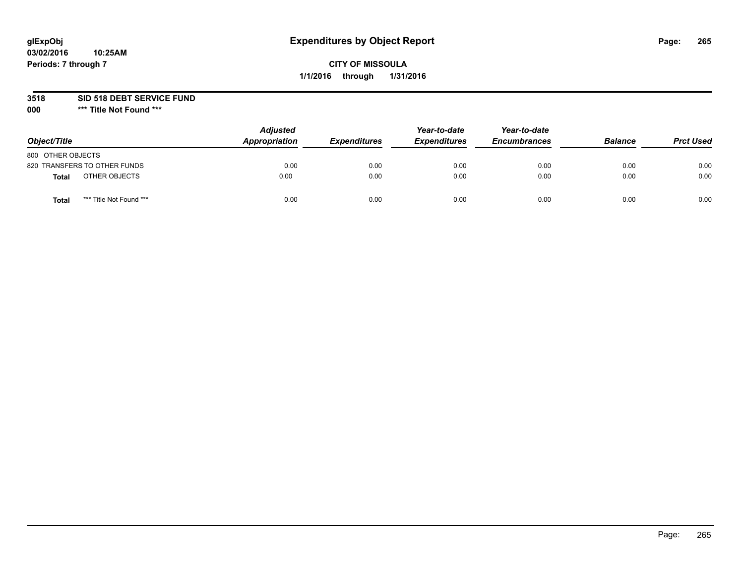### **3518 SID 518 DEBT SERVICE FUND**

**000 \*\*\* Title Not Found \*\*\***

| Object/Title                            | <b>Adjusted</b><br>Appropriation | <b>Expenditures</b> | Year-to-date<br><b>Expenditures</b> | Year-to-date<br><b>Encumbrances</b> | <b>Balance</b> | <b>Prct Used</b> |
|-----------------------------------------|----------------------------------|---------------------|-------------------------------------|-------------------------------------|----------------|------------------|
| 800 OTHER OBJECTS                       |                                  |                     |                                     |                                     |                |                  |
| 820 TRANSFERS TO OTHER FUNDS            | 0.00                             | 0.00                | 0.00                                | 0.00                                | 0.00           | 0.00             |
| OTHER OBJECTS<br><b>Total</b>           | 0.00                             | 0.00                | 0.00                                | 0.00                                | 0.00           | 0.00             |
| *** Title Not Found ***<br><b>Total</b> | 0.00                             | 0.00                | 0.00                                | 0.00                                | 0.00           | 0.00             |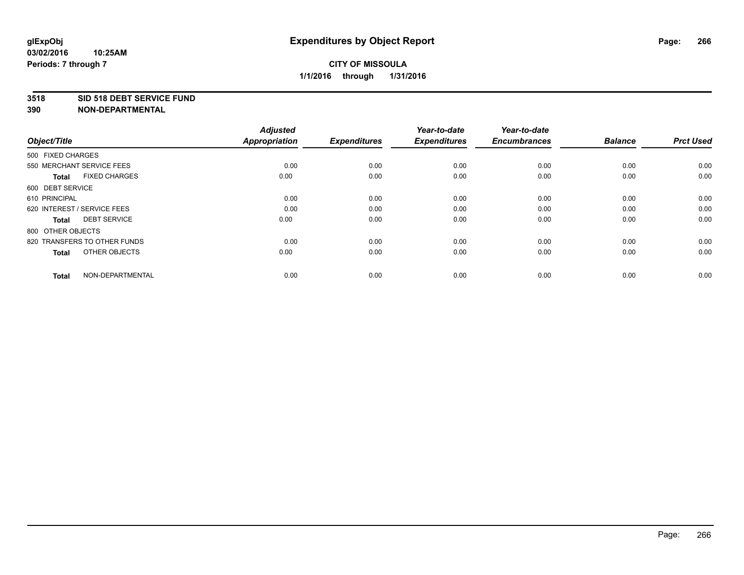#### **3518 SID 518 DEBT SERVICE FUND**

| Object/Title                         | <b>Adjusted</b><br><b>Appropriation</b> | <b>Expenditures</b> | Year-to-date<br><b>Expenditures</b> | Year-to-date<br><b>Encumbrances</b> | <b>Balance</b> | <b>Prct Used</b> |
|--------------------------------------|-----------------------------------------|---------------------|-------------------------------------|-------------------------------------|----------------|------------------|
| 500 FIXED CHARGES                    |                                         |                     |                                     |                                     |                |                  |
| 550 MERCHANT SERVICE FEES            | 0.00                                    | 0.00                | 0.00                                | 0.00                                | 0.00           | 0.00             |
| <b>FIXED CHARGES</b><br><b>Total</b> | 0.00                                    | 0.00                | 0.00                                | 0.00                                | 0.00           | 0.00             |
| 600 DEBT SERVICE                     |                                         |                     |                                     |                                     |                |                  |
| 610 PRINCIPAL                        | 0.00                                    | 0.00                | 0.00                                | 0.00                                | 0.00           | 0.00             |
| 620 INTEREST / SERVICE FEES          | 0.00                                    | 0.00                | 0.00                                | 0.00                                | 0.00           | 0.00             |
| <b>DEBT SERVICE</b><br><b>Total</b>  | 0.00                                    | 0.00                | 0.00                                | 0.00                                | 0.00           | 0.00             |
| 800 OTHER OBJECTS                    |                                         |                     |                                     |                                     |                |                  |
| 820 TRANSFERS TO OTHER FUNDS         | 0.00                                    | 0.00                | 0.00                                | 0.00                                | 0.00           | 0.00             |
| OTHER OBJECTS<br><b>Total</b>        | 0.00                                    | 0.00                | 0.00                                | 0.00                                | 0.00           | 0.00             |
|                                      |                                         |                     |                                     |                                     |                |                  |
| NON-DEPARTMENTAL<br><b>Total</b>     | 0.00                                    | 0.00                | 0.00                                | 0.00                                | 0.00           | 0.00             |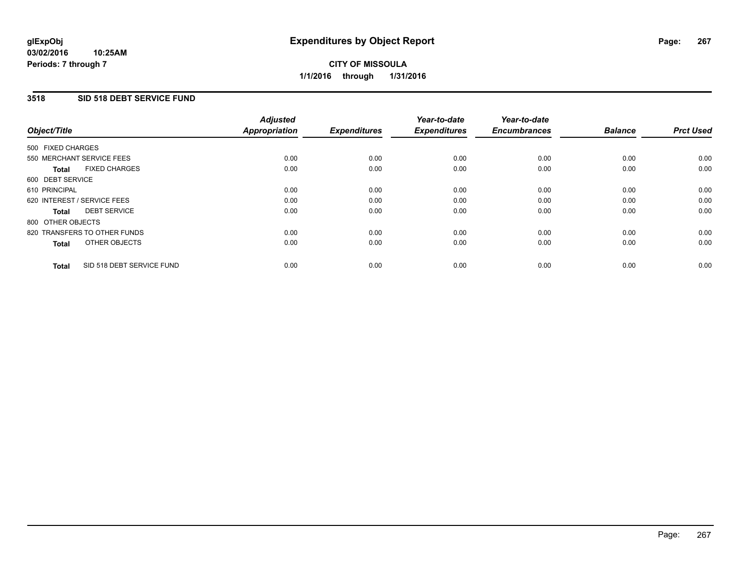#### **03/02/2016 10:25AM Periods: 7 through 7**

# **CITY OF MISSOULA 1/1/2016 through 1/31/2016**

# **3518 SID 518 DEBT SERVICE FUND**

| Object/Title                              | <b>Adjusted</b><br><b>Appropriation</b> | <b>Expenditures</b> | Year-to-date<br><b>Expenditures</b> | Year-to-date<br><b>Encumbrances</b> | <b>Balance</b> | <b>Prct Used</b> |
|-------------------------------------------|-----------------------------------------|---------------------|-------------------------------------|-------------------------------------|----------------|------------------|
|                                           |                                         |                     |                                     |                                     |                |                  |
| 500 FIXED CHARGES                         |                                         |                     |                                     |                                     |                |                  |
| 550 MERCHANT SERVICE FEES                 | 0.00                                    | 0.00                | 0.00                                | 0.00                                | 0.00           | 0.00             |
| <b>FIXED CHARGES</b><br><b>Total</b>      | 0.00                                    | 0.00                | 0.00                                | 0.00                                | 0.00           | 0.00             |
| 600 DEBT SERVICE                          |                                         |                     |                                     |                                     |                |                  |
| 610 PRINCIPAL                             | 0.00                                    | 0.00                | 0.00                                | 0.00                                | 0.00           | 0.00             |
| 620 INTEREST / SERVICE FEES               | 0.00                                    | 0.00                | 0.00                                | 0.00                                | 0.00           | 0.00             |
| <b>DEBT SERVICE</b><br><b>Total</b>       | 0.00                                    | 0.00                | 0.00                                | 0.00                                | 0.00           | 0.00             |
| 800 OTHER OBJECTS                         |                                         |                     |                                     |                                     |                |                  |
| 820 TRANSFERS TO OTHER FUNDS              | 0.00                                    | 0.00                | 0.00                                | 0.00                                | 0.00           | 0.00             |
| OTHER OBJECTS<br><b>Total</b>             | 0.00                                    | 0.00                | 0.00                                | 0.00                                | 0.00           | 0.00             |
|                                           |                                         |                     |                                     |                                     |                |                  |
| SID 518 DEBT SERVICE FUND<br><b>Total</b> | 0.00                                    | 0.00                | 0.00                                | 0.00                                | 0.00           | 0.00             |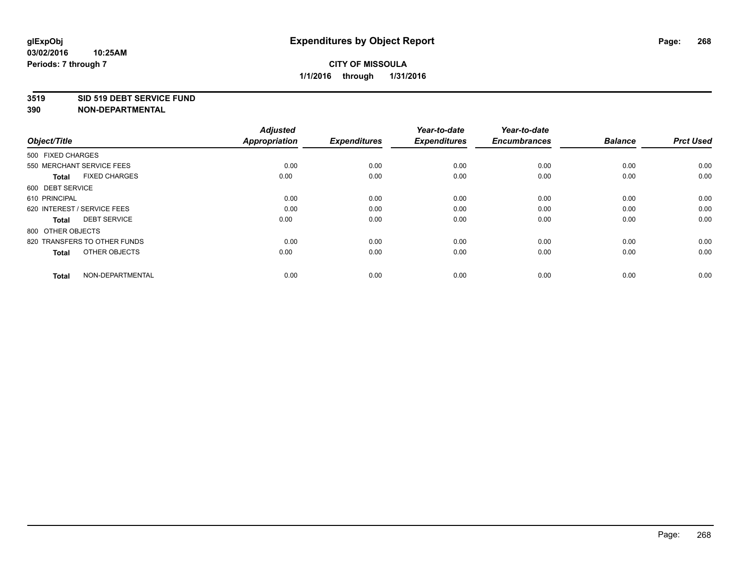#### **3519 SID 519 DEBT SERVICE FUND**

| Object/Title                         | <b>Adjusted</b><br>Appropriation | <b>Expenditures</b> | Year-to-date<br><b>Expenditures</b> | Year-to-date<br><b>Encumbrances</b> | <b>Balance</b> | <b>Prct Used</b> |
|--------------------------------------|----------------------------------|---------------------|-------------------------------------|-------------------------------------|----------------|------------------|
| 500 FIXED CHARGES                    |                                  |                     |                                     |                                     |                |                  |
| 550 MERCHANT SERVICE FEES            | 0.00                             | 0.00                | 0.00                                | 0.00                                | 0.00           | 0.00             |
| <b>FIXED CHARGES</b><br><b>Total</b> | 0.00                             | 0.00                | 0.00                                | 0.00                                | 0.00           | 0.00             |
| 600 DEBT SERVICE                     |                                  |                     |                                     |                                     |                |                  |
| 610 PRINCIPAL                        | 0.00                             | 0.00                | 0.00                                | 0.00                                | 0.00           | 0.00             |
| 620 INTEREST / SERVICE FEES          | 0.00                             | 0.00                | 0.00                                | 0.00                                | 0.00           | 0.00             |
| <b>DEBT SERVICE</b><br><b>Total</b>  | 0.00                             | 0.00                | 0.00                                | 0.00                                | 0.00           | 0.00             |
| 800 OTHER OBJECTS                    |                                  |                     |                                     |                                     |                |                  |
| 820 TRANSFERS TO OTHER FUNDS         | 0.00                             | 0.00                | 0.00                                | 0.00                                | 0.00           | 0.00             |
| OTHER OBJECTS<br><b>Total</b>        | 0.00                             | 0.00                | 0.00                                | 0.00                                | 0.00           | 0.00             |
|                                      |                                  |                     |                                     |                                     |                |                  |
| NON-DEPARTMENTAL<br><b>Total</b>     | 0.00                             | 0.00                | 0.00                                | 0.00                                | 0.00           | 0.00             |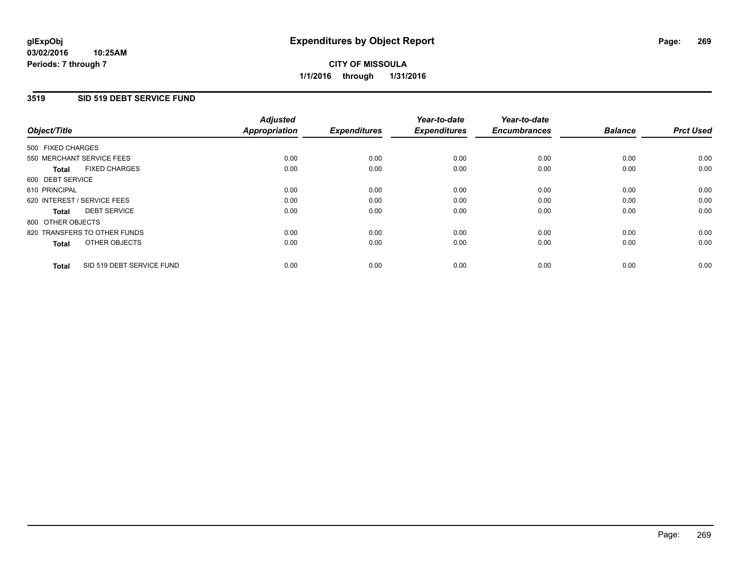#### **03/02/2016 10:25AM Periods: 7 through 7**

# **CITY OF MISSOULA 1/1/2016 through 1/31/2016**

## **3519 SID 519 DEBT SERVICE FUND**

| Object/Title                              | <b>Adjusted</b><br><b>Appropriation</b> | <b>Expenditures</b> | Year-to-date<br><b>Expenditures</b> | Year-to-date<br><b>Encumbrances</b> | <b>Balance</b> | <b>Prct Used</b> |
|-------------------------------------------|-----------------------------------------|---------------------|-------------------------------------|-------------------------------------|----------------|------------------|
|                                           |                                         |                     |                                     |                                     |                |                  |
| 500 FIXED CHARGES                         |                                         |                     |                                     |                                     |                |                  |
| 550 MERCHANT SERVICE FEES                 | 0.00                                    | 0.00                | 0.00                                | 0.00                                | 0.00           | 0.00             |
| <b>FIXED CHARGES</b><br><b>Total</b>      | 0.00                                    | 0.00                | 0.00                                | 0.00                                | 0.00           | 0.00             |
| 600 DEBT SERVICE                          |                                         |                     |                                     |                                     |                |                  |
| 610 PRINCIPAL                             | 0.00                                    | 0.00                | 0.00                                | 0.00                                | 0.00           | 0.00             |
| 620 INTEREST / SERVICE FEES               | 0.00                                    | 0.00                | 0.00                                | 0.00                                | 0.00           | 0.00             |
| <b>DEBT SERVICE</b><br><b>Total</b>       | 0.00                                    | 0.00                | 0.00                                | 0.00                                | 0.00           | 0.00             |
| 800 OTHER OBJECTS                         |                                         |                     |                                     |                                     |                |                  |
| 820 TRANSFERS TO OTHER FUNDS              | 0.00                                    | 0.00                | 0.00                                | 0.00                                | 0.00           | 0.00             |
| OTHER OBJECTS<br><b>Total</b>             | 0.00                                    | 0.00                | 0.00                                | 0.00                                | 0.00           | 0.00             |
|                                           |                                         |                     |                                     |                                     |                |                  |
| SID 519 DEBT SERVICE FUND<br><b>Total</b> | 0.00                                    | 0.00                | 0.00                                | 0.00                                | 0.00           | 0.00             |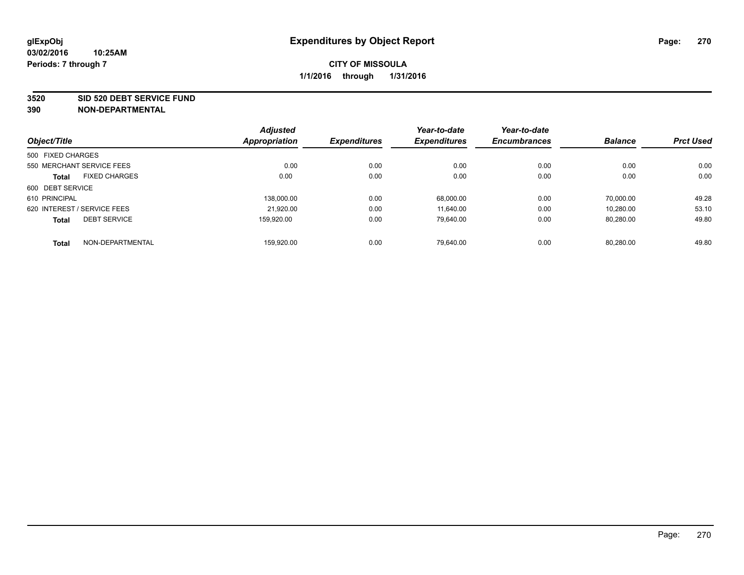**3520 SID 520 DEBT SERVICE FUND**

|                                      |                  | <b>Adjusted</b> |                     | Year-to-date        | Year-to-date        |                |                  |
|--------------------------------------|------------------|-----------------|---------------------|---------------------|---------------------|----------------|------------------|
| Object/Title                         |                  | Appropriation   | <b>Expenditures</b> | <b>Expenditures</b> | <b>Encumbrances</b> | <b>Balance</b> | <b>Prct Used</b> |
| 500 FIXED CHARGES                    |                  |                 |                     |                     |                     |                |                  |
| 550 MERCHANT SERVICE FEES            |                  | 0.00            | 0.00                | 0.00                | 0.00                | 0.00           | 0.00             |
| <b>FIXED CHARGES</b><br><b>Total</b> |                  | 0.00            | 0.00                | 0.00                | 0.00                | 0.00           | 0.00             |
| 600 DEBT SERVICE                     |                  |                 |                     |                     |                     |                |                  |
| 610 PRINCIPAL                        |                  | 138,000.00      | 0.00                | 68,000.00           | 0.00                | 70.000.00      | 49.28            |
| 620 INTEREST / SERVICE FEES          |                  | 21.920.00       | 0.00                | 11.640.00           | 0.00                | 10.280.00      | 53.10            |
| <b>DEBT SERVICE</b><br><b>Total</b>  |                  | 159.920.00      | 0.00                | 79.640.00           | 0.00                | 80,280.00      | 49.80            |
| <b>Total</b>                         | NON-DEPARTMENTAL | 159.920.00      | 0.00                | 79.640.00           | 0.00                | 80.280.00      | 49.80            |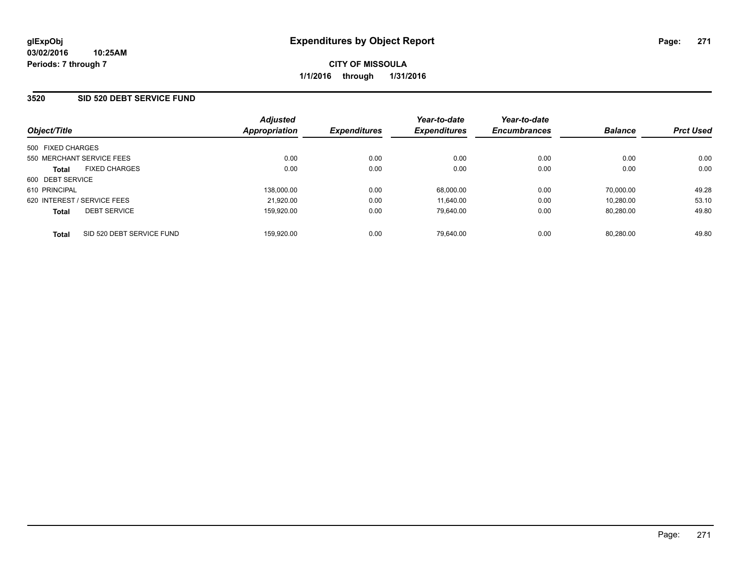### **3520 SID 520 DEBT SERVICE FUND**

| Object/Title                              | <b>Adjusted</b><br>Appropriation | <b>Expenditures</b> | Year-to-date<br><b>Expenditures</b> | Year-to-date<br><b>Encumbrances</b> | <b>Balance</b> | <b>Prct Used</b> |
|-------------------------------------------|----------------------------------|---------------------|-------------------------------------|-------------------------------------|----------------|------------------|
| 500 FIXED CHARGES                         |                                  |                     |                                     |                                     |                |                  |
| 550 MERCHANT SERVICE FEES                 | 0.00                             | 0.00                | 0.00                                | 0.00                                | 0.00           | 0.00             |
| <b>FIXED CHARGES</b><br><b>Total</b>      | 0.00                             | 0.00                | 0.00                                | 0.00                                | 0.00           | 0.00             |
| 600 DEBT SERVICE                          |                                  |                     |                                     |                                     |                |                  |
| 610 PRINCIPAL                             | 138.000.00                       | 0.00                | 68.000.00                           | 0.00                                | 70.000.00      | 49.28            |
| 620 INTEREST / SERVICE FEES               | 21,920.00                        | 0.00                | 11.640.00                           | 0.00                                | 10.280.00      | 53.10            |
| <b>DEBT SERVICE</b><br><b>Total</b>       | 159,920.00                       | 0.00                | 79.640.00                           | 0.00                                | 80.280.00      | 49.80            |
| SID 520 DEBT SERVICE FUND<br><b>Total</b> | 159.920.00                       | 0.00                | 79.640.00                           | 0.00                                | 80.280.00      | 49.80            |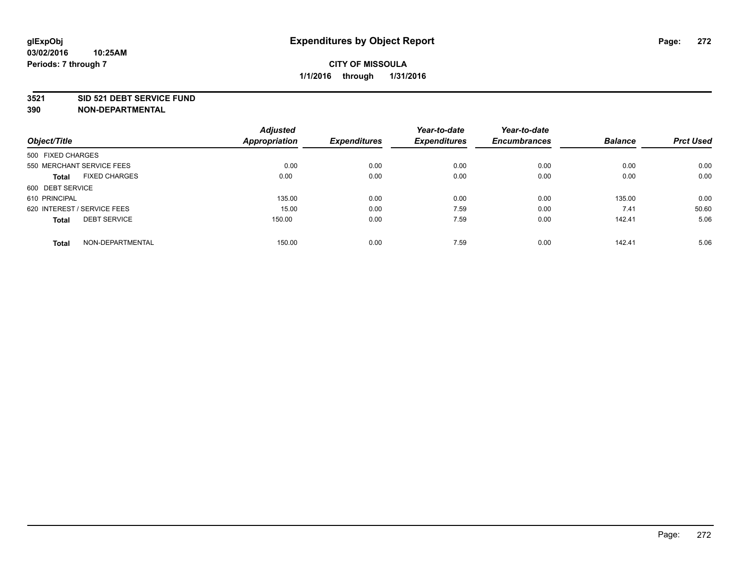#### **3521 SID 521 DEBT SERVICE FUND**

|                                      | <b>Adjusted</b>      |                     | Year-to-date        | Year-to-date        |                |                  |
|--------------------------------------|----------------------|---------------------|---------------------|---------------------|----------------|------------------|
| Object/Title                         | <b>Appropriation</b> | <b>Expenditures</b> | <b>Expenditures</b> | <b>Encumbrances</b> | <b>Balance</b> | <b>Prct Used</b> |
| 500 FIXED CHARGES                    |                      |                     |                     |                     |                |                  |
| 550 MERCHANT SERVICE FEES            | 0.00                 | 0.00                | 0.00                | 0.00                | 0.00           | 0.00             |
| <b>FIXED CHARGES</b><br><b>Total</b> | 0.00                 | 0.00                | 0.00                | 0.00                | 0.00           | 0.00             |
| 600 DEBT SERVICE                     |                      |                     |                     |                     |                |                  |
| 610 PRINCIPAL                        | 135.00               | 0.00                | 0.00                | 0.00                | 135.00         | 0.00             |
| 620 INTEREST / SERVICE FEES          | 15.00                | 0.00                | 7.59                | 0.00                | 7.41           | 50.60            |
| <b>DEBT SERVICE</b><br><b>Total</b>  | 150.00               | 0.00                | 7.59                | 0.00                | 142.41         | 5.06             |
| NON-DEPARTMENTAL<br><b>Total</b>     | 150.00               | 0.00                | 7.59                | 0.00                | 142.41         | 5.06             |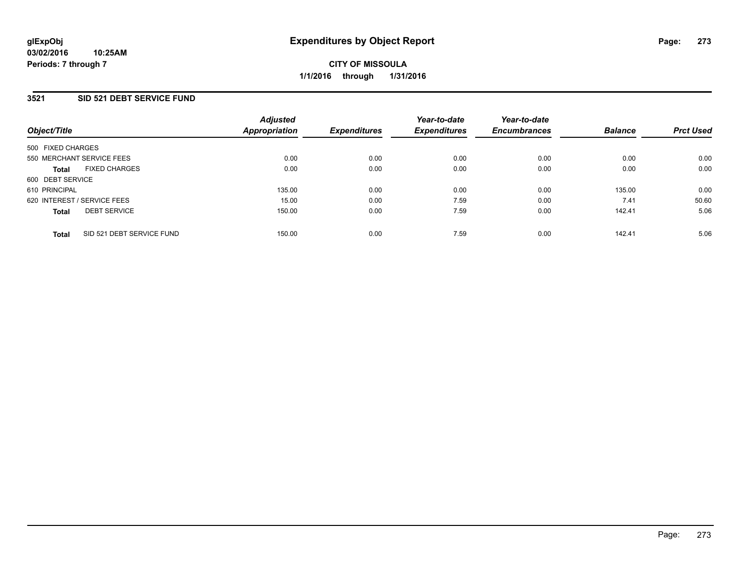## **3521 SID 521 DEBT SERVICE FUND**

| Object/Title                              | <b>Adjusted</b><br><b>Appropriation</b> | <b>Expenditures</b> | Year-to-date<br><b>Expenditures</b> | Year-to-date<br><b>Encumbrances</b> | <b>Balance</b> | <b>Prct Used</b> |
|-------------------------------------------|-----------------------------------------|---------------------|-------------------------------------|-------------------------------------|----------------|------------------|
| 500 FIXED CHARGES                         |                                         |                     |                                     |                                     |                |                  |
| 550 MERCHANT SERVICE FEES                 | 0.00                                    | 0.00                | 0.00                                | 0.00                                | 0.00           | 0.00             |
| <b>FIXED CHARGES</b><br><b>Total</b>      | 0.00                                    | 0.00                | 0.00                                | 0.00                                | 0.00           | 0.00             |
| 600 DEBT SERVICE                          |                                         |                     |                                     |                                     |                |                  |
| 610 PRINCIPAL                             | 135.00                                  | 0.00                | 0.00                                | 0.00                                | 135.00         | 0.00             |
| 620 INTEREST / SERVICE FEES               | 15.00                                   | 0.00                | 7.59                                | 0.00                                | 7.41           | 50.60            |
| <b>DEBT SERVICE</b><br><b>Total</b>       | 150.00                                  | 0.00                | 7.59                                | 0.00                                | 142.41         | 5.06             |
| SID 521 DEBT SERVICE FUND<br><b>Total</b> | 150.00                                  | 0.00                | 7.59                                | 0.00                                | 142.41         | 5.06             |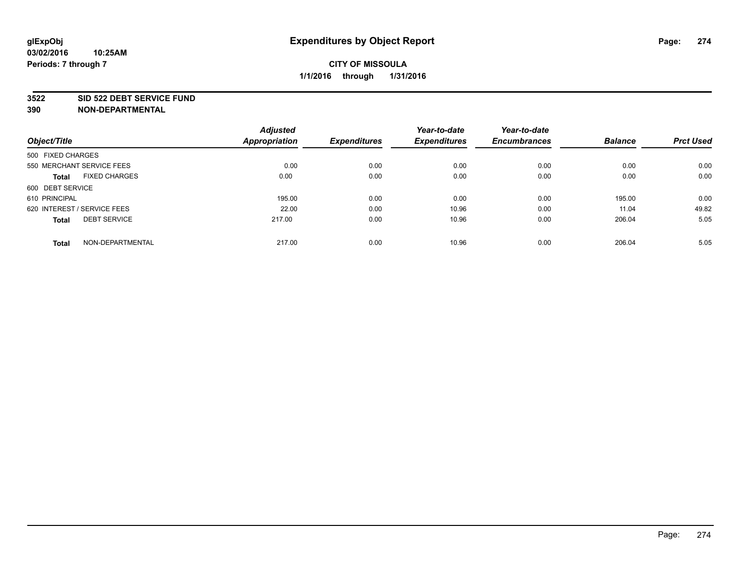#### **3522 SID 522 DEBT SERVICE FUND**

|                                      | <b>Adjusted</b>      |                     | Year-to-date        | Year-to-date        |                |                  |
|--------------------------------------|----------------------|---------------------|---------------------|---------------------|----------------|------------------|
| Object/Title                         | <b>Appropriation</b> | <b>Expenditures</b> | <b>Expenditures</b> | <b>Encumbrances</b> | <b>Balance</b> | <b>Prct Used</b> |
| 500 FIXED CHARGES                    |                      |                     |                     |                     |                |                  |
| 550 MERCHANT SERVICE FEES            | 0.00                 | 0.00                | 0.00                | 0.00                | 0.00           | 0.00             |
| <b>FIXED CHARGES</b><br><b>Total</b> | 0.00                 | 0.00                | 0.00                | 0.00                | 0.00           | 0.00             |
| 600 DEBT SERVICE                     |                      |                     |                     |                     |                |                  |
| 610 PRINCIPAL                        | 195.00               | 0.00                | 0.00                | 0.00                | 195.00         | 0.00             |
| 620 INTEREST / SERVICE FEES          | 22.00                | 0.00                | 10.96               | 0.00                | 11.04          | 49.82            |
| <b>DEBT SERVICE</b><br><b>Total</b>  | 217.00               | 0.00                | 10.96               | 0.00                | 206.04         | 5.05             |
| NON-DEPARTMENTAL<br><b>Total</b>     | 217.00               | 0.00                | 10.96               | 0.00                | 206.04         | 5.05             |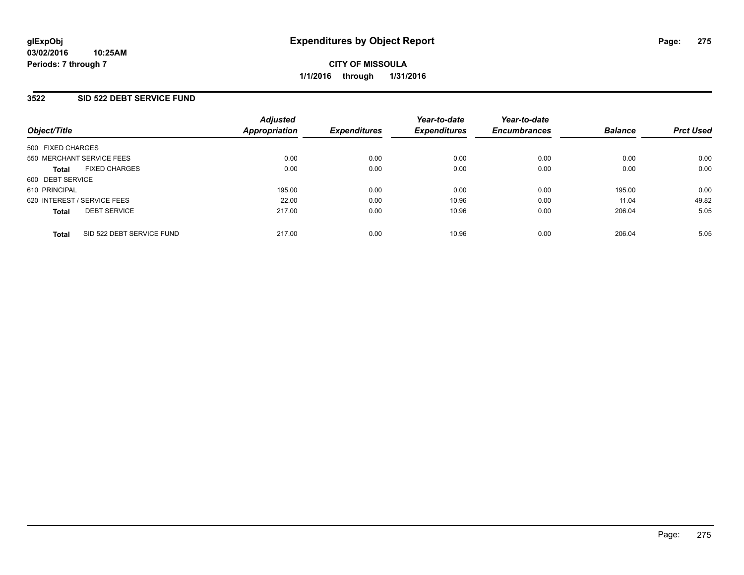### **3522 SID 522 DEBT SERVICE FUND**

| Object/Title                              | <b>Adjusted</b><br>Appropriation | <b>Expenditures</b> | Year-to-date<br><b>Expenditures</b> | Year-to-date<br><b>Encumbrances</b> | <b>Balance</b> | <b>Prct Used</b> |
|-------------------------------------------|----------------------------------|---------------------|-------------------------------------|-------------------------------------|----------------|------------------|
| 500 FIXED CHARGES                         |                                  |                     |                                     |                                     |                |                  |
| 550 MERCHANT SERVICE FEES                 | 0.00                             | 0.00                | 0.00                                | 0.00                                | 0.00           | 0.00             |
| <b>FIXED CHARGES</b><br><b>Total</b>      | 0.00                             | 0.00                | 0.00                                | 0.00                                | 0.00           | 0.00             |
| 600 DEBT SERVICE                          |                                  |                     |                                     |                                     |                |                  |
| 610 PRINCIPAL                             | 195.00                           | 0.00                | 0.00                                | 0.00                                | 195.00         | 0.00             |
| 620 INTEREST / SERVICE FEES               | 22.00                            | 0.00                | 10.96                               | 0.00                                | 11.04          | 49.82            |
| <b>DEBT SERVICE</b><br><b>Total</b>       | 217.00                           | 0.00                | 10.96                               | 0.00                                | 206.04         | 5.05             |
| SID 522 DEBT SERVICE FUND<br><b>Total</b> | 217.00                           | 0.00                | 10.96                               | 0.00                                | 206.04         | 5.05             |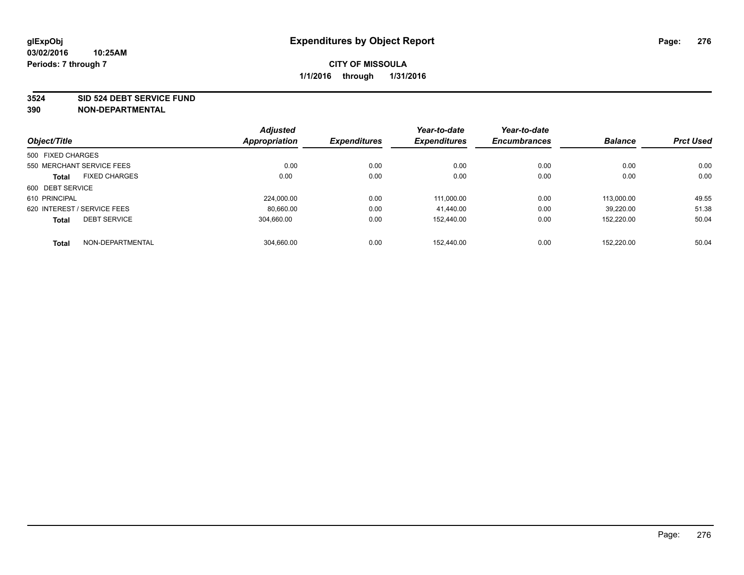#### **3524 SID 524 DEBT SERVICE FUND**

| Object/Title                |                           | <b>Adjusted</b><br>Appropriation | <b>Expenditures</b> | Year-to-date<br><b>Expenditures</b> | Year-to-date<br><b>Encumbrances</b> | <b>Balance</b> | <b>Prct Used</b> |
|-----------------------------|---------------------------|----------------------------------|---------------------|-------------------------------------|-------------------------------------|----------------|------------------|
|                             |                           |                                  |                     |                                     |                                     |                |                  |
| 500 FIXED CHARGES           |                           |                                  |                     |                                     |                                     |                |                  |
|                             | 550 MERCHANT SERVICE FEES | 0.00                             | 0.00                | 0.00                                | 0.00                                | 0.00           | 0.00             |
| <b>Total</b>                | <b>FIXED CHARGES</b>      | 0.00                             | 0.00                | 0.00                                | 0.00                                | 0.00           | 0.00             |
| 600 DEBT SERVICE            |                           |                                  |                     |                                     |                                     |                |                  |
| 610 PRINCIPAL               |                           | 224.000.00                       | 0.00                | 111.000.00                          | 0.00                                | 113.000.00     | 49.55            |
| 620 INTEREST / SERVICE FEES |                           | 80,660.00                        | 0.00                | 41.440.00                           | 0.00                                | 39.220.00      | 51.38            |
| <b>Total</b>                | <b>DEBT SERVICE</b>       | 304.660.00                       | 0.00                | 152.440.00                          | 0.00                                | 152,220.00     | 50.04            |
| <b>Total</b>                | NON-DEPARTMENTAL          | 304,660.00                       | 0.00                | 152.440.00                          | 0.00                                | 152.220.00     | 50.04            |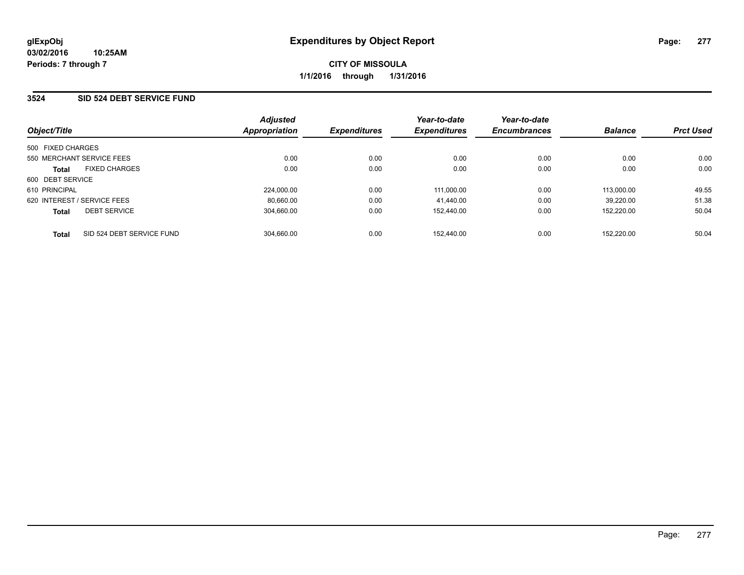### **3524 SID 524 DEBT SERVICE FUND**

| Object/Title                              | <b>Adjusted</b><br><b>Appropriation</b> | <b>Expenditures</b> | Year-to-date<br><b>Expenditures</b> | Year-to-date<br><b>Encumbrances</b> | <b>Balance</b> | <b>Prct Used</b> |
|-------------------------------------------|-----------------------------------------|---------------------|-------------------------------------|-------------------------------------|----------------|------------------|
| 500 FIXED CHARGES                         |                                         |                     |                                     |                                     |                |                  |
| 550 MERCHANT SERVICE FEES                 | 0.00                                    | 0.00                | 0.00                                | 0.00                                | 0.00           | 0.00             |
| <b>FIXED CHARGES</b><br><b>Total</b>      | 0.00                                    | 0.00                | 0.00                                | 0.00                                | 0.00           | 0.00             |
| 600 DEBT SERVICE                          |                                         |                     |                                     |                                     |                |                  |
| 610 PRINCIPAL                             | 224.000.00                              | 0.00                | 111.000.00                          | 0.00                                | 113.000.00     | 49.55            |
| 620 INTEREST / SERVICE FEES               | 80.660.00                               | 0.00                | 41.440.00                           | 0.00                                | 39.220.00      | 51.38            |
| <b>DEBT SERVICE</b><br><b>Total</b>       | 304.660.00                              | 0.00                | 152.440.00                          | 0.00                                | 152.220.00     | 50.04            |
| SID 524 DEBT SERVICE FUND<br><b>Total</b> | 304.660.00                              | 0.00                | 152.440.00                          | 0.00                                | 152.220.00     | 50.04            |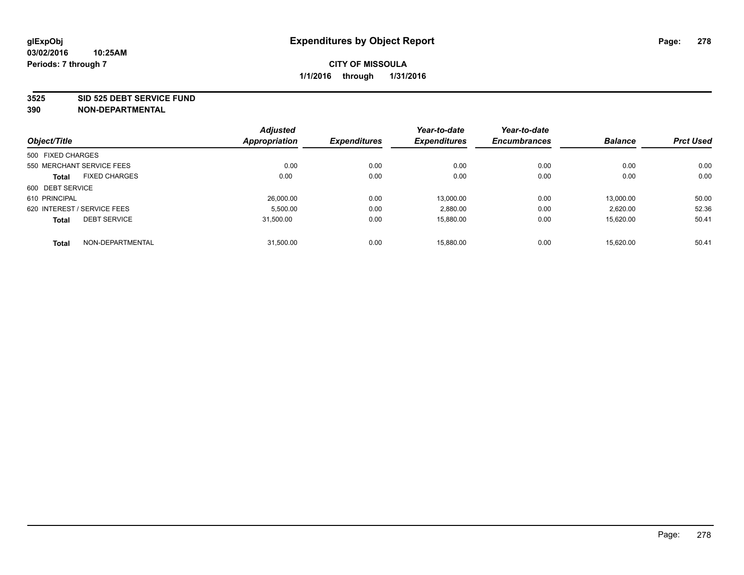#### **3525 SID 525 DEBT SERVICE FUND**

|                                      | <b>Adjusted</b>      |                     | Year-to-date        | Year-to-date        |                |                  |
|--------------------------------------|----------------------|---------------------|---------------------|---------------------|----------------|------------------|
| Object/Title                         | <b>Appropriation</b> | <b>Expenditures</b> | <b>Expenditures</b> | <b>Encumbrances</b> | <b>Balance</b> | <b>Prct Used</b> |
| 500 FIXED CHARGES                    |                      |                     |                     |                     |                |                  |
| 550 MERCHANT SERVICE FEES            | 0.00                 | 0.00                | 0.00                | 0.00                | 0.00           | 0.00             |
| <b>FIXED CHARGES</b><br><b>Total</b> | 0.00                 | 0.00                | 0.00                | 0.00                | 0.00           | 0.00             |
| 600 DEBT SERVICE                     |                      |                     |                     |                     |                |                  |
| 610 PRINCIPAL                        | 26.000.00            | 0.00                | 13.000.00           | 0.00                | 13.000.00      | 50.00            |
| 620 INTEREST / SERVICE FEES          | 5,500.00             | 0.00                | 2,880.00            | 0.00                | 2,620.00       | 52.36            |
| <b>DEBT SERVICE</b><br><b>Total</b>  | 31.500.00            | 0.00                | 15,880.00           | 0.00                | 15.620.00      | 50.41            |
| NON-DEPARTMENTAL<br><b>Total</b>     | 31,500.00            | 0.00                | 15.880.00           | 0.00                | 15.620.00      | 50.41            |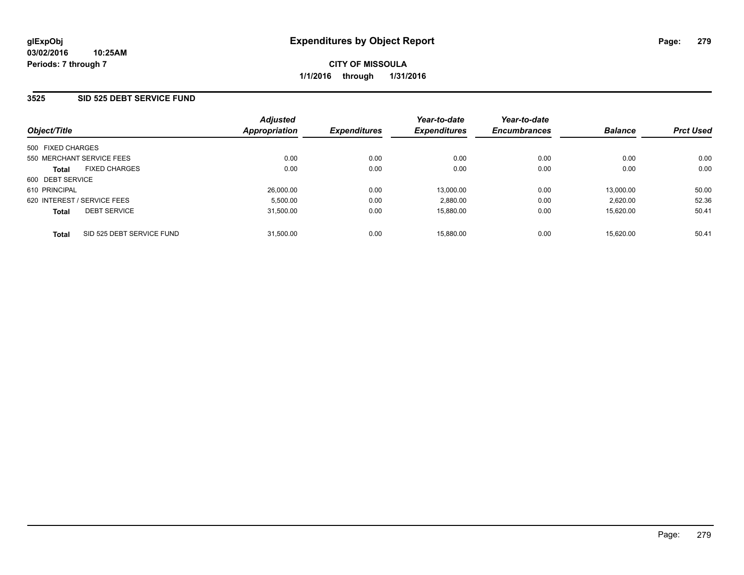### **3525 SID 525 DEBT SERVICE FUND**

| Object/Title                              | <b>Adjusted</b><br>Appropriation | <b>Expenditures</b> | Year-to-date<br><b>Expenditures</b> | Year-to-date<br><b>Encumbrances</b> | <b>Balance</b> | <b>Prct Used</b> |
|-------------------------------------------|----------------------------------|---------------------|-------------------------------------|-------------------------------------|----------------|------------------|
| 500 FIXED CHARGES                         |                                  |                     |                                     |                                     |                |                  |
| 550 MERCHANT SERVICE FEES                 | 0.00                             | 0.00                | 0.00                                | 0.00                                | 0.00           | 0.00             |
| <b>FIXED CHARGES</b><br><b>Total</b>      | 0.00                             | 0.00                | 0.00                                | 0.00                                | 0.00           | 0.00             |
| 600 DEBT SERVICE                          |                                  |                     |                                     |                                     |                |                  |
| 610 PRINCIPAL                             | 26.000.00                        | 0.00                | 13.000.00                           | 0.00                                | 13.000.00      | 50.00            |
| 620 INTEREST / SERVICE FEES               | 5.500.00                         | 0.00                | 2,880.00                            | 0.00                                | 2.620.00       | 52.36            |
| <b>DEBT SERVICE</b><br><b>Total</b>       | 31,500.00                        | 0.00                | 15,880.00                           | 0.00                                | 15.620.00      | 50.41            |
| SID 525 DEBT SERVICE FUND<br><b>Total</b> | 31.500.00                        | 0.00                | 15.880.00                           | 0.00                                | 15.620.00      | 50.41            |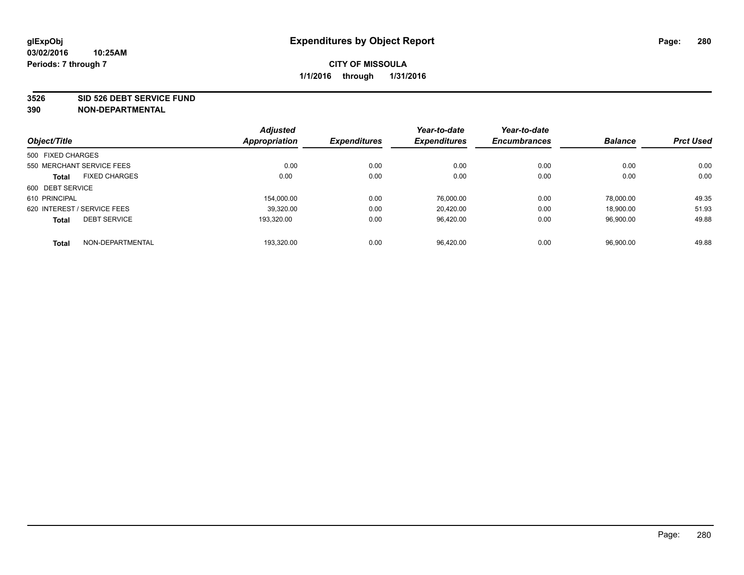#### **3526 SID 526 DEBT SERVICE FUND**

|                                      | <b>Adjusted</b>      |                     | Year-to-date        | Year-to-date        |                |                  |
|--------------------------------------|----------------------|---------------------|---------------------|---------------------|----------------|------------------|
| Object/Title                         | <b>Appropriation</b> | <b>Expenditures</b> | <b>Expenditures</b> | <b>Encumbrances</b> | <b>Balance</b> | <b>Prct Used</b> |
| 500 FIXED CHARGES                    |                      |                     |                     |                     |                |                  |
| 550 MERCHANT SERVICE FEES            | 0.00                 | 0.00                | 0.00                | 0.00                | 0.00           | 0.00             |
| <b>FIXED CHARGES</b><br><b>Total</b> | 0.00                 | 0.00                | 0.00                | 0.00                | 0.00           | 0.00             |
| 600 DEBT SERVICE                     |                      |                     |                     |                     |                |                  |
| 610 PRINCIPAL                        | 154.000.00           | 0.00                | 76.000.00           | 0.00                | 78.000.00      | 49.35            |
| 620 INTEREST / SERVICE FEES          | 39,320.00            | 0.00                | 20.420.00           | 0.00                | 18.900.00      | 51.93            |
| <b>DEBT SERVICE</b><br><b>Total</b>  | 193.320.00           | 0.00                | 96.420.00           | 0.00                | 96.900.00      | 49.88            |
| NON-DEPARTMENTAL<br><b>Total</b>     | 193.320.00           | 0.00                | 96.420.00           | 0.00                | 96.900.00      | 49.88            |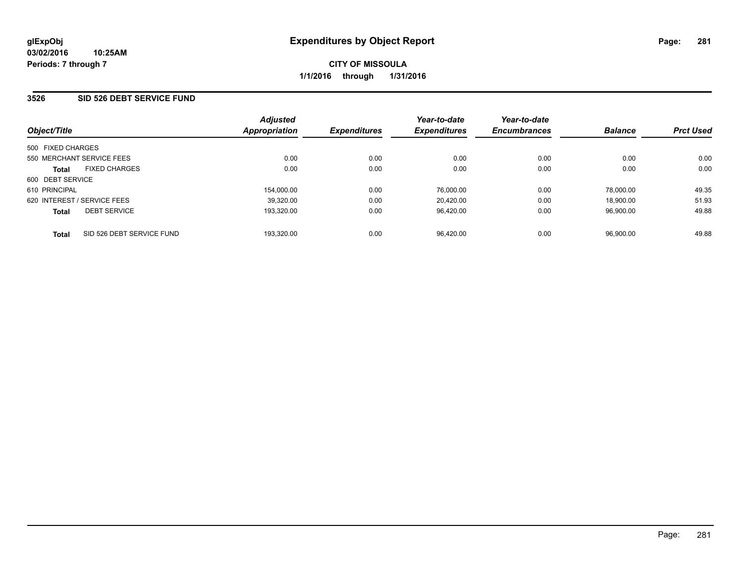### **3526 SID 526 DEBT SERVICE FUND**

| Object/Title                              | <b>Adjusted</b><br><b>Appropriation</b> | <b>Expenditures</b> | Year-to-date<br><b>Expenditures</b> | Year-to-date<br><b>Encumbrances</b> | <b>Balance</b> | <b>Prct Used</b> |
|-------------------------------------------|-----------------------------------------|---------------------|-------------------------------------|-------------------------------------|----------------|------------------|
| 500 FIXED CHARGES                         |                                         |                     |                                     |                                     |                |                  |
| 550 MERCHANT SERVICE FEES                 | 0.00                                    | 0.00                | 0.00                                | 0.00                                | 0.00           | 0.00             |
| <b>FIXED CHARGES</b><br><b>Total</b>      | 0.00                                    | 0.00                | 0.00                                | 0.00                                | 0.00           | 0.00             |
| 600 DEBT SERVICE                          |                                         |                     |                                     |                                     |                |                  |
| 610 PRINCIPAL                             | 154.000.00                              | 0.00                | 76.000.00                           | 0.00                                | 78.000.00      | 49.35            |
| 620 INTEREST / SERVICE FEES               | 39.320.00                               | 0.00                | 20.420.00                           | 0.00                                | 18.900.00      | 51.93            |
| <b>DEBT SERVICE</b><br><b>Total</b>       | 193.320.00                              | 0.00                | 96.420.00                           | 0.00                                | 96.900.00      | 49.88            |
| SID 526 DEBT SERVICE FUND<br><b>Total</b> | 193.320.00                              | 0.00                | 96.420.00                           | 0.00                                | 96.900.00      | 49.88            |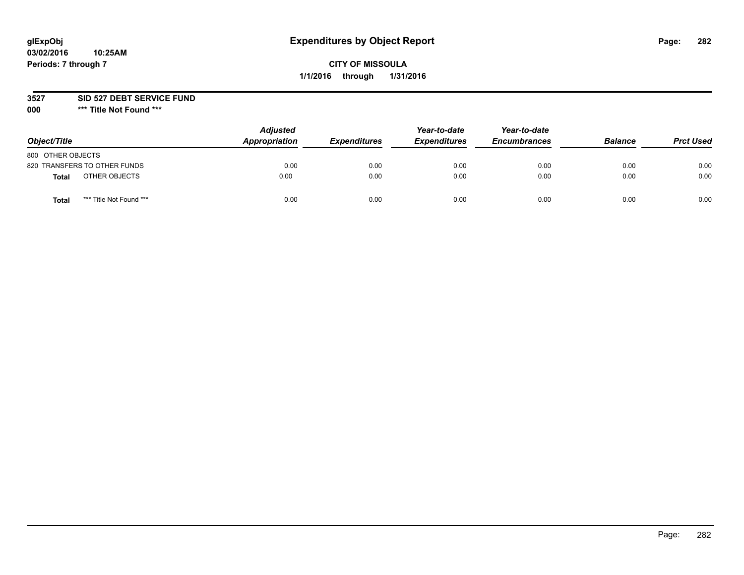# **glExpObj Expenditures by Object Report Page: 282**

# **CITY OF MISSOULA 1/1/2016 through 1/31/2016**

### **3527 SID 527 DEBT SERVICE FUND**

**000 \*\*\* Title Not Found \*\*\***

| Object/Title                     | <b>Adjusted</b><br>Appropriation | <b>Expenditures</b> | Year-to-date<br><b>Expenditures</b> | Year-to-date<br><b>Encumbrances</b> | <b>Balance</b> | <b>Prct Used</b> |
|----------------------------------|----------------------------------|---------------------|-------------------------------------|-------------------------------------|----------------|------------------|
| 800 OTHER OBJECTS                |                                  |                     |                                     |                                     |                |                  |
| 820 TRANSFERS TO OTHER FUNDS     | 0.00                             | 0.00                | 0.00                                | 0.00                                | 0.00           | 0.00             |
| OTHER OBJECTS<br><b>Total</b>    | 0.00                             | 0.00                | 0.00                                | 0.00                                | 0.00           | 0.00             |
| *** Title Not Found ***<br>Total | 0.00                             | 0.00                | 0.00                                | 0.00                                | 0.00           | 0.00             |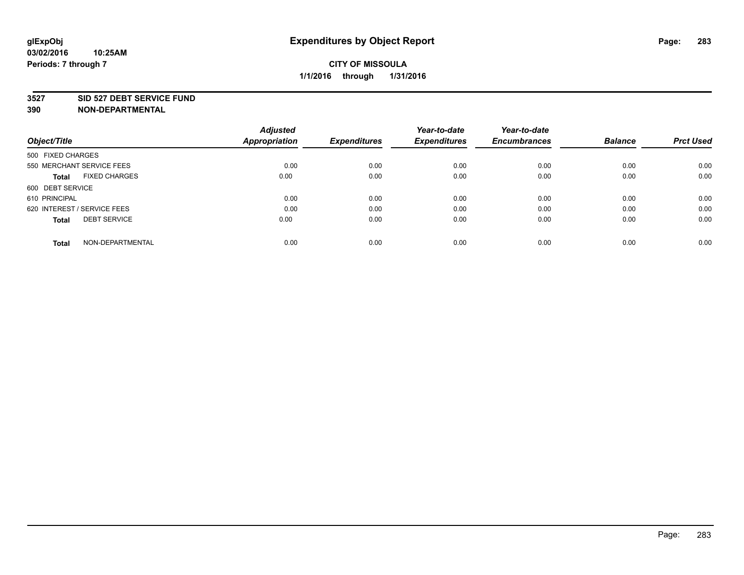#### **3527 SID 527 DEBT SERVICE FUND**

| Object/Title                         | <b>Adjusted</b><br><b>Appropriation</b> | <b>Expenditures</b> | Year-to-date<br><b>Expenditures</b> | Year-to-date<br><b>Encumbrances</b> | <b>Balance</b> | <b>Prct Used</b> |
|--------------------------------------|-----------------------------------------|---------------------|-------------------------------------|-------------------------------------|----------------|------------------|
|                                      |                                         |                     |                                     |                                     |                |                  |
| 500 FIXED CHARGES                    |                                         |                     |                                     |                                     |                |                  |
| 550 MERCHANT SERVICE FEES            | 0.00                                    | 0.00                | 0.00                                | 0.00                                | 0.00           | 0.00             |
| <b>FIXED CHARGES</b><br><b>Total</b> | 0.00                                    | 0.00                | 0.00                                | 0.00                                | 0.00           | 0.00             |
| 600 DEBT SERVICE                     |                                         |                     |                                     |                                     |                |                  |
| 610 PRINCIPAL                        | 0.00                                    | 0.00                | 0.00                                | 0.00                                | 0.00           | 0.00             |
| 620 INTEREST / SERVICE FEES          | 0.00                                    | 0.00                | 0.00                                | 0.00                                | 0.00           | 0.00             |
| <b>DEBT SERVICE</b><br><b>Total</b>  | 0.00                                    | 0.00                | 0.00                                | 0.00                                | 0.00           | 0.00             |
|                                      |                                         |                     |                                     |                                     |                |                  |
| NON-DEPARTMENTAL<br><b>Total</b>     | 0.00                                    | 0.00                | 0.00                                | 0.00                                | 0.00           | 0.00             |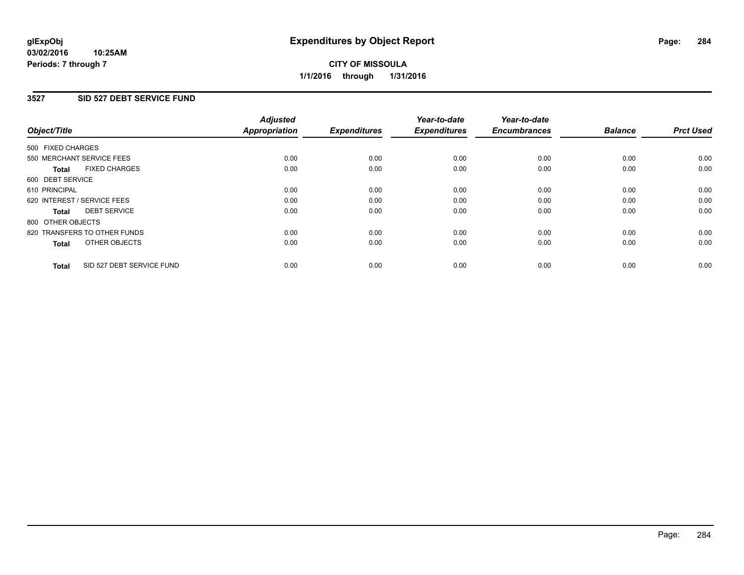#### **03/02/2016 10:25AM Periods: 7 through 7**

# **CITY OF MISSOULA 1/1/2016 through 1/31/2016**

### **3527 SID 527 DEBT SERVICE FUND**

| Object/Title      |                              | <b>Adjusted</b><br>Appropriation | <b>Expenditures</b> | Year-to-date<br><b>Expenditures</b> | Year-to-date<br><b>Encumbrances</b> | <b>Balance</b> | <b>Prct Used</b> |
|-------------------|------------------------------|----------------------------------|---------------------|-------------------------------------|-------------------------------------|----------------|------------------|
| 500 FIXED CHARGES |                              |                                  |                     |                                     |                                     |                |                  |
|                   | 550 MERCHANT SERVICE FEES    | 0.00                             | 0.00                | 0.00                                | 0.00                                | 0.00           | 0.00             |
| <b>Total</b>      | <b>FIXED CHARGES</b>         | 0.00                             | 0.00                | 0.00                                | 0.00                                | 0.00           | 0.00             |
| 600 DEBT SERVICE  |                              |                                  |                     |                                     |                                     |                |                  |
| 610 PRINCIPAL     |                              | 0.00                             | 0.00                | 0.00                                | 0.00                                | 0.00           | 0.00             |
|                   | 620 INTEREST / SERVICE FEES  | 0.00                             | 0.00                | 0.00                                | 0.00                                | 0.00           | 0.00             |
| <b>Total</b>      | <b>DEBT SERVICE</b>          | 0.00                             | 0.00                | 0.00                                | 0.00                                | 0.00           | 0.00             |
| 800 OTHER OBJECTS |                              |                                  |                     |                                     |                                     |                |                  |
|                   | 820 TRANSFERS TO OTHER FUNDS | 0.00                             | 0.00                | 0.00                                | 0.00                                | 0.00           | 0.00             |
| <b>Total</b>      | OTHER OBJECTS                | 0.00                             | 0.00                | 0.00                                | 0.00                                | 0.00           | 0.00             |
| <b>Total</b>      | SID 527 DEBT SERVICE FUND    | 0.00                             | 0.00                | 0.00                                | 0.00                                | 0.00           | 0.00             |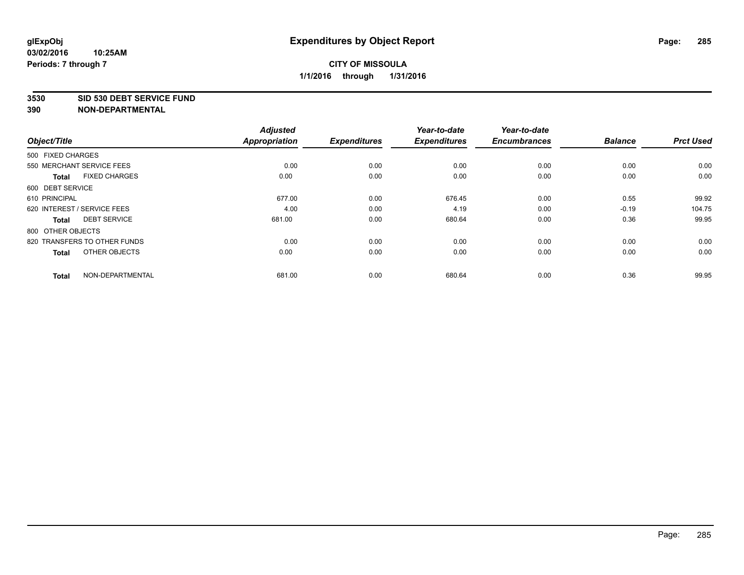#### **3530 SID 530 DEBT SERVICE FUND**

|                   |                              | <b>Adjusted</b>      |                     | Year-to-date        | Year-to-date        |                |                  |
|-------------------|------------------------------|----------------------|---------------------|---------------------|---------------------|----------------|------------------|
| Object/Title      |                              | <b>Appropriation</b> | <b>Expenditures</b> | <b>Expenditures</b> | <b>Encumbrances</b> | <b>Balance</b> | <b>Prct Used</b> |
| 500 FIXED CHARGES |                              |                      |                     |                     |                     |                |                  |
|                   | 550 MERCHANT SERVICE FEES    | 0.00                 | 0.00                | 0.00                | 0.00                | 0.00           | 0.00             |
| <b>Total</b>      | <b>FIXED CHARGES</b>         | 0.00                 | 0.00                | 0.00                | 0.00                | 0.00           | 0.00             |
| 600 DEBT SERVICE  |                              |                      |                     |                     |                     |                |                  |
| 610 PRINCIPAL     |                              | 677.00               | 0.00                | 676.45              | 0.00                | 0.55           | 99.92            |
|                   | 620 INTEREST / SERVICE FEES  | 4.00                 | 0.00                | 4.19                | 0.00                | $-0.19$        | 104.75           |
| <b>Total</b>      | <b>DEBT SERVICE</b>          | 681.00               | 0.00                | 680.64              | 0.00                | 0.36           | 99.95            |
| 800 OTHER OBJECTS |                              |                      |                     |                     |                     |                |                  |
|                   | 820 TRANSFERS TO OTHER FUNDS | 0.00                 | 0.00                | 0.00                | 0.00                | 0.00           | 0.00             |
| <b>Total</b>      | OTHER OBJECTS                | 0.00                 | 0.00                | 0.00                | 0.00                | 0.00           | 0.00             |
| <b>Total</b>      | NON-DEPARTMENTAL             | 681.00               | 0.00                | 680.64              | 0.00                | 0.36           | 99.95            |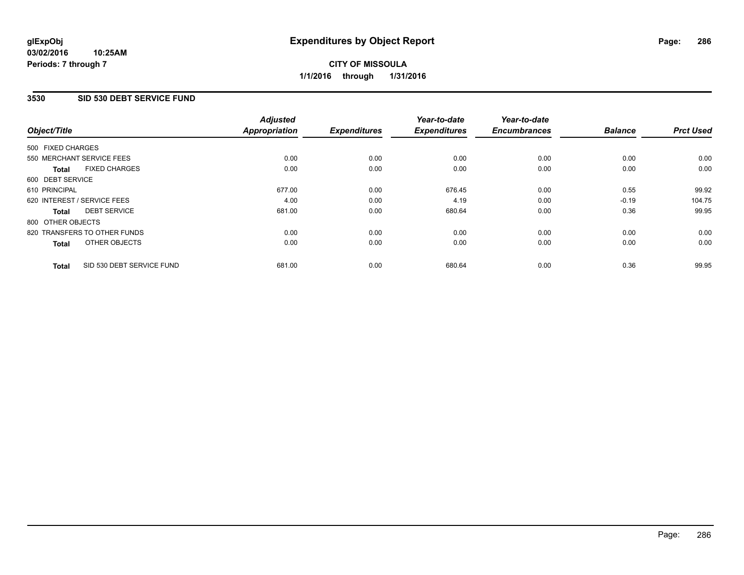# **3530 SID 530 DEBT SERVICE FUND**

|                   |                              | <b>Adjusted</b>      |                     | Year-to-date        | Year-to-date        |                |                  |
|-------------------|------------------------------|----------------------|---------------------|---------------------|---------------------|----------------|------------------|
| Object/Title      |                              | <b>Appropriation</b> | <b>Expenditures</b> | <b>Expenditures</b> | <b>Encumbrances</b> | <b>Balance</b> | <b>Prct Used</b> |
| 500 FIXED CHARGES |                              |                      |                     |                     |                     |                |                  |
|                   | 550 MERCHANT SERVICE FEES    | 0.00                 | 0.00                | 0.00                | 0.00                | 0.00           | 0.00             |
| <b>Total</b>      | <b>FIXED CHARGES</b>         | 0.00                 | 0.00                | 0.00                | 0.00                | 0.00           | 0.00             |
| 600 DEBT SERVICE  |                              |                      |                     |                     |                     |                |                  |
| 610 PRINCIPAL     |                              | 677.00               | 0.00                | 676.45              | 0.00                | 0.55           | 99.92            |
|                   | 620 INTEREST / SERVICE FEES  | 4.00                 | 0.00                | 4.19                | 0.00                | $-0.19$        | 104.75           |
| <b>Total</b>      | <b>DEBT SERVICE</b>          | 681.00               | 0.00                | 680.64              | 0.00                | 0.36           | 99.95            |
| 800 OTHER OBJECTS |                              |                      |                     |                     |                     |                |                  |
|                   | 820 TRANSFERS TO OTHER FUNDS | 0.00                 | 0.00                | 0.00                | 0.00                | 0.00           | 0.00             |
| <b>Total</b>      | OTHER OBJECTS                | 0.00                 | 0.00                | 0.00                | 0.00                | 0.00           | 0.00             |
| <b>Total</b>      | SID 530 DEBT SERVICE FUND    | 681.00               | 0.00                | 680.64              | 0.00                | 0.36           | 99.95            |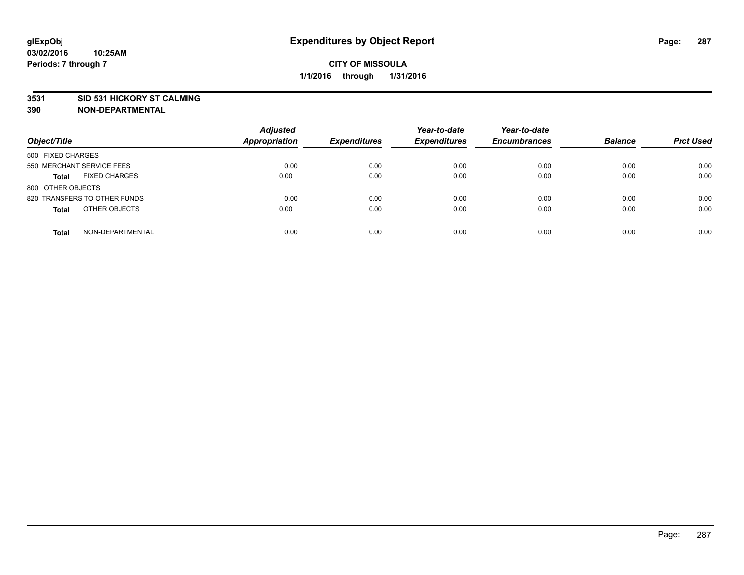#### **3531 SID 531 HICKORY ST CALMING**

| Object/Title                         | <b>Adjusted</b><br>Appropriation | <b>Expenditures</b> | Year-to-date<br><b>Expenditures</b> | Year-to-date<br><b>Encumbrances</b> | <b>Balance</b> | <b>Prct Used</b> |
|--------------------------------------|----------------------------------|---------------------|-------------------------------------|-------------------------------------|----------------|------------------|
| 500 FIXED CHARGES                    |                                  |                     |                                     |                                     |                |                  |
| 550 MERCHANT SERVICE FEES            | 0.00                             | 0.00                | 0.00                                | 0.00                                | 0.00           | 0.00             |
| <b>FIXED CHARGES</b><br><b>Total</b> | 0.00                             | 0.00                | 0.00                                | 0.00                                | 0.00           | 0.00             |
| 800 OTHER OBJECTS                    |                                  |                     |                                     |                                     |                |                  |
| 820 TRANSFERS TO OTHER FUNDS         | 0.00                             | 0.00                | 0.00                                | 0.00                                | 0.00           | 0.00             |
| OTHER OBJECTS<br><b>Total</b>        | 0.00                             | 0.00                | 0.00                                | 0.00                                | 0.00           | 0.00             |
| NON-DEPARTMENTAL<br><b>Total</b>     | 0.00                             | 0.00                | 0.00                                | 0.00                                | 0.00           | 0.00             |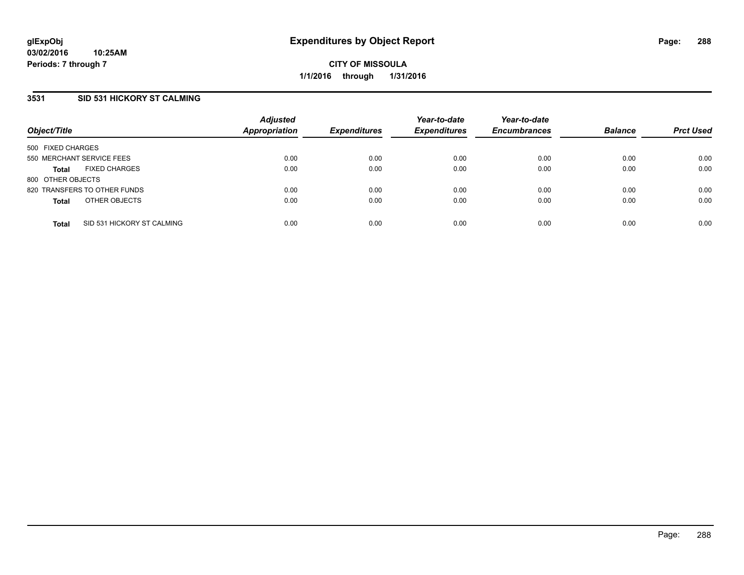# **3531 SID 531 HICKORY ST CALMING**

| Object/Title                               | <b>Adjusted</b><br>Appropriation | <b>Expenditures</b> | Year-to-date<br><b>Expenditures</b> | Year-to-date<br><b>Encumbrances</b> | <b>Balance</b> | <b>Prct Used</b> |
|--------------------------------------------|----------------------------------|---------------------|-------------------------------------|-------------------------------------|----------------|------------------|
| 500 FIXED CHARGES                          |                                  |                     |                                     |                                     |                |                  |
| 550 MERCHANT SERVICE FEES                  | 0.00                             | 0.00                | 0.00                                | 0.00                                | 0.00           | 0.00             |
| <b>FIXED CHARGES</b><br><b>Total</b>       | 0.00                             | 0.00                | 0.00                                | 0.00                                | 0.00           | 0.00             |
| 800 OTHER OBJECTS                          |                                  |                     |                                     |                                     |                |                  |
| 820 TRANSFERS TO OTHER FUNDS               | 0.00                             | 0.00                | 0.00                                | 0.00                                | 0.00           | 0.00             |
| OTHER OBJECTS<br><b>Total</b>              | 0.00                             | 0.00                | 0.00                                | 0.00                                | 0.00           | 0.00             |
| SID 531 HICKORY ST CALMING<br><b>Total</b> | 0.00                             | 0.00                | 0.00                                | 0.00                                | 0.00           | 0.00             |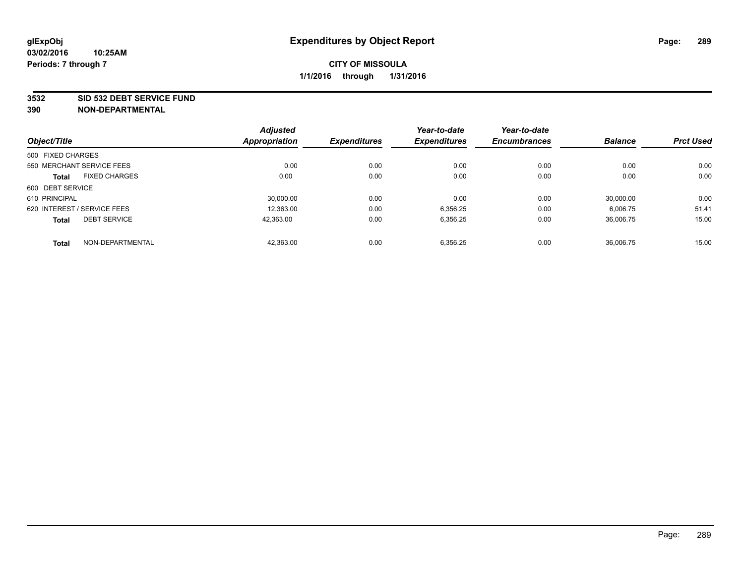#### **3532 SID 532 DEBT SERVICE FUND**

|                                     | <b>Adjusted</b>      |                     | Year-to-date        | Year-to-date        |                |                  |
|-------------------------------------|----------------------|---------------------|---------------------|---------------------|----------------|------------------|
| Object/Title                        | <b>Appropriation</b> | <b>Expenditures</b> | <b>Expenditures</b> | <b>Encumbrances</b> | <b>Balance</b> | <b>Prct Used</b> |
| 500 FIXED CHARGES                   |                      |                     |                     |                     |                |                  |
| 550 MERCHANT SERVICE FEES           | 0.00                 | 0.00                | 0.00                | 0.00                | 0.00           | 0.00             |
| <b>FIXED CHARGES</b><br>Total       | 0.00                 | 0.00                | 0.00                | 0.00                | 0.00           | 0.00             |
| 600 DEBT SERVICE                    |                      |                     |                     |                     |                |                  |
| 610 PRINCIPAL                       | 30.000.00            | 0.00                | 0.00                | 0.00                | 30.000.00      | 0.00             |
| 620 INTEREST / SERVICE FEES         | 12.363.00            | 0.00                | 6,356.25            | 0.00                | 6.006.75       | 51.41            |
| <b>DEBT SERVICE</b><br><b>Total</b> | 42.363.00            | 0.00                | 6,356.25            | 0.00                | 36.006.75      | 15.00            |
| NON-DEPARTMENTAL<br><b>Total</b>    | 42,363.00            | 0.00                | 6,356.25            | 0.00                | 36.006.75      | 15.00            |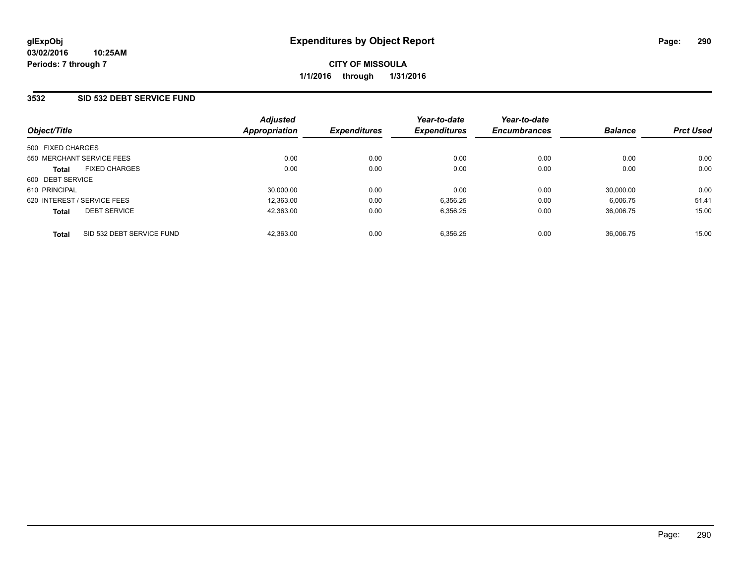### **3532 SID 532 DEBT SERVICE FUND**

| Object/Title                              | <b>Adjusted</b><br><b>Appropriation</b> | <b>Expenditures</b> | Year-to-date<br><b>Expenditures</b> | Year-to-date<br><b>Encumbrances</b> | <b>Balance</b> | <b>Prct Used</b> |
|-------------------------------------------|-----------------------------------------|---------------------|-------------------------------------|-------------------------------------|----------------|------------------|
| 500 FIXED CHARGES                         |                                         |                     |                                     |                                     |                |                  |
| 550 MERCHANT SERVICE FEES                 | 0.00                                    | 0.00                | 0.00                                | 0.00                                | 0.00           | 0.00             |
| <b>FIXED CHARGES</b><br><b>Total</b>      | 0.00                                    | 0.00                | 0.00                                | 0.00                                | 0.00           | 0.00             |
| 600 DEBT SERVICE                          |                                         |                     |                                     |                                     |                |                  |
| 610 PRINCIPAL                             | 30.000.00                               | 0.00                | 0.00                                | 0.00                                | 30.000.00      | 0.00             |
| 620 INTEREST / SERVICE FEES               | 12.363.00                               | 0.00                | 6,356.25                            | 0.00                                | 6.006.75       | 51.41            |
| <b>DEBT SERVICE</b><br><b>Total</b>       | 42.363.00                               | 0.00                | 6,356.25                            | 0.00                                | 36.006.75      | 15.00            |
| SID 532 DEBT SERVICE FUND<br><b>Total</b> | 42.363.00                               | 0.00                | 6,356.25                            | 0.00                                | 36.006.75      | 15.00            |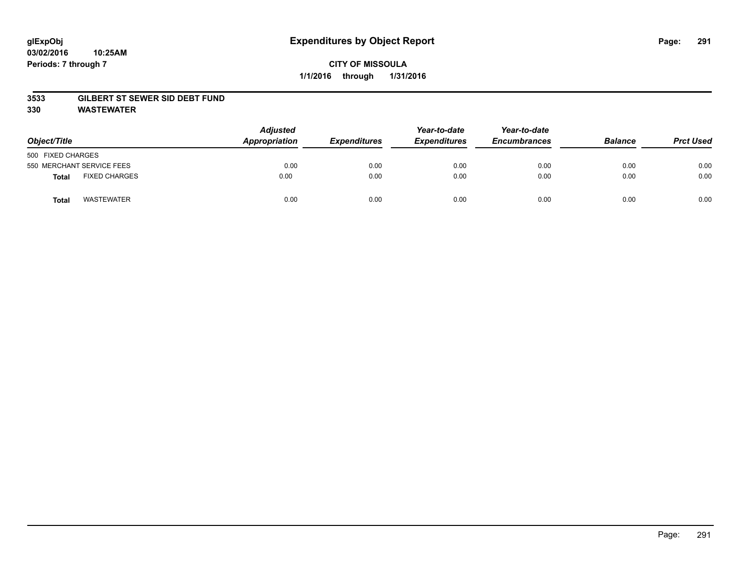#### **3533 GILBERT ST SEWER SID DEBT FUND**

**330 WASTEWATER**

| Object/Title                         | <b>Adjusted</b><br>Appropriation | <b>Expenditures</b> | Year-to-date<br><b>Expenditures</b> | Year-to-date<br><b>Encumbrances</b> | <b>Balance</b> | <b>Prct Used</b> |
|--------------------------------------|----------------------------------|---------------------|-------------------------------------|-------------------------------------|----------------|------------------|
| 500 FIXED CHARGES                    |                                  |                     |                                     |                                     |                |                  |
| 550 MERCHANT SERVICE FEES            | 0.00                             | 0.00                | 0.00                                | 0.00                                | 0.00           | 0.00             |
| <b>FIXED CHARGES</b><br><b>Total</b> | 0.00                             | 0.00                | 0.00                                | 0.00                                | 0.00           | 0.00             |
| <b>WASTEWATER</b><br>Total           | 0.00                             | 0.00                | 0.00                                | 0.00                                | 0.00           | 0.00             |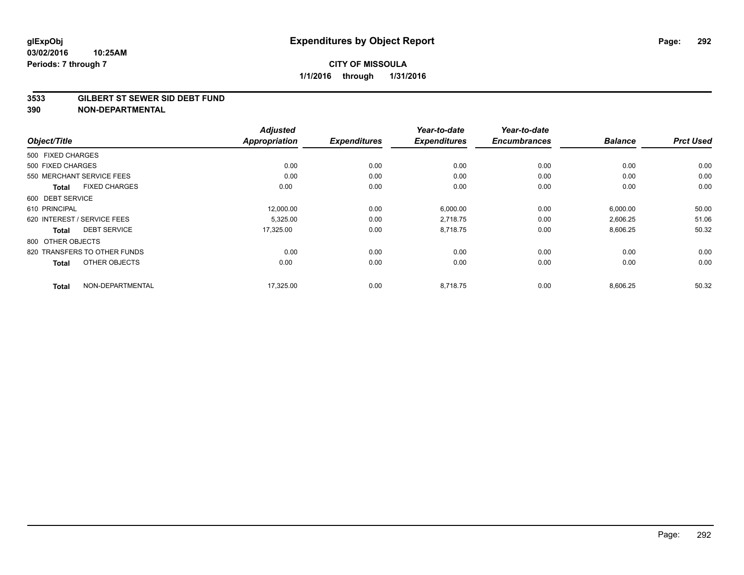#### **3533 GILBERT ST SEWER SID DEBT FUND**

|                                      | <b>Adjusted</b>      |                     | Year-to-date        | Year-to-date        |                |                  |
|--------------------------------------|----------------------|---------------------|---------------------|---------------------|----------------|------------------|
| Object/Title                         | <b>Appropriation</b> | <b>Expenditures</b> | <b>Expenditures</b> | <b>Encumbrances</b> | <b>Balance</b> | <b>Prct Used</b> |
| 500 FIXED CHARGES                    |                      |                     |                     |                     |                |                  |
| 500 FIXED CHARGES                    | 0.00                 | 0.00                | 0.00                | 0.00                | 0.00           | 0.00             |
| 550 MERCHANT SERVICE FEES            | 0.00                 | 0.00                | 0.00                | 0.00                | 0.00           | 0.00             |
| <b>FIXED CHARGES</b><br><b>Total</b> | 0.00                 | 0.00                | 0.00                | 0.00                | 0.00           | 0.00             |
| 600 DEBT SERVICE                     |                      |                     |                     |                     |                |                  |
| 610 PRINCIPAL                        | 12,000.00            | 0.00                | 6,000.00            | 0.00                | 6,000.00       | 50.00            |
| 620 INTEREST / SERVICE FEES          | 5,325.00             | 0.00                | 2,718.75            | 0.00                | 2,606.25       | 51.06            |
| <b>DEBT SERVICE</b><br><b>Total</b>  | 17,325.00            | 0.00                | 8,718.75            | 0.00                | 8,606.25       | 50.32            |
| 800 OTHER OBJECTS                    |                      |                     |                     |                     |                |                  |
| 820 TRANSFERS TO OTHER FUNDS         | 0.00                 | 0.00                | 0.00                | 0.00                | 0.00           | 0.00             |
| OTHER OBJECTS<br><b>Total</b>        | 0.00                 | 0.00                | 0.00                | 0.00                | 0.00           | 0.00             |
| NON-DEPARTMENTAL<br><b>Total</b>     | 17,325.00            | 0.00                | 8.718.75            | 0.00                | 8,606.25       | 50.32            |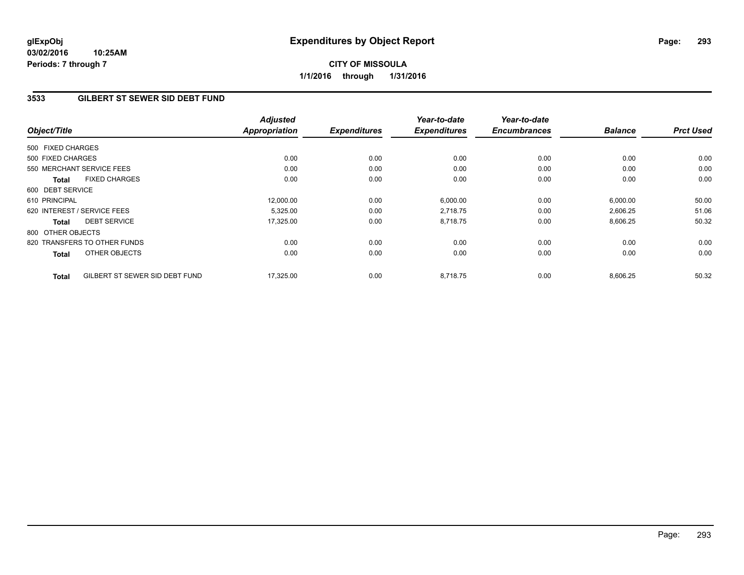**03/02/2016 10:25AM Periods: 7 through 7**

### **3533 GILBERT ST SEWER SID DEBT FUND**

| Object/Title      |                                | <b>Adjusted</b><br><b>Appropriation</b> | <b>Expenditures</b> | Year-to-date<br><b>Expenditures</b> | Year-to-date<br><b>Encumbrances</b> | <b>Balance</b> | <b>Prct Used</b> |
|-------------------|--------------------------------|-----------------------------------------|---------------------|-------------------------------------|-------------------------------------|----------------|------------------|
|                   |                                |                                         |                     |                                     |                                     |                |                  |
| 500 FIXED CHARGES |                                |                                         |                     |                                     |                                     |                |                  |
| 500 FIXED CHARGES |                                | 0.00                                    | 0.00                | 0.00                                | 0.00                                | 0.00           | 0.00             |
|                   | 550 MERCHANT SERVICE FEES      | 0.00                                    | 0.00                | 0.00                                | 0.00                                | 0.00           | 0.00             |
| <b>Total</b>      | <b>FIXED CHARGES</b>           | 0.00                                    | 0.00                | 0.00                                | 0.00                                | 0.00           | 0.00             |
| 600 DEBT SERVICE  |                                |                                         |                     |                                     |                                     |                |                  |
| 610 PRINCIPAL     |                                | 12,000.00                               | 0.00                | 6,000.00                            | 0.00                                | 6,000.00       | 50.00            |
|                   | 620 INTEREST / SERVICE FEES    | 5,325.00                                | 0.00                | 2,718.75                            | 0.00                                | 2,606.25       | 51.06            |
| <b>Total</b>      | <b>DEBT SERVICE</b>            | 17,325.00                               | 0.00                | 8,718.75                            | 0.00                                | 8,606.25       | 50.32            |
| 800 OTHER OBJECTS |                                |                                         |                     |                                     |                                     |                |                  |
|                   | 820 TRANSFERS TO OTHER FUNDS   | 0.00                                    | 0.00                | 0.00                                | 0.00                                | 0.00           | 0.00             |
| <b>Total</b>      | OTHER OBJECTS                  | 0.00                                    | 0.00                | 0.00                                | 0.00                                | 0.00           | 0.00             |
| <b>Total</b>      | GILBERT ST SEWER SID DEBT FUND | 17,325.00                               | 0.00                | 8.718.75                            | 0.00                                | 8,606.25       | 50.32            |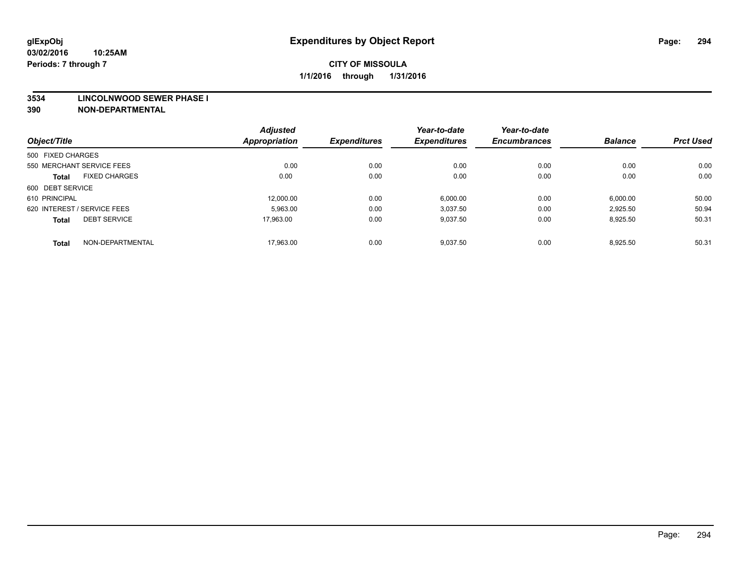#### **3534 LINCOLNWOOD SEWER PHASE I**

|                                     | <b>Adjusted</b>      |                     | Year-to-date        | Year-to-date        |                |                  |
|-------------------------------------|----------------------|---------------------|---------------------|---------------------|----------------|------------------|
| Object/Title                        | <b>Appropriation</b> | <b>Expenditures</b> | <b>Expenditures</b> | <b>Encumbrances</b> | <b>Balance</b> | <b>Prct Used</b> |
| 500 FIXED CHARGES                   |                      |                     |                     |                     |                |                  |
| 550 MERCHANT SERVICE FEES           | 0.00                 | 0.00                | 0.00                | 0.00                | 0.00           | 0.00             |
| <b>FIXED CHARGES</b><br>Total       | 0.00                 | 0.00                | 0.00                | 0.00                | 0.00           | 0.00             |
| 600 DEBT SERVICE                    |                      |                     |                     |                     |                |                  |
| 610 PRINCIPAL                       | 12.000.00            | 0.00                | 6.000.00            | 0.00                | 6,000.00       | 50.00            |
| 620 INTEREST / SERVICE FEES         | 5,963.00             | 0.00                | 3,037.50            | 0.00                | 2,925.50       | 50.94            |
| <b>DEBT SERVICE</b><br><b>Total</b> | 17.963.00            | 0.00                | 9,037.50            | 0.00                | 8,925.50       | 50.31            |
| NON-DEPARTMENTAL<br><b>Total</b>    | 17,963.00            | 0.00                | 9,037.50            | 0.00                | 8,925.50       | 50.31            |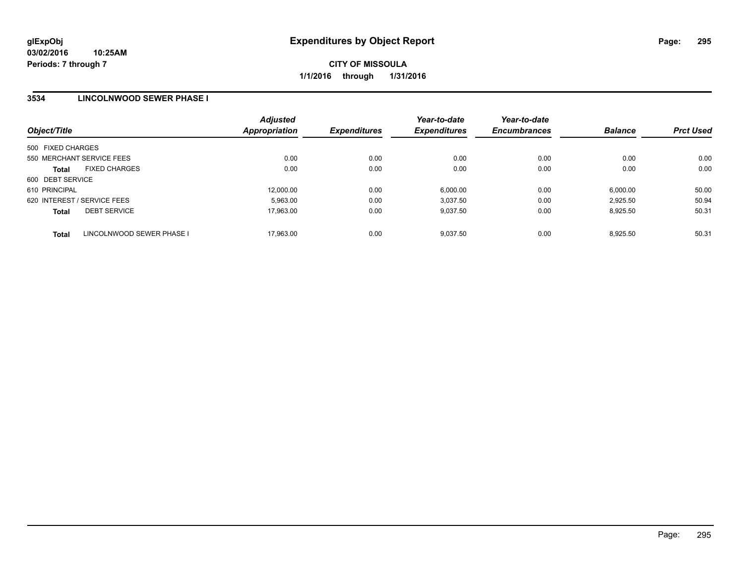## **3534 LINCOLNWOOD SEWER PHASE I**

| Object/Title                              | <b>Adjusted</b><br>Appropriation | <b>Expenditures</b> | Year-to-date<br><b>Expenditures</b> | Year-to-date<br><b>Encumbrances</b> | <b>Balance</b> | <b>Prct Used</b> |
|-------------------------------------------|----------------------------------|---------------------|-------------------------------------|-------------------------------------|----------------|------------------|
| 500 FIXED CHARGES                         |                                  |                     |                                     |                                     |                |                  |
| 550 MERCHANT SERVICE FEES                 | 0.00                             | 0.00                | 0.00                                | 0.00                                | 0.00           | 0.00             |
| <b>FIXED CHARGES</b><br><b>Total</b>      | 0.00                             | 0.00                | 0.00                                | 0.00                                | 0.00           | 0.00             |
| 600 DEBT SERVICE                          |                                  |                     |                                     |                                     |                |                  |
| 610 PRINCIPAL                             | 12,000.00                        | 0.00                | 6.000.00                            | 0.00                                | 6,000.00       | 50.00            |
| 620 INTEREST / SERVICE FEES               | 5,963.00                         | 0.00                | 3.037.50                            | 0.00                                | 2.925.50       | 50.94            |
| <b>DEBT SERVICE</b><br><b>Total</b>       | 17,963.00                        | 0.00                | 9.037.50                            | 0.00                                | 8.925.50       | 50.31            |
| LINCOLNWOOD SEWER PHASE I<br><b>Total</b> | 17.963.00                        | 0.00                | 9.037.50                            | 0.00                                | 8.925.50       | 50.31            |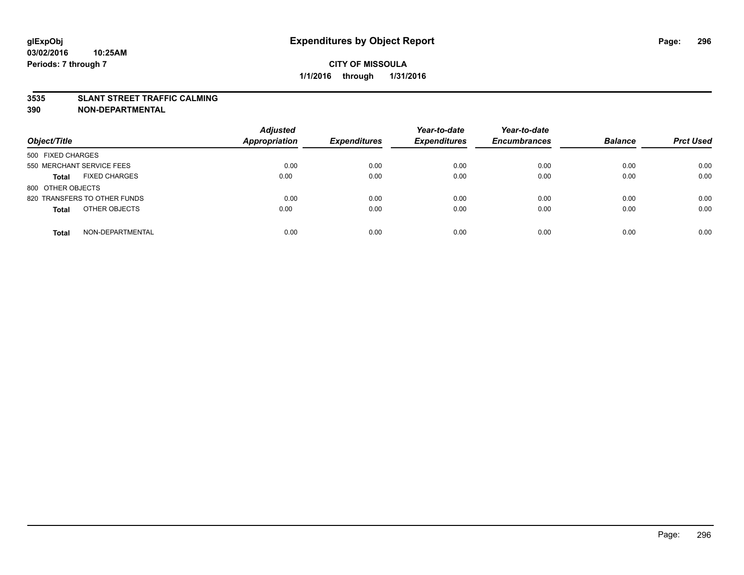#### **3535 SLANT STREET TRAFFIC CALMING**

| Object/Title                         | <b>Adjusted</b><br>Appropriation | <b>Expenditures</b> | Year-to-date<br><b>Expenditures</b> | Year-to-date<br><b>Encumbrances</b> | <b>Balance</b> | <b>Prct Used</b> |
|--------------------------------------|----------------------------------|---------------------|-------------------------------------|-------------------------------------|----------------|------------------|
| 500 FIXED CHARGES                    |                                  |                     |                                     |                                     |                |                  |
| 550 MERCHANT SERVICE FEES            | 0.00                             | 0.00                | 0.00                                | 0.00                                | 0.00           | 0.00             |
| <b>FIXED CHARGES</b><br><b>Total</b> | 0.00                             | 0.00                | 0.00                                | 0.00                                | 0.00           | 0.00             |
| 800 OTHER OBJECTS                    |                                  |                     |                                     |                                     |                |                  |
| 820 TRANSFERS TO OTHER FUNDS         | 0.00                             | 0.00                | 0.00                                | 0.00                                | 0.00           | 0.00             |
| OTHER OBJECTS<br><b>Total</b>        | 0.00                             | 0.00                | 0.00                                | 0.00                                | 0.00           | 0.00             |
| NON-DEPARTMENTAL<br><b>Total</b>     | 0.00                             | 0.00                | 0.00                                | 0.00                                | 0.00           | 0.00             |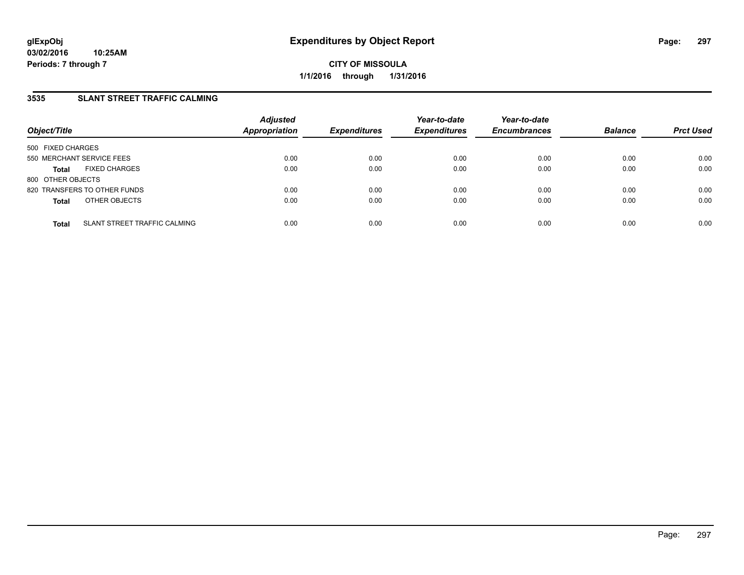## **3535 SLANT STREET TRAFFIC CALMING**

| Object/Title                                 | <b>Adjusted</b><br><b>Appropriation</b> | <b>Expenditures</b> | Year-to-date<br><b>Expenditures</b> | Year-to-date<br><b>Encumbrances</b> | <b>Balance</b> | <b>Prct Used</b> |
|----------------------------------------------|-----------------------------------------|---------------------|-------------------------------------|-------------------------------------|----------------|------------------|
| 500 FIXED CHARGES                            |                                         |                     |                                     |                                     |                |                  |
| 550 MERCHANT SERVICE FEES                    | 0.00                                    | 0.00                | 0.00                                | 0.00                                | 0.00           | 0.00             |
| <b>FIXED CHARGES</b><br><b>Total</b>         | 0.00                                    | 0.00                | 0.00                                | 0.00                                | 0.00           | 0.00             |
| 800 OTHER OBJECTS                            |                                         |                     |                                     |                                     |                |                  |
| 820 TRANSFERS TO OTHER FUNDS                 | 0.00                                    | 0.00                | 0.00                                | 0.00                                | 0.00           | 0.00             |
| OTHER OBJECTS<br><b>Total</b>                | 0.00                                    | 0.00                | 0.00                                | 0.00                                | 0.00           | 0.00             |
| SLANT STREET TRAFFIC CALMING<br><b>Total</b> | 0.00                                    | 0.00                | 0.00                                | 0.00                                | 0.00           | 0.00             |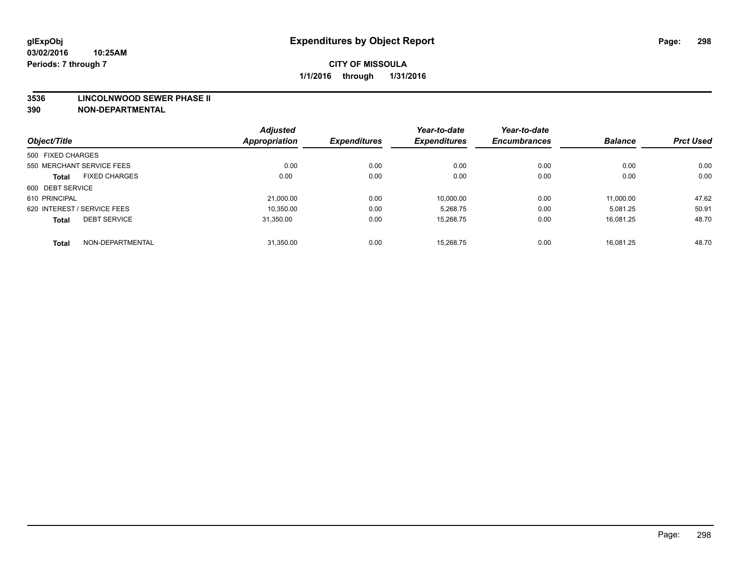#### **3536 LINCOLNWOOD SEWER PHASE II**

|                             |                      | <b>Adjusted</b> |                     | Year-to-date        | Year-to-date        |                |                  |
|-----------------------------|----------------------|-----------------|---------------------|---------------------|---------------------|----------------|------------------|
| Object/Title                |                      | Appropriation   | <b>Expenditures</b> | <b>Expenditures</b> | <b>Encumbrances</b> | <b>Balance</b> | <b>Prct Used</b> |
| 500 FIXED CHARGES           |                      |                 |                     |                     |                     |                |                  |
| 550 MERCHANT SERVICE FEES   |                      | 0.00            | 0.00                | 0.00                | 0.00                | 0.00           | 0.00             |
| <b>Total</b>                | <b>FIXED CHARGES</b> | 0.00            | 0.00                | 0.00                | 0.00                | 0.00           | 0.00             |
| 600 DEBT SERVICE            |                      |                 |                     |                     |                     |                |                  |
| 610 PRINCIPAL               |                      | 21,000.00       | 0.00                | 10,000.00           | 0.00                | 11,000.00      | 47.62            |
| 620 INTEREST / SERVICE FEES |                      | 10,350.00       | 0.00                | 5,268.75            | 0.00                | 5,081.25       | 50.91            |
| <b>Total</b>                | <b>DEBT SERVICE</b>  | 31.350.00       | 0.00                | 15.268.75           | 0.00                | 16.081.25      | 48.70            |
| <b>Total</b>                | NON-DEPARTMENTAL     | 31,350.00       | 0.00                | 15.268.75           | 0.00                | 16.081.25      | 48.70            |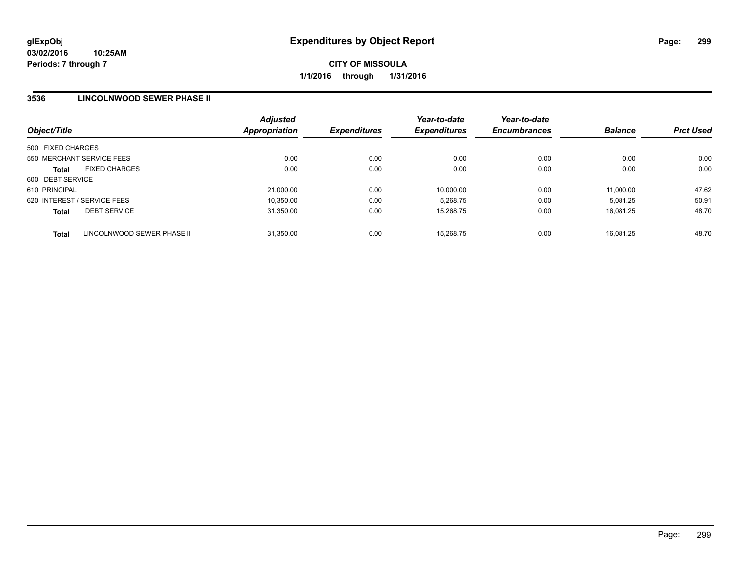### **3536 LINCOLNWOOD SEWER PHASE II**

| Object/Title                               | <b>Adjusted</b><br><b>Appropriation</b> | <b>Expenditures</b> | Year-to-date<br><b>Expenditures</b> | Year-to-date<br><b>Encumbrances</b> | <b>Balance</b> | <b>Prct Used</b> |
|--------------------------------------------|-----------------------------------------|---------------------|-------------------------------------|-------------------------------------|----------------|------------------|
| 500 FIXED CHARGES                          |                                         |                     |                                     |                                     |                |                  |
| 550 MERCHANT SERVICE FEES                  | 0.00                                    | 0.00                | 0.00                                | 0.00                                | 0.00           | 0.00             |
| <b>FIXED CHARGES</b><br><b>Total</b>       | 0.00                                    | 0.00                | 0.00                                | 0.00                                | 0.00           | 0.00             |
| 600 DEBT SERVICE                           |                                         |                     |                                     |                                     |                |                  |
| 610 PRINCIPAL                              | 21,000.00                               | 0.00                | 10.000.00                           | 0.00                                | 11.000.00      | 47.62            |
| 620 INTEREST / SERVICE FEES                | 10,350.00                               | 0.00                | 5,268.75                            | 0.00                                | 5.081.25       | 50.91            |
| <b>DEBT SERVICE</b><br><b>Total</b>        | 31.350.00                               | 0.00                | 15.268.75                           | 0.00                                | 16.081.25      | 48.70            |
| LINCOLNWOOD SEWER PHASE II<br><b>Total</b> | 31.350.00                               | 0.00                | 15.268.75                           | 0.00                                | 16.081.25      | 48.70            |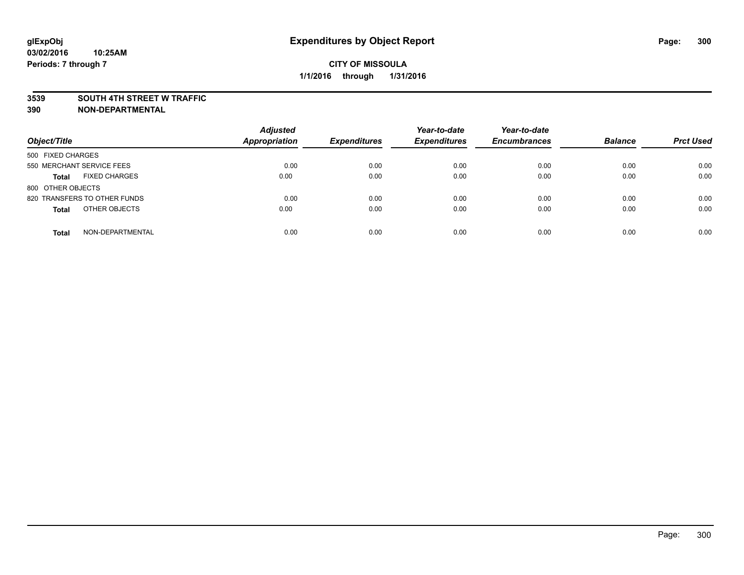#### **3539 SOUTH 4TH STREET W TRAFFIC**

| Object/Title                         | <b>Adjusted</b><br><b>Appropriation</b> | <b>Expenditures</b> | Year-to-date<br><b>Expenditures</b> | Year-to-date<br><b>Encumbrances</b> | <b>Balance</b> | <b>Prct Used</b> |
|--------------------------------------|-----------------------------------------|---------------------|-------------------------------------|-------------------------------------|----------------|------------------|
| 500 FIXED CHARGES                    |                                         |                     |                                     |                                     |                |                  |
| 550 MERCHANT SERVICE FEES            | 0.00                                    | 0.00                | 0.00                                | 0.00                                | 0.00           | 0.00             |
| <b>FIXED CHARGES</b><br><b>Total</b> | 0.00                                    | 0.00                | 0.00                                | 0.00                                | 0.00           | 0.00             |
| 800 OTHER OBJECTS                    |                                         |                     |                                     |                                     |                |                  |
| 820 TRANSFERS TO OTHER FUNDS         | 0.00                                    | 0.00                | 0.00                                | 0.00                                | 0.00           | 0.00             |
| OTHER OBJECTS<br><b>Total</b>        | 0.00                                    | 0.00                | 0.00                                | 0.00                                | 0.00           | 0.00             |
| NON-DEPARTMENTAL<br><b>Total</b>     | 0.00                                    | 0.00                | 0.00                                | 0.00                                | 0.00           | 0.00             |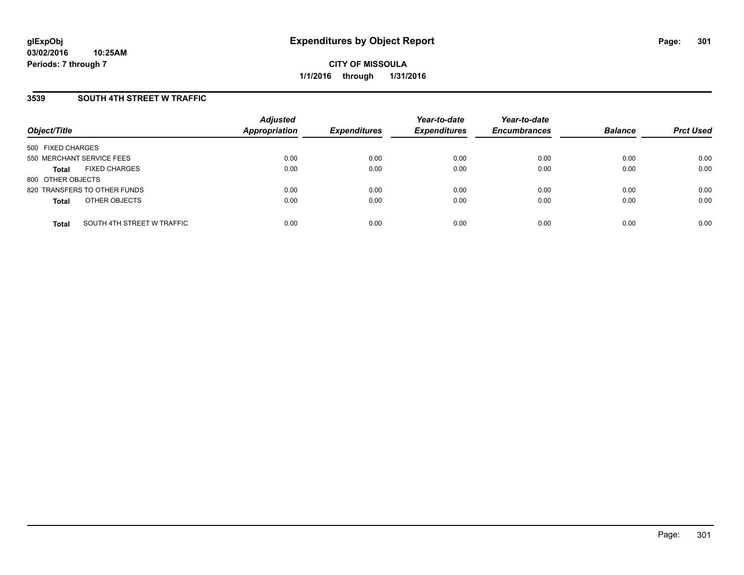### **3539 SOUTH 4TH STREET W TRAFFIC**

| Object/Title              |                              | <b>Adjusted</b><br>Appropriation | <b>Expenditures</b> | Year-to-date<br><b>Expenditures</b> | Year-to-date<br><b>Encumbrances</b> | <b>Balance</b> | <b>Prct Used</b> |
|---------------------------|------------------------------|----------------------------------|---------------------|-------------------------------------|-------------------------------------|----------------|------------------|
| 500 FIXED CHARGES         |                              |                                  |                     |                                     |                                     |                |                  |
| 550 MERCHANT SERVICE FEES |                              | 0.00                             | 0.00                | 0.00                                | 0.00                                | 0.00           | 0.00             |
| Total                     | <b>FIXED CHARGES</b>         | 0.00                             | 0.00                | 0.00                                | 0.00                                | 0.00           | 0.00             |
| 800 OTHER OBJECTS         |                              |                                  |                     |                                     |                                     |                |                  |
|                           | 820 TRANSFERS TO OTHER FUNDS | 0.00                             | 0.00                | 0.00                                | 0.00                                | 0.00           | 0.00             |
| <b>Total</b>              | OTHER OBJECTS                | 0.00                             | 0.00                | 0.00                                | 0.00                                | 0.00           | 0.00             |
| <b>Total</b>              | SOUTH 4TH STREET W TRAFFIC   | 0.00                             | 0.00                | 0.00                                | 0.00                                | 0.00           | 0.00             |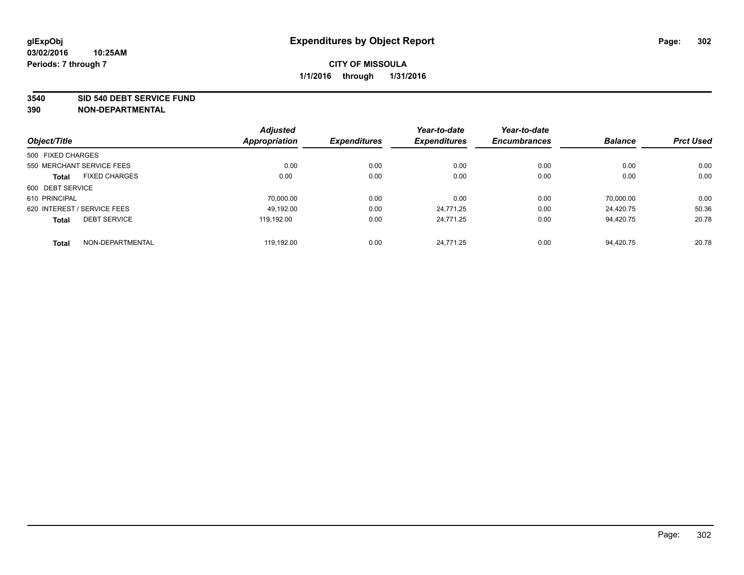#### **3540 SID 540 DEBT SERVICE FUND**

|                                      | <b>Adjusted</b>      |                     | Year-to-date        | Year-to-date        |                |                  |
|--------------------------------------|----------------------|---------------------|---------------------|---------------------|----------------|------------------|
| Object/Title                         | <b>Appropriation</b> | <b>Expenditures</b> | <b>Expenditures</b> | <b>Encumbrances</b> | <b>Balance</b> | <b>Prct Used</b> |
| 500 FIXED CHARGES                    |                      |                     |                     |                     |                |                  |
| 550 MERCHANT SERVICE FEES            | 0.00                 | 0.00                | 0.00                | 0.00                | 0.00           | 0.00             |
| <b>FIXED CHARGES</b><br><b>Total</b> | 0.00                 | 0.00                | 0.00                | 0.00                | 0.00           | 0.00             |
| 600 DEBT SERVICE                     |                      |                     |                     |                     |                |                  |
| 610 PRINCIPAL                        | 70.000.00            | 0.00                | 0.00                | 0.00                | 70.000.00      | 0.00             |
| 620 INTEREST / SERVICE FEES          | 49.192.00            | 0.00                | 24.771.25           | 0.00                | 24.420.75      | 50.36            |
| <b>DEBT SERVICE</b><br><b>Total</b>  | 119.192.00           | 0.00                | 24.771.25           | 0.00                | 94.420.75      | 20.78            |
| NON-DEPARTMENTAL<br><b>Total</b>     | 119.192.00           | 0.00                | 24.771.25           | 0.00                | 94.420.75      | 20.78            |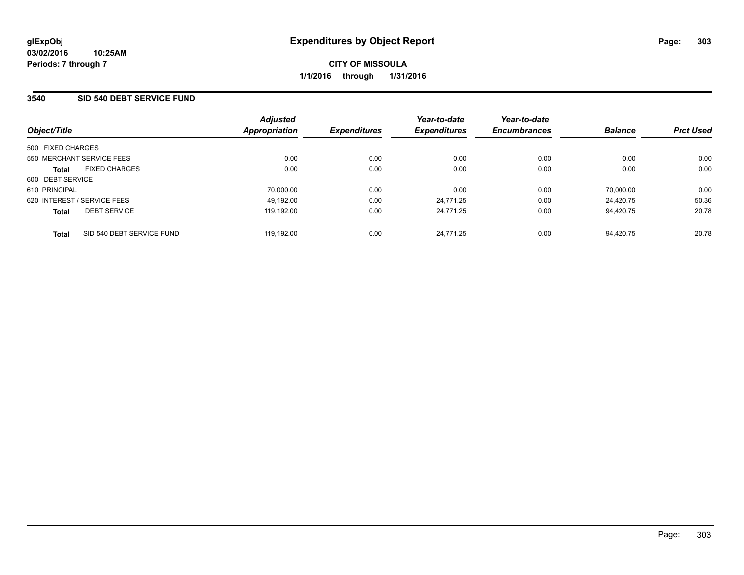#### **3540 SID 540 DEBT SERVICE FUND**

|                             |                           | <b>Adjusted</b> |                     | Year-to-date        | Year-to-date        |                |                  |
|-----------------------------|---------------------------|-----------------|---------------------|---------------------|---------------------|----------------|------------------|
| Object/Title                |                           | Appropriation   | <b>Expenditures</b> | <b>Expenditures</b> | <b>Encumbrances</b> | <b>Balance</b> | <b>Prct Used</b> |
| 500 FIXED CHARGES           |                           |                 |                     |                     |                     |                |                  |
| 550 MERCHANT SERVICE FEES   |                           | 0.00            | 0.00                | 0.00                | 0.00                | 0.00           | 0.00             |
| <b>Total</b>                | <b>FIXED CHARGES</b>      | 0.00            | 0.00                | 0.00                | 0.00                | 0.00           | 0.00             |
| 600 DEBT SERVICE            |                           |                 |                     |                     |                     |                |                  |
| 610 PRINCIPAL               |                           | 70,000.00       | 0.00                | 0.00                | 0.00                | 70,000.00      | 0.00             |
| 620 INTEREST / SERVICE FEES |                           | 49.192.00       | 0.00                | 24.771.25           | 0.00                | 24.420.75      | 50.36            |
| <b>Total</b>                | <b>DEBT SERVICE</b>       | 119.192.00      | 0.00                | 24.771.25           | 0.00                | 94.420.75      | 20.78            |
| <b>Total</b>                | SID 540 DEBT SERVICE FUND | 119.192.00      | 0.00                | 24.771.25           | 0.00                | 94.420.75      | 20.78            |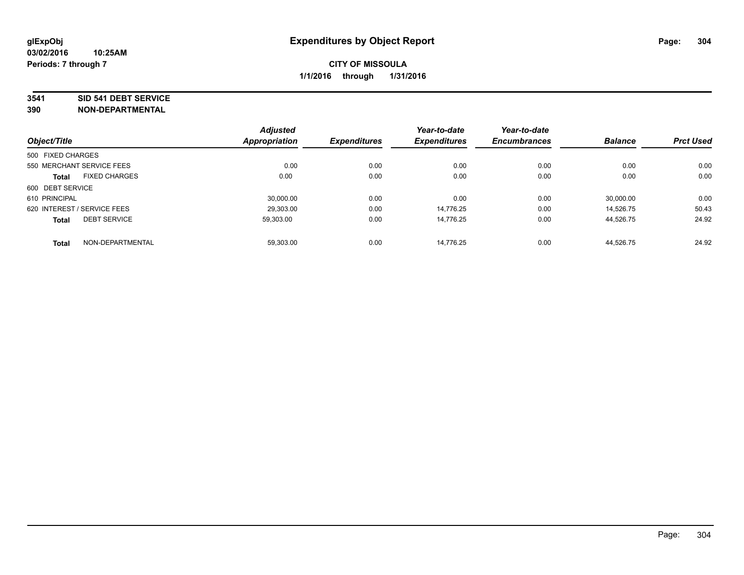#### **3541 SID 541 DEBT SERVICE**

| Object/Title                |                      | <b>Adjusted</b>      |                     | Year-to-date        | Year-to-date        |                |                  |
|-----------------------------|----------------------|----------------------|---------------------|---------------------|---------------------|----------------|------------------|
|                             |                      | <b>Appropriation</b> | <b>Expenditures</b> | <b>Expenditures</b> | <b>Encumbrances</b> | <b>Balance</b> | <b>Prct Used</b> |
| 500 FIXED CHARGES           |                      |                      |                     |                     |                     |                |                  |
| 550 MERCHANT SERVICE FEES   |                      | 0.00                 | 0.00                | 0.00                | 0.00                | 0.00           | 0.00             |
| <b>Total</b>                | <b>FIXED CHARGES</b> | 0.00                 | 0.00                | 0.00                | 0.00                | 0.00           | 0.00             |
| 600 DEBT SERVICE            |                      |                      |                     |                     |                     |                |                  |
| 610 PRINCIPAL               |                      | 30.000.00            | 0.00                | 0.00                | 0.00                | 30,000.00      | 0.00             |
| 620 INTEREST / SERVICE FEES |                      | 29,303.00            | 0.00                | 14.776.25           | 0.00                | 14.526.75      | 50.43            |
| <b>Total</b>                | <b>DEBT SERVICE</b>  | 59.303.00            | 0.00                | 14.776.25           | 0.00                | 44,526.75      | 24.92            |
| <b>Total</b>                | NON-DEPARTMENTAL     | 59,303.00            | 0.00                | 14.776.25           | 0.00                | 44.526.75      | 24.92            |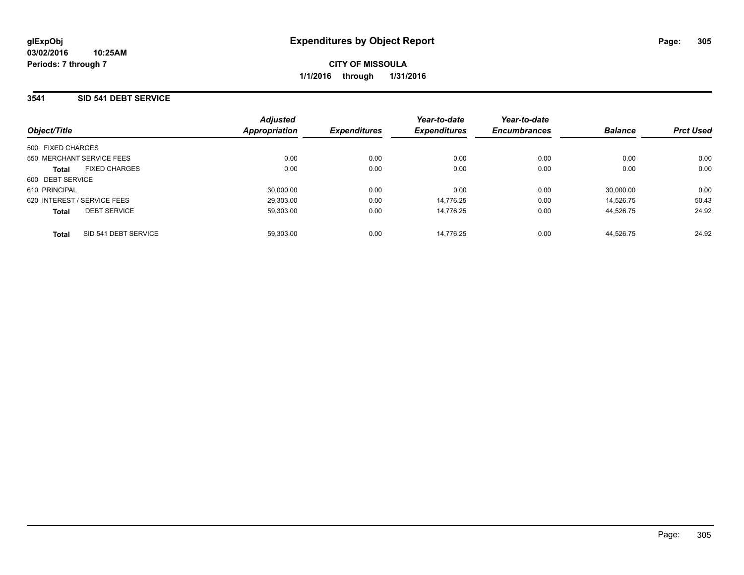## **3541 SID 541 DEBT SERVICE**

| Object/Title                         | <b>Adjusted</b><br>Appropriation | <b>Expenditures</b> | Year-to-date<br><b>Expenditures</b> | Year-to-date<br><b>Encumbrances</b> | <b>Balance</b> | <b>Prct Used</b> |
|--------------------------------------|----------------------------------|---------------------|-------------------------------------|-------------------------------------|----------------|------------------|
| 500 FIXED CHARGES                    |                                  |                     |                                     |                                     |                |                  |
| 550 MERCHANT SERVICE FEES            | 0.00                             | 0.00                | 0.00                                | 0.00                                | 0.00           | 0.00             |
| <b>FIXED CHARGES</b><br><b>Total</b> | 0.00                             | 0.00                | 0.00                                | 0.00                                | 0.00           | 0.00             |
| 600 DEBT SERVICE                     |                                  |                     |                                     |                                     |                |                  |
| 610 PRINCIPAL                        | 30.000.00                        | 0.00                | 0.00                                | 0.00                                | 30.000.00      | 0.00             |
| 620 INTEREST / SERVICE FEES          | 29.303.00                        | 0.00                | 14.776.25                           | 0.00                                | 14.526.75      | 50.43            |
| <b>DEBT SERVICE</b><br><b>Total</b>  | 59.303.00                        | 0.00                | 14.776.25                           | 0.00                                | 44.526.75      | 24.92            |
| SID 541 DEBT SERVICE<br><b>Total</b> | 59.303.00                        | 0.00                | 14.776.25                           | 0.00                                | 44.526.75      | 24.92            |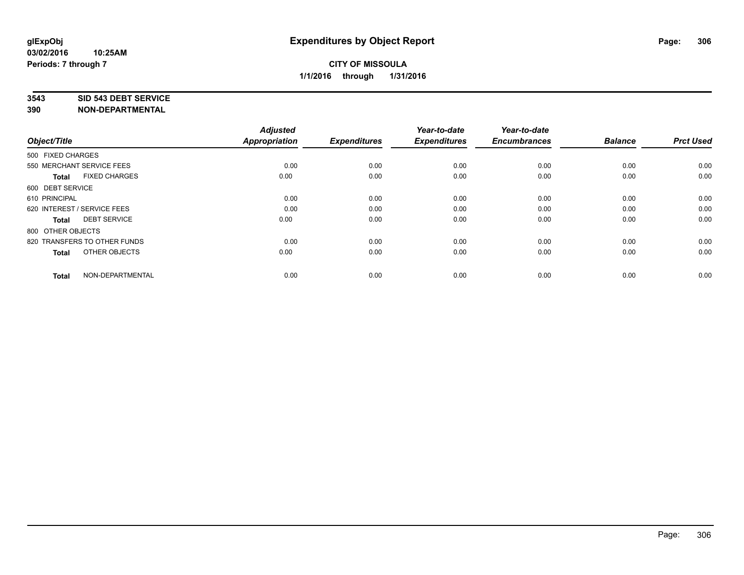#### **3543 SID 543 DEBT SERVICE**

| Object/Title                |                              | <b>Adjusted</b><br><b>Appropriation</b> | <b>Expenditures</b> | Year-to-date<br><b>Expenditures</b> | Year-to-date<br><b>Encumbrances</b> | <b>Balance</b> | <b>Prct Used</b> |
|-----------------------------|------------------------------|-----------------------------------------|---------------------|-------------------------------------|-------------------------------------|----------------|------------------|
|                             |                              |                                         |                     |                                     |                                     |                |                  |
| 500 FIXED CHARGES           |                              |                                         |                     |                                     |                                     |                |                  |
| 550 MERCHANT SERVICE FEES   |                              | 0.00                                    | 0.00                | 0.00                                | 0.00                                | 0.00           | 0.00             |
| <b>Total</b>                | <b>FIXED CHARGES</b>         | 0.00                                    | 0.00                | 0.00                                | 0.00                                | 0.00           | 0.00             |
| 600 DEBT SERVICE            |                              |                                         |                     |                                     |                                     |                |                  |
| 610 PRINCIPAL               |                              | 0.00                                    | 0.00                | 0.00                                | 0.00                                | 0.00           | 0.00             |
| 620 INTEREST / SERVICE FEES |                              | 0.00                                    | 0.00                | 0.00                                | 0.00                                | 0.00           | 0.00             |
| <b>Total</b>                | <b>DEBT SERVICE</b>          | 0.00                                    | 0.00                | 0.00                                | 0.00                                | 0.00           | 0.00             |
| 800 OTHER OBJECTS           |                              |                                         |                     |                                     |                                     |                |                  |
|                             | 820 TRANSFERS TO OTHER FUNDS | 0.00                                    | 0.00                | 0.00                                | 0.00                                | 0.00           | 0.00             |
| <b>Total</b>                | OTHER OBJECTS                | 0.00                                    | 0.00                | 0.00                                | 0.00                                | 0.00           | 0.00             |
|                             |                              |                                         |                     |                                     |                                     |                |                  |
| <b>Total</b>                | NON-DEPARTMENTAL             | 0.00                                    | 0.00                | 0.00                                | 0.00                                | 0.00           | 0.00             |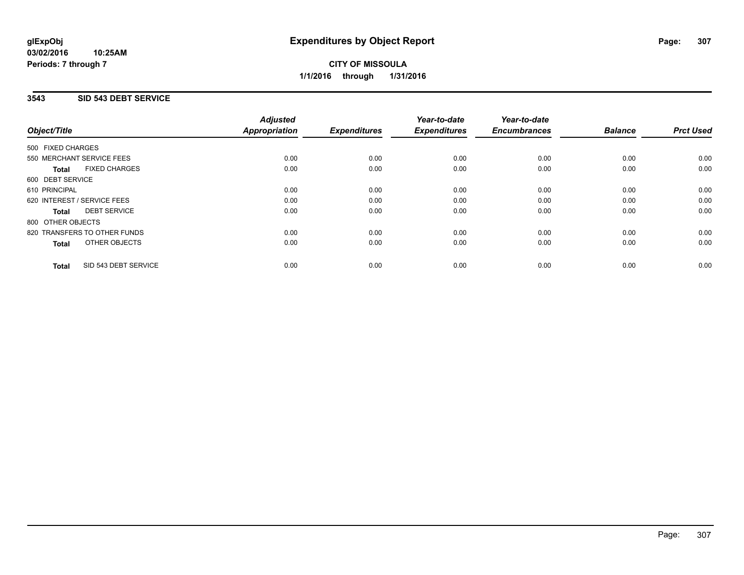### **3543 SID 543 DEBT SERVICE**

|                                      | <b>Adjusted</b>      |                     | Year-to-date        | Year-to-date        |                |                  |
|--------------------------------------|----------------------|---------------------|---------------------|---------------------|----------------|------------------|
| Object/Title                         | <b>Appropriation</b> | <b>Expenditures</b> | <b>Expenditures</b> | <b>Encumbrances</b> | <b>Balance</b> | <b>Prct Used</b> |
| 500 FIXED CHARGES                    |                      |                     |                     |                     |                |                  |
| 550 MERCHANT SERVICE FEES            | 0.00                 | 0.00                | 0.00                | 0.00                | 0.00           | 0.00             |
| <b>FIXED CHARGES</b><br><b>Total</b> | 0.00                 | 0.00                | 0.00                | 0.00                | 0.00           | 0.00             |
| 600 DEBT SERVICE                     |                      |                     |                     |                     |                |                  |
| 610 PRINCIPAL                        | 0.00                 | 0.00                | 0.00                | 0.00                | 0.00           | 0.00             |
| 620 INTEREST / SERVICE FEES          | 0.00                 | 0.00                | 0.00                | 0.00                | 0.00           | 0.00             |
| <b>DEBT SERVICE</b><br><b>Total</b>  | 0.00                 | 0.00                | 0.00                | 0.00                | 0.00           | 0.00             |
| 800 OTHER OBJECTS                    |                      |                     |                     |                     |                |                  |
| 820 TRANSFERS TO OTHER FUNDS         | 0.00                 | 0.00                | 0.00                | 0.00                | 0.00           | 0.00             |
| <b>OTHER OBJECTS</b><br><b>Total</b> | 0.00                 | 0.00                | 0.00                | 0.00                | 0.00           | 0.00             |
| SID 543 DEBT SERVICE<br><b>Total</b> | 0.00                 | 0.00                | 0.00                | 0.00                | 0.00           | 0.00             |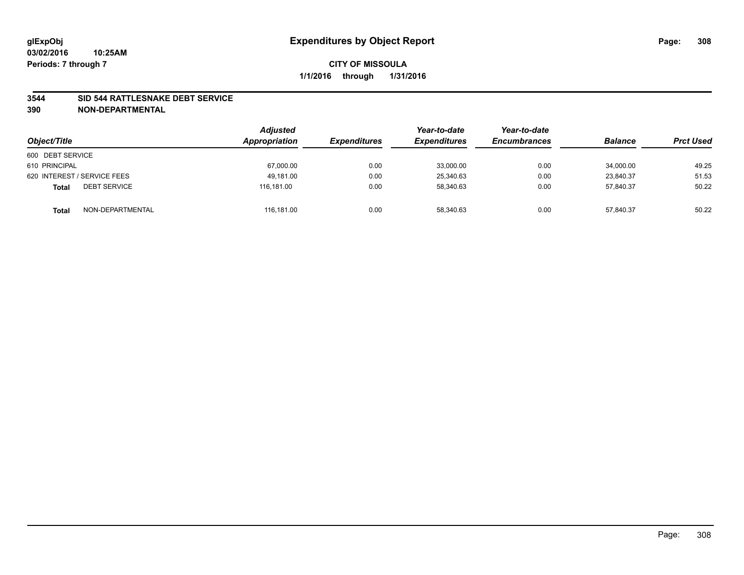#### **3544 SID 544 RATTLESNAKE DEBT SERVICE**

| Object/Title                        | <b>Adjusted</b><br>Appropriation | <b>Expenditures</b> | Year-to-date<br><b>Expenditures</b> | Year-to-date<br><b>Encumbrances</b> | <b>Balance</b> | <b>Prct Used</b> |
|-------------------------------------|----------------------------------|---------------------|-------------------------------------|-------------------------------------|----------------|------------------|
| 600 DEBT SERVICE                    |                                  |                     |                                     |                                     |                |                  |
| 610 PRINCIPAL                       | 67,000.00                        | 0.00                | 33,000.00                           | 0.00                                | 34,000.00      | 49.25            |
| 620 INTEREST / SERVICE FEES         | 49.181.00                        | 0.00                | 25,340.63                           | 0.00                                | 23.840.37      | 51.53            |
| <b>DEBT SERVICE</b><br><b>Total</b> | 116.181.00                       | 0.00                | 58.340.63                           | 0.00                                | 57.840.37      | 50.22            |
| NON-DEPARTMENTAL<br><b>Total</b>    | 116,181.00                       | 0.00                | 58,340.63                           | 0.00                                | 57,840.37      | 50.22            |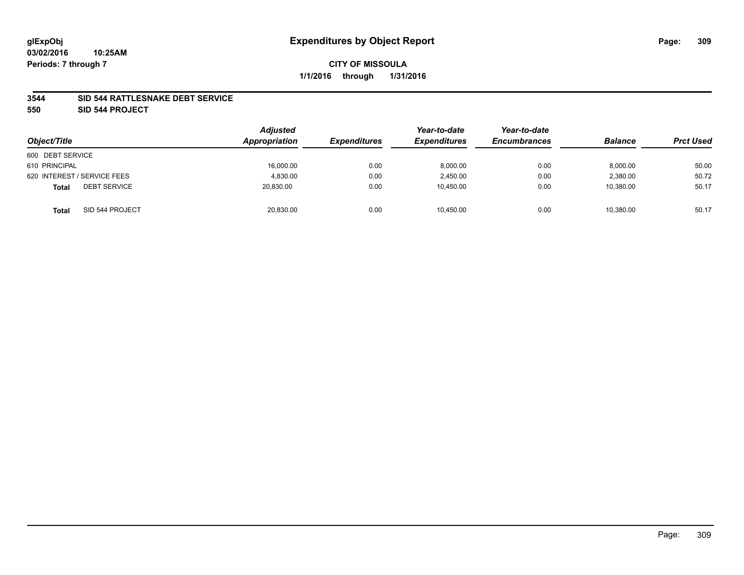### **3544 SID 544 RATTLESNAKE DEBT SERVICE**

**550 SID 544 PROJECT**

| Object/Title                        | Adjusted<br>Appropriation | <b>Expenditures</b> | Year-to-date<br><b>Expenditures</b> | Year-to-date<br><b>Encumbrances</b> | <b>Balance</b> | <b>Prct Used</b> |
|-------------------------------------|---------------------------|---------------------|-------------------------------------|-------------------------------------|----------------|------------------|
| 600 DEBT SERVICE                    |                           |                     |                                     |                                     |                |                  |
| 610 PRINCIPAL                       | 16,000.00                 | 0.00                | 8,000.00                            | 0.00                                | 8,000.00       | 50.00            |
| 620 INTEREST / SERVICE FEES         | 4.830.00                  | 0.00                | 2,450.00                            | 0.00                                | 2,380.00       | 50.72            |
| <b>DEBT SERVICE</b><br><b>Total</b> | 20.830.00                 | 0.00                | 10.450.00                           | 0.00                                | 10.380.00      | 50.17            |
| SID 544 PROJECT<br><b>Total</b>     | 20,830.00                 | 0.00                | 10,450.00                           | 0.00                                | 10,380.00      | 50.17            |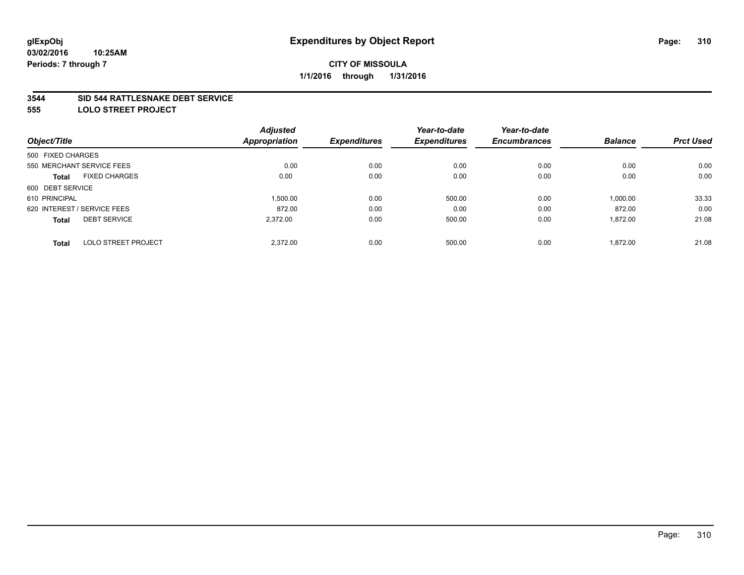#### **3544 SID 544 RATTLESNAKE DEBT SERVICE**

**555 LOLO STREET PROJECT**

|                                            | <b>Adjusted</b> |                     | Year-to-date        | Year-to-date        |                |                  |
|--------------------------------------------|-----------------|---------------------|---------------------|---------------------|----------------|------------------|
| Object/Title                               | Appropriation   | <b>Expenditures</b> | <b>Expenditures</b> | <b>Encumbrances</b> | <b>Balance</b> | <b>Prct Used</b> |
| 500 FIXED CHARGES                          |                 |                     |                     |                     |                |                  |
| 550 MERCHANT SERVICE FEES                  | 0.00            | 0.00                | 0.00                | 0.00                | 0.00           | 0.00             |
| <b>FIXED CHARGES</b><br><b>Total</b>       | 0.00            | 0.00                | 0.00                | 0.00                | 0.00           | 0.00             |
| 600 DEBT SERVICE                           |                 |                     |                     |                     |                |                  |
| 610 PRINCIPAL                              | 1,500.00        | 0.00                | 500.00              | 0.00                | 1,000.00       | 33.33            |
| 620 INTEREST / SERVICE FEES                | 872.00          | 0.00                | 0.00                | 0.00                | 872.00         | 0.00             |
| <b>DEBT SERVICE</b><br><b>Total</b>        | 2,372.00        | 0.00                | 500.00              | 0.00                | 1,872.00       | 21.08            |
| <b>LOLO STREET PROJECT</b><br><b>Total</b> | 2.372.00        | 0.00                | 500.00              | 0.00                | 1.872.00       | 21.08            |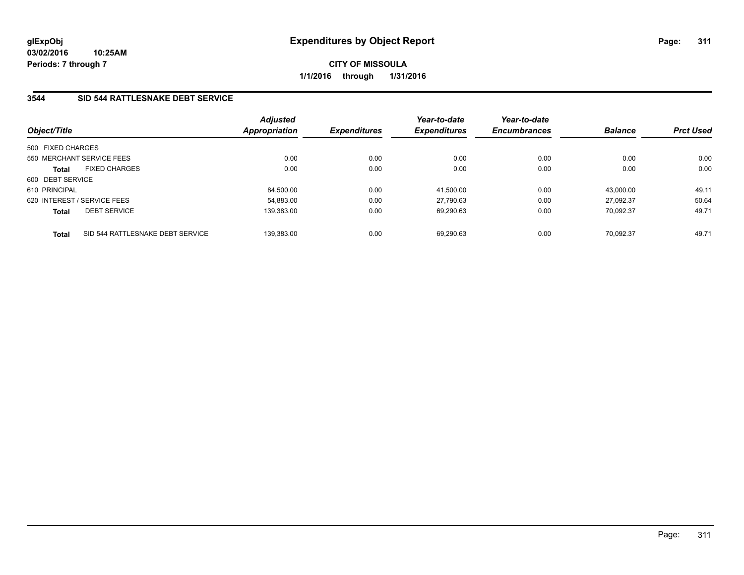## **3544 SID 544 RATTLESNAKE DEBT SERVICE**

| Object/Title      |                                  | <b>Adjusted</b><br><b>Appropriation</b> | <b>Expenditures</b> | Year-to-date<br><b>Expenditures</b> | Year-to-date<br><b>Encumbrances</b> | <b>Balance</b> | <b>Prct Used</b> |
|-------------------|----------------------------------|-----------------------------------------|---------------------|-------------------------------------|-------------------------------------|----------------|------------------|
| 500 FIXED CHARGES |                                  |                                         |                     |                                     |                                     |                |                  |
|                   | 550 MERCHANT SERVICE FEES        | 0.00                                    | 0.00                | 0.00                                | 0.00                                | 0.00           | 0.00             |
| <b>Total</b>      | <b>FIXED CHARGES</b>             | 0.00                                    | 0.00                | 0.00                                | 0.00                                | 0.00           | 0.00             |
| 600 DEBT SERVICE  |                                  |                                         |                     |                                     |                                     |                |                  |
| 610 PRINCIPAL     |                                  | 84.500.00                               | 0.00                | 41.500.00                           | 0.00                                | 43.000.00      | 49.11            |
|                   | 620 INTEREST / SERVICE FEES      | 54.883.00                               | 0.00                | 27.790.63                           | 0.00                                | 27.092.37      | 50.64            |
| <b>Total</b>      | <b>DEBT SERVICE</b>              | 139.383.00                              | 0.00                | 69.290.63                           | 0.00                                | 70.092.37      | 49.71            |
| <b>Total</b>      | SID 544 RATTLESNAKE DEBT SERVICE | 139,383.00                              | 0.00                | 69.290.63                           | 0.00                                | 70.092.37      | 49.71            |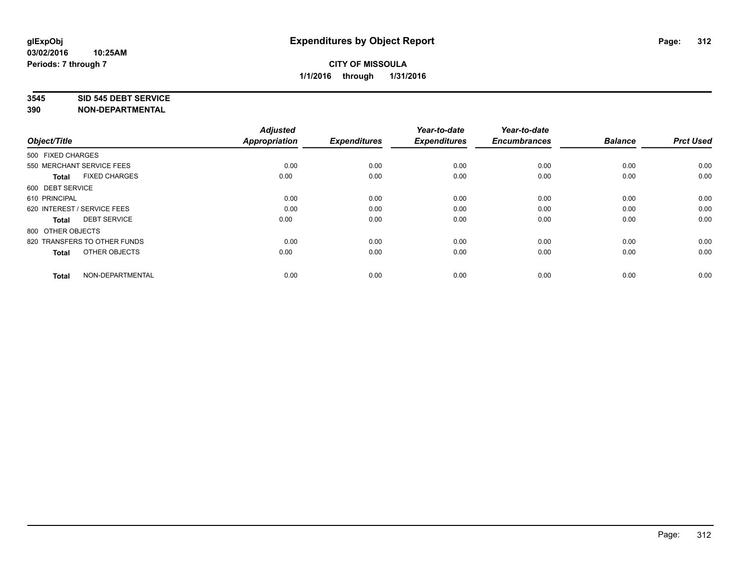#### **3545 SID 545 DEBT SERVICE**

| Object/Title                         | <b>Adjusted</b><br><b>Appropriation</b> | <b>Expenditures</b> | Year-to-date<br><b>Expenditures</b> | Year-to-date<br><b>Encumbrances</b> | <b>Balance</b> | <b>Prct Used</b> |
|--------------------------------------|-----------------------------------------|---------------------|-------------------------------------|-------------------------------------|----------------|------------------|
| 500 FIXED CHARGES                    |                                         |                     |                                     |                                     |                |                  |
| 550 MERCHANT SERVICE FEES            | 0.00                                    | 0.00                | 0.00                                | 0.00                                | 0.00           | 0.00             |
| <b>FIXED CHARGES</b><br><b>Total</b> | 0.00                                    | 0.00                | 0.00                                | 0.00                                | 0.00           | 0.00             |
| 600 DEBT SERVICE                     |                                         |                     |                                     |                                     |                |                  |
| 610 PRINCIPAL                        | 0.00                                    | 0.00                | 0.00                                | 0.00                                | 0.00           | 0.00             |
| 620 INTEREST / SERVICE FEES          | 0.00                                    | 0.00                | 0.00                                | 0.00                                | 0.00           | 0.00             |
| <b>DEBT SERVICE</b><br><b>Total</b>  | 0.00                                    | 0.00                | 0.00                                | 0.00                                | 0.00           | 0.00             |
| 800 OTHER OBJECTS                    |                                         |                     |                                     |                                     |                |                  |
| 820 TRANSFERS TO OTHER FUNDS         | 0.00                                    | 0.00                | 0.00                                | 0.00                                | 0.00           | 0.00             |
| OTHER OBJECTS<br><b>Total</b>        | 0.00                                    | 0.00                | 0.00                                | 0.00                                | 0.00           | 0.00             |
|                                      |                                         |                     |                                     |                                     |                |                  |
| NON-DEPARTMENTAL<br><b>Total</b>     | 0.00                                    | 0.00                | 0.00                                | 0.00                                | 0.00           | 0.00             |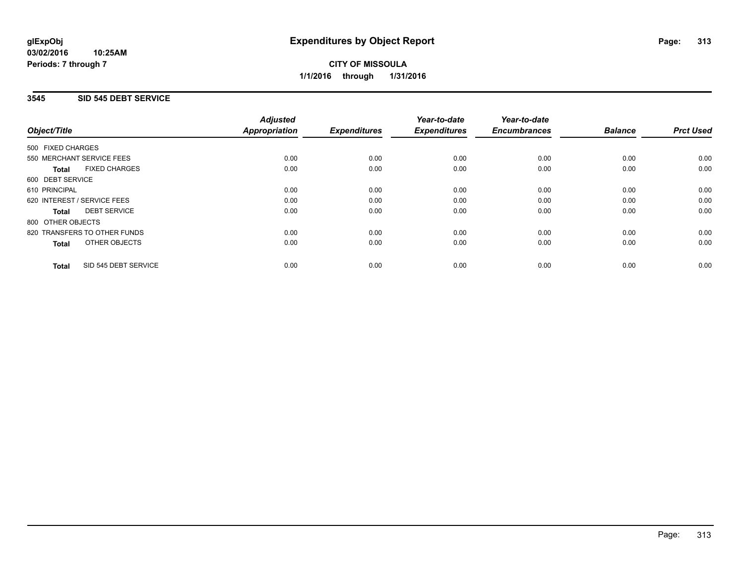## **3545 SID 545 DEBT SERVICE**

|                                      | <b>Adjusted</b>      |                     | Year-to-date        | Year-to-date<br><b>Encumbrances</b> | <b>Balance</b> | <b>Prct Used</b> |
|--------------------------------------|----------------------|---------------------|---------------------|-------------------------------------|----------------|------------------|
| Object/Title                         | <b>Appropriation</b> | <b>Expenditures</b> | <b>Expenditures</b> |                                     |                |                  |
| 500 FIXED CHARGES                    |                      |                     |                     |                                     |                |                  |
| 550 MERCHANT SERVICE FEES            | 0.00                 | 0.00                | 0.00                | 0.00                                | 0.00           | 0.00             |
| <b>FIXED CHARGES</b><br><b>Total</b> | 0.00                 | 0.00                | 0.00                | 0.00                                | 0.00           | 0.00             |
| 600 DEBT SERVICE                     |                      |                     |                     |                                     |                |                  |
| 610 PRINCIPAL                        | 0.00                 | 0.00                | 0.00                | 0.00                                | 0.00           | 0.00             |
| 620 INTEREST / SERVICE FEES          | 0.00                 | 0.00                | 0.00                | 0.00                                | 0.00           | 0.00             |
| <b>DEBT SERVICE</b><br><b>Total</b>  | 0.00                 | 0.00                | 0.00                | 0.00                                | 0.00           | 0.00             |
| 800 OTHER OBJECTS                    |                      |                     |                     |                                     |                |                  |
| 820 TRANSFERS TO OTHER FUNDS         | 0.00                 | 0.00                | 0.00                | 0.00                                | 0.00           | 0.00             |
| <b>OTHER OBJECTS</b><br><b>Total</b> | 0.00                 | 0.00                | 0.00                | 0.00                                | 0.00           | 0.00             |
| SID 545 DEBT SERVICE<br><b>Total</b> | 0.00                 | 0.00                | 0.00                | 0.00                                | 0.00           | 0.00             |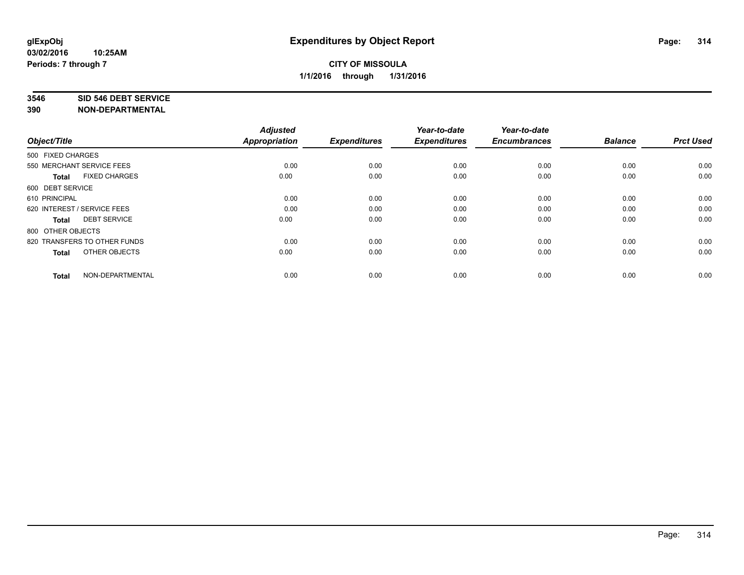#### **3546 SID 546 DEBT SERVICE**

| Object/Title                         | <b>Adjusted</b><br><b>Appropriation</b> | <b>Expenditures</b> | Year-to-date<br><b>Expenditures</b> | Year-to-date<br><b>Encumbrances</b> | <b>Balance</b> | <b>Prct Used</b> |
|--------------------------------------|-----------------------------------------|---------------------|-------------------------------------|-------------------------------------|----------------|------------------|
| 500 FIXED CHARGES                    |                                         |                     |                                     |                                     |                |                  |
| 550 MERCHANT SERVICE FEES            | 0.00                                    | 0.00                | 0.00                                | 0.00                                | 0.00           | 0.00             |
| <b>FIXED CHARGES</b><br><b>Total</b> | 0.00                                    | 0.00                | 0.00                                | 0.00                                | 0.00           | 0.00             |
| 600 DEBT SERVICE                     |                                         |                     |                                     |                                     |                |                  |
| 610 PRINCIPAL                        | 0.00                                    | 0.00                | 0.00                                | 0.00                                | 0.00           | 0.00             |
| 620 INTEREST / SERVICE FEES          | 0.00                                    | 0.00                | 0.00                                | 0.00                                | 0.00           | 0.00             |
| <b>DEBT SERVICE</b><br><b>Total</b>  | 0.00                                    | 0.00                | 0.00                                | 0.00                                | 0.00           | 0.00             |
| 800 OTHER OBJECTS                    |                                         |                     |                                     |                                     |                |                  |
| 820 TRANSFERS TO OTHER FUNDS         | 0.00                                    | 0.00                | 0.00                                | 0.00                                | 0.00           | 0.00             |
| OTHER OBJECTS<br><b>Total</b>        | 0.00                                    | 0.00                | 0.00                                | 0.00                                | 0.00           | 0.00             |
|                                      |                                         |                     |                                     |                                     |                |                  |
| NON-DEPARTMENTAL<br><b>Total</b>     | 0.00                                    | 0.00                | 0.00                                | 0.00                                | 0.00           | 0.00             |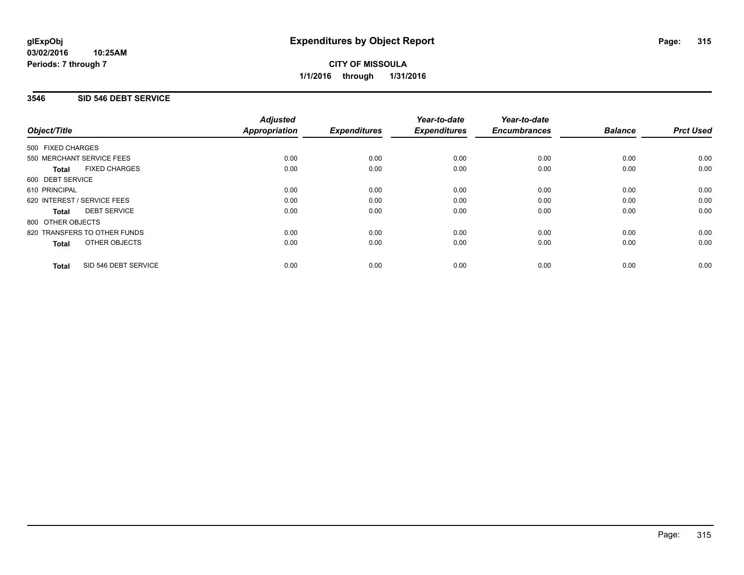#### **03/02/2016 10:25AM Periods: 7 through 7**

**CITY OF MISSOULA 1/1/2016 through 1/31/2016**

### **3546 SID 546 DEBT SERVICE**

|                                      | <b>Adjusted</b>      |                     | Year-to-date        | Year-to-date        |                |                  |
|--------------------------------------|----------------------|---------------------|---------------------|---------------------|----------------|------------------|
| Object/Title                         | <b>Appropriation</b> | <b>Expenditures</b> | <b>Expenditures</b> | <b>Encumbrances</b> | <b>Balance</b> | <b>Prct Used</b> |
| 500 FIXED CHARGES                    |                      |                     |                     |                     |                |                  |
| 550 MERCHANT SERVICE FEES            | 0.00                 | 0.00                | 0.00                | 0.00                | 0.00           | 0.00             |
| <b>FIXED CHARGES</b><br><b>Total</b> | 0.00                 | 0.00                | 0.00                | 0.00                | 0.00           | 0.00             |
| 600 DEBT SERVICE                     |                      |                     |                     |                     |                |                  |
| 610 PRINCIPAL                        | 0.00                 | 0.00                | 0.00                | 0.00                | 0.00           | 0.00             |
| 620 INTEREST / SERVICE FEES          | 0.00                 | 0.00                | 0.00                | 0.00                | 0.00           | 0.00             |
| <b>DEBT SERVICE</b><br><b>Total</b>  | 0.00                 | 0.00                | 0.00                | 0.00                | 0.00           | 0.00             |
| 800 OTHER OBJECTS                    |                      |                     |                     |                     |                |                  |
| 820 TRANSFERS TO OTHER FUNDS         | 0.00                 | 0.00                | 0.00                | 0.00                | 0.00           | 0.00             |
| <b>OTHER OBJECTS</b><br><b>Total</b> | 0.00                 | 0.00                | 0.00                | 0.00                | 0.00           | 0.00             |
| SID 546 DEBT SERVICE<br><b>Total</b> | 0.00                 | 0.00                | 0.00                | 0.00                | 0.00           | 0.00             |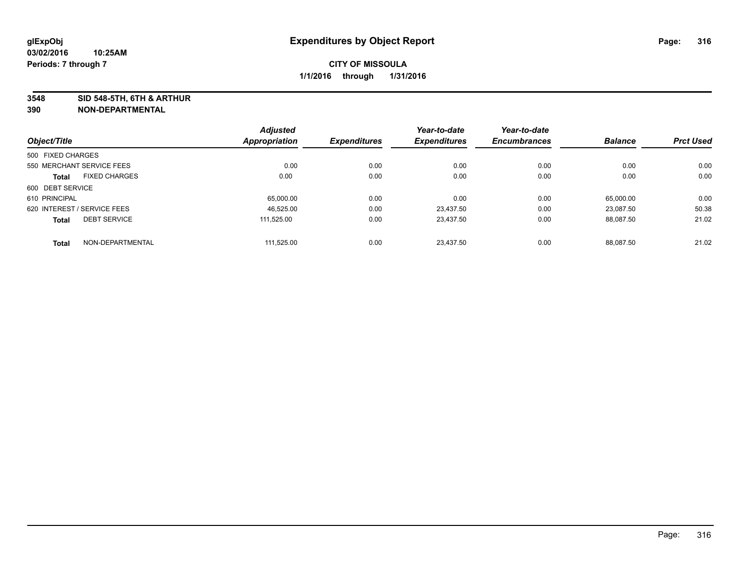**3548 SID 548-5TH, 6TH & ARTHUR**

|                                      | <b>Adjusted</b> |                     | Year-to-date        | Year-to-date        |                |                  |
|--------------------------------------|-----------------|---------------------|---------------------|---------------------|----------------|------------------|
| Object/Title                         | Appropriation   | <b>Expenditures</b> | <b>Expenditures</b> | <b>Encumbrances</b> | <b>Balance</b> | <b>Prct Used</b> |
| 500 FIXED CHARGES                    |                 |                     |                     |                     |                |                  |
| 550 MERCHANT SERVICE FEES            | 0.00            | 0.00                | 0.00                | 0.00                | 0.00           | 0.00             |
| <b>FIXED CHARGES</b><br><b>Total</b> | 0.00            | 0.00                | 0.00                | 0.00                | 0.00           | 0.00             |
| 600 DEBT SERVICE                     |                 |                     |                     |                     |                |                  |
| 610 PRINCIPAL                        | 65,000.00       | 0.00                | 0.00                | 0.00                | 65,000.00      | 0.00             |
| 620 INTEREST / SERVICE FEES          | 46.525.00       | 0.00                | 23.437.50           | 0.00                | 23.087.50      | 50.38            |
| <b>DEBT SERVICE</b><br><b>Total</b>  | 111.525.00      | 0.00                | 23.437.50           | 0.00                | 88.087.50      | 21.02            |
| NON-DEPARTMENTAL<br><b>Total</b>     | 111.525.00      | 0.00                | 23.437.50           | 0.00                | 88.087.50      | 21.02            |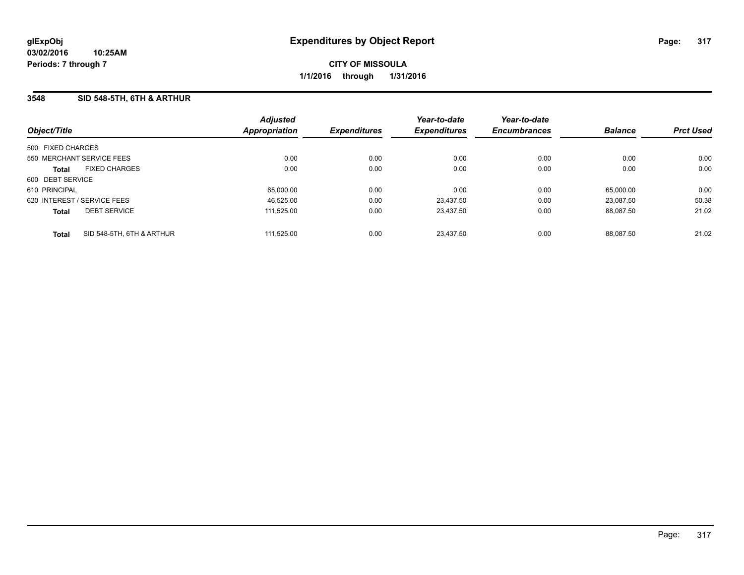#### **3548 SID 548-5TH, 6TH & ARTHUR**

| Object/Title                |                           | <b>Adjusted</b><br>Appropriation | <b>Expenditures</b> | Year-to-date<br><b>Expenditures</b> | Year-to-date<br><b>Encumbrances</b> | <b>Balance</b> | <b>Prct Used</b> |
|-----------------------------|---------------------------|----------------------------------|---------------------|-------------------------------------|-------------------------------------|----------------|------------------|
| 500 FIXED CHARGES           |                           |                                  |                     |                                     |                                     |                |                  |
| 550 MERCHANT SERVICE FEES   |                           | 0.00                             | 0.00                | 0.00                                | 0.00                                | 0.00           | 0.00             |
| <b>Total</b>                | <b>FIXED CHARGES</b>      | 0.00                             | 0.00                | 0.00                                | 0.00                                | 0.00           | 0.00             |
| 600 DEBT SERVICE            |                           |                                  |                     |                                     |                                     |                |                  |
| 610 PRINCIPAL               |                           | 65.000.00                        | 0.00                | 0.00                                | 0.00                                | 65.000.00      | 0.00             |
| 620 INTEREST / SERVICE FEES |                           | 46.525.00                        | 0.00                | 23.437.50                           | 0.00                                | 23.087.50      | 50.38            |
| <b>Total</b>                | <b>DEBT SERVICE</b>       | 111,525.00                       | 0.00                | 23.437.50                           | 0.00                                | 88.087.50      | 21.02            |
| <b>Total</b>                | SID 548-5TH, 6TH & ARTHUR | 111,525.00                       | 0.00                | 23.437.50                           | 0.00                                | 88.087.50      | 21.02            |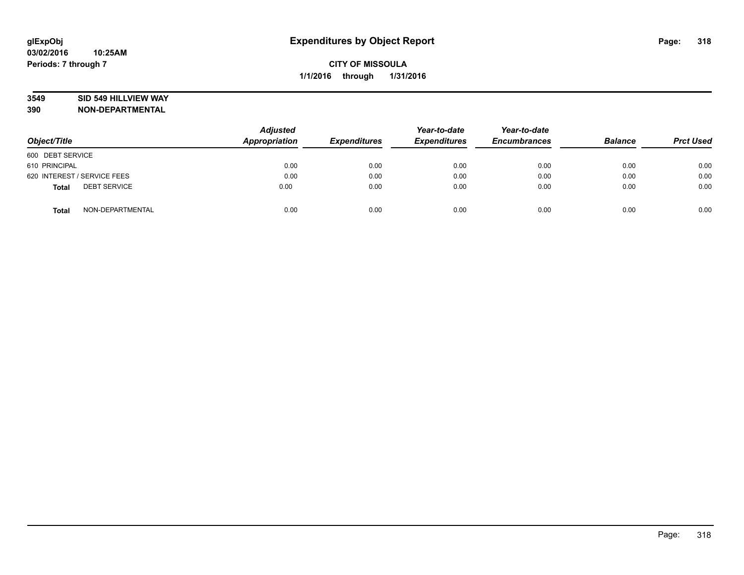### **3549 SID 549 HILLVIEW WAY**

| Object/Title                        | <b>Adjusted</b><br>Appropriation | <b>Expenditures</b> | Year-to-date<br><b>Expenditures</b> | Year-to-date<br><b>Encumbrances</b> | <b>Balance</b> | <b>Prct Used</b> |
|-------------------------------------|----------------------------------|---------------------|-------------------------------------|-------------------------------------|----------------|------------------|
| 600 DEBT SERVICE                    |                                  |                     |                                     |                                     |                |                  |
| 610 PRINCIPAL                       | 0.00                             | 0.00                | 0.00                                | 0.00                                | 0.00           | 0.00             |
| 620 INTEREST / SERVICE FEES         | 0.00                             | 0.00                | 0.00                                | 0.00                                | 0.00           | 0.00             |
| <b>DEBT SERVICE</b><br><b>Total</b> | 0.00                             | 0.00                | 0.00                                | 0.00                                | 0.00           | 0.00             |
| NON-DEPARTMENTAL<br><b>Total</b>    | 0.00                             | 0.00                | 0.00                                | 0.00                                | 0.00           | 0.00             |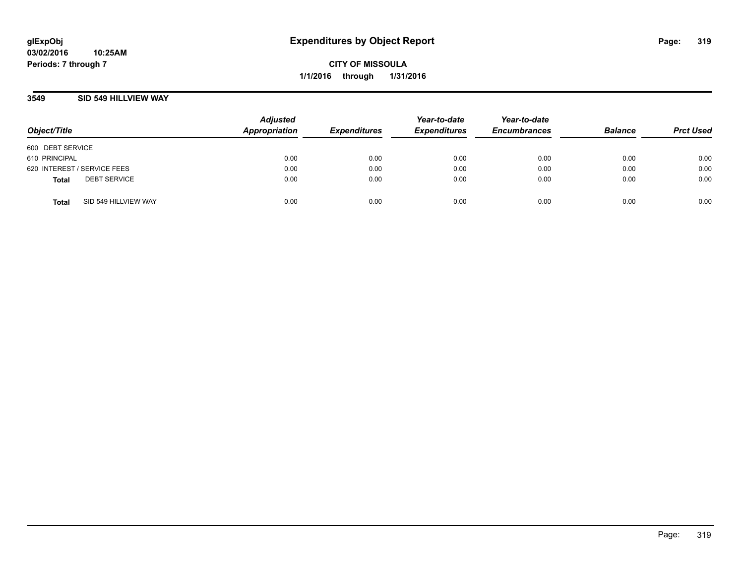### **3549 SID 549 HILLVIEW WAY**

| Object/Title                |                      | <b>Adjusted</b><br>Appropriation | <b>Expenditures</b> | Year-to-date<br><b>Expenditures</b> | Year-to-date<br><b>Encumbrances</b> | <b>Balance</b> | <b>Prct Used</b> |
|-----------------------------|----------------------|----------------------------------|---------------------|-------------------------------------|-------------------------------------|----------------|------------------|
| 600 DEBT SERVICE            |                      |                                  |                     |                                     |                                     |                |                  |
| 610 PRINCIPAL               |                      | 0.00                             | 0.00                | 0.00                                | 0.00                                | 0.00           | 0.00             |
| 620 INTEREST / SERVICE FEES |                      | 0.00                             | 0.00                | 0.00                                | 0.00                                | 0.00           | 0.00             |
| <b>Total</b>                | <b>DEBT SERVICE</b>  | 0.00                             | 0.00                | 0.00                                | 0.00                                | 0.00           | 0.00             |
| <b>Total</b>                | SID 549 HILLVIEW WAY | 0.00                             | 0.00                | 0.00                                | 0.00                                | 0.00           | 0.00             |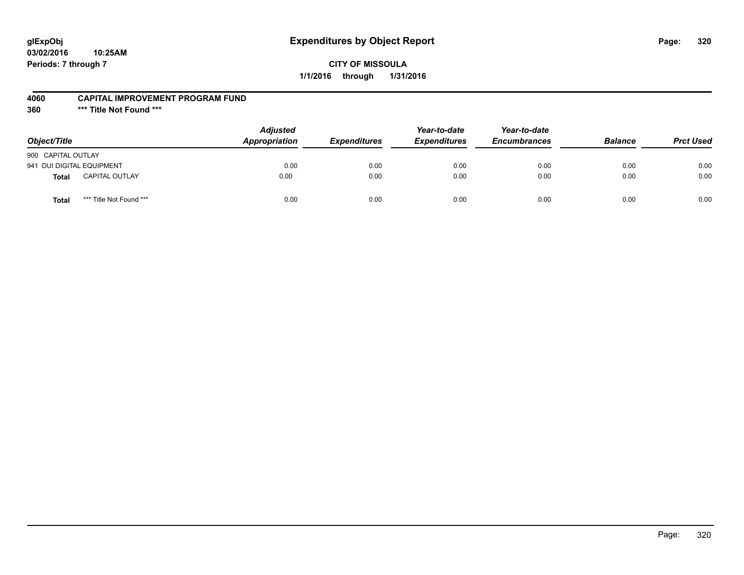# **glExpObj Expenditures by Object Report Page: 320**

### **CITY OF MISSOULA 1/1/2016 through 1/31/2016**

#### **4060 CAPITAL IMPROVEMENT PROGRAM FUND**

**360 \*\*\* Title Not Found \*\*\***

| Object/Title                            | <b>Adjusted</b><br><b>Appropriation</b> | <i><b>Expenditures</b></i> | Year-to-date<br><b>Expenditures</b> | Year-to-date<br><b>Encumbrances</b> | <b>Balance</b> | <b>Prct Used</b> |
|-----------------------------------------|-----------------------------------------|----------------------------|-------------------------------------|-------------------------------------|----------------|------------------|
| 900 CAPITAL OUTLAY                      |                                         |                            |                                     |                                     |                |                  |
| 941 DUI DIGITAL EQUIPMENT               | 0.00                                    | 0.00                       | 0.00                                | 0.00                                | 0.00           | 0.00             |
| <b>CAPITAL OUTLAY</b><br>Total          | 0.00                                    | 0.00                       | 0.00                                | 0.00                                | 0.00           | 0.00             |
| *** Title Not Found ***<br><b>Total</b> | 0.00                                    | 0.00                       | 0.00                                | 0.00                                | 0.00           | 0.00             |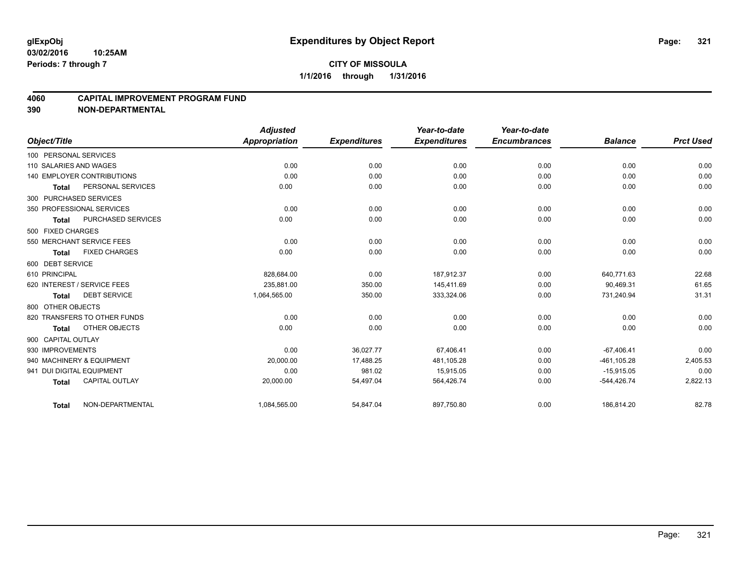### **4060 CAPITAL IMPROVEMENT PROGRAM FUND**

|                           |                                   | <b>Adjusted</b>      |                     | Year-to-date        | Year-to-date        |                |                  |
|---------------------------|-----------------------------------|----------------------|---------------------|---------------------|---------------------|----------------|------------------|
| Object/Title              |                                   | <b>Appropriation</b> | <b>Expenditures</b> | <b>Expenditures</b> | <b>Encumbrances</b> | <b>Balance</b> | <b>Prct Used</b> |
| 100 PERSONAL SERVICES     |                                   |                      |                     |                     |                     |                |                  |
| 110 SALARIES AND WAGES    |                                   | 0.00                 | 0.00                | 0.00                | 0.00                | 0.00           | 0.00             |
|                           | <b>140 EMPLOYER CONTRIBUTIONS</b> | 0.00                 | 0.00                | 0.00                | 0.00                | 0.00           | 0.00             |
| <b>Total</b>              | PERSONAL SERVICES                 | 0.00                 | 0.00                | 0.00                | 0.00                | 0.00           | 0.00             |
| 300 PURCHASED SERVICES    |                                   |                      |                     |                     |                     |                |                  |
|                           | 350 PROFESSIONAL SERVICES         | 0.00                 | 0.00                | 0.00                | 0.00                | 0.00           | 0.00             |
| <b>Total</b>              | PURCHASED SERVICES                | 0.00                 | 0.00                | 0.00                | 0.00                | 0.00           | 0.00             |
| 500 FIXED CHARGES         |                                   |                      |                     |                     |                     |                |                  |
|                           | 550 MERCHANT SERVICE FEES         | 0.00                 | 0.00                | 0.00                | 0.00                | 0.00           | 0.00             |
| <b>Total</b>              | <b>FIXED CHARGES</b>              | 0.00                 | 0.00                | 0.00                | 0.00                | 0.00           | 0.00             |
| 600 DEBT SERVICE          |                                   |                      |                     |                     |                     |                |                  |
| 610 PRINCIPAL             |                                   | 828,684.00           | 0.00                | 187,912.37          | 0.00                | 640,771.63     | 22.68            |
|                           | 620 INTEREST / SERVICE FEES       | 235.881.00           | 350.00              | 145,411.69          | 0.00                | 90,469.31      | 61.65            |
| <b>Total</b>              | <b>DEBT SERVICE</b>               | 1,064,565.00         | 350.00              | 333,324.06          | 0.00                | 731,240.94     | 31.31            |
| 800 OTHER OBJECTS         |                                   |                      |                     |                     |                     |                |                  |
|                           | 820 TRANSFERS TO OTHER FUNDS      | 0.00                 | 0.00                | 0.00                | 0.00                | 0.00           | 0.00             |
| <b>Total</b>              | OTHER OBJECTS                     | 0.00                 | 0.00                | 0.00                | 0.00                | 0.00           | 0.00             |
| 900 CAPITAL OUTLAY        |                                   |                      |                     |                     |                     |                |                  |
| 930 IMPROVEMENTS          |                                   | 0.00                 | 36,027.77           | 67,406.41           | 0.00                | $-67.406.41$   | 0.00             |
|                           | 940 MACHINERY & EQUIPMENT         | 20,000.00            | 17,488.25           | 481,105.28          | 0.00                | $-461, 105.28$ | 2,405.53         |
| 941 DUI DIGITAL EQUIPMENT |                                   | 0.00                 | 981.02              | 15,915.05           | 0.00                | $-15,915.05$   | 0.00             |
| <b>Total</b>              | <b>CAPITAL OUTLAY</b>             | 20,000.00            | 54,497.04           | 564,426.74          | 0.00                | $-544,426.74$  | 2,822.13         |
| <b>Total</b>              | NON-DEPARTMENTAL                  | 1,084,565.00         | 54,847.04           | 897,750.80          | 0.00                | 186,814.20     | 82.78            |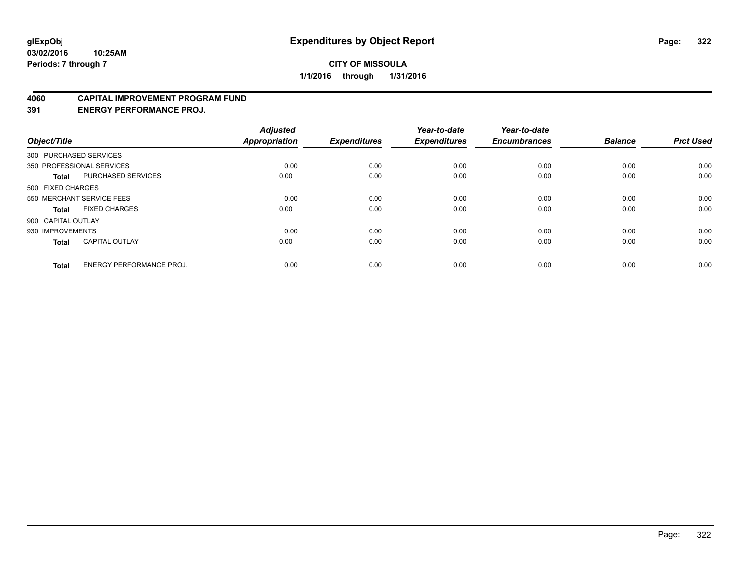#### **4060 CAPITAL IMPROVEMENT PROGRAM FUND**

**391 ENERGY PERFORMANCE PROJ.**

| Object/Title       |                                 | <b>Adjusted</b><br><b>Appropriation</b> | <b>Expenditures</b> | Year-to-date<br><b>Expenditures</b> | Year-to-date<br><b>Encumbrances</b> | <b>Balance</b> | <b>Prct Used</b> |
|--------------------|---------------------------------|-----------------------------------------|---------------------|-------------------------------------|-------------------------------------|----------------|------------------|
|                    | 300 PURCHASED SERVICES          |                                         |                     |                                     |                                     |                |                  |
|                    | 350 PROFESSIONAL SERVICES       | 0.00                                    | 0.00                | 0.00                                | 0.00                                | 0.00           | 0.00             |
| <b>Total</b>       | <b>PURCHASED SERVICES</b>       | 0.00                                    | 0.00                | 0.00                                | 0.00                                | 0.00           | 0.00             |
| 500 FIXED CHARGES  |                                 |                                         |                     |                                     |                                     |                |                  |
|                    | 550 MERCHANT SERVICE FEES       | 0.00                                    | 0.00                | 0.00                                | 0.00                                | 0.00           | 0.00             |
| Total              | <b>FIXED CHARGES</b>            | 0.00                                    | 0.00                | 0.00                                | 0.00                                | 0.00           | 0.00             |
| 900 CAPITAL OUTLAY |                                 |                                         |                     |                                     |                                     |                |                  |
| 930 IMPROVEMENTS   |                                 | 0.00                                    | 0.00                | 0.00                                | 0.00                                | 0.00           | 0.00             |
| Total              | <b>CAPITAL OUTLAY</b>           | 0.00                                    | 0.00                | 0.00                                | 0.00                                | 0.00           | 0.00             |
| <b>Total</b>       | <b>ENERGY PERFORMANCE PROJ.</b> | 0.00                                    | 0.00                | 0.00                                | 0.00                                | 0.00           | 0.00             |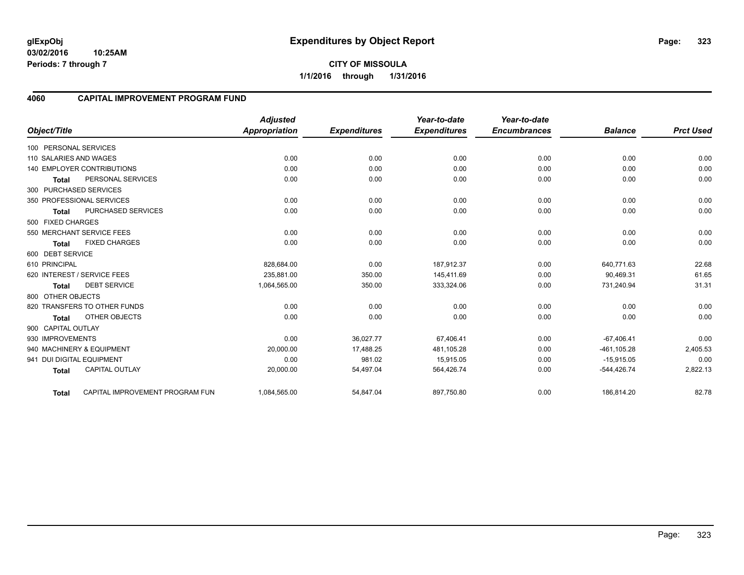**03/02/2016 10:25AM Periods: 7 through 7**

### **4060 CAPITAL IMPROVEMENT PROGRAM FUND**

| Object/Title              |                                   | <b>Adjusted</b><br><b>Appropriation</b> | <b>Expenditures</b> | Year-to-date<br><b>Expenditures</b> | Year-to-date<br><b>Encumbrances</b> | <b>Balance</b> | <b>Prct Used</b> |
|---------------------------|-----------------------------------|-----------------------------------------|---------------------|-------------------------------------|-------------------------------------|----------------|------------------|
|                           |                                   |                                         |                     |                                     |                                     |                |                  |
| 100 PERSONAL SERVICES     |                                   |                                         |                     |                                     |                                     |                |                  |
| 110 SALARIES AND WAGES    |                                   | 0.00                                    | 0.00                | 0.00                                | 0.00                                | 0.00           | 0.00             |
|                           | <b>140 EMPLOYER CONTRIBUTIONS</b> | 0.00                                    | 0.00                | 0.00                                | 0.00                                | 0.00           | 0.00             |
| <b>Total</b>              | PERSONAL SERVICES                 | 0.00                                    | 0.00                | 0.00                                | 0.00                                | 0.00           | 0.00             |
| 300 PURCHASED SERVICES    |                                   |                                         |                     |                                     |                                     |                |                  |
|                           | 350 PROFESSIONAL SERVICES         | 0.00                                    | 0.00                | 0.00                                | 0.00                                | 0.00           | 0.00             |
| <b>Total</b>              | <b>PURCHASED SERVICES</b>         | 0.00                                    | 0.00                | 0.00                                | 0.00                                | 0.00           | 0.00             |
| 500 FIXED CHARGES         |                                   |                                         |                     |                                     |                                     |                |                  |
|                           | 550 MERCHANT SERVICE FEES         | 0.00                                    | 0.00                | 0.00                                | 0.00                                | 0.00           | 0.00             |
| <b>Total</b>              | <b>FIXED CHARGES</b>              | 0.00                                    | 0.00                | 0.00                                | 0.00                                | 0.00           | 0.00             |
| 600 DEBT SERVICE          |                                   |                                         |                     |                                     |                                     |                |                  |
| 610 PRINCIPAL             |                                   | 828,684.00                              | 0.00                | 187,912.37                          | 0.00                                | 640,771.63     | 22.68            |
|                           | 620 INTEREST / SERVICE FEES       | 235.881.00                              | 350.00              | 145.411.69                          | 0.00                                | 90,469.31      | 61.65            |
| <b>Total</b>              | <b>DEBT SERVICE</b>               | 1,064,565.00                            | 350.00              | 333,324.06                          | 0.00                                | 731,240.94     | 31.31            |
| 800 OTHER OBJECTS         |                                   |                                         |                     |                                     |                                     |                |                  |
|                           | 820 TRANSFERS TO OTHER FUNDS      | 0.00                                    | 0.00                | 0.00                                | 0.00                                | 0.00           | 0.00             |
| <b>Total</b>              | OTHER OBJECTS                     | 0.00                                    | 0.00                | 0.00                                | 0.00                                | 0.00           | 0.00             |
| 900 CAPITAL OUTLAY        |                                   |                                         |                     |                                     |                                     |                |                  |
| 930 IMPROVEMENTS          |                                   | 0.00                                    | 36,027.77           | 67,406.41                           | 0.00                                | $-67,406.41$   | 0.00             |
|                           | 940 MACHINERY & EQUIPMENT         | 20,000.00                               | 17,488.25           | 481,105.28                          | 0.00                                | $-461, 105.28$ | 2,405.53         |
| 941 DUI DIGITAL EQUIPMENT |                                   | 0.00                                    | 981.02              | 15,915.05                           | 0.00                                | $-15,915.05$   | 0.00             |
| <b>Total</b>              | <b>CAPITAL OUTLAY</b>             | 20,000.00                               | 54,497.04           | 564,426.74                          | 0.00                                | -544,426.74    | 2,822.13         |
| <b>Total</b>              | CAPITAL IMPROVEMENT PROGRAM FUN   | 1,084,565.00                            | 54,847.04           | 897,750.80                          | 0.00                                | 186,814.20     | 82.78            |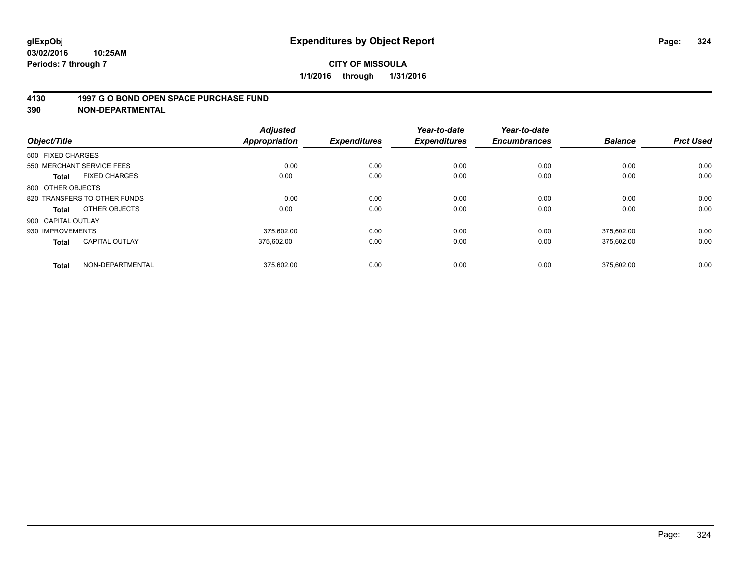#### **4130 1997 G O BOND OPEN SPACE PURCHASE FUND**

| Object/Title                          | <b>Adjusted</b><br><b>Appropriation</b> | <b>Expenditures</b> | Year-to-date<br><b>Expenditures</b> | Year-to-date<br><b>Encumbrances</b> | <b>Balance</b> | <b>Prct Used</b> |
|---------------------------------------|-----------------------------------------|---------------------|-------------------------------------|-------------------------------------|----------------|------------------|
| 500 FIXED CHARGES                     |                                         |                     |                                     |                                     |                |                  |
| 550 MERCHANT SERVICE FEES             | 0.00                                    | 0.00                | 0.00                                | 0.00                                | 0.00           | 0.00             |
| <b>FIXED CHARGES</b><br><b>Total</b>  | 0.00                                    | 0.00                | 0.00                                | 0.00                                | 0.00           | 0.00             |
| 800 OTHER OBJECTS                     |                                         |                     |                                     |                                     |                |                  |
| 820 TRANSFERS TO OTHER FUNDS          | 0.00                                    | 0.00                | 0.00                                | 0.00                                | 0.00           | 0.00             |
| OTHER OBJECTS<br>Total                | 0.00                                    | 0.00                | 0.00                                | 0.00                                | 0.00           | 0.00             |
| 900 CAPITAL OUTLAY                    |                                         |                     |                                     |                                     |                |                  |
| 930 IMPROVEMENTS                      | 375.602.00                              | 0.00                | 0.00                                | 0.00                                | 375.602.00     | 0.00             |
| <b>CAPITAL OUTLAY</b><br><b>Total</b> | 375.602.00                              | 0.00                | 0.00                                | 0.00                                | 375,602.00     | 0.00             |
| NON-DEPARTMENTAL<br><b>Total</b>      | 375,602.00                              | 0.00                | 0.00                                | 0.00                                | 375,602.00     | 0.00             |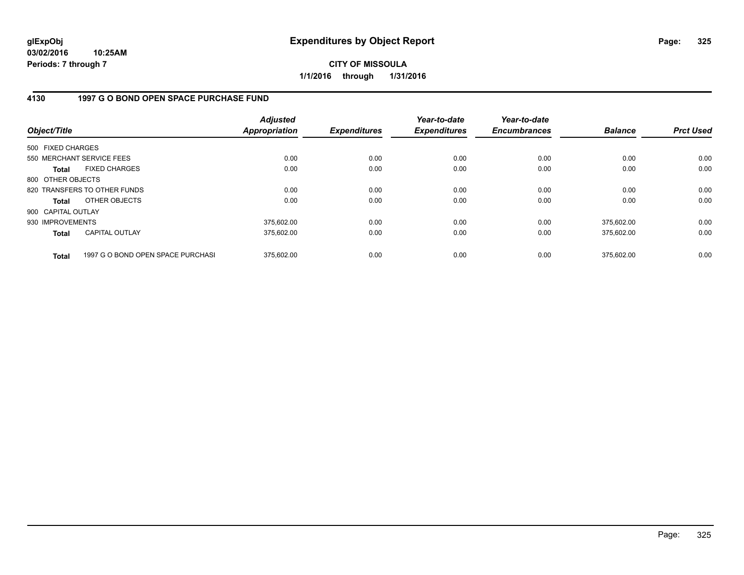**03/02/2016 10:25AM Periods: 7 through 7**

**CITY OF MISSOULA 1/1/2016 through 1/31/2016**

## **4130 1997 G O BOND OPEN SPACE PURCHASE FUND**

| Object/Title       |                                   | <b>Adjusted</b><br><b>Appropriation</b> | <b>Expenditures</b> | Year-to-date<br><b>Expenditures</b> | Year-to-date<br><b>Encumbrances</b> | <b>Balance</b> | <b>Prct Used</b> |
|--------------------|-----------------------------------|-----------------------------------------|---------------------|-------------------------------------|-------------------------------------|----------------|------------------|
| 500 FIXED CHARGES  |                                   |                                         |                     |                                     |                                     |                |                  |
|                    | 550 MERCHANT SERVICE FEES         | 0.00                                    | 0.00                | 0.00                                | 0.00                                | 0.00           | 0.00             |
| <b>Total</b>       | <b>FIXED CHARGES</b>              | 0.00                                    | 0.00                | 0.00                                | 0.00                                | 0.00           | 0.00             |
| 800 OTHER OBJECTS  |                                   |                                         |                     |                                     |                                     |                |                  |
|                    | 820 TRANSFERS TO OTHER FUNDS      | 0.00                                    | 0.00                | 0.00                                | 0.00                                | 0.00           | 0.00             |
| <b>Total</b>       | OTHER OBJECTS                     | 0.00                                    | 0.00                | 0.00                                | 0.00                                | 0.00           | 0.00             |
| 900 CAPITAL OUTLAY |                                   |                                         |                     |                                     |                                     |                |                  |
| 930 IMPROVEMENTS   |                                   | 375,602.00                              | 0.00                | 0.00                                | 0.00                                | 375.602.00     | 0.00             |
| <b>Total</b>       | <b>CAPITAL OUTLAY</b>             | 375,602.00                              | 0.00                | 0.00                                | 0.00                                | 375,602.00     | 0.00             |
| <b>Total</b>       | 1997 G O BOND OPEN SPACE PURCHASI | 375.602.00                              | 0.00                | 0.00                                | 0.00                                | 375.602.00     | 0.00             |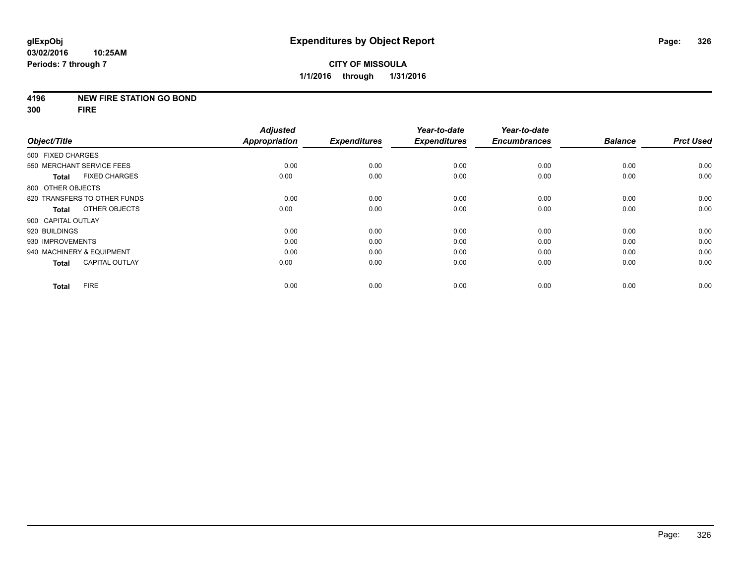#### **4196 NEW FIRE STATION GO BOND**

**300 FIRE**

| Object/Title       |                              | <b>Adjusted</b><br><b>Appropriation</b> | <b>Expenditures</b> | Year-to-date        | Year-to-date<br><b>Encumbrances</b> | <b>Balance</b> | <b>Prct Used</b> |
|--------------------|------------------------------|-----------------------------------------|---------------------|---------------------|-------------------------------------|----------------|------------------|
|                    |                              |                                         |                     | <b>Expenditures</b> |                                     |                |                  |
| 500 FIXED CHARGES  |                              |                                         |                     |                     |                                     |                |                  |
|                    | 550 MERCHANT SERVICE FEES    | 0.00                                    | 0.00                | 0.00                | 0.00                                | 0.00           | 0.00             |
| <b>Total</b>       | <b>FIXED CHARGES</b>         | 0.00                                    | 0.00                | 0.00                | 0.00                                | 0.00           | 0.00             |
| 800 OTHER OBJECTS  |                              |                                         |                     |                     |                                     |                |                  |
|                    | 820 TRANSFERS TO OTHER FUNDS | 0.00                                    | 0.00                | 0.00                | 0.00                                | 0.00           | 0.00             |
| <b>Total</b>       | OTHER OBJECTS                | 0.00                                    | 0.00                | 0.00                | 0.00                                | 0.00           | 0.00             |
| 900 CAPITAL OUTLAY |                              |                                         |                     |                     |                                     |                |                  |
| 920 BUILDINGS      |                              | 0.00                                    | 0.00                | 0.00                | 0.00                                | 0.00           | 0.00             |
| 930 IMPROVEMENTS   |                              | 0.00                                    | 0.00                | 0.00                | 0.00                                | 0.00           | 0.00             |
|                    | 940 MACHINERY & EQUIPMENT    | 0.00                                    | 0.00                | 0.00                | 0.00                                | 0.00           | 0.00             |
| <b>Total</b>       | <b>CAPITAL OUTLAY</b>        | 0.00                                    | 0.00                | 0.00                | 0.00                                | 0.00           | 0.00             |
| <b>Total</b>       | <b>FIRE</b>                  | 0.00                                    | 0.00                | 0.00                | 0.00                                | 0.00           | 0.00             |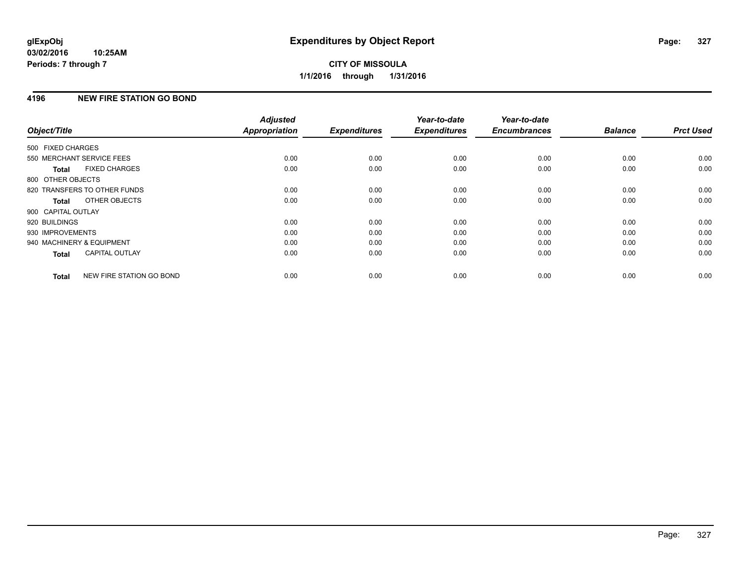# **4196 NEW FIRE STATION GO BOND**

| Object/Title              |                              | <b>Adjusted</b><br><b>Appropriation</b> | <b>Expenditures</b> | Year-to-date<br><b>Expenditures</b> | Year-to-date<br><b>Encumbrances</b> | <b>Balance</b> | <b>Prct Used</b> |
|---------------------------|------------------------------|-----------------------------------------|---------------------|-------------------------------------|-------------------------------------|----------------|------------------|
|                           |                              |                                         |                     |                                     |                                     |                |                  |
| 500 FIXED CHARGES         |                              |                                         |                     |                                     |                                     |                |                  |
| 550 MERCHANT SERVICE FEES |                              | 0.00                                    | 0.00                | 0.00                                | 0.00                                | 0.00           | 0.00             |
| <b>Total</b>              | <b>FIXED CHARGES</b>         | 0.00                                    | 0.00                | 0.00                                | 0.00                                | 0.00           | 0.00             |
| 800 OTHER OBJECTS         |                              |                                         |                     |                                     |                                     |                |                  |
|                           | 820 TRANSFERS TO OTHER FUNDS | 0.00                                    | 0.00                | 0.00                                | 0.00                                | 0.00           | 0.00             |
| <b>Total</b>              | OTHER OBJECTS                | 0.00                                    | 0.00                | 0.00                                | 0.00                                | 0.00           | 0.00             |
| 900 CAPITAL OUTLAY        |                              |                                         |                     |                                     |                                     |                |                  |
| 920 BUILDINGS             |                              | 0.00                                    | 0.00                | 0.00                                | 0.00                                | 0.00           | 0.00             |
| 930 IMPROVEMENTS          |                              | 0.00                                    | 0.00                | 0.00                                | 0.00                                | 0.00           | 0.00             |
| 940 MACHINERY & EQUIPMENT |                              | 0.00                                    | 0.00                | 0.00                                | 0.00                                | 0.00           | 0.00             |
| <b>Total</b>              | <b>CAPITAL OUTLAY</b>        | 0.00                                    | 0.00                | 0.00                                | 0.00                                | 0.00           | 0.00             |
| <b>Total</b>              | NEW FIRE STATION GO BOND     | 0.00                                    | 0.00                | 0.00                                | 0.00                                | 0.00           | 0.00             |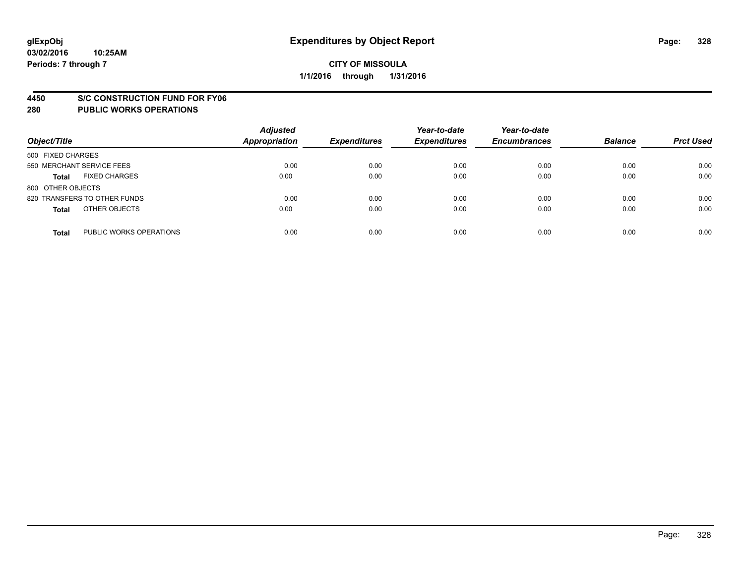#### **4450 S/C CONSTRUCTION FUND FOR FY06**

| Object/Title                            | <b>Adjusted</b><br><b>Appropriation</b> | <b>Expenditures</b> | Year-to-date<br><b>Expenditures</b> | Year-to-date<br><b>Encumbrances</b> | <b>Balance</b> | <b>Prct Used</b> |
|-----------------------------------------|-----------------------------------------|---------------------|-------------------------------------|-------------------------------------|----------------|------------------|
| 500 FIXED CHARGES                       |                                         |                     |                                     |                                     |                |                  |
| 550 MERCHANT SERVICE FEES               | 0.00                                    | 0.00                | 0.00                                | 0.00                                | 0.00           | 0.00             |
| <b>FIXED CHARGES</b><br><b>Total</b>    | 0.00                                    | 0.00                | 0.00                                | 0.00                                | 0.00           | 0.00             |
| 800 OTHER OBJECTS                       |                                         |                     |                                     |                                     |                |                  |
| 820 TRANSFERS TO OTHER FUNDS            | 0.00                                    | 0.00                | 0.00                                | 0.00                                | 0.00           | 0.00             |
| OTHER OBJECTS<br><b>Total</b>           | 0.00                                    | 0.00                | 0.00                                | 0.00                                | 0.00           | 0.00             |
| PUBLIC WORKS OPERATIONS<br><b>Total</b> | 0.00                                    | 0.00                | 0.00                                | 0.00                                | 0.00           | 0.00             |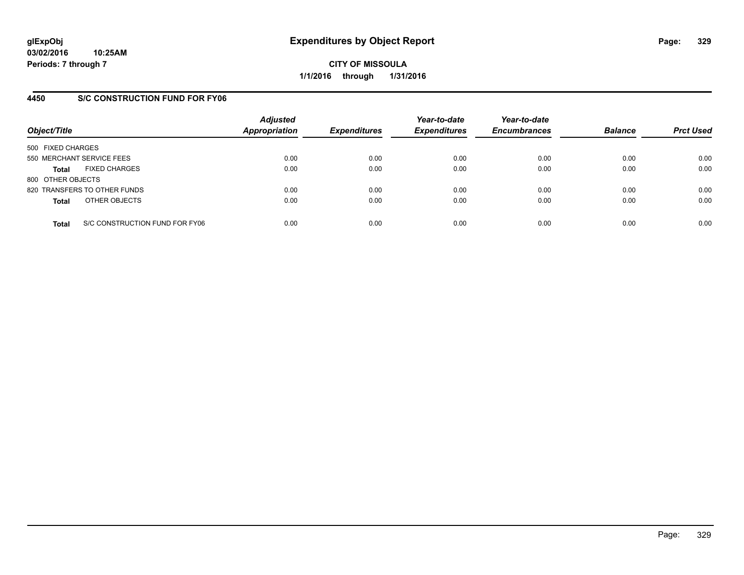## **4450 S/C CONSTRUCTION FUND FOR FY06**

| Object/Title                         |                                | <b>Adjusted</b><br><b>Appropriation</b> | <b>Expenditures</b> | Year-to-date<br><b>Expenditures</b> | Year-to-date<br><b>Encumbrances</b> | <b>Balance</b> | <b>Prct Used</b> |
|--------------------------------------|--------------------------------|-----------------------------------------|---------------------|-------------------------------------|-------------------------------------|----------------|------------------|
| 500 FIXED CHARGES                    |                                |                                         |                     |                                     |                                     |                |                  |
| 550 MERCHANT SERVICE FEES            |                                | 0.00                                    | 0.00                | 0.00                                | 0.00                                | 0.00           | 0.00             |
| <b>FIXED CHARGES</b><br><b>Total</b> |                                | 0.00                                    | 0.00                | 0.00                                | 0.00                                | 0.00           | 0.00             |
| 800 OTHER OBJECTS                    |                                |                                         |                     |                                     |                                     |                |                  |
| 820 TRANSFERS TO OTHER FUNDS         |                                | 0.00                                    | 0.00                | 0.00                                | 0.00                                | 0.00           | 0.00             |
| OTHER OBJECTS<br><b>Total</b>        |                                | 0.00                                    | 0.00                | 0.00                                | 0.00                                | 0.00           | 0.00             |
| <b>Total</b>                         | S/C CONSTRUCTION FUND FOR FY06 | 0.00                                    | 0.00                | 0.00                                | 0.00                                | 0.00           | 0.00             |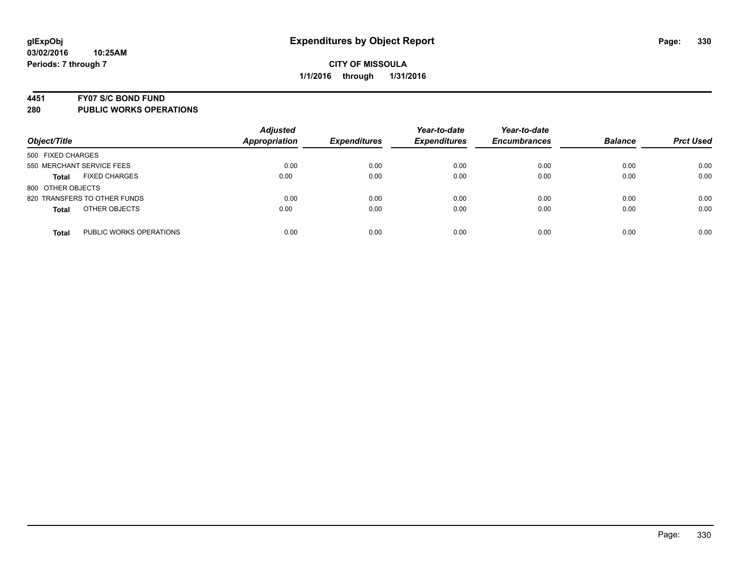#### **4451 FY07 S/C BOND FUND**

| Object/Title                            | <b>Adjusted</b><br><b>Appropriation</b> | <b>Expenditures</b> | Year-to-date<br><b>Expenditures</b> | Year-to-date<br><b>Encumbrances</b> | <b>Balance</b> | <b>Prct Used</b> |
|-----------------------------------------|-----------------------------------------|---------------------|-------------------------------------|-------------------------------------|----------------|------------------|
| 500 FIXED CHARGES                       |                                         |                     |                                     |                                     |                |                  |
| 550 MERCHANT SERVICE FEES               | 0.00                                    | 0.00                | 0.00                                | 0.00                                | 0.00           | 0.00             |
| <b>FIXED CHARGES</b><br><b>Total</b>    | 0.00                                    | 0.00                | 0.00                                | 0.00                                | 0.00           | 0.00             |
| 800 OTHER OBJECTS                       |                                         |                     |                                     |                                     |                |                  |
| 820 TRANSFERS TO OTHER FUNDS            | 0.00                                    | 0.00                | 0.00                                | 0.00                                | 0.00           | 0.00             |
| OTHER OBJECTS<br><b>Total</b>           | 0.00                                    | 0.00                | 0.00                                | 0.00                                | 0.00           | 0.00             |
| PUBLIC WORKS OPERATIONS<br><b>Total</b> | 0.00                                    | 0.00                | 0.00                                | 0.00                                | 0.00           | 0.00             |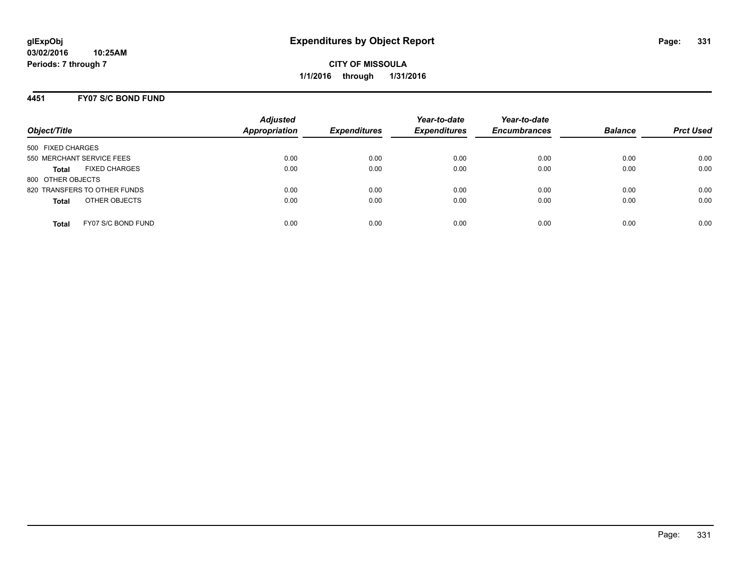## **4451 FY07 S/C BOND FUND**

| Object/Title                         | <b>Adjusted</b><br>Appropriation | <b>Expenditures</b> | Year-to-date<br><b>Expenditures</b> | Year-to-date<br><b>Encumbrances</b> | <b>Balance</b> | <b>Prct Used</b> |
|--------------------------------------|----------------------------------|---------------------|-------------------------------------|-------------------------------------|----------------|------------------|
| 500 FIXED CHARGES                    |                                  |                     |                                     |                                     |                |                  |
| 550 MERCHANT SERVICE FEES            | 0.00                             | 0.00                | 0.00                                | 0.00                                | 0.00           | 0.00             |
| <b>FIXED CHARGES</b><br><b>Total</b> | 0.00                             | 0.00                | 0.00                                | 0.00                                | 0.00           | 0.00             |
| 800 OTHER OBJECTS                    |                                  |                     |                                     |                                     |                |                  |
| 820 TRANSFERS TO OTHER FUNDS         | 0.00                             | 0.00                | 0.00                                | 0.00                                | 0.00           | 0.00             |
| OTHER OBJECTS<br><b>Total</b>        | 0.00                             | 0.00                | 0.00                                | 0.00                                | 0.00           | 0.00             |
| FY07 S/C BOND FUND<br>Total          | 0.00                             | 0.00                | 0.00                                | 0.00                                | 0.00           | 0.00             |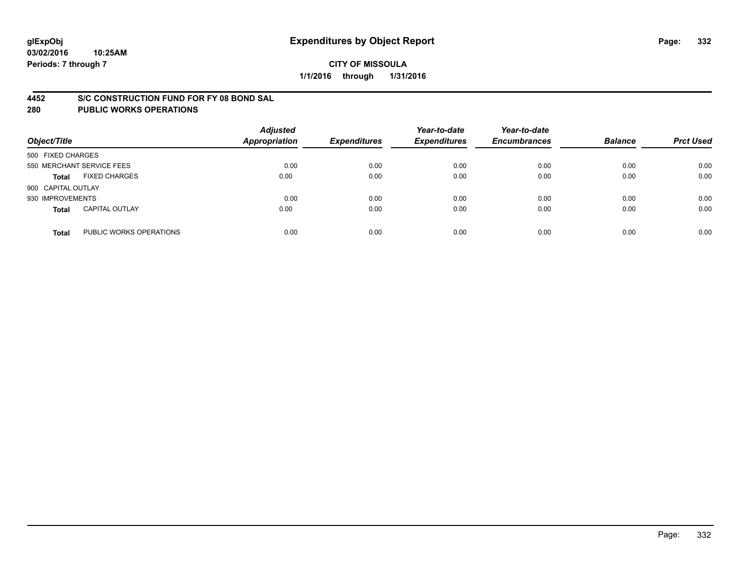#### **4452 S/C CONSTRUCTION FUND FOR FY 08 BOND SAL**

| Object/Title       |                           | <b>Adjusted</b><br><b>Appropriation</b> | <b>Expenditures</b> | Year-to-date<br><b>Expenditures</b> | Year-to-date<br><b>Encumbrances</b> | <b>Balance</b> | <b>Prct Used</b> |
|--------------------|---------------------------|-----------------------------------------|---------------------|-------------------------------------|-------------------------------------|----------------|------------------|
| 500 FIXED CHARGES  |                           |                                         |                     |                                     |                                     |                |                  |
|                    | 550 MERCHANT SERVICE FEES | 0.00                                    | 0.00                | 0.00                                | 0.00                                | 0.00           | 0.00             |
| <b>Total</b>       | <b>FIXED CHARGES</b>      | 0.00                                    | 0.00                | 0.00                                | 0.00                                | 0.00           | 0.00             |
| 900 CAPITAL OUTLAY |                           |                                         |                     |                                     |                                     |                |                  |
| 930 IMPROVEMENTS   |                           | 0.00                                    | 0.00                | 0.00                                | 0.00                                | 0.00           | 0.00             |
| <b>Total</b>       | <b>CAPITAL OUTLAY</b>     | 0.00                                    | 0.00                | 0.00                                | 0.00                                | 0.00           | 0.00             |
| <b>Total</b>       | PUBLIC WORKS OPERATIONS   | 0.00                                    | 0.00                | 0.00                                | 0.00                                | 0.00           | 0.00             |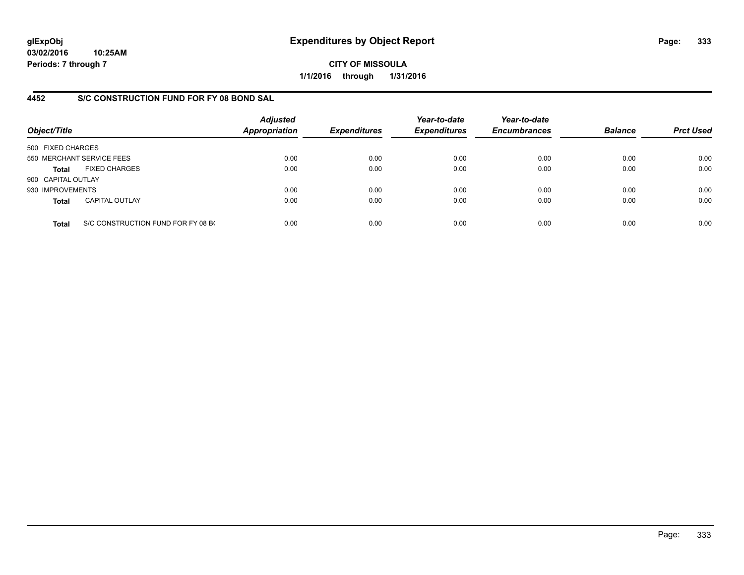**03/02/2016 10:25AM Periods: 7 through 7**

**CITY OF MISSOULA 1/1/2016 through 1/31/2016**

## **4452 S/C CONSTRUCTION FUND FOR FY 08 BOND SAL**

| Object/Title       |                                    | <b>Adjusted</b><br>Appropriation | <b>Expenditures</b> | Year-to-date<br><b>Expenditures</b> | Year-to-date<br><b>Encumbrances</b> | <b>Balance</b> | <b>Prct Used</b> |
|--------------------|------------------------------------|----------------------------------|---------------------|-------------------------------------|-------------------------------------|----------------|------------------|
| 500 FIXED CHARGES  |                                    |                                  |                     |                                     |                                     |                |                  |
|                    | 550 MERCHANT SERVICE FEES          | 0.00                             | 0.00                | 0.00                                | 0.00                                | 0.00           | 0.00             |
| <b>Total</b>       | <b>FIXED CHARGES</b>               | 0.00                             | 0.00                | 0.00                                | 0.00                                | 0.00           | 0.00             |
| 900 CAPITAL OUTLAY |                                    |                                  |                     |                                     |                                     |                |                  |
| 930 IMPROVEMENTS   |                                    | 0.00                             | 0.00                | 0.00                                | 0.00                                | 0.00           | 0.00             |
| <b>Total</b>       | <b>CAPITAL OUTLAY</b>              | 0.00                             | 0.00                | 0.00                                | 0.00                                | 0.00           | 0.00             |
| <b>Total</b>       | S/C CONSTRUCTION FUND FOR FY 08 BO | 0.00                             | 0.00                | 0.00                                | 0.00                                | 0.00           | 0.00             |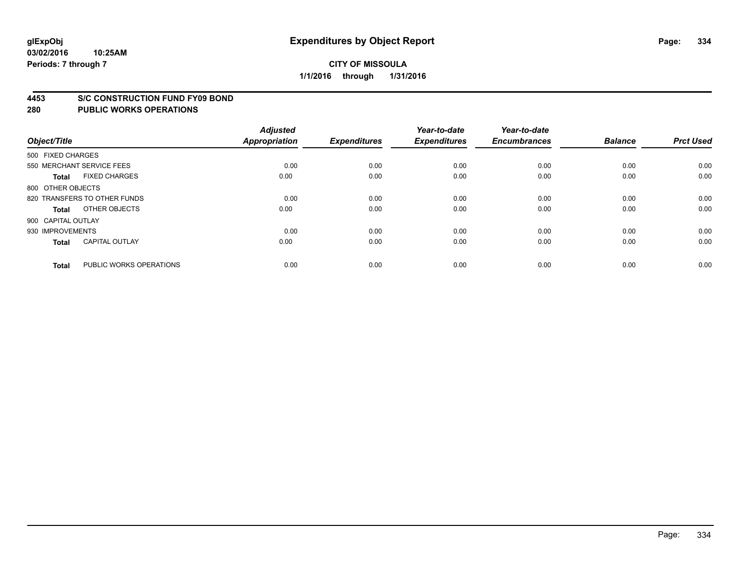#### **03/02/2016 10:25AM Periods: 7 through 7**

## **CITY OF MISSOULA 1/1/2016 through 1/31/2016**

#### **4453 S/C CONSTRUCTION FUND FY09 BOND**

| Object/Title       |                              | <b>Adjusted</b><br><b>Appropriation</b> | <b>Expenditures</b> | Year-to-date<br><b>Expenditures</b> | Year-to-date<br><b>Encumbrances</b> | <b>Balance</b> | <b>Prct Used</b> |
|--------------------|------------------------------|-----------------------------------------|---------------------|-------------------------------------|-------------------------------------|----------------|------------------|
| 500 FIXED CHARGES  |                              |                                         |                     |                                     |                                     |                |                  |
|                    | 550 MERCHANT SERVICE FEES    | 0.00                                    | 0.00                | 0.00                                | 0.00                                | 0.00           | 0.00             |
| <b>Total</b>       | <b>FIXED CHARGES</b>         | 0.00                                    | 0.00                | 0.00                                | 0.00                                | 0.00           | 0.00             |
| 800 OTHER OBJECTS  |                              |                                         |                     |                                     |                                     |                |                  |
|                    | 820 TRANSFERS TO OTHER FUNDS | 0.00                                    | 0.00                | 0.00                                | 0.00                                | 0.00           | 0.00             |
| Total              | OTHER OBJECTS                | 0.00                                    | 0.00                | 0.00                                | 0.00                                | 0.00           | 0.00             |
| 900 CAPITAL OUTLAY |                              |                                         |                     |                                     |                                     |                |                  |
| 930 IMPROVEMENTS   |                              | 0.00                                    | 0.00                | 0.00                                | 0.00                                | 0.00           | 0.00             |
| Total              | <b>CAPITAL OUTLAY</b>        | 0.00                                    | 0.00                | 0.00                                | 0.00                                | 0.00           | 0.00             |
| <b>Total</b>       | PUBLIC WORKS OPERATIONS      | 0.00                                    | 0.00                | 0.00                                | 0.00                                | 0.00           | 0.00             |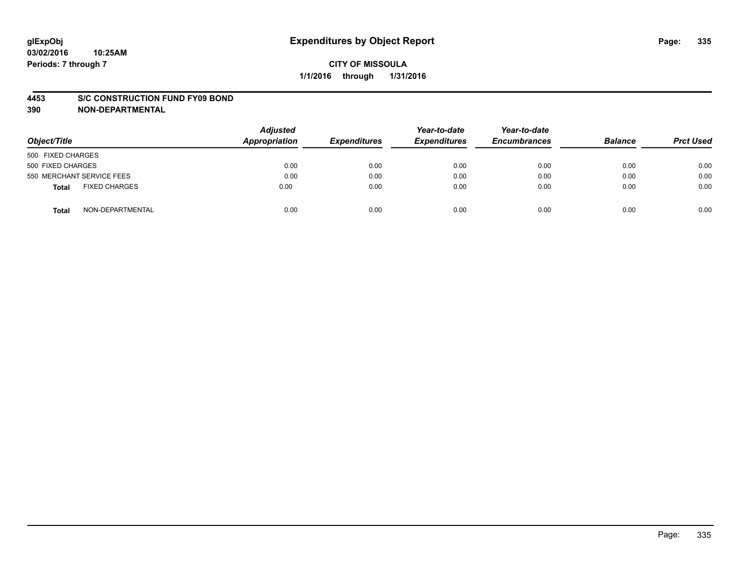#### **4453 S/C CONSTRUCTION FUND FY09 BOND**

**390 NON-DEPARTMENTAL**

| Object/Title                  | <b>Adjusted</b><br>Appropriation | <b>Expenditures</b> | Year-to-date<br><b>Expenditures</b> | Year-to-date<br><b>Encumbrances</b> | <b>Balance</b> | <b>Prct Used</b> |
|-------------------------------|----------------------------------|---------------------|-------------------------------------|-------------------------------------|----------------|------------------|
| 500 FIXED CHARGES             |                                  |                     |                                     |                                     |                |                  |
| 500 FIXED CHARGES             | 0.00                             | 0.00                | 0.00                                | 0.00                                | 0.00           | 0.00             |
| 550 MERCHANT SERVICE FEES     | 0.00                             | 0.00                | 0.00                                | 0.00                                | 0.00           | 0.00             |
| <b>FIXED CHARGES</b><br>Total | 0.00                             | 0.00                | 0.00                                | 0.00                                | 0.00           | 0.00             |
| NON-DEPARTMENTAL<br>Total     | 0.00                             | 0.00                | 0.00                                | 0.00                                | 0.00           | 0.00             |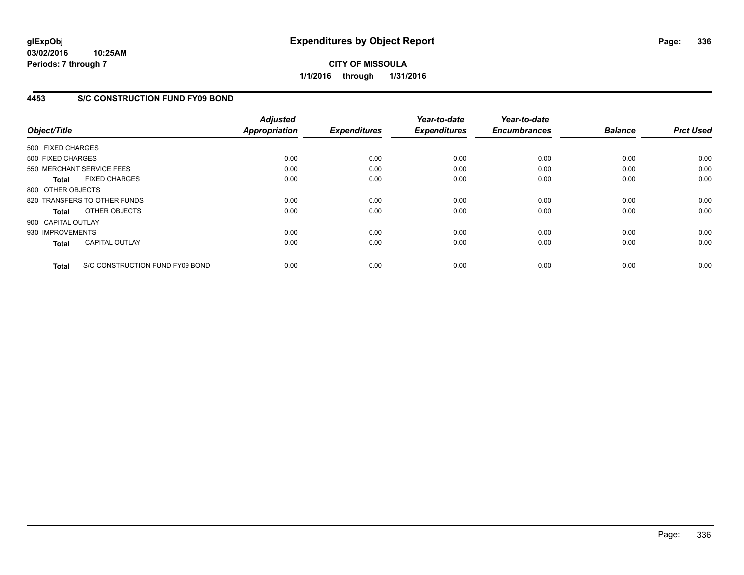**03/02/2016 10:25AM Periods: 7 through 7**

**CITY OF MISSOULA 1/1/2016 through 1/31/2016**

## **4453 S/C CONSTRUCTION FUND FY09 BOND**

| Object/Title       |                                 | <b>Adjusted</b><br><b>Appropriation</b> | <b>Expenditures</b> | Year-to-date<br><b>Expenditures</b> | Year-to-date<br><b>Encumbrances</b> | <b>Balance</b> | <b>Prct Used</b> |
|--------------------|---------------------------------|-----------------------------------------|---------------------|-------------------------------------|-------------------------------------|----------------|------------------|
| 500 FIXED CHARGES  |                                 |                                         |                     |                                     |                                     |                |                  |
| 500 FIXED CHARGES  |                                 | 0.00                                    | 0.00                | 0.00                                | 0.00                                | 0.00           | 0.00             |
|                    | 550 MERCHANT SERVICE FEES       | 0.00                                    | 0.00                | 0.00                                | 0.00                                | 0.00           | 0.00             |
| <b>Total</b>       | <b>FIXED CHARGES</b>            | 0.00                                    | 0.00                | 0.00                                | 0.00                                | 0.00           | 0.00             |
| 800 OTHER OBJECTS  |                                 |                                         |                     |                                     |                                     |                |                  |
|                    | 820 TRANSFERS TO OTHER FUNDS    | 0.00                                    | 0.00                | 0.00                                | 0.00                                | 0.00           | 0.00             |
| Total              | OTHER OBJECTS                   | 0.00                                    | 0.00                | 0.00                                | 0.00                                | 0.00           | 0.00             |
| 900 CAPITAL OUTLAY |                                 |                                         |                     |                                     |                                     |                |                  |
| 930 IMPROVEMENTS   |                                 | 0.00                                    | 0.00                | 0.00                                | 0.00                                | 0.00           | 0.00             |
| <b>Total</b>       | <b>CAPITAL OUTLAY</b>           | 0.00                                    | 0.00                | 0.00                                | 0.00                                | 0.00           | 0.00             |
| <b>Total</b>       | S/C CONSTRUCTION FUND FY09 BOND | 0.00                                    | 0.00                | 0.00                                | 0.00                                | 0.00           | 0.00             |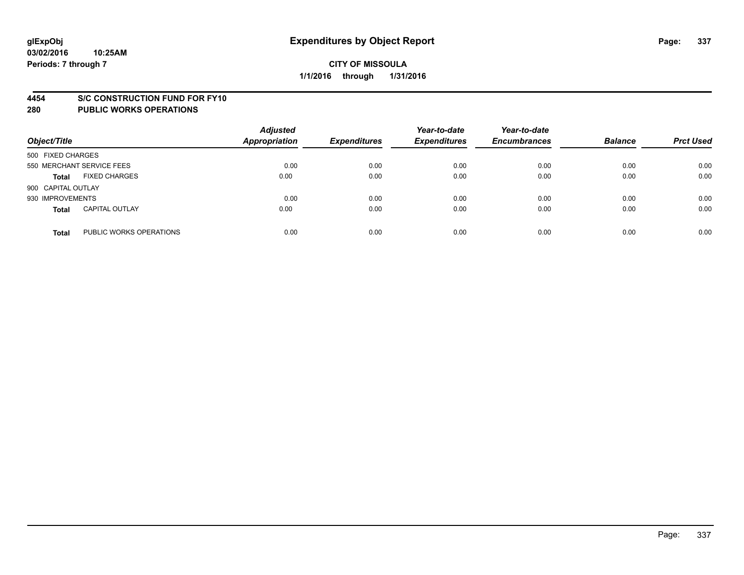#### **4454 S/C CONSTRUCTION FUND FOR FY10**

| Object/Title       |                           | <b>Adjusted</b><br><b>Appropriation</b> | <b>Expenditures</b> | Year-to-date<br><b>Expenditures</b> | Year-to-date<br><b>Encumbrances</b> | <b>Balance</b> | <b>Prct Used</b> |
|--------------------|---------------------------|-----------------------------------------|---------------------|-------------------------------------|-------------------------------------|----------------|------------------|
| 500 FIXED CHARGES  |                           |                                         |                     |                                     |                                     |                |                  |
|                    | 550 MERCHANT SERVICE FEES | 0.00                                    | 0.00                | 0.00                                | 0.00                                | 0.00           | 0.00             |
| <b>Total</b>       | <b>FIXED CHARGES</b>      | 0.00                                    | 0.00                | 0.00                                | 0.00                                | 0.00           | 0.00             |
| 900 CAPITAL OUTLAY |                           |                                         |                     |                                     |                                     |                |                  |
| 930 IMPROVEMENTS   |                           | 0.00                                    | 0.00                | 0.00                                | 0.00                                | 0.00           | 0.00             |
| <b>Total</b>       | <b>CAPITAL OUTLAY</b>     | 0.00                                    | 0.00                | 0.00                                | 0.00                                | 0.00           | 0.00             |
| <b>Total</b>       | PUBLIC WORKS OPERATIONS   | 0.00                                    | 0.00                | 0.00                                | 0.00                                | 0.00           | 0.00             |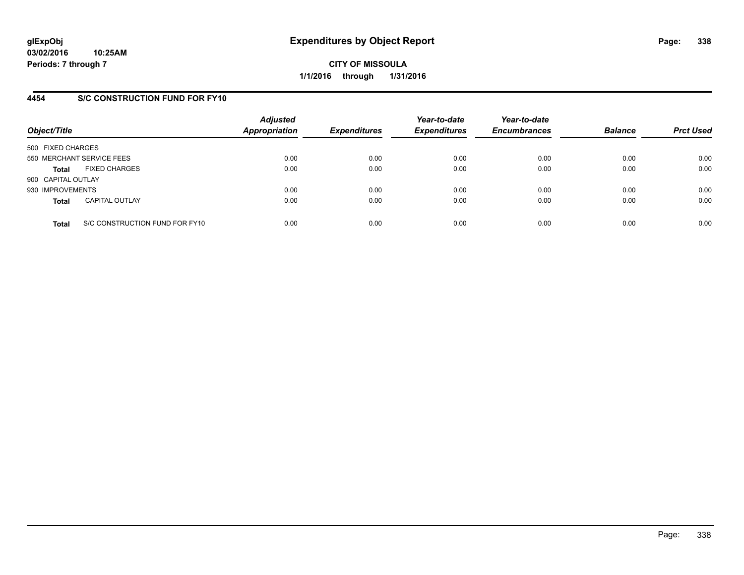## **4454 S/C CONSTRUCTION FUND FOR FY10**

| Object/Title       |                                | <b>Adjusted</b><br><b>Appropriation</b> | <b>Expenditures</b> | Year-to-date<br><b>Expenditures</b> | Year-to-date<br><b>Encumbrances</b> | <b>Balance</b> | <b>Prct Used</b> |
|--------------------|--------------------------------|-----------------------------------------|---------------------|-------------------------------------|-------------------------------------|----------------|------------------|
| 500 FIXED CHARGES  |                                |                                         |                     |                                     |                                     |                |                  |
|                    | 550 MERCHANT SERVICE FEES      | 0.00                                    | 0.00                | 0.00                                | 0.00                                | 0.00           | 0.00             |
| <b>Total</b>       | <b>FIXED CHARGES</b>           | 0.00                                    | 0.00                | 0.00                                | 0.00                                | 0.00           | 0.00             |
| 900 CAPITAL OUTLAY |                                |                                         |                     |                                     |                                     |                |                  |
| 930 IMPROVEMENTS   |                                | 0.00                                    | 0.00                | 0.00                                | 0.00                                | 0.00           | 0.00             |
| <b>Total</b>       | <b>CAPITAL OUTLAY</b>          | 0.00                                    | 0.00                | 0.00                                | 0.00                                | 0.00           | 0.00             |
| <b>Total</b>       | S/C CONSTRUCTION FUND FOR FY10 | 0.00                                    | 0.00                | 0.00                                | 0.00                                | 0.00           | 0.00             |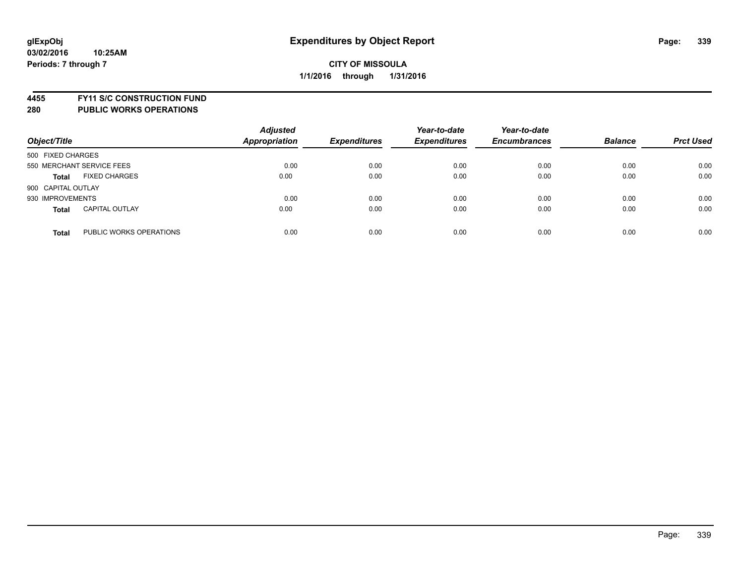**4455 FY11 S/C CONSTRUCTION FUND**

| Object/Title              |                         | <b>Adjusted</b><br><b>Appropriation</b> | <b>Expenditures</b> | Year-to-date<br><b>Expenditures</b> | Year-to-date<br><b>Encumbrances</b> | <b>Balance</b> | <b>Prct Used</b> |
|---------------------------|-------------------------|-----------------------------------------|---------------------|-------------------------------------|-------------------------------------|----------------|------------------|
| 500 FIXED CHARGES         |                         |                                         |                     |                                     |                                     |                |                  |
| 550 MERCHANT SERVICE FEES |                         | 0.00                                    | 0.00                | 0.00                                | 0.00                                | 0.00           | 0.00             |
| <b>Total</b>              | <b>FIXED CHARGES</b>    | 0.00                                    | 0.00                | 0.00                                | 0.00                                | 0.00           | 0.00             |
| 900 CAPITAL OUTLAY        |                         |                                         |                     |                                     |                                     |                |                  |
| 930 IMPROVEMENTS          |                         | 0.00                                    | 0.00                | 0.00                                | 0.00                                | 0.00           | 0.00             |
| <b>Total</b>              | <b>CAPITAL OUTLAY</b>   | 0.00                                    | 0.00                | 0.00                                | 0.00                                | 0.00           | 0.00             |
| <b>Total</b>              | PUBLIC WORKS OPERATIONS | 0.00                                    | 0.00                | 0.00                                | 0.00                                | 0.00           | 0.00             |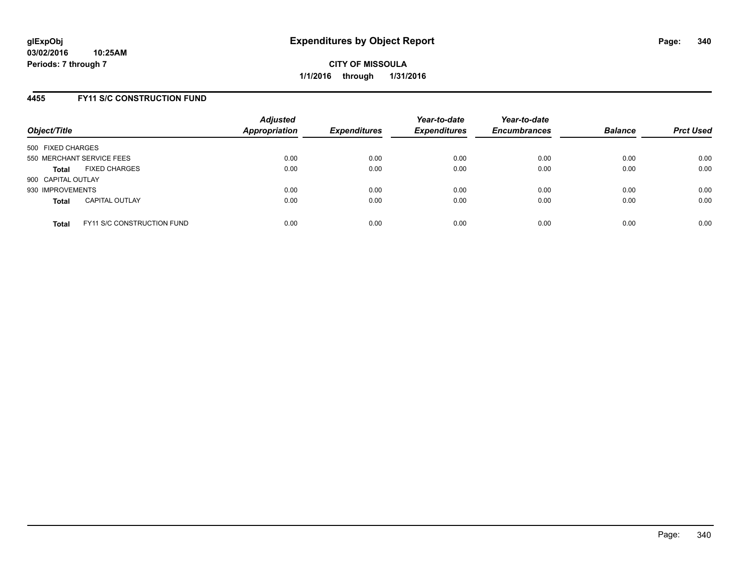## **4455 FY11 S/C CONSTRUCTION FUND**

| Object/Title       |                                   | <b>Adjusted</b><br><b>Appropriation</b> | <b>Expenditures</b> | Year-to-date<br><b>Expenditures</b> | Year-to-date<br><b>Encumbrances</b> | <b>Balance</b> | <b>Prct Used</b> |
|--------------------|-----------------------------------|-----------------------------------------|---------------------|-------------------------------------|-------------------------------------|----------------|------------------|
| 500 FIXED CHARGES  |                                   |                                         |                     |                                     |                                     |                |                  |
|                    | 550 MERCHANT SERVICE FEES         | 0.00                                    | 0.00                | 0.00                                | 0.00                                | 0.00           | 0.00             |
| <b>Total</b>       | <b>FIXED CHARGES</b>              | 0.00                                    | 0.00                | 0.00                                | 0.00                                | 0.00           | 0.00             |
| 900 CAPITAL OUTLAY |                                   |                                         |                     |                                     |                                     |                |                  |
| 930 IMPROVEMENTS   |                                   | 0.00                                    | 0.00                | 0.00                                | 0.00                                | 0.00           | 0.00             |
| <b>Total</b>       | <b>CAPITAL OUTLAY</b>             | 0.00                                    | 0.00                | 0.00                                | 0.00                                | 0.00           | 0.00             |
| <b>Total</b>       | <b>FY11 S/C CONSTRUCTION FUND</b> | 0.00                                    | 0.00                | 0.00                                | 0.00                                | 0.00           | 0.00             |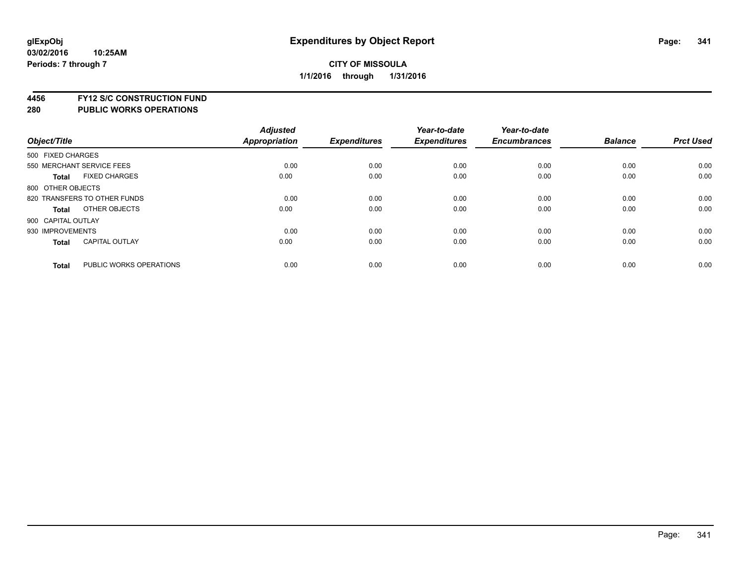**4456 FY12 S/C CONSTRUCTION FUND**

|                    |                              | <b>Adjusted</b> |                     | Year-to-date        | Year-to-date        |                |                  |
|--------------------|------------------------------|-----------------|---------------------|---------------------|---------------------|----------------|------------------|
| Object/Title       |                              | Appropriation   | <b>Expenditures</b> | <b>Expenditures</b> | <b>Encumbrances</b> | <b>Balance</b> | <b>Prct Used</b> |
| 500 FIXED CHARGES  |                              |                 |                     |                     |                     |                |                  |
|                    | 550 MERCHANT SERVICE FEES    | 0.00            | 0.00                | 0.00                | 0.00                | 0.00           | 0.00             |
| <b>Total</b>       | <b>FIXED CHARGES</b>         | 0.00            | 0.00                | 0.00                | 0.00                | 0.00           | 0.00             |
| 800 OTHER OBJECTS  |                              |                 |                     |                     |                     |                |                  |
|                    | 820 TRANSFERS TO OTHER FUNDS | 0.00            | 0.00                | 0.00                | 0.00                | 0.00           | 0.00             |
| <b>Total</b>       | OTHER OBJECTS                | 0.00            | 0.00                | 0.00                | 0.00                | 0.00           | 0.00             |
| 900 CAPITAL OUTLAY |                              |                 |                     |                     |                     |                |                  |
| 930 IMPROVEMENTS   |                              | 0.00            | 0.00                | 0.00                | 0.00                | 0.00           | 0.00             |
| <b>Total</b>       | <b>CAPITAL OUTLAY</b>        | 0.00            | 0.00                | 0.00                | 0.00                | 0.00           | 0.00             |
| <b>Total</b>       | PUBLIC WORKS OPERATIONS      | 0.00            | 0.00                | 0.00                | 0.00                | 0.00           | 0.00             |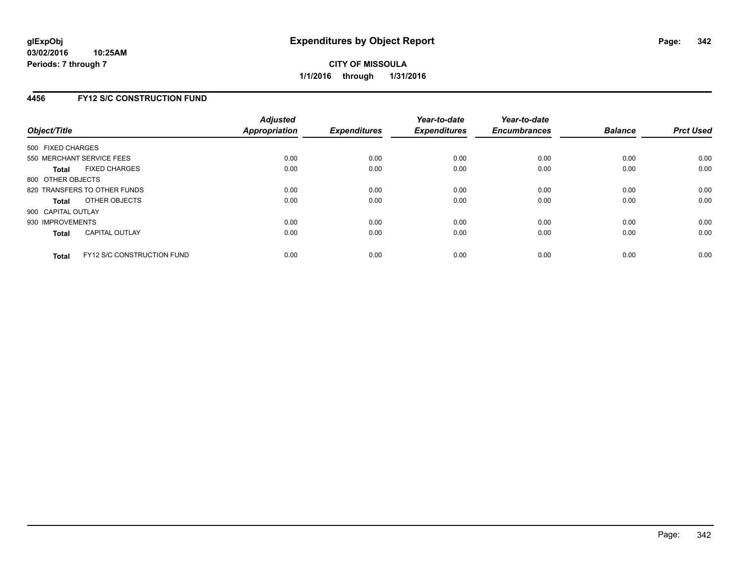## **4456 FY12 S/C CONSTRUCTION FUND**

| Object/Title       |                                   | <b>Adjusted</b><br><b>Appropriation</b> | <b>Expenditures</b> | Year-to-date<br><b>Expenditures</b> | Year-to-date<br><b>Encumbrances</b> | <b>Balance</b> | <b>Prct Used</b> |
|--------------------|-----------------------------------|-----------------------------------------|---------------------|-------------------------------------|-------------------------------------|----------------|------------------|
| 500 FIXED CHARGES  |                                   |                                         |                     |                                     |                                     |                |                  |
|                    | 550 MERCHANT SERVICE FEES         | 0.00                                    | 0.00                | 0.00                                | 0.00                                | 0.00           | 0.00             |
| <b>Total</b>       | <b>FIXED CHARGES</b>              | 0.00                                    | 0.00                | 0.00                                | 0.00                                | 0.00           | 0.00             |
| 800 OTHER OBJECTS  |                                   |                                         |                     |                                     |                                     |                |                  |
|                    | 820 TRANSFERS TO OTHER FUNDS      | 0.00                                    | 0.00                | 0.00                                | 0.00                                | 0.00           | 0.00             |
| <b>Total</b>       | OTHER OBJECTS                     | 0.00                                    | 0.00                | 0.00                                | 0.00                                | 0.00           | 0.00             |
| 900 CAPITAL OUTLAY |                                   |                                         |                     |                                     |                                     |                |                  |
| 930 IMPROVEMENTS   |                                   | 0.00                                    | 0.00                | 0.00                                | 0.00                                | 0.00           | 0.00             |
| Total              | <b>CAPITAL OUTLAY</b>             | 0.00                                    | 0.00                | 0.00                                | 0.00                                | 0.00           | 0.00             |
| <b>Total</b>       | <b>FY12 S/C CONSTRUCTION FUND</b> | 0.00                                    | 0.00                | 0.00                                | 0.00                                | 0.00           | 0.00             |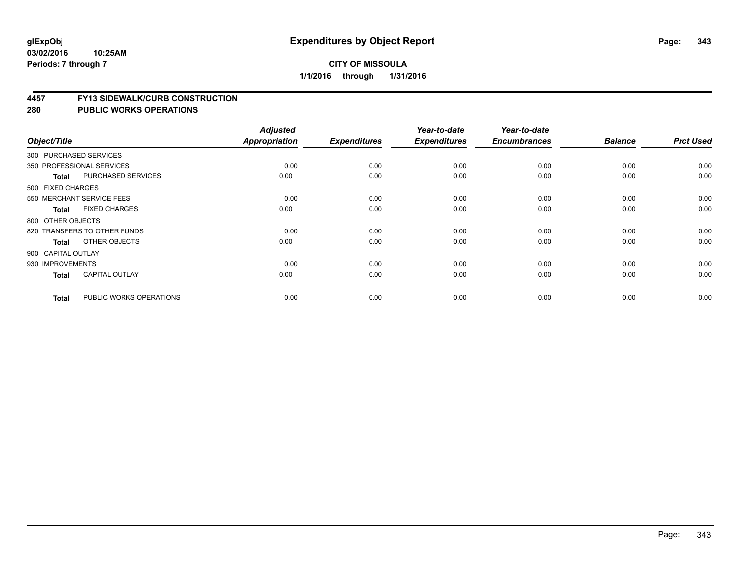#### **03/02/2016 10:25AM Periods: 7 through 7**

## **CITY OF MISSOULA 1/1/2016 through 1/31/2016**

#### **4457 FY13 SIDEWALK/CURB CONSTRUCTION**

| Object/Title       |                              | <b>Adjusted</b><br>Appropriation | <b>Expenditures</b> | Year-to-date<br><b>Expenditures</b> | Year-to-date<br><b>Encumbrances</b> | <b>Balance</b> | <b>Prct Used</b> |
|--------------------|------------------------------|----------------------------------|---------------------|-------------------------------------|-------------------------------------|----------------|------------------|
|                    |                              |                                  |                     |                                     |                                     |                |                  |
|                    | 300 PURCHASED SERVICES       |                                  |                     |                                     |                                     |                |                  |
|                    | 350 PROFESSIONAL SERVICES    | 0.00                             | 0.00                | 0.00                                | 0.00                                | 0.00           | 0.00             |
| <b>Total</b>       | PURCHASED SERVICES           | 0.00                             | 0.00                | 0.00                                | 0.00                                | 0.00           | 0.00             |
| 500 FIXED CHARGES  |                              |                                  |                     |                                     |                                     |                |                  |
|                    | 550 MERCHANT SERVICE FEES    | 0.00                             | 0.00                | 0.00                                | 0.00                                | 0.00           | 0.00             |
| <b>Total</b>       | <b>FIXED CHARGES</b>         | 0.00                             | 0.00                | 0.00                                | 0.00                                | 0.00           | 0.00             |
| 800 OTHER OBJECTS  |                              |                                  |                     |                                     |                                     |                |                  |
|                    | 820 TRANSFERS TO OTHER FUNDS | 0.00                             | 0.00                | 0.00                                | 0.00                                | 0.00           | 0.00             |
| Total              | OTHER OBJECTS                | 0.00                             | 0.00                | 0.00                                | 0.00                                | 0.00           | 0.00             |
| 900 CAPITAL OUTLAY |                              |                                  |                     |                                     |                                     |                |                  |
| 930 IMPROVEMENTS   |                              | 0.00                             | 0.00                | 0.00                                | 0.00                                | 0.00           | 0.00             |
| <b>Total</b>       | <b>CAPITAL OUTLAY</b>        | 0.00                             | 0.00                | 0.00                                | 0.00                                | 0.00           | 0.00             |
| <b>Total</b>       | PUBLIC WORKS OPERATIONS      | 0.00                             | 0.00                | 0.00                                | 0.00                                | 0.00           | 0.00             |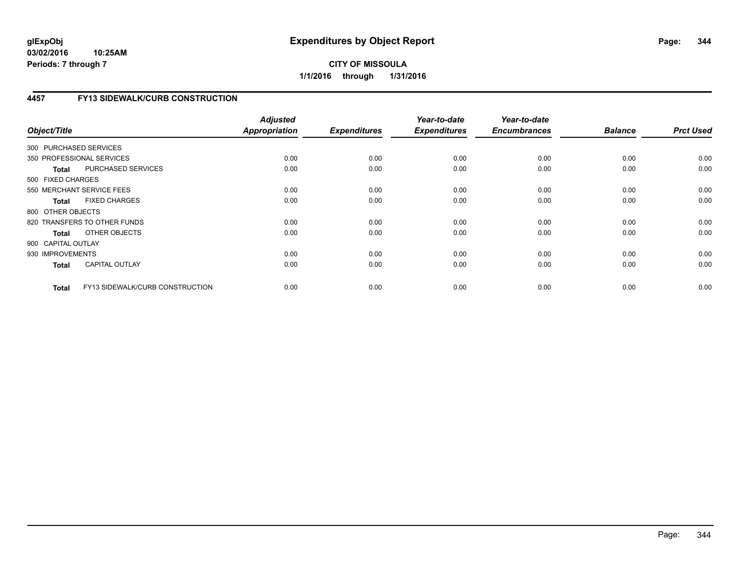# **4457 FY13 SIDEWALK/CURB CONSTRUCTION**

| Object/Title           |                                 | <b>Adjusted</b><br><b>Appropriation</b> | <b>Expenditures</b> | Year-to-date<br><b>Expenditures</b> | Year-to-date<br><b>Encumbrances</b> | <b>Balance</b> | <b>Prct Used</b> |
|------------------------|---------------------------------|-----------------------------------------|---------------------|-------------------------------------|-------------------------------------|----------------|------------------|
| 300 PURCHASED SERVICES |                                 |                                         |                     |                                     |                                     |                |                  |
|                        | 350 PROFESSIONAL SERVICES       | 0.00                                    | 0.00                | 0.00                                | 0.00                                | 0.00           | 0.00             |
| <b>Total</b>           | PURCHASED SERVICES              | 0.00                                    | 0.00                | 0.00                                | 0.00                                | 0.00           | 0.00             |
| 500 FIXED CHARGES      |                                 |                                         |                     |                                     |                                     |                |                  |
|                        | 550 MERCHANT SERVICE FEES       | 0.00                                    | 0.00                | 0.00                                | 0.00                                | 0.00           | 0.00             |
| <b>Total</b>           | <b>FIXED CHARGES</b>            | 0.00                                    | 0.00                | 0.00                                | 0.00                                | 0.00           | 0.00             |
| 800 OTHER OBJECTS      |                                 |                                         |                     |                                     |                                     |                |                  |
|                        | 820 TRANSFERS TO OTHER FUNDS    | 0.00                                    | 0.00                | 0.00                                | 0.00                                | 0.00           | 0.00             |
| Total                  | OTHER OBJECTS                   | 0.00                                    | 0.00                | 0.00                                | 0.00                                | 0.00           | 0.00             |
| 900 CAPITAL OUTLAY     |                                 |                                         |                     |                                     |                                     |                |                  |
| 930 IMPROVEMENTS       |                                 | 0.00                                    | 0.00                | 0.00                                | 0.00                                | 0.00           | 0.00             |
| <b>Total</b>           | <b>CAPITAL OUTLAY</b>           | 0.00                                    | 0.00                | 0.00                                | 0.00                                | 0.00           | 0.00             |
| <b>Total</b>           | FY13 SIDEWALK/CURB CONSTRUCTION | 0.00                                    | 0.00                | 0.00                                | 0.00                                | 0.00           | 0.00             |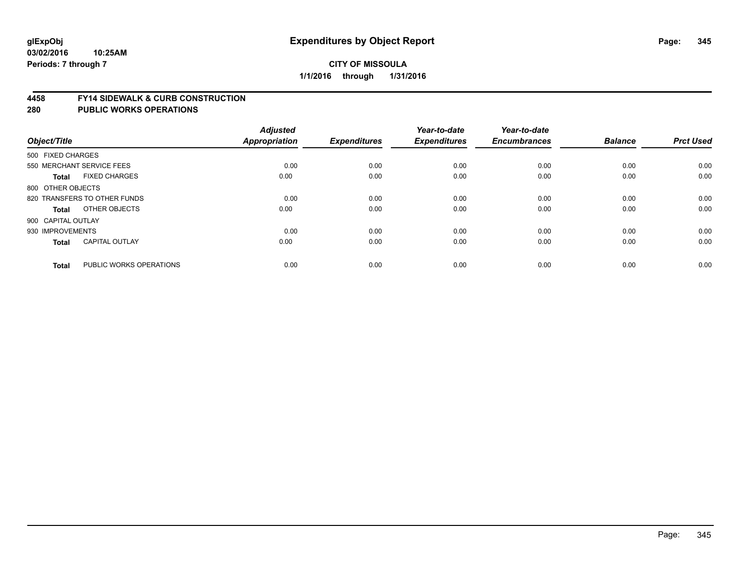#### **4458 FY14 SIDEWALK & CURB CONSTRUCTION**

| Object/Title       |                              | <b>Adjusted</b><br><b>Appropriation</b> | <b>Expenditures</b> | Year-to-date<br><b>Expenditures</b> | Year-to-date<br><b>Encumbrances</b> | <b>Balance</b> | <b>Prct Used</b> |
|--------------------|------------------------------|-----------------------------------------|---------------------|-------------------------------------|-------------------------------------|----------------|------------------|
| 500 FIXED CHARGES  |                              |                                         |                     |                                     |                                     |                |                  |
|                    | 550 MERCHANT SERVICE FEES    | 0.00                                    | 0.00                | 0.00                                | 0.00                                | 0.00           | 0.00             |
| <b>Total</b>       | <b>FIXED CHARGES</b>         | 0.00                                    | 0.00                | 0.00                                | 0.00                                | 0.00           | 0.00             |
| 800 OTHER OBJECTS  |                              |                                         |                     |                                     |                                     |                |                  |
|                    | 820 TRANSFERS TO OTHER FUNDS | 0.00                                    | 0.00                | 0.00                                | 0.00                                | 0.00           | 0.00             |
| Total              | OTHER OBJECTS                | 0.00                                    | 0.00                | 0.00                                | 0.00                                | 0.00           | 0.00             |
| 900 CAPITAL OUTLAY |                              |                                         |                     |                                     |                                     |                |                  |
| 930 IMPROVEMENTS   |                              | 0.00                                    | 0.00                | 0.00                                | 0.00                                | 0.00           | 0.00             |
| <b>Total</b>       | <b>CAPITAL OUTLAY</b>        | 0.00                                    | 0.00                | 0.00                                | 0.00                                | 0.00           | 0.00             |
| <b>Total</b>       | PUBLIC WORKS OPERATIONS      | 0.00                                    | 0.00                | 0.00                                | 0.00                                | 0.00           | 0.00             |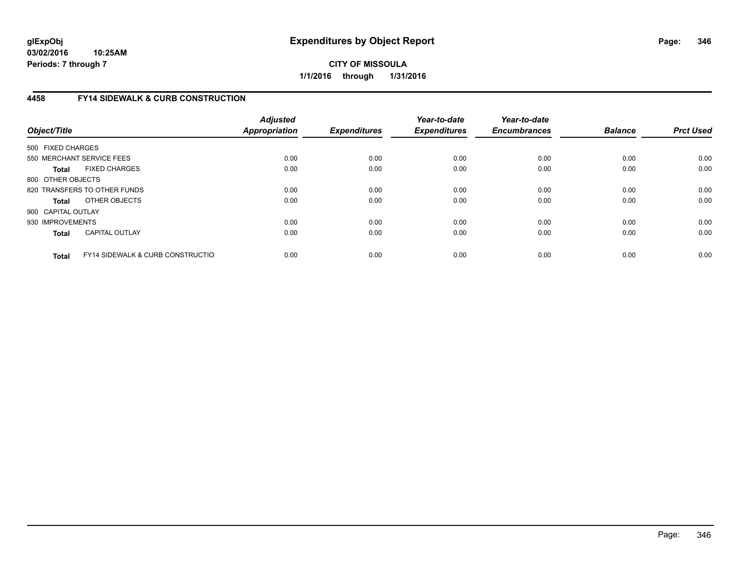# **4458 FY14 SIDEWALK & CURB CONSTRUCTION**

| Object/Title       |                                              | <b>Adjusted</b><br>Appropriation | <b>Expenditures</b> | Year-to-date<br><b>Expenditures</b> | Year-to-date<br><b>Encumbrances</b> | <b>Balance</b> | <b>Prct Used</b> |
|--------------------|----------------------------------------------|----------------------------------|---------------------|-------------------------------------|-------------------------------------|----------------|------------------|
| 500 FIXED CHARGES  |                                              |                                  |                     |                                     |                                     |                |                  |
|                    | 550 MERCHANT SERVICE FEES                    | 0.00                             | 0.00                | 0.00                                | 0.00                                | 0.00           | 0.00             |
| <b>Total</b>       | <b>FIXED CHARGES</b>                         | 0.00                             | 0.00                | 0.00                                | 0.00                                | 0.00           | 0.00             |
| 800 OTHER OBJECTS  |                                              |                                  |                     |                                     |                                     |                |                  |
|                    | 820 TRANSFERS TO OTHER FUNDS                 | 0.00                             | 0.00                | 0.00                                | 0.00                                | 0.00           | 0.00             |
| <b>Total</b>       | OTHER OBJECTS                                | 0.00                             | 0.00                | 0.00                                | 0.00                                | 0.00           | 0.00             |
| 900 CAPITAL OUTLAY |                                              |                                  |                     |                                     |                                     |                |                  |
| 930 IMPROVEMENTS   |                                              | 0.00                             | 0.00                | 0.00                                | 0.00                                | 0.00           | 0.00             |
| Total              | <b>CAPITAL OUTLAY</b>                        | 0.00                             | 0.00                | 0.00                                | 0.00                                | 0.00           | 0.00             |
| <b>Total</b>       | <b>FY14 SIDEWALK &amp; CURB CONSTRUCTIOL</b> | 0.00                             | 0.00                | 0.00                                | 0.00                                | 0.00           | 0.00             |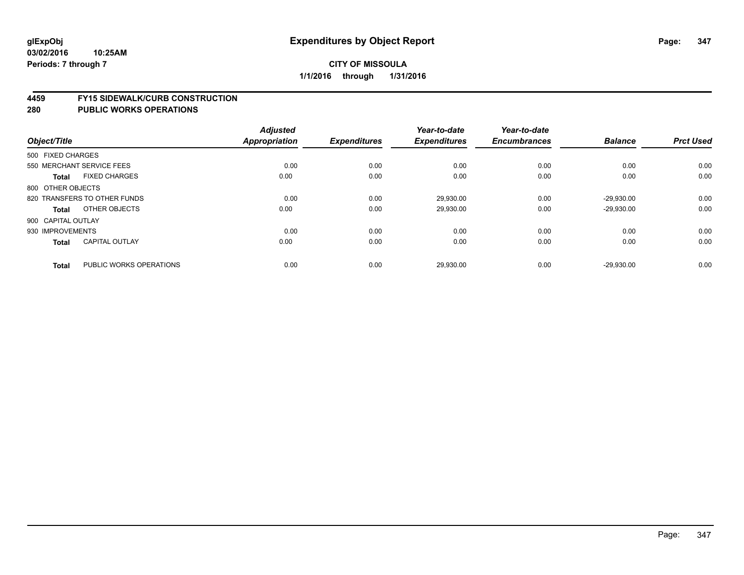#### **4459 FY15 SIDEWALK/CURB CONSTRUCTION**

| Object/Title       |                              | <b>Adjusted</b><br><b>Appropriation</b> | <b>Expenditures</b> | Year-to-date<br><b>Expenditures</b> | Year-to-date<br><b>Encumbrances</b> | <b>Balance</b> | <b>Prct Used</b> |
|--------------------|------------------------------|-----------------------------------------|---------------------|-------------------------------------|-------------------------------------|----------------|------------------|
|                    |                              |                                         |                     |                                     |                                     |                |                  |
| 500 FIXED CHARGES  |                              |                                         |                     |                                     |                                     |                |                  |
|                    | 550 MERCHANT SERVICE FEES    | 0.00                                    | 0.00                | 0.00                                | 0.00                                | 0.00           | 0.00             |
| <b>Total</b>       | <b>FIXED CHARGES</b>         | 0.00                                    | 0.00                | 0.00                                | 0.00                                | 0.00           | 0.00             |
| 800 OTHER OBJECTS  |                              |                                         |                     |                                     |                                     |                |                  |
|                    | 820 TRANSFERS TO OTHER FUNDS | 0.00                                    | 0.00                | 29,930.00                           | 0.00                                | $-29.930.00$   | 0.00             |
| Total              | OTHER OBJECTS                | 0.00                                    | 0.00                | 29,930.00                           | 0.00                                | $-29,930.00$   | 0.00             |
| 900 CAPITAL OUTLAY |                              |                                         |                     |                                     |                                     |                |                  |
| 930 IMPROVEMENTS   |                              | 0.00                                    | 0.00                | 0.00                                | 0.00                                | 0.00           | 0.00             |
| <b>Total</b>       | <b>CAPITAL OUTLAY</b>        | 0.00                                    | 0.00                | 0.00                                | 0.00                                | 0.00           | 0.00             |
| <b>Total</b>       | PUBLIC WORKS OPERATIONS      | 0.00                                    | 0.00                | 29,930.00                           | 0.00                                | $-29,930.00$   | 0.00             |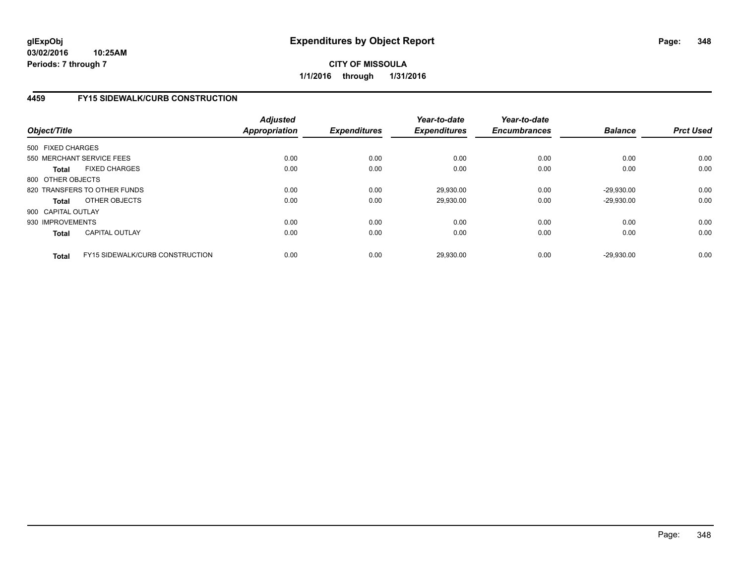# **4459 FY15 SIDEWALK/CURB CONSTRUCTION**

| Object/Title       |                                        | <b>Adjusted</b><br>Appropriation | <b>Expenditures</b> | Year-to-date<br><b>Expenditures</b> | Year-to-date<br><b>Encumbrances</b> | <b>Balance</b> | <b>Prct Used</b> |
|--------------------|----------------------------------------|----------------------------------|---------------------|-------------------------------------|-------------------------------------|----------------|------------------|
| 500 FIXED CHARGES  |                                        |                                  |                     |                                     |                                     |                |                  |
|                    | 550 MERCHANT SERVICE FEES              | 0.00                             | 0.00                | 0.00                                | 0.00                                | 0.00           | 0.00             |
| <b>Total</b>       | <b>FIXED CHARGES</b>                   | 0.00                             | 0.00                | 0.00                                | 0.00                                | 0.00           | 0.00             |
| 800 OTHER OBJECTS  |                                        |                                  |                     |                                     |                                     |                |                  |
|                    | 820 TRANSFERS TO OTHER FUNDS           | 0.00                             | 0.00                | 29,930.00                           | 0.00                                | $-29,930.00$   | 0.00             |
| <b>Total</b>       | OTHER OBJECTS                          | 0.00                             | 0.00                | 29,930.00                           | 0.00                                | $-29,930.00$   | 0.00             |
| 900 CAPITAL OUTLAY |                                        |                                  |                     |                                     |                                     |                |                  |
| 930 IMPROVEMENTS   |                                        | 0.00                             | 0.00                | 0.00                                | 0.00                                | 0.00           | 0.00             |
| <b>Total</b>       | <b>CAPITAL OUTLAY</b>                  | 0.00                             | 0.00                | 0.00                                | 0.00                                | 0.00           | 0.00             |
| <b>Total</b>       | <b>FY15 SIDEWALK/CURB CONSTRUCTION</b> | 0.00                             | 0.00                | 29,930.00                           | 0.00                                | $-29.930.00$   | 0.00             |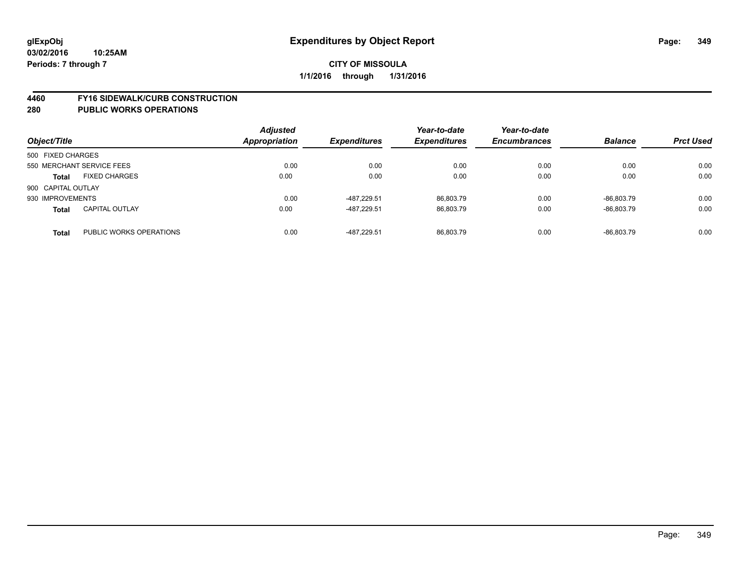#### **4460 FY16 SIDEWALK/CURB CONSTRUCTION**

| Object/Title                            | <b>Adjusted</b><br>Appropriation | <b>Expenditures</b> | Year-to-date<br><b>Expenditures</b> | Year-to-date<br><b>Encumbrances</b> | <b>Balance</b> | <b>Prct Used</b> |
|-----------------------------------------|----------------------------------|---------------------|-------------------------------------|-------------------------------------|----------------|------------------|
| 500 FIXED CHARGES                       |                                  |                     |                                     |                                     |                |                  |
| 550 MERCHANT SERVICE FEES               | 0.00                             | 0.00                | 0.00                                | 0.00                                | 0.00           | 0.00             |
| <b>FIXED CHARGES</b><br><b>Total</b>    | 0.00                             | 0.00                | 0.00                                | 0.00                                | 0.00           | 0.00             |
| 900 CAPITAL OUTLAY                      |                                  |                     |                                     |                                     |                |                  |
| 930 IMPROVEMENTS                        | 0.00                             | -487.229.51         | 86.803.79                           | 0.00                                | -86.803.79     | 0.00             |
| <b>CAPITAL OUTLAY</b><br><b>Total</b>   | 0.00                             | -487.229.51         | 86,803.79                           | 0.00                                | -86.803.79     | 0.00             |
| PUBLIC WORKS OPERATIONS<br><b>Total</b> | 0.00                             | -487.229.51         | 86.803.79                           | 0.00                                | -86.803.79     | 0.00             |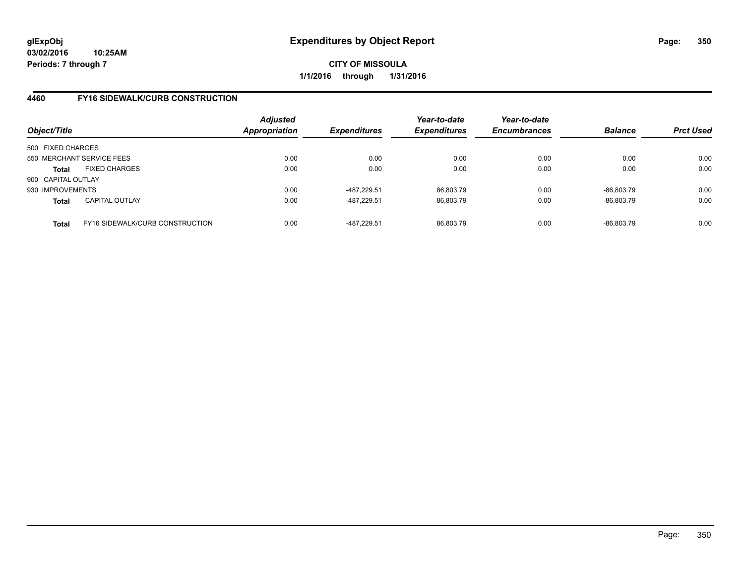## **4460 FY16 SIDEWALK/CURB CONSTRUCTION**

| Object/Title                                           | <b>Adjusted</b><br>Appropriation | <b>Expenditures</b> | Year-to-date<br><b>Expenditures</b> | Year-to-date<br><b>Encumbrances</b> | <b>Balance</b> | <b>Prct Used</b> |
|--------------------------------------------------------|----------------------------------|---------------------|-------------------------------------|-------------------------------------|----------------|------------------|
| 500 FIXED CHARGES                                      |                                  |                     |                                     |                                     |                |                  |
| 550 MERCHANT SERVICE FEES                              | 0.00                             | 0.00                | 0.00                                | 0.00                                | 0.00           | 0.00             |
| <b>FIXED CHARGES</b><br><b>Total</b>                   | 0.00                             | 0.00                | 0.00                                | 0.00                                | 0.00           | 0.00             |
| 900 CAPITAL OUTLAY                                     |                                  |                     |                                     |                                     |                |                  |
| 930 IMPROVEMENTS                                       | 0.00                             | -487.229.51         | 86.803.79                           | 0.00                                | -86.803.79     | 0.00             |
| <b>CAPITAL OUTLAY</b><br><b>Total</b>                  | 0.00                             | -487.229.51         | 86,803.79                           | 0.00                                | -86,803.79     | 0.00             |
| <b>FY16 SIDEWALK/CURB CONSTRUCTION</b><br><b>Total</b> | 0.00                             | -487.229.51         | 86.803.79                           | 0.00                                | $-86.803.79$   | 0.00             |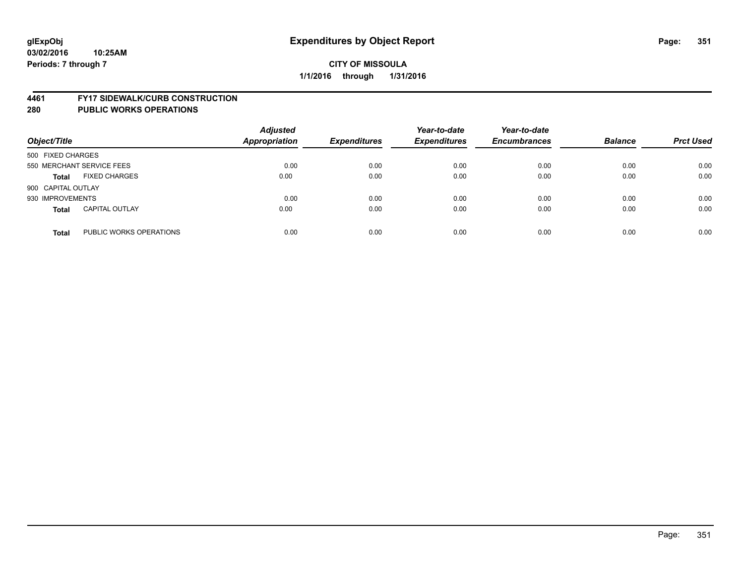#### **4461 FY17 SIDEWALK/CURB CONSTRUCTION**

| Object/Title              |                         | <b>Adjusted</b><br><b>Appropriation</b> | <b>Expenditures</b> | Year-to-date<br><b>Expenditures</b> | Year-to-date<br><b>Encumbrances</b> | <b>Balance</b> | <b>Prct Used</b> |
|---------------------------|-------------------------|-----------------------------------------|---------------------|-------------------------------------|-------------------------------------|----------------|------------------|
| 500 FIXED CHARGES         |                         |                                         |                     |                                     |                                     |                |                  |
| 550 MERCHANT SERVICE FEES |                         | 0.00                                    | 0.00                | 0.00                                | 0.00                                | 0.00           | 0.00             |
| <b>Total</b>              | <b>FIXED CHARGES</b>    | 0.00                                    | 0.00                | 0.00                                | 0.00                                | 0.00           | 0.00             |
| 900 CAPITAL OUTLAY        |                         |                                         |                     |                                     |                                     |                |                  |
| 930 IMPROVEMENTS          |                         | 0.00                                    | 0.00                | 0.00                                | 0.00                                | 0.00           | 0.00             |
| <b>Total</b>              | <b>CAPITAL OUTLAY</b>   | 0.00                                    | 0.00                | 0.00                                | 0.00                                | 0.00           | 0.00             |
| <b>Total</b>              | PUBLIC WORKS OPERATIONS | 0.00                                    | 0.00                | 0.00                                | 0.00                                | 0.00           | 0.00             |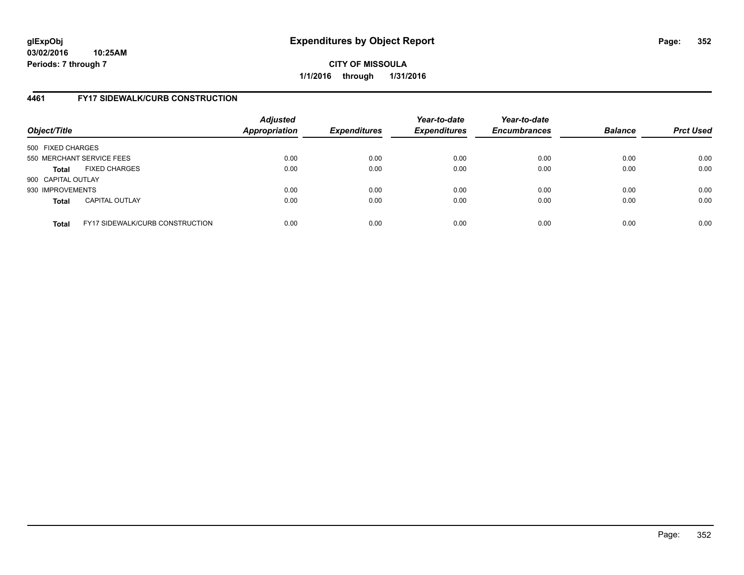# **4461 FY17 SIDEWALK/CURB CONSTRUCTION**

| Object/Title       |                                        | <b>Adjusted</b><br>Appropriation | <b>Expenditures</b> | Year-to-date<br><b>Expenditures</b> | Year-to-date<br><b>Encumbrances</b> | <b>Balance</b> | <b>Prct Used</b> |
|--------------------|----------------------------------------|----------------------------------|---------------------|-------------------------------------|-------------------------------------|----------------|------------------|
| 500 FIXED CHARGES  |                                        |                                  |                     |                                     |                                     |                |                  |
|                    | 550 MERCHANT SERVICE FEES              | 0.00                             | 0.00                | 0.00                                | 0.00                                | 0.00           | 0.00             |
| <b>Total</b>       | <b>FIXED CHARGES</b>                   | 0.00                             | 0.00                | 0.00                                | 0.00                                | 0.00           | 0.00             |
| 900 CAPITAL OUTLAY |                                        |                                  |                     |                                     |                                     |                |                  |
| 930 IMPROVEMENTS   |                                        | 0.00                             | 0.00                | 0.00                                | 0.00                                | 0.00           | 0.00             |
| <b>Total</b>       | <b>CAPITAL OUTLAY</b>                  | 0.00                             | 0.00                | 0.00                                | 0.00                                | 0.00           | 0.00             |
| <b>Total</b>       | <b>FY17 SIDEWALK/CURB CONSTRUCTION</b> | 0.00                             | 0.00                | 0.00                                | 0.00                                | 0.00           | 0.00             |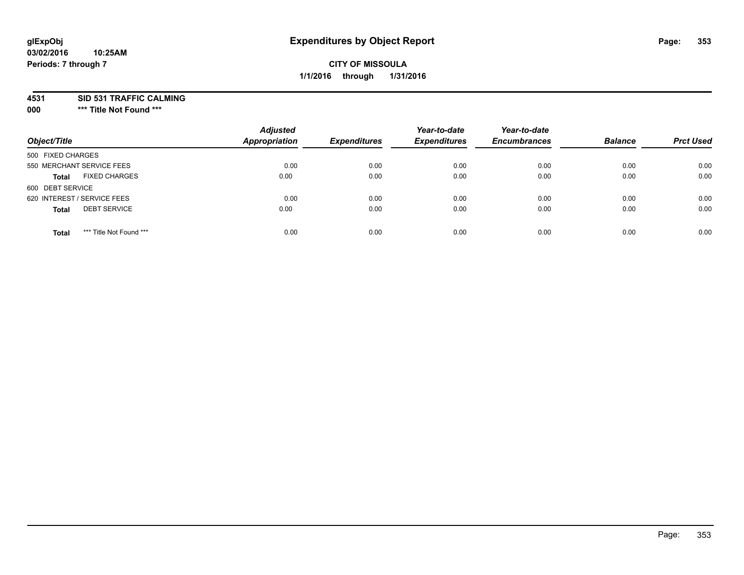**4531 SID 531 TRAFFIC CALMING**

**000 \*\*\* Title Not Found \*\*\***

| Object/Title                            | <b>Adjusted</b><br><b>Appropriation</b> | <b>Expenditures</b> | Year-to-date<br><b>Expenditures</b> | Year-to-date<br><b>Encumbrances</b> | <b>Balance</b> | <b>Prct Used</b> |
|-----------------------------------------|-----------------------------------------|---------------------|-------------------------------------|-------------------------------------|----------------|------------------|
| 500 FIXED CHARGES                       |                                         |                     |                                     |                                     |                |                  |
| 550 MERCHANT SERVICE FEES               | 0.00                                    | 0.00                | 0.00                                | 0.00                                | 0.00           | 0.00             |
| <b>FIXED CHARGES</b><br><b>Total</b>    | 0.00                                    | 0.00                | 0.00                                | 0.00                                | 0.00           | 0.00             |
| 600 DEBT SERVICE                        |                                         |                     |                                     |                                     |                |                  |
| 620 INTEREST / SERVICE FEES             | 0.00                                    | 0.00                | 0.00                                | 0.00                                | 0.00           | 0.00             |
| <b>DEBT SERVICE</b><br><b>Total</b>     | 0.00                                    | 0.00                | 0.00                                | 0.00                                | 0.00           | 0.00             |
| *** Title Not Found ***<br><b>Total</b> | 0.00                                    | 0.00                | 0.00                                | 0.00                                | 0.00           | 0.00             |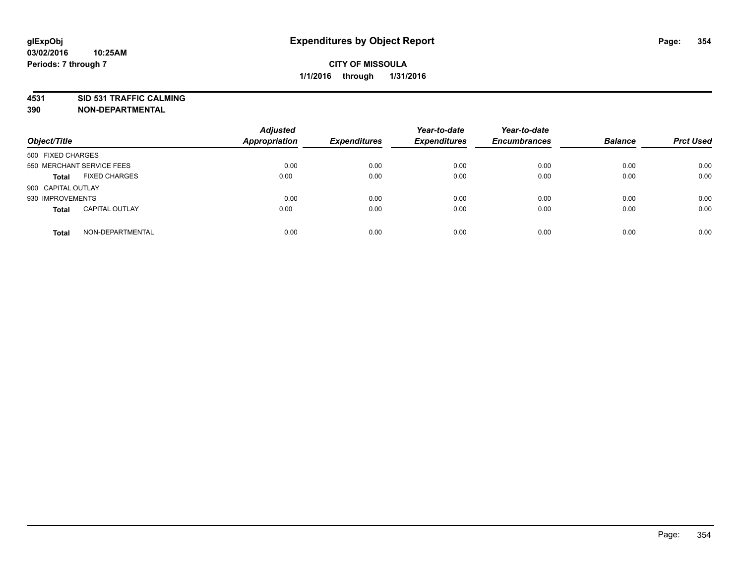# **4531 SID 531 TRAFFIC CALMING**

**390 NON-DEPARTMENTAL**

| Object/Title              |                       | <b>Adjusted</b><br><b>Appropriation</b> | <b>Expenditures</b> | Year-to-date<br><b>Expenditures</b> | Year-to-date<br><b>Encumbrances</b> | <b>Balance</b> | <b>Prct Used</b> |
|---------------------------|-----------------------|-----------------------------------------|---------------------|-------------------------------------|-------------------------------------|----------------|------------------|
| 500 FIXED CHARGES         |                       |                                         |                     |                                     |                                     |                |                  |
| 550 MERCHANT SERVICE FEES |                       | 0.00                                    | 0.00                | 0.00                                | 0.00                                | 0.00           | 0.00             |
| <b>Total</b>              | <b>FIXED CHARGES</b>  | 0.00                                    | 0.00                | 0.00                                | 0.00                                | 0.00           | 0.00             |
| 900 CAPITAL OUTLAY        |                       |                                         |                     |                                     |                                     |                |                  |
| 930 IMPROVEMENTS          |                       | 0.00                                    | 0.00                | 0.00                                | 0.00                                | 0.00           | 0.00             |
| <b>Total</b>              | <b>CAPITAL OUTLAY</b> | 0.00                                    | 0.00                | 0.00                                | 0.00                                | 0.00           | 0.00             |
| <b>Total</b>              | NON-DEPARTMENTAL      | 0.00                                    | 0.00                | 0.00                                | 0.00                                | 0.00           | 0.00             |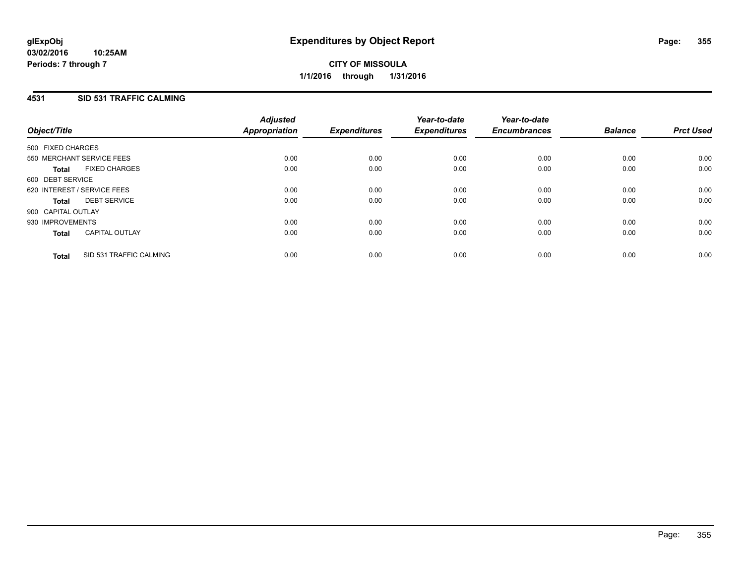# **4531 SID 531 TRAFFIC CALMING**

| Object/Title                |                           | <b>Adjusted</b><br>Appropriation | <b>Expenditures</b> | Year-to-date<br><b>Expenditures</b> | Year-to-date<br><b>Encumbrances</b> | <b>Balance</b> | <b>Prct Used</b> |
|-----------------------------|---------------------------|----------------------------------|---------------------|-------------------------------------|-------------------------------------|----------------|------------------|
| 500 FIXED CHARGES           |                           |                                  |                     |                                     |                                     |                |                  |
|                             | 550 MERCHANT SERVICE FEES | 0.00                             | 0.00                | 0.00                                | 0.00                                | 0.00           | 0.00             |
| <b>Total</b>                | <b>FIXED CHARGES</b>      | 0.00                             | 0.00                | 0.00                                | 0.00                                | 0.00           | 0.00             |
| 600 DEBT SERVICE            |                           |                                  |                     |                                     |                                     |                |                  |
| 620 INTEREST / SERVICE FEES |                           | 0.00                             | 0.00                | 0.00                                | 0.00                                | 0.00           | 0.00             |
| <b>Total</b>                | <b>DEBT SERVICE</b>       | 0.00                             | 0.00                | 0.00                                | 0.00                                | 0.00           | 0.00             |
| 900 CAPITAL OUTLAY          |                           |                                  |                     |                                     |                                     |                |                  |
| 930 IMPROVEMENTS            |                           | 0.00                             | 0.00                | 0.00                                | 0.00                                | 0.00           | 0.00             |
| <b>Total</b>                | <b>CAPITAL OUTLAY</b>     | 0.00                             | 0.00                | 0.00                                | 0.00                                | 0.00           | 0.00             |
| <b>Total</b>                | SID 531 TRAFFIC CALMING   | 0.00                             | 0.00                | 0.00                                | 0.00                                | 0.00           | 0.00             |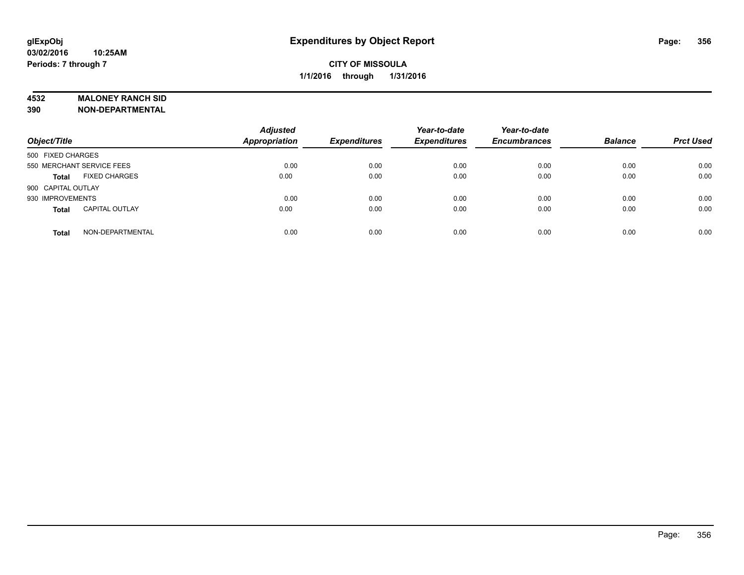#### **4532 MALONEY RANCH SID**

**390 NON-DEPARTMENTAL**

| Object/Title              |                       | <b>Adjusted</b><br>Appropriation | <b>Expenditures</b> | Year-to-date<br><b>Expenditures</b> | Year-to-date<br><b>Encumbrances</b> | <b>Balance</b> | <b>Prct Used</b> |
|---------------------------|-----------------------|----------------------------------|---------------------|-------------------------------------|-------------------------------------|----------------|------------------|
| 500 FIXED CHARGES         |                       |                                  |                     |                                     |                                     |                |                  |
| 550 MERCHANT SERVICE FEES |                       | 0.00                             | 0.00                | 0.00                                | 0.00                                | 0.00           | 0.00             |
| <b>Total</b>              | <b>FIXED CHARGES</b>  | 0.00                             | 0.00                | 0.00                                | 0.00                                | 0.00           | 0.00             |
| 900 CAPITAL OUTLAY        |                       |                                  |                     |                                     |                                     |                |                  |
| 930 IMPROVEMENTS          |                       | 0.00                             | 0.00                | 0.00                                | 0.00                                | 0.00           | 0.00             |
| <b>Total</b>              | <b>CAPITAL OUTLAY</b> | 0.00                             | 0.00                | 0.00                                | 0.00                                | 0.00           | 0.00             |
| <b>Total</b>              | NON-DEPARTMENTAL      | 0.00                             | 0.00                | 0.00                                | 0.00                                | 0.00           | 0.00             |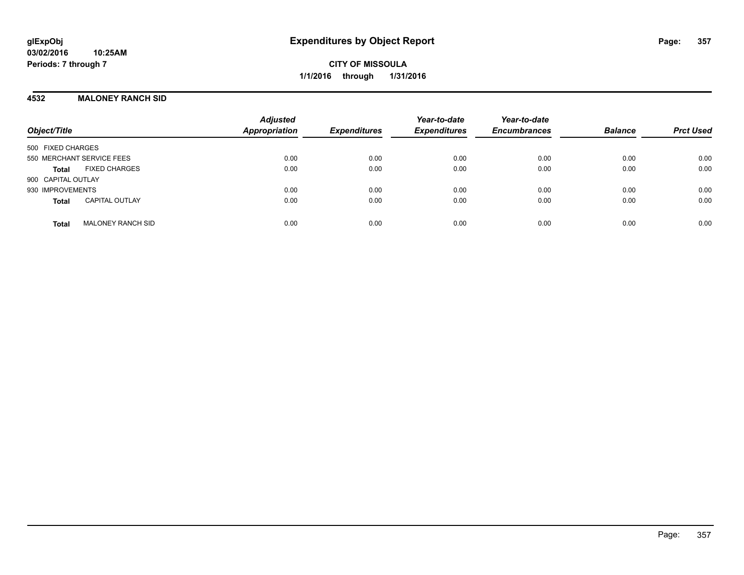## **4532 MALONEY RANCH SID**

| Object/Title                             | <b>Adjusted</b><br><b>Appropriation</b> | <b>Expenditures</b> | Year-to-date<br><b>Expenditures</b> | Year-to-date<br><b>Encumbrances</b> | <b>Balance</b> | <b>Prct Used</b> |
|------------------------------------------|-----------------------------------------|---------------------|-------------------------------------|-------------------------------------|----------------|------------------|
| 500 FIXED CHARGES                        |                                         |                     |                                     |                                     |                |                  |
| 550 MERCHANT SERVICE FEES                | 0.00                                    | 0.00                | 0.00                                | 0.00                                | 0.00           | 0.00             |
| <b>FIXED CHARGES</b><br><b>Total</b>     | 0.00                                    | 0.00                | 0.00                                | 0.00                                | 0.00           | 0.00             |
| 900 CAPITAL OUTLAY                       |                                         |                     |                                     |                                     |                |                  |
| 930 IMPROVEMENTS                         | 0.00                                    | 0.00                | 0.00                                | 0.00                                | 0.00           | 0.00             |
| <b>CAPITAL OUTLAY</b><br><b>Total</b>    | 0.00                                    | 0.00                | 0.00                                | 0.00                                | 0.00           | 0.00             |
| <b>MALONEY RANCH SID</b><br><b>Total</b> | 0.00                                    | 0.00                | 0.00                                | 0.00                                | 0.00           | 0.00             |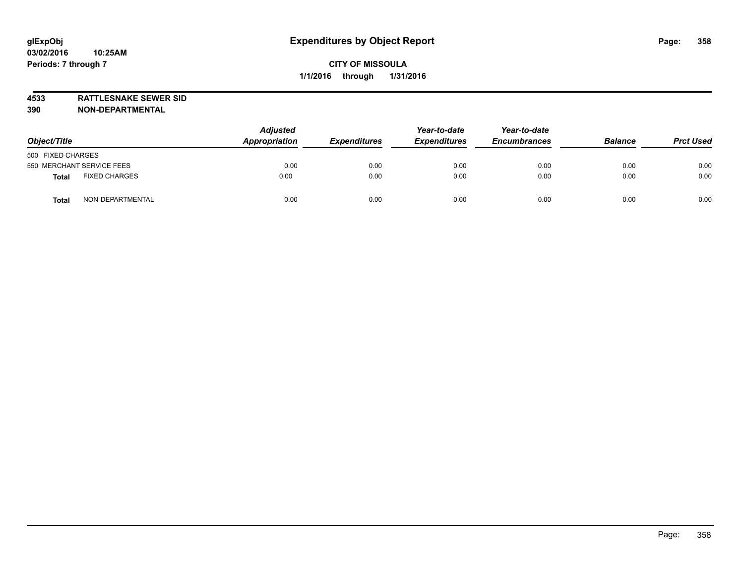**4533 RATTLESNAKE SEWER SID**

**390 NON-DEPARTMENTAL**

| Object/Title                  | <b>Adjusted</b><br>Appropriation | <b>Expenditures</b> | Year-to-date<br><b>Expenditures</b> | Year-to-date<br><b>Encumbrances</b> | <b>Balance</b> | <b>Prct Used</b> |
|-------------------------------|----------------------------------|---------------------|-------------------------------------|-------------------------------------|----------------|------------------|
| 500 FIXED CHARGES             |                                  |                     |                                     |                                     |                |                  |
| 550 MERCHANT SERVICE FEES     | 0.00                             | 0.00                | 0.00                                | 0.00                                | 0.00           | 0.00             |
| <b>FIXED CHARGES</b><br>Total | 0.00                             | 0.00                | 0.00                                | 0.00                                | 0.00           | 0.00             |
| NON-DEPARTMENTAL<br>Tota      | 0.00                             | 0.00                | 0.00                                | 0.00                                | 0.00           | 0.00             |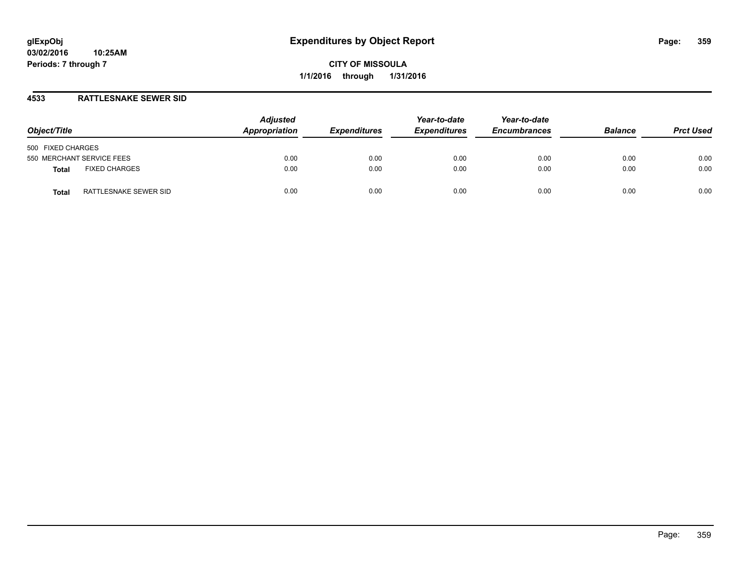## **4533 RATTLESNAKE SEWER SID**

| Object/Title                         | <b>Adjusted</b><br>Appropriation | <b>Expenditures</b> | Year-to-date<br><b>Expenditures</b> | Year-to-date<br><b>Encumbrances</b> | <b>Balance</b> | <b>Prct Used</b> |
|--------------------------------------|----------------------------------|---------------------|-------------------------------------|-------------------------------------|----------------|------------------|
| 500 FIXED CHARGES                    |                                  |                     |                                     |                                     |                |                  |
| 550 MERCHANT SERVICE FEES            | 0.00                             | 0.00                | 0.00                                | 0.00                                | 0.00           | 0.00             |
| <b>FIXED CHARGES</b><br><b>Total</b> | 0.00                             | 0.00                | 0.00                                | 0.00                                | 0.00           | 0.00             |
| RATTLESNAKE SEWER SID<br>Total       | 0.00                             | 0.00                | 0.00                                | 0.00                                | 0.00           | 0.00             |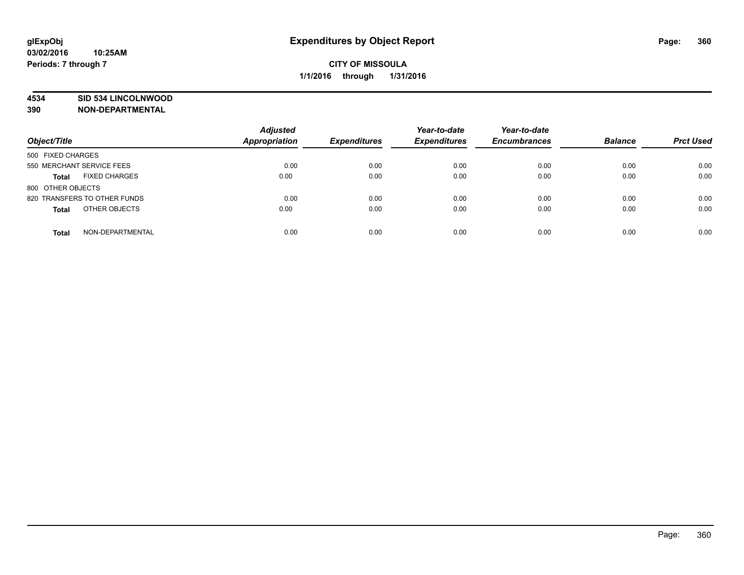## **4534 SID 534 LINCOLNWOOD**

**390 NON-DEPARTMENTAL**

| Object/Title                         | <b>Adjusted</b><br>Appropriation | <b>Expenditures</b> | Year-to-date<br><b>Expenditures</b> | Year-to-date<br><b>Encumbrances</b> | <b>Balance</b> | <b>Prct Used</b> |
|--------------------------------------|----------------------------------|---------------------|-------------------------------------|-------------------------------------|----------------|------------------|
| 500 FIXED CHARGES                    |                                  |                     |                                     |                                     |                |                  |
| 550 MERCHANT SERVICE FEES            | 0.00                             | 0.00                | 0.00                                | 0.00                                | 0.00           | 0.00             |
| <b>FIXED CHARGES</b><br><b>Total</b> | 0.00                             | 0.00                | 0.00                                | 0.00                                | 0.00           | 0.00             |
| 800 OTHER OBJECTS                    |                                  |                     |                                     |                                     |                |                  |
| 820 TRANSFERS TO OTHER FUNDS         | 0.00                             | 0.00                | 0.00                                | 0.00                                | 0.00           | 0.00             |
| OTHER OBJECTS<br><b>Total</b>        | 0.00                             | 0.00                | 0.00                                | 0.00                                | 0.00           | 0.00             |
| NON-DEPARTMENTAL<br><b>Total</b>     | 0.00                             | 0.00                | 0.00                                | 0.00                                | 0.00           | 0.00             |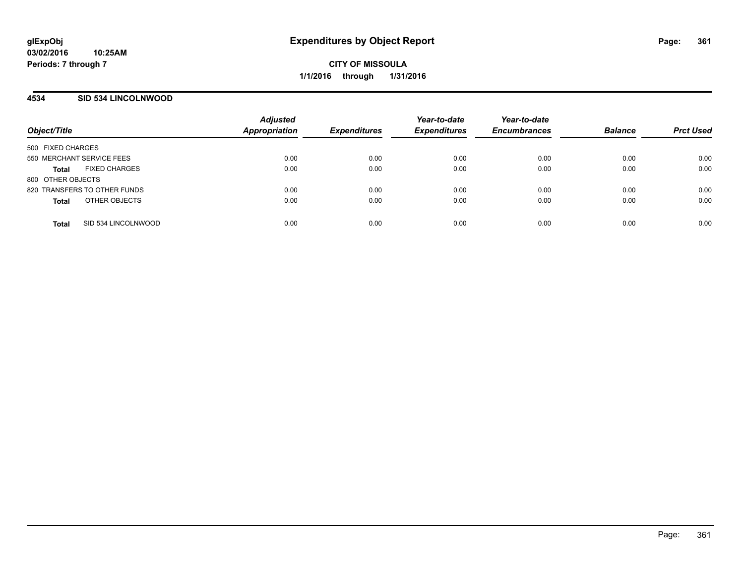## **4534 SID 534 LINCOLNWOOD**

| Object/Title                         | <b>Adjusted</b><br><b>Appropriation</b> | <b>Expenditures</b> | Year-to-date<br><b>Expenditures</b> | Year-to-date<br><b>Encumbrances</b> | <b>Balance</b> | <b>Prct Used</b> |
|--------------------------------------|-----------------------------------------|---------------------|-------------------------------------|-------------------------------------|----------------|------------------|
| 500 FIXED CHARGES                    |                                         |                     |                                     |                                     |                |                  |
| 550 MERCHANT SERVICE FEES            | 0.00                                    | 0.00                | 0.00                                | 0.00                                | 0.00           | 0.00             |
| <b>FIXED CHARGES</b><br><b>Total</b> | 0.00                                    | 0.00                | 0.00                                | 0.00                                | 0.00           | 0.00             |
| 800 OTHER OBJECTS                    |                                         |                     |                                     |                                     |                |                  |
| 820 TRANSFERS TO OTHER FUNDS         | 0.00                                    | 0.00                | 0.00                                | 0.00                                | 0.00           | 0.00             |
| OTHER OBJECTS<br><b>Total</b>        | 0.00                                    | 0.00                | 0.00                                | 0.00                                | 0.00           | 0.00             |
| SID 534 LINCOLNWOOD<br><b>Total</b>  | 0.00                                    | 0.00                | 0.00                                | 0.00                                | 0.00           | 0.00             |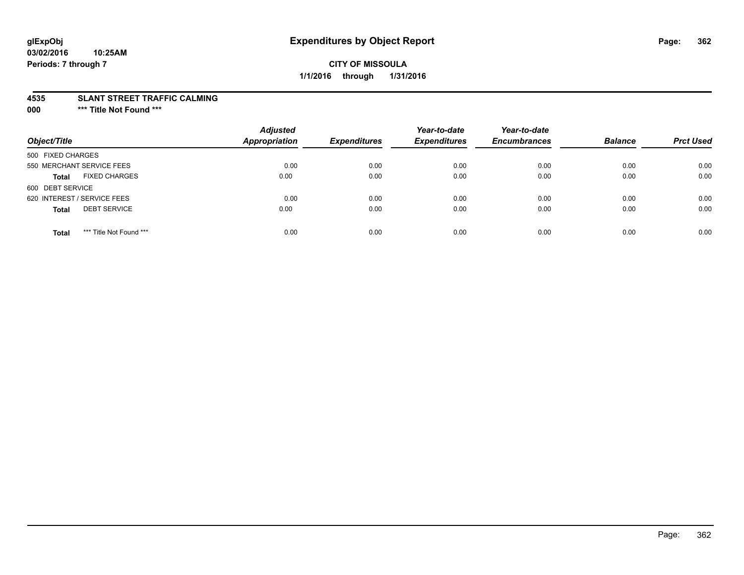## **CITY OF MISSOULA 1/1/2016 through 1/31/2016**

#### **4535 SLANT STREET TRAFFIC CALMING**

**000 \*\*\* Title Not Found \*\*\***

| Object/Title                            | <b>Adjusted</b><br><b>Appropriation</b> | <b>Expenditures</b> | Year-to-date<br><b>Expenditures</b> | Year-to-date<br><b>Encumbrances</b> | <b>Balance</b> | <b>Prct Used</b> |
|-----------------------------------------|-----------------------------------------|---------------------|-------------------------------------|-------------------------------------|----------------|------------------|
| 500 FIXED CHARGES                       |                                         |                     |                                     |                                     |                |                  |
| 550 MERCHANT SERVICE FEES               | 0.00                                    | 0.00                | 0.00                                | 0.00                                | 0.00           | 0.00             |
| <b>FIXED CHARGES</b><br><b>Total</b>    | 0.00                                    | 0.00                | 0.00                                | 0.00                                | 0.00           | 0.00             |
| 600 DEBT SERVICE                        |                                         |                     |                                     |                                     |                |                  |
| 620 INTEREST / SERVICE FEES             | 0.00                                    | 0.00                | 0.00                                | 0.00                                | 0.00           | 0.00             |
| <b>DEBT SERVICE</b><br><b>Total</b>     | 0.00                                    | 0.00                | 0.00                                | 0.00                                | 0.00           | 0.00             |
| *** Title Not Found ***<br><b>Total</b> | 0.00                                    | 0.00                | 0.00                                | 0.00                                | 0.00           | 0.00             |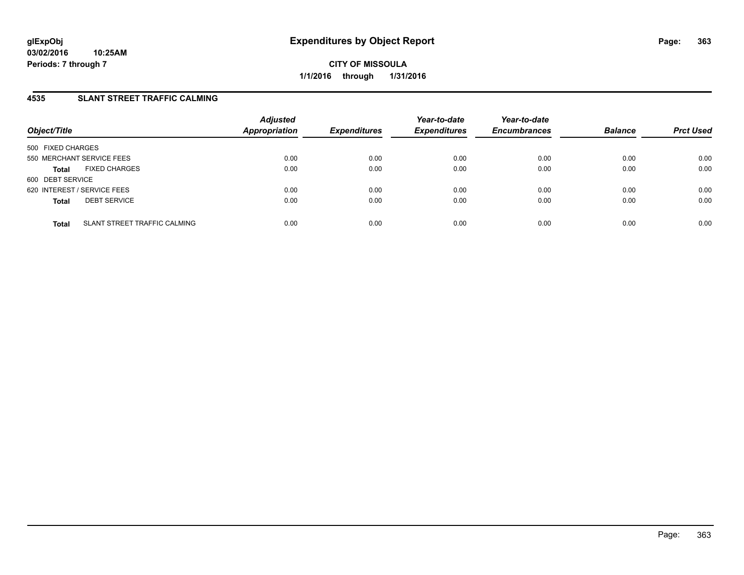## **4535 SLANT STREET TRAFFIC CALMING**

| Object/Title                |                              | <b>Adjusted</b><br><b>Appropriation</b> | <b>Expenditures</b> | Year-to-date<br><b>Expenditures</b> | Year-to-date<br><b>Encumbrances</b> | <b>Balance</b> | <b>Prct Used</b> |
|-----------------------------|------------------------------|-----------------------------------------|---------------------|-------------------------------------|-------------------------------------|----------------|------------------|
| 500 FIXED CHARGES           |                              |                                         |                     |                                     |                                     |                |                  |
| 550 MERCHANT SERVICE FEES   |                              | 0.00                                    | 0.00                | 0.00                                | 0.00                                | 0.00           | 0.00             |
| <b>Total</b>                | <b>FIXED CHARGES</b>         | 0.00                                    | 0.00                | 0.00                                | 0.00                                | 0.00           | 0.00             |
| 600 DEBT SERVICE            |                              |                                         |                     |                                     |                                     |                |                  |
| 620 INTEREST / SERVICE FEES |                              | 0.00                                    | 0.00                | 0.00                                | 0.00                                | 0.00           | 0.00             |
| <b>Total</b>                | <b>DEBT SERVICE</b>          | 0.00                                    | 0.00                | 0.00                                | 0.00                                | 0.00           | 0.00             |
| <b>Total</b>                | SLANT STREET TRAFFIC CALMING | 0.00                                    | 0.00                | 0.00                                | 0.00                                | 0.00           | 0.00             |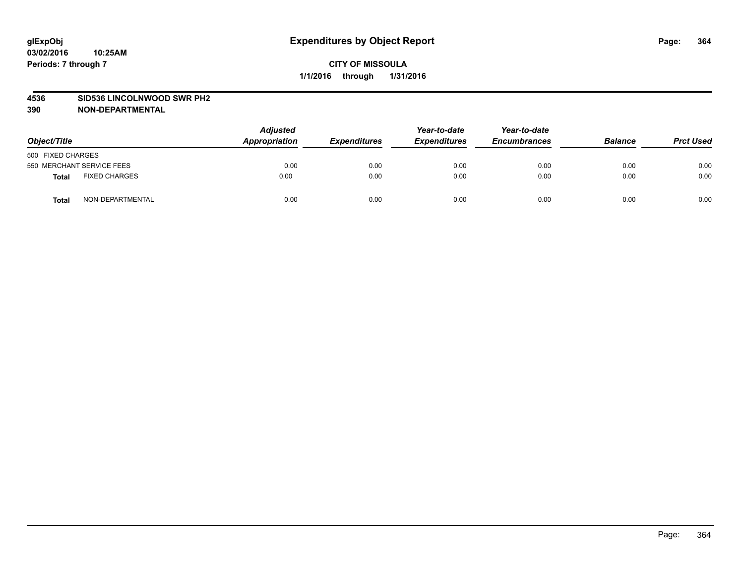#### **4536 SID536 LINCOLNWOOD SWR PH2**

| Object/Title                         | <b>Adjusted</b><br>Appropriation | <b>Expenditures</b> | Year-to-date<br><b>Expenditures</b> | Year-to-date<br><b>Encumbrances</b> | <b>Balance</b> | <b>Prct Used</b> |
|--------------------------------------|----------------------------------|---------------------|-------------------------------------|-------------------------------------|----------------|------------------|
| 500 FIXED CHARGES                    |                                  |                     |                                     |                                     |                |                  |
| 550 MERCHANT SERVICE FEES            | 0.00                             | 0.00                | 0.00                                | 0.00                                | 0.00           | 0.00             |
| <b>FIXED CHARGES</b><br><b>Total</b> | 0.00                             | 0.00                | 0.00                                | 0.00                                | 0.00           | 0.00             |
| NON-DEPARTMENTAL<br><b>Total</b>     | 0.00                             | 0.00                | 0.00                                | 0.00                                | 0.00           | 0.00             |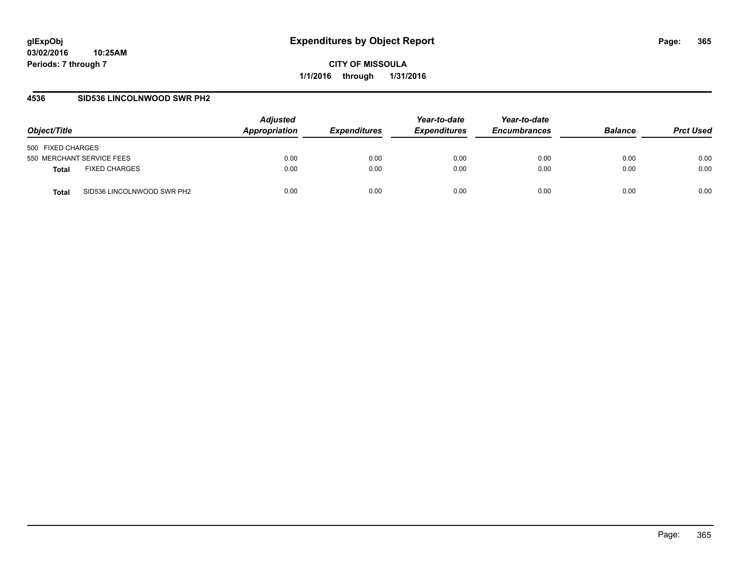### **4536 SID536 LINCOLNWOOD SWR PH2**

| Object/Title                               | <b>Adjusted</b><br>Appropriation | <i><b>Expenditures</b></i> | Year-to-date<br><b>Expenditures</b> | Year-to-date<br><b>Encumbrances</b> | <b>Balance</b> | <b>Prct Used</b> |
|--------------------------------------------|----------------------------------|----------------------------|-------------------------------------|-------------------------------------|----------------|------------------|
| 500 FIXED CHARGES                          |                                  |                            |                                     |                                     |                |                  |
| 550 MERCHANT SERVICE FEES                  | 0.00                             | 0.00                       | 0.00                                | 0.00                                | 0.00           | 0.00             |
| <b>FIXED CHARGES</b><br>Total              | 0.00                             | 0.00                       | 0.00                                | 0.00                                | 0.00           | 0.00             |
| SID536 LINCOLNWOOD SWR PH2<br><b>Total</b> | 0.00                             | 0.00                       | 0.00                                | 0.00                                | 0.00           | 0.00             |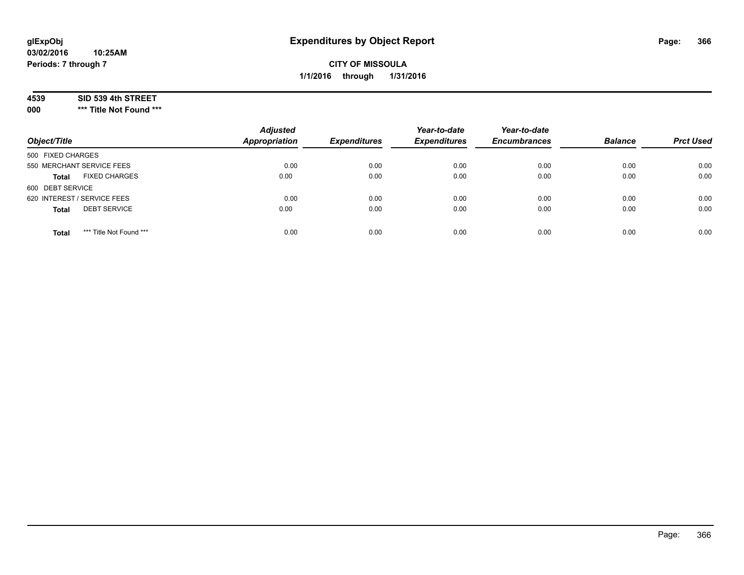### **4539 SID 539 4th STREET**

**000 \*\*\* Title Not Found \*\*\***

| Object/Title                            | <b>Adjusted</b><br><b>Appropriation</b> | <b>Expenditures</b> | Year-to-date<br><b>Expenditures</b> | Year-to-date<br><b>Encumbrances</b> | <b>Balance</b> | <b>Prct Used</b> |
|-----------------------------------------|-----------------------------------------|---------------------|-------------------------------------|-------------------------------------|----------------|------------------|
| 500 FIXED CHARGES                       |                                         |                     |                                     |                                     |                |                  |
| 550 MERCHANT SERVICE FEES               | 0.00                                    | 0.00                | 0.00                                | 0.00                                | 0.00           | 0.00             |
| <b>FIXED CHARGES</b><br><b>Total</b>    | 0.00                                    | 0.00                | 0.00                                | 0.00                                | 0.00           | 0.00             |
| 600 DEBT SERVICE                        |                                         |                     |                                     |                                     |                |                  |
| 620 INTEREST / SERVICE FEES             | 0.00                                    | 0.00                | 0.00                                | 0.00                                | 0.00           | 0.00             |
| <b>DEBT SERVICE</b><br><b>Total</b>     | 0.00                                    | 0.00                | 0.00                                | 0.00                                | 0.00           | 0.00             |
| *** Title Not Found ***<br><b>Total</b> | 0.00                                    | 0.00                | 0.00                                | 0.00                                | 0.00           | 0.00             |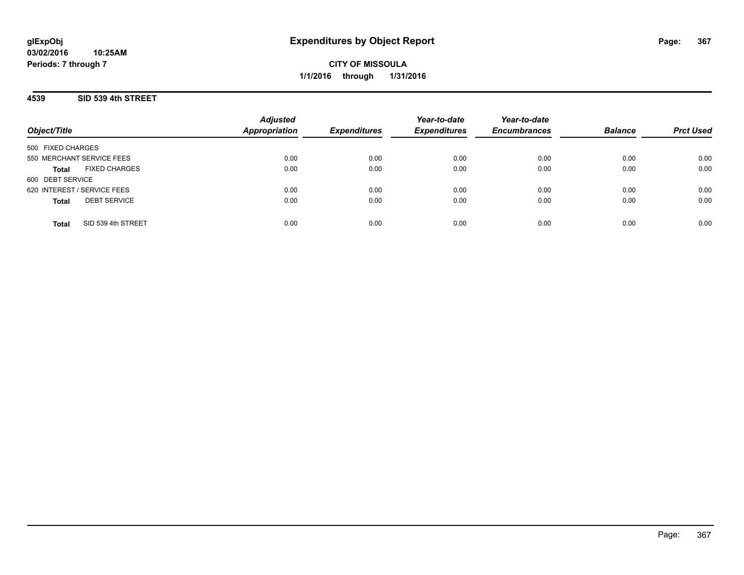## **4539 SID 539 4th STREET**

| Object/Title                         | <b>Adjusted</b><br><b>Appropriation</b> | <b>Expenditures</b> | Year-to-date<br><b>Expenditures</b> | Year-to-date<br><b>Encumbrances</b> | <b>Balance</b> | <b>Prct Used</b> |
|--------------------------------------|-----------------------------------------|---------------------|-------------------------------------|-------------------------------------|----------------|------------------|
| 500 FIXED CHARGES                    |                                         |                     |                                     |                                     |                |                  |
| 550 MERCHANT SERVICE FEES            | 0.00                                    | 0.00                | 0.00                                | 0.00                                | 0.00           | 0.00             |
| <b>FIXED CHARGES</b><br><b>Total</b> | 0.00                                    | 0.00                | 0.00                                | 0.00                                | 0.00           | 0.00             |
| 600 DEBT SERVICE                     |                                         |                     |                                     |                                     |                |                  |
| 620 INTEREST / SERVICE FEES          | 0.00                                    | 0.00                | 0.00                                | 0.00                                | 0.00           | 0.00             |
| <b>DEBT SERVICE</b><br><b>Total</b>  | 0.00                                    | 0.00                | 0.00                                | 0.00                                | 0.00           | 0.00             |
| SID 539 4th STREET<br>Total          | 0.00                                    | 0.00                | 0.00                                | 0.00                                | 0.00           | 0.00             |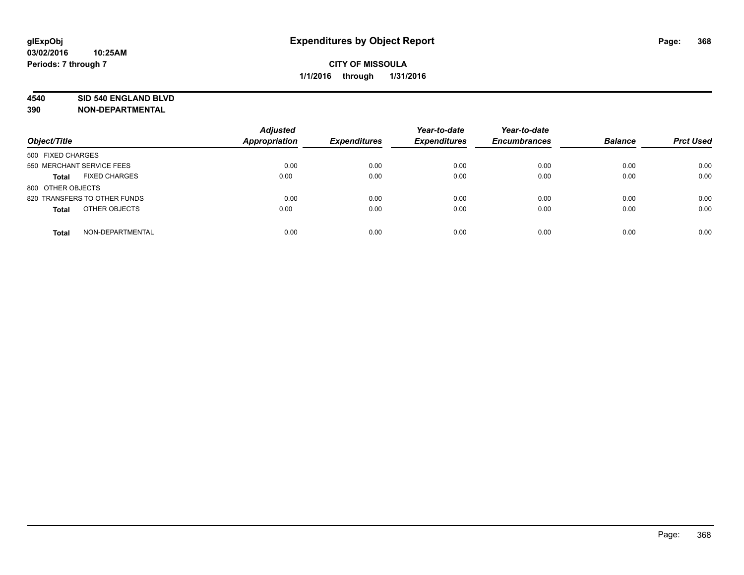#### **4540 SID 540 ENGLAND BLVD**

| Object/Title                         | <b>Adjusted</b><br>Appropriation | <b>Expenditures</b> | Year-to-date<br><b>Expenditures</b> | Year-to-date<br><b>Encumbrances</b> | <b>Balance</b> | <b>Prct Used</b> |
|--------------------------------------|----------------------------------|---------------------|-------------------------------------|-------------------------------------|----------------|------------------|
| 500 FIXED CHARGES                    |                                  |                     |                                     |                                     |                |                  |
| 550 MERCHANT SERVICE FEES            | 0.00                             | 0.00                | 0.00                                | 0.00                                | 0.00           | 0.00             |
| <b>FIXED CHARGES</b><br><b>Total</b> | 0.00                             | 0.00                | 0.00                                | 0.00                                | 0.00           | 0.00             |
| 800 OTHER OBJECTS                    |                                  |                     |                                     |                                     |                |                  |
| 820 TRANSFERS TO OTHER FUNDS         | 0.00                             | 0.00                | 0.00                                | 0.00                                | 0.00           | 0.00             |
| OTHER OBJECTS<br><b>Total</b>        | 0.00                             | 0.00                | 0.00                                | 0.00                                | 0.00           | 0.00             |
| NON-DEPARTMENTAL<br><b>Total</b>     | 0.00                             | 0.00                | 0.00                                | 0.00                                | 0.00           | 0.00             |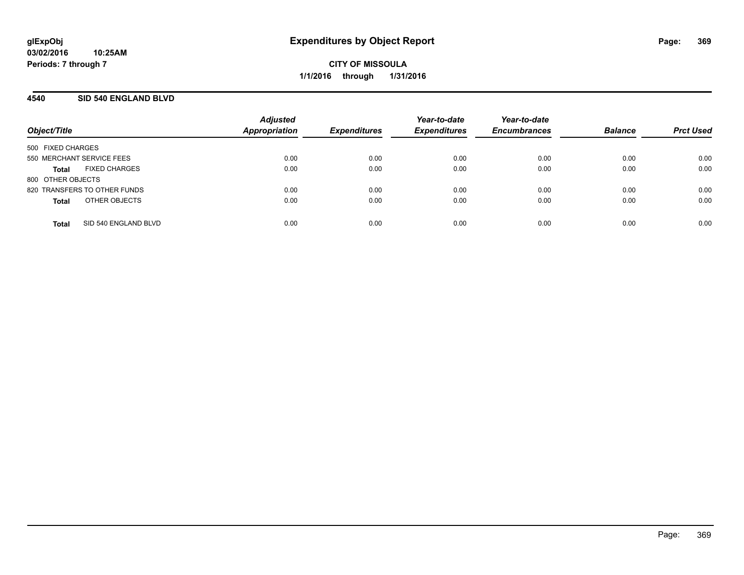## **4540 SID 540 ENGLAND BLVD**

| Object/Title              |                              | <b>Adjusted</b><br><b>Appropriation</b> | <b>Expenditures</b> | Year-to-date<br><b>Expenditures</b> | Year-to-date<br><b>Encumbrances</b> | <b>Balance</b> | <b>Prct Used</b> |
|---------------------------|------------------------------|-----------------------------------------|---------------------|-------------------------------------|-------------------------------------|----------------|------------------|
| 500 FIXED CHARGES         |                              |                                         |                     |                                     |                                     |                |                  |
| 550 MERCHANT SERVICE FEES |                              | 0.00                                    | 0.00                | 0.00                                | 0.00                                | 0.00           | 0.00             |
| Total                     | <b>FIXED CHARGES</b>         | 0.00                                    | 0.00                | 0.00                                | 0.00                                | 0.00           | 0.00             |
| 800 OTHER OBJECTS         |                              |                                         |                     |                                     |                                     |                |                  |
|                           | 820 TRANSFERS TO OTHER FUNDS | 0.00                                    | 0.00                | 0.00                                | 0.00                                | 0.00           | 0.00             |
| <b>Total</b>              | OTHER OBJECTS                | 0.00                                    | 0.00                | 0.00                                | 0.00                                | 0.00           | 0.00             |
| <b>Total</b>              | SID 540 ENGLAND BLVD         | 0.00                                    | 0.00                | 0.00                                | 0.00                                | 0.00           | 0.00             |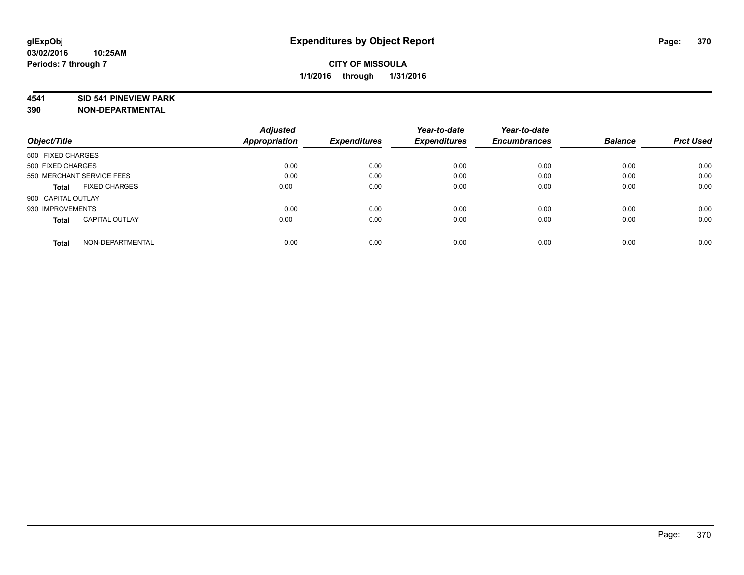#### **4541 SID 541 PINEVIEW PARK**

|                                       | <b>Adjusted</b>      | <b>Expenditures</b> | Year-to-date<br><b>Expenditures</b> | Year-to-date        |                |                  |
|---------------------------------------|----------------------|---------------------|-------------------------------------|---------------------|----------------|------------------|
| Object/Title                          | <b>Appropriation</b> |                     |                                     | <b>Encumbrances</b> | <b>Balance</b> | <b>Prct Used</b> |
| 500 FIXED CHARGES                     |                      |                     |                                     |                     |                |                  |
| 500 FIXED CHARGES                     | 0.00                 | 0.00                | 0.00                                | 0.00                | 0.00           | 0.00             |
| 550 MERCHANT SERVICE FEES             | 0.00                 | 0.00                | 0.00                                | 0.00                | 0.00           | 0.00             |
| <b>FIXED CHARGES</b><br>Total         | 0.00                 | 0.00                | 0.00                                | 0.00                | 0.00           | 0.00             |
| 900 CAPITAL OUTLAY                    |                      |                     |                                     |                     |                |                  |
| 930 IMPROVEMENTS                      | 0.00                 | 0.00                | 0.00                                | 0.00                | 0.00           | 0.00             |
| <b>CAPITAL OUTLAY</b><br><b>Total</b> | 0.00                 | 0.00                | 0.00                                | 0.00                | 0.00           | 0.00             |
| NON-DEPARTMENTAL<br><b>Total</b>      | 0.00                 | 0.00                | 0.00                                | 0.00                | 0.00           | 0.00             |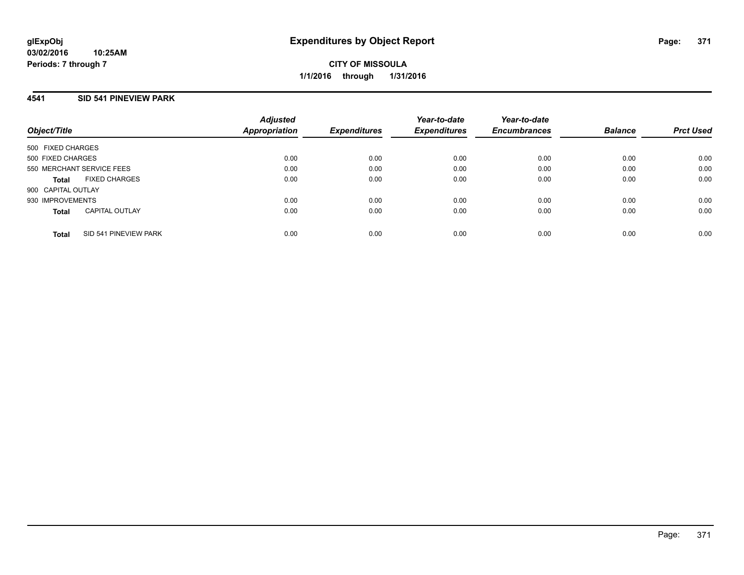## **4541 SID 541 PINEVIEW PARK**

| Object/Title              |                       | <b>Adjusted</b><br><b>Appropriation</b> | <b>Expenditures</b> | Year-to-date<br><b>Expenditures</b> | Year-to-date<br><b>Encumbrances</b> | <b>Balance</b> | <b>Prct Used</b> |
|---------------------------|-----------------------|-----------------------------------------|---------------------|-------------------------------------|-------------------------------------|----------------|------------------|
| 500 FIXED CHARGES         |                       |                                         |                     |                                     |                                     |                |                  |
| 500 FIXED CHARGES         |                       | 0.00                                    | 0.00                | 0.00                                | 0.00                                | 0.00           | 0.00             |
| 550 MERCHANT SERVICE FEES |                       | 0.00                                    | 0.00                | 0.00                                | 0.00                                | 0.00           | 0.00             |
| <b>Total</b>              | <b>FIXED CHARGES</b>  | 0.00                                    | 0.00                | 0.00                                | 0.00                                | 0.00           | 0.00             |
| 900 CAPITAL OUTLAY        |                       |                                         |                     |                                     |                                     |                |                  |
| 930 IMPROVEMENTS          |                       | 0.00                                    | 0.00                | 0.00                                | 0.00                                | 0.00           | 0.00             |
| <b>Total</b>              | <b>CAPITAL OUTLAY</b> | 0.00                                    | 0.00                | 0.00                                | 0.00                                | 0.00           | 0.00             |
| <b>Total</b>              | SID 541 PINEVIEW PARK | 0.00                                    | 0.00                | 0.00                                | 0.00                                | 0.00           | 0.00             |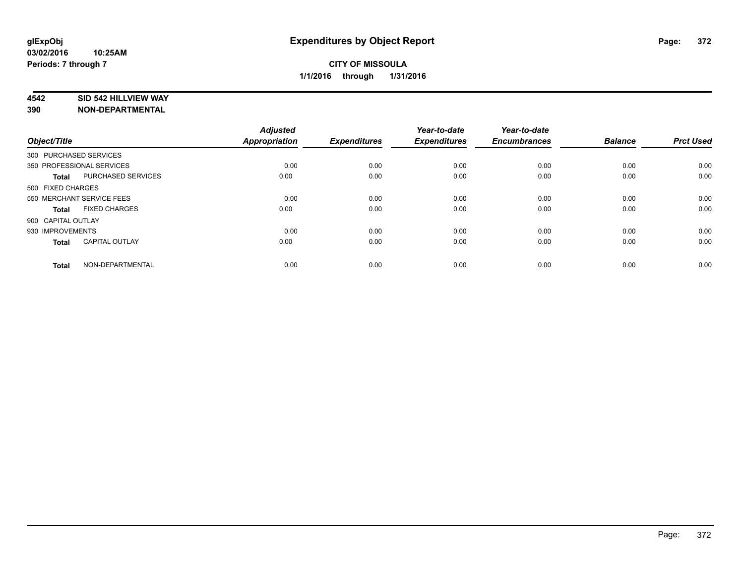### **4542 SID 542 HILLVIEW WAY**

| Object/Title       |                           | <b>Adjusted</b><br><b>Appropriation</b> | <b>Expenditures</b> | Year-to-date<br><b>Expenditures</b> | Year-to-date<br><b>Encumbrances</b> | <b>Balance</b> | <b>Prct Used</b> |
|--------------------|---------------------------|-----------------------------------------|---------------------|-------------------------------------|-------------------------------------|----------------|------------------|
|                    | 300 PURCHASED SERVICES    |                                         |                     |                                     |                                     |                |                  |
|                    | 350 PROFESSIONAL SERVICES | 0.00                                    | 0.00                | 0.00                                | 0.00                                | 0.00           | 0.00             |
| <b>Total</b>       | <b>PURCHASED SERVICES</b> | 0.00                                    | 0.00                | 0.00                                | 0.00                                | 0.00           | 0.00             |
| 500 FIXED CHARGES  |                           |                                         |                     |                                     |                                     |                |                  |
|                    | 550 MERCHANT SERVICE FEES | 0.00                                    | 0.00                | 0.00                                | 0.00                                | 0.00           | 0.00             |
| Total              | <b>FIXED CHARGES</b>      | 0.00                                    | 0.00                | 0.00                                | 0.00                                | 0.00           | 0.00             |
| 900 CAPITAL OUTLAY |                           |                                         |                     |                                     |                                     |                |                  |
| 930 IMPROVEMENTS   |                           | 0.00                                    | 0.00                | 0.00                                | 0.00                                | 0.00           | 0.00             |
| Total              | <b>CAPITAL OUTLAY</b>     | 0.00                                    | 0.00                | 0.00                                | 0.00                                | 0.00           | 0.00             |
| <b>Total</b>       | NON-DEPARTMENTAL          | 0.00                                    | 0.00                | 0.00                                | 0.00                                | 0.00           | 0.00             |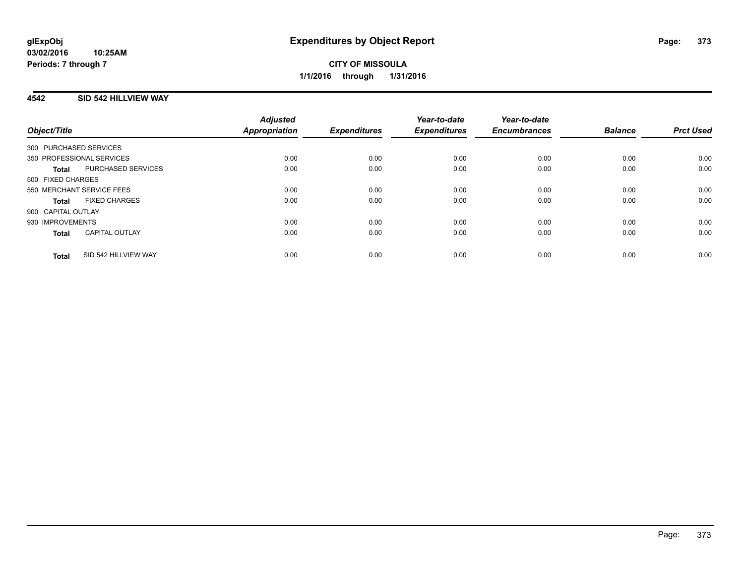## **4542 SID 542 HILLVIEW WAY**

| Object/Title                          | <b>Adjusted</b><br>Appropriation | <b>Expenditures</b> | Year-to-date<br><b>Expenditures</b> | Year-to-date<br><b>Encumbrances</b> | <b>Balance</b> | <b>Prct Used</b> |
|---------------------------------------|----------------------------------|---------------------|-------------------------------------|-------------------------------------|----------------|------------------|
| 300 PURCHASED SERVICES                |                                  |                     |                                     |                                     |                |                  |
| 350 PROFESSIONAL SERVICES             | 0.00                             | 0.00                | 0.00                                | 0.00                                | 0.00           | 0.00             |
| PURCHASED SERVICES<br><b>Total</b>    | 0.00                             | 0.00                | 0.00                                | 0.00                                | 0.00           | 0.00             |
| 500 FIXED CHARGES                     |                                  |                     |                                     |                                     |                |                  |
| 550 MERCHANT SERVICE FEES             | 0.00                             | 0.00                | 0.00                                | 0.00                                | 0.00           | 0.00             |
| <b>FIXED CHARGES</b><br>Total         | 0.00                             | 0.00                | 0.00                                | 0.00                                | 0.00           | 0.00             |
| 900 CAPITAL OUTLAY                    |                                  |                     |                                     |                                     |                |                  |
| 930 IMPROVEMENTS                      | 0.00                             | 0.00                | 0.00                                | 0.00                                | 0.00           | 0.00             |
| <b>CAPITAL OUTLAY</b><br><b>Total</b> | 0.00                             | 0.00                | 0.00                                | 0.00                                | 0.00           | 0.00             |
| SID 542 HILLVIEW WAY<br><b>Total</b>  | 0.00                             | 0.00                | 0.00                                | 0.00                                | 0.00           | 0.00             |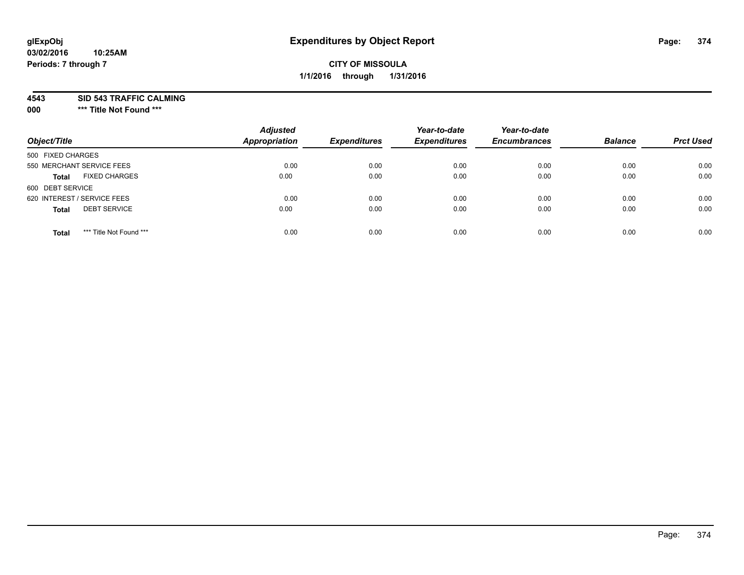**4543 SID 543 TRAFFIC CALMING**

**000 \*\*\* Title Not Found \*\*\***

| Object/Title                            | <b>Adjusted</b><br>Appropriation | <b>Expenditures</b> | Year-to-date<br><b>Expenditures</b> | Year-to-date<br><b>Encumbrances</b> | <b>Balance</b> | <b>Prct Used</b> |
|-----------------------------------------|----------------------------------|---------------------|-------------------------------------|-------------------------------------|----------------|------------------|
| 500 FIXED CHARGES                       |                                  |                     |                                     |                                     |                |                  |
| 550 MERCHANT SERVICE FEES               | 0.00                             | 0.00                | 0.00                                | 0.00                                | 0.00           | 0.00             |
| <b>FIXED CHARGES</b><br><b>Total</b>    | 0.00                             | 0.00                | 0.00                                | 0.00                                | 0.00           | 0.00             |
| 600 DEBT SERVICE                        |                                  |                     |                                     |                                     |                |                  |
| 620 INTEREST / SERVICE FEES             | 0.00                             | 0.00                | 0.00                                | 0.00                                | 0.00           | 0.00             |
| <b>DEBT SERVICE</b><br><b>Total</b>     | 0.00                             | 0.00                | 0.00                                | 0.00                                | 0.00           | 0.00             |
| *** Title Not Found ***<br><b>Total</b> | 0.00                             | 0.00                | 0.00                                | 0.00                                | 0.00           | 0.00             |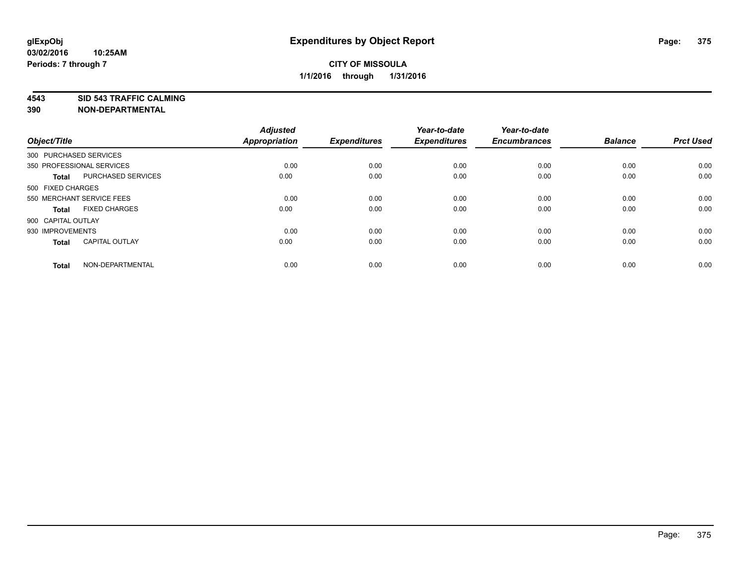**4543 SID 543 TRAFFIC CALMING**

| Object/Title       |                           | <b>Adjusted</b><br><b>Appropriation</b> | <b>Expenditures</b> | Year-to-date<br><b>Expenditures</b> | Year-to-date<br><b>Encumbrances</b> | <b>Balance</b> | <b>Prct Used</b> |
|--------------------|---------------------------|-----------------------------------------|---------------------|-------------------------------------|-------------------------------------|----------------|------------------|
|                    | 300 PURCHASED SERVICES    |                                         |                     |                                     |                                     |                |                  |
|                    | 350 PROFESSIONAL SERVICES | 0.00                                    | 0.00                | 0.00                                | 0.00                                | 0.00           | 0.00             |
| <b>Total</b>       | <b>PURCHASED SERVICES</b> | 0.00                                    | 0.00                | 0.00                                | 0.00                                | 0.00           | 0.00             |
| 500 FIXED CHARGES  |                           |                                         |                     |                                     |                                     |                |                  |
|                    | 550 MERCHANT SERVICE FEES | 0.00                                    | 0.00                | 0.00                                | 0.00                                | 0.00           | 0.00             |
| Total              | <b>FIXED CHARGES</b>      | 0.00                                    | 0.00                | 0.00                                | 0.00                                | 0.00           | 0.00             |
| 900 CAPITAL OUTLAY |                           |                                         |                     |                                     |                                     |                |                  |
| 930 IMPROVEMENTS   |                           | 0.00                                    | 0.00                | 0.00                                | 0.00                                | 0.00           | 0.00             |
| Total              | <b>CAPITAL OUTLAY</b>     | 0.00                                    | 0.00                | 0.00                                | 0.00                                | 0.00           | 0.00             |
| <b>Total</b>       | NON-DEPARTMENTAL          | 0.00                                    | 0.00                | 0.00                                | 0.00                                | 0.00           | 0.00             |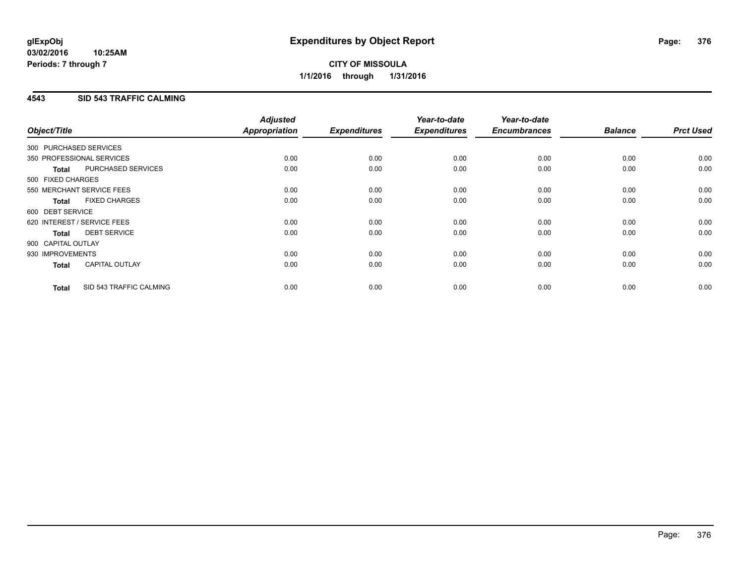## **4543 SID 543 TRAFFIC CALMING**

| Object/Title           |                             | <b>Adjusted</b><br>Appropriation | <b>Expenditures</b> | Year-to-date<br><b>Expenditures</b> | Year-to-date<br><b>Encumbrances</b> | <b>Balance</b> | <b>Prct Used</b> |
|------------------------|-----------------------------|----------------------------------|---------------------|-------------------------------------|-------------------------------------|----------------|------------------|
| 300 PURCHASED SERVICES |                             |                                  |                     |                                     |                                     |                |                  |
|                        | 350 PROFESSIONAL SERVICES   | 0.00                             | 0.00                | 0.00                                | 0.00                                | 0.00           | 0.00             |
| <b>Total</b>           | PURCHASED SERVICES          | 0.00                             | 0.00                | 0.00                                | 0.00                                | 0.00           | 0.00             |
| 500 FIXED CHARGES      |                             |                                  |                     |                                     |                                     |                |                  |
|                        | 550 MERCHANT SERVICE FEES   | 0.00                             | 0.00                | 0.00                                | 0.00                                | 0.00           | 0.00             |
| <b>Total</b>           | <b>FIXED CHARGES</b>        | 0.00                             | 0.00                | 0.00                                | 0.00                                | 0.00           | 0.00             |
| 600 DEBT SERVICE       |                             |                                  |                     |                                     |                                     |                |                  |
|                        | 620 INTEREST / SERVICE FEES | 0.00                             | 0.00                | 0.00                                | 0.00                                | 0.00           | 0.00             |
| Total                  | <b>DEBT SERVICE</b>         | 0.00                             | 0.00                | 0.00                                | 0.00                                | 0.00           | 0.00             |
| 900 CAPITAL OUTLAY     |                             |                                  |                     |                                     |                                     |                |                  |
| 930 IMPROVEMENTS       |                             | 0.00                             | 0.00                | 0.00                                | 0.00                                | 0.00           | 0.00             |
| <b>Total</b>           | <b>CAPITAL OUTLAY</b>       | 0.00                             | 0.00                | 0.00                                | 0.00                                | 0.00           | 0.00             |
| <b>Total</b>           | SID 543 TRAFFIC CALMING     | 0.00                             | 0.00                | 0.00                                | 0.00                                | 0.00           | 0.00             |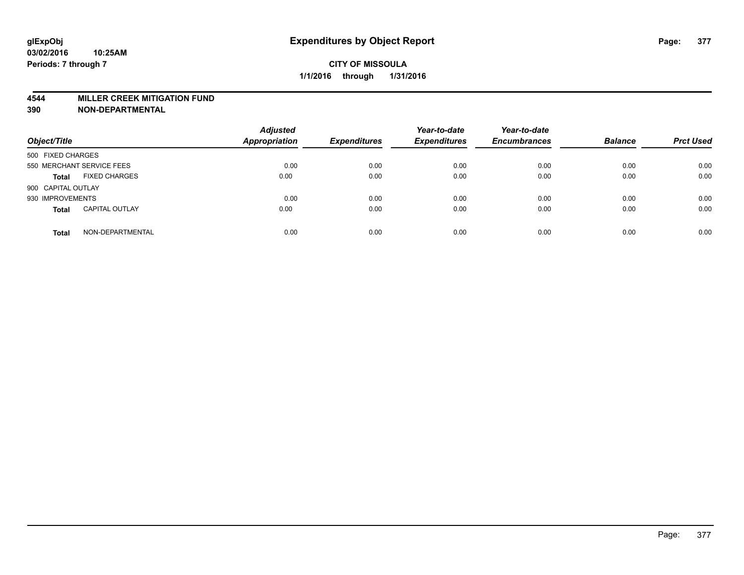#### **4544 MILLER CREEK MITIGATION FUND**

| Object/Title                          | <b>Adjusted</b><br><b>Appropriation</b> | <b>Expenditures</b> | Year-to-date<br><b>Expenditures</b> | Year-to-date<br><b>Encumbrances</b> | <b>Balance</b> | <b>Prct Used</b> |
|---------------------------------------|-----------------------------------------|---------------------|-------------------------------------|-------------------------------------|----------------|------------------|
| 500 FIXED CHARGES                     |                                         |                     |                                     |                                     |                |                  |
| 550 MERCHANT SERVICE FEES             | 0.00                                    | 0.00                | 0.00                                | 0.00                                | 0.00           | 0.00             |
| <b>FIXED CHARGES</b><br><b>Total</b>  | 0.00                                    | 0.00                | 0.00                                | 0.00                                | 0.00           | 0.00             |
| 900 CAPITAL OUTLAY                    |                                         |                     |                                     |                                     |                |                  |
| 930 IMPROVEMENTS                      | 0.00                                    | 0.00                | 0.00                                | 0.00                                | 0.00           | 0.00             |
| <b>CAPITAL OUTLAY</b><br><b>Total</b> | 0.00                                    | 0.00                | 0.00                                | 0.00                                | 0.00           | 0.00             |
| NON-DEPARTMENTAL<br><b>Total</b>      | 0.00                                    | 0.00                | 0.00                                | 0.00                                | 0.00           | 0.00             |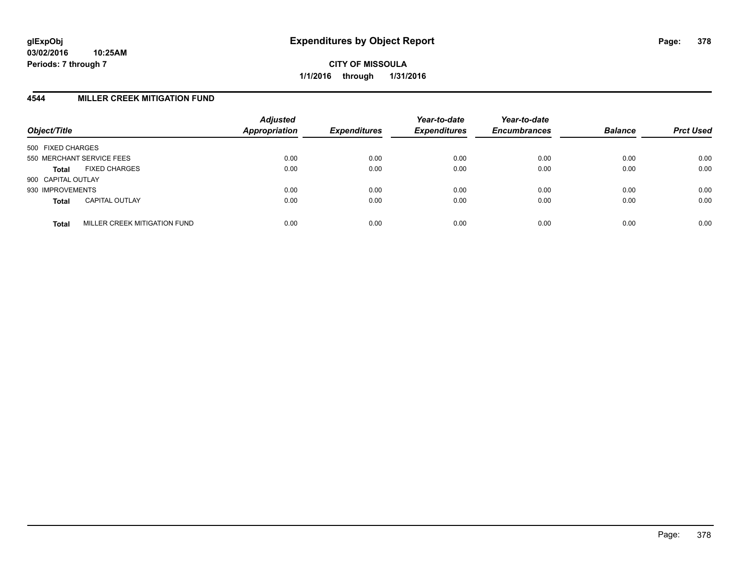## **4544 MILLER CREEK MITIGATION FUND**

| Object/Title              |                              | <b>Adjusted</b><br>Appropriation | <b>Expenditures</b> | Year-to-date<br><b>Expenditures</b> | Year-to-date<br><b>Encumbrances</b> | <b>Balance</b> | <b>Prct Used</b> |
|---------------------------|------------------------------|----------------------------------|---------------------|-------------------------------------|-------------------------------------|----------------|------------------|
| 500 FIXED CHARGES         |                              |                                  |                     |                                     |                                     |                |                  |
| 550 MERCHANT SERVICE FEES |                              | 0.00                             | 0.00                | 0.00                                | 0.00                                | 0.00           | 0.00             |
| <b>Total</b>              | <b>FIXED CHARGES</b>         | 0.00                             | 0.00                | 0.00                                | 0.00                                | 0.00           | 0.00             |
| 900 CAPITAL OUTLAY        |                              |                                  |                     |                                     |                                     |                |                  |
| 930 IMPROVEMENTS          |                              | 0.00                             | 0.00                | 0.00                                | 0.00                                | 0.00           | 0.00             |
| <b>Total</b>              | <b>CAPITAL OUTLAY</b>        | 0.00                             | 0.00                | 0.00                                | 0.00                                | 0.00           | 0.00             |
| <b>Total</b>              | MILLER CREEK MITIGATION FUND | 0.00                             | 0.00                | 0.00                                | 0.00                                | 0.00           | 0.00             |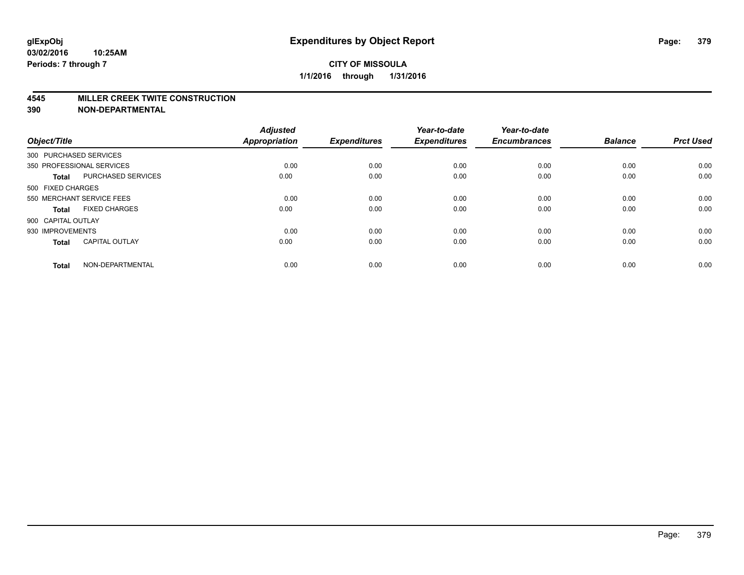## **CITY OF MISSOULA 1/1/2016 through 1/31/2016**

#### **4545 MILLER CREEK TWITE CONSTRUCTION**

| Object/Title       |                           | <b>Adjusted</b><br><b>Appropriation</b> | <b>Expenditures</b> | Year-to-date<br><b>Expenditures</b> | Year-to-date<br><b>Encumbrances</b> | <b>Balance</b> | <b>Prct Used</b> |
|--------------------|---------------------------|-----------------------------------------|---------------------|-------------------------------------|-------------------------------------|----------------|------------------|
|                    | 300 PURCHASED SERVICES    |                                         |                     |                                     |                                     |                |                  |
|                    | 350 PROFESSIONAL SERVICES | 0.00                                    | 0.00                | 0.00                                | 0.00                                | 0.00           | 0.00             |
| <b>Total</b>       | <b>PURCHASED SERVICES</b> | 0.00                                    | 0.00                | 0.00                                | 0.00                                | 0.00           | 0.00             |
| 500 FIXED CHARGES  |                           |                                         |                     |                                     |                                     |                |                  |
|                    | 550 MERCHANT SERVICE FEES | 0.00                                    | 0.00                | 0.00                                | 0.00                                | 0.00           | 0.00             |
| Total              | <b>FIXED CHARGES</b>      | 0.00                                    | 0.00                | 0.00                                | 0.00                                | 0.00           | 0.00             |
| 900 CAPITAL OUTLAY |                           |                                         |                     |                                     |                                     |                |                  |
| 930 IMPROVEMENTS   |                           | 0.00                                    | 0.00                | 0.00                                | 0.00                                | 0.00           | 0.00             |
| Total              | <b>CAPITAL OUTLAY</b>     | 0.00                                    | 0.00                | 0.00                                | 0.00                                | 0.00           | 0.00             |
| <b>Total</b>       | NON-DEPARTMENTAL          | 0.00                                    | 0.00                | 0.00                                | 0.00                                | 0.00           | 0.00             |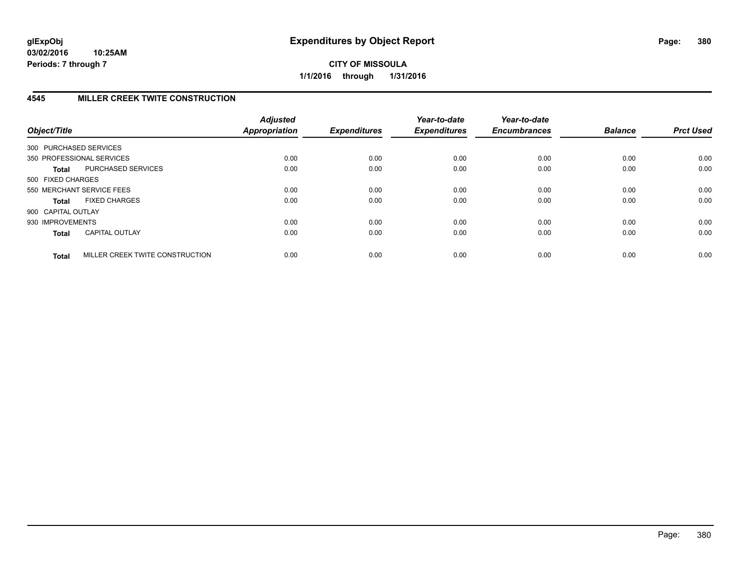## **4545 MILLER CREEK TWITE CONSTRUCTION**

| Object/Title           |                                 | <b>Adjusted</b><br><b>Appropriation</b> | <b>Expenditures</b> | Year-to-date<br><b>Expenditures</b> | Year-to-date<br><b>Encumbrances</b> | <b>Balance</b> | <b>Prct Used</b> |
|------------------------|---------------------------------|-----------------------------------------|---------------------|-------------------------------------|-------------------------------------|----------------|------------------|
| 300 PURCHASED SERVICES |                                 |                                         |                     |                                     |                                     |                |                  |
|                        | 350 PROFESSIONAL SERVICES       | 0.00                                    | 0.00                | 0.00                                | 0.00                                | 0.00           | 0.00             |
| Total                  | <b>PURCHASED SERVICES</b>       | 0.00                                    | 0.00                | 0.00                                | 0.00                                | 0.00           | 0.00             |
| 500 FIXED CHARGES      |                                 |                                         |                     |                                     |                                     |                |                  |
|                        | 550 MERCHANT SERVICE FEES       | 0.00                                    | 0.00                | 0.00                                | 0.00                                | 0.00           | 0.00             |
| Total                  | <b>FIXED CHARGES</b>            | 0.00                                    | 0.00                | 0.00                                | 0.00                                | 0.00           | 0.00             |
| 900 CAPITAL OUTLAY     |                                 |                                         |                     |                                     |                                     |                |                  |
| 930 IMPROVEMENTS       |                                 | 0.00                                    | 0.00                | 0.00                                | 0.00                                | 0.00           | 0.00             |
| <b>Total</b>           | <b>CAPITAL OUTLAY</b>           | 0.00                                    | 0.00                | 0.00                                | 0.00                                | 0.00           | 0.00             |
| <b>Total</b>           | MILLER CREEK TWITE CONSTRUCTION | 0.00                                    | 0.00                | 0.00                                | 0.00                                | 0.00           | 0.00             |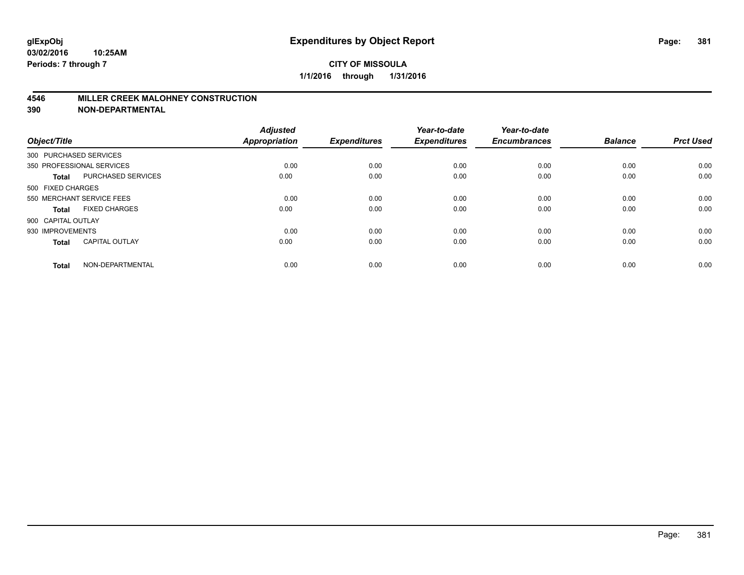## **4546 MILLER CREEK MALOHNEY CONSTRUCTION**

| Object/Title       |                           | <b>Adjusted</b><br><b>Appropriation</b> | <b>Expenditures</b> | Year-to-date<br><b>Expenditures</b> | Year-to-date<br><b>Encumbrances</b> | <b>Balance</b> | <b>Prct Used</b> |
|--------------------|---------------------------|-----------------------------------------|---------------------|-------------------------------------|-------------------------------------|----------------|------------------|
|                    | 300 PURCHASED SERVICES    |                                         |                     |                                     |                                     |                |                  |
|                    | 350 PROFESSIONAL SERVICES | 0.00                                    | 0.00                | 0.00                                | 0.00                                | 0.00           | 0.00             |
| <b>Total</b>       | <b>PURCHASED SERVICES</b> | 0.00                                    | 0.00                | 0.00                                | 0.00                                | 0.00           | 0.00             |
| 500 FIXED CHARGES  |                           |                                         |                     |                                     |                                     |                |                  |
|                    | 550 MERCHANT SERVICE FEES | 0.00                                    | 0.00                | 0.00                                | 0.00                                | 0.00           | 0.00             |
| Total              | <b>FIXED CHARGES</b>      | 0.00                                    | 0.00                | 0.00                                | 0.00                                | 0.00           | 0.00             |
| 900 CAPITAL OUTLAY |                           |                                         |                     |                                     |                                     |                |                  |
| 930 IMPROVEMENTS   |                           | 0.00                                    | 0.00                | 0.00                                | 0.00                                | 0.00           | 0.00             |
| Total              | <b>CAPITAL OUTLAY</b>     | 0.00                                    | 0.00                | 0.00                                | 0.00                                | 0.00           | 0.00             |
| <b>Total</b>       | NON-DEPARTMENTAL          | 0.00                                    | 0.00                | 0.00                                | 0.00                                | 0.00           | 0.00             |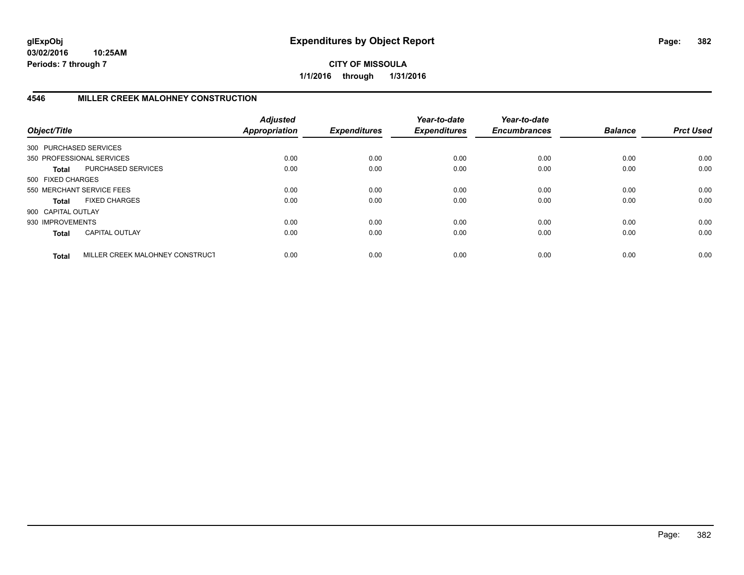**CITY OF MISSOULA 1/1/2016 through 1/31/2016**

## **4546 MILLER CREEK MALOHNEY CONSTRUCTION**

| Object/Title           |                                 | <b>Adjusted</b><br><b>Appropriation</b> | <b>Expenditures</b> | Year-to-date<br><b>Expenditures</b> | Year-to-date<br><b>Encumbrances</b> | <b>Balance</b> | <b>Prct Used</b> |
|------------------------|---------------------------------|-----------------------------------------|---------------------|-------------------------------------|-------------------------------------|----------------|------------------|
| 300 PURCHASED SERVICES |                                 |                                         |                     |                                     |                                     |                |                  |
|                        | 350 PROFESSIONAL SERVICES       | 0.00                                    | 0.00                | 0.00                                | 0.00                                | 0.00           | 0.00             |
| <b>Total</b>           | PURCHASED SERVICES              | 0.00                                    | 0.00                | 0.00                                | 0.00                                | 0.00           | 0.00             |
| 500 FIXED CHARGES      |                                 |                                         |                     |                                     |                                     |                |                  |
|                        | 550 MERCHANT SERVICE FEES       | 0.00                                    | 0.00                | 0.00                                | 0.00                                | 0.00           | 0.00             |
| <b>Total</b>           | <b>FIXED CHARGES</b>            | 0.00                                    | 0.00                | 0.00                                | 0.00                                | 0.00           | 0.00             |
| 900 CAPITAL OUTLAY     |                                 |                                         |                     |                                     |                                     |                |                  |
| 930 IMPROVEMENTS       |                                 | 0.00                                    | 0.00                | 0.00                                | 0.00                                | 0.00           | 0.00             |
| <b>Total</b>           | <b>CAPITAL OUTLAY</b>           | 0.00                                    | 0.00                | 0.00                                | 0.00                                | 0.00           | 0.00             |
| <b>Total</b>           | MILLER CREEK MALOHNEY CONSTRUCT | 0.00                                    | 0.00                | 0.00                                | 0.00                                | 0.00           | 0.00             |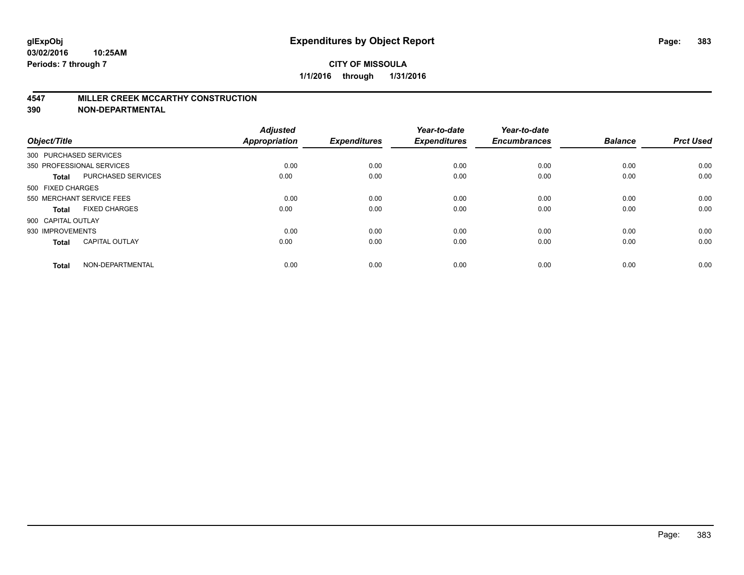#### **4547 MILLER CREEK MCCARTHY CONSTRUCTION**

| Object/Title       |                           | <b>Adjusted</b><br><b>Appropriation</b> | <b>Expenditures</b> | Year-to-date<br><b>Expenditures</b> | Year-to-date<br><b>Encumbrances</b> | <b>Balance</b> | <b>Prct Used</b> |
|--------------------|---------------------------|-----------------------------------------|---------------------|-------------------------------------|-------------------------------------|----------------|------------------|
|                    | 300 PURCHASED SERVICES    |                                         |                     |                                     |                                     |                |                  |
|                    | 350 PROFESSIONAL SERVICES | 0.00                                    | 0.00                | 0.00                                | 0.00                                | 0.00           | 0.00             |
| <b>Total</b>       | <b>PURCHASED SERVICES</b> | 0.00                                    | 0.00                | 0.00                                | 0.00                                | 0.00           | 0.00             |
| 500 FIXED CHARGES  |                           |                                         |                     |                                     |                                     |                |                  |
|                    | 550 MERCHANT SERVICE FEES | 0.00                                    | 0.00                | 0.00                                | 0.00                                | 0.00           | 0.00             |
| Total              | <b>FIXED CHARGES</b>      | 0.00                                    | 0.00                | 0.00                                | 0.00                                | 0.00           | 0.00             |
| 900 CAPITAL OUTLAY |                           |                                         |                     |                                     |                                     |                |                  |
| 930 IMPROVEMENTS   |                           | 0.00                                    | 0.00                | 0.00                                | 0.00                                | 0.00           | 0.00             |
| Total              | <b>CAPITAL OUTLAY</b>     | 0.00                                    | 0.00                | 0.00                                | 0.00                                | 0.00           | 0.00             |
| <b>Total</b>       | NON-DEPARTMENTAL          | 0.00                                    | 0.00                | 0.00                                | 0.00                                | 0.00           | 0.00             |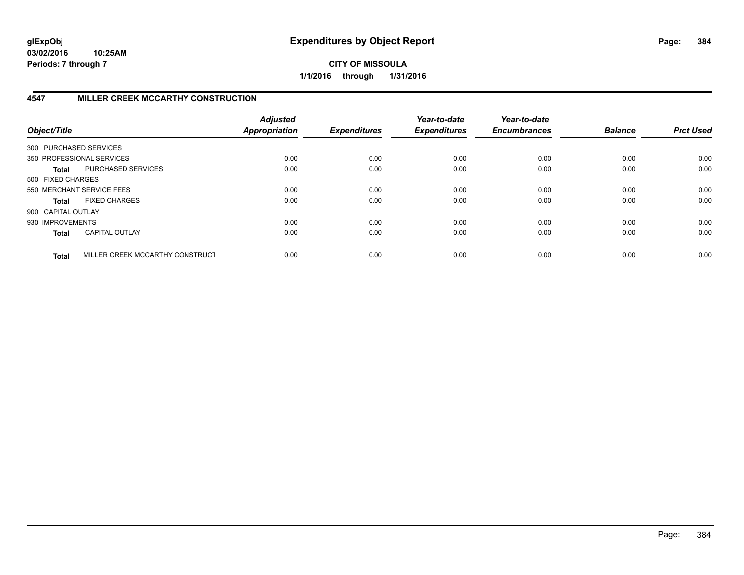**CITY OF MISSOULA 1/1/2016 through 1/31/2016**

## **4547 MILLER CREEK MCCARTHY CONSTRUCTION**

| Object/Title           |                                 | <b>Adjusted</b><br><b>Appropriation</b> | <b>Expenditures</b> | Year-to-date<br><b>Expenditures</b> | Year-to-date<br><b>Encumbrances</b> | <b>Balance</b> | <b>Prct Used</b> |
|------------------------|---------------------------------|-----------------------------------------|---------------------|-------------------------------------|-------------------------------------|----------------|------------------|
| 300 PURCHASED SERVICES |                                 |                                         |                     |                                     |                                     |                |                  |
|                        | 350 PROFESSIONAL SERVICES       | 0.00                                    | 0.00                | 0.00                                | 0.00                                | 0.00           | 0.00             |
| <b>Total</b>           | PURCHASED SERVICES              | 0.00                                    | 0.00                | 0.00                                | 0.00                                | 0.00           | 0.00             |
| 500 FIXED CHARGES      |                                 |                                         |                     |                                     |                                     |                |                  |
|                        | 550 MERCHANT SERVICE FEES       | 0.00                                    | 0.00                | 0.00                                | 0.00                                | 0.00           | 0.00             |
| <b>Total</b>           | <b>FIXED CHARGES</b>            | 0.00                                    | 0.00                | 0.00                                | 0.00                                | 0.00           | 0.00             |
| 900 CAPITAL OUTLAY     |                                 |                                         |                     |                                     |                                     |                |                  |
| 930 IMPROVEMENTS       |                                 | 0.00                                    | 0.00                | 0.00                                | 0.00                                | 0.00           | 0.00             |
| <b>Total</b>           | <b>CAPITAL OUTLAY</b>           | 0.00                                    | 0.00                | 0.00                                | 0.00                                | 0.00           | 0.00             |
| <b>Total</b>           | MILLER CREEK MCCARTHY CONSTRUCT | 0.00                                    | 0.00                | 0.00                                | 0.00                                | 0.00           | 0.00             |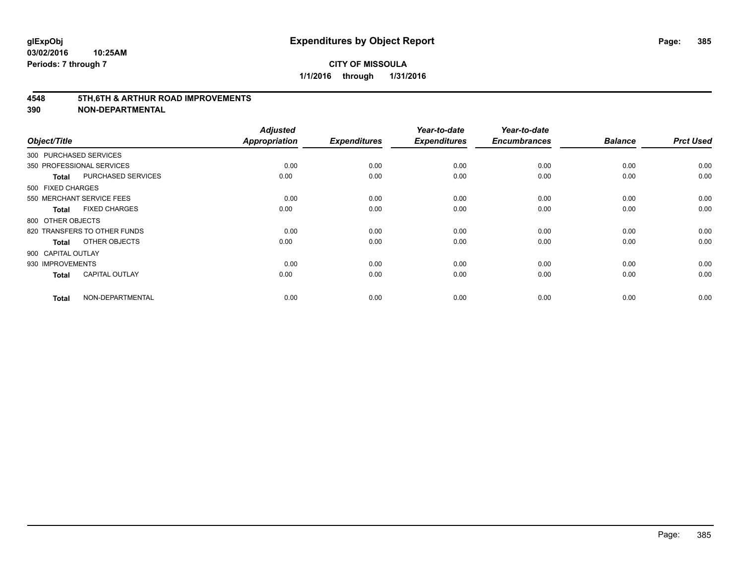#### **4548 5TH,6TH & ARTHUR ROAD IMPROVEMENTS**

| Object/Title              |                              | <b>Adjusted</b><br><b>Appropriation</b> | <b>Expenditures</b> | Year-to-date<br><b>Expenditures</b> | Year-to-date<br><b>Encumbrances</b> | <b>Balance</b> | <b>Prct Used</b> |
|---------------------------|------------------------------|-----------------------------------------|---------------------|-------------------------------------|-------------------------------------|----------------|------------------|
| 300 PURCHASED SERVICES    |                              |                                         |                     |                                     |                                     |                |                  |
| 350 PROFESSIONAL SERVICES |                              | 0.00                                    | 0.00                | 0.00                                | 0.00                                | 0.00           | 0.00             |
| <b>Total</b>              | PURCHASED SERVICES           | 0.00                                    | 0.00                | 0.00                                | 0.00                                | 0.00           | 0.00             |
| 500 FIXED CHARGES         |                              |                                         |                     |                                     |                                     |                |                  |
|                           | 550 MERCHANT SERVICE FEES    | 0.00                                    | 0.00                | 0.00                                | 0.00                                | 0.00           | 0.00             |
| <b>Total</b>              | <b>FIXED CHARGES</b>         | 0.00                                    | 0.00                | 0.00                                | 0.00                                | 0.00           | 0.00             |
| 800 OTHER OBJECTS         |                              |                                         |                     |                                     |                                     |                |                  |
|                           | 820 TRANSFERS TO OTHER FUNDS | 0.00                                    | 0.00                | 0.00                                | 0.00                                | 0.00           | 0.00             |
| <b>Total</b>              | OTHER OBJECTS                | 0.00                                    | 0.00                | 0.00                                | 0.00                                | 0.00           | 0.00             |
| 900 CAPITAL OUTLAY        |                              |                                         |                     |                                     |                                     |                |                  |
| 930 IMPROVEMENTS          |                              | 0.00                                    | 0.00                | 0.00                                | 0.00                                | 0.00           | 0.00             |
| <b>Total</b>              | <b>CAPITAL OUTLAY</b>        | 0.00                                    | 0.00                | 0.00                                | 0.00                                | 0.00           | 0.00             |
| <b>Total</b>              | NON-DEPARTMENTAL             | 0.00                                    | 0.00                | 0.00                                | 0.00                                | 0.00           | 0.00             |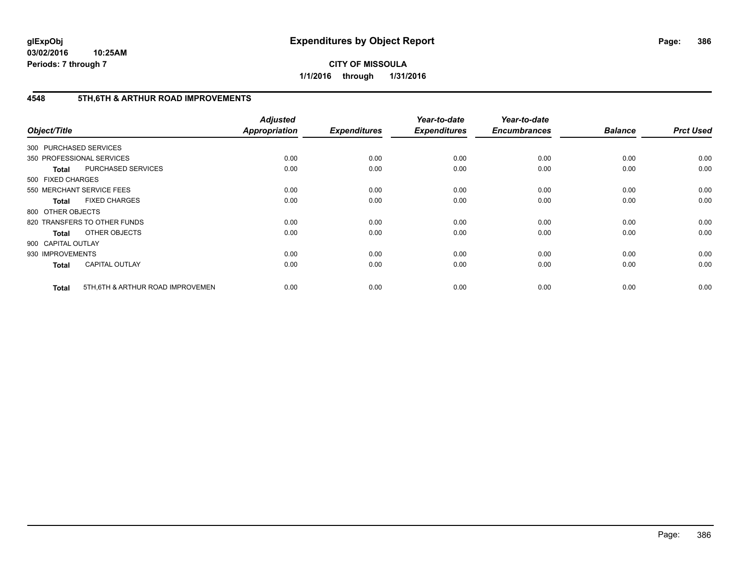**CITY OF MISSOULA 1/1/2016 through 1/31/2016**

## **4548 5TH,6TH & ARTHUR ROAD IMPROVEMENTS**

| Object/Title           |                                  | <b>Adjusted</b><br><b>Appropriation</b> | <b>Expenditures</b> | Year-to-date<br><b>Expenditures</b> | Year-to-date<br><b>Encumbrances</b> | <b>Balance</b> | <b>Prct Used</b> |
|------------------------|----------------------------------|-----------------------------------------|---------------------|-------------------------------------|-------------------------------------|----------------|------------------|
| 300 PURCHASED SERVICES |                                  |                                         |                     |                                     |                                     |                |                  |
|                        | 350 PROFESSIONAL SERVICES        | 0.00                                    | 0.00                | 0.00                                | 0.00                                | 0.00           | 0.00             |
| <b>Total</b>           | PURCHASED SERVICES               | 0.00                                    | 0.00                | 0.00                                | 0.00                                | 0.00           | 0.00             |
| 500 FIXED CHARGES      |                                  |                                         |                     |                                     |                                     |                |                  |
|                        | 550 MERCHANT SERVICE FEES        | 0.00                                    | 0.00                | 0.00                                | 0.00                                | 0.00           | 0.00             |
| <b>Total</b>           | <b>FIXED CHARGES</b>             | 0.00                                    | 0.00                | 0.00                                | 0.00                                | 0.00           | 0.00             |
| 800 OTHER OBJECTS      |                                  |                                         |                     |                                     |                                     |                |                  |
|                        | 820 TRANSFERS TO OTHER FUNDS     | 0.00                                    | 0.00                | 0.00                                | 0.00                                | 0.00           | 0.00             |
| <b>Total</b>           | OTHER OBJECTS                    | 0.00                                    | 0.00                | 0.00                                | 0.00                                | 0.00           | 0.00             |
| 900 CAPITAL OUTLAY     |                                  |                                         |                     |                                     |                                     |                |                  |
| 930 IMPROVEMENTS       |                                  | 0.00                                    | 0.00                | 0.00                                | 0.00                                | 0.00           | 0.00             |
| <b>Total</b>           | <b>CAPITAL OUTLAY</b>            | 0.00                                    | 0.00                | 0.00                                | 0.00                                | 0.00           | 0.00             |
| <b>Total</b>           | 5TH.6TH & ARTHUR ROAD IMPROVEMEN | 0.00                                    | 0.00                | 0.00                                | 0.00                                | 0.00           | 0.00             |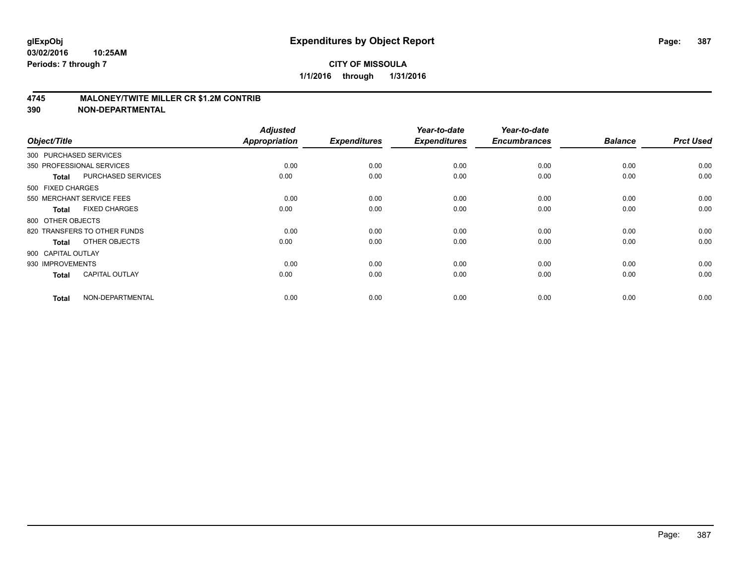## **CITY OF MISSOULA 1/1/2016 through 1/31/2016**

## **4745 MALONEY/TWITE MILLER CR \$1.2M CONTRIB**

| Object/Title           |                              | <b>Adjusted</b><br><b>Appropriation</b> | <b>Expenditures</b> | Year-to-date<br><b>Expenditures</b> | Year-to-date<br><b>Encumbrances</b> | <b>Balance</b> | <b>Prct Used</b> |
|------------------------|------------------------------|-----------------------------------------|---------------------|-------------------------------------|-------------------------------------|----------------|------------------|
| 300 PURCHASED SERVICES |                              |                                         |                     |                                     |                                     |                |                  |
|                        | 350 PROFESSIONAL SERVICES    | 0.00                                    | 0.00                | 0.00                                | 0.00                                | 0.00           | 0.00             |
| <b>Total</b>           | <b>PURCHASED SERVICES</b>    | 0.00                                    | 0.00                | 0.00                                | 0.00                                | 0.00           | 0.00             |
| 500 FIXED CHARGES      |                              |                                         |                     |                                     |                                     |                |                  |
|                        | 550 MERCHANT SERVICE FEES    | 0.00                                    | 0.00                | 0.00                                | 0.00                                | 0.00           | 0.00             |
| <b>Total</b>           | <b>FIXED CHARGES</b>         | 0.00                                    | 0.00                | 0.00                                | 0.00                                | 0.00           | 0.00             |
| 800 OTHER OBJECTS      |                              |                                         |                     |                                     |                                     |                |                  |
|                        | 820 TRANSFERS TO OTHER FUNDS | 0.00                                    | 0.00                | 0.00                                | 0.00                                | 0.00           | 0.00             |
| Total                  | OTHER OBJECTS                | 0.00                                    | 0.00                | 0.00                                | 0.00                                | 0.00           | 0.00             |
| 900 CAPITAL OUTLAY     |                              |                                         |                     |                                     |                                     |                |                  |
| 930 IMPROVEMENTS       |                              | 0.00                                    | 0.00                | 0.00                                | 0.00                                | 0.00           | 0.00             |
| <b>Total</b>           | <b>CAPITAL OUTLAY</b>        | 0.00                                    | 0.00                | 0.00                                | 0.00                                | 0.00           | 0.00             |
| <b>Total</b>           | NON-DEPARTMENTAL             | 0.00                                    | 0.00                | 0.00                                | 0.00                                | 0.00           | 0.00             |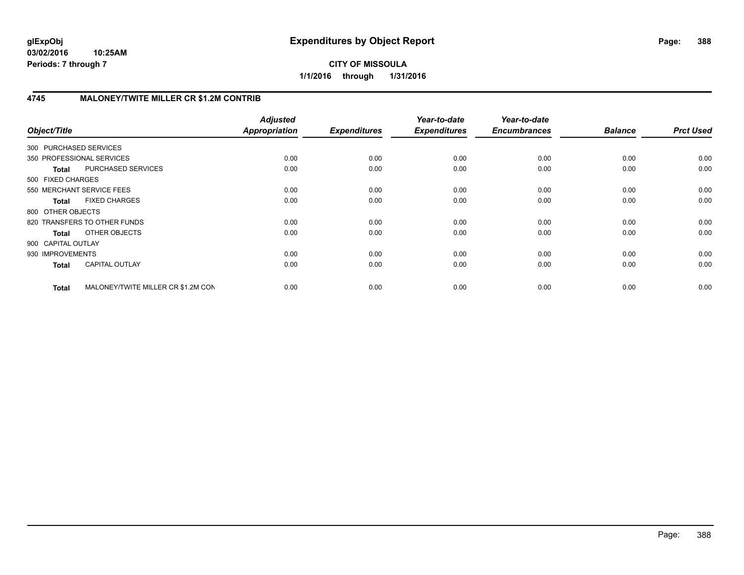## **CITY OF MISSOULA 1/1/2016 through 1/31/2016**

# **4745 MALONEY/TWITE MILLER CR \$1.2M CONTRIB**

| Object/Title              |                                    | <b>Adjusted</b><br><b>Appropriation</b> | <b>Expenditures</b> | Year-to-date<br><b>Expenditures</b> | Year-to-date<br><b>Encumbrances</b> | <b>Balance</b> | <b>Prct Used</b> |
|---------------------------|------------------------------------|-----------------------------------------|---------------------|-------------------------------------|-------------------------------------|----------------|------------------|
| 300 PURCHASED SERVICES    |                                    |                                         |                     |                                     |                                     |                |                  |
| 350 PROFESSIONAL SERVICES |                                    | 0.00                                    | 0.00                | 0.00                                | 0.00                                | 0.00           | 0.00             |
| <b>Total</b>              | PURCHASED SERVICES                 | 0.00                                    | 0.00                | 0.00                                | 0.00                                | 0.00           | 0.00             |
| 500 FIXED CHARGES         |                                    |                                         |                     |                                     |                                     |                |                  |
| 550 MERCHANT SERVICE FEES |                                    | 0.00                                    | 0.00                | 0.00                                | 0.00                                | 0.00           | 0.00             |
| <b>Total</b>              | <b>FIXED CHARGES</b>               | 0.00                                    | 0.00                | 0.00                                | 0.00                                | 0.00           | 0.00             |
| 800 OTHER OBJECTS         |                                    |                                         |                     |                                     |                                     |                |                  |
|                           | 820 TRANSFERS TO OTHER FUNDS       | 0.00                                    | 0.00                | 0.00                                | 0.00                                | 0.00           | 0.00             |
| Total                     | <b>OTHER OBJECTS</b>               | 0.00                                    | 0.00                | 0.00                                | 0.00                                | 0.00           | 0.00             |
| 900 CAPITAL OUTLAY        |                                    |                                         |                     |                                     |                                     |                |                  |
| 930 IMPROVEMENTS          |                                    | 0.00                                    | 0.00                | 0.00                                | 0.00                                | 0.00           | 0.00             |
| <b>Total</b>              | <b>CAPITAL OUTLAY</b>              | 0.00                                    | 0.00                | 0.00                                | 0.00                                | 0.00           | 0.00             |
| <b>Total</b>              | MALONEY/TWITE MILLER CR \$1.2M CON | 0.00                                    | 0.00                | 0.00                                | 0.00                                | 0.00           | 0.00             |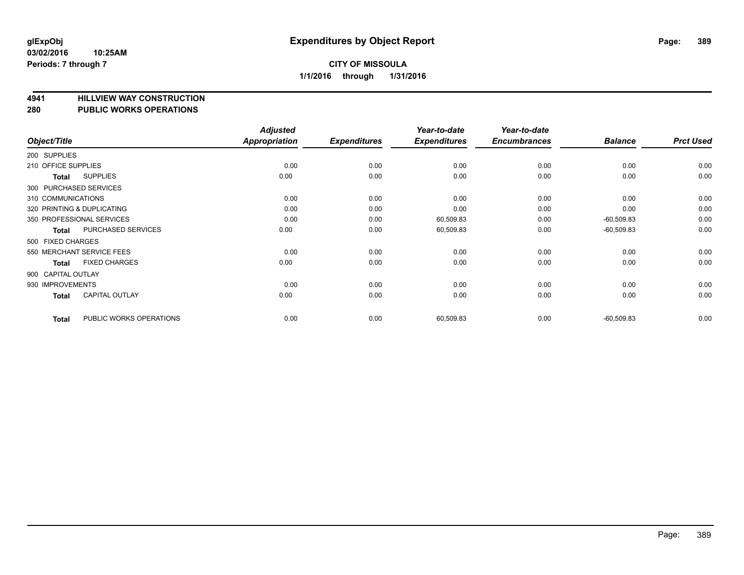# **4941 HILLVIEW WAY CONSTRUCTION**

#### **280 PUBLIC WORKS OPERATIONS**

| Object/Title        |                            | <b>Adjusted</b><br>Appropriation | <b>Expenditures</b> | Year-to-date<br><b>Expenditures</b> | Year-to-date<br><b>Encumbrances</b> | <b>Balance</b> | <b>Prct Used</b> |
|---------------------|----------------------------|----------------------------------|---------------------|-------------------------------------|-------------------------------------|----------------|------------------|
| 200 SUPPLIES        |                            |                                  |                     |                                     |                                     |                |                  |
| 210 OFFICE SUPPLIES |                            | 0.00                             | 0.00                | 0.00                                | 0.00                                | 0.00           | 0.00             |
| Total               | <b>SUPPLIES</b>            | 0.00                             | 0.00                | 0.00                                | 0.00                                | 0.00           | 0.00             |
|                     | 300 PURCHASED SERVICES     |                                  |                     |                                     |                                     |                |                  |
| 310 COMMUNICATIONS  |                            | 0.00                             | 0.00                | 0.00                                | 0.00                                | 0.00           | 0.00             |
|                     | 320 PRINTING & DUPLICATING | 0.00                             | 0.00                | 0.00                                | 0.00                                | 0.00           | 0.00             |
|                     | 350 PROFESSIONAL SERVICES  | 0.00                             | 0.00                | 60,509.83                           | 0.00                                | $-60,509.83$   | 0.00             |
| Total               | PURCHASED SERVICES         | 0.00                             | 0.00                | 60,509.83                           | 0.00                                | $-60,509.83$   | 0.00             |
| 500 FIXED CHARGES   |                            |                                  |                     |                                     |                                     |                |                  |
|                     | 550 MERCHANT SERVICE FEES  | 0.00                             | 0.00                | 0.00                                | 0.00                                | 0.00           | 0.00             |
| Total               | <b>FIXED CHARGES</b>       | 0.00                             | 0.00                | 0.00                                | 0.00                                | 0.00           | 0.00             |
| 900 CAPITAL OUTLAY  |                            |                                  |                     |                                     |                                     |                |                  |
| 930 IMPROVEMENTS    |                            | 0.00                             | 0.00                | 0.00                                | 0.00                                | 0.00           | 0.00             |
| Total               | <b>CAPITAL OUTLAY</b>      | 0.00                             | 0.00                | 0.00                                | 0.00                                | 0.00           | 0.00             |
| <b>Total</b>        | PUBLIC WORKS OPERATIONS    | 0.00                             | 0.00                | 60,509.83                           | 0.00                                | $-60,509.83$   | 0.00             |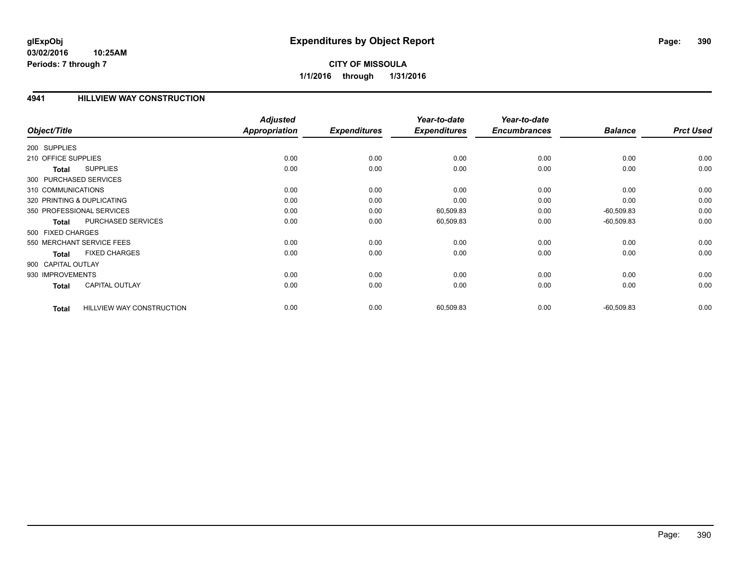# **CITY OF MISSOULA 1/1/2016 through 1/31/2016**

## **4941 HILLVIEW WAY CONSTRUCTION**

|                        |                                  | <b>Adjusted</b>      |                     | Year-to-date        | Year-to-date        |                |                  |
|------------------------|----------------------------------|----------------------|---------------------|---------------------|---------------------|----------------|------------------|
| Object/Title           |                                  | <b>Appropriation</b> | <b>Expenditures</b> | <b>Expenditures</b> | <b>Encumbrances</b> | <b>Balance</b> | <b>Prct Used</b> |
| 200 SUPPLIES           |                                  |                      |                     |                     |                     |                |                  |
| 210 OFFICE SUPPLIES    |                                  | 0.00                 | 0.00                | 0.00                | 0.00                | 0.00           | 0.00             |
| Total                  | <b>SUPPLIES</b>                  | 0.00                 | 0.00                | 0.00                | 0.00                | 0.00           | 0.00             |
| 300 PURCHASED SERVICES |                                  |                      |                     |                     |                     |                |                  |
| 310 COMMUNICATIONS     |                                  | 0.00                 | 0.00                | 0.00                | 0.00                | 0.00           | 0.00             |
|                        | 320 PRINTING & DUPLICATING       | 0.00                 | 0.00                | 0.00                | 0.00                | 0.00           | 0.00             |
|                        | 350 PROFESSIONAL SERVICES        | 0.00                 | 0.00                | 60,509.83           | 0.00                | $-60,509.83$   | 0.00             |
| <b>Total</b>           | PURCHASED SERVICES               | 0.00                 | 0.00                | 60,509.83           | 0.00                | $-60,509.83$   | 0.00             |
| 500 FIXED CHARGES      |                                  |                      |                     |                     |                     |                |                  |
|                        | 550 MERCHANT SERVICE FEES        | 0.00                 | 0.00                | 0.00                | 0.00                | 0.00           | 0.00             |
| <b>Total</b>           | <b>FIXED CHARGES</b>             | 0.00                 | 0.00                | 0.00                | 0.00                | 0.00           | 0.00             |
| 900 CAPITAL OUTLAY     |                                  |                      |                     |                     |                     |                |                  |
| 930 IMPROVEMENTS       |                                  | 0.00                 | 0.00                | 0.00                | 0.00                | 0.00           | 0.00             |
| <b>Total</b>           | <b>CAPITAL OUTLAY</b>            | 0.00                 | 0.00                | 0.00                | 0.00                | 0.00           | 0.00             |
| <b>Total</b>           | <b>HILLVIEW WAY CONSTRUCTION</b> | 0.00                 | 0.00                | 60,509.83           | 0.00                | $-60,509.83$   | 0.00             |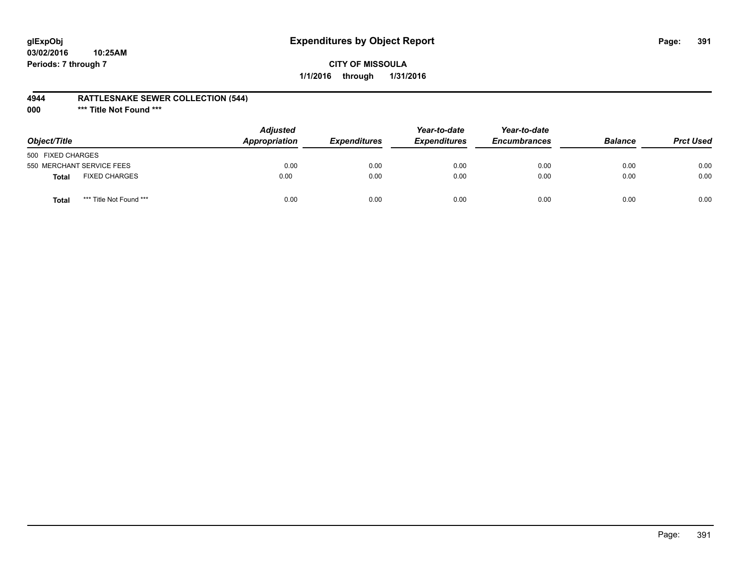## **4944 RATTLESNAKE SEWER COLLECTION (544)**

**000 \*\*\* Title Not Found \*\*\***

| Object/Title              |                         | <b>Adjusted</b><br><b>Appropriation</b> | <i><b>Expenditures</b></i> | Year-to-date<br><b>Expenditures</b> | Year-to-date<br><b>Encumbrances</b> | <b>Balance</b> | <b>Prct Used</b> |
|---------------------------|-------------------------|-----------------------------------------|----------------------------|-------------------------------------|-------------------------------------|----------------|------------------|
| 500 FIXED CHARGES         |                         |                                         |                            |                                     |                                     |                |                  |
| 550 MERCHANT SERVICE FEES |                         | 0.00                                    | 0.00                       | 0.00                                | 0.00                                | 0.00           | 0.00             |
| <b>Total</b>              | <b>FIXED CHARGES</b>    | 0.00                                    | 0.00                       | 0.00                                | 0.00                                | 0.00           | 0.00             |
| Total                     | *** Title Not Found *** | 0.00                                    | 0.00                       | 0.00                                | 0.00                                | 0.00           | 0.00             |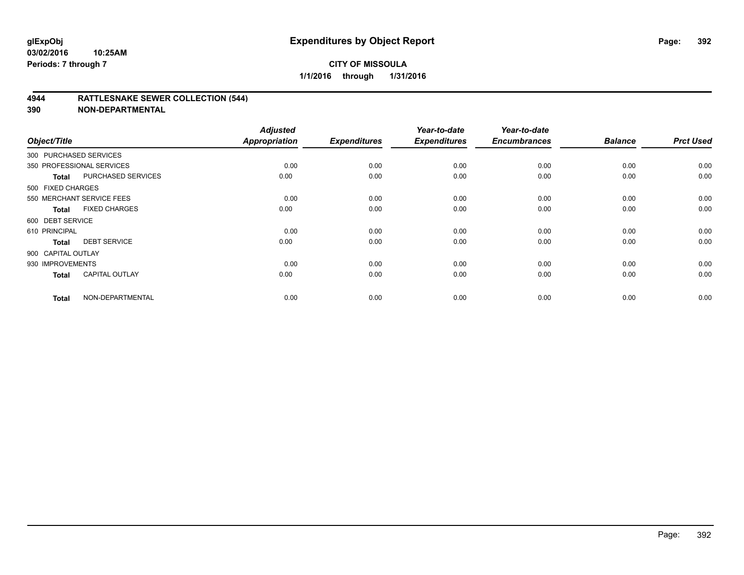## **CITY OF MISSOULA 1/1/2016 through 1/31/2016**

## **4944 RATTLESNAKE SEWER COLLECTION (544)**

| Object/Title           |                           | <b>Adjusted</b><br>Appropriation | <b>Expenditures</b> | Year-to-date<br><b>Expenditures</b> | Year-to-date<br><b>Encumbrances</b> | <b>Balance</b> | <b>Prct Used</b> |
|------------------------|---------------------------|----------------------------------|---------------------|-------------------------------------|-------------------------------------|----------------|------------------|
| 300 PURCHASED SERVICES |                           |                                  |                     |                                     |                                     |                |                  |
|                        | 350 PROFESSIONAL SERVICES | 0.00                             | 0.00                | 0.00                                | 0.00                                | 0.00           | 0.00             |
| Total                  | PURCHASED SERVICES        | 0.00                             | 0.00                | 0.00                                | 0.00                                | 0.00           | 0.00             |
| 500 FIXED CHARGES      |                           |                                  |                     |                                     |                                     |                |                  |
|                        | 550 MERCHANT SERVICE FEES | 0.00                             | 0.00                | 0.00                                | 0.00                                | 0.00           | 0.00             |
| Total                  | <b>FIXED CHARGES</b>      | 0.00                             | 0.00                | 0.00                                | 0.00                                | 0.00           | 0.00             |
| 600 DEBT SERVICE       |                           |                                  |                     |                                     |                                     |                |                  |
| 610 PRINCIPAL          |                           | 0.00                             | 0.00                | 0.00                                | 0.00                                | 0.00           | 0.00             |
| <b>Total</b>           | <b>DEBT SERVICE</b>       | 0.00                             | 0.00                | 0.00                                | 0.00                                | 0.00           | 0.00             |
| 900 CAPITAL OUTLAY     |                           |                                  |                     |                                     |                                     |                |                  |
| 930 IMPROVEMENTS       |                           | 0.00                             | 0.00                | 0.00                                | 0.00                                | 0.00           | 0.00             |
| <b>Total</b>           | <b>CAPITAL OUTLAY</b>     | 0.00                             | 0.00                | 0.00                                | 0.00                                | 0.00           | 0.00             |
| <b>Total</b>           | NON-DEPARTMENTAL          | 0.00                             | 0.00                | 0.00                                | 0.00                                | 0.00           | 0.00             |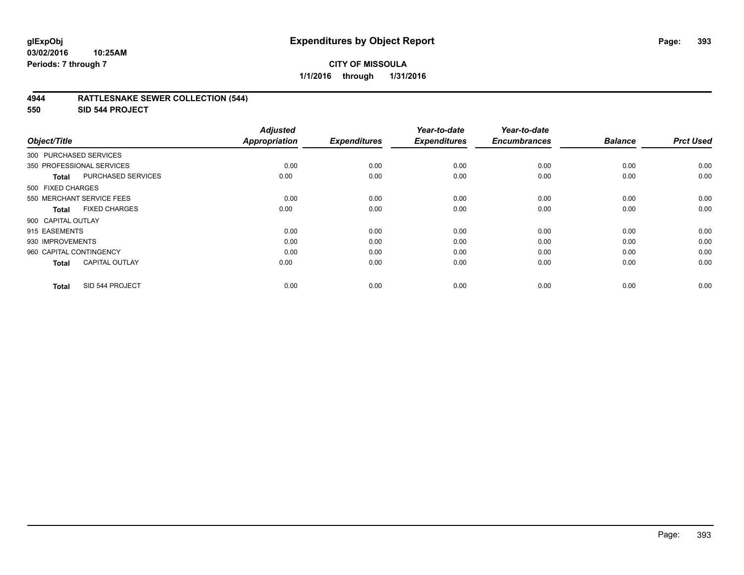## **CITY OF MISSOULA 1/1/2016 through 1/31/2016**

## **4944 RATTLESNAKE SEWER COLLECTION (544)**

**550 SID 544 PROJECT**

| Object/Title                              | <b>Adjusted</b><br>Appropriation | <b>Expenditures</b> | Year-to-date<br><b>Expenditures</b> | Year-to-date<br><b>Encumbrances</b> | <b>Balance</b> | <b>Prct Used</b> |
|-------------------------------------------|----------------------------------|---------------------|-------------------------------------|-------------------------------------|----------------|------------------|
|                                           |                                  |                     |                                     |                                     |                |                  |
| 300 PURCHASED SERVICES                    |                                  |                     |                                     |                                     |                |                  |
| 350 PROFESSIONAL SERVICES                 | 0.00                             | 0.00                | 0.00                                | 0.00                                | 0.00           | 0.00             |
| <b>PURCHASED SERVICES</b><br><b>Total</b> | 0.00                             | 0.00                | 0.00                                | 0.00                                | 0.00           | 0.00             |
| 500 FIXED CHARGES                         |                                  |                     |                                     |                                     |                |                  |
| 550 MERCHANT SERVICE FEES                 | 0.00                             | 0.00                | 0.00                                | 0.00                                | 0.00           | 0.00             |
| <b>FIXED CHARGES</b><br><b>Total</b>      | 0.00                             | 0.00                | 0.00                                | 0.00                                | 0.00           | 0.00             |
| 900 CAPITAL OUTLAY                        |                                  |                     |                                     |                                     |                |                  |
| 915 EASEMENTS                             | 0.00                             | 0.00                | 0.00                                | 0.00                                | 0.00           | 0.00             |
| 930 IMPROVEMENTS                          | 0.00                             | 0.00                | 0.00                                | 0.00                                | 0.00           | 0.00             |
| 960 CAPITAL CONTINGENCY                   | 0.00                             | 0.00                | 0.00                                | 0.00                                | 0.00           | 0.00             |
| <b>CAPITAL OUTLAY</b><br><b>Total</b>     | 0.00                             | 0.00                | 0.00                                | 0.00                                | 0.00           | 0.00             |
| SID 544 PROJECT<br><b>Total</b>           | 0.00                             | 0.00                | 0.00                                | 0.00                                | 0.00           | 0.00             |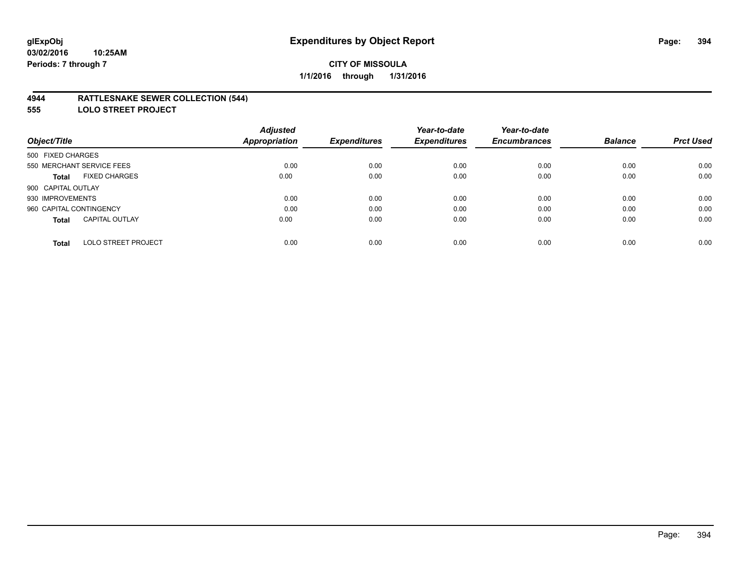## **4944 RATTLESNAKE SEWER COLLECTION (544)**

**555 LOLO STREET PROJECT**

|                                            | <b>Adjusted</b>      |                     | Year-to-date        | Year-to-date        |                |                  |
|--------------------------------------------|----------------------|---------------------|---------------------|---------------------|----------------|------------------|
| Object/Title                               | <b>Appropriation</b> | <b>Expenditures</b> | <b>Expenditures</b> | <b>Encumbrances</b> | <b>Balance</b> | <b>Prct Used</b> |
| 500 FIXED CHARGES                          |                      |                     |                     |                     |                |                  |
| 550 MERCHANT SERVICE FEES                  | 0.00                 | 0.00                | 0.00                | 0.00                | 0.00           | 0.00             |
| <b>FIXED CHARGES</b><br><b>Total</b>       | 0.00                 | 0.00                | 0.00                | 0.00                | 0.00           | 0.00             |
| 900 CAPITAL OUTLAY                         |                      |                     |                     |                     |                |                  |
| 930 IMPROVEMENTS                           | 0.00                 | 0.00                | 0.00                | 0.00                | 0.00           | 0.00             |
| 960 CAPITAL CONTINGENCY                    | 0.00                 | 0.00                | 0.00                | 0.00                | 0.00           | 0.00             |
| <b>CAPITAL OUTLAY</b><br><b>Total</b>      | 0.00                 | 0.00                | 0.00                | 0.00                | 0.00           | 0.00             |
| <b>LOLO STREET PROJECT</b><br><b>Total</b> | 0.00                 | 0.00                | 0.00                | 0.00                | 0.00           | 0.00             |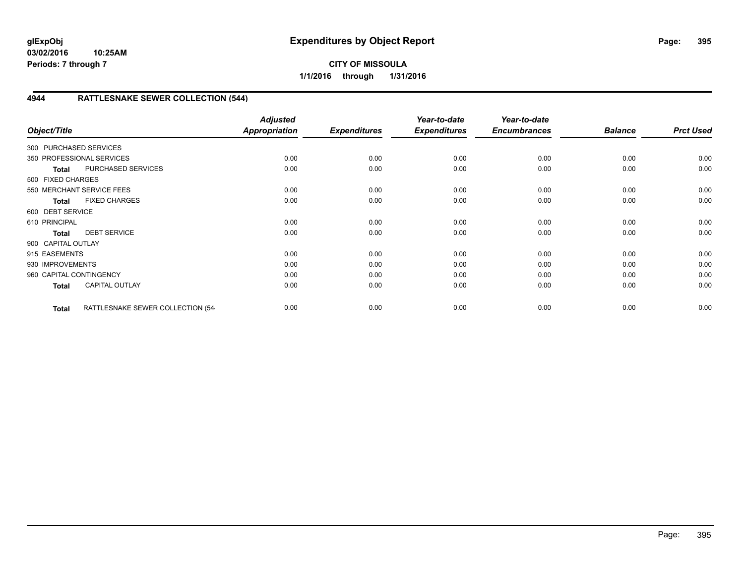# **4944 RATTLESNAKE SEWER COLLECTION (544)**

| Object/Title            |                                  | <b>Adjusted</b><br><b>Appropriation</b> | <b>Expenditures</b> | Year-to-date<br><b>Expenditures</b> | Year-to-date<br><b>Encumbrances</b> | <b>Balance</b> | <b>Prct Used</b> |
|-------------------------|----------------------------------|-----------------------------------------|---------------------|-------------------------------------|-------------------------------------|----------------|------------------|
| 300 PURCHASED SERVICES  |                                  |                                         |                     |                                     |                                     |                |                  |
|                         | 350 PROFESSIONAL SERVICES        | 0.00                                    | 0.00                | 0.00                                | 0.00                                | 0.00           | 0.00             |
| <b>Total</b>            | PURCHASED SERVICES               | 0.00                                    | 0.00                | 0.00                                | 0.00                                | 0.00           | 0.00             |
| 500 FIXED CHARGES       |                                  |                                         |                     |                                     |                                     |                |                  |
|                         | 550 MERCHANT SERVICE FEES        | 0.00                                    | 0.00                | 0.00                                | 0.00                                | 0.00           | 0.00             |
| <b>Total</b>            | <b>FIXED CHARGES</b>             | 0.00                                    | 0.00                | 0.00                                | 0.00                                | 0.00           | 0.00             |
| 600 DEBT SERVICE        |                                  |                                         |                     |                                     |                                     |                |                  |
| 610 PRINCIPAL           |                                  | 0.00                                    | 0.00                | 0.00                                | 0.00                                | 0.00           | 0.00             |
| <b>Total</b>            | <b>DEBT SERVICE</b>              | 0.00                                    | 0.00                | 0.00                                | 0.00                                | 0.00           | 0.00             |
| 900 CAPITAL OUTLAY      |                                  |                                         |                     |                                     |                                     |                |                  |
| 915 EASEMENTS           |                                  | 0.00                                    | 0.00                | 0.00                                | 0.00                                | 0.00           | 0.00             |
| 930 IMPROVEMENTS        |                                  | 0.00                                    | 0.00                | 0.00                                | 0.00                                | 0.00           | 0.00             |
| 960 CAPITAL CONTINGENCY |                                  | 0.00                                    | 0.00                | 0.00                                | 0.00                                | 0.00           | 0.00             |
| <b>Total</b>            | <b>CAPITAL OUTLAY</b>            | 0.00                                    | 0.00                | 0.00                                | 0.00                                | 0.00           | 0.00             |
| <b>Total</b>            | RATTLESNAKE SEWER COLLECTION (54 | 0.00                                    | 0.00                | 0.00                                | 0.00                                | 0.00           | 0.00             |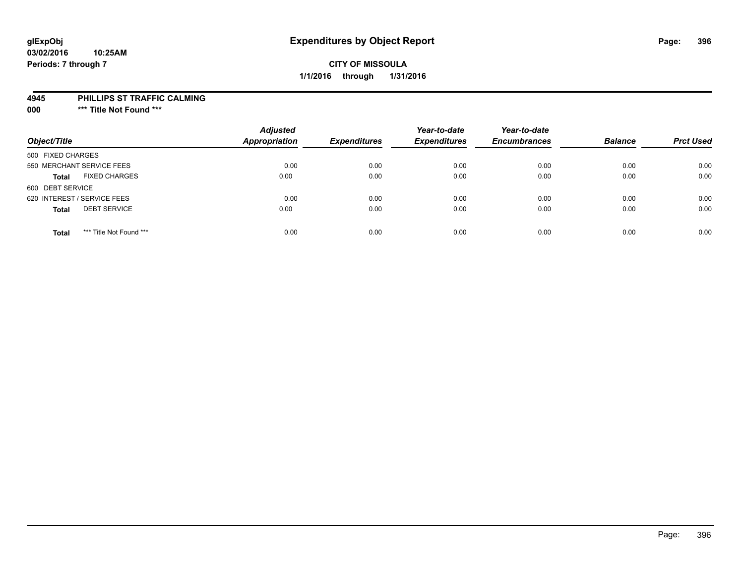## **CITY OF MISSOULA 1/1/2016 through 1/31/2016**

#### **4945 PHILLIPS ST TRAFFIC CALMING**

**000 \*\*\* Title Not Found \*\*\***

| Object/Title                            | <b>Adjusted</b><br><b>Appropriation</b> | <b>Expenditures</b> | Year-to-date<br><b>Expenditures</b> | Year-to-date<br><b>Encumbrances</b> | <b>Balance</b> | <b>Prct Used</b> |
|-----------------------------------------|-----------------------------------------|---------------------|-------------------------------------|-------------------------------------|----------------|------------------|
| 500 FIXED CHARGES                       |                                         |                     |                                     |                                     |                |                  |
| 550 MERCHANT SERVICE FEES               | 0.00                                    | 0.00                | 0.00                                | 0.00                                | 0.00           | 0.00             |
| <b>FIXED CHARGES</b><br><b>Total</b>    | 0.00                                    | 0.00                | 0.00                                | 0.00                                | 0.00           | 0.00             |
| 600 DEBT SERVICE                        |                                         |                     |                                     |                                     |                |                  |
| 620 INTEREST / SERVICE FEES             | 0.00                                    | 0.00                | 0.00                                | 0.00                                | 0.00           | 0.00             |
| <b>DEBT SERVICE</b><br><b>Total</b>     | 0.00                                    | 0.00                | 0.00                                | 0.00                                | 0.00           | 0.00             |
| *** Title Not Found ***<br><b>Total</b> | 0.00                                    | 0.00                | 0.00                                | 0.00                                | 0.00           | 0.00             |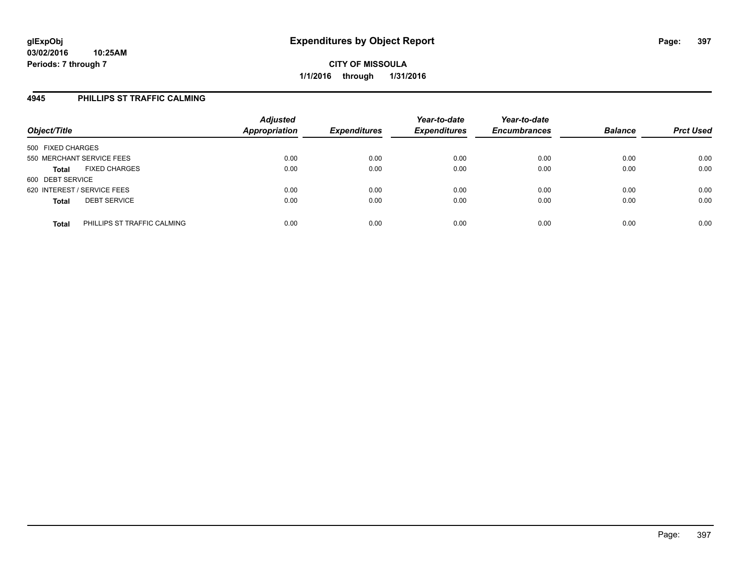### **4945 PHILLIPS ST TRAFFIC CALMING**

| Object/Title                |                             | <b>Adjusted</b><br><b>Appropriation</b> | <b>Expenditures</b> | Year-to-date<br><b>Expenditures</b> | Year-to-date<br><b>Encumbrances</b> | <b>Balance</b> | <b>Prct Used</b> |
|-----------------------------|-----------------------------|-----------------------------------------|---------------------|-------------------------------------|-------------------------------------|----------------|------------------|
| 500 FIXED CHARGES           |                             |                                         |                     |                                     |                                     |                |                  |
| 550 MERCHANT SERVICE FEES   |                             | 0.00                                    | 0.00                | 0.00                                | 0.00                                | 0.00           | 0.00             |
| <b>Total</b>                | <b>FIXED CHARGES</b>        | 0.00                                    | 0.00                | 0.00                                | 0.00                                | 0.00           | 0.00             |
| 600 DEBT SERVICE            |                             |                                         |                     |                                     |                                     |                |                  |
| 620 INTEREST / SERVICE FEES |                             | 0.00                                    | 0.00                | 0.00                                | 0.00                                | 0.00           | 0.00             |
| <b>Total</b>                | <b>DEBT SERVICE</b>         | 0.00                                    | 0.00                | 0.00                                | 0.00                                | 0.00           | 0.00             |
| <b>Total</b>                | PHILLIPS ST TRAFFIC CALMING | 0.00                                    | 0.00                | 0.00                                | 0.00                                | 0.00           | 0.00             |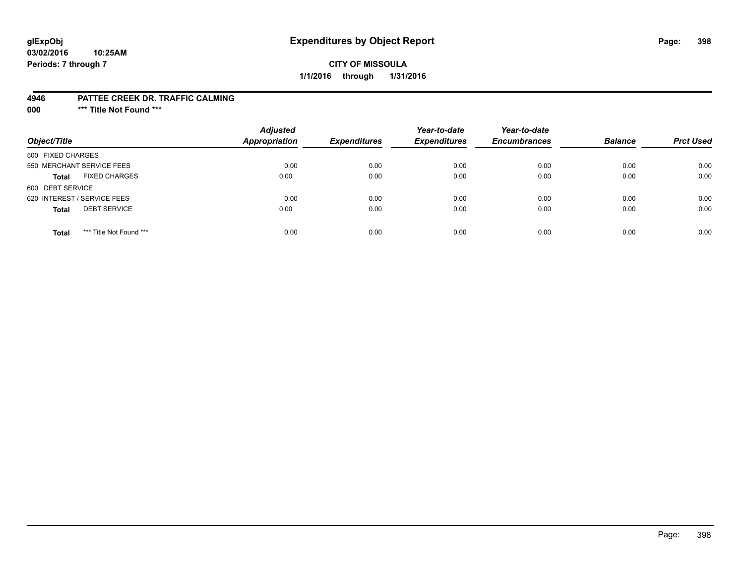### **CITY OF MISSOULA 1/1/2016 through 1/31/2016**

#### **4946 PATTEE CREEK DR. TRAFFIC CALMING**

**000 \*\*\* Title Not Found \*\*\***

| Object/Title                            | <b>Adjusted</b><br><b>Appropriation</b> | <b>Expenditures</b> | Year-to-date<br><b>Expenditures</b> | Year-to-date<br><b>Encumbrances</b> | <b>Balance</b> | <b>Prct Used</b> |
|-----------------------------------------|-----------------------------------------|---------------------|-------------------------------------|-------------------------------------|----------------|------------------|
| 500 FIXED CHARGES                       |                                         |                     |                                     |                                     |                |                  |
| 550 MERCHANT SERVICE FEES               | 0.00                                    | 0.00                | 0.00                                | 0.00                                | 0.00           | 0.00             |
| <b>FIXED CHARGES</b><br><b>Total</b>    | 0.00                                    | 0.00                | 0.00                                | 0.00                                | 0.00           | 0.00             |
| 600 DEBT SERVICE                        |                                         |                     |                                     |                                     |                |                  |
| 620 INTEREST / SERVICE FEES             | 0.00                                    | 0.00                | 0.00                                | 0.00                                | 0.00           | 0.00             |
| <b>DEBT SERVICE</b><br><b>Total</b>     | 0.00                                    | 0.00                | 0.00                                | 0.00                                | 0.00           | 0.00             |
| *** Title Not Found ***<br><b>Total</b> | 0.00                                    | 0.00                | 0.00                                | 0.00                                | 0.00           | 0.00             |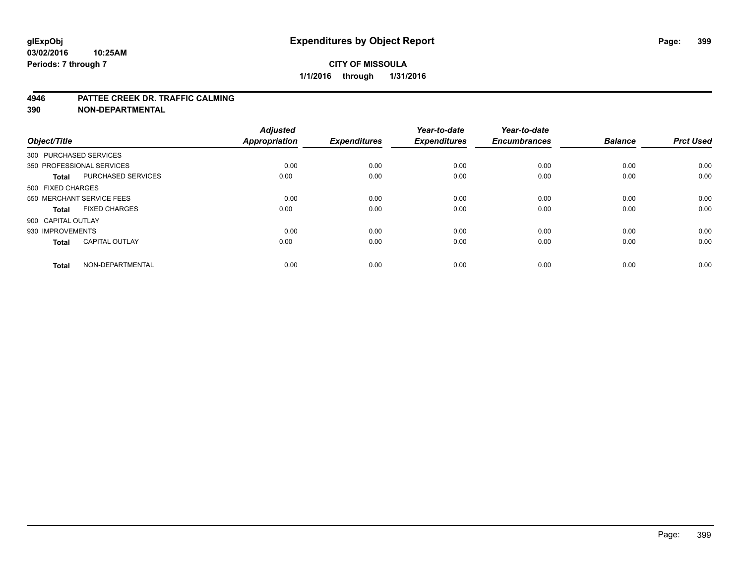### **CITY OF MISSOULA 1/1/2016 through 1/31/2016**

#### **4946 PATTEE CREEK DR. TRAFFIC CALMING**

**390 NON-DEPARTMENTAL**

| Object/Title           |                           | <b>Adjusted</b><br><b>Appropriation</b> | <b>Expenditures</b> | Year-to-date<br><b>Expenditures</b> | Year-to-date<br><b>Encumbrances</b> | <b>Balance</b> | <b>Prct Used</b> |
|------------------------|---------------------------|-----------------------------------------|---------------------|-------------------------------------|-------------------------------------|----------------|------------------|
| 300 PURCHASED SERVICES |                           |                                         |                     |                                     |                                     |                |                  |
|                        | 350 PROFESSIONAL SERVICES | 0.00                                    | 0.00                | 0.00                                | 0.00                                | 0.00           | 0.00             |
| <b>Total</b>           | <b>PURCHASED SERVICES</b> | 0.00                                    | 0.00                | 0.00                                | 0.00                                | 0.00           | 0.00             |
| 500 FIXED CHARGES      |                           |                                         |                     |                                     |                                     |                |                  |
|                        | 550 MERCHANT SERVICE FEES | 0.00                                    | 0.00                | 0.00                                | 0.00                                | 0.00           | 0.00             |
| Total                  | <b>FIXED CHARGES</b>      | 0.00                                    | 0.00                | 0.00                                | 0.00                                | 0.00           | 0.00             |
| 900 CAPITAL OUTLAY     |                           |                                         |                     |                                     |                                     |                |                  |
| 930 IMPROVEMENTS       |                           | 0.00                                    | 0.00                | 0.00                                | 0.00                                | 0.00           | 0.00             |
| Total                  | <b>CAPITAL OUTLAY</b>     | 0.00                                    | 0.00                | 0.00                                | 0.00                                | 0.00           | 0.00             |
| <b>Total</b>           | NON-DEPARTMENTAL          | 0.00                                    | 0.00                | 0.00                                | 0.00                                | 0.00           | 0.00             |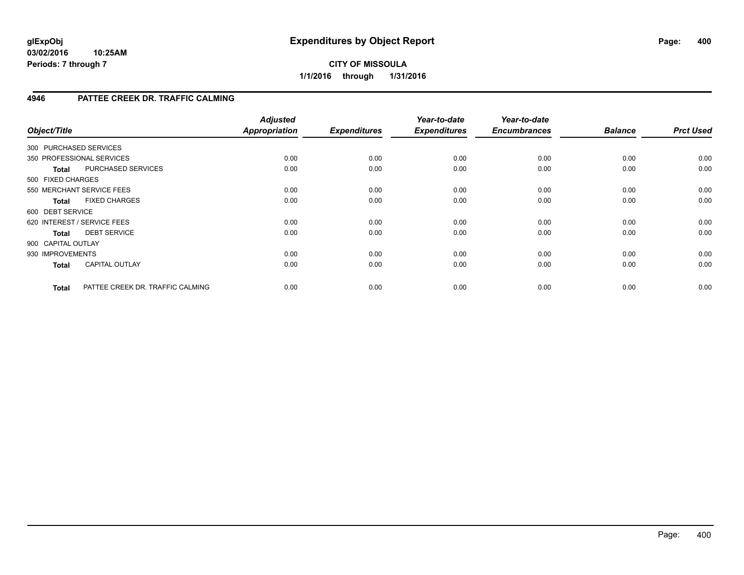### **CITY OF MISSOULA 1/1/2016 through 1/31/2016**

### **4946 PATTEE CREEK DR. TRAFFIC CALMING**

| Object/Title                |                                  | <b>Adjusted</b><br><b>Appropriation</b> | <b>Expenditures</b> | Year-to-date<br><b>Expenditures</b> | Year-to-date<br><b>Encumbrances</b> | <b>Balance</b> | <b>Prct Used</b> |
|-----------------------------|----------------------------------|-----------------------------------------|---------------------|-------------------------------------|-------------------------------------|----------------|------------------|
| 300 PURCHASED SERVICES      |                                  |                                         |                     |                                     |                                     |                |                  |
| 350 PROFESSIONAL SERVICES   |                                  | 0.00                                    | 0.00                | 0.00                                | 0.00                                | 0.00           | 0.00             |
| <b>Total</b>                | PURCHASED SERVICES               | 0.00                                    | 0.00                | 0.00                                | 0.00                                | 0.00           | 0.00             |
| 500 FIXED CHARGES           |                                  |                                         |                     |                                     |                                     |                |                  |
|                             | 550 MERCHANT SERVICE FEES        | 0.00                                    | 0.00                | 0.00                                | 0.00                                | 0.00           | 0.00             |
| <b>Total</b>                | <b>FIXED CHARGES</b>             | 0.00                                    | 0.00                | 0.00                                | 0.00                                | 0.00           | 0.00             |
| 600 DEBT SERVICE            |                                  |                                         |                     |                                     |                                     |                |                  |
| 620 INTEREST / SERVICE FEES |                                  | 0.00                                    | 0.00                | 0.00                                | 0.00                                | 0.00           | 0.00             |
| Total                       | <b>DEBT SERVICE</b>              | 0.00                                    | 0.00                | 0.00                                | 0.00                                | 0.00           | 0.00             |
| 900 CAPITAL OUTLAY          |                                  |                                         |                     |                                     |                                     |                |                  |
| 930 IMPROVEMENTS            |                                  | 0.00                                    | 0.00                | 0.00                                | 0.00                                | 0.00           | 0.00             |
| <b>Total</b>                | <b>CAPITAL OUTLAY</b>            | 0.00                                    | 0.00                | 0.00                                | 0.00                                | 0.00           | 0.00             |
| <b>Total</b>                | PATTEE CREEK DR. TRAFFIC CALMING | 0.00                                    | 0.00                | 0.00                                | 0.00                                | 0.00           | 0.00             |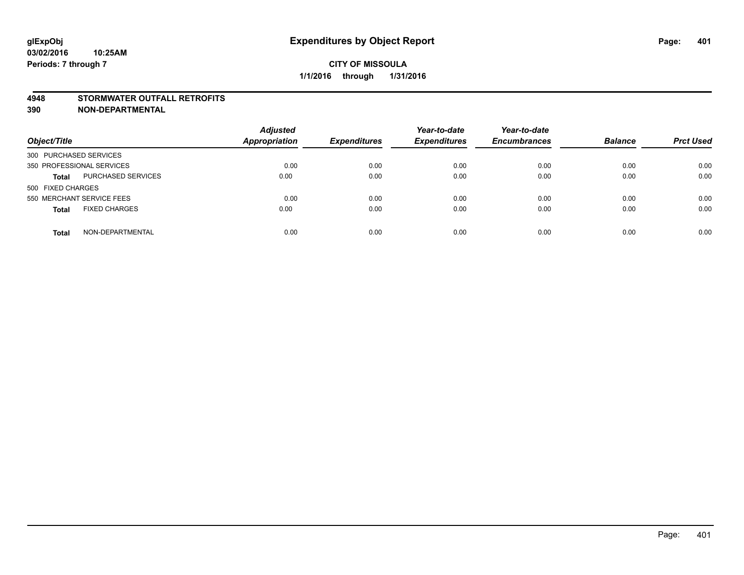#### **4948 STORMWATER OUTFALL RETROFITS**

**390 NON-DEPARTMENTAL**

| Object/Title                         | <b>Adjusted</b><br><b>Appropriation</b> | <b>Expenditures</b> | Year-to-date<br><b>Expenditures</b> | Year-to-date<br><b>Encumbrances</b> | <b>Balance</b> | <b>Prct Used</b> |
|--------------------------------------|-----------------------------------------|---------------------|-------------------------------------|-------------------------------------|----------------|------------------|
| 300 PURCHASED SERVICES               |                                         |                     |                                     |                                     |                |                  |
| 350 PROFESSIONAL SERVICES            | 0.00                                    | 0.00                | 0.00                                | 0.00                                | 0.00           | 0.00             |
| PURCHASED SERVICES<br><b>Total</b>   | 0.00                                    | 0.00                | 0.00                                | 0.00                                | 0.00           | 0.00             |
| 500 FIXED CHARGES                    |                                         |                     |                                     |                                     |                |                  |
| 550 MERCHANT SERVICE FEES            | 0.00                                    | 0.00                | 0.00                                | 0.00                                | 0.00           | 0.00             |
| <b>FIXED CHARGES</b><br><b>Total</b> | 0.00                                    | 0.00                | 0.00                                | 0.00                                | 0.00           | 0.00             |
| NON-DEPARTMENTAL<br><b>Total</b>     | 0.00                                    | 0.00                | 0.00                                | 0.00                                | 0.00           | 0.00             |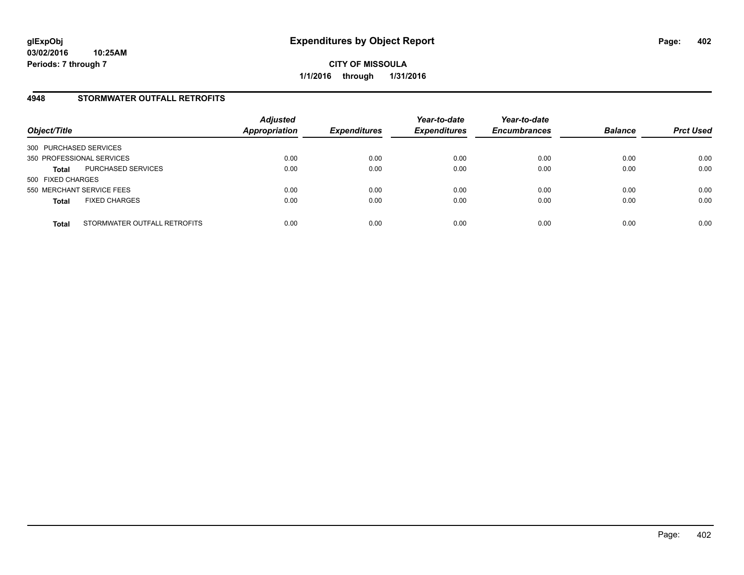### **4948 STORMWATER OUTFALL RETROFITS**

| Object/Title              |                              | <b>Adjusted</b><br><b>Appropriation</b> | <b>Expenditures</b> | Year-to-date<br><b>Expenditures</b> | Year-to-date<br><b>Encumbrances</b> | <b>Balance</b> | <b>Prct Used</b> |
|---------------------------|------------------------------|-----------------------------------------|---------------------|-------------------------------------|-------------------------------------|----------------|------------------|
| 300 PURCHASED SERVICES    |                              |                                         |                     |                                     |                                     |                |                  |
| 350 PROFESSIONAL SERVICES |                              | 0.00                                    | 0.00                | 0.00                                | 0.00                                | 0.00           | 0.00             |
| <b>Total</b>              | PURCHASED SERVICES           | 0.00                                    | 0.00                | 0.00                                | 0.00                                | 0.00           | 0.00             |
| 500 FIXED CHARGES         |                              |                                         |                     |                                     |                                     |                |                  |
| 550 MERCHANT SERVICE FEES |                              | 0.00                                    | 0.00                | 0.00                                | 0.00                                | 0.00           | 0.00             |
| <b>Total</b>              | <b>FIXED CHARGES</b>         | 0.00                                    | 0.00                | 0.00                                | 0.00                                | 0.00           | 0.00             |
| <b>Total</b>              | STORMWATER OUTFALL RETROFITS | 0.00                                    | 0.00                | 0.00                                | 0.00                                | 0.00           | 0.00             |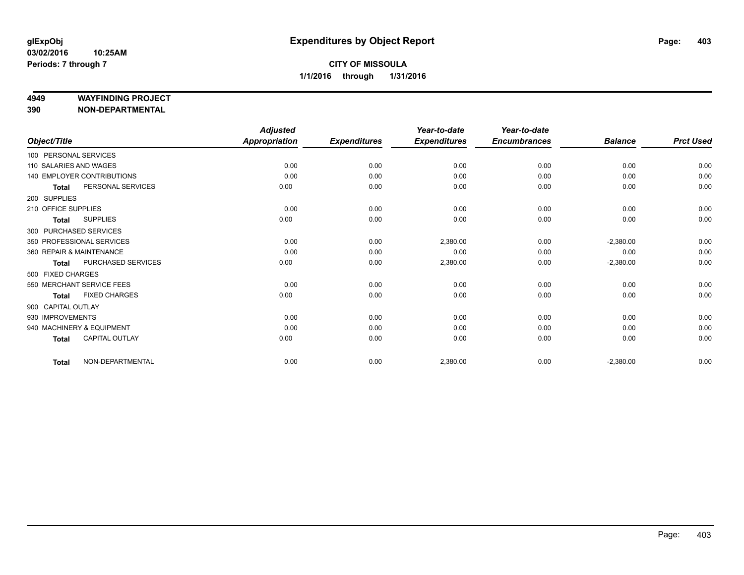#### **4949 WAYFINDING PROJECT**

**390 NON-DEPARTMENTAL**

|                        |                                   | <b>Adjusted</b>      |                     | Year-to-date        | Year-to-date        |                |                  |
|------------------------|-----------------------------------|----------------------|---------------------|---------------------|---------------------|----------------|------------------|
| Object/Title           |                                   | <b>Appropriation</b> | <b>Expenditures</b> | <b>Expenditures</b> | <b>Encumbrances</b> | <b>Balance</b> | <b>Prct Used</b> |
| 100 PERSONAL SERVICES  |                                   |                      |                     |                     |                     |                |                  |
| 110 SALARIES AND WAGES |                                   | 0.00                 | 0.00                | 0.00                | 0.00                | 0.00           | 0.00             |
|                        | <b>140 EMPLOYER CONTRIBUTIONS</b> | 0.00                 | 0.00                | 0.00                | 0.00                | 0.00           | 0.00             |
| <b>Total</b>           | PERSONAL SERVICES                 | 0.00                 | 0.00                | 0.00                | 0.00                | 0.00           | 0.00             |
| 200 SUPPLIES           |                                   |                      |                     |                     |                     |                |                  |
| 210 OFFICE SUPPLIES    |                                   | 0.00                 | 0.00                | 0.00                | 0.00                | 0.00           | 0.00             |
| <b>Total</b>           | <b>SUPPLIES</b>                   | 0.00                 | 0.00                | 0.00                | 0.00                | 0.00           | 0.00             |
|                        | 300 PURCHASED SERVICES            |                      |                     |                     |                     |                |                  |
|                        | 350 PROFESSIONAL SERVICES         | 0.00                 | 0.00                | 2,380.00            | 0.00                | $-2,380.00$    | 0.00             |
|                        | 360 REPAIR & MAINTENANCE          | 0.00                 | 0.00                | 0.00                | 0.00                | 0.00           | 0.00             |
| <b>Total</b>           | PURCHASED SERVICES                | 0.00                 | 0.00                | 2,380.00            | 0.00                | $-2,380.00$    | 0.00             |
| 500 FIXED CHARGES      |                                   |                      |                     |                     |                     |                |                  |
|                        | 550 MERCHANT SERVICE FEES         | 0.00                 | 0.00                | 0.00                | 0.00                | 0.00           | 0.00             |
| <b>Total</b>           | <b>FIXED CHARGES</b>              | 0.00                 | 0.00                | 0.00                | 0.00                | 0.00           | 0.00             |
| 900 CAPITAL OUTLAY     |                                   |                      |                     |                     |                     |                |                  |
| 930 IMPROVEMENTS       |                                   | 0.00                 | 0.00                | 0.00                | 0.00                | 0.00           | 0.00             |
|                        | 940 MACHINERY & EQUIPMENT         | 0.00                 | 0.00                | 0.00                | 0.00                | 0.00           | 0.00             |
| <b>Total</b>           | <b>CAPITAL OUTLAY</b>             | 0.00                 | 0.00                | 0.00                | 0.00                | 0.00           | 0.00             |
| <b>Total</b>           | NON-DEPARTMENTAL                  | 0.00                 | 0.00                | 2,380.00            | 0.00                | $-2,380.00$    | 0.00             |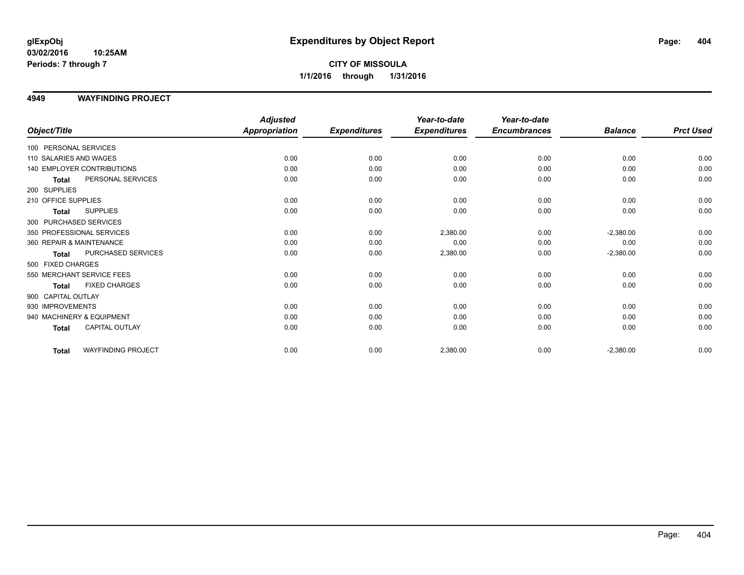### **CITY OF MISSOULA 1/1/2016 through 1/31/2016**

### **4949 WAYFINDING PROJECT**

|                          |                            | <b>Adjusted</b>      |                     | Year-to-date        | Year-to-date        |                |                  |
|--------------------------|----------------------------|----------------------|---------------------|---------------------|---------------------|----------------|------------------|
| Object/Title             |                            | <b>Appropriation</b> | <b>Expenditures</b> | <b>Expenditures</b> | <b>Encumbrances</b> | <b>Balance</b> | <b>Prct Used</b> |
| 100 PERSONAL SERVICES    |                            |                      |                     |                     |                     |                |                  |
| 110 SALARIES AND WAGES   |                            | 0.00                 | 0.00                | 0.00                | 0.00                | 0.00           | 0.00             |
|                          | 140 EMPLOYER CONTRIBUTIONS | 0.00                 | 0.00                | 0.00                | 0.00                | 0.00           | 0.00             |
| <b>Total</b>             | PERSONAL SERVICES          | 0.00                 | 0.00                | 0.00                | 0.00                | 0.00           | 0.00             |
| 200 SUPPLIES             |                            |                      |                     |                     |                     |                |                  |
| 210 OFFICE SUPPLIES      |                            | 0.00                 | 0.00                | 0.00                | 0.00                | 0.00           | 0.00             |
| <b>Total</b>             | <b>SUPPLIES</b>            | 0.00                 | 0.00                | 0.00                | 0.00                | 0.00           | 0.00             |
| 300 PURCHASED SERVICES   |                            |                      |                     |                     |                     |                |                  |
|                          | 350 PROFESSIONAL SERVICES  | 0.00                 | 0.00                | 2,380.00            | 0.00                | $-2,380.00$    | 0.00             |
| 360 REPAIR & MAINTENANCE |                            | 0.00                 | 0.00                | 0.00                | 0.00                | 0.00           | 0.00             |
| <b>Total</b>             | PURCHASED SERVICES         | 0.00                 | 0.00                | 2,380.00            | 0.00                | $-2,380.00$    | 0.00             |
| 500 FIXED CHARGES        |                            |                      |                     |                     |                     |                |                  |
|                          | 550 MERCHANT SERVICE FEES  | 0.00                 | 0.00                | 0.00                | 0.00                | 0.00           | 0.00             |
| <b>Total</b>             | <b>FIXED CHARGES</b>       | 0.00                 | 0.00                | 0.00                | 0.00                | 0.00           | 0.00             |
| 900 CAPITAL OUTLAY       |                            |                      |                     |                     |                     |                |                  |
| 930 IMPROVEMENTS         |                            | 0.00                 | 0.00                | 0.00                | 0.00                | 0.00           | 0.00             |
|                          | 940 MACHINERY & EQUIPMENT  | 0.00                 | 0.00                | 0.00                | 0.00                | 0.00           | 0.00             |
| <b>Total</b>             | CAPITAL OUTLAY             | 0.00                 | 0.00                | 0.00                | 0.00                | 0.00           | 0.00             |
| <b>Total</b>             | <b>WAYFINDING PROJECT</b>  | 0.00                 | 0.00                | 2,380.00            | 0.00                | $-2,380.00$    | 0.00             |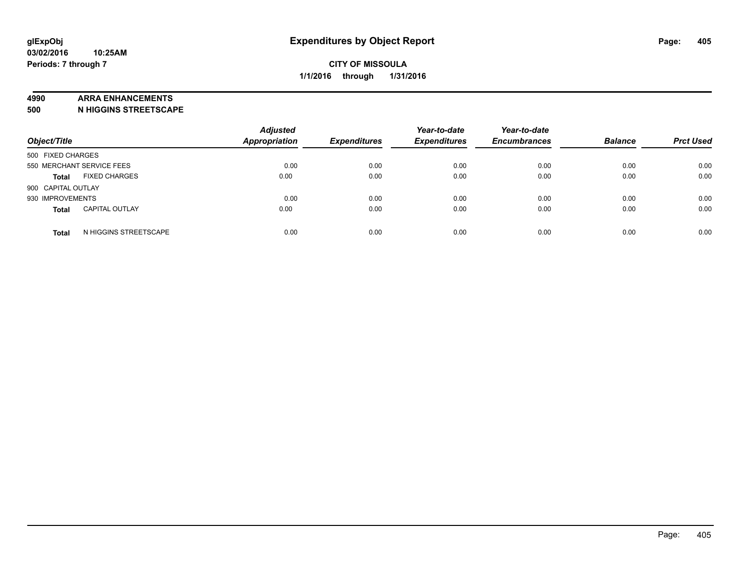#### **4990 ARRA ENHANCEMENTS**

**500 N HIGGINS STREETSCAPE**

| Object/Title       |                           | <b>Adjusted</b><br>Appropriation | <b>Expenditures</b> | Year-to-date<br><b>Expenditures</b> | Year-to-date<br><b>Encumbrances</b> | <b>Balance</b> | <b>Prct Used</b> |
|--------------------|---------------------------|----------------------------------|---------------------|-------------------------------------|-------------------------------------|----------------|------------------|
| 500 FIXED CHARGES  |                           |                                  |                     |                                     |                                     |                |                  |
|                    | 550 MERCHANT SERVICE FEES | 0.00                             | 0.00                | 0.00                                | 0.00                                | 0.00           | 0.00             |
| <b>Total</b>       | <b>FIXED CHARGES</b>      | 0.00                             | 0.00                | 0.00                                | 0.00                                | 0.00           | 0.00             |
| 900 CAPITAL OUTLAY |                           |                                  |                     |                                     |                                     |                |                  |
| 930 IMPROVEMENTS   |                           | 0.00                             | 0.00                | 0.00                                | 0.00                                | 0.00           | 0.00             |
| <b>Total</b>       | <b>CAPITAL OUTLAY</b>     | 0.00                             | 0.00                | 0.00                                | 0.00                                | 0.00           | 0.00             |
| <b>Total</b>       | N HIGGINS STREETSCAPE     | 0.00                             | 0.00                | 0.00                                | 0.00                                | 0.00           | 0.00             |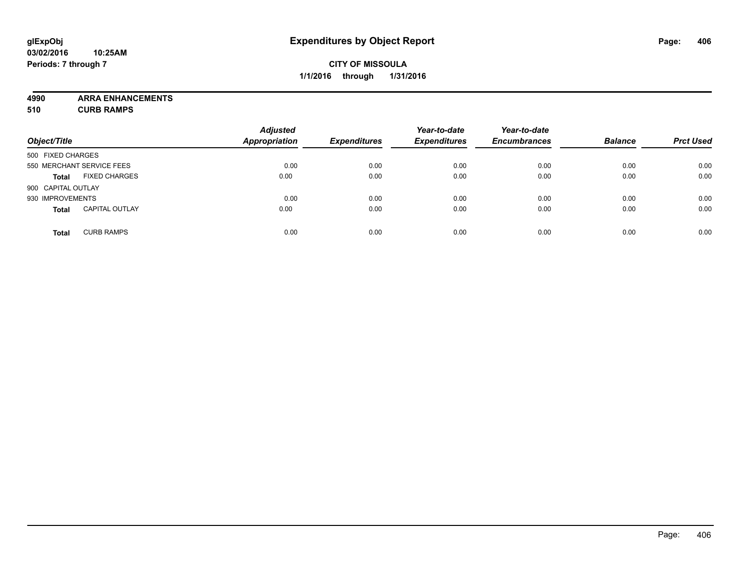**4990 ARRA ENHANCEMENTS**

**510 CURB RAMPS**

| Object/Title       |                           | <b>Adjusted</b><br><b>Appropriation</b> | <b>Expenditures</b> | Year-to-date<br><b>Expenditures</b> | Year-to-date<br><b>Encumbrances</b> | <b>Balance</b> | <b>Prct Used</b> |
|--------------------|---------------------------|-----------------------------------------|---------------------|-------------------------------------|-------------------------------------|----------------|------------------|
| 500 FIXED CHARGES  |                           |                                         |                     |                                     |                                     |                |                  |
|                    | 550 MERCHANT SERVICE FEES | 0.00                                    | 0.00                | 0.00                                | 0.00                                | 0.00           | 0.00             |
| <b>Total</b>       | <b>FIXED CHARGES</b>      | 0.00                                    | 0.00                | 0.00                                | 0.00                                | 0.00           | 0.00             |
| 900 CAPITAL OUTLAY |                           |                                         |                     |                                     |                                     |                |                  |
| 930 IMPROVEMENTS   |                           | 0.00                                    | 0.00                | 0.00                                | 0.00                                | 0.00           | 0.00             |
| <b>Total</b>       | <b>CAPITAL OUTLAY</b>     | 0.00                                    | 0.00                | 0.00                                | 0.00                                | 0.00           | 0.00             |
| <b>Total</b>       | <b>CURB RAMPS</b>         | 0.00                                    | 0.00                | 0.00                                | 0.00                                | 0.00           | 0.00             |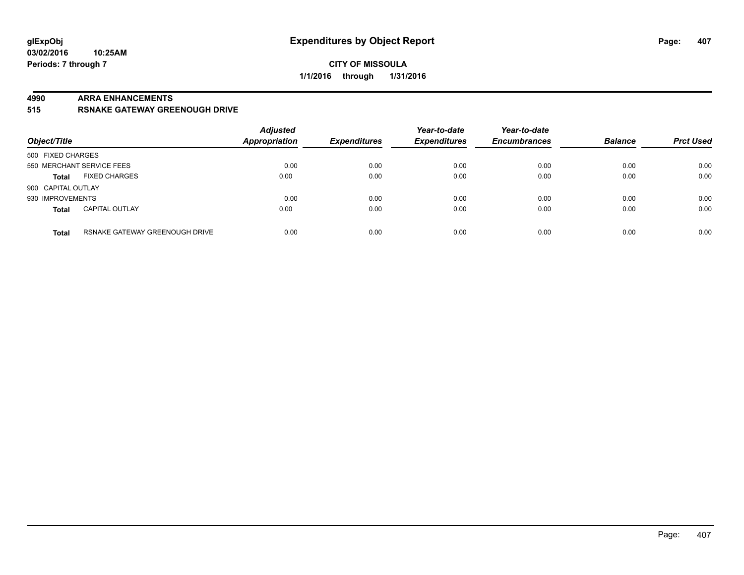### **CITY OF MISSOULA 1/1/2016 through 1/31/2016**

#### **4990 ARRA ENHANCEMENTS**

**515 RSNAKE GATEWAY GREENOUGH DRIVE**

| Object/Title       |                                | <b>Adjusted</b><br><b>Appropriation</b> | <b>Expenditures</b> | Year-to-date<br><b>Expenditures</b> | Year-to-date<br><b>Encumbrances</b> | <b>Balance</b> | <b>Prct Used</b> |
|--------------------|--------------------------------|-----------------------------------------|---------------------|-------------------------------------|-------------------------------------|----------------|------------------|
| 500 FIXED CHARGES  |                                |                                         |                     |                                     |                                     |                |                  |
|                    | 550 MERCHANT SERVICE FEES      | 0.00                                    | 0.00                | 0.00                                | 0.00                                | 0.00           | 0.00             |
| <b>Total</b>       | <b>FIXED CHARGES</b>           | 0.00                                    | 0.00                | 0.00                                | 0.00                                | 0.00           | 0.00             |
| 900 CAPITAL OUTLAY |                                |                                         |                     |                                     |                                     |                |                  |
| 930 IMPROVEMENTS   |                                | 0.00                                    | 0.00                | 0.00                                | 0.00                                | 0.00           | 0.00             |
| <b>Total</b>       | <b>CAPITAL OUTLAY</b>          | 0.00                                    | 0.00                | 0.00                                | 0.00                                | 0.00           | 0.00             |
| <b>Total</b>       | RSNAKE GATEWAY GREENOUGH DRIVE | 0.00                                    | 0.00                | 0.00                                | 0.00                                | 0.00           | 0.00             |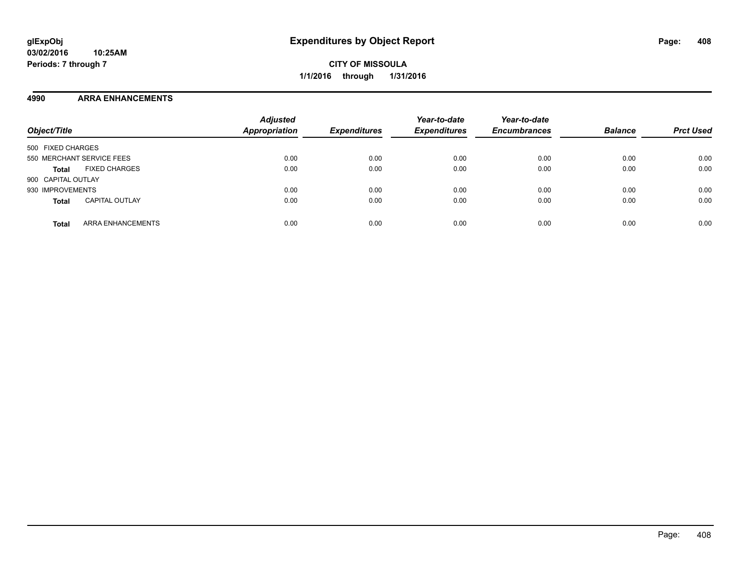### **4990 ARRA ENHANCEMENTS**

| Object/Title                             | <b>Adjusted</b><br>Appropriation | <b>Expenditures</b> | Year-to-date<br><b>Expenditures</b> | Year-to-date<br><b>Encumbrances</b> | <b>Balance</b> | <b>Prct Used</b> |
|------------------------------------------|----------------------------------|---------------------|-------------------------------------|-------------------------------------|----------------|------------------|
| 500 FIXED CHARGES                        |                                  |                     |                                     |                                     |                |                  |
| 550 MERCHANT SERVICE FEES                | 0.00                             | 0.00                | 0.00                                | 0.00                                | 0.00           | 0.00             |
| <b>FIXED CHARGES</b><br><b>Total</b>     | 0.00                             | 0.00                | 0.00                                | 0.00                                | 0.00           | 0.00             |
| 900 CAPITAL OUTLAY                       |                                  |                     |                                     |                                     |                |                  |
| 930 IMPROVEMENTS                         | 0.00                             | 0.00                | 0.00                                | 0.00                                | 0.00           | 0.00             |
| <b>CAPITAL OUTLAY</b><br><b>Total</b>    | 0.00                             | 0.00                | 0.00                                | 0.00                                | 0.00           | 0.00             |
| <b>ARRA ENHANCEMENTS</b><br><b>Total</b> | 0.00                             | 0.00                | 0.00                                | 0.00                                | 0.00           | 0.00             |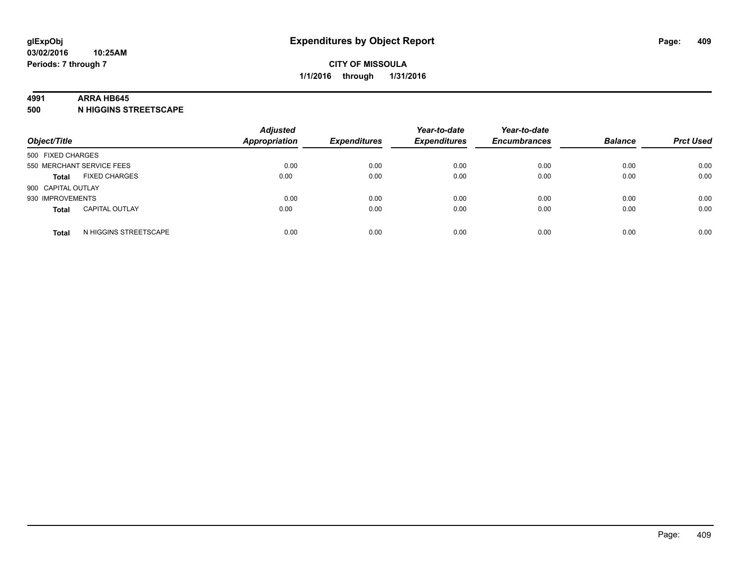#### **4991 ARRA HB645**

**500 N HIGGINS STREETSCAPE**

| Object/Title       |                           | <b>Adjusted</b><br><b>Appropriation</b> | <b>Expenditures</b> | Year-to-date<br><b>Expenditures</b> | Year-to-date<br><b>Encumbrances</b> | <b>Balance</b> | <b>Prct Used</b> |
|--------------------|---------------------------|-----------------------------------------|---------------------|-------------------------------------|-------------------------------------|----------------|------------------|
| 500 FIXED CHARGES  |                           |                                         |                     |                                     |                                     |                |                  |
|                    | 550 MERCHANT SERVICE FEES | 0.00                                    | 0.00                | 0.00                                | 0.00                                | 0.00           | 0.00             |
| <b>Total</b>       | <b>FIXED CHARGES</b>      | 0.00                                    | 0.00                | 0.00                                | 0.00                                | 0.00           | 0.00             |
| 900 CAPITAL OUTLAY |                           |                                         |                     |                                     |                                     |                |                  |
| 930 IMPROVEMENTS   |                           | 0.00                                    | 0.00                | 0.00                                | 0.00                                | 0.00           | 0.00             |
| <b>Total</b>       | <b>CAPITAL OUTLAY</b>     | 0.00                                    | 0.00                | 0.00                                | 0.00                                | 0.00           | 0.00             |
| <b>Total</b>       | N HIGGINS STREETSCAPE     | 0.00                                    | 0.00                | 0.00                                | 0.00                                | 0.00           | 0.00             |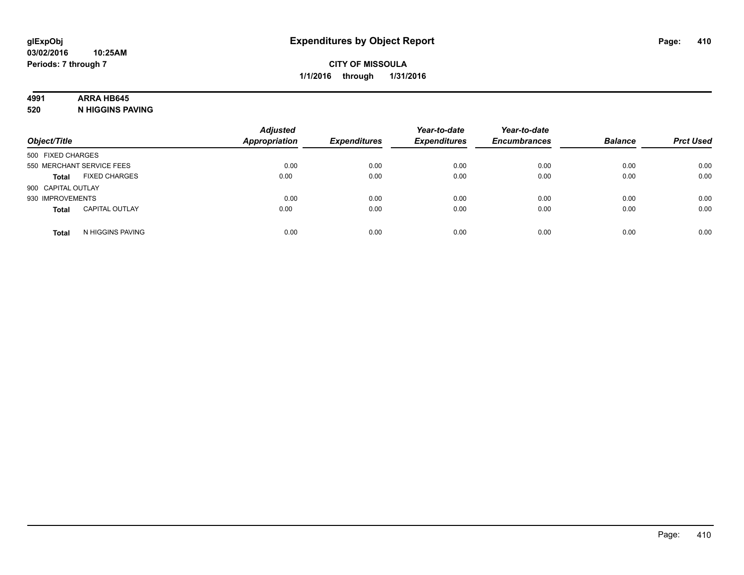### **4991 ARRA HB645**

**520 N HIGGINS PAVING**

| Object/Title       |                           | <b>Adjusted</b><br><b>Appropriation</b> | <b>Expenditures</b> | Year-to-date<br><b>Expenditures</b> | Year-to-date<br><b>Encumbrances</b> | <b>Balance</b> | <b>Prct Used</b> |
|--------------------|---------------------------|-----------------------------------------|---------------------|-------------------------------------|-------------------------------------|----------------|------------------|
| 500 FIXED CHARGES  |                           |                                         |                     |                                     |                                     |                |                  |
|                    | 550 MERCHANT SERVICE FEES | 0.00                                    | 0.00                | 0.00                                | 0.00                                | 0.00           | 0.00             |
| <b>Total</b>       | <b>FIXED CHARGES</b>      | 0.00                                    | 0.00                | 0.00                                | 0.00                                | 0.00           | 0.00             |
| 900 CAPITAL OUTLAY |                           |                                         |                     |                                     |                                     |                |                  |
| 930 IMPROVEMENTS   |                           | 0.00                                    | 0.00                | 0.00                                | 0.00                                | 0.00           | 0.00             |
| <b>Total</b>       | <b>CAPITAL OUTLAY</b>     | 0.00                                    | 0.00                | 0.00                                | 0.00                                | 0.00           | 0.00             |
| <b>Total</b>       | N HIGGINS PAVING          | 0.00                                    | 0.00                | 0.00                                | 0.00                                | 0.00           | 0.00             |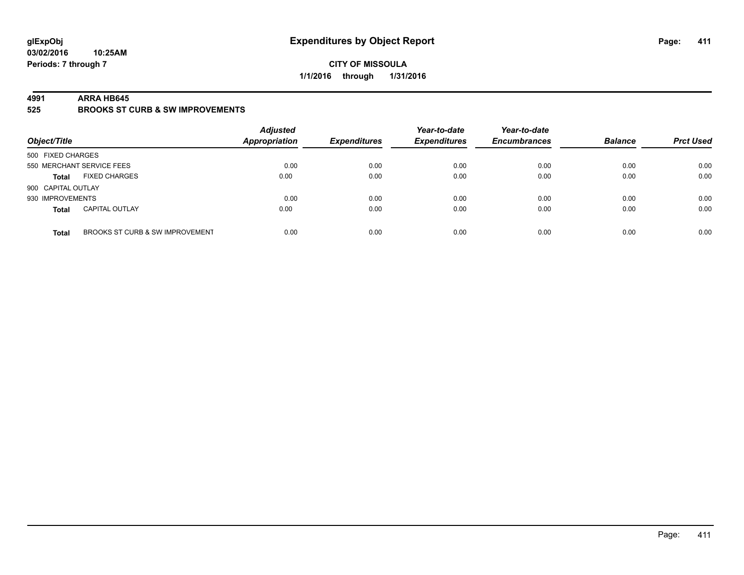### **CITY OF MISSOULA 1/1/2016 through 1/31/2016**

#### **4991 ARRA HB645**

**525 BROOKS ST CURB & SW IMPROVEMENTS**

| Object/Title       |                                 | <b>Adjusted</b><br><b>Appropriation</b> | <b>Expenditures</b> | Year-to-date<br><b>Expenditures</b> | Year-to-date<br><b>Encumbrances</b> | <b>Balance</b> | <b>Prct Used</b> |
|--------------------|---------------------------------|-----------------------------------------|---------------------|-------------------------------------|-------------------------------------|----------------|------------------|
| 500 FIXED CHARGES  |                                 |                                         |                     |                                     |                                     |                |                  |
|                    | 550 MERCHANT SERVICE FEES       | 0.00                                    | 0.00                | 0.00                                | 0.00                                | 0.00           | 0.00             |
| <b>Total</b>       | <b>FIXED CHARGES</b>            | 0.00                                    | 0.00                | 0.00                                | 0.00                                | 0.00           | 0.00             |
| 900 CAPITAL OUTLAY |                                 |                                         |                     |                                     |                                     |                |                  |
| 930 IMPROVEMENTS   |                                 | 0.00                                    | 0.00                | 0.00                                | 0.00                                | 0.00           | 0.00             |
| <b>Total</b>       | <b>CAPITAL OUTLAY</b>           | 0.00                                    | 0.00                | 0.00                                | 0.00                                | 0.00           | 0.00             |
| <b>Total</b>       | BROOKS ST CURB & SW IMPROVEMENT | 0.00                                    | 0.00                | 0.00                                | 0.00                                | 0.00           | 0.00             |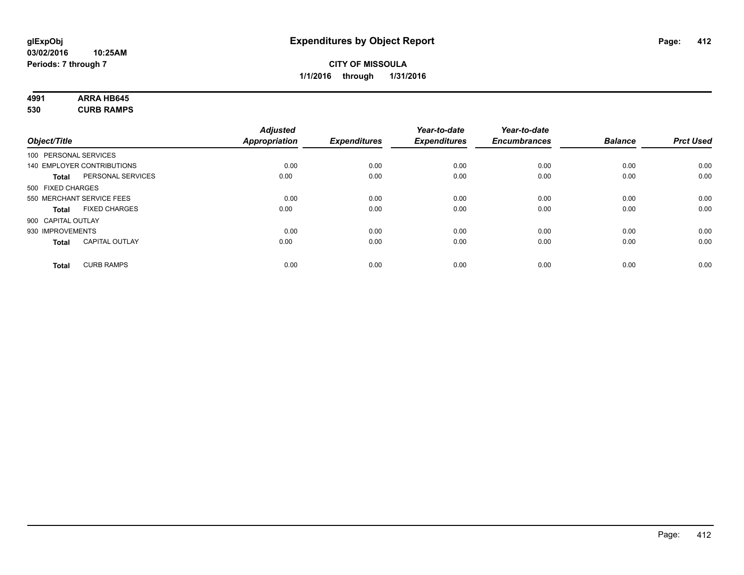# **4991 ARRA HB645**

**530 CURB RAMPS**

|              |                                       | <b>Adjusted</b> |                     | Year-to-date        | Year-to-date        |                |                  |
|--------------|---------------------------------------|-----------------|---------------------|---------------------|---------------------|----------------|------------------|
| Object/Title |                                       | Appropriation   | <b>Expenditures</b> | <b>Expenditures</b> | <b>Encumbrances</b> | <b>Balance</b> | <b>Prct Used</b> |
|              | 100 PERSONAL SERVICES                 |                 |                     |                     |                     |                |                  |
|              | 140 EMPLOYER CONTRIBUTIONS            | 0.00            | 0.00                | 0.00                | 0.00                | 0.00           | 0.00             |
|              | PERSONAL SERVICES<br><b>Total</b>     | 0.00            | 0.00                | 0.00                | 0.00                | 0.00           | 0.00             |
|              | 500 FIXED CHARGES                     |                 |                     |                     |                     |                |                  |
|              | 550 MERCHANT SERVICE FEES             | 0.00            | 0.00                | 0.00                | 0.00                | 0.00           | 0.00             |
|              | <b>FIXED CHARGES</b><br><b>Total</b>  | 0.00            | 0.00                | 0.00                | 0.00                | 0.00           | 0.00             |
|              | 900 CAPITAL OUTLAY                    |                 |                     |                     |                     |                |                  |
|              | 930 IMPROVEMENTS                      | 0.00            | 0.00                | 0.00                | 0.00                | 0.00           | 0.00             |
|              | <b>CAPITAL OUTLAY</b><br><b>Total</b> | 0.00            | 0.00                | 0.00                | 0.00                | 0.00           | 0.00             |
|              | <b>CURB RAMPS</b><br><b>Total</b>     | 0.00            | 0.00                | 0.00                | 0.00                | 0.00           | 0.00             |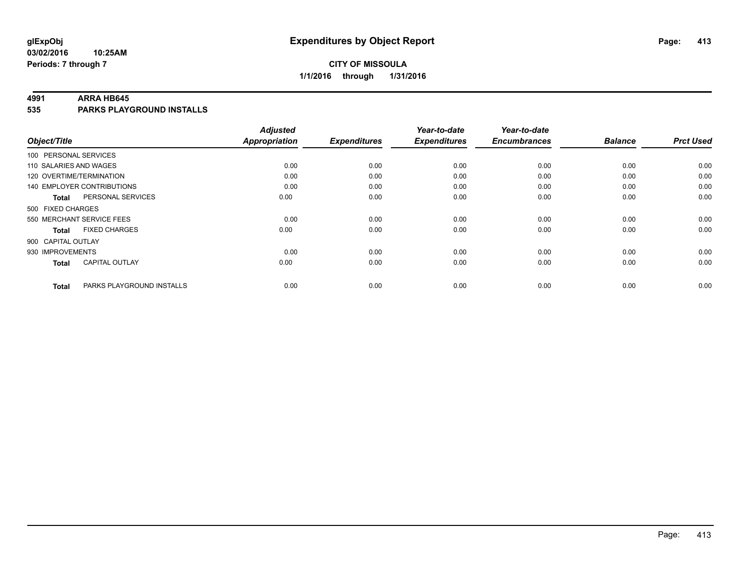#### **4991 ARRA HB645**

**535 PARKS PLAYGROUND INSTALLS**

| Object/Title              |                                   | <b>Adjusted</b><br><b>Appropriation</b> | <b>Expenditures</b> | Year-to-date<br><b>Expenditures</b> | Year-to-date<br><b>Encumbrances</b> | <b>Balance</b> | <b>Prct Used</b> |
|---------------------------|-----------------------------------|-----------------------------------------|---------------------|-------------------------------------|-------------------------------------|----------------|------------------|
|                           |                                   |                                         |                     |                                     |                                     |                |                  |
| 100 PERSONAL SERVICES     |                                   |                                         |                     |                                     |                                     |                |                  |
| 110 SALARIES AND WAGES    |                                   | 0.00                                    | 0.00                | 0.00                                | 0.00                                | 0.00           | 0.00             |
| 120 OVERTIME/TERMINATION  |                                   | 0.00                                    | 0.00                | 0.00                                | 0.00                                | 0.00           | 0.00             |
|                           | <b>140 EMPLOYER CONTRIBUTIONS</b> | 0.00                                    | 0.00                | 0.00                                | 0.00                                | 0.00           | 0.00             |
| <b>Total</b>              | PERSONAL SERVICES                 | 0.00                                    | 0.00                | 0.00                                | 0.00                                | 0.00           | 0.00             |
| 500 FIXED CHARGES         |                                   |                                         |                     |                                     |                                     |                |                  |
| 550 MERCHANT SERVICE FEES |                                   | 0.00                                    | 0.00                | 0.00                                | 0.00                                | 0.00           | 0.00             |
| <b>Total</b>              | <b>FIXED CHARGES</b>              | 0.00                                    | 0.00                | 0.00                                | 0.00                                | 0.00           | 0.00             |
| 900 CAPITAL OUTLAY        |                                   |                                         |                     |                                     |                                     |                |                  |
| 930 IMPROVEMENTS          |                                   | 0.00                                    | 0.00                | 0.00                                | 0.00                                | 0.00           | 0.00             |
| <b>Total</b>              | <b>CAPITAL OUTLAY</b>             | 0.00                                    | 0.00                | 0.00                                | 0.00                                | 0.00           | 0.00             |
| <b>Total</b>              | PARKS PLAYGROUND INSTALLS         | 0.00                                    | 0.00                | 0.00                                | 0.00                                | 0.00           | 0.00             |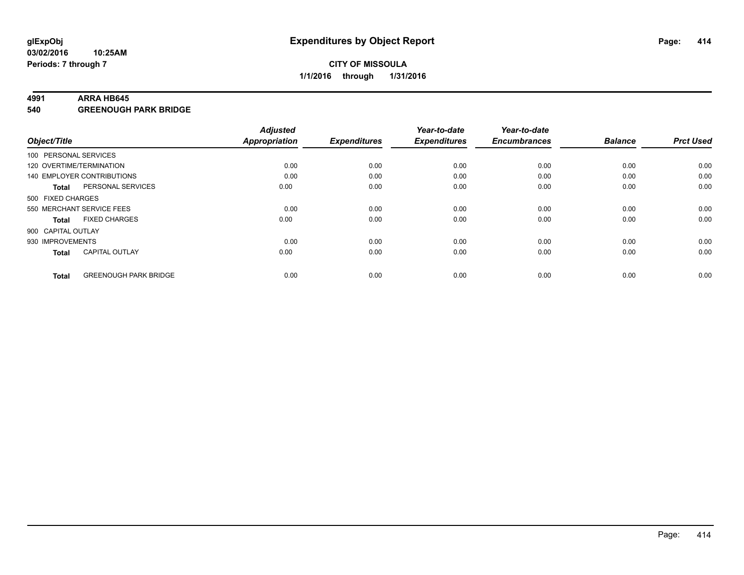#### **4991 ARRA HB645**

**540 GREENOUGH PARK BRIDGE**

|                    |                              | <b>Adjusted</b>      |                     | Year-to-date        | Year-to-date        |                |                  |
|--------------------|------------------------------|----------------------|---------------------|---------------------|---------------------|----------------|------------------|
| Object/Title       |                              | <b>Appropriation</b> | <b>Expenditures</b> | <b>Expenditures</b> | <b>Encumbrances</b> | <b>Balance</b> | <b>Prct Used</b> |
|                    | 100 PERSONAL SERVICES        |                      |                     |                     |                     |                |                  |
|                    | 120 OVERTIME/TERMINATION     | 0.00                 | 0.00                | 0.00                | 0.00                | 0.00           | 0.00             |
|                    | 140 EMPLOYER CONTRIBUTIONS   | 0.00                 | 0.00                | 0.00                | 0.00                | 0.00           | 0.00             |
| <b>Total</b>       | PERSONAL SERVICES            | 0.00                 | 0.00                | 0.00                | 0.00                | 0.00           | 0.00             |
| 500 FIXED CHARGES  |                              |                      |                     |                     |                     |                |                  |
|                    | 550 MERCHANT SERVICE FEES    | 0.00                 | 0.00                | 0.00                | 0.00                | 0.00           | 0.00             |
| <b>Total</b>       | <b>FIXED CHARGES</b>         | 0.00                 | 0.00                | 0.00                | 0.00                | 0.00           | 0.00             |
| 900 CAPITAL OUTLAY |                              |                      |                     |                     |                     |                |                  |
| 930 IMPROVEMENTS   |                              | 0.00                 | 0.00                | 0.00                | 0.00                | 0.00           | 0.00             |
| <b>Total</b>       | <b>CAPITAL OUTLAY</b>        | 0.00                 | 0.00                | 0.00                | 0.00                | 0.00           | 0.00             |
|                    |                              |                      |                     |                     |                     |                |                  |
| <b>Total</b>       | <b>GREENOUGH PARK BRIDGE</b> | 0.00                 | 0.00                | 0.00                | 0.00                | 0.00           | 0.00             |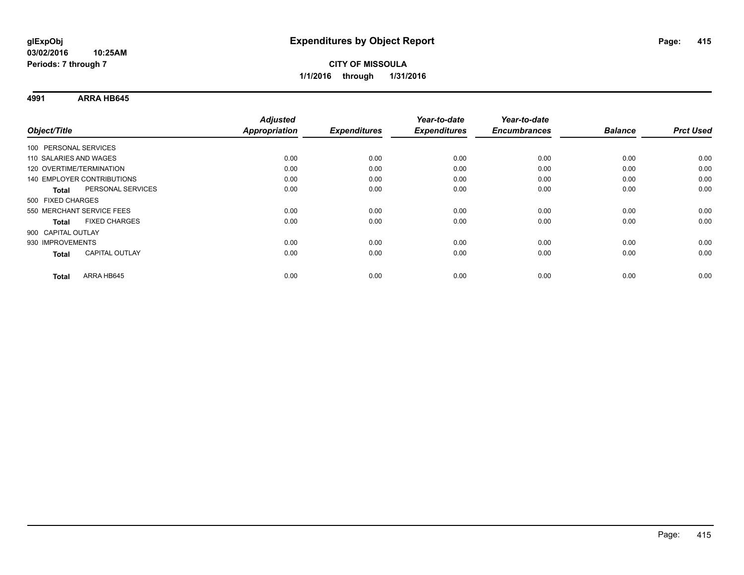**4991 ARRA HB645**

|                                       | <b>Adjusted</b> |                     | Year-to-date        | Year-to-date        |                |                  |
|---------------------------------------|-----------------|---------------------|---------------------|---------------------|----------------|------------------|
| Object/Title                          | Appropriation   | <b>Expenditures</b> | <b>Expenditures</b> | <b>Encumbrances</b> | <b>Balance</b> | <b>Prct Used</b> |
| 100 PERSONAL SERVICES                 |                 |                     |                     |                     |                |                  |
| 110 SALARIES AND WAGES                | 0.00            | 0.00                | 0.00                | 0.00                | 0.00           | 0.00             |
| 120 OVERTIME/TERMINATION              | 0.00            | 0.00                | 0.00                | 0.00                | 0.00           | 0.00             |
| <b>140 EMPLOYER CONTRIBUTIONS</b>     | 0.00            | 0.00                | 0.00                | 0.00                | 0.00           | 0.00             |
| PERSONAL SERVICES<br><b>Total</b>     | 0.00            | 0.00                | 0.00                | 0.00                | 0.00           | 0.00             |
| 500 FIXED CHARGES                     |                 |                     |                     |                     |                |                  |
| 550 MERCHANT SERVICE FEES             | 0.00            | 0.00                | 0.00                | 0.00                | 0.00           | 0.00             |
| <b>FIXED CHARGES</b><br><b>Total</b>  | 0.00            | 0.00                | 0.00                | 0.00                | 0.00           | 0.00             |
| 900 CAPITAL OUTLAY                    |                 |                     |                     |                     |                |                  |
| 930 IMPROVEMENTS                      | 0.00            | 0.00                | 0.00                | 0.00                | 0.00           | 0.00             |
| <b>CAPITAL OUTLAY</b><br><b>Total</b> | 0.00            | 0.00                | 0.00                | 0.00                | 0.00           | 0.00             |
| ARRA HB645<br>Total                   | 0.00            | 0.00                | 0.00                | 0.00                | 0.00           | 0.00             |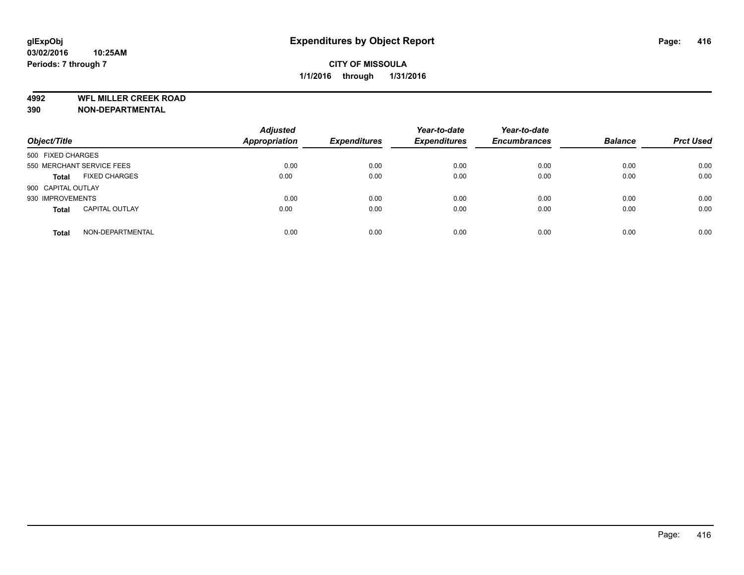**4992 WFL MILLER CREEK ROAD**

**390 NON-DEPARTMENTAL**

| Object/Title                          | <b>Adjusted</b><br><b>Appropriation</b> | <b>Expenditures</b> | Year-to-date<br><b>Expenditures</b> | Year-to-date<br><b>Encumbrances</b> | <b>Balance</b> | <b>Prct Used</b> |
|---------------------------------------|-----------------------------------------|---------------------|-------------------------------------|-------------------------------------|----------------|------------------|
| 500 FIXED CHARGES                     |                                         |                     |                                     |                                     |                |                  |
| 550 MERCHANT SERVICE FEES             | 0.00                                    | 0.00                | 0.00                                | 0.00                                | 0.00           | 0.00             |
| <b>FIXED CHARGES</b><br><b>Total</b>  | 0.00                                    | 0.00                | 0.00                                | 0.00                                | 0.00           | 0.00             |
| 900 CAPITAL OUTLAY                    |                                         |                     |                                     |                                     |                |                  |
| 930 IMPROVEMENTS                      | 0.00                                    | 0.00                | 0.00                                | 0.00                                | 0.00           | 0.00             |
| <b>CAPITAL OUTLAY</b><br><b>Total</b> | 0.00                                    | 0.00                | 0.00                                | 0.00                                | 0.00           | 0.00             |
| NON-DEPARTMENTAL<br><b>Total</b>      | 0.00                                    | 0.00                | 0.00                                | 0.00                                | 0.00           | 0.00             |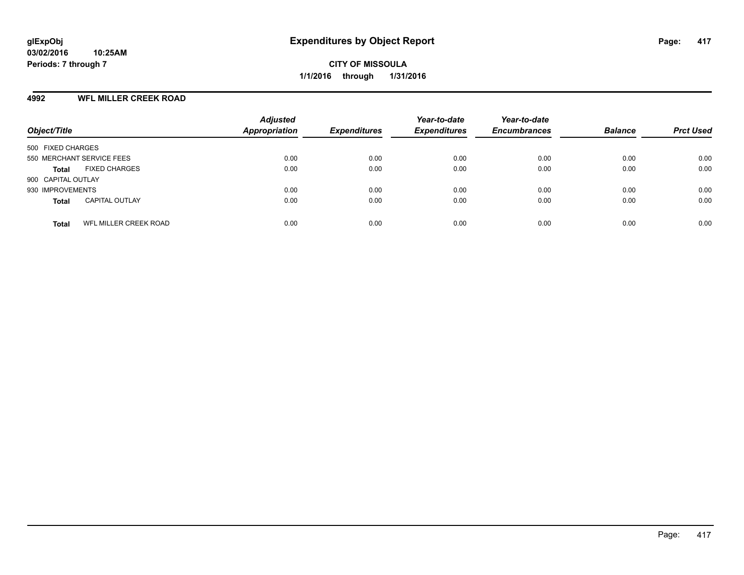### **4992 WFL MILLER CREEK ROAD**

| Object/Title                          | <b>Adjusted</b><br>Appropriation | <b>Expenditures</b> | Year-to-date<br><b>Expenditures</b> | Year-to-date<br><b>Encumbrances</b> | <b>Balance</b> | <b>Prct Used</b> |
|---------------------------------------|----------------------------------|---------------------|-------------------------------------|-------------------------------------|----------------|------------------|
| 500 FIXED CHARGES                     |                                  |                     |                                     |                                     |                |                  |
| 550 MERCHANT SERVICE FEES             | 0.00                             | 0.00                | 0.00                                | 0.00                                | 0.00           | 0.00             |
| <b>FIXED CHARGES</b><br><b>Total</b>  | 0.00                             | 0.00                | 0.00                                | 0.00                                | 0.00           | 0.00             |
| 900 CAPITAL OUTLAY                    |                                  |                     |                                     |                                     |                |                  |
| 930 IMPROVEMENTS                      | 0.00                             | 0.00                | 0.00                                | 0.00                                | 0.00           | 0.00             |
| <b>CAPITAL OUTLAY</b><br><b>Total</b> | 0.00                             | 0.00                | 0.00                                | 0.00                                | 0.00           | 0.00             |
| WFL MILLER CREEK ROAD<br><b>Total</b> | 0.00                             | 0.00                | 0.00                                | 0.00                                | 0.00           | 0.00             |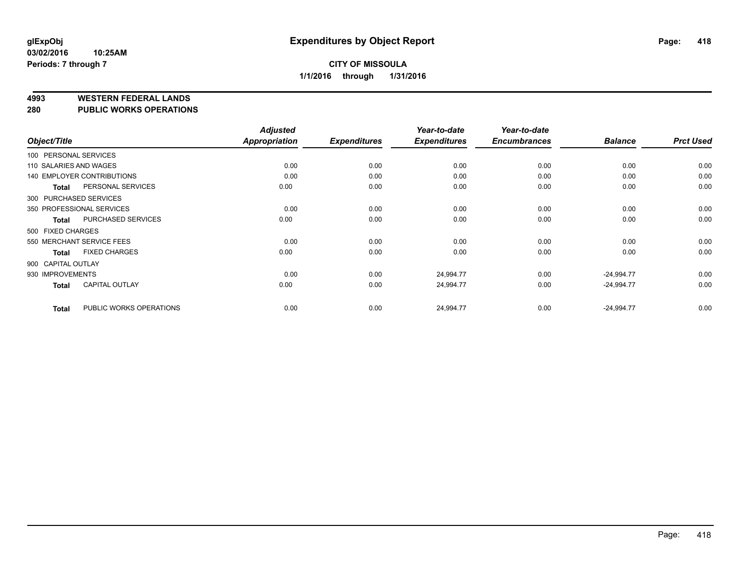#### **4993 WESTERN FEDERAL LANDS**

#### **280 PUBLIC WORKS OPERATIONS**

| Object/Title           |                                   | <b>Adjusted</b><br><b>Appropriation</b> | <b>Expenditures</b> | Year-to-date<br><b>Expenditures</b> | Year-to-date<br><b>Encumbrances</b> | <b>Balance</b> | <b>Prct Used</b> |
|------------------------|-----------------------------------|-----------------------------------------|---------------------|-------------------------------------|-------------------------------------|----------------|------------------|
| 100 PERSONAL SERVICES  |                                   |                                         |                     |                                     |                                     |                |                  |
| 110 SALARIES AND WAGES |                                   | 0.00                                    | 0.00                | 0.00                                | 0.00                                | 0.00           | 0.00             |
|                        |                                   |                                         |                     |                                     |                                     |                |                  |
|                        | <b>140 EMPLOYER CONTRIBUTIONS</b> | 0.00                                    | 0.00                | 0.00                                | 0.00                                | 0.00           | 0.00             |
| <b>Total</b>           | PERSONAL SERVICES                 | 0.00                                    | 0.00                | 0.00                                | 0.00                                | 0.00           | 0.00             |
| 300 PURCHASED SERVICES |                                   |                                         |                     |                                     |                                     |                |                  |
|                        | 350 PROFESSIONAL SERVICES         | 0.00                                    | 0.00                | 0.00                                | 0.00                                | 0.00           | 0.00             |
| <b>Total</b>           | <b>PURCHASED SERVICES</b>         | 0.00                                    | 0.00                | 0.00                                | 0.00                                | 0.00           | 0.00             |
| 500 FIXED CHARGES      |                                   |                                         |                     |                                     |                                     |                |                  |
|                        | 550 MERCHANT SERVICE FEES         | 0.00                                    | 0.00                | 0.00                                | 0.00                                | 0.00           | 0.00             |
| <b>Total</b>           | <b>FIXED CHARGES</b>              | 0.00                                    | 0.00                | 0.00                                | 0.00                                | 0.00           | 0.00             |
| 900 CAPITAL OUTLAY     |                                   |                                         |                     |                                     |                                     |                |                  |
| 930 IMPROVEMENTS       |                                   | 0.00                                    | 0.00                | 24,994.77                           | 0.00                                | $-24,994.77$   | 0.00             |
| <b>Total</b>           | CAPITAL OUTLAY                    | 0.00                                    | 0.00                | 24,994.77                           | 0.00                                | $-24,994.77$   | 0.00             |
| <b>Total</b>           | PUBLIC WORKS OPERATIONS           | 0.00                                    | 0.00                | 24,994.77                           | 0.00                                | $-24,994.77$   | 0.00             |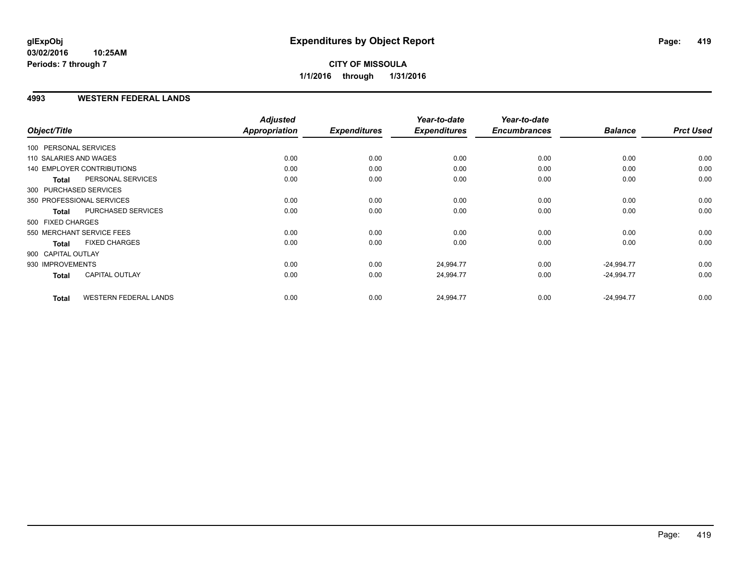### **CITY OF MISSOULA 1/1/2016 through 1/31/2016**

### **4993 WESTERN FEDERAL LANDS**

| Object/Title           |                                   | <b>Adjusted</b><br>Appropriation | <b>Expenditures</b> | Year-to-date<br><b>Expenditures</b> | Year-to-date<br><b>Encumbrances</b> | <b>Balance</b> | <b>Prct Used</b> |
|------------------------|-----------------------------------|----------------------------------|---------------------|-------------------------------------|-------------------------------------|----------------|------------------|
| 100 PERSONAL SERVICES  |                                   |                                  |                     |                                     |                                     |                |                  |
| 110 SALARIES AND WAGES |                                   | 0.00                             | 0.00                | 0.00                                | 0.00                                | 0.00           | 0.00             |
|                        | <b>140 EMPLOYER CONTRIBUTIONS</b> | 0.00                             | 0.00                | 0.00                                | 0.00                                | 0.00           | 0.00             |
| <b>Total</b>           | PERSONAL SERVICES                 | 0.00                             | 0.00                | 0.00                                | 0.00                                | 0.00           | 0.00             |
| 300 PURCHASED SERVICES |                                   |                                  |                     |                                     |                                     |                |                  |
|                        | 350 PROFESSIONAL SERVICES         | 0.00                             | 0.00                | 0.00                                | 0.00                                | 0.00           | 0.00             |
| <b>Total</b>           | PURCHASED SERVICES                | 0.00                             | 0.00                | 0.00                                | 0.00                                | 0.00           | 0.00             |
| 500 FIXED CHARGES      |                                   |                                  |                     |                                     |                                     |                |                  |
|                        | 550 MERCHANT SERVICE FEES         | 0.00                             | 0.00                | 0.00                                | 0.00                                | 0.00           | 0.00             |
| <b>Total</b>           | <b>FIXED CHARGES</b>              | 0.00                             | 0.00                | 0.00                                | 0.00                                | 0.00           | 0.00             |
| 900 CAPITAL OUTLAY     |                                   |                                  |                     |                                     |                                     |                |                  |
| 930 IMPROVEMENTS       |                                   | 0.00                             | 0.00                | 24,994.77                           | 0.00                                | $-24,994.77$   | 0.00             |
| Total                  | <b>CAPITAL OUTLAY</b>             | 0.00                             | 0.00                | 24,994.77                           | 0.00                                | $-24,994.77$   | 0.00             |
| <b>Total</b>           | <b>WESTERN FEDERAL LANDS</b>      | 0.00                             | 0.00                | 24,994.77                           | 0.00                                | $-24,994.77$   | 0.00             |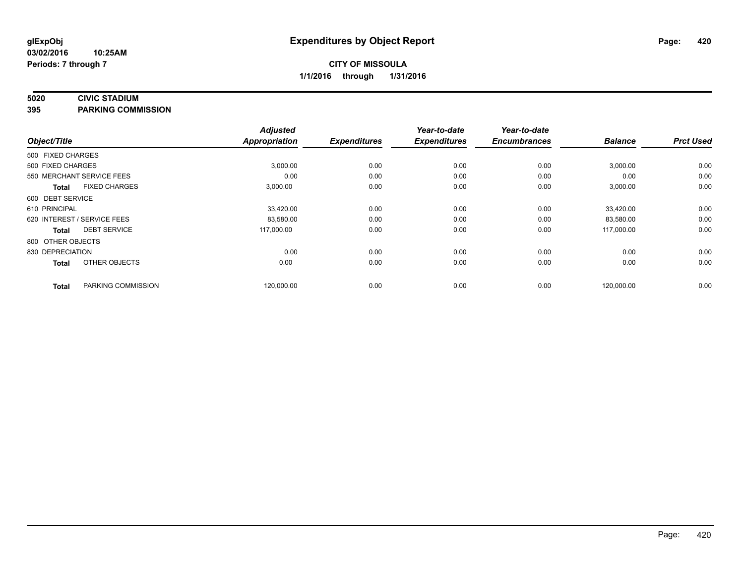#### **5020 CIVIC STADIUM**

**395 PARKING COMMISSION**

| Object/Title      |                             | <b>Adjusted</b><br><b>Appropriation</b> | <b>Expenditures</b> | Year-to-date<br><b>Expenditures</b> | Year-to-date<br><b>Encumbrances</b> | <b>Balance</b> | <b>Prct Used</b> |
|-------------------|-----------------------------|-----------------------------------------|---------------------|-------------------------------------|-------------------------------------|----------------|------------------|
|                   |                             |                                         |                     |                                     |                                     |                |                  |
| 500 FIXED CHARGES |                             |                                         |                     |                                     |                                     |                |                  |
| 500 FIXED CHARGES |                             | 3,000.00                                | 0.00                | 0.00                                | 0.00                                | 3,000.00       | 0.00             |
|                   | 550 MERCHANT SERVICE FEES   | 0.00                                    | 0.00                | 0.00                                | 0.00                                | 0.00           | 0.00             |
| <b>Total</b>      | <b>FIXED CHARGES</b>        | 3,000.00                                | 0.00                | 0.00                                | 0.00                                | 3,000.00       | 0.00             |
| 600 DEBT SERVICE  |                             |                                         |                     |                                     |                                     |                |                  |
| 610 PRINCIPAL     |                             | 33,420.00                               | 0.00                | 0.00                                | 0.00                                | 33,420.00      | 0.00             |
|                   | 620 INTEREST / SERVICE FEES | 83,580.00                               | 0.00                | 0.00                                | 0.00                                | 83,580.00      | 0.00             |
| <b>Total</b>      | <b>DEBT SERVICE</b>         | 117,000.00                              | 0.00                | 0.00                                | 0.00                                | 117,000.00     | 0.00             |
| 800 OTHER OBJECTS |                             |                                         |                     |                                     |                                     |                |                  |
| 830 DEPRECIATION  |                             | 0.00                                    | 0.00                | 0.00                                | 0.00                                | 0.00           | 0.00             |
| <b>Total</b>      | OTHER OBJECTS               | 0.00                                    | 0.00                | 0.00                                | 0.00                                | 0.00           | 0.00             |
| <b>Total</b>      | PARKING COMMISSION          | 120,000.00                              | 0.00                | 0.00                                | 0.00                                | 120,000.00     | 0.00             |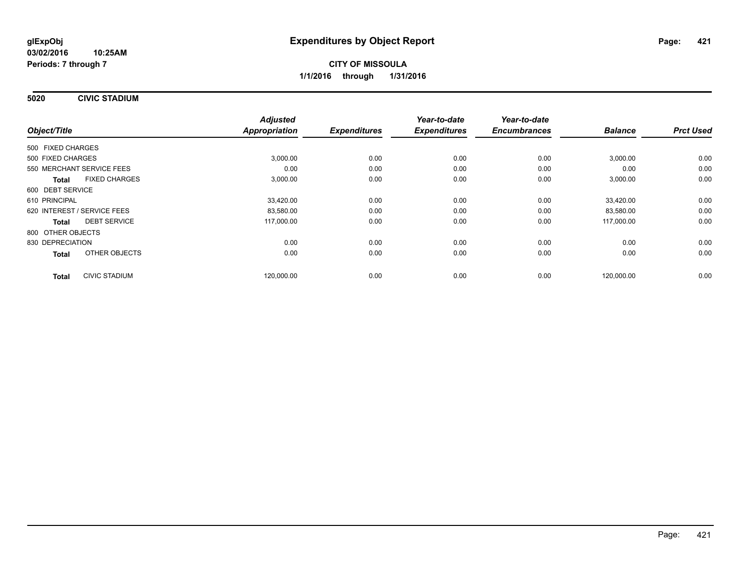**5020 CIVIC STADIUM**

|                                      | <b>Adjusted</b> |                     | Year-to-date<br><b>Expenditures</b> | Year-to-date<br><b>Encumbrances</b> |                |                  |
|--------------------------------------|-----------------|---------------------|-------------------------------------|-------------------------------------|----------------|------------------|
| Object/Title                         | Appropriation   | <b>Expenditures</b> |                                     |                                     | <b>Balance</b> | <b>Prct Used</b> |
| 500 FIXED CHARGES                    |                 |                     |                                     |                                     |                |                  |
| 500 FIXED CHARGES                    | 3,000.00        | 0.00                | 0.00                                | 0.00                                | 3,000.00       | 0.00             |
| 550 MERCHANT SERVICE FEES            | 0.00            | 0.00                | 0.00                                | 0.00                                | 0.00           | 0.00             |
| <b>FIXED CHARGES</b><br><b>Total</b> | 3,000.00        | 0.00                | 0.00                                | 0.00                                | 3,000.00       | 0.00             |
| 600 DEBT SERVICE                     |                 |                     |                                     |                                     |                |                  |
| 610 PRINCIPAL                        | 33,420.00       | 0.00                | 0.00                                | 0.00                                | 33.420.00      | 0.00             |
| 620 INTEREST / SERVICE FEES          | 83,580.00       | 0.00                | 0.00                                | 0.00                                | 83,580.00      | 0.00             |
| <b>DEBT SERVICE</b><br>Total         | 117,000.00      | 0.00                | 0.00                                | 0.00                                | 117,000.00     | 0.00             |
| 800 OTHER OBJECTS                    |                 |                     |                                     |                                     |                |                  |
| 830 DEPRECIATION                     | 0.00            | 0.00                | 0.00                                | 0.00                                | 0.00           | 0.00             |
| OTHER OBJECTS<br><b>Total</b>        | 0.00            | 0.00                | 0.00                                | 0.00                                | 0.00           | 0.00             |
| <b>CIVIC STADIUM</b><br><b>Total</b> | 120,000.00      | 0.00                | 0.00                                | 0.00                                | 120,000.00     | 0.00             |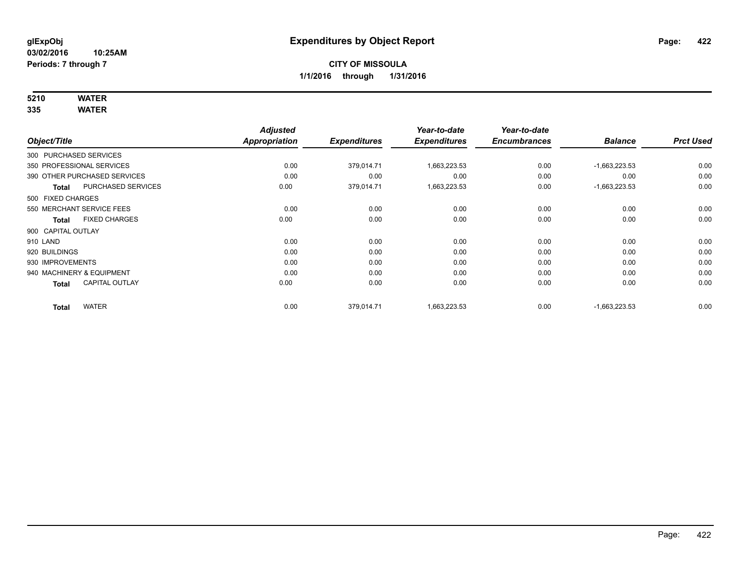## **5210 WATER**

|                           |                              | <b>Adjusted</b>      |                     | Year-to-date        | Year-to-date        |                 |                  |
|---------------------------|------------------------------|----------------------|---------------------|---------------------|---------------------|-----------------|------------------|
| Object/Title              |                              | <b>Appropriation</b> | <b>Expenditures</b> | <b>Expenditures</b> | <b>Encumbrances</b> | <b>Balance</b>  | <b>Prct Used</b> |
| 300 PURCHASED SERVICES    |                              |                      |                     |                     |                     |                 |                  |
| 350 PROFESSIONAL SERVICES |                              | 0.00                 | 379,014.71          | 1,663,223.53        | 0.00                | $-1,663,223.53$ | 0.00             |
|                           | 390 OTHER PURCHASED SERVICES | 0.00                 | 0.00                | 0.00                | 0.00                | 0.00            | 0.00             |
| Total                     | <b>PURCHASED SERVICES</b>    | 0.00                 | 379,014.71          | 1,663,223.53        | 0.00                | $-1,663,223.53$ | 0.00             |
| 500 FIXED CHARGES         |                              |                      |                     |                     |                     |                 |                  |
| 550 MERCHANT SERVICE FEES |                              | 0.00                 | 0.00                | 0.00                | 0.00                | 0.00            | 0.00             |
| <b>Total</b>              | <b>FIXED CHARGES</b>         | 0.00                 | 0.00                | 0.00                | 0.00                | 0.00            | 0.00             |
| 900 CAPITAL OUTLAY        |                              |                      |                     |                     |                     |                 |                  |
| 910 LAND                  |                              | 0.00                 | 0.00                | 0.00                | 0.00                | 0.00            | 0.00             |
| 920 BUILDINGS             |                              | 0.00                 | 0.00                | 0.00                | 0.00                | 0.00            | 0.00             |
| 930 IMPROVEMENTS          |                              | 0.00                 | 0.00                | 0.00                | 0.00                | 0.00            | 0.00             |
| 940 MACHINERY & EQUIPMENT |                              | 0.00                 | 0.00                | 0.00                | 0.00                | 0.00            | 0.00             |
| <b>Total</b>              | <b>CAPITAL OUTLAY</b>        | 0.00                 | 0.00                | 0.00                | 0.00                | 0.00            | 0.00             |
| <b>Total</b>              | <b>WATER</b>                 | 0.00                 | 379,014.71          | 1,663,223.53        | 0.00                | $-1,663,223.53$ | 0.00             |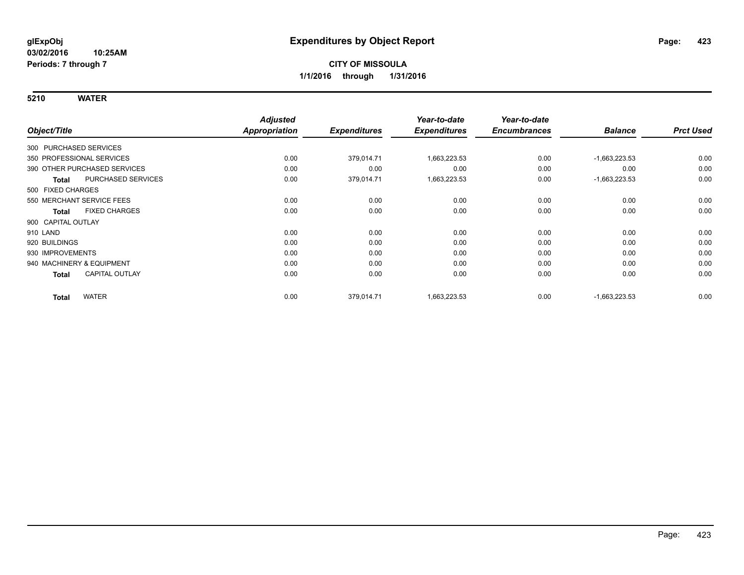|                           |                              | <b>Adjusted</b> |                     | Year-to-date        | Year-to-date        |                 |                  |
|---------------------------|------------------------------|-----------------|---------------------|---------------------|---------------------|-----------------|------------------|
| Object/Title              |                              | Appropriation   | <b>Expenditures</b> | <b>Expenditures</b> | <b>Encumbrances</b> | <b>Balance</b>  | <b>Prct Used</b> |
| 300 PURCHASED SERVICES    |                              |                 |                     |                     |                     |                 |                  |
| 350 PROFESSIONAL SERVICES |                              | 0.00            | 379,014.71          | 1,663,223.53        | 0.00                | $-1,663,223.53$ | 0.00             |
|                           | 390 OTHER PURCHASED SERVICES | 0.00            | 0.00                | 0.00                | 0.00                | 0.00            | 0.00             |
| <b>Total</b>              | PURCHASED SERVICES           | 0.00            | 379,014.71          | 1,663,223.53        | 0.00                | $-1,663,223.53$ | 0.00             |
| 500 FIXED CHARGES         |                              |                 |                     |                     |                     |                 |                  |
|                           | 550 MERCHANT SERVICE FEES    | 0.00            | 0.00                | 0.00                | 0.00                | 0.00            | 0.00             |
| <b>Total</b>              | <b>FIXED CHARGES</b>         | 0.00            | 0.00                | 0.00                | 0.00                | 0.00            | 0.00             |
| 900 CAPITAL OUTLAY        |                              |                 |                     |                     |                     |                 |                  |
| 910 LAND                  |                              | 0.00            | 0.00                | 0.00                | 0.00                | 0.00            | 0.00             |
| 920 BUILDINGS             |                              | 0.00            | 0.00                | 0.00                | 0.00                | 0.00            | 0.00             |
| 930 IMPROVEMENTS          |                              | 0.00            | 0.00                | 0.00                | 0.00                | 0.00            | 0.00             |
| 940 MACHINERY & EQUIPMENT |                              | 0.00            | 0.00                | 0.00                | 0.00                | 0.00            | 0.00             |
| Total                     | <b>CAPITAL OUTLAY</b>        | 0.00            | 0.00                | 0.00                | 0.00                | 0.00            | 0.00             |
| <b>Total</b>              | <b>WATER</b>                 | 0.00            | 379,014.71          | 1,663,223.53        | 0.00                | $-1,663,223.53$ | 0.00             |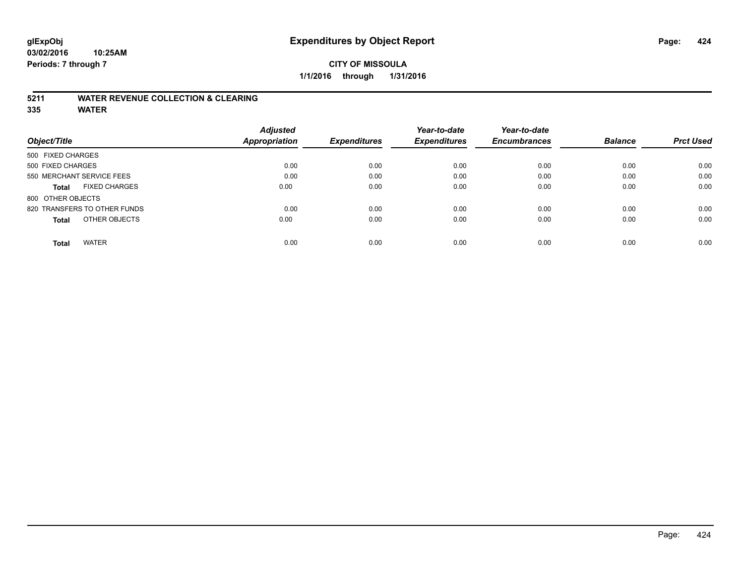### **CITY OF MISSOULA 1/1/2016 through 1/31/2016**

### **5211 WATER REVENUE COLLECTION & CLEARING**

|                                      | <b>Adjusted</b>      |                     | Year-to-date        | Year-to-date        |                |                  |
|--------------------------------------|----------------------|---------------------|---------------------|---------------------|----------------|------------------|
| Object/Title                         | <b>Appropriation</b> | <b>Expenditures</b> | <b>Expenditures</b> | <b>Encumbrances</b> | <b>Balance</b> | <b>Prct Used</b> |
| 500 FIXED CHARGES                    |                      |                     |                     |                     |                |                  |
| 500 FIXED CHARGES                    | 0.00                 | 0.00                | 0.00                | 0.00                | 0.00           | 0.00             |
| 550 MERCHANT SERVICE FEES            | 0.00                 | 0.00                | 0.00                | 0.00                | 0.00           | 0.00             |
| <b>FIXED CHARGES</b><br><b>Total</b> | 0.00                 | 0.00                | 0.00                | 0.00                | 0.00           | 0.00             |
| 800 OTHER OBJECTS                    |                      |                     |                     |                     |                |                  |
| 820 TRANSFERS TO OTHER FUNDS         | 0.00                 | 0.00                | 0.00                | 0.00                | 0.00           | 0.00             |
| OTHER OBJECTS<br><b>Total</b>        | 0.00                 | 0.00                | 0.00                | 0.00                | 0.00           | 0.00             |
| <b>WATER</b><br>Total                | 0.00                 | 0.00                | 0.00                | 0.00                | 0.00           | 0.00             |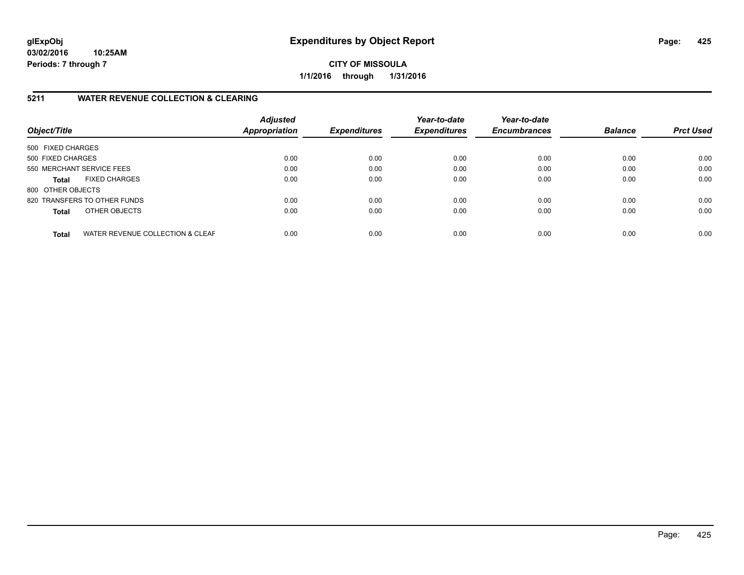**CITY OF MISSOULA 1/1/2016 through 1/31/2016**

### **5211 WATER REVENUE COLLECTION & CLEARING**

| Object/Title              |                                  | <b>Adjusted</b><br><b>Appropriation</b> | <b>Expenditures</b> | Year-to-date<br><b>Expenditures</b> | Year-to-date<br><b>Encumbrances</b> | <b>Balance</b> | <b>Prct Used</b> |
|---------------------------|----------------------------------|-----------------------------------------|---------------------|-------------------------------------|-------------------------------------|----------------|------------------|
| 500 FIXED CHARGES         |                                  |                                         |                     |                                     |                                     |                |                  |
| 500 FIXED CHARGES         |                                  | 0.00                                    | 0.00                | 0.00                                | 0.00                                | 0.00           | 0.00             |
| 550 MERCHANT SERVICE FEES |                                  | 0.00                                    | 0.00                | 0.00                                | 0.00                                | 0.00           | 0.00             |
| <b>Total</b>              | <b>FIXED CHARGES</b>             | 0.00                                    | 0.00                | 0.00                                | 0.00                                | 0.00           | 0.00             |
| 800 OTHER OBJECTS         |                                  |                                         |                     |                                     |                                     |                |                  |
|                           | 820 TRANSFERS TO OTHER FUNDS     | 0.00                                    | 0.00                | 0.00                                | 0.00                                | 0.00           | 0.00             |
| Total                     | OTHER OBJECTS                    | 0.00                                    | 0.00                | 0.00                                | 0.00                                | 0.00           | 0.00             |
| <b>Total</b>              | WATER REVENUE COLLECTION & CLEAF | 0.00                                    | 0.00                | 0.00                                | 0.00                                | 0.00           | 0.00             |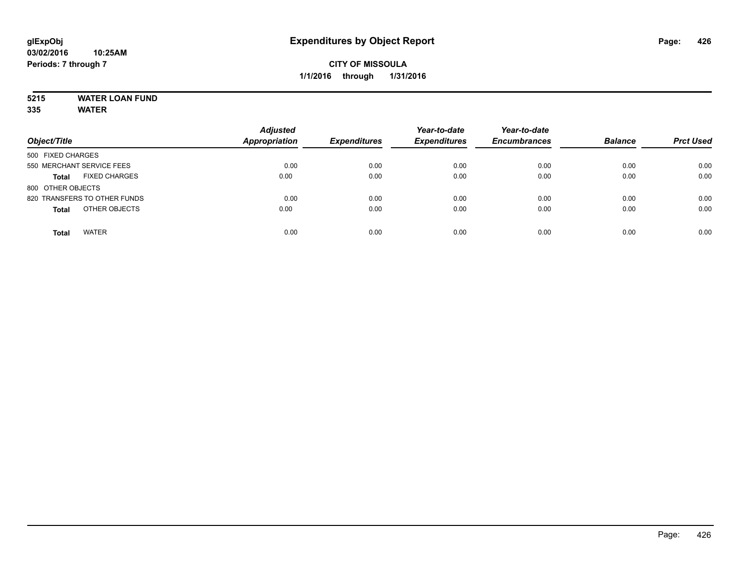## **5215 WATER LOAN FUND**

| Object/Title                         | <b>Adjusted</b><br><b>Appropriation</b> | <b>Expenditures</b> | Year-to-date<br><b>Expenditures</b> | Year-to-date<br><b>Encumbrances</b> | <b>Balance</b> | <b>Prct Used</b> |
|--------------------------------------|-----------------------------------------|---------------------|-------------------------------------|-------------------------------------|----------------|------------------|
| 500 FIXED CHARGES                    |                                         |                     |                                     |                                     |                |                  |
| 550 MERCHANT SERVICE FEES            | 0.00                                    | 0.00                | 0.00                                | 0.00                                | 0.00           | 0.00             |
| <b>FIXED CHARGES</b><br><b>Total</b> | 0.00                                    | 0.00                | 0.00                                | 0.00                                | 0.00           | 0.00             |
| 800 OTHER OBJECTS                    |                                         |                     |                                     |                                     |                |                  |
| 820 TRANSFERS TO OTHER FUNDS         | 0.00                                    | 0.00                | 0.00                                | 0.00                                | 0.00           | 0.00             |
| OTHER OBJECTS<br><b>Total</b>        | 0.00                                    | 0.00                | 0.00                                | 0.00                                | 0.00           | 0.00             |
| <b>WATER</b><br><b>Total</b>         | 0.00                                    | 0.00                | 0.00                                | 0.00                                | 0.00           | 0.00             |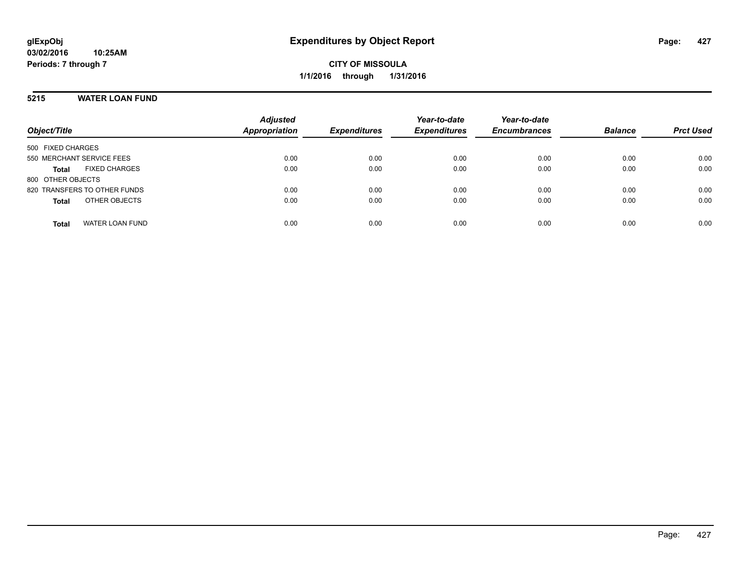### **5215 WATER LOAN FUND**

| Object/Title                           | <b>Adjusted</b><br><b>Appropriation</b> | <b>Expenditures</b> | Year-to-date<br><b>Expenditures</b> | Year-to-date<br><b>Encumbrances</b> | <b>Balance</b> | <b>Prct Used</b> |
|----------------------------------------|-----------------------------------------|---------------------|-------------------------------------|-------------------------------------|----------------|------------------|
|                                        |                                         |                     |                                     |                                     |                |                  |
| 500 FIXED CHARGES                      |                                         |                     |                                     |                                     |                |                  |
| 550 MERCHANT SERVICE FEES              | 0.00                                    | 0.00                | 0.00                                | 0.00                                | 0.00           | 0.00             |
| <b>FIXED CHARGES</b><br><b>Total</b>   | 0.00                                    | 0.00                | 0.00                                | 0.00                                | 0.00           | 0.00             |
| 800 OTHER OBJECTS                      |                                         |                     |                                     |                                     |                |                  |
| 820 TRANSFERS TO OTHER FUNDS           | 0.00                                    | 0.00                | 0.00                                | 0.00                                | 0.00           | 0.00             |
| OTHER OBJECTS<br><b>Total</b>          | 0.00                                    | 0.00                | 0.00                                | 0.00                                | 0.00           | 0.00             |
| <b>WATER LOAN FUND</b><br><b>Total</b> | 0.00                                    | 0.00                | 0.00                                | 0.00                                | 0.00           | 0.00             |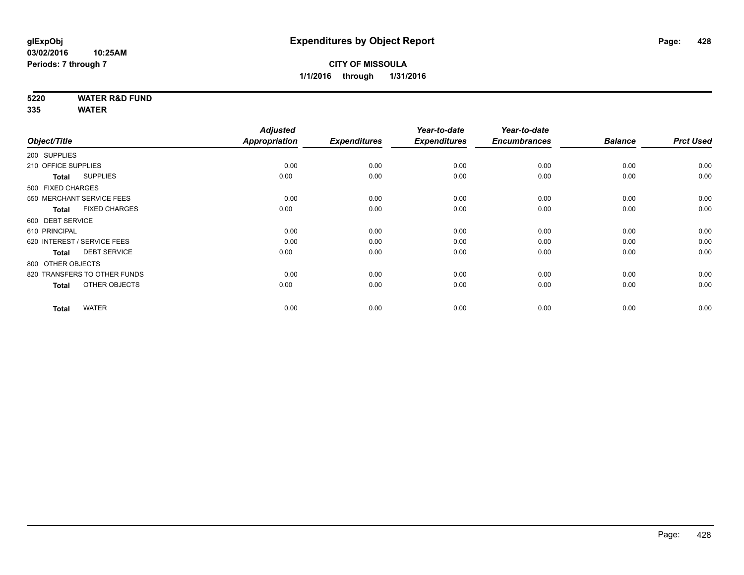**5220 WATER R&D FUND**

|                                      | <b>Adjusted</b> |                     | Year-to-date        | Year-to-date        |                |                  |
|--------------------------------------|-----------------|---------------------|---------------------|---------------------|----------------|------------------|
| Object/Title                         | Appropriation   | <b>Expenditures</b> | <b>Expenditures</b> | <b>Encumbrances</b> | <b>Balance</b> | <b>Prct Used</b> |
| 200 SUPPLIES                         |                 |                     |                     |                     |                |                  |
| 210 OFFICE SUPPLIES                  | 0.00            | 0.00                | 0.00                | 0.00                | 0.00           | 0.00             |
| <b>SUPPLIES</b><br><b>Total</b>      | 0.00            | 0.00                | 0.00                | 0.00                | 0.00           | 0.00             |
| 500 FIXED CHARGES                    |                 |                     |                     |                     |                |                  |
| 550 MERCHANT SERVICE FEES            | 0.00            | 0.00                | 0.00                | 0.00                | 0.00           | 0.00             |
| <b>FIXED CHARGES</b><br><b>Total</b> | 0.00            | 0.00                | 0.00                | 0.00                | 0.00           | 0.00             |
| 600 DEBT SERVICE                     |                 |                     |                     |                     |                |                  |
| 610 PRINCIPAL                        | 0.00            | 0.00                | 0.00                | 0.00                | 0.00           | 0.00             |
| 620 INTEREST / SERVICE FEES          | 0.00            | 0.00                | 0.00                | 0.00                | 0.00           | 0.00             |
| <b>DEBT SERVICE</b><br><b>Total</b>  | 0.00            | 0.00                | 0.00                | 0.00                | 0.00           | 0.00             |
| 800 OTHER OBJECTS                    |                 |                     |                     |                     |                |                  |
| 820 TRANSFERS TO OTHER FUNDS         | 0.00            | 0.00                | 0.00                | 0.00                | 0.00           | 0.00             |
| OTHER OBJECTS<br><b>Total</b>        | 0.00            | 0.00                | 0.00                | 0.00                | 0.00           | 0.00             |
| <b>WATER</b><br><b>Total</b>         | 0.00            | 0.00                | 0.00                | 0.00                | 0.00           | 0.00             |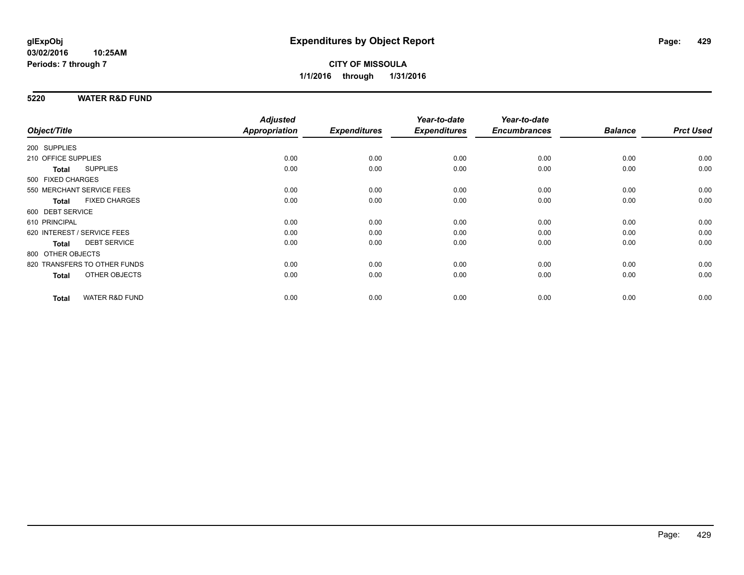### **5220 WATER R&D FUND**

| Object/Title                              | <b>Adjusted</b><br><b>Appropriation</b> | <b>Expenditures</b> | Year-to-date<br><b>Expenditures</b> | Year-to-date<br><b>Encumbrances</b> | <b>Balance</b> | <b>Prct Used</b> |
|-------------------------------------------|-----------------------------------------|---------------------|-------------------------------------|-------------------------------------|----------------|------------------|
|                                           |                                         |                     |                                     |                                     |                |                  |
| 200 SUPPLIES                              |                                         |                     |                                     |                                     |                |                  |
| 210 OFFICE SUPPLIES                       | 0.00                                    | 0.00                | 0.00                                | 0.00                                | 0.00           | 0.00             |
| <b>SUPPLIES</b><br>Total                  | 0.00                                    | 0.00                | 0.00                                | 0.00                                | 0.00           | 0.00             |
| 500 FIXED CHARGES                         |                                         |                     |                                     |                                     |                |                  |
| 550 MERCHANT SERVICE FEES                 | 0.00                                    | 0.00                | 0.00                                | 0.00                                | 0.00           | 0.00             |
| <b>FIXED CHARGES</b><br>Total             | 0.00                                    | 0.00                | 0.00                                | 0.00                                | 0.00           | 0.00             |
| 600 DEBT SERVICE                          |                                         |                     |                                     |                                     |                |                  |
| 610 PRINCIPAL                             | 0.00                                    | 0.00                | 0.00                                | 0.00                                | 0.00           | 0.00             |
| 620 INTEREST / SERVICE FEES               | 0.00                                    | 0.00                | 0.00                                | 0.00                                | 0.00           | 0.00             |
| <b>DEBT SERVICE</b><br><b>Total</b>       | 0.00                                    | 0.00                | 0.00                                | 0.00                                | 0.00           | 0.00             |
| 800 OTHER OBJECTS                         |                                         |                     |                                     |                                     |                |                  |
| 820 TRANSFERS TO OTHER FUNDS              | 0.00                                    | 0.00                | 0.00                                | 0.00                                | 0.00           | 0.00             |
| <b>OTHER OBJECTS</b><br>Total             | 0.00                                    | 0.00                | 0.00                                | 0.00                                | 0.00           | 0.00             |
|                                           |                                         |                     |                                     |                                     |                |                  |
| <b>WATER R&amp;D FUND</b><br><b>Total</b> | 0.00                                    | 0.00                | 0.00                                | 0.00                                | 0.00           | 0.00             |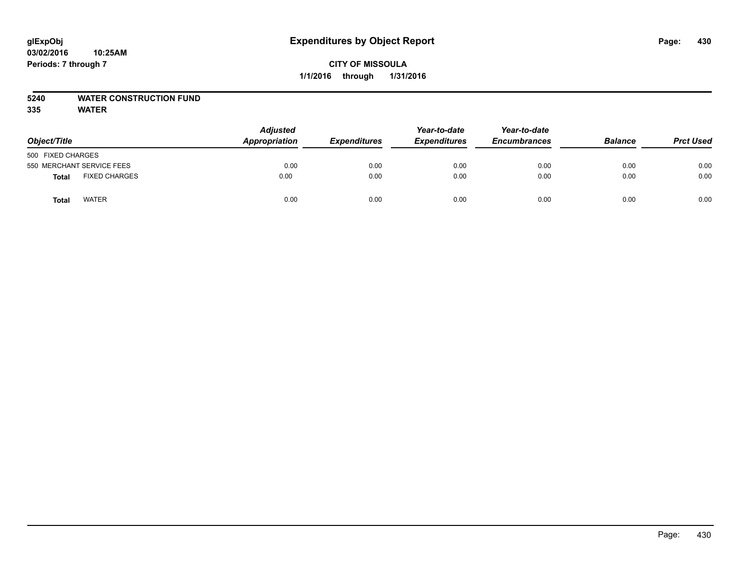### **5240 WATER CONSTRUCTION FUND**

| Object/Title              |                      | <b>Adjusted</b><br>Appropriation | <b>Expenditures</b> | Year-to-date<br><b>Expenditures</b> | Year-to-date<br><b>Encumbrances</b> | <b>Balance</b> | <b>Prct Used</b> |
|---------------------------|----------------------|----------------------------------|---------------------|-------------------------------------|-------------------------------------|----------------|------------------|
| 500 FIXED CHARGES         |                      |                                  |                     |                                     |                                     |                |                  |
| 550 MERCHANT SERVICE FEES |                      | 0.00                             | 0.00                | 0.00                                | 0.00                                | 0.00           | 0.00             |
| Total                     | <b>FIXED CHARGES</b> | 0.00                             | 0.00                | 0.00                                | 0.00                                | 0.00           | 0.00             |
| Total                     | <b>WATER</b>         | 0.00                             | 0.00                | 0.00                                | 0.00                                | 0.00           | 0.00             |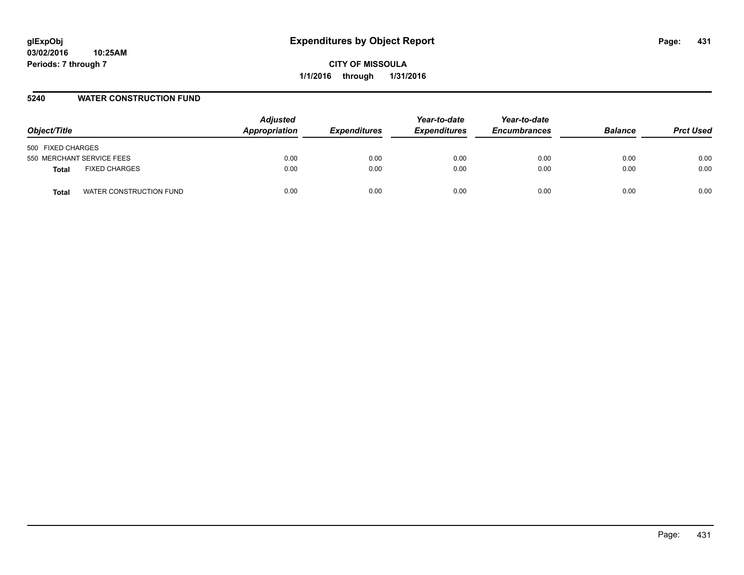### **5240 WATER CONSTRUCTION FUND**

| Object/Title                     | <b>Adjusted</b><br>Appropriation | <b>Expenditures</b> | Year-to-date<br><b>Expenditures</b> | Year-to-date<br><b>Encumbrances</b> | <b>Balance</b> | <b>Prct Used</b> |
|----------------------------------|----------------------------------|---------------------|-------------------------------------|-------------------------------------|----------------|------------------|
| 500 FIXED CHARGES                |                                  |                     |                                     |                                     |                |                  |
| 550 MERCHANT SERVICE FEES        | 0.00                             | 0.00                | 0.00                                | 0.00                                | 0.00           | 0.00             |
| <b>FIXED CHARGES</b><br>Total    | 0.00                             | 0.00                | 0.00                                | 0.00                                | 0.00           | 0.00             |
| WATER CONSTRUCTION FUND<br>Total | 0.00                             | 0.00                | 0.00                                | 0.00                                | 0.00           | 0.00             |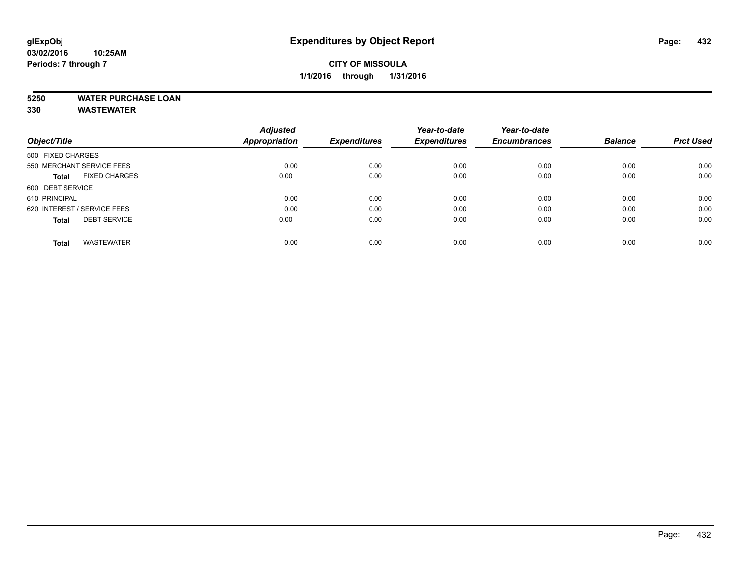### **5250 WATER PURCHASE LOAN**

**330 WASTEWATER**

|                                      | <b>Adjusted</b>      |                     | Year-to-date        | Year-to-date        |                |                  |
|--------------------------------------|----------------------|---------------------|---------------------|---------------------|----------------|------------------|
| Object/Title                         | <b>Appropriation</b> | <b>Expenditures</b> | <b>Expenditures</b> | <b>Encumbrances</b> | <b>Balance</b> | <b>Prct Used</b> |
| 500 FIXED CHARGES                    |                      |                     |                     |                     |                |                  |
| 550 MERCHANT SERVICE FEES            | 0.00                 | 0.00                | 0.00                | 0.00                | 0.00           | 0.00             |
| <b>FIXED CHARGES</b><br><b>Total</b> | 0.00                 | 0.00                | 0.00                | 0.00                | 0.00           | 0.00             |
| 600 DEBT SERVICE                     |                      |                     |                     |                     |                |                  |
| 610 PRINCIPAL                        | 0.00                 | 0.00                | 0.00                | 0.00                | 0.00           | 0.00             |
| 620 INTEREST / SERVICE FEES          | 0.00                 | 0.00                | 0.00                | 0.00                | 0.00           | 0.00             |
| <b>DEBT SERVICE</b><br><b>Total</b>  | 0.00                 | 0.00                | 0.00                | 0.00                | 0.00           | 0.00             |
| <b>WASTEWATER</b><br>Total           | 0.00                 | 0.00                | 0.00                | 0.00                | 0.00           | 0.00             |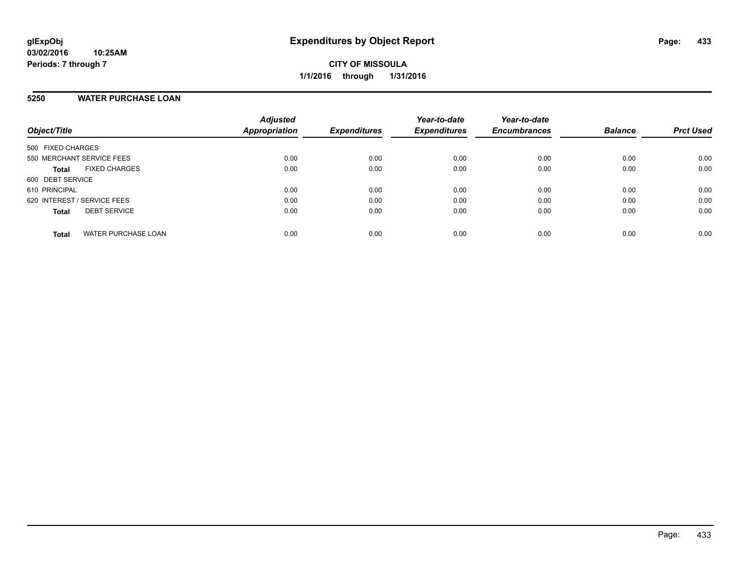### **5250 WATER PURCHASE LOAN**

| Object/Title                               | <b>Adjusted</b><br><b>Appropriation</b> | <b>Expenditures</b> | Year-to-date<br><b>Expenditures</b> | Year-to-date<br><b>Encumbrances</b> | <b>Balance</b> | <b>Prct Used</b> |
|--------------------------------------------|-----------------------------------------|---------------------|-------------------------------------|-------------------------------------|----------------|------------------|
| 500 FIXED CHARGES                          |                                         |                     |                                     |                                     |                |                  |
| 550 MERCHANT SERVICE FEES                  | 0.00                                    | 0.00                | 0.00                                | 0.00                                | 0.00           | 0.00             |
| <b>FIXED CHARGES</b><br><b>Total</b>       | 0.00                                    | 0.00                | 0.00                                | 0.00                                | 0.00           | 0.00             |
| 600 DEBT SERVICE                           |                                         |                     |                                     |                                     |                |                  |
| 610 PRINCIPAL                              | 0.00                                    | 0.00                | 0.00                                | 0.00                                | 0.00           | 0.00             |
| 620 INTEREST / SERVICE FEES                | 0.00                                    | 0.00                | 0.00                                | 0.00                                | 0.00           | 0.00             |
| <b>DEBT SERVICE</b><br><b>Total</b>        | 0.00                                    | 0.00                | 0.00                                | 0.00                                | 0.00           | 0.00             |
| <b>WATER PURCHASE LOAN</b><br><b>Total</b> | 0.00                                    | 0.00                | 0.00                                | 0.00                                | 0.00           | 0.00             |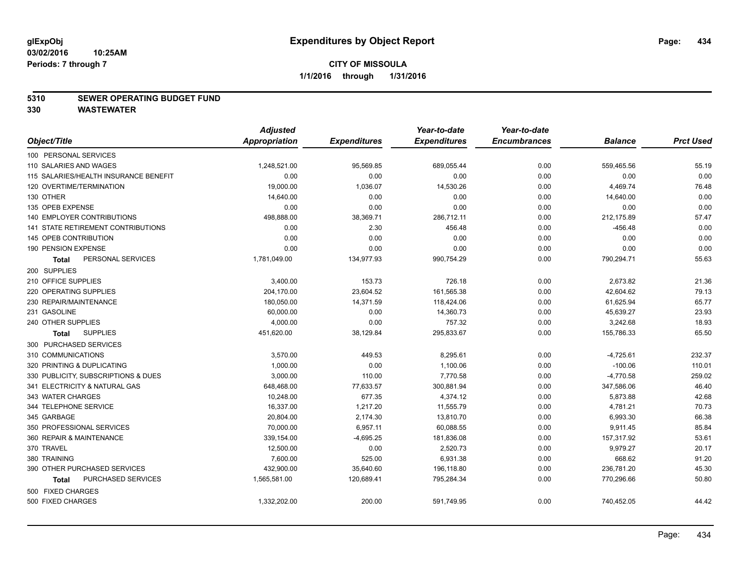### **5310 SEWER OPERATING BUDGET FUND**

|                                           | <b>Adjusted</b> |                     | Year-to-date        | Year-to-date        |                |                  |
|-------------------------------------------|-----------------|---------------------|---------------------|---------------------|----------------|------------------|
| Object/Title                              | Appropriation   | <b>Expenditures</b> | <b>Expenditures</b> | <b>Encumbrances</b> | <b>Balance</b> | <b>Prct Used</b> |
| 100 PERSONAL SERVICES                     |                 |                     |                     |                     |                |                  |
| 110 SALARIES AND WAGES                    | 1,248,521.00    | 95,569.85           | 689,055.44          | 0.00                | 559,465.56     | 55.19            |
| 115 SALARIES/HEALTH INSURANCE BENEFIT     | 0.00            | 0.00                | 0.00                | 0.00                | 0.00           | 0.00             |
| 120 OVERTIME/TERMINATION                  | 19,000.00       | 1,036.07            | 14,530.26           | 0.00                | 4,469.74       | 76.48            |
| 130 OTHER                                 | 14,640.00       | 0.00                | 0.00                | 0.00                | 14,640.00      | 0.00             |
| 135 OPEB EXPENSE                          | 0.00            | 0.00                | 0.00                | 0.00                | 0.00           | 0.00             |
| 140 EMPLOYER CONTRIBUTIONS                | 498,888.00      | 38,369.71           | 286,712.11          | 0.00                | 212,175.89     | 57.47            |
| <b>141 STATE RETIREMENT CONTRIBUTIONS</b> | 0.00            | 2.30                | 456.48              | 0.00                | $-456.48$      | 0.00             |
| 145 OPEB CONTRIBUTION                     | 0.00            | 0.00                | 0.00                | 0.00                | 0.00           | 0.00             |
| 190 PENSION EXPENSE                       | 0.00            | 0.00                | 0.00                | 0.00                | 0.00           | 0.00             |
| PERSONAL SERVICES<br><b>Total</b>         | 1,781,049.00    | 134,977.93          | 990,754.29          | 0.00                | 790,294.71     | 55.63            |
| 200 SUPPLIES                              |                 |                     |                     |                     |                |                  |
| 210 OFFICE SUPPLIES                       | 3,400.00        | 153.73              | 726.18              | 0.00                | 2,673.82       | 21.36            |
| 220 OPERATING SUPPLIES                    | 204,170.00      | 23,604.52           | 161,565.38          | 0.00                | 42,604.62      | 79.13            |
| 230 REPAIR/MAINTENANCE                    | 180,050.00      | 14,371.59           | 118,424.06          | 0.00                | 61,625.94      | 65.77            |
| 231 GASOLINE                              | 60,000.00       | 0.00                | 14,360.73           | 0.00                | 45,639.27      | 23.93            |
| 240 OTHER SUPPLIES                        | 4,000.00        | 0.00                | 757.32              | 0.00                | 3,242.68       | 18.93            |
| <b>SUPPLIES</b><br>Total                  | 451,620.00      | 38,129.84           | 295,833.67          | 0.00                | 155,786.33     | 65.50            |
| 300 PURCHASED SERVICES                    |                 |                     |                     |                     |                |                  |
| 310 COMMUNICATIONS                        | 3,570.00        | 449.53              | 8,295.61            | 0.00                | $-4,725.61$    | 232.37           |
| 320 PRINTING & DUPLICATING                | 1,000.00        | 0.00                | 1,100.06            | 0.00                | $-100.06$      | 110.01           |
| 330 PUBLICITY, SUBSCRIPTIONS & DUES       | 3,000.00        | 110.00              | 7.770.58            | 0.00                | $-4,770.58$    | 259.02           |
| 341 ELECTRICITY & NATURAL GAS             | 648,468.00      | 77,633.57           | 300,881.94          | 0.00                | 347,586.06     | 46.40            |
| 343 WATER CHARGES                         | 10,248.00       | 677.35              | 4,374.12            | 0.00                | 5,873.88       | 42.68            |
| 344 TELEPHONE SERVICE                     | 16,337.00       | 1,217.20            | 11,555.79           | 0.00                | 4,781.21       | 70.73            |
| 345 GARBAGE                               | 20,804.00       | 2,174.30            | 13,810.70           | 0.00                | 6,993.30       | 66.38            |
| 350 PROFESSIONAL SERVICES                 | 70,000.00       | 6,957.11            | 60,088.55           | 0.00                | 9,911.45       | 85.84            |
| 360 REPAIR & MAINTENANCE                  | 339,154.00      | $-4,695.25$         | 181,836.08          | 0.00                | 157,317.92     | 53.61            |
| 370 TRAVEL                                | 12,500.00       | 0.00                | 2,520.73            | 0.00                | 9,979.27       | 20.17            |
| 380 TRAINING                              | 7,600.00        | 525.00              | 6,931.38            | 0.00                | 668.62         | 91.20            |
| 390 OTHER PURCHASED SERVICES              | 432,900.00      | 35,640.60           | 196,118.80          | 0.00                | 236,781.20     | 45.30            |
| PURCHASED SERVICES<br><b>Total</b>        | 1,565,581.00    | 120,689.41          | 795,284.34          | 0.00                | 770,296.66     | 50.80            |
| 500 FIXED CHARGES                         |                 |                     |                     |                     |                |                  |
| 500 FIXED CHARGES                         | 1,332,202.00    | 200.00              | 591,749.95          | 0.00                | 740,452.05     | 44.42            |
|                                           |                 |                     |                     |                     |                |                  |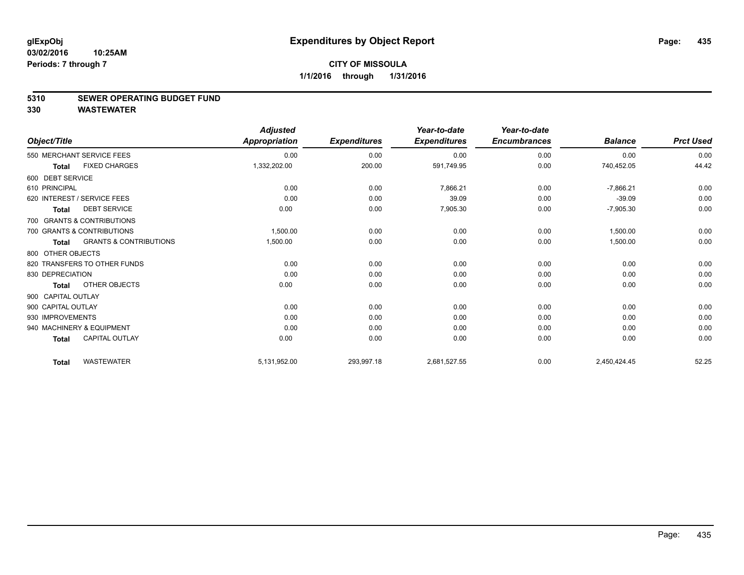### **5310 SEWER OPERATING BUDGET FUND**

|                              |                                   | <b>Adjusted</b>      |                     | Year-to-date        | Year-to-date        |                |                  |
|------------------------------|-----------------------------------|----------------------|---------------------|---------------------|---------------------|----------------|------------------|
| Object/Title                 |                                   | <b>Appropriation</b> | <b>Expenditures</b> | <b>Expenditures</b> | <b>Encumbrances</b> | <b>Balance</b> | <b>Prct Used</b> |
| 550 MERCHANT SERVICE FEES    |                                   | 0.00                 | 0.00                | 0.00                | 0.00                | 0.00           | 0.00             |
| <b>Total</b>                 | <b>FIXED CHARGES</b>              | 1,332,202.00         | 200.00              | 591,749.95          | 0.00                | 740,452.05     | 44.42            |
| 600 DEBT SERVICE             |                                   |                      |                     |                     |                     |                |                  |
| 610 PRINCIPAL                |                                   | 0.00                 | 0.00                | 7,866.21            | 0.00                | $-7,866.21$    | 0.00             |
| 620 INTEREST / SERVICE FEES  |                                   | 0.00                 | 0.00                | 39.09               | 0.00                | $-39.09$       | 0.00             |
| Total                        | <b>DEBT SERVICE</b>               | 0.00                 | 0.00                | 7,905.30            | 0.00                | $-7,905.30$    | 0.00             |
| 700 GRANTS & CONTRIBUTIONS   |                                   |                      |                     |                     |                     |                |                  |
| 700 GRANTS & CONTRIBUTIONS   |                                   | 1,500.00             | 0.00                | 0.00                | 0.00                | 1,500.00       | 0.00             |
| Total                        | <b>GRANTS &amp; CONTRIBUTIONS</b> | 1,500.00             | 0.00                | 0.00                | 0.00                | 1,500.00       | 0.00             |
| 800 OTHER OBJECTS            |                                   |                      |                     |                     |                     |                |                  |
| 820 TRANSFERS TO OTHER FUNDS |                                   | 0.00                 | 0.00                | 0.00                | 0.00                | 0.00           | 0.00             |
| 830 DEPRECIATION             |                                   | 0.00                 | 0.00                | 0.00                | 0.00                | 0.00           | 0.00             |
| <b>Total</b>                 | OTHER OBJECTS                     | 0.00                 | 0.00                | 0.00                | 0.00                | 0.00           | 0.00             |
| 900 CAPITAL OUTLAY           |                                   |                      |                     |                     |                     |                |                  |
| 900 CAPITAL OUTLAY           |                                   | 0.00                 | 0.00                | 0.00                | 0.00                | 0.00           | 0.00             |
| 930 IMPROVEMENTS             |                                   | 0.00                 | 0.00                | 0.00                | 0.00                | 0.00           | 0.00             |
| 940 MACHINERY & EQUIPMENT    |                                   | 0.00                 | 0.00                | 0.00                | 0.00                | 0.00           | 0.00             |
| <b>Total</b>                 | <b>CAPITAL OUTLAY</b>             | 0.00                 | 0.00                | 0.00                | 0.00                | 0.00           | 0.00             |
| <b>Total</b>                 | <b>WASTEWATER</b>                 | 5,131,952.00         | 293,997.18          | 2,681,527.55        | 0.00                | 2,450,424.45   | 52.25            |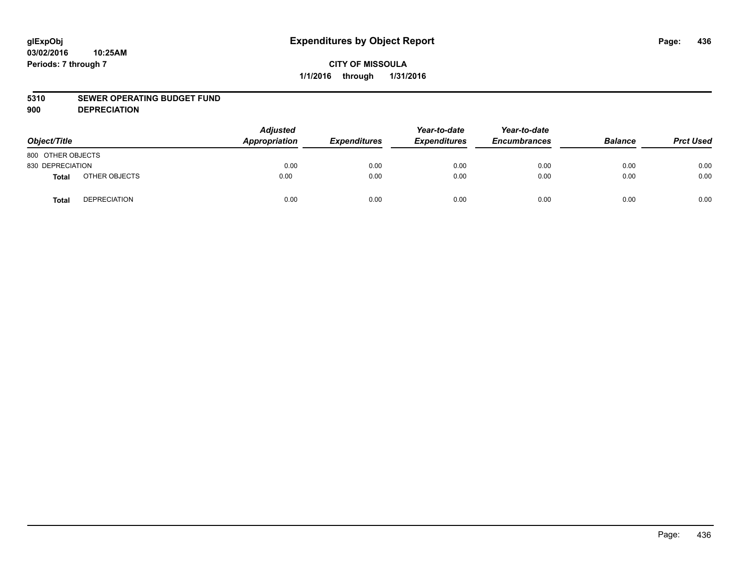#### **5310 SEWER OPERATING BUDGET FUND**

**900 DEPRECIATION**

| Object/Title      |                     | <b>Adjusted</b><br>Appropriation | <b>Expenditures</b> | Year-to-date<br><b>Expenditures</b> | Year-to-date<br><b>Encumbrances</b> | <b>Balance</b> | <b>Prct Used</b> |
|-------------------|---------------------|----------------------------------|---------------------|-------------------------------------|-------------------------------------|----------------|------------------|
| 800 OTHER OBJECTS |                     |                                  |                     |                                     |                                     |                |                  |
| 830 DEPRECIATION  |                     | 0.00                             | 0.00                | 0.00                                | 0.00                                | 0.00           | 0.00             |
| <b>Total</b>      | OTHER OBJECTS       | 0.00                             | 0.00                | 0.00                                | 0.00                                | 0.00           | 0.00             |
| Total             | <b>DEPRECIATION</b> | 0.00                             | 0.00                | 0.00                                | 0.00                                | 0.00           | 0.00             |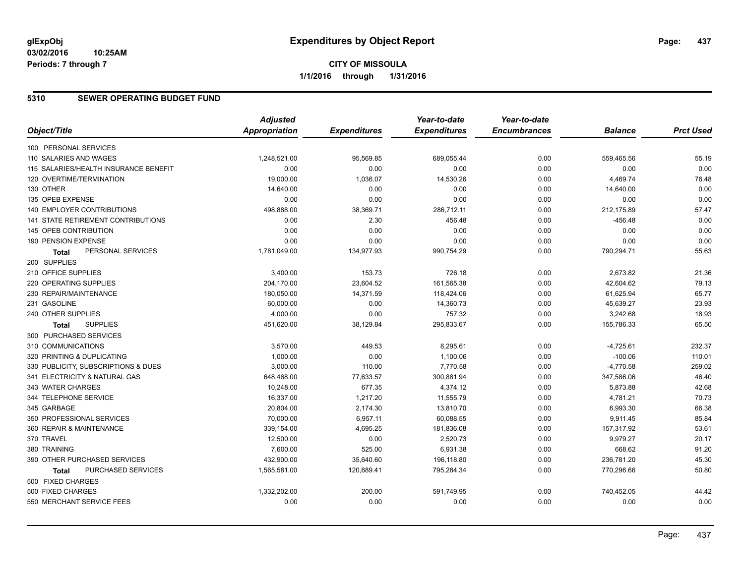## **CITY OF MISSOULA 1/1/2016 through 1/31/2016**

## **5310 SEWER OPERATING BUDGET FUND**

| <b>Adjusted</b><br>Object/Title<br><b>Appropriation</b><br><b>Expenditures</b><br><b>Expenditures</b><br><b>Encumbrances</b><br><b>Balance</b><br>100 PERSONAL SERVICES<br>110 SALARIES AND WAGES<br>1,248,521.00<br>95,569.85<br>689,055.44<br>0.00<br>559,465.56 | <b>Prct Used</b><br>55.19<br>0.00<br>76.48<br>0.00<br>0.00 |
|--------------------------------------------------------------------------------------------------------------------------------------------------------------------------------------------------------------------------------------------------------------------|------------------------------------------------------------|
|                                                                                                                                                                                                                                                                    |                                                            |
|                                                                                                                                                                                                                                                                    |                                                            |
|                                                                                                                                                                                                                                                                    |                                                            |
| 115 SALARIES/HEALTH INSURANCE BENEFIT<br>0.00<br>0.00<br>0.00<br>0.00<br>0.00                                                                                                                                                                                      |                                                            |
| 120 OVERTIME/TERMINATION<br>19,000.00<br>1,036.07<br>14,530.26<br>0.00<br>4,469.74                                                                                                                                                                                 |                                                            |
| 130 OTHER<br>14,640.00<br>0.00<br>0.00<br>0.00<br>14,640.00                                                                                                                                                                                                        |                                                            |
| 135 OPEB EXPENSE<br>0.00<br>0.00<br>0.00<br>0.00<br>0.00                                                                                                                                                                                                           |                                                            |
| 38,369.71<br>212,175.89<br>140 EMPLOYER CONTRIBUTIONS<br>498,888.00<br>286,712.11<br>0.00                                                                                                                                                                          | 57.47                                                      |
| <b>141 STATE RETIREMENT CONTRIBUTIONS</b><br>2.30<br>$-456.48$<br>0.00<br>456.48<br>0.00                                                                                                                                                                           | 0.00                                                       |
| 145 OPEB CONTRIBUTION<br>0.00<br>0.00<br>0.00<br>0.00<br>0.00                                                                                                                                                                                                      | 0.00                                                       |
| 190 PENSION EXPENSE<br>0.00<br>0.00<br>0.00<br>0.00<br>0.00                                                                                                                                                                                                        | 0.00                                                       |
| PERSONAL SERVICES<br>0.00<br>1,781,049.00<br>134,977.93<br>990,754.29<br>790,294.71<br>Total                                                                                                                                                                       | 55.63                                                      |
| 200 SUPPLIES                                                                                                                                                                                                                                                       |                                                            |
| 210 OFFICE SUPPLIES<br>153.73<br>0.00<br>2,673.82<br>3,400.00<br>726.18                                                                                                                                                                                            | 21.36                                                      |
| 220 OPERATING SUPPLIES<br>204,170.00<br>23,604.52<br>161,565.38<br>0.00<br>42,604.62                                                                                                                                                                               | 79.13                                                      |
| 230 REPAIR/MAINTENANCE<br>180,050.00<br>14,371.59<br>118,424.06<br>0.00<br>61,625.94                                                                                                                                                                               | 65.77                                                      |
| 231 GASOLINE<br>60,000.00<br>0.00<br>14,360.73<br>0.00<br>45,639.27                                                                                                                                                                                                | 23.93                                                      |
| 240 OTHER SUPPLIES<br>0.00<br>4,000.00<br>757.32<br>0.00<br>3,242.68                                                                                                                                                                                               | 18.93                                                      |
| <b>SUPPLIES</b><br>38,129.84<br>295,833.67<br>0.00<br>155,786.33<br>451,620.00<br>Total                                                                                                                                                                            | 65.50                                                      |
| 300 PURCHASED SERVICES                                                                                                                                                                                                                                             |                                                            |
| 310 COMMUNICATIONS<br>3,570.00<br>449.53<br>8,295.61<br>0.00<br>$-4,725.61$                                                                                                                                                                                        | 232.37                                                     |
| 1,000.00<br>0.00<br>$-100.06$<br>320 PRINTING & DUPLICATING<br>1,100.06<br>0.00                                                                                                                                                                                    | 110.01                                                     |
| 3,000.00<br>110.00<br>7,770.58<br>330 PUBLICITY, SUBSCRIPTIONS & DUES<br>0.00<br>$-4,770.58$                                                                                                                                                                       | 259.02                                                     |
| 341 ELECTRICITY & NATURAL GAS<br>648,468.00<br>77,633.57<br>300,881.94<br>347,586.06<br>0.00                                                                                                                                                                       | 46.40                                                      |
| 677.35<br>343 WATER CHARGES<br>10,248.00<br>4,374.12<br>5,873.88<br>0.00                                                                                                                                                                                           | 42.68                                                      |
| 344 TELEPHONE SERVICE<br>16,337.00<br>1,217.20<br>11,555.79<br>4,781.21<br>0.00                                                                                                                                                                                    | 70.73                                                      |
| 345 GARBAGE<br>20,804.00<br>2,174.30<br>13,810.70<br>6,993.30<br>0.00                                                                                                                                                                                              | 66.38                                                      |
| 350 PROFESSIONAL SERVICES<br>70,000.00<br>6,957.11<br>60,088.55<br>0.00<br>9,911.45                                                                                                                                                                                | 85.84                                                      |
| 360 REPAIR & MAINTENANCE<br>339,154.00<br>$-4,695.25$<br>181,836.08<br>0.00<br>157,317.92                                                                                                                                                                          | 53.61                                                      |
| 370 TRAVEL<br>12,500.00<br>0.00<br>2,520.73<br>0.00<br>9,979.27                                                                                                                                                                                                    | 20.17                                                      |
| 380 TRAINING<br>7,600.00<br>525.00<br>6,931.38<br>0.00<br>668.62                                                                                                                                                                                                   | 91.20                                                      |
| 236,781.20<br>390 OTHER PURCHASED SERVICES<br>432,900.00<br>35,640.60<br>196,118.80<br>0.00                                                                                                                                                                        | 45.30                                                      |
| PURCHASED SERVICES<br>1,565,581.00<br>120,689.41<br>795,284.34<br>0.00<br>770,296.66<br><b>Total</b>                                                                                                                                                               | 50.80                                                      |
| 500 FIXED CHARGES                                                                                                                                                                                                                                                  |                                                            |
| 500 FIXED CHARGES<br>200.00<br>591,749.95<br>740,452.05<br>1,332,202.00<br>0.00                                                                                                                                                                                    | 44.42                                                      |
| 0.00<br>550 MERCHANT SERVICE FEES<br>0.00<br>0.00<br>0.00<br>0.00                                                                                                                                                                                                  | 0.00                                                       |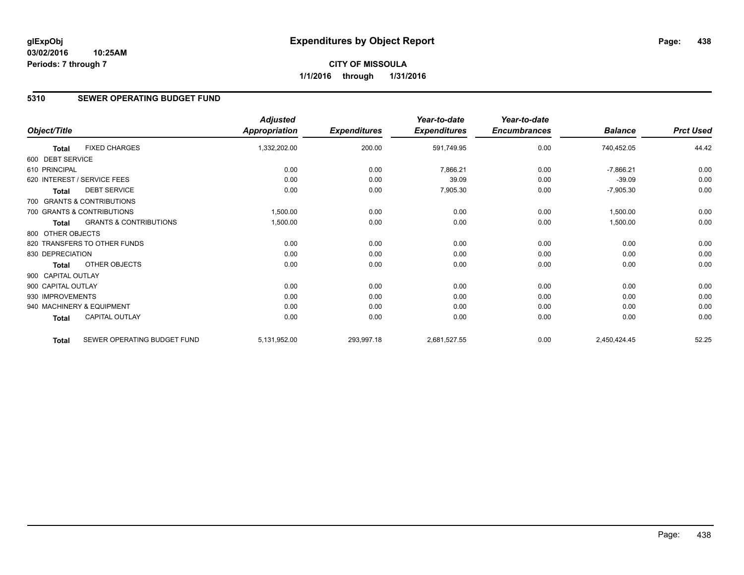## **CITY OF MISSOULA 1/1/2016 through 1/31/2016**

## **5310 SEWER OPERATING BUDGET FUND**

|                    |                                   | <b>Adjusted</b>      |                     | Year-to-date        | Year-to-date        |                |                  |
|--------------------|-----------------------------------|----------------------|---------------------|---------------------|---------------------|----------------|------------------|
| Object/Title       |                                   | <b>Appropriation</b> | <b>Expenditures</b> | <b>Expenditures</b> | <b>Encumbrances</b> | <b>Balance</b> | <b>Prct Used</b> |
| <b>Total</b>       | <b>FIXED CHARGES</b>              | 1,332,202.00         | 200.00              | 591,749.95          | 0.00                | 740,452.05     | 44.42            |
| 600 DEBT SERVICE   |                                   |                      |                     |                     |                     |                |                  |
| 610 PRINCIPAL      |                                   | 0.00                 | 0.00                | 7,866.21            | 0.00                | $-7,866.21$    | 0.00             |
|                    | 620 INTEREST / SERVICE FEES       | 0.00                 | 0.00                | 39.09               | 0.00                | $-39.09$       | 0.00             |
| <b>Total</b>       | <b>DEBT SERVICE</b>               | 0.00                 | 0.00                | 7,905.30            | 0.00                | $-7,905.30$    | 0.00             |
|                    | 700 GRANTS & CONTRIBUTIONS        |                      |                     |                     |                     |                |                  |
|                    | 700 GRANTS & CONTRIBUTIONS        | 1,500.00             | 0.00                | 0.00                | 0.00                | 1,500.00       | 0.00             |
| Total              | <b>GRANTS &amp; CONTRIBUTIONS</b> | 1,500.00             | 0.00                | 0.00                | 0.00                | 1,500.00       | 0.00             |
| 800 OTHER OBJECTS  |                                   |                      |                     |                     |                     |                |                  |
|                    | 820 TRANSFERS TO OTHER FUNDS      | 0.00                 | 0.00                | 0.00                | 0.00                | 0.00           | 0.00             |
| 830 DEPRECIATION   |                                   | 0.00                 | 0.00                | 0.00                | 0.00                | 0.00           | 0.00             |
| <b>Total</b>       | <b>OTHER OBJECTS</b>              | 0.00                 | 0.00                | 0.00                | 0.00                | 0.00           | 0.00             |
| 900 CAPITAL OUTLAY |                                   |                      |                     |                     |                     |                |                  |
| 900 CAPITAL OUTLAY |                                   | 0.00                 | 0.00                | 0.00                | 0.00                | 0.00           | 0.00             |
| 930 IMPROVEMENTS   |                                   | 0.00                 | 0.00                | 0.00                | 0.00                | 0.00           | 0.00             |
|                    | 940 MACHINERY & EQUIPMENT         | 0.00                 | 0.00                | 0.00                | 0.00                | 0.00           | 0.00             |
| Total              | CAPITAL OUTLAY                    | 0.00                 | 0.00                | 0.00                | 0.00                | 0.00           | 0.00             |
| <b>Total</b>       | SEWER OPERATING BUDGET FUND       | 5,131,952.00         | 293,997.18          | 2,681,527.55        | 0.00                | 2,450,424.45   | 52.25            |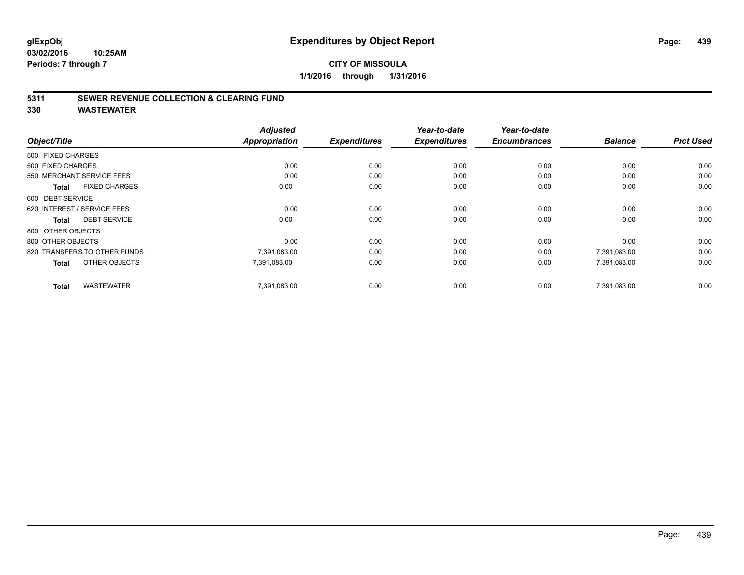## **CITY OF MISSOULA 1/1/2016 through 1/31/2016**

## **5311 SEWER REVENUE COLLECTION & CLEARING FUND**

| Object/Title                         | <b>Adjusted</b><br><b>Appropriation</b> | <b>Expenditures</b> | Year-to-date<br><b>Expenditures</b> | Year-to-date<br><b>Encumbrances</b> | <b>Balance</b> | <b>Prct Used</b> |
|--------------------------------------|-----------------------------------------|---------------------|-------------------------------------|-------------------------------------|----------------|------------------|
| 500 FIXED CHARGES                    |                                         |                     |                                     |                                     |                |                  |
| 500 FIXED CHARGES                    | 0.00                                    | 0.00                | 0.00                                | 0.00                                | 0.00           | 0.00             |
| 550 MERCHANT SERVICE FEES            | 0.00                                    | 0.00                | 0.00                                | 0.00                                | 0.00           | 0.00             |
| <b>FIXED CHARGES</b><br><b>Total</b> | 0.00                                    | 0.00                | 0.00                                | 0.00                                | 0.00           | 0.00             |
| 600 DEBT SERVICE                     |                                         |                     |                                     |                                     |                |                  |
| 620 INTEREST / SERVICE FEES          | 0.00                                    | 0.00                | 0.00                                | 0.00                                | 0.00           | 0.00             |
| <b>DEBT SERVICE</b><br><b>Total</b>  | 0.00                                    | 0.00                | 0.00                                | 0.00                                | 0.00           | 0.00             |
| 800 OTHER OBJECTS                    |                                         |                     |                                     |                                     |                |                  |
| 800 OTHER OBJECTS                    | 0.00                                    | 0.00                | 0.00                                | 0.00                                | 0.00           | 0.00             |
| 820 TRANSFERS TO OTHER FUNDS         | 7,391,083.00                            | 0.00                | 0.00                                | 0.00                                | 7,391,083.00   | 0.00             |
| OTHER OBJECTS<br><b>Total</b>        | 7,391,083.00                            | 0.00                | 0.00                                | 0.00                                | 7,391,083.00   | 0.00             |
| <b>WASTEWATER</b><br><b>Total</b>    | 7,391,083.00                            | 0.00                | 0.00                                | 0.00                                | 7.391.083.00   | 0.00             |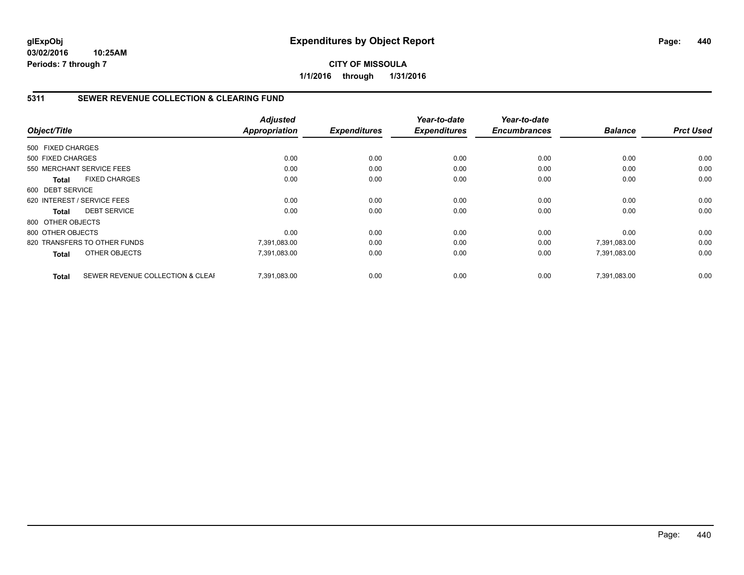## **5311 SEWER REVENUE COLLECTION & CLEARING FUND**

|                   |                                  | <b>Adjusted</b>      |                     | Year-to-date        | Year-to-date        |                |                  |
|-------------------|----------------------------------|----------------------|---------------------|---------------------|---------------------|----------------|------------------|
| Object/Title      |                                  | <b>Appropriation</b> | <b>Expenditures</b> | <b>Expenditures</b> | <b>Encumbrances</b> | <b>Balance</b> | <b>Prct Used</b> |
| 500 FIXED CHARGES |                                  |                      |                     |                     |                     |                |                  |
| 500 FIXED CHARGES |                                  | 0.00                 | 0.00                | 0.00                | 0.00                | 0.00           | 0.00             |
|                   | 550 MERCHANT SERVICE FEES        | 0.00                 | 0.00                | 0.00                | 0.00                | 0.00           | 0.00             |
| <b>Total</b>      | <b>FIXED CHARGES</b>             | 0.00                 | 0.00                | 0.00                | 0.00                | 0.00           | 0.00             |
| 600 DEBT SERVICE  |                                  |                      |                     |                     |                     |                |                  |
|                   | 620 INTEREST / SERVICE FEES      | 0.00                 | 0.00                | 0.00                | 0.00                | 0.00           | 0.00             |
| Total             | <b>DEBT SERVICE</b>              | 0.00                 | 0.00                | 0.00                | 0.00                | 0.00           | 0.00             |
| 800 OTHER OBJECTS |                                  |                      |                     |                     |                     |                |                  |
| 800 OTHER OBJECTS |                                  | 0.00                 | 0.00                | 0.00                | 0.00                | 0.00           | 0.00             |
|                   | 820 TRANSFERS TO OTHER FUNDS     | 7,391,083.00         | 0.00                | 0.00                | 0.00                | 7,391,083.00   | 0.00             |
| <b>Total</b>      | OTHER OBJECTS                    | 7,391,083.00         | 0.00                | 0.00                | 0.00                | 7,391,083.00   | 0.00             |
| <b>Total</b>      | SEWER REVENUE COLLECTION & CLEAF | 7.391.083.00         | 0.00                | 0.00                | 0.00                | 7.391.083.00   | 0.00             |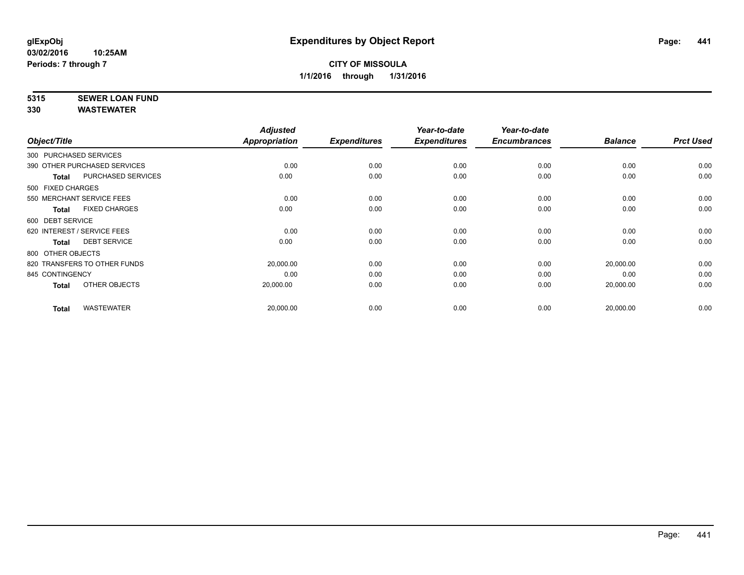# **5315 SEWER LOAN FUND**

|                        |                              | <b>Adjusted</b>      |                     | Year-to-date        | Year-to-date        |                |                  |
|------------------------|------------------------------|----------------------|---------------------|---------------------|---------------------|----------------|------------------|
| Object/Title           |                              | <b>Appropriation</b> | <b>Expenditures</b> | <b>Expenditures</b> | <b>Encumbrances</b> | <b>Balance</b> | <b>Prct Used</b> |
| 300 PURCHASED SERVICES |                              |                      |                     |                     |                     |                |                  |
|                        | 390 OTHER PURCHASED SERVICES | 0.00                 | 0.00                | 0.00                | 0.00                | 0.00           | 0.00             |
| <b>Total</b>           | <b>PURCHASED SERVICES</b>    | 0.00                 | 0.00                | 0.00                | 0.00                | 0.00           | 0.00             |
| 500 FIXED CHARGES      |                              |                      |                     |                     |                     |                |                  |
|                        | 550 MERCHANT SERVICE FEES    | 0.00                 | 0.00                | 0.00                | 0.00                | 0.00           | 0.00             |
| Total                  | <b>FIXED CHARGES</b>         | 0.00                 | 0.00                | 0.00                | 0.00                | 0.00           | 0.00             |
| 600 DEBT SERVICE       |                              |                      |                     |                     |                     |                |                  |
|                        | 620 INTEREST / SERVICE FEES  | 0.00                 | 0.00                | 0.00                | 0.00                | 0.00           | 0.00             |
| <b>Total</b>           | <b>DEBT SERVICE</b>          | 0.00                 | 0.00                | 0.00                | 0.00                | 0.00           | 0.00             |
| 800 OTHER OBJECTS      |                              |                      |                     |                     |                     |                |                  |
|                        | 820 TRANSFERS TO OTHER FUNDS | 20,000.00            | 0.00                | 0.00                | 0.00                | 20,000.00      | 0.00             |
| 845 CONTINGENCY        |                              | 0.00                 | 0.00                | 0.00                | 0.00                | 0.00           | 0.00             |
| <b>Total</b>           | OTHER OBJECTS                | 20,000.00            | 0.00                | 0.00                | 0.00                | 20,000.00      | 0.00             |
| <b>Total</b>           | <b>WASTEWATER</b>            | 20,000.00            | 0.00                | 0.00                | 0.00                | 20,000.00      | 0.00             |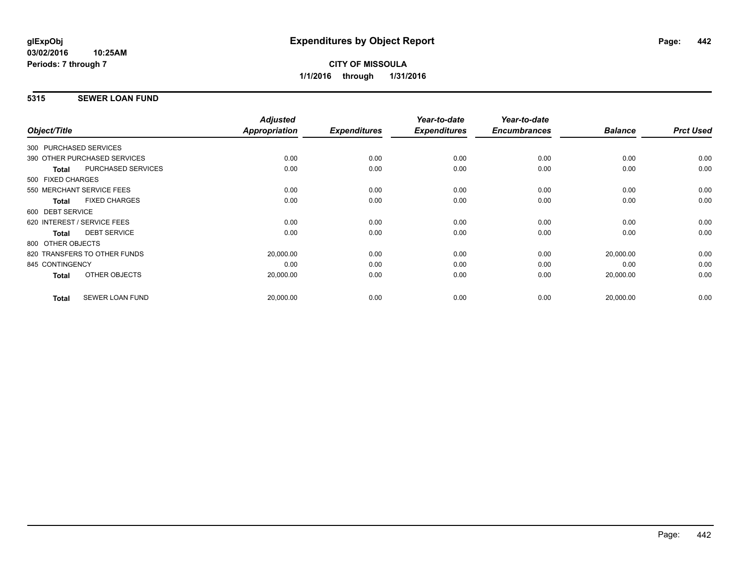## **5315 SEWER LOAN FUND**

|                                           | <b>Adjusted</b> |                     | Year-to-date        | Year-to-date        |                |                  |
|-------------------------------------------|-----------------|---------------------|---------------------|---------------------|----------------|------------------|
| Object/Title                              | Appropriation   | <b>Expenditures</b> | <b>Expenditures</b> | <b>Encumbrances</b> | <b>Balance</b> | <b>Prct Used</b> |
| 300 PURCHASED SERVICES                    |                 |                     |                     |                     |                |                  |
| 390 OTHER PURCHASED SERVICES              | 0.00            | 0.00                | 0.00                | 0.00                | 0.00           | 0.00             |
| <b>PURCHASED SERVICES</b><br><b>Total</b> | 0.00            | 0.00                | 0.00                | 0.00                | 0.00           | 0.00             |
| 500 FIXED CHARGES                         |                 |                     |                     |                     |                |                  |
| 550 MERCHANT SERVICE FEES                 | 0.00            | 0.00                | 0.00                | 0.00                | 0.00           | 0.00             |
| <b>FIXED CHARGES</b><br><b>Total</b>      | 0.00            | 0.00                | 0.00                | 0.00                | 0.00           | 0.00             |
| 600 DEBT SERVICE                          |                 |                     |                     |                     |                |                  |
| 620 INTEREST / SERVICE FEES               | 0.00            | 0.00                | 0.00                | 0.00                | 0.00           | 0.00             |
| <b>DEBT SERVICE</b><br><b>Total</b>       | 0.00            | 0.00                | 0.00                | 0.00                | 0.00           | 0.00             |
| 800 OTHER OBJECTS                         |                 |                     |                     |                     |                |                  |
| 820 TRANSFERS TO OTHER FUNDS              | 20,000.00       | 0.00                | 0.00                | 0.00                | 20,000.00      | 0.00             |
| 845 CONTINGENCY                           | 0.00            | 0.00                | 0.00                | 0.00                | 0.00           | 0.00             |
| OTHER OBJECTS<br>Total                    | 20,000.00       | 0.00                | 0.00                | 0.00                | 20,000.00      | 0.00             |
| <b>SEWER LOAN FUND</b><br><b>Total</b>    | 20,000.00       | 0.00                | 0.00                | 0.00                | 20,000.00      | 0.00             |
|                                           |                 |                     |                     |                     |                |                  |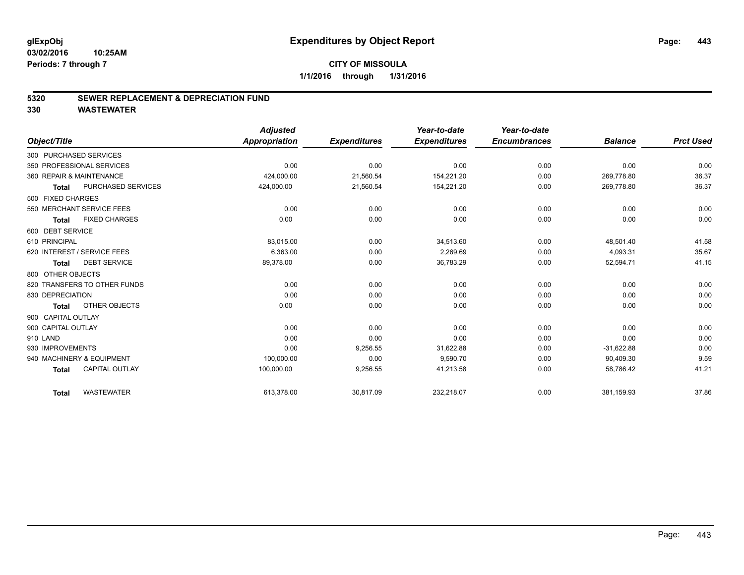### **5320 SEWER REPLACEMENT & DEPRECIATION FUND**

|                              |                       | <b>Adjusted</b>      |                     | Year-to-date        | Year-to-date        |                |                  |
|------------------------------|-----------------------|----------------------|---------------------|---------------------|---------------------|----------------|------------------|
| Object/Title                 |                       | <b>Appropriation</b> | <b>Expenditures</b> | <b>Expenditures</b> | <b>Encumbrances</b> | <b>Balance</b> | <b>Prct Used</b> |
| 300 PURCHASED SERVICES       |                       |                      |                     |                     |                     |                |                  |
| 350 PROFESSIONAL SERVICES    |                       | 0.00                 | 0.00                | 0.00                | 0.00                | 0.00           | 0.00             |
| 360 REPAIR & MAINTENANCE     |                       | 424,000.00           | 21,560.54           | 154,221.20          | 0.00                | 269,778.80     | 36.37            |
| Total                        | PURCHASED SERVICES    | 424,000.00           | 21,560.54           | 154,221.20          | 0.00                | 269,778.80     | 36.37            |
| 500 FIXED CHARGES            |                       |                      |                     |                     |                     |                |                  |
| 550 MERCHANT SERVICE FEES    |                       | 0.00                 | 0.00                | 0.00                | 0.00                | 0.00           | 0.00             |
| <b>Total</b>                 | <b>FIXED CHARGES</b>  | 0.00                 | 0.00                | 0.00                | 0.00                | 0.00           | 0.00             |
| 600 DEBT SERVICE             |                       |                      |                     |                     |                     |                |                  |
| 610 PRINCIPAL                |                       | 83,015.00            | 0.00                | 34,513.60           | 0.00                | 48,501.40      | 41.58            |
| 620 INTEREST / SERVICE FEES  |                       | 6,363.00             | 0.00                | 2,269.69            | 0.00                | 4,093.31       | 35.67            |
| Total                        | <b>DEBT SERVICE</b>   | 89,378.00            | 0.00                | 36,783.29           | 0.00                | 52,594.71      | 41.15            |
| 800 OTHER OBJECTS            |                       |                      |                     |                     |                     |                |                  |
| 820 TRANSFERS TO OTHER FUNDS |                       | 0.00                 | 0.00                | 0.00                | 0.00                | 0.00           | 0.00             |
| 830 DEPRECIATION             |                       | 0.00                 | 0.00                | 0.00                | 0.00                | 0.00           | 0.00             |
| <b>Total</b>                 | OTHER OBJECTS         | 0.00                 | 0.00                | 0.00                | 0.00                | 0.00           | 0.00             |
| 900 CAPITAL OUTLAY           |                       |                      |                     |                     |                     |                |                  |
| 900 CAPITAL OUTLAY           |                       | 0.00                 | 0.00                | 0.00                | 0.00                | 0.00           | 0.00             |
| 910 LAND                     |                       | 0.00                 | 0.00                | 0.00                | 0.00                | 0.00           | 0.00             |
| 930 IMPROVEMENTS             |                       | 0.00                 | 9,256.55            | 31,622.88           | 0.00                | $-31,622.88$   | 0.00             |
| 940 MACHINERY & EQUIPMENT    |                       | 100,000.00           | 0.00                | 9,590.70            | 0.00                | 90,409.30      | 9.59             |
| <b>Total</b>                 | <b>CAPITAL OUTLAY</b> | 100,000.00           | 9,256.55            | 41,213.58           | 0.00                | 58,786.42      | 41.21            |
| <b>Total</b>                 | <b>WASTEWATER</b>     | 613,378.00           | 30,817.09           | 232,218.07          | 0.00                | 381,159.93     | 37.86            |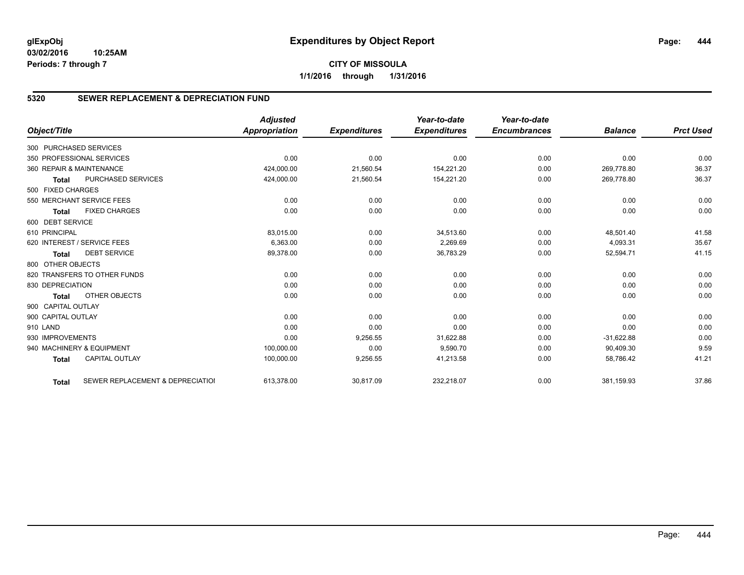## **CITY OF MISSOULA 1/1/2016 through 1/31/2016**

## **5320 SEWER REPLACEMENT & DEPRECIATION FUND**

|                        |                                  | <b>Adjusted</b>      |                     | Year-to-date        | Year-to-date        |                |                  |
|------------------------|----------------------------------|----------------------|---------------------|---------------------|---------------------|----------------|------------------|
| Object/Title           |                                  | <b>Appropriation</b> | <b>Expenditures</b> | <b>Expenditures</b> | <b>Encumbrances</b> | <b>Balance</b> | <b>Prct Used</b> |
| 300 PURCHASED SERVICES |                                  |                      |                     |                     |                     |                |                  |
|                        | 350 PROFESSIONAL SERVICES        | 0.00                 | 0.00                | 0.00                | 0.00                | 0.00           | 0.00             |
|                        | 360 REPAIR & MAINTENANCE         | 424,000.00           | 21,560.54           | 154,221.20          | 0.00                | 269.778.80     | 36.37            |
| <b>Total</b>           | <b>PURCHASED SERVICES</b>        | 424,000.00           | 21,560.54           | 154,221.20          | 0.00                | 269.778.80     | 36.37            |
| 500 FIXED CHARGES      |                                  |                      |                     |                     |                     |                |                  |
|                        | 550 MERCHANT SERVICE FEES        | 0.00                 | 0.00                | 0.00                | 0.00                | 0.00           | 0.00             |
| <b>Total</b>           | <b>FIXED CHARGES</b>             | 0.00                 | 0.00                | 0.00                | 0.00                | 0.00           | 0.00             |
| 600 DEBT SERVICE       |                                  |                      |                     |                     |                     |                |                  |
| 610 PRINCIPAL          |                                  | 83,015.00            | 0.00                | 34,513.60           | 0.00                | 48,501.40      | 41.58            |
|                        | 620 INTEREST / SERVICE FEES      | 6,363.00             | 0.00                | 2,269.69            | 0.00                | 4,093.31       | 35.67            |
| <b>Total</b>           | <b>DEBT SERVICE</b>              | 89,378.00            | 0.00                | 36,783.29           | 0.00                | 52,594.71      | 41.15            |
| 800 OTHER OBJECTS      |                                  |                      |                     |                     |                     |                |                  |
|                        | 820 TRANSFERS TO OTHER FUNDS     | 0.00                 | 0.00                | 0.00                | 0.00                | 0.00           | 0.00             |
| 830 DEPRECIATION       |                                  | 0.00                 | 0.00                | 0.00                | 0.00                | 0.00           | 0.00             |
| <b>Total</b>           | OTHER OBJECTS                    | 0.00                 | 0.00                | 0.00                | 0.00                | 0.00           | 0.00             |
| 900 CAPITAL OUTLAY     |                                  |                      |                     |                     |                     |                |                  |
| 900 CAPITAL OUTLAY     |                                  | 0.00                 | 0.00                | 0.00                | 0.00                | 0.00           | 0.00             |
| 910 LAND               |                                  | 0.00                 | 0.00                | 0.00                | 0.00                | 0.00           | 0.00             |
| 930 IMPROVEMENTS       |                                  | 0.00                 | 9,256.55            | 31,622.88           | 0.00                | $-31,622.88$   | 0.00             |
|                        | 940 MACHINERY & EQUIPMENT        | 100,000.00           | 0.00                | 9,590.70            | 0.00                | 90,409.30      | 9.59             |
| <b>Total</b>           | <b>CAPITAL OUTLAY</b>            | 100,000.00           | 9,256.55            | 41,213.58           | 0.00                | 58,786.42      | 41.21            |
| <b>Total</b>           | SEWER REPLACEMENT & DEPRECIATION | 613,378.00           | 30,817.09           | 232,218.07          | 0.00                | 381,159.93     | 37.86            |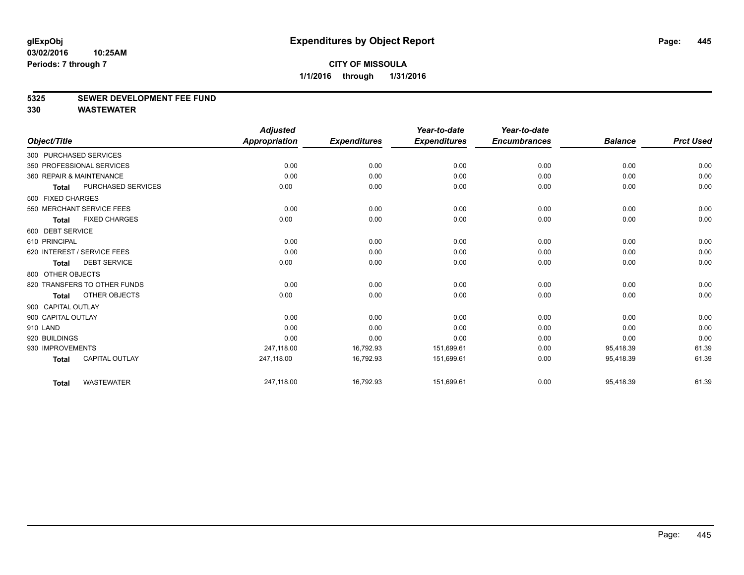### **5325 SEWER DEVELOPMENT FEE FUND**

|                    |                              | <b>Adjusted</b>      |                     | Year-to-date        | Year-to-date        |                |                  |
|--------------------|------------------------------|----------------------|---------------------|---------------------|---------------------|----------------|------------------|
| Object/Title       |                              | <b>Appropriation</b> | <b>Expenditures</b> | <b>Expenditures</b> | <b>Encumbrances</b> | <b>Balance</b> | <b>Prct Used</b> |
|                    | 300 PURCHASED SERVICES       |                      |                     |                     |                     |                |                  |
|                    | 350 PROFESSIONAL SERVICES    | 0.00                 | 0.00                | 0.00                | 0.00                | 0.00           | 0.00             |
|                    | 360 REPAIR & MAINTENANCE     | 0.00                 | 0.00                | 0.00                | 0.00                | 0.00           | 0.00             |
| <b>Total</b>       | PURCHASED SERVICES           | 0.00                 | 0.00                | 0.00                | 0.00                | 0.00           | 0.00             |
| 500 FIXED CHARGES  |                              |                      |                     |                     |                     |                |                  |
|                    | 550 MERCHANT SERVICE FEES    | 0.00                 | 0.00                | 0.00                | 0.00                | 0.00           | 0.00             |
| <b>Total</b>       | <b>FIXED CHARGES</b>         | 0.00                 | 0.00                | 0.00                | 0.00                | 0.00           | 0.00             |
| 600 DEBT SERVICE   |                              |                      |                     |                     |                     |                |                  |
| 610 PRINCIPAL      |                              | 0.00                 | 0.00                | 0.00                | 0.00                | 0.00           | 0.00             |
|                    | 620 INTEREST / SERVICE FEES  | 0.00                 | 0.00                | 0.00                | 0.00                | 0.00           | 0.00             |
| <b>Total</b>       | <b>DEBT SERVICE</b>          | 0.00                 | 0.00                | 0.00                | 0.00                | 0.00           | 0.00             |
| 800 OTHER OBJECTS  |                              |                      |                     |                     |                     |                |                  |
|                    | 820 TRANSFERS TO OTHER FUNDS | 0.00                 | 0.00                | 0.00                | 0.00                | 0.00           | 0.00             |
| Total              | OTHER OBJECTS                | 0.00                 | 0.00                | 0.00                | 0.00                | 0.00           | 0.00             |
| 900 CAPITAL OUTLAY |                              |                      |                     |                     |                     |                |                  |
| 900 CAPITAL OUTLAY |                              | 0.00                 | 0.00                | 0.00                | 0.00                | 0.00           | 0.00             |
| 910 LAND           |                              | 0.00                 | 0.00                | 0.00                | 0.00                | 0.00           | 0.00             |
| 920 BUILDINGS      |                              | 0.00                 | 0.00                | 0.00                | 0.00                | 0.00           | 0.00             |
| 930 IMPROVEMENTS   |                              | 247,118.00           | 16,792.93           | 151,699.61          | 0.00                | 95,418.39      | 61.39            |
| <b>Total</b>       | <b>CAPITAL OUTLAY</b>        | 247,118.00           | 16,792.93           | 151,699.61          | 0.00                | 95,418.39      | 61.39            |
| <b>Total</b>       | <b>WASTEWATER</b>            | 247,118.00           | 16,792.93           | 151,699.61          | 0.00                | 95,418.39      | 61.39            |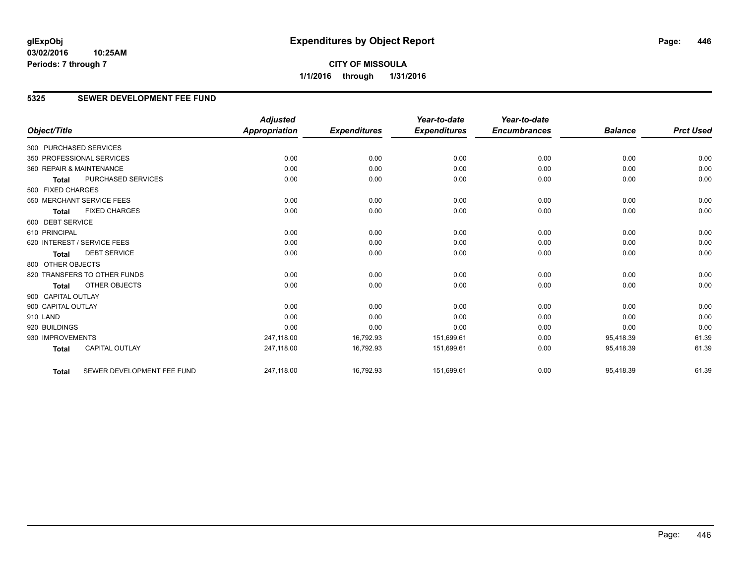## **5325 SEWER DEVELOPMENT FEE FUND**

|                        |                              | <b>Adjusted</b>      |                     | Year-to-date        | Year-to-date        |                |                  |
|------------------------|------------------------------|----------------------|---------------------|---------------------|---------------------|----------------|------------------|
| Object/Title           |                              | <b>Appropriation</b> | <b>Expenditures</b> | <b>Expenditures</b> | <b>Encumbrances</b> | <b>Balance</b> | <b>Prct Used</b> |
| 300 PURCHASED SERVICES |                              |                      |                     |                     |                     |                |                  |
|                        | 350 PROFESSIONAL SERVICES    | 0.00                 | 0.00                | 0.00                | 0.00                | 0.00           | 0.00             |
|                        | 360 REPAIR & MAINTENANCE     | 0.00                 | 0.00                | 0.00                | 0.00                | 0.00           | 0.00             |
| <b>Total</b>           | <b>PURCHASED SERVICES</b>    | 0.00                 | 0.00                | 0.00                | 0.00                | 0.00           | 0.00             |
| 500 FIXED CHARGES      |                              |                      |                     |                     |                     |                |                  |
|                        | 550 MERCHANT SERVICE FEES    | 0.00                 | 0.00                | 0.00                | 0.00                | 0.00           | 0.00             |
| <b>Total</b>           | <b>FIXED CHARGES</b>         | 0.00                 | 0.00                | 0.00                | 0.00                | 0.00           | 0.00             |
| 600 DEBT SERVICE       |                              |                      |                     |                     |                     |                |                  |
| 610 PRINCIPAL          |                              | 0.00                 | 0.00                | 0.00                | 0.00                | 0.00           | 0.00             |
|                        | 620 INTEREST / SERVICE FEES  | 0.00                 | 0.00                | 0.00                | 0.00                | 0.00           | 0.00             |
| <b>Total</b>           | <b>DEBT SERVICE</b>          | 0.00                 | 0.00                | 0.00                | 0.00                | 0.00           | 0.00             |
| 800 OTHER OBJECTS      |                              |                      |                     |                     |                     |                |                  |
|                        | 820 TRANSFERS TO OTHER FUNDS | 0.00                 | 0.00                | 0.00                | 0.00                | 0.00           | 0.00             |
| <b>Total</b>           | <b>OTHER OBJECTS</b>         | 0.00                 | 0.00                | 0.00                | 0.00                | 0.00           | 0.00             |
| 900 CAPITAL OUTLAY     |                              |                      |                     |                     |                     |                |                  |
| 900 CAPITAL OUTLAY     |                              | 0.00                 | 0.00                | 0.00                | 0.00                | 0.00           | 0.00             |
| 910 LAND               |                              | 0.00                 | 0.00                | 0.00                | 0.00                | 0.00           | 0.00             |
| 920 BUILDINGS          |                              | 0.00                 | 0.00                | 0.00                | 0.00                | 0.00           | 0.00             |
| 930 IMPROVEMENTS       |                              | 247.118.00           | 16,792.93           | 151,699.61          | 0.00                | 95,418.39      | 61.39            |
| <b>Total</b>           | <b>CAPITAL OUTLAY</b>        | 247,118.00           | 16,792.93           | 151,699.61          | 0.00                | 95,418.39      | 61.39            |
| <b>Total</b>           | SEWER DEVELOPMENT FEE FUND   | 247,118.00           | 16,792.93           | 151,699.61          | 0.00                | 95,418.39      | 61.39            |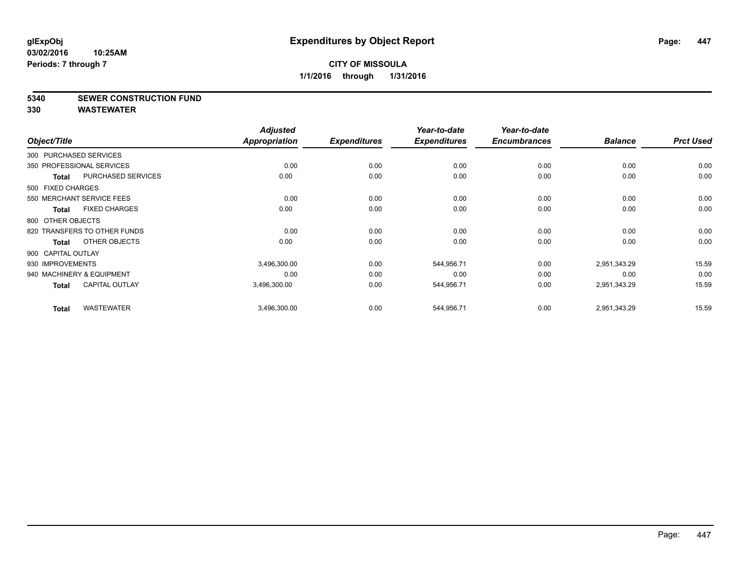### **5340 SEWER CONSTRUCTION FUND**

|                    |                              | <b>Adjusted</b> |                     | Year-to-date        | Year-to-date        |                |                  |
|--------------------|------------------------------|-----------------|---------------------|---------------------|---------------------|----------------|------------------|
| Object/Title       |                              | Appropriation   | <b>Expenditures</b> | <b>Expenditures</b> | <b>Encumbrances</b> | <b>Balance</b> | <b>Prct Used</b> |
|                    | 300 PURCHASED SERVICES       |                 |                     |                     |                     |                |                  |
|                    | 350 PROFESSIONAL SERVICES    | 0.00            | 0.00                | 0.00                | 0.00                | 0.00           | 0.00             |
| <b>Total</b>       | PURCHASED SERVICES           | 0.00            | 0.00                | 0.00                | 0.00                | 0.00           | 0.00             |
| 500 FIXED CHARGES  |                              |                 |                     |                     |                     |                |                  |
|                    | 550 MERCHANT SERVICE FEES    | 0.00            | 0.00                | 0.00                | 0.00                | 0.00           | 0.00             |
| Total              | <b>FIXED CHARGES</b>         | 0.00            | 0.00                | 0.00                | 0.00                | 0.00           | 0.00             |
| 800 OTHER OBJECTS  |                              |                 |                     |                     |                     |                |                  |
|                    | 820 TRANSFERS TO OTHER FUNDS | 0.00            | 0.00                | 0.00                | 0.00                | 0.00           | 0.00             |
| Total              | OTHER OBJECTS                | 0.00            | 0.00                | 0.00                | 0.00                | 0.00           | 0.00             |
| 900 CAPITAL OUTLAY |                              |                 |                     |                     |                     |                |                  |
| 930 IMPROVEMENTS   |                              | 3,496,300.00    | 0.00                | 544,956.71          | 0.00                | 2,951,343.29   | 15.59            |
|                    | 940 MACHINERY & EQUIPMENT    | 0.00            | 0.00                | 0.00                | 0.00                | 0.00           | 0.00             |
| Total              | <b>CAPITAL OUTLAY</b>        | 3,496,300.00    | 0.00                | 544,956.71          | 0.00                | 2,951,343.29   | 15.59            |
| <b>Total</b>       | <b>WASTEWATER</b>            | 3,496,300.00    | 0.00                | 544,956.71          | 0.00                | 2,951,343.29   | 15.59            |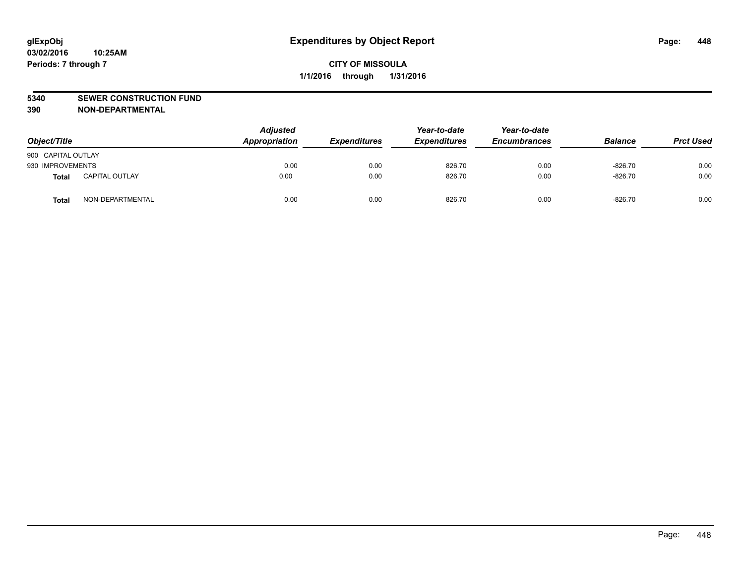### **5340 SEWER CONSTRUCTION FUND**

**390 NON-DEPARTMENTAL**

| Object/Title       |                       | <b>Adjusted</b><br>Appropriation | <b>Expenditures</b> | Year-to-date<br><b>Expenditures</b> | Year-to-date<br><b>Encumbrances</b> | <b>Balance</b> | <b>Prct Used</b> |
|--------------------|-----------------------|----------------------------------|---------------------|-------------------------------------|-------------------------------------|----------------|------------------|
| 900 CAPITAL OUTLAY |                       |                                  |                     |                                     |                                     |                |                  |
| 930 IMPROVEMENTS   |                       | 0.00                             | 0.00                | 826.70                              | 0.00                                | $-826.70$      | 0.00             |
| Total              | <b>CAPITAL OUTLAY</b> | 0.00                             | 0.00                | 826.70                              | 0.00                                | $-826.70$      | 0.00             |
| <b>Total</b>       | NON-DEPARTMENTAL      | 0.00                             | 0.00                | 826.70                              | 0.00                                | $-826.70$      | 0.00             |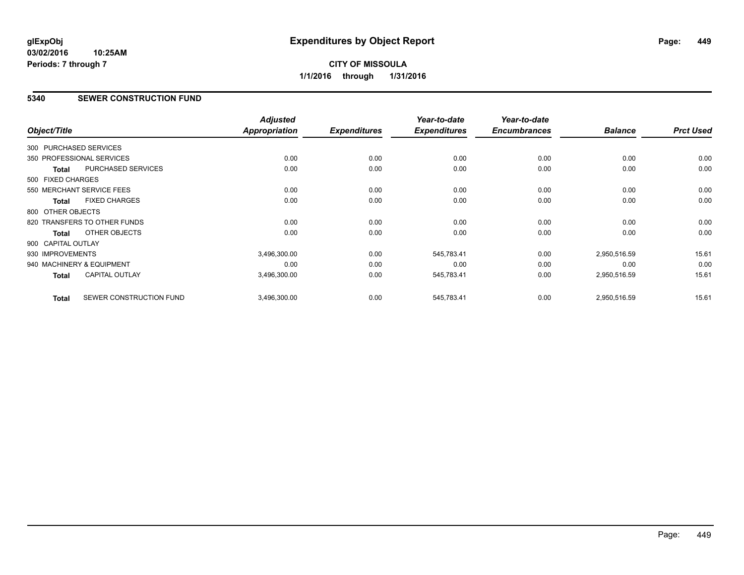## **CITY OF MISSOULA 1/1/2016 through 1/31/2016**

## **5340 SEWER CONSTRUCTION FUND**

| Object/Title           |                              | <b>Adjusted</b><br>Appropriation | <b>Expenditures</b> | Year-to-date<br><b>Expenditures</b> | Year-to-date<br><b>Encumbrances</b> | <b>Balance</b> | <b>Prct Used</b> |
|------------------------|------------------------------|----------------------------------|---------------------|-------------------------------------|-------------------------------------|----------------|------------------|
|                        |                              |                                  |                     |                                     |                                     |                |                  |
| 300 PURCHASED SERVICES |                              |                                  |                     |                                     |                                     |                |                  |
|                        | 350 PROFESSIONAL SERVICES    | 0.00                             | 0.00                | 0.00                                | 0.00                                | 0.00           | 0.00             |
| <b>Total</b>           | PURCHASED SERVICES           | 0.00                             | 0.00                | 0.00                                | 0.00                                | 0.00           | 0.00             |
| 500 FIXED CHARGES      |                              |                                  |                     |                                     |                                     |                |                  |
|                        | 550 MERCHANT SERVICE FEES    | 0.00                             | 0.00                | 0.00                                | 0.00                                | 0.00           | 0.00             |
| <b>Total</b>           | <b>FIXED CHARGES</b>         | 0.00                             | 0.00                | 0.00                                | 0.00                                | 0.00           | 0.00             |
| 800 OTHER OBJECTS      |                              |                                  |                     |                                     |                                     |                |                  |
|                        | 820 TRANSFERS TO OTHER FUNDS | 0.00                             | 0.00                | 0.00                                | 0.00                                | 0.00           | 0.00             |
| <b>Total</b>           | <b>OTHER OBJECTS</b>         | 0.00                             | 0.00                | 0.00                                | 0.00                                | 0.00           | 0.00             |
| 900 CAPITAL OUTLAY     |                              |                                  |                     |                                     |                                     |                |                  |
| 930 IMPROVEMENTS       |                              | 3,496,300.00                     | 0.00                | 545,783.41                          | 0.00                                | 2,950,516.59   | 15.61            |
|                        | 940 MACHINERY & EQUIPMENT    | 0.00                             | 0.00                | 0.00                                | 0.00                                | 0.00           | 0.00             |
| <b>Total</b>           | <b>CAPITAL OUTLAY</b>        | 3,496,300.00                     | 0.00                | 545,783.41                          | 0.00                                | 2,950,516.59   | 15.61            |
| <b>Total</b>           | SEWER CONSTRUCTION FUND      | 3,496,300.00                     | 0.00                | 545,783.41                          | 0.00                                | 2,950,516.59   | 15.61            |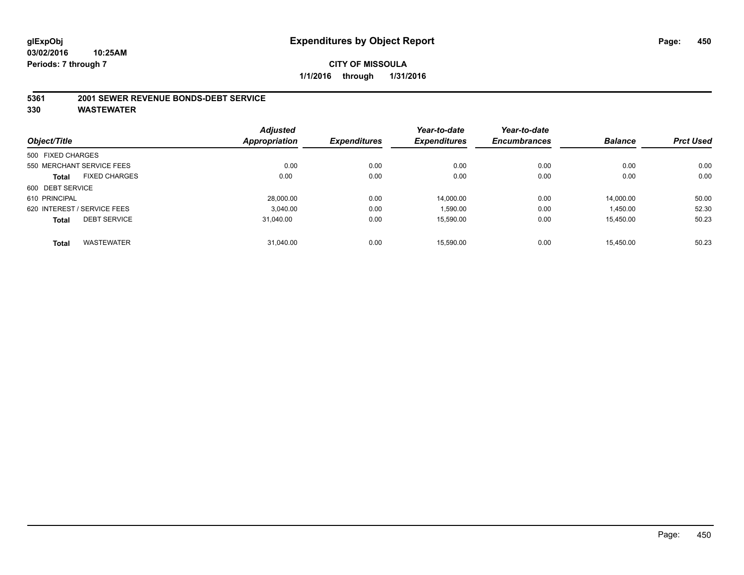#### **5361 2001 SEWER REVENUE BONDS-DEBT SERVICE**

|                   |                             | <b>Adjusted</b>      |                     | Year-to-date        | Year-to-date        |                |                  |
|-------------------|-----------------------------|----------------------|---------------------|---------------------|---------------------|----------------|------------------|
| Object/Title      |                             | <b>Appropriation</b> | <b>Expenditures</b> | <b>Expenditures</b> | <b>Encumbrances</b> | <b>Balance</b> | <b>Prct Used</b> |
| 500 FIXED CHARGES |                             |                      |                     |                     |                     |                |                  |
|                   | 550 MERCHANT SERVICE FEES   | 0.00                 | 0.00                | 0.00                | 0.00                | 0.00           | 0.00             |
| <b>Total</b>      | <b>FIXED CHARGES</b>        | 0.00                 | 0.00                | 0.00                | 0.00                | 0.00           | 0.00             |
| 600 DEBT SERVICE  |                             |                      |                     |                     |                     |                |                  |
| 610 PRINCIPAL     |                             | 28,000.00            | 0.00                | 14.000.00           | 0.00                | 14.000.00      | 50.00            |
|                   | 620 INTEREST / SERVICE FEES | 3.040.00             | 0.00                | 1,590.00            | 0.00                | 1,450.00       | 52.30            |
| <b>Total</b>      | <b>DEBT SERVICE</b>         | 31.040.00            | 0.00                | 15.590.00           | 0.00                | 15,450.00      | 50.23            |
| <b>Total</b>      | <b>WASTEWATER</b>           | 31,040.00            | 0.00                | 15.590.00           | 0.00                | 15.450.00      | 50.23            |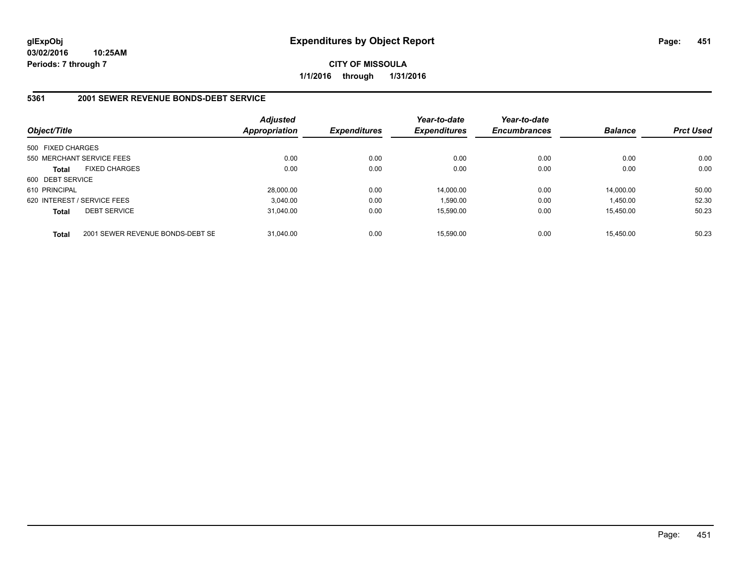**CITY OF MISSOULA 1/1/2016 through 1/31/2016**

### **5361 2001 SEWER REVENUE BONDS-DEBT SERVICE**

| Object/Title      |                                  | Adjusted<br><b>Appropriation</b> | <b>Expenditures</b> | Year-to-date<br><b>Expenditures</b> | Year-to-date<br><b>Encumbrances</b> | <b>Balance</b> | <b>Prct Used</b> |
|-------------------|----------------------------------|----------------------------------|---------------------|-------------------------------------|-------------------------------------|----------------|------------------|
| 500 FIXED CHARGES |                                  |                                  |                     |                                     |                                     |                |                  |
|                   | 550 MERCHANT SERVICE FEES        | 0.00                             | 0.00                | 0.00                                | 0.00                                | 0.00           | 0.00             |
| <b>Total</b>      | <b>FIXED CHARGES</b>             | 0.00                             | 0.00                | 0.00                                | 0.00                                | 0.00           | 0.00             |
| 600 DEBT SERVICE  |                                  |                                  |                     |                                     |                                     |                |                  |
| 610 PRINCIPAL     |                                  | 28.000.00                        | 0.00                | 14.000.00                           | 0.00                                | 14,000.00      | 50.00            |
|                   | 620 INTEREST / SERVICE FEES      | 3.040.00                         | 0.00                | 1.590.00                            | 0.00                                | 1.450.00       | 52.30            |
| <b>Total</b>      | <b>DEBT SERVICE</b>              | 31.040.00                        | 0.00                | 15.590.00                           | 0.00                                | 15.450.00      | 50.23            |
| <b>Total</b>      | 2001 SEWER REVENUE BONDS-DEBT SE | 31.040.00                        | 0.00                | 15.590.00                           | 0.00                                | 15.450.00      | 50.23            |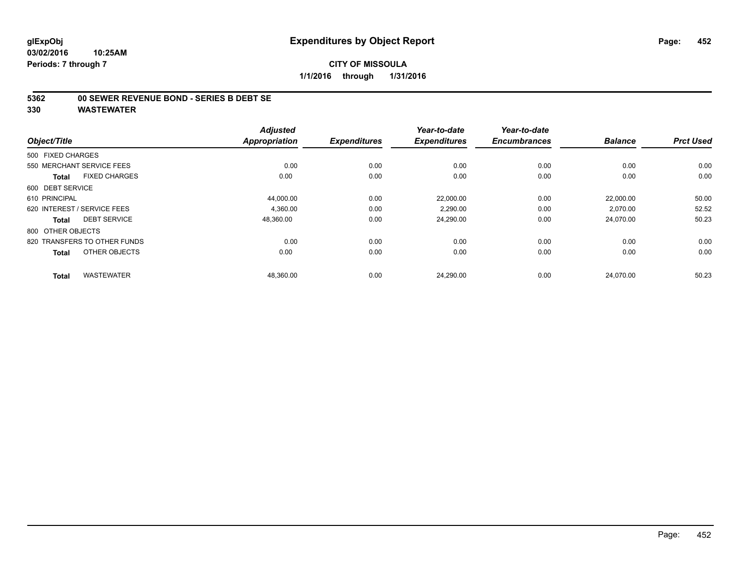### **5362 00 SEWER REVENUE BOND - SERIES B DEBT SE**

| Object/Title                         | <b>Adjusted</b><br><b>Appropriation</b> | <b>Expenditures</b> | Year-to-date<br><b>Expenditures</b> | Year-to-date<br><b>Encumbrances</b> | <b>Balance</b> | <b>Prct Used</b> |
|--------------------------------------|-----------------------------------------|---------------------|-------------------------------------|-------------------------------------|----------------|------------------|
| 500 FIXED CHARGES                    |                                         |                     |                                     |                                     |                |                  |
|                                      |                                         |                     |                                     |                                     |                |                  |
| 550 MERCHANT SERVICE FEES            | 0.00                                    | 0.00                | 0.00                                | 0.00                                | 0.00           | 0.00             |
| <b>FIXED CHARGES</b><br><b>Total</b> | 0.00                                    | 0.00                | 0.00                                | 0.00                                | 0.00           | 0.00             |
| 600 DEBT SERVICE                     |                                         |                     |                                     |                                     |                |                  |
| 610 PRINCIPAL                        | 44,000.00                               | 0.00                | 22,000.00                           | 0.00                                | 22,000.00      | 50.00            |
| 620 INTEREST / SERVICE FEES          | 4,360.00                                | 0.00                | 2,290.00                            | 0.00                                | 2,070.00       | 52.52            |
| <b>DEBT SERVICE</b><br><b>Total</b>  | 48,360.00                               | 0.00                | 24,290.00                           | 0.00                                | 24,070.00      | 50.23            |
| 800 OTHER OBJECTS                    |                                         |                     |                                     |                                     |                |                  |
| 820 TRANSFERS TO OTHER FUNDS         | 0.00                                    | 0.00                | 0.00                                | 0.00                                | 0.00           | 0.00             |
| OTHER OBJECTS<br><b>Total</b>        | 0.00                                    | 0.00                | 0.00                                | 0.00                                | 0.00           | 0.00             |
|                                      |                                         |                     |                                     |                                     |                | 50.23            |
| <b>WASTEWATER</b><br><b>Total</b>    | 48,360.00                               | 0.00                | 24,290.00                           | 0.00                                | 24,070.00      |                  |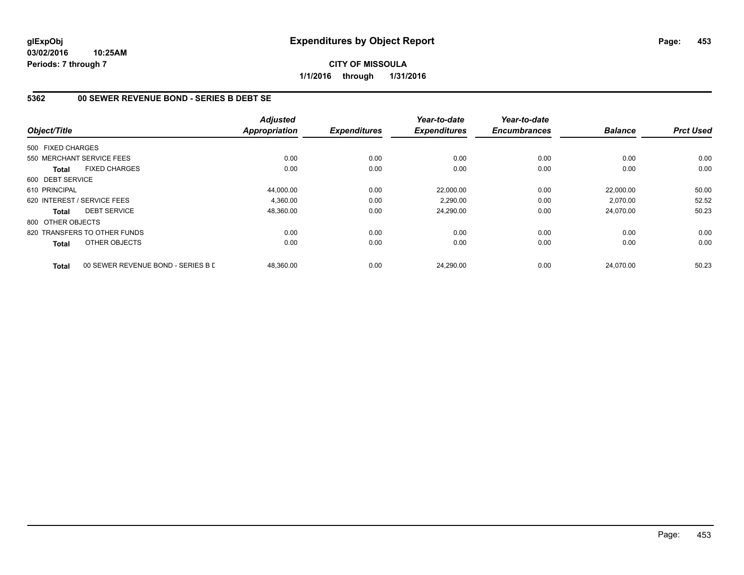**CITY OF MISSOULA 1/1/2016 through 1/31/2016**

## **5362 00 SEWER REVENUE BOND - SERIES B DEBT SE**

|                   |                                    | <b>Adjusted</b> |                     | Year-to-date        | Year-to-date        |                |                  |
|-------------------|------------------------------------|-----------------|---------------------|---------------------|---------------------|----------------|------------------|
| Object/Title      |                                    | Appropriation   | <b>Expenditures</b> | <b>Expenditures</b> | <b>Encumbrances</b> | <b>Balance</b> | <b>Prct Used</b> |
| 500 FIXED CHARGES |                                    |                 |                     |                     |                     |                |                  |
|                   | 550 MERCHANT SERVICE FEES          | 0.00            | 0.00                | 0.00                | 0.00                | 0.00           | 0.00             |
| <b>Total</b>      | <b>FIXED CHARGES</b>               | 0.00            | 0.00                | 0.00                | 0.00                | 0.00           | 0.00             |
| 600 DEBT SERVICE  |                                    |                 |                     |                     |                     |                |                  |
| 610 PRINCIPAL     |                                    | 44,000.00       | 0.00                | 22.000.00           | 0.00                | 22,000.00      | 50.00            |
|                   | 620 INTEREST / SERVICE FEES        | 4.360.00        | 0.00                | 2,290.00            | 0.00                | 2.070.00       | 52.52            |
| <b>Total</b>      | <b>DEBT SERVICE</b>                | 48,360.00       | 0.00                | 24,290.00           | 0.00                | 24,070.00      | 50.23            |
| 800 OTHER OBJECTS |                                    |                 |                     |                     |                     |                |                  |
|                   | 820 TRANSFERS TO OTHER FUNDS       | 0.00            | 0.00                | 0.00                | 0.00                | 0.00           | 0.00             |
| Total             | OTHER OBJECTS                      | 0.00            | 0.00                | 0.00                | 0.00                | 0.00           | 0.00             |
| <b>Total</b>      | 00 SEWER REVENUE BOND - SERIES B L | 48.360.00       | 0.00                | 24,290.00           | 0.00                | 24.070.00      | 50.23            |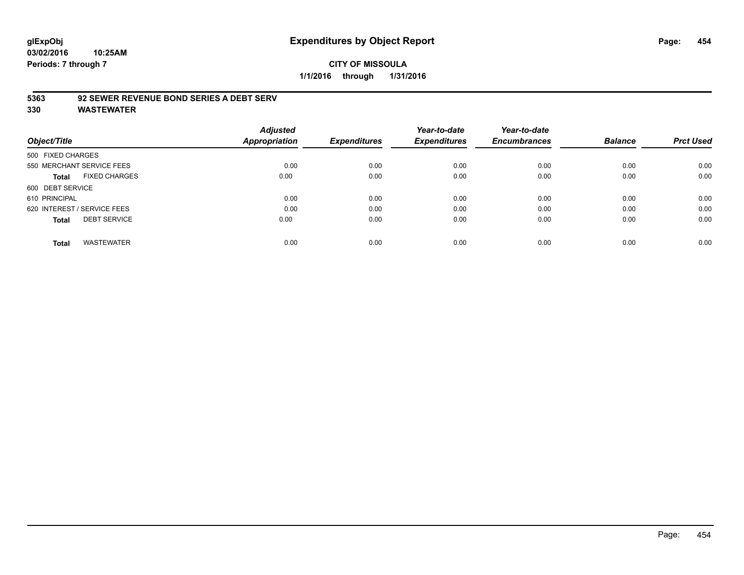## **CITY OF MISSOULA 1/1/2016 through 1/31/2016**

## **5363 92 SEWER REVENUE BOND SERIES A DEBT SERV**

| Object/Title                |                           | <b>Adjusted</b><br>Appropriation | <b>Expenditures</b> | Year-to-date<br><b>Expenditures</b> | Year-to-date<br><b>Encumbrances</b> | <b>Balance</b> | <b>Prct Used</b> |
|-----------------------------|---------------------------|----------------------------------|---------------------|-------------------------------------|-------------------------------------|----------------|------------------|
| 500 FIXED CHARGES           |                           |                                  |                     |                                     |                                     |                |                  |
|                             | 550 MERCHANT SERVICE FEES | 0.00                             | 0.00                | 0.00                                | 0.00                                | 0.00           | 0.00             |
| Total                       | <b>FIXED CHARGES</b>      | 0.00                             | 0.00                | 0.00                                | 0.00                                | 0.00           | 0.00             |
| 600 DEBT SERVICE            |                           |                                  |                     |                                     |                                     |                |                  |
| 610 PRINCIPAL               |                           | 0.00                             | 0.00                | 0.00                                | 0.00                                | 0.00           | 0.00             |
| 620 INTEREST / SERVICE FEES |                           | 0.00                             | 0.00                | 0.00                                | 0.00                                | 0.00           | 0.00             |
| <b>Total</b>                | <b>DEBT SERVICE</b>       | 0.00                             | 0.00                | 0.00                                | 0.00                                | 0.00           | 0.00             |
| <b>Total</b>                | <b>WASTEWATER</b>         | 0.00                             | 0.00                | 0.00                                | 0.00                                | 0.00           | 0.00             |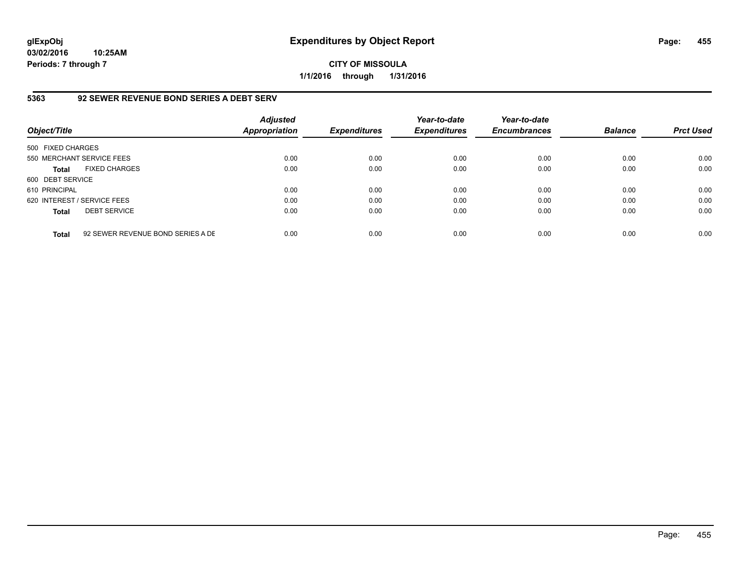**CITY OF MISSOULA 1/1/2016 through 1/31/2016**

## **5363 92 SEWER REVENUE BOND SERIES A DEBT SERV**

| Object/Title                |                                   | <b>Adjusted</b><br><b>Appropriation</b> | <b>Expenditures</b> | Year-to-date<br><b>Expenditures</b> | Year-to-date<br><b>Encumbrances</b> | <b>Balance</b> | <b>Prct Used</b> |
|-----------------------------|-----------------------------------|-----------------------------------------|---------------------|-------------------------------------|-------------------------------------|----------------|------------------|
| 500 FIXED CHARGES           |                                   |                                         |                     |                                     |                                     |                |                  |
| 550 MERCHANT SERVICE FEES   |                                   | 0.00                                    | 0.00                | 0.00                                | 0.00                                | 0.00           | 0.00             |
| <b>Total</b>                | <b>FIXED CHARGES</b>              | 0.00                                    | 0.00                | 0.00                                | 0.00                                | 0.00           | 0.00             |
| 600 DEBT SERVICE            |                                   |                                         |                     |                                     |                                     |                |                  |
| 610 PRINCIPAL               |                                   | 0.00                                    | 0.00                | 0.00                                | 0.00                                | 0.00           | 0.00             |
| 620 INTEREST / SERVICE FEES |                                   | 0.00                                    | 0.00                | 0.00                                | 0.00                                | 0.00           | 0.00             |
| <b>Total</b>                | <b>DEBT SERVICE</b>               | 0.00                                    | 0.00                | 0.00                                | 0.00                                | 0.00           | 0.00             |
| <b>Total</b>                | 92 SEWER REVENUE BOND SERIES A DE | 0.00                                    | 0.00                | 0.00                                | 0.00                                | 0.00           | 0.00             |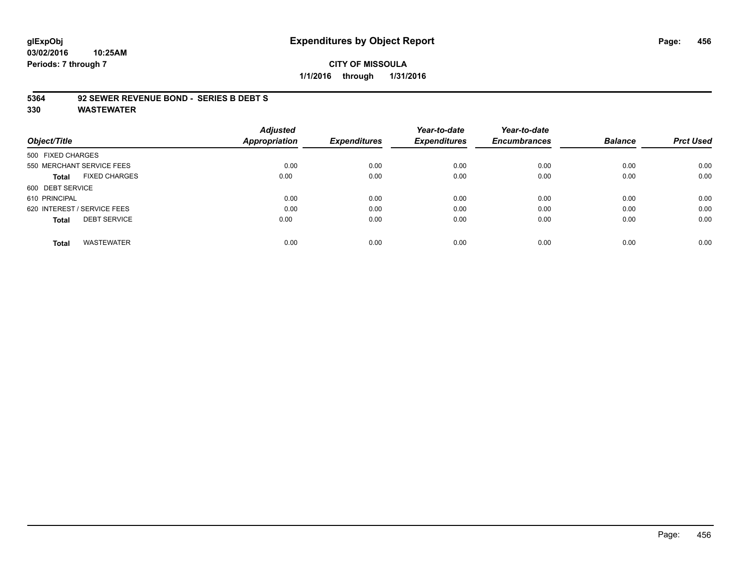### **CITY OF MISSOULA 1/1/2016 through 1/31/2016**

#### **5364 92 SEWER REVENUE BOND - SERIES B DEBT S**

| Object/Title                        | <b>Adjusted</b><br><b>Appropriation</b> | <b>Expenditures</b> | Year-to-date<br><b>Expenditures</b> | Year-to-date<br><b>Encumbrances</b> | <b>Balance</b> | <b>Prct Used</b> |
|-------------------------------------|-----------------------------------------|---------------------|-------------------------------------|-------------------------------------|----------------|------------------|
|                                     |                                         |                     |                                     |                                     |                |                  |
| 500 FIXED CHARGES                   |                                         |                     |                                     |                                     |                |                  |
| 550 MERCHANT SERVICE FEES           | 0.00                                    | 0.00                | 0.00                                | 0.00                                | 0.00           | 0.00             |
| <b>FIXED CHARGES</b><br>Total       | 0.00                                    | 0.00                | 0.00                                | 0.00                                | 0.00           | 0.00             |
| 600 DEBT SERVICE                    |                                         |                     |                                     |                                     |                |                  |
| 610 PRINCIPAL                       | 0.00                                    | 0.00                | 0.00                                | 0.00                                | 0.00           | 0.00             |
| 620 INTEREST / SERVICE FEES         | 0.00                                    | 0.00                | 0.00                                | 0.00                                | 0.00           | 0.00             |
| <b>DEBT SERVICE</b><br><b>Total</b> | 0.00                                    | 0.00                | 0.00                                | 0.00                                | 0.00           | 0.00             |
| <b>WASTEWATER</b><br><b>Total</b>   | 0.00                                    | 0.00                | 0.00                                | 0.00                                | 0.00           | 0.00             |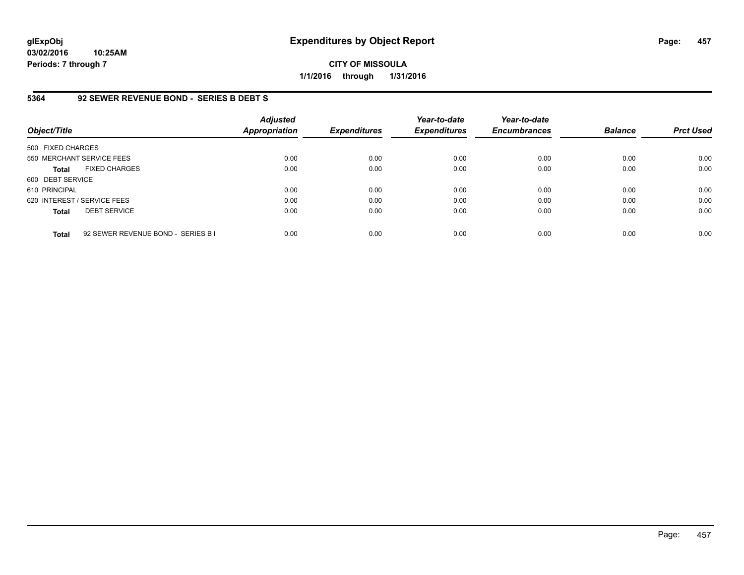**CITY OF MISSOULA 1/1/2016 through 1/31/2016**

### **5364 92 SEWER REVENUE BOND - SERIES B DEBT S**

| Object/Title                |                                    | <b>Adjusted</b><br><b>Appropriation</b> | <b>Expenditures</b> | Year-to-date<br><b>Expenditures</b> | Year-to-date<br><b>Encumbrances</b> | <b>Balance</b> | <b>Prct Used</b> |
|-----------------------------|------------------------------------|-----------------------------------------|---------------------|-------------------------------------|-------------------------------------|----------------|------------------|
| 500 FIXED CHARGES           |                                    |                                         |                     |                                     |                                     |                |                  |
| 550 MERCHANT SERVICE FEES   |                                    | 0.00                                    | 0.00                | 0.00                                | 0.00                                | 0.00           | 0.00             |
| <b>Total</b>                | <b>FIXED CHARGES</b>               | 0.00                                    | 0.00                | 0.00                                | 0.00                                | 0.00           | 0.00             |
| 600 DEBT SERVICE            |                                    |                                         |                     |                                     |                                     |                |                  |
| 610 PRINCIPAL               |                                    | 0.00                                    | 0.00                | 0.00                                | 0.00                                | 0.00           | 0.00             |
| 620 INTEREST / SERVICE FEES |                                    | 0.00                                    | 0.00                | 0.00                                | 0.00                                | 0.00           | 0.00             |
| <b>Total</b>                | <b>DEBT SERVICE</b>                | 0.00                                    | 0.00                | 0.00                                | 0.00                                | 0.00           | 0.00             |
| <b>Total</b>                | 92 SEWER REVENUE BOND - SERIES B I | 0.00                                    | 0.00                | 0.00                                | 0.00                                | 0.00           | 0.00             |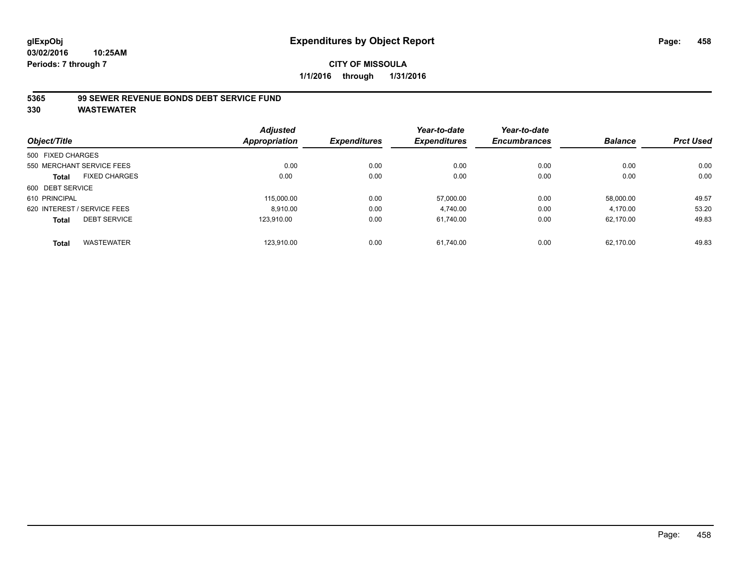## **CITY OF MISSOULA 1/1/2016 through 1/31/2016**

## **5365 99 SEWER REVENUE BONDS DEBT SERVICE FUND**

| Object/Title      |                             | <b>Adjusted</b><br>Appropriation | <b>Expenditures</b> | Year-to-date<br><b>Expenditures</b> | Year-to-date<br><b>Encumbrances</b> | <b>Balance</b> | <b>Prct Used</b> |
|-------------------|-----------------------------|----------------------------------|---------------------|-------------------------------------|-------------------------------------|----------------|------------------|
|                   |                             |                                  |                     |                                     |                                     |                |                  |
| 500 FIXED CHARGES |                             |                                  |                     |                                     |                                     |                |                  |
|                   | 550 MERCHANT SERVICE FEES   | 0.00                             | 0.00                | 0.00                                | 0.00                                | 0.00           | 0.00             |
| <b>Total</b>      | <b>FIXED CHARGES</b>        | 0.00                             | 0.00                | 0.00                                | 0.00                                | 0.00           | 0.00             |
| 600 DEBT SERVICE  |                             |                                  |                     |                                     |                                     |                |                  |
| 610 PRINCIPAL     |                             | 115,000.00                       | 0.00                | 57.000.00                           | 0.00                                | 58.000.00      | 49.57            |
|                   | 620 INTEREST / SERVICE FEES | 8.910.00                         | 0.00                | 4.740.00                            | 0.00                                | 4,170.00       | 53.20            |
| <b>Total</b>      | <b>DEBT SERVICE</b>         | 123.910.00                       | 0.00                | 61.740.00                           | 0.00                                | 62,170.00      | 49.83            |
| <b>Total</b>      | <b>WASTEWATER</b>           | 123.910.00                       | 0.00                | 61.740.00                           | 0.00                                | 62,170.00      | 49.83            |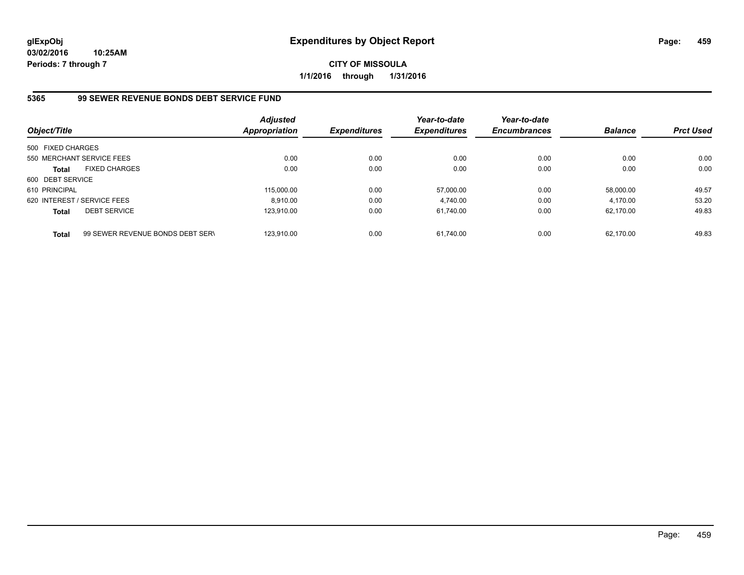**CITY OF MISSOULA 1/1/2016 through 1/31/2016**

## **5365 99 SEWER REVENUE BONDS DEBT SERVICE FUND**

| Object/Title                |                                  | Adjusted<br><b>Appropriation</b> | <b>Expenditures</b> | Year-to-date<br><b>Expenditures</b> | Year-to-date<br><b>Encumbrances</b> | <b>Balance</b> | <b>Prct Used</b> |
|-----------------------------|----------------------------------|----------------------------------|---------------------|-------------------------------------|-------------------------------------|----------------|------------------|
| 500 FIXED CHARGES           |                                  |                                  |                     |                                     |                                     |                |                  |
|                             | 550 MERCHANT SERVICE FEES        | 0.00                             | 0.00                | 0.00                                | 0.00                                | 0.00           | 0.00             |
| <b>Total</b>                | <b>FIXED CHARGES</b>             | 0.00                             | 0.00                | 0.00                                | 0.00                                | 0.00           | 0.00             |
| 600 DEBT SERVICE            |                                  |                                  |                     |                                     |                                     |                |                  |
| 610 PRINCIPAL               |                                  | 115,000.00                       | 0.00                | 57.000.00                           | 0.00                                | 58.000.00      | 49.57            |
| 620 INTEREST / SERVICE FEES |                                  | 8.910.00                         | 0.00                | 4.740.00                            | 0.00                                | 4.170.00       | 53.20            |
| <b>Total</b>                | <b>DEBT SERVICE</b>              | 123.910.00                       | 0.00                | 61.740.00                           | 0.00                                | 62.170.00      | 49.83            |
| <b>Total</b>                | 99 SEWER REVENUE BONDS DEBT SERN | 123.910.00                       | 0.00                | 61.740.00                           | 0.00                                | 62.170.00      | 49.83            |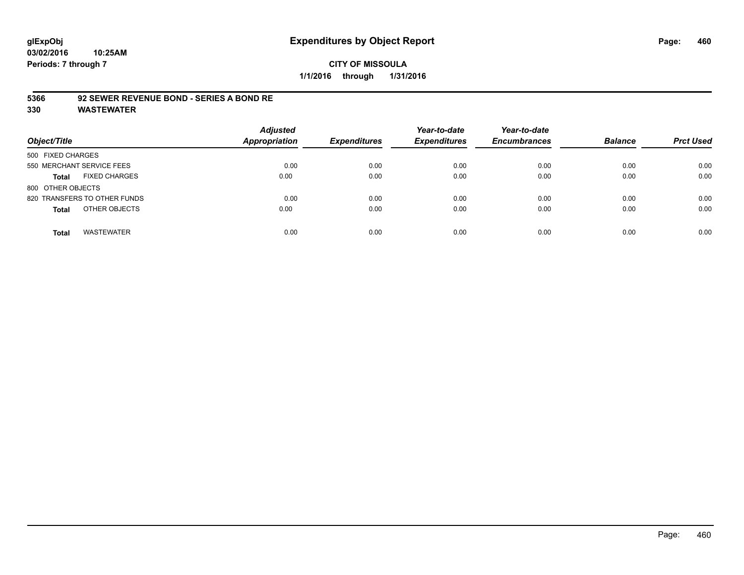#### **5366 92 SEWER REVENUE BOND - SERIES A BOND RE**

| Object/Title                         | <b>Adjusted</b><br><b>Appropriation</b> | <b>Expenditures</b> | Year-to-date<br><b>Expenditures</b> | Year-to-date<br><b>Encumbrances</b> | <b>Balance</b> | <b>Prct Used</b> |
|--------------------------------------|-----------------------------------------|---------------------|-------------------------------------|-------------------------------------|----------------|------------------|
| 500 FIXED CHARGES                    |                                         |                     |                                     |                                     |                |                  |
| 550 MERCHANT SERVICE FEES            | 0.00                                    | 0.00                | 0.00                                | 0.00                                | 0.00           | 0.00             |
| <b>FIXED CHARGES</b><br><b>Total</b> | 0.00                                    | 0.00                | 0.00                                | 0.00                                | 0.00           | 0.00             |
| 800 OTHER OBJECTS                    |                                         |                     |                                     |                                     |                |                  |
| 820 TRANSFERS TO OTHER FUNDS         | 0.00                                    | 0.00                | 0.00                                | 0.00                                | 0.00           | 0.00             |
| OTHER OBJECTS<br><b>Total</b>        | 0.00                                    | 0.00                | 0.00                                | 0.00                                | 0.00           | 0.00             |
| <b>WASTEWATER</b><br><b>Total</b>    | 0.00                                    | 0.00                | 0.00                                | 0.00                                | 0.00           | 0.00             |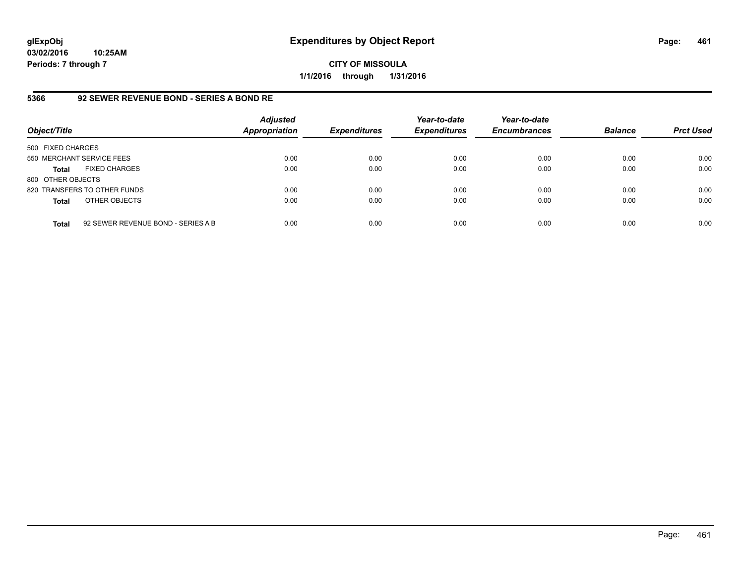**CITY OF MISSOULA 1/1/2016 through 1/31/2016**

#### **5366 92 SEWER REVENUE BOND - SERIES A BOND RE**

| Object/Title              |                                    | <b>Adjusted</b><br><b>Appropriation</b> | <b>Expenditures</b> | Year-to-date<br><b>Expenditures</b> | Year-to-date<br><b>Encumbrances</b> | <b>Balance</b> | <b>Prct Used</b> |
|---------------------------|------------------------------------|-----------------------------------------|---------------------|-------------------------------------|-------------------------------------|----------------|------------------|
| 500 FIXED CHARGES         |                                    |                                         |                     |                                     |                                     |                |                  |
| 550 MERCHANT SERVICE FEES |                                    | 0.00                                    | 0.00                | 0.00                                | 0.00                                | 0.00           | 0.00             |
| <b>Total</b>              | <b>FIXED CHARGES</b>               | 0.00                                    | 0.00                | 0.00                                | 0.00                                | 0.00           | 0.00             |
| 800 OTHER OBJECTS         |                                    |                                         |                     |                                     |                                     |                |                  |
|                           | 820 TRANSFERS TO OTHER FUNDS       | 0.00                                    | 0.00                | 0.00                                | 0.00                                | 0.00           | 0.00             |
| <b>Total</b>              | OTHER OBJECTS                      | 0.00                                    | 0.00                | 0.00                                | 0.00                                | 0.00           | 0.00             |
| <b>Total</b>              | 92 SEWER REVENUE BOND - SERIES A B | 0.00                                    | 0.00                | 0.00                                | 0.00                                | 0.00           | 0.00             |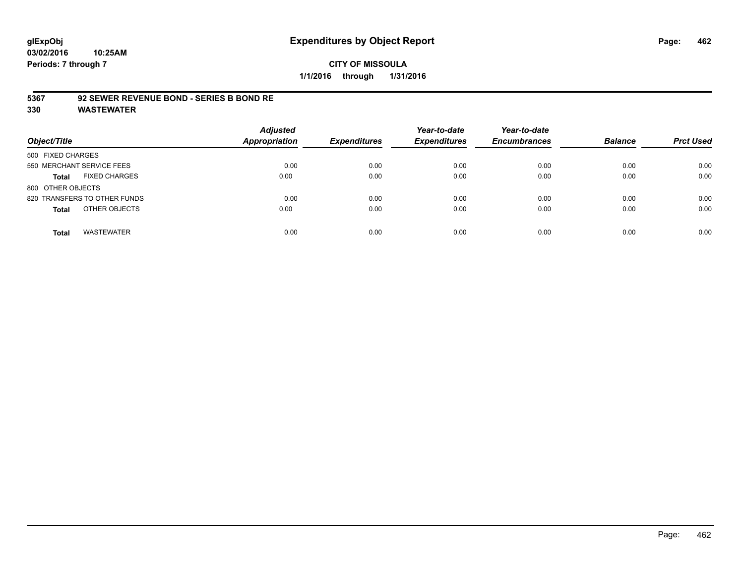### **5367 92 SEWER REVENUE BOND - SERIES B BOND RE**

| Object/Title                         | <b>Adjusted</b><br><b>Appropriation</b> | <b>Expenditures</b> | Year-to-date<br><b>Expenditures</b> | Year-to-date<br><b>Encumbrances</b> | <b>Balance</b> | <b>Prct Used</b> |
|--------------------------------------|-----------------------------------------|---------------------|-------------------------------------|-------------------------------------|----------------|------------------|
| 500 FIXED CHARGES                    |                                         |                     |                                     |                                     |                |                  |
| 550 MERCHANT SERVICE FEES            | 0.00                                    | 0.00                | 0.00                                | 0.00                                | 0.00           | 0.00             |
| <b>FIXED CHARGES</b><br><b>Total</b> | 0.00                                    | 0.00                | 0.00                                | 0.00                                | 0.00           | 0.00             |
| 800 OTHER OBJECTS                    |                                         |                     |                                     |                                     |                |                  |
| 820 TRANSFERS TO OTHER FUNDS         | 0.00                                    | 0.00                | 0.00                                | 0.00                                | 0.00           | 0.00             |
| OTHER OBJECTS<br><b>Total</b>        | 0.00                                    | 0.00                | 0.00                                | 0.00                                | 0.00           | 0.00             |
| <b>WASTEWATER</b><br>Total           | 0.00                                    | 0.00                | 0.00                                | 0.00                                | 0.00           | 0.00             |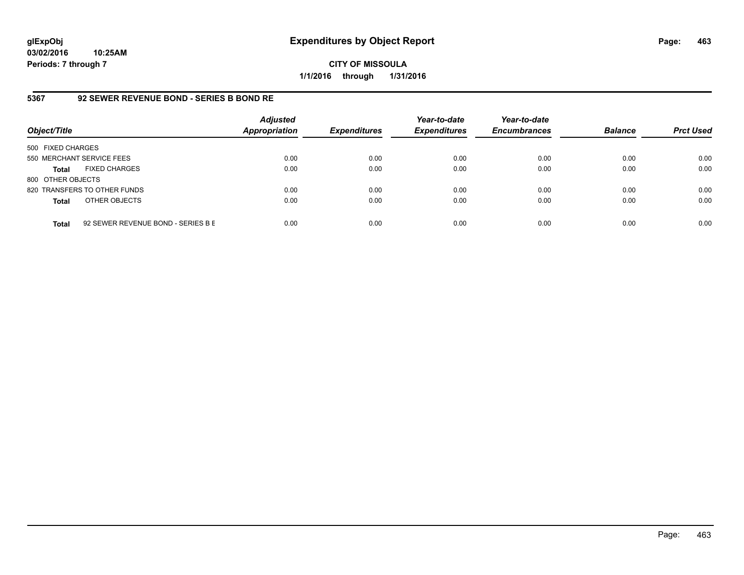**CITY OF MISSOULA 1/1/2016 through 1/31/2016**

## **5367 92 SEWER REVENUE BOND - SERIES B BOND RE**

| Object/Title              |                                    | <b>Adjusted</b><br><b>Appropriation</b> | <b>Expenditures</b> | Year-to-date<br><b>Expenditures</b> | Year-to-date<br><b>Encumbrances</b> | <b>Balance</b> | <b>Prct Used</b> |
|---------------------------|------------------------------------|-----------------------------------------|---------------------|-------------------------------------|-------------------------------------|----------------|------------------|
| 500 FIXED CHARGES         |                                    |                                         |                     |                                     |                                     |                |                  |
| 550 MERCHANT SERVICE FEES |                                    | 0.00                                    | 0.00                | 0.00                                | 0.00                                | 0.00           | 0.00             |
| <b>Total</b>              | <b>FIXED CHARGES</b>               | 0.00                                    | 0.00                | 0.00                                | 0.00                                | 0.00           | 0.00             |
| 800 OTHER OBJECTS         |                                    |                                         |                     |                                     |                                     |                |                  |
|                           | 820 TRANSFERS TO OTHER FUNDS       | 0.00                                    | 0.00                | 0.00                                | 0.00                                | 0.00           | 0.00             |
| <b>Total</b>              | OTHER OBJECTS                      | 0.00                                    | 0.00                | 0.00                                | 0.00                                | 0.00           | 0.00             |
| <b>Total</b>              | 92 SEWER REVENUE BOND - SERIES B E | 0.00                                    | 0.00                | 0.00                                | 0.00                                | 0.00           | 0.00             |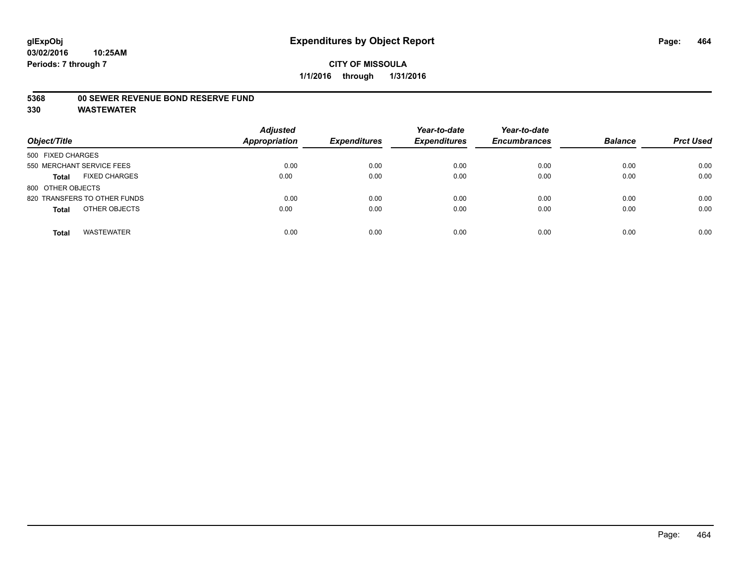## **CITY OF MISSOULA 1/1/2016 through 1/31/2016**

### **5368 00 SEWER REVENUE BOND RESERVE FUND**

| Object/Title                         | <b>Adjusted</b><br><b>Appropriation</b> | <b>Expenditures</b> | Year-to-date<br><b>Expenditures</b> | Year-to-date<br><b>Encumbrances</b> | <b>Balance</b> | <b>Prct Used</b> |
|--------------------------------------|-----------------------------------------|---------------------|-------------------------------------|-------------------------------------|----------------|------------------|
| 500 FIXED CHARGES                    |                                         |                     |                                     |                                     |                |                  |
| 550 MERCHANT SERVICE FEES            | 0.00                                    | 0.00                | 0.00                                | 0.00                                | 0.00           | 0.00             |
| <b>FIXED CHARGES</b><br><b>Total</b> | 0.00                                    | 0.00                | 0.00                                | 0.00                                | 0.00           | 0.00             |
| 800 OTHER OBJECTS                    |                                         |                     |                                     |                                     |                |                  |
| 820 TRANSFERS TO OTHER FUNDS         | 0.00                                    | 0.00                | 0.00                                | 0.00                                | 0.00           | 0.00             |
| OTHER OBJECTS<br><b>Total</b>        | 0.00                                    | 0.00                | 0.00                                | 0.00                                | 0.00           | 0.00             |
| <b>WASTEWATER</b><br><b>Total</b>    | 0.00                                    | 0.00                | 0.00                                | 0.00                                | 0.00           | 0.00             |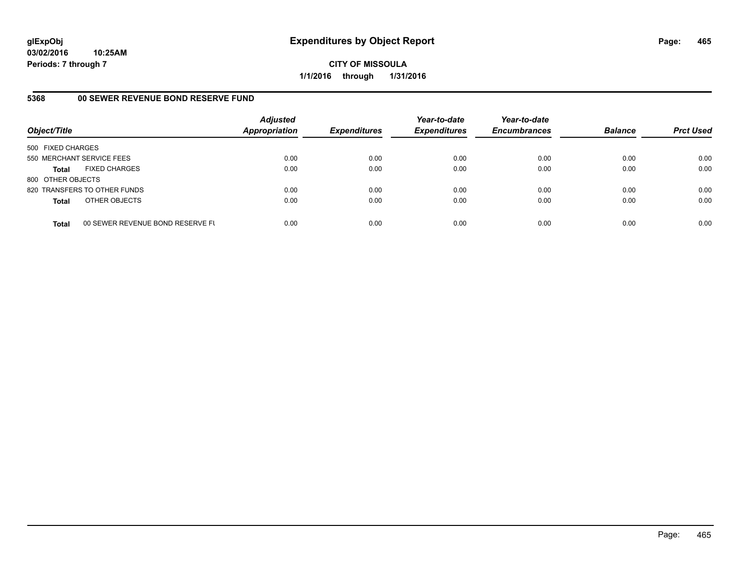**CITY OF MISSOULA 1/1/2016 through 1/31/2016**

#### **5368 00 SEWER REVENUE BOND RESERVE FUND**

| Object/Title              |                                  | <b>Adjusted</b><br><b>Appropriation</b> | <b>Expenditures</b> | Year-to-date<br><b>Expenditures</b> | Year-to-date<br><b>Encumbrances</b> | <b>Balance</b> | <b>Prct Used</b> |
|---------------------------|----------------------------------|-----------------------------------------|---------------------|-------------------------------------|-------------------------------------|----------------|------------------|
| 500 FIXED CHARGES         |                                  |                                         |                     |                                     |                                     |                |                  |
| 550 MERCHANT SERVICE FEES |                                  | 0.00                                    | 0.00                | 0.00                                | 0.00                                | 0.00           | 0.00             |
| <b>Total</b>              | <b>FIXED CHARGES</b>             | 0.00                                    | 0.00                | 0.00                                | 0.00                                | 0.00           | 0.00             |
| 800 OTHER OBJECTS         |                                  |                                         |                     |                                     |                                     |                |                  |
|                           | 820 TRANSFERS TO OTHER FUNDS     | 0.00                                    | 0.00                | 0.00                                | 0.00                                | 0.00           | 0.00             |
| <b>Total</b>              | OTHER OBJECTS                    | 0.00                                    | 0.00                | 0.00                                | 0.00                                | 0.00           | 0.00             |
| <b>Total</b>              | 00 SEWER REVENUE BOND RESERVE FL | 0.00                                    | 0.00                | 0.00                                | 0.00                                | 0.00           | 0.00             |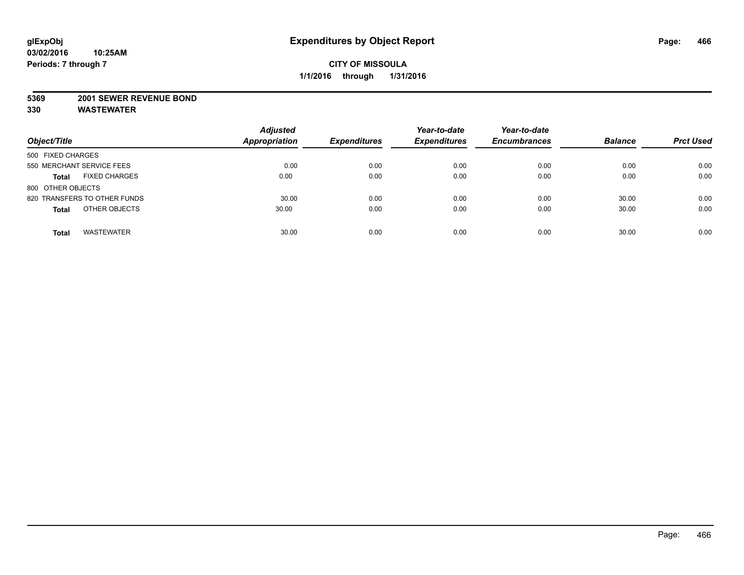#### **5369 2001 SEWER REVENUE BOND**

| Object/Title                         | <b>Adjusted</b><br><b>Appropriation</b> | <b>Expenditures</b> | Year-to-date<br><b>Expenditures</b> | Year-to-date<br><b>Encumbrances</b> | <b>Balance</b> | <b>Prct Used</b> |
|--------------------------------------|-----------------------------------------|---------------------|-------------------------------------|-------------------------------------|----------------|------------------|
| 500 FIXED CHARGES                    |                                         |                     |                                     |                                     |                |                  |
| 550 MERCHANT SERVICE FEES            | 0.00                                    | 0.00                | 0.00                                | 0.00                                | 0.00           | 0.00             |
| <b>FIXED CHARGES</b><br><b>Total</b> | 0.00                                    | 0.00                | 0.00                                | 0.00                                | 0.00           | 0.00             |
| 800 OTHER OBJECTS                    |                                         |                     |                                     |                                     |                |                  |
| 820 TRANSFERS TO OTHER FUNDS         | 30.00                                   | 0.00                | 0.00                                | 0.00                                | 30.00          | 0.00             |
| OTHER OBJECTS<br><b>Total</b>        | 30.00                                   | 0.00                | 0.00                                | 0.00                                | 30.00          | 0.00             |
|                                      |                                         |                     |                                     |                                     |                |                  |
| <b>WASTEWATER</b><br><b>Total</b>    | 30.00                                   | 0.00                | 0.00                                | 0.00                                | 30.00          | 0.00             |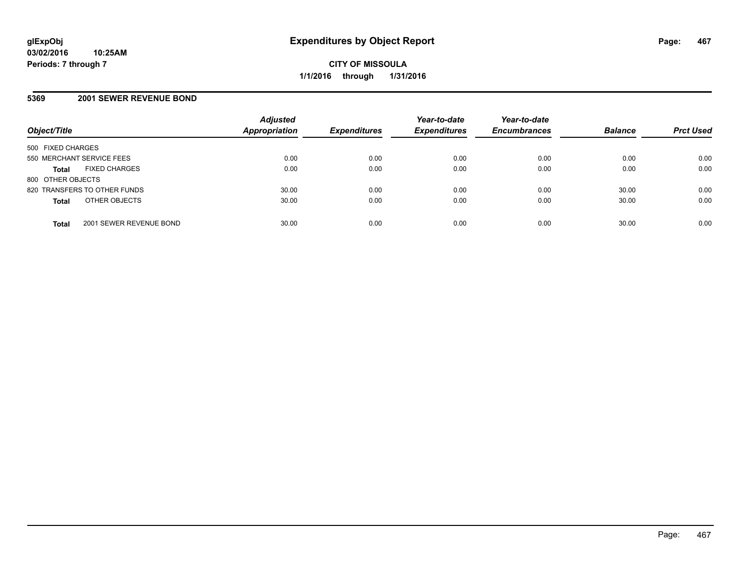#### **5369 2001 SEWER REVENUE BOND**

| Object/Title                            | <b>Adjusted</b><br><b>Appropriation</b> | <b>Expenditures</b> | Year-to-date<br><b>Expenditures</b> | Year-to-date<br><b>Encumbrances</b> | <b>Balance</b> | <b>Prct Used</b> |
|-----------------------------------------|-----------------------------------------|---------------------|-------------------------------------|-------------------------------------|----------------|------------------|
| 500 FIXED CHARGES                       |                                         |                     |                                     |                                     |                |                  |
| 550 MERCHANT SERVICE FEES               | 0.00                                    | 0.00                | 0.00                                | 0.00                                | 0.00           | 0.00             |
| <b>FIXED CHARGES</b><br><b>Total</b>    | 0.00                                    | 0.00                | 0.00                                | 0.00                                | 0.00           | 0.00             |
| 800 OTHER OBJECTS                       |                                         |                     |                                     |                                     |                |                  |
| 820 TRANSFERS TO OTHER FUNDS            | 30.00                                   | 0.00                | 0.00                                | 0.00                                | 30.00          | 0.00             |
| OTHER OBJECTS<br><b>Total</b>           | 30.00                                   | 0.00                | 0.00                                | 0.00                                | 30.00          | 0.00             |
| 2001 SEWER REVENUE BOND<br><b>Total</b> | 30.00                                   | 0.00                | 0.00                                | 0.00                                | 30.00          | 0.00             |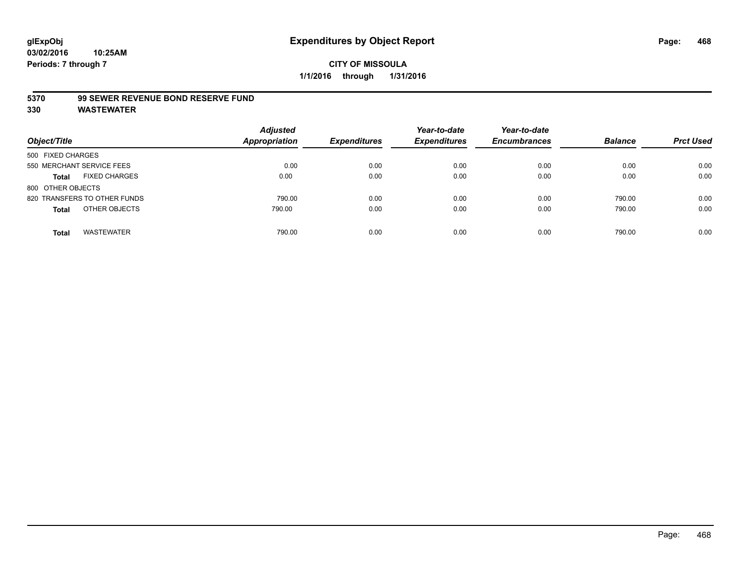## **CITY OF MISSOULA 1/1/2016 through 1/31/2016**

#### **5370 99 SEWER REVENUE BOND RESERVE FUND**

| Object/Title                         | <b>Adjusted</b><br><b>Appropriation</b> | <b>Expenditures</b> | Year-to-date<br><b>Expenditures</b> | Year-to-date<br><b>Encumbrances</b> | <b>Balance</b> | <b>Prct Used</b> |
|--------------------------------------|-----------------------------------------|---------------------|-------------------------------------|-------------------------------------|----------------|------------------|
| 500 FIXED CHARGES                    |                                         |                     |                                     |                                     |                |                  |
| 550 MERCHANT SERVICE FEES            | 0.00                                    | 0.00                | 0.00                                | 0.00                                | 0.00           | 0.00             |
| <b>FIXED CHARGES</b><br><b>Total</b> | 0.00                                    | 0.00                | 0.00                                | 0.00                                | 0.00           | 0.00             |
| 800 OTHER OBJECTS                    |                                         |                     |                                     |                                     |                |                  |
| 820 TRANSFERS TO OTHER FUNDS         | 790.00                                  | 0.00                | 0.00                                | 0.00                                | 790.00         | 0.00             |
| OTHER OBJECTS<br><b>Total</b>        | 790.00                                  | 0.00                | 0.00                                | 0.00                                | 790.00         | 0.00             |
| <b>WASTEWATER</b><br>Total           | 790.00                                  | 0.00                | 0.00                                | 0.00                                | 790.00         | 0.00             |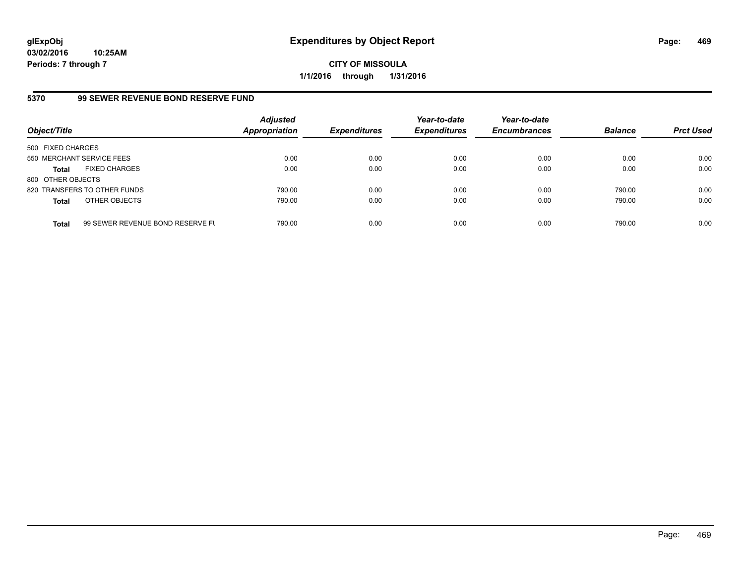**03/02/2016 10:25AM Periods: 7 through 7**

**CITY OF MISSOULA 1/1/2016 through 1/31/2016**

#### **5370 99 SEWER REVENUE BOND RESERVE FUND**

| Object/Title              |                                  | <b>Adjusted</b><br>Appropriation | <b>Expenditures</b> | Year-to-date<br><b>Expenditures</b> | Year-to-date<br><b>Encumbrances</b> | <b>Balance</b> | <b>Prct Used</b> |
|---------------------------|----------------------------------|----------------------------------|---------------------|-------------------------------------|-------------------------------------|----------------|------------------|
| 500 FIXED CHARGES         |                                  |                                  |                     |                                     |                                     |                |                  |
| 550 MERCHANT SERVICE FEES |                                  | 0.00                             | 0.00                | 0.00                                | 0.00                                | 0.00           | 0.00             |
| <b>Total</b>              | <b>FIXED CHARGES</b>             | 0.00                             | 0.00                | 0.00                                | 0.00                                | 0.00           | 0.00             |
| 800 OTHER OBJECTS         |                                  |                                  |                     |                                     |                                     |                |                  |
|                           | 820 TRANSFERS TO OTHER FUNDS     | 790.00                           | 0.00                | 0.00                                | 0.00                                | 790.00         | 0.00             |
| <b>Total</b>              | OTHER OBJECTS                    | 790.00                           | 0.00                | 0.00                                | 0.00                                | 790.00         | 0.00             |
| <b>Total</b>              | 99 SEWER REVENUE BOND RESERVE FL | 790.00                           | 0.00                | 0.00                                | 0.00                                | 790.00         | 0.00             |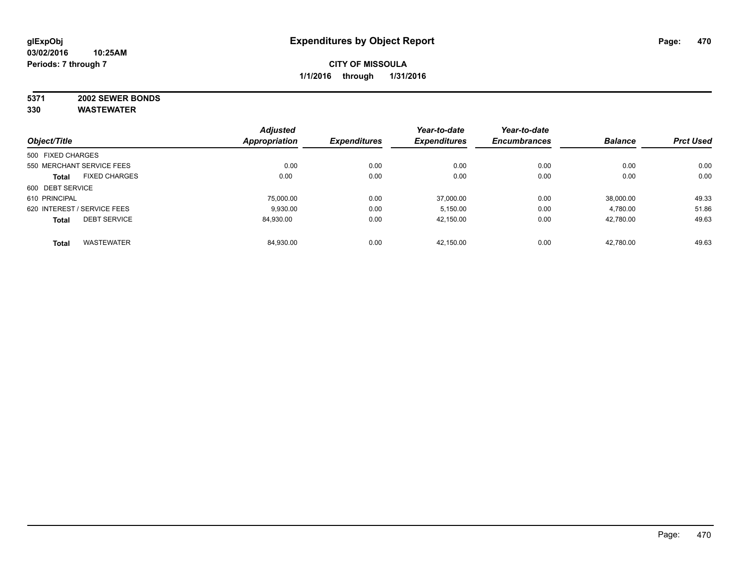# **5371 2002 SEWER BONDS**

|                                      | <b>Adjusted</b><br>Appropriation | <b>Expenditures</b> | Year-to-date        | Year-to-date<br><b>Encumbrances</b> | <b>Balance</b> | <b>Prct Used</b> |
|--------------------------------------|----------------------------------|---------------------|---------------------|-------------------------------------|----------------|------------------|
| Object/Title                         |                                  |                     | <b>Expenditures</b> |                                     |                |                  |
| 500 FIXED CHARGES                    |                                  |                     |                     |                                     |                |                  |
| 550 MERCHANT SERVICE FEES            | 0.00                             | 0.00                | 0.00                | 0.00                                | 0.00           | 0.00             |
| <b>FIXED CHARGES</b><br><b>Total</b> | 0.00                             | 0.00                | 0.00                | 0.00                                | 0.00           | 0.00             |
| 600 DEBT SERVICE                     |                                  |                     |                     |                                     |                |                  |
| 610 PRINCIPAL                        | 75.000.00                        | 0.00                | 37.000.00           | 0.00                                | 38.000.00      | 49.33            |
| 620 INTEREST / SERVICE FEES          | 9.930.00                         | 0.00                | 5,150.00            | 0.00                                | 4,780.00       | 51.86            |
| <b>DEBT SERVICE</b><br><b>Total</b>  | 84.930.00                        | 0.00                | 42,150.00           | 0.00                                | 42,780.00      | 49.63            |
| <b>WASTEWATER</b><br><b>Total</b>    | 84,930.00                        | 0.00                | 42.150.00           | 0.00                                | 42,780.00      | 49.63            |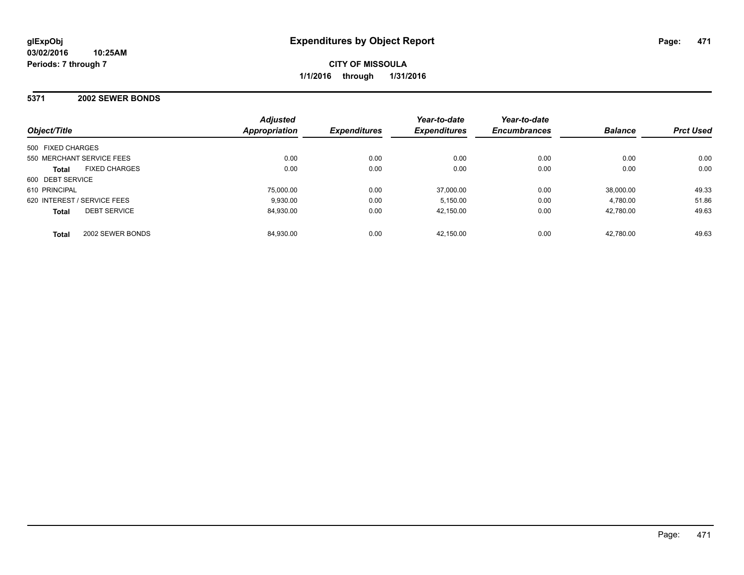#### **5371 2002 SEWER BONDS**

| Object/Title                         | <b>Adjusted</b><br>Appropriation | <b>Expenditures</b> | Year-to-date<br><b>Expenditures</b> | Year-to-date<br><b>Encumbrances</b> | <b>Balance</b> | <b>Prct Used</b> |
|--------------------------------------|----------------------------------|---------------------|-------------------------------------|-------------------------------------|----------------|------------------|
| 500 FIXED CHARGES                    |                                  |                     |                                     |                                     |                |                  |
| 550 MERCHANT SERVICE FEES            | 0.00                             | 0.00                | 0.00                                | 0.00                                | 0.00           | 0.00             |
| <b>FIXED CHARGES</b><br><b>Total</b> | 0.00                             | 0.00                | 0.00                                | 0.00                                | 0.00           | 0.00             |
| 600 DEBT SERVICE                     |                                  |                     |                                     |                                     |                |                  |
| 610 PRINCIPAL                        | 75.000.00                        | 0.00                | 37.000.00                           | 0.00                                | 38.000.00      | 49.33            |
| 620 INTEREST / SERVICE FEES          | 9.930.00                         | 0.00                | 5.150.00                            | 0.00                                | 4.780.00       | 51.86            |
| <b>DEBT SERVICE</b><br><b>Total</b>  | 84.930.00                        | 0.00                | 42.150.00                           | 0.00                                | 42,780.00      | 49.63            |
| 2002 SEWER BONDS<br><b>Total</b>     | 84,930.00                        | 0.00                | 42.150.00                           | 0.00                                | 42.780.00      | 49.63            |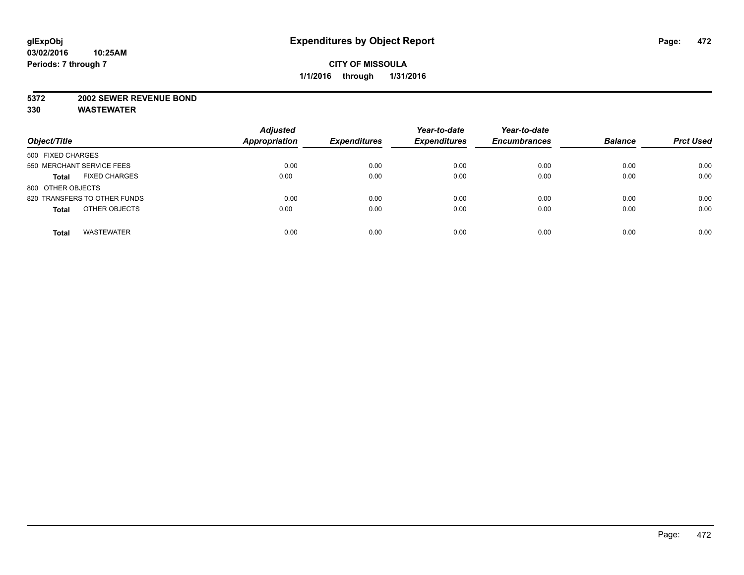#### **5372 2002 SEWER REVENUE BOND**

| Object/Title                         | <b>Adjusted</b><br><b>Appropriation</b> | <b>Expenditures</b> | Year-to-date<br><b>Expenditures</b> | Year-to-date<br><b>Encumbrances</b> | <b>Balance</b> | <b>Prct Used</b> |
|--------------------------------------|-----------------------------------------|---------------------|-------------------------------------|-------------------------------------|----------------|------------------|
| 500 FIXED CHARGES                    |                                         |                     |                                     |                                     |                |                  |
| 550 MERCHANT SERVICE FEES            | 0.00                                    | 0.00                | 0.00                                | 0.00                                | 0.00           | 0.00             |
| <b>FIXED CHARGES</b><br><b>Total</b> | 0.00                                    | 0.00                | 0.00                                | 0.00                                | 0.00           | 0.00             |
| 800 OTHER OBJECTS                    |                                         |                     |                                     |                                     |                |                  |
| 820 TRANSFERS TO OTHER FUNDS         | 0.00                                    | 0.00                | 0.00                                | 0.00                                | 0.00           | 0.00             |
| OTHER OBJECTS<br><b>Total</b>        | 0.00                                    | 0.00                | 0.00                                | 0.00                                | 0.00           | 0.00             |
| <b>WASTEWATER</b><br><b>Total</b>    | 0.00                                    | 0.00                | 0.00                                | 0.00                                | 0.00           | 0.00             |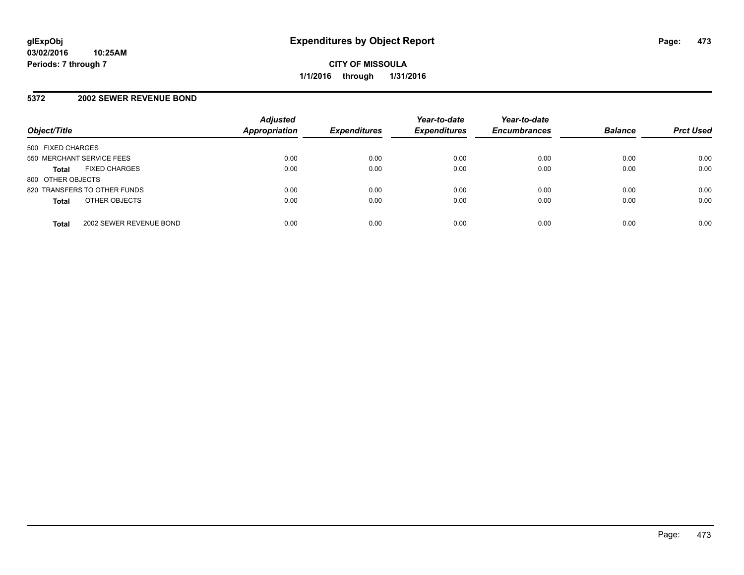#### **5372 2002 SEWER REVENUE BOND**

| Object/Title                            | <b>Adjusted</b><br><b>Appropriation</b> | <b>Expenditures</b> | Year-to-date<br><b>Expenditures</b> | Year-to-date<br><b>Encumbrances</b> | <b>Balance</b> | <b>Prct Used</b> |
|-----------------------------------------|-----------------------------------------|---------------------|-------------------------------------|-------------------------------------|----------------|------------------|
| 500 FIXED CHARGES                       |                                         |                     |                                     |                                     |                |                  |
| 550 MERCHANT SERVICE FEES               | 0.00                                    | 0.00                | 0.00                                | 0.00                                | 0.00           | 0.00             |
| <b>FIXED CHARGES</b><br><b>Total</b>    | 0.00                                    | 0.00                | 0.00                                | 0.00                                | 0.00           | 0.00             |
| 800 OTHER OBJECTS                       |                                         |                     |                                     |                                     |                |                  |
| 820 TRANSFERS TO OTHER FUNDS            | 0.00                                    | 0.00                | 0.00                                | 0.00                                | 0.00           | 0.00             |
| OTHER OBJECTS<br><b>Total</b>           | 0.00                                    | 0.00                | 0.00                                | 0.00                                | 0.00           | 0.00             |
| 2002 SEWER REVENUE BOND<br><b>Total</b> | 0.00                                    | 0.00                | 0.00                                | 0.00                                | 0.00           | 0.00             |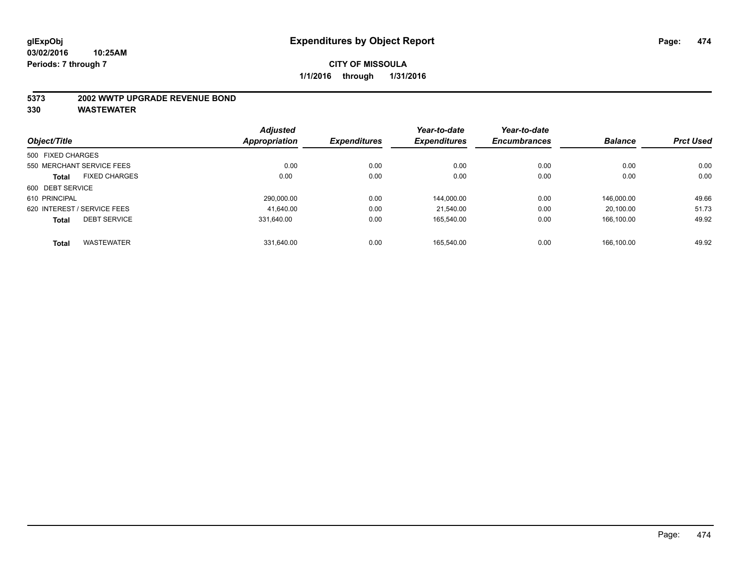#### **5373 2002 WWTP UPGRADE REVENUE BOND**

|                                      | <b>Adjusted</b> |                     | Year-to-date        | Year-to-date        |                |                  |
|--------------------------------------|-----------------|---------------------|---------------------|---------------------|----------------|------------------|
| Object/Title                         | Appropriation   | <b>Expenditures</b> | <b>Expenditures</b> | <b>Encumbrances</b> | <b>Balance</b> | <b>Prct Used</b> |
| 500 FIXED CHARGES                    |                 |                     |                     |                     |                |                  |
| 550 MERCHANT SERVICE FEES            | 0.00            | 0.00                | 0.00                | 0.00                | 0.00           | 0.00             |
| <b>FIXED CHARGES</b><br><b>Total</b> | 0.00            | 0.00                | 0.00                | 0.00                | 0.00           | 0.00             |
| 600 DEBT SERVICE                     |                 |                     |                     |                     |                |                  |
| 610 PRINCIPAL                        | 290,000.00      | 0.00                | 144,000.00          | 0.00                | 146.000.00     | 49.66            |
| 620 INTEREST / SERVICE FEES          | 41.640.00       | 0.00                | 21.540.00           | 0.00                | 20.100.00      | 51.73            |
| <b>DEBT SERVICE</b><br><b>Total</b>  | 331.640.00      | 0.00                | 165.540.00          | 0.00                | 166.100.00     | 49.92            |
| <b>WASTEWATER</b><br><b>Total</b>    | 331.640.00      | 0.00                | 165.540.00          | 0.00                | 166.100.00     | 49.92            |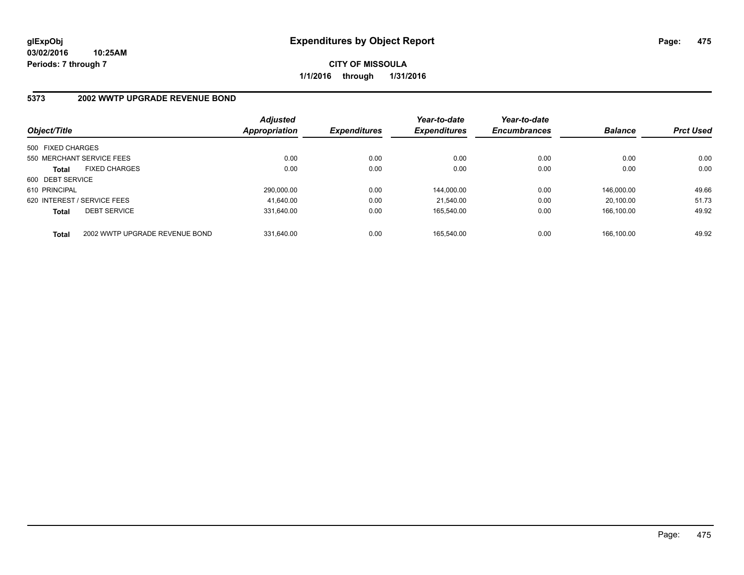### **5373 2002 WWTP UPGRADE REVENUE BOND**

| Object/Title                |                                | <b>Adjusted</b><br><b>Appropriation</b> | <b>Expenditures</b> | Year-to-date<br><b>Expenditures</b> | Year-to-date<br><b>Encumbrances</b> | <b>Balance</b> | <b>Prct Used</b> |
|-----------------------------|--------------------------------|-----------------------------------------|---------------------|-------------------------------------|-------------------------------------|----------------|------------------|
| 500 FIXED CHARGES           |                                |                                         |                     |                                     |                                     |                |                  |
| 550 MERCHANT SERVICE FEES   |                                | 0.00                                    | 0.00                | 0.00                                | 0.00                                | 0.00           | 0.00             |
| <b>Total</b>                | <b>FIXED CHARGES</b>           | 0.00                                    | 0.00                | 0.00                                | 0.00                                | 0.00           | 0.00             |
| 600 DEBT SERVICE            |                                |                                         |                     |                                     |                                     |                |                  |
| 610 PRINCIPAL               |                                | 290.000.00                              | 0.00                | 144.000.00                          | 0.00                                | 146.000.00     | 49.66            |
| 620 INTEREST / SERVICE FEES |                                | 41,640.00                               | 0.00                | 21.540.00                           | 0.00                                | 20.100.00      | 51.73            |
| <b>Total</b>                | <b>DEBT SERVICE</b>            | 331.640.00                              | 0.00                | 165.540.00                          | 0.00                                | 166.100.00     | 49.92            |
| <b>Total</b>                | 2002 WWTP UPGRADE REVENUE BOND | 331.640.00                              | 0.00                | 165.540.00                          | 0.00                                | 166.100.00     | 49.92            |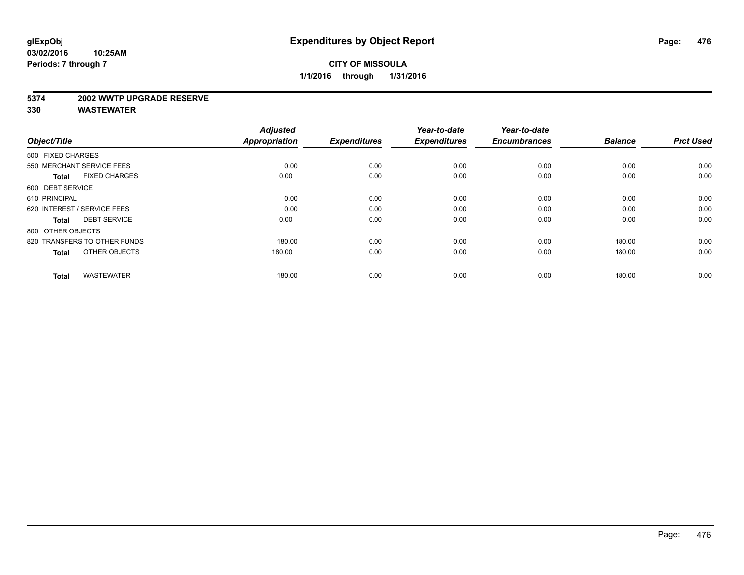#### **5374 2002 WWTP UPGRADE RESERVE**

| Object/Title                         | <b>Adjusted</b><br><b>Appropriation</b> | <b>Expenditures</b> | Year-to-date<br><b>Expenditures</b> | Year-to-date<br><b>Encumbrances</b> | <b>Balance</b> | <b>Prct Used</b> |
|--------------------------------------|-----------------------------------------|---------------------|-------------------------------------|-------------------------------------|----------------|------------------|
| 500 FIXED CHARGES                    |                                         |                     |                                     |                                     |                |                  |
| 550 MERCHANT SERVICE FEES            | 0.00                                    | 0.00                | 0.00                                | 0.00                                | 0.00           | 0.00             |
| <b>FIXED CHARGES</b><br><b>Total</b> | 0.00                                    | 0.00                | 0.00                                | 0.00                                | 0.00           | 0.00             |
| 600 DEBT SERVICE                     |                                         |                     |                                     |                                     |                |                  |
| 610 PRINCIPAL                        | 0.00                                    | 0.00                | 0.00                                | 0.00                                | 0.00           | 0.00             |
| 620 INTEREST / SERVICE FEES          | 0.00                                    | 0.00                | 0.00                                | 0.00                                | 0.00           | 0.00             |
| <b>DEBT SERVICE</b><br><b>Total</b>  | 0.00                                    | 0.00                | 0.00                                | 0.00                                | 0.00           | 0.00             |
| 800 OTHER OBJECTS                    |                                         |                     |                                     |                                     |                |                  |
| 820 TRANSFERS TO OTHER FUNDS         | 180.00                                  | 0.00                | 0.00                                | 0.00                                | 180.00         | 0.00             |
| OTHER OBJECTS<br><b>Total</b>        | 180.00                                  | 0.00                | 0.00                                | 0.00                                | 180.00         | 0.00             |
|                                      |                                         |                     |                                     |                                     |                |                  |
| <b>WASTEWATER</b><br><b>Total</b>    | 180.00                                  | 0.00                | 0.00                                | 0.00                                | 180.00         | 0.00             |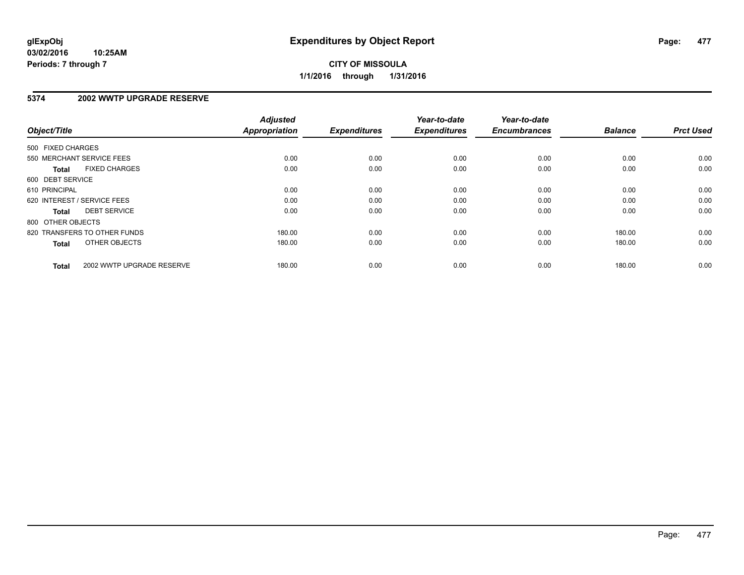#### **03/02/2016 10:25AM Periods: 7 through 7**

# **CITY OF MISSOULA 1/1/2016 through 1/31/2016**

#### **5374 2002 WWTP UPGRADE RESERVE**

| Object/Title      |                              | <b>Adjusted</b><br><b>Appropriation</b> | <b>Expenditures</b> | Year-to-date<br><b>Expenditures</b> | Year-to-date<br><b>Encumbrances</b> | <b>Balance</b> | <b>Prct Used</b> |
|-------------------|------------------------------|-----------------------------------------|---------------------|-------------------------------------|-------------------------------------|----------------|------------------|
| 500 FIXED CHARGES |                              |                                         |                     |                                     |                                     |                |                  |
|                   | 550 MERCHANT SERVICE FEES    | 0.00                                    | 0.00                | 0.00                                | 0.00                                | 0.00           | 0.00             |
| <b>Total</b>      | <b>FIXED CHARGES</b>         | 0.00                                    | 0.00                | 0.00                                | 0.00                                | 0.00           | 0.00             |
| 600 DEBT SERVICE  |                              |                                         |                     |                                     |                                     |                |                  |
| 610 PRINCIPAL     |                              | 0.00                                    | 0.00                | 0.00                                | 0.00                                | 0.00           | 0.00             |
|                   | 620 INTEREST / SERVICE FEES  | 0.00                                    | 0.00                | 0.00                                | 0.00                                | 0.00           | 0.00             |
| Total             | <b>DEBT SERVICE</b>          | 0.00                                    | 0.00                | 0.00                                | 0.00                                | 0.00           | 0.00             |
| 800 OTHER OBJECTS |                              |                                         |                     |                                     |                                     |                |                  |
|                   | 820 TRANSFERS TO OTHER FUNDS | 180.00                                  | 0.00                | 0.00                                | 0.00                                | 180.00         | 0.00             |
| <b>Total</b>      | OTHER OBJECTS                | 180.00                                  | 0.00                | 0.00                                | 0.00                                | 180.00         | 0.00             |
| <b>Total</b>      | 2002 WWTP UPGRADE RESERVE    | 180.00                                  | 0.00                | 0.00                                | 0.00                                | 180.00         | 0.00             |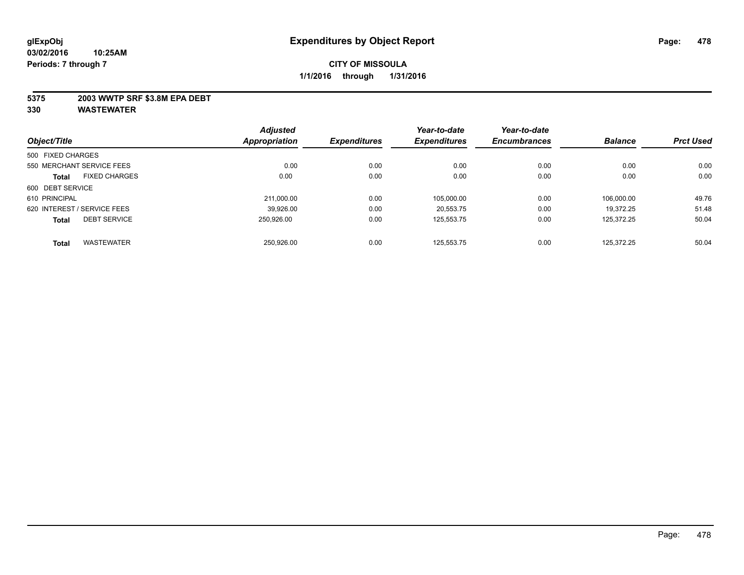#### **5375 2003 WWTP SRF \$3.8M EPA DEBT**

|                                      | <b>Adjusted</b> |                     | Year-to-date        | Year-to-date        |                |                  |
|--------------------------------------|-----------------|---------------------|---------------------|---------------------|----------------|------------------|
| Object/Title                         | Appropriation   | <b>Expenditures</b> | <b>Expenditures</b> | <b>Encumbrances</b> | <b>Balance</b> | <b>Prct Used</b> |
| 500 FIXED CHARGES                    |                 |                     |                     |                     |                |                  |
| 550 MERCHANT SERVICE FEES            | 0.00            | 0.00                | 0.00                | 0.00                | 0.00           | 0.00             |
| <b>FIXED CHARGES</b><br><b>Total</b> | 0.00            | 0.00                | 0.00                | 0.00                | 0.00           | 0.00             |
| 600 DEBT SERVICE                     |                 |                     |                     |                     |                |                  |
| 610 PRINCIPAL                        | 211,000.00      | 0.00                | 105,000.00          | 0.00                | 106.000.00     | 49.76            |
| 620 INTEREST / SERVICE FEES          | 39.926.00       | 0.00                | 20.553.75           | 0.00                | 19.372.25      | 51.48            |
| <b>DEBT SERVICE</b><br>Total         | 250.926.00      | 0.00                | 125.553.75          | 0.00                | 125.372.25     | 50.04            |
| <b>WASTEWATER</b><br><b>Total</b>    | 250.926.00      | 0.00                | 125.553.75          | 0.00                | 125.372.25     | 50.04            |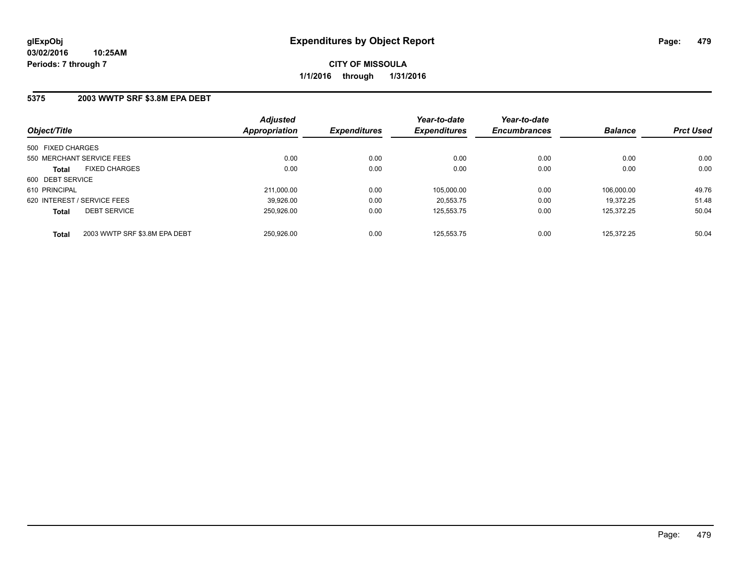#### **5375 2003 WWTP SRF \$3.8M EPA DEBT**

| Object/Title                                  | <b>Adjusted</b><br>Appropriation | <b>Expenditures</b> | Year-to-date<br><b>Expenditures</b> | Year-to-date<br><b>Encumbrances</b> | <b>Balance</b> | <b>Prct Used</b> |
|-----------------------------------------------|----------------------------------|---------------------|-------------------------------------|-------------------------------------|----------------|------------------|
| 500 FIXED CHARGES                             |                                  |                     |                                     |                                     |                |                  |
| 550 MERCHANT SERVICE FEES                     | 0.00                             | 0.00                | 0.00                                | 0.00                                | 0.00           | 0.00             |
| <b>FIXED CHARGES</b><br><b>Total</b>          | 0.00                             | 0.00                | 0.00                                | 0.00                                | 0.00           | 0.00             |
| 600 DEBT SERVICE                              |                                  |                     |                                     |                                     |                |                  |
| 610 PRINCIPAL                                 | 211.000.00                       | 0.00                | 105.000.00                          | 0.00                                | 106.000.00     | 49.76            |
| 620 INTEREST / SERVICE FEES                   | 39,926.00                        | 0.00                | 20.553.75                           | 0.00                                | 19.372.25      | 51.48            |
| <b>DEBT SERVICE</b><br><b>Total</b>           | 250.926.00                       | 0.00                | 125.553.75                          | 0.00                                | 125.372.25     | 50.04            |
| 2003 WWTP SRF \$3.8M EPA DEBT<br><b>Total</b> | 250.926.00                       | 0.00                | 125.553.75                          | 0.00                                | 125.372.25     | 50.04            |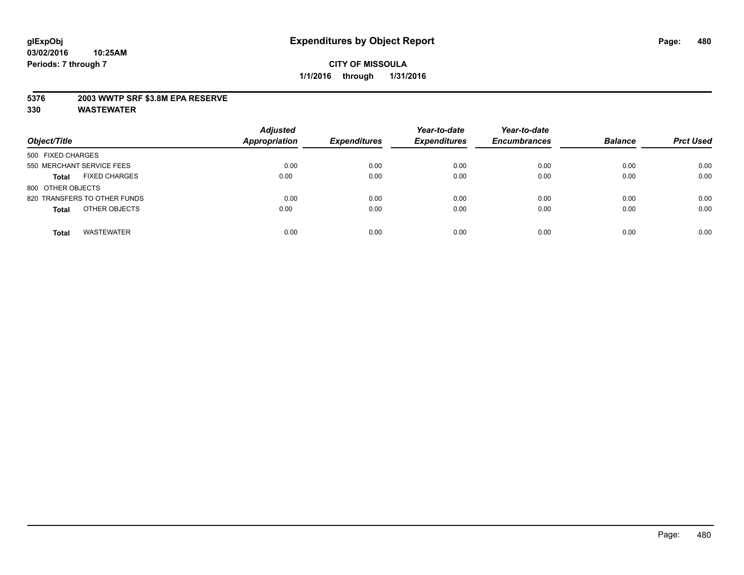#### **5376 2003 WWTP SRF \$3.8M EPA RESERVE**

| Object/Title                         | <b>Adjusted</b><br><b>Appropriation</b> | <b>Expenditures</b> | Year-to-date<br><b>Expenditures</b> | Year-to-date<br><b>Encumbrances</b> | <b>Balance</b> | <b>Prct Used</b> |
|--------------------------------------|-----------------------------------------|---------------------|-------------------------------------|-------------------------------------|----------------|------------------|
| 500 FIXED CHARGES                    |                                         |                     |                                     |                                     |                |                  |
| 550 MERCHANT SERVICE FEES            | 0.00                                    | 0.00                | 0.00                                | 0.00                                | 0.00           | 0.00             |
| <b>FIXED CHARGES</b><br><b>Total</b> | 0.00                                    | 0.00                | 0.00                                | 0.00                                | 0.00           | 0.00             |
| 800 OTHER OBJECTS                    |                                         |                     |                                     |                                     |                |                  |
| 820 TRANSFERS TO OTHER FUNDS         | 0.00                                    | 0.00                | 0.00                                | 0.00                                | 0.00           | 0.00             |
| OTHER OBJECTS<br><b>Total</b>        | 0.00                                    | 0.00                | 0.00                                | 0.00                                | 0.00           | 0.00             |
| <b>WASTEWATER</b><br><b>Total</b>    | 0.00                                    | 0.00                | 0.00                                | 0.00                                | 0.00           | 0.00             |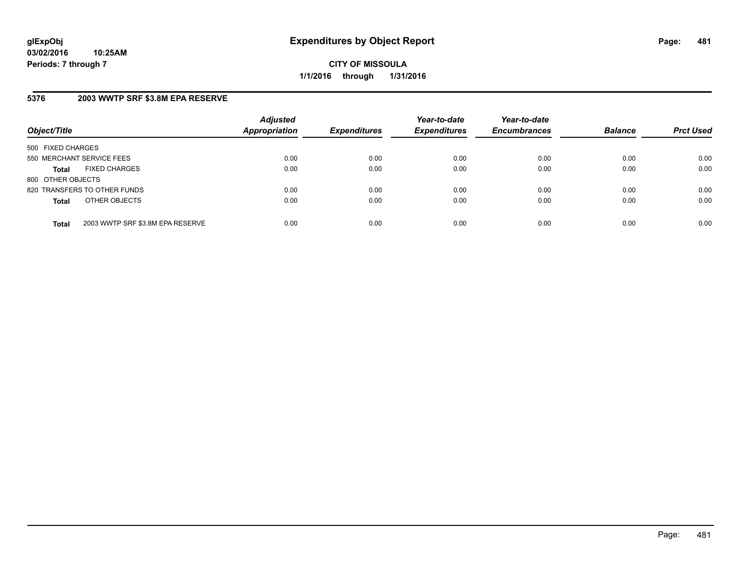### **5376 2003 WWTP SRF \$3.8M EPA RESERVE**

| Object/Title                                     | <b>Adjusted</b><br><b>Appropriation</b> | <b>Expenditures</b> | Year-to-date<br><b>Expenditures</b> | Year-to-date<br><b>Encumbrances</b> | <b>Balance</b> | <b>Prct Used</b> |
|--------------------------------------------------|-----------------------------------------|---------------------|-------------------------------------|-------------------------------------|----------------|------------------|
| 500 FIXED CHARGES                                |                                         |                     |                                     |                                     |                |                  |
| 550 MERCHANT SERVICE FEES                        | 0.00                                    | 0.00                | 0.00                                | 0.00                                | 0.00           | 0.00             |
| <b>FIXED CHARGES</b><br><b>Total</b>             | 0.00                                    | 0.00                | 0.00                                | 0.00                                | 0.00           | 0.00             |
| 800 OTHER OBJECTS                                |                                         |                     |                                     |                                     |                |                  |
| 820 TRANSFERS TO OTHER FUNDS                     | 0.00                                    | 0.00                | 0.00                                | 0.00                                | 0.00           | 0.00             |
| OTHER OBJECTS<br><b>Total</b>                    | 0.00                                    | 0.00                | 0.00                                | 0.00                                | 0.00           | 0.00             |
| 2003 WWTP SRF \$3.8M EPA RESERVE<br><b>Total</b> | 0.00                                    | 0.00                | 0.00                                | 0.00                                | 0.00           | 0.00             |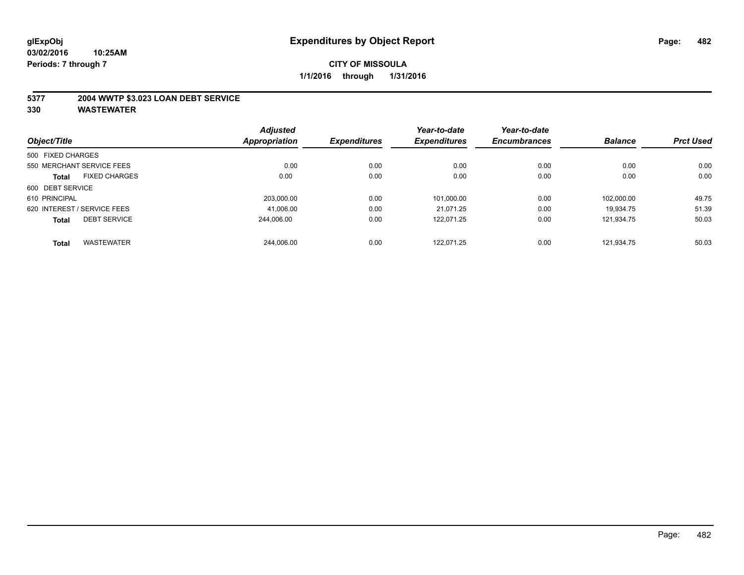#### **5377 2004 WWTP \$3.023 LOAN DEBT SERVICE**

|                             |                      | <b>Adjusted</b>      |                     | Year-to-date        | Year-to-date        |                |                  |
|-----------------------------|----------------------|----------------------|---------------------|---------------------|---------------------|----------------|------------------|
| Object/Title                |                      | <b>Appropriation</b> | <b>Expenditures</b> | <b>Expenditures</b> | <b>Encumbrances</b> | <b>Balance</b> | <b>Prct Used</b> |
| 500 FIXED CHARGES           |                      |                      |                     |                     |                     |                |                  |
| 550 MERCHANT SERVICE FEES   |                      | 0.00                 | 0.00                | 0.00                | 0.00                | 0.00           | 0.00             |
| <b>Total</b>                | <b>FIXED CHARGES</b> | 0.00                 | 0.00                | 0.00                | 0.00                | 0.00           | 0.00             |
| 600 DEBT SERVICE            |                      |                      |                     |                     |                     |                |                  |
| 610 PRINCIPAL               |                      | 203.000.00           | 0.00                | 101,000.00          | 0.00                | 102.000.00     | 49.75            |
| 620 INTEREST / SERVICE FEES |                      | 41,006.00            | 0.00                | 21.071.25           | 0.00                | 19.934.75      | 51.39            |
| <b>Total</b>                | <b>DEBT SERVICE</b>  | 244.006.00           | 0.00                | 122.071.25          | 0.00                | 121.934.75     | 50.03            |
| <b>Total</b>                | <b>WASTEWATER</b>    | 244,006.00           | 0.00                | 122.071.25          | 0.00                | 121.934.75     | 50.03            |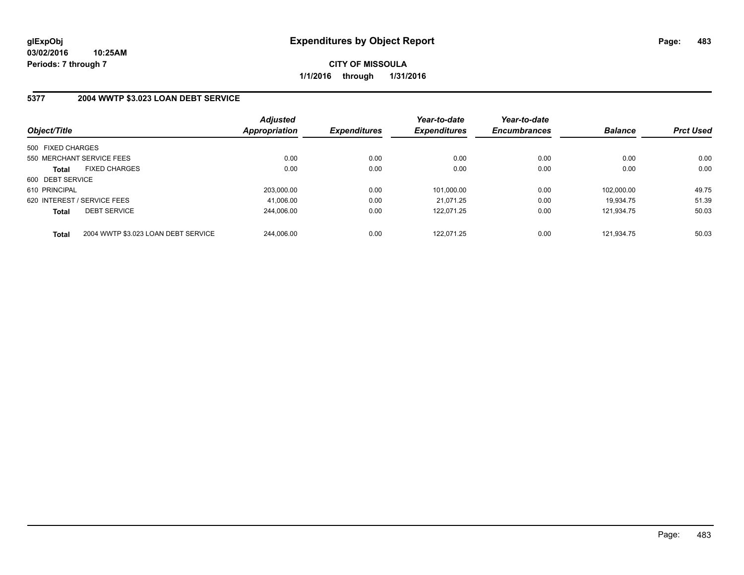#### **5377 2004 WWTP \$3.023 LOAN DEBT SERVICE**

| Object/Title      |                                     | <b>Adjusted</b><br><b>Appropriation</b> | <b>Expenditures</b> | Year-to-date<br><b>Expenditures</b> | Year-to-date<br><b>Encumbrances</b> | <b>Balance</b> | <b>Prct Used</b> |
|-------------------|-------------------------------------|-----------------------------------------|---------------------|-------------------------------------|-------------------------------------|----------------|------------------|
| 500 FIXED CHARGES |                                     |                                         |                     |                                     |                                     |                |                  |
|                   | 550 MERCHANT SERVICE FEES           | 0.00                                    | 0.00                | 0.00                                | 0.00                                | 0.00           | 0.00             |
| <b>Total</b>      | <b>FIXED CHARGES</b>                | 0.00                                    | 0.00                | 0.00                                | 0.00                                | 0.00           | 0.00             |
| 600 DEBT SERVICE  |                                     |                                         |                     |                                     |                                     |                |                  |
| 610 PRINCIPAL     |                                     | 203.000.00                              | 0.00                | 101.000.00                          | 0.00                                | 102.000.00     | 49.75            |
|                   | 620 INTEREST / SERVICE FEES         | 41.006.00                               | 0.00                | 21.071.25                           | 0.00                                | 19.934.75      | 51.39            |
| <b>Total</b>      | <b>DEBT SERVICE</b>                 | 244.006.00                              | 0.00                | 122.071.25                          | 0.00                                | 121.934.75     | 50.03            |
| <b>Total</b>      | 2004 WWTP \$3.023 LOAN DEBT SERVICE | 244.006.00                              | 0.00                | 122.071.25                          | 0.00                                | 121.934.75     | 50.03            |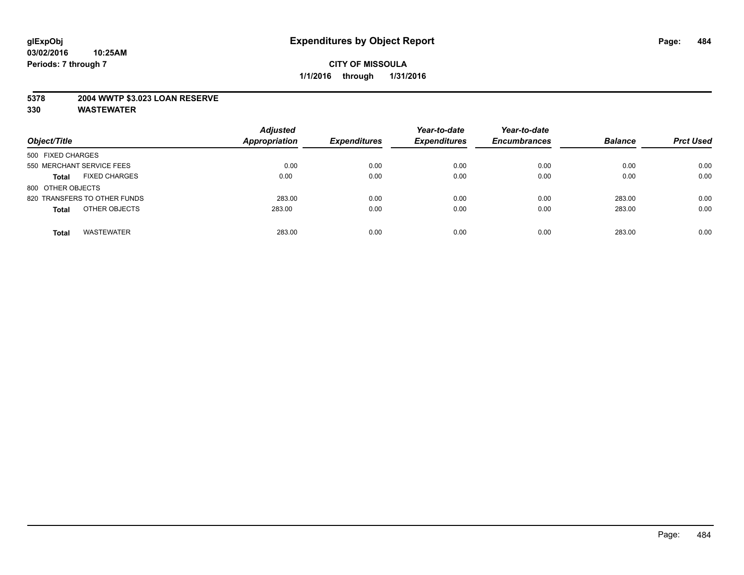#### **5378 2004 WWTP \$3.023 LOAN RESERVE**

| Object/Title                         | <b>Adjusted</b><br><b>Appropriation</b> | <b>Expenditures</b> | Year-to-date<br><b>Expenditures</b> | Year-to-date<br><b>Encumbrances</b> | <b>Balance</b> | <b>Prct Used</b> |
|--------------------------------------|-----------------------------------------|---------------------|-------------------------------------|-------------------------------------|----------------|------------------|
| 500 FIXED CHARGES                    |                                         |                     |                                     |                                     |                |                  |
| 550 MERCHANT SERVICE FEES            | 0.00                                    | 0.00                | 0.00                                | 0.00                                | 0.00           | 0.00             |
| <b>FIXED CHARGES</b><br><b>Total</b> | 0.00                                    | 0.00                | 0.00                                | 0.00                                | 0.00           | 0.00             |
| 800 OTHER OBJECTS                    |                                         |                     |                                     |                                     |                |                  |
| 820 TRANSFERS TO OTHER FUNDS         | 283.00                                  | 0.00                | 0.00                                | 0.00                                | 283.00         | 0.00             |
| OTHER OBJECTS<br><b>Total</b>        | 283.00                                  | 0.00                | 0.00                                | 0.00                                | 283.00         | 0.00             |
| <b>WASTEWATER</b><br><b>Total</b>    | 283.00                                  | 0.00                | 0.00                                | 0.00                                | 283.00         | 0.00             |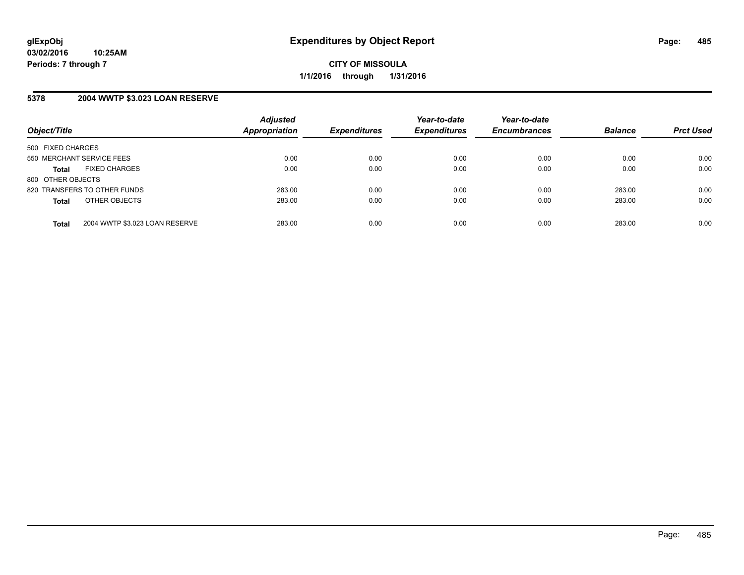### **5378 2004 WWTP \$3.023 LOAN RESERVE**

| Object/Title                 |                                | <b>Adjusted</b><br><b>Appropriation</b> | <b>Expenditures</b> | Year-to-date<br><b>Expenditures</b> | Year-to-date<br><b>Encumbrances</b> | <b>Balance</b> | <b>Prct Used</b> |
|------------------------------|--------------------------------|-----------------------------------------|---------------------|-------------------------------------|-------------------------------------|----------------|------------------|
| 500 FIXED CHARGES            |                                |                                         |                     |                                     |                                     |                |                  |
| 550 MERCHANT SERVICE FEES    |                                | 0.00                                    | 0.00                | 0.00                                | 0.00                                | 0.00           | 0.00             |
| <b>Total</b>                 | <b>FIXED CHARGES</b>           | 0.00                                    | 0.00                | 0.00                                | 0.00                                | 0.00           | 0.00             |
| 800 OTHER OBJECTS            |                                |                                         |                     |                                     |                                     |                |                  |
| 820 TRANSFERS TO OTHER FUNDS |                                | 283.00                                  | 0.00                | 0.00                                | 0.00                                | 283.00         | 0.00             |
| <b>Total</b>                 | OTHER OBJECTS                  | 283.00                                  | 0.00                | 0.00                                | 0.00                                | 283.00         | 0.00             |
|                              |                                |                                         |                     |                                     |                                     |                |                  |
| <b>Total</b>                 | 2004 WWTP \$3.023 LOAN RESERVE | 283.00                                  | 0.00                | 0.00                                | 0.00                                | 283.00         | 0.00             |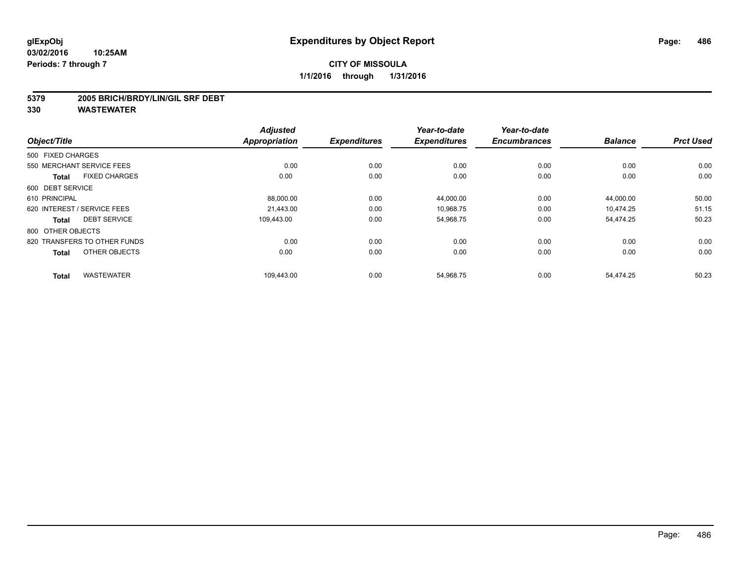#### **5379 2005 BRICH/BRDY/LIN/GIL SRF DEBT**

| Object/Title      |                              | <b>Adjusted</b><br><b>Appropriation</b> | <b>Expenditures</b> | Year-to-date<br><b>Expenditures</b> | Year-to-date<br><b>Encumbrances</b> | <b>Balance</b> | <b>Prct Used</b> |
|-------------------|------------------------------|-----------------------------------------|---------------------|-------------------------------------|-------------------------------------|----------------|------------------|
|                   |                              |                                         |                     |                                     |                                     |                |                  |
| 500 FIXED CHARGES |                              |                                         |                     |                                     |                                     |                |                  |
|                   | 550 MERCHANT SERVICE FEES    | 0.00                                    | 0.00                | 0.00                                | 0.00                                | 0.00           | 0.00             |
| <b>Total</b>      | <b>FIXED CHARGES</b>         | 0.00                                    | 0.00                | 0.00                                | 0.00                                | 0.00           | 0.00             |
| 600 DEBT SERVICE  |                              |                                         |                     |                                     |                                     |                |                  |
| 610 PRINCIPAL     |                              | 88,000.00                               | 0.00                | 44,000.00                           | 0.00                                | 44,000.00      | 50.00            |
|                   | 620 INTEREST / SERVICE FEES  | 21.443.00                               | 0.00                | 10,968.75                           | 0.00                                | 10.474.25      | 51.15            |
| <b>Total</b>      | <b>DEBT SERVICE</b>          | 109.443.00                              | 0.00                | 54,968.75                           | 0.00                                | 54,474.25      | 50.23            |
| 800 OTHER OBJECTS |                              |                                         |                     |                                     |                                     |                |                  |
|                   | 820 TRANSFERS TO OTHER FUNDS | 0.00                                    | 0.00                | 0.00                                | 0.00                                | 0.00           | 0.00             |
| <b>Total</b>      | OTHER OBJECTS                | 0.00                                    | 0.00                | 0.00                                | 0.00                                | 0.00           | 0.00             |
| <b>Total</b>      | <b>WASTEWATER</b>            | 109,443.00                              | 0.00                | 54,968.75                           | 0.00                                | 54,474.25      | 50.23            |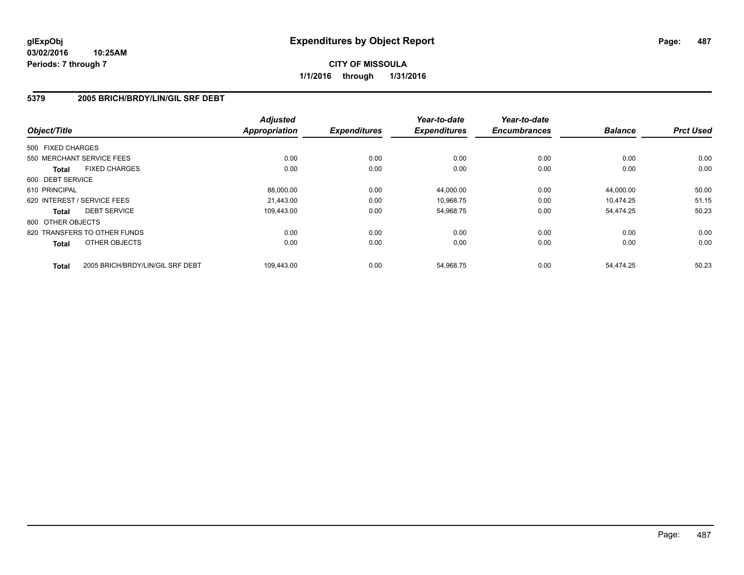#### **5379 2005 BRICH/BRDY/LIN/GIL SRF DEBT**

| Object/Title                |                                  | <b>Adjusted</b><br><b>Appropriation</b> | <b>Expenditures</b> | Year-to-date<br><b>Expenditures</b> | Year-to-date<br><b>Encumbrances</b> | <b>Balance</b> | <b>Prct Used</b> |
|-----------------------------|----------------------------------|-----------------------------------------|---------------------|-------------------------------------|-------------------------------------|----------------|------------------|
|                             |                                  |                                         |                     |                                     |                                     |                |                  |
| 500 FIXED CHARGES           |                                  |                                         |                     |                                     |                                     |                |                  |
| 550 MERCHANT SERVICE FEES   |                                  | 0.00                                    | 0.00                | 0.00                                | 0.00                                | 0.00           | 0.00             |
| <b>Total</b>                | <b>FIXED CHARGES</b>             | 0.00                                    | 0.00                | 0.00                                | 0.00                                | 0.00           | 0.00             |
| 600 DEBT SERVICE            |                                  |                                         |                     |                                     |                                     |                |                  |
| 610 PRINCIPAL               |                                  | 88,000.00                               | 0.00                | 44,000.00                           | 0.00                                | 44.000.00      | 50.00            |
| 620 INTEREST / SERVICE FEES |                                  | 21.443.00                               | 0.00                | 10,968.75                           | 0.00                                | 10.474.25      | 51.15            |
| <b>Total</b>                | <b>DEBT SERVICE</b>              | 109.443.00                              | 0.00                | 54,968.75                           | 0.00                                | 54,474.25      | 50.23            |
| 800 OTHER OBJECTS           |                                  |                                         |                     |                                     |                                     |                |                  |
|                             | 820 TRANSFERS TO OTHER FUNDS     | 0.00                                    | 0.00                | 0.00                                | 0.00                                | 0.00           | 0.00             |
| <b>Total</b>                | OTHER OBJECTS                    | 0.00                                    | 0.00                | 0.00                                | 0.00                                | 0.00           | 0.00             |
|                             |                                  |                                         |                     |                                     |                                     |                |                  |
| <b>Total</b>                | 2005 BRICH/BRDY/LIN/GIL SRF DEBT | 109,443.00                              | 0.00                | 54,968.75                           | 0.00                                | 54,474.25      | 50.23            |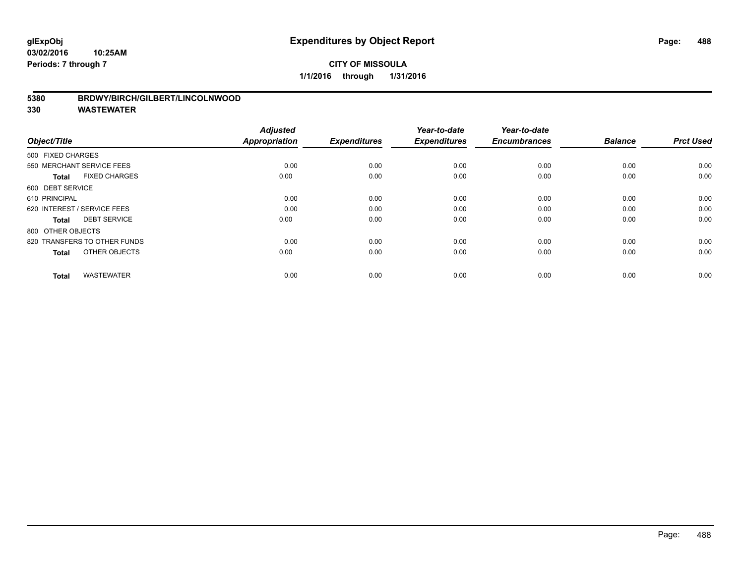#### **5380 BRDWY/BIRCH/GILBERT/LINCOLNWOOD**

| Object/Title                         | <b>Adjusted</b><br><b>Appropriation</b> | <b>Expenditures</b> | Year-to-date<br><b>Expenditures</b> | Year-to-date<br><b>Encumbrances</b> | <b>Balance</b> | <b>Prct Used</b> |
|--------------------------------------|-----------------------------------------|---------------------|-------------------------------------|-------------------------------------|----------------|------------------|
| 500 FIXED CHARGES                    |                                         |                     |                                     |                                     |                |                  |
| 550 MERCHANT SERVICE FEES            | 0.00                                    | 0.00                | 0.00                                | 0.00                                | 0.00           | 0.00             |
| <b>FIXED CHARGES</b><br><b>Total</b> | 0.00                                    | 0.00                | 0.00                                | 0.00                                | 0.00           | 0.00             |
| 600 DEBT SERVICE                     |                                         |                     |                                     |                                     |                |                  |
| 610 PRINCIPAL                        | 0.00                                    | 0.00                | 0.00                                | 0.00                                | 0.00           | 0.00             |
| 620 INTEREST / SERVICE FEES          | 0.00                                    | 0.00                | 0.00                                | 0.00                                | 0.00           | 0.00             |
| <b>DEBT SERVICE</b><br><b>Total</b>  | 0.00                                    | 0.00                | 0.00                                | 0.00                                | 0.00           | 0.00             |
| 800 OTHER OBJECTS                    |                                         |                     |                                     |                                     |                |                  |
| 820 TRANSFERS TO OTHER FUNDS         | 0.00                                    | 0.00                | 0.00                                | 0.00                                | 0.00           | 0.00             |
| OTHER OBJECTS<br><b>Total</b>        | 0.00                                    | 0.00                | 0.00                                | 0.00                                | 0.00           | 0.00             |
|                                      |                                         |                     |                                     |                                     |                |                  |
| <b>WASTEWATER</b><br><b>Total</b>    | 0.00                                    | 0.00                | 0.00                                | 0.00                                | 0.00           | 0.00             |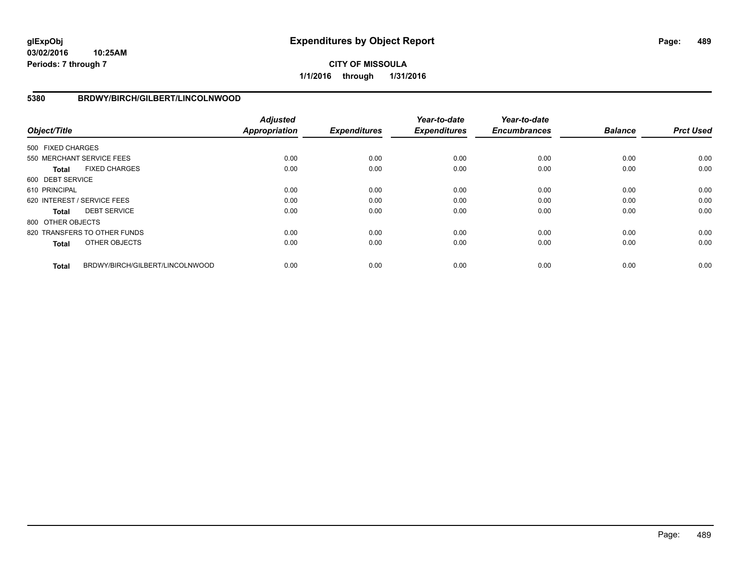**03/02/2016 10:25AM Periods: 7 through 7**

# **CITY OF MISSOULA 1/1/2016 through 1/31/2016**

#### **5380 BRDWY/BIRCH/GILBERT/LINCOLNWOOD**

| Object/Title      |                                 | <b>Adjusted</b><br><b>Appropriation</b> | <b>Expenditures</b> | Year-to-date<br><b>Expenditures</b> | Year-to-date<br><b>Encumbrances</b> | <b>Balance</b> | <b>Prct Used</b> |
|-------------------|---------------------------------|-----------------------------------------|---------------------|-------------------------------------|-------------------------------------|----------------|------------------|
| 500 FIXED CHARGES |                                 |                                         |                     |                                     |                                     |                |                  |
|                   | 550 MERCHANT SERVICE FEES       | 0.00                                    | 0.00                | 0.00                                | 0.00                                | 0.00           | 0.00             |
| Total             | <b>FIXED CHARGES</b>            | 0.00                                    | 0.00                | 0.00                                | 0.00                                | 0.00           | 0.00             |
| 600 DEBT SERVICE  |                                 |                                         |                     |                                     |                                     |                |                  |
| 610 PRINCIPAL     |                                 | 0.00                                    | 0.00                | 0.00                                | 0.00                                | 0.00           | 0.00             |
|                   | 620 INTEREST / SERVICE FEES     | 0.00                                    | 0.00                | 0.00                                | 0.00                                | 0.00           | 0.00             |
| Total             | <b>DEBT SERVICE</b>             | 0.00                                    | 0.00                | 0.00                                | 0.00                                | 0.00           | 0.00             |
| 800 OTHER OBJECTS |                                 |                                         |                     |                                     |                                     |                |                  |
|                   | 820 TRANSFERS TO OTHER FUNDS    | 0.00                                    | 0.00                | 0.00                                | 0.00                                | 0.00           | 0.00             |
| <b>Total</b>      | OTHER OBJECTS                   | 0.00                                    | 0.00                | 0.00                                | 0.00                                | 0.00           | 0.00             |
| <b>Total</b>      | BRDWY/BIRCH/GILBERT/LINCOLNWOOD | 0.00                                    | 0.00                | 0.00                                | 0.00                                | 0.00           | 0.00             |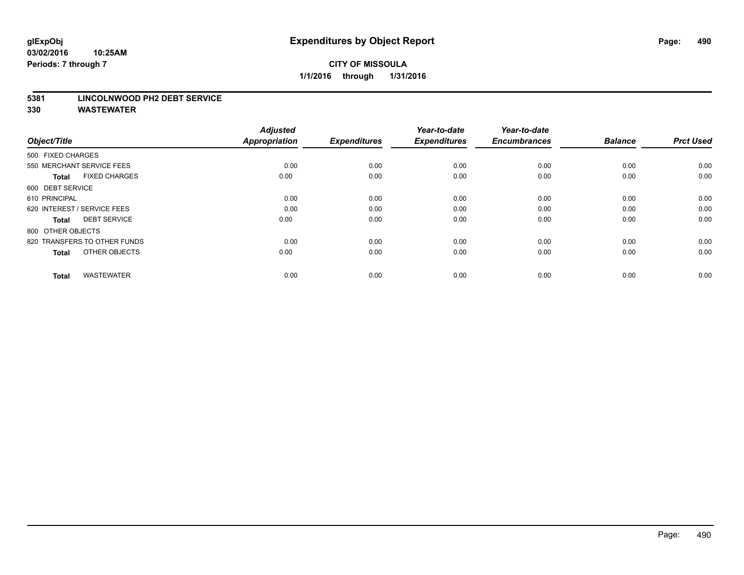#### **5381 LINCOLNWOOD PH2 DEBT SERVICE**

| Object/Title                         | <b>Adjusted</b><br><b>Appropriation</b> | <b>Expenditures</b> | Year-to-date<br><b>Expenditures</b> | Year-to-date<br><b>Encumbrances</b> | <b>Balance</b> | <b>Prct Used</b> |
|--------------------------------------|-----------------------------------------|---------------------|-------------------------------------|-------------------------------------|----------------|------------------|
| 500 FIXED CHARGES                    |                                         |                     |                                     |                                     |                |                  |
| 550 MERCHANT SERVICE FEES            | 0.00                                    | 0.00                | 0.00                                | 0.00                                | 0.00           | 0.00             |
| <b>FIXED CHARGES</b><br><b>Total</b> | 0.00                                    | 0.00                | 0.00                                | 0.00                                | 0.00           | 0.00             |
| 600 DEBT SERVICE                     |                                         |                     |                                     |                                     |                |                  |
| 610 PRINCIPAL                        | 0.00                                    | 0.00                | 0.00                                | 0.00                                | 0.00           | 0.00             |
| 620 INTEREST / SERVICE FEES          | 0.00                                    | 0.00                | 0.00                                | 0.00                                | 0.00           | 0.00             |
| <b>DEBT SERVICE</b><br><b>Total</b>  | 0.00                                    | 0.00                | 0.00                                | 0.00                                | 0.00           | 0.00             |
| 800 OTHER OBJECTS                    |                                         |                     |                                     |                                     |                |                  |
| 820 TRANSFERS TO OTHER FUNDS         | 0.00                                    | 0.00                | 0.00                                | 0.00                                | 0.00           | 0.00             |
| OTHER OBJECTS<br><b>Total</b>        | 0.00                                    | 0.00                | 0.00                                | 0.00                                | 0.00           | 0.00             |
|                                      |                                         |                     |                                     |                                     |                |                  |
| <b>WASTEWATER</b><br><b>Total</b>    | 0.00                                    | 0.00                | 0.00                                | 0.00                                | 0.00           | 0.00             |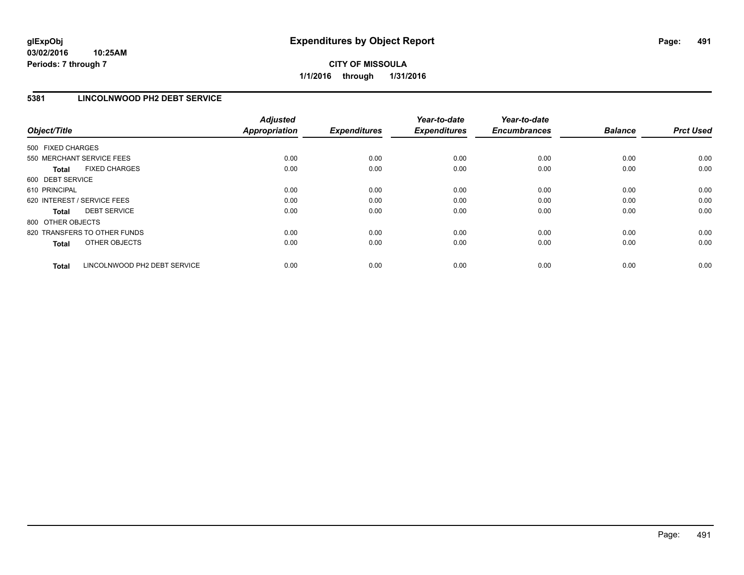# **5381 LINCOLNWOOD PH2 DEBT SERVICE**

| Object/Title      |                              | <b>Adjusted</b><br><b>Appropriation</b> | <b>Expenditures</b> | Year-to-date<br><b>Expenditures</b> | Year-to-date<br><b>Encumbrances</b> | <b>Balance</b> | <b>Prct Used</b> |
|-------------------|------------------------------|-----------------------------------------|---------------------|-------------------------------------|-------------------------------------|----------------|------------------|
| 500 FIXED CHARGES |                              |                                         |                     |                                     |                                     |                |                  |
|                   | 550 MERCHANT SERVICE FEES    | 0.00                                    | 0.00                | 0.00                                | 0.00                                | 0.00           | 0.00             |
| <b>Total</b>      | <b>FIXED CHARGES</b>         | 0.00                                    | 0.00                | 0.00                                | 0.00                                | 0.00           | 0.00             |
| 600 DEBT SERVICE  |                              |                                         |                     |                                     |                                     |                |                  |
| 610 PRINCIPAL     |                              | 0.00                                    | 0.00                | 0.00                                | 0.00                                | 0.00           | 0.00             |
|                   | 620 INTEREST / SERVICE FEES  | 0.00                                    | 0.00                | 0.00                                | 0.00                                | 0.00           | 0.00             |
| <b>Total</b>      | <b>DEBT SERVICE</b>          | 0.00                                    | 0.00                | 0.00                                | 0.00                                | 0.00           | 0.00             |
| 800 OTHER OBJECTS |                              |                                         |                     |                                     |                                     |                |                  |
|                   | 820 TRANSFERS TO OTHER FUNDS | 0.00                                    | 0.00                | 0.00                                | 0.00                                | 0.00           | 0.00             |
| <b>Total</b>      | OTHER OBJECTS                | 0.00                                    | 0.00                | 0.00                                | 0.00                                | 0.00           | 0.00             |
|                   |                              |                                         |                     |                                     |                                     |                |                  |
| <b>Total</b>      | LINCOLNWOOD PH2 DEBT SERVICE | 0.00                                    | 0.00                | 0.00                                | 0.00                                | 0.00           | 0.00             |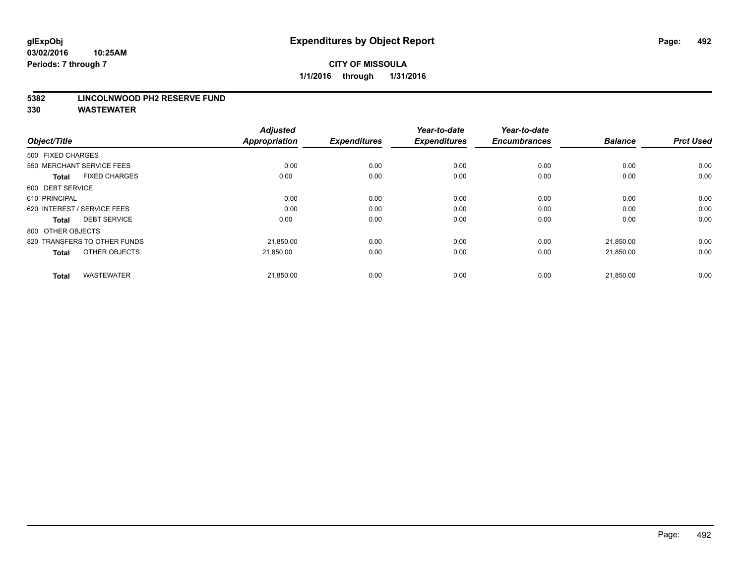#### **5382 LINCOLNWOOD PH2 RESERVE FUND**

| Object/Title                         | <b>Adjusted</b><br><b>Appropriation</b> | <b>Expenditures</b> | Year-to-date<br><b>Expenditures</b> | Year-to-date<br><b>Encumbrances</b> | <b>Balance</b> | <b>Prct Used</b> |
|--------------------------------------|-----------------------------------------|---------------------|-------------------------------------|-------------------------------------|----------------|------------------|
| 500 FIXED CHARGES                    |                                         |                     |                                     |                                     |                |                  |
| 550 MERCHANT SERVICE FEES            | 0.00                                    | 0.00                | 0.00                                | 0.00                                | 0.00           | 0.00             |
| <b>FIXED CHARGES</b><br><b>Total</b> | 0.00                                    | 0.00                | 0.00                                | 0.00                                | 0.00           | 0.00             |
| 600 DEBT SERVICE                     |                                         |                     |                                     |                                     |                |                  |
| 610 PRINCIPAL                        | 0.00                                    | 0.00                | 0.00                                | 0.00                                | 0.00           | 0.00             |
| 620 INTEREST / SERVICE FEES          | 0.00                                    | 0.00                | 0.00                                | 0.00                                | 0.00           | 0.00             |
| <b>DEBT SERVICE</b><br><b>Total</b>  | 0.00                                    | 0.00                | 0.00                                | 0.00                                | 0.00           | 0.00             |
| 800 OTHER OBJECTS                    |                                         |                     |                                     |                                     |                |                  |
| 820 TRANSFERS TO OTHER FUNDS         | 21,850.00                               | 0.00                | 0.00                                | 0.00                                | 21,850.00      | 0.00             |
| OTHER OBJECTS<br><b>Total</b>        | 21,850.00                               | 0.00                | 0.00                                | 0.00                                | 21,850.00      | 0.00             |
|                                      |                                         |                     |                                     |                                     |                |                  |
| <b>WASTEWATER</b><br><b>Total</b>    | 21,850.00                               | 0.00                | 0.00                                | 0.00                                | 21,850.00      | 0.00             |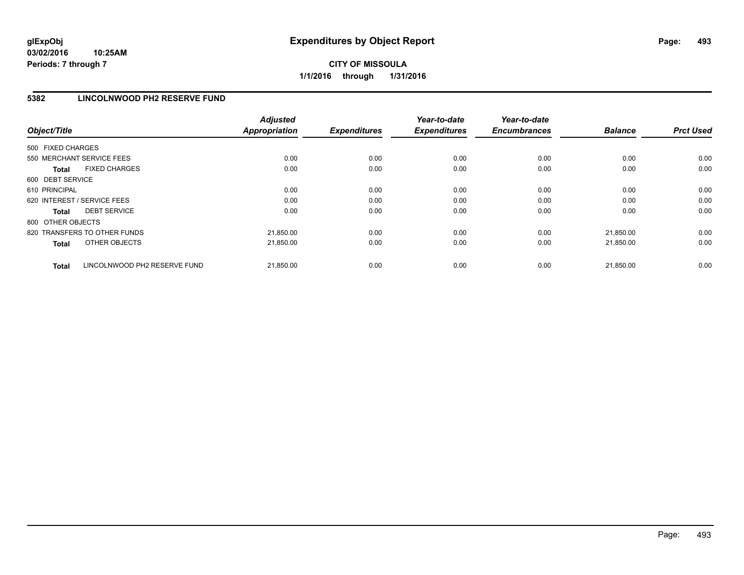# **5382 LINCOLNWOOD PH2 RESERVE FUND**

| Object/Title                                 | <b>Adjusted</b><br><b>Appropriation</b> | <b>Expenditures</b> | Year-to-date<br><b>Expenditures</b> | Year-to-date<br><b>Encumbrances</b> | <b>Balance</b> | <b>Prct Used</b> |
|----------------------------------------------|-----------------------------------------|---------------------|-------------------------------------|-------------------------------------|----------------|------------------|
| 500 FIXED CHARGES                            |                                         |                     |                                     |                                     |                |                  |
| 550 MERCHANT SERVICE FEES                    | 0.00                                    | 0.00                | 0.00                                | 0.00                                | 0.00           | 0.00             |
| <b>FIXED CHARGES</b><br><b>Total</b>         | 0.00                                    | 0.00                | 0.00                                | 0.00                                | 0.00           | 0.00             |
| 600 DEBT SERVICE                             |                                         |                     |                                     |                                     |                |                  |
| 610 PRINCIPAL                                | 0.00                                    | 0.00                | 0.00                                | 0.00                                | 0.00           | 0.00             |
| 620 INTEREST / SERVICE FEES                  | 0.00                                    | 0.00                | 0.00                                | 0.00                                | 0.00           | 0.00             |
| <b>DEBT SERVICE</b><br><b>Total</b>          | 0.00                                    | 0.00                | 0.00                                | 0.00                                | 0.00           | 0.00             |
| 800 OTHER OBJECTS                            |                                         |                     |                                     |                                     |                |                  |
| 820 TRANSFERS TO OTHER FUNDS                 | 21,850.00                               | 0.00                | 0.00                                | 0.00                                | 21.850.00      | 0.00             |
| OTHER OBJECTS<br><b>Total</b>                | 21,850.00                               | 0.00                | 0.00                                | 0.00                                | 21,850.00      | 0.00             |
| LINCOLNWOOD PH2 RESERVE FUND<br><b>Total</b> | 21,850.00                               | 0.00                | 0.00                                | 0.00                                | 21.850.00      | 0.00             |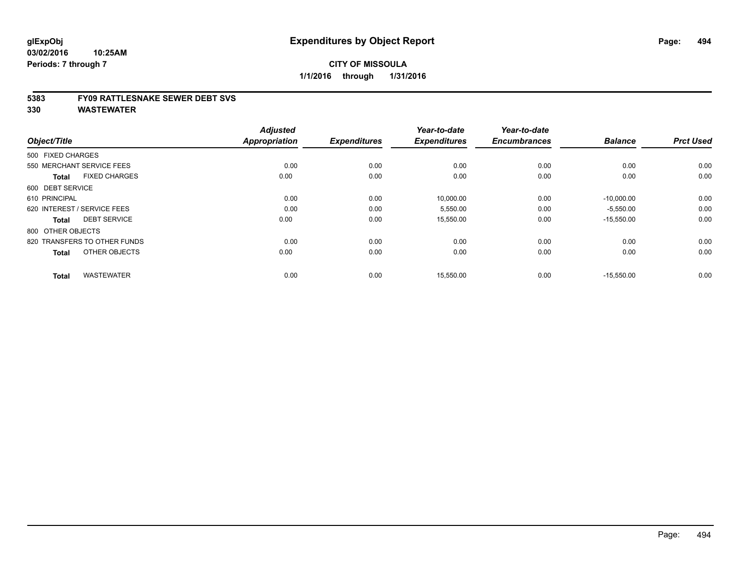#### **5383 FY09 RATTLESNAKE SEWER DEBT SVS**

| Object/Title                         | <b>Adjusted</b><br>Appropriation | <b>Expenditures</b> | Year-to-date<br><b>Expenditures</b> | Year-to-date<br><b>Encumbrances</b> | <b>Balance</b> | <b>Prct Used</b> |
|--------------------------------------|----------------------------------|---------------------|-------------------------------------|-------------------------------------|----------------|------------------|
| 500 FIXED CHARGES                    |                                  |                     |                                     |                                     |                |                  |
| 550 MERCHANT SERVICE FEES            | 0.00                             | 0.00                | 0.00                                | 0.00                                | 0.00           | 0.00             |
| <b>FIXED CHARGES</b><br><b>Total</b> | 0.00                             | 0.00                | 0.00                                | 0.00                                | 0.00           | 0.00             |
| 600 DEBT SERVICE                     |                                  |                     |                                     |                                     |                |                  |
| 610 PRINCIPAL                        | 0.00                             | 0.00                | 10,000.00                           | 0.00                                | $-10,000.00$   | 0.00             |
| 620 INTEREST / SERVICE FEES          | 0.00                             | 0.00                | 5,550.00                            | 0.00                                | $-5,550.00$    | 0.00             |
| <b>DEBT SERVICE</b><br><b>Total</b>  | 0.00                             | 0.00                | 15,550.00                           | 0.00                                | $-15,550.00$   | 0.00             |
| 800 OTHER OBJECTS                    |                                  |                     |                                     |                                     |                |                  |
| 820 TRANSFERS TO OTHER FUNDS         | 0.00                             | 0.00                | 0.00                                | 0.00                                | 0.00           | 0.00             |
| OTHER OBJECTS<br><b>Total</b>        | 0.00                             | 0.00                | 0.00                                | 0.00                                | 0.00           | 0.00             |
|                                      |                                  |                     |                                     |                                     |                |                  |
| <b>WASTEWATER</b><br><b>Total</b>    | 0.00                             | 0.00                | 15,550.00                           | 0.00                                | $-15,550.00$   | 0.00             |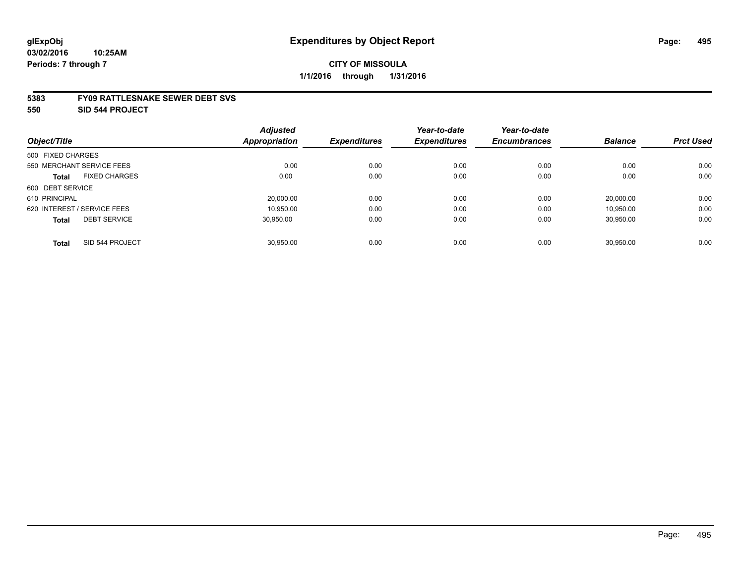#### **5383 FY09 RATTLESNAKE SEWER DEBT SVS**

**550 SID 544 PROJECT**

|                                      | <b>Adjusted</b> |                     | Year-to-date        | Year-to-date        |                |                  |
|--------------------------------------|-----------------|---------------------|---------------------|---------------------|----------------|------------------|
| Object/Title                         | Appropriation   | <b>Expenditures</b> | <b>Expenditures</b> | <b>Encumbrances</b> | <b>Balance</b> | <b>Prct Used</b> |
| 500 FIXED CHARGES                    |                 |                     |                     |                     |                |                  |
| 550 MERCHANT SERVICE FEES            | 0.00            | 0.00                | 0.00                | 0.00                | 0.00           | 0.00             |
| <b>FIXED CHARGES</b><br><b>Total</b> | 0.00            | 0.00                | 0.00                | 0.00                | 0.00           | 0.00             |
| 600 DEBT SERVICE                     |                 |                     |                     |                     |                |                  |
| 610 PRINCIPAL                        | 20,000.00       | 0.00                | 0.00                | 0.00                | 20.000.00      | 0.00             |
| 620 INTEREST / SERVICE FEES          | 10.950.00       | 0.00                | 0.00                | 0.00                | 10.950.00      | 0.00             |
| <b>DEBT SERVICE</b><br><b>Total</b>  | 30.950.00       | 0.00                | 0.00                | 0.00                | 30,950.00      | 0.00             |
| SID 544 PROJECT<br><b>Total</b>      | 30.950.00       | 0.00                | 0.00                | 0.00                | 30.950.00      | 0.00             |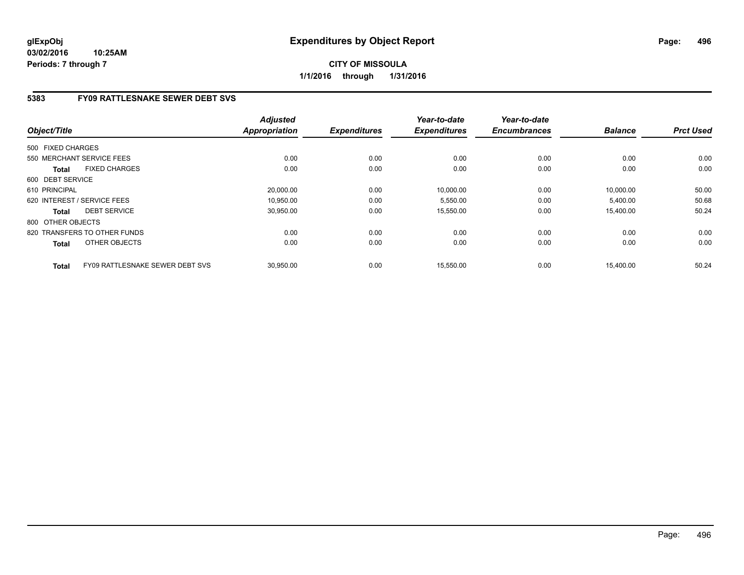**03/02/2016 10:25AM Periods: 7 through 7**

# **CITY OF MISSOULA 1/1/2016 through 1/31/2016**

# **5383 FY09 RATTLESNAKE SEWER DEBT SVS**

| Object/Title                                    | <b>Adjusted</b><br><b>Appropriation</b> | <b>Expenditures</b> | Year-to-date<br><b>Expenditures</b> | Year-to-date<br><b>Encumbrances</b> | <b>Balance</b> | <b>Prct Used</b> |
|-------------------------------------------------|-----------------------------------------|---------------------|-------------------------------------|-------------------------------------|----------------|------------------|
| 500 FIXED CHARGES                               |                                         |                     |                                     |                                     |                |                  |
| 550 MERCHANT SERVICE FEES                       | 0.00                                    | 0.00                | 0.00                                | 0.00                                | 0.00           | 0.00             |
| <b>FIXED CHARGES</b><br><b>Total</b>            | 0.00                                    | 0.00                | 0.00                                | 0.00                                | 0.00           | 0.00             |
| 600 DEBT SERVICE                                |                                         |                     |                                     |                                     |                |                  |
| 610 PRINCIPAL                                   | 20,000.00                               | 0.00                | 10,000.00                           | 0.00                                | 10.000.00      | 50.00            |
| 620 INTEREST / SERVICE FEES                     | 10,950.00                               | 0.00                | 5,550.00                            | 0.00                                | 5,400.00       | 50.68            |
| <b>DEBT SERVICE</b><br><b>Total</b>             | 30,950.00                               | 0.00                | 15,550.00                           | 0.00                                | 15,400.00      | 50.24            |
| 800 OTHER OBJECTS                               |                                         |                     |                                     |                                     |                |                  |
| 820 TRANSFERS TO OTHER FUNDS                    | 0.00                                    | 0.00                | 0.00                                | 0.00                                | 0.00           | 0.00             |
| <b>OTHER OBJECTS</b><br><b>Total</b>            | 0.00                                    | 0.00                | 0.00                                | 0.00                                | 0.00           | 0.00             |
| FY09 RATTLESNAKE SEWER DEBT SVS<br><b>Total</b> | 30.950.00                               | 0.00                | 15,550.00                           | 0.00                                | 15.400.00      | 50.24            |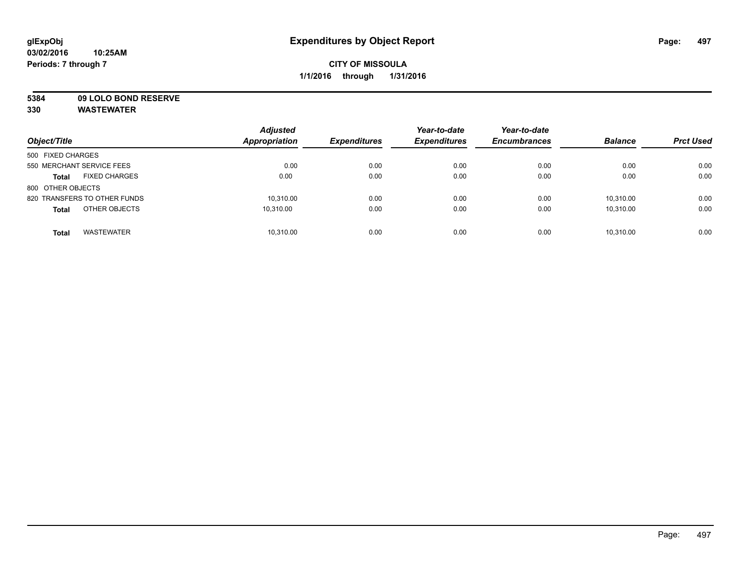**5384 09 LOLO BOND RESERVE**

| Object/Title                         | <b>Adjusted</b><br><b>Appropriation</b> | <b>Expenditures</b> | Year-to-date<br><b>Expenditures</b> | Year-to-date<br><b>Encumbrances</b> | <b>Balance</b> | <b>Prct Used</b> |
|--------------------------------------|-----------------------------------------|---------------------|-------------------------------------|-------------------------------------|----------------|------------------|
| 500 FIXED CHARGES                    |                                         |                     |                                     |                                     |                |                  |
| 550 MERCHANT SERVICE FEES            | 0.00                                    | 0.00                | 0.00                                | 0.00                                | 0.00           | 0.00             |
| <b>FIXED CHARGES</b><br><b>Total</b> | 0.00                                    | 0.00                | 0.00                                | 0.00                                | 0.00           | 0.00             |
| 800 OTHER OBJECTS                    |                                         |                     |                                     |                                     |                |                  |
| 820 TRANSFERS TO OTHER FUNDS         | 10,310.00                               | 0.00                | 0.00                                | 0.00                                | 10.310.00      | 0.00             |
| OTHER OBJECTS<br><b>Total</b>        | 10.310.00                               | 0.00                | 0.00                                | 0.00                                | 10.310.00      | 0.00             |
| <b>WASTEWATER</b><br><b>Total</b>    | 10,310.00                               | 0.00                | 0.00                                | 0.00                                | 10.310.00      | 0.00             |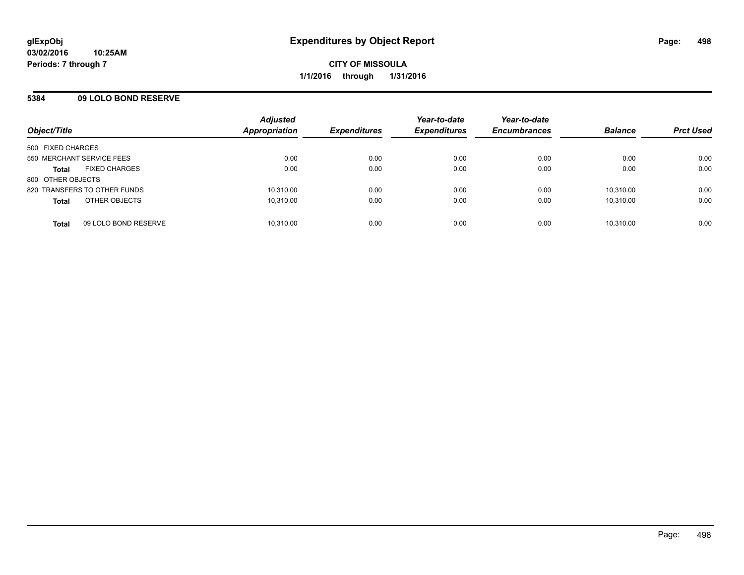#### **5384 09 LOLO BOND RESERVE**

| Object/Title                         | <b>Adjusted</b><br><b>Appropriation</b> | <b>Expenditures</b> | Year-to-date<br><b>Expenditures</b> | Year-to-date<br><b>Encumbrances</b> | <b>Balance</b> | <b>Prct Used</b> |
|--------------------------------------|-----------------------------------------|---------------------|-------------------------------------|-------------------------------------|----------------|------------------|
| 500 FIXED CHARGES                    |                                         |                     |                                     |                                     |                |                  |
| 550 MERCHANT SERVICE FEES            | 0.00                                    | 0.00                | 0.00                                | 0.00                                | 0.00           | 0.00             |
| <b>FIXED CHARGES</b><br><b>Total</b> | 0.00                                    | 0.00                | 0.00                                | 0.00                                | 0.00           | 0.00             |
| 800 OTHER OBJECTS                    |                                         |                     |                                     |                                     |                |                  |
| 820 TRANSFERS TO OTHER FUNDS         | 10,310.00                               | 0.00                | 0.00                                | 0.00                                | 10,310.00      | 0.00             |
| OTHER OBJECTS<br><b>Total</b>        | 10.310.00                               | 0.00                | 0.00                                | 0.00                                | 10.310.00      | 0.00             |
| 09 LOLO BOND RESERVE<br><b>Total</b> | 10,310.00                               | 0.00                | 0.00                                | 0.00                                | 10,310.00      | 0.00             |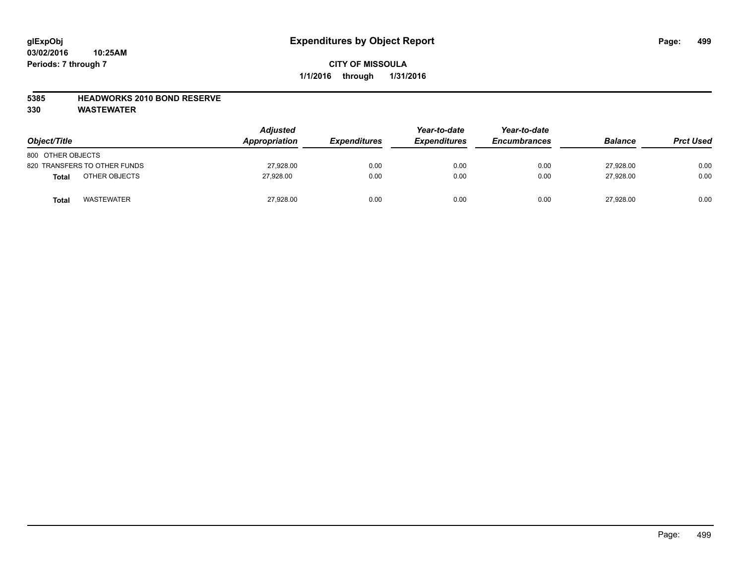#### **5385 HEADWORKS 2010 BOND RESERVE**

| Object/Title                 | <b>Adjusted</b><br>Appropriation | <b>Expenditures</b> | Year-to-date<br><i><b>Expenditures</b></i> | Year-to-date<br><b>Encumbrances</b> | <b>Balance</b> | <b>Prct Used</b> |
|------------------------------|----------------------------------|---------------------|--------------------------------------------|-------------------------------------|----------------|------------------|
| 800 OTHER OBJECTS            |                                  |                     |                                            |                                     |                |                  |
| 820 TRANSFERS TO OTHER FUNDS | 27,928.00                        | 0.00                | 0.00                                       | 0.00                                | 27.928.00      | 0.00             |
| OTHER OBJECTS<br>Total       | 27.928.00                        | 0.00                | 0.00                                       | 0.00                                | 27.928.00      | 0.00             |
| <b>WASTEWATER</b><br>Total   | 27,928.00                        | 0.00                | 0.00                                       | 0.00                                | 27,928.00      | 0.00             |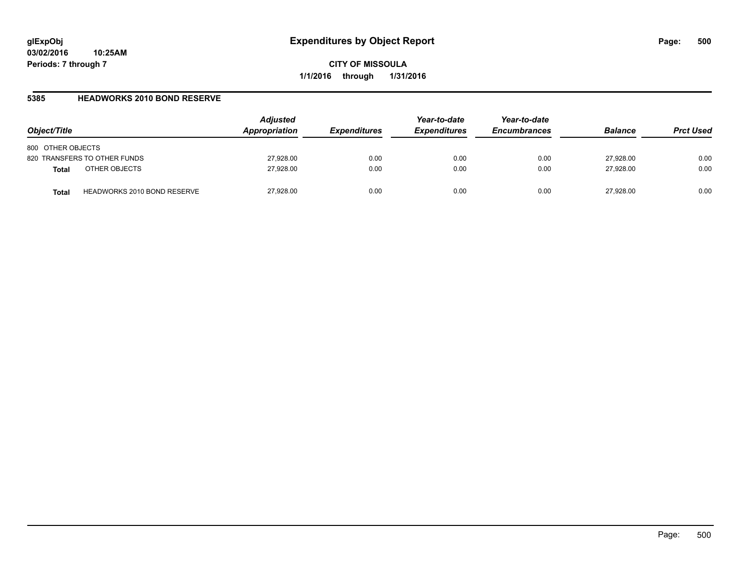#### **5385 HEADWORKS 2010 BOND RESERVE**

| Object/Title                                | <b>Adjusted</b><br>Appropriation | <i><b>Expenditures</b></i> | Year-to-date<br><b>Expenditures</b> | Year-to-date<br><b>Encumbrances</b> | <b>Balance</b> | <b>Prct Used</b> |
|---------------------------------------------|----------------------------------|----------------------------|-------------------------------------|-------------------------------------|----------------|------------------|
| 800 OTHER OBJECTS                           |                                  |                            |                                     |                                     |                |                  |
| 820 TRANSFERS TO OTHER FUNDS                | 27,928.00                        | 0.00                       | 0.00                                | 0.00                                | 27,928.00      | 0.00             |
| OTHER OBJECTS<br><b>Total</b>               | 27,928.00                        | 0.00                       | 0.00                                | 0.00                                | 27,928.00      | 0.00             |
| <b>HEADWORKS 2010 BOND RESERVE</b><br>Total | 27,928.00                        | 0.00                       | 0.00                                | 0.00                                | 27.928.00      | 0.00             |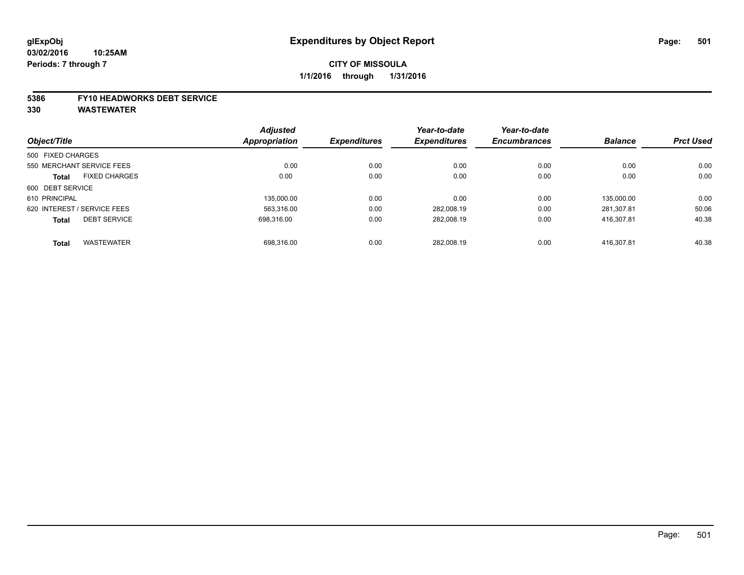#### **5386 FY10 HEADWORKS DEBT SERVICE**

|                             |                      | <b>Adjusted</b> |                     | Year-to-date        | Year-to-date        |                |                  |
|-----------------------------|----------------------|-----------------|---------------------|---------------------|---------------------|----------------|------------------|
| Object/Title                |                      | Appropriation   | <b>Expenditures</b> | <b>Expenditures</b> | <b>Encumbrances</b> | <b>Balance</b> | <b>Prct Used</b> |
| 500 FIXED CHARGES           |                      |                 |                     |                     |                     |                |                  |
| 550 MERCHANT SERVICE FEES   |                      | 0.00            | 0.00                | 0.00                | 0.00                | 0.00           | 0.00             |
| <b>Total</b>                | <b>FIXED CHARGES</b> | 0.00            | 0.00                | 0.00                | 0.00                | 0.00           | 0.00             |
| 600 DEBT SERVICE            |                      |                 |                     |                     |                     |                |                  |
| 610 PRINCIPAL               |                      | 135.000.00      | 0.00                | 0.00                | 0.00                | 135.000.00     | 0.00             |
| 620 INTEREST / SERVICE FEES |                      | 563.316.00      | 0.00                | 282,008.19          | 0.00                | 281.307.81     | 50.06            |
| <b>Total</b>                | <b>DEBT SERVICE</b>  | 698.316.00      | 0.00                | 282,008.19          | 0.00                | 416.307.81     | 40.38            |
| <b>Total</b>                | <b>WASTEWATER</b>    | 698.316.00      | 0.00                | 282.008.19          | 0.00                | 416.307.81     | 40.38            |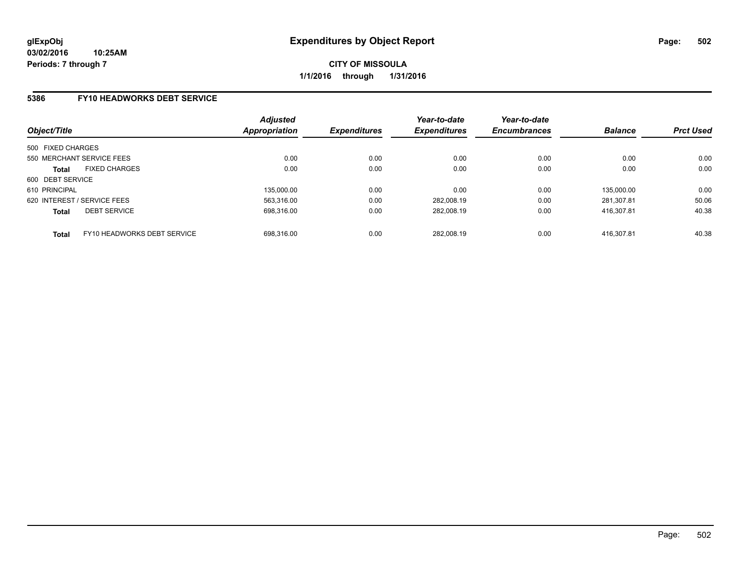#### **5386 FY10 HEADWORKS DEBT SERVICE**

| Object/Title                |                             | <b>Adjusted</b><br><b>Appropriation</b> | <b>Expenditures</b> | Year-to-date<br><b>Expenditures</b> | Year-to-date<br><b>Encumbrances</b> | <b>Balance</b> | <b>Prct Used</b> |
|-----------------------------|-----------------------------|-----------------------------------------|---------------------|-------------------------------------|-------------------------------------|----------------|------------------|
| 500 FIXED CHARGES           |                             |                                         |                     |                                     |                                     |                |                  |
| 550 MERCHANT SERVICE FEES   |                             | 0.00                                    | 0.00                | 0.00                                | 0.00                                | 0.00           | 0.00             |
| <b>Total</b>                | <b>FIXED CHARGES</b>        | 0.00                                    | 0.00                | 0.00                                | 0.00                                | 0.00           | 0.00             |
| 600 DEBT SERVICE            |                             |                                         |                     |                                     |                                     |                |                  |
| 610 PRINCIPAL               |                             | 135.000.00                              | 0.00                | 0.00                                | 0.00                                | 135.000.00     | 0.00             |
| 620 INTEREST / SERVICE FEES |                             | 563.316.00                              | 0.00                | 282.008.19                          | 0.00                                | 281.307.81     | 50.06            |
| <b>Total</b>                | <b>DEBT SERVICE</b>         | 698.316.00                              | 0.00                | 282.008.19                          | 0.00                                | 416.307.81     | 40.38            |
| <b>Total</b>                | FY10 HEADWORKS DEBT SERVICE | 698.316.00                              | 0.00                | 282.008.19                          | 0.00                                | 416.307.81     | 40.38            |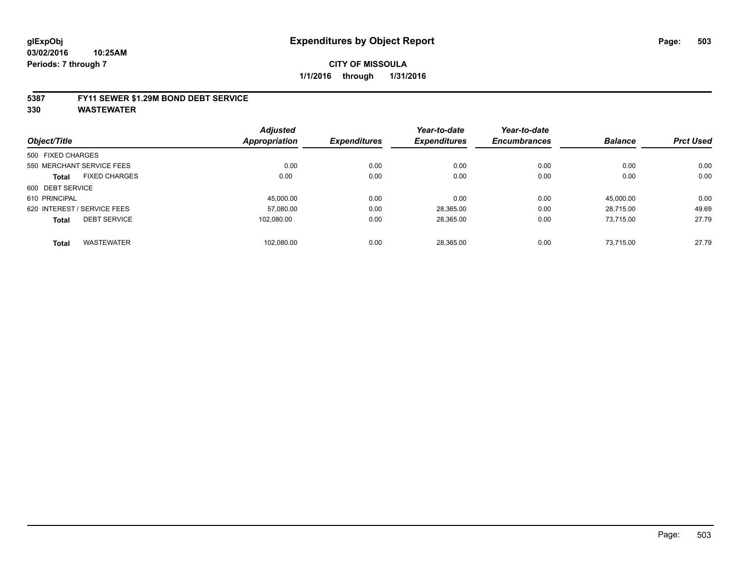#### **5387 FY11 SEWER \$1.29M BOND DEBT SERVICE**

| Object/Title      |                             | <b>Adjusted</b><br>Appropriation | <b>Expenditures</b> | Year-to-date<br><b>Expenditures</b> | Year-to-date<br><b>Encumbrances</b> | <b>Balance</b> | <b>Prct Used</b> |
|-------------------|-----------------------------|----------------------------------|---------------------|-------------------------------------|-------------------------------------|----------------|------------------|
|                   |                             |                                  |                     |                                     |                                     |                |                  |
| 500 FIXED CHARGES |                             |                                  |                     |                                     |                                     |                |                  |
|                   | 550 MERCHANT SERVICE FEES   | 0.00                             | 0.00                | 0.00                                | 0.00                                | 0.00           | 0.00             |
| <b>Total</b>      | <b>FIXED CHARGES</b>        | 0.00                             | 0.00                | 0.00                                | 0.00                                | 0.00           | 0.00             |
| 600 DEBT SERVICE  |                             |                                  |                     |                                     |                                     |                |                  |
| 610 PRINCIPAL     |                             | 45.000.00                        | 0.00                | 0.00                                | 0.00                                | 45.000.00      | 0.00             |
|                   | 620 INTEREST / SERVICE FEES | 57.080.00                        | 0.00                | 28,365.00                           | 0.00                                | 28,715.00      | 49.69            |
| <b>Total</b>      | <b>DEBT SERVICE</b>         | 102.080.00                       | 0.00                | 28,365.00                           | 0.00                                | 73,715.00      | 27.79            |
| <b>Total</b>      | <b>WASTEWATER</b>           | 102.080.00                       | 0.00                | 28.365.00                           | 0.00                                | 73.715.00      | 27.79            |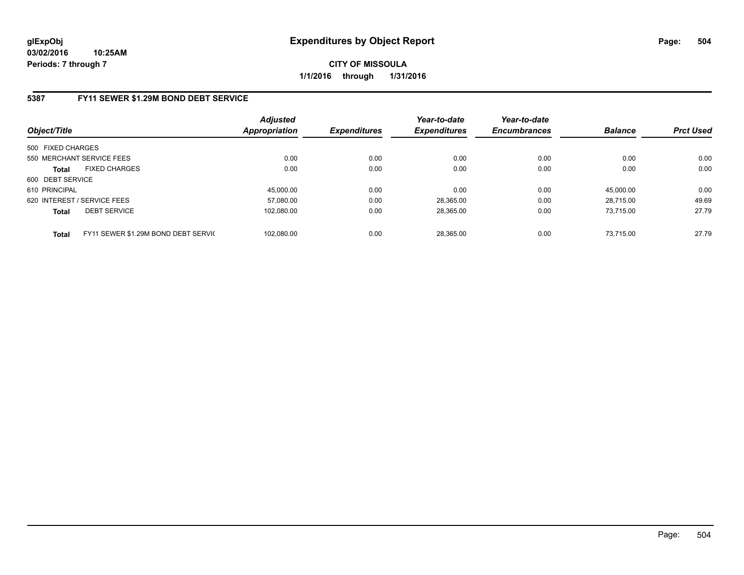### **5387 FY11 SEWER \$1.29M BOND DEBT SERVICE**

| Object/Title      |                                     | Adjusted<br>Appropriation | <b>Expenditures</b> | Year-to-date<br><b>Expenditures</b> | Year-to-date<br><b>Encumbrances</b> | <b>Balance</b> | <b>Prct Used</b> |
|-------------------|-------------------------------------|---------------------------|---------------------|-------------------------------------|-------------------------------------|----------------|------------------|
| 500 FIXED CHARGES |                                     |                           |                     |                                     |                                     |                |                  |
|                   | 550 MERCHANT SERVICE FEES           | 0.00                      | 0.00                | 0.00                                | 0.00                                | 0.00           | 0.00             |
| <b>Total</b>      | <b>FIXED CHARGES</b>                | 0.00                      | 0.00                | 0.00                                | 0.00                                | 0.00           | 0.00             |
| 600 DEBT SERVICE  |                                     |                           |                     |                                     |                                     |                |                  |
| 610 PRINCIPAL     |                                     | 45.000.00                 | 0.00                | 0.00                                | 0.00                                | 45.000.00      | 0.00             |
|                   | 620 INTEREST / SERVICE FEES         | 57.080.00                 | 0.00                | 28.365.00                           | 0.00                                | 28.715.00      | 49.69            |
| <b>Total</b>      | <b>DEBT SERVICE</b>                 | 102.080.00                | 0.00                | 28.365.00                           | 0.00                                | 73.715.00      | 27.79            |
| <b>Total</b>      | FY11 SEWER \$1.29M BOND DEBT SERVIC | 102.080.00                | 0.00                | 28.365.00                           | 0.00                                | 73.715.00      | 27.79            |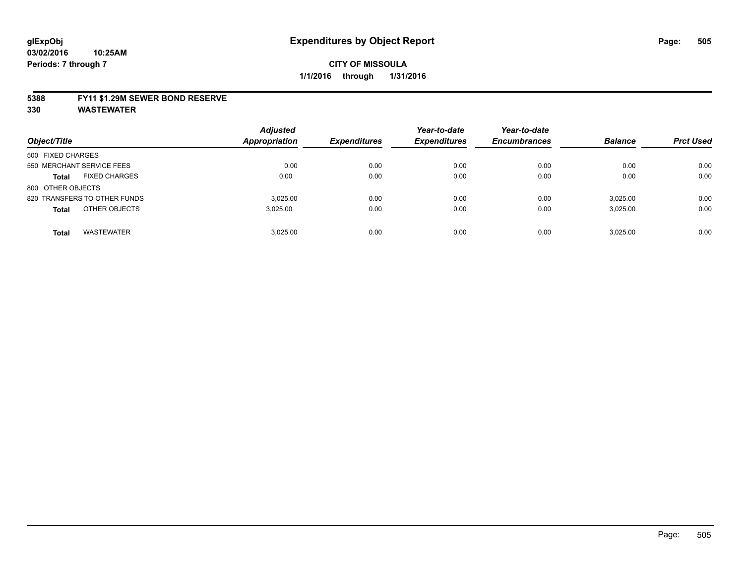#### **5388 FY11 \$1.29M SEWER BOND RESERVE**

**330 WASTEWATER**

| Object/Title                         | <b>Adjusted</b><br>Appropriation | <b>Expenditures</b> | Year-to-date<br><b>Expenditures</b> | Year-to-date<br><b>Encumbrances</b> | <b>Balance</b> | <b>Prct Used</b> |
|--------------------------------------|----------------------------------|---------------------|-------------------------------------|-------------------------------------|----------------|------------------|
| 500 FIXED CHARGES                    |                                  |                     |                                     |                                     |                |                  |
| 550 MERCHANT SERVICE FEES            | 0.00                             | 0.00                | 0.00                                | 0.00                                | 0.00           | 0.00             |
| <b>FIXED CHARGES</b><br><b>Total</b> | 0.00                             | 0.00                | 0.00                                | 0.00                                | 0.00           | 0.00             |
| 800 OTHER OBJECTS                    |                                  |                     |                                     |                                     |                |                  |
| 820 TRANSFERS TO OTHER FUNDS         | 3.025.00                         | 0.00                | 0.00                                | 0.00                                | 3.025.00       | 0.00             |
| OTHER OBJECTS<br><b>Total</b>        | 3.025.00                         | 0.00                | 0.00                                | 0.00                                | 3.025.00       | 0.00             |
| <b>WASTEWATER</b><br><b>Total</b>    | 3.025.00                         | 0.00                | 0.00                                | 0.00                                | 3.025.00       | 0.00             |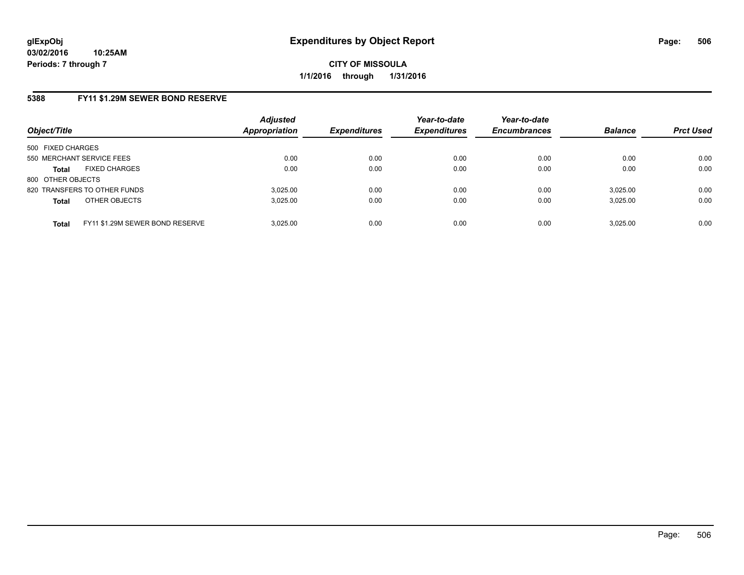# **5388 FY11 \$1.29M SEWER BOND RESERVE**

| Object/Title                                    | <b>Adjusted</b><br><b>Appropriation</b> | <b>Expenditures</b> | Year-to-date<br><b>Expenditures</b> | Year-to-date<br><b>Encumbrances</b> | <b>Balance</b> | <b>Prct Used</b> |
|-------------------------------------------------|-----------------------------------------|---------------------|-------------------------------------|-------------------------------------|----------------|------------------|
| 500 FIXED CHARGES                               |                                         |                     |                                     |                                     |                |                  |
| 550 MERCHANT SERVICE FEES                       | 0.00                                    | 0.00                | 0.00                                | 0.00                                | 0.00           | 0.00             |
| <b>FIXED CHARGES</b><br><b>Total</b>            | 0.00                                    | 0.00                | 0.00                                | 0.00                                | 0.00           | 0.00             |
| 800 OTHER OBJECTS                               |                                         |                     |                                     |                                     |                |                  |
| 820 TRANSFERS TO OTHER FUNDS                    | 3.025.00                                | 0.00                | 0.00                                | 0.00                                | 3,025.00       | 0.00             |
| OTHER OBJECTS<br><b>Total</b>                   | 3,025.00                                | 0.00                | 0.00                                | 0.00                                | 3,025.00       | 0.00             |
| FY11 \$1.29M SEWER BOND RESERVE<br><b>Total</b> | 3.025.00                                | 0.00                | 0.00                                | 0.00                                | 3,025.00       | 0.00             |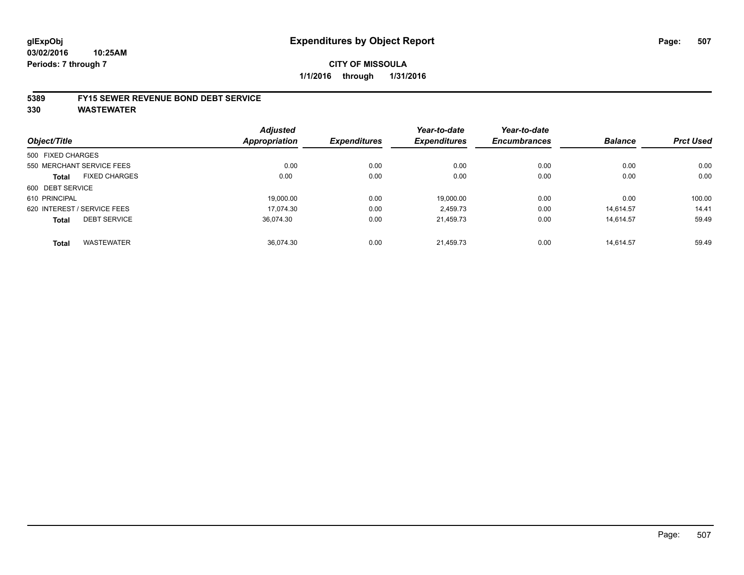#### **5389 FY15 SEWER REVENUE BOND DEBT SERVICE**

**330 WASTEWATER**

|                   |                             | <b>Adjusted</b> |                     | Year-to-date        | Year-to-date        |                |                  |
|-------------------|-----------------------------|-----------------|---------------------|---------------------|---------------------|----------------|------------------|
| Object/Title      |                             | Appropriation   | <b>Expenditures</b> | <b>Expenditures</b> | <b>Encumbrances</b> | <b>Balance</b> | <b>Prct Used</b> |
| 500 FIXED CHARGES |                             |                 |                     |                     |                     |                |                  |
|                   | 550 MERCHANT SERVICE FEES   | 0.00            | 0.00                | 0.00                | 0.00                | 0.00           | 0.00             |
| Total             | <b>FIXED CHARGES</b>        | 0.00            | 0.00                | 0.00                | 0.00                | 0.00           | 0.00             |
| 600 DEBT SERVICE  |                             |                 |                     |                     |                     |                |                  |
| 610 PRINCIPAL     |                             | 19.000.00       | 0.00                | 19,000.00           | 0.00                | 0.00           | 100.00           |
|                   | 620 INTEREST / SERVICE FEES | 17.074.30       | 0.00                | 2.459.73            | 0.00                | 14.614.57      | 14.41            |
| <b>Total</b>      | <b>DEBT SERVICE</b>         | 36,074.30       | 0.00                | 21,459.73           | 0.00                | 14,614.57      | 59.49            |
| <b>Total</b>      | <b>WASTEWATER</b>           | 36.074.30       | 0.00                | 21.459.73           | 0.00                | 14.614.57      | 59.49            |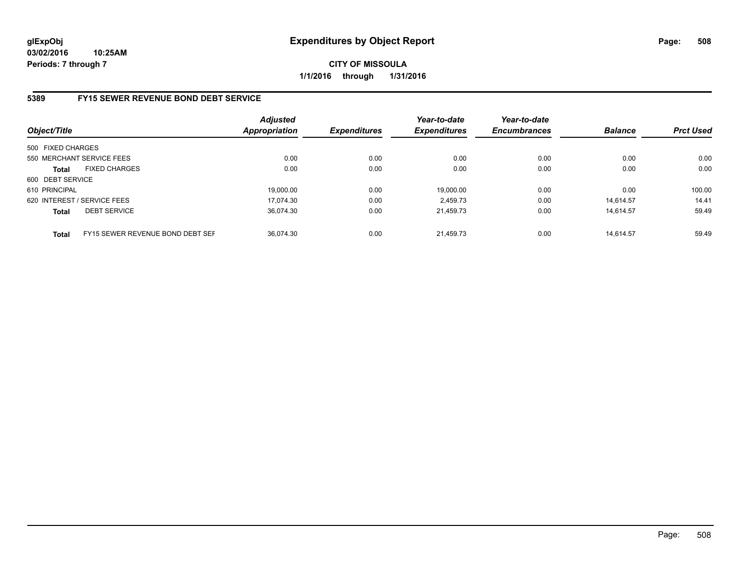## **5389 FY15 SEWER REVENUE BOND DEBT SERVICE**

| Object/Title                |                                  | <b>Adjusted</b><br><b>Appropriation</b> | <b>Expenditures</b> | Year-to-date<br><b>Expenditures</b> | Year-to-date<br><b>Encumbrances</b> | <b>Balance</b> | <b>Prct Used</b> |
|-----------------------------|----------------------------------|-----------------------------------------|---------------------|-------------------------------------|-------------------------------------|----------------|------------------|
| 500 FIXED CHARGES           |                                  |                                         |                     |                                     |                                     |                |                  |
| 550 MERCHANT SERVICE FEES   |                                  | 0.00                                    | 0.00                | 0.00                                | 0.00                                | 0.00           | 0.00             |
| <b>Total</b>                | <b>FIXED CHARGES</b>             | 0.00                                    | 0.00                | 0.00                                | 0.00                                | 0.00           | 0.00             |
| 600 DEBT SERVICE            |                                  |                                         |                     |                                     |                                     |                |                  |
| 610 PRINCIPAL               |                                  | 19,000.00                               | 0.00                | 19.000.00                           | 0.00                                | 0.00           | 100.00           |
| 620 INTEREST / SERVICE FEES |                                  | 17.074.30                               | 0.00                | 2.459.73                            | 0.00                                | 14.614.57      | 14.41            |
| <b>Total</b>                | <b>DEBT SERVICE</b>              | 36.074.30                               | 0.00                | 21.459.73                           | 0.00                                | 14.614.57      | 59.49            |
| <b>Total</b>                | FY15 SEWER REVENUE BOND DEBT SEF | 36.074.30                               | 0.00                | 21.459.73                           | 0.00                                | 14.614.57      | 59.49            |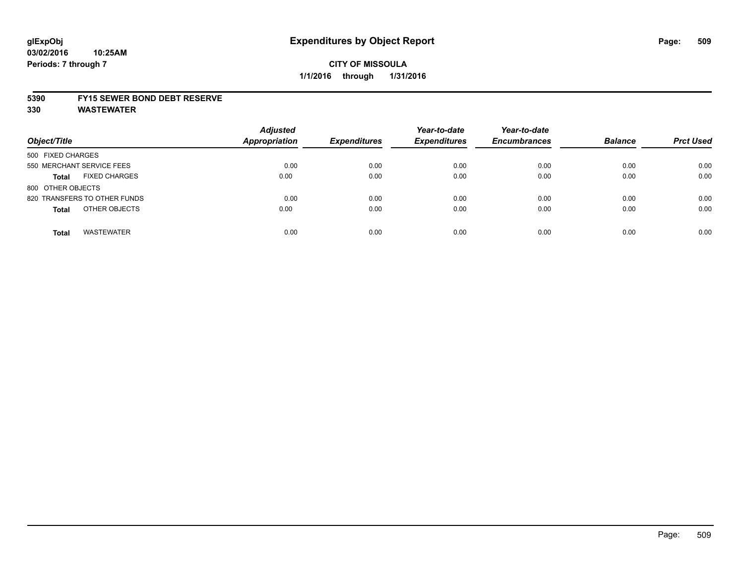#### **5390 FY15 SEWER BOND DEBT RESERVE**

**330 WASTEWATER**

| Object/Title                         | <b>Adjusted</b><br><b>Appropriation</b> | <b>Expenditures</b> | Year-to-date<br><b>Expenditures</b> | Year-to-date<br><b>Encumbrances</b> | <b>Balance</b> | <b>Prct Used</b> |
|--------------------------------------|-----------------------------------------|---------------------|-------------------------------------|-------------------------------------|----------------|------------------|
| 500 FIXED CHARGES                    |                                         |                     |                                     |                                     |                |                  |
| 550 MERCHANT SERVICE FEES            | 0.00                                    | 0.00                | 0.00                                | 0.00                                | 0.00           | 0.00             |
| <b>FIXED CHARGES</b><br><b>Total</b> | 0.00                                    | 0.00                | 0.00                                | 0.00                                | 0.00           | 0.00             |
| 800 OTHER OBJECTS                    |                                         |                     |                                     |                                     |                |                  |
| 820 TRANSFERS TO OTHER FUNDS         | 0.00                                    | 0.00                | 0.00                                | 0.00                                | 0.00           | 0.00             |
| OTHER OBJECTS<br><b>Total</b>        | 0.00                                    | 0.00                | 0.00                                | 0.00                                | 0.00           | 0.00             |
| <b>WASTEWATER</b><br><b>Total</b>    | 0.00                                    | 0.00                | 0.00                                | 0.00                                | 0.00           | 0.00             |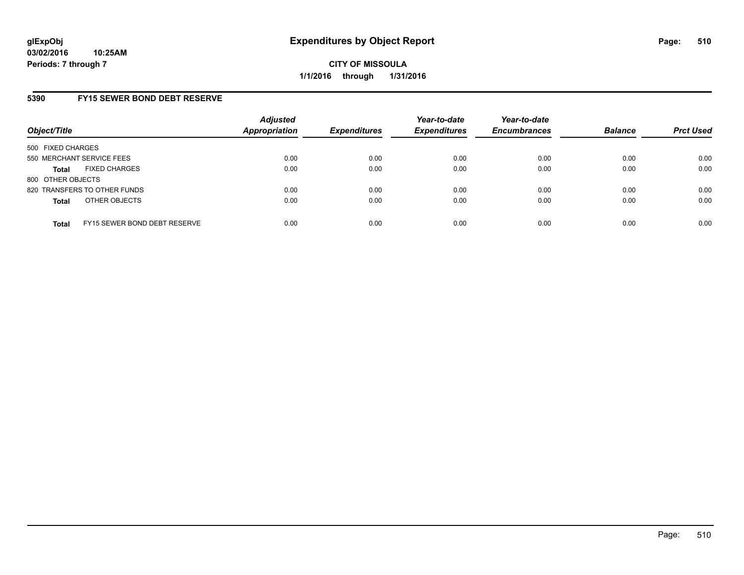## **5390 FY15 SEWER BOND DEBT RESERVE**

| Object/Title              |                              | <b>Adjusted</b><br>Appropriation | <b>Expenditures</b> | Year-to-date<br><b>Expenditures</b> | Year-to-date<br><b>Encumbrances</b> | <b>Balance</b> | <b>Prct Used</b> |
|---------------------------|------------------------------|----------------------------------|---------------------|-------------------------------------|-------------------------------------|----------------|------------------|
| 500 FIXED CHARGES         |                              |                                  |                     |                                     |                                     |                |                  |
| 550 MERCHANT SERVICE FEES |                              | 0.00                             | 0.00                | 0.00                                | 0.00                                | 0.00           | 0.00             |
| <b>Total</b>              | <b>FIXED CHARGES</b>         | 0.00                             | 0.00                | 0.00                                | 0.00                                | 0.00           | 0.00             |
| 800 OTHER OBJECTS         |                              |                                  |                     |                                     |                                     |                |                  |
|                           | 820 TRANSFERS TO OTHER FUNDS | 0.00                             | 0.00                | 0.00                                | 0.00                                | 0.00           | 0.00             |
| <b>Total</b>              | OTHER OBJECTS                | 0.00                             | 0.00                | 0.00                                | 0.00                                | 0.00           | 0.00             |
| <b>Total</b>              | FY15 SEWER BOND DEBT RESERVE | 0.00                             | 0.00                | 0.00                                | 0.00                                | 0.00           | 0.00             |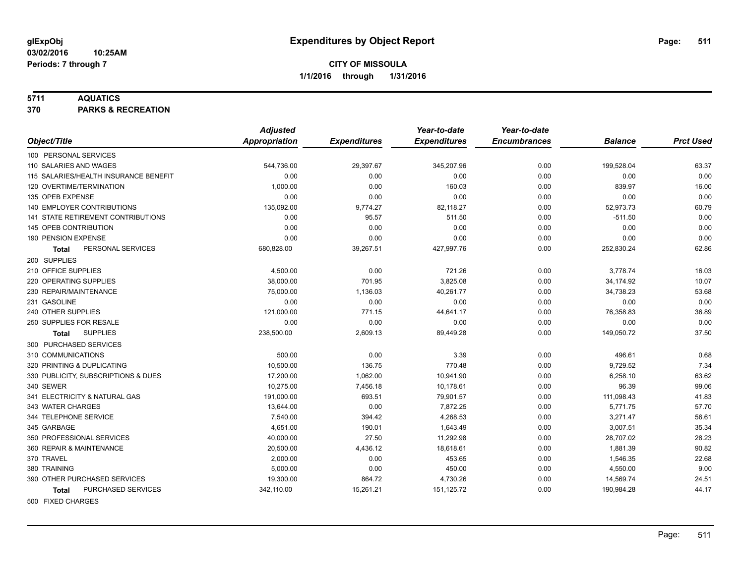#### **5711 AQUATICS**

**370 PARKS & RECREATION**

|                                           | <b>Adjusted</b>      |                     | Year-to-date        | Year-to-date        |                |                  |
|-------------------------------------------|----------------------|---------------------|---------------------|---------------------|----------------|------------------|
| Object/Title                              | <b>Appropriation</b> | <b>Expenditures</b> | <b>Expenditures</b> | <b>Encumbrances</b> | <b>Balance</b> | <b>Prct Used</b> |
| 100 PERSONAL SERVICES                     |                      |                     |                     |                     |                |                  |
| 110 SALARIES AND WAGES                    | 544,736.00           | 29,397.67           | 345,207.96          | 0.00                | 199,528.04     | 63.37            |
| 115 SALARIES/HEALTH INSURANCE BENEFIT     | 0.00                 | 0.00                | 0.00                | 0.00                | 0.00           | 0.00             |
| 120 OVERTIME/TERMINATION                  | 1,000.00             | 0.00                | 160.03              | 0.00                | 839.97         | 16.00            |
| 135 OPEB EXPENSE                          | 0.00                 | 0.00                | 0.00                | 0.00                | 0.00           | 0.00             |
| 140 EMPLOYER CONTRIBUTIONS                | 135,092.00           | 9,774.27            | 82,118.27           | 0.00                | 52,973.73      | 60.79            |
| <b>141 STATE RETIREMENT CONTRIBUTIONS</b> | 0.00                 | 95.57               | 511.50              | 0.00                | $-511.50$      | 0.00             |
| 145 OPEB CONTRIBUTION                     | 0.00                 | 0.00                | 0.00                | 0.00                | 0.00           | 0.00             |
| 190 PENSION EXPENSE                       | 0.00                 | 0.00                | 0.00                | 0.00                | 0.00           | 0.00             |
| PERSONAL SERVICES<br>Total                | 680,828.00           | 39,267.51           | 427,997.76          | 0.00                | 252,830.24     | 62.86            |
| 200 SUPPLIES                              |                      |                     |                     |                     |                |                  |
| 210 OFFICE SUPPLIES                       | 4,500.00             | 0.00                | 721.26              | 0.00                | 3,778.74       | 16.03            |
| 220 OPERATING SUPPLIES                    | 38,000.00            | 701.95              | 3,825.08            | 0.00                | 34,174.92      | 10.07            |
| 230 REPAIR/MAINTENANCE                    | 75,000.00            | 1,136.03            | 40,261.77           | 0.00                | 34,738.23      | 53.68            |
| 231 GASOLINE                              | 0.00                 | 0.00                | 0.00                | 0.00                | 0.00           | 0.00             |
| 240 OTHER SUPPLIES                        | 121,000.00           | 771.15              | 44,641.17           | 0.00                | 76,358.83      | 36.89            |
| 250 SUPPLIES FOR RESALE                   | 0.00                 | 0.00                | 0.00                | 0.00                | 0.00           | 0.00             |
| <b>SUPPLIES</b><br><b>Total</b>           | 238,500.00           | 2,609.13            | 89,449.28           | 0.00                | 149,050.72     | 37.50            |
| 300 PURCHASED SERVICES                    |                      |                     |                     |                     |                |                  |
| 310 COMMUNICATIONS                        | 500.00               | 0.00                | 3.39                | 0.00                | 496.61         | 0.68             |
| 320 PRINTING & DUPLICATING                | 10,500.00            | 136.75              | 770.48              | 0.00                | 9,729.52       | 7.34             |
| 330 PUBLICITY, SUBSCRIPTIONS & DUES       | 17.200.00            | 1,062.00            | 10,941.90           | 0.00                | 6,258.10       | 63.62            |
| 340 SEWER                                 | 10,275.00            | 7,456.18            | 10,178.61           | 0.00                | 96.39          | 99.06            |
| 341 ELECTRICITY & NATURAL GAS             | 191,000.00           | 693.51              | 79,901.57           | 0.00                | 111,098.43     | 41.83            |
| 343 WATER CHARGES                         | 13,644.00            | 0.00                | 7,872.25            | 0.00                | 5,771.75       | 57.70            |
| 344 TELEPHONE SERVICE                     | 7,540.00             | 394.42              | 4,268.53            | 0.00                | 3,271.47       | 56.61            |
| 345 GARBAGE                               | 4,651.00             | 190.01              | 1,643.49            | 0.00                | 3,007.51       | 35.34            |
| 350 PROFESSIONAL SERVICES                 | 40,000.00            | 27.50               | 11,292.98           | 0.00                | 28,707.02      | 28.23            |
| 360 REPAIR & MAINTENANCE                  | 20,500.00            | 4,436.12            | 18,618.61           | 0.00                | 1,881.39       | 90.82            |
| 370 TRAVEL                                | 2,000.00             | 0.00                | 453.65              | 0.00                | 1,546.35       | 22.68            |
| 380 TRAINING                              | 5,000.00             | 0.00                | 450.00              | 0.00                | 4,550.00       | 9.00             |
| 390 OTHER PURCHASED SERVICES              | 19,300.00            | 864.72              | 4,730.26            | 0.00                | 14,569.74      | 24.51            |
| PURCHASED SERVICES<br><b>Total</b>        | 342,110.00           | 15,261.21           | 151, 125.72         | 0.00                | 190,984.28     | 44.17            |
| 500 FIXED CHARGES                         |                      |                     |                     |                     |                |                  |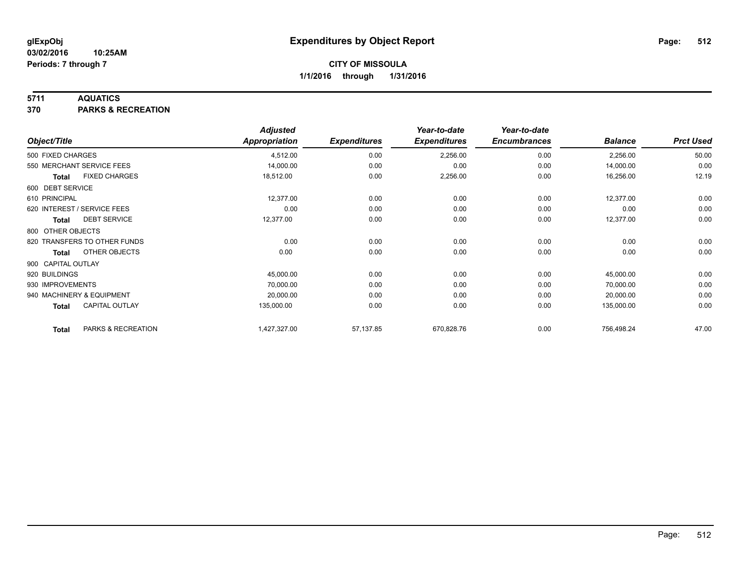### **5711 AQUATICS**

**370 PARKS & RECREATION**

|                    |                              | <b>Adjusted</b> |                     | Year-to-date        | Year-to-date        |                |                  |
|--------------------|------------------------------|-----------------|---------------------|---------------------|---------------------|----------------|------------------|
| Object/Title       |                              | Appropriation   | <b>Expenditures</b> | <b>Expenditures</b> | <b>Encumbrances</b> | <b>Balance</b> | <b>Prct Used</b> |
| 500 FIXED CHARGES  |                              | 4,512.00        | 0.00                | 2,256.00            | 0.00                | 2,256.00       | 50.00            |
|                    | 550 MERCHANT SERVICE FEES    | 14,000.00       | 0.00                | 0.00                | 0.00                | 14,000.00      | 0.00             |
| <b>Total</b>       | <b>FIXED CHARGES</b>         | 18,512.00       | 0.00                | 2,256.00            | 0.00                | 16,256.00      | 12.19            |
| 600 DEBT SERVICE   |                              |                 |                     |                     |                     |                |                  |
| 610 PRINCIPAL      |                              | 12,377.00       | 0.00                | 0.00                | 0.00                | 12,377.00      | 0.00             |
|                    | 620 INTEREST / SERVICE FEES  | 0.00            | 0.00                | 0.00                | 0.00                | 0.00           | 0.00             |
| Total              | <b>DEBT SERVICE</b>          | 12,377.00       | 0.00                | 0.00                | 0.00                | 12,377.00      | 0.00             |
| 800 OTHER OBJECTS  |                              |                 |                     |                     |                     |                |                  |
|                    | 820 TRANSFERS TO OTHER FUNDS | 0.00            | 0.00                | 0.00                | 0.00                | 0.00           | 0.00             |
| Total              | OTHER OBJECTS                | 0.00            | 0.00                | 0.00                | 0.00                | 0.00           | 0.00             |
| 900 CAPITAL OUTLAY |                              |                 |                     |                     |                     |                |                  |
| 920 BUILDINGS      |                              | 45,000.00       | 0.00                | 0.00                | 0.00                | 45,000.00      | 0.00             |
| 930 IMPROVEMENTS   |                              | 70,000.00       | 0.00                | 0.00                | 0.00                | 70,000.00      | 0.00             |
|                    | 940 MACHINERY & EQUIPMENT    | 20,000.00       | 0.00                | 0.00                | 0.00                | 20,000.00      | 0.00             |
| <b>Total</b>       | <b>CAPITAL OUTLAY</b>        | 135,000.00      | 0.00                | 0.00                | 0.00                | 135,000.00     | 0.00             |
| <b>Total</b>       | PARKS & RECREATION           | 1,427,327.00    | 57,137.85           | 670,828.76          | 0.00                | 756,498.24     | 47.00            |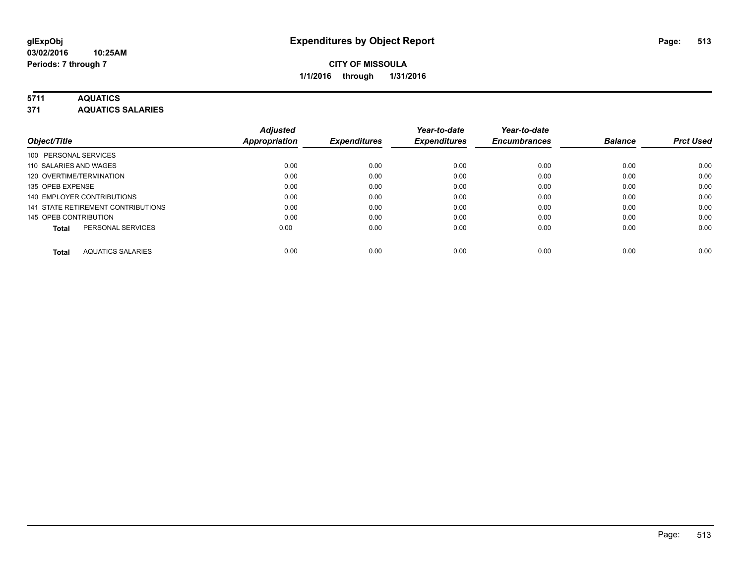### **5711 AQUATICS**

**371 AQUATICS SALARIES**

| Object/Title                             | <b>Adjusted</b><br><b>Appropriation</b> | <b>Expenditures</b> | Year-to-date<br><b>Expenditures</b> | Year-to-date<br><b>Encumbrances</b> | <b>Balance</b> | <b>Prct Used</b> |
|------------------------------------------|-----------------------------------------|---------------------|-------------------------------------|-------------------------------------|----------------|------------------|
| 100 PERSONAL SERVICES                    |                                         |                     |                                     |                                     |                |                  |
| 110 SALARIES AND WAGES                   | 0.00                                    | 0.00                | 0.00                                | 0.00                                | 0.00           | 0.00             |
| 120 OVERTIME/TERMINATION                 | 0.00                                    | 0.00                | 0.00                                | 0.00                                | 0.00           | 0.00             |
| 135 OPEB EXPENSE                         | 0.00                                    | 0.00                | 0.00                                | 0.00                                | 0.00           | 0.00             |
| 140 EMPLOYER CONTRIBUTIONS               | 0.00                                    | 0.00                | 0.00                                | 0.00                                | 0.00           | 0.00             |
| 141 STATE RETIREMENT CONTRIBUTIONS       | 0.00                                    | 0.00                | 0.00                                | 0.00                                | 0.00           | 0.00             |
| 145 OPEB CONTRIBUTION                    | 0.00                                    | 0.00                | 0.00                                | 0.00                                | 0.00           | 0.00             |
| PERSONAL SERVICES<br><b>Total</b>        | 0.00                                    | 0.00                | 0.00                                | 0.00                                | 0.00           | 0.00             |
| <b>AQUATICS SALARIES</b><br><b>Total</b> | 0.00                                    | 0.00                | 0.00                                | 0.00                                | 0.00           | 0.00             |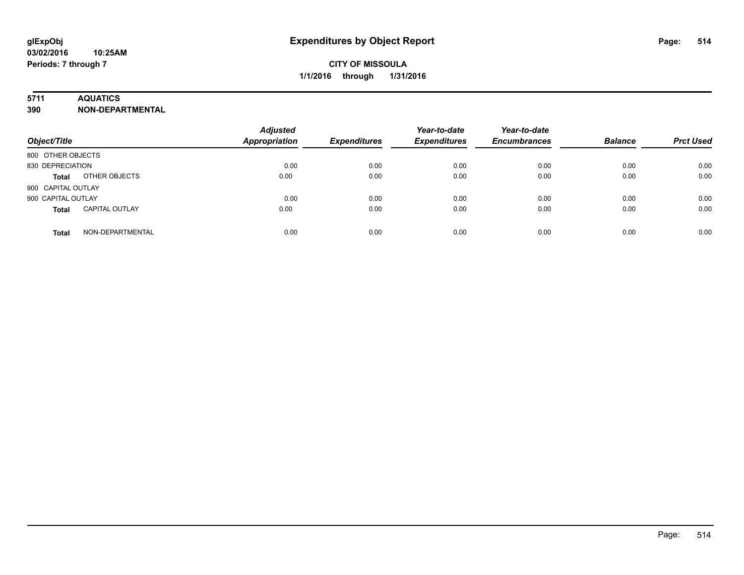### **5711 AQUATICS**

**390 NON-DEPARTMENTAL**

| Object/Title                          | <b>Adjusted</b><br><b>Appropriation</b> | <b>Expenditures</b> | Year-to-date<br><b>Expenditures</b> | Year-to-date<br><b>Encumbrances</b> | <b>Balance</b> | <b>Prct Used</b> |
|---------------------------------------|-----------------------------------------|---------------------|-------------------------------------|-------------------------------------|----------------|------------------|
| 800 OTHER OBJECTS                     |                                         |                     |                                     |                                     |                |                  |
| 830 DEPRECIATION                      | 0.00                                    | 0.00                | 0.00                                | 0.00                                | 0.00           | 0.00             |
| OTHER OBJECTS<br><b>Total</b>         | 0.00                                    | 0.00                | 0.00                                | 0.00                                | 0.00           | 0.00             |
| 900 CAPITAL OUTLAY                    |                                         |                     |                                     |                                     |                |                  |
| 900 CAPITAL OUTLAY                    | 0.00                                    | 0.00                | 0.00                                | 0.00                                | 0.00           | 0.00             |
| <b>CAPITAL OUTLAY</b><br><b>Total</b> | 0.00                                    | 0.00                | 0.00                                | 0.00                                | 0.00           | 0.00             |
| NON-DEPARTMENTAL<br><b>Total</b>      | 0.00                                    | 0.00                | 0.00                                | 0.00                                | 0.00           | 0.00             |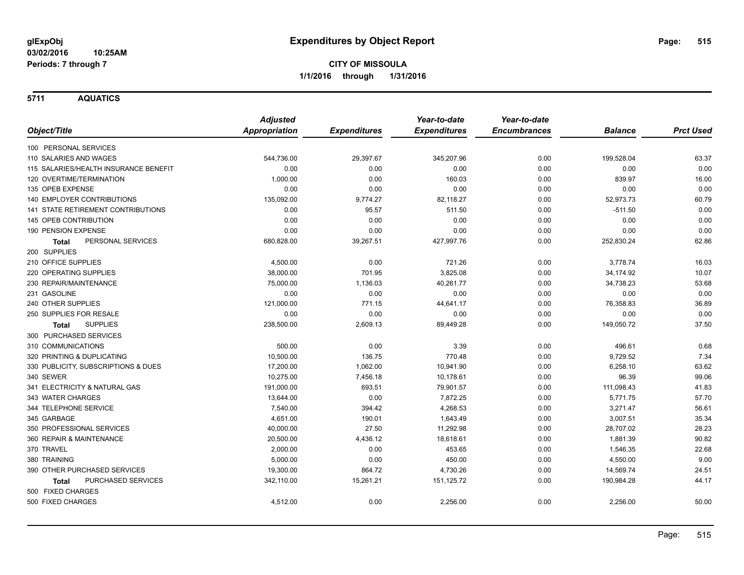**5711 AQUATICS**

|                                           | <b>Adjusted</b>      |                     | Year-to-date        | Year-to-date        |                |                  |
|-------------------------------------------|----------------------|---------------------|---------------------|---------------------|----------------|------------------|
| Object/Title                              | <b>Appropriation</b> | <b>Expenditures</b> | <b>Expenditures</b> | <b>Encumbrances</b> | <b>Balance</b> | <b>Prct Used</b> |
| 100 PERSONAL SERVICES                     |                      |                     |                     |                     |                |                  |
| 110 SALARIES AND WAGES                    | 544,736.00           | 29,397.67           | 345,207.96          | 0.00                | 199,528.04     | 63.37            |
| 115 SALARIES/HEALTH INSURANCE BENEFIT     | 0.00                 | 0.00                | 0.00                | 0.00                | 0.00           | 0.00             |
| 120 OVERTIME/TERMINATION                  | 1,000.00             | 0.00                | 160.03              | 0.00                | 839.97         | 16.00            |
| 135 OPEB EXPENSE                          | 0.00                 | 0.00                | 0.00                | 0.00                | 0.00           | 0.00             |
| 140 EMPLOYER CONTRIBUTIONS                | 135,092.00           | 9,774.27            | 82,118.27           | 0.00                | 52,973.73      | 60.79            |
| <b>141 STATE RETIREMENT CONTRIBUTIONS</b> | 0.00                 | 95.57               | 511.50              | 0.00                | $-511.50$      | 0.00             |
| 145 OPEB CONTRIBUTION                     | 0.00                 | 0.00                | 0.00                | 0.00                | 0.00           | 0.00             |
| 190 PENSION EXPENSE                       | 0.00                 | 0.00                | 0.00                | 0.00                | 0.00           | 0.00             |
| PERSONAL SERVICES<br><b>Total</b>         | 680,828.00           | 39,267.51           | 427,997.76          | 0.00                | 252,830.24     | 62.86            |
| 200 SUPPLIES                              |                      |                     |                     |                     |                |                  |
| 210 OFFICE SUPPLIES                       | 4,500.00             | 0.00                | 721.26              | 0.00                | 3,778.74       | 16.03            |
| 220 OPERATING SUPPLIES                    | 38,000.00            | 701.95              | 3,825.08            | 0.00                | 34,174.92      | 10.07            |
| 230 REPAIR/MAINTENANCE                    | 75,000.00            | 1,136.03            | 40,261.77           | 0.00                | 34,738.23      | 53.68            |
| 231 GASOLINE                              | 0.00                 | 0.00                | 0.00                | 0.00                | 0.00           | 0.00             |
| 240 OTHER SUPPLIES                        | 121,000.00           | 771.15              | 44,641.17           | 0.00                | 76,358.83      | 36.89            |
| 250 SUPPLIES FOR RESALE                   | 0.00                 | 0.00                | 0.00                | 0.00                | 0.00           | 0.00             |
| <b>SUPPLIES</b><br><b>Total</b>           | 238,500.00           | 2,609.13            | 89,449.28           | 0.00                | 149,050.72     | 37.50            |
| 300 PURCHASED SERVICES                    |                      |                     |                     |                     |                |                  |
| 310 COMMUNICATIONS                        | 500.00               | 0.00                | 3.39                | 0.00                | 496.61         | 0.68             |
| 320 PRINTING & DUPLICATING                | 10,500.00            | 136.75              | 770.48              | 0.00                | 9,729.52       | 7.34             |
| 330 PUBLICITY, SUBSCRIPTIONS & DUES       | 17,200.00            | 1,062.00            | 10,941.90           | 0.00                | 6,258.10       | 63.62            |
| 340 SEWER                                 | 10,275.00            | 7,456.18            | 10,178.61           | 0.00                | 96.39          | 99.06            |
| 341 ELECTRICITY & NATURAL GAS             | 191,000.00           | 693.51              | 79,901.57           | 0.00                | 111,098.43     | 41.83            |
| 343 WATER CHARGES                         | 13,644.00            | 0.00                | 7,872.25            | 0.00                | 5,771.75       | 57.70            |
| 344 TELEPHONE SERVICE                     | 7,540.00             | 394.42              | 4,268.53            | 0.00                | 3,271.47       | 56.61            |
| 345 GARBAGE                               | 4,651.00             | 190.01              | 1,643.49            | 0.00                | 3,007.51       | 35.34            |
| 350 PROFESSIONAL SERVICES                 | 40,000.00            | 27.50               | 11,292.98           | 0.00                | 28,707.02      | 28.23            |
| 360 REPAIR & MAINTENANCE                  | 20,500.00            | 4,436.12            | 18,618.61           | 0.00                | 1,881.39       | 90.82            |
| 370 TRAVEL                                | 2,000.00             | 0.00                | 453.65              | 0.00                | 1,546.35       | 22.68            |
| 380 TRAINING                              | 5,000.00             | 0.00                | 450.00              | 0.00                | 4,550.00       | 9.00             |
| 390 OTHER PURCHASED SERVICES              | 19,300.00            | 864.72              | 4,730.26            | 0.00                | 14,569.74      | 24.51            |
| <b>PURCHASED SERVICES</b><br><b>Total</b> | 342,110.00           | 15,261.21           | 151, 125.72         | 0.00                | 190,984.28     | 44.17            |
| 500 FIXED CHARGES                         |                      |                     |                     |                     |                |                  |
| 500 FIXED CHARGES                         | 4,512.00             | 0.00                | 2,256.00            | 0.00                | 2,256.00       | 50.00            |
|                                           |                      |                     |                     |                     |                |                  |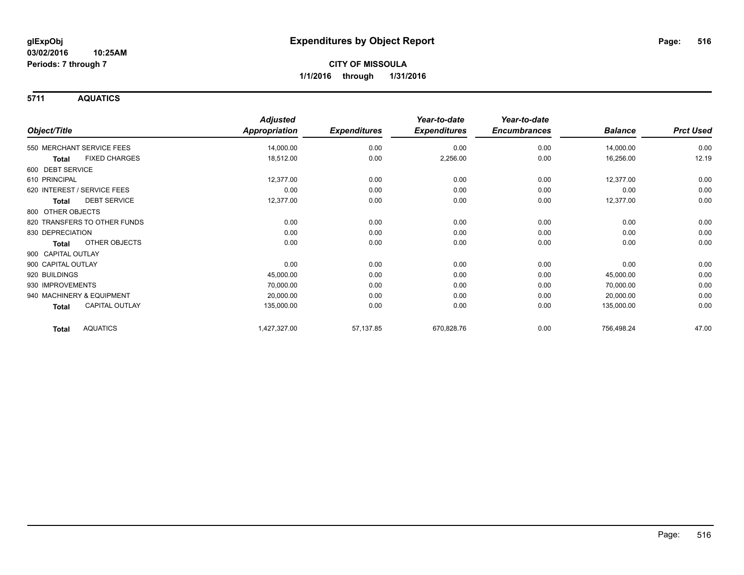**5711 AQUATICS**

|                                 | <b>Adjusted</b>      |                     | Year-to-date        | Year-to-date        |                |                  |
|---------------------------------|----------------------|---------------------|---------------------|---------------------|----------------|------------------|
| Object/Title                    | <b>Appropriation</b> | <b>Expenditures</b> | <b>Expenditures</b> | <b>Encumbrances</b> | <b>Balance</b> | <b>Prct Used</b> |
| 550 MERCHANT SERVICE FEES       | 14,000.00            | 0.00                | 0.00                | 0.00                | 14,000.00      | 0.00             |
| <b>FIXED CHARGES</b><br>Total   | 18,512.00            | 0.00                | 2,256.00            | 0.00                | 16,256.00      | 12.19            |
| 600 DEBT SERVICE                |                      |                     |                     |                     |                |                  |
| 610 PRINCIPAL                   | 12,377.00            | 0.00                | 0.00                | 0.00                | 12,377.00      | 0.00             |
| 620 INTEREST / SERVICE FEES     | 0.00                 | 0.00                | 0.00                | 0.00                | 0.00           | 0.00             |
| <b>DEBT SERVICE</b><br>Total    | 12,377.00            | 0.00                | 0.00                | 0.00                | 12,377.00      | 0.00             |
| 800 OTHER OBJECTS               |                      |                     |                     |                     |                |                  |
| 820 TRANSFERS TO OTHER FUNDS    | 0.00                 | 0.00                | 0.00                | 0.00                | 0.00           | 0.00             |
| 830 DEPRECIATION                | 0.00                 | 0.00                | 0.00                | 0.00                | 0.00           | 0.00             |
| OTHER OBJECTS<br>Total          | 0.00                 | 0.00                | 0.00                | 0.00                | 0.00           | 0.00             |
| 900 CAPITAL OUTLAY              |                      |                     |                     |                     |                |                  |
| 900 CAPITAL OUTLAY              | 0.00                 | 0.00                | 0.00                | 0.00                | 0.00           | 0.00             |
| 920 BUILDINGS                   | 45,000.00            | 0.00                | 0.00                | 0.00                | 45,000.00      | 0.00             |
| 930 IMPROVEMENTS                | 70,000.00            | 0.00                | 0.00                | 0.00                | 70,000.00      | 0.00             |
| 940 MACHINERY & EQUIPMENT       | 20,000.00            | 0.00                | 0.00                | 0.00                | 20,000.00      | 0.00             |
| <b>CAPITAL OUTLAY</b><br>Total  | 135,000.00           | 0.00                | 0.00                | 0.00                | 135,000.00     | 0.00             |
| <b>AQUATICS</b><br><b>Total</b> | 1,427,327.00         | 57,137.85           | 670,828.76          | 0.00                | 756,498.24     | 47.00            |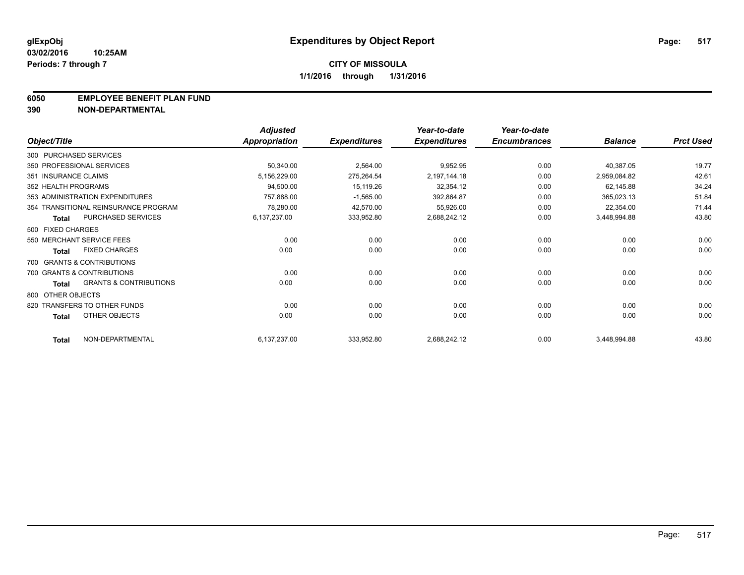#### **6050 EMPLOYEE BENEFIT PLAN FUND**

**390 NON-DEPARTMENTAL**

|                      |                                      | <b>Adjusted</b> |                     | Year-to-date        | Year-to-date        |                |                  |
|----------------------|--------------------------------------|-----------------|---------------------|---------------------|---------------------|----------------|------------------|
| Object/Title         |                                      | Appropriation   | <b>Expenditures</b> | <b>Expenditures</b> | <b>Encumbrances</b> | <b>Balance</b> | <b>Prct Used</b> |
|                      | 300 PURCHASED SERVICES               |                 |                     |                     |                     |                |                  |
|                      | 350 PROFESSIONAL SERVICES            | 50,340.00       | 2,564.00            | 9,952.95            | 0.00                | 40,387.05      | 19.77            |
| 351 INSURANCE CLAIMS |                                      | 5,156,229.00    | 275,264.54          | 2,197,144.18        | 0.00                | 2,959,084.82   | 42.61            |
| 352 HEALTH PROGRAMS  |                                      | 94,500.00       | 15,119.26           | 32,354.12           | 0.00                | 62,145.88      | 34.24            |
|                      | 353 ADMINISTRATION EXPENDITURES      | 757,888.00      | $-1,565.00$         | 392,864.87          | 0.00                | 365,023.13     | 51.84            |
|                      | 354 TRANSITIONAL REINSURANCE PROGRAM | 78,280.00       | 42,570.00           | 55,926.00           | 0.00                | 22,354.00      | 71.44            |
| <b>Total</b>         | PURCHASED SERVICES                   | 6,137,237.00    | 333,952.80          | 2,688,242.12        | 0.00                | 3,448,994.88   | 43.80            |
| 500 FIXED CHARGES    |                                      |                 |                     |                     |                     |                |                  |
|                      | 550 MERCHANT SERVICE FEES            | 0.00            | 0.00                | 0.00                | 0.00                | 0.00           | 0.00             |
| <b>Total</b>         | <b>FIXED CHARGES</b>                 | 0.00            | 0.00                | 0.00                | 0.00                | 0.00           | 0.00             |
|                      | 700 GRANTS & CONTRIBUTIONS           |                 |                     |                     |                     |                |                  |
|                      | 700 GRANTS & CONTRIBUTIONS           | 0.00            | 0.00                | 0.00                | 0.00                | 0.00           | 0.00             |
| <b>Total</b>         | <b>GRANTS &amp; CONTRIBUTIONS</b>    | 0.00            | 0.00                | 0.00                | 0.00                | 0.00           | 0.00             |
| 800 OTHER OBJECTS    |                                      |                 |                     |                     |                     |                |                  |
|                      | 820 TRANSFERS TO OTHER FUNDS         | 0.00            | 0.00                | 0.00                | 0.00                | 0.00           | 0.00             |
| <b>Total</b>         | <b>OTHER OBJECTS</b>                 | 0.00            | 0.00                | 0.00                | 0.00                | 0.00           | 0.00             |
| <b>Total</b>         | NON-DEPARTMENTAL                     | 6,137,237.00    | 333,952.80          | 2,688,242.12        | 0.00                | 3,448,994.88   | 43.80            |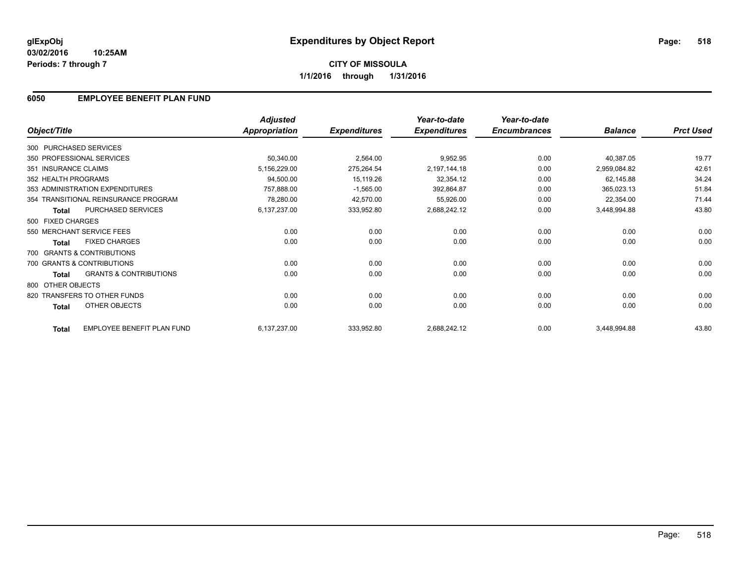#### **03/02/2016 10:25AM Periods: 7 through 7**

# **CITY OF MISSOULA 1/1/2016 through 1/31/2016**

## **6050 EMPLOYEE BENEFIT PLAN FUND**

|                        |                                      | <b>Adjusted</b>      |                     | Year-to-date        | Year-to-date        |                |                  |
|------------------------|--------------------------------------|----------------------|---------------------|---------------------|---------------------|----------------|------------------|
| Object/Title           |                                      | <b>Appropriation</b> | <b>Expenditures</b> | <b>Expenditures</b> | <b>Encumbrances</b> | <b>Balance</b> | <b>Prct Used</b> |
| 300 PURCHASED SERVICES |                                      |                      |                     |                     |                     |                |                  |
|                        | 350 PROFESSIONAL SERVICES            | 50,340.00            | 2,564.00            | 9,952.95            | 0.00                | 40,387.05      | 19.77            |
| 351 INSURANCE CLAIMS   |                                      | 5,156,229.00         | 275,264.54          | 2,197,144.18        | 0.00                | 2,959,084.82   | 42.61            |
| 352 HEALTH PROGRAMS    |                                      | 94,500.00            | 15,119.26           | 32,354.12           | 0.00                | 62,145.88      | 34.24            |
|                        | 353 ADMINISTRATION EXPENDITURES      | 757,888.00           | $-1,565.00$         | 392,864.87          | 0.00                | 365,023.13     | 51.84            |
|                        | 354 TRANSITIONAL REINSURANCE PROGRAM | 78,280.00            | 42,570.00           | 55,926.00           | 0.00                | 22,354.00      | 71.44            |
| <b>Total</b>           | PURCHASED SERVICES                   | 6,137,237.00         | 333,952.80          | 2,688,242.12        | 0.00                | 3,448,994.88   | 43.80            |
| 500 FIXED CHARGES      |                                      |                      |                     |                     |                     |                |                  |
|                        | 550 MERCHANT SERVICE FEES            | 0.00                 | 0.00                | 0.00                | 0.00                | 0.00           | 0.00             |
| <b>Total</b>           | <b>FIXED CHARGES</b>                 | 0.00                 | 0.00                | 0.00                | 0.00                | 0.00           | 0.00             |
|                        | 700 GRANTS & CONTRIBUTIONS           |                      |                     |                     |                     |                |                  |
|                        | 700 GRANTS & CONTRIBUTIONS           | 0.00                 | 0.00                | 0.00                | 0.00                | 0.00           | 0.00             |
| <b>Total</b>           | <b>GRANTS &amp; CONTRIBUTIONS</b>    | 0.00                 | 0.00                | 0.00                | 0.00                | 0.00           | 0.00             |
| 800 OTHER OBJECTS      |                                      |                      |                     |                     |                     |                |                  |
|                        | 820 TRANSFERS TO OTHER FUNDS         | 0.00                 | 0.00                | 0.00                | 0.00                | 0.00           | 0.00             |
| Total                  | OTHER OBJECTS                        | 0.00                 | 0.00                | 0.00                | 0.00                | 0.00           | 0.00             |
| <b>Total</b>           | EMPLOYEE BENEFIT PLAN FUND           | 6,137,237.00         | 333,952.80          | 2,688,242.12        | 0.00                | 3,448,994.88   | 43.80            |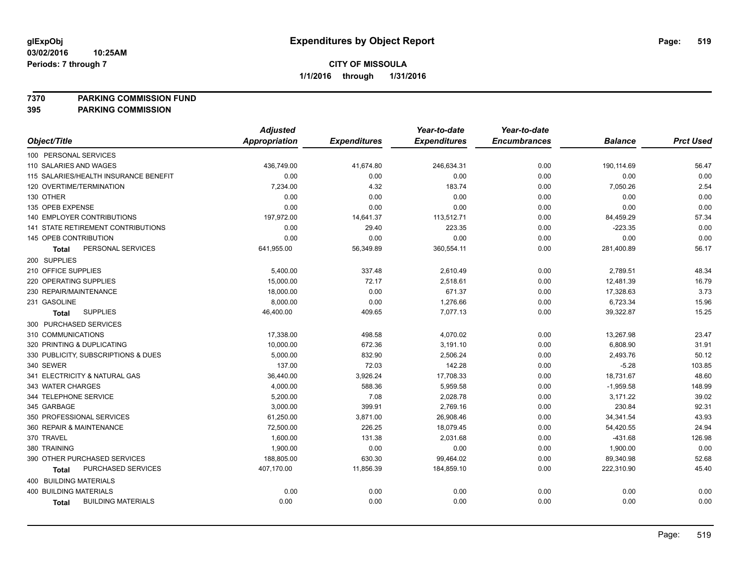**7370 PARKING COMMISSION FUND**

|                                           | <b>Adjusted</b> |                     | Year-to-date        | Year-to-date        |                |                  |
|-------------------------------------------|-----------------|---------------------|---------------------|---------------------|----------------|------------------|
| Object/Title                              | Appropriation   | <b>Expenditures</b> | <b>Expenditures</b> | <b>Encumbrances</b> | <b>Balance</b> | <b>Prct Used</b> |
| 100 PERSONAL SERVICES                     |                 |                     |                     |                     |                |                  |
| 110 SALARIES AND WAGES                    | 436,749.00      | 41,674.80           | 246,634.31          | 0.00                | 190,114.69     | 56.47            |
| 115 SALARIES/HEALTH INSURANCE BENEFIT     | 0.00            | 0.00                | 0.00                | 0.00                | 0.00           | 0.00             |
| 120 OVERTIME/TERMINATION                  | 7,234.00        | 4.32                | 183.74              | 0.00                | 7,050.26       | 2.54             |
| 130 OTHER                                 | 0.00            | 0.00                | 0.00                | 0.00                | 0.00           | 0.00             |
| 135 OPEB EXPENSE                          | 0.00            | 0.00                | 0.00                | 0.00                | 0.00           | 0.00             |
| 140 EMPLOYER CONTRIBUTIONS                | 197,972.00      | 14,641.37           | 113,512.71          | 0.00                | 84,459.29      | 57.34            |
| <b>141 STATE RETIREMENT CONTRIBUTIONS</b> | 0.00            | 29.40               | 223.35              | 0.00                | $-223.35$      | 0.00             |
| 145 OPEB CONTRIBUTION                     | 0.00            | 0.00                | 0.00                | 0.00                | 0.00           | 0.00             |
| PERSONAL SERVICES<br><b>Total</b>         | 641,955.00      | 56,349.89           | 360,554.11          | 0.00                | 281,400.89     | 56.17            |
| 200 SUPPLIES                              |                 |                     |                     |                     |                |                  |
| 210 OFFICE SUPPLIES                       | 5,400.00        | 337.48              | 2,610.49            | 0.00                | 2,789.51       | 48.34            |
| 220 OPERATING SUPPLIES                    | 15,000.00       | 72.17               | 2,518.61            | 0.00                | 12,481.39      | 16.79            |
| 230 REPAIR/MAINTENANCE                    | 18,000.00       | 0.00                | 671.37              | 0.00                | 17,328.63      | 3.73             |
| 231 GASOLINE                              | 8,000.00        | 0.00                | 1,276.66            | 0.00                | 6,723.34       | 15.96            |
| <b>SUPPLIES</b><br>Total                  | 46,400.00       | 409.65              | 7,077.13            | 0.00                | 39,322.87      | 15.25            |
| 300 PURCHASED SERVICES                    |                 |                     |                     |                     |                |                  |
| 310 COMMUNICATIONS                        | 17,338.00       | 498.58              | 4,070.02            | 0.00                | 13,267.98      | 23.47            |
| 320 PRINTING & DUPLICATING                | 10,000.00       | 672.36              | 3,191.10            | 0.00                | 6,808.90       | 31.91            |
| 330 PUBLICITY, SUBSCRIPTIONS & DUES       | 5,000.00        | 832.90              | 2,506.24            | 0.00                | 2,493.76       | 50.12            |
| 340 SEWER                                 | 137.00          | 72.03               | 142.28              | 0.00                | $-5.28$        | 103.85           |
| 341 ELECTRICITY & NATURAL GAS             | 36,440.00       | 3,926.24            | 17,708.33           | 0.00                | 18,731.67      | 48.60            |
| 343 WATER CHARGES                         | 4,000.00        | 588.36              | 5,959.58            | 0.00                | $-1,959.58$    | 148.99           |
| 344 TELEPHONE SERVICE                     | 5,200.00        | 7.08                | 2,028.78            | 0.00                | 3,171.22       | 39.02            |
| 345 GARBAGE                               | 3,000.00        | 399.91              | 2,769.16            | 0.00                | 230.84         | 92.31            |
| 350 PROFESSIONAL SERVICES                 | 61,250.00       | 3,871.00            | 26,908.46           | 0.00                | 34,341.54      | 43.93            |
| 360 REPAIR & MAINTENANCE                  | 72,500.00       | 226.25              | 18,079.45           | 0.00                | 54,420.55      | 24.94            |
| 370 TRAVEL                                | 1,600.00        | 131.38              | 2,031.68            | 0.00                | $-431.68$      | 126.98           |
| 380 TRAINING                              | 1,900.00        | 0.00                | 0.00                | 0.00                | 1,900.00       | 0.00             |
| 390 OTHER PURCHASED SERVICES              | 188,805.00      | 630.30              | 99,464.02           | 0.00                | 89,340.98      | 52.68            |
| PURCHASED SERVICES<br><b>Total</b>        | 407,170.00      | 11,856.39           | 184,859.10          | 0.00                | 222,310.90     | 45.40            |
| 400 BUILDING MATERIALS                    |                 |                     |                     |                     |                |                  |
| <b>400 BUILDING MATERIALS</b>             | 0.00            | 0.00                | 0.00                | 0.00                | 0.00           | 0.00             |
| <b>BUILDING MATERIALS</b><br>Total        | 0.00            | 0.00                | 0.00                | 0.00                | 0.00           | 0.00             |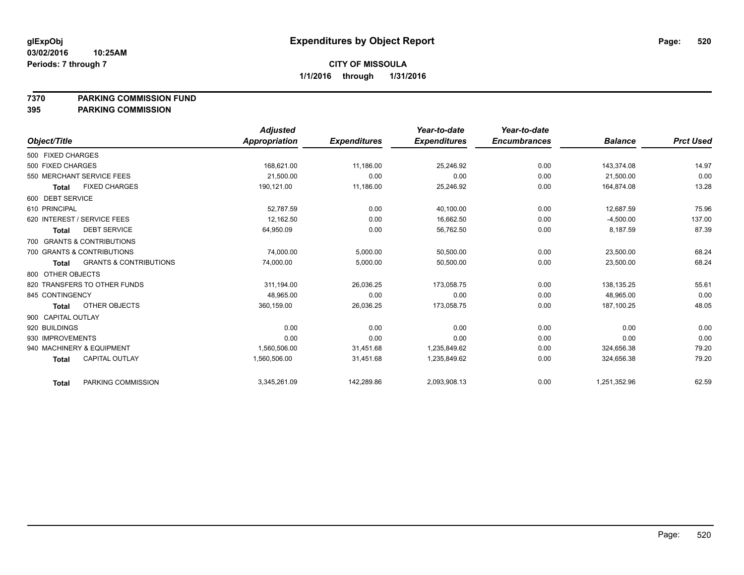### **7370 PARKING COMMISSION FUND**

|                    |                                   | <b>Adjusted</b> |                     | Year-to-date        | Year-to-date        |                |                  |
|--------------------|-----------------------------------|-----------------|---------------------|---------------------|---------------------|----------------|------------------|
| Object/Title       |                                   | Appropriation   | <b>Expenditures</b> | <b>Expenditures</b> | <b>Encumbrances</b> | <b>Balance</b> | <b>Prct Used</b> |
| 500 FIXED CHARGES  |                                   |                 |                     |                     |                     |                |                  |
| 500 FIXED CHARGES  |                                   | 168,621.00      | 11,186.00           | 25,246.92           | 0.00                | 143,374.08     | 14.97            |
|                    | 550 MERCHANT SERVICE FEES         | 21.500.00       | 0.00                | 0.00                | 0.00                | 21.500.00      | 0.00             |
| <b>Total</b>       | <b>FIXED CHARGES</b>              | 190,121.00      | 11,186.00           | 25,246.92           | 0.00                | 164,874.08     | 13.28            |
| 600 DEBT SERVICE   |                                   |                 |                     |                     |                     |                |                  |
| 610 PRINCIPAL      |                                   | 52.787.59       | 0.00                | 40,100.00           | 0.00                | 12.687.59      | 75.96            |
|                    | 620 INTEREST / SERVICE FEES       | 12.162.50       | 0.00                | 16,662.50           | 0.00                | $-4,500.00$    | 137.00           |
| <b>Total</b>       | <b>DEBT SERVICE</b>               | 64,950.09       | 0.00                | 56,762.50           | 0.00                | 8,187.59       | 87.39            |
|                    | 700 GRANTS & CONTRIBUTIONS        |                 |                     |                     |                     |                |                  |
|                    | 700 GRANTS & CONTRIBUTIONS        | 74.000.00       | 5,000.00            | 50,500.00           | 0.00                | 23.500.00      | 68.24            |
| <b>Total</b>       | <b>GRANTS &amp; CONTRIBUTIONS</b> | 74,000.00       | 5,000.00            | 50,500.00           | 0.00                | 23,500.00      | 68.24            |
| 800 OTHER OBJECTS  |                                   |                 |                     |                     |                     |                |                  |
|                    | 820 TRANSFERS TO OTHER FUNDS      | 311,194.00      | 26,036.25           | 173,058.75          | 0.00                | 138,135.25     | 55.61            |
| 845 CONTINGENCY    |                                   | 48,965.00       | 0.00                | 0.00                | 0.00                | 48,965.00      | 0.00             |
| <b>Total</b>       | OTHER OBJECTS                     | 360,159.00      | 26,036.25           | 173,058.75          | 0.00                | 187.100.25     | 48.05            |
| 900 CAPITAL OUTLAY |                                   |                 |                     |                     |                     |                |                  |
| 920 BUILDINGS      |                                   | 0.00            | 0.00                | 0.00                | 0.00                | 0.00           | 0.00             |
| 930 IMPROVEMENTS   |                                   | 0.00            | 0.00                | 0.00                | 0.00                | 0.00           | 0.00             |
|                    | 940 MACHINERY & EQUIPMENT         | 1,560,506.00    | 31,451.68           | 1,235,849.62        | 0.00                | 324,656.38     | 79.20            |
| <b>Total</b>       | <b>CAPITAL OUTLAY</b>             | 1,560,506.00    | 31,451.68           | 1,235,849.62        | 0.00                | 324,656.38     | 79.20            |
| <b>Total</b>       | PARKING COMMISSION                | 3,345,261.09    | 142,289.86          | 2,093,908.13        | 0.00                | 1,251,352.96   | 62.59            |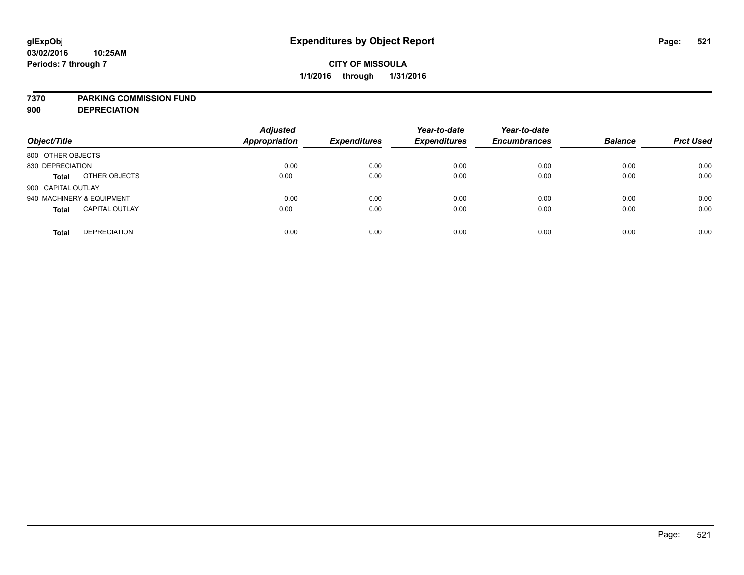### **7370 PARKING COMMISSION FUND**

**900 DEPRECIATION**

| Object/Title                          | <b>Adjusted</b><br><b>Appropriation</b> | <b>Expenditures</b> | Year-to-date<br><b>Expenditures</b> | Year-to-date<br><b>Encumbrances</b> | <b>Balance</b> | <b>Prct Used</b> |
|---------------------------------------|-----------------------------------------|---------------------|-------------------------------------|-------------------------------------|----------------|------------------|
| 800 OTHER OBJECTS                     |                                         |                     |                                     |                                     |                |                  |
| 830 DEPRECIATION                      | 0.00                                    | 0.00                | 0.00                                | 0.00                                | 0.00           | 0.00             |
| OTHER OBJECTS<br><b>Total</b>         | 0.00                                    | 0.00                | 0.00                                | 0.00                                | 0.00           | 0.00             |
| 900 CAPITAL OUTLAY                    |                                         |                     |                                     |                                     |                |                  |
| 940 MACHINERY & EQUIPMENT             | 0.00                                    | 0.00                | 0.00                                | 0.00                                | 0.00           | 0.00             |
| <b>CAPITAL OUTLAY</b><br><b>Total</b> | 0.00                                    | 0.00                | 0.00                                | 0.00                                | 0.00           | 0.00             |
| <b>DEPRECIATION</b><br><b>Total</b>   | 0.00                                    | 0.00                | 0.00                                | 0.00                                | 0.00           | 0.00             |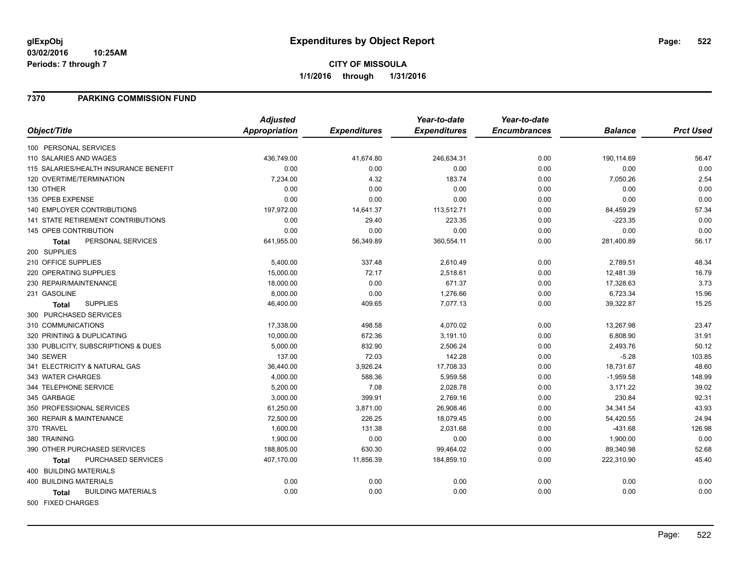#### **03/02/2016 10:25AM Periods: 7 through 7**

# **CITY OF MISSOULA 1/1/2016 through 1/31/2016**

### **7370 PARKING COMMISSION FUND**

|                                           | <b>Adjusted</b> |                     | Year-to-date        | Year-to-date        |                |                  |
|-------------------------------------------|-----------------|---------------------|---------------------|---------------------|----------------|------------------|
| Object/Title                              | Appropriation   | <b>Expenditures</b> | <b>Expenditures</b> | <b>Encumbrances</b> | <b>Balance</b> | <b>Prct Used</b> |
| 100 PERSONAL SERVICES                     |                 |                     |                     |                     |                |                  |
| 110 SALARIES AND WAGES                    | 436,749.00      | 41,674.80           | 246,634.31          | 0.00                | 190,114.69     | 56.47            |
| 115 SALARIES/HEALTH INSURANCE BENEFIT     | 0.00            | 0.00                | 0.00                | 0.00                | 0.00           | 0.00             |
| 120 OVERTIME/TERMINATION                  | 7,234.00        | 4.32                | 183.74              | 0.00                | 7,050.26       | 2.54             |
| 130 OTHER                                 | 0.00            | 0.00                | 0.00                | 0.00                | 0.00           | 0.00             |
| 135 OPEB EXPENSE                          | 0.00            | 0.00                | 0.00                | 0.00                | 0.00           | 0.00             |
| <b>140 EMPLOYER CONTRIBUTIONS</b>         | 197,972.00      | 14,641.37           | 113,512.71          | 0.00                | 84,459.29      | 57.34            |
| <b>141 STATE RETIREMENT CONTRIBUTIONS</b> | 0.00            | 29.40               | 223.35              | 0.00                | $-223.35$      | 0.00             |
| 145 OPEB CONTRIBUTION                     | 0.00            | 0.00                | 0.00                | 0.00                | 0.00           | 0.00             |
| PERSONAL SERVICES<br><b>Total</b>         | 641,955.00      | 56,349.89           | 360,554.11          | 0.00                | 281,400.89     | 56.17            |
| 200 SUPPLIES                              |                 |                     |                     |                     |                |                  |
| 210 OFFICE SUPPLIES                       | 5,400.00        | 337.48              | 2,610.49            | 0.00                | 2,789.51       | 48.34            |
| 220 OPERATING SUPPLIES                    | 15,000.00       | 72.17               | 2,518.61            | 0.00                | 12,481.39      | 16.79            |
| 230 REPAIR/MAINTENANCE                    | 18,000.00       | 0.00                | 671.37              | 0.00                | 17,328.63      | 3.73             |
| 231 GASOLINE                              | 8,000.00        | 0.00                | 1,276.66            | 0.00                | 6,723.34       | 15.96            |
| <b>SUPPLIES</b><br>Total                  | 46,400.00       | 409.65              | 7,077.13            | 0.00                | 39,322.87      | 15.25            |
| 300 PURCHASED SERVICES                    |                 |                     |                     |                     |                |                  |
| 310 COMMUNICATIONS                        | 17,338.00       | 498.58              | 4,070.02            | 0.00                | 13,267.98      | 23.47            |
| 320 PRINTING & DUPLICATING                | 10,000.00       | 672.36              | 3,191.10            | 0.00                | 6,808.90       | 31.91            |
| 330 PUBLICITY, SUBSCRIPTIONS & DUES       | 5,000.00        | 832.90              | 2,506.24            | 0.00                | 2,493.76       | 50.12            |
| 340 SEWER                                 | 137.00          | 72.03               | 142.28              | 0.00                | $-5.28$        | 103.85           |
| 341 ELECTRICITY & NATURAL GAS             | 36,440.00       | 3,926.24            | 17,708.33           | 0.00                | 18,731.67      | 48.60            |
| 343 WATER CHARGES                         | 4,000.00        | 588.36              | 5,959.58            | 0.00                | $-1,959.58$    | 148.99           |
| 344 TELEPHONE SERVICE                     | 5,200.00        | 7.08                | 2,028.78            | 0.00                | 3,171.22       | 39.02            |
| 345 GARBAGE                               | 3,000.00        | 399.91              | 2,769.16            | 0.00                | 230.84         | 92.31            |
| 350 PROFESSIONAL SERVICES                 | 61,250.00       | 3,871.00            | 26,908.46           | 0.00                | 34,341.54      | 43.93            |
| 360 REPAIR & MAINTENANCE                  | 72,500.00       | 226.25              | 18,079.45           | 0.00                | 54,420.55      | 24.94            |
| 370 TRAVEL                                | 1,600.00        | 131.38              | 2,031.68            | 0.00                | -431.68        | 126.98           |
| 380 TRAINING                              | 1,900.00        | 0.00                | 0.00                | 0.00                | 1,900.00       | 0.00             |
| 390 OTHER PURCHASED SERVICES              | 188,805.00      | 630.30              | 99,464.02           | 0.00                | 89,340.98      | 52.68            |
| PURCHASED SERVICES<br><b>Total</b>        | 407,170.00      | 11,856.39           | 184,859.10          | 0.00                | 222,310.90     | 45.40            |
| <b>400 BUILDING MATERIALS</b>             |                 |                     |                     |                     |                |                  |
| <b>400 BUILDING MATERIALS</b>             | 0.00            | 0.00                | 0.00                | 0.00                | 0.00           | 0.00             |
| <b>BUILDING MATERIALS</b><br><b>Total</b> | 0.00            | 0.00                | 0.00                | 0.00                | 0.00           | 0.00             |
| 500 FIXED CHARGES                         |                 |                     |                     |                     |                |                  |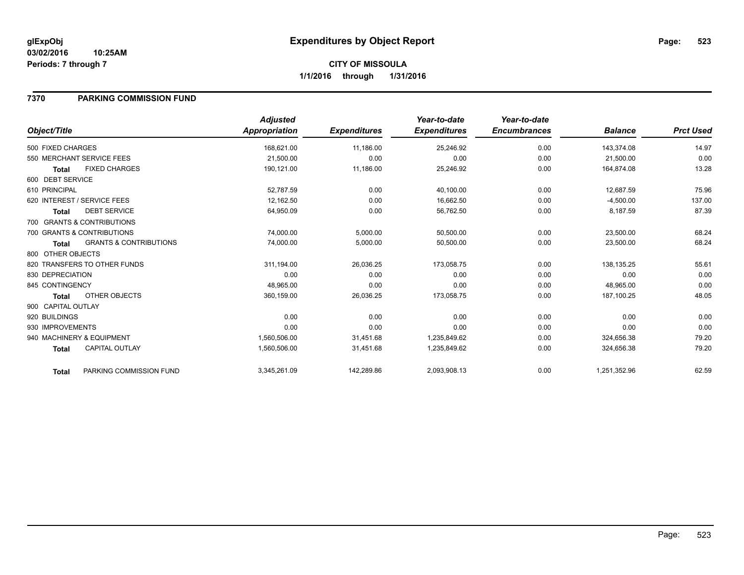### **7370 PARKING COMMISSION FUND**

|                                                   | <b>Adjusted</b>      |                     | Year-to-date        | Year-to-date        |                |                  |
|---------------------------------------------------|----------------------|---------------------|---------------------|---------------------|----------------|------------------|
| Object/Title                                      | <b>Appropriation</b> | <b>Expenditures</b> | <b>Expenditures</b> | <b>Encumbrances</b> | <b>Balance</b> | <b>Prct Used</b> |
| 500 FIXED CHARGES                                 | 168,621.00           | 11,186.00           | 25,246.92           | 0.00                | 143,374.08     | 14.97            |
| 550 MERCHANT SERVICE FEES                         | 21,500.00            | 0.00                | 0.00                | 0.00                | 21,500.00      | 0.00             |
| <b>FIXED CHARGES</b><br><b>Total</b>              | 190,121.00           | 11,186.00           | 25,246.92           | 0.00                | 164,874.08     | 13.28            |
| 600 DEBT SERVICE                                  |                      |                     |                     |                     |                |                  |
| 610 PRINCIPAL                                     | 52,787.59            | 0.00                | 40,100.00           | 0.00                | 12,687.59      | 75.96            |
| 620 INTEREST / SERVICE FEES                       | 12,162.50            | 0.00                | 16,662.50           | 0.00                | $-4,500.00$    | 137.00           |
| <b>DEBT SERVICE</b><br><b>Total</b>               | 64,950.09            | 0.00                | 56,762.50           | 0.00                | 8,187.59       | 87.39            |
| 700 GRANTS & CONTRIBUTIONS                        |                      |                     |                     |                     |                |                  |
| 700 GRANTS & CONTRIBUTIONS                        | 74,000.00            | 5,000.00            | 50,500.00           | 0.00                | 23,500.00      | 68.24            |
| <b>GRANTS &amp; CONTRIBUTIONS</b><br><b>Total</b> | 74,000.00            | 5,000.00            | 50,500.00           | 0.00                | 23,500.00      | 68.24            |
| 800 OTHER OBJECTS                                 |                      |                     |                     |                     |                |                  |
| 820 TRANSFERS TO OTHER FUNDS                      | 311,194.00           | 26,036.25           | 173,058.75          | 0.00                | 138.135.25     | 55.61            |
| 830 DEPRECIATION                                  | 0.00                 | 0.00                | 0.00                | 0.00                | 0.00           | 0.00             |
| 845 CONTINGENCY                                   | 48,965.00            | 0.00                | 0.00                | 0.00                | 48,965.00      | 0.00             |
| OTHER OBJECTS<br>Total                            | 360,159.00           | 26,036.25           | 173,058.75          | 0.00                | 187,100.25     | 48.05            |
| 900 CAPITAL OUTLAY                                |                      |                     |                     |                     |                |                  |
| 920 BUILDINGS                                     | 0.00                 | 0.00                | 0.00                | 0.00                | 0.00           | 0.00             |
| 930 IMPROVEMENTS                                  | 0.00                 | 0.00                | 0.00                | 0.00                | 0.00           | 0.00             |
| 940 MACHINERY & EQUIPMENT                         | 1,560,506.00         | 31,451.68           | 1,235,849.62        | 0.00                | 324,656.38     | 79.20            |
| <b>CAPITAL OUTLAY</b><br><b>Total</b>             | 1,560,506.00         | 31,451.68           | 1,235,849.62        | 0.00                | 324,656.38     | 79.20            |
| PARKING COMMISSION FUND<br>Total                  | 3,345,261.09         | 142,289.86          | 2,093,908.13        | 0.00                | 1,251,352.96   | 62.59            |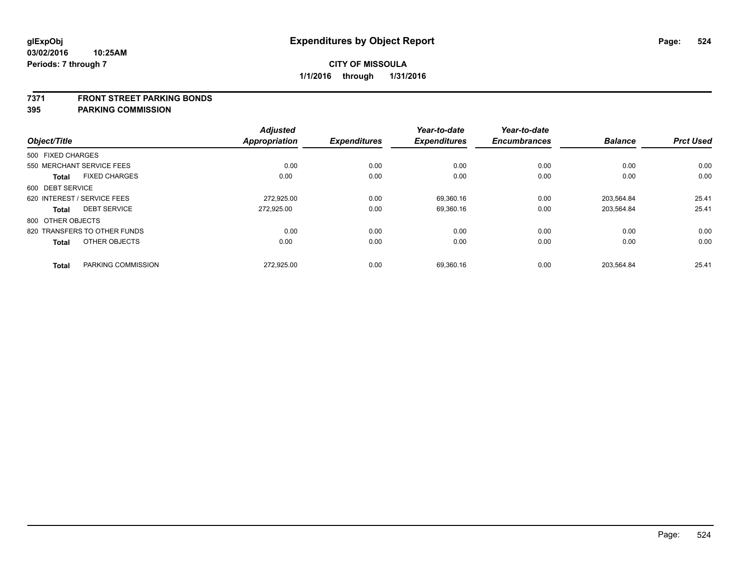#### **7371 FRONT STREET PARKING BONDS**

| Object/Title      |                              | <b>Adjusted</b><br><b>Appropriation</b> | <b>Expenditures</b> | Year-to-date<br><b>Expenditures</b> | Year-to-date<br><b>Encumbrances</b> | <b>Balance</b> | <b>Prct Used</b> |
|-------------------|------------------------------|-----------------------------------------|---------------------|-------------------------------------|-------------------------------------|----------------|------------------|
| 500 FIXED CHARGES |                              |                                         |                     |                                     |                                     |                |                  |
|                   | 550 MERCHANT SERVICE FEES    | 0.00                                    | 0.00                | 0.00                                | 0.00                                | 0.00           | 0.00             |
| <b>Total</b>      | <b>FIXED CHARGES</b>         | 0.00                                    | 0.00                | 0.00                                | 0.00                                | 0.00           | 0.00             |
| 600 DEBT SERVICE  |                              |                                         |                     |                                     |                                     |                |                  |
|                   | 620 INTEREST / SERVICE FEES  | 272.925.00                              | 0.00                | 69.360.16                           | 0.00                                | 203.564.84     | 25.41            |
| <b>Total</b>      | <b>DEBT SERVICE</b>          | 272.925.00                              | 0.00                | 69,360.16                           | 0.00                                | 203,564.84     | 25.41            |
| 800 OTHER OBJECTS |                              |                                         |                     |                                     |                                     |                |                  |
|                   | 820 TRANSFERS TO OTHER FUNDS | 0.00                                    | 0.00                | 0.00                                | 0.00                                | 0.00           | 0.00             |
| <b>Total</b>      | OTHER OBJECTS                | 0.00                                    | 0.00                | 0.00                                | 0.00                                | 0.00           | 0.00             |
| <b>Total</b>      | PARKING COMMISSION           | 272.925.00                              | 0.00                | 69.360.16                           | 0.00                                | 203.564.84     | 25.41            |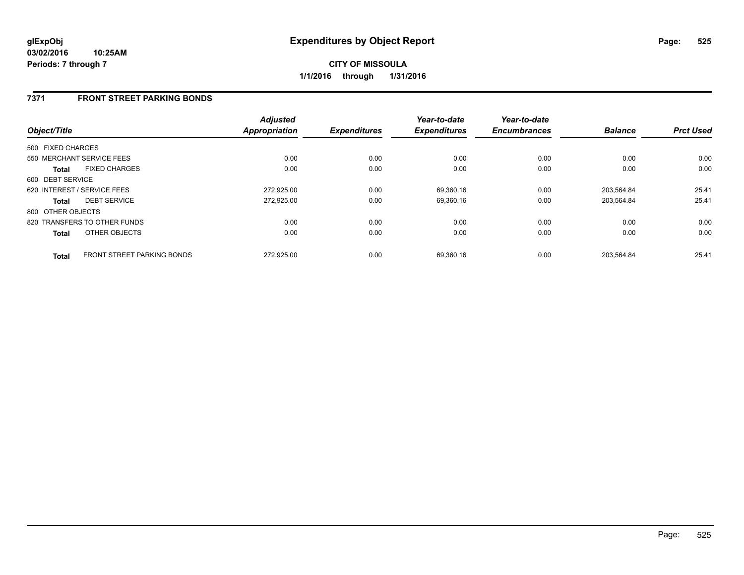### **7371 FRONT STREET PARKING BONDS**

| Object/Title      |                                   | <b>Adjusted</b><br><b>Appropriation</b> | <b>Expenditures</b> | Year-to-date<br><b>Expenditures</b> | Year-to-date<br><b>Encumbrances</b> | <b>Balance</b> | <b>Prct Used</b> |
|-------------------|-----------------------------------|-----------------------------------------|---------------------|-------------------------------------|-------------------------------------|----------------|------------------|
| 500 FIXED CHARGES |                                   |                                         |                     |                                     |                                     |                |                  |
|                   | 550 MERCHANT SERVICE FEES         | 0.00                                    | 0.00                | 0.00                                | 0.00                                | 0.00           | 0.00             |
| <b>Total</b>      | <b>FIXED CHARGES</b>              | 0.00                                    | 0.00                | 0.00                                | 0.00                                | 0.00           | 0.00             |
| 600 DEBT SERVICE  |                                   |                                         |                     |                                     |                                     |                |                  |
|                   | 620 INTEREST / SERVICE FEES       | 272.925.00                              | 0.00                | 69,360.16                           | 0.00                                | 203.564.84     | 25.41            |
| <b>Total</b>      | <b>DEBT SERVICE</b>               | 272,925.00                              | 0.00                | 69,360.16                           | 0.00                                | 203,564.84     | 25.41            |
| 800 OTHER OBJECTS |                                   |                                         |                     |                                     |                                     |                |                  |
|                   | 820 TRANSFERS TO OTHER FUNDS      | 0.00                                    | 0.00                | 0.00                                | 0.00                                | 0.00           | 0.00             |
| <b>Total</b>      | OTHER OBJECTS                     | 0.00                                    | 0.00                | 0.00                                | 0.00                                | 0.00           | 0.00             |
| <b>Total</b>      | <b>FRONT STREET PARKING BONDS</b> | 272.925.00                              | 0.00                | 69.360.16                           | 0.00                                | 203.564.84     | 25.41            |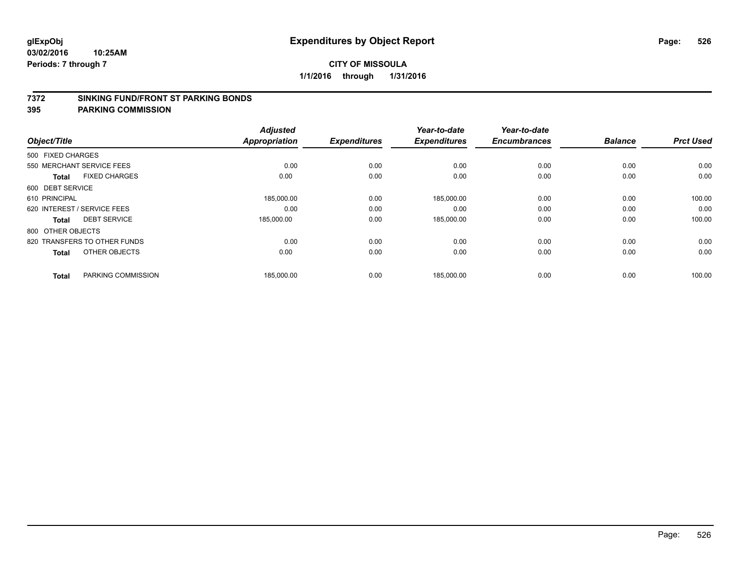#### **7372 SINKING FUND/FRONT ST PARKING BONDS**

|                   |                              | <b>Adjusted</b>      |                     | Year-to-date        | Year-to-date        |                |                  |
|-------------------|------------------------------|----------------------|---------------------|---------------------|---------------------|----------------|------------------|
| Object/Title      |                              | <b>Appropriation</b> | <b>Expenditures</b> | <b>Expenditures</b> | <b>Encumbrances</b> | <b>Balance</b> | <b>Prct Used</b> |
| 500 FIXED CHARGES |                              |                      |                     |                     |                     |                |                  |
|                   | 550 MERCHANT SERVICE FEES    | 0.00                 | 0.00                | 0.00                | 0.00                | 0.00           | 0.00             |
| <b>Total</b>      | <b>FIXED CHARGES</b>         | 0.00                 | 0.00                | 0.00                | 0.00                | 0.00           | 0.00             |
| 600 DEBT SERVICE  |                              |                      |                     |                     |                     |                |                  |
| 610 PRINCIPAL     |                              | 185,000.00           | 0.00                | 185,000.00          | 0.00                | 0.00           | 100.00           |
|                   | 620 INTEREST / SERVICE FEES  | 0.00                 | 0.00                | 0.00                | 0.00                | 0.00           | 0.00             |
| <b>Total</b>      | <b>DEBT SERVICE</b>          | 185,000.00           | 0.00                | 185,000.00          | 0.00                | 0.00           | 100.00           |
| 800 OTHER OBJECTS |                              |                      |                     |                     |                     |                |                  |
|                   | 820 TRANSFERS TO OTHER FUNDS | 0.00                 | 0.00                | 0.00                | 0.00                | 0.00           | 0.00             |
| <b>Total</b>      | OTHER OBJECTS                | 0.00                 | 0.00                | 0.00                | 0.00                | 0.00           | 0.00             |
|                   |                              |                      |                     |                     |                     |                |                  |
| <b>Total</b>      | PARKING COMMISSION           | 185,000.00           | 0.00                | 185,000.00          | 0.00                | 0.00           | 100.00           |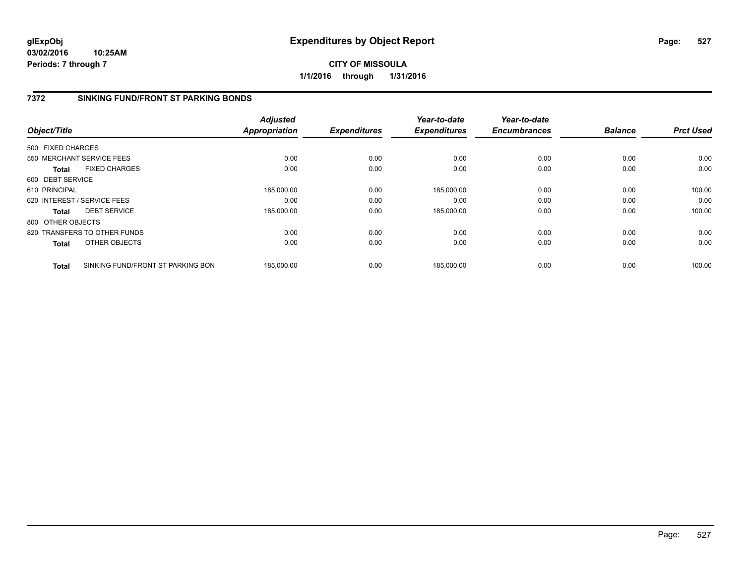**03/02/2016 10:25AM Periods: 7 through 7**

**CITY OF MISSOULA 1/1/2016 through 1/31/2016**

### **7372 SINKING FUND/FRONT ST PARKING BONDS**

|                   |                                   | <b>Adjusted</b>      |                     | Year-to-date        | Year-to-date        |                |                  |
|-------------------|-----------------------------------|----------------------|---------------------|---------------------|---------------------|----------------|------------------|
| Object/Title      |                                   | <b>Appropriation</b> | <b>Expenditures</b> | <b>Expenditures</b> | <b>Encumbrances</b> | <b>Balance</b> | <b>Prct Used</b> |
| 500 FIXED CHARGES |                                   |                      |                     |                     |                     |                |                  |
|                   | 550 MERCHANT SERVICE FEES         | 0.00                 | 0.00                | 0.00                | 0.00                | 0.00           | 0.00             |
| <b>Total</b>      | <b>FIXED CHARGES</b>              | 0.00                 | 0.00                | 0.00                | 0.00                | 0.00           | 0.00             |
| 600 DEBT SERVICE  |                                   |                      |                     |                     |                     |                |                  |
| 610 PRINCIPAL     |                                   | 185,000.00           | 0.00                | 185,000.00          | 0.00                | 0.00           | 100.00           |
|                   | 620 INTEREST / SERVICE FEES       | 0.00                 | 0.00                | 0.00                | 0.00                | 0.00           | 0.00             |
| Total             | <b>DEBT SERVICE</b>               | 185,000.00           | 0.00                | 185,000.00          | 0.00                | 0.00           | 100.00           |
| 800 OTHER OBJECTS |                                   |                      |                     |                     |                     |                |                  |
|                   | 820 TRANSFERS TO OTHER FUNDS      | 0.00                 | 0.00                | 0.00                | 0.00                | 0.00           | 0.00             |
| Total             | OTHER OBJECTS                     | 0.00                 | 0.00                | 0.00                | 0.00                | 0.00           | 0.00             |
| <b>Total</b>      | SINKING FUND/FRONT ST PARKING BON | 185,000.00           | 0.00                | 185.000.00          | 0.00                | 0.00           | 100.00           |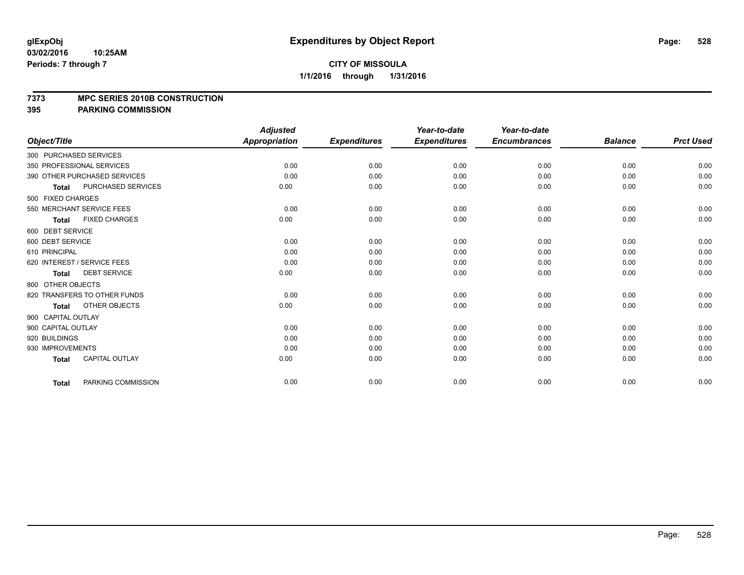#### **7373 MPC SERIES 2010B CONSTRUCTION**

|                                           | <b>Adjusted</b>      |                     | Year-to-date        | Year-to-date        |                |                  |
|-------------------------------------------|----------------------|---------------------|---------------------|---------------------|----------------|------------------|
| Object/Title                              | <b>Appropriation</b> | <b>Expenditures</b> | <b>Expenditures</b> | <b>Encumbrances</b> | <b>Balance</b> | <b>Prct Used</b> |
| 300 PURCHASED SERVICES                    |                      |                     |                     |                     |                |                  |
| 350 PROFESSIONAL SERVICES                 | 0.00                 | 0.00                | 0.00                | 0.00                | 0.00           | 0.00             |
| 390 OTHER PURCHASED SERVICES              | 0.00                 | 0.00                | 0.00                | 0.00                | 0.00           | 0.00             |
| <b>PURCHASED SERVICES</b><br><b>Total</b> | 0.00                 | 0.00                | 0.00                | 0.00                | 0.00           | 0.00             |
| 500 FIXED CHARGES                         |                      |                     |                     |                     |                |                  |
| 550 MERCHANT SERVICE FEES                 | 0.00                 | 0.00                | 0.00                | 0.00                | 0.00           | 0.00             |
| <b>FIXED CHARGES</b><br><b>Total</b>      | 0.00                 | 0.00                | 0.00                | 0.00                | 0.00           | 0.00             |
| 600 DEBT SERVICE                          |                      |                     |                     |                     |                |                  |
| 600 DEBT SERVICE                          | 0.00                 | 0.00                | 0.00                | 0.00                | 0.00           | 0.00             |
| 610 PRINCIPAL                             | 0.00                 | 0.00                | 0.00                | 0.00                | 0.00           | 0.00             |
| 620 INTEREST / SERVICE FEES               | 0.00                 | 0.00                | 0.00                | 0.00                | 0.00           | 0.00             |
| <b>DEBT SERVICE</b><br><b>Total</b>       | 0.00                 | 0.00                | 0.00                | 0.00                | 0.00           | 0.00             |
| 800 OTHER OBJECTS                         |                      |                     |                     |                     |                |                  |
| 820 TRANSFERS TO OTHER FUNDS              | 0.00                 | 0.00                | 0.00                | 0.00                | 0.00           | 0.00             |
| OTHER OBJECTS<br><b>Total</b>             | 0.00                 | 0.00                | 0.00                | 0.00                | 0.00           | 0.00             |
| 900 CAPITAL OUTLAY                        |                      |                     |                     |                     |                |                  |
| 900 CAPITAL OUTLAY                        | 0.00                 | 0.00                | 0.00                | 0.00                | 0.00           | 0.00             |
| 920 BUILDINGS                             | 0.00                 | 0.00                | 0.00                | 0.00                | 0.00           | 0.00             |
| 930 IMPROVEMENTS                          | 0.00                 | 0.00                | 0.00                | 0.00                | 0.00           | 0.00             |
| <b>CAPITAL OUTLAY</b><br><b>Total</b>     | 0.00                 | 0.00                | 0.00                | 0.00                | 0.00           | 0.00             |
| PARKING COMMISSION<br><b>Total</b>        | 0.00                 | 0.00                | 0.00                | 0.00                | 0.00           | 0.00             |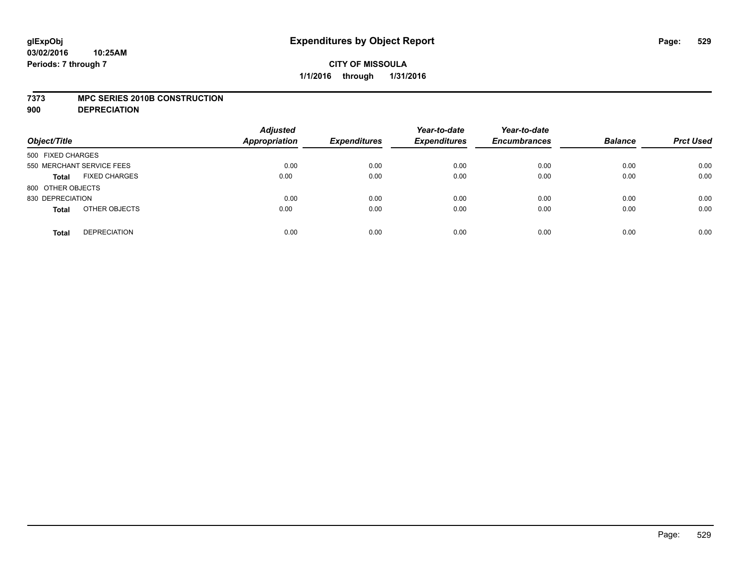#### **7373 MPC SERIES 2010B CONSTRUCTION**

**900 DEPRECIATION**

| Object/Title              |                      | <b>Adjusted</b><br><b>Appropriation</b> | <b>Expenditures</b> | Year-to-date<br><b>Expenditures</b> | Year-to-date<br><b>Encumbrances</b> | <b>Balance</b> | <b>Prct Used</b> |
|---------------------------|----------------------|-----------------------------------------|---------------------|-------------------------------------|-------------------------------------|----------------|------------------|
| 500 FIXED CHARGES         |                      |                                         |                     |                                     |                                     |                |                  |
| 550 MERCHANT SERVICE FEES |                      | 0.00                                    | 0.00                | 0.00                                | 0.00                                | 0.00           | 0.00             |
| <b>Total</b>              | <b>FIXED CHARGES</b> | 0.00                                    | 0.00                | 0.00                                | 0.00                                | 0.00           | 0.00             |
| 800 OTHER OBJECTS         |                      |                                         |                     |                                     |                                     |                |                  |
| 830 DEPRECIATION          |                      | 0.00                                    | 0.00                | 0.00                                | 0.00                                | 0.00           | 0.00             |
| <b>Total</b>              | OTHER OBJECTS        | 0.00                                    | 0.00                | 0.00                                | 0.00                                | 0.00           | 0.00             |
| <b>Total</b>              | <b>DEPRECIATION</b>  | 0.00                                    | 0.00                | 0.00                                | 0.00                                | 0.00           | 0.00             |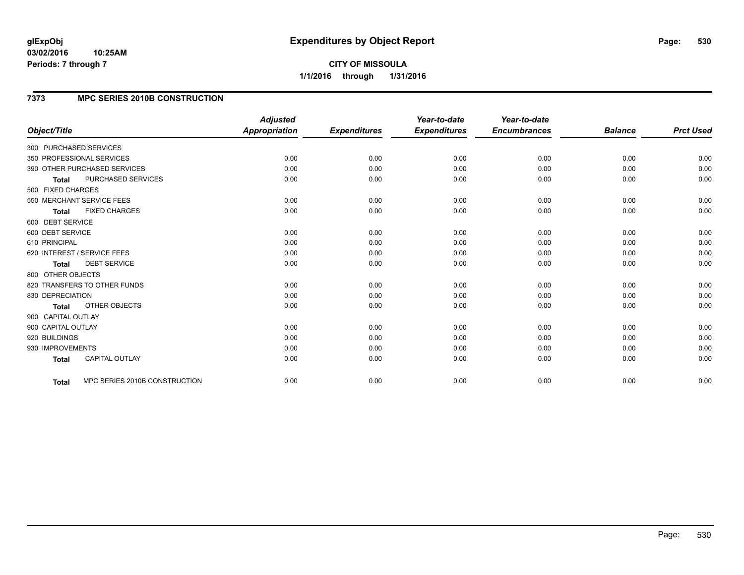#### **03/02/2016 10:25AM Periods: 7 through 7**

**CITY OF MISSOULA 1/1/2016 through 1/31/2016**

## **7373 MPC SERIES 2010B CONSTRUCTION**

|                                      |                               | <b>Adjusted</b>      |                     | Year-to-date        | Year-to-date        |                |                  |
|--------------------------------------|-------------------------------|----------------------|---------------------|---------------------|---------------------|----------------|------------------|
| Object/Title                         |                               | <b>Appropriation</b> | <b>Expenditures</b> | <b>Expenditures</b> | <b>Encumbrances</b> | <b>Balance</b> | <b>Prct Used</b> |
| 300 PURCHASED SERVICES               |                               |                      |                     |                     |                     |                |                  |
| 350 PROFESSIONAL SERVICES            |                               | 0.00                 | 0.00                | 0.00                | 0.00                | 0.00           | 0.00             |
| 390 OTHER PURCHASED SERVICES         |                               | 0.00                 | 0.00                | 0.00                | 0.00                | 0.00           | 0.00             |
| PURCHASED SERVICES<br><b>Total</b>   |                               | 0.00                 | 0.00                | 0.00                | 0.00                | 0.00           | 0.00             |
| 500 FIXED CHARGES                    |                               |                      |                     |                     |                     |                |                  |
| 550 MERCHANT SERVICE FEES            |                               | 0.00                 | 0.00                | 0.00                | 0.00                | 0.00           | 0.00             |
| <b>FIXED CHARGES</b><br><b>Total</b> |                               | 0.00                 | 0.00                | 0.00                | 0.00                | 0.00           | 0.00             |
| 600 DEBT SERVICE                     |                               |                      |                     |                     |                     |                |                  |
| 600 DEBT SERVICE                     |                               | 0.00                 | 0.00                | 0.00                | 0.00                | 0.00           | 0.00             |
| 610 PRINCIPAL                        |                               | 0.00                 | 0.00                | 0.00                | 0.00                | 0.00           | 0.00             |
| 620 INTEREST / SERVICE FEES          |                               | 0.00                 | 0.00                | 0.00                | 0.00                | 0.00           | 0.00             |
| <b>DEBT SERVICE</b><br><b>Total</b>  |                               | 0.00                 | 0.00                | 0.00                | 0.00                | 0.00           | 0.00             |
| 800 OTHER OBJECTS                    |                               |                      |                     |                     |                     |                |                  |
| 820 TRANSFERS TO OTHER FUNDS         |                               | 0.00                 | 0.00                | 0.00                | 0.00                | 0.00           | 0.00             |
| 830 DEPRECIATION                     |                               | 0.00                 | 0.00                | 0.00                | 0.00                | 0.00           | 0.00             |
| OTHER OBJECTS<br><b>Total</b>        |                               | 0.00                 | 0.00                | 0.00                | 0.00                | 0.00           | 0.00             |
| 900 CAPITAL OUTLAY                   |                               |                      |                     |                     |                     |                |                  |
| 900 CAPITAL OUTLAY                   |                               | 0.00                 | 0.00                | 0.00                | 0.00                | 0.00           | 0.00             |
| 920 BUILDINGS                        |                               | 0.00                 | 0.00                | 0.00                | 0.00                | 0.00           | 0.00             |
| 930 IMPROVEMENTS                     |                               | 0.00                 | 0.00                | 0.00                | 0.00                | 0.00           | 0.00             |
| CAPITAL OUTLAY<br><b>Total</b>       |                               | 0.00                 | 0.00                | 0.00                | 0.00                | 0.00           | 0.00             |
|                                      |                               |                      |                     |                     |                     |                | 0.00             |
| Total                                | MPC SERIES 2010B CONSTRUCTION | 0.00                 | 0.00                | 0.00                | 0.00                | 0.00           |                  |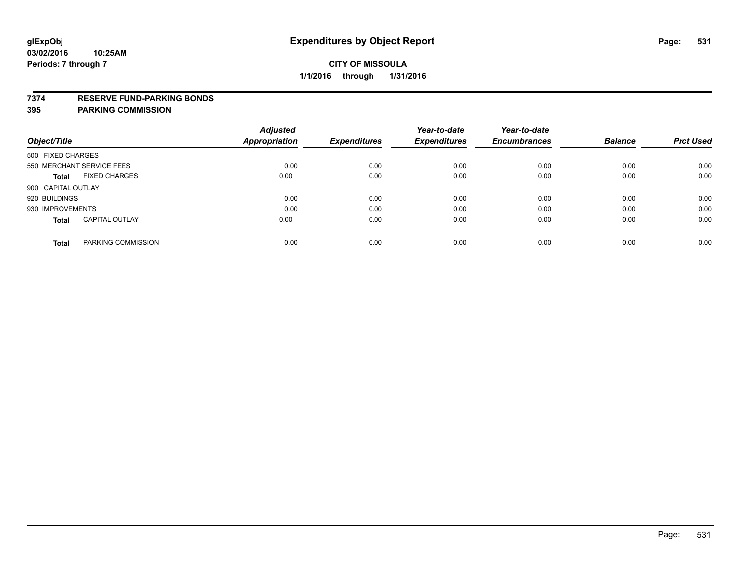### **7374 RESERVE FUND-PARKING BONDS**

|                                       | <b>Adjusted</b> |                     | Year-to-date        | Year-to-date        |                |                  |
|---------------------------------------|-----------------|---------------------|---------------------|---------------------|----------------|------------------|
| Object/Title                          | Appropriation   | <b>Expenditures</b> | <b>Expenditures</b> | <b>Encumbrances</b> | <b>Balance</b> | <b>Prct Used</b> |
| 500 FIXED CHARGES                     |                 |                     |                     |                     |                |                  |
| 550 MERCHANT SERVICE FEES             | 0.00            | 0.00                | 0.00                | 0.00                | 0.00           | 0.00             |
| <b>FIXED CHARGES</b><br>Total         | 0.00            | 0.00                | 0.00                | 0.00                | 0.00           | 0.00             |
| 900 CAPITAL OUTLAY                    |                 |                     |                     |                     |                |                  |
| 920 BUILDINGS                         | 0.00            | 0.00                | 0.00                | 0.00                | 0.00           | 0.00             |
| 930 IMPROVEMENTS                      | 0.00            | 0.00                | 0.00                | 0.00                | 0.00           | 0.00             |
| <b>CAPITAL OUTLAY</b><br><b>Total</b> | 0.00            | 0.00                | 0.00                | 0.00                | 0.00           | 0.00             |
| PARKING COMMISSION<br><b>Total</b>    | 0.00            | 0.00                | 0.00                | 0.00                | 0.00           | 0.00             |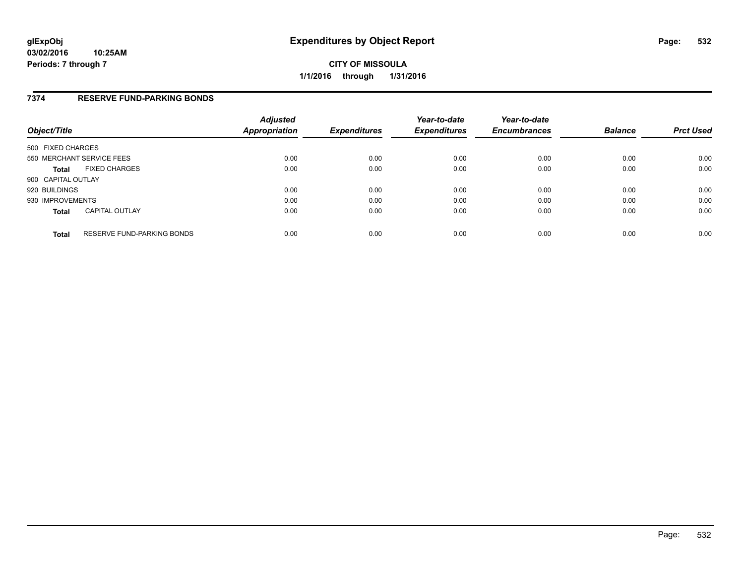### **7374 RESERVE FUND-PARKING BONDS**

| Object/Title       |                                   | <b>Adjusted</b><br>Appropriation | <b>Expenditures</b> | Year-to-date<br><b>Expenditures</b> | Year-to-date<br><b>Encumbrances</b> | <b>Balance</b> | <b>Prct Used</b> |
|--------------------|-----------------------------------|----------------------------------|---------------------|-------------------------------------|-------------------------------------|----------------|------------------|
| 500 FIXED CHARGES  |                                   |                                  |                     |                                     |                                     |                |                  |
|                    | 550 MERCHANT SERVICE FEES         | 0.00                             | 0.00                | 0.00                                | 0.00                                | 0.00           | 0.00             |
| <b>Total</b>       | <b>FIXED CHARGES</b>              | 0.00                             | 0.00                | 0.00                                | 0.00                                | 0.00           | 0.00             |
| 900 CAPITAL OUTLAY |                                   |                                  |                     |                                     |                                     |                |                  |
| 920 BUILDINGS      |                                   | 0.00                             | 0.00                | 0.00                                | 0.00                                | 0.00           | 0.00             |
| 930 IMPROVEMENTS   |                                   | 0.00                             | 0.00                | 0.00                                | 0.00                                | 0.00           | 0.00             |
| <b>Total</b>       | <b>CAPITAL OUTLAY</b>             | 0.00                             | 0.00                | 0.00                                | 0.00                                | 0.00           | 0.00             |
| <b>Total</b>       | <b>RESERVE FUND-PARKING BONDS</b> | 0.00                             | 0.00                | 0.00                                | 0.00                                | 0.00           | 0.00             |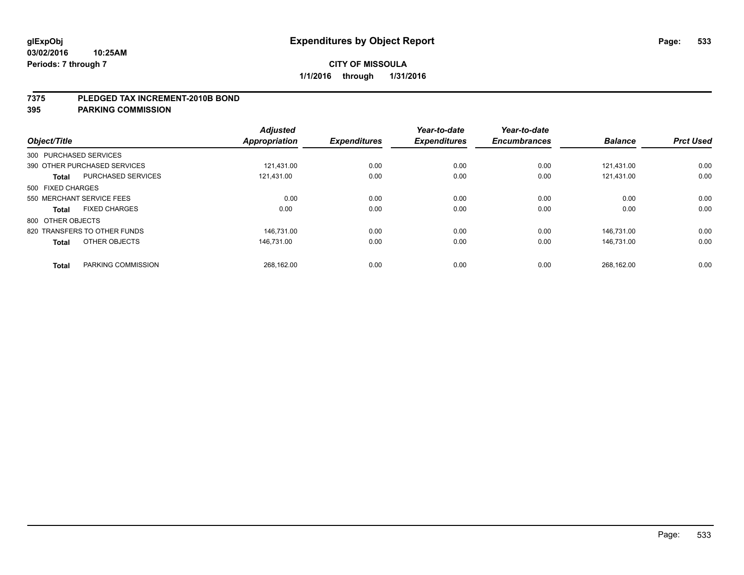#### **7375 PLEDGED TAX INCREMENT-2010B BOND**

| Object/Title           |                              | <b>Adjusted</b><br>Appropriation | <b>Expenditures</b> | Year-to-date<br><b>Expenditures</b> | Year-to-date<br><b>Encumbrances</b> | <b>Balance</b> | <b>Prct Used</b> |
|------------------------|------------------------------|----------------------------------|---------------------|-------------------------------------|-------------------------------------|----------------|------------------|
| 300 PURCHASED SERVICES |                              |                                  |                     |                                     |                                     |                |                  |
|                        | 390 OTHER PURCHASED SERVICES | 121.431.00                       | 0.00                | 0.00                                | 0.00                                | 121.431.00     | 0.00             |
| <b>Total</b>           | <b>PURCHASED SERVICES</b>    | 121,431.00                       | 0.00                | 0.00                                | 0.00                                | 121,431.00     | 0.00             |
| 500 FIXED CHARGES      |                              |                                  |                     |                                     |                                     |                |                  |
|                        | 550 MERCHANT SERVICE FEES    | 0.00                             | 0.00                | 0.00                                | 0.00                                | 0.00           | 0.00             |
| <b>Total</b>           | <b>FIXED CHARGES</b>         | 0.00                             | 0.00                | 0.00                                | 0.00                                | 0.00           | 0.00             |
| 800 OTHER OBJECTS      |                              |                                  |                     |                                     |                                     |                |                  |
|                        | 820 TRANSFERS TO OTHER FUNDS | 146.731.00                       | 0.00                | 0.00                                | 0.00                                | 146.731.00     | 0.00             |
| <b>Total</b>           | OTHER OBJECTS                | 146.731.00                       | 0.00                | 0.00                                | 0.00                                | 146.731.00     | 0.00             |
|                        |                              |                                  |                     |                                     |                                     |                |                  |
| <b>Total</b>           | PARKING COMMISSION           | 268,162.00                       | 0.00                | 0.00                                | 0.00                                | 268,162.00     | 0.00             |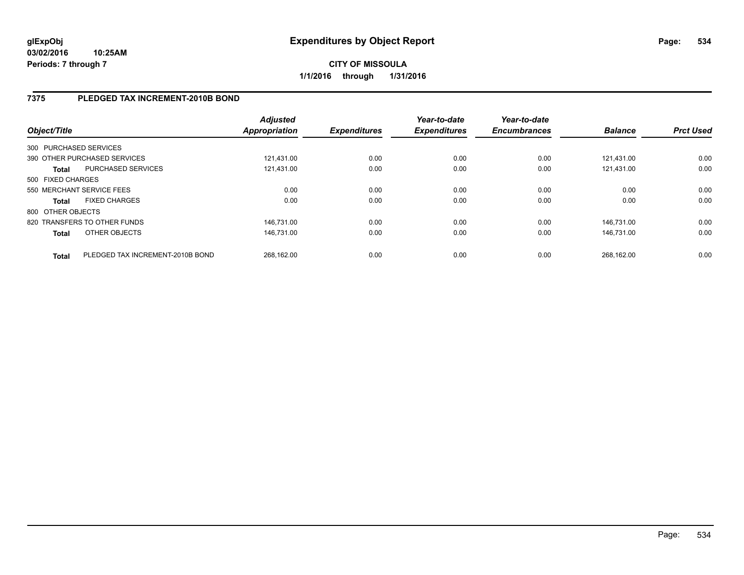## **7375 PLEDGED TAX INCREMENT-2010B BOND**

| Object/Title      |                                  | <b>Adjusted</b><br><b>Appropriation</b> | <b>Expenditures</b> | Year-to-date<br><b>Expenditures</b> | Year-to-date<br><b>Encumbrances</b> | <b>Balance</b> | <b>Prct Used</b> |
|-------------------|----------------------------------|-----------------------------------------|---------------------|-------------------------------------|-------------------------------------|----------------|------------------|
|                   | 300 PURCHASED SERVICES           |                                         |                     |                                     |                                     |                |                  |
|                   | 390 OTHER PURCHASED SERVICES     | 121.431.00                              | 0.00                | 0.00                                | 0.00                                | 121.431.00     | 0.00             |
| Total             | PURCHASED SERVICES               | 121.431.00                              | 0.00                | 0.00                                | 0.00                                | 121.431.00     | 0.00             |
| 500 FIXED CHARGES |                                  |                                         |                     |                                     |                                     |                |                  |
|                   | 550 MERCHANT SERVICE FEES        | 0.00                                    | 0.00                | 0.00                                | 0.00                                | 0.00           | 0.00             |
| Total             | <b>FIXED CHARGES</b>             | 0.00                                    | 0.00                | 0.00                                | 0.00                                | 0.00           | 0.00             |
| 800 OTHER OBJECTS |                                  |                                         |                     |                                     |                                     |                |                  |
|                   | 820 TRANSFERS TO OTHER FUNDS     | 146.731.00                              | 0.00                | 0.00                                | 0.00                                | 146.731.00     | 0.00             |
| <b>Total</b>      | OTHER OBJECTS                    | 146.731.00                              | 0.00                | 0.00                                | 0.00                                | 146.731.00     | 0.00             |
| <b>Total</b>      | PLEDGED TAX INCREMENT-2010B BOND | 268.162.00                              | 0.00                | 0.00                                | 0.00                                | 268.162.00     | 0.00             |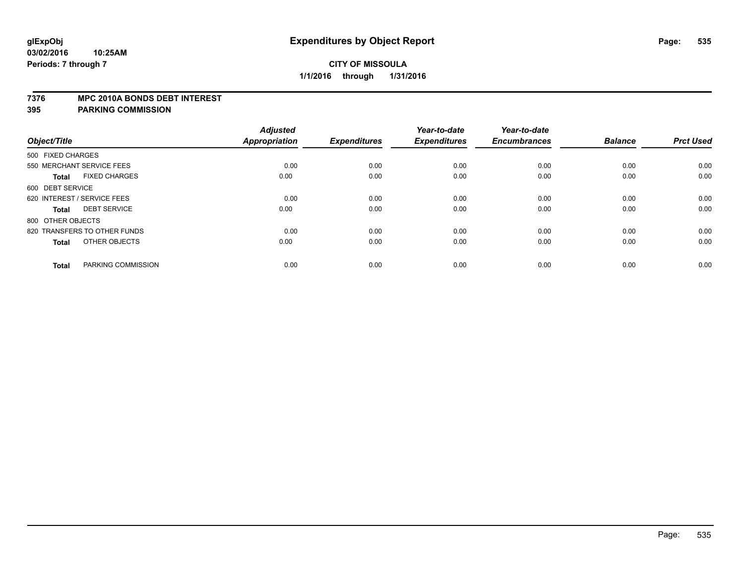#### **7376 MPC 2010A BONDS DEBT INTEREST**

|                                      | <b>Adjusted</b> |                     | Year-to-date        | Year-to-date        |                |                  |
|--------------------------------------|-----------------|---------------------|---------------------|---------------------|----------------|------------------|
| Object/Title                         | Appropriation   | <b>Expenditures</b> | <b>Expenditures</b> | <b>Encumbrances</b> | <b>Balance</b> | <b>Prct Used</b> |
| 500 FIXED CHARGES                    |                 |                     |                     |                     |                |                  |
| 550 MERCHANT SERVICE FEES            | 0.00            | 0.00                | 0.00                | 0.00                | 0.00           | 0.00             |
| <b>FIXED CHARGES</b><br><b>Total</b> | 0.00            | 0.00                | 0.00                | 0.00                | 0.00           | 0.00             |
| 600 DEBT SERVICE                     |                 |                     |                     |                     |                |                  |
| 620 INTEREST / SERVICE FEES          | 0.00            | 0.00                | 0.00                | 0.00                | 0.00           | 0.00             |
| <b>DEBT SERVICE</b><br><b>Total</b>  | 0.00            | 0.00                | 0.00                | 0.00                | 0.00           | 0.00             |
| 800 OTHER OBJECTS                    |                 |                     |                     |                     |                |                  |
| 820 TRANSFERS TO OTHER FUNDS         | 0.00            | 0.00                | 0.00                | 0.00                | 0.00           | 0.00             |
| OTHER OBJECTS<br><b>Total</b>        | 0.00            | 0.00                | 0.00                | 0.00                | 0.00           | 0.00             |
|                                      |                 |                     |                     |                     |                |                  |
| PARKING COMMISSION<br><b>Total</b>   | 0.00            | 0.00                | 0.00                | 0.00                | 0.00           | 0.00             |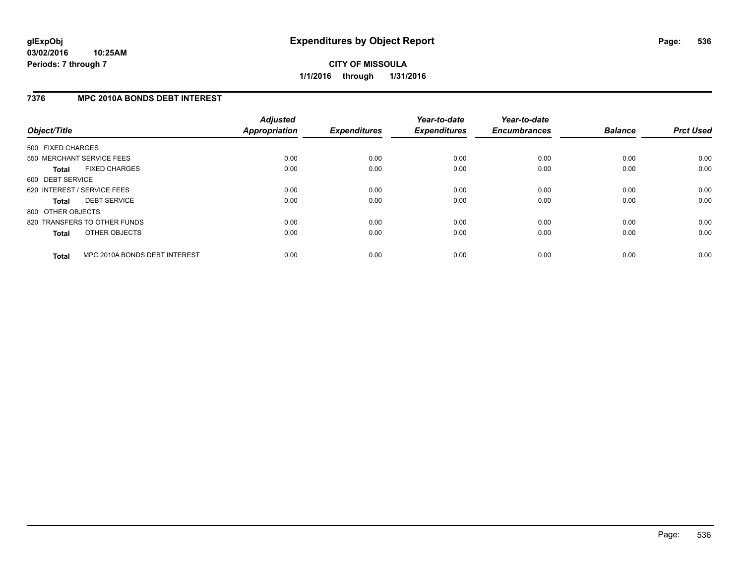# **7376 MPC 2010A BONDS DEBT INTEREST**

| Object/Title      |                               | <b>Adjusted</b><br><b>Appropriation</b> | <b>Expenditures</b> | Year-to-date<br><b>Expenditures</b> | Year-to-date<br><b>Encumbrances</b> | <b>Balance</b> | <b>Prct Used</b> |
|-------------------|-------------------------------|-----------------------------------------|---------------------|-------------------------------------|-------------------------------------|----------------|------------------|
| 500 FIXED CHARGES |                               |                                         |                     |                                     |                                     |                |                  |
|                   | 550 MERCHANT SERVICE FEES     | 0.00                                    | 0.00                | 0.00                                | 0.00                                | 0.00           | 0.00             |
| <b>Total</b>      | <b>FIXED CHARGES</b>          | 0.00                                    | 0.00                | 0.00                                | 0.00                                | 0.00           | 0.00             |
| 600 DEBT SERVICE  |                               |                                         |                     |                                     |                                     |                |                  |
|                   | 620 INTEREST / SERVICE FEES   | 0.00                                    | 0.00                | 0.00                                | 0.00                                | 0.00           | 0.00             |
| <b>Total</b>      | <b>DEBT SERVICE</b>           | 0.00                                    | 0.00                | 0.00                                | 0.00                                | 0.00           | 0.00             |
| 800 OTHER OBJECTS |                               |                                         |                     |                                     |                                     |                |                  |
|                   | 820 TRANSFERS TO OTHER FUNDS  | 0.00                                    | 0.00                | 0.00                                | 0.00                                | 0.00           | 0.00             |
| <b>Total</b>      | OTHER OBJECTS                 | 0.00                                    | 0.00                | 0.00                                | 0.00                                | 0.00           | 0.00             |
| <b>Total</b>      | MPC 2010A BONDS DEBT INTEREST | 0.00                                    | 0.00                | 0.00                                | 0.00                                | 0.00           | 0.00             |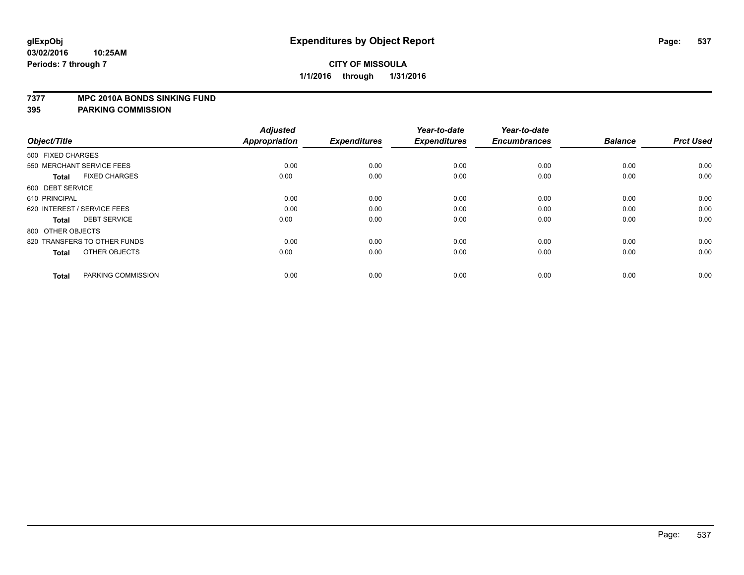#### **7377 MPC 2010A BONDS SINKING FUND**

| Object/Title                         | <b>Adjusted</b><br><b>Appropriation</b> | <b>Expenditures</b> | Year-to-date<br><b>Expenditures</b> | Year-to-date<br><b>Encumbrances</b> | <b>Balance</b> | <b>Prct Used</b> |
|--------------------------------------|-----------------------------------------|---------------------|-------------------------------------|-------------------------------------|----------------|------------------|
| 500 FIXED CHARGES                    |                                         |                     |                                     |                                     |                |                  |
| 550 MERCHANT SERVICE FEES            | 0.00                                    | 0.00                | 0.00                                | 0.00                                | 0.00           | 0.00             |
| <b>FIXED CHARGES</b><br><b>Total</b> | 0.00                                    | 0.00                | 0.00                                | 0.00                                | 0.00           | 0.00             |
| 600 DEBT SERVICE                     |                                         |                     |                                     |                                     |                |                  |
| 610 PRINCIPAL                        | 0.00                                    | 0.00                | 0.00                                | 0.00                                | 0.00           | 0.00             |
| 620 INTEREST / SERVICE FEES          | 0.00                                    | 0.00                | 0.00                                | 0.00                                | 0.00           | 0.00             |
| <b>DEBT SERVICE</b><br><b>Total</b>  | 0.00                                    | 0.00                | 0.00                                | 0.00                                | 0.00           | 0.00             |
| 800 OTHER OBJECTS                    |                                         |                     |                                     |                                     |                |                  |
| 820 TRANSFERS TO OTHER FUNDS         | 0.00                                    | 0.00                | 0.00                                | 0.00                                | 0.00           | 0.00             |
| OTHER OBJECTS<br><b>Total</b>        | 0.00                                    | 0.00                | 0.00                                | 0.00                                | 0.00           | 0.00             |
|                                      |                                         |                     |                                     |                                     |                |                  |
| PARKING COMMISSION<br><b>Total</b>   | 0.00                                    | 0.00                | 0.00                                | 0.00                                | 0.00           | 0.00             |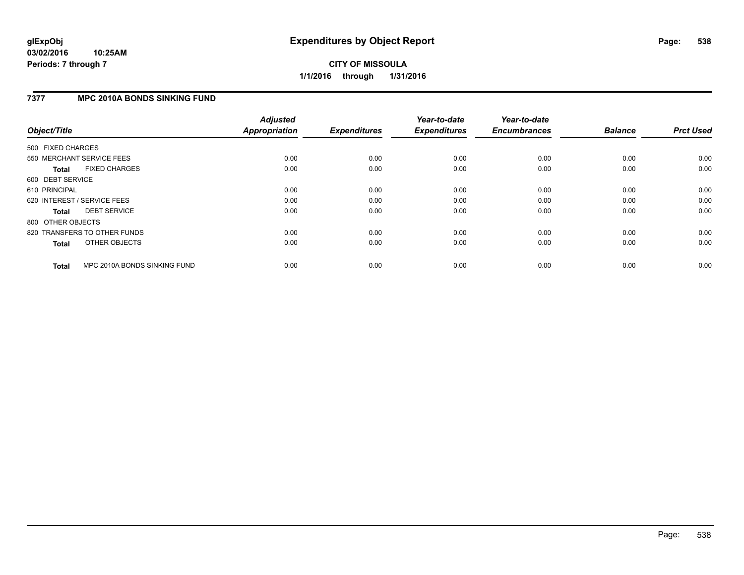## **7377 MPC 2010A BONDS SINKING FUND**

| Object/Title      |                              | <b>Adjusted</b><br>Appropriation | <b>Expenditures</b> | Year-to-date<br><b>Expenditures</b> | Year-to-date<br><b>Encumbrances</b> | <b>Balance</b> | <b>Prct Used</b> |
|-------------------|------------------------------|----------------------------------|---------------------|-------------------------------------|-------------------------------------|----------------|------------------|
| 500 FIXED CHARGES |                              |                                  |                     |                                     |                                     |                |                  |
|                   | 550 MERCHANT SERVICE FEES    | 0.00                             | 0.00                | 0.00                                | 0.00                                | 0.00           | 0.00             |
| <b>Total</b>      | <b>FIXED CHARGES</b>         | 0.00                             | 0.00                | 0.00                                | 0.00                                | 0.00           | 0.00             |
| 600 DEBT SERVICE  |                              |                                  |                     |                                     |                                     |                |                  |
| 610 PRINCIPAL     |                              | 0.00                             | 0.00                | 0.00                                | 0.00                                | 0.00           | 0.00             |
|                   | 620 INTEREST / SERVICE FEES  | 0.00                             | 0.00                | 0.00                                | 0.00                                | 0.00           | 0.00             |
| Total             | <b>DEBT SERVICE</b>          | 0.00                             | 0.00                | 0.00                                | 0.00                                | 0.00           | 0.00             |
| 800 OTHER OBJECTS |                              |                                  |                     |                                     |                                     |                |                  |
|                   | 820 TRANSFERS TO OTHER FUNDS | 0.00                             | 0.00                | 0.00                                | 0.00                                | 0.00           | 0.00             |
| <b>Total</b>      | OTHER OBJECTS                | 0.00                             | 0.00                | 0.00                                | 0.00                                | 0.00           | 0.00             |
| <b>Total</b>      | MPC 2010A BONDS SINKING FUND | 0.00                             | 0.00                | 0.00                                | 0.00                                | 0.00           | 0.00             |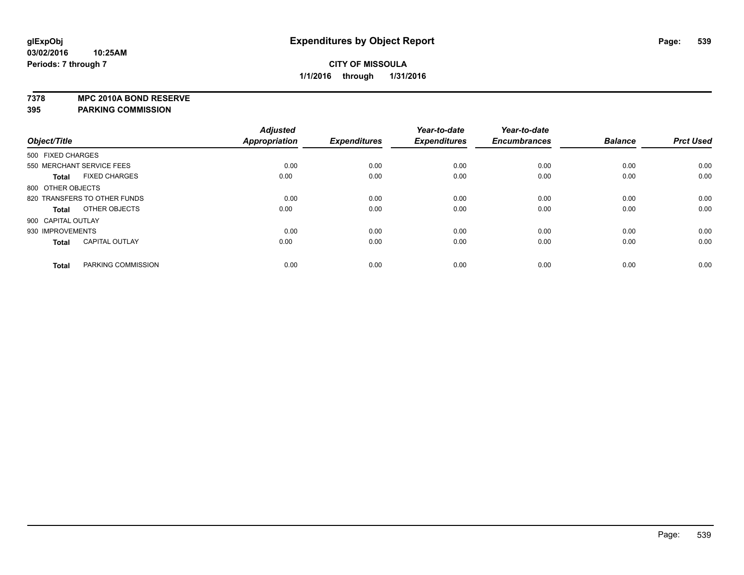**7378 MPC 2010A BOND RESERVE**

|                    |                              | <b>Adjusted</b>      |                     | Year-to-date        | Year-to-date        |                |                  |
|--------------------|------------------------------|----------------------|---------------------|---------------------|---------------------|----------------|------------------|
| Object/Title       |                              | <b>Appropriation</b> | <b>Expenditures</b> | <b>Expenditures</b> | <b>Encumbrances</b> | <b>Balance</b> | <b>Prct Used</b> |
| 500 FIXED CHARGES  |                              |                      |                     |                     |                     |                |                  |
|                    | 550 MERCHANT SERVICE FEES    | 0.00                 | 0.00                | 0.00                | 0.00                | 0.00           | 0.00             |
| <b>Total</b>       | <b>FIXED CHARGES</b>         | 0.00                 | 0.00                | 0.00                | 0.00                | 0.00           | 0.00             |
| 800 OTHER OBJECTS  |                              |                      |                     |                     |                     |                |                  |
|                    | 820 TRANSFERS TO OTHER FUNDS | 0.00                 | 0.00                | 0.00                | 0.00                | 0.00           | 0.00             |
| <b>Total</b>       | OTHER OBJECTS                | 0.00                 | 0.00                | 0.00                | 0.00                | 0.00           | 0.00             |
| 900 CAPITAL OUTLAY |                              |                      |                     |                     |                     |                |                  |
| 930 IMPROVEMENTS   |                              | 0.00                 | 0.00                | 0.00                | 0.00                | 0.00           | 0.00             |
| <b>Total</b>       | <b>CAPITAL OUTLAY</b>        | 0.00                 | 0.00                | 0.00                | 0.00                | 0.00           | 0.00             |
| <b>Total</b>       | PARKING COMMISSION           | 0.00                 | 0.00                | 0.00                | 0.00                | 0.00           | 0.00             |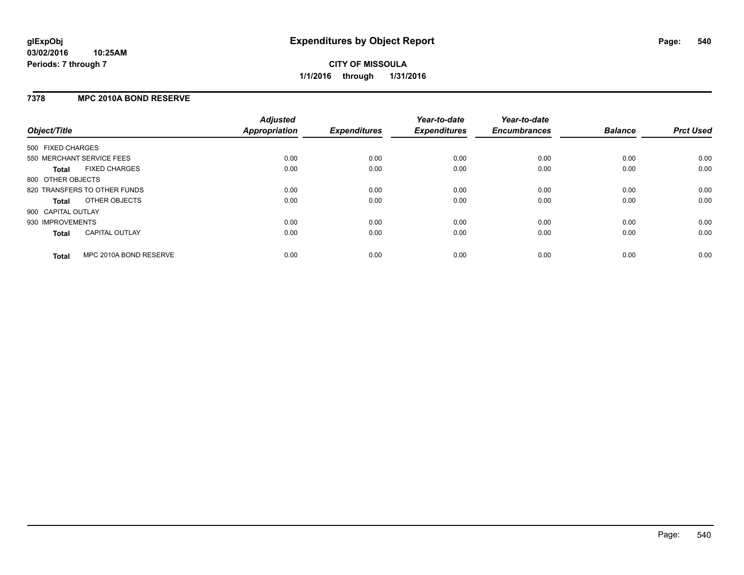### **03/02/2016 10:25AM Periods: 7 through 7**

# **CITY OF MISSOULA 1/1/2016 through 1/31/2016**

## **7378 MPC 2010A BOND RESERVE**

| Object/Title       |                              | <b>Adjusted</b><br>Appropriation | <b>Expenditures</b> | Year-to-date<br><b>Expenditures</b> | Year-to-date<br><b>Encumbrances</b> | <b>Balance</b> | <b>Prct Used</b> |
|--------------------|------------------------------|----------------------------------|---------------------|-------------------------------------|-------------------------------------|----------------|------------------|
| 500 FIXED CHARGES  |                              |                                  |                     |                                     |                                     |                |                  |
|                    | 550 MERCHANT SERVICE FEES    | 0.00                             | 0.00                | 0.00                                | 0.00                                | 0.00           | 0.00             |
| <b>Total</b>       | <b>FIXED CHARGES</b>         | 0.00                             | 0.00                | 0.00                                | 0.00                                | 0.00           | 0.00             |
| 800 OTHER OBJECTS  |                              |                                  |                     |                                     |                                     |                |                  |
|                    | 820 TRANSFERS TO OTHER FUNDS | 0.00                             | 0.00                | 0.00                                | 0.00                                | 0.00           | 0.00             |
| Total              | OTHER OBJECTS                | 0.00                             | 0.00                | 0.00                                | 0.00                                | 0.00           | 0.00             |
| 900 CAPITAL OUTLAY |                              |                                  |                     |                                     |                                     |                |                  |
| 930 IMPROVEMENTS   |                              | 0.00                             | 0.00                | 0.00                                | 0.00                                | 0.00           | 0.00             |
| <b>Total</b>       | <b>CAPITAL OUTLAY</b>        | 0.00                             | 0.00                | 0.00                                | 0.00                                | 0.00           | 0.00             |
| <b>Total</b>       | MPC 2010A BOND RESERVE       | 0.00                             | 0.00                | 0.00                                | 0.00                                | 0.00           | 0.00             |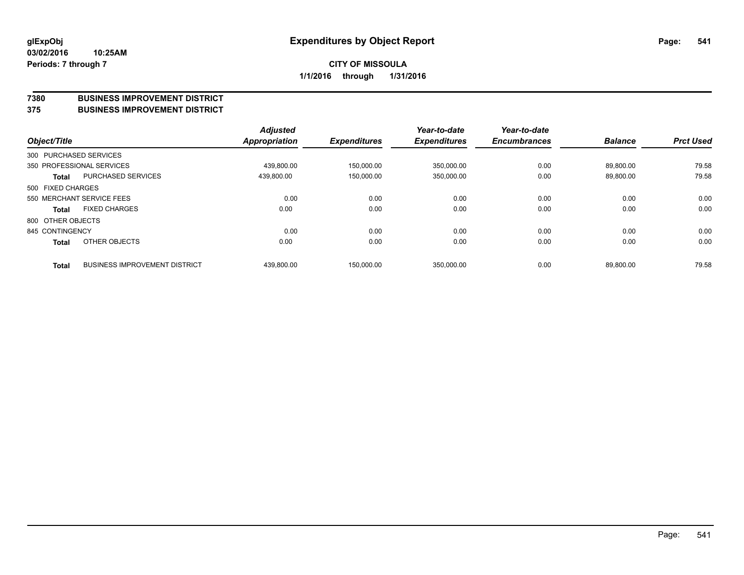#### **7380 BUSINESS IMPROVEMENT DISTRICT**

**375 BUSINESS IMPROVEMENT DISTRICT**

| Object/Title      |                                      | <b>Adjusted</b><br><b>Appropriation</b> | <b>Expenditures</b> | Year-to-date<br><b>Expenditures</b> | Year-to-date<br><b>Encumbrances</b> | <b>Balance</b> | <b>Prct Used</b> |
|-------------------|--------------------------------------|-----------------------------------------|---------------------|-------------------------------------|-------------------------------------|----------------|------------------|
|                   | 300 PURCHASED SERVICES               |                                         |                     |                                     |                                     |                |                  |
|                   | 350 PROFESSIONAL SERVICES            | 439,800.00                              | 150,000.00          | 350,000.00                          | 0.00                                | 89,800.00      | 79.58            |
| <b>Total</b>      | PURCHASED SERVICES                   | 439.800.00                              | 150.000.00          | 350,000.00                          | 0.00                                | 89.800.00      | 79.58            |
| 500 FIXED CHARGES |                                      |                                         |                     |                                     |                                     |                |                  |
|                   | 550 MERCHANT SERVICE FEES            | 0.00                                    | 0.00                | 0.00                                | 0.00                                | 0.00           | 0.00             |
| <b>Total</b>      | <b>FIXED CHARGES</b>                 | 0.00                                    | 0.00                | 0.00                                | 0.00                                | 0.00           | 0.00             |
| 800 OTHER OBJECTS |                                      |                                         |                     |                                     |                                     |                |                  |
| 845 CONTINGENCY   |                                      | 0.00                                    | 0.00                | 0.00                                | 0.00                                | 0.00           | 0.00             |
| <b>Total</b>      | OTHER OBJECTS                        | 0.00                                    | 0.00                | 0.00                                | 0.00                                | 0.00           | 0.00             |
| <b>Total</b>      | <b>BUSINESS IMPROVEMENT DISTRICT</b> | 439,800.00                              | 150.000.00          | 350,000.00                          | 0.00                                | 89,800.00      | 79.58            |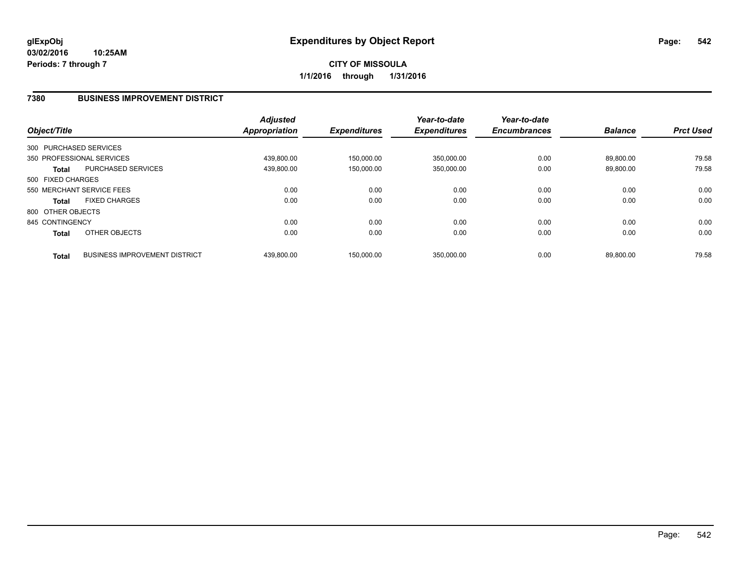#### **7380 BUSINESS IMPROVEMENT DISTRICT**

| Object/Title      |                                      | <b>Adjusted</b><br><b>Appropriation</b> | <b>Expenditures</b> | Year-to-date<br><b>Expenditures</b> | Year-to-date<br><b>Encumbrances</b> | <b>Balance</b> | <b>Prct Used</b> |
|-------------------|--------------------------------------|-----------------------------------------|---------------------|-------------------------------------|-------------------------------------|----------------|------------------|
|                   | 300 PURCHASED SERVICES               |                                         |                     |                                     |                                     |                |                  |
|                   | 350 PROFESSIONAL SERVICES            | 439,800.00                              | 150.000.00          | 350,000.00                          | 0.00                                | 89.800.00      | 79.58            |
| <b>Total</b>      | <b>PURCHASED SERVICES</b>            | 439,800.00                              | 150,000.00          | 350,000.00                          | 0.00                                | 89,800.00      | 79.58            |
| 500 FIXED CHARGES |                                      |                                         |                     |                                     |                                     |                |                  |
|                   | 550 MERCHANT SERVICE FEES            | 0.00                                    | 0.00                | 0.00                                | 0.00                                | 0.00           | 0.00             |
| <b>Total</b>      | <b>FIXED CHARGES</b>                 | 0.00                                    | 0.00                | 0.00                                | 0.00                                | 0.00           | 0.00             |
| 800 OTHER OBJECTS |                                      |                                         |                     |                                     |                                     |                |                  |
| 845 CONTINGENCY   |                                      | 0.00                                    | 0.00                | 0.00                                | 0.00                                | 0.00           | 0.00             |
| <b>Total</b>      | OTHER OBJECTS                        | 0.00                                    | 0.00                | 0.00                                | 0.00                                | 0.00           | 0.00             |
| <b>Total</b>      | <b>BUSINESS IMPROVEMENT DISTRICT</b> | 439.800.00                              | 150.000.00          | 350.000.00                          | 0.00                                | 89.800.00      | 79.58            |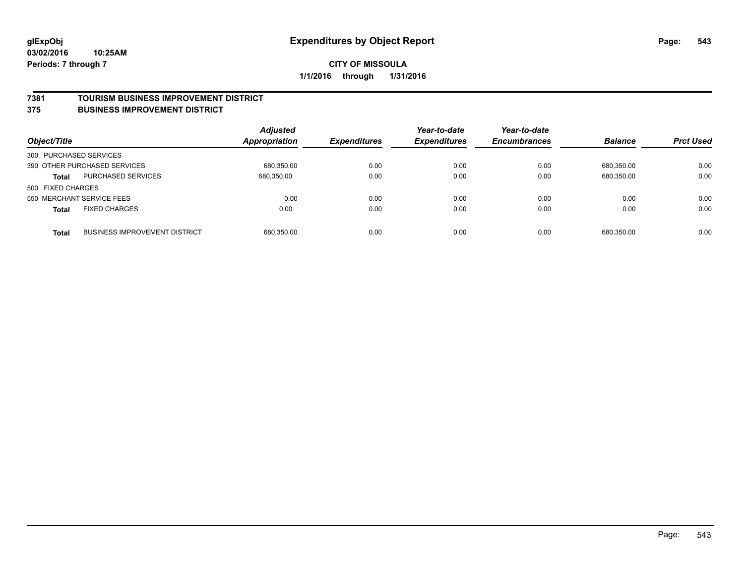#### **7381 TOURISM BUSINESS IMPROVEMENT DISTRICT**

#### **375 BUSINESS IMPROVEMENT DISTRICT**

| Object/Title                              |                                      | <b>Adjusted</b><br><b>Appropriation</b> | <b>Expenditures</b> | Year-to-date<br><b>Expenditures</b> | Year-to-date<br><b>Encumbrances</b> | <b>Balance</b> | <b>Prct Used</b> |
|-------------------------------------------|--------------------------------------|-----------------------------------------|---------------------|-------------------------------------|-------------------------------------|----------------|------------------|
| 300 PURCHASED SERVICES                    |                                      |                                         |                     |                                     |                                     |                |                  |
| 390 OTHER PURCHASED SERVICES              |                                      | 680.350.00                              | 0.00                | 0.00                                | 0.00                                | 680.350.00     | 0.00             |
| <b>PURCHASED SERVICES</b><br><b>Total</b> |                                      | 680,350.00                              | 0.00                | 0.00                                | 0.00                                | 680,350.00     | 0.00             |
| 500 FIXED CHARGES                         |                                      |                                         |                     |                                     |                                     |                |                  |
| 550 MERCHANT SERVICE FEES                 |                                      | 0.00                                    | 0.00                | 0.00                                | 0.00                                | 0.00           | 0.00             |
| <b>FIXED CHARGES</b><br><b>Total</b>      |                                      | 0.00                                    | 0.00                | 0.00                                | 0.00                                | 0.00           | 0.00             |
| <b>Total</b>                              | <b>BUSINESS IMPROVEMENT DISTRICT</b> | 680,350.00                              | 0.00                | 0.00                                | 0.00                                | 680.350.00     | 0.00             |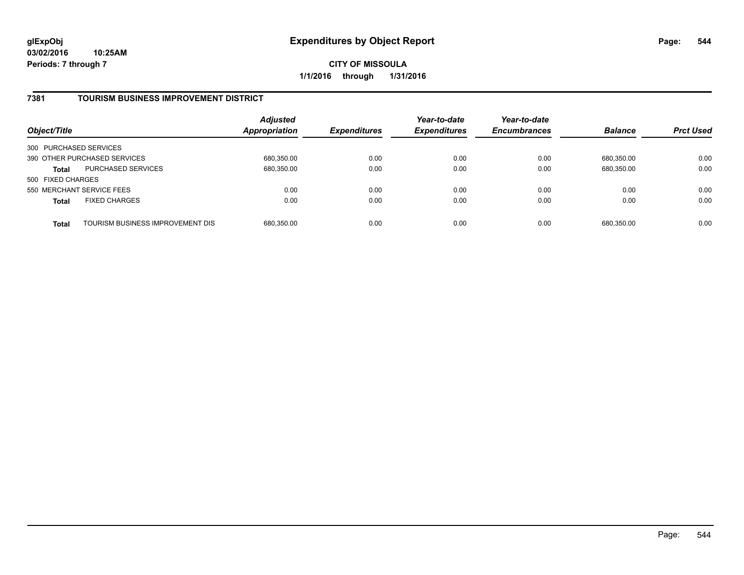#### **7381 TOURISM BUSINESS IMPROVEMENT DISTRICT**

| Object/Title           |                                  | <b>Adjusted</b><br><b>Appropriation</b> | <b>Expenditures</b> | Year-to-date<br><b>Expenditures</b> | Year-to-date<br><b>Encumbrances</b> | <b>Balance</b> | <b>Prct Used</b> |
|------------------------|----------------------------------|-----------------------------------------|---------------------|-------------------------------------|-------------------------------------|----------------|------------------|
| 300 PURCHASED SERVICES |                                  |                                         |                     |                                     |                                     |                |                  |
|                        | 390 OTHER PURCHASED SERVICES     | 680,350.00                              | 0.00                | 0.00                                | 0.00                                | 680.350.00     | 0.00             |
| Total                  | <b>PURCHASED SERVICES</b>        | 680,350.00                              | 0.00                | 0.00                                | 0.00                                | 680,350.00     | 0.00             |
| 500 FIXED CHARGES      |                                  |                                         |                     |                                     |                                     |                |                  |
|                        | 550 MERCHANT SERVICE FEES        | 0.00                                    | 0.00                | 0.00                                | 0.00                                | 0.00           | 0.00             |
| <b>Total</b>           | <b>FIXED CHARGES</b>             | 0.00                                    | 0.00                | 0.00                                | 0.00                                | 0.00           | 0.00             |
| <b>Total</b>           | TOURISM BUSINESS IMPROVEMENT DIS | 680,350.00                              | 0.00                | 0.00                                | 0.00                                | 680,350.00     | 0.00             |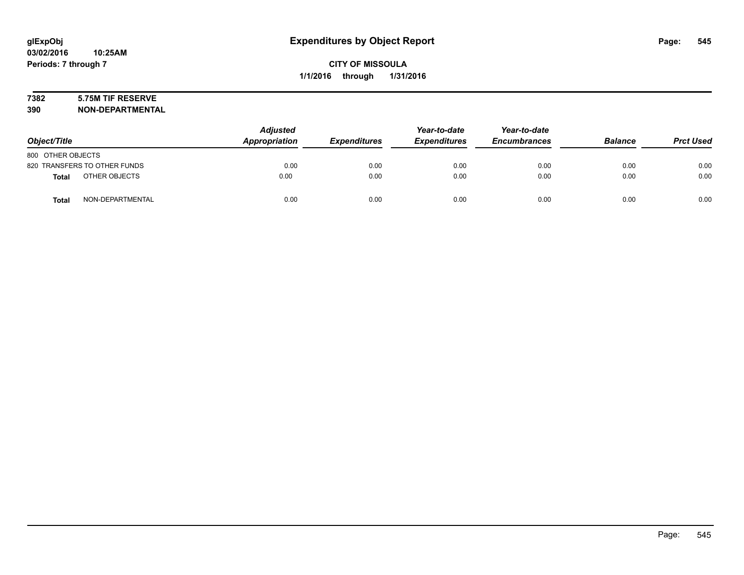# **7382 5.75M TIF RESERVE**

**390 NON-DEPARTMENTAL**

| Object/Title                 |                  | <b>Adjusted</b><br>Appropriation | <b>Expenditures</b> | Year-to-date<br><b>Expenditures</b> | Year-to-date<br><b>Encumbrances</b> | <b>Balance</b> | <b>Prct Used</b> |
|------------------------------|------------------|----------------------------------|---------------------|-------------------------------------|-------------------------------------|----------------|------------------|
| 800 OTHER OBJECTS            |                  |                                  |                     |                                     |                                     |                |                  |
| 820 TRANSFERS TO OTHER FUNDS |                  | 0.00                             | 0.00                | 0.00                                | 0.00                                | 0.00           | 0.00             |
| <b>Total</b>                 | OTHER OBJECTS    | 0.00                             | 0.00                | 0.00                                | 0.00                                | 0.00           | 0.00             |
| <b>Total</b>                 | NON-DEPARTMENTAL | 0.00                             | 0.00                | 0.00                                | 0.00                                | 0.00           | 0.00             |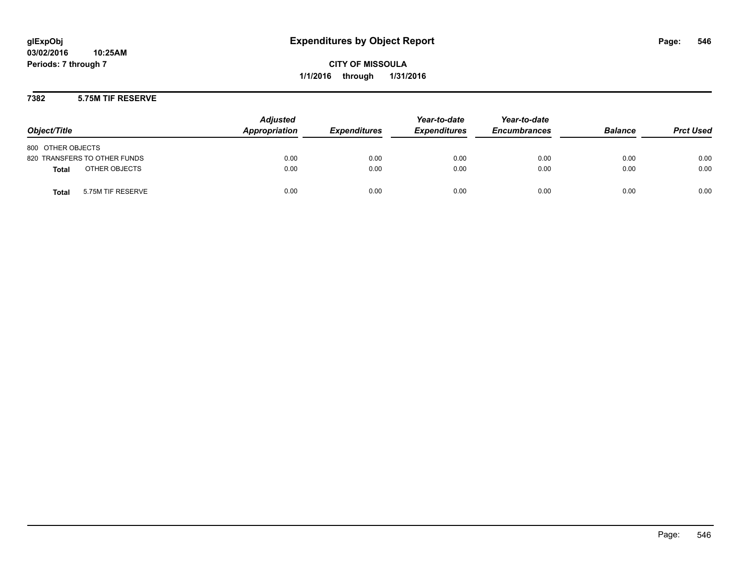#### **7382 5.75M TIF RESERVE**

| Object/Title                      | <b>Adjusted</b><br>Appropriation | <b>Expenditures</b> | Year-to-date<br><b>Expenditures</b> | Year-to-date<br><b>Encumbrances</b> | <b>Balance</b> | <b>Prct Used</b> |
|-----------------------------------|----------------------------------|---------------------|-------------------------------------|-------------------------------------|----------------|------------------|
| 800 OTHER OBJECTS                 |                                  |                     |                                     |                                     |                |                  |
| 820 TRANSFERS TO OTHER FUNDS      | 0.00                             | 0.00                | 0.00                                | 0.00                                | 0.00           | 0.00             |
| OTHER OBJECTS<br><b>Total</b>     | 0.00                             | 0.00                | 0.00                                | 0.00                                | 0.00           | 0.00             |
| 5.75M TIF RESERVE<br><b>Total</b> | 0.00                             | 0.00                | 0.00                                | 0.00                                | 0.00           | 0.00             |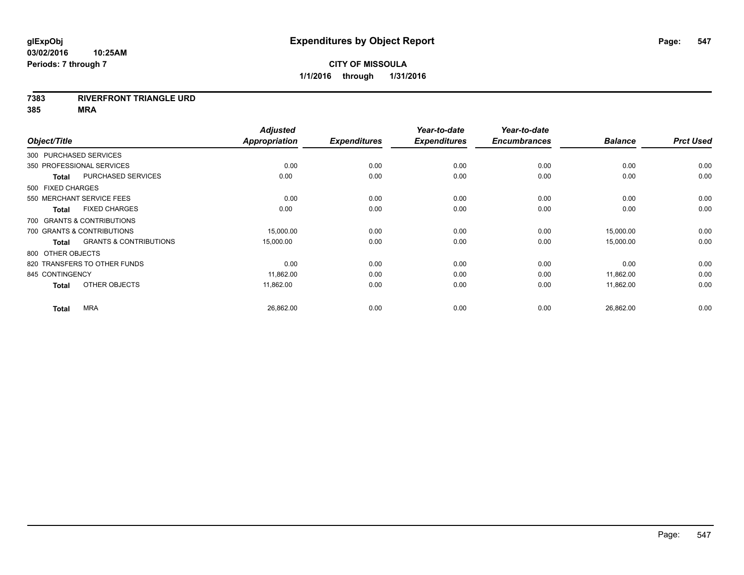#### **7383 RIVERFRONT TRIANGLE URD**

|                 |                                                   | <b>Adjusted</b> |                     | Year-to-date        | Year-to-date        |                |                  |
|-----------------|---------------------------------------------------|-----------------|---------------------|---------------------|---------------------|----------------|------------------|
| Object/Title    |                                                   | Appropriation   | <b>Expenditures</b> | <b>Expenditures</b> | <b>Encumbrances</b> | <b>Balance</b> | <b>Prct Used</b> |
|                 | 300 PURCHASED SERVICES                            |                 |                     |                     |                     |                |                  |
|                 | 350 PROFESSIONAL SERVICES                         | 0.00            | 0.00                | 0.00                | 0.00                | 0.00           | 0.00             |
|                 | <b>PURCHASED SERVICES</b><br><b>Total</b>         | 0.00            | 0.00                | 0.00                | 0.00                | 0.00           | 0.00             |
|                 | 500 FIXED CHARGES                                 |                 |                     |                     |                     |                |                  |
|                 | 550 MERCHANT SERVICE FEES                         | 0.00            | 0.00                | 0.00                | 0.00                | 0.00           | 0.00             |
|                 | <b>FIXED CHARGES</b><br><b>Total</b>              | 0.00            | 0.00                | 0.00                | 0.00                | 0.00           | 0.00             |
|                 | 700 GRANTS & CONTRIBUTIONS                        |                 |                     |                     |                     |                |                  |
|                 | 700 GRANTS & CONTRIBUTIONS                        | 15,000.00       | 0.00                | 0.00                | 0.00                | 15,000.00      | 0.00             |
|                 | <b>GRANTS &amp; CONTRIBUTIONS</b><br><b>Total</b> | 15,000.00       | 0.00                | 0.00                | 0.00                | 15,000.00      | 0.00             |
|                 | 800 OTHER OBJECTS                                 |                 |                     |                     |                     |                |                  |
|                 | 820 TRANSFERS TO OTHER FUNDS                      | 0.00            | 0.00                | 0.00                | 0.00                | 0.00           | 0.00             |
| 845 CONTINGENCY |                                                   | 11,862.00       | 0.00                | 0.00                | 0.00                | 11,862.00      | 0.00             |
|                 | OTHER OBJECTS<br><b>Total</b>                     | 11,862.00       | 0.00                | 0.00                | 0.00                | 11,862.00      | 0.00             |
|                 | <b>MRA</b><br><b>Total</b>                        | 26,862.00       | 0.00                | 0.00                | 0.00                | 26,862.00      | 0.00             |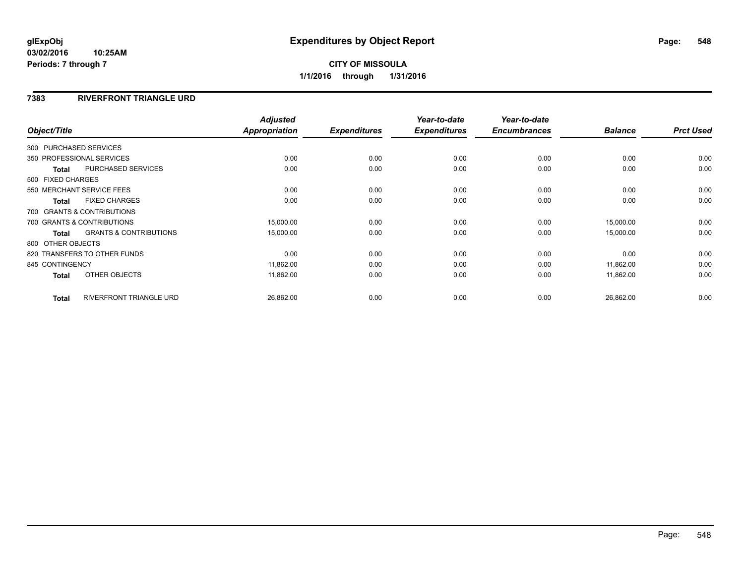#### **03/02/2016 10:25AM Periods: 7 through 7**

# **CITY OF MISSOULA 1/1/2016 through 1/31/2016**

#### **7383 RIVERFRONT TRIANGLE URD**

| Object/Title      |                                   | <b>Adjusted</b><br>Appropriation | <b>Expenditures</b> | Year-to-date<br><b>Expenditures</b> | Year-to-date<br><b>Encumbrances</b> | <b>Balance</b> | <b>Prct Used</b> |
|-------------------|-----------------------------------|----------------------------------|---------------------|-------------------------------------|-------------------------------------|----------------|------------------|
|                   |                                   |                                  |                     |                                     |                                     |                |                  |
|                   | 300 PURCHASED SERVICES            |                                  |                     |                                     |                                     |                |                  |
|                   | 350 PROFESSIONAL SERVICES         | 0.00                             | 0.00                | 0.00                                | 0.00                                | 0.00           | 0.00             |
| <b>Total</b>      | PURCHASED SERVICES                | 0.00                             | 0.00                | 0.00                                | 0.00                                | 0.00           | 0.00             |
| 500 FIXED CHARGES |                                   |                                  |                     |                                     |                                     |                |                  |
|                   | 550 MERCHANT SERVICE FEES         | 0.00                             | 0.00                | 0.00                                | 0.00                                | 0.00           | 0.00             |
| <b>Total</b>      | <b>FIXED CHARGES</b>              | 0.00                             | 0.00                | 0.00                                | 0.00                                | 0.00           | 0.00             |
|                   | 700 GRANTS & CONTRIBUTIONS        |                                  |                     |                                     |                                     |                |                  |
|                   | 700 GRANTS & CONTRIBUTIONS        | 15,000.00                        | 0.00                | 0.00                                | 0.00                                | 15,000.00      | 0.00             |
| <b>Total</b>      | <b>GRANTS &amp; CONTRIBUTIONS</b> | 15,000.00                        | 0.00                | 0.00                                | 0.00                                | 15,000.00      | 0.00             |
| 800 OTHER OBJECTS |                                   |                                  |                     |                                     |                                     |                |                  |
|                   | 820 TRANSFERS TO OTHER FUNDS      | 0.00                             | 0.00                | 0.00                                | 0.00                                | 0.00           | 0.00             |
| 845 CONTINGENCY   |                                   | 11,862.00                        | 0.00                | 0.00                                | 0.00                                | 11,862.00      | 0.00             |
| <b>Total</b>      | OTHER OBJECTS                     | 11,862.00                        | 0.00                | 0.00                                | 0.00                                | 11,862.00      | 0.00             |
| <b>Total</b>      | RIVERFRONT TRIANGLE URD           | 26,862.00                        | 0.00                | 0.00                                | 0.00                                | 26,862.00      | 0.00             |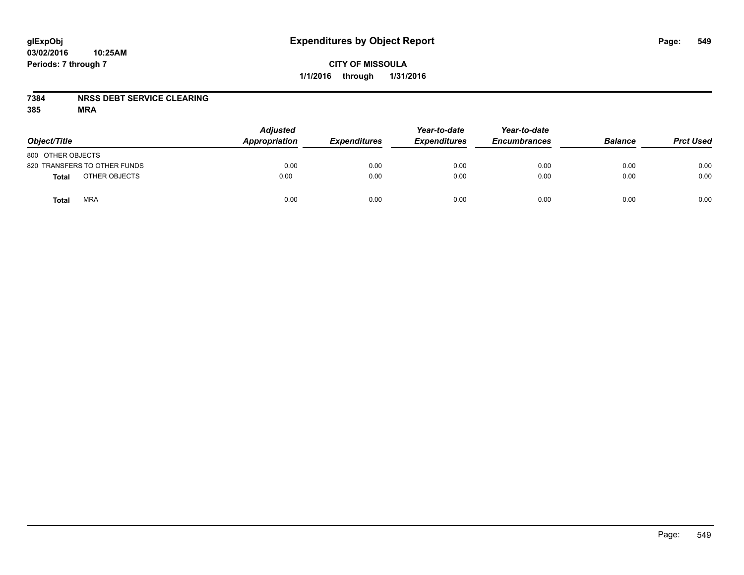#### **7384 NRSS DEBT SERVICE CLEARING**

| Object/Title                 | <b>Adjusted</b><br>Appropriation | <b>Expenditures</b> | Year-to-date<br><b>Expenditures</b> | Year-to-date<br><b>Encumbrances</b> | <b>Balance</b> | <b>Prct Used</b> |
|------------------------------|----------------------------------|---------------------|-------------------------------------|-------------------------------------|----------------|------------------|
| 800 OTHER OBJECTS            |                                  |                     |                                     |                                     |                |                  |
| 820 TRANSFERS TO OTHER FUNDS | 0.00                             | 0.00                | 0.00                                | 0.00                                | 0.00           | 0.00             |
| OTHER OBJECTS<br>Total       | 0.00                             | 0.00                | 0.00                                | 0.00                                | 0.00           | 0.00             |
| <b>MRA</b><br><b>Total</b>   | 0.00                             | 0.00                | 0.00                                | 0.00                                | 0.00           | 0.00             |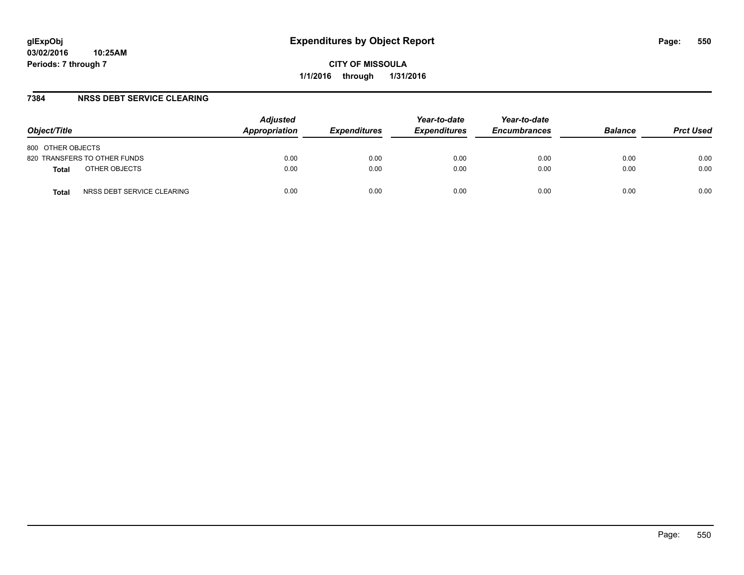#### **7384 NRSS DEBT SERVICE CLEARING**

| Object/Title                        | <b>Adjusted</b><br>Appropriation | <i><b>Expenditures</b></i> | Year-to-date<br><b>Expenditures</b> | Year-to-date<br><b>Encumbrances</b> | <b>Balance</b> | <b>Prct Used</b> |
|-------------------------------------|----------------------------------|----------------------------|-------------------------------------|-------------------------------------|----------------|------------------|
| 800 OTHER OBJECTS                   |                                  |                            |                                     |                                     |                |                  |
| 820 TRANSFERS TO OTHER FUNDS        | 0.00                             | 0.00                       | 0.00                                | 0.00                                | 0.00           | 0.00             |
| OTHER OBJECTS<br><b>Total</b>       | 0.00                             | 0.00                       | 0.00                                | 0.00                                | 0.00           | 0.00             |
| NRSS DEBT SERVICE CLEARING<br>Total | 0.00                             | 0.00                       | 0.00                                | 0.00                                | 0.00           | 0.00             |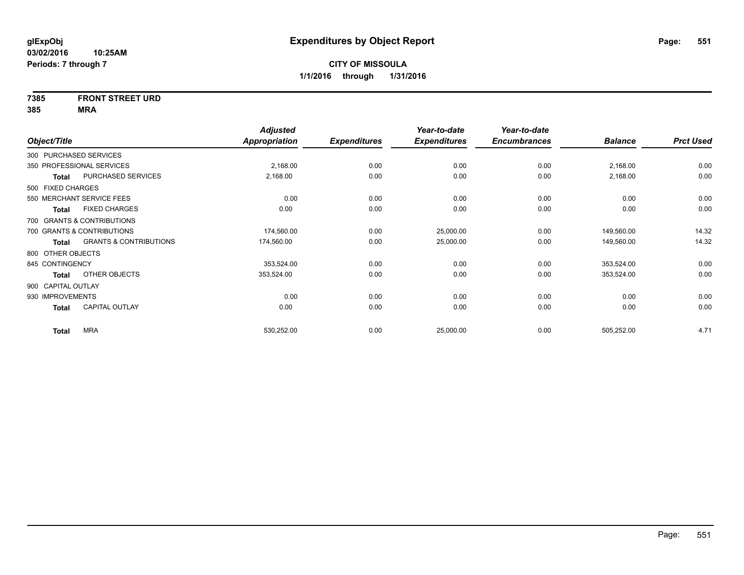# **7385 FRONT STREET URD**

|                    |                                   | <b>Adjusted</b>      |                     | Year-to-date        | Year-to-date        |                |                  |
|--------------------|-----------------------------------|----------------------|---------------------|---------------------|---------------------|----------------|------------------|
| Object/Title       |                                   | <b>Appropriation</b> | <b>Expenditures</b> | <b>Expenditures</b> | <b>Encumbrances</b> | <b>Balance</b> | <b>Prct Used</b> |
|                    | 300 PURCHASED SERVICES            |                      |                     |                     |                     |                |                  |
|                    | 350 PROFESSIONAL SERVICES         | 2,168.00             | 0.00                | 0.00                | 0.00                | 2,168.00       | 0.00             |
| Total              | PURCHASED SERVICES                | 2,168.00             | 0.00                | 0.00                | 0.00                | 2,168.00       | 0.00             |
| 500 FIXED CHARGES  |                                   |                      |                     |                     |                     |                |                  |
|                    | 550 MERCHANT SERVICE FEES         | 0.00                 | 0.00                | 0.00                | 0.00                | 0.00           | 0.00             |
| Total              | <b>FIXED CHARGES</b>              | 0.00                 | 0.00                | 0.00                | 0.00                | 0.00           | 0.00             |
|                    | 700 GRANTS & CONTRIBUTIONS        |                      |                     |                     |                     |                |                  |
|                    | 700 GRANTS & CONTRIBUTIONS        | 174,560.00           | 0.00                | 25,000.00           | 0.00                | 149,560.00     | 14.32            |
| Total              | <b>GRANTS &amp; CONTRIBUTIONS</b> | 174,560.00           | 0.00                | 25,000.00           | 0.00                | 149,560.00     | 14.32            |
| 800 OTHER OBJECTS  |                                   |                      |                     |                     |                     |                |                  |
| 845 CONTINGENCY    |                                   | 353,524.00           | 0.00                | 0.00                | 0.00                | 353,524.00     | 0.00             |
| <b>Total</b>       | OTHER OBJECTS                     | 353,524.00           | 0.00                | 0.00                | 0.00                | 353,524.00     | 0.00             |
| 900 CAPITAL OUTLAY |                                   |                      |                     |                     |                     |                |                  |
| 930 IMPROVEMENTS   |                                   | 0.00                 | 0.00                | 0.00                | 0.00                | 0.00           | 0.00             |
| <b>Total</b>       | <b>CAPITAL OUTLAY</b>             | 0.00                 | 0.00                | 0.00                | 0.00                | 0.00           | 0.00             |
| <b>Total</b>       | <b>MRA</b>                        | 530,252.00           | 0.00                | 25,000.00           | 0.00                | 505,252.00     | 4.71             |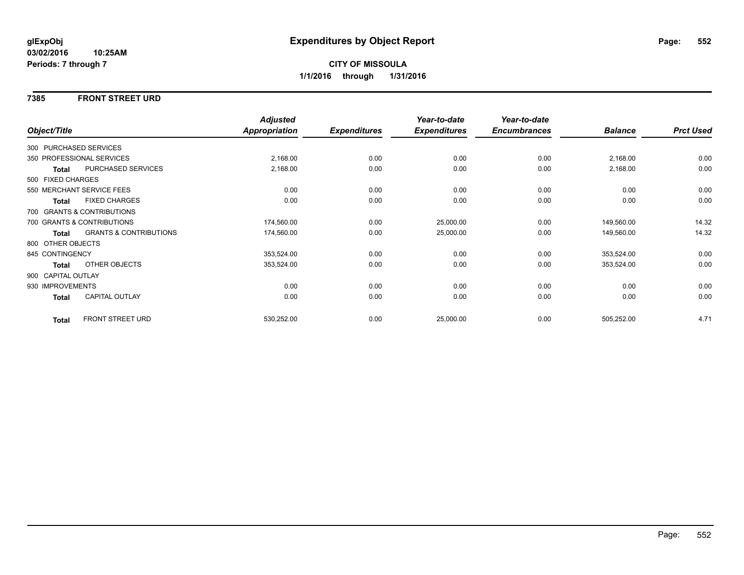#### **7385 FRONT STREET URD**

|                        |                                   | <b>Adjusted</b> |                     | Year-to-date        | Year-to-date        |                |                  |
|------------------------|-----------------------------------|-----------------|---------------------|---------------------|---------------------|----------------|------------------|
| Object/Title           |                                   | Appropriation   | <b>Expenditures</b> | <b>Expenditures</b> | <b>Encumbrances</b> | <b>Balance</b> | <b>Prct Used</b> |
| 300 PURCHASED SERVICES |                                   |                 |                     |                     |                     |                |                  |
|                        | 350 PROFESSIONAL SERVICES         | 2,168.00        | 0.00                | 0.00                | 0.00                | 2,168.00       | 0.00             |
| Total                  | PURCHASED SERVICES                | 2,168.00        | 0.00                | 0.00                | 0.00                | 2,168.00       | 0.00             |
| 500 FIXED CHARGES      |                                   |                 |                     |                     |                     |                |                  |
|                        | 550 MERCHANT SERVICE FEES         | 0.00            | 0.00                | 0.00                | 0.00                | 0.00           | 0.00             |
| <b>Total</b>           | <b>FIXED CHARGES</b>              | 0.00            | 0.00                | 0.00                | 0.00                | 0.00           | 0.00             |
|                        | 700 GRANTS & CONTRIBUTIONS        |                 |                     |                     |                     |                |                  |
|                        | 700 GRANTS & CONTRIBUTIONS        | 174,560.00      | 0.00                | 25,000.00           | 0.00                | 149,560.00     | 14.32            |
| Total                  | <b>GRANTS &amp; CONTRIBUTIONS</b> | 174,560.00      | 0.00                | 25,000.00           | 0.00                | 149,560.00     | 14.32            |
| 800 OTHER OBJECTS      |                                   |                 |                     |                     |                     |                |                  |
| 845 CONTINGENCY        |                                   | 353,524.00      | 0.00                | 0.00                | 0.00                | 353,524.00     | 0.00             |
| <b>Total</b>           | OTHER OBJECTS                     | 353,524.00      | 0.00                | 0.00                | 0.00                | 353,524.00     | 0.00             |
| 900 CAPITAL OUTLAY     |                                   |                 |                     |                     |                     |                |                  |
| 930 IMPROVEMENTS       |                                   | 0.00            | 0.00                | 0.00                | 0.00                | 0.00           | 0.00             |
| Total                  | CAPITAL OUTLAY                    | 0.00            | 0.00                | 0.00                | 0.00                | 0.00           | 0.00             |
| <b>Total</b>           | FRONT STREET URD                  | 530,252.00      | 0.00                | 25,000.00           | 0.00                | 505,252.00     | 4.71             |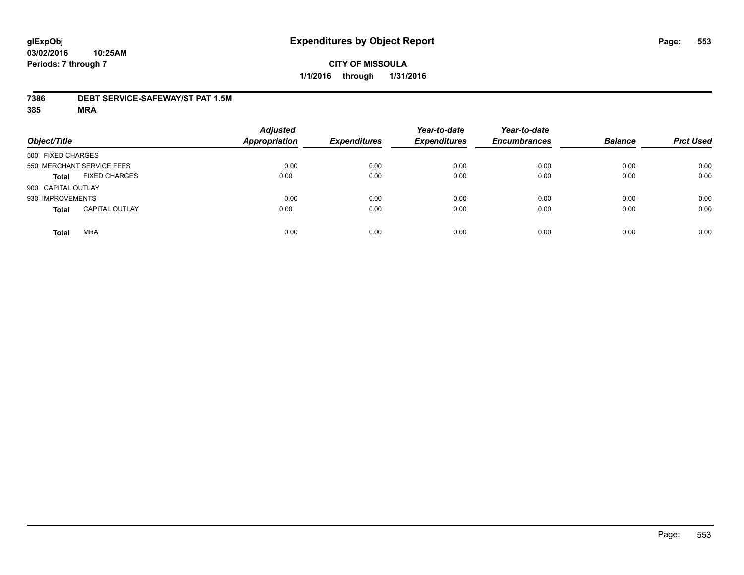#### **7386 DEBT SERVICE-SAFEWAY/ST PAT 1.5M**

| Object/Title               |                       | <b>Adjusted</b><br><b>Appropriation</b> | <b>Expenditures</b> | Year-to-date<br><b>Expenditures</b> | Year-to-date<br><b>Encumbrances</b> | <b>Balance</b> | <b>Prct Used</b> |
|----------------------------|-----------------------|-----------------------------------------|---------------------|-------------------------------------|-------------------------------------|----------------|------------------|
| 500 FIXED CHARGES          |                       |                                         |                     |                                     |                                     |                |                  |
| 550 MERCHANT SERVICE FEES  |                       | 0.00                                    | 0.00                | 0.00                                | 0.00                                | 0.00           | 0.00             |
| <b>Total</b>               | <b>FIXED CHARGES</b>  | 0.00                                    | 0.00                | 0.00                                | 0.00                                | 0.00           | 0.00             |
| 900 CAPITAL OUTLAY         |                       |                                         |                     |                                     |                                     |                |                  |
| 930 IMPROVEMENTS           |                       | 0.00                                    | 0.00                | 0.00                                | 0.00                                | 0.00           | 0.00             |
| <b>Total</b>               | <b>CAPITAL OUTLAY</b> | 0.00                                    | 0.00                | 0.00                                | 0.00                                | 0.00           | 0.00             |
| <b>MRA</b><br><b>Total</b> |                       | 0.00                                    | 0.00                | 0.00                                | 0.00                                | 0.00           | 0.00             |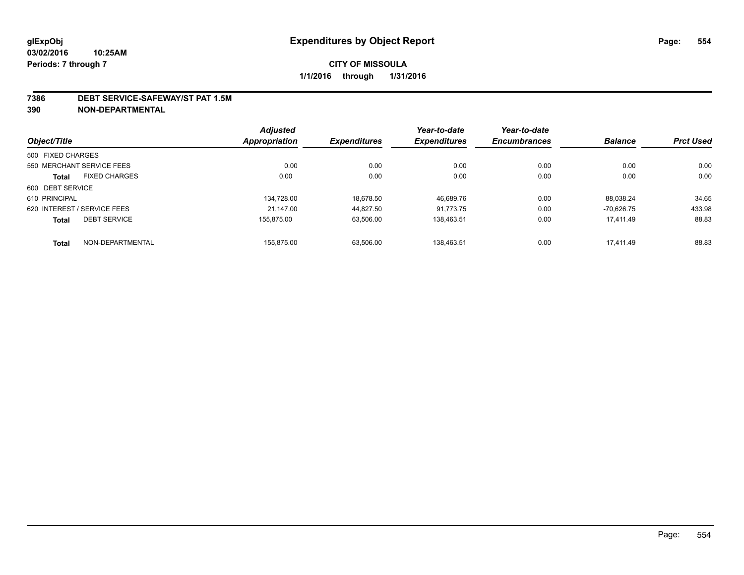#### **7386 DEBT SERVICE-SAFEWAY/ST PAT 1.5M**

**390 NON-DEPARTMENTAL**

|                   |                             | <b>Adjusted</b> |                     | Year-to-date        | Year-to-date        |                |                  |
|-------------------|-----------------------------|-----------------|---------------------|---------------------|---------------------|----------------|------------------|
| Object/Title      |                             | Appropriation   | <b>Expenditures</b> | <b>Expenditures</b> | <b>Encumbrances</b> | <b>Balance</b> | <b>Prct Used</b> |
| 500 FIXED CHARGES |                             |                 |                     |                     |                     |                |                  |
|                   | 550 MERCHANT SERVICE FEES   | 0.00            | 0.00                | 0.00                | 0.00                | 0.00           | 0.00             |
| <b>Total</b>      | <b>FIXED CHARGES</b>        | 0.00            | 0.00                | 0.00                | 0.00                | 0.00           | 0.00             |
| 600 DEBT SERVICE  |                             |                 |                     |                     |                     |                |                  |
| 610 PRINCIPAL     |                             | 134.728.00      | 18.678.50           | 46.689.76           | 0.00                | 88.038.24      | 34.65            |
|                   | 620 INTEREST / SERVICE FEES | 21.147.00       | 44.827.50           | 91.773.75           | 0.00                | $-70.626.75$   | 433.98           |
| <b>Total</b>      | <b>DEBT SERVICE</b>         | 155.875.00      | 63,506.00           | 138.463.51          | 0.00                | 17.411.49      | 88.83            |
| <b>Total</b>      | NON-DEPARTMENTAL            | 155.875.00      | 63.506.00           | 138.463.51          | 0.00                | 17.411.49      | 88.83            |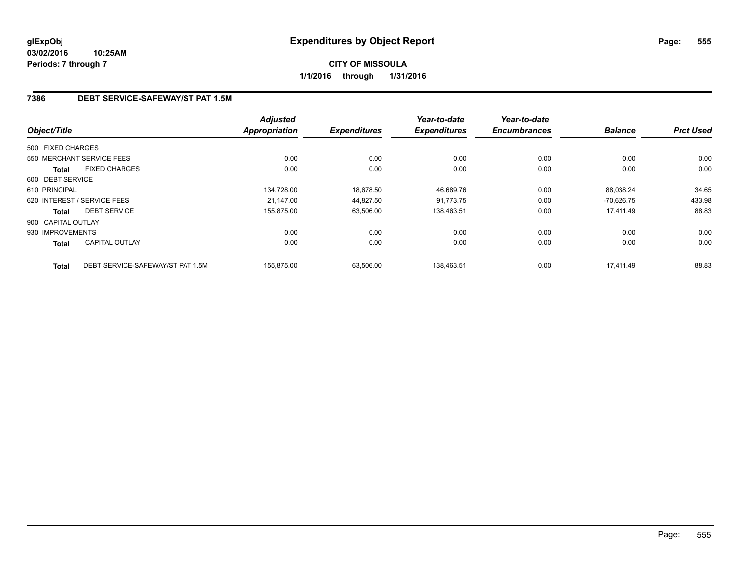# **7386 DEBT SERVICE-SAFEWAY/ST PAT 1.5M**

|                    |                                  | <b>Adjusted</b> |                     | Year-to-date        | Year-to-date        |                |                  |
|--------------------|----------------------------------|-----------------|---------------------|---------------------|---------------------|----------------|------------------|
| Object/Title       |                                  | Appropriation   | <b>Expenditures</b> | <b>Expenditures</b> | <b>Encumbrances</b> | <b>Balance</b> | <b>Prct Used</b> |
| 500 FIXED CHARGES  |                                  |                 |                     |                     |                     |                |                  |
|                    | 550 MERCHANT SERVICE FEES        | 0.00            | 0.00                | 0.00                | 0.00                | 0.00           | 0.00             |
| <b>Total</b>       | <b>FIXED CHARGES</b>             | 0.00            | 0.00                | 0.00                | 0.00                | 0.00           | 0.00             |
| 600 DEBT SERVICE   |                                  |                 |                     |                     |                     |                |                  |
| 610 PRINCIPAL      |                                  | 134,728.00      | 18,678.50           | 46,689.76           | 0.00                | 88,038.24      | 34.65            |
|                    | 620 INTEREST / SERVICE FEES      | 21.147.00       | 44,827.50           | 91.773.75           | 0.00                | $-70.626.75$   | 433.98           |
| <b>Total</b>       | <b>DEBT SERVICE</b>              | 155,875.00      | 63,506.00           | 138,463.51          | 0.00                | 17,411.49      | 88.83            |
| 900 CAPITAL OUTLAY |                                  |                 |                     |                     |                     |                |                  |
| 930 IMPROVEMENTS   |                                  | 0.00            | 0.00                | 0.00                | 0.00                | 0.00           | 0.00             |
| Total              | <b>CAPITAL OUTLAY</b>            | 0.00            | 0.00                | 0.00                | 0.00                | 0.00           | 0.00             |
| <b>Total</b>       | DEBT SERVICE-SAFEWAY/ST PAT 1.5M | 155.875.00      | 63.506.00           | 138.463.51          | 0.00                | 17.411.49      | 88.83            |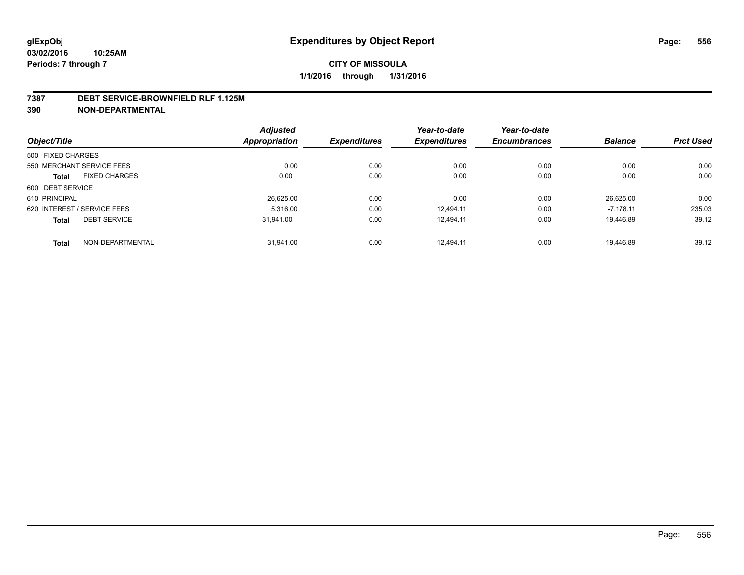#### **7387 DEBT SERVICE-BROWNFIELD RLF 1.125M**

**390 NON-DEPARTMENTAL**

| Object/Title                |                      | <b>Adjusted</b> |                     | Year-to-date        | Year-to-date        |                |                  |
|-----------------------------|----------------------|-----------------|---------------------|---------------------|---------------------|----------------|------------------|
|                             |                      | Appropriation   | <b>Expenditures</b> | <b>Expenditures</b> | <b>Encumbrances</b> | <b>Balance</b> | <b>Prct Used</b> |
| 500 FIXED CHARGES           |                      |                 |                     |                     |                     |                |                  |
| 550 MERCHANT SERVICE FEES   |                      | 0.00            | 0.00                | 0.00                | 0.00                | 0.00           | 0.00             |
| <b>Total</b>                | <b>FIXED CHARGES</b> | 0.00            | 0.00                | 0.00                | 0.00                | 0.00           | 0.00             |
| 600 DEBT SERVICE            |                      |                 |                     |                     |                     |                |                  |
| 610 PRINCIPAL               |                      | 26,625.00       | 0.00                | 0.00                | 0.00                | 26.625.00      | 0.00             |
| 620 INTEREST / SERVICE FEES |                      | 5.316.00        | 0.00                | 12.494.11           | 0.00                | $-7.178.11$    | 235.03           |
| <b>Total</b>                | <b>DEBT SERVICE</b>  | 31.941.00       | 0.00                | 12.494.11           | 0.00                | 19.446.89      | 39.12            |
| <b>Total</b>                | NON-DEPARTMENTAL     | 31.941.00       | 0.00                | 12.494.11           | 0.00                | 19.446.89      | 39.12            |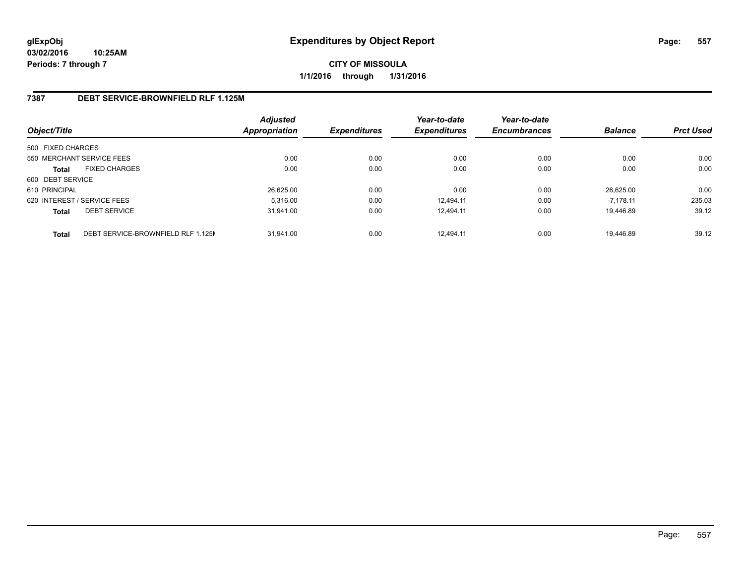#### **7387 DEBT SERVICE-BROWNFIELD RLF 1.125M**

| Object/Title                |                                    | <b>Adjusted</b><br>Appropriation | <b>Expenditures</b> | Year-to-date<br><b>Expenditures</b> | Year-to-date<br><b>Encumbrances</b> | <b>Balance</b> | <b>Prct Used</b> |
|-----------------------------|------------------------------------|----------------------------------|---------------------|-------------------------------------|-------------------------------------|----------------|------------------|
| 500 FIXED CHARGES           |                                    |                                  |                     |                                     |                                     |                |                  |
| 550 MERCHANT SERVICE FEES   |                                    | 0.00                             | 0.00                | 0.00                                | 0.00                                | 0.00           | 0.00             |
| <b>Total</b>                | <b>FIXED CHARGES</b>               | 0.00                             | 0.00                | 0.00                                | 0.00                                | 0.00           | 0.00             |
| 600 DEBT SERVICE            |                                    |                                  |                     |                                     |                                     |                |                  |
| 610 PRINCIPAL               |                                    | 26,625.00                        | 0.00                | 0.00                                | 0.00                                | 26.625.00      | 0.00             |
| 620 INTEREST / SERVICE FEES |                                    | 5.316.00                         | 0.00                | 12.494.11                           | 0.00                                | $-7.178.11$    | 235.03           |
| <b>Total</b>                | <b>DEBT SERVICE</b>                | 31.941.00                        | 0.00                | 12.494.11                           | 0.00                                | 19.446.89      | 39.12            |
| <b>Total</b>                | DEBT SERVICE-BROWNFIELD RLF 1.125M | 31.941.00                        | 0.00                | 12.494.11                           | 0.00                                | 19.446.89      | 39.12            |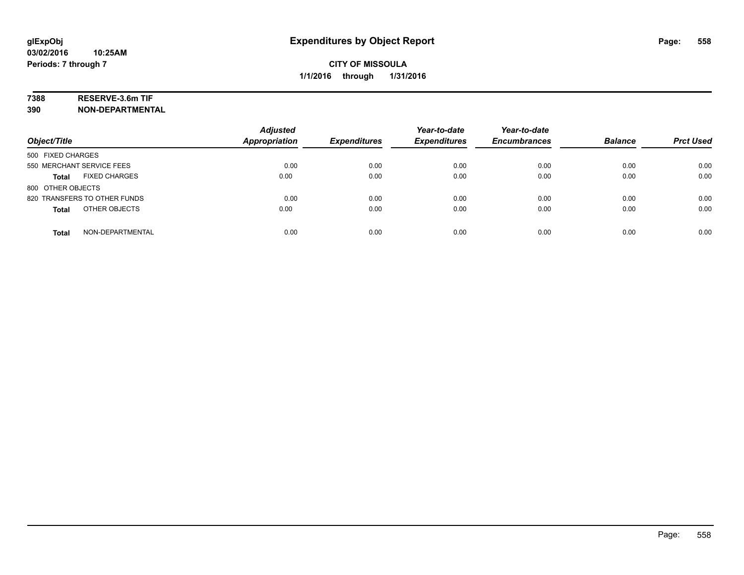# **7388 RESERVE-3.6m TIF**

**390 NON-DEPARTMENTAL**

| Object/Title                         | <b>Adjusted</b><br><b>Appropriation</b> | <b>Expenditures</b> | Year-to-date<br><b>Expenditures</b> | Year-to-date<br><b>Encumbrances</b> | <b>Balance</b> | <b>Prct Used</b> |
|--------------------------------------|-----------------------------------------|---------------------|-------------------------------------|-------------------------------------|----------------|------------------|
| 500 FIXED CHARGES                    |                                         |                     |                                     |                                     |                |                  |
| 550 MERCHANT SERVICE FEES            | 0.00                                    | 0.00                | 0.00                                | 0.00                                | 0.00           | 0.00             |
| <b>FIXED CHARGES</b><br><b>Total</b> | 0.00                                    | 0.00                | 0.00                                | 0.00                                | 0.00           | 0.00             |
| 800 OTHER OBJECTS                    |                                         |                     |                                     |                                     |                |                  |
| 820 TRANSFERS TO OTHER FUNDS         | 0.00                                    | 0.00                | 0.00                                | 0.00                                | 0.00           | 0.00             |
| OTHER OBJECTS<br><b>Total</b>        | 0.00                                    | 0.00                | 0.00                                | 0.00                                | 0.00           | 0.00             |
| NON-DEPARTMENTAL<br><b>Total</b>     | 0.00                                    | 0.00                | 0.00                                | 0.00                                | 0.00           | 0.00             |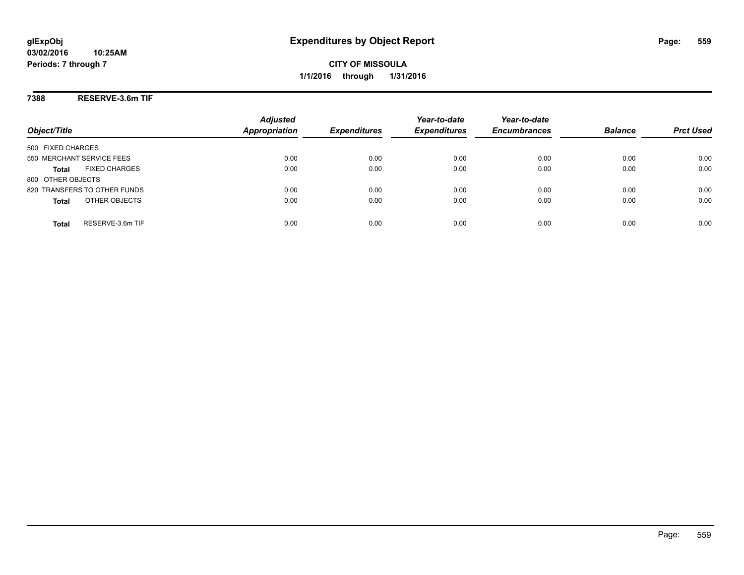**7388 RESERVE-3.6m TIF**

| Object/Title                         | <b>Adjusted</b><br>Appropriation | <b>Expenditures</b> | Year-to-date<br><b>Expenditures</b> | Year-to-date<br><b>Encumbrances</b> | <b>Balance</b> | <b>Prct Used</b> |
|--------------------------------------|----------------------------------|---------------------|-------------------------------------|-------------------------------------|----------------|------------------|
| 500 FIXED CHARGES                    |                                  |                     |                                     |                                     |                |                  |
| 550 MERCHANT SERVICE FEES            | 0.00                             | 0.00                | 0.00                                | 0.00                                | 0.00           | 0.00             |
| <b>FIXED CHARGES</b><br><b>Total</b> | 0.00                             | 0.00                | 0.00                                | 0.00                                | 0.00           | 0.00             |
| 800 OTHER OBJECTS                    |                                  |                     |                                     |                                     |                |                  |
| 820 TRANSFERS TO OTHER FUNDS         | 0.00                             | 0.00                | 0.00                                | 0.00                                | 0.00           | 0.00             |
| OTHER OBJECTS<br><b>Total</b>        | 0.00                             | 0.00                | 0.00                                | 0.00                                | 0.00           | 0.00             |
| RESERVE-3.6m TIF<br>Total            | 0.00                             | 0.00                | 0.00                                | 0.00                                | 0.00           | 0.00             |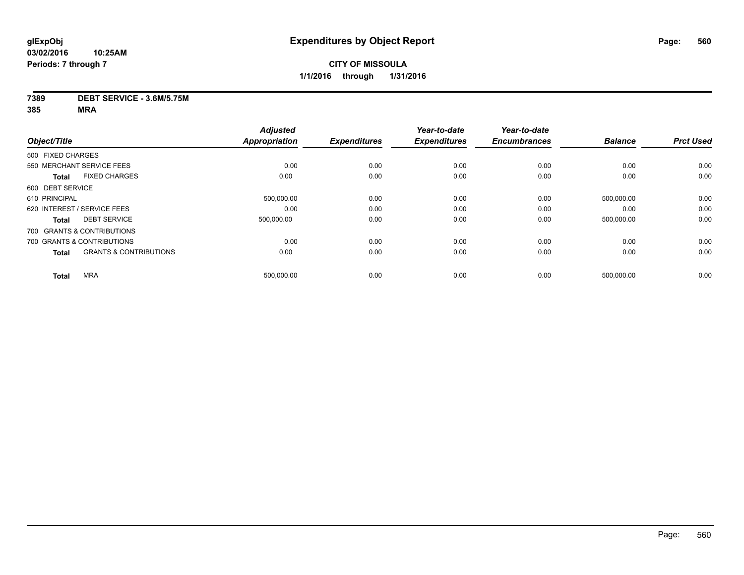#### **7389 DEBT SERVICE - 3.6M/5.75M**

| <b>Adjusted</b> |                      | Year-to-date        | Year-to-date        |            |                  |
|-----------------|----------------------|---------------------|---------------------|------------|------------------|
|                 |                      | <b>Expenditures</b> | <b>Encumbrances</b> |            | <b>Prct Used</b> |
|                 |                      |                     |                     |            |                  |
| 0.00            | 0.00                 | 0.00                | 0.00                | 0.00       | 0.00             |
| 0.00            | 0.00                 | 0.00                | 0.00                | 0.00       | 0.00             |
|                 |                      |                     |                     |            |                  |
| 500,000.00      | 0.00                 | 0.00                | 0.00                | 500,000.00 | 0.00             |
| 0.00            | 0.00                 | 0.00                | 0.00                | 0.00       | 0.00             |
| 500,000.00      | 0.00                 | 0.00                | 0.00                | 500,000.00 | 0.00             |
|                 |                      |                     |                     |            |                  |
| 0.00            | 0.00                 | 0.00                | 0.00                | 0.00       | 0.00             |
| 0.00            | 0.00                 | 0.00                | 0.00                | 0.00       | 0.00             |
| 500,000.00      | 0.00                 | 0.00                | 0.00                | 500,000.00 | 0.00             |
|                 | <b>Appropriation</b> | <b>Expenditures</b> |                     |            | <b>Balance</b>   |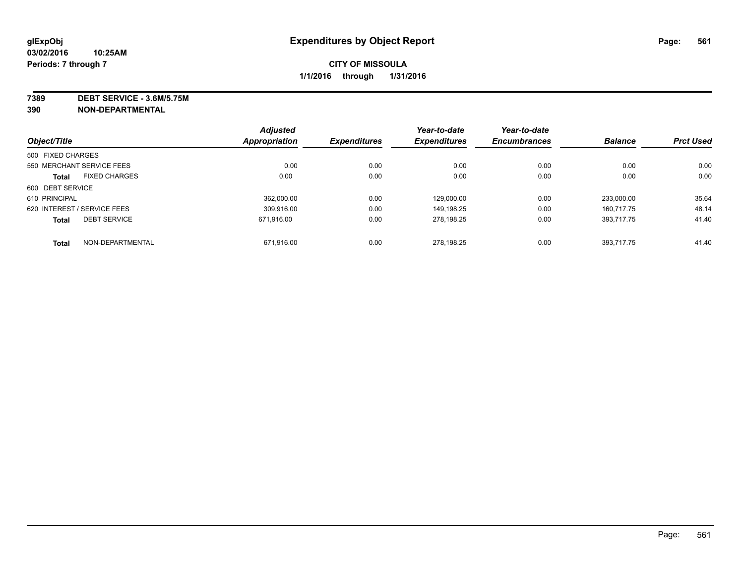**7389 DEBT SERVICE - 3.6M/5.75M**

**390 NON-DEPARTMENTAL**

|                             |                      | <b>Adjusted</b> |                     | Year-to-date        | Year-to-date        |                |                  |
|-----------------------------|----------------------|-----------------|---------------------|---------------------|---------------------|----------------|------------------|
| Object/Title                |                      | Appropriation   | <b>Expenditures</b> | <b>Expenditures</b> | <b>Encumbrances</b> | <b>Balance</b> | <b>Prct Used</b> |
| 500 FIXED CHARGES           |                      |                 |                     |                     |                     |                |                  |
| 550 MERCHANT SERVICE FEES   |                      | 0.00            | 0.00                | 0.00                | 0.00                | 0.00           | 0.00             |
| <b>Total</b>                | <b>FIXED CHARGES</b> | 0.00            | 0.00                | 0.00                | 0.00                | 0.00           | 0.00             |
| 600 DEBT SERVICE            |                      |                 |                     |                     |                     |                |                  |
| 610 PRINCIPAL               |                      | 362.000.00      | 0.00                | 129.000.00          | 0.00                | 233.000.00     | 35.64            |
| 620 INTEREST / SERVICE FEES |                      | 309.916.00      | 0.00                | 149.198.25          | 0.00                | 160.717.75     | 48.14            |
| <b>Total</b>                | <b>DEBT SERVICE</b>  | 671.916.00      | 0.00                | 278,198.25          | 0.00                | 393.717.75     | 41.40            |
| <b>Total</b>                | NON-DEPARTMENTAL     | 671.916.00      | 0.00                | 278.198.25          | 0.00                | 393.717.75     | 41.40            |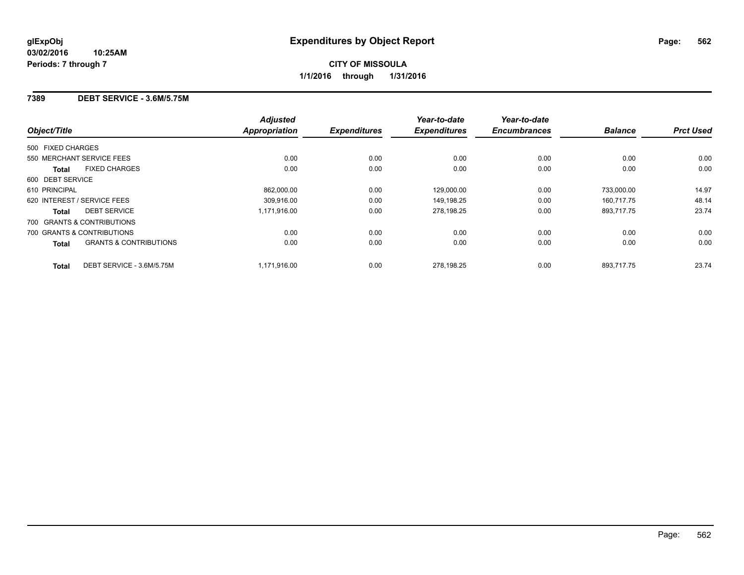#### **7389 DEBT SERVICE - 3.6M/5.75M**

|                   |                                   | <b>Adjusted</b>      |                     | Year-to-date        | Year-to-date        |                |                  |
|-------------------|-----------------------------------|----------------------|---------------------|---------------------|---------------------|----------------|------------------|
| Object/Title      |                                   | <b>Appropriation</b> | <b>Expenditures</b> | <b>Expenditures</b> | <b>Encumbrances</b> | <b>Balance</b> | <b>Prct Used</b> |
| 500 FIXED CHARGES |                                   |                      |                     |                     |                     |                |                  |
|                   | 550 MERCHANT SERVICE FEES         | 0.00                 | 0.00                | 0.00                | 0.00                | 0.00           | 0.00             |
| <b>Total</b>      | <b>FIXED CHARGES</b>              | 0.00                 | 0.00                | 0.00                | 0.00                | 0.00           | 0.00             |
| 600 DEBT SERVICE  |                                   |                      |                     |                     |                     |                |                  |
| 610 PRINCIPAL     |                                   | 862.000.00           | 0.00                | 129,000.00          | 0.00                | 733.000.00     | 14.97            |
|                   | 620 INTEREST / SERVICE FEES       | 309,916.00           | 0.00                | 149,198.25          | 0.00                | 160,717.75     | 48.14            |
| <b>Total</b>      | <b>DEBT SERVICE</b>               | 1,171,916.00         | 0.00                | 278,198.25          | 0.00                | 893,717.75     | 23.74            |
|                   | 700 GRANTS & CONTRIBUTIONS        |                      |                     |                     |                     |                |                  |
|                   | 700 GRANTS & CONTRIBUTIONS        | 0.00                 | 0.00                | 0.00                | 0.00                | 0.00           | 0.00             |
| <b>Total</b>      | <b>GRANTS &amp; CONTRIBUTIONS</b> | 0.00                 | 0.00                | 0.00                | 0.00                | 0.00           | 0.00             |
| <b>Total</b>      | DEBT SERVICE - 3.6M/5.75M         | 1.171.916.00         | 0.00                | 278.198.25          | 0.00                | 893.717.75     | 23.74            |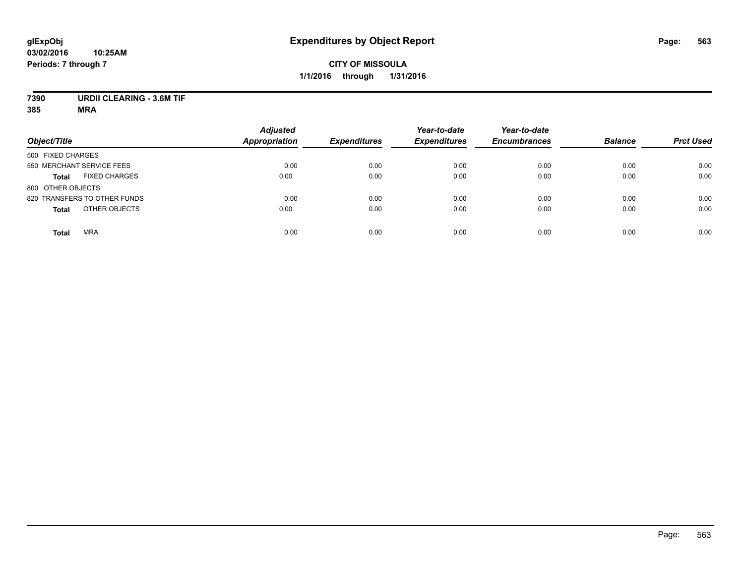# **7390 URDII CLEARING - 3.6M TIF**

| Object/Title                         | <b>Adjusted</b><br><b>Appropriation</b> | <b>Expenditures</b> | Year-to-date<br><b>Expenditures</b> | Year-to-date<br><b>Encumbrances</b> | <b>Balance</b> | <b>Prct Used</b> |
|--------------------------------------|-----------------------------------------|---------------------|-------------------------------------|-------------------------------------|----------------|------------------|
| 500 FIXED CHARGES                    |                                         |                     |                                     |                                     |                |                  |
| 550 MERCHANT SERVICE FEES            | 0.00                                    | 0.00                | 0.00                                | 0.00                                | 0.00           | 0.00             |
| <b>FIXED CHARGES</b><br><b>Total</b> | 0.00                                    | 0.00                | 0.00                                | 0.00                                | 0.00           | 0.00             |
| 800 OTHER OBJECTS                    |                                         |                     |                                     |                                     |                |                  |
| 820 TRANSFERS TO OTHER FUNDS         | 0.00                                    | 0.00                | 0.00                                | 0.00                                | 0.00           | 0.00             |
| OTHER OBJECTS<br><b>Total</b>        | 0.00                                    | 0.00                | 0.00                                | 0.00                                | 0.00           | 0.00             |
| <b>MRA</b><br><b>Total</b>           | 0.00                                    | 0.00                | 0.00                                | 0.00                                | 0.00           | 0.00             |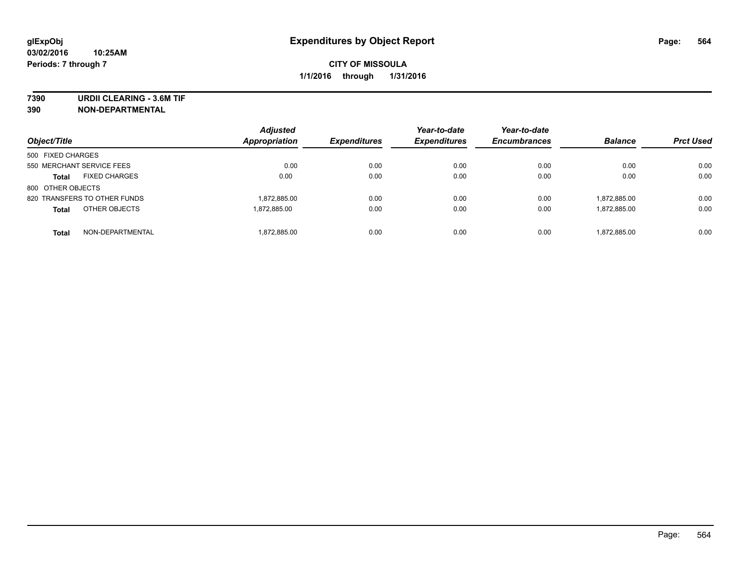**7390 URDII CLEARING - 3.6M TIF**

**390 NON-DEPARTMENTAL**

| Object/Title                         | <b>Adjusted</b><br>Appropriation | <b>Expenditures</b> | Year-to-date<br><b>Expenditures</b> | Year-to-date<br><b>Encumbrances</b> | <b>Balance</b> | <b>Prct Used</b> |
|--------------------------------------|----------------------------------|---------------------|-------------------------------------|-------------------------------------|----------------|------------------|
| 500 FIXED CHARGES                    |                                  |                     |                                     |                                     |                |                  |
| 550 MERCHANT SERVICE FEES            | 0.00                             | 0.00                | 0.00                                | 0.00                                | 0.00           | 0.00             |
| <b>FIXED CHARGES</b><br><b>Total</b> | 0.00                             | 0.00                | 0.00                                | 0.00                                | 0.00           | 0.00             |
| 800 OTHER OBJECTS                    |                                  |                     |                                     |                                     |                |                  |
| 820 TRANSFERS TO OTHER FUNDS         | 1,872,885.00                     | 0.00                | 0.00                                | 0.00                                | 1,872,885.00   | 0.00             |
| OTHER OBJECTS<br><b>Total</b>        | 1.872.885.00                     | 0.00                | 0.00                                | 0.00                                | 1,872,885.00   | 0.00             |
| NON-DEPARTMENTAL<br><b>Total</b>     | 1,872,885.00                     | 0.00                | 0.00                                | 0.00                                | 1,872,885.00   | 0.00             |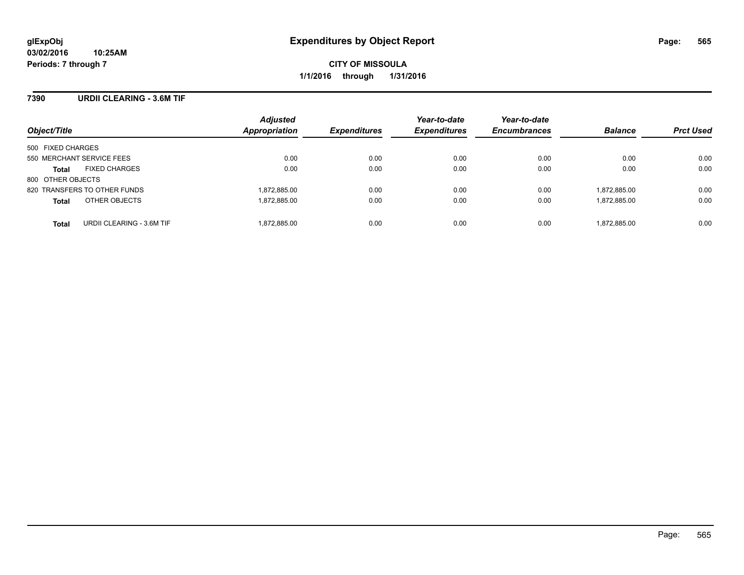#### **7390 URDII CLEARING - 3.6M TIF**

| Object/Title                              | <b>Adjusted</b><br>Appropriation | <b>Expenditures</b> | Year-to-date<br><b>Expenditures</b> | Year-to-date<br><b>Encumbrances</b> | <b>Balance</b> | <b>Prct Used</b> |
|-------------------------------------------|----------------------------------|---------------------|-------------------------------------|-------------------------------------|----------------|------------------|
| 500 FIXED CHARGES                         |                                  |                     |                                     |                                     |                |                  |
| 550 MERCHANT SERVICE FEES                 | 0.00                             | 0.00                | 0.00                                | 0.00                                | 0.00           | 0.00             |
| <b>FIXED CHARGES</b><br><b>Total</b>      | 0.00                             | 0.00                | 0.00                                | 0.00                                | 0.00           | 0.00             |
| 800 OTHER OBJECTS                         |                                  |                     |                                     |                                     |                |                  |
| 820 TRANSFERS TO OTHER FUNDS              | 1,872,885.00                     | 0.00                | 0.00                                | 0.00                                | 1,872,885.00   | 0.00             |
| OTHER OBJECTS<br><b>Total</b>             | 1,872,885.00                     | 0.00                | 0.00                                | 0.00                                | 1,872,885.00   | 0.00             |
| URDII CLEARING - 3.6M TIF<br><b>Total</b> | 1,872,885.00                     | 0.00                | 0.00                                | 0.00                                | 1,872,885.00   | 0.00             |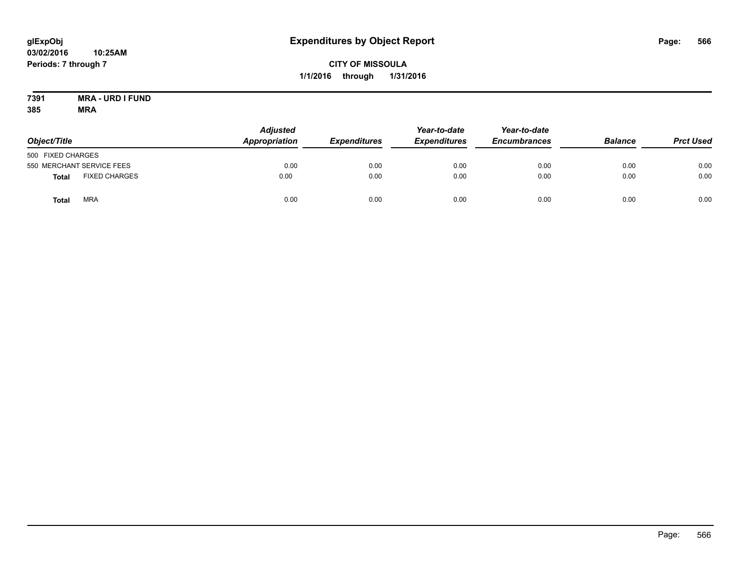#### **7391 MRA - URD I FUND 385 MRA**

| Object/Title      |                           | <b>Adjusted</b><br><b>Appropriation</b> | <b>Expenditures</b> | Year-to-date<br><b>Expenditures</b> | Year-to-date<br><b>Encumbrances</b> | <b>Balance</b> | <b>Prct Used</b> |
|-------------------|---------------------------|-----------------------------------------|---------------------|-------------------------------------|-------------------------------------|----------------|------------------|
| 500 FIXED CHARGES |                           |                                         |                     |                                     |                                     |                |                  |
|                   | 550 MERCHANT SERVICE FEES | 0.00                                    | 0.00                | 0.00                                | 0.00                                | 0.00           | 0.00             |
| <b>Total</b>      | <b>FIXED CHARGES</b>      | 0.00                                    | 0.00                | 0.00                                | 0.00                                | 0.00           | 0.00             |
| <b>Total</b>      | <b>MRA</b>                | 0.00                                    | 0.00                | 0.00                                | 0.00                                | 0.00           | 0.00             |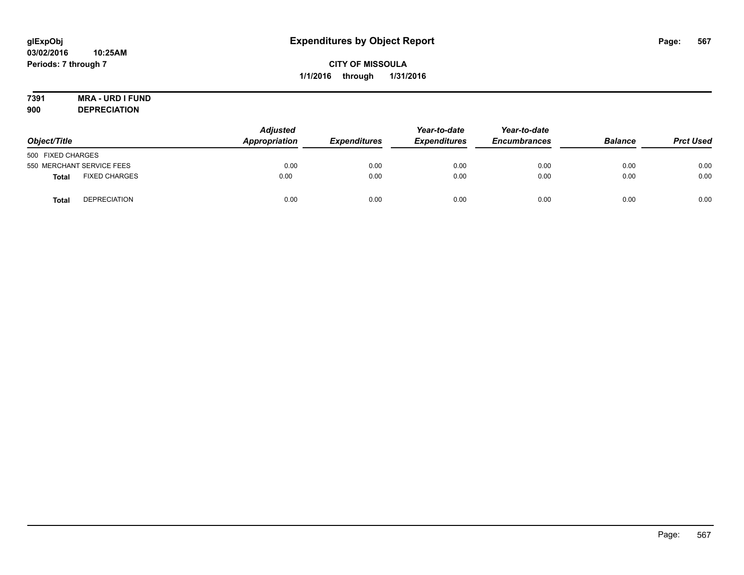# **7391 MRA - URD I FUND**

**900 DEPRECIATION**

|                   |                           | <b>Adjusted</b>     |                     | Year-to-date | Year-to-date<br><b>Encumbrances</b> | <b>Balance</b> | <b>Prct Used</b> |
|-------------------|---------------------------|---------------------|---------------------|--------------|-------------------------------------|----------------|------------------|
| Object/Title      | Appropriation             | <b>Expenditures</b> | <b>Expenditures</b> |              |                                     |                |                  |
| 500 FIXED CHARGES |                           |                     |                     |              |                                     |                |                  |
|                   | 550 MERCHANT SERVICE FEES | 0.00                | 0.00                | 0.00         | 0.00                                | 0.00           | 0.00             |
| <b>Total</b>      | <b>FIXED CHARGES</b>      | 0.00                | 0.00                | 0.00         | 0.00                                | 0.00           | 0.00             |
| <b>Total</b>      | <b>DEPRECIATION</b>       | 0.00                | 0.00                | 0.00         | 0.00                                | 0.00           | 0.00             |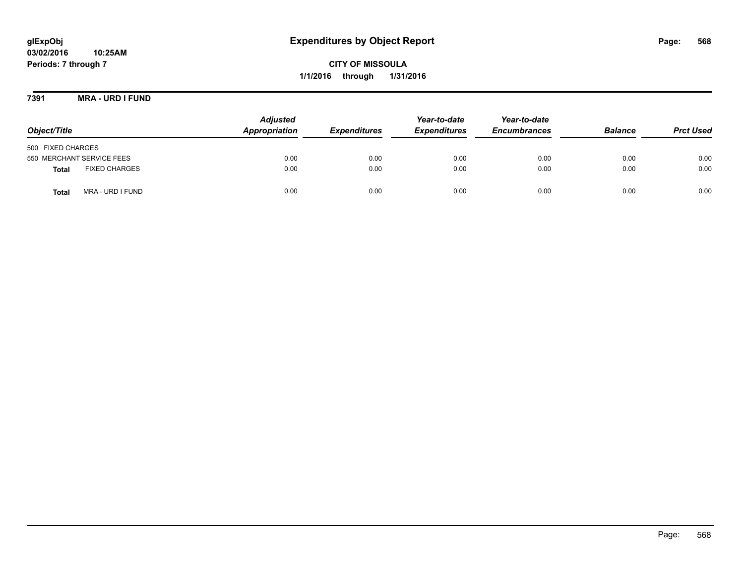**7391 MRA - URD I FUND**

| Object/Title                         | <b>Adjusted</b><br>Appropriation | <b>Expenditures</b> | Year-to-date<br><b>Expenditures</b> | Year-to-date<br><b>Encumbrances</b> | <b>Balance</b> | <b>Prct Used</b> |
|--------------------------------------|----------------------------------|---------------------|-------------------------------------|-------------------------------------|----------------|------------------|
| 500 FIXED CHARGES                    |                                  |                     |                                     |                                     |                |                  |
| 550 MERCHANT SERVICE FEES            | 0.00                             | 0.00                | 0.00                                | 0.00                                | 0.00           | 0.00             |
| <b>FIXED CHARGES</b><br><b>Total</b> | 0.00                             | 0.00                | 0.00                                | 0.00                                | 0.00           | 0.00             |
| MRA - URD I FUND<br><b>Total</b>     | 0.00                             | 0.00                | 0.00                                | 0.00                                | 0.00           | 0.00             |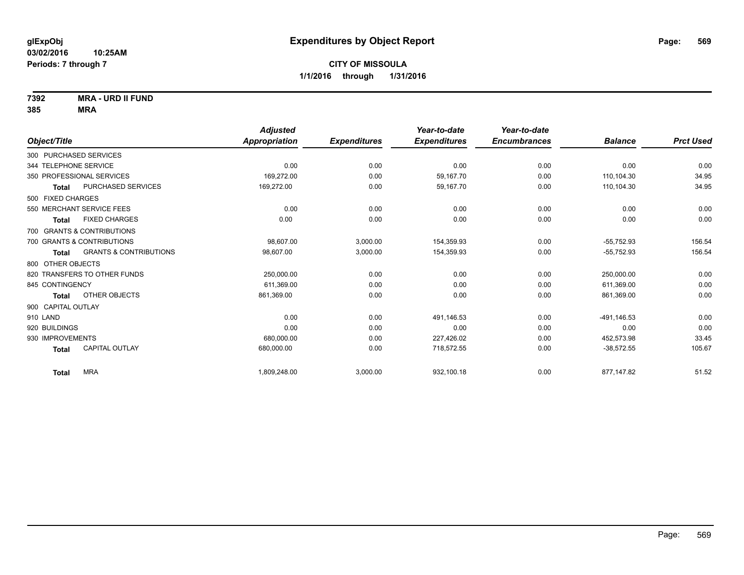**7392 MRA - URD II FUND**

|                        |                                   | <b>Adjusted</b>      |                     | Year-to-date        | Year-to-date        |                |                  |
|------------------------|-----------------------------------|----------------------|---------------------|---------------------|---------------------|----------------|------------------|
| Object/Title           |                                   | <b>Appropriation</b> | <b>Expenditures</b> | <b>Expenditures</b> | <b>Encumbrances</b> | <b>Balance</b> | <b>Prct Used</b> |
| 300 PURCHASED SERVICES |                                   |                      |                     |                     |                     |                |                  |
| 344 TELEPHONE SERVICE  |                                   | 0.00                 | 0.00                | 0.00                | 0.00                | 0.00           | 0.00             |
|                        | 350 PROFESSIONAL SERVICES         | 169,272.00           | 0.00                | 59,167.70           | 0.00                | 110.104.30     | 34.95            |
| <b>Total</b>           | <b>PURCHASED SERVICES</b>         | 169,272.00           | 0.00                | 59,167.70           | 0.00                | 110,104.30     | 34.95            |
| 500 FIXED CHARGES      |                                   |                      |                     |                     |                     |                |                  |
|                        | 550 MERCHANT SERVICE FEES         | 0.00                 | 0.00                | 0.00                | 0.00                | 0.00           | 0.00             |
| <b>Total</b>           | <b>FIXED CHARGES</b>              | 0.00                 | 0.00                | 0.00                | 0.00                | 0.00           | 0.00             |
|                        | 700 GRANTS & CONTRIBUTIONS        |                      |                     |                     |                     |                |                  |
|                        | 700 GRANTS & CONTRIBUTIONS        | 98.607.00            | 3,000.00            | 154,359.93          | 0.00                | $-55,752.93$   | 156.54           |
| <b>Total</b>           | <b>GRANTS &amp; CONTRIBUTIONS</b> | 98,607.00            | 3,000.00            | 154,359.93          | 0.00                | $-55,752.93$   | 156.54           |
| 800 OTHER OBJECTS      |                                   |                      |                     |                     |                     |                |                  |
|                        | 820 TRANSFERS TO OTHER FUNDS      | 250,000.00           | 0.00                | 0.00                | 0.00                | 250,000.00     | 0.00             |
| 845 CONTINGENCY        |                                   | 611,369.00           | 0.00                | 0.00                | 0.00                | 611,369.00     | 0.00             |
| <b>Total</b>           | OTHER OBJECTS                     | 861,369.00           | 0.00                | 0.00                | 0.00                | 861,369.00     | 0.00             |
| 900 CAPITAL OUTLAY     |                                   |                      |                     |                     |                     |                |                  |
| 910 LAND               |                                   | 0.00                 | 0.00                | 491.146.53          | 0.00                | -491.146.53    | 0.00             |
| 920 BUILDINGS          |                                   | 0.00                 | 0.00                | 0.00                | 0.00                | 0.00           | 0.00             |
| 930 IMPROVEMENTS       |                                   | 680,000.00           | 0.00                | 227,426.02          | 0.00                | 452,573.98     | 33.45            |
| <b>Total</b>           | <b>CAPITAL OUTLAY</b>             | 680,000.00           | 0.00                | 718,572.55          | 0.00                | $-38,572.55$   | 105.67           |
| <b>Total</b>           | <b>MRA</b>                        | 1,809,248.00         | 3,000.00            | 932,100.18          | 0.00                | 877,147.82     | 51.52            |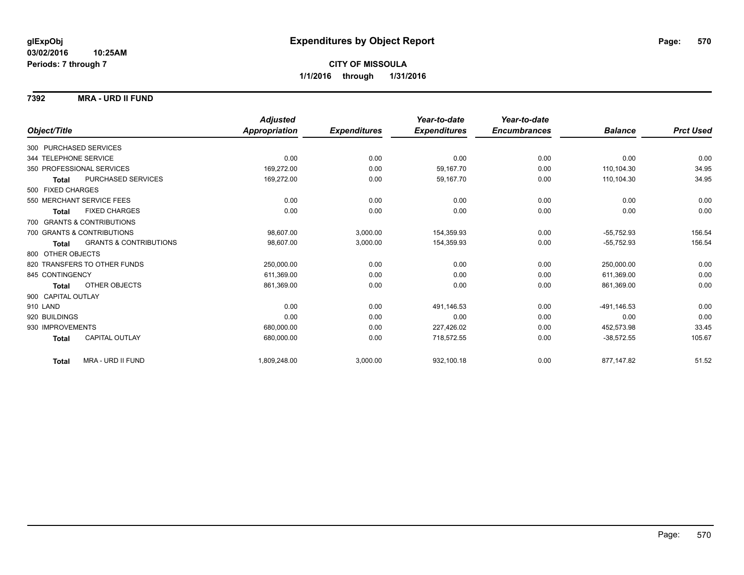#### **7392 MRA - URD II FUND**

|                                                   | <b>Adjusted</b> |                     | Year-to-date        | Year-to-date        |                |                  |
|---------------------------------------------------|-----------------|---------------------|---------------------|---------------------|----------------|------------------|
| Object/Title                                      | Appropriation   | <b>Expenditures</b> | <b>Expenditures</b> | <b>Encumbrances</b> | <b>Balance</b> | <b>Prct Used</b> |
| 300 PURCHASED SERVICES                            |                 |                     |                     |                     |                |                  |
| 344 TELEPHONE SERVICE                             | 0.00            | 0.00                | 0.00                | 0.00                | 0.00           | 0.00             |
| 350 PROFESSIONAL SERVICES                         | 169,272.00      | 0.00                | 59,167.70           | 0.00                | 110,104.30     | 34.95            |
| PURCHASED SERVICES<br><b>Total</b>                | 169,272.00      | 0.00                | 59,167.70           | 0.00                | 110,104.30     | 34.95            |
| 500 FIXED CHARGES                                 |                 |                     |                     |                     |                |                  |
| 550 MERCHANT SERVICE FEES                         | 0.00            | 0.00                | 0.00                | 0.00                | 0.00           | 0.00             |
| <b>FIXED CHARGES</b><br><b>Total</b>              | 0.00            | 0.00                | 0.00                | 0.00                | 0.00           | 0.00             |
| 700 GRANTS & CONTRIBUTIONS                        |                 |                     |                     |                     |                |                  |
| 700 GRANTS & CONTRIBUTIONS                        | 98,607.00       | 3,000.00            | 154,359.93          | 0.00                | $-55,752.93$   | 156.54           |
| <b>GRANTS &amp; CONTRIBUTIONS</b><br><b>Total</b> | 98,607.00       | 3,000.00            | 154,359.93          | 0.00                | $-55,752.93$   | 156.54           |
| 800 OTHER OBJECTS                                 |                 |                     |                     |                     |                |                  |
| 820 TRANSFERS TO OTHER FUNDS                      | 250,000.00      | 0.00                | 0.00                | 0.00                | 250,000.00     | 0.00             |
| 845 CONTINGENCY                                   | 611,369.00      | 0.00                | 0.00                | 0.00                | 611.369.00     | 0.00             |
| <b>OTHER OBJECTS</b><br><b>Total</b>              | 861,369.00      | 0.00                | 0.00                | 0.00                | 861,369.00     | 0.00             |
| 900 CAPITAL OUTLAY                                |                 |                     |                     |                     |                |                  |
| 910 LAND                                          | 0.00            | 0.00                | 491,146.53          | 0.00                | -491,146.53    | 0.00             |
| 920 BUILDINGS                                     | 0.00            | 0.00                | 0.00                | 0.00                | 0.00           | 0.00             |
| 930 IMPROVEMENTS                                  | 680,000.00      | 0.00                | 227,426.02          | 0.00                | 452,573.98     | 33.45            |
| <b>CAPITAL OUTLAY</b><br><b>Total</b>             | 680,000.00      | 0.00                | 718,572.55          | 0.00                | $-38,572.55$   | 105.67           |
| MRA - URD II FUND<br><b>Total</b>                 | 1,809,248.00    | 3,000.00            | 932,100.18          | 0.00                | 877,147.82     | 51.52            |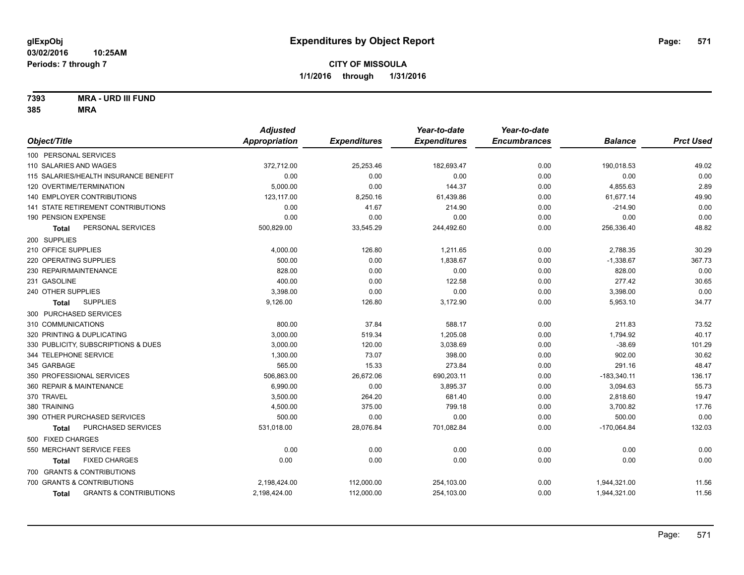**7393 MRA - URD III FUND**

|                                                   | <b>Adjusted</b> |                     | Year-to-date        | Year-to-date        |                |                  |
|---------------------------------------------------|-----------------|---------------------|---------------------|---------------------|----------------|------------------|
| Object/Title                                      | Appropriation   | <b>Expenditures</b> | <b>Expenditures</b> | <b>Encumbrances</b> | <b>Balance</b> | <b>Prct Used</b> |
| 100 PERSONAL SERVICES                             |                 |                     |                     |                     |                |                  |
| 110 SALARIES AND WAGES                            | 372,712.00      | 25,253.46           | 182,693.47          | 0.00                | 190,018.53     | 49.02            |
| 115 SALARIES/HEALTH INSURANCE BENEFIT             | 0.00            | 0.00                | 0.00                | 0.00                | 0.00           | 0.00             |
| 120 OVERTIME/TERMINATION                          | 5,000.00        | 0.00                | 144.37              | 0.00                | 4,855.63       | 2.89             |
| 140 EMPLOYER CONTRIBUTIONS                        | 123,117.00      | 8,250.16            | 61,439.86           | 0.00                | 61,677.14      | 49.90            |
| <b>141 STATE RETIREMENT CONTRIBUTIONS</b>         | 0.00            | 41.67               | 214.90              | 0.00                | $-214.90$      | 0.00             |
| 190 PENSION EXPENSE                               | 0.00            | 0.00                | 0.00                | 0.00                | 0.00           | 0.00             |
| PERSONAL SERVICES<br>Total                        | 500,829.00      | 33,545.29           | 244,492.60          | 0.00                | 256,336.40     | 48.82            |
| 200 SUPPLIES                                      |                 |                     |                     |                     |                |                  |
| 210 OFFICE SUPPLIES                               | 4,000.00        | 126.80              | 1,211.65            | 0.00                | 2,788.35       | 30.29            |
| 220 OPERATING SUPPLIES                            | 500.00          | 0.00                | 1,838.67            | 0.00                | $-1,338.67$    | 367.73           |
| 230 REPAIR/MAINTENANCE                            | 828.00          | 0.00                | 0.00                | 0.00                | 828.00         | 0.00             |
| 231 GASOLINE                                      | 400.00          | 0.00                | 122.58              | 0.00                | 277.42         | 30.65            |
| 240 OTHER SUPPLIES                                | 3,398.00        | 0.00                | 0.00                | 0.00                | 3,398.00       | 0.00             |
| <b>SUPPLIES</b><br>Total                          | 9,126.00        | 126.80              | 3,172.90            | 0.00                | 5,953.10       | 34.77            |
| 300 PURCHASED SERVICES                            |                 |                     |                     |                     |                |                  |
| 310 COMMUNICATIONS                                | 800.00          | 37.84               | 588.17              | 0.00                | 211.83         | 73.52            |
| 320 PRINTING & DUPLICATING                        | 3,000.00        | 519.34              | 1,205.08            | 0.00                | 1,794.92       | 40.17            |
| 330 PUBLICITY, SUBSCRIPTIONS & DUES               | 3,000.00        | 120.00              | 3,038.69            | 0.00                | $-38.69$       | 101.29           |
| 344 TELEPHONE SERVICE                             | 1,300.00        | 73.07               | 398.00              | 0.00                | 902.00         | 30.62            |
| 345 GARBAGE                                       | 565.00          | 15.33               | 273.84              | 0.00                | 291.16         | 48.47            |
| 350 PROFESSIONAL SERVICES                         | 506,863.00      | 26,672.06           | 690,203.11          | 0.00                | $-183,340.11$  | 136.17           |
| 360 REPAIR & MAINTENANCE                          | 6,990.00        | 0.00                | 3,895.37            | 0.00                | 3,094.63       | 55.73            |
| 370 TRAVEL                                        | 3,500.00        | 264.20              | 681.40              | 0.00                | 2,818.60       | 19.47            |
| 380 TRAINING                                      | 4,500.00        | 375.00              | 799.18              | 0.00                | 3,700.82       | 17.76            |
| 390 OTHER PURCHASED SERVICES                      | 500.00          | 0.00                | 0.00                | 0.00                | 500.00         | 0.00             |
| PURCHASED SERVICES<br>Total                       | 531,018.00      | 28,076.84           | 701,082.84          | 0.00                | $-170,064.84$  | 132.03           |
| 500 FIXED CHARGES                                 |                 |                     |                     |                     |                |                  |
| 550 MERCHANT SERVICE FEES                         | 0.00            | 0.00                | 0.00                | 0.00                | 0.00           | 0.00             |
| <b>FIXED CHARGES</b><br><b>Total</b>              | 0.00            | 0.00                | 0.00                | 0.00                | 0.00           | 0.00             |
| 700 GRANTS & CONTRIBUTIONS                        |                 |                     |                     |                     |                |                  |
| 700 GRANTS & CONTRIBUTIONS                        | 2,198,424.00    | 112,000.00          | 254,103.00          | 0.00                | 1,944,321.00   | 11.56            |
| <b>GRANTS &amp; CONTRIBUTIONS</b><br><b>Total</b> | 2,198,424.00    | 112,000.00          | 254,103.00          | 0.00                | 1,944,321.00   | 11.56            |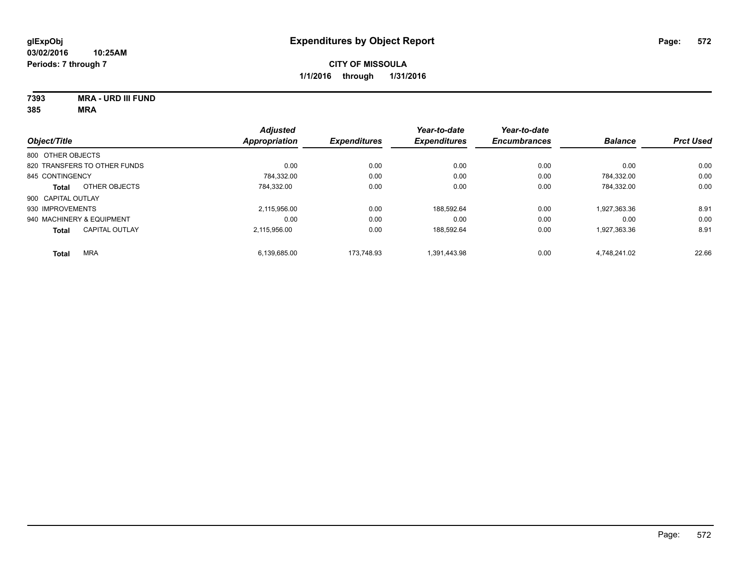**7393 MRA - URD III FUND**

|                              |                       | <b>Adjusted</b>      |                     | Year-to-date        | Year-to-date        |                |                  |
|------------------------------|-----------------------|----------------------|---------------------|---------------------|---------------------|----------------|------------------|
| Object/Title                 |                       | <b>Appropriation</b> | <b>Expenditures</b> | <b>Expenditures</b> | <b>Encumbrances</b> | <b>Balance</b> | <b>Prct Used</b> |
| 800 OTHER OBJECTS            |                       |                      |                     |                     |                     |                |                  |
| 820 TRANSFERS TO OTHER FUNDS |                       | 0.00                 | 0.00                | 0.00                | 0.00                | 0.00           | 0.00             |
| 845 CONTINGENCY              |                       | 784,332.00           | 0.00                | 0.00                | 0.00                | 784.332.00     | 0.00             |
| <b>Total</b>                 | OTHER OBJECTS         | 784.332.00           | 0.00                | 0.00                | 0.00                | 784.332.00     | 0.00             |
| 900 CAPITAL OUTLAY           |                       |                      |                     |                     |                     |                |                  |
| 930 IMPROVEMENTS             |                       | 2.115.956.00         | 0.00                | 188.592.64          | 0.00                | 1.927.363.36   | 8.91             |
| 940 MACHINERY & EQUIPMENT    |                       | 0.00                 | 0.00                | 0.00                | 0.00                | 0.00           | 0.00             |
| <b>Total</b>                 | <b>CAPITAL OUTLAY</b> | 2.115.956.00         | 0.00                | 188.592.64          | 0.00                | 1,927,363.36   | 8.91             |
| <b>MRA</b><br><b>Total</b>   |                       | 6,139,685.00         | 173.748.93          | 1.391.443.98        | 0.00                | 4.748.241.02   | 22.66            |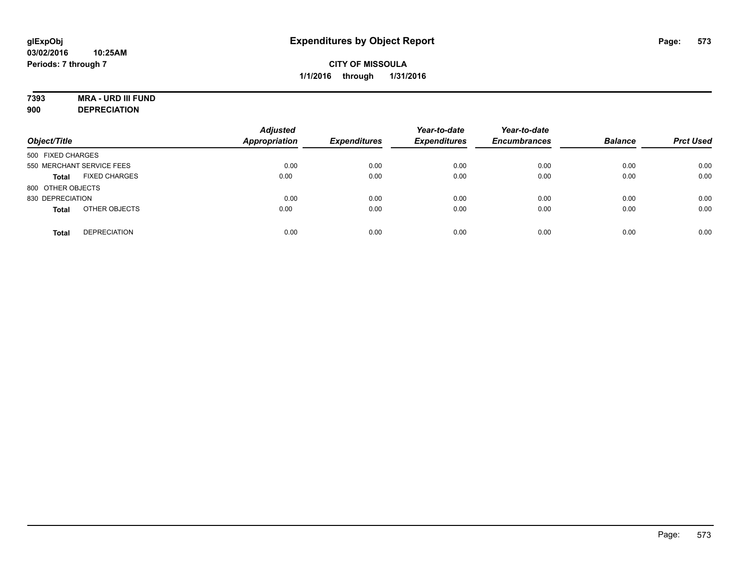# **7393 MRA - URD III FUND**

**900 DEPRECIATION**

| Object/Title                         | <b>Adjusted</b><br><b>Appropriation</b> | <b>Expenditures</b> | Year-to-date<br><b>Expenditures</b> | Year-to-date<br><b>Encumbrances</b> | <b>Balance</b> | <b>Prct Used</b> |
|--------------------------------------|-----------------------------------------|---------------------|-------------------------------------|-------------------------------------|----------------|------------------|
| 500 FIXED CHARGES                    |                                         |                     |                                     |                                     |                |                  |
| 550 MERCHANT SERVICE FEES            | 0.00                                    | 0.00                | 0.00                                | 0.00                                | 0.00           | 0.00             |
| <b>FIXED CHARGES</b><br><b>Total</b> | 0.00                                    | 0.00                | 0.00                                | 0.00                                | 0.00           | 0.00             |
| 800 OTHER OBJECTS                    |                                         |                     |                                     |                                     |                |                  |
| 830 DEPRECIATION                     | 0.00                                    | 0.00                | 0.00                                | 0.00                                | 0.00           | 0.00             |
| OTHER OBJECTS<br><b>Total</b>        | 0.00                                    | 0.00                | 0.00                                | 0.00                                | 0.00           | 0.00             |
| <b>DEPRECIATION</b><br><b>Total</b>  | 0.00                                    | 0.00                | 0.00                                | 0.00                                | 0.00           | 0.00             |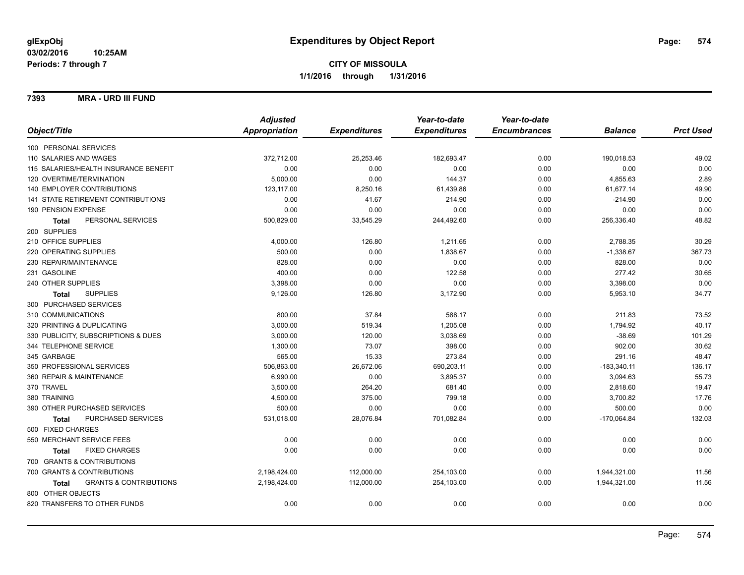#### **7393 MRA - URD III FUND**

|                                                   | <b>Adjusted</b> |                     | Year-to-date        | Year-to-date        |                |                  |
|---------------------------------------------------|-----------------|---------------------|---------------------|---------------------|----------------|------------------|
| Object/Title                                      | Appropriation   | <b>Expenditures</b> | <b>Expenditures</b> | <b>Encumbrances</b> | <b>Balance</b> | <b>Prct Used</b> |
| 100 PERSONAL SERVICES                             |                 |                     |                     |                     |                |                  |
| 110 SALARIES AND WAGES                            | 372,712.00      | 25,253.46           | 182,693.47          | 0.00                | 190,018.53     | 49.02            |
| 115 SALARIES/HEALTH INSURANCE BENEFIT             | 0.00            | 0.00                | 0.00                | 0.00                | 0.00           | 0.00             |
| 120 OVERTIME/TERMINATION                          | 5,000.00        | 0.00                | 144.37              | 0.00                | 4,855.63       | 2.89             |
| 140 EMPLOYER CONTRIBUTIONS                        | 123,117.00      | 8,250.16            | 61,439.86           | 0.00                | 61,677.14      | 49.90            |
| 141 STATE RETIREMENT CONTRIBUTIONS                | 0.00            | 41.67               | 214.90              | 0.00                | $-214.90$      | 0.00             |
| 190 PENSION EXPENSE                               | 0.00            | 0.00                | 0.00                | 0.00                | 0.00           | 0.00             |
| PERSONAL SERVICES<br><b>Total</b>                 | 500,829.00      | 33,545.29           | 244,492.60          | 0.00                | 256,336.40     | 48.82            |
| 200 SUPPLIES                                      |                 |                     |                     |                     |                |                  |
| 210 OFFICE SUPPLIES                               | 4,000.00        | 126.80              | 1,211.65            | 0.00                | 2,788.35       | 30.29            |
| 220 OPERATING SUPPLIES                            | 500.00          | 0.00                | 1,838.67            | 0.00                | $-1,338.67$    | 367.73           |
| 230 REPAIR/MAINTENANCE                            | 828.00          | 0.00                | 0.00                | 0.00                | 828.00         | 0.00             |
| 231 GASOLINE                                      | 400.00          | 0.00                | 122.58              | 0.00                | 277.42         | 30.65            |
| 240 OTHER SUPPLIES                                | 3,398.00        | 0.00                | 0.00                | 0.00                | 3,398.00       | 0.00             |
| <b>SUPPLIES</b><br>Total                          | 9,126.00        | 126.80              | 3,172.90            | 0.00                | 5,953.10       | 34.77            |
| 300 PURCHASED SERVICES                            |                 |                     |                     |                     |                |                  |
| 310 COMMUNICATIONS                                | 800.00          | 37.84               | 588.17              | 0.00                | 211.83         | 73.52            |
| 320 PRINTING & DUPLICATING                        | 3,000.00        | 519.34              | 1,205.08            | 0.00                | 1,794.92       | 40.17            |
| 330 PUBLICITY, SUBSCRIPTIONS & DUES               | 3,000.00        | 120.00              | 3,038.69            | 0.00                | $-38.69$       | 101.29           |
| 344 TELEPHONE SERVICE                             | 1,300.00        | 73.07               | 398.00              | 0.00                | 902.00         | 30.62            |
| 345 GARBAGE                                       | 565.00          | 15.33               | 273.84              | 0.00                | 291.16         | 48.47            |
| 350 PROFESSIONAL SERVICES                         | 506,863.00      | 26,672.06           | 690,203.11          | 0.00                | $-183,340.11$  | 136.17           |
| 360 REPAIR & MAINTENANCE                          | 6,990.00        | 0.00                | 3,895.37            | 0.00                | 3,094.63       | 55.73            |
| 370 TRAVEL                                        | 3,500.00        | 264.20              | 681.40              | 0.00                | 2,818.60       | 19.47            |
| 380 TRAINING                                      | 4,500.00        | 375.00              | 799.18              | 0.00                | 3,700.82       | 17.76            |
| 390 OTHER PURCHASED SERVICES                      | 500.00          | 0.00                | 0.00                | 0.00                | 500.00         | 0.00             |
| PURCHASED SERVICES<br><b>Total</b>                | 531,018.00      | 28,076.84           | 701,082.84          | 0.00                | $-170,064.84$  | 132.03           |
| 500 FIXED CHARGES                                 |                 |                     |                     |                     |                |                  |
| 550 MERCHANT SERVICE FEES                         | 0.00            | 0.00                | 0.00                | 0.00                | 0.00           | 0.00             |
| <b>FIXED CHARGES</b><br><b>Total</b>              | 0.00            | 0.00                | 0.00                | 0.00                | 0.00           | 0.00             |
| 700 GRANTS & CONTRIBUTIONS                        |                 |                     |                     |                     |                |                  |
| 700 GRANTS & CONTRIBUTIONS                        | 2,198,424.00    | 112,000.00          | 254,103.00          | 0.00                | 1,944,321.00   | 11.56            |
| <b>GRANTS &amp; CONTRIBUTIONS</b><br><b>Total</b> | 2,198,424.00    | 112,000.00          | 254,103.00          | 0.00                | 1,944,321.00   | 11.56            |
| 800 OTHER OBJECTS                                 |                 |                     |                     |                     |                |                  |
| 820 TRANSFERS TO OTHER FUNDS                      | 0.00            | 0.00                | 0.00                | 0.00                | 0.00           | 0.00             |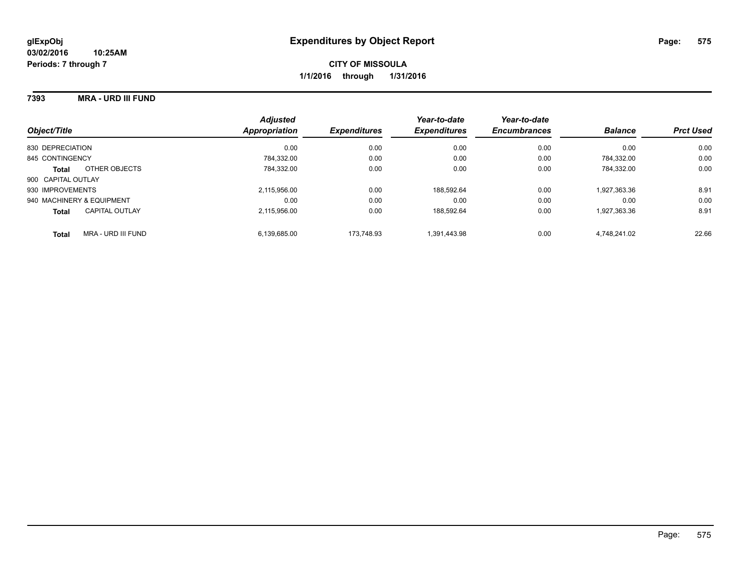#### **7393 MRA - URD III FUND**

| Object/Title                       | <b>Adjusted</b><br>Appropriation | <b>Expenditures</b> | Year-to-date<br><b>Expenditures</b> | Year-to-date<br><b>Encumbrances</b> | <b>Balance</b> | <b>Prct Used</b> |
|------------------------------------|----------------------------------|---------------------|-------------------------------------|-------------------------------------|----------------|------------------|
| 830 DEPRECIATION                   | 0.00                             | 0.00                | 0.00                                | 0.00                                | 0.00           | 0.00             |
| 845 CONTINGENCY                    | 784.332.00                       | 0.00                | 0.00                                | 0.00                                | 784.332.00     | 0.00             |
| OTHER OBJECTS<br><b>Total</b>      | 784.332.00                       | 0.00                | 0.00                                | 0.00                                | 784.332.00     | 0.00             |
| 900 CAPITAL OUTLAY                 |                                  |                     |                                     |                                     |                |                  |
| 930 IMPROVEMENTS                   | 2,115,956.00                     | 0.00                | 188.592.64                          | 0.00                                | 1,927,363.36   | 8.91             |
| 940 MACHINERY & EQUIPMENT          | 0.00                             | 0.00                | 0.00                                | 0.00                                | 0.00           | 0.00             |
| CAPITAL OUTLAY<br><b>Total</b>     | 2.115.956.00                     | 0.00                | 188.592.64                          | 0.00                                | 1,927,363.36   | 8.91             |
| MRA - URD III FUND<br><b>Total</b> | 6.139.685.00                     | 173.748.93          | 1.391.443.98                        | 0.00                                | 4.748.241.02   | 22.66            |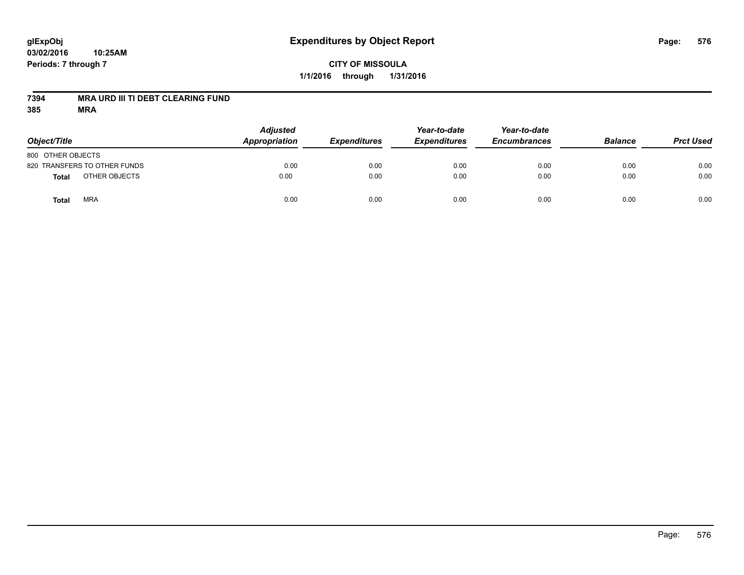#### **03/02/2016 10:25AM Periods: 7 through 7**

# **CITY OF MISSOULA 1/1/2016 through 1/31/2016**

#### **7394 MRA URD III TI DEBT CLEARING FUND**

| Object/Title                  | <b>Adjusted</b><br>Appropriation | <b>Expenditures</b> | Year-to-date<br><b>Expenditures</b> | Year-to-date<br><b>Encumbrances</b> | <b>Balance</b> | <b>Prct Used</b> |
|-------------------------------|----------------------------------|---------------------|-------------------------------------|-------------------------------------|----------------|------------------|
| 800 OTHER OBJECTS             |                                  |                     |                                     |                                     |                |                  |
| 820 TRANSFERS TO OTHER FUNDS  | 0.00                             | 0.00                | 0.00                                | 0.00                                | 0.00           | 0.00             |
| OTHER OBJECTS<br><b>Total</b> | 0.00                             | 0.00                | 0.00                                | 0.00                                | 0.00           | 0.00             |
| <b>MRA</b><br>Total           | 0.00                             | 0.00                | 0.00                                | 0.00                                | 0.00           | 0.00             |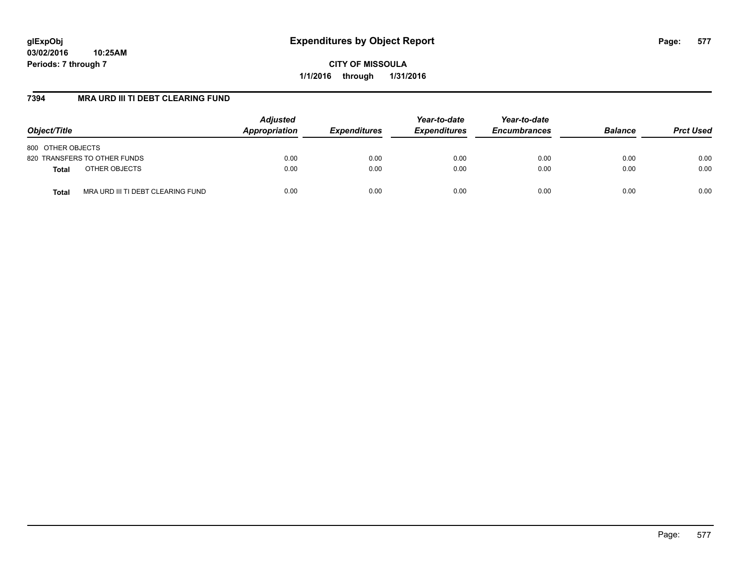**CITY OF MISSOULA 1/1/2016 through 1/31/2016**

## **7394 MRA URD III TI DEBT CLEARING FUND**

| Object/Title                                      | <b>Adjusted</b><br>Appropriation | <b>Expenditures</b> | Year-to-date<br><b>Expenditures</b> | Year-to-date<br><b>Encumbrances</b> | <b>Balance</b> | <b>Prct Used</b> |
|---------------------------------------------------|----------------------------------|---------------------|-------------------------------------|-------------------------------------|----------------|------------------|
| 800 OTHER OBJECTS                                 |                                  |                     |                                     |                                     |                |                  |
| 820 TRANSFERS TO OTHER FUNDS                      | 0.00                             | 0.00                | 0.00                                | 0.00                                | 0.00           | 0.00             |
| OTHER OBJECTS<br><b>Total</b>                     | 0.00                             | 0.00                | 0.00                                | 0.00                                | 0.00           | 0.00             |
| MRA URD III TI DEBT CLEARING FUND<br><b>Total</b> | 0.00                             | 0.00                | 0.00                                | 0.00                                | 0.00           | 0.00             |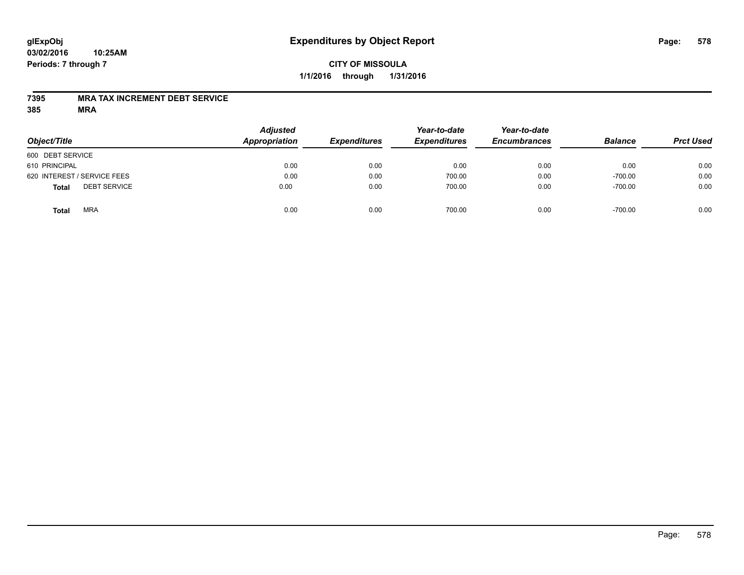# **CITY OF MISSOULA 1/1/2016 through 1/31/2016**

## **7395 MRA TAX INCREMENT DEBT SERVICE**

| Object/Title                        | <b>Adjusted</b><br>Appropriation | <b>Expenditures</b> | Year-to-date<br><b>Expenditures</b> | Year-to-date<br><b>Encumbrances</b> | <b>Balance</b> | <b>Prct Used</b> |
|-------------------------------------|----------------------------------|---------------------|-------------------------------------|-------------------------------------|----------------|------------------|
| 600 DEBT SERVICE                    |                                  |                     |                                     |                                     |                |                  |
| 610 PRINCIPAL                       | 0.00                             | 0.00                | 0.00                                | 0.00                                | 0.00           | 0.00             |
| 620 INTEREST / SERVICE FEES         | 0.00                             | 0.00                | 700.00                              | 0.00                                | $-700.00$      | 0.00             |
| <b>DEBT SERVICE</b><br><b>Total</b> | 0.00                             | 0.00                | 700.00                              | 0.00                                | $-700.00$      | 0.00             |
| <b>MRA</b><br><b>Total</b>          | 0.00                             | 0.00                | 700.00                              | 0.00                                | $-700.00$      | 0.00             |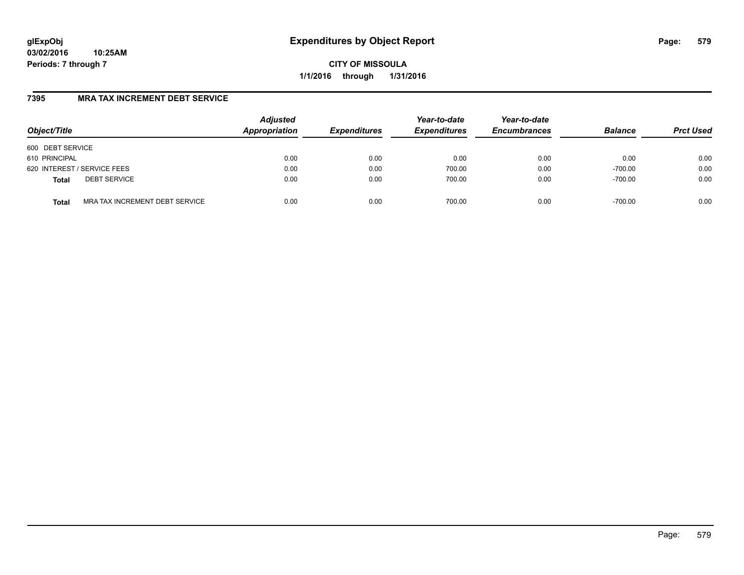**CITY OF MISSOULA 1/1/2016 through 1/31/2016**

# **7395 MRA TAX INCREMENT DEBT SERVICE**

| Object/Title                                   | <b>Adjusted</b><br>Appropriation | <b>Expenditures</b> | Year-to-date<br><b>Expenditures</b> | Year-to-date<br><b>Encumbrances</b> | <b>Balance</b> | <b>Prct Used</b> |
|------------------------------------------------|----------------------------------|---------------------|-------------------------------------|-------------------------------------|----------------|------------------|
| 600 DEBT SERVICE                               |                                  |                     |                                     |                                     |                |                  |
| 610 PRINCIPAL                                  | 0.00                             | 0.00                | 0.00                                | 0.00                                | 0.00           | 0.00             |
| 620 INTEREST / SERVICE FEES                    | 0.00                             | 0.00                | 700.00                              | 0.00                                | $-700.00$      | 0.00             |
| <b>DEBT SERVICE</b><br><b>Total</b>            | 0.00                             | 0.00                | 700.00                              | 0.00                                | $-700.00$      | 0.00             |
| MRA TAX INCREMENT DEBT SERVICE<br><b>Total</b> | 0.00                             | 0.00                | 700.00                              | 0.00                                | $-700.00$      | 0.00             |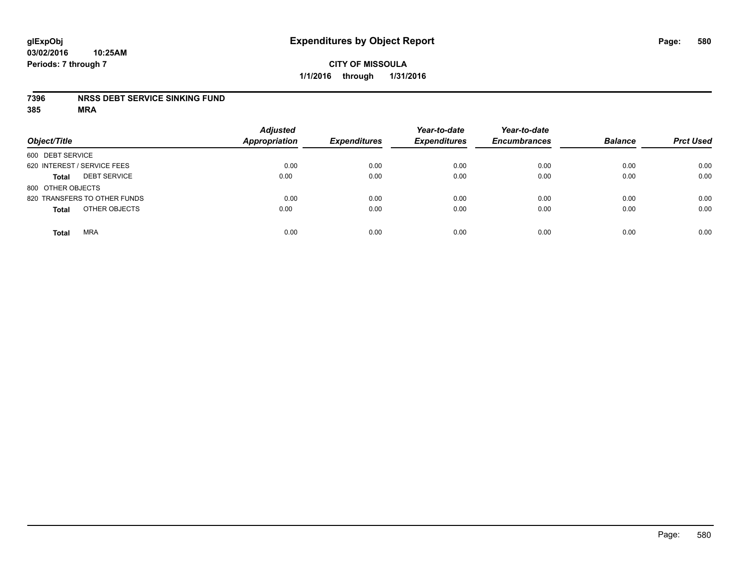### **7396 NRSS DEBT SERVICE SINKING FUND**

| Object/Title                        | <b>Adjusted</b><br><b>Appropriation</b> | <b>Expenditures</b> | Year-to-date<br><b>Expenditures</b> | Year-to-date<br><b>Encumbrances</b> | <b>Balance</b> | <b>Prct Used</b> |
|-------------------------------------|-----------------------------------------|---------------------|-------------------------------------|-------------------------------------|----------------|------------------|
| 600 DEBT SERVICE                    |                                         |                     |                                     |                                     |                |                  |
| 620 INTEREST / SERVICE FEES         | 0.00                                    | 0.00                | 0.00                                | 0.00                                | 0.00           | 0.00             |
| <b>DEBT SERVICE</b><br><b>Total</b> | 0.00                                    | 0.00                | 0.00                                | 0.00                                | 0.00           | 0.00             |
| 800 OTHER OBJECTS                   |                                         |                     |                                     |                                     |                |                  |
| 820 TRANSFERS TO OTHER FUNDS        | 0.00                                    | 0.00                | 0.00                                | 0.00                                | 0.00           | 0.00             |
| OTHER OBJECTS<br><b>Total</b>       | 0.00                                    | 0.00                | 0.00                                | 0.00                                | 0.00           | 0.00             |
| <b>MRA</b><br><b>Total</b>          | 0.00                                    | 0.00                | 0.00                                | 0.00                                | 0.00           | 0.00             |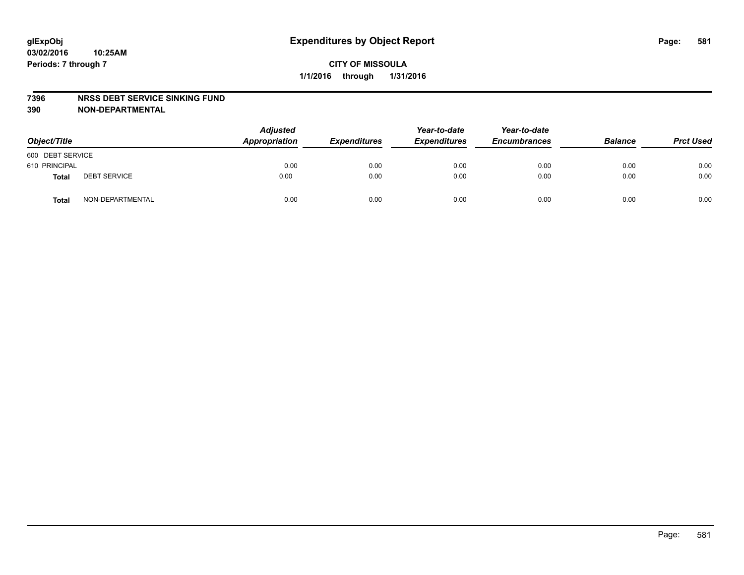#### **7396 NRSS DEBT SERVICE SINKING FUND**

**390 NON-DEPARTMENTAL**

| Object/Title     |                     | <b>Adjusted</b><br>Appropriation | <b>Expenditures</b> | Year-to-date<br><b>Expenditures</b> | Year-to-date<br><b>Encumbrances</b> | <b>Balance</b> | <b>Prct Used</b> |
|------------------|---------------------|----------------------------------|---------------------|-------------------------------------|-------------------------------------|----------------|------------------|
| 600 DEBT SERVICE |                     |                                  |                     |                                     |                                     |                |                  |
| 610 PRINCIPAL    |                     | 0.00                             | 0.00                | 0.00                                | 0.00                                | 0.00           | 0.00             |
| Total            | <b>DEBT SERVICE</b> | 0.00                             | 0.00                | 0.00                                | 0.00                                | 0.00           | 0.00             |
| Total            | NON-DEPARTMENTAL    | 0.00                             | 0.00                | 0.00                                | 0.00                                | 0.00           | 0.00             |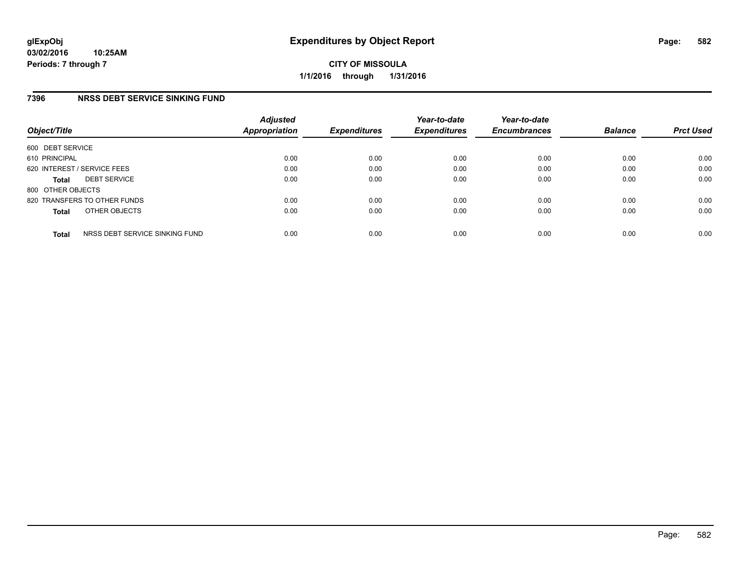## **7396 NRSS DEBT SERVICE SINKING FUND**

| Object/Title      |                                | <b>Adjusted</b><br>Appropriation | <b>Expenditures</b> | Year-to-date<br><b>Expenditures</b> | Year-to-date<br><b>Encumbrances</b> | <b>Balance</b> | <b>Prct Used</b> |
|-------------------|--------------------------------|----------------------------------|---------------------|-------------------------------------|-------------------------------------|----------------|------------------|
| 600 DEBT SERVICE  |                                |                                  |                     |                                     |                                     |                |                  |
| 610 PRINCIPAL     |                                | 0.00                             | 0.00                | 0.00                                | 0.00                                | 0.00           | 0.00             |
|                   | 620 INTEREST / SERVICE FEES    | 0.00                             | 0.00                | 0.00                                | 0.00                                | 0.00           | 0.00             |
| <b>Total</b>      | <b>DEBT SERVICE</b>            | 0.00                             | 0.00                | 0.00                                | 0.00                                | 0.00           | 0.00             |
| 800 OTHER OBJECTS |                                |                                  |                     |                                     |                                     |                |                  |
|                   | 820 TRANSFERS TO OTHER FUNDS   | 0.00                             | 0.00                | 0.00                                | 0.00                                | 0.00           | 0.00             |
| <b>Total</b>      | OTHER OBJECTS                  | 0.00                             | 0.00                | 0.00                                | 0.00                                | 0.00           | 0.00             |
| <b>Total</b>      | NRSS DEBT SERVICE SINKING FUND | 0.00                             | 0.00                | 0.00                                | 0.00                                | 0.00           | 0.00             |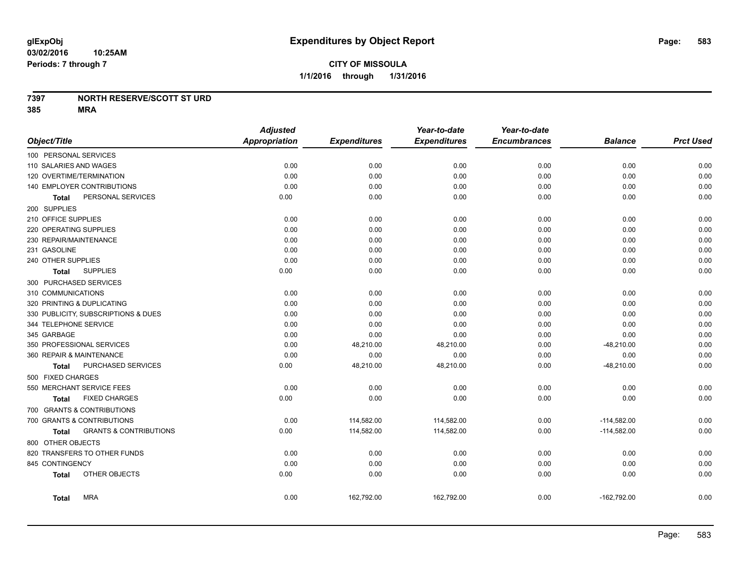### **7397 NORTH RESERVE/SCOTT ST URD**

|                          |                                     | <b>Adjusted</b>      |                     | Year-to-date        | Year-to-date        |                |                  |
|--------------------------|-------------------------------------|----------------------|---------------------|---------------------|---------------------|----------------|------------------|
| Object/Title             |                                     | <b>Appropriation</b> | <b>Expenditures</b> | <b>Expenditures</b> | <b>Encumbrances</b> | <b>Balance</b> | <b>Prct Used</b> |
| 100 PERSONAL SERVICES    |                                     |                      |                     |                     |                     |                |                  |
| 110 SALARIES AND WAGES   |                                     | 0.00                 | 0.00                | 0.00                | 0.00                | 0.00           | 0.00             |
| 120 OVERTIME/TERMINATION |                                     | 0.00                 | 0.00                | 0.00                | 0.00                | 0.00           | 0.00             |
|                          | 140 EMPLOYER CONTRIBUTIONS          | 0.00                 | 0.00                | 0.00                | 0.00                | 0.00           | 0.00             |
| Total                    | PERSONAL SERVICES                   | 0.00                 | 0.00                | 0.00                | 0.00                | 0.00           | 0.00             |
| 200 SUPPLIES             |                                     |                      |                     |                     |                     |                |                  |
| 210 OFFICE SUPPLIES      |                                     | 0.00                 | 0.00                | 0.00                | 0.00                | 0.00           | 0.00             |
| 220 OPERATING SUPPLIES   |                                     | 0.00                 | 0.00                | 0.00                | 0.00                | 0.00           | 0.00             |
| 230 REPAIR/MAINTENANCE   |                                     | 0.00                 | 0.00                | 0.00                | 0.00                | 0.00           | 0.00             |
| 231 GASOLINE             |                                     | 0.00                 | 0.00                | 0.00                | 0.00                | 0.00           | 0.00             |
| 240 OTHER SUPPLIES       |                                     | 0.00                 | 0.00                | 0.00                | 0.00                | 0.00           | 0.00             |
| Total                    | <b>SUPPLIES</b>                     | 0.00                 | 0.00                | 0.00                | 0.00                | 0.00           | 0.00             |
| 300 PURCHASED SERVICES   |                                     |                      |                     |                     |                     |                |                  |
| 310 COMMUNICATIONS       |                                     | 0.00                 | 0.00                | 0.00                | 0.00                | 0.00           | 0.00             |
|                          | 320 PRINTING & DUPLICATING          | 0.00                 | 0.00                | 0.00                | 0.00                | 0.00           | 0.00             |
|                          | 330 PUBLICITY, SUBSCRIPTIONS & DUES | 0.00                 | 0.00                | 0.00                | 0.00                | 0.00           | 0.00             |
| 344 TELEPHONE SERVICE    |                                     | 0.00                 | 0.00                | 0.00                | 0.00                | 0.00           | 0.00             |
| 345 GARBAGE              |                                     | 0.00                 | 0.00                | 0.00                | 0.00                | 0.00           | 0.00             |
|                          | 350 PROFESSIONAL SERVICES           | 0.00                 | 48,210.00           | 48,210.00           | 0.00                | $-48,210.00$   | 0.00             |
| 360 REPAIR & MAINTENANCE |                                     | 0.00                 | 0.00                | 0.00                | 0.00                | 0.00           | 0.00             |
| Total                    | PURCHASED SERVICES                  | 0.00                 | 48,210.00           | 48,210.00           | 0.00                | $-48,210.00$   | 0.00             |
| 500 FIXED CHARGES        |                                     |                      |                     |                     |                     |                |                  |
|                          | 550 MERCHANT SERVICE FEES           | 0.00                 | 0.00                | 0.00                | 0.00                | 0.00           | 0.00             |
| <b>Total</b>             | <b>FIXED CHARGES</b>                | 0.00                 | 0.00                | 0.00                | 0.00                | 0.00           | 0.00             |
|                          | 700 GRANTS & CONTRIBUTIONS          |                      |                     |                     |                     |                |                  |
|                          | 700 GRANTS & CONTRIBUTIONS          | 0.00                 | 114,582.00          | 114,582.00          | 0.00                | $-114,582.00$  | 0.00             |
| <b>Total</b>             | <b>GRANTS &amp; CONTRIBUTIONS</b>   | 0.00                 | 114,582.00          | 114,582.00          | 0.00                | $-114,582.00$  | 0.00             |
| 800 OTHER OBJECTS        |                                     |                      |                     |                     |                     |                |                  |
|                          | 820 TRANSFERS TO OTHER FUNDS        | 0.00                 | 0.00                | 0.00                | 0.00                | 0.00           | 0.00             |
| 845 CONTINGENCY          |                                     | 0.00                 | 0.00                | 0.00                | 0.00                | 0.00           | 0.00             |
| Total                    | OTHER OBJECTS                       | 0.00                 | 0.00                | 0.00                | 0.00                | 0.00           | 0.00             |
| <b>Total</b>             | <b>MRA</b>                          | 0.00                 | 162,792.00          | 162,792.00          | 0.00                | $-162,792.00$  | 0.00             |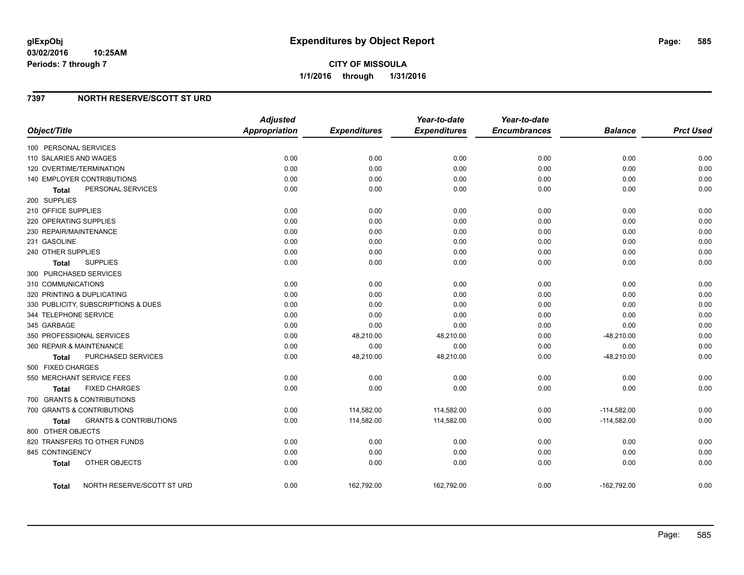# **7397 NORTH RESERVE/SCOTT ST URD**

|                                                   | <b>Adjusted</b>      |                     | Year-to-date        | Year-to-date        |                |                  |
|---------------------------------------------------|----------------------|---------------------|---------------------|---------------------|----------------|------------------|
| Object/Title                                      | <b>Appropriation</b> | <b>Expenditures</b> | <b>Expenditures</b> | <b>Encumbrances</b> | <b>Balance</b> | <b>Prct Used</b> |
| 100 PERSONAL SERVICES                             |                      |                     |                     |                     |                |                  |
| 110 SALARIES AND WAGES                            | 0.00                 | 0.00                | 0.00                | 0.00                | 0.00           | 0.00             |
| 120 OVERTIME/TERMINATION                          | 0.00                 | 0.00                | 0.00                | 0.00                | 0.00           | 0.00             |
| 140 EMPLOYER CONTRIBUTIONS                        | 0.00                 | 0.00                | 0.00                | 0.00                | 0.00           | 0.00             |
| PERSONAL SERVICES<br><b>Total</b>                 | 0.00                 | 0.00                | 0.00                | 0.00                | 0.00           | 0.00             |
| 200 SUPPLIES                                      |                      |                     |                     |                     |                |                  |
| 210 OFFICE SUPPLIES                               | 0.00                 | 0.00                | 0.00                | 0.00                | 0.00           | 0.00             |
| 220 OPERATING SUPPLIES                            | 0.00                 | 0.00                | 0.00                | 0.00                | 0.00           | 0.00             |
| 230 REPAIR/MAINTENANCE                            | 0.00                 | 0.00                | 0.00                | 0.00                | 0.00           | 0.00             |
| 231 GASOLINE                                      | 0.00                 | 0.00                | 0.00                | 0.00                | 0.00           | 0.00             |
| 240 OTHER SUPPLIES                                | 0.00                 | 0.00                | 0.00                | 0.00                | 0.00           | 0.00             |
| <b>SUPPLIES</b><br><b>Total</b>                   | 0.00                 | 0.00                | 0.00                | 0.00                | 0.00           | 0.00             |
| 300 PURCHASED SERVICES                            |                      |                     |                     |                     |                |                  |
| 310 COMMUNICATIONS                                | 0.00                 | 0.00                | 0.00                | 0.00                | 0.00           | 0.00             |
| 320 PRINTING & DUPLICATING                        | 0.00                 | 0.00                | 0.00                | 0.00                | 0.00           | 0.00             |
| 330 PUBLICITY, SUBSCRIPTIONS & DUES               | 0.00                 | 0.00                | 0.00                | 0.00                | 0.00           | 0.00             |
| 344 TELEPHONE SERVICE                             | 0.00                 | 0.00                | 0.00                | 0.00                | 0.00           | 0.00             |
| 345 GARBAGE                                       | 0.00                 | 0.00                | 0.00                | 0.00                | 0.00           | 0.00             |
| 350 PROFESSIONAL SERVICES                         | 0.00                 | 48,210.00           | 48,210.00           | 0.00                | $-48,210.00$   | 0.00             |
| 360 REPAIR & MAINTENANCE                          | 0.00                 | 0.00                | 0.00                | 0.00                | 0.00           | 0.00             |
| <b>PURCHASED SERVICES</b><br><b>Total</b>         | 0.00                 | 48,210.00           | 48,210.00           | 0.00                | $-48,210.00$   | 0.00             |
| 500 FIXED CHARGES                                 |                      |                     |                     |                     |                |                  |
| 550 MERCHANT SERVICE FEES                         | 0.00                 | 0.00                | 0.00                | 0.00                | 0.00           | 0.00             |
| <b>FIXED CHARGES</b><br>Total                     | 0.00                 | 0.00                | 0.00                | 0.00                | 0.00           | 0.00             |
| 700 GRANTS & CONTRIBUTIONS                        |                      |                     |                     |                     |                |                  |
| 700 GRANTS & CONTRIBUTIONS                        | 0.00                 | 114,582.00          | 114,582.00          | 0.00                | $-114,582.00$  | 0.00             |
| <b>GRANTS &amp; CONTRIBUTIONS</b><br><b>Total</b> | 0.00                 | 114,582.00          | 114,582.00          | 0.00                | $-114,582.00$  | 0.00             |
| 800 OTHER OBJECTS                                 |                      |                     |                     |                     |                |                  |
| 820 TRANSFERS TO OTHER FUNDS                      | 0.00                 | 0.00                | 0.00                | 0.00                | 0.00           | 0.00             |
| 845 CONTINGENCY                                   | 0.00                 | 0.00                | 0.00                | 0.00                | 0.00           | 0.00             |
| OTHER OBJECTS<br><b>Total</b>                     | 0.00                 | 0.00                | 0.00                | 0.00                | 0.00           | 0.00             |
| NORTH RESERVE/SCOTT ST URD<br>Total               | 0.00                 | 162,792.00          | 162,792.00          | 0.00                | $-162,792.00$  | 0.00             |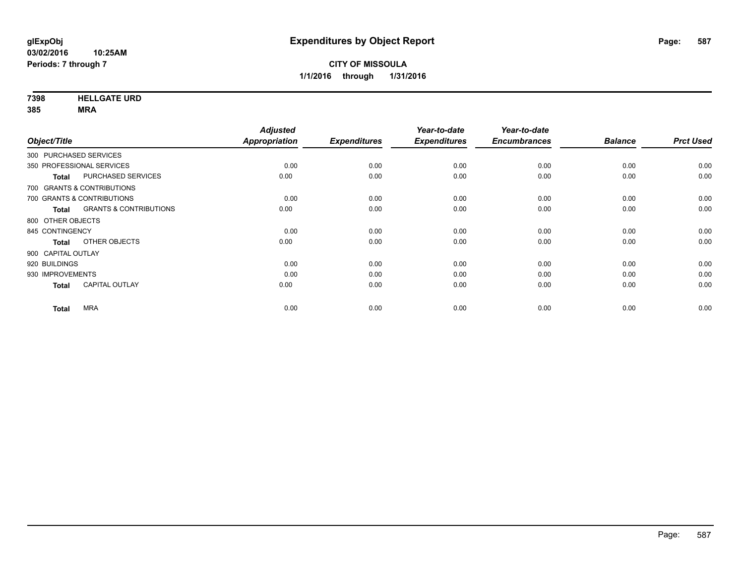**7398 HELLGATE URD**

|                    |                                   | <b>Adjusted</b> |                     | Year-to-date        | Year-to-date        |                |                  |
|--------------------|-----------------------------------|-----------------|---------------------|---------------------|---------------------|----------------|------------------|
| Object/Title       |                                   | Appropriation   | <b>Expenditures</b> | <b>Expenditures</b> | <b>Encumbrances</b> | <b>Balance</b> | <b>Prct Used</b> |
|                    | 300 PURCHASED SERVICES            |                 |                     |                     |                     |                |                  |
|                    | 350 PROFESSIONAL SERVICES         | 0.00            | 0.00                | 0.00                | 0.00                | 0.00           | 0.00             |
| <b>Total</b>       | PURCHASED SERVICES                | 0.00            | 0.00                | 0.00                | 0.00                | 0.00           | 0.00             |
|                    | 700 GRANTS & CONTRIBUTIONS        |                 |                     |                     |                     |                |                  |
|                    | 700 GRANTS & CONTRIBUTIONS        | 0.00            | 0.00                | 0.00                | 0.00                | 0.00           | 0.00             |
| <b>Total</b>       | <b>GRANTS &amp; CONTRIBUTIONS</b> | 0.00            | 0.00                | 0.00                | 0.00                | 0.00           | 0.00             |
| 800 OTHER OBJECTS  |                                   |                 |                     |                     |                     |                |                  |
| 845 CONTINGENCY    |                                   | 0.00            | 0.00                | 0.00                | 0.00                | 0.00           | 0.00             |
| <b>Total</b>       | OTHER OBJECTS                     | 0.00            | 0.00                | 0.00                | 0.00                | 0.00           | 0.00             |
| 900 CAPITAL OUTLAY |                                   |                 |                     |                     |                     |                |                  |
| 920 BUILDINGS      |                                   | 0.00            | 0.00                | 0.00                | 0.00                | 0.00           | 0.00             |
| 930 IMPROVEMENTS   |                                   | 0.00            | 0.00                | 0.00                | 0.00                | 0.00           | 0.00             |
| <b>Total</b>       | <b>CAPITAL OUTLAY</b>             | 0.00            | 0.00                | 0.00                | 0.00                | 0.00           | 0.00             |
| <b>Total</b>       | <b>MRA</b>                        | 0.00            | 0.00                | 0.00                | 0.00                | 0.00           | 0.00             |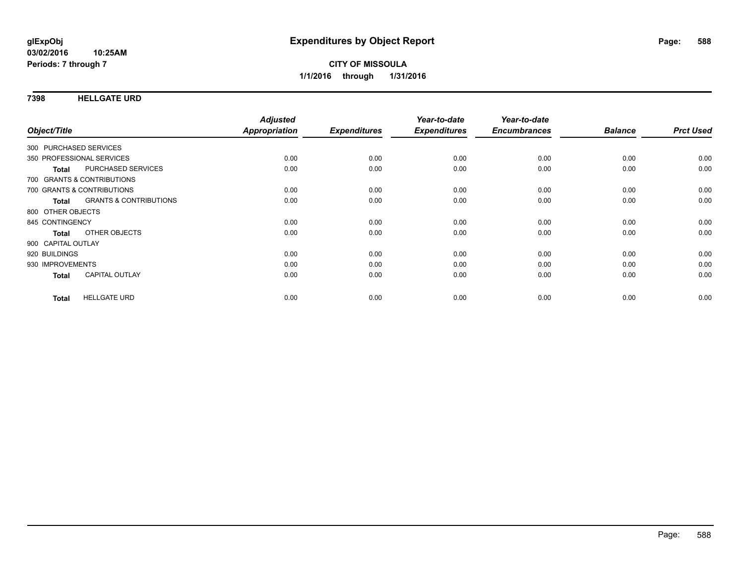### **7398 HELLGATE URD**

| Object/Title           |                                   | <b>Adjusted</b><br>Appropriation | <b>Expenditures</b> | Year-to-date<br><b>Expenditures</b> | Year-to-date<br><b>Encumbrances</b> | <b>Balance</b> | <b>Prct Used</b> |
|------------------------|-----------------------------------|----------------------------------|---------------------|-------------------------------------|-------------------------------------|----------------|------------------|
|                        |                                   |                                  |                     |                                     |                                     |                |                  |
| 300 PURCHASED SERVICES |                                   |                                  |                     |                                     |                                     |                |                  |
|                        | 350 PROFESSIONAL SERVICES         | 0.00                             | 0.00                | 0.00                                | 0.00                                | 0.00           | 0.00             |
| <b>Total</b>           | PURCHASED SERVICES                | 0.00                             | 0.00                | 0.00                                | 0.00                                | 0.00           | 0.00             |
|                        | 700 GRANTS & CONTRIBUTIONS        |                                  |                     |                                     |                                     |                |                  |
|                        | 700 GRANTS & CONTRIBUTIONS        | 0.00                             | 0.00                | 0.00                                | 0.00                                | 0.00           | 0.00             |
| Total                  | <b>GRANTS &amp; CONTRIBUTIONS</b> | 0.00                             | 0.00                | 0.00                                | 0.00                                | 0.00           | 0.00             |
| 800 OTHER OBJECTS      |                                   |                                  |                     |                                     |                                     |                |                  |
| 845 CONTINGENCY        |                                   | 0.00                             | 0.00                | 0.00                                | 0.00                                | 0.00           | 0.00             |
| <b>Total</b>           | OTHER OBJECTS                     | 0.00                             | 0.00                | 0.00                                | 0.00                                | 0.00           | 0.00             |
| 900 CAPITAL OUTLAY     |                                   |                                  |                     |                                     |                                     |                |                  |
| 920 BUILDINGS          |                                   | 0.00                             | 0.00                | 0.00                                | 0.00                                | 0.00           | 0.00             |
| 930 IMPROVEMENTS       |                                   | 0.00                             | 0.00                | 0.00                                | 0.00                                | 0.00           | 0.00             |
| <b>Total</b>           | <b>CAPITAL OUTLAY</b>             | 0.00                             | 0.00                | 0.00                                | 0.00                                | 0.00           | 0.00             |
|                        |                                   |                                  |                     |                                     |                                     |                |                  |
| <b>Total</b>           | <b>HELLGATE URD</b>               | 0.00                             | 0.00                | 0.00                                | 0.00                                | 0.00           | 0.00             |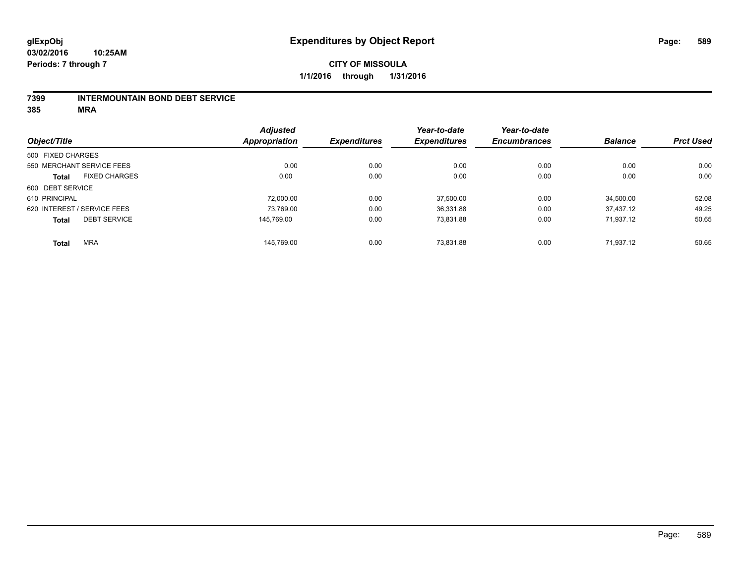#### **7399 INTERMOUNTAIN BOND DEBT SERVICE**

|                   |                             | <b>Adjusted</b> |                     | Year-to-date        | Year-to-date        |                |                  |
|-------------------|-----------------------------|-----------------|---------------------|---------------------|---------------------|----------------|------------------|
| Object/Title      |                             | Appropriation   | <b>Expenditures</b> | <b>Expenditures</b> | <b>Encumbrances</b> | <b>Balance</b> | <b>Prct Used</b> |
| 500 FIXED CHARGES |                             |                 |                     |                     |                     |                |                  |
|                   | 550 MERCHANT SERVICE FEES   | 0.00            | 0.00                | 0.00                | 0.00                | 0.00           | 0.00             |
| <b>Total</b>      | <b>FIXED CHARGES</b>        | 0.00            | 0.00                | 0.00                | 0.00                | 0.00           | 0.00             |
| 600 DEBT SERVICE  |                             |                 |                     |                     |                     |                |                  |
| 610 PRINCIPAL     |                             | 72.000.00       | 0.00                | 37,500.00           | 0.00                | 34.500.00      | 52.08            |
|                   | 620 INTEREST / SERVICE FEES | 73,769.00       | 0.00                | 36,331.88           | 0.00                | 37.437.12      | 49.25            |
| <b>Total</b>      | <b>DEBT SERVICE</b>         | 145.769.00      | 0.00                | 73.831.88           | 0.00                | 71.937.12      | 50.65            |
| <b>Total</b>      | <b>MRA</b>                  | 145.769.00      | 0.00                | 73.831.88           | 0.00                | 71.937.12      | 50.65            |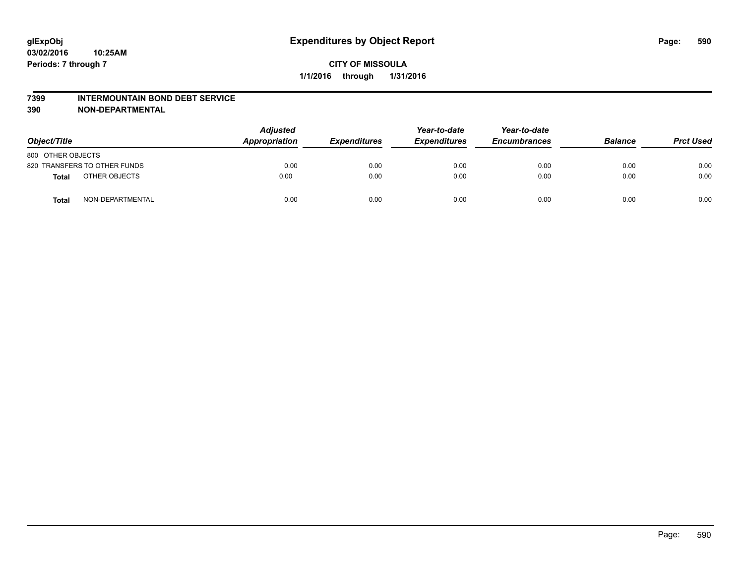#### **7399 INTERMOUNTAIN BOND DEBT SERVICE**

**390 NON-DEPARTMENTAL**

| Object/Title                     | <b>Adjusted</b><br>Appropriation | <b>Expenditures</b> | Year-to-date<br><b>Expenditures</b> | Year-to-date<br><b>Encumbrances</b> | <b>Balance</b> | <b>Prct Used</b> |
|----------------------------------|----------------------------------|---------------------|-------------------------------------|-------------------------------------|----------------|------------------|
| 800 OTHER OBJECTS                |                                  |                     |                                     |                                     |                |                  |
| 820 TRANSFERS TO OTHER FUNDS     | 0.00                             | 0.00                | 0.00                                | 0.00                                | 0.00           | 0.00             |
| OTHER OBJECTS<br><b>Total</b>    | 0.00                             | 0.00                | 0.00                                | 0.00                                | 0.00           | 0.00             |
| NON-DEPARTMENTAL<br><b>Total</b> | 0.00                             | 0.00                | 0.00                                | 0.00                                | 0.00           | 0.00             |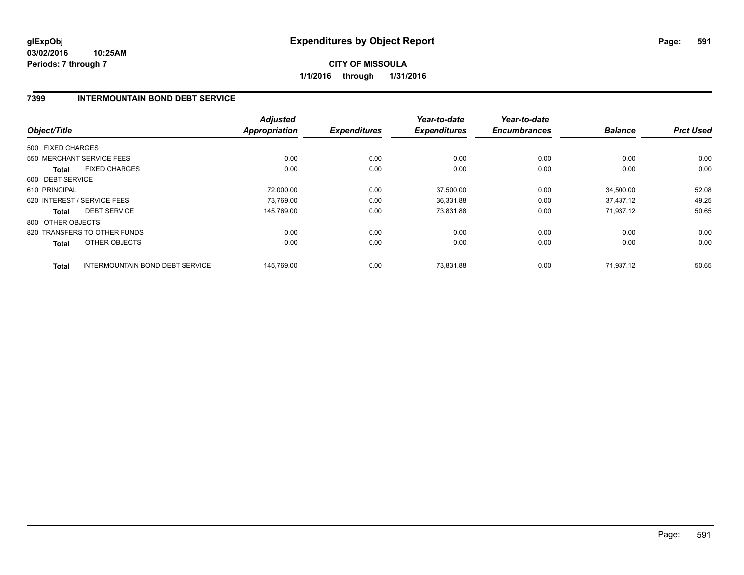# **7399 INTERMOUNTAIN BOND DEBT SERVICE**

| Object/Title                                           | <b>Adjusted</b><br><b>Appropriation</b> | <b>Expenditures</b> | Year-to-date<br><b>Expenditures</b> | Year-to-date<br><b>Encumbrances</b> | <b>Balance</b> | <b>Prct Used</b> |
|--------------------------------------------------------|-----------------------------------------|---------------------|-------------------------------------|-------------------------------------|----------------|------------------|
| 500 FIXED CHARGES                                      |                                         |                     |                                     |                                     |                |                  |
|                                                        |                                         |                     |                                     |                                     |                |                  |
| 550 MERCHANT SERVICE FEES                              | 0.00                                    | 0.00                | 0.00                                | 0.00                                | 0.00           | 0.00             |
| <b>FIXED CHARGES</b><br>Total                          | 0.00                                    | 0.00                | 0.00                                | 0.00                                | 0.00           | 0.00             |
| 600 DEBT SERVICE                                       |                                         |                     |                                     |                                     |                |                  |
| 610 PRINCIPAL                                          | 72,000.00                               | 0.00                | 37,500.00                           | 0.00                                | 34,500.00      | 52.08            |
| 620 INTEREST / SERVICE FEES                            | 73,769.00                               | 0.00                | 36,331.88                           | 0.00                                | 37,437.12      | 49.25            |
| <b>DEBT SERVICE</b><br>Total                           | 145.769.00                              | 0.00                | 73,831.88                           | 0.00                                | 71.937.12      | 50.65            |
| 800 OTHER OBJECTS                                      |                                         |                     |                                     |                                     |                |                  |
| 820 TRANSFERS TO OTHER FUNDS                           | 0.00                                    | 0.00                | 0.00                                | 0.00                                | 0.00           | 0.00             |
| OTHER OBJECTS<br>Total                                 | 0.00                                    | 0.00                | 0.00                                | 0.00                                | 0.00           | 0.00             |
| <b>INTERMOUNTAIN BOND DEBT SERVICE</b><br><b>Total</b> | 145,769.00                              | 0.00                | 73,831.88                           | 0.00                                | 71.937.12      | 50.65            |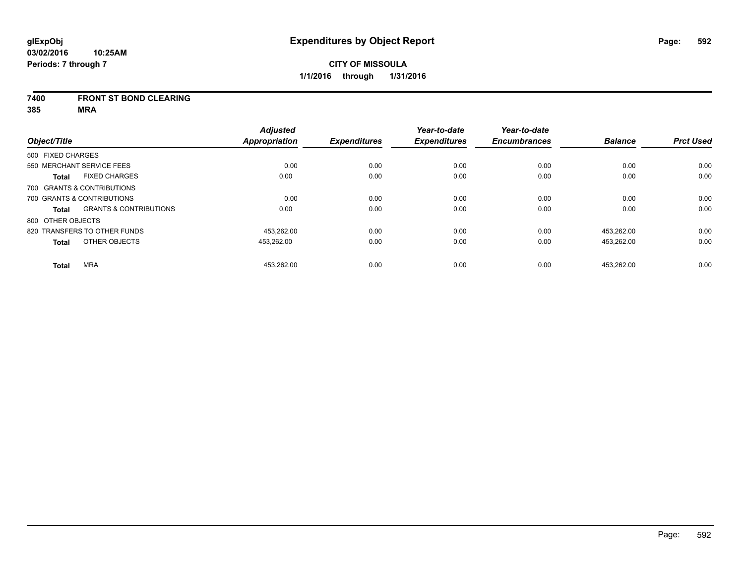#### **7400 FRONT ST BOND CLEARING**

|                   |                                   | <b>Adjusted</b>      |                     | Year-to-date        | Year-to-date        |                |                  |
|-------------------|-----------------------------------|----------------------|---------------------|---------------------|---------------------|----------------|------------------|
| Object/Title      |                                   | <b>Appropriation</b> | <b>Expenditures</b> | <b>Expenditures</b> | <b>Encumbrances</b> | <b>Balance</b> | <b>Prct Used</b> |
| 500 FIXED CHARGES |                                   |                      |                     |                     |                     |                |                  |
|                   | 550 MERCHANT SERVICE FEES         | 0.00                 | 0.00                | 0.00                | 0.00                | 0.00           | 0.00             |
| <b>Total</b>      | <b>FIXED CHARGES</b>              | 0.00                 | 0.00                | 0.00                | 0.00                | 0.00           | 0.00             |
|                   | 700 GRANTS & CONTRIBUTIONS        |                      |                     |                     |                     |                |                  |
|                   | 700 GRANTS & CONTRIBUTIONS        | 0.00                 | 0.00                | 0.00                | 0.00                | 0.00           | 0.00             |
| Total             | <b>GRANTS &amp; CONTRIBUTIONS</b> | 0.00                 | 0.00                | 0.00                | 0.00                | 0.00           | 0.00             |
| 800 OTHER OBJECTS |                                   |                      |                     |                     |                     |                |                  |
|                   | 820 TRANSFERS TO OTHER FUNDS      | 453.262.00           | 0.00                | 0.00                | 0.00                | 453.262.00     | 0.00             |
| <b>Total</b>      | OTHER OBJECTS                     | 453,262.00           | 0.00                | 0.00                | 0.00                | 453,262.00     | 0.00             |
| <b>Total</b>      | <b>MRA</b>                        | 453.262.00           | 0.00                | 0.00                | 0.00                | 453.262.00     | 0.00             |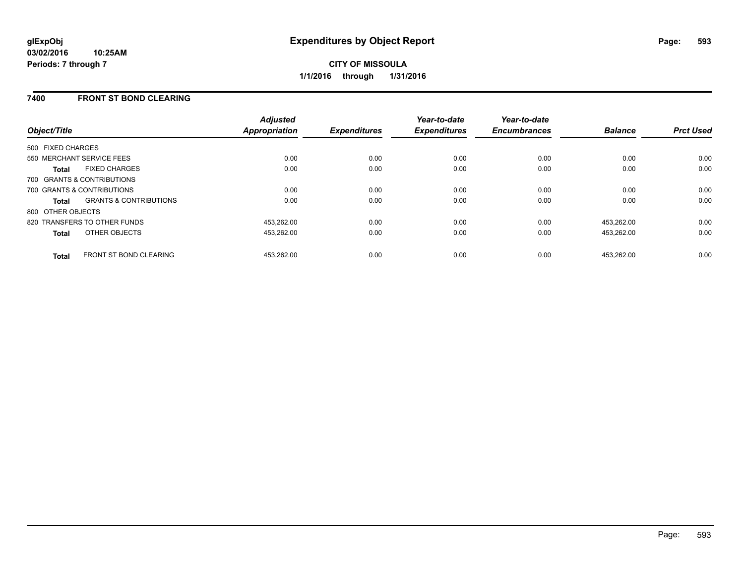# **7400 FRONT ST BOND CLEARING**

| Object/Title                                  | <b>Adjusted</b><br>Appropriation | <b>Expenditures</b> | Year-to-date<br><b>Expenditures</b> | Year-to-date<br><b>Encumbrances</b> | <b>Balance</b> | <b>Prct Used</b> |
|-----------------------------------------------|----------------------------------|---------------------|-------------------------------------|-------------------------------------|----------------|------------------|
| 500 FIXED CHARGES                             |                                  |                     |                                     |                                     |                |                  |
| 550 MERCHANT SERVICE FEES                     | 0.00                             | 0.00                | 0.00                                | 0.00                                | 0.00           | 0.00             |
| <b>FIXED CHARGES</b><br>Total                 | 0.00                             | 0.00                | 0.00                                | 0.00                                | 0.00           | 0.00             |
| 700 GRANTS & CONTRIBUTIONS                    |                                  |                     |                                     |                                     |                |                  |
| 700 GRANTS & CONTRIBUTIONS                    | 0.00                             | 0.00                | 0.00                                | 0.00                                | 0.00           | 0.00             |
| <b>GRANTS &amp; CONTRIBUTIONS</b><br>Total    | 0.00                             | 0.00                | 0.00                                | 0.00                                | 0.00           | 0.00             |
| 800 OTHER OBJECTS                             |                                  |                     |                                     |                                     |                |                  |
| 820 TRANSFERS TO OTHER FUNDS                  | 453.262.00                       | 0.00                | 0.00                                | 0.00                                | 453.262.00     | 0.00             |
| OTHER OBJECTS<br><b>Total</b>                 | 453.262.00                       | 0.00                | 0.00                                | 0.00                                | 453,262.00     | 0.00             |
| <b>FRONT ST BOND CLEARING</b><br><b>Total</b> | 453.262.00                       | 0.00                | 0.00                                | 0.00                                | 453.262.00     | 0.00             |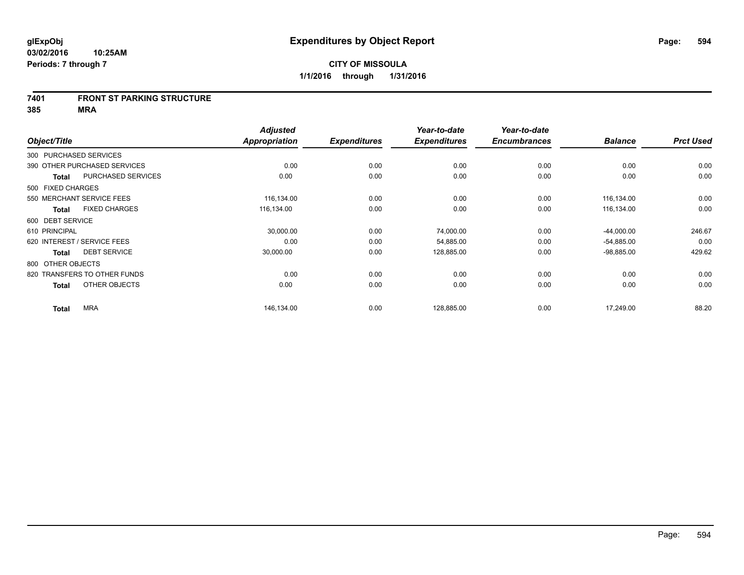#### **7401 FRONT ST PARKING STRUCTURE**

|                        |                              | <b>Adjusted</b> |                     | Year-to-date        | Year-to-date        |                |                  |
|------------------------|------------------------------|-----------------|---------------------|---------------------|---------------------|----------------|------------------|
| Object/Title           |                              | Appropriation   | <b>Expenditures</b> | <b>Expenditures</b> | <b>Encumbrances</b> | <b>Balance</b> | <b>Prct Used</b> |
| 300 PURCHASED SERVICES |                              |                 |                     |                     |                     |                |                  |
|                        | 390 OTHER PURCHASED SERVICES | 0.00            | 0.00                | 0.00                | 0.00                | 0.00           | 0.00             |
| <b>Total</b>           | PURCHASED SERVICES           | 0.00            | 0.00                | 0.00                | 0.00                | 0.00           | 0.00             |
| 500 FIXED CHARGES      |                              |                 |                     |                     |                     |                |                  |
|                        | 550 MERCHANT SERVICE FEES    | 116,134.00      | 0.00                | 0.00                | 0.00                | 116,134.00     | 0.00             |
| <b>Total</b>           | <b>FIXED CHARGES</b>         | 116,134.00      | 0.00                | 0.00                | 0.00                | 116,134.00     | 0.00             |
| 600 DEBT SERVICE       |                              |                 |                     |                     |                     |                |                  |
| 610 PRINCIPAL          |                              | 30,000.00       | 0.00                | 74,000.00           | 0.00                | $-44,000.00$   | 246.67           |
|                        | 620 INTEREST / SERVICE FEES  | 0.00            | 0.00                | 54,885.00           | 0.00                | $-54,885.00$   | 0.00             |
| <b>Total</b>           | <b>DEBT SERVICE</b>          | 30,000.00       | 0.00                | 128,885.00          | 0.00                | $-98,885.00$   | 429.62           |
| 800 OTHER OBJECTS      |                              |                 |                     |                     |                     |                |                  |
|                        | 820 TRANSFERS TO OTHER FUNDS | 0.00            | 0.00                | 0.00                | 0.00                | 0.00           | 0.00             |
| <b>Total</b>           | OTHER OBJECTS                | 0.00            | 0.00                | 0.00                | 0.00                | 0.00           | 0.00             |
| <b>Total</b>           | <b>MRA</b>                   | 146,134.00      | 0.00                | 128,885.00          | 0.00                | 17,249.00      | 88.20            |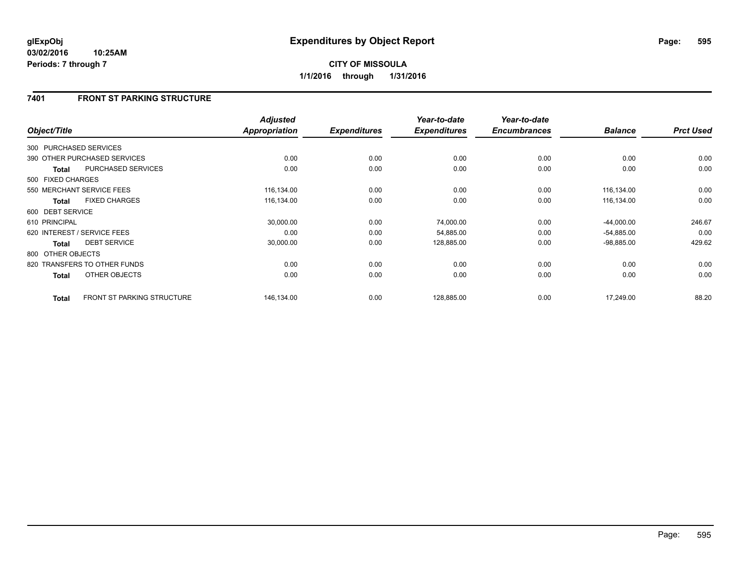**CITY OF MISSOULA 1/1/2016 through 1/31/2016**

## **7401 FRONT ST PARKING STRUCTURE**

|                   |                                   | <b>Adjusted</b> |                     | Year-to-date        | Year-to-date        |                |                  |
|-------------------|-----------------------------------|-----------------|---------------------|---------------------|---------------------|----------------|------------------|
| Object/Title      |                                   | Appropriation   | <b>Expenditures</b> | <b>Expenditures</b> | <b>Encumbrances</b> | <b>Balance</b> | <b>Prct Used</b> |
|                   | 300 PURCHASED SERVICES            |                 |                     |                     |                     |                |                  |
|                   | 390 OTHER PURCHASED SERVICES      | 0.00            | 0.00                | 0.00                | 0.00                | 0.00           | 0.00             |
| <b>Total</b>      | PURCHASED SERVICES                | 0.00            | 0.00                | 0.00                | 0.00                | 0.00           | 0.00             |
| 500 FIXED CHARGES |                                   |                 |                     |                     |                     |                |                  |
|                   | 550 MERCHANT SERVICE FEES         | 116,134.00      | 0.00                | 0.00                | 0.00                | 116,134.00     | 0.00             |
| <b>Total</b>      | <b>FIXED CHARGES</b>              | 116,134.00      | 0.00                | 0.00                | 0.00                | 116,134.00     | 0.00             |
| 600 DEBT SERVICE  |                                   |                 |                     |                     |                     |                |                  |
| 610 PRINCIPAL     |                                   | 30,000.00       | 0.00                | 74,000.00           | 0.00                | $-44,000.00$   | 246.67           |
|                   | 620 INTEREST / SERVICE FEES       | 0.00            | 0.00                | 54,885.00           | 0.00                | $-54,885.00$   | 0.00             |
| <b>Total</b>      | <b>DEBT SERVICE</b>               | 30,000.00       | 0.00                | 128,885.00          | 0.00                | $-98,885.00$   | 429.62           |
| 800 OTHER OBJECTS |                                   |                 |                     |                     |                     |                |                  |
|                   | 820 TRANSFERS TO OTHER FUNDS      | 0.00            | 0.00                | 0.00                | 0.00                | 0.00           | 0.00             |
| Total             | OTHER OBJECTS                     | 0.00            | 0.00                | 0.00                | 0.00                | 0.00           | 0.00             |
| <b>Total</b>      | <b>FRONT ST PARKING STRUCTURE</b> | 146,134.00      | 0.00                | 128,885.00          | 0.00                | 17,249.00      | 88.20            |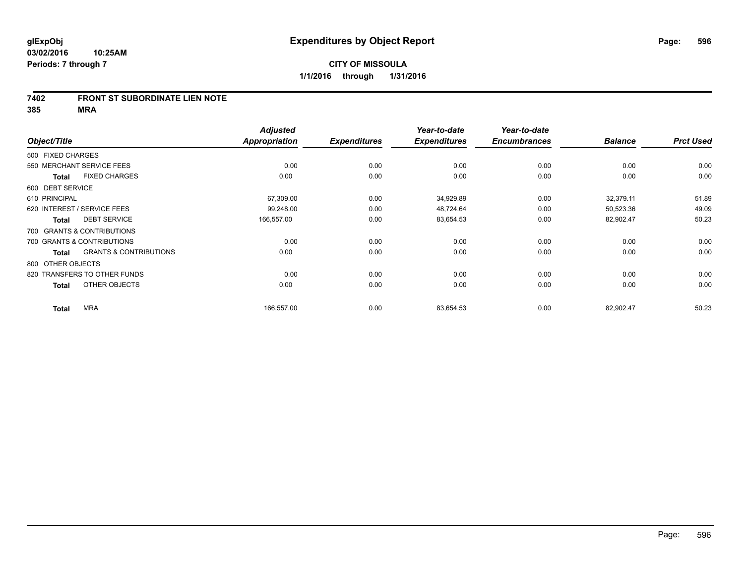#### **7402 FRONT ST SUBORDINATE LIEN NOTE**

|                   |                                   | <b>Adjusted</b>      |                     | Year-to-date        | Year-to-date        |                |                  |
|-------------------|-----------------------------------|----------------------|---------------------|---------------------|---------------------|----------------|------------------|
| Object/Title      |                                   | <b>Appropriation</b> | <b>Expenditures</b> | <b>Expenditures</b> | <b>Encumbrances</b> | <b>Balance</b> | <b>Prct Used</b> |
| 500 FIXED CHARGES |                                   |                      |                     |                     |                     |                |                  |
|                   | 550 MERCHANT SERVICE FEES         | 0.00                 | 0.00                | 0.00                | 0.00                | 0.00           | 0.00             |
| <b>Total</b>      | <b>FIXED CHARGES</b>              | 0.00                 | 0.00                | 0.00                | 0.00                | 0.00           | 0.00             |
| 600 DEBT SERVICE  |                                   |                      |                     |                     |                     |                |                  |
| 610 PRINCIPAL     |                                   | 67,309.00            | 0.00                | 34,929.89           | 0.00                | 32,379.11      | 51.89            |
|                   | 620 INTEREST / SERVICE FEES       | 99,248.00            | 0.00                | 48,724.64           | 0.00                | 50,523.36      | 49.09            |
| <b>Total</b>      | <b>DEBT SERVICE</b>               | 166,557.00           | 0.00                | 83,654.53           | 0.00                | 82,902.47      | 50.23            |
|                   | 700 GRANTS & CONTRIBUTIONS        |                      |                     |                     |                     |                |                  |
|                   | 700 GRANTS & CONTRIBUTIONS        | 0.00                 | 0.00                | 0.00                | 0.00                | 0.00           | 0.00             |
| <b>Total</b>      | <b>GRANTS &amp; CONTRIBUTIONS</b> | 0.00                 | 0.00                | 0.00                | 0.00                | 0.00           | 0.00             |
| 800 OTHER OBJECTS |                                   |                      |                     |                     |                     |                |                  |
|                   | 820 TRANSFERS TO OTHER FUNDS      | 0.00                 | 0.00                | 0.00                | 0.00                | 0.00           | 0.00             |
| <b>Total</b>      | OTHER OBJECTS                     | 0.00                 | 0.00                | 0.00                | 0.00                | 0.00           | 0.00             |
| <b>Total</b>      | <b>MRA</b>                        | 166,557.00           | 0.00                | 83,654.53           | 0.00                | 82,902.47      | 50.23            |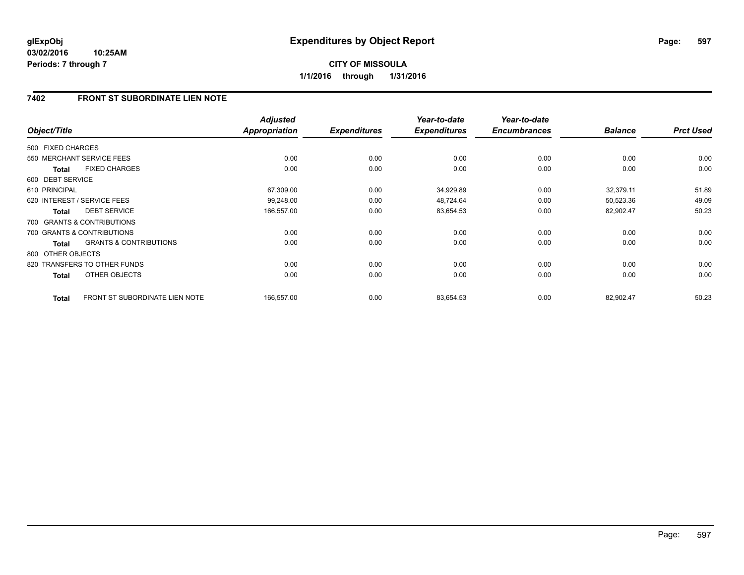# **7402 FRONT ST SUBORDINATE LIEN NOTE**

| Object/Title      |                                   | <b>Adjusted</b><br>Appropriation | <b>Expenditures</b> | Year-to-date<br><b>Expenditures</b> | Year-to-date<br><b>Encumbrances</b> | <b>Balance</b> | <b>Prct Used</b> |
|-------------------|-----------------------------------|----------------------------------|---------------------|-------------------------------------|-------------------------------------|----------------|------------------|
| 500 FIXED CHARGES |                                   |                                  |                     |                                     |                                     |                |                  |
|                   | 550 MERCHANT SERVICE FEES         | 0.00                             | 0.00                | 0.00                                | 0.00                                | 0.00           | 0.00             |
| <b>Total</b>      | <b>FIXED CHARGES</b>              | 0.00                             | 0.00                | 0.00                                | 0.00                                | 0.00           | 0.00             |
| 600 DEBT SERVICE  |                                   |                                  |                     |                                     |                                     |                |                  |
| 610 PRINCIPAL     |                                   | 67,309.00                        | 0.00                | 34,929.89                           | 0.00                                | 32,379.11      | 51.89            |
|                   | 620 INTEREST / SERVICE FEES       | 99,248.00                        | 0.00                | 48,724.64                           | 0.00                                | 50,523.36      | 49.09            |
| <b>Total</b>      | <b>DEBT SERVICE</b>               | 166,557.00                       | 0.00                | 83,654.53                           | 0.00                                | 82,902.47      | 50.23            |
|                   | 700 GRANTS & CONTRIBUTIONS        |                                  |                     |                                     |                                     |                |                  |
|                   | 700 GRANTS & CONTRIBUTIONS        | 0.00                             | 0.00                | 0.00                                | 0.00                                | 0.00           | 0.00             |
| <b>Total</b>      | <b>GRANTS &amp; CONTRIBUTIONS</b> | 0.00                             | 0.00                | 0.00                                | 0.00                                | 0.00           | 0.00             |
| 800 OTHER OBJECTS |                                   |                                  |                     |                                     |                                     |                |                  |
|                   | 820 TRANSFERS TO OTHER FUNDS      | 0.00                             | 0.00                | 0.00                                | 0.00                                | 0.00           | 0.00             |
| <b>Total</b>      | <b>OTHER OBJECTS</b>              | 0.00                             | 0.00                | 0.00                                | 0.00                                | 0.00           | 0.00             |
| <b>Total</b>      | FRONT ST SUBORDINATE LIEN NOTE    | 166,557.00                       | 0.00                | 83,654.53                           | 0.00                                | 82,902.47      | 50.23            |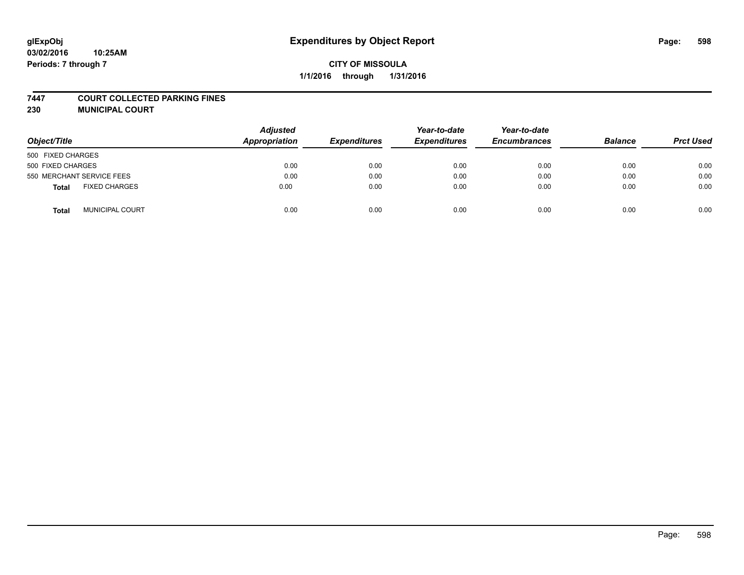#### **7447 COURT COLLECTED PARKING FINES**

**230 MUNICIPAL COURT**

| Object/Title                    | <b>Adjusted</b><br>Appropriation | <b>Expenditures</b> | Year-to-date<br><b>Expenditures</b> | Year-to-date<br><b>Encumbrances</b> | <b>Balance</b> | <b>Prct Used</b> |
|---------------------------------|----------------------------------|---------------------|-------------------------------------|-------------------------------------|----------------|------------------|
| 500 FIXED CHARGES               |                                  |                     |                                     |                                     |                |                  |
| 500 FIXED CHARGES               | 0.00                             | 0.00                | 0.00                                | 0.00                                | 0.00           | 0.00             |
| 550 MERCHANT SERVICE FEES       | 0.00                             | 0.00                | 0.00                                | 0.00                                | 0.00           | 0.00             |
| <b>FIXED CHARGES</b><br>Total   | 0.00                             | 0.00                | 0.00                                | 0.00                                | 0.00           | 0.00             |
| <b>MUNICIPAL COURT</b><br>Total | 0.00                             | 0.00                | 0.00                                | 0.00                                | 0.00           | 0.00             |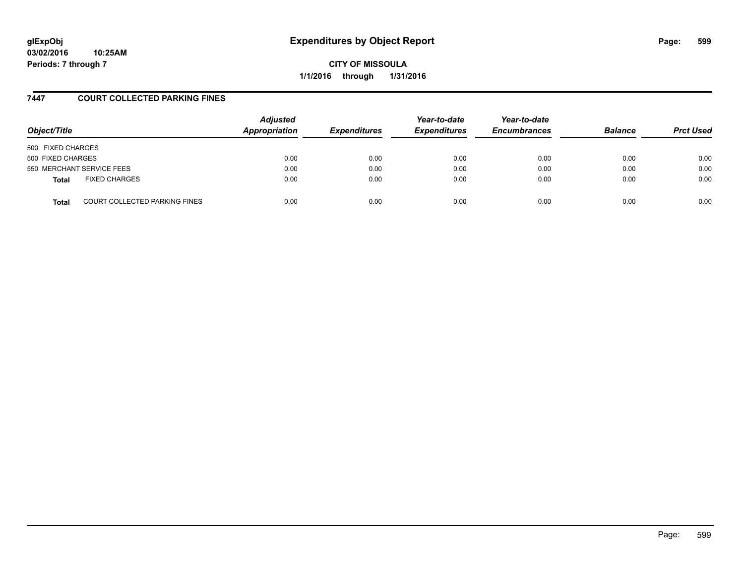**CITY OF MISSOULA 1/1/2016 through 1/31/2016**

# **7447 COURT COLLECTED PARKING FINES**

| Object/Title              |                                      | <b>Adjusted</b><br>Appropriation | <b>Expenditures</b> | Year-to-date<br><b>Expenditures</b> | Year-to-date<br><b>Encumbrances</b> | <b>Balance</b> | <b>Prct Used</b> |
|---------------------------|--------------------------------------|----------------------------------|---------------------|-------------------------------------|-------------------------------------|----------------|------------------|
| 500 FIXED CHARGES         |                                      |                                  |                     |                                     |                                     |                |                  |
| 500 FIXED CHARGES         |                                      | 0.00                             | 0.00                | 0.00                                | 0.00                                | 0.00           | 0.00             |
| 550 MERCHANT SERVICE FEES |                                      | 0.00                             | 0.00                | 0.00                                | 0.00                                | 0.00           | 0.00             |
| <b>Total</b>              | <b>FIXED CHARGES</b>                 | 0.00                             | 0.00                | 0.00                                | 0.00                                | 0.00           | 0.00             |
| <b>Total</b>              | <b>COURT COLLECTED PARKING FINES</b> | 0.00                             | 0.00                | 0.00                                | 0.00                                | 0.00           | 0.00             |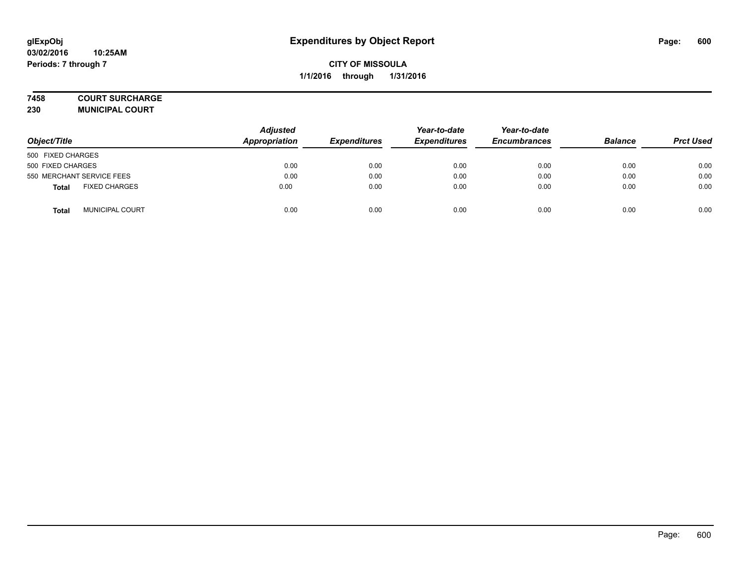#### **7458 COURT SURCHARGE**

**230 MUNICIPAL COURT**

| Object/Title                         | <b>Adjusted</b><br>Appropriation | <b>Expenditures</b> | Year-to-date<br><b>Expenditures</b> | Year-to-date<br><b>Encumbrances</b> | <b>Balance</b> | <b>Prct Used</b> |
|--------------------------------------|----------------------------------|---------------------|-------------------------------------|-------------------------------------|----------------|------------------|
| 500 FIXED CHARGES                    |                                  |                     |                                     |                                     |                |                  |
| 500 FIXED CHARGES                    | 0.00                             | 0.00                | 0.00                                | 0.00                                | 0.00           | 0.00             |
| 550 MERCHANT SERVICE FEES            | 0.00                             | 0.00                | 0.00                                | 0.00                                | 0.00           | 0.00             |
| <b>FIXED CHARGES</b><br><b>Total</b> | 0.00                             | 0.00                | 0.00                                | 0.00                                | 0.00           | 0.00             |
| <b>MUNICIPAL COURT</b><br>Total      | 0.00                             | 0.00                | 0.00                                | 0.00                                | 0.00           | 0.00             |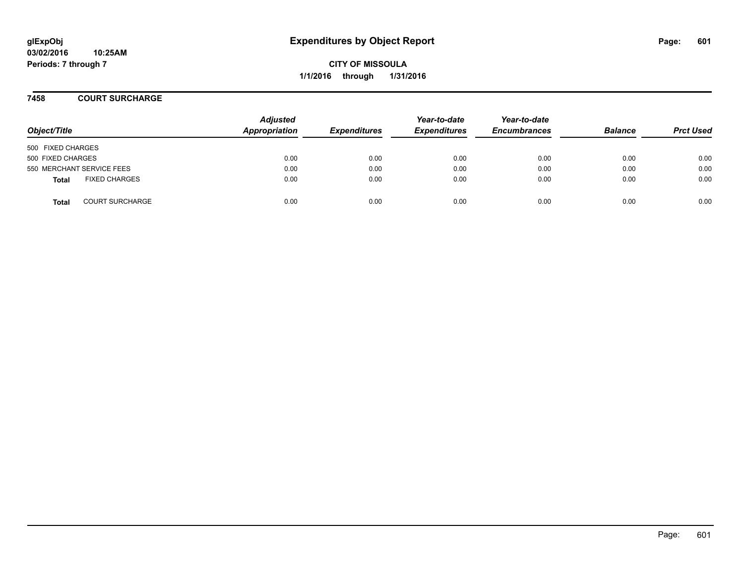### **7458 COURT SURCHARGE**

| Object/Title                           | <b>Adjusted</b><br>Appropriation | <b>Expenditures</b> | Year-to-date<br><b>Expenditures</b> | Year-to-date<br><b>Encumbrances</b> | <b>Balance</b> | <b>Prct Used</b> |
|----------------------------------------|----------------------------------|---------------------|-------------------------------------|-------------------------------------|----------------|------------------|
| 500 FIXED CHARGES                      |                                  |                     |                                     |                                     |                |                  |
| 500 FIXED CHARGES                      | 0.00                             | 0.00                | 0.00                                | 0.00                                | 0.00           | 0.00             |
| 550 MERCHANT SERVICE FEES              | 0.00                             | 0.00                | 0.00                                | 0.00                                | 0.00           | 0.00             |
| <b>FIXED CHARGES</b><br><b>Total</b>   | 0.00                             | 0.00                | 0.00                                | 0.00                                | 0.00           | 0.00             |
| <b>COURT SURCHARGE</b><br><b>Total</b> | 0.00                             | 0.00                | 0.00                                | 0.00                                | 0.00           | 0.00             |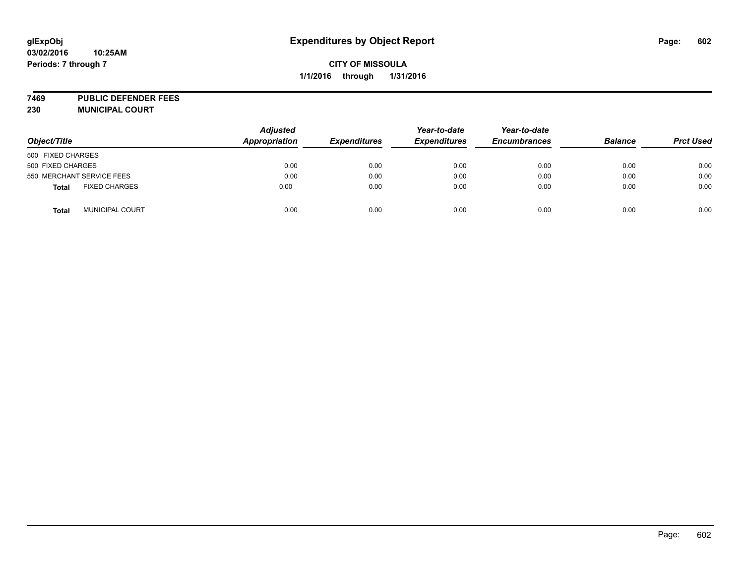# **CITY OF MISSOULA 1/1/2016 through 1/31/2016**

**7469 PUBLIC DEFENDER FEES 230 MUNICIPAL COURT**

| Object/Title                           | <b>Adjusted</b><br>Appropriation | <b>Expenditures</b> | Year-to-date<br><b>Expenditures</b> | Year-to-date<br><b>Encumbrances</b> | <b>Balance</b> | <b>Prct Used</b> |
|----------------------------------------|----------------------------------|---------------------|-------------------------------------|-------------------------------------|----------------|------------------|
| 500 FIXED CHARGES                      |                                  |                     |                                     |                                     |                |                  |
| 500 FIXED CHARGES                      | 0.00                             | 0.00                | 0.00                                | 0.00                                | 0.00           | 0.00             |
| 550 MERCHANT SERVICE FEES              | 0.00                             | 0.00                | 0.00                                | 0.00                                | 0.00           | 0.00             |
| <b>FIXED CHARGES</b><br><b>Total</b>   | 0.00                             | 0.00                | 0.00                                | 0.00                                | 0.00           | 0.00             |
| <b>MUNICIPAL COURT</b><br><b>Total</b> | 0.00                             | 0.00                | 0.00                                | 0.00                                | 0.00           | 0.00             |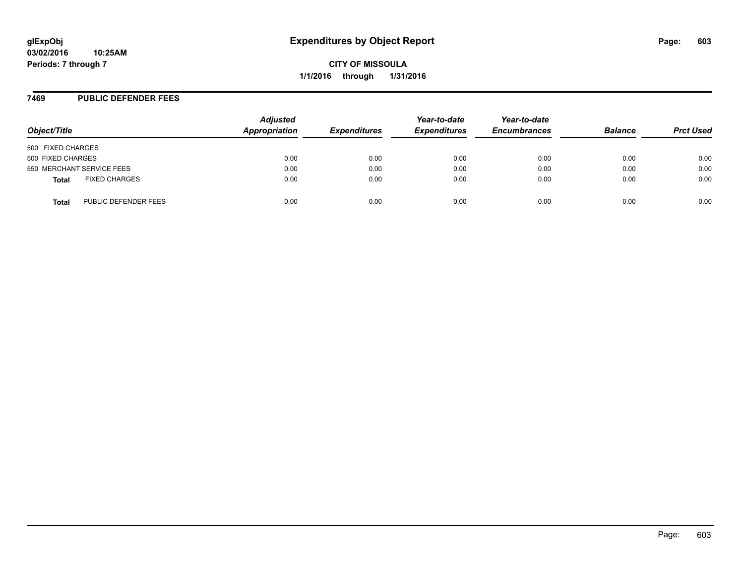#### **7469 PUBLIC DEFENDER FEES**

| Object/Title      |                           | <b>Adjusted</b><br>Appropriation | <b>Expenditures</b> | Year-to-date<br><b>Expenditures</b> | Year-to-date<br><b>Encumbrances</b> | <b>Balance</b> | <b>Prct Used</b> |
|-------------------|---------------------------|----------------------------------|---------------------|-------------------------------------|-------------------------------------|----------------|------------------|
| 500 FIXED CHARGES |                           |                                  |                     |                                     |                                     |                |                  |
| 500 FIXED CHARGES |                           | 0.00                             | 0.00                | 0.00                                | 0.00                                | 0.00           | 0.00             |
|                   | 550 MERCHANT SERVICE FEES | 0.00                             | 0.00                | 0.00                                | 0.00                                | 0.00           | 0.00             |
| <b>Total</b>      | <b>FIXED CHARGES</b>      | 0.00                             | 0.00                | 0.00                                | 0.00                                | 0.00           | 0.00             |
| <b>Total</b>      | PUBLIC DEFENDER FEES      | 0.00                             | 0.00                | 0.00                                | 0.00                                | 0.00           | 0.00             |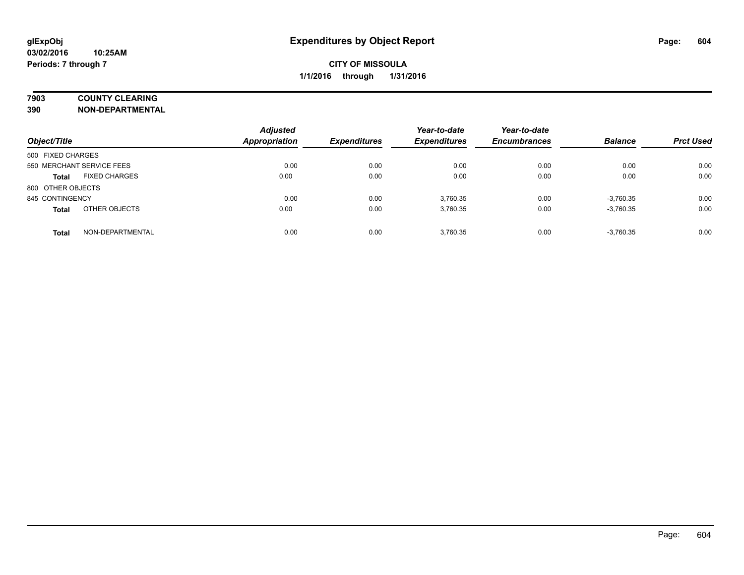# **7903 COUNTY CLEARING**

**390 NON-DEPARTMENTAL**

| Object/Title                         | <b>Adjusted</b><br><b>Appropriation</b> | <b>Expenditures</b> | Year-to-date<br><b>Expenditures</b> | Year-to-date<br><b>Encumbrances</b> | <b>Balance</b> | <b>Prct Used</b> |
|--------------------------------------|-----------------------------------------|---------------------|-------------------------------------|-------------------------------------|----------------|------------------|
| 500 FIXED CHARGES                    |                                         |                     |                                     |                                     |                |                  |
| 550 MERCHANT SERVICE FEES            | 0.00                                    | 0.00                | 0.00                                | 0.00                                | 0.00           | 0.00             |
| <b>FIXED CHARGES</b><br><b>Total</b> | 0.00                                    | 0.00                | 0.00                                | 0.00                                | 0.00           | 0.00             |
| 800 OTHER OBJECTS                    |                                         |                     |                                     |                                     |                |                  |
| 845 CONTINGENCY                      | 0.00                                    | 0.00                | 3.760.35                            | 0.00                                | $-3,760.35$    | 0.00             |
| OTHER OBJECTS<br><b>Total</b>        | 0.00                                    | 0.00                | 3.760.35                            | 0.00                                | $-3,760.35$    | 0.00             |
| NON-DEPARTMENTAL<br><b>Total</b>     | 0.00                                    | 0.00                | 3.760.35                            | 0.00                                | $-3,760.35$    | 0.00             |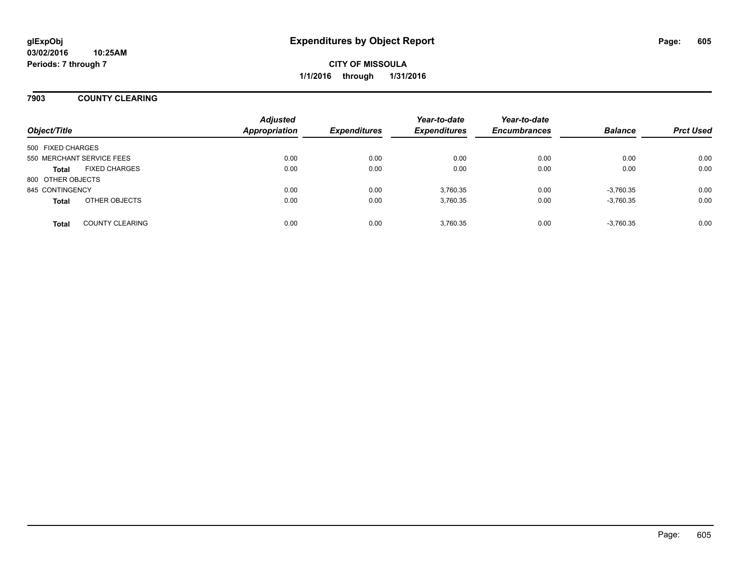## **7903 COUNTY CLEARING**

| Object/Title      |                           | <b>Adjusted</b><br><b>Appropriation</b> | <b>Expenditures</b> | Year-to-date<br><b>Expenditures</b> | Year-to-date<br><b>Encumbrances</b> | <b>Balance</b> | <b>Prct Used</b> |
|-------------------|---------------------------|-----------------------------------------|---------------------|-------------------------------------|-------------------------------------|----------------|------------------|
| 500 FIXED CHARGES |                           |                                         |                     |                                     |                                     |                |                  |
|                   | 550 MERCHANT SERVICE FEES | 0.00                                    | 0.00                | 0.00                                | 0.00                                | 0.00           | 0.00             |
|                   |                           |                                         |                     |                                     |                                     |                |                  |
| <b>Total</b>      | <b>FIXED CHARGES</b>      | 0.00                                    | 0.00                | 0.00                                | 0.00                                | 0.00           | 0.00             |
| 800 OTHER OBJECTS |                           |                                         |                     |                                     |                                     |                |                  |
| 845 CONTINGENCY   |                           | 0.00                                    | 0.00                | 3,760.35                            | 0.00                                | $-3,760.35$    | 0.00             |
| <b>Total</b>      | OTHER OBJECTS             | 0.00                                    | 0.00                | 3,760.35                            | 0.00                                | $-3,760.35$    | 0.00             |
|                   |                           |                                         |                     |                                     |                                     |                |                  |
| <b>Total</b>      | <b>COUNTY CLEARING</b>    | 0.00                                    | 0.00                | 3.760.35                            | 0.00                                | $-3,760.35$    | 0.00             |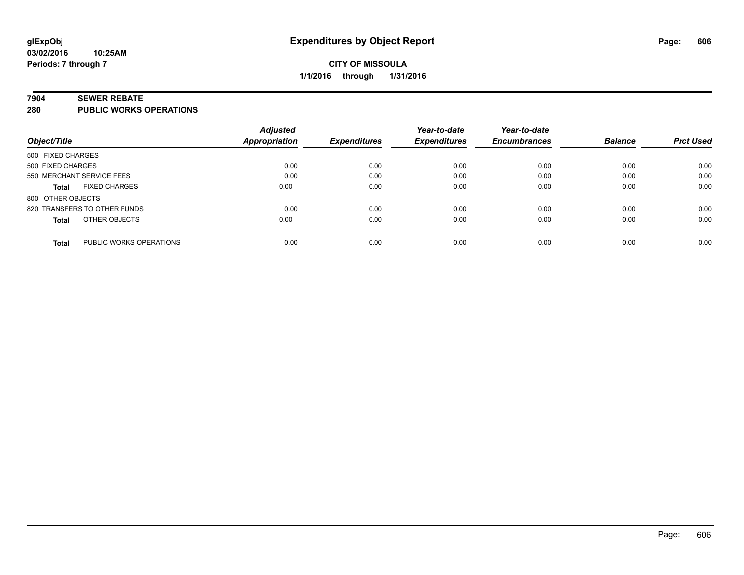#### **7904 SEWER REBATE**

**280 PUBLIC WORKS OPERATIONS**

|                                         | <b>Adjusted</b> |                     | Year-to-date        | Year-to-date        |                |                  |
|-----------------------------------------|-----------------|---------------------|---------------------|---------------------|----------------|------------------|
| Object/Title                            | Appropriation   | <b>Expenditures</b> | <b>Expenditures</b> | <b>Encumbrances</b> | <b>Balance</b> | <b>Prct Used</b> |
| 500 FIXED CHARGES                       |                 |                     |                     |                     |                |                  |
| 500 FIXED CHARGES                       | 0.00            | 0.00                | 0.00                | 0.00                | 0.00           | 0.00             |
| 550 MERCHANT SERVICE FEES               | 0.00            | 0.00                | 0.00                | 0.00                | 0.00           | 0.00             |
| <b>FIXED CHARGES</b><br><b>Total</b>    | 0.00            | 0.00                | 0.00                | 0.00                | 0.00           | 0.00             |
| 800 OTHER OBJECTS                       |                 |                     |                     |                     |                |                  |
| 820 TRANSFERS TO OTHER FUNDS            | 0.00            | 0.00                | 0.00                | 0.00                | 0.00           | 0.00             |
| OTHER OBJECTS<br><b>Total</b>           | 0.00            | 0.00                | 0.00                | 0.00                | 0.00           | 0.00             |
| PUBLIC WORKS OPERATIONS<br><b>Total</b> | 0.00            | 0.00                | 0.00                | 0.00                | 0.00           | 0.00             |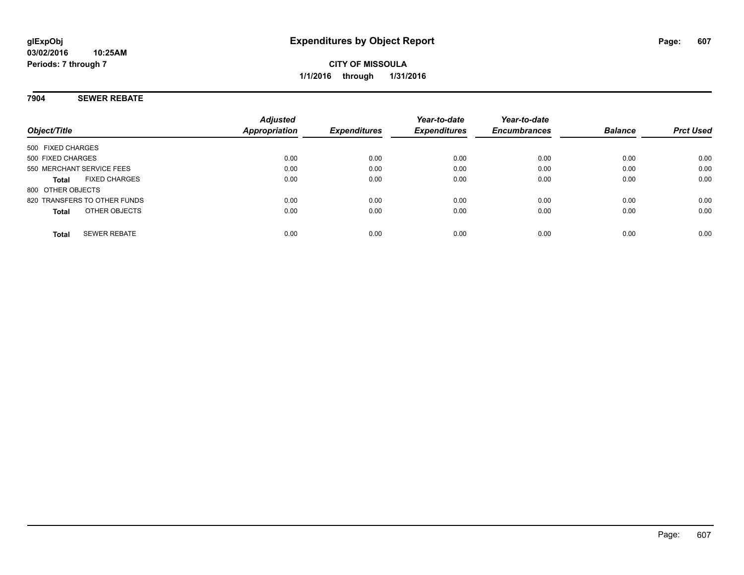## **7904 SEWER REBATE**

| Object/Title                         | <b>Adjusted</b><br>Appropriation | <b>Expenditures</b> | Year-to-date<br><b>Expenditures</b> | Year-to-date<br><b>Encumbrances</b> | <b>Balance</b> | <b>Prct Used</b> |
|--------------------------------------|----------------------------------|---------------------|-------------------------------------|-------------------------------------|----------------|------------------|
| 500 FIXED CHARGES                    |                                  |                     |                                     |                                     |                |                  |
| 500 FIXED CHARGES                    | 0.00                             | 0.00                | 0.00                                | 0.00                                | 0.00           | 0.00             |
| 550 MERCHANT SERVICE FEES            | 0.00                             | 0.00                | 0.00                                | 0.00                                | 0.00           | 0.00             |
| <b>FIXED CHARGES</b><br><b>Total</b> | 0.00                             | 0.00                | 0.00                                | 0.00                                | 0.00           | 0.00             |
| 800 OTHER OBJECTS                    |                                  |                     |                                     |                                     |                |                  |
| 820 TRANSFERS TO OTHER FUNDS         | 0.00                             | 0.00                | 0.00                                | 0.00                                | 0.00           | 0.00             |
| OTHER OBJECTS<br><b>Total</b>        | 0.00                             | 0.00                | 0.00                                | 0.00                                | 0.00           | 0.00             |
| <b>SEWER REBATE</b><br><b>Total</b>  | 0.00                             | 0.00                | 0.00                                | 0.00                                | 0.00           | 0.00             |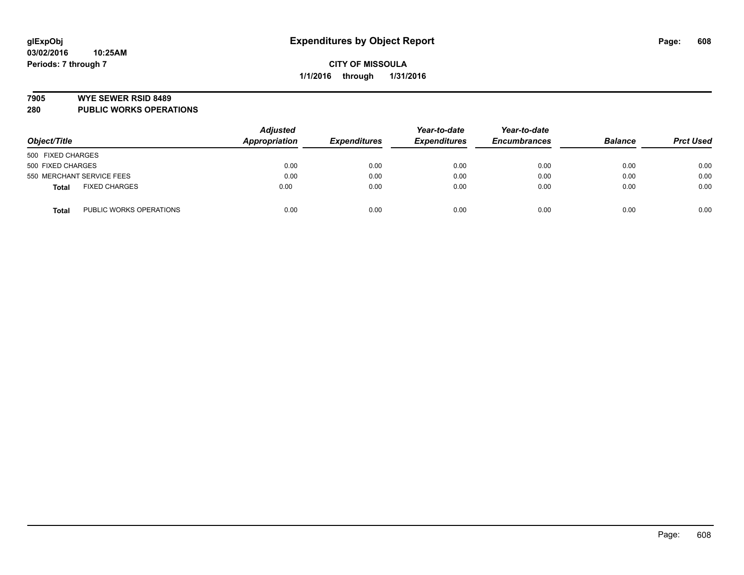#### **7905 WYE SEWER RSID 8489**

**280 PUBLIC WORKS OPERATIONS**

|                                         | <b>Adjusted</b> |                     | Year-to-date        | Year-to-date        |                |                  |
|-----------------------------------------|-----------------|---------------------|---------------------|---------------------|----------------|------------------|
| Object/Title                            | Appropriation   | <b>Expenditures</b> | <b>Expenditures</b> | <b>Encumbrances</b> | <b>Balance</b> | <b>Prct Used</b> |
| 500 FIXED CHARGES                       |                 |                     |                     |                     |                |                  |
| 500 FIXED CHARGES                       | 0.00            | 0.00                | 0.00                | 0.00                | 0.00           | 0.00             |
| 550 MERCHANT SERVICE FEES               | 0.00            | 0.00                | 0.00                | 0.00                | 0.00           | 0.00             |
| <b>FIXED CHARGES</b><br><b>Total</b>    | 0.00            | 0.00                | 0.00                | 0.00                | 0.00           | 0.00             |
| PUBLIC WORKS OPERATIONS<br><b>Total</b> | 0.00            | 0.00                | 0.00                | 0.00                | 0.00           | 0.00             |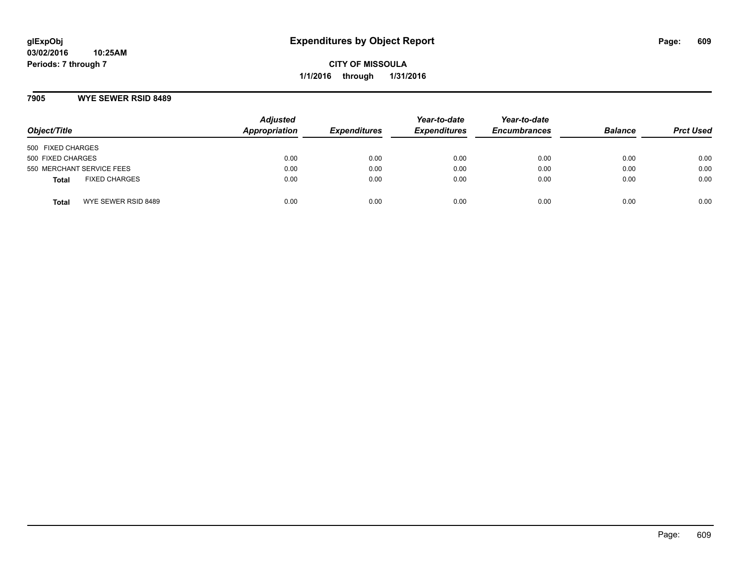### **7905 WYE SEWER RSID 8489**

| Object/Title                         | <b>Adjusted</b><br>Appropriation | <b>Expenditures</b> | Year-to-date<br><b>Expenditures</b> | Year-to-date<br><b>Encumbrances</b> | <b>Balance</b> | <b>Prct Used</b> |
|--------------------------------------|----------------------------------|---------------------|-------------------------------------|-------------------------------------|----------------|------------------|
| 500 FIXED CHARGES                    |                                  |                     |                                     |                                     |                |                  |
| 500 FIXED CHARGES                    | 0.00                             | 0.00                | 0.00                                | 0.00                                | 0.00           | 0.00             |
| 550 MERCHANT SERVICE FEES            | 0.00                             | 0.00                | 0.00                                | 0.00                                | 0.00           | 0.00             |
| <b>FIXED CHARGES</b><br><b>Total</b> | 0.00                             | 0.00                | 0.00                                | 0.00                                | 0.00           | 0.00             |
| WYE SEWER RSID 8489<br>Total         | 0.00                             | 0.00                | 0.00                                | 0.00                                | 0.00           | 0.00             |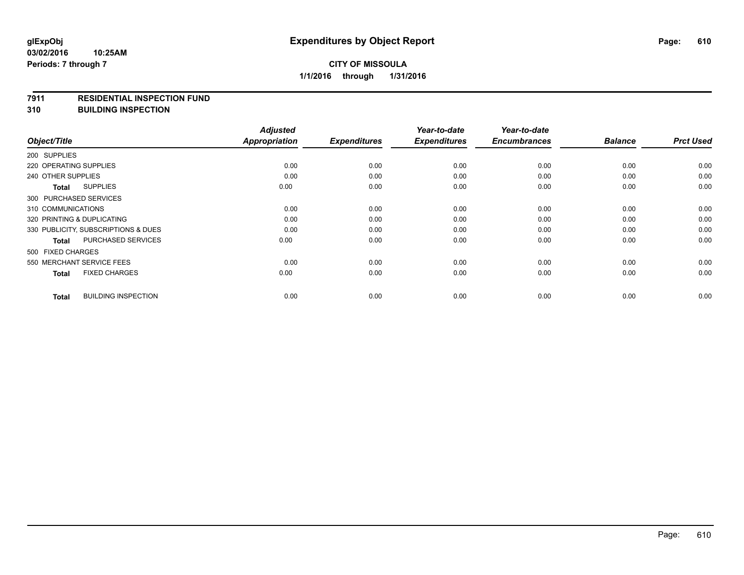#### **7911 RESIDENTIAL INSPECTION FUND**

**310 BUILDING INSPECTION**

| Object/Title                               | <b>Adjusted</b><br>Appropriation | <b>Expenditures</b> | Year-to-date<br><b>Expenditures</b> | Year-to-date<br><b>Encumbrances</b> | <b>Balance</b> | <b>Prct Used</b> |
|--------------------------------------------|----------------------------------|---------------------|-------------------------------------|-------------------------------------|----------------|------------------|
| 200 SUPPLIES                               |                                  |                     |                                     |                                     |                |                  |
| 220 OPERATING SUPPLIES                     | 0.00                             | 0.00                | 0.00                                | 0.00                                | 0.00           | 0.00             |
| 240 OTHER SUPPLIES                         | 0.00                             | 0.00                | 0.00                                | 0.00                                | 0.00           | 0.00             |
| <b>SUPPLIES</b><br>Total                   | 0.00                             | 0.00                | 0.00                                | 0.00                                | 0.00           | 0.00             |
| 300 PURCHASED SERVICES                     |                                  |                     |                                     |                                     |                |                  |
| 310 COMMUNICATIONS                         | 0.00                             | 0.00                | 0.00                                | 0.00                                | 0.00           | 0.00             |
| 320 PRINTING & DUPLICATING                 | 0.00                             | 0.00                | 0.00                                | 0.00                                | 0.00           | 0.00             |
| 330 PUBLICITY, SUBSCRIPTIONS & DUES        | 0.00                             | 0.00                | 0.00                                | 0.00                                | 0.00           | 0.00             |
| PURCHASED SERVICES<br><b>Total</b>         | 0.00                             | 0.00                | 0.00                                | 0.00                                | 0.00           | 0.00             |
| 500 FIXED CHARGES                          |                                  |                     |                                     |                                     |                |                  |
| 550 MERCHANT SERVICE FEES                  | 0.00                             | 0.00                | 0.00                                | 0.00                                | 0.00           | 0.00             |
| <b>FIXED CHARGES</b><br><b>Total</b>       | 0.00                             | 0.00                | 0.00                                | 0.00                                | 0.00           | 0.00             |
| <b>BUILDING INSPECTION</b><br><b>Total</b> | 0.00                             | 0.00                | 0.00                                | 0.00                                | 0.00           | 0.00             |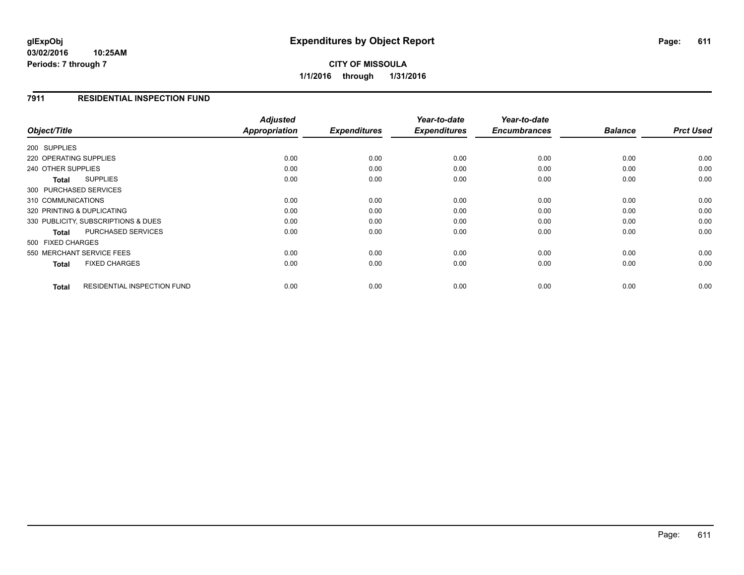# **CITY OF MISSOULA 1/1/2016 through 1/31/2016**

## **7911 RESIDENTIAL INSPECTION FUND**

| Object/Title                                       | <b>Adjusted</b><br>Appropriation | <b>Expenditures</b> | Year-to-date<br><b>Expenditures</b> | Year-to-date<br><b>Encumbrances</b> | <b>Balance</b> | <b>Prct Used</b> |
|----------------------------------------------------|----------------------------------|---------------------|-------------------------------------|-------------------------------------|----------------|------------------|
|                                                    |                                  |                     |                                     |                                     |                |                  |
| 200 SUPPLIES                                       |                                  |                     |                                     |                                     |                |                  |
| 220 OPERATING SUPPLIES                             | 0.00                             | 0.00                | 0.00                                | 0.00                                | 0.00           | 0.00             |
| 240 OTHER SUPPLIES                                 | 0.00                             | 0.00                | 0.00                                | 0.00                                | 0.00           | 0.00             |
| <b>SUPPLIES</b><br>Total                           | 0.00                             | 0.00                | 0.00                                | 0.00                                | 0.00           | 0.00             |
| 300 PURCHASED SERVICES                             |                                  |                     |                                     |                                     |                |                  |
| 310 COMMUNICATIONS                                 | 0.00                             | 0.00                | 0.00                                | 0.00                                | 0.00           | 0.00             |
| 320 PRINTING & DUPLICATING                         | 0.00                             | 0.00                | 0.00                                | 0.00                                | 0.00           | 0.00             |
| 330 PUBLICITY, SUBSCRIPTIONS & DUES                | 0.00                             | 0.00                | 0.00                                | 0.00                                | 0.00           | 0.00             |
| <b>PURCHASED SERVICES</b><br><b>Total</b>          | 0.00                             | 0.00                | 0.00                                | 0.00                                | 0.00           | 0.00             |
| 500 FIXED CHARGES                                  |                                  |                     |                                     |                                     |                |                  |
| 550 MERCHANT SERVICE FEES                          | 0.00                             | 0.00                | 0.00                                | 0.00                                | 0.00           | 0.00             |
| <b>FIXED CHARGES</b><br><b>Total</b>               | 0.00                             | 0.00                | 0.00                                | 0.00                                | 0.00           | 0.00             |
| <b>RESIDENTIAL INSPECTION FUND</b><br><b>Total</b> | 0.00                             | 0.00                | 0.00                                | 0.00                                | 0.00           | 0.00             |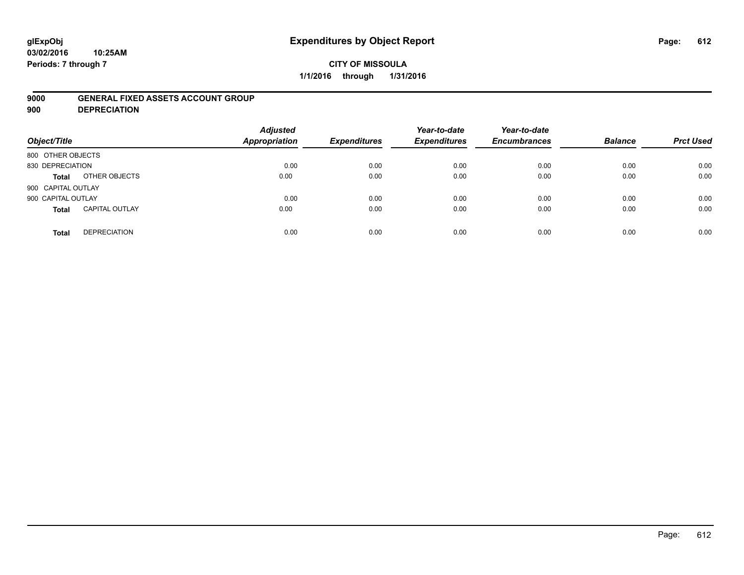## **CITY OF MISSOULA 1/1/2016 through 1/31/2016**

### **9000 GENERAL FIXED ASSETS ACCOUNT GROUP**

**900 DEPRECIATION**

| Object/Title       |                       | <b>Adjusted</b><br>Appropriation | <b>Expenditures</b> | Year-to-date<br><b>Expenditures</b> | Year-to-date<br><b>Encumbrances</b> | <b>Balance</b> | <b>Prct Used</b> |
|--------------------|-----------------------|----------------------------------|---------------------|-------------------------------------|-------------------------------------|----------------|------------------|
| 800 OTHER OBJECTS  |                       |                                  |                     |                                     |                                     |                |                  |
| 830 DEPRECIATION   |                       | 0.00                             | 0.00                | 0.00                                | 0.00                                | 0.00           | 0.00             |
| Total              | OTHER OBJECTS         | 0.00                             | 0.00                | 0.00                                | 0.00                                | 0.00           | 0.00             |
| 900 CAPITAL OUTLAY |                       |                                  |                     |                                     |                                     |                |                  |
| 900 CAPITAL OUTLAY |                       | 0.00                             | 0.00                | 0.00                                | 0.00                                | 0.00           | 0.00             |
| <b>Total</b>       | <b>CAPITAL OUTLAY</b> | 0.00                             | 0.00                | 0.00                                | 0.00                                | 0.00           | 0.00             |
| <b>Total</b>       | <b>DEPRECIATION</b>   | 0.00                             | 0.00                | 0.00                                | 0.00                                | 0.00           | 0.00             |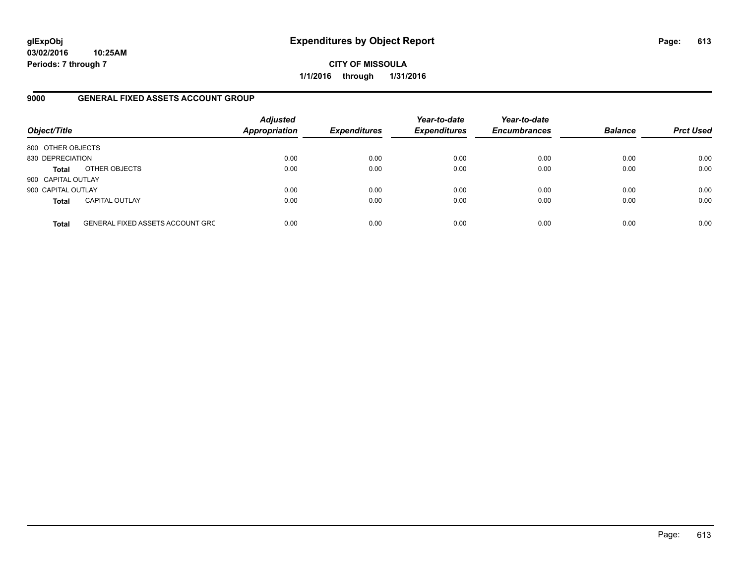**03/02/2016 10:25AM Periods: 7 through 7**

**CITY OF MISSOULA 1/1/2016 through 1/31/2016**

## **9000 GENERAL FIXED ASSETS ACCOUNT GROUP**

| Object/Title       |                                  | <b>Adjusted</b><br><b>Appropriation</b> | <b>Expenditures</b> | Year-to-date<br><b>Expenditures</b> | Year-to-date<br><b>Encumbrances</b> | <b>Balance</b> | <b>Prct Used</b> |
|--------------------|----------------------------------|-----------------------------------------|---------------------|-------------------------------------|-------------------------------------|----------------|------------------|
| 800 OTHER OBJECTS  |                                  |                                         |                     |                                     |                                     |                |                  |
| 830 DEPRECIATION   |                                  | 0.00                                    | 0.00                | 0.00                                | 0.00                                | 0.00           | 0.00             |
| <b>Total</b>       | OTHER OBJECTS                    | 0.00                                    | 0.00                | 0.00                                | 0.00                                | 0.00           | 0.00             |
| 900 CAPITAL OUTLAY |                                  |                                         |                     |                                     |                                     |                |                  |
| 900 CAPITAL OUTLAY |                                  | 0.00                                    | 0.00                | 0.00                                | 0.00                                | 0.00           | 0.00             |
| <b>Total</b>       | <b>CAPITAL OUTLAY</b>            | 0.00                                    | 0.00                | 0.00                                | 0.00                                | 0.00           | 0.00             |
| <b>Total</b>       | GENERAL FIXED ASSETS ACCOUNT GRC | 0.00                                    | 0.00                | 0.00                                | 0.00                                | 0.00           | 0.00             |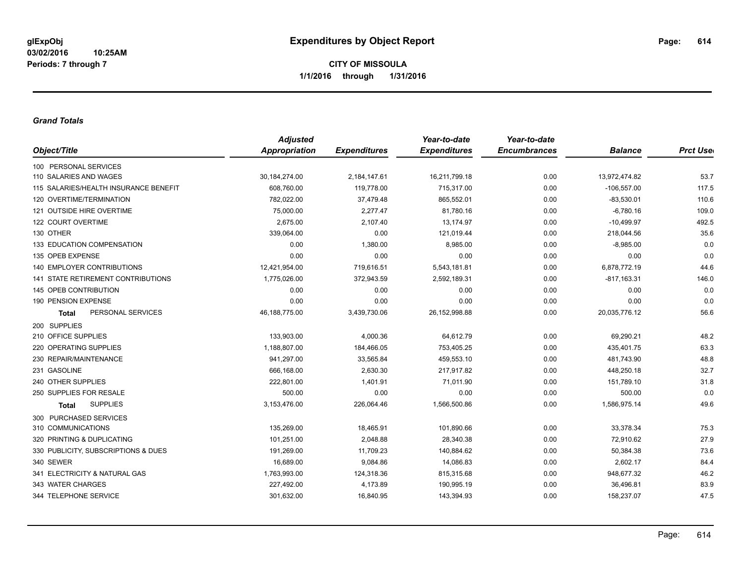**CITY OF MISSOULA 1/1/2016 through 1/31/2016**

## *Grand Totals*

|                                           | <b>Adjusted</b> |                     | Year-to-date        | Year-to-date        |                |                  |
|-------------------------------------------|-----------------|---------------------|---------------------|---------------------|----------------|------------------|
| Object/Title                              | Appropriation   | <b>Expenditures</b> | <b>Expenditures</b> | <b>Encumbrances</b> | <b>Balance</b> | <b>Prct User</b> |
| 100 PERSONAL SERVICES                     |                 |                     |                     |                     |                |                  |
| 110 SALARIES AND WAGES                    | 30, 184, 274.00 | 2,184,147.61        | 16,211,799.18       | 0.00                | 13,972,474.82  | 53.7             |
| 115 SALARIES/HEALTH INSURANCE BENEFIT     | 608,760.00      | 119,778.00          | 715,317.00          | 0.00                | $-106,557.00$  | 117.5            |
| 120 OVERTIME/TERMINATION                  | 782,022.00      | 37,479.48           | 865,552.01          | 0.00                | $-83,530.01$   | 110.6            |
| 121 OUTSIDE HIRE OVERTIME                 | 75,000.00       | 2,277.47            | 81,780.16           | 0.00                | $-6,780.16$    | 109.0            |
| 122 COURT OVERTIME                        | 2,675.00        | 2,107.40            | 13,174.97           | 0.00                | $-10,499.97$   | 492.5            |
| 130 OTHER                                 | 339,064.00      | 0.00                | 121,019.44          | 0.00                | 218,044.56     | 35.6             |
| 133 EDUCATION COMPENSATION                | 0.00            | 1,380.00            | 8,985.00            | 0.00                | $-8,985.00$    | 0.0              |
| 135 OPEB EXPENSE                          | 0.00            | 0.00                | 0.00                | 0.00                | 0.00           | 0.0              |
| <b>140 EMPLOYER CONTRIBUTIONS</b>         | 12,421,954.00   | 719,616.51          | 5,543,181.81        | 0.00                | 6,878,772.19   | 44.6             |
| <b>141 STATE RETIREMENT CONTRIBUTIONS</b> | 1,775,026.00    | 372,943.59          | 2,592,189.31        | 0.00                | $-817,163.31$  | 146.0            |
| 145 OPEB CONTRIBUTION                     | 0.00            | 0.00                | 0.00                | 0.00                | 0.00           | 0.0              |
| 190 PENSION EXPENSE                       | 0.00            | 0.00                | 0.00                | 0.00                | 0.00           | 0.0              |
| PERSONAL SERVICES<br><b>Total</b>         | 46,188,775.00   | 3,439,730.06        | 26, 152, 998.88     | 0.00                | 20,035,776.12  | 56.6             |
| 200 SUPPLIES                              |                 |                     |                     |                     |                |                  |
| 210 OFFICE SUPPLIES                       | 133,903.00      | 4,000.36            | 64,612.79           | 0.00                | 69,290.21      | 48.2             |
| 220 OPERATING SUPPLIES                    | 1,188,807.00    | 184,466.05          | 753,405.25          | 0.00                | 435,401.75     | 63.3             |
| 230 REPAIR/MAINTENANCE                    | 941,297.00      | 33,565.84           | 459,553.10          | 0.00                | 481,743.90     | 48.8             |
| 231 GASOLINE                              | 666,168.00      | 2,630.30            | 217,917.82          | 0.00                | 448,250.18     | 32.7             |
| 240 OTHER SUPPLIES                        | 222,801.00      | 1,401.91            | 71,011.90           | 0.00                | 151,789.10     | 31.8             |
| 250 SUPPLIES FOR RESALE                   | 500.00          | 0.00                | 0.00                | 0.00                | 500.00         | 0.0              |
| <b>SUPPLIES</b><br>Total                  | 3,153,476.00    | 226,064.46          | 1,566,500.86        | 0.00                | 1,586,975.14   | 49.6             |
| 300 PURCHASED SERVICES                    |                 |                     |                     |                     |                |                  |
| 310 COMMUNICATIONS                        | 135,269.00      | 18,465.91           | 101,890.66          | 0.00                | 33,378.34      | 75.3             |
| 320 PRINTING & DUPLICATING                | 101,251.00      | 2,048.88            | 28,340.38           | 0.00                | 72,910.62      | 27.9             |
| 330 PUBLICITY, SUBSCRIPTIONS & DUES       | 191,269.00      | 11,709.23           | 140,884.62          | 0.00                | 50,384.38      | 73.6             |
| 340 SEWER                                 | 16,689.00       | 9,084.86            | 14,086.83           | 0.00                | 2,602.17       | 84.4             |
| 341 ELECTRICITY & NATURAL GAS             | 1,763,993.00    | 124,318.36          | 815,315.68          | 0.00                | 948,677.32     | 46.2             |
| 343 WATER CHARGES                         | 227,492.00      | 4,173.89            | 190,995.19          | 0.00                | 36,496.81      | 83.9             |
| 344 TELEPHONE SERVICE                     | 301,632.00      | 16,840.95           | 143,394.93          | 0.00                | 158,237.07     | 47.5             |
|                                           |                 |                     |                     |                     |                |                  |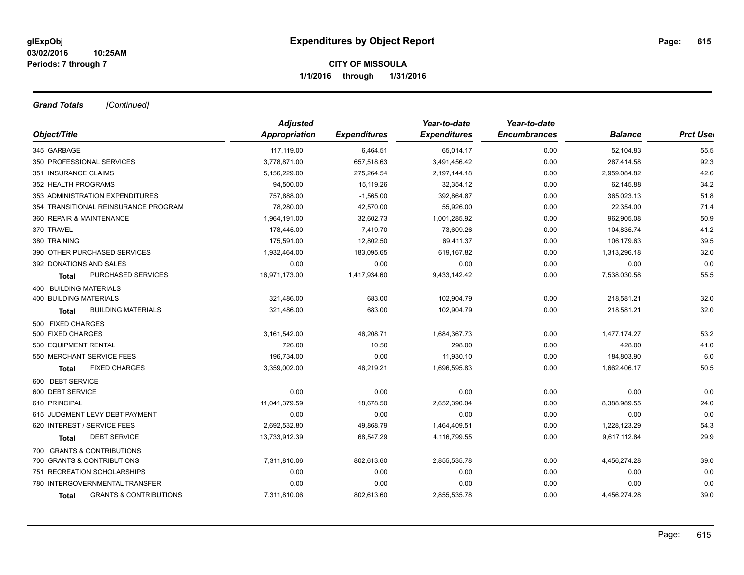## **CITY OF MISSOULA 1/1/2016 through 1/31/2016**

*Grand Totals [Continued]*

|                                                   | <b>Adjusted</b>      |                     | Year-to-date        | Year-to-date        |                |                  |
|---------------------------------------------------|----------------------|---------------------|---------------------|---------------------|----------------|------------------|
| Object/Title                                      | <b>Appropriation</b> | <b>Expenditures</b> | <b>Expenditures</b> | <b>Encumbrances</b> | <b>Balance</b> | <b>Prct Uset</b> |
| 345 GARBAGE                                       | 117,119.00           | 6,464.51            | 65,014.17           | 0.00                | 52,104.83      | 55.5             |
| 350 PROFESSIONAL SERVICES                         | 3,778,871.00         | 657,518.63          | 3,491,456.42        | 0.00                | 287,414.58     | 92.3             |
| 351 INSURANCE CLAIMS                              | 5,156,229.00         | 275,264.54          | 2,197,144.18        | 0.00                | 2,959,084.82   | 42.6             |
| 352 HEALTH PROGRAMS                               | 94,500.00            | 15,119.26           | 32,354.12           | 0.00                | 62,145.88      | 34.2             |
| 353 ADMINISTRATION EXPENDITURES                   | 757,888.00           | $-1,565.00$         | 392,864.87          | 0.00                | 365,023.13     | 51.8             |
| 354 TRANSITIONAL REINSURANCE PROGRAM              | 78,280.00            | 42,570.00           | 55,926.00           | 0.00                | 22,354.00      | 71.4             |
| 360 REPAIR & MAINTENANCE                          | 1,964,191.00         | 32,602.73           | 1,001,285.92        | 0.00                | 962,905.08     | 50.9             |
| 370 TRAVEL                                        | 178,445.00           | 7,419.70            | 73,609.26           | 0.00                | 104,835.74     | 41.2             |
| 380 TRAINING                                      | 175,591.00           | 12,802.50           | 69,411.37           | 0.00                | 106,179.63     | 39.5             |
| 390 OTHER PURCHASED SERVICES                      | 1,932,464.00         | 183,095.65          | 619,167.82          | 0.00                | 1,313,296.18   | 32.0             |
| 392 DONATIONS AND SALES                           | 0.00                 | 0.00                | 0.00                | 0.00                | 0.00           | 0.0              |
| PURCHASED SERVICES<br>Total                       | 16,971,173.00        | 1,417,934.60        | 9,433,142.42        | 0.00                | 7,538,030.58   | 55.5             |
| 400 BUILDING MATERIALS                            |                      |                     |                     |                     |                |                  |
| 400 BUILDING MATERIALS                            | 321,486.00           | 683.00              | 102,904.79          | 0.00                | 218,581.21     | 32.0             |
| <b>BUILDING MATERIALS</b><br><b>Total</b>         | 321,486.00           | 683.00              | 102,904.79          | 0.00                | 218,581.21     | 32.0             |
| 500 FIXED CHARGES                                 |                      |                     |                     |                     |                |                  |
| 500 FIXED CHARGES                                 | 3,161,542.00         | 46,208.71           | 1,684,367.73        | 0.00                | 1,477,174.27   | 53.2             |
| 530 EQUIPMENT RENTAL                              | 726.00               | 10.50               | 298.00              | 0.00                | 428.00         | 41.0             |
| 550 MERCHANT SERVICE FEES                         | 196,734.00           | 0.00                | 11,930.10           | 0.00                | 184,803.90     | 6.0              |
| <b>FIXED CHARGES</b><br><b>Total</b>              | 3,359,002.00         | 46,219.21           | 1,696,595.83        | 0.00                | 1,662,406.17   | 50.5             |
| 600 DEBT SERVICE                                  |                      |                     |                     |                     |                |                  |
| 600 DEBT SERVICE                                  | 0.00                 | 0.00                | 0.00                | 0.00                | 0.00           | 0.0              |
| 610 PRINCIPAL                                     | 11,041,379.59        | 18,678.50           | 2,652,390.04        | 0.00                | 8,388,989.55   | 24.0             |
| 615 JUDGMENT LEVY DEBT PAYMENT                    | 0.00                 | 0.00                | 0.00                | 0.00                | 0.00           | 0.0              |
| 620 INTEREST / SERVICE FEES                       | 2,692,532.80         | 49,868.79           | 1,464,409.51        | 0.00                | 1,228,123.29   | 54.3             |
| <b>DEBT SERVICE</b><br>Total                      | 13,733,912.39        | 68,547.29           | 4,116,799.55        | 0.00                | 9,617,112.84   | 29.9             |
| 700 GRANTS & CONTRIBUTIONS                        |                      |                     |                     |                     |                |                  |
| 700 GRANTS & CONTRIBUTIONS                        | 7,311,810.06         | 802,613.60          | 2,855,535.78        | 0.00                | 4,456,274.28   | 39.0             |
| 751 RECREATION SCHOLARSHIPS                       | 0.00                 | 0.00                | 0.00                | 0.00                | 0.00           | 0.0              |
| 780 INTERGOVERNMENTAL TRANSFER                    | 0.00                 | 0.00                | 0.00                | 0.00                | 0.00           | 0.0              |
| <b>GRANTS &amp; CONTRIBUTIONS</b><br><b>Total</b> | 7,311,810.06         | 802,613.60          | 2,855,535.78        | 0.00                | 4,456,274.28   | 39.0             |